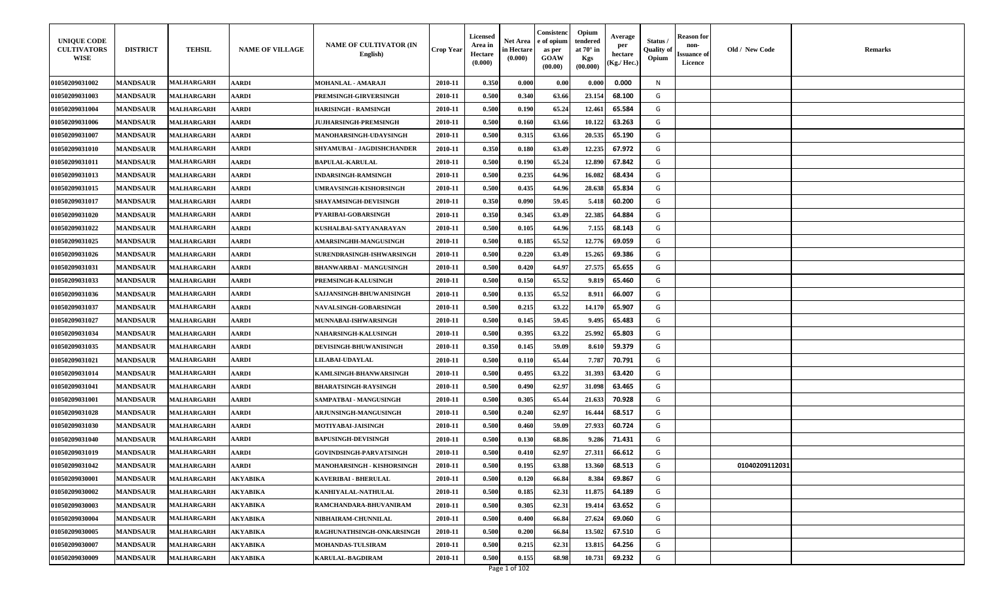| <b>UNIQUE CODE</b><br><b>CULTIVATORS</b><br><b>WISE</b> | <b>DISTRICT</b> | <b>TEHSIL</b>     | <b>NAME OF VILLAGE</b> | <b>NAME OF CULTIVATOR (IN</b><br>English) | Crop Year | <b>Licensed</b><br>Area in<br>Hectare<br>(0.000) | Net Area<br>in Hectare<br>(0.000) | Consistenc<br>e of opium<br>as per<br><b>GOAW</b><br>(00.00) | Opium<br>tendered<br>at $70^\circ$ in<br>Kgs<br>(00.000) | Average<br>per<br>hectare<br>Kg./ Hec. | Status /<br>Quality of<br>Opium | Reason for<br>non-<br>ssuance of<br>Licence | Old / New Code | <b>Remarks</b> |
|---------------------------------------------------------|-----------------|-------------------|------------------------|-------------------------------------------|-----------|--------------------------------------------------|-----------------------------------|--------------------------------------------------------------|----------------------------------------------------------|----------------------------------------|---------------------------------|---------------------------------------------|----------------|----------------|
| <b>01050209031002</b>                                   | <b>MANDSAUR</b> | <b>MALHARGARH</b> | <b>AARDI</b>           | <b>MOHANLAL - AMARAJI</b>                 | 2010-11   | 0.350                                            | 0.000                             | 0.00                                                         | 0.000                                                    | 0.000                                  | N                               |                                             |                |                |
| <b>01050209031003</b>                                   | <b>MANDSAUR</b> | <b>MALHARGARH</b> | <b>AARDI</b>           | PREMSINGH-GIRVERSINGH                     | 2010-11   | 0.500                                            | 0.340                             | 63.66                                                        | 23.154                                                   | 68.100                                 | G                               |                                             |                |                |
| 01050209031004                                          | <b>MANDSAUR</b> | <b>MALHARGARH</b> | <b>AARDI</b>           | HARISINGH - RAMSINGH                      | 2010-11   | 0.500                                            | 0.190                             | 65.24                                                        | 12.461                                                   | 65.584                                 | G                               |                                             |                |                |
| 01050209031006                                          | <b>MANDSAUR</b> | <b>MALHARGARH</b> | <b>AARDI</b>           | <b>JUJHARSINGH-PREMSINGH</b>              | 2010-11   | 0.500                                            | 0.160                             | 63.66                                                        | 10.122                                                   | 63.263                                 | G                               |                                             |                |                |
| 01050209031007                                          | <b>MANDSAUR</b> | <b>MALHARGARH</b> | <b>AARDI</b>           | <b>MANOHARSINGH-UDAYSINGH</b>             | 2010-11   | 0.500                                            | 0.315                             | 63.66                                                        | 20.535                                                   | 65.190                                 | G                               |                                             |                |                |
| 01050209031010                                          | <b>MANDSAUR</b> | MALHARGARH        | <b>AARDI</b>           | SHYAMUBAI - JAGDISHCHANDER                | 2010-11   | 0.350                                            | 0.180                             | 63.49                                                        | 12.235                                                   | 67.972                                 | G                               |                                             |                |                |
| 01050209031011                                          | <b>MANDSAUR</b> | <b>MALHARGARH</b> | <b>AARDI</b>           | <b>BAPULAL-KARULAL</b>                    | 2010-11   | 0.500                                            | 0.190                             | 65.24                                                        | 12.890                                                   | 67.842                                 | G                               |                                             |                |                |
| 01050209031013                                          | <b>MANDSAUR</b> | <b>MALHARGARH</b> | <b>AARDI</b>           | INDARSINGH-RAMSINGH                       | 2010-11   | 0.500                                            | 0.235                             | 64.96                                                        | 16.082                                                   | 68.434                                 | G                               |                                             |                |                |
| 01050209031015                                          | <b>MANDSAUR</b> | <b>MALHARGARH</b> | <b>AARDI</b>           | UMRAVSINGH-KISHORSINGH                    | 2010-11   | 0.500                                            | 0.435                             | 64.96                                                        | 28.638                                                   | 65.834                                 | G                               |                                             |                |                |
| 01050209031017                                          | <b>MANDSAUR</b> | <b>MALHARGARH</b> | <b>AARDI</b>           | <b>SHAYAMSINGH-DEVISINGH</b>              | 2010-11   | 0.350                                            | 0.090                             | 59.45                                                        | 5.418                                                    | 60.200                                 | G                               |                                             |                |                |
| 01050209031020                                          | <b>MANDSAUR</b> | <b>MALHARGARH</b> | <b>AARDI</b>           | PYARIBAI-GOBARSINGH                       | 2010-11   | 0.350                                            | 0.345                             | 63.49                                                        | 22.385                                                   | 64.884                                 | G                               |                                             |                |                |
| 01050209031022                                          | <b>MANDSAUR</b> | <b>MALHARGARH</b> | <b>AARDI</b>           | KUSHALBAI-SATYANARAYAN                    | 2010-11   | 0.500                                            | 0.105                             | 64.96                                                        | 7.155                                                    | 68.143                                 | G                               |                                             |                |                |
| 01050209031025                                          | <b>MANDSAUR</b> | <b>MALHARGARH</b> | <b>AARDI</b>           | <b>AMARSINGHH-MANGUSINGH</b>              | 2010-11   | 0.500                                            | 0.185                             | 65.52                                                        | 12.776                                                   | 69.059                                 | G                               |                                             |                |                |
| 01050209031026                                          | <b>MANDSAUR</b> | <b>MALHARGARH</b> | <b>AARDI</b>           | <b>SURENDRASINGH-ISHWARSINGH</b>          | 2010-11   | 0.500                                            | 0.220                             | 63.49                                                        | 15.265                                                   | 69.386                                 | G                               |                                             |                |                |
| 01050209031031                                          | <b>MANDSAUR</b> | <b>MALHARGARH</b> | <b>AARDI</b>           | <b>BHANWARBAI - MANGUSINGH</b>            | 2010-11   | 0.500                                            | 0.420                             | 64.97                                                        | 27.575                                                   | 65.655                                 | G                               |                                             |                |                |
| 01050209031033                                          | <b>MANDSAUR</b> | <b>MALHARGARH</b> | <b>AARDI</b>           | PREMSINGH-KALUSINGH                       | 2010-11   | 0.500                                            | 0.150                             | 65.52                                                        | 9.819                                                    | 65.460                                 | G                               |                                             |                |                |
| 01050209031036                                          | <b>MANDSAUR</b> | <b>MALHARGARH</b> | <b>AARDI</b>           | SAJJANSINGH-BHUWANISINGH                  | 2010-11   | 0.500                                            | 0.135                             | 65.52                                                        | 8.911                                                    | 66.007                                 | G                               |                                             |                |                |
| 01050209031037                                          | <b>MANDSAUR</b> | <b>MALHARGARH</b> | <b>AARDI</b>           | <b>NAVALSINGH-GOBARSINGH</b>              | 2010-11   | 0.500                                            | 0.215                             | 63.22                                                        | 14.170                                                   | 65.907                                 | G                               |                                             |                |                |
| 01050209031027                                          | <b>MANDSAUR</b> | <b>MALHARGARH</b> | <b>AARDI</b>           | <b>MUNNABAI-ISHWARSINGH</b>               | 2010-11   | 0.500                                            | 0.145                             | 59.45                                                        | 9.495                                                    | 65.483                                 | G                               |                                             |                |                |
| <b>01050209031034</b>                                   | <b>MANDSAUR</b> | <b>MALHARGARH</b> | <b>AARDI</b>           | NAHARSINGH-KALUSINGH                      | 2010-11   | 0.500                                            | 0.395                             | 63.22                                                        | 25.992                                                   | 65.803                                 | G                               |                                             |                |                |
| 01050209031035                                          | <b>MANDSAUR</b> | <b>MALHARGARH</b> | <b>AARDI</b>           | <b>DEVISINGH-BHUWANISINGH</b>             | 2010-11   | 0.350                                            | 0.145                             | 59.09                                                        | 8.610                                                    | 59.379                                 | G                               |                                             |                |                |
| 01050209031021                                          | <b>MANDSAUR</b> | <b>MALHARGARH</b> | <b>AARDI</b>           | <b>LILABAI-UDAYLAL</b>                    | 2010-11   | 0.500                                            | 0.110                             | 65.44                                                        | 7.787                                                    | 70.791                                 | G                               |                                             |                |                |
| 01050209031014                                          | <b>MANDSAUR</b> | <b>MALHARGARH</b> | <b>AARDI</b>           | KAMLSINGH-BHANWARSINGH                    | 2010-11   | 0.500                                            | 0.495                             | 63.22                                                        | 31.393                                                   | 63.420                                 | G                               |                                             |                |                |
| <b>01050209031041</b>                                   | <b>MANDSAUR</b> | <b>MALHARGARH</b> | <b>AARDI</b>           | BHARATSINGH-RAYSINGH                      | 2010-11   | 0.500                                            | 0.490                             | 62.97                                                        | 31.098                                                   | 63.465                                 | G                               |                                             |                |                |
| <b>01050209031001</b>                                   | <b>MANDSAUR</b> | <b>MALHARGARH</b> | <b>AARDI</b>           | SAMPATBAI - MANGUSINGH                    | 2010-11   | 0.500                                            | 0.305                             | 65.44                                                        | 21.633                                                   | 70.928                                 | G                               |                                             |                |                |
| 01050209031028                                          | <b>MANDSAUR</b> | <b>MALHARGARH</b> | <b>AARDI</b>           | <b>ARJUNSINGH-MANGUSINGH</b>              | 2010-11   | 0.500                                            | 0.240                             | 62.97                                                        | 16.444                                                   | 68.517                                 | G                               |                                             |                |                |
| 01050209031030                                          | <b>MANDSAUR</b> | <b>MALHARGARH</b> | <b>AARDI</b>           | <b>MOTIYABAI-JAISINGH</b>                 | 2010-11   | 0.500                                            | 0.460                             | 59.09                                                        | 27.933                                                   | 60.724                                 | G                               |                                             |                |                |
| 01050209031040                                          | <b>MANDSAUR</b> | <b>MALHARGARH</b> | <b>AARDI</b>           | <b>BAPUSINGH-DEVISINGH</b>                | 2010-11   | 0.500                                            | 0.130                             | 68.86                                                        | 9.286                                                    | 71.431                                 | G                               |                                             |                |                |
| 01050209031019                                          | <b>MANDSAUR</b> | <b>MALHARGARH</b> | <b>AARDI</b>           | GOVINDSINGH-PARVATSINGH                   | 2010-11   | 0.500                                            | 0.410                             | 62.97                                                        | 27.311                                                   | 66.612                                 | G                               |                                             |                |                |
| 01050209031042                                          | <b>MANDSAUR</b> | <b>MALHARGARH</b> | <b>AARDI</b>           | MANOHARSINGH - KISHORSINGH                | 2010-11   | 0.500                                            | 0.195                             | 63.88                                                        | 13.360                                                   | 68.513                                 | G                               |                                             | 01040209112031 |                |
| 01050209030001                                          | <b>MANDSAUR</b> | <b>MALHARGARH</b> | <b>AKYABIKA</b>        | KAVERIBAI - BHERULAL                      | 2010-11   | 0.500                                            | 0.120                             | 66.84                                                        | 8.384                                                    | 69.867                                 | G                               |                                             |                |                |
| 01050209030002                                          | <b>MANDSAUR</b> | <b>MALHARGARH</b> | <b>AKYABIKA</b>        | KANHIYALAL-NATHULAL                       | 2010-11   | 0.500                                            | 0.185                             | 62.31                                                        | 11.875                                                   | 64.189                                 | G                               |                                             |                |                |
| 01050209030003                                          | <b>MANDSAUR</b> | <b>MALHARGARH</b> | <b>AKYABIKA</b>        | RAMCHANDARA-BHUVANIRAM                    | 2010-11   | 0.500                                            | 0.305                             | 62.31                                                        | 19.414                                                   | 63.652                                 | G                               |                                             |                |                |
| 01050209030004                                          | <b>MANDSAUR</b> | <b>MALHARGARH</b> | <b>AKYABIKA</b>        | NIBHAIRAM-CHUNNILAL                       | 2010-11   | 0.500                                            | 0.400                             | 66.84                                                        | 27.624                                                   | 69.060                                 | G                               |                                             |                |                |
| 01050209030005                                          | <b>MANDSAUR</b> | <b>MALHARGARH</b> | <b>AKYABIKA</b>        | RAGHUNATHSINGH-ONKARSINGH                 | 2010-11   | 0.500                                            | 0.200                             | 66.84                                                        | 13.502                                                   | 67.510                                 | G                               |                                             |                |                |
| 01050209030007                                          | <b>MANDSAUR</b> | <b>MALHARGARH</b> | <b>AKYABIKA</b>        | <b>MOHANDAS-TULSIRAM</b>                  | 2010-11   | 0.500                                            | 0.215                             | 62.31                                                        | 13.815                                                   | 64.256                                 | G                               |                                             |                |                |
| 01050209030009                                          | <b>MANDSAUR</b> | <b>MALHARGARH</b> | <b>AKYABIKA</b>        | KARULAL-BAGDIRAM                          | 2010-11   | 0.500                                            | 0.155                             | 68.98                                                        | 10.731                                                   | 69.232                                 | G                               |                                             |                |                |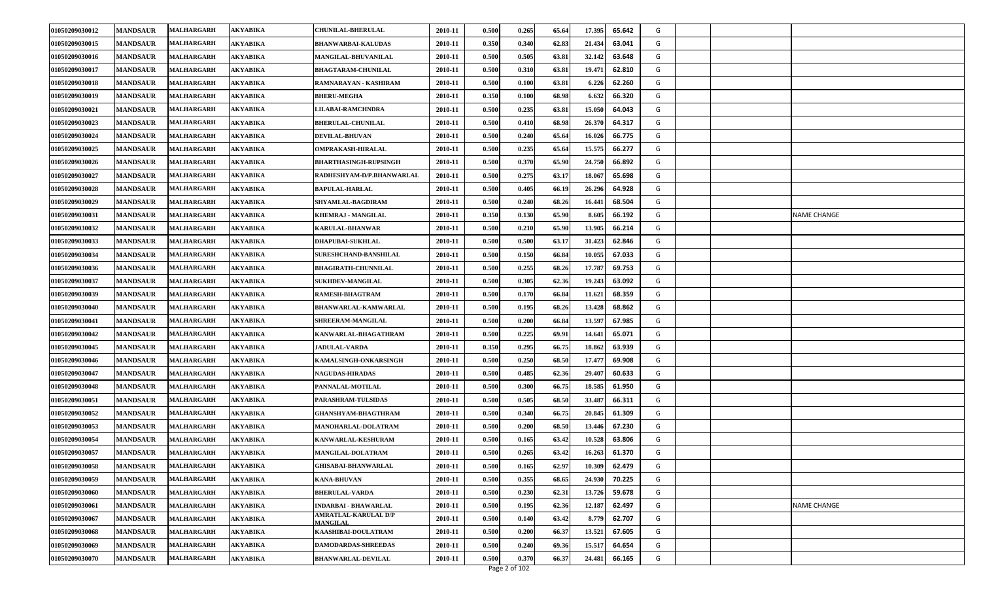| 01050209030012 | <b>MANDSAUR</b> | <b>MALHARGARH</b> | <b>AKYABIKA</b> | <b>CHUNILAL-BHERULAL</b>                       | 2010-11 | 0.500 | 0.265 | 65.64 | 17.395 | 65.642 | G |                    |
|----------------|-----------------|-------------------|-----------------|------------------------------------------------|---------|-------|-------|-------|--------|--------|---|--------------------|
| 01050209030015 | <b>MANDSAUR</b> | <b>MALHARGARH</b> | <b>AKYABIKA</b> | <b>BHANWARBAI-KALUDAS</b>                      | 2010-11 | 0.350 | 0.340 | 62.83 | 21.434 | 63.041 | G |                    |
| 01050209030016 | <b>MANDSAUR</b> | <b>MALHARGARH</b> | <b>AKYABIKA</b> | MANGILAL-BHUVANILAL                            | 2010-11 | 0.500 | 0.505 | 63.81 | 32.142 | 63.648 | G |                    |
| 01050209030017 | <b>MANDSAUR</b> | <b>MALHARGARH</b> | <b>AKYABIKA</b> | <b>BHAGTARAM-CHUNILAL</b>                      | 2010-11 | 0.500 | 0.310 | 63.81 | 19.471 | 62.810 | G |                    |
| 01050209030018 | <b>MANDSAUR</b> | <b>MALHARGARH</b> | AKYABIKA        | RAMNARAYAN - KASHIRAM                          | 2010-11 | 0.500 | 0.100 | 63.81 | 6.226  | 62.260 | G |                    |
| 01050209030019 | <b>MANDSAUR</b> | <b>MALHARGARH</b> | <b>AKYABIKA</b> | <b>BHERU-MEGHA</b>                             | 2010-11 | 0.350 | 0.100 | 68.98 | 6.632  | 66.320 | G |                    |
| 01050209030021 | <b>MANDSAUR</b> | <b>MALHARGARH</b> | <b>AKYABIKA</b> | LILABAI-RAMCHNDRA                              | 2010-11 | 0.500 | 0.235 | 63.81 | 15.050 | 64.043 | G |                    |
| 01050209030023 | <b>MANDSAUR</b> | <b>MALHARGARH</b> | <b>AKYABIKA</b> | <b>BHERULAL-CHUNILAL</b>                       | 2010-11 | 0.500 | 0.410 | 68.98 | 26.370 | 64.317 | G |                    |
| 01050209030024 | <b>MANDSAUR</b> | <b>MALHARGARH</b> | AKYABIKA        | <b>DEVILAL-BHUVAN</b>                          | 2010-11 | 0.500 | 0.240 | 65.64 | 16.02  | 66.775 | G |                    |
| 01050209030025 | <b>MANDSAUR</b> | <b>MALHARGARH</b> | <b>AKYABIKA</b> | <b>OMPRAKASH-HIRALAL</b>                       | 2010-11 | 0.500 | 0.235 | 65.64 | 15.575 | 66.277 | G |                    |
| 01050209030026 | <b>MANDSAUR</b> | <b>MALHARGARH</b> | <b>AKYABIKA</b> | <b>BHARTHASINGH-RUPSINGH</b>                   | 2010-11 | 0.500 | 0.370 | 65.90 | 24.750 | 66.892 | G |                    |
| 01050209030027 | <b>MANDSAUR</b> | <b>MALHARGARH</b> | AKYABIKA        | RADHESHYAM-D/P.BHANWARLAL                      | 2010-11 | 0.500 | 0.275 | 63.17 | 18.067 | 65.698 | G |                    |
| 01050209030028 | <b>MANDSAUR</b> | MALHARGARH        | AKYABIKA        | <b>BAPULAL-HARLAL</b>                          | 2010-11 | 0.500 | 0.405 | 66.19 | 26.296 | 64.928 | G |                    |
| 01050209030029 | <b>MANDSAUR</b> | <b>MALHARGARH</b> | <b>AKYABIKA</b> | SHYAMLAL-BAGDIRAM                              | 2010-11 | 0.500 | 0.240 | 68.26 | 16.441 | 68.504 | G |                    |
| 01050209030031 | <b>MANDSAUR</b> | <b>MALHARGARH</b> | <b>AKYABIKA</b> | <b>KHEMRAJ - MANGILAL</b>                      | 2010-11 | 0.350 | 0.130 | 65.90 | 8.605  | 66.192 | G | <b>NAME CHANGE</b> |
| 01050209030032 | <b>MANDSAUR</b> | MALHARGARH        | AKYABIKA        | <b>KARULAL-BHANWAR</b>                         | 2010-11 | 0.500 | 0.210 | 65.90 | 13.905 | 66.214 | G |                    |
| 01050209030033 | <b>MANDSAUR</b> | <b>MALHARGARH</b> | <b>AKYABIKA</b> | <b>DHAPUBAI-SUKHLAL</b>                        | 2010-11 | 0.500 | 0.500 | 63.17 | 31.423 | 62.846 | G |                    |
| 01050209030034 | <b>MANDSAUR</b> | <b>MALHARGARH</b> | <b>AKYABIKA</b> | <b>SURESHCHAND-BANSHILAL</b>                   | 2010-11 | 0.500 | 0.150 | 66.84 | 10.055 | 67.033 | G |                    |
| 01050209030036 | <b>MANDSAUR</b> | <b>MALHARGARH</b> | <b>AKYABIKA</b> | <b>BHAGIRATH-CHUNNILAL</b>                     | 2010-11 | 0.500 | 0.255 | 68.26 | 17.787 | 69.753 | G |                    |
| 01050209030037 | <b>MANDSAUR</b> | MALHARGARH        | AKYABIKA        | <b>SUKHDEV-MANGILAL</b>                        | 2010-11 | 0.500 | 0.305 | 62.36 | 19.243 | 63.092 | G |                    |
| 01050209030039 | <b>MANDSAUR</b> | <b>MALHARGARH</b> | <b>AKYABIKA</b> | RAMESH-BHAGTRAM                                | 2010-11 | 0.500 | 0.170 | 66.84 | 11.621 | 68.359 | G |                    |
| 01050209030040 | <b>MANDSAUR</b> | <b>MALHARGARH</b> | <b>AKYABIKA</b> | BHANWARLAL-KAMWARLAL                           | 2010-11 | 0.500 | 0.195 | 68.26 | 13.428 | 68.862 | G |                    |
| 01050209030041 | <b>MANDSAUR</b> | <b>MALHARGARH</b> | <b>AKYABIKA</b> | SHREERAM-MANGILAL                              | 2010-11 | 0.500 | 0.200 | 66.84 | 13.597 | 67.985 | G |                    |
| 01050209030042 | <b>MANDSAUR</b> | MALHARGARH        | AKYABIKA        | KANWARLAL-BHAGATHRAM                           | 2010-11 | 0.500 | 0.225 | 69.91 | 14.641 | 65.071 | G |                    |
| 01050209030045 | <b>MANDSAUR</b> | <b>MALHARGARH</b> | <b>AKYABIKA</b> | <b>JADULAL-VARDA</b>                           | 2010-11 | 0.350 | 0.295 | 66.75 | 18.862 | 63.939 | G |                    |
| 01050209030046 | <b>MANDSAUR</b> | <b>MALHARGARH</b> | <b>AKYABIKA</b> | KAMALSINGH-ONKARSINGH                          | 2010-11 | 0.500 | 0.250 | 68.50 | 17.47  | 69.908 | G |                    |
| 01050209030047 | <b>MANDSAUR</b> | <b>MALHARGARH</b> | <b>AKYABIKA</b> | <b>NAGUDAS-HIRADAS</b>                         | 2010-11 | 0.500 | 0.485 | 62.36 | 29.407 | 60.633 | G |                    |
| 01050209030048 | <b>MANDSAUR</b> | <b>MALHARGARH</b> | AKYABIKA        | PANNALAL-MOTILAL                               | 2010-11 | 0.500 | 0.300 | 66.75 | 18.585 | 61.950 | G |                    |
| 01050209030051 | <b>MANDSAUR</b> | <b>MALHARGARH</b> | <b>AKYABIKA</b> | PARASHRAM-TULSIDAS                             | 2010-11 | 0.500 | 0.505 | 68.50 | 33.48  | 66.311 | G |                    |
| 01050209030052 | <b>MANDSAUR</b> | <b>MALHARGARH</b> | <b>AKYABIKA</b> | <b>GHANSHYAM-BHAGTHRAM</b>                     | 2010-11 | 0.500 | 0.340 | 66.75 | 20.845 | 61.309 | G |                    |
| 01050209030053 | <b>MANDSAUR</b> | <b>MALHARGARH</b> | <b>AKYABIKA</b> | MANOHARLAL-DOLATRAM                            | 2010-11 | 0.500 | 0.200 | 68.50 | 13.446 | 67.230 | G |                    |
| 01050209030054 | <b>MANDSAUR</b> | <b>MALHARGARH</b> | AKYABIKA        | KANWARLAL-KESHURAM                             | 2010-11 | 0.500 | 0.165 | 63.42 | 10.528 | 63.806 | G |                    |
| 01050209030057 | <b>MANDSAUR</b> | <b>MALHARGARH</b> | <b>AKYABIKA</b> | MANGILAL-DOLATRAM                              | 2010-11 | 0.500 | 0.265 | 63.42 | 16.263 | 61.370 | G |                    |
| 01050209030058 | <b>MANDSAUR</b> | <b>MALHARGARH</b> | <b>AKYABIKA</b> | <b>GHISABAI-BHANWARLAL</b>                     | 2010-11 | 0.500 | 0.165 | 62.97 | 10.309 | 62.479 | G |                    |
| 01050209030059 | <b>MANDSAUR</b> | <b>MALHARGARH</b> | AKYABIKA        | <b>KANA-BHUVAN</b>                             | 2010-11 | 0.500 | 0.355 | 68.65 | 24.930 | 70.225 | G |                    |
| 01050209030060 | <b>MANDSAUR</b> | MALHARGARH        | <b>AKYABIKA</b> | <b>BHERULAL-VARDA</b>                          | 2010-11 | 0.500 | 0.230 | 62.31 | 13.726 | 59.678 | G |                    |
| 01050209030061 | <b>MANDSAUR</b> | <b>MALHARGARH</b> | <b>AKYABIKA</b> | <b>INDARBAI - BHAWARLAL</b>                    | 2010-11 | 0.500 | 0.195 | 62.36 | 12.187 | 62.497 | G | NAME CHANGE        |
| 01050209030067 | <b>MANDSAUR</b> | <b>MALHARGARH</b> | <b>AKYABIKA</b> | <b>AMRATLAL-KARULAL D/P</b><br><b>MANGILAL</b> | 2010-11 | 0.500 | 0.140 | 63.42 | 8.779  | 62.707 | G |                    |
| 01050209030068 | <b>MANDSAUR</b> | <b>MALHARGARH</b> | <b>AKYABIKA</b> | KAASHIBAI-DOULATRAM                            | 2010-11 | 0.500 | 0.200 | 66.37 | 13.521 | 67.605 | G |                    |
| 01050209030069 | <b>MANDSAUR</b> | <b>MALHARGARH</b> | <b>AKYABIKA</b> | <b>DAMODARDAS-SHREEDAS</b>                     | 2010-11 | 0.500 | 0.240 | 69.36 | 15.517 | 64.654 | G |                    |
| 01050209030070 | <b>MANDSAUR</b> | <b>MALHARGARH</b> | AKYABIKA        | <b>BHANWARLAL-DEVILAL</b>                      | 2010-11 | 0.500 | 0.370 | 66.37 | 24.481 | 66.165 | G |                    |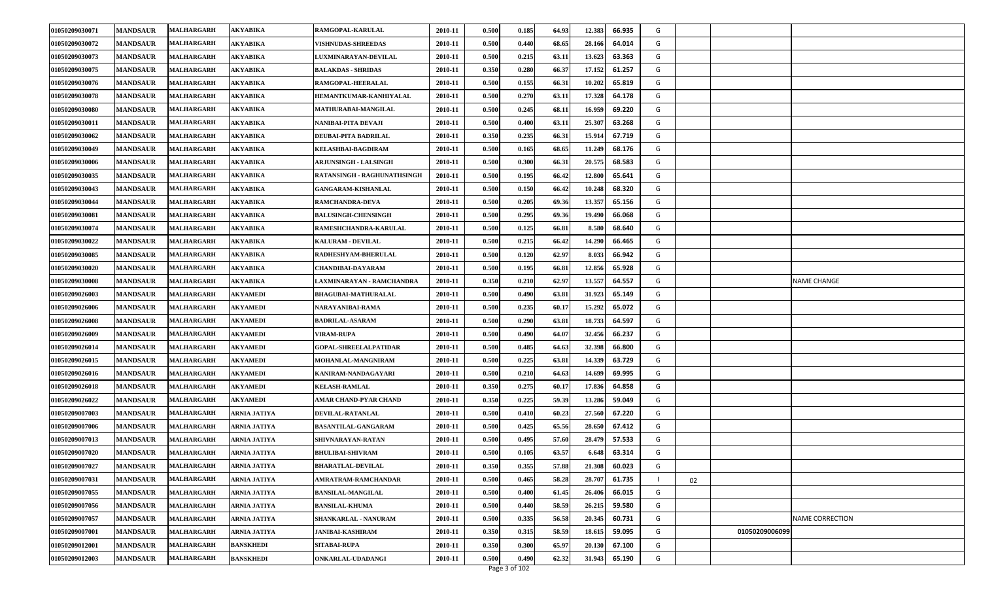| 01050209030071 | <b>MANDSAUR</b> | <b>MALHARGARH</b> | <b>AKYABIKA</b>     | RAMGOPAL-KARULAL             | 2010-11 | 0.500 | 0.185 | 64.93 | 12.383 | 66.935 | G |    |                |                        |
|----------------|-----------------|-------------------|---------------------|------------------------------|---------|-------|-------|-------|--------|--------|---|----|----------------|------------------------|
| 01050209030072 | <b>MANDSAUR</b> | <b>MALHARGARH</b> | <b>AKYABIKA</b>     | <b>VISHNUDAS-SHREEDAS</b>    | 2010-11 | 0.500 | 0.440 | 68.65 | 28.166 | 64.014 | G |    |                |                        |
| 01050209030073 | <b>MANDSAUR</b> | <b>MALHARGARH</b> | <b>AKYABIKA</b>     | LUXMINARAYAN-DEVILAL         | 2010-11 | 0.500 | 0.215 | 63.11 | 13.623 | 63.363 | G |    |                |                        |
| 01050209030075 | <b>MANDSAUR</b> | <b>MALHARGARH</b> | <b>AKYABIKA</b>     | <b>BALAKDAS - SHRIDAS</b>    | 2010-11 | 0.350 | 0.280 | 66.37 | 17.152 | 61.257 | G |    |                |                        |
| 01050209030076 | <b>MANDSAUR</b> | <b>MALHARGARH</b> | AKYABIKA            | RAMGOPAL-HEERALAL            | 2010-11 | 0.500 | 0.155 | 66.31 | 10.202 | 65.819 | G |    |                |                        |
| 01050209030078 | <b>MANDSAUR</b> | <b>MALHARGARH</b> | <b>AKYABIKA</b>     | HEMANTKUMAR-KANHIYALAL       | 2010-11 | 0.500 | 0.270 | 63.11 | 17.328 | 64.178 | G |    |                |                        |
| 01050209030080 | <b>MANDSAUR</b> | <b>MALHARGARH</b> | <b>AKYABIKA</b>     | MATHURABAI-MANGILAL          | 2010-11 | 0.500 | 0.245 | 68.11 | 16.959 | 69.220 | G |    |                |                        |
| 01050209030011 | <b>MANDSAUR</b> | <b>MALHARGARH</b> | <b>AKYABIKA</b>     | NANIBAI-PITA DEVAJI          | 2010-11 | 0.500 | 0.400 | 63.11 | 25.307 | 63.268 | G |    |                |                        |
| 01050209030062 | <b>MANDSAUR</b> | <b>MALHARGARH</b> | AKYABIKA            | DEUBAI-PITA BADRILAL         | 2010-11 | 0.350 | 0.235 | 66.31 | 15.914 | 67.719 | G |    |                |                        |
| 01050209030049 | <b>MANDSAUR</b> | <b>MALHARGARH</b> | <b>AKYABIKA</b>     | <b>KELASHBAI-BAGDIRAM</b>    | 2010-11 | 0.500 | 0.165 | 68.65 | 11.249 | 68.176 | G |    |                |                        |
| 01050209030006 | <b>MANDSAUR</b> | <b>MALHARGARH</b> | <b>AKYABIKA</b>     | ARJUNSINGH - LALSINGH        | 2010-11 | 0.500 | 0.300 | 66.31 | 20.575 | 68.583 | G |    |                |                        |
| 01050209030035 | <b>MANDSAUR</b> | <b>MALHARGARH</b> | AKYABIKA            | RATANSINGH - RAGHUNATHSINGH  | 2010-11 | 0.500 | 0.195 | 66.42 | 12.800 | 65.641 | G |    |                |                        |
| 01050209030043 | <b>MANDSAUR</b> | <b>MALHARGARH</b> | AKYABIKA            | <b>GANGARAM-KISHANLAL</b>    | 2010-11 | 0.500 | 0.150 | 66.42 | 10.248 | 68.320 | G |    |                |                        |
| 01050209030044 | <b>MANDSAUR</b> | <b>MALHARGARH</b> | <b>AKYABIKA</b>     | RAMCHANDRA-DEVA              | 2010-11 | 0.500 | 0.205 | 69.36 | 13.357 | 65.156 | G |    |                |                        |
| 01050209030081 | <b>MANDSAUR</b> | <b>MALHARGARH</b> | <b>AKYABIKA</b>     | <b>BALUSINGH-CHENSINGH</b>   | 2010-11 | 0.500 | 0.295 | 69.36 | 19.490 | 66.068 | G |    |                |                        |
| 01050209030074 | <b>MANDSAUR</b> | <b>MALHARGARH</b> | AKYABIKA            | RAMESHCHANDRA-KARULAL        | 2010-11 | 0.500 | 0.125 | 66.81 | 8.580  | 68.640 | G |    |                |                        |
| 01050209030022 | <b>MANDSAUR</b> | <b>MALHARGARH</b> | <b>AKYABIKA</b>     | KALURAM - DEVILAL            | 2010-11 | 0.500 | 0.215 | 66.42 | 14.290 | 66.465 | G |    |                |                        |
| 01050209030085 | <b>MANDSAUR</b> | <b>MALHARGARH</b> | <b>AKYABIKA</b>     | RADHESHYAM-BHERULAL          | 2010-11 | 0.500 | 0.120 | 62.97 | 8.033  | 66.942 | G |    |                |                        |
| 01050209030020 | <b>MANDSAUR</b> | <b>MALHARGARH</b> | <b>AKYABIKA</b>     | CHANDIBAI-DAYARAM            | 2010-11 | 0.500 | 0.195 | 66.81 | 12.856 | 65.928 | G |    |                |                        |
| 01050209030008 | <b>MANDSAUR</b> | <b>MALHARGARH</b> | AKYABIKA            | AXMINARAYAN - RAMCHANDRA     | 2010-11 | 0.350 | 0.210 | 62.97 | 13.557 | 64.557 | G |    |                | <b>NAME CHANGE</b>     |
| 01050209026003 | <b>MANDSAUR</b> | MALHARGARH        | <b>AKYAMEDI</b>     | <b>BHAGUBAI-MATHURALAL</b>   | 2010-11 | 0.500 | 0.490 | 63.81 | 31.923 | 65.149 | G |    |                |                        |
| 01050209026006 | <b>MANDSAUR</b> | <b>MALHARGARH</b> | <b>AKYAMEDI</b>     | NARAYANIBAI-RAMA             | 2010-11 | 0.500 | 0.235 | 60.17 | 15.292 | 65.072 | G |    |                |                        |
| 01050209026008 | <b>MANDSAUR</b> | <b>MALHARGARH</b> | <b>AKYAMEDI</b>     | <b>BADRILAL-ASARAM</b>       | 2010-11 | 0.500 | 0.290 | 63.81 | 18.733 | 64.597 | G |    |                |                        |
| 01050209026009 | <b>MANDSAUR</b> | <b>MALHARGARH</b> | AKYAMEDI            | <b>VIRAM-RUPA</b>            | 2010-11 | 0.500 | 0.490 | 64.07 | 32.456 | 66.237 | G |    |                |                        |
| 01050209026014 | <b>MANDSAUR</b> | <b>MALHARGARH</b> | <b>AKYAMEDI</b>     | <b>GOPAL-SHREELALPATIDAR</b> | 2010-11 | 0.500 | 0.485 | 64.63 | 32.398 | 66.800 | G |    |                |                        |
| 01050209026015 | <b>MANDSAUR</b> | <b>MALHARGARH</b> | <b>AKYAMEDI</b>     | MOHANLAL-MANGNIRAM           | 2010-11 | 0.500 | 0.225 | 63.81 | 14.339 | 63.729 | G |    |                |                        |
| 01050209026016 | <b>MANDSAUR</b> | <b>MALHARGARH</b> | <b>AKYAMEDI</b>     | KANIRAM-NANDAGAYARI          | 2010-11 | 0.500 | 0.210 | 64.63 | 14.699 | 69.995 | G |    |                |                        |
| 01050209026018 | <b>MANDSAUR</b> | <b>MALHARGARH</b> | AKYAMEDI            | <b>KELASH-RAMLAL</b>         | 2010-11 | 0.350 | 0.275 | 60.17 | 17.836 | 64.858 | G |    |                |                        |
| 01050209026022 | <b>MANDSAUR</b> | <b>MALHARGARH</b> | <b>AKYAMEDI</b>     | AMAR CHAND-PYAR CHAND        | 2010-11 | 0.350 | 0.225 | 59.39 | 13.286 | 59.049 | G |    |                |                        |
| 01050209007003 | <b>MANDSAUR</b> | <b>MALHARGARH</b> | <b>ARNIA JATIYA</b> | DEVILAL-RATANLAL             | 2010-11 | 0.500 | 0.410 | 60.23 | 27.560 | 67.220 | G |    |                |                        |
| 01050209007006 | <b>MANDSAUR</b> | <b>MALHARGARH</b> | ARNIA JATIYA        | <b>BASANTILAL-GANGARAM</b>   | 2010-11 | 0.500 | 0.425 | 65.56 | 28.650 | 67.412 | G |    |                |                        |
| 01050209007013 | <b>MANDSAUR</b> | <b>MALHARGARH</b> | ARNIA JATIYA        | SHIVNARAYAN-RATAN            | 2010-11 | 0.500 | 0.495 | 57.60 | 28.479 | 57.533 | G |    |                |                        |
| 01050209007020 | <b>MANDSAUR</b> | <b>MALHARGARH</b> | ARNIA JATIYA        | <b>BHULIBAI-SHIVRAM</b>      | 2010-11 | 0.500 | 0.105 | 63.57 | 6.648  | 63.314 | G |    |                |                        |
| 01050209007027 | <b>MANDSAUR</b> | <b>MALHARGARH</b> | <b>ARNIA JATIYA</b> | <b>BHARATLAL-DEVILAL</b>     | 2010-11 | 0.350 | 0.355 | 57.88 | 21.308 | 60.023 | G |    |                |                        |
| 01050209007031 | <b>MANDSAUR</b> | <b>MALHARGARH</b> | ARNIA JATIYA        | AMRATRAM-RAMCHANDAR          | 2010-11 | 0.500 | 0.465 | 58.28 | 28.707 | 61.735 |   | 02 |                |                        |
| 01050209007055 | <b>MANDSAUR</b> | <b>MALHARGARH</b> | ARNIA JATIYA        | <b>BANSILAL-MANGILAL</b>     | 2010-11 | 0.500 | 0.400 | 61.45 | 26.406 | 66.015 | G |    |                |                        |
| 01050209007056 | <b>MANDSAUR</b> | <b>MALHARGARH</b> | ARNIA JATIYA        | <b>BANSILAL-KHUMA</b>        | 2010-11 | 0.500 | 0.440 | 58.59 | 26.215 | 59.580 | G |    |                |                        |
| 01050209007057 | <b>MANDSAUR</b> | <b>MALHARGARH</b> | <b>ARNIA JATIYA</b> | SHANKARLAL - NANURAM         | 2010-11 | 0.500 | 0.335 | 56.58 | 20.345 | 60.731 | G |    |                | <b>NAME CORRECTION</b> |
| 01050209007001 | <b>MANDSAUR</b> | <b>MALHARGARH</b> | ARNIA JATIYA        | <b>JANIBAI-KASHIRAM</b>      | 2010-11 | 0.350 | 0.315 | 58.59 | 18.615 | 59.095 | G |    | 01050209006099 |                        |
| 01050209012001 | <b>MANDSAUR</b> | <b>MALHARGARH</b> | <b>BANSKHEDI</b>    | <b>SITABAI-RUPA</b>          | 2010-11 | 0.350 | 0.300 | 65.97 | 20.130 | 67.100 | G |    |                |                        |
| 01050209012003 | <b>MANDSAUR</b> | <b>MALHARGARH</b> | <b>BANSKHEDI</b>    | ONKARLAL-UDADANGI            | 2010-11 | 0.500 | 0.490 | 62.32 | 31.943 | 65.190 | G |    |                |                        |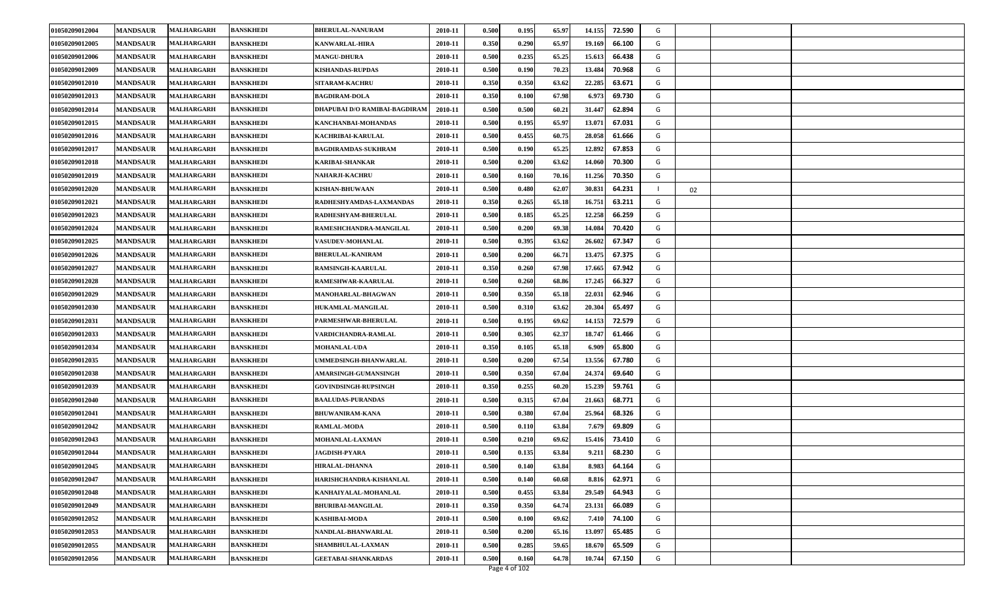| 0.350<br>0.290<br>01050209012005<br><b>MANDSAUR</b><br><b>MALHARGARH</b><br><b>BANSKHEDI</b><br><b>KANWARLAL-HIRA</b><br>2010-11<br>65.97<br>19.169<br>66.100<br>G<br>01050209012006<br><b>MANDSAUR</b><br>MALHARGARH<br><b>MANGU-DHURA</b><br>2010-11<br>0.500<br>0.235<br>65.25<br>15.613<br>66.438<br>G<br><b>BANSKHEDI</b><br>01050209012009<br><b>MANDSAUR</b><br><b>MALHARGARH</b><br>2010-11<br>0.500<br>0.190<br>70.23<br>13.484<br>70.968<br>G<br><b>BANSKHEDI</b><br><b>KISHANDAS-RUPDAS</b><br>0.350<br>01050209012010<br><b>MANDSAUR</b><br>2010-11<br>0.350<br>63.62<br>22.285<br>63.671<br>G<br>MALHARGARH<br><b>BANSKHEDI</b><br><b>SITARAM-KACHRU</b><br>01050209012013<br><b>MANDSAUR</b><br><b>BANSKHEDI</b><br>2010-11<br>0.350<br>0.100<br>67.98<br>6.973<br>69.730<br>G<br>MALHARGARH<br><b>BAGDIRAM-DOLA</b><br><b>MANDSAUR</b><br><b>BANSKHEDI</b><br>DHAPUBAI D/O RAMIBAI-BAGDIRAM<br>2010-11<br>0.500<br>0.500<br>62.894<br>01050209012014<br><b>MALHARGARH</b><br>60.21<br>31.447<br>G<br>0.500<br>13.071<br>01050209012015<br><b>MANDSAUR</b><br>MALHARGARH<br><b>BANSKHEDI</b><br>KANCHANBAI-MOHANDAS<br>2010-11<br>0.195<br>65.97<br>67.031<br>G<br>01050209012016<br><b>MANDSAUR</b><br>0.500<br>0.455<br>60.75<br>28.058<br>61.666<br>MALHARGARH<br><b>BANSKHEDI</b><br>2010-11<br>G<br>KACHRIBAI-KARULAL<br>12.892<br>01050209012017<br><b>MANDSAUR</b><br>MALHARGARH<br><b>BANSKHEDI</b><br>2010-11<br>0.500<br>0.190<br>65.25<br>67.853<br>G<br><b>BAGDIRAMDAS-SUKHRAM</b><br>0.500<br>0.200<br>14.060<br>70.300<br>01050209012018<br><b>MANDSAUR</b><br>2010-11<br>63.62<br>G<br><b>MALHARGARH</b><br><b>BANSKHEDI</b><br><b>KARIBAI-SHANKAR</b><br>01050209012019<br><b>MANDSAUR</b><br>0.500<br>70.16<br>11.256<br>70.350<br>G<br><b>BANSKHEDI</b><br>2010-11<br>0.160<br><b>MALHARGARH</b><br><b>NAHARJI-KACHRU</b><br>0.480<br>62.07<br>30.831<br>01050209012020<br><b>MANDSAUR</b><br>MALHARGARH<br>BANSKHEDI<br><b>KISHAN-BHUWAAN</b><br>2010-11<br>0.500<br>64.231<br>02<br>G<br>01050209012021<br><b>MANDSAUR</b><br><b>BANSKHEDI</b><br>RADHESHYAMDAS-LAXMANDAS<br>2010-11<br>0.350<br>0.265<br>65.18<br>16.751<br>63.211<br>MALHARGARH<br>12.258<br>0.500<br>0.185<br>65.25<br>01050209012023<br><b>MANDSAUR</b><br><b>MALHARGARH</b><br>2010-11<br>66.259<br>G<br><b>BANSKHEDI</b><br>RADHESHYAM-BHERULAL<br>01050209012024<br>0.500<br>0.200<br>69.38<br>14.084<br>70.420<br>G<br><b>MANDSAUR</b><br>MALHARGARH<br><b>BANSKHEDI</b><br>RAMESHCHANDRA-MANGILAL<br>2010-11<br>01050209012025<br>0.500<br>0.395<br>63.62<br>26.602<br>67.347<br><b>MANDSAUR</b><br>2010-11<br>G<br>MALHARGARH<br><b>BANSKHEDI</b><br>VASUDEV-MOHANLAL<br>01050209012026<br><b>MANDSAUR</b><br>2010-11<br>0.500<br>0.200<br>66.71<br>13.475<br>67.375<br>G<br>MALHARGARH<br><b>BANSKHEDI</b><br><b>BHERULAL-KANIRAM</b><br>01050209012027<br><b>MANDSAUR</b><br><b>MALHARGARH</b><br><b>BANSKHEDI</b><br><b>RAMSINGH-KAARULAL</b><br>2010-11<br>0.350<br>0.260<br>67.98<br>17.665<br>67.942<br>G<br>01050209012028<br><b>MANDSAUR</b><br>2010-11<br>0.500<br>0.260<br>68.86<br>17.245<br>66.327<br><b>MALHARGARH</b><br><b>BANSKHEDI</b><br>RAMESHWAR-KAARULAL<br>G<br>0.350<br>22.031<br>01050209012029<br><b>MANDSAUR</b><br>MALHARGARH<br>2010-11<br>0.500<br>65.18<br>62.946<br>G<br><b>BANSKHEDI</b><br>MANOHARLAL-BHAGWAN<br>01050209012030<br><b>MANDSAUR</b><br>2010-11<br>0.500<br>0.310<br>63.62<br>20.304<br>65.497<br>G<br>MALHARGARH<br><b>BANSKHEDI</b><br>HUKAMLAL-MANGILAL<br>14.153<br>01050209012031<br><b>MANDSAUR</b><br>2010-11<br>0.500<br>0.195<br>69.62<br>72.579<br>G<br>MALHARGARH<br><b>BANSKHEDI</b><br><b>PARMESHWAR-BHERULAL</b><br>01050209012033<br><b>MANDSAUR</b><br>2010-11<br>0.500<br>0.305<br>62.37<br>18.747<br>61.466<br>G<br>MALHARGARH<br><b>BANSKHEDI</b><br>VARDICHANDRA-RAMLAL<br>01050209012034<br>65.18<br><b>MANDSAUR</b><br>MALHARGARH<br><b>BANSKHEDI</b><br><b>MOHANLAL-UDA</b><br>2010-11<br>0.350<br>0.105<br>6.909<br>65.800<br>G<br>01050209012035<br><b>MANDSAUR</b><br>MALHARGARH<br><b>BANSKHEDI</b><br>UMMEDSINGH-BHANWARLAL<br>2010-11<br>0.500<br>0.200<br>67.54<br>13.556<br>67.780<br>G<br>01050209012038<br><b>MANDSAUR</b><br>MALHARGARH<br>2010-11<br>0.500<br>0.350<br>67.04<br>24.374<br>69.640<br>G<br><b>BANSKHEDI</b><br><b>AMARSINGH-GUMANSINGH</b><br>0.350<br>01050209012039<br><b>MANDSAUR</b><br>2010-11<br>0.255<br>60.20<br>15.239<br>59.761<br>G<br>MALHARGARH<br><b>BANSKHEDI</b><br><b>GOVINDSINGH-RUPSINGH</b><br>01050209012040<br><b>MANDSAUR</b><br>2010-11<br>0.500<br>0.315<br>67.04<br>21.663<br>68.771<br>G<br><b>MALHARGARH</b><br><b>BANSKHEDI</b><br><b>BAALUDAS-PURANDAS</b><br>01050209012041<br><b>MANDSAUR</b><br><b>BANSKHEDI</b><br>0.500<br>0.380<br>25.964<br>68.326<br>MALHARGARH<br><b>BHUWANIRAM-KANA</b><br>2010-11<br>67.04<br>G<br>0.500<br>01050209012042<br><b>MANDSAUR</b><br>MALHARGARH<br><b>BANSKHEDI</b><br><b>RAMLAL-MODA</b><br>2010-11<br>0.110<br>63.84<br>7.679<br>69.809<br>G<br>01050209012043<br><b>MANDSAUR</b><br>MALHARGARH<br>2010-11<br>0.500<br>0.210<br>69.62<br>15.416<br>73.410<br>G<br>BANSKHEDI<br>MOHANLAL-LAXMAN<br>01050209012044<br><b>MANDSAUR</b><br>0.500<br>0.135<br>63.84<br>68.230<br>G<br><b>MALHARGARH</b><br>2010-11<br>9.211<br><b>BANSKHEDI</b><br><b>JAGDISH-PYARA</b><br>01050209012045<br><b>MANDSAUR</b><br>2010-11<br>0.500<br>0.140<br>63.84<br>8.983<br>64.164<br><b>BANSKHEDI</b><br><b>HIRALAL-DHANNA</b><br>G<br>MALHARGARH<br>0.500<br>G<br>01050209012047<br><b>MANDSAUR</b><br>2010-11<br>0.140<br>8.816<br>62.971<br>MALHARGARH<br><b>BANSKHEDI</b><br>HARISHCHANDRA-KISHANLAL<br>60.68<br>0.455<br>01050209012048<br><b>MANDSAUR</b><br><b>MALHARGARH</b><br><b>BANSKHEDI</b><br>KANHAIYALAL-MOHANLAL<br>2010-11<br>0.500<br>63.84<br>29.549<br>64.943<br>G<br>01050209012049<br><b>BHURIBAI-MANGILAL</b><br>0.350<br>0.350<br>64.74<br>23.131<br>G<br><b>MANDSAUR</b><br>MALHARGARH<br><b>BANSKHEDI</b><br>2010-11<br>66.089<br>01050209012052<br><b>MANDSAUR</b><br><b>MALHARGARH</b><br>2010-11<br>0.500<br>0.100<br>69.62<br>G<br>7.410<br>74.100<br><b>BANSKHEDI</b><br><b>KASHIBAI-MODA</b><br>01050209012053<br>0.500<br>G<br><b>MANDSAUR</b><br>MALHARGARH<br>2010-11<br>0.200<br>65.16<br>13.097<br>65.485<br><b>BANSKHEDI</b><br>NANDLAL-BHANWARLAL<br>0.285<br>01050209012055<br>2010-11<br>0.500<br>59.65<br>18.670<br>65.509<br>G<br><b>MANDSAUR</b><br><b>MALHARGARH</b><br><b>BANSKHEDI</b><br><b>SHAMBHULAL-LAXMAN</b><br>G<br>01050209012056<br>0.500<br>64.78<br>67.150<br><b>MANDSAUR</b><br>2010-11<br>0.160<br>10.744<br><b>MALHARGARH</b><br><b>BANSKHEDI</b><br><b>GEETABAI-SHANKARDAS</b><br>Page 4 of 102 | 01050209012004 | <b>MANDSAUR</b> | MALHARGARH | <b>BANSKHEDI</b> | <b>BHERULAL-NANURAM</b> | 2010-11 | 0.500 | 0.195 | 65.97 | 14.155<br>72.590 | G |  |
|---------------------------------------------------------------------------------------------------------------------------------------------------------------------------------------------------------------------------------------------------------------------------------------------------------------------------------------------------------------------------------------------------------------------------------------------------------------------------------------------------------------------------------------------------------------------------------------------------------------------------------------------------------------------------------------------------------------------------------------------------------------------------------------------------------------------------------------------------------------------------------------------------------------------------------------------------------------------------------------------------------------------------------------------------------------------------------------------------------------------------------------------------------------------------------------------------------------------------------------------------------------------------------------------------------------------------------------------------------------------------------------------------------------------------------------------------------------------------------------------------------------------------------------------------------------------------------------------------------------------------------------------------------------------------------------------------------------------------------------------------------------------------------------------------------------------------------------------------------------------------------------------------------------------------------------------------------------------------------------------------------------------------------------------------------------------------------------------------------------------------------------------------------------------------------------------------------------------------------------------------------------------------------------------------------------------------------------------------------------------------------------------------------------------------------------------------------------------------------------------------------------------------------------------------------------------------------------------------------------------------------------------------------------------------------------------------------------------------------------------------------------------------------------------------------------------------------------------------------------------------------------------------------------------------------------------------------------------------------------------------------------------------------------------------------------------------------------------------------------------------------------------------------------------------------------------------------------------------------------------------------------------------------------------------------------------------------------------------------------------------------------------------------------------------------------------------------------------------------------------------------------------------------------------------------------------------------------------------------------------------------------------------------------------------------------------------------------------------------------------------------------------------------------------------------------------------------------------------------------------------------------------------------------------------------------------------------------------------------------------------------------------------------------------------------------------------------------------------------------------------------------------------------------------------------------------------------------------------------------------------------------------------------------------------------------------------------------------------------------------------------------------------------------------------------------------------------------------------------------------------------------------------------------------------------------------------------------------------------------------------------------------------------------------------------------------------------------------------------------------------------------------------------------------------------------------------------------------------------------------------------------------------------------------------------------------------------------------------------------------------------------------------------------------------------------------------------------------------------------------------------------------------------------------------------------------------------------------------------------------------------------------------------------------------------------------------------------------------------------------------------------------------------------------------------------------------------------------------------------------------------------------------------------------------------------------------------------------------------------------------------------------------------------------------------------------------------------------------------------------------------------------------------------------------------------------------------------------------------------------------------------------------------------------------------------------------------------------------------------------------------------------------------------------------------------------------------------------------------------------------------------------------------------------------------------------------------------------------------------------------------------------------------------------------------------------------------------------------------------------------------------------------------------------------------------------------------------------------------------------------------------------------------------------------------------------------------------------------------------------------------------------------------------------------------------------------------------------------------|----------------|-----------------|------------|------------------|-------------------------|---------|-------|-------|-------|------------------|---|--|
|                                                                                                                                                                                                                                                                                                                                                                                                                                                                                                                                                                                                                                                                                                                                                                                                                                                                                                                                                                                                                                                                                                                                                                                                                                                                                                                                                                                                                                                                                                                                                                                                                                                                                                                                                                                                                                                                                                                                                                                                                                                                                                                                                                                                                                                                                                                                                                                                                                                                                                                                                                                                                                                                                                                                                                                                                                                                                                                                                                                                                                                                                                                                                                                                                                                                                                                                                                                                                                                                                                                                                                                                                                                                                                                                                                                                                                                                                                                                                                                                                                                                                                                                                                                                                                                                                                                                                                                                                                                                                                                                                                                                                                                                                                                                                                                                                                                                                                                                                                                                                                                                                                                                                                                                                                                                                                                                                                                                                                                                                                                                                                                                                                                                                                                                                                                                                                                                                                                                                                                                                                                                                                                                                                                                                                                                                                                                                                                                                                                                                                                                                                                                                                                                                                                                 |                |                 |            |                  |                         |         |       |       |       |                  |   |  |
|                                                                                                                                                                                                                                                                                                                                                                                                                                                                                                                                                                                                                                                                                                                                                                                                                                                                                                                                                                                                                                                                                                                                                                                                                                                                                                                                                                                                                                                                                                                                                                                                                                                                                                                                                                                                                                                                                                                                                                                                                                                                                                                                                                                                                                                                                                                                                                                                                                                                                                                                                                                                                                                                                                                                                                                                                                                                                                                                                                                                                                                                                                                                                                                                                                                                                                                                                                                                                                                                                                                                                                                                                                                                                                                                                                                                                                                                                                                                                                                                                                                                                                                                                                                                                                                                                                                                                                                                                                                                                                                                                                                                                                                                                                                                                                                                                                                                                                                                                                                                                                                                                                                                                                                                                                                                                                                                                                                                                                                                                                                                                                                                                                                                                                                                                                                                                                                                                                                                                                                                                                                                                                                                                                                                                                                                                                                                                                                                                                                                                                                                                                                                                                                                                                                                 |                |                 |            |                  |                         |         |       |       |       |                  |   |  |
|                                                                                                                                                                                                                                                                                                                                                                                                                                                                                                                                                                                                                                                                                                                                                                                                                                                                                                                                                                                                                                                                                                                                                                                                                                                                                                                                                                                                                                                                                                                                                                                                                                                                                                                                                                                                                                                                                                                                                                                                                                                                                                                                                                                                                                                                                                                                                                                                                                                                                                                                                                                                                                                                                                                                                                                                                                                                                                                                                                                                                                                                                                                                                                                                                                                                                                                                                                                                                                                                                                                                                                                                                                                                                                                                                                                                                                                                                                                                                                                                                                                                                                                                                                                                                                                                                                                                                                                                                                                                                                                                                                                                                                                                                                                                                                                                                                                                                                                                                                                                                                                                                                                                                                                                                                                                                                                                                                                                                                                                                                                                                                                                                                                                                                                                                                                                                                                                                                                                                                                                                                                                                                                                                                                                                                                                                                                                                                                                                                                                                                                                                                                                                                                                                                                                 |                |                 |            |                  |                         |         |       |       |       |                  |   |  |
|                                                                                                                                                                                                                                                                                                                                                                                                                                                                                                                                                                                                                                                                                                                                                                                                                                                                                                                                                                                                                                                                                                                                                                                                                                                                                                                                                                                                                                                                                                                                                                                                                                                                                                                                                                                                                                                                                                                                                                                                                                                                                                                                                                                                                                                                                                                                                                                                                                                                                                                                                                                                                                                                                                                                                                                                                                                                                                                                                                                                                                                                                                                                                                                                                                                                                                                                                                                                                                                                                                                                                                                                                                                                                                                                                                                                                                                                                                                                                                                                                                                                                                                                                                                                                                                                                                                                                                                                                                                                                                                                                                                                                                                                                                                                                                                                                                                                                                                                                                                                                                                                                                                                                                                                                                                                                                                                                                                                                                                                                                                                                                                                                                                                                                                                                                                                                                                                                                                                                                                                                                                                                                                                                                                                                                                                                                                                                                                                                                                                                                                                                                                                                                                                                                                                 |                |                 |            |                  |                         |         |       |       |       |                  |   |  |
|                                                                                                                                                                                                                                                                                                                                                                                                                                                                                                                                                                                                                                                                                                                                                                                                                                                                                                                                                                                                                                                                                                                                                                                                                                                                                                                                                                                                                                                                                                                                                                                                                                                                                                                                                                                                                                                                                                                                                                                                                                                                                                                                                                                                                                                                                                                                                                                                                                                                                                                                                                                                                                                                                                                                                                                                                                                                                                                                                                                                                                                                                                                                                                                                                                                                                                                                                                                                                                                                                                                                                                                                                                                                                                                                                                                                                                                                                                                                                                                                                                                                                                                                                                                                                                                                                                                                                                                                                                                                                                                                                                                                                                                                                                                                                                                                                                                                                                                                                                                                                                                                                                                                                                                                                                                                                                                                                                                                                                                                                                                                                                                                                                                                                                                                                                                                                                                                                                                                                                                                                                                                                                                                                                                                                                                                                                                                                                                                                                                                                                                                                                                                                                                                                                                                 |                |                 |            |                  |                         |         |       |       |       |                  |   |  |
|                                                                                                                                                                                                                                                                                                                                                                                                                                                                                                                                                                                                                                                                                                                                                                                                                                                                                                                                                                                                                                                                                                                                                                                                                                                                                                                                                                                                                                                                                                                                                                                                                                                                                                                                                                                                                                                                                                                                                                                                                                                                                                                                                                                                                                                                                                                                                                                                                                                                                                                                                                                                                                                                                                                                                                                                                                                                                                                                                                                                                                                                                                                                                                                                                                                                                                                                                                                                                                                                                                                                                                                                                                                                                                                                                                                                                                                                                                                                                                                                                                                                                                                                                                                                                                                                                                                                                                                                                                                                                                                                                                                                                                                                                                                                                                                                                                                                                                                                                                                                                                                                                                                                                                                                                                                                                                                                                                                                                                                                                                                                                                                                                                                                                                                                                                                                                                                                                                                                                                                                                                                                                                                                                                                                                                                                                                                                                                                                                                                                                                                                                                                                                                                                                                                                 |                |                 |            |                  |                         |         |       |       |       |                  |   |  |
|                                                                                                                                                                                                                                                                                                                                                                                                                                                                                                                                                                                                                                                                                                                                                                                                                                                                                                                                                                                                                                                                                                                                                                                                                                                                                                                                                                                                                                                                                                                                                                                                                                                                                                                                                                                                                                                                                                                                                                                                                                                                                                                                                                                                                                                                                                                                                                                                                                                                                                                                                                                                                                                                                                                                                                                                                                                                                                                                                                                                                                                                                                                                                                                                                                                                                                                                                                                                                                                                                                                                                                                                                                                                                                                                                                                                                                                                                                                                                                                                                                                                                                                                                                                                                                                                                                                                                                                                                                                                                                                                                                                                                                                                                                                                                                                                                                                                                                                                                                                                                                                                                                                                                                                                                                                                                                                                                                                                                                                                                                                                                                                                                                                                                                                                                                                                                                                                                                                                                                                                                                                                                                                                                                                                                                                                                                                                                                                                                                                                                                                                                                                                                                                                                                                                 |                |                 |            |                  |                         |         |       |       |       |                  |   |  |
|                                                                                                                                                                                                                                                                                                                                                                                                                                                                                                                                                                                                                                                                                                                                                                                                                                                                                                                                                                                                                                                                                                                                                                                                                                                                                                                                                                                                                                                                                                                                                                                                                                                                                                                                                                                                                                                                                                                                                                                                                                                                                                                                                                                                                                                                                                                                                                                                                                                                                                                                                                                                                                                                                                                                                                                                                                                                                                                                                                                                                                                                                                                                                                                                                                                                                                                                                                                                                                                                                                                                                                                                                                                                                                                                                                                                                                                                                                                                                                                                                                                                                                                                                                                                                                                                                                                                                                                                                                                                                                                                                                                                                                                                                                                                                                                                                                                                                                                                                                                                                                                                                                                                                                                                                                                                                                                                                                                                                                                                                                                                                                                                                                                                                                                                                                                                                                                                                                                                                                                                                                                                                                                                                                                                                                                                                                                                                                                                                                                                                                                                                                                                                                                                                                                                 |                |                 |            |                  |                         |         |       |       |       |                  |   |  |
|                                                                                                                                                                                                                                                                                                                                                                                                                                                                                                                                                                                                                                                                                                                                                                                                                                                                                                                                                                                                                                                                                                                                                                                                                                                                                                                                                                                                                                                                                                                                                                                                                                                                                                                                                                                                                                                                                                                                                                                                                                                                                                                                                                                                                                                                                                                                                                                                                                                                                                                                                                                                                                                                                                                                                                                                                                                                                                                                                                                                                                                                                                                                                                                                                                                                                                                                                                                                                                                                                                                                                                                                                                                                                                                                                                                                                                                                                                                                                                                                                                                                                                                                                                                                                                                                                                                                                                                                                                                                                                                                                                                                                                                                                                                                                                                                                                                                                                                                                                                                                                                                                                                                                                                                                                                                                                                                                                                                                                                                                                                                                                                                                                                                                                                                                                                                                                                                                                                                                                                                                                                                                                                                                                                                                                                                                                                                                                                                                                                                                                                                                                                                                                                                                                                                 |                |                 |            |                  |                         |         |       |       |       |                  |   |  |
|                                                                                                                                                                                                                                                                                                                                                                                                                                                                                                                                                                                                                                                                                                                                                                                                                                                                                                                                                                                                                                                                                                                                                                                                                                                                                                                                                                                                                                                                                                                                                                                                                                                                                                                                                                                                                                                                                                                                                                                                                                                                                                                                                                                                                                                                                                                                                                                                                                                                                                                                                                                                                                                                                                                                                                                                                                                                                                                                                                                                                                                                                                                                                                                                                                                                                                                                                                                                                                                                                                                                                                                                                                                                                                                                                                                                                                                                                                                                                                                                                                                                                                                                                                                                                                                                                                                                                                                                                                                                                                                                                                                                                                                                                                                                                                                                                                                                                                                                                                                                                                                                                                                                                                                                                                                                                                                                                                                                                                                                                                                                                                                                                                                                                                                                                                                                                                                                                                                                                                                                                                                                                                                                                                                                                                                                                                                                                                                                                                                                                                                                                                                                                                                                                                                                 |                |                 |            |                  |                         |         |       |       |       |                  |   |  |
|                                                                                                                                                                                                                                                                                                                                                                                                                                                                                                                                                                                                                                                                                                                                                                                                                                                                                                                                                                                                                                                                                                                                                                                                                                                                                                                                                                                                                                                                                                                                                                                                                                                                                                                                                                                                                                                                                                                                                                                                                                                                                                                                                                                                                                                                                                                                                                                                                                                                                                                                                                                                                                                                                                                                                                                                                                                                                                                                                                                                                                                                                                                                                                                                                                                                                                                                                                                                                                                                                                                                                                                                                                                                                                                                                                                                                                                                                                                                                                                                                                                                                                                                                                                                                                                                                                                                                                                                                                                                                                                                                                                                                                                                                                                                                                                                                                                                                                                                                                                                                                                                                                                                                                                                                                                                                                                                                                                                                                                                                                                                                                                                                                                                                                                                                                                                                                                                                                                                                                                                                                                                                                                                                                                                                                                                                                                                                                                                                                                                                                                                                                                                                                                                                                                                 |                |                 |            |                  |                         |         |       |       |       |                  |   |  |
|                                                                                                                                                                                                                                                                                                                                                                                                                                                                                                                                                                                                                                                                                                                                                                                                                                                                                                                                                                                                                                                                                                                                                                                                                                                                                                                                                                                                                                                                                                                                                                                                                                                                                                                                                                                                                                                                                                                                                                                                                                                                                                                                                                                                                                                                                                                                                                                                                                                                                                                                                                                                                                                                                                                                                                                                                                                                                                                                                                                                                                                                                                                                                                                                                                                                                                                                                                                                                                                                                                                                                                                                                                                                                                                                                                                                                                                                                                                                                                                                                                                                                                                                                                                                                                                                                                                                                                                                                                                                                                                                                                                                                                                                                                                                                                                                                                                                                                                                                                                                                                                                                                                                                                                                                                                                                                                                                                                                                                                                                                                                                                                                                                                                                                                                                                                                                                                                                                                                                                                                                                                                                                                                                                                                                                                                                                                                                                                                                                                                                                                                                                                                                                                                                                                                 |                |                 |            |                  |                         |         |       |       |       |                  |   |  |
|                                                                                                                                                                                                                                                                                                                                                                                                                                                                                                                                                                                                                                                                                                                                                                                                                                                                                                                                                                                                                                                                                                                                                                                                                                                                                                                                                                                                                                                                                                                                                                                                                                                                                                                                                                                                                                                                                                                                                                                                                                                                                                                                                                                                                                                                                                                                                                                                                                                                                                                                                                                                                                                                                                                                                                                                                                                                                                                                                                                                                                                                                                                                                                                                                                                                                                                                                                                                                                                                                                                                                                                                                                                                                                                                                                                                                                                                                                                                                                                                                                                                                                                                                                                                                                                                                                                                                                                                                                                                                                                                                                                                                                                                                                                                                                                                                                                                                                                                                                                                                                                                                                                                                                                                                                                                                                                                                                                                                                                                                                                                                                                                                                                                                                                                                                                                                                                                                                                                                                                                                                                                                                                                                                                                                                                                                                                                                                                                                                                                                                                                                                                                                                                                                                                                 |                |                 |            |                  |                         |         |       |       |       |                  |   |  |
|                                                                                                                                                                                                                                                                                                                                                                                                                                                                                                                                                                                                                                                                                                                                                                                                                                                                                                                                                                                                                                                                                                                                                                                                                                                                                                                                                                                                                                                                                                                                                                                                                                                                                                                                                                                                                                                                                                                                                                                                                                                                                                                                                                                                                                                                                                                                                                                                                                                                                                                                                                                                                                                                                                                                                                                                                                                                                                                                                                                                                                                                                                                                                                                                                                                                                                                                                                                                                                                                                                                                                                                                                                                                                                                                                                                                                                                                                                                                                                                                                                                                                                                                                                                                                                                                                                                                                                                                                                                                                                                                                                                                                                                                                                                                                                                                                                                                                                                                                                                                                                                                                                                                                                                                                                                                                                                                                                                                                                                                                                                                                                                                                                                                                                                                                                                                                                                                                                                                                                                                                                                                                                                                                                                                                                                                                                                                                                                                                                                                                                                                                                                                                                                                                                                                 |                |                 |            |                  |                         |         |       |       |       |                  |   |  |
|                                                                                                                                                                                                                                                                                                                                                                                                                                                                                                                                                                                                                                                                                                                                                                                                                                                                                                                                                                                                                                                                                                                                                                                                                                                                                                                                                                                                                                                                                                                                                                                                                                                                                                                                                                                                                                                                                                                                                                                                                                                                                                                                                                                                                                                                                                                                                                                                                                                                                                                                                                                                                                                                                                                                                                                                                                                                                                                                                                                                                                                                                                                                                                                                                                                                                                                                                                                                                                                                                                                                                                                                                                                                                                                                                                                                                                                                                                                                                                                                                                                                                                                                                                                                                                                                                                                                                                                                                                                                                                                                                                                                                                                                                                                                                                                                                                                                                                                                                                                                                                                                                                                                                                                                                                                                                                                                                                                                                                                                                                                                                                                                                                                                                                                                                                                                                                                                                                                                                                                                                                                                                                                                                                                                                                                                                                                                                                                                                                                                                                                                                                                                                                                                                                                                 |                |                 |            |                  |                         |         |       |       |       |                  |   |  |
|                                                                                                                                                                                                                                                                                                                                                                                                                                                                                                                                                                                                                                                                                                                                                                                                                                                                                                                                                                                                                                                                                                                                                                                                                                                                                                                                                                                                                                                                                                                                                                                                                                                                                                                                                                                                                                                                                                                                                                                                                                                                                                                                                                                                                                                                                                                                                                                                                                                                                                                                                                                                                                                                                                                                                                                                                                                                                                                                                                                                                                                                                                                                                                                                                                                                                                                                                                                                                                                                                                                                                                                                                                                                                                                                                                                                                                                                                                                                                                                                                                                                                                                                                                                                                                                                                                                                                                                                                                                                                                                                                                                                                                                                                                                                                                                                                                                                                                                                                                                                                                                                                                                                                                                                                                                                                                                                                                                                                                                                                                                                                                                                                                                                                                                                                                                                                                                                                                                                                                                                                                                                                                                                                                                                                                                                                                                                                                                                                                                                                                                                                                                                                                                                                                                                 |                |                 |            |                  |                         |         |       |       |       |                  |   |  |
|                                                                                                                                                                                                                                                                                                                                                                                                                                                                                                                                                                                                                                                                                                                                                                                                                                                                                                                                                                                                                                                                                                                                                                                                                                                                                                                                                                                                                                                                                                                                                                                                                                                                                                                                                                                                                                                                                                                                                                                                                                                                                                                                                                                                                                                                                                                                                                                                                                                                                                                                                                                                                                                                                                                                                                                                                                                                                                                                                                                                                                                                                                                                                                                                                                                                                                                                                                                                                                                                                                                                                                                                                                                                                                                                                                                                                                                                                                                                                                                                                                                                                                                                                                                                                                                                                                                                                                                                                                                                                                                                                                                                                                                                                                                                                                                                                                                                                                                                                                                                                                                                                                                                                                                                                                                                                                                                                                                                                                                                                                                                                                                                                                                                                                                                                                                                                                                                                                                                                                                                                                                                                                                                                                                                                                                                                                                                                                                                                                                                                                                                                                                                                                                                                                                                 |                |                 |            |                  |                         |         |       |       |       |                  |   |  |
|                                                                                                                                                                                                                                                                                                                                                                                                                                                                                                                                                                                                                                                                                                                                                                                                                                                                                                                                                                                                                                                                                                                                                                                                                                                                                                                                                                                                                                                                                                                                                                                                                                                                                                                                                                                                                                                                                                                                                                                                                                                                                                                                                                                                                                                                                                                                                                                                                                                                                                                                                                                                                                                                                                                                                                                                                                                                                                                                                                                                                                                                                                                                                                                                                                                                                                                                                                                                                                                                                                                                                                                                                                                                                                                                                                                                                                                                                                                                                                                                                                                                                                                                                                                                                                                                                                                                                                                                                                                                                                                                                                                                                                                                                                                                                                                                                                                                                                                                                                                                                                                                                                                                                                                                                                                                                                                                                                                                                                                                                                                                                                                                                                                                                                                                                                                                                                                                                                                                                                                                                                                                                                                                                                                                                                                                                                                                                                                                                                                                                                                                                                                                                                                                                                                                 |                |                 |            |                  |                         |         |       |       |       |                  |   |  |
|                                                                                                                                                                                                                                                                                                                                                                                                                                                                                                                                                                                                                                                                                                                                                                                                                                                                                                                                                                                                                                                                                                                                                                                                                                                                                                                                                                                                                                                                                                                                                                                                                                                                                                                                                                                                                                                                                                                                                                                                                                                                                                                                                                                                                                                                                                                                                                                                                                                                                                                                                                                                                                                                                                                                                                                                                                                                                                                                                                                                                                                                                                                                                                                                                                                                                                                                                                                                                                                                                                                                                                                                                                                                                                                                                                                                                                                                                                                                                                                                                                                                                                                                                                                                                                                                                                                                                                                                                                                                                                                                                                                                                                                                                                                                                                                                                                                                                                                                                                                                                                                                                                                                                                                                                                                                                                                                                                                                                                                                                                                                                                                                                                                                                                                                                                                                                                                                                                                                                                                                                                                                                                                                                                                                                                                                                                                                                                                                                                                                                                                                                                                                                                                                                                                                 |                |                 |            |                  |                         |         |       |       |       |                  |   |  |
|                                                                                                                                                                                                                                                                                                                                                                                                                                                                                                                                                                                                                                                                                                                                                                                                                                                                                                                                                                                                                                                                                                                                                                                                                                                                                                                                                                                                                                                                                                                                                                                                                                                                                                                                                                                                                                                                                                                                                                                                                                                                                                                                                                                                                                                                                                                                                                                                                                                                                                                                                                                                                                                                                                                                                                                                                                                                                                                                                                                                                                                                                                                                                                                                                                                                                                                                                                                                                                                                                                                                                                                                                                                                                                                                                                                                                                                                                                                                                                                                                                                                                                                                                                                                                                                                                                                                                                                                                                                                                                                                                                                                                                                                                                                                                                                                                                                                                                                                                                                                                                                                                                                                                                                                                                                                                                                                                                                                                                                                                                                                                                                                                                                                                                                                                                                                                                                                                                                                                                                                                                                                                                                                                                                                                                                                                                                                                                                                                                                                                                                                                                                                                                                                                                                                 |                |                 |            |                  |                         |         |       |       |       |                  |   |  |
|                                                                                                                                                                                                                                                                                                                                                                                                                                                                                                                                                                                                                                                                                                                                                                                                                                                                                                                                                                                                                                                                                                                                                                                                                                                                                                                                                                                                                                                                                                                                                                                                                                                                                                                                                                                                                                                                                                                                                                                                                                                                                                                                                                                                                                                                                                                                                                                                                                                                                                                                                                                                                                                                                                                                                                                                                                                                                                                                                                                                                                                                                                                                                                                                                                                                                                                                                                                                                                                                                                                                                                                                                                                                                                                                                                                                                                                                                                                                                                                                                                                                                                                                                                                                                                                                                                                                                                                                                                                                                                                                                                                                                                                                                                                                                                                                                                                                                                                                                                                                                                                                                                                                                                                                                                                                                                                                                                                                                                                                                                                                                                                                                                                                                                                                                                                                                                                                                                                                                                                                                                                                                                                                                                                                                                                                                                                                                                                                                                                                                                                                                                                                                                                                                                                                 |                |                 |            |                  |                         |         |       |       |       |                  |   |  |
|                                                                                                                                                                                                                                                                                                                                                                                                                                                                                                                                                                                                                                                                                                                                                                                                                                                                                                                                                                                                                                                                                                                                                                                                                                                                                                                                                                                                                                                                                                                                                                                                                                                                                                                                                                                                                                                                                                                                                                                                                                                                                                                                                                                                                                                                                                                                                                                                                                                                                                                                                                                                                                                                                                                                                                                                                                                                                                                                                                                                                                                                                                                                                                                                                                                                                                                                                                                                                                                                                                                                                                                                                                                                                                                                                                                                                                                                                                                                                                                                                                                                                                                                                                                                                                                                                                                                                                                                                                                                                                                                                                                                                                                                                                                                                                                                                                                                                                                                                                                                                                                                                                                                                                                                                                                                                                                                                                                                                                                                                                                                                                                                                                                                                                                                                                                                                                                                                                                                                                                                                                                                                                                                                                                                                                                                                                                                                                                                                                                                                                                                                                                                                                                                                                                                 |                |                 |            |                  |                         |         |       |       |       |                  |   |  |
|                                                                                                                                                                                                                                                                                                                                                                                                                                                                                                                                                                                                                                                                                                                                                                                                                                                                                                                                                                                                                                                                                                                                                                                                                                                                                                                                                                                                                                                                                                                                                                                                                                                                                                                                                                                                                                                                                                                                                                                                                                                                                                                                                                                                                                                                                                                                                                                                                                                                                                                                                                                                                                                                                                                                                                                                                                                                                                                                                                                                                                                                                                                                                                                                                                                                                                                                                                                                                                                                                                                                                                                                                                                                                                                                                                                                                                                                                                                                                                                                                                                                                                                                                                                                                                                                                                                                                                                                                                                                                                                                                                                                                                                                                                                                                                                                                                                                                                                                                                                                                                                                                                                                                                                                                                                                                                                                                                                                                                                                                                                                                                                                                                                                                                                                                                                                                                                                                                                                                                                                                                                                                                                                                                                                                                                                                                                                                                                                                                                                                                                                                                                                                                                                                                                                 |                |                 |            |                  |                         |         |       |       |       |                  |   |  |
|                                                                                                                                                                                                                                                                                                                                                                                                                                                                                                                                                                                                                                                                                                                                                                                                                                                                                                                                                                                                                                                                                                                                                                                                                                                                                                                                                                                                                                                                                                                                                                                                                                                                                                                                                                                                                                                                                                                                                                                                                                                                                                                                                                                                                                                                                                                                                                                                                                                                                                                                                                                                                                                                                                                                                                                                                                                                                                                                                                                                                                                                                                                                                                                                                                                                                                                                                                                                                                                                                                                                                                                                                                                                                                                                                                                                                                                                                                                                                                                                                                                                                                                                                                                                                                                                                                                                                                                                                                                                                                                                                                                                                                                                                                                                                                                                                                                                                                                                                                                                                                                                                                                                                                                                                                                                                                                                                                                                                                                                                                                                                                                                                                                                                                                                                                                                                                                                                                                                                                                                                                                                                                                                                                                                                                                                                                                                                                                                                                                                                                                                                                                                                                                                                                                                 |                |                 |            |                  |                         |         |       |       |       |                  |   |  |
|                                                                                                                                                                                                                                                                                                                                                                                                                                                                                                                                                                                                                                                                                                                                                                                                                                                                                                                                                                                                                                                                                                                                                                                                                                                                                                                                                                                                                                                                                                                                                                                                                                                                                                                                                                                                                                                                                                                                                                                                                                                                                                                                                                                                                                                                                                                                                                                                                                                                                                                                                                                                                                                                                                                                                                                                                                                                                                                                                                                                                                                                                                                                                                                                                                                                                                                                                                                                                                                                                                                                                                                                                                                                                                                                                                                                                                                                                                                                                                                                                                                                                                                                                                                                                                                                                                                                                                                                                                                                                                                                                                                                                                                                                                                                                                                                                                                                                                                                                                                                                                                                                                                                                                                                                                                                                                                                                                                                                                                                                                                                                                                                                                                                                                                                                                                                                                                                                                                                                                                                                                                                                                                                                                                                                                                                                                                                                                                                                                                                                                                                                                                                                                                                                                                                 |                |                 |            |                  |                         |         |       |       |       |                  |   |  |
|                                                                                                                                                                                                                                                                                                                                                                                                                                                                                                                                                                                                                                                                                                                                                                                                                                                                                                                                                                                                                                                                                                                                                                                                                                                                                                                                                                                                                                                                                                                                                                                                                                                                                                                                                                                                                                                                                                                                                                                                                                                                                                                                                                                                                                                                                                                                                                                                                                                                                                                                                                                                                                                                                                                                                                                                                                                                                                                                                                                                                                                                                                                                                                                                                                                                                                                                                                                                                                                                                                                                                                                                                                                                                                                                                                                                                                                                                                                                                                                                                                                                                                                                                                                                                                                                                                                                                                                                                                                                                                                                                                                                                                                                                                                                                                                                                                                                                                                                                                                                                                                                                                                                                                                                                                                                                                                                                                                                                                                                                                                                                                                                                                                                                                                                                                                                                                                                                                                                                                                                                                                                                                                                                                                                                                                                                                                                                                                                                                                                                                                                                                                                                                                                                                                                 |                |                 |            |                  |                         |         |       |       |       |                  |   |  |
|                                                                                                                                                                                                                                                                                                                                                                                                                                                                                                                                                                                                                                                                                                                                                                                                                                                                                                                                                                                                                                                                                                                                                                                                                                                                                                                                                                                                                                                                                                                                                                                                                                                                                                                                                                                                                                                                                                                                                                                                                                                                                                                                                                                                                                                                                                                                                                                                                                                                                                                                                                                                                                                                                                                                                                                                                                                                                                                                                                                                                                                                                                                                                                                                                                                                                                                                                                                                                                                                                                                                                                                                                                                                                                                                                                                                                                                                                                                                                                                                                                                                                                                                                                                                                                                                                                                                                                                                                                                                                                                                                                                                                                                                                                                                                                                                                                                                                                                                                                                                                                                                                                                                                                                                                                                                                                                                                                                                                                                                                                                                                                                                                                                                                                                                                                                                                                                                                                                                                                                                                                                                                                                                                                                                                                                                                                                                                                                                                                                                                                                                                                                                                                                                                                                                 |                |                 |            |                  |                         |         |       |       |       |                  |   |  |
|                                                                                                                                                                                                                                                                                                                                                                                                                                                                                                                                                                                                                                                                                                                                                                                                                                                                                                                                                                                                                                                                                                                                                                                                                                                                                                                                                                                                                                                                                                                                                                                                                                                                                                                                                                                                                                                                                                                                                                                                                                                                                                                                                                                                                                                                                                                                                                                                                                                                                                                                                                                                                                                                                                                                                                                                                                                                                                                                                                                                                                                                                                                                                                                                                                                                                                                                                                                                                                                                                                                                                                                                                                                                                                                                                                                                                                                                                                                                                                                                                                                                                                                                                                                                                                                                                                                                                                                                                                                                                                                                                                                                                                                                                                                                                                                                                                                                                                                                                                                                                                                                                                                                                                                                                                                                                                                                                                                                                                                                                                                                                                                                                                                                                                                                                                                                                                                                                                                                                                                                                                                                                                                                                                                                                                                                                                                                                                                                                                                                                                                                                                                                                                                                                                                                 |                |                 |            |                  |                         |         |       |       |       |                  |   |  |
|                                                                                                                                                                                                                                                                                                                                                                                                                                                                                                                                                                                                                                                                                                                                                                                                                                                                                                                                                                                                                                                                                                                                                                                                                                                                                                                                                                                                                                                                                                                                                                                                                                                                                                                                                                                                                                                                                                                                                                                                                                                                                                                                                                                                                                                                                                                                                                                                                                                                                                                                                                                                                                                                                                                                                                                                                                                                                                                                                                                                                                                                                                                                                                                                                                                                                                                                                                                                                                                                                                                                                                                                                                                                                                                                                                                                                                                                                                                                                                                                                                                                                                                                                                                                                                                                                                                                                                                                                                                                                                                                                                                                                                                                                                                                                                                                                                                                                                                                                                                                                                                                                                                                                                                                                                                                                                                                                                                                                                                                                                                                                                                                                                                                                                                                                                                                                                                                                                                                                                                                                                                                                                                                                                                                                                                                                                                                                                                                                                                                                                                                                                                                                                                                                                                                 |                |                 |            |                  |                         |         |       |       |       |                  |   |  |
|                                                                                                                                                                                                                                                                                                                                                                                                                                                                                                                                                                                                                                                                                                                                                                                                                                                                                                                                                                                                                                                                                                                                                                                                                                                                                                                                                                                                                                                                                                                                                                                                                                                                                                                                                                                                                                                                                                                                                                                                                                                                                                                                                                                                                                                                                                                                                                                                                                                                                                                                                                                                                                                                                                                                                                                                                                                                                                                                                                                                                                                                                                                                                                                                                                                                                                                                                                                                                                                                                                                                                                                                                                                                                                                                                                                                                                                                                                                                                                                                                                                                                                                                                                                                                                                                                                                                                                                                                                                                                                                                                                                                                                                                                                                                                                                                                                                                                                                                                                                                                                                                                                                                                                                                                                                                                                                                                                                                                                                                                                                                                                                                                                                                                                                                                                                                                                                                                                                                                                                                                                                                                                                                                                                                                                                                                                                                                                                                                                                                                                                                                                                                                                                                                                                                 |                |                 |            |                  |                         |         |       |       |       |                  |   |  |
|                                                                                                                                                                                                                                                                                                                                                                                                                                                                                                                                                                                                                                                                                                                                                                                                                                                                                                                                                                                                                                                                                                                                                                                                                                                                                                                                                                                                                                                                                                                                                                                                                                                                                                                                                                                                                                                                                                                                                                                                                                                                                                                                                                                                                                                                                                                                                                                                                                                                                                                                                                                                                                                                                                                                                                                                                                                                                                                                                                                                                                                                                                                                                                                                                                                                                                                                                                                                                                                                                                                                                                                                                                                                                                                                                                                                                                                                                                                                                                                                                                                                                                                                                                                                                                                                                                                                                                                                                                                                                                                                                                                                                                                                                                                                                                                                                                                                                                                                                                                                                                                                                                                                                                                                                                                                                                                                                                                                                                                                                                                                                                                                                                                                                                                                                                                                                                                                                                                                                                                                                                                                                                                                                                                                                                                                                                                                                                                                                                                                                                                                                                                                                                                                                                                                 |                |                 |            |                  |                         |         |       |       |       |                  |   |  |
|                                                                                                                                                                                                                                                                                                                                                                                                                                                                                                                                                                                                                                                                                                                                                                                                                                                                                                                                                                                                                                                                                                                                                                                                                                                                                                                                                                                                                                                                                                                                                                                                                                                                                                                                                                                                                                                                                                                                                                                                                                                                                                                                                                                                                                                                                                                                                                                                                                                                                                                                                                                                                                                                                                                                                                                                                                                                                                                                                                                                                                                                                                                                                                                                                                                                                                                                                                                                                                                                                                                                                                                                                                                                                                                                                                                                                                                                                                                                                                                                                                                                                                                                                                                                                                                                                                                                                                                                                                                                                                                                                                                                                                                                                                                                                                                                                                                                                                                                                                                                                                                                                                                                                                                                                                                                                                                                                                                                                                                                                                                                                                                                                                                                                                                                                                                                                                                                                                                                                                                                                                                                                                                                                                                                                                                                                                                                                                                                                                                                                                                                                                                                                                                                                                                                 |                |                 |            |                  |                         |         |       |       |       |                  |   |  |
|                                                                                                                                                                                                                                                                                                                                                                                                                                                                                                                                                                                                                                                                                                                                                                                                                                                                                                                                                                                                                                                                                                                                                                                                                                                                                                                                                                                                                                                                                                                                                                                                                                                                                                                                                                                                                                                                                                                                                                                                                                                                                                                                                                                                                                                                                                                                                                                                                                                                                                                                                                                                                                                                                                                                                                                                                                                                                                                                                                                                                                                                                                                                                                                                                                                                                                                                                                                                                                                                                                                                                                                                                                                                                                                                                                                                                                                                                                                                                                                                                                                                                                                                                                                                                                                                                                                                                                                                                                                                                                                                                                                                                                                                                                                                                                                                                                                                                                                                                                                                                                                                                                                                                                                                                                                                                                                                                                                                                                                                                                                                                                                                                                                                                                                                                                                                                                                                                                                                                                                                                                                                                                                                                                                                                                                                                                                                                                                                                                                                                                                                                                                                                                                                                                                                 |                |                 |            |                  |                         |         |       |       |       |                  |   |  |
|                                                                                                                                                                                                                                                                                                                                                                                                                                                                                                                                                                                                                                                                                                                                                                                                                                                                                                                                                                                                                                                                                                                                                                                                                                                                                                                                                                                                                                                                                                                                                                                                                                                                                                                                                                                                                                                                                                                                                                                                                                                                                                                                                                                                                                                                                                                                                                                                                                                                                                                                                                                                                                                                                                                                                                                                                                                                                                                                                                                                                                                                                                                                                                                                                                                                                                                                                                                                                                                                                                                                                                                                                                                                                                                                                                                                                                                                                                                                                                                                                                                                                                                                                                                                                                                                                                                                                                                                                                                                                                                                                                                                                                                                                                                                                                                                                                                                                                                                                                                                                                                                                                                                                                                                                                                                                                                                                                                                                                                                                                                                                                                                                                                                                                                                                                                                                                                                                                                                                                                                                                                                                                                                                                                                                                                                                                                                                                                                                                                                                                                                                                                                                                                                                                                                 |                |                 |            |                  |                         |         |       |       |       |                  |   |  |
|                                                                                                                                                                                                                                                                                                                                                                                                                                                                                                                                                                                                                                                                                                                                                                                                                                                                                                                                                                                                                                                                                                                                                                                                                                                                                                                                                                                                                                                                                                                                                                                                                                                                                                                                                                                                                                                                                                                                                                                                                                                                                                                                                                                                                                                                                                                                                                                                                                                                                                                                                                                                                                                                                                                                                                                                                                                                                                                                                                                                                                                                                                                                                                                                                                                                                                                                                                                                                                                                                                                                                                                                                                                                                                                                                                                                                                                                                                                                                                                                                                                                                                                                                                                                                                                                                                                                                                                                                                                                                                                                                                                                                                                                                                                                                                                                                                                                                                                                                                                                                                                                                                                                                                                                                                                                                                                                                                                                                                                                                                                                                                                                                                                                                                                                                                                                                                                                                                                                                                                                                                                                                                                                                                                                                                                                                                                                                                                                                                                                                                                                                                                                                                                                                                                                 |                |                 |            |                  |                         |         |       |       |       |                  |   |  |
|                                                                                                                                                                                                                                                                                                                                                                                                                                                                                                                                                                                                                                                                                                                                                                                                                                                                                                                                                                                                                                                                                                                                                                                                                                                                                                                                                                                                                                                                                                                                                                                                                                                                                                                                                                                                                                                                                                                                                                                                                                                                                                                                                                                                                                                                                                                                                                                                                                                                                                                                                                                                                                                                                                                                                                                                                                                                                                                                                                                                                                                                                                                                                                                                                                                                                                                                                                                                                                                                                                                                                                                                                                                                                                                                                                                                                                                                                                                                                                                                                                                                                                                                                                                                                                                                                                                                                                                                                                                                                                                                                                                                                                                                                                                                                                                                                                                                                                                                                                                                                                                                                                                                                                                                                                                                                                                                                                                                                                                                                                                                                                                                                                                                                                                                                                                                                                                                                                                                                                                                                                                                                                                                                                                                                                                                                                                                                                                                                                                                                                                                                                                                                                                                                                                                 |                |                 |            |                  |                         |         |       |       |       |                  |   |  |
|                                                                                                                                                                                                                                                                                                                                                                                                                                                                                                                                                                                                                                                                                                                                                                                                                                                                                                                                                                                                                                                                                                                                                                                                                                                                                                                                                                                                                                                                                                                                                                                                                                                                                                                                                                                                                                                                                                                                                                                                                                                                                                                                                                                                                                                                                                                                                                                                                                                                                                                                                                                                                                                                                                                                                                                                                                                                                                                                                                                                                                                                                                                                                                                                                                                                                                                                                                                                                                                                                                                                                                                                                                                                                                                                                                                                                                                                                                                                                                                                                                                                                                                                                                                                                                                                                                                                                                                                                                                                                                                                                                                                                                                                                                                                                                                                                                                                                                                                                                                                                                                                                                                                                                                                                                                                                                                                                                                                                                                                                                                                                                                                                                                                                                                                                                                                                                                                                                                                                                                                                                                                                                                                                                                                                                                                                                                                                                                                                                                                                                                                                                                                                                                                                                                                 |                |                 |            |                  |                         |         |       |       |       |                  |   |  |
|                                                                                                                                                                                                                                                                                                                                                                                                                                                                                                                                                                                                                                                                                                                                                                                                                                                                                                                                                                                                                                                                                                                                                                                                                                                                                                                                                                                                                                                                                                                                                                                                                                                                                                                                                                                                                                                                                                                                                                                                                                                                                                                                                                                                                                                                                                                                                                                                                                                                                                                                                                                                                                                                                                                                                                                                                                                                                                                                                                                                                                                                                                                                                                                                                                                                                                                                                                                                                                                                                                                                                                                                                                                                                                                                                                                                                                                                                                                                                                                                                                                                                                                                                                                                                                                                                                                                                                                                                                                                                                                                                                                                                                                                                                                                                                                                                                                                                                                                                                                                                                                                                                                                                                                                                                                                                                                                                                                                                                                                                                                                                                                                                                                                                                                                                                                                                                                                                                                                                                                                                                                                                                                                                                                                                                                                                                                                                                                                                                                                                                                                                                                                                                                                                                                                 |                |                 |            |                  |                         |         |       |       |       |                  |   |  |
|                                                                                                                                                                                                                                                                                                                                                                                                                                                                                                                                                                                                                                                                                                                                                                                                                                                                                                                                                                                                                                                                                                                                                                                                                                                                                                                                                                                                                                                                                                                                                                                                                                                                                                                                                                                                                                                                                                                                                                                                                                                                                                                                                                                                                                                                                                                                                                                                                                                                                                                                                                                                                                                                                                                                                                                                                                                                                                                                                                                                                                                                                                                                                                                                                                                                                                                                                                                                                                                                                                                                                                                                                                                                                                                                                                                                                                                                                                                                                                                                                                                                                                                                                                                                                                                                                                                                                                                                                                                                                                                                                                                                                                                                                                                                                                                                                                                                                                                                                                                                                                                                                                                                                                                                                                                                                                                                                                                                                                                                                                                                                                                                                                                                                                                                                                                                                                                                                                                                                                                                                                                                                                                                                                                                                                                                                                                                                                                                                                                                                                                                                                                                                                                                                                                                 |                |                 |            |                  |                         |         |       |       |       |                  |   |  |
|                                                                                                                                                                                                                                                                                                                                                                                                                                                                                                                                                                                                                                                                                                                                                                                                                                                                                                                                                                                                                                                                                                                                                                                                                                                                                                                                                                                                                                                                                                                                                                                                                                                                                                                                                                                                                                                                                                                                                                                                                                                                                                                                                                                                                                                                                                                                                                                                                                                                                                                                                                                                                                                                                                                                                                                                                                                                                                                                                                                                                                                                                                                                                                                                                                                                                                                                                                                                                                                                                                                                                                                                                                                                                                                                                                                                                                                                                                                                                                                                                                                                                                                                                                                                                                                                                                                                                                                                                                                                                                                                                                                                                                                                                                                                                                                                                                                                                                                                                                                                                                                                                                                                                                                                                                                                                                                                                                                                                                                                                                                                                                                                                                                                                                                                                                                                                                                                                                                                                                                                                                                                                                                                                                                                                                                                                                                                                                                                                                                                                                                                                                                                                                                                                                                                 |                |                 |            |                  |                         |         |       |       |       |                  |   |  |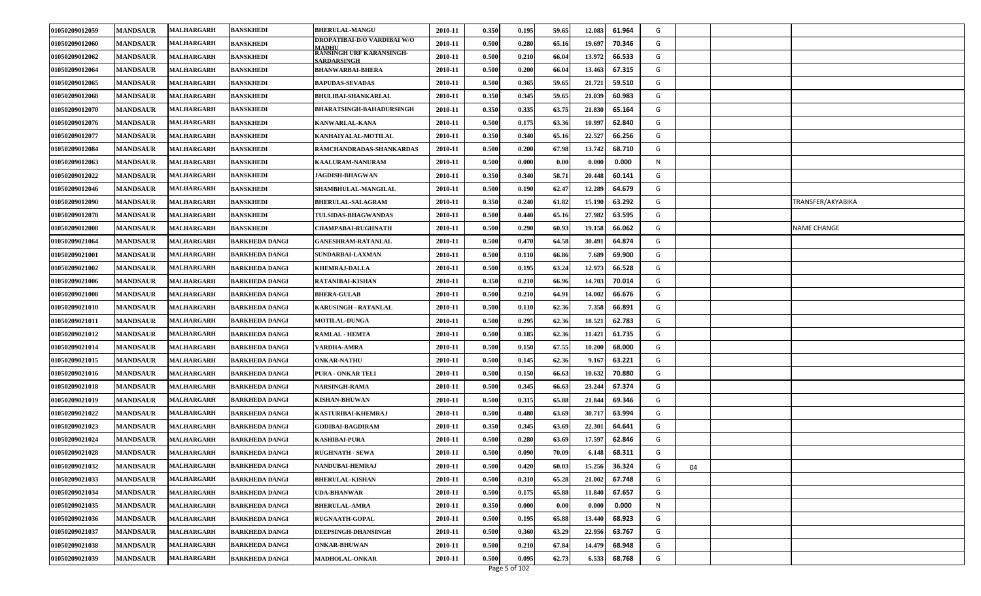| )ROPATIBAI-D/O VARDIBAI W/O<br>0.500<br>0.280<br>01050209012060<br><b>MANDSAUR</b><br>MALHARGARH<br>BANSKHEDI<br>2010-11<br>65.16<br>19.697<br>70.346<br>G<br>MADHU<br><b>RANSINGH URF KARANSINGH-</b><br>01050209012062<br><b>MANDSAUR</b><br>MALHARGARH<br><b>BANSKHEDI</b><br>2010-11<br>0.500<br>0.210<br>66.04<br>13.972<br>66.533<br>G<br><b>SARDARSINGH</b><br>01050209012064<br><b>MANDSAUR</b><br><b>MALHARGARH</b><br>2010-11<br>0.500<br>0.200<br>66.04<br>13.463<br>67.315<br>G<br><b>BANSKHEDI</b><br><b>BHANWARBAI-BHERA</b><br>01050209012065<br><b>MANDSAUR</b><br><b>BAPUDAS-SEVADAS</b><br>2010-11<br>0.500<br>0.365<br>59.65<br>21.721<br>59.510<br>G<br>MALHARGARH<br><b>BANSKHEDI</b><br>0.345<br>01050209012068<br><b>MANDSAUR</b><br><b>BANSKHEDI</b><br>2010-11<br>0.350<br>59.65<br>21.039<br>60.983<br>G<br>MALHARGARH<br><b>BHULIBAI-SHANKARLAL</b><br><b>BANSKHEDI</b><br><b>BHARATSINGH-BAHADURSINGH</b><br>0.350<br>0.335<br>21.830<br>01050209012070<br><b>MANDSAUR</b><br><b>MALHARGARH</b><br>2010-11<br>63.75<br>65.164<br>G<br>0.500<br>0.175<br>01050209012076<br><b>MANDSAUR</b><br>MALHARGARH<br><b>BANSKHEDI</b><br>KANWARLAL-KANA<br>2010-11<br>63.36<br>10.997<br>62.840<br>G<br>01050209012077<br><b>MANDSAUR</b><br>0.350<br>0.340<br>22.527<br>66.256<br>MALHARGARH<br><b>BANSKHEDI</b><br>2010-11<br>65.16<br>G<br>KANHAIYALAL-MOTILAL<br>13.742<br>01050209012084<br><b>MANDSAUR</b><br>MALHARGARH<br><b>BANSKHEDI</b><br>2010-11<br>0.500<br>0.200<br>67.98<br>68.710<br>G<br>RAMCHANDRADAS-SHANKARDAS<br>0.000<br>01050209012063<br><b>MANDSAUR</b><br>2010-11<br>0.500<br>0.000<br>0.00<br>0.000<br>N<br><b>MALHARGARH</b><br><b>BANSKHEDI</b><br>KAALURAM-NANURAM<br>01050209012022<br><b>MANDSAUR</b><br>0.350<br>0.340<br>58.71<br>20.448<br>60.141<br>G<br>BANSKHEDI<br>2010-11<br><b>MALHARGARH</b><br><b>JAGDISH-BHAGWAN</b><br>0.500<br>0.190<br>62.47<br>12.289<br>01050209012046<br><b>MANDSAUR</b><br>MALHARGARH<br>BANSKHEDI<br>SHAMBHULAL-MANGILAL<br>64.679<br>G<br>2010-11<br><b>MANDSAUR</b><br><b>BANSKHEDI</b><br>2010-11<br>0.350<br>0.240<br>61.82<br>15.190<br>63.292<br>G<br>TRANSFER/AKYABIKA<br>01050209012090<br><b>MALHARGARH</b><br><b>BHERULAL-SALAGRAM</b><br><b>MALHARGARH</b><br>0.500<br>0.440<br>27.982<br>63.595<br>01050209012078<br><b>MANDSAUR</b><br>2010-11<br>65.16<br>G<br><b>BANSKHEDI</b><br><b>TULSIDAS-BHAGWANDAS</b><br>MALHARGARH<br>0.500<br>0.290<br>60.93<br>19.158<br>66.062<br>G<br>01050209012008<br><b>MANDSAUR</b><br><b>BANSKHEDI</b><br><b>CHAMPABAI-RUGHNATH</b><br>2010-11<br>NAME CHANGE<br>0.500<br>0.470<br>64.58<br>30.491<br>64.874<br>01050209021064<br><b>MANDSAUR</b><br>2010-11<br>G<br>MALHARGARH<br><b>BARKHEDA DANGI</b><br><b>GANESHRAM-RATANLAL</b><br><b>MANDSAUR</b><br>2010-11<br>0.500<br>0.110<br>66.86<br>7.689<br>69.900<br>G<br>01050209021001<br>MALHARGARH<br><b>BARKHEDA DANGI</b><br><b>SUNDARBAI-LAXMAN</b><br>12.973<br><b>MANDSAUR</b><br><b>MALHARGARH</b><br><b>BARKHEDA DANGI</b><br><b>KHEMRAJ-DALLA</b><br>2010-11<br>0.500<br>0.195<br>63.24<br>66.528<br>01050209021002<br>G<br>01050209021006<br><b>MANDSAUR</b><br>2010-11<br>0.350<br>0.210<br>66.96<br>70.014<br><b>MALHARGARH</b><br><b>BARKHEDA DANGI</b><br><b>RATANIBAI-KISHAN</b><br>14.703<br>G<br>01050209021008<br><b>MANDSAUR</b><br><b>MALHARGARH</b><br>2010-11<br>0.500<br>0.210<br>64.91<br>14.002<br>66.676<br>G<br><b>BARKHEDA DANGI</b><br><b>BHERA-GULAB</b><br>01050209021010<br><b>MANDSAUR</b><br>2010-11<br>0.500<br>0.110<br>62.36<br>7.358<br>66.891<br>G<br><b>MALHARGARH</b><br><b>BARKHEDA DANGI</b><br><b>KARUSINGH - RATANLAL</b><br>0.500<br>62.36<br>18.521<br><b>MANDSAUR</b><br>2010-11<br>0.295<br>62.783<br>G<br>01050209021011<br><b>MALHARGARH</b><br><b>BARKHEDA DANGI</b><br><b>MOTILAL-DUNGA</b><br>01050209021012<br><b>MANDSAUR</b><br>2010-11<br>0.500<br>0.185<br>62.36<br>11.421<br>61.735<br>G<br>MALHARGARH<br><b>BARKHEDA DANGI</b><br><b>RAMLAL - HEMTA</b><br>0.150<br>67.55<br>01050209021014<br><b>MANDSAUR</b><br>MALHARGARH<br><b>BARKHEDA DANGI</b><br><b>VARDHA-AMRA</b><br>2010-11<br>0.500<br>10.200<br>68.000<br>G<br>01050209021015<br><b>MANDSAUR</b><br><b>MALHARGARH</b><br><b>BARKHEDA DANGI</b><br><b>ONKAR-NATHU</b><br>2010-11<br>0.500<br>0.145<br>62.36<br>9.167<br>63.221<br>G<br>01050209021016<br><b>MANDSAUR</b><br><b>MALHARGARH</b><br>2010-11<br>0.500<br>0.150<br>66.63<br>10.632<br>70.880<br>G<br><b>BARKHEDA DANGI</b><br>PURA - ONKAR TELI<br>01050209021018<br><b>MANDSAUR</b><br>2010-11<br>0.500<br>0.345<br>66.63<br>23.244<br>67.374<br>G<br>MALHARGARH<br><b>NARSINGH-RAMA</b><br><b>BARKHEDA DANGI</b><br>01050209021019<br><b>MANDSAUR</b><br>2010-11<br>0.500<br>0.315<br>65.88<br>21.844<br>69.346<br>G<br>MALHARGARH<br><b>BARKHEDA DANGI</b><br><b>KISHAN-BHUWAN</b><br><b>MANDSAUR</b><br>0.500<br>0.480<br>30.717<br>63.994<br>01050209021022<br><b>MALHARGARH</b><br><b>BARKHEDA DANGI</b><br>KASTURIBAI-KHEMRAJ<br>2010-11<br>63.69<br>G<br>0.350<br>22.301<br>01050209021023<br><b>MANDSAUR</b><br>MALHARGARH<br><b>GODIBAI-BAGDIRAM</b><br>2010-11<br>0.345<br>63.69<br>64.641<br>G<br><b>BARKHEDA DANGI</b><br>0.500<br>0.280<br>62.846<br>01050209021024<br><b>MANDSAUR</b><br>MALHARGARH<br>2010-11<br>63.69<br>17.597<br>G<br><b>BARKHEDA DANGI</b><br><b>KASHIBAI-PURA</b><br>01050209021028<br><b>MANDSAUR</b><br>0.500<br>0.090<br>70.09<br>68.311<br>G<br><b>MALHARGARH</b><br>2010-11<br>6.148<br><b>BARKHEDA DANGI</b><br><b>RUGHNATH - SEWA</b><br>01050209021032<br><b>MANDSAUR</b><br>2010-11<br>0.500<br>0.420<br>60.03<br>15.256<br>36.324<br>G<br><b>BARKHEDA DANGI</b><br>NANDUBAI-HEMRAJ<br>MALHARGARH<br>04<br>0.500<br>G<br>01050209021033<br><b>MANDSAUR</b><br>2010-11<br>0.310<br>65.28<br>21.002<br>67.748<br>MALHARGARH<br><b>BARKHEDA DANGI</b><br><b>BHERULAL-KISHAN</b><br>0.175<br>01050209021034<br><b>MANDSAUR</b><br><b>MALHARGARH</b><br><b>BARKHEDA DANGI</b><br><b>UDA-BHANWAR</b><br>2010-11<br>0.500<br>65.88<br>11.840<br>67.657<br>G<br>01050209021035<br>0.350<br>0.000<br>N<br><b>MANDSAUR</b><br>MALHARGARH<br><b>BARKHEDA DANGI</b><br><b>BHERULAL-AMRA</b><br>2010-11<br>0.00<br>0.000<br>0.000<br>01050209021036<br><b>MANDSAUR</b><br><b>MALHARGARH</b><br>0.500<br>0.195<br>65.88<br>13.440<br>68.923<br>G<br>2010-11<br><b>BARKHEDA DANGI</b><br><b>RUGNAATH-GOPAL</b><br>01050209021037<br>0.500<br>0.360<br>G<br><b>MANDSAUR</b><br>MALHARGARH<br>2010-11<br>63.29<br>22.956<br>63.767<br><b>BARKHEDA DANGI</b><br>DEEPSINGH-DHANSINGH<br>01050209021038<br>2010-11<br>0.500<br>0.210<br>67.84<br>14.479<br>68.948<br>G<br><b>MANDSAUR</b><br><b>MALHARGARH</b><br><b>BARKHEDA DANGI</b><br><b>ONKAR-BHUWAN</b><br>01050209021039<br>0.500<br>0.095<br>62.73<br>6.533<br>68.768<br>G<br><b>MANDSAUR</b><br>2010-11<br>MALHARGARH<br><b>BARKHEDA DANGI</b><br><b>MADHOLAL-ONKAR</b><br>Page 5 of 102 | 01050209012059 | <b>MANDSAUR</b> | MALHARGARH | <b>BANSKHEDI</b> | <b>BHERULAL-MANGU</b> | 2010-11 | 0.350 | 0.195 | 59.65 | 12.083 | 61.964 | G |  |
|------------------------------------------------------------------------------------------------------------------------------------------------------------------------------------------------------------------------------------------------------------------------------------------------------------------------------------------------------------------------------------------------------------------------------------------------------------------------------------------------------------------------------------------------------------------------------------------------------------------------------------------------------------------------------------------------------------------------------------------------------------------------------------------------------------------------------------------------------------------------------------------------------------------------------------------------------------------------------------------------------------------------------------------------------------------------------------------------------------------------------------------------------------------------------------------------------------------------------------------------------------------------------------------------------------------------------------------------------------------------------------------------------------------------------------------------------------------------------------------------------------------------------------------------------------------------------------------------------------------------------------------------------------------------------------------------------------------------------------------------------------------------------------------------------------------------------------------------------------------------------------------------------------------------------------------------------------------------------------------------------------------------------------------------------------------------------------------------------------------------------------------------------------------------------------------------------------------------------------------------------------------------------------------------------------------------------------------------------------------------------------------------------------------------------------------------------------------------------------------------------------------------------------------------------------------------------------------------------------------------------------------------------------------------------------------------------------------------------------------------------------------------------------------------------------------------------------------------------------------------------------------------------------------------------------------------------------------------------------------------------------------------------------------------------------------------------------------------------------------------------------------------------------------------------------------------------------------------------------------------------------------------------------------------------------------------------------------------------------------------------------------------------------------------------------------------------------------------------------------------------------------------------------------------------------------------------------------------------------------------------------------------------------------------------------------------------------------------------------------------------------------------------------------------------------------------------------------------------------------------------------------------------------------------------------------------------------------------------------------------------------------------------------------------------------------------------------------------------------------------------------------------------------------------------------------------------------------------------------------------------------------------------------------------------------------------------------------------------------------------------------------------------------------------------------------------------------------------------------------------------------------------------------------------------------------------------------------------------------------------------------------------------------------------------------------------------------------------------------------------------------------------------------------------------------------------------------------------------------------------------------------------------------------------------------------------------------------------------------------------------------------------------------------------------------------------------------------------------------------------------------------------------------------------------------------------------------------------------------------------------------------------------------------------------------------------------------------------------------------------------------------------------------------------------------------------------------------------------------------------------------------------------------------------------------------------------------------------------------------------------------------------------------------------------------------------------------------------------------------------------------------------------------------------------------------------------------------------------------------------------------------------------------------------------------------------------------------------------------------------------------------------------------------------------------------------------------------------------------------------------------------------------------------------------------------------------------------------------------------------------------------------------------------------------------------------------------------------------------------------------------------------------------------------------------------------------------------------------------------------------------------------------------------------------------------------------------------------------------------------------------------------------------------------------------------------------------------------------------------------------------------------------------------------------------------------------------------------------------------------------------------------------------------------------------------------------------|----------------|-----------------|------------|------------------|-----------------------|---------|-------|-------|-------|--------|--------|---|--|
|                                                                                                                                                                                                                                                                                                                                                                                                                                                                                                                                                                                                                                                                                                                                                                                                                                                                                                                                                                                                                                                                                                                                                                                                                                                                                                                                                                                                                                                                                                                                                                                                                                                                                                                                                                                                                                                                                                                                                                                                                                                                                                                                                                                                                                                                                                                                                                                                                                                                                                                                                                                                                                                                                                                                                                                                                                                                                                                                                                                                                                                                                                                                                                                                                                                                                                                                                                                                                                                                                                                                                                                                                                                                                                                                                                                                                                                                                                                                                                                                                                                                                                                                                                                                                                                                                                                                                                                                                                                                                                                                                                                                                                                                                                                                                                                                                                                                                                                                                                                                                                                                                                                                                                                                                                                                                                                                                                                                                                                                                                                                                                                                                                                                                                                                                                                                                                                                                                                                                                                                                                                                                                                                                                                                                                                                                                                                                                                                                                                                                                                                                                                                                                                                                                                                                                                                                                                                                                                                                            |                |                 |            |                  |                       |         |       |       |       |        |        |   |  |
|                                                                                                                                                                                                                                                                                                                                                                                                                                                                                                                                                                                                                                                                                                                                                                                                                                                                                                                                                                                                                                                                                                                                                                                                                                                                                                                                                                                                                                                                                                                                                                                                                                                                                                                                                                                                                                                                                                                                                                                                                                                                                                                                                                                                                                                                                                                                                                                                                                                                                                                                                                                                                                                                                                                                                                                                                                                                                                                                                                                                                                                                                                                                                                                                                                                                                                                                                                                                                                                                                                                                                                                                                                                                                                                                                                                                                                                                                                                                                                                                                                                                                                                                                                                                                                                                                                                                                                                                                                                                                                                                                                                                                                                                                                                                                                                                                                                                                                                                                                                                                                                                                                                                                                                                                                                                                                                                                                                                                                                                                                                                                                                                                                                                                                                                                                                                                                                                                                                                                                                                                                                                                                                                                                                                                                                                                                                                                                                                                                                                                                                                                                                                                                                                                                                                                                                                                                                                                                                                                            |                |                 |            |                  |                       |         |       |       |       |        |        |   |  |
|                                                                                                                                                                                                                                                                                                                                                                                                                                                                                                                                                                                                                                                                                                                                                                                                                                                                                                                                                                                                                                                                                                                                                                                                                                                                                                                                                                                                                                                                                                                                                                                                                                                                                                                                                                                                                                                                                                                                                                                                                                                                                                                                                                                                                                                                                                                                                                                                                                                                                                                                                                                                                                                                                                                                                                                                                                                                                                                                                                                                                                                                                                                                                                                                                                                                                                                                                                                                                                                                                                                                                                                                                                                                                                                                                                                                                                                                                                                                                                                                                                                                                                                                                                                                                                                                                                                                                                                                                                                                                                                                                                                                                                                                                                                                                                                                                                                                                                                                                                                                                                                                                                                                                                                                                                                                                                                                                                                                                                                                                                                                                                                                                                                                                                                                                                                                                                                                                                                                                                                                                                                                                                                                                                                                                                                                                                                                                                                                                                                                                                                                                                                                                                                                                                                                                                                                                                                                                                                                                            |                |                 |            |                  |                       |         |       |       |       |        |        |   |  |
|                                                                                                                                                                                                                                                                                                                                                                                                                                                                                                                                                                                                                                                                                                                                                                                                                                                                                                                                                                                                                                                                                                                                                                                                                                                                                                                                                                                                                                                                                                                                                                                                                                                                                                                                                                                                                                                                                                                                                                                                                                                                                                                                                                                                                                                                                                                                                                                                                                                                                                                                                                                                                                                                                                                                                                                                                                                                                                                                                                                                                                                                                                                                                                                                                                                                                                                                                                                                                                                                                                                                                                                                                                                                                                                                                                                                                                                                                                                                                                                                                                                                                                                                                                                                                                                                                                                                                                                                                                                                                                                                                                                                                                                                                                                                                                                                                                                                                                                                                                                                                                                                                                                                                                                                                                                                                                                                                                                                                                                                                                                                                                                                                                                                                                                                                                                                                                                                                                                                                                                                                                                                                                                                                                                                                                                                                                                                                                                                                                                                                                                                                                                                                                                                                                                                                                                                                                                                                                                                                            |                |                 |            |                  |                       |         |       |       |       |        |        |   |  |
|                                                                                                                                                                                                                                                                                                                                                                                                                                                                                                                                                                                                                                                                                                                                                                                                                                                                                                                                                                                                                                                                                                                                                                                                                                                                                                                                                                                                                                                                                                                                                                                                                                                                                                                                                                                                                                                                                                                                                                                                                                                                                                                                                                                                                                                                                                                                                                                                                                                                                                                                                                                                                                                                                                                                                                                                                                                                                                                                                                                                                                                                                                                                                                                                                                                                                                                                                                                                                                                                                                                                                                                                                                                                                                                                                                                                                                                                                                                                                                                                                                                                                                                                                                                                                                                                                                                                                                                                                                                                                                                                                                                                                                                                                                                                                                                                                                                                                                                                                                                                                                                                                                                                                                                                                                                                                                                                                                                                                                                                                                                                                                                                                                                                                                                                                                                                                                                                                                                                                                                                                                                                                                                                                                                                                                                                                                                                                                                                                                                                                                                                                                                                                                                                                                                                                                                                                                                                                                                                                            |                |                 |            |                  |                       |         |       |       |       |        |        |   |  |
|                                                                                                                                                                                                                                                                                                                                                                                                                                                                                                                                                                                                                                                                                                                                                                                                                                                                                                                                                                                                                                                                                                                                                                                                                                                                                                                                                                                                                                                                                                                                                                                                                                                                                                                                                                                                                                                                                                                                                                                                                                                                                                                                                                                                                                                                                                                                                                                                                                                                                                                                                                                                                                                                                                                                                                                                                                                                                                                                                                                                                                                                                                                                                                                                                                                                                                                                                                                                                                                                                                                                                                                                                                                                                                                                                                                                                                                                                                                                                                                                                                                                                                                                                                                                                                                                                                                                                                                                                                                                                                                                                                                                                                                                                                                                                                                                                                                                                                                                                                                                                                                                                                                                                                                                                                                                                                                                                                                                                                                                                                                                                                                                                                                                                                                                                                                                                                                                                                                                                                                                                                                                                                                                                                                                                                                                                                                                                                                                                                                                                                                                                                                                                                                                                                                                                                                                                                                                                                                                                            |                |                 |            |                  |                       |         |       |       |       |        |        |   |  |
|                                                                                                                                                                                                                                                                                                                                                                                                                                                                                                                                                                                                                                                                                                                                                                                                                                                                                                                                                                                                                                                                                                                                                                                                                                                                                                                                                                                                                                                                                                                                                                                                                                                                                                                                                                                                                                                                                                                                                                                                                                                                                                                                                                                                                                                                                                                                                                                                                                                                                                                                                                                                                                                                                                                                                                                                                                                                                                                                                                                                                                                                                                                                                                                                                                                                                                                                                                                                                                                                                                                                                                                                                                                                                                                                                                                                                                                                                                                                                                                                                                                                                                                                                                                                                                                                                                                                                                                                                                                                                                                                                                                                                                                                                                                                                                                                                                                                                                                                                                                                                                                                                                                                                                                                                                                                                                                                                                                                                                                                                                                                                                                                                                                                                                                                                                                                                                                                                                                                                                                                                                                                                                                                                                                                                                                                                                                                                                                                                                                                                                                                                                                                                                                                                                                                                                                                                                                                                                                                                            |                |                 |            |                  |                       |         |       |       |       |        |        |   |  |
|                                                                                                                                                                                                                                                                                                                                                                                                                                                                                                                                                                                                                                                                                                                                                                                                                                                                                                                                                                                                                                                                                                                                                                                                                                                                                                                                                                                                                                                                                                                                                                                                                                                                                                                                                                                                                                                                                                                                                                                                                                                                                                                                                                                                                                                                                                                                                                                                                                                                                                                                                                                                                                                                                                                                                                                                                                                                                                                                                                                                                                                                                                                                                                                                                                                                                                                                                                                                                                                                                                                                                                                                                                                                                                                                                                                                                                                                                                                                                                                                                                                                                                                                                                                                                                                                                                                                                                                                                                                                                                                                                                                                                                                                                                                                                                                                                                                                                                                                                                                                                                                                                                                                                                                                                                                                                                                                                                                                                                                                                                                                                                                                                                                                                                                                                                                                                                                                                                                                                                                                                                                                                                                                                                                                                                                                                                                                                                                                                                                                                                                                                                                                                                                                                                                                                                                                                                                                                                                                                            |                |                 |            |                  |                       |         |       |       |       |        |        |   |  |
|                                                                                                                                                                                                                                                                                                                                                                                                                                                                                                                                                                                                                                                                                                                                                                                                                                                                                                                                                                                                                                                                                                                                                                                                                                                                                                                                                                                                                                                                                                                                                                                                                                                                                                                                                                                                                                                                                                                                                                                                                                                                                                                                                                                                                                                                                                                                                                                                                                                                                                                                                                                                                                                                                                                                                                                                                                                                                                                                                                                                                                                                                                                                                                                                                                                                                                                                                                                                                                                                                                                                                                                                                                                                                                                                                                                                                                                                                                                                                                                                                                                                                                                                                                                                                                                                                                                                                                                                                                                                                                                                                                                                                                                                                                                                                                                                                                                                                                                                                                                                                                                                                                                                                                                                                                                                                                                                                                                                                                                                                                                                                                                                                                                                                                                                                                                                                                                                                                                                                                                                                                                                                                                                                                                                                                                                                                                                                                                                                                                                                                                                                                                                                                                                                                                                                                                                                                                                                                                                                            |                |                 |            |                  |                       |         |       |       |       |        |        |   |  |
|                                                                                                                                                                                                                                                                                                                                                                                                                                                                                                                                                                                                                                                                                                                                                                                                                                                                                                                                                                                                                                                                                                                                                                                                                                                                                                                                                                                                                                                                                                                                                                                                                                                                                                                                                                                                                                                                                                                                                                                                                                                                                                                                                                                                                                                                                                                                                                                                                                                                                                                                                                                                                                                                                                                                                                                                                                                                                                                                                                                                                                                                                                                                                                                                                                                                                                                                                                                                                                                                                                                                                                                                                                                                                                                                                                                                                                                                                                                                                                                                                                                                                                                                                                                                                                                                                                                                                                                                                                                                                                                                                                                                                                                                                                                                                                                                                                                                                                                                                                                                                                                                                                                                                                                                                                                                                                                                                                                                                                                                                                                                                                                                                                                                                                                                                                                                                                                                                                                                                                                                                                                                                                                                                                                                                                                                                                                                                                                                                                                                                                                                                                                                                                                                                                                                                                                                                                                                                                                                                            |                |                 |            |                  |                       |         |       |       |       |        |        |   |  |
|                                                                                                                                                                                                                                                                                                                                                                                                                                                                                                                                                                                                                                                                                                                                                                                                                                                                                                                                                                                                                                                                                                                                                                                                                                                                                                                                                                                                                                                                                                                                                                                                                                                                                                                                                                                                                                                                                                                                                                                                                                                                                                                                                                                                                                                                                                                                                                                                                                                                                                                                                                                                                                                                                                                                                                                                                                                                                                                                                                                                                                                                                                                                                                                                                                                                                                                                                                                                                                                                                                                                                                                                                                                                                                                                                                                                                                                                                                                                                                                                                                                                                                                                                                                                                                                                                                                                                                                                                                                                                                                                                                                                                                                                                                                                                                                                                                                                                                                                                                                                                                                                                                                                                                                                                                                                                                                                                                                                                                                                                                                                                                                                                                                                                                                                                                                                                                                                                                                                                                                                                                                                                                                                                                                                                                                                                                                                                                                                                                                                                                                                                                                                                                                                                                                                                                                                                                                                                                                                                            |                |                 |            |                  |                       |         |       |       |       |        |        |   |  |
|                                                                                                                                                                                                                                                                                                                                                                                                                                                                                                                                                                                                                                                                                                                                                                                                                                                                                                                                                                                                                                                                                                                                                                                                                                                                                                                                                                                                                                                                                                                                                                                                                                                                                                                                                                                                                                                                                                                                                                                                                                                                                                                                                                                                                                                                                                                                                                                                                                                                                                                                                                                                                                                                                                                                                                                                                                                                                                                                                                                                                                                                                                                                                                                                                                                                                                                                                                                                                                                                                                                                                                                                                                                                                                                                                                                                                                                                                                                                                                                                                                                                                                                                                                                                                                                                                                                                                                                                                                                                                                                                                                                                                                                                                                                                                                                                                                                                                                                                                                                                                                                                                                                                                                                                                                                                                                                                                                                                                                                                                                                                                                                                                                                                                                                                                                                                                                                                                                                                                                                                                                                                                                                                                                                                                                                                                                                                                                                                                                                                                                                                                                                                                                                                                                                                                                                                                                                                                                                                                            |                |                 |            |                  |                       |         |       |       |       |        |        |   |  |
|                                                                                                                                                                                                                                                                                                                                                                                                                                                                                                                                                                                                                                                                                                                                                                                                                                                                                                                                                                                                                                                                                                                                                                                                                                                                                                                                                                                                                                                                                                                                                                                                                                                                                                                                                                                                                                                                                                                                                                                                                                                                                                                                                                                                                                                                                                                                                                                                                                                                                                                                                                                                                                                                                                                                                                                                                                                                                                                                                                                                                                                                                                                                                                                                                                                                                                                                                                                                                                                                                                                                                                                                                                                                                                                                                                                                                                                                                                                                                                                                                                                                                                                                                                                                                                                                                                                                                                                                                                                                                                                                                                                                                                                                                                                                                                                                                                                                                                                                                                                                                                                                                                                                                                                                                                                                                                                                                                                                                                                                                                                                                                                                                                                                                                                                                                                                                                                                                                                                                                                                                                                                                                                                                                                                                                                                                                                                                                                                                                                                                                                                                                                                                                                                                                                                                                                                                                                                                                                                                            |                |                 |            |                  |                       |         |       |       |       |        |        |   |  |
|                                                                                                                                                                                                                                                                                                                                                                                                                                                                                                                                                                                                                                                                                                                                                                                                                                                                                                                                                                                                                                                                                                                                                                                                                                                                                                                                                                                                                                                                                                                                                                                                                                                                                                                                                                                                                                                                                                                                                                                                                                                                                                                                                                                                                                                                                                                                                                                                                                                                                                                                                                                                                                                                                                                                                                                                                                                                                                                                                                                                                                                                                                                                                                                                                                                                                                                                                                                                                                                                                                                                                                                                                                                                                                                                                                                                                                                                                                                                                                                                                                                                                                                                                                                                                                                                                                                                                                                                                                                                                                                                                                                                                                                                                                                                                                                                                                                                                                                                                                                                                                                                                                                                                                                                                                                                                                                                                                                                                                                                                                                                                                                                                                                                                                                                                                                                                                                                                                                                                                                                                                                                                                                                                                                                                                                                                                                                                                                                                                                                                                                                                                                                                                                                                                                                                                                                                                                                                                                                                            |                |                 |            |                  |                       |         |       |       |       |        |        |   |  |
|                                                                                                                                                                                                                                                                                                                                                                                                                                                                                                                                                                                                                                                                                                                                                                                                                                                                                                                                                                                                                                                                                                                                                                                                                                                                                                                                                                                                                                                                                                                                                                                                                                                                                                                                                                                                                                                                                                                                                                                                                                                                                                                                                                                                                                                                                                                                                                                                                                                                                                                                                                                                                                                                                                                                                                                                                                                                                                                                                                                                                                                                                                                                                                                                                                                                                                                                                                                                                                                                                                                                                                                                                                                                                                                                                                                                                                                                                                                                                                                                                                                                                                                                                                                                                                                                                                                                                                                                                                                                                                                                                                                                                                                                                                                                                                                                                                                                                                                                                                                                                                                                                                                                                                                                                                                                                                                                                                                                                                                                                                                                                                                                                                                                                                                                                                                                                                                                                                                                                                                                                                                                                                                                                                                                                                                                                                                                                                                                                                                                                                                                                                                                                                                                                                                                                                                                                                                                                                                                                            |                |                 |            |                  |                       |         |       |       |       |        |        |   |  |
|                                                                                                                                                                                                                                                                                                                                                                                                                                                                                                                                                                                                                                                                                                                                                                                                                                                                                                                                                                                                                                                                                                                                                                                                                                                                                                                                                                                                                                                                                                                                                                                                                                                                                                                                                                                                                                                                                                                                                                                                                                                                                                                                                                                                                                                                                                                                                                                                                                                                                                                                                                                                                                                                                                                                                                                                                                                                                                                                                                                                                                                                                                                                                                                                                                                                                                                                                                                                                                                                                                                                                                                                                                                                                                                                                                                                                                                                                                                                                                                                                                                                                                                                                                                                                                                                                                                                                                                                                                                                                                                                                                                                                                                                                                                                                                                                                                                                                                                                                                                                                                                                                                                                                                                                                                                                                                                                                                                                                                                                                                                                                                                                                                                                                                                                                                                                                                                                                                                                                                                                                                                                                                                                                                                                                                                                                                                                                                                                                                                                                                                                                                                                                                                                                                                                                                                                                                                                                                                                                            |                |                 |            |                  |                       |         |       |       |       |        |        |   |  |
|                                                                                                                                                                                                                                                                                                                                                                                                                                                                                                                                                                                                                                                                                                                                                                                                                                                                                                                                                                                                                                                                                                                                                                                                                                                                                                                                                                                                                                                                                                                                                                                                                                                                                                                                                                                                                                                                                                                                                                                                                                                                                                                                                                                                                                                                                                                                                                                                                                                                                                                                                                                                                                                                                                                                                                                                                                                                                                                                                                                                                                                                                                                                                                                                                                                                                                                                                                                                                                                                                                                                                                                                                                                                                                                                                                                                                                                                                                                                                                                                                                                                                                                                                                                                                                                                                                                                                                                                                                                                                                                                                                                                                                                                                                                                                                                                                                                                                                                                                                                                                                                                                                                                                                                                                                                                                                                                                                                                                                                                                                                                                                                                                                                                                                                                                                                                                                                                                                                                                                                                                                                                                                                                                                                                                                                                                                                                                                                                                                                                                                                                                                                                                                                                                                                                                                                                                                                                                                                                                            |                |                 |            |                  |                       |         |       |       |       |        |        |   |  |
|                                                                                                                                                                                                                                                                                                                                                                                                                                                                                                                                                                                                                                                                                                                                                                                                                                                                                                                                                                                                                                                                                                                                                                                                                                                                                                                                                                                                                                                                                                                                                                                                                                                                                                                                                                                                                                                                                                                                                                                                                                                                                                                                                                                                                                                                                                                                                                                                                                                                                                                                                                                                                                                                                                                                                                                                                                                                                                                                                                                                                                                                                                                                                                                                                                                                                                                                                                                                                                                                                                                                                                                                                                                                                                                                                                                                                                                                                                                                                                                                                                                                                                                                                                                                                                                                                                                                                                                                                                                                                                                                                                                                                                                                                                                                                                                                                                                                                                                                                                                                                                                                                                                                                                                                                                                                                                                                                                                                                                                                                                                                                                                                                                                                                                                                                                                                                                                                                                                                                                                                                                                                                                                                                                                                                                                                                                                                                                                                                                                                                                                                                                                                                                                                                                                                                                                                                                                                                                                                                            |                |                 |            |                  |                       |         |       |       |       |        |        |   |  |
|                                                                                                                                                                                                                                                                                                                                                                                                                                                                                                                                                                                                                                                                                                                                                                                                                                                                                                                                                                                                                                                                                                                                                                                                                                                                                                                                                                                                                                                                                                                                                                                                                                                                                                                                                                                                                                                                                                                                                                                                                                                                                                                                                                                                                                                                                                                                                                                                                                                                                                                                                                                                                                                                                                                                                                                                                                                                                                                                                                                                                                                                                                                                                                                                                                                                                                                                                                                                                                                                                                                                                                                                                                                                                                                                                                                                                                                                                                                                                                                                                                                                                                                                                                                                                                                                                                                                                                                                                                                                                                                                                                                                                                                                                                                                                                                                                                                                                                                                                                                                                                                                                                                                                                                                                                                                                                                                                                                                                                                                                                                                                                                                                                                                                                                                                                                                                                                                                                                                                                                                                                                                                                                                                                                                                                                                                                                                                                                                                                                                                                                                                                                                                                                                                                                                                                                                                                                                                                                                                            |                |                 |            |                  |                       |         |       |       |       |        |        |   |  |
|                                                                                                                                                                                                                                                                                                                                                                                                                                                                                                                                                                                                                                                                                                                                                                                                                                                                                                                                                                                                                                                                                                                                                                                                                                                                                                                                                                                                                                                                                                                                                                                                                                                                                                                                                                                                                                                                                                                                                                                                                                                                                                                                                                                                                                                                                                                                                                                                                                                                                                                                                                                                                                                                                                                                                                                                                                                                                                                                                                                                                                                                                                                                                                                                                                                                                                                                                                                                                                                                                                                                                                                                                                                                                                                                                                                                                                                                                                                                                                                                                                                                                                                                                                                                                                                                                                                                                                                                                                                                                                                                                                                                                                                                                                                                                                                                                                                                                                                                                                                                                                                                                                                                                                                                                                                                                                                                                                                                                                                                                                                                                                                                                                                                                                                                                                                                                                                                                                                                                                                                                                                                                                                                                                                                                                                                                                                                                                                                                                                                                                                                                                                                                                                                                                                                                                                                                                                                                                                                                            |                |                 |            |                  |                       |         |       |       |       |        |        |   |  |
|                                                                                                                                                                                                                                                                                                                                                                                                                                                                                                                                                                                                                                                                                                                                                                                                                                                                                                                                                                                                                                                                                                                                                                                                                                                                                                                                                                                                                                                                                                                                                                                                                                                                                                                                                                                                                                                                                                                                                                                                                                                                                                                                                                                                                                                                                                                                                                                                                                                                                                                                                                                                                                                                                                                                                                                                                                                                                                                                                                                                                                                                                                                                                                                                                                                                                                                                                                                                                                                                                                                                                                                                                                                                                                                                                                                                                                                                                                                                                                                                                                                                                                                                                                                                                                                                                                                                                                                                                                                                                                                                                                                                                                                                                                                                                                                                                                                                                                                                                                                                                                                                                                                                                                                                                                                                                                                                                                                                                                                                                                                                                                                                                                                                                                                                                                                                                                                                                                                                                                                                                                                                                                                                                                                                                                                                                                                                                                                                                                                                                                                                                                                                                                                                                                                                                                                                                                                                                                                                                            |                |                 |            |                  |                       |         |       |       |       |        |        |   |  |
|                                                                                                                                                                                                                                                                                                                                                                                                                                                                                                                                                                                                                                                                                                                                                                                                                                                                                                                                                                                                                                                                                                                                                                                                                                                                                                                                                                                                                                                                                                                                                                                                                                                                                                                                                                                                                                                                                                                                                                                                                                                                                                                                                                                                                                                                                                                                                                                                                                                                                                                                                                                                                                                                                                                                                                                                                                                                                                                                                                                                                                                                                                                                                                                                                                                                                                                                                                                                                                                                                                                                                                                                                                                                                                                                                                                                                                                                                                                                                                                                                                                                                                                                                                                                                                                                                                                                                                                                                                                                                                                                                                                                                                                                                                                                                                                                                                                                                                                                                                                                                                                                                                                                                                                                                                                                                                                                                                                                                                                                                                                                                                                                                                                                                                                                                                                                                                                                                                                                                                                                                                                                                                                                                                                                                                                                                                                                                                                                                                                                                                                                                                                                                                                                                                                                                                                                                                                                                                                                                            |                |                 |            |                  |                       |         |       |       |       |        |        |   |  |
|                                                                                                                                                                                                                                                                                                                                                                                                                                                                                                                                                                                                                                                                                                                                                                                                                                                                                                                                                                                                                                                                                                                                                                                                                                                                                                                                                                                                                                                                                                                                                                                                                                                                                                                                                                                                                                                                                                                                                                                                                                                                                                                                                                                                                                                                                                                                                                                                                                                                                                                                                                                                                                                                                                                                                                                                                                                                                                                                                                                                                                                                                                                                                                                                                                                                                                                                                                                                                                                                                                                                                                                                                                                                                                                                                                                                                                                                                                                                                                                                                                                                                                                                                                                                                                                                                                                                                                                                                                                                                                                                                                                                                                                                                                                                                                                                                                                                                                                                                                                                                                                                                                                                                                                                                                                                                                                                                                                                                                                                                                                                                                                                                                                                                                                                                                                                                                                                                                                                                                                                                                                                                                                                                                                                                                                                                                                                                                                                                                                                                                                                                                                                                                                                                                                                                                                                                                                                                                                                                            |                |                 |            |                  |                       |         |       |       |       |        |        |   |  |
|                                                                                                                                                                                                                                                                                                                                                                                                                                                                                                                                                                                                                                                                                                                                                                                                                                                                                                                                                                                                                                                                                                                                                                                                                                                                                                                                                                                                                                                                                                                                                                                                                                                                                                                                                                                                                                                                                                                                                                                                                                                                                                                                                                                                                                                                                                                                                                                                                                                                                                                                                                                                                                                                                                                                                                                                                                                                                                                                                                                                                                                                                                                                                                                                                                                                                                                                                                                                                                                                                                                                                                                                                                                                                                                                                                                                                                                                                                                                                                                                                                                                                                                                                                                                                                                                                                                                                                                                                                                                                                                                                                                                                                                                                                                                                                                                                                                                                                                                                                                                                                                                                                                                                                                                                                                                                                                                                                                                                                                                                                                                                                                                                                                                                                                                                                                                                                                                                                                                                                                                                                                                                                                                                                                                                                                                                                                                                                                                                                                                                                                                                                                                                                                                                                                                                                                                                                                                                                                                                            |                |                 |            |                  |                       |         |       |       |       |        |        |   |  |
|                                                                                                                                                                                                                                                                                                                                                                                                                                                                                                                                                                                                                                                                                                                                                                                                                                                                                                                                                                                                                                                                                                                                                                                                                                                                                                                                                                                                                                                                                                                                                                                                                                                                                                                                                                                                                                                                                                                                                                                                                                                                                                                                                                                                                                                                                                                                                                                                                                                                                                                                                                                                                                                                                                                                                                                                                                                                                                                                                                                                                                                                                                                                                                                                                                                                                                                                                                                                                                                                                                                                                                                                                                                                                                                                                                                                                                                                                                                                                                                                                                                                                                                                                                                                                                                                                                                                                                                                                                                                                                                                                                                                                                                                                                                                                                                                                                                                                                                                                                                                                                                                                                                                                                                                                                                                                                                                                                                                                                                                                                                                                                                                                                                                                                                                                                                                                                                                                                                                                                                                                                                                                                                                                                                                                                                                                                                                                                                                                                                                                                                                                                                                                                                                                                                                                                                                                                                                                                                                                            |                |                 |            |                  |                       |         |       |       |       |        |        |   |  |
|                                                                                                                                                                                                                                                                                                                                                                                                                                                                                                                                                                                                                                                                                                                                                                                                                                                                                                                                                                                                                                                                                                                                                                                                                                                                                                                                                                                                                                                                                                                                                                                                                                                                                                                                                                                                                                                                                                                                                                                                                                                                                                                                                                                                                                                                                                                                                                                                                                                                                                                                                                                                                                                                                                                                                                                                                                                                                                                                                                                                                                                                                                                                                                                                                                                                                                                                                                                                                                                                                                                                                                                                                                                                                                                                                                                                                                                                                                                                                                                                                                                                                                                                                                                                                                                                                                                                                                                                                                                                                                                                                                                                                                                                                                                                                                                                                                                                                                                                                                                                                                                                                                                                                                                                                                                                                                                                                                                                                                                                                                                                                                                                                                                                                                                                                                                                                                                                                                                                                                                                                                                                                                                                                                                                                                                                                                                                                                                                                                                                                                                                                                                                                                                                                                                                                                                                                                                                                                                                                            |                |                 |            |                  |                       |         |       |       |       |        |        |   |  |
|                                                                                                                                                                                                                                                                                                                                                                                                                                                                                                                                                                                                                                                                                                                                                                                                                                                                                                                                                                                                                                                                                                                                                                                                                                                                                                                                                                                                                                                                                                                                                                                                                                                                                                                                                                                                                                                                                                                                                                                                                                                                                                                                                                                                                                                                                                                                                                                                                                                                                                                                                                                                                                                                                                                                                                                                                                                                                                                                                                                                                                                                                                                                                                                                                                                                                                                                                                                                                                                                                                                                                                                                                                                                                                                                                                                                                                                                                                                                                                                                                                                                                                                                                                                                                                                                                                                                                                                                                                                                                                                                                                                                                                                                                                                                                                                                                                                                                                                                                                                                                                                                                                                                                                                                                                                                                                                                                                                                                                                                                                                                                                                                                                                                                                                                                                                                                                                                                                                                                                                                                                                                                                                                                                                                                                                                                                                                                                                                                                                                                                                                                                                                                                                                                                                                                                                                                                                                                                                                                            |                |                 |            |                  |                       |         |       |       |       |        |        |   |  |
|                                                                                                                                                                                                                                                                                                                                                                                                                                                                                                                                                                                                                                                                                                                                                                                                                                                                                                                                                                                                                                                                                                                                                                                                                                                                                                                                                                                                                                                                                                                                                                                                                                                                                                                                                                                                                                                                                                                                                                                                                                                                                                                                                                                                                                                                                                                                                                                                                                                                                                                                                                                                                                                                                                                                                                                                                                                                                                                                                                                                                                                                                                                                                                                                                                                                                                                                                                                                                                                                                                                                                                                                                                                                                                                                                                                                                                                                                                                                                                                                                                                                                                                                                                                                                                                                                                                                                                                                                                                                                                                                                                                                                                                                                                                                                                                                                                                                                                                                                                                                                                                                                                                                                                                                                                                                                                                                                                                                                                                                                                                                                                                                                                                                                                                                                                                                                                                                                                                                                                                                                                                                                                                                                                                                                                                                                                                                                                                                                                                                                                                                                                                                                                                                                                                                                                                                                                                                                                                                                            |                |                 |            |                  |                       |         |       |       |       |        |        |   |  |
|                                                                                                                                                                                                                                                                                                                                                                                                                                                                                                                                                                                                                                                                                                                                                                                                                                                                                                                                                                                                                                                                                                                                                                                                                                                                                                                                                                                                                                                                                                                                                                                                                                                                                                                                                                                                                                                                                                                                                                                                                                                                                                                                                                                                                                                                                                                                                                                                                                                                                                                                                                                                                                                                                                                                                                                                                                                                                                                                                                                                                                                                                                                                                                                                                                                                                                                                                                                                                                                                                                                                                                                                                                                                                                                                                                                                                                                                                                                                                                                                                                                                                                                                                                                                                                                                                                                                                                                                                                                                                                                                                                                                                                                                                                                                                                                                                                                                                                                                                                                                                                                                                                                                                                                                                                                                                                                                                                                                                                                                                                                                                                                                                                                                                                                                                                                                                                                                                                                                                                                                                                                                                                                                                                                                                                                                                                                                                                                                                                                                                                                                                                                                                                                                                                                                                                                                                                                                                                                                                            |                |                 |            |                  |                       |         |       |       |       |        |        |   |  |
|                                                                                                                                                                                                                                                                                                                                                                                                                                                                                                                                                                                                                                                                                                                                                                                                                                                                                                                                                                                                                                                                                                                                                                                                                                                                                                                                                                                                                                                                                                                                                                                                                                                                                                                                                                                                                                                                                                                                                                                                                                                                                                                                                                                                                                                                                                                                                                                                                                                                                                                                                                                                                                                                                                                                                                                                                                                                                                                                                                                                                                                                                                                                                                                                                                                                                                                                                                                                                                                                                                                                                                                                                                                                                                                                                                                                                                                                                                                                                                                                                                                                                                                                                                                                                                                                                                                                                                                                                                                                                                                                                                                                                                                                                                                                                                                                                                                                                                                                                                                                                                                                                                                                                                                                                                                                                                                                                                                                                                                                                                                                                                                                                                                                                                                                                                                                                                                                                                                                                                                                                                                                                                                                                                                                                                                                                                                                                                                                                                                                                                                                                                                                                                                                                                                                                                                                                                                                                                                                                            |                |                 |            |                  |                       |         |       |       |       |        |        |   |  |
|                                                                                                                                                                                                                                                                                                                                                                                                                                                                                                                                                                                                                                                                                                                                                                                                                                                                                                                                                                                                                                                                                                                                                                                                                                                                                                                                                                                                                                                                                                                                                                                                                                                                                                                                                                                                                                                                                                                                                                                                                                                                                                                                                                                                                                                                                                                                                                                                                                                                                                                                                                                                                                                                                                                                                                                                                                                                                                                                                                                                                                                                                                                                                                                                                                                                                                                                                                                                                                                                                                                                                                                                                                                                                                                                                                                                                                                                                                                                                                                                                                                                                                                                                                                                                                                                                                                                                                                                                                                                                                                                                                                                                                                                                                                                                                                                                                                                                                                                                                                                                                                                                                                                                                                                                                                                                                                                                                                                                                                                                                                                                                                                                                                                                                                                                                                                                                                                                                                                                                                                                                                                                                                                                                                                                                                                                                                                                                                                                                                                                                                                                                                                                                                                                                                                                                                                                                                                                                                                                            |                |                 |            |                  |                       |         |       |       |       |        |        |   |  |
|                                                                                                                                                                                                                                                                                                                                                                                                                                                                                                                                                                                                                                                                                                                                                                                                                                                                                                                                                                                                                                                                                                                                                                                                                                                                                                                                                                                                                                                                                                                                                                                                                                                                                                                                                                                                                                                                                                                                                                                                                                                                                                                                                                                                                                                                                                                                                                                                                                                                                                                                                                                                                                                                                                                                                                                                                                                                                                                                                                                                                                                                                                                                                                                                                                                                                                                                                                                                                                                                                                                                                                                                                                                                                                                                                                                                                                                                                                                                                                                                                                                                                                                                                                                                                                                                                                                                                                                                                                                                                                                                                                                                                                                                                                                                                                                                                                                                                                                                                                                                                                                                                                                                                                                                                                                                                                                                                                                                                                                                                                                                                                                                                                                                                                                                                                                                                                                                                                                                                                                                                                                                                                                                                                                                                                                                                                                                                                                                                                                                                                                                                                                                                                                                                                                                                                                                                                                                                                                                                            |                |                 |            |                  |                       |         |       |       |       |        |        |   |  |
|                                                                                                                                                                                                                                                                                                                                                                                                                                                                                                                                                                                                                                                                                                                                                                                                                                                                                                                                                                                                                                                                                                                                                                                                                                                                                                                                                                                                                                                                                                                                                                                                                                                                                                                                                                                                                                                                                                                                                                                                                                                                                                                                                                                                                                                                                                                                                                                                                                                                                                                                                                                                                                                                                                                                                                                                                                                                                                                                                                                                                                                                                                                                                                                                                                                                                                                                                                                                                                                                                                                                                                                                                                                                                                                                                                                                                                                                                                                                                                                                                                                                                                                                                                                                                                                                                                                                                                                                                                                                                                                                                                                                                                                                                                                                                                                                                                                                                                                                                                                                                                                                                                                                                                                                                                                                                                                                                                                                                                                                                                                                                                                                                                                                                                                                                                                                                                                                                                                                                                                                                                                                                                                                                                                                                                                                                                                                                                                                                                                                                                                                                                                                                                                                                                                                                                                                                                                                                                                                                            |                |                 |            |                  |                       |         |       |       |       |        |        |   |  |
|                                                                                                                                                                                                                                                                                                                                                                                                                                                                                                                                                                                                                                                                                                                                                                                                                                                                                                                                                                                                                                                                                                                                                                                                                                                                                                                                                                                                                                                                                                                                                                                                                                                                                                                                                                                                                                                                                                                                                                                                                                                                                                                                                                                                                                                                                                                                                                                                                                                                                                                                                                                                                                                                                                                                                                                                                                                                                                                                                                                                                                                                                                                                                                                                                                                                                                                                                                                                                                                                                                                                                                                                                                                                                                                                                                                                                                                                                                                                                                                                                                                                                                                                                                                                                                                                                                                                                                                                                                                                                                                                                                                                                                                                                                                                                                                                                                                                                                                                                                                                                                                                                                                                                                                                                                                                                                                                                                                                                                                                                                                                                                                                                                                                                                                                                                                                                                                                                                                                                                                                                                                                                                                                                                                                                                                                                                                                                                                                                                                                                                                                                                                                                                                                                                                                                                                                                                                                                                                                                            |                |                 |            |                  |                       |         |       |       |       |        |        |   |  |
|                                                                                                                                                                                                                                                                                                                                                                                                                                                                                                                                                                                                                                                                                                                                                                                                                                                                                                                                                                                                                                                                                                                                                                                                                                                                                                                                                                                                                                                                                                                                                                                                                                                                                                                                                                                                                                                                                                                                                                                                                                                                                                                                                                                                                                                                                                                                                                                                                                                                                                                                                                                                                                                                                                                                                                                                                                                                                                                                                                                                                                                                                                                                                                                                                                                                                                                                                                                                                                                                                                                                                                                                                                                                                                                                                                                                                                                                                                                                                                                                                                                                                                                                                                                                                                                                                                                                                                                                                                                                                                                                                                                                                                                                                                                                                                                                                                                                                                                                                                                                                                                                                                                                                                                                                                                                                                                                                                                                                                                                                                                                                                                                                                                                                                                                                                                                                                                                                                                                                                                                                                                                                                                                                                                                                                                                                                                                                                                                                                                                                                                                                                                                                                                                                                                                                                                                                                                                                                                                                            |                |                 |            |                  |                       |         |       |       |       |        |        |   |  |
|                                                                                                                                                                                                                                                                                                                                                                                                                                                                                                                                                                                                                                                                                                                                                                                                                                                                                                                                                                                                                                                                                                                                                                                                                                                                                                                                                                                                                                                                                                                                                                                                                                                                                                                                                                                                                                                                                                                                                                                                                                                                                                                                                                                                                                                                                                                                                                                                                                                                                                                                                                                                                                                                                                                                                                                                                                                                                                                                                                                                                                                                                                                                                                                                                                                                                                                                                                                                                                                                                                                                                                                                                                                                                                                                                                                                                                                                                                                                                                                                                                                                                                                                                                                                                                                                                                                                                                                                                                                                                                                                                                                                                                                                                                                                                                                                                                                                                                                                                                                                                                                                                                                                                                                                                                                                                                                                                                                                                                                                                                                                                                                                                                                                                                                                                                                                                                                                                                                                                                                                                                                                                                                                                                                                                                                                                                                                                                                                                                                                                                                                                                                                                                                                                                                                                                                                                                                                                                                                                            |                |                 |            |                  |                       |         |       |       |       |        |        |   |  |
|                                                                                                                                                                                                                                                                                                                                                                                                                                                                                                                                                                                                                                                                                                                                                                                                                                                                                                                                                                                                                                                                                                                                                                                                                                                                                                                                                                                                                                                                                                                                                                                                                                                                                                                                                                                                                                                                                                                                                                                                                                                                                                                                                                                                                                                                                                                                                                                                                                                                                                                                                                                                                                                                                                                                                                                                                                                                                                                                                                                                                                                                                                                                                                                                                                                                                                                                                                                                                                                                                                                                                                                                                                                                                                                                                                                                                                                                                                                                                                                                                                                                                                                                                                                                                                                                                                                                                                                                                                                                                                                                                                                                                                                                                                                                                                                                                                                                                                                                                                                                                                                                                                                                                                                                                                                                                                                                                                                                                                                                                                                                                                                                                                                                                                                                                                                                                                                                                                                                                                                                                                                                                                                                                                                                                                                                                                                                                                                                                                                                                                                                                                                                                                                                                                                                                                                                                                                                                                                                                            |                |                 |            |                  |                       |         |       |       |       |        |        |   |  |
|                                                                                                                                                                                                                                                                                                                                                                                                                                                                                                                                                                                                                                                                                                                                                                                                                                                                                                                                                                                                                                                                                                                                                                                                                                                                                                                                                                                                                                                                                                                                                                                                                                                                                                                                                                                                                                                                                                                                                                                                                                                                                                                                                                                                                                                                                                                                                                                                                                                                                                                                                                                                                                                                                                                                                                                                                                                                                                                                                                                                                                                                                                                                                                                                                                                                                                                                                                                                                                                                                                                                                                                                                                                                                                                                                                                                                                                                                                                                                                                                                                                                                                                                                                                                                                                                                                                                                                                                                                                                                                                                                                                                                                                                                                                                                                                                                                                                                                                                                                                                                                                                                                                                                                                                                                                                                                                                                                                                                                                                                                                                                                                                                                                                                                                                                                                                                                                                                                                                                                                                                                                                                                                                                                                                                                                                                                                                                                                                                                                                                                                                                                                                                                                                                                                                                                                                                                                                                                                                                            |                |                 |            |                  |                       |         |       |       |       |        |        |   |  |
|                                                                                                                                                                                                                                                                                                                                                                                                                                                                                                                                                                                                                                                                                                                                                                                                                                                                                                                                                                                                                                                                                                                                                                                                                                                                                                                                                                                                                                                                                                                                                                                                                                                                                                                                                                                                                                                                                                                                                                                                                                                                                                                                                                                                                                                                                                                                                                                                                                                                                                                                                                                                                                                                                                                                                                                                                                                                                                                                                                                                                                                                                                                                                                                                                                                                                                                                                                                                                                                                                                                                                                                                                                                                                                                                                                                                                                                                                                                                                                                                                                                                                                                                                                                                                                                                                                                                                                                                                                                                                                                                                                                                                                                                                                                                                                                                                                                                                                                                                                                                                                                                                                                                                                                                                                                                                                                                                                                                                                                                                                                                                                                                                                                                                                                                                                                                                                                                                                                                                                                                                                                                                                                                                                                                                                                                                                                                                                                                                                                                                                                                                                                                                                                                                                                                                                                                                                                                                                                                                            |                |                 |            |                  |                       |         |       |       |       |        |        |   |  |
|                                                                                                                                                                                                                                                                                                                                                                                                                                                                                                                                                                                                                                                                                                                                                                                                                                                                                                                                                                                                                                                                                                                                                                                                                                                                                                                                                                                                                                                                                                                                                                                                                                                                                                                                                                                                                                                                                                                                                                                                                                                                                                                                                                                                                                                                                                                                                                                                                                                                                                                                                                                                                                                                                                                                                                                                                                                                                                                                                                                                                                                                                                                                                                                                                                                                                                                                                                                                                                                                                                                                                                                                                                                                                                                                                                                                                                                                                                                                                                                                                                                                                                                                                                                                                                                                                                                                                                                                                                                                                                                                                                                                                                                                                                                                                                                                                                                                                                                                                                                                                                                                                                                                                                                                                                                                                                                                                                                                                                                                                                                                                                                                                                                                                                                                                                                                                                                                                                                                                                                                                                                                                                                                                                                                                                                                                                                                                                                                                                                                                                                                                                                                                                                                                                                                                                                                                                                                                                                                                            |                |                 |            |                  |                       |         |       |       |       |        |        |   |  |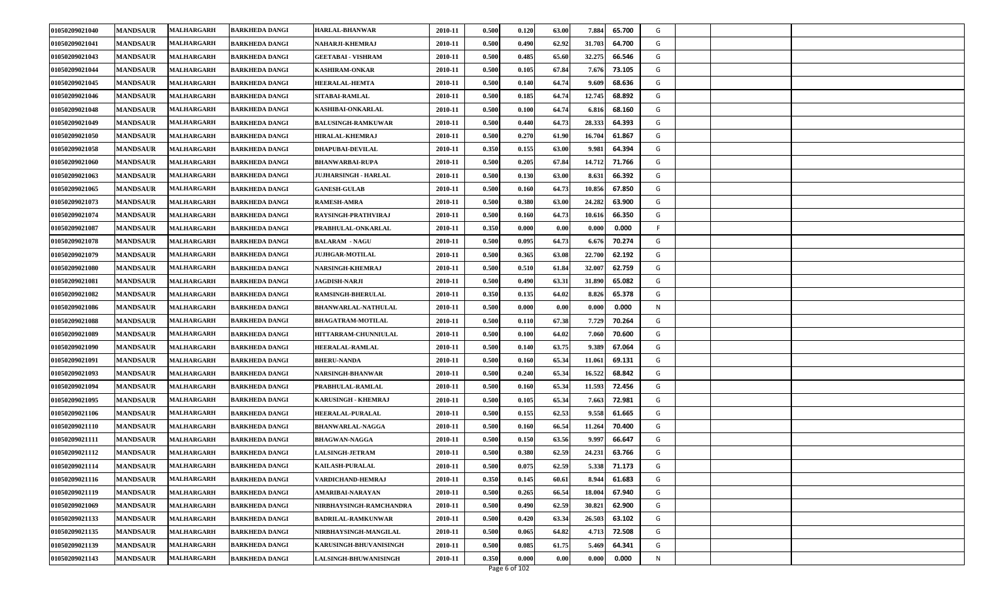| 01050209021041<br><b>MANDSAUR</b><br>0.500<br>0.490<br>62.92<br>31.703<br>MALHARGARH<br><b>BARKHEDA DANGI</b><br>NAHARJI-KHEMRAJ<br>2010-11<br>64.700<br>G<br><b>MANDSAUR</b><br><b>MALHARGARH</b><br>0.500<br>0.485<br>32.275<br>66.546<br>01050209021043<br>2010-11<br>65.60<br>G<br><b>BARKHEDA DANGI</b><br><b>GEETABAI - VISHRAM</b><br>0.500<br>01050209021044<br><b>MANDSAUR</b><br>MALHARGARH<br>2010-11<br>0.105<br>67.84<br>7.676<br>73.105<br>G<br>BARKHEDA DANGI<br><b>KASHIRAM-ONKAR</b><br>01050209021045<br>0.500<br>64.74<br>68.636<br>G<br><b>MANDSAUR</b><br>2010-11<br>0.140<br>MALHARGARH<br><b>HEERALAL-HEMTA</b><br>9.609<br>BARKHEDA DANGI<br>0.185<br>G<br>01050209021046<br><b>MANDSAUR</b><br>2010-11<br>0.500<br>64.74<br>12.745<br>68.892<br>MALHARGARH<br><b>BARKHEDA DANGI</b><br>SITABAI-RAMLAL<br><b>MALHARGARH</b><br>KASHIBAI-ONKARLAL<br>0.500<br>0.100<br>64.74<br>6.816<br>68.160<br>01050209021048<br><b>MANDSAUR</b><br><b>BARKHEDA DANGI</b><br>2010-11<br>G<br>28.333<br>G<br>01050209021049<br><b>MANDSAUR</b><br>MALHARGARH<br><b>BALUSINGH-RAMKUWAR</b><br>2010-11<br>0.500<br>0.440<br>64.73<br>64.393<br>BARKHEDA DANGI<br>01050209021050<br>MALHARGARH<br>0.500<br>0.270<br>61.90<br>16.704<br>61.867<br>G<br><b>MANDSAUR</b><br>2010-11<br><b>BARKHEDA DANGI</b><br><b>HIRALAL-KHEMRAJ</b><br>0.155<br>G<br>01050209021058<br><b>MANDSAUR</b><br>MALHARGARH<br>0.350<br>63.00<br>9.981<br>64.394<br><b>BARKHEDA DANGI</b><br><b>DHAPUBAI-DEVILAL</b><br>2010-11<br>67.84<br>14.712<br>01050209021060<br><b>MANDSAUR</b><br>2010-11<br>0.500<br>0.205<br>71.766<br>G<br>MALHARGARH<br><b>BARKHEDA DANGI</b><br><b>BHANWARBAI-RUPA</b><br>0.500<br>0.130<br>63.00<br>66.392<br>G<br>01050209021063<br><b>MANDSAUR</b><br>MALHARGARH<br><b>JUJHARSINGH - HARLAL</b><br>2010-11<br>8.631<br><b>BARKHEDA DANGI</b><br>0.500<br>64.73<br>01050209021065<br><b>MANDSAUR</b><br>MALHARGARH<br><b>BARKHEDA DANGI</b><br><b>GANESH-GULAB</b><br>2010-11<br>0.160<br>10.856<br>67.850<br>G<br>01050209021073<br><b>MANDSAUR</b><br>MALHARGARH<br><b>BARKHEDA DANGI</b><br><b>RAMESH-AMRA</b><br>2010-11<br>0.500<br>0.380<br>63.00<br>24.282<br>63.900<br>G<br>0.500<br>G<br>01050209021074<br><b>MANDSAUR</b><br>MALHARGARH<br>RAYSINGH-PRATHVIRAJ<br>2010-11<br>0.160<br>64.73<br>10.616<br>66.350<br><b>BARKHEDA DANGI</b><br>01050209021087<br><b>MANDSAUR</b><br>MALHARGARH<br>2010-11<br>0.350<br>0.000<br>0.000<br>0.000<br><b>BARKHEDA DANGI</b><br>PRABHULAL-ONKARLAL<br>0.00<br>64.73<br>01050209021078<br><b>MANDSAUR</b><br>2010-11<br>0.500<br>0.095<br>6.676<br>70.274<br>G<br>MALHARGARH<br><b>BARKHEDA DANGI</b><br><b>BALARAM - NAGU</b><br>01050209021079<br><b>MANDSAUR</b><br>2010-11<br>0.500<br>0.365<br>63.08<br>22.700<br>62.192<br>G<br>MALHARGARH<br><b>BARKHEDA DANGI</b><br><b>JUJHGAR-MOTILAL</b><br>32.007<br>01050209021080<br><b>MANDSAUR</b><br>MALHARGARH<br><b>BARKHEDA DANGI</b><br><b>NARSINGH-KHEMRAJ</b><br>2010-11<br>0.500<br>0.510<br>61.84<br>62.759<br>G<br>01050209021081<br><b>MANDSAUR</b><br>MALHARGARH<br>2010-11<br>0.500<br>0.490<br>63.31<br>31.890<br>65.082<br>G<br><b>JAGDISH-NARJI</b><br><b>BARKHEDA DANGI</b><br>01050209021082<br><b>MANDSAUR</b><br><b>MALHARGARH</b><br>2010-11<br>0.350<br>0.135<br>64.02<br>8.826<br>65.378<br>G<br><b>BARKHEDA DANGI</b><br><b>RAMSINGH-BHERULAL</b><br>01050209021086<br><b>MANDSAUR</b><br>2010-11<br>0.500<br>0.000<br>0.00<br>0.000<br>0.000<br>N<br>MALHARGARH<br><b>BARKHEDA DANGI</b><br><b>BHANWARLAL-NATHULAL</b><br>0.500<br>01050209021088<br><b>MANDSAUR</b><br>2010-11<br>0.110<br>67.38<br>7.729<br>70.264<br>G<br>MALHARGARH<br><b>BARKHEDA DANGI</b><br><b>BHAGATRAM-MOTILAL</b><br>0.500<br>64.02<br>G<br>01050209021089<br><b>MANDSAUR</b><br>MALHARGARH<br>HITTARRAM-CHUNNIULAL<br>2010-11<br>0.100<br>7.060<br>70.600<br><b>BARKHEDA DANGI</b><br>01050209021090<br><b>MANDSAUR</b><br><b>HEERALAL-RAMLAL</b><br>0.500<br>63.75<br>67.064<br>G<br>MALHARGARH<br><b>BARKHEDA DANGI</b><br>2010-11<br>0.140<br>9.389<br><b>BHERU-NANDA</b><br>01050209021091<br><b>MANDSAUR</b><br>MALHARGARH<br><b>BARKHEDA DANGI</b><br>2010-11<br>0.500<br>0.16<br>65.34<br>11.06<br>69.131<br>G<br>0.500<br>01050209021093<br><b>MANDSAUR</b><br>MALHARGARH<br>0.240<br>65.34<br>16.522<br>68.842<br>G<br><b>NARSINGH-BHANWAR</b><br>2010-11<br>BARKHEDA DANGI<br>01050209021094<br>0.500<br>65.34<br><b>MANDSAUR</b><br>2010-11<br>0.160<br>11.593<br>72.456<br>G<br>MALHARGARH<br><b>BARKHEDA DANGI</b><br>PRABHULAL-RAMLAL<br>0.500<br>65.34<br>G<br>01050209021095<br><b>MANDSAUR</b><br>2010-11<br>0.105<br>7.663<br>72.981<br>MALHARGARH<br><b>BARKHEDA DANGI</b><br><b>KARUSINGH - KHEMRAJ</b><br><b>MALHARGARH</b><br><b>HEERALAL-PURALAL</b><br>0.500<br>0.155<br>62.53<br>9.558<br>61.665<br>G<br>01050209021106<br><b>MANDSAUR</b><br><b>BARKHEDA DANGI</b><br>2010-11<br>G<br>01050209021110<br><b>MANDSAUR</b><br><b>MALHARGARH</b><br><b>BARKHEDA DANGI</b><br><b>BHANWARLAL-NAGGA</b><br>2010-11<br>0.500<br>66.54<br>11.264<br>70.400<br>0.160<br>66.647<br>01050209021111<br><b>MANDSAUR</b><br><b>MALHARGARH</b><br>2010-11<br>0.500<br>0.150<br>63.56<br>G<br><b>BARKHEDA DANGI</b><br><b>BHAGWAN-NAGGA</b><br>9.997<br>01050209021112<br>0.380<br>62.59<br>G<br><b>MANDSAUR</b><br><b>MALHARGARH</b><br>2010-11<br>0.500<br>24.231<br>63.766<br><b>BARKHEDA DANGI</b><br><b>LALSINGH-JETRAM</b><br>01050209021114<br>0.500<br>0.075<br>62.59<br>5.338<br>71.173<br>G<br><b>MANDSAUR</b><br><b>BARKHEDA DANGI</b><br><b>KAILASH-PURALAL</b><br>2010-11<br>MALHARGARH<br>01050209021116<br>0.350<br>0.145<br>61.683<br>G<br><b>MANDSAUR</b><br>MALHARGARH<br>VARDICHAND-HEMRAJ<br>2010-11<br>60.61<br>8.944<br><b>BARKHEDA DANGI</b><br>01050209021119<br><b>MALHARGARH</b><br><b>AMARIBAI-NARAYAN</b><br>0.500<br>0.265<br>66.54<br>18.004<br>67.940<br>G<br><b>MANDSAUR</b><br><b>BARKHEDA DANGI</b><br>2010-11<br>0.500<br>0.490<br>62.59<br>G<br>01050209021069<br><b>MANDSAUR</b><br>MALHARGARH<br><b>BARKHEDA DANGI</b><br>NIRBHAYSINGH-RAMCHANDRA<br>2010-11<br>30.821<br>62.900<br>0.420<br>63.34<br>26.503<br>G<br>01050209021133<br><b>MANDSAUR</b><br>MALHARGARH<br>2010-11<br>0.500<br>63.102<br><b>BARKHEDA DANGI</b><br><b>BADRILAL-RAMKUNWAR</b><br>01050209021135<br><b>MANDSAUR</b><br><b>MALHARGARH</b><br>2010-11<br>0.500<br>0.065<br>64.82<br>4.713<br>72.508<br>G<br><b>BARKHEDA DANGI</b><br>NIRBHAYSINGH-MANGILAL<br>01050209021139<br>0.085<br>G<br><b>MANDSAUR</b><br><b>MALHARGARH</b><br>KARUSINGH-BHUVANISINGH<br>2010-11<br>0.500<br>61.75<br>5.469<br>64.341<br><b>BARKHEDA DANGI</b><br>0.350<br>01050209021143<br><b>MANDSAUR</b><br>LALSINGH-BHUWANISINGH<br>2010-11<br>0.000<br>0.00<br>0.000<br>0.000<br>N<br><b>MALHARGARH</b><br><b>BARKHEDA DANGI</b><br>Page 6 of 102 | 01050209021040 | <b>MANDSAUR</b> | <b>MALHARGARH</b> | <b>BARKHEDA DANGI</b> | <b>HARLAL-BHANWAR</b> | 2010-11 | 0.500 | 0.120 | 63.00 | 7.884 | 65.700 | G |  |
|----------------------------------------------------------------------------------------------------------------------------------------------------------------------------------------------------------------------------------------------------------------------------------------------------------------------------------------------------------------------------------------------------------------------------------------------------------------------------------------------------------------------------------------------------------------------------------------------------------------------------------------------------------------------------------------------------------------------------------------------------------------------------------------------------------------------------------------------------------------------------------------------------------------------------------------------------------------------------------------------------------------------------------------------------------------------------------------------------------------------------------------------------------------------------------------------------------------------------------------------------------------------------------------------------------------------------------------------------------------------------------------------------------------------------------------------------------------------------------------------------------------------------------------------------------------------------------------------------------------------------------------------------------------------------------------------------------------------------------------------------------------------------------------------------------------------------------------------------------------------------------------------------------------------------------------------------------------------------------------------------------------------------------------------------------------------------------------------------------------------------------------------------------------------------------------------------------------------------------------------------------------------------------------------------------------------------------------------------------------------------------------------------------------------------------------------------------------------------------------------------------------------------------------------------------------------------------------------------------------------------------------------------------------------------------------------------------------------------------------------------------------------------------------------------------------------------------------------------------------------------------------------------------------------------------------------------------------------------------------------------------------------------------------------------------------------------------------------------------------------------------------------------------------------------------------------------------------------------------------------------------------------------------------------------------------------------------------------------------------------------------------------------------------------------------------------------------------------------------------------------------------------------------------------------------------------------------------------------------------------------------------------------------------------------------------------------------------------------------------------------------------------------------------------------------------------------------------------------------------------------------------------------------------------------------------------------------------------------------------------------------------------------------------------------------------------------------------------------------------------------------------------------------------------------------------------------------------------------------------------------------------------------------------------------------------------------------------------------------------------------------------------------------------------------------------------------------------------------------------------------------------------------------------------------------------------------------------------------------------------------------------------------------------------------------------------------------------------------------------------------------------------------------------------------------------------------------------------------------------------------------------------------------------------------------------------------------------------------------------------------------------------------------------------------------------------------------------------------------------------------------------------------------------------------------------------------------------------------------------------------------------------------------------------------------------------------------------------------------------------------------------------------------------------------------------------------------------------------------------------------------------------------------------------------------------------------------------------------------------------------------------------------------------------------------------------------------------------------------------------------------------------------------------------------------------------------------------------------------------------------------------------------------------------------------------------------------------------------------------------------------------------------------------------------------------------------------------------------------------------------------------------------------------------------------------------------------------------------------------------------------------------------------------------------------------------------------------------------------------------------------------------------------------------------------------------------------------------------------------------------------------------------------------------------------------------------------------------------------------------------------------------------------------------------------------------------------------------------------------------------------------------------------------------------------------------------------------------------------------------------|----------------|-----------------|-------------------|-----------------------|-----------------------|---------|-------|-------|-------|-------|--------|---|--|
|                                                                                                                                                                                                                                                                                                                                                                                                                                                                                                                                                                                                                                                                                                                                                                                                                                                                                                                                                                                                                                                                                                                                                                                                                                                                                                                                                                                                                                                                                                                                                                                                                                                                                                                                                                                                                                                                                                                                                                                                                                                                                                                                                                                                                                                                                                                                                                                                                                                                                                                                                                                                                                                                                                                                                                                                                                                                                                                                                                                                                                                                                                                                                                                                                                                                                                                                                                                                                                                                                                                                                                                                                                                                                                                                                                                                                                                                                                                                                                                                                                                                                                                                                                                                                                                                                                                                                                                                                                                                                                                                                                                                                                                                                                                                                                                                                                                                                                                                                                                                                                                                                                                                                                                                                                                                                                                                                                                                                                                                                                                                                                                                                                                                                                                                                                                                                                                                                                                                                                                                                                                                                                                                                                                                                                                                                                                                                                                                                                                                                                                                                                                                                                                                                                                                                                                                                                                                            |                |                 |                   |                       |                       |         |       |       |       |       |        |   |  |
|                                                                                                                                                                                                                                                                                                                                                                                                                                                                                                                                                                                                                                                                                                                                                                                                                                                                                                                                                                                                                                                                                                                                                                                                                                                                                                                                                                                                                                                                                                                                                                                                                                                                                                                                                                                                                                                                                                                                                                                                                                                                                                                                                                                                                                                                                                                                                                                                                                                                                                                                                                                                                                                                                                                                                                                                                                                                                                                                                                                                                                                                                                                                                                                                                                                                                                                                                                                                                                                                                                                                                                                                                                                                                                                                                                                                                                                                                                                                                                                                                                                                                                                                                                                                                                                                                                                                                                                                                                                                                                                                                                                                                                                                                                                                                                                                                                                                                                                                                                                                                                                                                                                                                                                                                                                                                                                                                                                                                                                                                                                                                                                                                                                                                                                                                                                                                                                                                                                                                                                                                                                                                                                                                                                                                                                                                                                                                                                                                                                                                                                                                                                                                                                                                                                                                                                                                                                                            |                |                 |                   |                       |                       |         |       |       |       |       |        |   |  |
|                                                                                                                                                                                                                                                                                                                                                                                                                                                                                                                                                                                                                                                                                                                                                                                                                                                                                                                                                                                                                                                                                                                                                                                                                                                                                                                                                                                                                                                                                                                                                                                                                                                                                                                                                                                                                                                                                                                                                                                                                                                                                                                                                                                                                                                                                                                                                                                                                                                                                                                                                                                                                                                                                                                                                                                                                                                                                                                                                                                                                                                                                                                                                                                                                                                                                                                                                                                                                                                                                                                                                                                                                                                                                                                                                                                                                                                                                                                                                                                                                                                                                                                                                                                                                                                                                                                                                                                                                                                                                                                                                                                                                                                                                                                                                                                                                                                                                                                                                                                                                                                                                                                                                                                                                                                                                                                                                                                                                                                                                                                                                                                                                                                                                                                                                                                                                                                                                                                                                                                                                                                                                                                                                                                                                                                                                                                                                                                                                                                                                                                                                                                                                                                                                                                                                                                                                                                                            |                |                 |                   |                       |                       |         |       |       |       |       |        |   |  |
|                                                                                                                                                                                                                                                                                                                                                                                                                                                                                                                                                                                                                                                                                                                                                                                                                                                                                                                                                                                                                                                                                                                                                                                                                                                                                                                                                                                                                                                                                                                                                                                                                                                                                                                                                                                                                                                                                                                                                                                                                                                                                                                                                                                                                                                                                                                                                                                                                                                                                                                                                                                                                                                                                                                                                                                                                                                                                                                                                                                                                                                                                                                                                                                                                                                                                                                                                                                                                                                                                                                                                                                                                                                                                                                                                                                                                                                                                                                                                                                                                                                                                                                                                                                                                                                                                                                                                                                                                                                                                                                                                                                                                                                                                                                                                                                                                                                                                                                                                                                                                                                                                                                                                                                                                                                                                                                                                                                                                                                                                                                                                                                                                                                                                                                                                                                                                                                                                                                                                                                                                                                                                                                                                                                                                                                                                                                                                                                                                                                                                                                                                                                                                                                                                                                                                                                                                                                                            |                |                 |                   |                       |                       |         |       |       |       |       |        |   |  |
|                                                                                                                                                                                                                                                                                                                                                                                                                                                                                                                                                                                                                                                                                                                                                                                                                                                                                                                                                                                                                                                                                                                                                                                                                                                                                                                                                                                                                                                                                                                                                                                                                                                                                                                                                                                                                                                                                                                                                                                                                                                                                                                                                                                                                                                                                                                                                                                                                                                                                                                                                                                                                                                                                                                                                                                                                                                                                                                                                                                                                                                                                                                                                                                                                                                                                                                                                                                                                                                                                                                                                                                                                                                                                                                                                                                                                                                                                                                                                                                                                                                                                                                                                                                                                                                                                                                                                                                                                                                                                                                                                                                                                                                                                                                                                                                                                                                                                                                                                                                                                                                                                                                                                                                                                                                                                                                                                                                                                                                                                                                                                                                                                                                                                                                                                                                                                                                                                                                                                                                                                                                                                                                                                                                                                                                                                                                                                                                                                                                                                                                                                                                                                                                                                                                                                                                                                                                                            |                |                 |                   |                       |                       |         |       |       |       |       |        |   |  |
|                                                                                                                                                                                                                                                                                                                                                                                                                                                                                                                                                                                                                                                                                                                                                                                                                                                                                                                                                                                                                                                                                                                                                                                                                                                                                                                                                                                                                                                                                                                                                                                                                                                                                                                                                                                                                                                                                                                                                                                                                                                                                                                                                                                                                                                                                                                                                                                                                                                                                                                                                                                                                                                                                                                                                                                                                                                                                                                                                                                                                                                                                                                                                                                                                                                                                                                                                                                                                                                                                                                                                                                                                                                                                                                                                                                                                                                                                                                                                                                                                                                                                                                                                                                                                                                                                                                                                                                                                                                                                                                                                                                                                                                                                                                                                                                                                                                                                                                                                                                                                                                                                                                                                                                                                                                                                                                                                                                                                                                                                                                                                                                                                                                                                                                                                                                                                                                                                                                                                                                                                                                                                                                                                                                                                                                                                                                                                                                                                                                                                                                                                                                                                                                                                                                                                                                                                                                                            |                |                 |                   |                       |                       |         |       |       |       |       |        |   |  |
|                                                                                                                                                                                                                                                                                                                                                                                                                                                                                                                                                                                                                                                                                                                                                                                                                                                                                                                                                                                                                                                                                                                                                                                                                                                                                                                                                                                                                                                                                                                                                                                                                                                                                                                                                                                                                                                                                                                                                                                                                                                                                                                                                                                                                                                                                                                                                                                                                                                                                                                                                                                                                                                                                                                                                                                                                                                                                                                                                                                                                                                                                                                                                                                                                                                                                                                                                                                                                                                                                                                                                                                                                                                                                                                                                                                                                                                                                                                                                                                                                                                                                                                                                                                                                                                                                                                                                                                                                                                                                                                                                                                                                                                                                                                                                                                                                                                                                                                                                                                                                                                                                                                                                                                                                                                                                                                                                                                                                                                                                                                                                                                                                                                                                                                                                                                                                                                                                                                                                                                                                                                                                                                                                                                                                                                                                                                                                                                                                                                                                                                                                                                                                                                                                                                                                                                                                                                                            |                |                 |                   |                       |                       |         |       |       |       |       |        |   |  |
|                                                                                                                                                                                                                                                                                                                                                                                                                                                                                                                                                                                                                                                                                                                                                                                                                                                                                                                                                                                                                                                                                                                                                                                                                                                                                                                                                                                                                                                                                                                                                                                                                                                                                                                                                                                                                                                                                                                                                                                                                                                                                                                                                                                                                                                                                                                                                                                                                                                                                                                                                                                                                                                                                                                                                                                                                                                                                                                                                                                                                                                                                                                                                                                                                                                                                                                                                                                                                                                                                                                                                                                                                                                                                                                                                                                                                                                                                                                                                                                                                                                                                                                                                                                                                                                                                                                                                                                                                                                                                                                                                                                                                                                                                                                                                                                                                                                                                                                                                                                                                                                                                                                                                                                                                                                                                                                                                                                                                                                                                                                                                                                                                                                                                                                                                                                                                                                                                                                                                                                                                                                                                                                                                                                                                                                                                                                                                                                                                                                                                                                                                                                                                                                                                                                                                                                                                                                                            |                |                 |                   |                       |                       |         |       |       |       |       |        |   |  |
|                                                                                                                                                                                                                                                                                                                                                                                                                                                                                                                                                                                                                                                                                                                                                                                                                                                                                                                                                                                                                                                                                                                                                                                                                                                                                                                                                                                                                                                                                                                                                                                                                                                                                                                                                                                                                                                                                                                                                                                                                                                                                                                                                                                                                                                                                                                                                                                                                                                                                                                                                                                                                                                                                                                                                                                                                                                                                                                                                                                                                                                                                                                                                                                                                                                                                                                                                                                                                                                                                                                                                                                                                                                                                                                                                                                                                                                                                                                                                                                                                                                                                                                                                                                                                                                                                                                                                                                                                                                                                                                                                                                                                                                                                                                                                                                                                                                                                                                                                                                                                                                                                                                                                                                                                                                                                                                                                                                                                                                                                                                                                                                                                                                                                                                                                                                                                                                                                                                                                                                                                                                                                                                                                                                                                                                                                                                                                                                                                                                                                                                                                                                                                                                                                                                                                                                                                                                                            |                |                 |                   |                       |                       |         |       |       |       |       |        |   |  |
|                                                                                                                                                                                                                                                                                                                                                                                                                                                                                                                                                                                                                                                                                                                                                                                                                                                                                                                                                                                                                                                                                                                                                                                                                                                                                                                                                                                                                                                                                                                                                                                                                                                                                                                                                                                                                                                                                                                                                                                                                                                                                                                                                                                                                                                                                                                                                                                                                                                                                                                                                                                                                                                                                                                                                                                                                                                                                                                                                                                                                                                                                                                                                                                                                                                                                                                                                                                                                                                                                                                                                                                                                                                                                                                                                                                                                                                                                                                                                                                                                                                                                                                                                                                                                                                                                                                                                                                                                                                                                                                                                                                                                                                                                                                                                                                                                                                                                                                                                                                                                                                                                                                                                                                                                                                                                                                                                                                                                                                                                                                                                                                                                                                                                                                                                                                                                                                                                                                                                                                                                                                                                                                                                                                                                                                                                                                                                                                                                                                                                                                                                                                                                                                                                                                                                                                                                                                                            |                |                 |                   |                       |                       |         |       |       |       |       |        |   |  |
|                                                                                                                                                                                                                                                                                                                                                                                                                                                                                                                                                                                                                                                                                                                                                                                                                                                                                                                                                                                                                                                                                                                                                                                                                                                                                                                                                                                                                                                                                                                                                                                                                                                                                                                                                                                                                                                                                                                                                                                                                                                                                                                                                                                                                                                                                                                                                                                                                                                                                                                                                                                                                                                                                                                                                                                                                                                                                                                                                                                                                                                                                                                                                                                                                                                                                                                                                                                                                                                                                                                                                                                                                                                                                                                                                                                                                                                                                                                                                                                                                                                                                                                                                                                                                                                                                                                                                                                                                                                                                                                                                                                                                                                                                                                                                                                                                                                                                                                                                                                                                                                                                                                                                                                                                                                                                                                                                                                                                                                                                                                                                                                                                                                                                                                                                                                                                                                                                                                                                                                                                                                                                                                                                                                                                                                                                                                                                                                                                                                                                                                                                                                                                                                                                                                                                                                                                                                                            |                |                 |                   |                       |                       |         |       |       |       |       |        |   |  |
|                                                                                                                                                                                                                                                                                                                                                                                                                                                                                                                                                                                                                                                                                                                                                                                                                                                                                                                                                                                                                                                                                                                                                                                                                                                                                                                                                                                                                                                                                                                                                                                                                                                                                                                                                                                                                                                                                                                                                                                                                                                                                                                                                                                                                                                                                                                                                                                                                                                                                                                                                                                                                                                                                                                                                                                                                                                                                                                                                                                                                                                                                                                                                                                                                                                                                                                                                                                                                                                                                                                                                                                                                                                                                                                                                                                                                                                                                                                                                                                                                                                                                                                                                                                                                                                                                                                                                                                                                                                                                                                                                                                                                                                                                                                                                                                                                                                                                                                                                                                                                                                                                                                                                                                                                                                                                                                                                                                                                                                                                                                                                                                                                                                                                                                                                                                                                                                                                                                                                                                                                                                                                                                                                                                                                                                                                                                                                                                                                                                                                                                                                                                                                                                                                                                                                                                                                                                                            |                |                 |                   |                       |                       |         |       |       |       |       |        |   |  |
|                                                                                                                                                                                                                                                                                                                                                                                                                                                                                                                                                                                                                                                                                                                                                                                                                                                                                                                                                                                                                                                                                                                                                                                                                                                                                                                                                                                                                                                                                                                                                                                                                                                                                                                                                                                                                                                                                                                                                                                                                                                                                                                                                                                                                                                                                                                                                                                                                                                                                                                                                                                                                                                                                                                                                                                                                                                                                                                                                                                                                                                                                                                                                                                                                                                                                                                                                                                                                                                                                                                                                                                                                                                                                                                                                                                                                                                                                                                                                                                                                                                                                                                                                                                                                                                                                                                                                                                                                                                                                                                                                                                                                                                                                                                                                                                                                                                                                                                                                                                                                                                                                                                                                                                                                                                                                                                                                                                                                                                                                                                                                                                                                                                                                                                                                                                                                                                                                                                                                                                                                                                                                                                                                                                                                                                                                                                                                                                                                                                                                                                                                                                                                                                                                                                                                                                                                                                                            |                |                 |                   |                       |                       |         |       |       |       |       |        |   |  |
|                                                                                                                                                                                                                                                                                                                                                                                                                                                                                                                                                                                                                                                                                                                                                                                                                                                                                                                                                                                                                                                                                                                                                                                                                                                                                                                                                                                                                                                                                                                                                                                                                                                                                                                                                                                                                                                                                                                                                                                                                                                                                                                                                                                                                                                                                                                                                                                                                                                                                                                                                                                                                                                                                                                                                                                                                                                                                                                                                                                                                                                                                                                                                                                                                                                                                                                                                                                                                                                                                                                                                                                                                                                                                                                                                                                                                                                                                                                                                                                                                                                                                                                                                                                                                                                                                                                                                                                                                                                                                                                                                                                                                                                                                                                                                                                                                                                                                                                                                                                                                                                                                                                                                                                                                                                                                                                                                                                                                                                                                                                                                                                                                                                                                                                                                                                                                                                                                                                                                                                                                                                                                                                                                                                                                                                                                                                                                                                                                                                                                                                                                                                                                                                                                                                                                                                                                                                                            |                |                 |                   |                       |                       |         |       |       |       |       |        |   |  |
|                                                                                                                                                                                                                                                                                                                                                                                                                                                                                                                                                                                                                                                                                                                                                                                                                                                                                                                                                                                                                                                                                                                                                                                                                                                                                                                                                                                                                                                                                                                                                                                                                                                                                                                                                                                                                                                                                                                                                                                                                                                                                                                                                                                                                                                                                                                                                                                                                                                                                                                                                                                                                                                                                                                                                                                                                                                                                                                                                                                                                                                                                                                                                                                                                                                                                                                                                                                                                                                                                                                                                                                                                                                                                                                                                                                                                                                                                                                                                                                                                                                                                                                                                                                                                                                                                                                                                                                                                                                                                                                                                                                                                                                                                                                                                                                                                                                                                                                                                                                                                                                                                                                                                                                                                                                                                                                                                                                                                                                                                                                                                                                                                                                                                                                                                                                                                                                                                                                                                                                                                                                                                                                                                                                                                                                                                                                                                                                                                                                                                                                                                                                                                                                                                                                                                                                                                                                                            |                |                 |                   |                       |                       |         |       |       |       |       |        |   |  |
|                                                                                                                                                                                                                                                                                                                                                                                                                                                                                                                                                                                                                                                                                                                                                                                                                                                                                                                                                                                                                                                                                                                                                                                                                                                                                                                                                                                                                                                                                                                                                                                                                                                                                                                                                                                                                                                                                                                                                                                                                                                                                                                                                                                                                                                                                                                                                                                                                                                                                                                                                                                                                                                                                                                                                                                                                                                                                                                                                                                                                                                                                                                                                                                                                                                                                                                                                                                                                                                                                                                                                                                                                                                                                                                                                                                                                                                                                                                                                                                                                                                                                                                                                                                                                                                                                                                                                                                                                                                                                                                                                                                                                                                                                                                                                                                                                                                                                                                                                                                                                                                                                                                                                                                                                                                                                                                                                                                                                                                                                                                                                                                                                                                                                                                                                                                                                                                                                                                                                                                                                                                                                                                                                                                                                                                                                                                                                                                                                                                                                                                                                                                                                                                                                                                                                                                                                                                                            |                |                 |                   |                       |                       |         |       |       |       |       |        |   |  |
|                                                                                                                                                                                                                                                                                                                                                                                                                                                                                                                                                                                                                                                                                                                                                                                                                                                                                                                                                                                                                                                                                                                                                                                                                                                                                                                                                                                                                                                                                                                                                                                                                                                                                                                                                                                                                                                                                                                                                                                                                                                                                                                                                                                                                                                                                                                                                                                                                                                                                                                                                                                                                                                                                                                                                                                                                                                                                                                                                                                                                                                                                                                                                                                                                                                                                                                                                                                                                                                                                                                                                                                                                                                                                                                                                                                                                                                                                                                                                                                                                                                                                                                                                                                                                                                                                                                                                                                                                                                                                                                                                                                                                                                                                                                                                                                                                                                                                                                                                                                                                                                                                                                                                                                                                                                                                                                                                                                                                                                                                                                                                                                                                                                                                                                                                                                                                                                                                                                                                                                                                                                                                                                                                                                                                                                                                                                                                                                                                                                                                                                                                                                                                                                                                                                                                                                                                                                                            |                |                 |                   |                       |                       |         |       |       |       |       |        |   |  |
|                                                                                                                                                                                                                                                                                                                                                                                                                                                                                                                                                                                                                                                                                                                                                                                                                                                                                                                                                                                                                                                                                                                                                                                                                                                                                                                                                                                                                                                                                                                                                                                                                                                                                                                                                                                                                                                                                                                                                                                                                                                                                                                                                                                                                                                                                                                                                                                                                                                                                                                                                                                                                                                                                                                                                                                                                                                                                                                                                                                                                                                                                                                                                                                                                                                                                                                                                                                                                                                                                                                                                                                                                                                                                                                                                                                                                                                                                                                                                                                                                                                                                                                                                                                                                                                                                                                                                                                                                                                                                                                                                                                                                                                                                                                                                                                                                                                                                                                                                                                                                                                                                                                                                                                                                                                                                                                                                                                                                                                                                                                                                                                                                                                                                                                                                                                                                                                                                                                                                                                                                                                                                                                                                                                                                                                                                                                                                                                                                                                                                                                                                                                                                                                                                                                                                                                                                                                                            |                |                 |                   |                       |                       |         |       |       |       |       |        |   |  |
|                                                                                                                                                                                                                                                                                                                                                                                                                                                                                                                                                                                                                                                                                                                                                                                                                                                                                                                                                                                                                                                                                                                                                                                                                                                                                                                                                                                                                                                                                                                                                                                                                                                                                                                                                                                                                                                                                                                                                                                                                                                                                                                                                                                                                                                                                                                                                                                                                                                                                                                                                                                                                                                                                                                                                                                                                                                                                                                                                                                                                                                                                                                                                                                                                                                                                                                                                                                                                                                                                                                                                                                                                                                                                                                                                                                                                                                                                                                                                                                                                                                                                                                                                                                                                                                                                                                                                                                                                                                                                                                                                                                                                                                                                                                                                                                                                                                                                                                                                                                                                                                                                                                                                                                                                                                                                                                                                                                                                                                                                                                                                                                                                                                                                                                                                                                                                                                                                                                                                                                                                                                                                                                                                                                                                                                                                                                                                                                                                                                                                                                                                                                                                                                                                                                                                                                                                                                                            |                |                 |                   |                       |                       |         |       |       |       |       |        |   |  |
|                                                                                                                                                                                                                                                                                                                                                                                                                                                                                                                                                                                                                                                                                                                                                                                                                                                                                                                                                                                                                                                                                                                                                                                                                                                                                                                                                                                                                                                                                                                                                                                                                                                                                                                                                                                                                                                                                                                                                                                                                                                                                                                                                                                                                                                                                                                                                                                                                                                                                                                                                                                                                                                                                                                                                                                                                                                                                                                                                                                                                                                                                                                                                                                                                                                                                                                                                                                                                                                                                                                                                                                                                                                                                                                                                                                                                                                                                                                                                                                                                                                                                                                                                                                                                                                                                                                                                                                                                                                                                                                                                                                                                                                                                                                                                                                                                                                                                                                                                                                                                                                                                                                                                                                                                                                                                                                                                                                                                                                                                                                                                                                                                                                                                                                                                                                                                                                                                                                                                                                                                                                                                                                                                                                                                                                                                                                                                                                                                                                                                                                                                                                                                                                                                                                                                                                                                                                                            |                |                 |                   |                       |                       |         |       |       |       |       |        |   |  |
|                                                                                                                                                                                                                                                                                                                                                                                                                                                                                                                                                                                                                                                                                                                                                                                                                                                                                                                                                                                                                                                                                                                                                                                                                                                                                                                                                                                                                                                                                                                                                                                                                                                                                                                                                                                                                                                                                                                                                                                                                                                                                                                                                                                                                                                                                                                                                                                                                                                                                                                                                                                                                                                                                                                                                                                                                                                                                                                                                                                                                                                                                                                                                                                                                                                                                                                                                                                                                                                                                                                                                                                                                                                                                                                                                                                                                                                                                                                                                                                                                                                                                                                                                                                                                                                                                                                                                                                                                                                                                                                                                                                                                                                                                                                                                                                                                                                                                                                                                                                                                                                                                                                                                                                                                                                                                                                                                                                                                                                                                                                                                                                                                                                                                                                                                                                                                                                                                                                                                                                                                                                                                                                                                                                                                                                                                                                                                                                                                                                                                                                                                                                                                                                                                                                                                                                                                                                                            |                |                 |                   |                       |                       |         |       |       |       |       |        |   |  |
|                                                                                                                                                                                                                                                                                                                                                                                                                                                                                                                                                                                                                                                                                                                                                                                                                                                                                                                                                                                                                                                                                                                                                                                                                                                                                                                                                                                                                                                                                                                                                                                                                                                                                                                                                                                                                                                                                                                                                                                                                                                                                                                                                                                                                                                                                                                                                                                                                                                                                                                                                                                                                                                                                                                                                                                                                                                                                                                                                                                                                                                                                                                                                                                                                                                                                                                                                                                                                                                                                                                                                                                                                                                                                                                                                                                                                                                                                                                                                                                                                                                                                                                                                                                                                                                                                                                                                                                                                                                                                                                                                                                                                                                                                                                                                                                                                                                                                                                                                                                                                                                                                                                                                                                                                                                                                                                                                                                                                                                                                                                                                                                                                                                                                                                                                                                                                                                                                                                                                                                                                                                                                                                                                                                                                                                                                                                                                                                                                                                                                                                                                                                                                                                                                                                                                                                                                                                                            |                |                 |                   |                       |                       |         |       |       |       |       |        |   |  |
|                                                                                                                                                                                                                                                                                                                                                                                                                                                                                                                                                                                                                                                                                                                                                                                                                                                                                                                                                                                                                                                                                                                                                                                                                                                                                                                                                                                                                                                                                                                                                                                                                                                                                                                                                                                                                                                                                                                                                                                                                                                                                                                                                                                                                                                                                                                                                                                                                                                                                                                                                                                                                                                                                                                                                                                                                                                                                                                                                                                                                                                                                                                                                                                                                                                                                                                                                                                                                                                                                                                                                                                                                                                                                                                                                                                                                                                                                                                                                                                                                                                                                                                                                                                                                                                                                                                                                                                                                                                                                                                                                                                                                                                                                                                                                                                                                                                                                                                                                                                                                                                                                                                                                                                                                                                                                                                                                                                                                                                                                                                                                                                                                                                                                                                                                                                                                                                                                                                                                                                                                                                                                                                                                                                                                                                                                                                                                                                                                                                                                                                                                                                                                                                                                                                                                                                                                                                                            |                |                 |                   |                       |                       |         |       |       |       |       |        |   |  |
|                                                                                                                                                                                                                                                                                                                                                                                                                                                                                                                                                                                                                                                                                                                                                                                                                                                                                                                                                                                                                                                                                                                                                                                                                                                                                                                                                                                                                                                                                                                                                                                                                                                                                                                                                                                                                                                                                                                                                                                                                                                                                                                                                                                                                                                                                                                                                                                                                                                                                                                                                                                                                                                                                                                                                                                                                                                                                                                                                                                                                                                                                                                                                                                                                                                                                                                                                                                                                                                                                                                                                                                                                                                                                                                                                                                                                                                                                                                                                                                                                                                                                                                                                                                                                                                                                                                                                                                                                                                                                                                                                                                                                                                                                                                                                                                                                                                                                                                                                                                                                                                                                                                                                                                                                                                                                                                                                                                                                                                                                                                                                                                                                                                                                                                                                                                                                                                                                                                                                                                                                                                                                                                                                                                                                                                                                                                                                                                                                                                                                                                                                                                                                                                                                                                                                                                                                                                                            |                |                 |                   |                       |                       |         |       |       |       |       |        |   |  |
|                                                                                                                                                                                                                                                                                                                                                                                                                                                                                                                                                                                                                                                                                                                                                                                                                                                                                                                                                                                                                                                                                                                                                                                                                                                                                                                                                                                                                                                                                                                                                                                                                                                                                                                                                                                                                                                                                                                                                                                                                                                                                                                                                                                                                                                                                                                                                                                                                                                                                                                                                                                                                                                                                                                                                                                                                                                                                                                                                                                                                                                                                                                                                                                                                                                                                                                                                                                                                                                                                                                                                                                                                                                                                                                                                                                                                                                                                                                                                                                                                                                                                                                                                                                                                                                                                                                                                                                                                                                                                                                                                                                                                                                                                                                                                                                                                                                                                                                                                                                                                                                                                                                                                                                                                                                                                                                                                                                                                                                                                                                                                                                                                                                                                                                                                                                                                                                                                                                                                                                                                                                                                                                                                                                                                                                                                                                                                                                                                                                                                                                                                                                                                                                                                                                                                                                                                                                                            |                |                 |                   |                       |                       |         |       |       |       |       |        |   |  |
|                                                                                                                                                                                                                                                                                                                                                                                                                                                                                                                                                                                                                                                                                                                                                                                                                                                                                                                                                                                                                                                                                                                                                                                                                                                                                                                                                                                                                                                                                                                                                                                                                                                                                                                                                                                                                                                                                                                                                                                                                                                                                                                                                                                                                                                                                                                                                                                                                                                                                                                                                                                                                                                                                                                                                                                                                                                                                                                                                                                                                                                                                                                                                                                                                                                                                                                                                                                                                                                                                                                                                                                                                                                                                                                                                                                                                                                                                                                                                                                                                                                                                                                                                                                                                                                                                                                                                                                                                                                                                                                                                                                                                                                                                                                                                                                                                                                                                                                                                                                                                                                                                                                                                                                                                                                                                                                                                                                                                                                                                                                                                                                                                                                                                                                                                                                                                                                                                                                                                                                                                                                                                                                                                                                                                                                                                                                                                                                                                                                                                                                                                                                                                                                                                                                                                                                                                                                                            |                |                 |                   |                       |                       |         |       |       |       |       |        |   |  |
|                                                                                                                                                                                                                                                                                                                                                                                                                                                                                                                                                                                                                                                                                                                                                                                                                                                                                                                                                                                                                                                                                                                                                                                                                                                                                                                                                                                                                                                                                                                                                                                                                                                                                                                                                                                                                                                                                                                                                                                                                                                                                                                                                                                                                                                                                                                                                                                                                                                                                                                                                                                                                                                                                                                                                                                                                                                                                                                                                                                                                                                                                                                                                                                                                                                                                                                                                                                                                                                                                                                                                                                                                                                                                                                                                                                                                                                                                                                                                                                                                                                                                                                                                                                                                                                                                                                                                                                                                                                                                                                                                                                                                                                                                                                                                                                                                                                                                                                                                                                                                                                                                                                                                                                                                                                                                                                                                                                                                                                                                                                                                                                                                                                                                                                                                                                                                                                                                                                                                                                                                                                                                                                                                                                                                                                                                                                                                                                                                                                                                                                                                                                                                                                                                                                                                                                                                                                                            |                |                 |                   |                       |                       |         |       |       |       |       |        |   |  |
|                                                                                                                                                                                                                                                                                                                                                                                                                                                                                                                                                                                                                                                                                                                                                                                                                                                                                                                                                                                                                                                                                                                                                                                                                                                                                                                                                                                                                                                                                                                                                                                                                                                                                                                                                                                                                                                                                                                                                                                                                                                                                                                                                                                                                                                                                                                                                                                                                                                                                                                                                                                                                                                                                                                                                                                                                                                                                                                                                                                                                                                                                                                                                                                                                                                                                                                                                                                                                                                                                                                                                                                                                                                                                                                                                                                                                                                                                                                                                                                                                                                                                                                                                                                                                                                                                                                                                                                                                                                                                                                                                                                                                                                                                                                                                                                                                                                                                                                                                                                                                                                                                                                                                                                                                                                                                                                                                                                                                                                                                                                                                                                                                                                                                                                                                                                                                                                                                                                                                                                                                                                                                                                                                                                                                                                                                                                                                                                                                                                                                                                                                                                                                                                                                                                                                                                                                                                                            |                |                 |                   |                       |                       |         |       |       |       |       |        |   |  |
|                                                                                                                                                                                                                                                                                                                                                                                                                                                                                                                                                                                                                                                                                                                                                                                                                                                                                                                                                                                                                                                                                                                                                                                                                                                                                                                                                                                                                                                                                                                                                                                                                                                                                                                                                                                                                                                                                                                                                                                                                                                                                                                                                                                                                                                                                                                                                                                                                                                                                                                                                                                                                                                                                                                                                                                                                                                                                                                                                                                                                                                                                                                                                                                                                                                                                                                                                                                                                                                                                                                                                                                                                                                                                                                                                                                                                                                                                                                                                                                                                                                                                                                                                                                                                                                                                                                                                                                                                                                                                                                                                                                                                                                                                                                                                                                                                                                                                                                                                                                                                                                                                                                                                                                                                                                                                                                                                                                                                                                                                                                                                                                                                                                                                                                                                                                                                                                                                                                                                                                                                                                                                                                                                                                                                                                                                                                                                                                                                                                                                                                                                                                                                                                                                                                                                                                                                                                                            |                |                 |                   |                       |                       |         |       |       |       |       |        |   |  |
|                                                                                                                                                                                                                                                                                                                                                                                                                                                                                                                                                                                                                                                                                                                                                                                                                                                                                                                                                                                                                                                                                                                                                                                                                                                                                                                                                                                                                                                                                                                                                                                                                                                                                                                                                                                                                                                                                                                                                                                                                                                                                                                                                                                                                                                                                                                                                                                                                                                                                                                                                                                                                                                                                                                                                                                                                                                                                                                                                                                                                                                                                                                                                                                                                                                                                                                                                                                                                                                                                                                                                                                                                                                                                                                                                                                                                                                                                                                                                                                                                                                                                                                                                                                                                                                                                                                                                                                                                                                                                                                                                                                                                                                                                                                                                                                                                                                                                                                                                                                                                                                                                                                                                                                                                                                                                                                                                                                                                                                                                                                                                                                                                                                                                                                                                                                                                                                                                                                                                                                                                                                                                                                                                                                                                                                                                                                                                                                                                                                                                                                                                                                                                                                                                                                                                                                                                                                                            |                |                 |                   |                       |                       |         |       |       |       |       |        |   |  |
|                                                                                                                                                                                                                                                                                                                                                                                                                                                                                                                                                                                                                                                                                                                                                                                                                                                                                                                                                                                                                                                                                                                                                                                                                                                                                                                                                                                                                                                                                                                                                                                                                                                                                                                                                                                                                                                                                                                                                                                                                                                                                                                                                                                                                                                                                                                                                                                                                                                                                                                                                                                                                                                                                                                                                                                                                                                                                                                                                                                                                                                                                                                                                                                                                                                                                                                                                                                                                                                                                                                                                                                                                                                                                                                                                                                                                                                                                                                                                                                                                                                                                                                                                                                                                                                                                                                                                                                                                                                                                                                                                                                                                                                                                                                                                                                                                                                                                                                                                                                                                                                                                                                                                                                                                                                                                                                                                                                                                                                                                                                                                                                                                                                                                                                                                                                                                                                                                                                                                                                                                                                                                                                                                                                                                                                                                                                                                                                                                                                                                                                                                                                                                                                                                                                                                                                                                                                                            |                |                 |                   |                       |                       |         |       |       |       |       |        |   |  |
|                                                                                                                                                                                                                                                                                                                                                                                                                                                                                                                                                                                                                                                                                                                                                                                                                                                                                                                                                                                                                                                                                                                                                                                                                                                                                                                                                                                                                                                                                                                                                                                                                                                                                                                                                                                                                                                                                                                                                                                                                                                                                                                                                                                                                                                                                                                                                                                                                                                                                                                                                                                                                                                                                                                                                                                                                                                                                                                                                                                                                                                                                                                                                                                                                                                                                                                                                                                                                                                                                                                                                                                                                                                                                                                                                                                                                                                                                                                                                                                                                                                                                                                                                                                                                                                                                                                                                                                                                                                                                                                                                                                                                                                                                                                                                                                                                                                                                                                                                                                                                                                                                                                                                                                                                                                                                                                                                                                                                                                                                                                                                                                                                                                                                                                                                                                                                                                                                                                                                                                                                                                                                                                                                                                                                                                                                                                                                                                                                                                                                                                                                                                                                                                                                                                                                                                                                                                                            |                |                 |                   |                       |                       |         |       |       |       |       |        |   |  |
|                                                                                                                                                                                                                                                                                                                                                                                                                                                                                                                                                                                                                                                                                                                                                                                                                                                                                                                                                                                                                                                                                                                                                                                                                                                                                                                                                                                                                                                                                                                                                                                                                                                                                                                                                                                                                                                                                                                                                                                                                                                                                                                                                                                                                                                                                                                                                                                                                                                                                                                                                                                                                                                                                                                                                                                                                                                                                                                                                                                                                                                                                                                                                                                                                                                                                                                                                                                                                                                                                                                                                                                                                                                                                                                                                                                                                                                                                                                                                                                                                                                                                                                                                                                                                                                                                                                                                                                                                                                                                                                                                                                                                                                                                                                                                                                                                                                                                                                                                                                                                                                                                                                                                                                                                                                                                                                                                                                                                                                                                                                                                                                                                                                                                                                                                                                                                                                                                                                                                                                                                                                                                                                                                                                                                                                                                                                                                                                                                                                                                                                                                                                                                                                                                                                                                                                                                                                                            |                |                 |                   |                       |                       |         |       |       |       |       |        |   |  |
|                                                                                                                                                                                                                                                                                                                                                                                                                                                                                                                                                                                                                                                                                                                                                                                                                                                                                                                                                                                                                                                                                                                                                                                                                                                                                                                                                                                                                                                                                                                                                                                                                                                                                                                                                                                                                                                                                                                                                                                                                                                                                                                                                                                                                                                                                                                                                                                                                                                                                                                                                                                                                                                                                                                                                                                                                                                                                                                                                                                                                                                                                                                                                                                                                                                                                                                                                                                                                                                                                                                                                                                                                                                                                                                                                                                                                                                                                                                                                                                                                                                                                                                                                                                                                                                                                                                                                                                                                                                                                                                                                                                                                                                                                                                                                                                                                                                                                                                                                                                                                                                                                                                                                                                                                                                                                                                                                                                                                                                                                                                                                                                                                                                                                                                                                                                                                                                                                                                                                                                                                                                                                                                                                                                                                                                                                                                                                                                                                                                                                                                                                                                                                                                                                                                                                                                                                                                                            |                |                 |                   |                       |                       |         |       |       |       |       |        |   |  |
|                                                                                                                                                                                                                                                                                                                                                                                                                                                                                                                                                                                                                                                                                                                                                                                                                                                                                                                                                                                                                                                                                                                                                                                                                                                                                                                                                                                                                                                                                                                                                                                                                                                                                                                                                                                                                                                                                                                                                                                                                                                                                                                                                                                                                                                                                                                                                                                                                                                                                                                                                                                                                                                                                                                                                                                                                                                                                                                                                                                                                                                                                                                                                                                                                                                                                                                                                                                                                                                                                                                                                                                                                                                                                                                                                                                                                                                                                                                                                                                                                                                                                                                                                                                                                                                                                                                                                                                                                                                                                                                                                                                                                                                                                                                                                                                                                                                                                                                                                                                                                                                                                                                                                                                                                                                                                                                                                                                                                                                                                                                                                                                                                                                                                                                                                                                                                                                                                                                                                                                                                                                                                                                                                                                                                                                                                                                                                                                                                                                                                                                                                                                                                                                                                                                                                                                                                                                                            |                |                 |                   |                       |                       |         |       |       |       |       |        |   |  |
|                                                                                                                                                                                                                                                                                                                                                                                                                                                                                                                                                                                                                                                                                                                                                                                                                                                                                                                                                                                                                                                                                                                                                                                                                                                                                                                                                                                                                                                                                                                                                                                                                                                                                                                                                                                                                                                                                                                                                                                                                                                                                                                                                                                                                                                                                                                                                                                                                                                                                                                                                                                                                                                                                                                                                                                                                                                                                                                                                                                                                                                                                                                                                                                                                                                                                                                                                                                                                                                                                                                                                                                                                                                                                                                                                                                                                                                                                                                                                                                                                                                                                                                                                                                                                                                                                                                                                                                                                                                                                                                                                                                                                                                                                                                                                                                                                                                                                                                                                                                                                                                                                                                                                                                                                                                                                                                                                                                                                                                                                                                                                                                                                                                                                                                                                                                                                                                                                                                                                                                                                                                                                                                                                                                                                                                                                                                                                                                                                                                                                                                                                                                                                                                                                                                                                                                                                                                                            |                |                 |                   |                       |                       |         |       |       |       |       |        |   |  |
|                                                                                                                                                                                                                                                                                                                                                                                                                                                                                                                                                                                                                                                                                                                                                                                                                                                                                                                                                                                                                                                                                                                                                                                                                                                                                                                                                                                                                                                                                                                                                                                                                                                                                                                                                                                                                                                                                                                                                                                                                                                                                                                                                                                                                                                                                                                                                                                                                                                                                                                                                                                                                                                                                                                                                                                                                                                                                                                                                                                                                                                                                                                                                                                                                                                                                                                                                                                                                                                                                                                                                                                                                                                                                                                                                                                                                                                                                                                                                                                                                                                                                                                                                                                                                                                                                                                                                                                                                                                                                                                                                                                                                                                                                                                                                                                                                                                                                                                                                                                                                                                                                                                                                                                                                                                                                                                                                                                                                                                                                                                                                                                                                                                                                                                                                                                                                                                                                                                                                                                                                                                                                                                                                                                                                                                                                                                                                                                                                                                                                                                                                                                                                                                                                                                                                                                                                                                                            |                |                 |                   |                       |                       |         |       |       |       |       |        |   |  |
|                                                                                                                                                                                                                                                                                                                                                                                                                                                                                                                                                                                                                                                                                                                                                                                                                                                                                                                                                                                                                                                                                                                                                                                                                                                                                                                                                                                                                                                                                                                                                                                                                                                                                                                                                                                                                                                                                                                                                                                                                                                                                                                                                                                                                                                                                                                                                                                                                                                                                                                                                                                                                                                                                                                                                                                                                                                                                                                                                                                                                                                                                                                                                                                                                                                                                                                                                                                                                                                                                                                                                                                                                                                                                                                                                                                                                                                                                                                                                                                                                                                                                                                                                                                                                                                                                                                                                                                                                                                                                                                                                                                                                                                                                                                                                                                                                                                                                                                                                                                                                                                                                                                                                                                                                                                                                                                                                                                                                                                                                                                                                                                                                                                                                                                                                                                                                                                                                                                                                                                                                                                                                                                                                                                                                                                                                                                                                                                                                                                                                                                                                                                                                                                                                                                                                                                                                                                                            |                |                 |                   |                       |                       |         |       |       |       |       |        |   |  |
|                                                                                                                                                                                                                                                                                                                                                                                                                                                                                                                                                                                                                                                                                                                                                                                                                                                                                                                                                                                                                                                                                                                                                                                                                                                                                                                                                                                                                                                                                                                                                                                                                                                                                                                                                                                                                                                                                                                                                                                                                                                                                                                                                                                                                                                                                                                                                                                                                                                                                                                                                                                                                                                                                                                                                                                                                                                                                                                                                                                                                                                                                                                                                                                                                                                                                                                                                                                                                                                                                                                                                                                                                                                                                                                                                                                                                                                                                                                                                                                                                                                                                                                                                                                                                                                                                                                                                                                                                                                                                                                                                                                                                                                                                                                                                                                                                                                                                                                                                                                                                                                                                                                                                                                                                                                                                                                                                                                                                                                                                                                                                                                                                                                                                                                                                                                                                                                                                                                                                                                                                                                                                                                                                                                                                                                                                                                                                                                                                                                                                                                                                                                                                                                                                                                                                                                                                                                                            |                |                 |                   |                       |                       |         |       |       |       |       |        |   |  |
|                                                                                                                                                                                                                                                                                                                                                                                                                                                                                                                                                                                                                                                                                                                                                                                                                                                                                                                                                                                                                                                                                                                                                                                                                                                                                                                                                                                                                                                                                                                                                                                                                                                                                                                                                                                                                                                                                                                                                                                                                                                                                                                                                                                                                                                                                                                                                                                                                                                                                                                                                                                                                                                                                                                                                                                                                                                                                                                                                                                                                                                                                                                                                                                                                                                                                                                                                                                                                                                                                                                                                                                                                                                                                                                                                                                                                                                                                                                                                                                                                                                                                                                                                                                                                                                                                                                                                                                                                                                                                                                                                                                                                                                                                                                                                                                                                                                                                                                                                                                                                                                                                                                                                                                                                                                                                                                                                                                                                                                                                                                                                                                                                                                                                                                                                                                                                                                                                                                                                                                                                                                                                                                                                                                                                                                                                                                                                                                                                                                                                                                                                                                                                                                                                                                                                                                                                                                                            |                |                 |                   |                       |                       |         |       |       |       |       |        |   |  |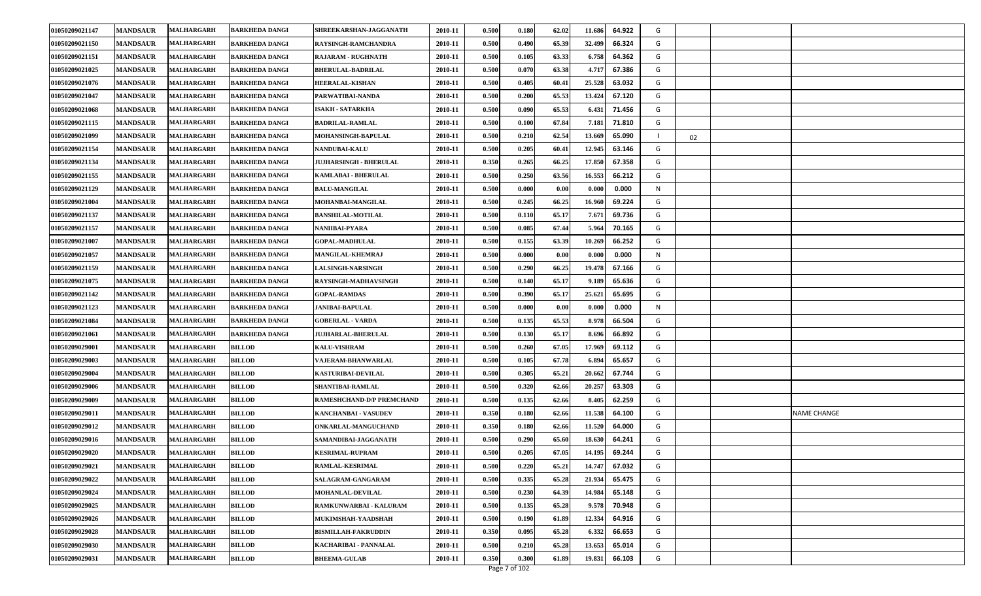| 01050209021147 | <b>MANDSAUR</b> | <b>MALHARGARH</b> | <b>BARKHEDA DANGI</b> | SHREEKARSHAN-JAGGANATH           | 2010-11 | 0.500 | 0.180 | 62.02 | 11.686 | 64.922 | G |    |                    |
|----------------|-----------------|-------------------|-----------------------|----------------------------------|---------|-------|-------|-------|--------|--------|---|----|--------------------|
| 01050209021150 | <b>MANDSAUR</b> | <b>MALHARGARH</b> | <b>BARKHEDA DANGI</b> | RAYSINGH-RAMCHANDRA              | 2010-11 | 0.500 | 0.490 | 65.39 | 32.499 | 66.324 | G |    |                    |
| 01050209021151 | <b>MANDSAUR</b> | <b>MALHARGARH</b> | <b>BARKHEDA DANGI</b> | <b>RAJARAM - RUGHNATH</b>        | 2010-11 | 0.500 | 0.105 | 63.33 | 6.758  | 64.362 | G |    |                    |
| 01050209021025 | <b>MANDSAUR</b> | <b>MALHARGARH</b> | <b>BARKHEDA DANGI</b> | <b>BHERULAL-BADRILAL</b>         | 2010-11 | 0.500 | 0.070 | 63.38 | 4.717  | 67.386 | G |    |                    |
| 01050209021076 | <b>MANDSAUR</b> | <b>MALHARGARH</b> | <b>BARKHEDA DANGI</b> | <b>HEERALAL-KISHAN</b>           | 2010-11 | 0.500 | 0.405 | 60.41 | 25.528 | 63.032 | G |    |                    |
| 01050209021047 | <b>MANDSAUR</b> | <b>MALHARGARH</b> | <b>BARKHEDA DANGI</b> | PARWATIBAI-NANDA                 | 2010-11 | 0.500 | 0.200 | 65.53 | 13.424 | 67.120 | G |    |                    |
| 01050209021068 | <b>MANDSAUR</b> | <b>MALHARGARH</b> | <b>BARKHEDA DANGI</b> | <b>ISAKH - SATARKHA</b>          | 2010-11 | 0.500 | 0.090 | 65.53 | 6.431  | 71.456 | G |    |                    |
| 01050209021115 | <b>MANDSAUR</b> | <b>MALHARGARH</b> | <b>BARKHEDA DANGI</b> | <b>BADRILAL-RAMLAL</b>           | 2010-11 | 0.500 | 0.100 | 67.84 | 7.181  | 71.810 | G |    |                    |
| 01050209021099 | <b>MANDSAUR</b> | <b>MALHARGARH</b> | <b>BARKHEDA DANGI</b> | MOHANSINGH-BAPULAL               | 2010-11 | 0.500 | 0.210 | 62.54 | 13.669 | 65.090 |   | 02 |                    |
| 01050209021154 | <b>MANDSAUR</b> | <b>MALHARGARH</b> | <b>BARKHEDA DANGI</b> | NANDUBAI-KALU                    | 2010-11 | 0.500 | 0.205 | 60.41 | 12.945 | 63.146 | G |    |                    |
| 01050209021134 | <b>MANDSAUR</b> | <b>MALHARGARH</b> | <b>BARKHEDA DANGI</b> | JUJHARSINGH - BHERULAL           | 2010-11 | 0.350 | 0.265 | 66.25 | 17.850 | 67.358 | G |    |                    |
| 01050209021155 | <b>MANDSAUR</b> | <b>MALHARGARH</b> | <b>BARKHEDA DANGI</b> | KAMLABAI - BHERULAL              | 2010-11 | 0.500 | 0.250 | 63.56 | 16.553 | 66.212 | G |    |                    |
| 01050209021129 | <b>MANDSAUR</b> | MALHARGARH        | <b>BARKHEDA DANGI</b> | <b>BALU-MANGILAL</b>             | 2010-11 | 0.500 | 0.000 | 0.00  | 0.000  | 0.000  | N |    |                    |
| 01050209021004 | <b>MANDSAUR</b> | <b>MALHARGARH</b> | <b>BARKHEDA DANGI</b> | MOHANBAI-MANGILAL                | 2010-11 | 0.500 | 0.245 | 66.25 | 16.960 | 69.224 | G |    |                    |
| 01050209021137 | <b>MANDSAUR</b> | <b>MALHARGARH</b> | <b>BARKHEDA DANGI</b> | <b>BANSHILAL-MOTILAL</b>         | 2010-11 | 0.500 | 0.110 | 65.17 | 7.671  | 69.736 | G |    |                    |
| 01050209021157 | <b>MANDSAUR</b> | MALHARGARH        | <b>BARKHEDA DANGI</b> | NANIIBAI-PYARA                   | 2010-11 | 0.500 | 0.085 | 67.44 | 5.964  | 70.165 | G |    |                    |
| 01050209021007 | <b>MANDSAUR</b> | <b>MALHARGARH</b> | <b>BARKHEDA DANGI</b> | <b>GOPAL-MADHULAL</b>            | 2010-11 | 0.500 | 0.155 | 63.39 | 10.269 | 66.252 | G |    |                    |
| 01050209021057 | <b>MANDSAUR</b> | <b>MALHARGARH</b> | <b>BARKHEDA DANGI</b> | MANGILAL-KHEMRAJ                 | 2010-11 | 0.500 | 0.000 | 0.00  | 0.000  | 0.000  | N |    |                    |
| 01050209021159 | <b>MANDSAUR</b> | <b>MALHARGARH</b> | <b>BARKHEDA DANGI</b> | <b>LALSINGH-NARSINGH</b>         | 2010-11 | 0.500 | 0.290 | 66.25 | 19.478 | 67.166 | G |    |                    |
| 01050209021075 | <b>MANDSAUR</b> | MALHARGARH        | <b>BARKHEDA DANGI</b> | RAYSINGH-MADHAVSINGH             | 2010-11 | 0.500 | 0.140 | 65.17 | 9.18   | 65.636 | G |    |                    |
| 01050209021142 | <b>MANDSAUR</b> | MALHARGARH        | <b>BARKHEDA DANGI</b> | <b>GOPAL-RAMDAS</b>              | 2010-11 | 0.500 | 0.390 | 65.17 | 25.621 | 65.695 | G |    |                    |
| 01050209021123 | <b>MANDSAUR</b> | <b>MALHARGARH</b> | <b>BARKHEDA DANGI</b> | <b>JANIBAI-BAPULAL</b>           | 2010-11 | 0.500 | 0.000 | 0.00  | 0.000  | 0.000  | N |    |                    |
| 01050209021084 | <b>MANDSAUR</b> | <b>MALHARGARH</b> | <b>BARKHEDA DANGI</b> | <b>GOBERLAL - VARDA</b>          | 2010-11 | 0.500 | 0.135 | 65.53 | 8.978  | 66.504 | G |    |                    |
| 01050209021061 | <b>MANDSAUR</b> | <b>MALHARGARH</b> | <b>BARKHEDA DANGI</b> | <b>JUJHARLAL-BHERULAL</b>        | 2010-11 | 0.500 | 0.130 | 65.17 | 8.696  | 66.892 | G |    |                    |
| 01050209029001 | <b>MANDSAUR</b> | <b>MALHARGARH</b> | <b>BILLOD</b>         | <b>KALU-VISHRAM</b>              | 2010-11 | 0.500 | 0.260 | 67.05 | 17.969 | 69.112 | G |    |                    |
| 01050209029003 | <b>MANDSAUR</b> | <b>MALHARGARH</b> | <b>BILLOD</b>         | VAJERAM-BHANWARLAL               | 2010-11 | 0.500 | 0.105 | 67.78 | 6.894  | 65.657 | G |    |                    |
| 01050209029004 | <b>MANDSAUR</b> | <b>MALHARGARH</b> | <b>BILLOD</b>         | KASTURIBAI-DEVILAL               | 2010-11 | 0.500 | 0.305 | 65.21 | 20.662 | 67.744 | G |    |                    |
| 01050209029006 | <b>MANDSAUR</b> | <b>MALHARGARH</b> | <b>BILLOD</b>         | SHANTIBAI-RAMLAL                 | 2010-11 | 0.500 | 0.320 | 62.66 | 20.257 | 63.303 | G |    |                    |
| 01050209029009 | <b>MANDSAUR</b> | <b>MALHARGARH</b> | <b>BILLOD</b>         | <b>RAMESHCHAND-D/P PREMCHAND</b> | 2010-11 | 0.500 | 0.135 | 62.66 | 8.405  | 62.259 | G |    |                    |
| 01050209029011 | <b>MANDSAUR</b> | <b>MALHARGARH</b> | <b>BILLOD</b>         | KANCHANBAI - VASUDEV             | 2010-11 | 0.350 | 0.180 | 62.66 | 11.538 | 64.100 | G |    | <b>NAME CHANGE</b> |
| 01050209029012 | <b>MANDSAUR</b> | <b>MALHARGARH</b> | <b>BILLOD</b>         | ONKARLAL-MANGUCHAND              | 2010-11 | 0.350 | 0.180 | 62.66 | 11.520 | 64.000 | G |    |                    |
| 01050209029016 | <b>MANDSAUR</b> | <b>MALHARGARH</b> | <b>BILLOD</b>         | SAMANDIBAI-JAGGANATH             | 2010-11 | 0.500 | 0.290 | 65.60 | 18.63  | 64.241 | G |    |                    |
| 01050209029020 | <b>MANDSAUR</b> | <b>MALHARGARH</b> | <b>BILLOD</b>         | <b>KESRIMAL-RUPRAM</b>           | 2010-11 | 0.500 | 0.205 | 67.05 | 14.195 | 69.244 | G |    |                    |
| 01050209029021 | <b>MANDSAUR</b> | <b>MALHARGARH</b> | <b>BILLOD</b>         | <b>RAMLAL-KESRIMAL</b>           | 2010-11 | 0.500 | 0.220 | 65.21 | 14.747 | 67.032 | G |    |                    |
| 01050209029022 | <b>MANDSAUR</b> | <b>MALHARGARH</b> | <b>BILLOD</b>         | SALAGRAM-GANGARAM                | 2010-11 | 0.500 | 0.335 | 65.28 | 21.934 | 65.475 | G |    |                    |
| 01050209029024 | <b>MANDSAUR</b> | MALHARGARH        | <b>BILLOD</b>         | <b>MOHANLAL-DEVILAL</b>          | 2010-11 | 0.500 | 0.230 | 64.39 | 14.984 | 65.148 | G |    |                    |
| 01050209029025 | <b>MANDSAUR</b> | <b>MALHARGARH</b> | <b>BILLOD</b>         | RAMKUNWARBAI - KALURAM           | 2010-11 | 0.500 | 0.135 | 65.28 | 9.578  | 70.948 | G |    |                    |
| 01050209029026 | <b>MANDSAUR</b> | <b>MALHARGARH</b> | <b>BILLOD</b>         | MUKIMSHAH-YAADSHAH               | 2010-11 | 0.500 | 0.190 | 61.89 | 12.334 | 64.916 | G |    |                    |
| 01050209029028 | <b>MANDSAUR</b> | <b>MALHARGARH</b> | <b>BILLOD</b>         | <b>BISMILLAH-FAKRUDDIN</b>       | 2010-11 | 0.350 | 0.095 | 65.28 | 6.332  | 66.653 | G |    |                    |
| 01050209029030 | <b>MANDSAUR</b> | <b>MALHARGARH</b> | <b>BILLOD</b>         | KACHARIBAI - PANNALAL            | 2010-11 | 0.500 | 0.210 | 65.28 | 13.653 | 65.014 | G |    |                    |
| 01050209029031 | <b>MANDSAUR</b> | <b>MALHARGARH</b> | <b>BILLOD</b>         | <b>BHEEMA-GULAB</b>              | 2010-11 | 0.350 | 0.300 | 61.89 | 19.831 | 66.103 | G |    |                    |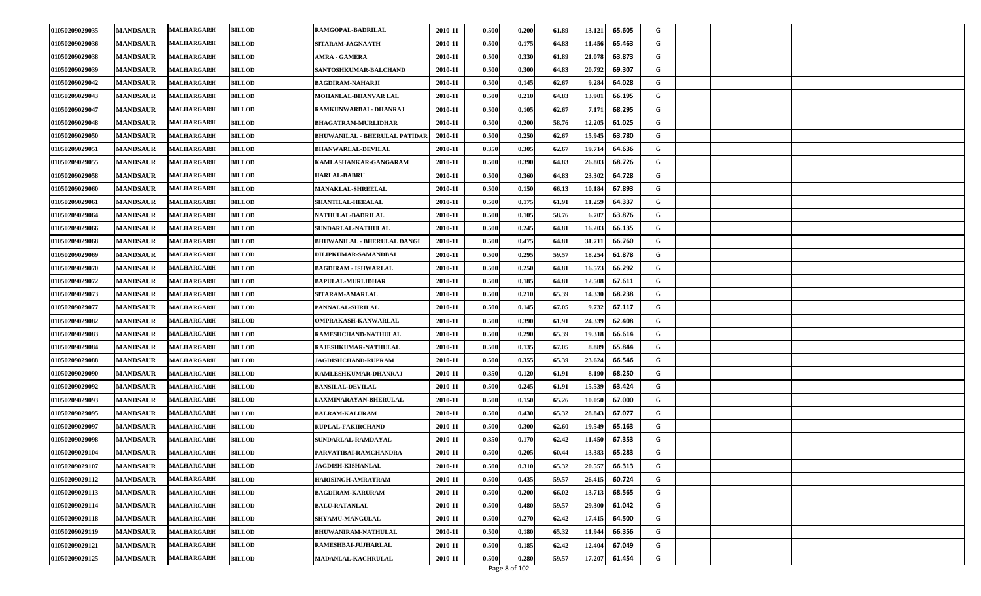| 01050209029035 | <b>MANDSAUR</b> | <b>MALHARGARH</b> | <b>BILLOD</b> | RAMGOPAL-BADRILAL                    | 2010-11 | 0.500 | 0.200 | 61.89 | 13.121 | 65.605 | G |  |  |
|----------------|-----------------|-------------------|---------------|--------------------------------------|---------|-------|-------|-------|--------|--------|---|--|--|
| 01050209029036 | <b>MANDSAUR</b> | <b>MALHARGARH</b> | BILLOD        | SITARAM-JAGNAATH                     | 2010-11 | 0.500 | 0.175 | 64.83 | 11.456 | 65.463 | G |  |  |
| 01050209029038 | <b>MANDSAUR</b> | <b>MALHARGARH</b> | <b>BILLOD</b> | <b>AMRA - GAMERA</b>                 | 2010-11 | 0.500 | 0.330 | 61.89 | 21.078 | 63.873 | G |  |  |
| 01050209029039 | <b>MANDSAUR</b> | <b>MALHARGARH</b> | <b>BILLOD</b> | SANTOSHKUMAR-BALCHAND                | 2010-11 | 0.500 | 0.300 | 64.83 | 20.792 | 69.307 | G |  |  |
| 01050209029042 | <b>MANDSAUR</b> | <b>MALHARGARH</b> | <b>BILLOD</b> | <b>BAGDIRAM-NAHARJI</b>              | 2010-11 | 0.500 | 0.145 | 62.67 | 9.284  | 64.028 | G |  |  |
| 01050209029043 | <b>MANDSAUR</b> | <b>MALHARGARH</b> | <b>BILLOD</b> | MOHANLAL-BHANVAR LAL                 | 2010-11 | 0.500 | 0.210 | 64.83 | 13.901 | 66.195 | G |  |  |
| 01050209029047 | <b>MANDSAUR</b> | <b>MALHARGARH</b> | <b>BILLOD</b> | RAMKUNWARBAI - DHANRAJ               | 2010-11 | 0.500 | 0.105 | 62.67 | 7.171  | 68.295 | G |  |  |
| 01050209029048 | <b>MANDSAUR</b> | <b>MALHARGARH</b> | BILLOD        | BHAGATRAM-MURLIDHAR                  | 2010-11 | 0.500 | 0.200 | 58.76 | 12.205 | 61.025 | G |  |  |
| 01050209029050 | <b>MANDSAUR</b> | <b>MALHARGARH</b> | <b>BILLOD</b> | <b>BHUWANILAL - BHERULAL PATIDAR</b> | 2010-11 | 0.500 | 0.250 | 62.67 | 15.945 | 63.780 | G |  |  |
| 01050209029051 | <b>MANDSAUR</b> | <b>MALHARGARH</b> | <b>BILLOD</b> | <b>BHANWARLAL-DEVILAL</b>            | 2010-11 | 0.350 | 0.305 | 62.67 | 19.714 | 64.636 | G |  |  |
| 01050209029055 | <b>MANDSAUR</b> | <b>MALHARGARH</b> | <b>BILLOD</b> | KAMLASHANKAR-GANGARAM                | 2010-11 | 0.500 | 0.390 | 64.83 | 26.803 | 68.726 | G |  |  |
| 01050209029058 | <b>MANDSAUR</b> | MALHARGARH        | BILLOD        | <b>HARLAL-BABRU</b>                  | 2010-11 | 0.500 | 0.360 | 64.83 | 23.302 | 64.728 | G |  |  |
| 01050209029060 | <b>MANDSAUR</b> | <b>MALHARGARH</b> | BILLOD        | <b>MANAKLAL-SHREELAL</b>             | 2010-11 | 0.500 | 0.150 | 66.13 | 10.184 | 67.893 | G |  |  |
| 01050209029061 | <b>MANDSAUR</b> | <b>MALHARGARH</b> | <b>BILLOD</b> | <b>SHANTILAL-HEEALAL</b>             | 2010-11 | 0.500 | 0.175 | 61.91 | 11.259 | 64.337 | G |  |  |
| 01050209029064 | <b>MANDSAUR</b> | <b>MALHARGARH</b> | <b>BILLOD</b> | NATHULAL-BADRILAL                    | 2010-11 | 0.500 | 0.105 | 58.76 | 6.707  | 63.876 | G |  |  |
| 01050209029066 | <b>MANDSAUR</b> | <b>MALHARGARH</b> | <b>BILLOD</b> | SUNDARLAL-NATHULAL                   | 2010-11 | 0.500 | 0.245 | 64.81 | 16.203 | 66.135 | G |  |  |
| 01050209029068 | <b>MANDSAUR</b> | <b>MALHARGARH</b> | BILLOD        | <b>BHUWANILAL - BHERULAL DANGI</b>   | 2010-11 | 0.500 | 0.475 | 64.81 | 31.711 | 66.760 | G |  |  |
| 01050209029069 | <b>MANDSAUR</b> | <b>MALHARGARH</b> | <b>BILLOD</b> | DILIPKUMAR-SAMANDBAI                 | 2010-11 | 0.500 | 0.295 | 59.57 | 18.254 | 61.878 | G |  |  |
| 01050209029070 | <b>MANDSAUR</b> | <b>MALHARGARH</b> | <b>BILLOD</b> | <b>BAGDIRAM - ISHWARLAL</b>          | 2010-11 | 0.500 | 0.250 | 64.81 | 16.573 | 66.292 | G |  |  |
| 01050209029072 | <b>MANDSAUR</b> | <b>MALHARGARH</b> | <b>BILLOD</b> | <b>BAPULAL-MURLIDHAR</b>             | 2010-11 | 0.500 | 0.185 | 64.81 | 12.508 | 67.611 | G |  |  |
| 01050209029073 | <b>MANDSAUR</b> | <b>MALHARGARH</b> | <b>BILLOD</b> | SITARAM-AMARLAL                      | 2010-11 | 0.500 | 0.210 | 65.39 | 14.330 | 68.238 | G |  |  |
| 01050209029077 | <b>MANDSAUR</b> | <b>MALHARGARH</b> | <b>BILLOD</b> | PANNALAL-SHRILAL                     | 2010-11 | 0.500 | 0.145 | 67.05 | 9.732  | 67.117 | G |  |  |
| 01050209029082 | <b>MANDSAUR</b> | <b>MALHARGARH</b> | <b>BILLOD</b> | OMPRAKASH-KANWARLAL                  | 2010-11 | 0.500 | 0.390 | 61.91 | 24.339 | 62.408 | G |  |  |
| 01050209029083 | <b>MANDSAUR</b> | <b>MALHARGARH</b> | <b>BILLOD</b> | RAMESHCHAND-NATHULAL                 | 2010-11 | 0.500 | 0.290 | 65.39 | 19.318 | 66.614 | G |  |  |
| 01050209029084 | <b>MANDSAUR</b> | <b>MALHARGARH</b> | BILLOD        | RAJESHKUMAR-NATHULAL                 | 2010-11 | 0.500 | 0.135 | 67.05 | 8.889  | 65.844 | G |  |  |
| 01050209029088 | <b>MANDSAUR</b> | <b>MALHARGARH</b> | <b>BILLOD</b> | <b>JAGDISHCHAND-RUPRAM</b>           | 2010-11 | 0.500 | 0.355 | 65.39 | 23.624 | 66.546 | G |  |  |
| 01050209029090 | <b>MANDSAUR</b> | <b>MALHARGARH</b> | <b>BILLOD</b> | KAMLESHKUMAR-DHANRAJ                 | 2010-11 | 0.350 | 0.120 | 61.91 | 8.190  | 68.250 | G |  |  |
| 01050209029092 | <b>MANDSAUR</b> | <b>MALHARGARH</b> | <b>BILLOD</b> | <b>BANSILAL-DEVILAL</b>              | 2010-11 | 0.500 | 0.245 | 61.91 | 15.539 | 63.424 | G |  |  |
| 01050209029093 | <b>MANDSAUR</b> | <b>MALHARGARH</b> | <b>BILLOD</b> | LAXMINARAYAN-BHERULAL                | 2010-11 | 0.500 | 0.150 | 65.26 | 10.050 | 67.000 | G |  |  |
| 01050209029095 | <b>MANDSAUR</b> | <b>MALHARGARH</b> | <b>BILLOD</b> | <b>BALRAM-KALURAM</b>                | 2010-11 | 0.500 | 0.430 | 65.32 | 28.843 | 67.077 | G |  |  |
| 01050209029097 | <b>MANDSAUR</b> | <b>MALHARGARH</b> | BILLOD        | RUPLAL-FAKIRCHAND                    | 2010-11 | 0.500 | 0.300 | 62.60 | 19.549 | 65.163 | G |  |  |
| 01050209029098 | <b>MANDSAUR</b> | <b>MALHARGARH</b> | <b>BILLOD</b> | SUNDARLAL-RAMDAYAL                   | 2010-11 | 0.350 | 0.170 | 62.42 | 11.450 | 67.353 | G |  |  |
| 01050209029104 | <b>MANDSAUR</b> | <b>MALHARGARH</b> | <b>BILLOD</b> | PARVATIBAI-RAMCHANDRA                | 2010-11 | 0.500 | 0.205 | 60.44 | 13.383 | 65.283 | G |  |  |
| 01050209029107 | <b>MANDSAUR</b> | <b>MALHARGARH</b> | <b>BILLOD</b> | <b>JAGDISH-KISHANLAL</b>             | 2010-11 | 0.500 | 0.310 | 65.32 | 20.557 | 66.313 | G |  |  |
| 01050209029112 | <b>MANDSAUR</b> | <b>MALHARGARH</b> | <b>BILLOD</b> | HARISINGH-AMRATRAM                   | 2010-11 | 0.500 | 0.435 | 59.57 | 26.415 | 60.724 | G |  |  |
| 01050209029113 | <b>MANDSAUR</b> | <b>MALHARGARH</b> | <b>BILLOD</b> | <b>BAGDIRAM-KARURAM</b>              | 2010-11 | 0.500 | 0.200 | 66.02 | 13.713 | 68.565 | G |  |  |
| 01050209029114 | <b>MANDSAUR</b> | <b>MALHARGARH</b> | <b>BILLOD</b> | <b>BALU-RATANLAL</b>                 | 2010-11 | 0.500 | 0.480 | 59.57 | 29.300 | 61.042 | G |  |  |
| 01050209029118 | <b>MANDSAUR</b> | <b>MALHARGARH</b> | <b>BILLOD</b> | <b>SHYAMU-MANGULAL</b>               | 2010-11 | 0.500 | 0.270 | 62.42 | 17.415 | 64.500 | G |  |  |
| 01050209029119 | <b>MANDSAUR</b> | <b>MALHARGARH</b> | <b>BILLOD</b> | <b>BHUWANIRAM-NATHULAL</b>           | 2010-11 | 0.500 | 0.180 | 65.32 | 11.944 | 66.356 | G |  |  |
| 01050209029121 | <b>MANDSAUR</b> | <b>MALHARGARH</b> | <b>BILLOD</b> | RAMESHBAI-JUJHARLAL                  | 2010-11 | 0.500 | 0.185 | 62.42 | 12.404 | 67.049 | G |  |  |
| 01050209029125 | <b>MANDSAUR</b> | <b>MALHARGARH</b> | <b>BILLOD</b> | MADANLAL-KACHRULAL                   | 2010-11 | 0.500 | 0.280 | 59.57 | 17.207 | 61.454 | G |  |  |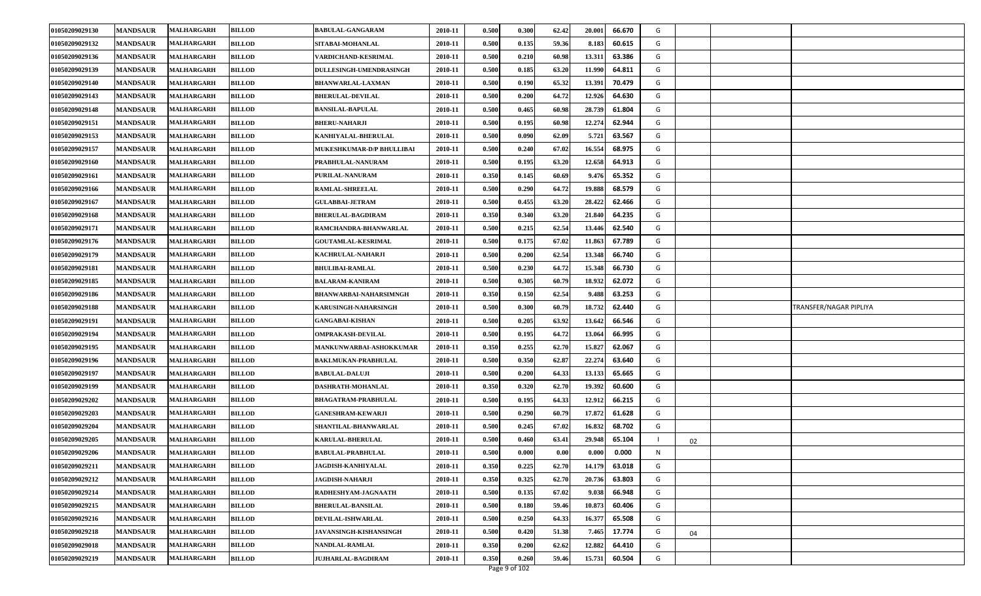| 01050209029130 | <b>MANDSAUR</b> | <b>MALHARGARH</b> | <b>BILLOD</b> | <b>BABULAL-GANGARAM</b>          | 2010-11 | 0.500 | 0.300                  | 62.42 | 20.001 | 66.670 | G |    |                        |
|----------------|-----------------|-------------------|---------------|----------------------------------|---------|-------|------------------------|-------|--------|--------|---|----|------------------------|
| 01050209029132 | <b>MANDSAUR</b> | <b>MALHARGARH</b> | BILLOD        | SITABAI-MOHANLAL                 | 2010-11 | 0.500 | 0.135                  | 59.36 | 8.183  | 60.615 | G |    |                        |
| 01050209029136 | <b>MANDSAUR</b> | <b>MALHARGARH</b> | <b>BILLOD</b> | VARDICHAND-KESRIMAL              | 2010-11 | 0.500 | 0.210                  | 60.98 | 13.311 | 63.386 | G |    |                        |
| 01050209029139 | <b>MANDSAUR</b> | <b>MALHARGARH</b> | <b>BILLOD</b> | <b>DULLESINGH-UMENDRASINGH</b>   | 2010-11 | 0.500 | 0.185                  | 63.20 | 11.990 | 64.811 | G |    |                        |
| 01050209029140 | <b>MANDSAUR</b> | <b>MALHARGARH</b> | <b>BILLOD</b> | <b>BHANWARLAL-LAXMAN</b>         | 2010-11 | 0.500 | 0.190                  | 65.32 | 13.391 | 70.479 | G |    |                        |
| 01050209029143 | <b>MANDSAUR</b> | <b>MALHARGARH</b> | <b>BILLOD</b> | <b>BHERULAL-DEVILAL</b>          | 2010-11 | 0.500 | 0.200                  | 64.72 | 12.926 | 64.630 | G |    |                        |
| 01050209029148 | <b>MANDSAUR</b> | <b>MALHARGARH</b> | <b>BILLOD</b> | <b>BANSILAL-BAPULAL</b>          | 2010-11 | 0.500 | 0.465                  | 60.98 | 28.739 | 61.804 | G |    |                        |
| 01050209029151 | <b>MANDSAUR</b> | <b>MALHARGARH</b> | BILLOD        | <b>BHERU-NAHARJI</b>             | 2010-11 | 0.500 | 0.195                  | 60.98 | 12.274 | 62.944 | G |    |                        |
| 01050209029153 | <b>MANDSAUR</b> | <b>MALHARGARH</b> | <b>BILLOD</b> | KANHIYALAL-BHERULAL              | 2010-11 | 0.500 | 0.090                  | 62.09 | 5.721  | 63.567 | G |    |                        |
| 01050209029157 | <b>MANDSAUR</b> | <b>MALHARGARH</b> | <b>BILLOD</b> | <b>MUKESHKUMAR-D/P BHULLIBAI</b> | 2010-11 | 0.500 | 0.240                  | 67.02 | 16.554 | 68.975 | G |    |                        |
| 01050209029160 | <b>MANDSAUR</b> | <b>MALHARGARH</b> | <b>BILLOD</b> | PRABHULAL-NANURAM                | 2010-11 | 0.500 | 0.195                  | 63.20 | 12.658 | 64.913 | G |    |                        |
| 01050209029161 | <b>MANDSAUR</b> | <b>MALHARGARH</b> | <b>BILLOD</b> | <b>PURILAL-NANURAM</b>           | 2010-11 | 0.350 | 0.145                  | 60.69 | 9.476  | 65.352 | G |    |                        |
| 01050209029166 | <b>MANDSAUR</b> | <b>MALHARGARH</b> | <b>BILLOD</b> | RAMLAL-SHREELAL                  | 2010-11 | 0.500 | 0.290                  | 64.72 | 19.888 | 68.579 | G |    |                        |
| 01050209029167 | <b>MANDSAUR</b> | <b>MALHARGARH</b> | <b>BILLOD</b> | <b>GULABBAI-JETRAM</b>           | 2010-11 | 0.500 | 0.455                  | 63.20 | 28.422 | 62.466 | G |    |                        |
| 01050209029168 | <b>MANDSAUR</b> | <b>MALHARGARH</b> | <b>BILLOD</b> | <b>BHERULAL-BAGDIRAM</b>         | 2010-11 | 0.350 | 0.340                  | 63.20 | 21.840 | 64.235 | G |    |                        |
| 01050209029171 | <b>MANDSAUR</b> | <b>MALHARGARH</b> | <b>BILLOD</b> | RAMCHANDRA-BHANWARLAL            | 2010-11 | 0.500 | 0.215                  | 62.54 | 13.446 | 62.540 | G |    |                        |
| 01050209029176 | <b>MANDSAUR</b> | <b>MALHARGARH</b> | <b>BILLOD</b> | <b>GOUTAMLAL-KESRIMAL</b>        | 2010-11 | 0.500 | 0.175                  | 67.02 | 11.863 | 67.789 | G |    |                        |
| 01050209029179 | <b>MANDSAUR</b> | <b>MALHARGARH</b> | <b>BILLOD</b> | KACHRULAL-NAHARJI                | 2010-11 | 0.500 | 0.200                  | 62.54 | 13.348 | 66.740 | G |    |                        |
| 01050209029181 | <b>MANDSAUR</b> | <b>MALHARGARH</b> | <b>BILLOD</b> | <b>BHULIBAI-RAMLAL</b>           | 2010-11 | 0.500 | 0.230                  | 64.72 | 15.348 | 66.730 | G |    |                        |
| 01050209029185 | <b>MANDSAUR</b> | <b>MALHARGARH</b> | <b>BILLOD</b> | <b>BALARAM-KANIRAM</b>           | 2010-11 | 0.500 | 0.305                  | 60.79 | 18.932 | 62.072 | G |    |                        |
| 01050209029186 | <b>MANDSAUR</b> | <b>MALHARGARH</b> | <b>BILLOD</b> | BHANWARBAI-NAHARSIMNGH           | 2010-11 | 0.350 | 0.150                  | 62.54 | 9.488  | 63.253 | G |    |                        |
| 01050209029188 | <b>MANDSAUR</b> | <b>MALHARGARH</b> | <b>BILLOD</b> | KARUSINGH-NAHARSINGH             | 2010-11 | 0.500 | 0.300                  | 60.79 | 18.732 | 62.440 | G |    | TRANSFER/NAGAR PIPLIYA |
| 01050209029191 | <b>MANDSAUR</b> | <b>MALHARGARH</b> | <b>BILLOD</b> | <b>GANGABAI-KISHAN</b>           | 2010-11 | 0.500 | 0.205                  | 63.92 | 13.642 | 66.546 | G |    |                        |
| 01050209029194 | <b>MANDSAUR</b> | <b>MALHARGARH</b> | <b>BILLOD</b> | OMPRAKASH-DEVILAL                | 2010-11 | 0.500 | 0.195                  | 64.72 | 13.064 | 66.995 | G |    |                        |
| 01050209029195 | <b>MANDSAUR</b> | <b>MALHARGARH</b> | <b>BILLOD</b> | MANKUNWARBAI-ASHOKKUMAR          | 2010-11 | 0.350 | 0.255                  | 62.70 | 15.827 | 62.067 | G |    |                        |
| 01050209029196 | <b>MANDSAUR</b> | <b>MALHARGARH</b> | <b>BILLOD</b> | <b>BAKLMUKAN-PRABHULAL</b>       | 2010-11 | 0.500 | 0.350                  | 62.87 | 22.274 | 63.640 | G |    |                        |
| 01050209029197 | <b>MANDSAUR</b> | <b>MALHARGARH</b> | <b>BILLOD</b> | <b>BABULAL-DALUJI</b>            | 2010-11 | 0.500 | 0.200                  | 64.33 | 13.133 | 65.665 | G |    |                        |
| 01050209029199 | <b>MANDSAUR</b> | <b>MALHARGARH</b> | <b>BILLOD</b> | DASHRATH-MOHANLAL                | 2010-11 | 0.350 | 0.320                  | 62.70 | 19.392 | 60.600 | G |    |                        |
| 01050209029202 | <b>MANDSAUR</b> | <b>MALHARGARH</b> | <b>BILLOD</b> | <b>BHAGATRAM-PRABHULAL</b>       | 2010-11 | 0.500 | 0.195                  | 64.33 | 12.912 | 66.215 | G |    |                        |
| 01050209029203 | <b>MANDSAUR</b> | <b>MALHARGARH</b> | <b>BILLOD</b> | <b>GANESHRAM-KEWARJI</b>         | 2010-11 | 0.500 | 0.290                  | 60.79 | 17.872 | 61.628 | G |    |                        |
| 01050209029204 | <b>MANDSAUR</b> | <b>MALHARGARH</b> | <b>BILLOD</b> | <b>SHANTILAL-BHANWARLAL</b>      | 2010-11 | 0.500 | 0.245                  | 67.02 | 16.832 | 68.702 | G |    |                        |
| 01050209029205 | <b>MANDSAUR</b> | <b>MALHARGARH</b> | <b>BILLOD</b> | <b>KARULAL-BHERULAL</b>          | 2010-11 | 0.500 | 0.460                  | 63.4  | 29.948 | 65.104 |   | 02 |                        |
| 01050209029206 | <b>MANDSAUR</b> | <b>MALHARGARH</b> | <b>BILLOD</b> | <b>BABULAL-PRABHULAL</b>         | 2010-11 | 0.500 | 0.000                  | 0.00  | 0.000  | 0.000  | N |    |                        |
| 01050209029211 | <b>MANDSAUR</b> | <b>MALHARGARH</b> | <b>BILLOD</b> | <b>JAGDISH-KANHIYALAL</b>        | 2010-11 | 0.350 | 0.225                  | 62.70 | 14.179 | 63.018 | G |    |                        |
| 01050209029212 | <b>MANDSAUR</b> | <b>MALHARGARH</b> | BILLOD        | <b>JAGDISH-NAHARJI</b>           | 2010-11 | 0.350 | 0.325                  | 62.70 | 20.736 | 63.803 | G |    |                        |
| 01050209029214 | <b>MANDSAUR</b> | <b>MALHARGARH</b> | <b>BILLOD</b> | RADHESHYAM-JAGNAATH              | 2010-11 | 0.500 | 0.135                  | 67.02 | 9.038  | 66.948 | G |    |                        |
| 01050209029215 | <b>MANDSAUR</b> | <b>MALHARGARH</b> | <b>BILLOD</b> | <b>BHERULAL-BANSILAL</b>         | 2010-11 | 0.500 | 0.180                  | 59.46 | 10.873 | 60.406 | G |    |                        |
| 01050209029216 | <b>MANDSAUR</b> | <b>MALHARGARH</b> | <b>BILLOD</b> | DEVILAL-ISHWARLAL                | 2010-11 | 0.500 | 0.250                  | 64.33 | 16.377 | 65.508 | G |    |                        |
| 01050209029218 | <b>MANDSAUR</b> | <b>MALHARGARH</b> | <b>BILLOD</b> | <b>JAVANSINGH-KISHANSINGH</b>    | 2010-11 | 0.500 | 0.420                  | 51.38 | 7.465  | 17.774 | G | 04 |                        |
| 01050209029018 | <b>MANDSAUR</b> | <b>MALHARGARH</b> | <b>BILLOD</b> | <b>NANDLAL-RAMLAL</b>            | 2010-11 | 0.350 | 0.200                  | 62.62 | 12.882 | 64.410 | G |    |                        |
| 01050209029219 | <b>MANDSAUR</b> | <b>MALHARGARH</b> | <b>BILLOD</b> | <b>JUJHARLAL-BAGDIRAM</b>        | 2010-11 | 0.350 | 0.260<br>Page 9 of 102 | 59.46 | 15.731 | 60.504 | G |    |                        |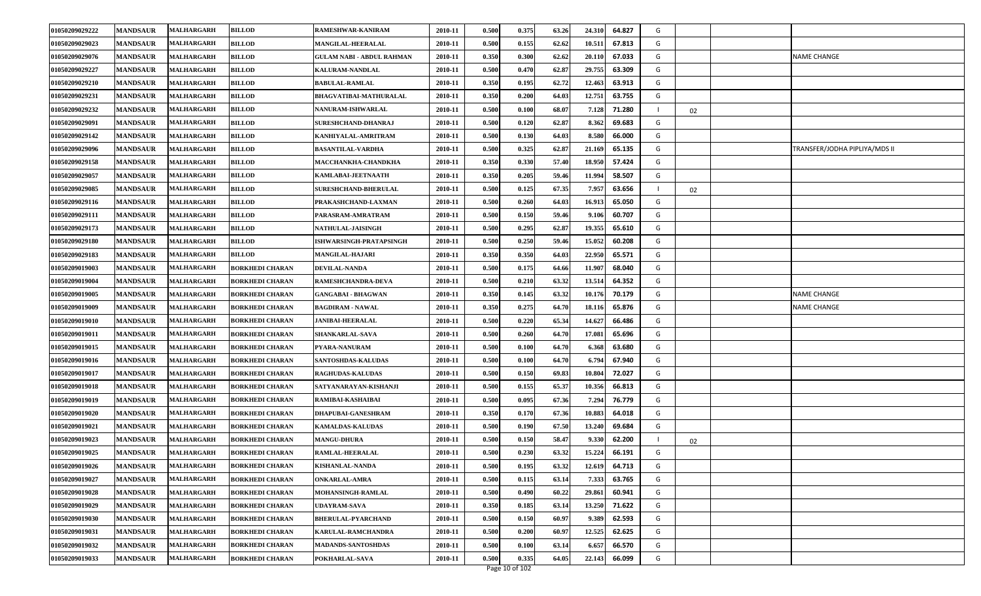| 01050209029222 | <b>MANDSAUR</b> | <b>MALHARGARH</b> | <b>BILLOD</b>          | RAMESHWAR-KANIRAM                | 2010-11 | 0.500 | 0.375 | 63.26 | 24.310 | 64.827 | G |    |                               |
|----------------|-----------------|-------------------|------------------------|----------------------------------|---------|-------|-------|-------|--------|--------|---|----|-------------------------------|
| 01050209029023 | <b>MANDSAUR</b> | <b>MALHARGARH</b> | <b>BILLOD</b>          | MANGILAL-HEERALAL                | 2010-11 | 0.500 | 0.155 | 62.62 | 10.511 | 67.813 | G |    |                               |
| 01050209029076 | <b>MANDSAUR</b> | <b>MALHARGARH</b> | <b>BILLOD</b>          | <b>GULAM NABI - ABDUL RAHMAN</b> | 2010-11 | 0.350 | 0.300 | 62.62 | 20.110 | 67.033 | G |    | <b>NAME CHANGE</b>            |
| 01050209029227 | <b>MANDSAUR</b> | <b>MALHARGARH</b> | <b>BILLOD</b>          | <b>KALURAM-NANDLAL</b>           | 2010-11 | 0.500 | 0.470 | 62.87 | 29.755 | 63.309 | G |    |                               |
| 01050209029210 | <b>MANDSAUR</b> | <b>MALHARGARH</b> | <b>BILLOD</b>          | <b>BABULAL-RAMLAL</b>            | 2010-11 | 0.350 | 0.195 | 62.72 | 12.463 | 63.913 | G |    |                               |
| 01050209029231 | <b>MANDSAUR</b> | <b>MALHARGARH</b> | <b>BILLOD</b>          | <b>BHAGVATIBAI-MATHURALAL</b>    | 2010-11 | 0.350 | 0.200 | 64.03 | 12.751 | 63.755 | G |    |                               |
| 01050209029232 | <b>MANDSAUR</b> | <b>MALHARGARH</b> | <b>BILLOD</b>          | NANURAM-ISHWARLAL                | 2010-11 | 0.500 | 0.100 | 68.07 | 7.128  | 71.280 |   | 02 |                               |
| 01050209029091 | <b>MANDSAUR</b> | <b>MALHARGARH</b> | <b>BILLOD</b>          | SURESHCHAND-DHANRAJ              | 2010-11 | 0.500 | 0.120 | 62.87 | 8.362  | 69.683 | G |    |                               |
| 01050209029142 | <b>MANDSAUR</b> | <b>MALHARGARH</b> | <b>BILLOD</b>          | KANHIYALAL-AMRITRAM              | 2010-11 | 0.500 | 0.130 | 64.03 | 8.580  | 66.000 | G |    |                               |
| 01050209029096 | <b>MANDSAUR</b> | <b>MALHARGARH</b> | <b>BILLOD</b>          | <b>BASANTILAL-VARDHA</b>         | 2010-11 | 0.500 | 0.325 | 62.8' | 21.169 | 65.135 | G |    | TRANSFER/JODHA PIPLIYA/MDS II |
| 01050209029158 | <b>MANDSAUR</b> | <b>MALHARGARH</b> | <b>BILLOD</b>          | MACCHANKHA-CHANDKHA              | 2010-11 | 0.350 | 0.330 | 57.40 | 18.950 | 57.424 | G |    |                               |
| 01050209029057 | <b>MANDSAUR</b> | <b>MALHARGARH</b> | <b>BILLOD</b>          | KAMLABAI-JEETNAATH               | 2010-11 | 0.350 | 0.205 | 59.46 | 11.994 | 58.507 | G |    |                               |
| 01050209029085 | <b>MANDSAUR</b> | <b>MALHARGARH</b> | <b>BILLOD</b>          | <b>SURESHCHAND-BHERULAL</b>      | 2010-11 | 0.500 | 0.125 | 67.35 | 7.957  | 63.656 |   | 02 |                               |
| 01050209029116 | <b>MANDSAUR</b> | <b>MALHARGARH</b> | <b>BILLOD</b>          | PRAKASHCHAND-LAXMAN              | 2010-11 | 0.500 | 0.260 | 64.03 | 16.913 | 65.050 | G |    |                               |
| 01050209029111 | <b>MANDSAUR</b> | <b>MALHARGARH</b> | <b>BILLOD</b>          | PARASRAM-AMRATRAM                | 2010-11 | 0.500 | 0.150 | 59.46 | 9.106  | 60.707 | G |    |                               |
| 01050209029173 | <b>MANDSAUR</b> | <b>MALHARGARH</b> | <b>BILLOD</b>          | <b>NATHULAL-JAISINGH</b>         | 2010-11 | 0.500 | 0.295 | 62.87 | 19.355 | 65.610 | G |    |                               |
| 01050209029180 | <b>MANDSAUR</b> | <b>MALHARGARH</b> | <b>BILLOD</b>          | ISHWARSINGH-PRATAPSINGH          | 2010-11 | 0.500 | 0.250 | 59.46 | 15.052 | 60.208 | G |    |                               |
| 01050209029183 | <b>MANDSAUR</b> | <b>MALHARGARH</b> | <b>BILLOD</b>          | <b>MANGILAL-HAJARI</b>           | 2010-11 | 0.350 | 0.350 | 64.03 | 22.950 | 65.571 | G |    |                               |
| 01050209019003 | <b>MANDSAUR</b> | <b>MALHARGARH</b> | <b>BORKHEDI CHARAN</b> | <b>DEVILAL-NANDA</b>             | 2010-11 | 0.500 | 0.175 | 64.66 | 11.907 | 68.040 | G |    |                               |
| 01050209019004 | <b>MANDSAUR</b> | <b>MALHARGARH</b> | <b>BORKHEDI CHARAN</b> | RAMESHCHANDRA-DEVA               | 2010-11 | 0.500 | 0.210 | 63.32 | 13.514 | 64.352 | G |    |                               |
| 01050209019005 | <b>MANDSAUR</b> | <b>MALHARGARH</b> | <b>BORKHEDI CHARAN</b> | <b>GANGABAI - BHAGWAN</b>        | 2010-11 | 0.350 | 0.145 | 63.32 | 10.176 | 70.179 | G |    | NAME CHANGE                   |
| 01050209019009 | <b>MANDSAUR</b> | <b>MALHARGARH</b> | <b>BORKHEDI CHARAN</b> | <b>BAGDIRAM - NAWAL</b>          | 2010-11 | 0.350 | 0.275 | 64.70 | 18.116 | 65.876 | G |    | NAME CHANGE                   |
| 01050209019010 | <b>MANDSAUR</b> | <b>MALHARGARH</b> | <b>BORKHEDI CHARAN</b> | <b>JANIBAI-HEERALAL</b>          | 2010-11 | 0.500 | 0.220 | 65.34 | 14.627 | 66.486 | G |    |                               |
| 01050209019011 | <b>MANDSAUR</b> | <b>MALHARGARH</b> | <b>BORKHEDI CHARAN</b> | SHANKARLAL-SAVA                  | 2010-11 | 0.500 | 0.260 | 64.70 | 17.081 | 65.696 | G |    |                               |
| 01050209019015 | <b>MANDSAUR</b> | <b>MALHARGARH</b> | <b>BORKHEDI CHARAN</b> | PYARA-NANURAM                    | 2010-11 | 0.500 | 0.100 | 64.70 | 6.368  | 63.680 | G |    |                               |
| 01050209019016 | <b>MANDSAUR</b> | <b>MALHARGARH</b> | <b>BORKHEDI CHARAN</b> | SANTOSHDAS-KALUDAS               | 2010-11 | 0.500 | 0.100 | 64.70 | 6.794  | 67.940 | G |    |                               |
| 01050209019017 | <b>MANDSAUR</b> | <b>MALHARGARH</b> | <b>BORKHEDI CHARAN</b> | <b>RAGHUDAS-KALUDAS</b>          | 2010-11 | 0.500 | 0.150 | 69.83 | 10.804 | 72.027 | G |    |                               |
| 01050209019018 | <b>MANDSAUR</b> | <b>MALHARGARH</b> | <b>BORKHEDI CHARAN</b> | SATYANARAYAN-KISHANJI            | 2010-11 | 0.500 | 0.155 | 65.37 | 10.356 | 66.813 | G |    |                               |
| 01050209019019 | <b>MANDSAUR</b> | <b>MALHARGARH</b> | <b>BORKHEDI CHARAN</b> | RAMIBAI-KASHAIBAI                | 2010-11 | 0.500 | 0.095 | 67.36 | 7.294  | 76.779 | G |    |                               |
| 01050209019020 | <b>MANDSAUR</b> | <b>MALHARGARH</b> | <b>BORKHEDI CHARAN</b> | <b>DHAPUBAI-GANESHRAM</b>        | 2010-11 | 0.350 | 0.170 | 67.36 | 10.883 | 64.018 | G |    |                               |
| 01050209019021 | <b>MANDSAUR</b> | <b>MALHARGARH</b> | <b>BORKHEDI CHARAN</b> | <b>KAMALDAS-KALUDAS</b>          | 2010-11 | 0.500 | 0.190 | 67.50 | 13.240 | 69.684 | G |    |                               |
| 01050209019023 | <b>MANDSAUR</b> | <b>MALHARGARH</b> | <b>BORKHEDI CHARAN</b> | <b>MANGU-DHURA</b>               | 2010-11 | 0.500 | 0.150 | 58.47 | 9.330  | 62.200 |   | 02 |                               |
| 01050209019025 | <b>MANDSAUR</b> | <b>MALHARGARH</b> | <b>BORKHEDI CHARAN</b> | RAMLAL-HEERALAL                  | 2010-11 | 0.500 | 0.230 | 63.32 | 15.224 | 66.191 | G |    |                               |
| 01050209019026 | <b>MANDSAUR</b> | <b>MALHARGARH</b> | <b>BORKHEDI CHARAN</b> | <b>KISHANLAL-NANDA</b>           | 2010-11 | 0.500 | 0.195 | 63.32 | 12.619 | 64.713 | G |    |                               |
| 01050209019027 | <b>MANDSAUR</b> | <b>MALHARGARH</b> | <b>BORKHEDI CHARAN</b> | <b>ONKARLAL-AMRA</b>             | 2010-11 | 0.500 | 0.115 | 63.14 | 7.333  | 63.765 | G |    |                               |
| 01050209019028 | <b>MANDSAUR</b> | <b>MALHARGARH</b> | <b>BORKHEDI CHARAN</b> | MOHANSINGH-RAMLAL                | 2010-11 | 0.500 | 0.490 | 60.22 | 29.861 | 60.941 | G |    |                               |
| 01050209019029 | <b>MANDSAUR</b> | <b>MALHARGARH</b> | <b>BORKHEDI CHARAN</b> | <b>UDAYRAM-SAVA</b>              | 2010-11 | 0.350 | 0.185 | 63.14 | 13.250 | 71.622 | G |    |                               |
| 01050209019030 | <b>MANDSAUR</b> | <b>MALHARGARH</b> | <b>BORKHEDI CHARAN</b> | <b>BHERULAL-PYARCHAND</b>        | 2010-11 | 0.500 | 0.150 | 60.97 | 9.389  | 62.593 | G |    |                               |
| 01050209019031 | <b>MANDSAUR</b> | <b>MALHARGARH</b> | <b>BORKHEDI CHARAN</b> | KARULAL-RAMCHANDRA               | 2010-11 | 0.500 | 0.200 | 60.97 | 12.525 | 62.625 | G |    |                               |
| 01050209019032 | <b>MANDSAUR</b> | <b>MALHARGARH</b> | <b>BORKHEDI CHARAN</b> | <b>MADANDS-SANTOSHDAS</b>        | 2010-11 | 0.500 | 0.100 | 63.14 | 6.657  | 66.570 | G |    |                               |
| 01050209019033 | <b>MANDSAUR</b> | <b>MALHARGARH</b> | <b>BORKHEDI CHARAN</b> | POKHARLAL-SAVA                   | 2010-11 | 0.500 | 0.335 | 64.05 | 22.143 | 66.099 | G |    |                               |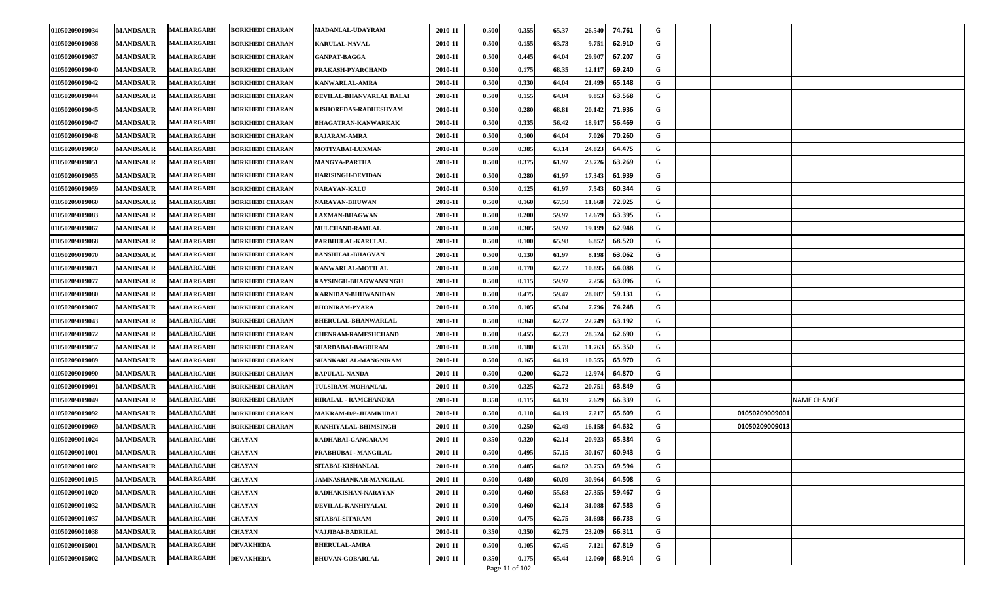| 01050209019034 | <b>MANDSAUR</b> | MALHARGARH        | <b>BORKHEDI CHARAN</b> | <b>MADANLAL-UDAYRAM</b>     | 2010-11 | 0.500 | 0.355 | 65.37 | 26.540<br>74.761 | G |                    |
|----------------|-----------------|-------------------|------------------------|-----------------------------|---------|-------|-------|-------|------------------|---|--------------------|
| 01050209019036 | <b>MANDSAUR</b> | MALHARGARH        | <b>BORKHEDI CHARAN</b> | <b>KARULAL-NAVAL</b>        | 2010-11 | 0.500 | 0.155 | 63.73 | 9.751<br>62.910  | G |                    |
| 01050209019037 | <b>MANDSAUR</b> | MALHARGARH        | <b>BORKHEDI CHARAN</b> | <b>GANPAT-BAGGA</b>         | 2010-11 | 0.500 | 0.445 | 64.04 | 29.907<br>67.207 | G |                    |
| 01050209019040 | <b>MANDSAUR</b> | MALHARGARH        | <b>BORKHEDI CHARAN</b> | PRAKASH-PYARCHAND           | 2010-11 | 0.500 | 0.175 | 68.35 | 12.117<br>69.240 | G |                    |
| 01050209019042 | <b>MANDSAUR</b> | MALHARGARH        | <b>BORKHEDI CHARAN</b> | <b>KANWARLAL-AMRA</b>       | 2010-11 | 0.500 | 0.330 | 64.04 | 21.499<br>65.148 | G |                    |
| 01050209019044 | <b>MANDSAUR</b> | MALHARGARH        | <b>BORKHEDI CHARAN</b> | DEVILAL-BHANVARLAL BALAI    | 2010-11 | 0.500 | 0.155 | 64.04 | 9.853<br>63.568  | G |                    |
| 01050209019045 | <b>MANDSAUR</b> | MALHARGARH        | <b>BORKHEDI CHARAN</b> | KISHOREDAS-RADHESHYAM       | 2010-11 | 0.500 | 0.280 | 68.81 | 71.936<br>20.142 | G |                    |
| 01050209019047 | <b>MANDSAUR</b> | MALHARGARH        | <b>BORKHEDI CHARAN</b> | <b>BHAGATRAN-KANWARKAK</b>  | 2010-11 | 0.500 | 0.335 | 56.42 | 18.917<br>56.469 | G |                    |
| 01050209019048 | <b>MANDSAUR</b> | MALHARGARH        | <b>BORKHEDI CHARAN</b> | RAJARAM-AMRA                | 2010-11 | 0.500 | 0.100 | 64.04 | 7.026<br>70.260  | G |                    |
| 01050209019050 | <b>MANDSAUR</b> | MALHARGARH        | <b>BORKHEDI CHARAN</b> | MOTIYABAI-LUXMAN            | 2010-11 | 0.500 | 0.385 | 63.14 | 24.823<br>64.475 | G |                    |
| 01050209019051 | <b>MANDSAUR</b> | MALHARGARH        | <b>BORKHEDI CHARAN</b> | <b>MANGYA-PARTHA</b>        | 2010-11 | 0.500 | 0.375 | 61.97 | 23.726<br>63.269 | G |                    |
| 01050209019055 | <b>MANDSAUR</b> | <b>MALHARGARH</b> | <b>BORKHEDI CHARAN</b> | <b>HARISINGH-DEVIDAN</b>    | 2010-11 | 0.500 | 0.280 | 61.97 | 17.343<br>61.939 | G |                    |
| 01050209019059 | <b>MANDSAUR</b> | <b>MALHARGARH</b> | <b>BORKHEDI CHARAN</b> | <b>NARAYAN-KALU</b>         | 2010-11 | 0.500 | 0.125 | 61.97 | 7.543<br>60.344  | G |                    |
| 01050209019060 | <b>MANDSAUR</b> | MALHARGARH        | <b>BORKHEDI CHARAN</b> | <b>NARAYAN-BHUWAN</b>       | 2010-11 | 0.500 | 0.160 | 67.50 | 11.668<br>72.925 | G |                    |
| 01050209019083 | <b>MANDSAUR</b> | <b>MALHARGARH</b> | <b>BORKHEDI CHARAN</b> | <b>LAXMAN-BHAGWAN</b>       | 2010-11 | 0.500 | 0.200 | 59.97 | 12.679<br>63.395 | G |                    |
| 01050209019067 | <b>MANDSAUR</b> | <b>MALHARGARH</b> | <b>BORKHEDI CHARAN</b> | <b>MULCHAND-RAMLAL</b>      | 2010-11 | 0.500 | 0.305 | 59.97 | 19.199<br>62.948 | G |                    |
| 01050209019068 | <b>MANDSAUR</b> | MALHARGARH        | <b>BORKHEDI CHARAN</b> | PARBHULAL-KARULAL           | 2010-11 | 0.500 | 0.100 | 65.98 | 6.852<br>68.520  | G |                    |
| 01050209019070 | <b>MANDSAUR</b> | MALHARGARH        | <b>BORKHEDI CHARAN</b> | <b>BANSHILAL-BHAGVAN</b>    | 2010-11 | 0.500 | 0.130 | 61.97 | 8.198<br>63.062  | G |                    |
| 01050209019071 | <b>MANDSAUR</b> | MALHARGARH        | <b>BORKHEDI CHARAN</b> | KANWARLAL-MOTILAL           | 2010-11 | 0.500 | 0.170 | 62.72 | 10.895<br>64.088 | G |                    |
| 01050209019077 | <b>MANDSAUR</b> | <b>MALHARGARH</b> | <b>BORKHEDI CHARAN</b> | RAYSINGH-BHAGWANSINGH       | 2010-11 | 0.500 | 0.115 | 59.97 | 7.256<br>63.096  | G |                    |
| 01050209019080 | <b>MANDSAUR</b> | MALHARGARH        | <b>BORKHEDI CHARAN</b> | KARNIDAN-BHUWANIDAN         | 2010-11 | 0.500 | 0.475 | 59.47 | 28.087<br>59.131 | G |                    |
| 01050209019007 | <b>MANDSAUR</b> | MALHARGARH        | <b>BORKHEDI CHARAN</b> | <b>BHONIRAM-PYARA</b>       | 2010-11 | 0.500 | 0.105 | 65.04 | 7.796<br>74.248  | G |                    |
| 01050209019043 | <b>MANDSAUR</b> | MALHARGARH        | <b>BORKHEDI CHARAN</b> | <b>BHERULAL-BHANWARLAL</b>  | 2010-11 | 0.500 | 0.360 | 62.72 | 22.749<br>63.192 | G |                    |
| 01050209019072 | <b>MANDSAUR</b> | <b>MALHARGARH</b> | <b>BORKHEDI CHARAN</b> | <b>CHENRAM-RAMESHCHAND</b>  | 2010-11 | 0.500 | 0.455 | 62.73 | 28.524<br>62.690 | G |                    |
| 01050209019057 | <b>MANDSAUR</b> | MALHARGARH        | <b>BORKHEDI CHARAN</b> | SHARDABAI-BAGDIRAM          | 2010-11 | 0.500 | 0.180 | 63.78 | 11.763<br>65.350 | G |                    |
| 01050209019089 | <b>MANDSAUR</b> | MALHARGARH        | <b>BORKHEDI CHARAN</b> | SHANKARLAL-MANGNIRAM        | 2010-11 | 0.500 | 0.165 | 64.19 | 10.555<br>63.970 | G |                    |
| 01050209019090 | <b>MANDSAUR</b> | MALHARGARH        | <b>BORKHEDI CHARAN</b> | <b>BAPULAL-NANDA</b>        | 2010-11 | 0.500 | 0.200 | 62.72 | 12.974<br>64.870 | G |                    |
| 01050209019091 | <b>MANDSAUR</b> | MALHARGARH        | <b>BORKHEDI CHARAN</b> | TULSIRAM-MOHANLAL           | 2010-11 | 0.500 | 0.325 | 62.72 | 20.751<br>63.849 | G |                    |
| 01050209019049 | <b>MANDSAUR</b> | MALHARGARH        | <b>BORKHEDI CHARAN</b> | <b>HIRALAL - RAMCHANDRA</b> | 2010-11 | 0.350 | 0.115 | 64.19 | 7.629<br>66.339  | G | <b>NAME CHANGE</b> |
| 01050209019092 | <b>MANDSAUR</b> | MALHARGARH        | <b>BORKHEDI CHARAN</b> | <b>MAKRAM-D/P-JHAMKUBAI</b> | 2010-11 | 0.500 | 0.110 | 64.19 | 7.217<br>65.609  | G | 01050209009001     |
| 01050209019069 | <b>MANDSAUR</b> | MALHARGARH        | <b>BORKHEDI CHARAN</b> | KANHIYALAL-BHIMSINGH        | 2010-11 | 0.500 | 0.250 | 62.49 | 16.158<br>64.632 | G | 01050209009013     |
| 01050209001024 | <b>MANDSAUR</b> | MALHARGARH        | <b>CHAYAN</b>          | RADHABAI-GANGARAM           | 2010-11 | 0.350 | 0.320 | 62.14 | 20.923<br>65.384 | G |                    |
| 01050209001001 | <b>MANDSAUR</b> | <b>MALHARGARH</b> | <b>CHAYAN</b>          | PRABHUBAI - MANGILAL        | 2010-11 | 0.500 | 0.495 | 57.15 | 30.167<br>60.943 | G |                    |
| 01050209001002 | <b>MANDSAUR</b> | <b>MALHARGARH</b> | <b>CHAYAN</b>          | SITABAI-KISHANLAL           | 2010-11 | 0.500 | 0.485 | 64.82 | 33.753<br>69.594 | G |                    |
| 01050209001015 | <b>MANDSAUR</b> | MALHARGARH        | <b>CHAYAN</b>          | JAMNASHANKAR-MANGILAL       | 2010-11 | 0.500 | 0.480 | 60.09 | 30.964<br>64.508 | G |                    |
| 01050209001020 | <b>MANDSAUR</b> | <b>MALHARGARH</b> | <b>CHAYAN</b>          | RADHAKISHAN-NARAYAN         | 2010-11 | 0.500 | 0.460 | 55.68 | 27.355<br>59.467 | G |                    |
| 01050209001032 | <b>MANDSAUR</b> | MALHARGARH        | <b>CHAYAN</b>          | DEVILAL-KANHIYALAL          | 2010-11 | 0.500 | 0.460 | 62.14 | 31.088<br>67.583 | G |                    |
| 01050209001037 | <b>MANDSAUR</b> | <b>MALHARGARH</b> | <b>CHAYAN</b>          | SITABAI-SITARAM             | 2010-11 | 0.500 | 0.475 | 62.75 | 66.733<br>31.698 | G |                    |
| 01050209001038 | <b>MANDSAUR</b> | MALHARGARH        | <b>CHAYAN</b>          | VAJJIBAI-BADRILAL           | 2010-11 | 0.350 | 0.350 | 62.75 | 23.209<br>66.311 | G |                    |
| 01050209015001 | <b>MANDSAUR</b> | <b>MALHARGARH</b> | <b>DEVAKHEDA</b>       | <b>BHERULAL-AMRA</b>        | 2010-11 | 0.500 | 0.105 | 67.45 | 7.121<br>67.819  | G |                    |
| 01050209015002 | <b>MANDSAUR</b> | MALHARGARH        | <b>DEVAKHEDA</b>       | <b>BHUVAN-GOBARLAL</b>      | 2010-11 | 0.350 | 0.175 | 65.44 | 12.060<br>68.914 | G |                    |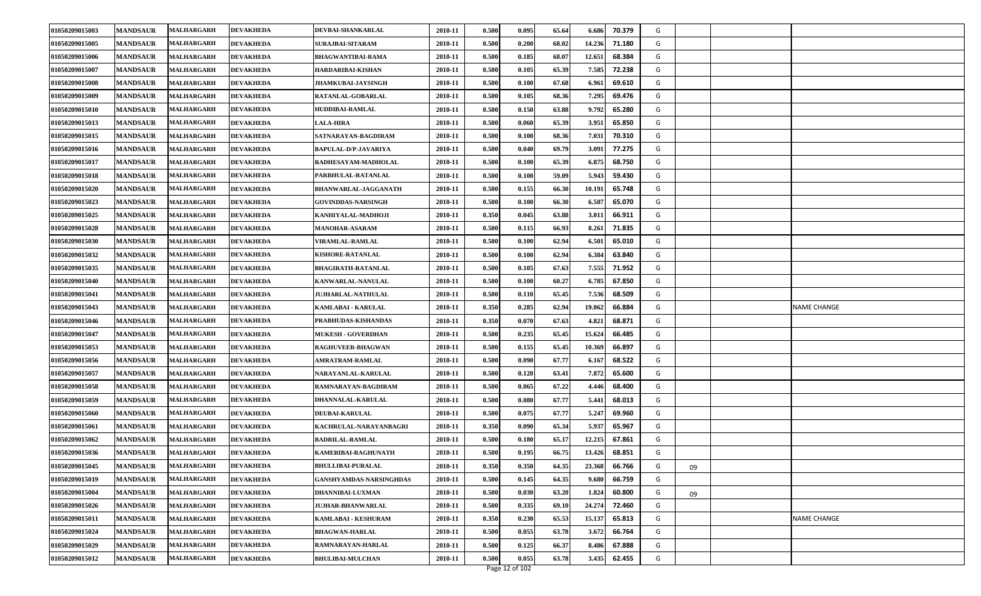| 01050209015003 | <b>MANDSAUR</b> | <b>MALHARGARH</b> | <b>DEVAKHEDA</b> | DEVBAI-SHANKARLAL           | 2010-11 | 0.500 | 0.095 | 65.64 | 6.686  | 70.379 | G |    |                    |
|----------------|-----------------|-------------------|------------------|-----------------------------|---------|-------|-------|-------|--------|--------|---|----|--------------------|
| 01050209015005 | <b>MANDSAUR</b> | MALHARGARH        | <b>DEVAKHEDA</b> | SURAJBAI-SITARAM            | 2010-11 | 0.500 | 0.200 | 68.02 | 14.236 | 71.180 | G |    |                    |
| 01050209015006 | <b>MANDSAUR</b> | <b>MALHARGARH</b> | <b>DEVAKHEDA</b> | <b>BHAGWANTIBAI-RAMA</b>    | 2010-11 | 0.500 | 0.185 | 68.07 | 12.651 | 68.384 | G |    |                    |
| 01050209015007 | <b>MANDSAUR</b> | <b>MALHARGARH</b> | <b>DEVAKHEDA</b> | HARDARIBAI-KISHAN           | 2010-11 | 0.500 | 0.105 | 65.39 | 7.585  | 72.238 | G |    |                    |
| 01050209015008 | <b>MANDSAUR</b> | <b>MALHARGARH</b> | <b>DEVAKHEDA</b> | <b>JHAMKUBAI-JAYSINGH</b>   | 2010-11 | 0.500 | 0.100 | 67.68 | 6.961  | 69.610 | G |    |                    |
| 01050209015009 | <b>MANDSAUR</b> | <b>MALHARGARH</b> | <b>DEVAKHEDA</b> | RATANLAL-GOBARLAL           | 2010-11 | 0.500 | 0.105 | 68.36 | 7.295  | 69.476 | G |    |                    |
| 01050209015010 | <b>MANDSAUR</b> | <b>MALHARGARH</b> | <b>DEVAKHEDA</b> | HUDDIBAI-RAMLAL             | 2010-11 | 0.500 | 0.150 | 63.88 | 9.792  | 65.280 | G |    |                    |
| 01050209015013 | <b>MANDSAUR</b> | <b>MALHARGARH</b> | <b>DEVAKHEDA</b> | <b>ALA-HIRA</b>             | 2010-11 | 0.500 | 0.060 | 65.39 | 3.951  | 65.850 | G |    |                    |
| 01050209015015 | <b>MANDSAUR</b> | <b>MALHARGARH</b> | <b>DEVAKHEDA</b> | SATNARAYAN-BAGDIRAM         | 2010-11 | 0.500 | 0.100 | 68.36 | 7.031  | 70.310 | G |    |                    |
| 01050209015016 | <b>MANDSAUR</b> | <b>MALHARGARH</b> | <b>DEVAKHEDA</b> | <b>BAPULAL-D/P-JAVARIYA</b> | 2010-11 | 0.500 | 0.040 | 69.79 | 3.091  | 77.275 | G |    |                    |
| 01050209015017 | <b>MANDSAUR</b> | <b>MALHARGARH</b> | <b>DEVAKHEDA</b> | RADHESAYAM-MADHOLAL         | 2010-11 | 0.500 | 0.100 | 65.39 | 6.875  | 68.750 | G |    |                    |
| 01050209015018 | <b>MANDSAUR</b> | <b>MALHARGARH</b> | <b>DEVAKHEDA</b> | PARBHULAL-RATANLAL          | 2010-11 | 0.500 | 0.100 | 59.09 | 5.943  | 59.430 | G |    |                    |
| 01050209015020 | <b>MANDSAUR</b> | MALHARGARH        | <b>DEVAKHEDA</b> | <b>BHANWARLAL-JAGGANATH</b> | 2010-11 | 0.500 | 0.155 | 66.30 | 10.191 | 65.748 | G |    |                    |
| 01050209015023 | <b>MANDSAUR</b> | <b>MALHARGARH</b> | <b>DEVAKHEDA</b> | <b>GOVINDDAS-NARSINGH</b>   | 2010-11 | 0.500 | 0.100 | 66.30 | 6.507  | 65.070 | G |    |                    |
| 01050209015025 | <b>MANDSAUR</b> | <b>MALHARGARH</b> | <b>DEVAKHEDA</b> | KANHIYALAL-MADHOJI          | 2010-11 | 0.350 | 0.045 | 63.88 | 3.011  | 66.911 | G |    |                    |
| 01050209015028 | <b>MANDSAUR</b> | MALHARGARH        | <b>DEVAKHEDA</b> | <b>MANOHAR-ASARAM</b>       | 2010-11 | 0.500 | 0.115 | 66.93 | 8.261  | 71.835 | G |    |                    |
| 01050209015030 | <b>MANDSAUR</b> | <b>MALHARGARH</b> | <b>DEVAKHEDA</b> | VIRAMLAL-RAMLAL             | 2010-11 | 0.500 | 0.100 | 62.94 | 6.501  | 65.010 | G |    |                    |
| 01050209015032 | <b>MANDSAUR</b> | <b>MALHARGARH</b> | <b>DEVAKHEDA</b> | KISHORE-RATANLAL            | 2010-11 | 0.500 | 0.100 | 62.94 | 6.384  | 63.840 | G |    |                    |
| 01050209015035 | <b>MANDSAUR</b> | <b>MALHARGARH</b> | <b>DEVAKHEDA</b> | <b>BHAGIRATH-RATANLAL</b>   | 2010-11 | 0.500 | 0.105 | 67.63 | 7.555  | 71.952 | G |    |                    |
| 01050209015040 | <b>MANDSAUR</b> | MALHARGARH        | <b>DEVAKHEDA</b> | KANWARLAL-NANULAL           | 2010-11 | 0.500 | 0.100 | 60.27 | 6.785  | 67.850 | G |    |                    |
| 01050209015041 | <b>MANDSAUR</b> | MALHARGARH        | <b>DEVAKHEDA</b> | <b>JUJHARLAL-NATHULAL</b>   | 2010-11 | 0.500 | 0.110 | 65.45 | 7.536  | 68.509 | G |    |                    |
| 01050209015043 | <b>MANDSAUR</b> | <b>MALHARGARH</b> | <b>DEVAKHEDA</b> | KAMLABAI - KARULAL          | 2010-11 | 0.350 | 0.285 | 62.94 | 19.062 | 66.884 | G |    | <b>NAME CHANGE</b> |
| 01050209015046 | <b>MANDSAUR</b> | <b>MALHARGARH</b> | <b>DEVAKHEDA</b> | PRABHUDAS-KISHANDAS         | 2010-11 | 0.350 | 0.070 | 67.63 | 4.821  | 68.871 | G |    |                    |
| 01050209015047 | <b>MANDSAUR</b> | MALHARGARH        | <b>DEVAKHEDA</b> | <b>MUKESH - GOVERDHAN</b>   | 2010-11 | 0.500 | 0.235 | 65.45 | 15.624 | 66.485 | G |    |                    |
| 01050209015053 | <b>MANDSAUR</b> | MALHARGARH        | <b>DEVAKHEDA</b> | RAGHUVEER-BHAGWAN           | 2010-11 | 0.500 | 0.155 | 65.45 | 10.369 | 66.897 | G |    |                    |
| 01050209015056 | <b>MANDSAUR</b> | <b>MALHARGARH</b> | <b>DEVAKHEDA</b> | AMRATRAM-RAMLAL             | 2010-11 | 0.500 | 0.090 | 67.77 | 6.167  | 68.522 | G |    |                    |
| 01050209015057 | <b>MANDSAUR</b> | <b>MALHARGARH</b> | <b>DEVAKHEDA</b> | NARAYANLAL-KARULAL          | 2010-11 | 0.500 | 0.120 | 63.41 | 7.872  | 65.600 | G |    |                    |
| 01050209015058 | <b>MANDSAUR</b> | <b>MALHARGARH</b> | <b>DEVAKHEDA</b> | RAMNARAYAN-BAGDIRAM         | 2010-11 | 0.500 | 0.065 | 67.22 | 4.446  | 68.400 | G |    |                    |
| 01050209015059 | <b>MANDSAUR</b> | <b>MALHARGARH</b> | <b>DEVAKHEDA</b> | DHANNALAL-KARULAL           | 2010-11 | 0.500 | 0.080 | 67.77 | 5.441  | 68.013 | G |    |                    |
| 01050209015060 | <b>MANDSAUR</b> | <b>MALHARGARH</b> | <b>DEVAKHEDA</b> | DEUBAI-KARULAL              | 2010-11 | 0.500 | 0.075 | 67.77 | 5.247  | 69.960 | G |    |                    |
| 01050209015061 | <b>MANDSAUR</b> | <b>MALHARGARH</b> | <b>DEVAKHEDA</b> | KACHRULAL-NARAYANBAGRI      | 2010-11 | 0.350 | 0.090 | 65.34 | 5.937  | 65.967 | G |    |                    |
| 01050209015062 | <b>MANDSAUR</b> | <b>MALHARGARH</b> | <b>DEVAKHEDA</b> | <b>BADRILAL-RAMLAL</b>      | 2010-11 | 0.500 | 0.180 | 65.17 | 12.215 | 67.861 | G |    |                    |
| 01050209015036 | <b>MANDSAUR</b> | <b>MALHARGARH</b> | <b>DEVAKHEDA</b> | KAMERIBAI-RAGHUNATH         | 2010-11 | 0.500 | 0.195 | 66.75 | 13.426 | 68.851 | G |    |                    |
| 01050209015045 | <b>MANDSAUR</b> | MALHARGARH        | <b>DEVAKHEDA</b> | <b>BHULLIBAI-PURALAL</b>    | 2010-11 | 0.350 | 0.350 | 64.35 | 23.368 | 66.766 | G | 09 |                    |
| 01050209015019 | <b>MANDSAUR</b> | <b>MALHARGARH</b> | <b>DEVAKHEDA</b> | GANSHYAMDAS-NARSINGHDAS     | 2010-11 | 0.500 | 0.145 | 64.35 | 9.680  | 66.759 | G |    |                    |
| 01050209015004 | <b>MANDSAUR</b> | MALHARGARH        | <b>DEVAKHEDA</b> | DHANNIBAI-LUXMAN            | 2010-11 | 0.500 | 0.030 | 63.20 | 1.824  | 60.800 | G | 09 |                    |
| 01050209015026 | <b>MANDSAUR</b> | <b>MALHARGARH</b> | <b>DEVAKHEDA</b> | <b>JUJHAR-BHANWARLAL</b>    | 2010-11 | 0.500 | 0.335 | 69.10 | 24.274 | 72.460 | G |    |                    |
| 01050209015011 | <b>MANDSAUR</b> | <b>MALHARGARH</b> | <b>DEVAKHEDA</b> | KAMLABAI - KESHURAM         | 2010-11 | 0.350 | 0.230 | 65.53 | 15.137 | 65.813 | G |    | <b>NAME CHANGE</b> |
| 01050209015024 | <b>MANDSAUR</b> | <b>MALHARGARH</b> | <b>DEVAKHEDA</b> | <b>BHAGWAN-HARLAL</b>       | 2010-11 | 0.500 | 0.055 | 63.78 | 3.672  | 66.764 | G |    |                    |
| 01050209015029 | <b>MANDSAUR</b> | <b>MALHARGARH</b> | <b>DEVAKHEDA</b> | RAMNARAYAN-HARLAL           | 2010-11 | 0.500 | 0.125 | 66.37 | 8.486  | 67.888 | G |    |                    |
| 01050209015012 | <b>MANDSAUR</b> | <b>MALHARGARH</b> | <b>DEVAKHEDA</b> | <b>BHULIBAI-MULCHAN</b>     | 2010-11 | 0.500 | 0.055 | 63.78 | 3.435  | 62.455 | G |    |                    |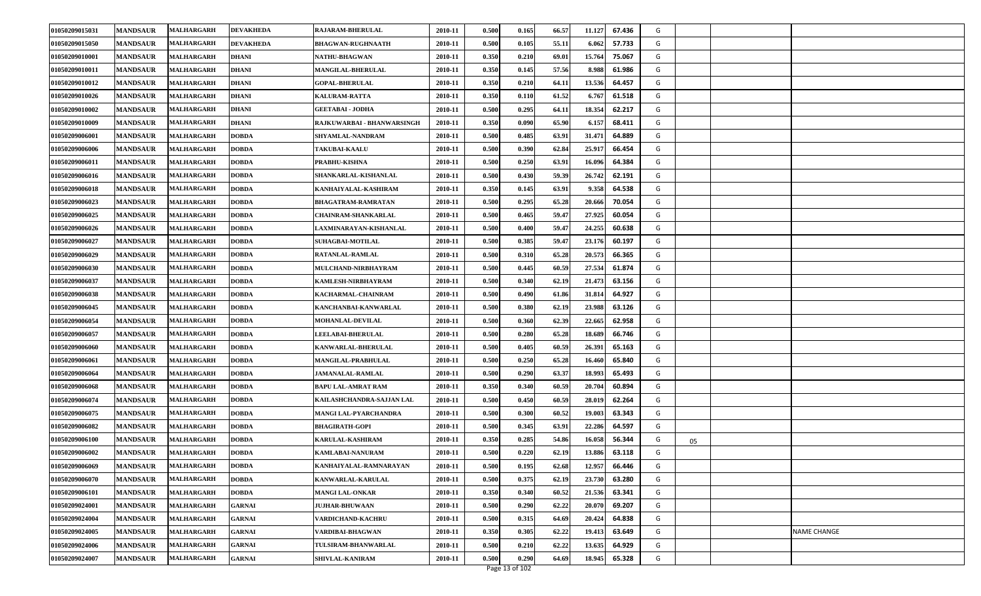| 01050209015050<br>MALHARGARH<br>0.500<br>55.11<br><b>MANDSAUR</b><br><b>DEVAKHEDA</b><br><b>BHAGWAN-RUGHNAATH</b><br>2010-11<br>0.105<br>6.062<br>57.733<br>G<br>01050209010001<br><b>MANDSAUR</b><br>MALHARGARH<br>2010-11<br>0.350<br>0.210<br>69.01<br>15.764<br>75.067<br>G<br><b>DHANI</b><br><b>NATHU-BHAGWAN</b><br>0.350<br>01050209010011<br><b>MANDSAUR</b><br><b>MALHARGARH</b><br><b>DHANI</b><br>2010-11<br>0.145<br>57.56<br>8.988<br>61.986<br>G<br><b>MANGILAL-BHERULAL</b><br>0.350<br>01050209010012<br><b>MANDSAUR</b><br>2010-11<br>0.210<br>64.11<br>13.536<br>64.457<br>G<br>MALHARGARH<br><b>DHANI</b><br><b>GOPAL-BHERULAL</b><br>0.350<br>61.52<br>01050209010026<br><b>MANDSAUR</b><br>2010-11<br>0.110<br>6.767<br>61.518<br>G<br>MALHARGARH<br><b>DHANI</b><br><b>KALURAM-RATTA</b><br><b>MANDSAUR</b><br><b>DHANI</b><br>0.500<br>0.295<br>18.354<br>62.217<br>01050209010002<br><b>MALHARGARH</b><br><b>GEETABAI - JODHA</b><br>2010-11<br>64.11<br>G<br>0.350<br>01050209010009<br><b>MANDSAUR</b><br>MALHARGARH<br><b>DHANI</b><br>RAJKUWARBAI - BHANWARSINGH<br>2010-11<br>0.090<br>65.90<br>6.157<br>68.411<br>G<br>0.500<br>0.485<br>31.471<br>64.889<br>01050209006001<br><b>MANDSAUR</b><br>MALHARGARH<br><b>DOBDA</b><br>SHYAMLAL-NANDRAM<br>2010-11<br>63.91<br>G<br>0.500<br>0.390<br>62.84<br>25.917<br>01050209006006<br><b>MANDSAUR</b><br>MALHARGARH<br>2010-11<br>66.454<br>G<br><b>DOBDA</b><br><b>TAKUBAI-KAALU</b><br>0.500<br>0.250<br>64.384<br>01050209006011<br><b>MANDSAUR</b><br><b>DOBDA</b><br>PRABHU-KISHNA<br>2010-11<br>63.91<br>16.096<br>G<br><b>MALHARGARH</b><br><b>MANDSAUR</b><br>0.500<br>0.430<br>59.39<br>26.742<br>62.191<br>G<br>01050209006016<br>SHANKARLAL-KISHANLAL<br>2010-11<br><b>MALHARGARH</b><br><b>DOBDA</b><br>0.350<br>0.145<br>63.91<br>01050209006018<br><b>MANDSAUR</b><br>MALHARGARH<br><b>DOBDA</b><br>KANHAIYALAL-KASHIRAM<br>9.358<br>64.538<br>G<br>2010-11<br>01050209006023<br><b>MANDSAUR</b><br>MALHARGARH<br><b>DOBDA</b><br><b>BHAGATRAM-RAMRATAN</b><br>2010-11<br>0.500<br>0.295<br>65.28<br>20.666<br>70.054<br>G<br><b>MALHARGARH</b><br>0.500<br>0.465<br>59.47<br>27.925<br>60.054<br>01050209006025<br><b>MANDSAUR</b><br><b>DOBDA</b><br>2010-11<br>G<br><b>CHAINRAM-SHANKARLAL</b><br>24.255<br>01050209006026<br>MALHARGARH<br>0.500<br>0.400<br>59.47<br>60.638<br>G<br><b>MANDSAUR</b><br><b>DOBDA</b><br>LAXMINARAYAN-KISHANLAL<br>2010-11<br>01050209006027<br>0.500<br>0.385<br>59.47<br>23.176<br>60.197<br><b>MANDSAUR</b><br>2010-11<br>G<br>MALHARGARH<br><b>DOBDA</b><br><b>SUHAGBAI-MOTILAL</b><br>01050209006029<br><b>MANDSAUR</b><br>2010-11<br>0.500<br>0.310<br>65.28<br>20.573<br>66.365<br>G<br>MALHARGARH<br><b>DOBDA</b><br>RATANLAL-RAMLAL<br>01050209006030<br><b>MANDSAUR</b><br><b>MALHARGARH</b><br><b>DOBDA</b><br>MULCHAND-NIRBHAYRAM<br>2010-11<br>0.500<br>0.445<br>60.59<br>27.534<br>61.874<br>G<br>01050209006037<br>2010-11<br>0.500<br>0.340<br>62.19<br>21.473<br>63.156<br><b>MANDSAUR</b><br><b>MALHARGARH</b><br><b>DOBDA</b><br>KAMLESH-NIRBHAYRAM<br>G<br>01050209006038<br><b>MANDSAUR</b><br><b>MALHARGARH</b><br>2010-11<br>0.500<br>0.490<br>61.86<br>31.814<br>64.927<br>G<br><b>DOBDA</b><br>KACHARMAL-CHAINRAM<br>01050209006045<br><b>MANDSAUR</b><br>2010-11<br>0.500<br>0.380<br>62.19<br>23.988<br>63.126<br>G<br><b>MALHARGARH</b><br><b>DOBDA</b><br>KANCHANBAI-KANWARLAL<br>0.500<br>0.360<br>62.39<br>22.665<br>01050209006054<br><b>MANDSAUR</b><br><b>DOBDA</b><br>2010-11<br>62.958<br>G<br><b>MALHARGARH</b><br>MOHANLAL-DEVILAL<br>01050209006057<br><b>MANDSAUR</b><br>2010-11<br>0.500<br>0.280<br>65.28<br>18.689<br>66.746<br>G<br>MALHARGARH<br><b>DOBDA</b><br><b>LEELABAI-BHERULAL</b><br>01050209006060<br><b>MANDSAUR</b><br><b>MALHARGARH</b><br><b>DOBDA</b><br>KANWARLAL-BHERULAL<br>2010-11<br>0.500<br>0.405<br>60.59<br>26.391<br>65.163<br>G<br>01050209006061<br><b>MANDSAUR</b><br><b>MALHARGARH</b><br><b>DOBDA</b><br><b>MANGILAL-PRABHULAL</b><br>2010-11<br>0.500<br>0.250<br>65.28<br>16.460<br>65.840<br>G<br>01050209006064<br><b>MANDSAUR</b><br><b>MALHARGARH</b><br>2010-11<br>0.500<br>0.290<br>63.37<br>18.993<br>65.493<br>G<br><b>DOBDA</b><br><b>JAMANALAL-RAMLAL</b><br>0.350<br>01050209006068<br><b>MANDSAUR</b><br>2010-11<br>0.340<br>60.59<br>20.704<br>60.894<br>G<br>MALHARGARH<br><b>DOBDA</b><br><b>BAPU LAL-AMRAT RAM</b><br>01050209006074<br><b>MANDSAUR</b><br>2010-11<br>0.500<br>0.450<br>60.59<br>28.019<br>62.264<br>G<br><b>MALHARGARH</b><br><b>DOBDA</b><br><b>KAILASHCHANDRA-SAJJAN LAL</b><br><b>MANDSAUR</b><br><b>DOBDA</b><br>MANGI LAL-PYARCHANDRA<br>0.500<br>0.300<br>60.52<br>19.003<br>63.343<br>01050209006075<br><b>MALHARGARH</b><br>2010-11<br>G<br>0.500<br>22.286<br>01050209006082<br><b>MANDSAUR</b><br>MALHARGARH<br><b>DOBDA</b><br><b>BHAGIRATH-GOPI</b><br>2010-11<br>0.345<br>63.91<br>64.597<br>G<br>0.350<br>0.285<br>01050209006100<br><b>MANDSAUR</b><br>MALHARGARH<br>2010-11<br>54.86<br>16.058<br>56.344<br>G<br><b>DOBDA</b><br><b>KARULAL-KASHIRAM</b><br>05<br>01050209006002<br>0.500<br>0.220<br>62.19<br>13.886<br>63.118<br>G<br><b>MANDSAUR</b><br><b>MALHARGARH</b><br>2010-11<br><b>DOBDA</b><br><b>KAMLABAI-NANURAM</b><br>0.500<br>01050209006069<br><b>MANDSAUR</b><br>2010-11<br>0.195<br>62.68<br>12.957<br>66.446<br><b>MALHARGARH</b><br><b>DOBDA</b><br>G<br>KANHAIYALAL-RAMNARAYAN<br>0.500<br>0.375<br>23.730<br>G<br>01050209006070<br><b>MANDSAUR</b><br>2010-11<br>62.19<br>63.280<br>MALHARGARH<br><b>DOBDA</b><br>KANWARLAL-KARULAL<br>0.350<br>0.340<br>21.536<br>01050209006101<br><b>MANDSAUR</b><br><b>MALHARGARH</b><br><b>DOBDA</b><br><b>MANGI LAL-ONKAR</b><br>2010-11<br>60.52<br>63.341<br>G<br>01050209024001<br>0.500<br>0.290<br>62.22<br>20.070<br>G<br><b>MANDSAUR</b><br><b>MALHARGARH</b><br>GARNAI<br><b>JUJHAR-BHUWAAN</b><br>2010-11<br>69.207<br>0.315<br>01050209024004<br><b>MANDSAUR</b><br><b>MALHARGARH</b><br>2010-11<br>0.500<br>64.69<br>20.424<br>64.838<br>G<br><b>GARNAI</b><br>VARDICHAND-KACHRU<br>01050209024005<br>0.350<br>0.305<br>62.22<br>G<br><b>MANDSAUR</b><br>MALHARGARH<br>2010-11<br>19.413<br>63.649<br>NAME CHANGE<br><b>GARNAI</b><br>VARDIBAI-BHAGWAN<br>62.22<br>01050209024006<br>0.500<br>0.210<br>13.635<br>64.929<br>G<br><b>MANDSAUR</b><br>TULSIRAM-BHANWARLAL<br>2010-11<br><b>MALHARGARH</b><br>GARNAI<br>G<br>01050209024007<br>0.500<br>0.290<br>64.69<br>18.945<br>65.328<br><b>MANDSAUR</b><br>2010-11<br><b>MALHARGARH</b><br><b>GARNAI</b><br><b>SHIVLAL-KANIRAM</b> | 01050209015031 | <b>MANDSAUR</b> | MALHARGARH | <b>DEVAKHEDA</b> | <b>RAJARAM-BHERULAL</b> | 2010-11 | 0.500 | 0.165 | 66.57 | 11.127<br>67.436 | G |  |
|---------------------------------------------------------------------------------------------------------------------------------------------------------------------------------------------------------------------------------------------------------------------------------------------------------------------------------------------------------------------------------------------------------------------------------------------------------------------------------------------------------------------------------------------------------------------------------------------------------------------------------------------------------------------------------------------------------------------------------------------------------------------------------------------------------------------------------------------------------------------------------------------------------------------------------------------------------------------------------------------------------------------------------------------------------------------------------------------------------------------------------------------------------------------------------------------------------------------------------------------------------------------------------------------------------------------------------------------------------------------------------------------------------------------------------------------------------------------------------------------------------------------------------------------------------------------------------------------------------------------------------------------------------------------------------------------------------------------------------------------------------------------------------------------------------------------------------------------------------------------------------------------------------------------------------------------------------------------------------------------------------------------------------------------------------------------------------------------------------------------------------------------------------------------------------------------------------------------------------------------------------------------------------------------------------------------------------------------------------------------------------------------------------------------------------------------------------------------------------------------------------------------------------------------------------------------------------------------------------------------------------------------------------------------------------------------------------------------------------------------------------------------------------------------------------------------------------------------------------------------------------------------------------------------------------------------------------------------------------------------------------------------------------------------------------------------------------------------------------------------------------------------------------------------------------------------------------------------------------------------------------------------------------------------------------------------------------------------------------------------------------------------------------------------------------------------------------------------------------------------------------------------------------------------------------------------------------------------------------------------------------------------------------------------------------------------------------------------------------------------------------------------------------------------------------------------------------------------------------------------------------------------------------------------------------------------------------------------------------------------------------------------------------------------------------------------------------------------------------------------------------------------------------------------------------------------------------------------------------------------------------------------------------------------------------------------------------------------------------------------------------------------------------------------------------------------------------------------------------------------------------------------------------------------------------------------------------------------------------------------------------------------------------------------------------------------------------------------------------------------------------------------------------------------------------------------------------------------------------------------------------------------------------------------------------------------------------------------------------------------------------------------------------------------------------------------------------------------------------------------------------------------------------------------------------------------------------------------------------------------------------------------------------------------------------------------------------------------------------------------------------------------------------------------------------------------------------------------------------------------------------------------------------------------------------------------------------------------------------------------------------------------------------------------------------------------------------------------------------------------------------------------------------------------------------------------------------------------------------------------------------------------------------------------------------------------------------------------------------------------------------------------------------------------------------------------------------------------------------------------------------------------------------------------------------------------------------------------------------------------------------------------------------------------------------------------------------------------------------------------------------------------------------------------------------------------------------------------------------------------------------------------------------------------------------------------------------------------------------------------------|----------------|-----------------|------------|------------------|-------------------------|---------|-------|-------|-------|------------------|---|--|
|                                                                                                                                                                                                                                                                                                                                                                                                                                                                                                                                                                                                                                                                                                                                                                                                                                                                                                                                                                                                                                                                                                                                                                                                                                                                                                                                                                                                                                                                                                                                                                                                                                                                                                                                                                                                                                                                                                                                                                                                                                                                                                                                                                                                                                                                                                                                                                                                                                                                                                                                                                                                                                                                                                                                                                                                                                                                                                                                                                                                                                                                                                                                                                                                                                                                                                                                                                                                                                                                                                                                                                                                                                                                                                                                                                                                                                                                                                                                                                                                                                                                                                                                                                                                                                                                                                                                                                                                                                                                                                                                                                                                                                                                                                                                                                                                                                                                                                                                                                                                                                                                                                                                                                                                                                                                                                                                                                                                                                                                                                                                                                                                                                                                                                                                                                                                                                                                                                                                                                                                                                                                                                                                                                                                                                                                                                                                                                                                                                                                                                                                                                                                                           |                |                 |            |                  |                         |         |       |       |       |                  |   |  |
|                                                                                                                                                                                                                                                                                                                                                                                                                                                                                                                                                                                                                                                                                                                                                                                                                                                                                                                                                                                                                                                                                                                                                                                                                                                                                                                                                                                                                                                                                                                                                                                                                                                                                                                                                                                                                                                                                                                                                                                                                                                                                                                                                                                                                                                                                                                                                                                                                                                                                                                                                                                                                                                                                                                                                                                                                                                                                                                                                                                                                                                                                                                                                                                                                                                                                                                                                                                                                                                                                                                                                                                                                                                                                                                                                                                                                                                                                                                                                                                                                                                                                                                                                                                                                                                                                                                                                                                                                                                                                                                                                                                                                                                                                                                                                                                                                                                                                                                                                                                                                                                                                                                                                                                                                                                                                                                                                                                                                                                                                                                                                                                                                                                                                                                                                                                                                                                                                                                                                                                                                                                                                                                                                                                                                                                                                                                                                                                                                                                                                                                                                                                                                           |                |                 |            |                  |                         |         |       |       |       |                  |   |  |
|                                                                                                                                                                                                                                                                                                                                                                                                                                                                                                                                                                                                                                                                                                                                                                                                                                                                                                                                                                                                                                                                                                                                                                                                                                                                                                                                                                                                                                                                                                                                                                                                                                                                                                                                                                                                                                                                                                                                                                                                                                                                                                                                                                                                                                                                                                                                                                                                                                                                                                                                                                                                                                                                                                                                                                                                                                                                                                                                                                                                                                                                                                                                                                                                                                                                                                                                                                                                                                                                                                                                                                                                                                                                                                                                                                                                                                                                                                                                                                                                                                                                                                                                                                                                                                                                                                                                                                                                                                                                                                                                                                                                                                                                                                                                                                                                                                                                                                                                                                                                                                                                                                                                                                                                                                                                                                                                                                                                                                                                                                                                                                                                                                                                                                                                                                                                                                                                                                                                                                                                                                                                                                                                                                                                                                                                                                                                                                                                                                                                                                                                                                                                                           |                |                 |            |                  |                         |         |       |       |       |                  |   |  |
|                                                                                                                                                                                                                                                                                                                                                                                                                                                                                                                                                                                                                                                                                                                                                                                                                                                                                                                                                                                                                                                                                                                                                                                                                                                                                                                                                                                                                                                                                                                                                                                                                                                                                                                                                                                                                                                                                                                                                                                                                                                                                                                                                                                                                                                                                                                                                                                                                                                                                                                                                                                                                                                                                                                                                                                                                                                                                                                                                                                                                                                                                                                                                                                                                                                                                                                                                                                                                                                                                                                                                                                                                                                                                                                                                                                                                                                                                                                                                                                                                                                                                                                                                                                                                                                                                                                                                                                                                                                                                                                                                                                                                                                                                                                                                                                                                                                                                                                                                                                                                                                                                                                                                                                                                                                                                                                                                                                                                                                                                                                                                                                                                                                                                                                                                                                                                                                                                                                                                                                                                                                                                                                                                                                                                                                                                                                                                                                                                                                                                                                                                                                                                           |                |                 |            |                  |                         |         |       |       |       |                  |   |  |
|                                                                                                                                                                                                                                                                                                                                                                                                                                                                                                                                                                                                                                                                                                                                                                                                                                                                                                                                                                                                                                                                                                                                                                                                                                                                                                                                                                                                                                                                                                                                                                                                                                                                                                                                                                                                                                                                                                                                                                                                                                                                                                                                                                                                                                                                                                                                                                                                                                                                                                                                                                                                                                                                                                                                                                                                                                                                                                                                                                                                                                                                                                                                                                                                                                                                                                                                                                                                                                                                                                                                                                                                                                                                                                                                                                                                                                                                                                                                                                                                                                                                                                                                                                                                                                                                                                                                                                                                                                                                                                                                                                                                                                                                                                                                                                                                                                                                                                                                                                                                                                                                                                                                                                                                                                                                                                                                                                                                                                                                                                                                                                                                                                                                                                                                                                                                                                                                                                                                                                                                                                                                                                                                                                                                                                                                                                                                                                                                                                                                                                                                                                                                                           |                |                 |            |                  |                         |         |       |       |       |                  |   |  |
|                                                                                                                                                                                                                                                                                                                                                                                                                                                                                                                                                                                                                                                                                                                                                                                                                                                                                                                                                                                                                                                                                                                                                                                                                                                                                                                                                                                                                                                                                                                                                                                                                                                                                                                                                                                                                                                                                                                                                                                                                                                                                                                                                                                                                                                                                                                                                                                                                                                                                                                                                                                                                                                                                                                                                                                                                                                                                                                                                                                                                                                                                                                                                                                                                                                                                                                                                                                                                                                                                                                                                                                                                                                                                                                                                                                                                                                                                                                                                                                                                                                                                                                                                                                                                                                                                                                                                                                                                                                                                                                                                                                                                                                                                                                                                                                                                                                                                                                                                                                                                                                                                                                                                                                                                                                                                                                                                                                                                                                                                                                                                                                                                                                                                                                                                                                                                                                                                                                                                                                                                                                                                                                                                                                                                                                                                                                                                                                                                                                                                                                                                                                                                           |                |                 |            |                  |                         |         |       |       |       |                  |   |  |
|                                                                                                                                                                                                                                                                                                                                                                                                                                                                                                                                                                                                                                                                                                                                                                                                                                                                                                                                                                                                                                                                                                                                                                                                                                                                                                                                                                                                                                                                                                                                                                                                                                                                                                                                                                                                                                                                                                                                                                                                                                                                                                                                                                                                                                                                                                                                                                                                                                                                                                                                                                                                                                                                                                                                                                                                                                                                                                                                                                                                                                                                                                                                                                                                                                                                                                                                                                                                                                                                                                                                                                                                                                                                                                                                                                                                                                                                                                                                                                                                                                                                                                                                                                                                                                                                                                                                                                                                                                                                                                                                                                                                                                                                                                                                                                                                                                                                                                                                                                                                                                                                                                                                                                                                                                                                                                                                                                                                                                                                                                                                                                                                                                                                                                                                                                                                                                                                                                                                                                                                                                                                                                                                                                                                                                                                                                                                                                                                                                                                                                                                                                                                                           |                |                 |            |                  |                         |         |       |       |       |                  |   |  |
|                                                                                                                                                                                                                                                                                                                                                                                                                                                                                                                                                                                                                                                                                                                                                                                                                                                                                                                                                                                                                                                                                                                                                                                                                                                                                                                                                                                                                                                                                                                                                                                                                                                                                                                                                                                                                                                                                                                                                                                                                                                                                                                                                                                                                                                                                                                                                                                                                                                                                                                                                                                                                                                                                                                                                                                                                                                                                                                                                                                                                                                                                                                                                                                                                                                                                                                                                                                                                                                                                                                                                                                                                                                                                                                                                                                                                                                                                                                                                                                                                                                                                                                                                                                                                                                                                                                                                                                                                                                                                                                                                                                                                                                                                                                                                                                                                                                                                                                                                                                                                                                                                                                                                                                                                                                                                                                                                                                                                                                                                                                                                                                                                                                                                                                                                                                                                                                                                                                                                                                                                                                                                                                                                                                                                                                                                                                                                                                                                                                                                                                                                                                                                           |                |                 |            |                  |                         |         |       |       |       |                  |   |  |
|                                                                                                                                                                                                                                                                                                                                                                                                                                                                                                                                                                                                                                                                                                                                                                                                                                                                                                                                                                                                                                                                                                                                                                                                                                                                                                                                                                                                                                                                                                                                                                                                                                                                                                                                                                                                                                                                                                                                                                                                                                                                                                                                                                                                                                                                                                                                                                                                                                                                                                                                                                                                                                                                                                                                                                                                                                                                                                                                                                                                                                                                                                                                                                                                                                                                                                                                                                                                                                                                                                                                                                                                                                                                                                                                                                                                                                                                                                                                                                                                                                                                                                                                                                                                                                                                                                                                                                                                                                                                                                                                                                                                                                                                                                                                                                                                                                                                                                                                                                                                                                                                                                                                                                                                                                                                                                                                                                                                                                                                                                                                                                                                                                                                                                                                                                                                                                                                                                                                                                                                                                                                                                                                                                                                                                                                                                                                                                                                                                                                                                                                                                                                                           |                |                 |            |                  |                         |         |       |       |       |                  |   |  |
|                                                                                                                                                                                                                                                                                                                                                                                                                                                                                                                                                                                                                                                                                                                                                                                                                                                                                                                                                                                                                                                                                                                                                                                                                                                                                                                                                                                                                                                                                                                                                                                                                                                                                                                                                                                                                                                                                                                                                                                                                                                                                                                                                                                                                                                                                                                                                                                                                                                                                                                                                                                                                                                                                                                                                                                                                                                                                                                                                                                                                                                                                                                                                                                                                                                                                                                                                                                                                                                                                                                                                                                                                                                                                                                                                                                                                                                                                                                                                                                                                                                                                                                                                                                                                                                                                                                                                                                                                                                                                                                                                                                                                                                                                                                                                                                                                                                                                                                                                                                                                                                                                                                                                                                                                                                                                                                                                                                                                                                                                                                                                                                                                                                                                                                                                                                                                                                                                                                                                                                                                                                                                                                                                                                                                                                                                                                                                                                                                                                                                                                                                                                                                           |                |                 |            |                  |                         |         |       |       |       |                  |   |  |
|                                                                                                                                                                                                                                                                                                                                                                                                                                                                                                                                                                                                                                                                                                                                                                                                                                                                                                                                                                                                                                                                                                                                                                                                                                                                                                                                                                                                                                                                                                                                                                                                                                                                                                                                                                                                                                                                                                                                                                                                                                                                                                                                                                                                                                                                                                                                                                                                                                                                                                                                                                                                                                                                                                                                                                                                                                                                                                                                                                                                                                                                                                                                                                                                                                                                                                                                                                                                                                                                                                                                                                                                                                                                                                                                                                                                                                                                                                                                                                                                                                                                                                                                                                                                                                                                                                                                                                                                                                                                                                                                                                                                                                                                                                                                                                                                                                                                                                                                                                                                                                                                                                                                                                                                                                                                                                                                                                                                                                                                                                                                                                                                                                                                                                                                                                                                                                                                                                                                                                                                                                                                                                                                                                                                                                                                                                                                                                                                                                                                                                                                                                                                                           |                |                 |            |                  |                         |         |       |       |       |                  |   |  |
|                                                                                                                                                                                                                                                                                                                                                                                                                                                                                                                                                                                                                                                                                                                                                                                                                                                                                                                                                                                                                                                                                                                                                                                                                                                                                                                                                                                                                                                                                                                                                                                                                                                                                                                                                                                                                                                                                                                                                                                                                                                                                                                                                                                                                                                                                                                                                                                                                                                                                                                                                                                                                                                                                                                                                                                                                                                                                                                                                                                                                                                                                                                                                                                                                                                                                                                                                                                                                                                                                                                                                                                                                                                                                                                                                                                                                                                                                                                                                                                                                                                                                                                                                                                                                                                                                                                                                                                                                                                                                                                                                                                                                                                                                                                                                                                                                                                                                                                                                                                                                                                                                                                                                                                                                                                                                                                                                                                                                                                                                                                                                                                                                                                                                                                                                                                                                                                                                                                                                                                                                                                                                                                                                                                                                                                                                                                                                                                                                                                                                                                                                                                                                           |                |                 |            |                  |                         |         |       |       |       |                  |   |  |
|                                                                                                                                                                                                                                                                                                                                                                                                                                                                                                                                                                                                                                                                                                                                                                                                                                                                                                                                                                                                                                                                                                                                                                                                                                                                                                                                                                                                                                                                                                                                                                                                                                                                                                                                                                                                                                                                                                                                                                                                                                                                                                                                                                                                                                                                                                                                                                                                                                                                                                                                                                                                                                                                                                                                                                                                                                                                                                                                                                                                                                                                                                                                                                                                                                                                                                                                                                                                                                                                                                                                                                                                                                                                                                                                                                                                                                                                                                                                                                                                                                                                                                                                                                                                                                                                                                                                                                                                                                                                                                                                                                                                                                                                                                                                                                                                                                                                                                                                                                                                                                                                                                                                                                                                                                                                                                                                                                                                                                                                                                                                                                                                                                                                                                                                                                                                                                                                                                                                                                                                                                                                                                                                                                                                                                                                                                                                                                                                                                                                                                                                                                                                                           |                |                 |            |                  |                         |         |       |       |       |                  |   |  |
|                                                                                                                                                                                                                                                                                                                                                                                                                                                                                                                                                                                                                                                                                                                                                                                                                                                                                                                                                                                                                                                                                                                                                                                                                                                                                                                                                                                                                                                                                                                                                                                                                                                                                                                                                                                                                                                                                                                                                                                                                                                                                                                                                                                                                                                                                                                                                                                                                                                                                                                                                                                                                                                                                                                                                                                                                                                                                                                                                                                                                                                                                                                                                                                                                                                                                                                                                                                                                                                                                                                                                                                                                                                                                                                                                                                                                                                                                                                                                                                                                                                                                                                                                                                                                                                                                                                                                                                                                                                                                                                                                                                                                                                                                                                                                                                                                                                                                                                                                                                                                                                                                                                                                                                                                                                                                                                                                                                                                                                                                                                                                                                                                                                                                                                                                                                                                                                                                                                                                                                                                                                                                                                                                                                                                                                                                                                                                                                                                                                                                                                                                                                                                           |                |                 |            |                  |                         |         |       |       |       |                  |   |  |
|                                                                                                                                                                                                                                                                                                                                                                                                                                                                                                                                                                                                                                                                                                                                                                                                                                                                                                                                                                                                                                                                                                                                                                                                                                                                                                                                                                                                                                                                                                                                                                                                                                                                                                                                                                                                                                                                                                                                                                                                                                                                                                                                                                                                                                                                                                                                                                                                                                                                                                                                                                                                                                                                                                                                                                                                                                                                                                                                                                                                                                                                                                                                                                                                                                                                                                                                                                                                                                                                                                                                                                                                                                                                                                                                                                                                                                                                                                                                                                                                                                                                                                                                                                                                                                                                                                                                                                                                                                                                                                                                                                                                                                                                                                                                                                                                                                                                                                                                                                                                                                                                                                                                                                                                                                                                                                                                                                                                                                                                                                                                                                                                                                                                                                                                                                                                                                                                                                                                                                                                                                                                                                                                                                                                                                                                                                                                                                                                                                                                                                                                                                                                                           |                |                 |            |                  |                         |         |       |       |       |                  |   |  |
|                                                                                                                                                                                                                                                                                                                                                                                                                                                                                                                                                                                                                                                                                                                                                                                                                                                                                                                                                                                                                                                                                                                                                                                                                                                                                                                                                                                                                                                                                                                                                                                                                                                                                                                                                                                                                                                                                                                                                                                                                                                                                                                                                                                                                                                                                                                                                                                                                                                                                                                                                                                                                                                                                                                                                                                                                                                                                                                                                                                                                                                                                                                                                                                                                                                                                                                                                                                                                                                                                                                                                                                                                                                                                                                                                                                                                                                                                                                                                                                                                                                                                                                                                                                                                                                                                                                                                                                                                                                                                                                                                                                                                                                                                                                                                                                                                                                                                                                                                                                                                                                                                                                                                                                                                                                                                                                                                                                                                                                                                                                                                                                                                                                                                                                                                                                                                                                                                                                                                                                                                                                                                                                                                                                                                                                                                                                                                                                                                                                                                                                                                                                                                           |                |                 |            |                  |                         |         |       |       |       |                  |   |  |
|                                                                                                                                                                                                                                                                                                                                                                                                                                                                                                                                                                                                                                                                                                                                                                                                                                                                                                                                                                                                                                                                                                                                                                                                                                                                                                                                                                                                                                                                                                                                                                                                                                                                                                                                                                                                                                                                                                                                                                                                                                                                                                                                                                                                                                                                                                                                                                                                                                                                                                                                                                                                                                                                                                                                                                                                                                                                                                                                                                                                                                                                                                                                                                                                                                                                                                                                                                                                                                                                                                                                                                                                                                                                                                                                                                                                                                                                                                                                                                                                                                                                                                                                                                                                                                                                                                                                                                                                                                                                                                                                                                                                                                                                                                                                                                                                                                                                                                                                                                                                                                                                                                                                                                                                                                                                                                                                                                                                                                                                                                                                                                                                                                                                                                                                                                                                                                                                                                                                                                                                                                                                                                                                                                                                                                                                                                                                                                                                                                                                                                                                                                                                                           |                |                 |            |                  |                         |         |       |       |       |                  |   |  |
|                                                                                                                                                                                                                                                                                                                                                                                                                                                                                                                                                                                                                                                                                                                                                                                                                                                                                                                                                                                                                                                                                                                                                                                                                                                                                                                                                                                                                                                                                                                                                                                                                                                                                                                                                                                                                                                                                                                                                                                                                                                                                                                                                                                                                                                                                                                                                                                                                                                                                                                                                                                                                                                                                                                                                                                                                                                                                                                                                                                                                                                                                                                                                                                                                                                                                                                                                                                                                                                                                                                                                                                                                                                                                                                                                                                                                                                                                                                                                                                                                                                                                                                                                                                                                                                                                                                                                                                                                                                                                                                                                                                                                                                                                                                                                                                                                                                                                                                                                                                                                                                                                                                                                                                                                                                                                                                                                                                                                                                                                                                                                                                                                                                                                                                                                                                                                                                                                                                                                                                                                                                                                                                                                                                                                                                                                                                                                                                                                                                                                                                                                                                                                           |                |                 |            |                  |                         |         |       |       |       |                  |   |  |
|                                                                                                                                                                                                                                                                                                                                                                                                                                                                                                                                                                                                                                                                                                                                                                                                                                                                                                                                                                                                                                                                                                                                                                                                                                                                                                                                                                                                                                                                                                                                                                                                                                                                                                                                                                                                                                                                                                                                                                                                                                                                                                                                                                                                                                                                                                                                                                                                                                                                                                                                                                                                                                                                                                                                                                                                                                                                                                                                                                                                                                                                                                                                                                                                                                                                                                                                                                                                                                                                                                                                                                                                                                                                                                                                                                                                                                                                                                                                                                                                                                                                                                                                                                                                                                                                                                                                                                                                                                                                                                                                                                                                                                                                                                                                                                                                                                                                                                                                                                                                                                                                                                                                                                                                                                                                                                                                                                                                                                                                                                                                                                                                                                                                                                                                                                                                                                                                                                                                                                                                                                                                                                                                                                                                                                                                                                                                                                                                                                                                                                                                                                                                                           |                |                 |            |                  |                         |         |       |       |       |                  |   |  |
|                                                                                                                                                                                                                                                                                                                                                                                                                                                                                                                                                                                                                                                                                                                                                                                                                                                                                                                                                                                                                                                                                                                                                                                                                                                                                                                                                                                                                                                                                                                                                                                                                                                                                                                                                                                                                                                                                                                                                                                                                                                                                                                                                                                                                                                                                                                                                                                                                                                                                                                                                                                                                                                                                                                                                                                                                                                                                                                                                                                                                                                                                                                                                                                                                                                                                                                                                                                                                                                                                                                                                                                                                                                                                                                                                                                                                                                                                                                                                                                                                                                                                                                                                                                                                                                                                                                                                                                                                                                                                                                                                                                                                                                                                                                                                                                                                                                                                                                                                                                                                                                                                                                                                                                                                                                                                                                                                                                                                                                                                                                                                                                                                                                                                                                                                                                                                                                                                                                                                                                                                                                                                                                                                                                                                                                                                                                                                                                                                                                                                                                                                                                                                           |                |                 |            |                  |                         |         |       |       |       |                  |   |  |
|                                                                                                                                                                                                                                                                                                                                                                                                                                                                                                                                                                                                                                                                                                                                                                                                                                                                                                                                                                                                                                                                                                                                                                                                                                                                                                                                                                                                                                                                                                                                                                                                                                                                                                                                                                                                                                                                                                                                                                                                                                                                                                                                                                                                                                                                                                                                                                                                                                                                                                                                                                                                                                                                                                                                                                                                                                                                                                                                                                                                                                                                                                                                                                                                                                                                                                                                                                                                                                                                                                                                                                                                                                                                                                                                                                                                                                                                                                                                                                                                                                                                                                                                                                                                                                                                                                                                                                                                                                                                                                                                                                                                                                                                                                                                                                                                                                                                                                                                                                                                                                                                                                                                                                                                                                                                                                                                                                                                                                                                                                                                                                                                                                                                                                                                                                                                                                                                                                                                                                                                                                                                                                                                                                                                                                                                                                                                                                                                                                                                                                                                                                                                                           |                |                 |            |                  |                         |         |       |       |       |                  |   |  |
|                                                                                                                                                                                                                                                                                                                                                                                                                                                                                                                                                                                                                                                                                                                                                                                                                                                                                                                                                                                                                                                                                                                                                                                                                                                                                                                                                                                                                                                                                                                                                                                                                                                                                                                                                                                                                                                                                                                                                                                                                                                                                                                                                                                                                                                                                                                                                                                                                                                                                                                                                                                                                                                                                                                                                                                                                                                                                                                                                                                                                                                                                                                                                                                                                                                                                                                                                                                                                                                                                                                                                                                                                                                                                                                                                                                                                                                                                                                                                                                                                                                                                                                                                                                                                                                                                                                                                                                                                                                                                                                                                                                                                                                                                                                                                                                                                                                                                                                                                                                                                                                                                                                                                                                                                                                                                                                                                                                                                                                                                                                                                                                                                                                                                                                                                                                                                                                                                                                                                                                                                                                                                                                                                                                                                                                                                                                                                                                                                                                                                                                                                                                                                           |                |                 |            |                  |                         |         |       |       |       |                  |   |  |
|                                                                                                                                                                                                                                                                                                                                                                                                                                                                                                                                                                                                                                                                                                                                                                                                                                                                                                                                                                                                                                                                                                                                                                                                                                                                                                                                                                                                                                                                                                                                                                                                                                                                                                                                                                                                                                                                                                                                                                                                                                                                                                                                                                                                                                                                                                                                                                                                                                                                                                                                                                                                                                                                                                                                                                                                                                                                                                                                                                                                                                                                                                                                                                                                                                                                                                                                                                                                                                                                                                                                                                                                                                                                                                                                                                                                                                                                                                                                                                                                                                                                                                                                                                                                                                                                                                                                                                                                                                                                                                                                                                                                                                                                                                                                                                                                                                                                                                                                                                                                                                                                                                                                                                                                                                                                                                                                                                                                                                                                                                                                                                                                                                                                                                                                                                                                                                                                                                                                                                                                                                                                                                                                                                                                                                                                                                                                                                                                                                                                                                                                                                                                                           |                |                 |            |                  |                         |         |       |       |       |                  |   |  |
|                                                                                                                                                                                                                                                                                                                                                                                                                                                                                                                                                                                                                                                                                                                                                                                                                                                                                                                                                                                                                                                                                                                                                                                                                                                                                                                                                                                                                                                                                                                                                                                                                                                                                                                                                                                                                                                                                                                                                                                                                                                                                                                                                                                                                                                                                                                                                                                                                                                                                                                                                                                                                                                                                                                                                                                                                                                                                                                                                                                                                                                                                                                                                                                                                                                                                                                                                                                                                                                                                                                                                                                                                                                                                                                                                                                                                                                                                                                                                                                                                                                                                                                                                                                                                                                                                                                                                                                                                                                                                                                                                                                                                                                                                                                                                                                                                                                                                                                                                                                                                                                                                                                                                                                                                                                                                                                                                                                                                                                                                                                                                                                                                                                                                                                                                                                                                                                                                                                                                                                                                                                                                                                                                                                                                                                                                                                                                                                                                                                                                                                                                                                                                           |                |                 |            |                  |                         |         |       |       |       |                  |   |  |
|                                                                                                                                                                                                                                                                                                                                                                                                                                                                                                                                                                                                                                                                                                                                                                                                                                                                                                                                                                                                                                                                                                                                                                                                                                                                                                                                                                                                                                                                                                                                                                                                                                                                                                                                                                                                                                                                                                                                                                                                                                                                                                                                                                                                                                                                                                                                                                                                                                                                                                                                                                                                                                                                                                                                                                                                                                                                                                                                                                                                                                                                                                                                                                                                                                                                                                                                                                                                                                                                                                                                                                                                                                                                                                                                                                                                                                                                                                                                                                                                                                                                                                                                                                                                                                                                                                                                                                                                                                                                                                                                                                                                                                                                                                                                                                                                                                                                                                                                                                                                                                                                                                                                                                                                                                                                                                                                                                                                                                                                                                                                                                                                                                                                                                                                                                                                                                                                                                                                                                                                                                                                                                                                                                                                                                                                                                                                                                                                                                                                                                                                                                                                                           |                |                 |            |                  |                         |         |       |       |       |                  |   |  |
|                                                                                                                                                                                                                                                                                                                                                                                                                                                                                                                                                                                                                                                                                                                                                                                                                                                                                                                                                                                                                                                                                                                                                                                                                                                                                                                                                                                                                                                                                                                                                                                                                                                                                                                                                                                                                                                                                                                                                                                                                                                                                                                                                                                                                                                                                                                                                                                                                                                                                                                                                                                                                                                                                                                                                                                                                                                                                                                                                                                                                                                                                                                                                                                                                                                                                                                                                                                                                                                                                                                                                                                                                                                                                                                                                                                                                                                                                                                                                                                                                                                                                                                                                                                                                                                                                                                                                                                                                                                                                                                                                                                                                                                                                                                                                                                                                                                                                                                                                                                                                                                                                                                                                                                                                                                                                                                                                                                                                                                                                                                                                                                                                                                                                                                                                                                                                                                                                                                                                                                                                                                                                                                                                                                                                                                                                                                                                                                                                                                                                                                                                                                                                           |                |                 |            |                  |                         |         |       |       |       |                  |   |  |
|                                                                                                                                                                                                                                                                                                                                                                                                                                                                                                                                                                                                                                                                                                                                                                                                                                                                                                                                                                                                                                                                                                                                                                                                                                                                                                                                                                                                                                                                                                                                                                                                                                                                                                                                                                                                                                                                                                                                                                                                                                                                                                                                                                                                                                                                                                                                                                                                                                                                                                                                                                                                                                                                                                                                                                                                                                                                                                                                                                                                                                                                                                                                                                                                                                                                                                                                                                                                                                                                                                                                                                                                                                                                                                                                                                                                                                                                                                                                                                                                                                                                                                                                                                                                                                                                                                                                                                                                                                                                                                                                                                                                                                                                                                                                                                                                                                                                                                                                                                                                                                                                                                                                                                                                                                                                                                                                                                                                                                                                                                                                                                                                                                                                                                                                                                                                                                                                                                                                                                                                                                                                                                                                                                                                                                                                                                                                                                                                                                                                                                                                                                                                                           |                |                 |            |                  |                         |         |       |       |       |                  |   |  |
|                                                                                                                                                                                                                                                                                                                                                                                                                                                                                                                                                                                                                                                                                                                                                                                                                                                                                                                                                                                                                                                                                                                                                                                                                                                                                                                                                                                                                                                                                                                                                                                                                                                                                                                                                                                                                                                                                                                                                                                                                                                                                                                                                                                                                                                                                                                                                                                                                                                                                                                                                                                                                                                                                                                                                                                                                                                                                                                                                                                                                                                                                                                                                                                                                                                                                                                                                                                                                                                                                                                                                                                                                                                                                                                                                                                                                                                                                                                                                                                                                                                                                                                                                                                                                                                                                                                                                                                                                                                                                                                                                                                                                                                                                                                                                                                                                                                                                                                                                                                                                                                                                                                                                                                                                                                                                                                                                                                                                                                                                                                                                                                                                                                                                                                                                                                                                                                                                                                                                                                                                                                                                                                                                                                                                                                                                                                                                                                                                                                                                                                                                                                                                           |                |                 |            |                  |                         |         |       |       |       |                  |   |  |
|                                                                                                                                                                                                                                                                                                                                                                                                                                                                                                                                                                                                                                                                                                                                                                                                                                                                                                                                                                                                                                                                                                                                                                                                                                                                                                                                                                                                                                                                                                                                                                                                                                                                                                                                                                                                                                                                                                                                                                                                                                                                                                                                                                                                                                                                                                                                                                                                                                                                                                                                                                                                                                                                                                                                                                                                                                                                                                                                                                                                                                                                                                                                                                                                                                                                                                                                                                                                                                                                                                                                                                                                                                                                                                                                                                                                                                                                                                                                                                                                                                                                                                                                                                                                                                                                                                                                                                                                                                                                                                                                                                                                                                                                                                                                                                                                                                                                                                                                                                                                                                                                                                                                                                                                                                                                                                                                                                                                                                                                                                                                                                                                                                                                                                                                                                                                                                                                                                                                                                                                                                                                                                                                                                                                                                                                                                                                                                                                                                                                                                                                                                                                                           |                |                 |            |                  |                         |         |       |       |       |                  |   |  |
|                                                                                                                                                                                                                                                                                                                                                                                                                                                                                                                                                                                                                                                                                                                                                                                                                                                                                                                                                                                                                                                                                                                                                                                                                                                                                                                                                                                                                                                                                                                                                                                                                                                                                                                                                                                                                                                                                                                                                                                                                                                                                                                                                                                                                                                                                                                                                                                                                                                                                                                                                                                                                                                                                                                                                                                                                                                                                                                                                                                                                                                                                                                                                                                                                                                                                                                                                                                                                                                                                                                                                                                                                                                                                                                                                                                                                                                                                                                                                                                                                                                                                                                                                                                                                                                                                                                                                                                                                                                                                                                                                                                                                                                                                                                                                                                                                                                                                                                                                                                                                                                                                                                                                                                                                                                                                                                                                                                                                                                                                                                                                                                                                                                                                                                                                                                                                                                                                                                                                                                                                                                                                                                                                                                                                                                                                                                                                                                                                                                                                                                                                                                                                           |                |                 |            |                  |                         |         |       |       |       |                  |   |  |
|                                                                                                                                                                                                                                                                                                                                                                                                                                                                                                                                                                                                                                                                                                                                                                                                                                                                                                                                                                                                                                                                                                                                                                                                                                                                                                                                                                                                                                                                                                                                                                                                                                                                                                                                                                                                                                                                                                                                                                                                                                                                                                                                                                                                                                                                                                                                                                                                                                                                                                                                                                                                                                                                                                                                                                                                                                                                                                                                                                                                                                                                                                                                                                                                                                                                                                                                                                                                                                                                                                                                                                                                                                                                                                                                                                                                                                                                                                                                                                                                                                                                                                                                                                                                                                                                                                                                                                                                                                                                                                                                                                                                                                                                                                                                                                                                                                                                                                                                                                                                                                                                                                                                                                                                                                                                                                                                                                                                                                                                                                                                                                                                                                                                                                                                                                                                                                                                                                                                                                                                                                                                                                                                                                                                                                                                                                                                                                                                                                                                                                                                                                                                                           |                |                 |            |                  |                         |         |       |       |       |                  |   |  |
|                                                                                                                                                                                                                                                                                                                                                                                                                                                                                                                                                                                                                                                                                                                                                                                                                                                                                                                                                                                                                                                                                                                                                                                                                                                                                                                                                                                                                                                                                                                                                                                                                                                                                                                                                                                                                                                                                                                                                                                                                                                                                                                                                                                                                                                                                                                                                                                                                                                                                                                                                                                                                                                                                                                                                                                                                                                                                                                                                                                                                                                                                                                                                                                                                                                                                                                                                                                                                                                                                                                                                                                                                                                                                                                                                                                                                                                                                                                                                                                                                                                                                                                                                                                                                                                                                                                                                                                                                                                                                                                                                                                                                                                                                                                                                                                                                                                                                                                                                                                                                                                                                                                                                                                                                                                                                                                                                                                                                                                                                                                                                                                                                                                                                                                                                                                                                                                                                                                                                                                                                                                                                                                                                                                                                                                                                                                                                                                                                                                                                                                                                                                                                           |                |                 |            |                  |                         |         |       |       |       |                  |   |  |
|                                                                                                                                                                                                                                                                                                                                                                                                                                                                                                                                                                                                                                                                                                                                                                                                                                                                                                                                                                                                                                                                                                                                                                                                                                                                                                                                                                                                                                                                                                                                                                                                                                                                                                                                                                                                                                                                                                                                                                                                                                                                                                                                                                                                                                                                                                                                                                                                                                                                                                                                                                                                                                                                                                                                                                                                                                                                                                                                                                                                                                                                                                                                                                                                                                                                                                                                                                                                                                                                                                                                                                                                                                                                                                                                                                                                                                                                                                                                                                                                                                                                                                                                                                                                                                                                                                                                                                                                                                                                                                                                                                                                                                                                                                                                                                                                                                                                                                                                                                                                                                                                                                                                                                                                                                                                                                                                                                                                                                                                                                                                                                                                                                                                                                                                                                                                                                                                                                                                                                                                                                                                                                                                                                                                                                                                                                                                                                                                                                                                                                                                                                                                                           |                |                 |            |                  |                         |         |       |       |       |                  |   |  |
|                                                                                                                                                                                                                                                                                                                                                                                                                                                                                                                                                                                                                                                                                                                                                                                                                                                                                                                                                                                                                                                                                                                                                                                                                                                                                                                                                                                                                                                                                                                                                                                                                                                                                                                                                                                                                                                                                                                                                                                                                                                                                                                                                                                                                                                                                                                                                                                                                                                                                                                                                                                                                                                                                                                                                                                                                                                                                                                                                                                                                                                                                                                                                                                                                                                                                                                                                                                                                                                                                                                                                                                                                                                                                                                                                                                                                                                                                                                                                                                                                                                                                                                                                                                                                                                                                                                                                                                                                                                                                                                                                                                                                                                                                                                                                                                                                                                                                                                                                                                                                                                                                                                                                                                                                                                                                                                                                                                                                                                                                                                                                                                                                                                                                                                                                                                                                                                                                                                                                                                                                                                                                                                                                                                                                                                                                                                                                                                                                                                                                                                                                                                                                           |                |                 |            |                  |                         |         |       |       |       |                  |   |  |
|                                                                                                                                                                                                                                                                                                                                                                                                                                                                                                                                                                                                                                                                                                                                                                                                                                                                                                                                                                                                                                                                                                                                                                                                                                                                                                                                                                                                                                                                                                                                                                                                                                                                                                                                                                                                                                                                                                                                                                                                                                                                                                                                                                                                                                                                                                                                                                                                                                                                                                                                                                                                                                                                                                                                                                                                                                                                                                                                                                                                                                                                                                                                                                                                                                                                                                                                                                                                                                                                                                                                                                                                                                                                                                                                                                                                                                                                                                                                                                                                                                                                                                                                                                                                                                                                                                                                                                                                                                                                                                                                                                                                                                                                                                                                                                                                                                                                                                                                                                                                                                                                                                                                                                                                                                                                                                                                                                                                                                                                                                                                                                                                                                                                                                                                                                                                                                                                                                                                                                                                                                                                                                                                                                                                                                                                                                                                                                                                                                                                                                                                                                                                                           |                |                 |            |                  |                         |         |       |       |       |                  |   |  |
|                                                                                                                                                                                                                                                                                                                                                                                                                                                                                                                                                                                                                                                                                                                                                                                                                                                                                                                                                                                                                                                                                                                                                                                                                                                                                                                                                                                                                                                                                                                                                                                                                                                                                                                                                                                                                                                                                                                                                                                                                                                                                                                                                                                                                                                                                                                                                                                                                                                                                                                                                                                                                                                                                                                                                                                                                                                                                                                                                                                                                                                                                                                                                                                                                                                                                                                                                                                                                                                                                                                                                                                                                                                                                                                                                                                                                                                                                                                                                                                                                                                                                                                                                                                                                                                                                                                                                                                                                                                                                                                                                                                                                                                                                                                                                                                                                                                                                                                                                                                                                                                                                                                                                                                                                                                                                                                                                                                                                                                                                                                                                                                                                                                                                                                                                                                                                                                                                                                                                                                                                                                                                                                                                                                                                                                                                                                                                                                                                                                                                                                                                                                                                           |                |                 |            |                  |                         |         |       |       |       |                  |   |  |
|                                                                                                                                                                                                                                                                                                                                                                                                                                                                                                                                                                                                                                                                                                                                                                                                                                                                                                                                                                                                                                                                                                                                                                                                                                                                                                                                                                                                                                                                                                                                                                                                                                                                                                                                                                                                                                                                                                                                                                                                                                                                                                                                                                                                                                                                                                                                                                                                                                                                                                                                                                                                                                                                                                                                                                                                                                                                                                                                                                                                                                                                                                                                                                                                                                                                                                                                                                                                                                                                                                                                                                                                                                                                                                                                                                                                                                                                                                                                                                                                                                                                                                                                                                                                                                                                                                                                                                                                                                                                                                                                                                                                                                                                                                                                                                                                                                                                                                                                                                                                                                                                                                                                                                                                                                                                                                                                                                                                                                                                                                                                                                                                                                                                                                                                                                                                                                                                                                                                                                                                                                                                                                                                                                                                                                                                                                                                                                                                                                                                                                                                                                                                                           |                |                 |            |                  |                         |         |       |       |       |                  |   |  |
|                                                                                                                                                                                                                                                                                                                                                                                                                                                                                                                                                                                                                                                                                                                                                                                                                                                                                                                                                                                                                                                                                                                                                                                                                                                                                                                                                                                                                                                                                                                                                                                                                                                                                                                                                                                                                                                                                                                                                                                                                                                                                                                                                                                                                                                                                                                                                                                                                                                                                                                                                                                                                                                                                                                                                                                                                                                                                                                                                                                                                                                                                                                                                                                                                                                                                                                                                                                                                                                                                                                                                                                                                                                                                                                                                                                                                                                                                                                                                                                                                                                                                                                                                                                                                                                                                                                                                                                                                                                                                                                                                                                                                                                                                                                                                                                                                                                                                                                                                                                                                                                                                                                                                                                                                                                                                                                                                                                                                                                                                                                                                                                                                                                                                                                                                                                                                                                                                                                                                                                                                                                                                                                                                                                                                                                                                                                                                                                                                                                                                                                                                                                                                           |                |                 |            |                  |                         |         |       |       |       |                  |   |  |
|                                                                                                                                                                                                                                                                                                                                                                                                                                                                                                                                                                                                                                                                                                                                                                                                                                                                                                                                                                                                                                                                                                                                                                                                                                                                                                                                                                                                                                                                                                                                                                                                                                                                                                                                                                                                                                                                                                                                                                                                                                                                                                                                                                                                                                                                                                                                                                                                                                                                                                                                                                                                                                                                                                                                                                                                                                                                                                                                                                                                                                                                                                                                                                                                                                                                                                                                                                                                                                                                                                                                                                                                                                                                                                                                                                                                                                                                                                                                                                                                                                                                                                                                                                                                                                                                                                                                                                                                                                                                                                                                                                                                                                                                                                                                                                                                                                                                                                                                                                                                                                                                                                                                                                                                                                                                                                                                                                                                                                                                                                                                                                                                                                                                                                                                                                                                                                                                                                                                                                                                                                                                                                                                                                                                                                                                                                                                                                                                                                                                                                                                                                                                                           |                |                 |            |                  |                         |         |       |       |       |                  |   |  |
| Page 13 of 102                                                                                                                                                                                                                                                                                                                                                                                                                                                                                                                                                                                                                                                                                                                                                                                                                                                                                                                                                                                                                                                                                                                                                                                                                                                                                                                                                                                                                                                                                                                                                                                                                                                                                                                                                                                                                                                                                                                                                                                                                                                                                                                                                                                                                                                                                                                                                                                                                                                                                                                                                                                                                                                                                                                                                                                                                                                                                                                                                                                                                                                                                                                                                                                                                                                                                                                                                                                                                                                                                                                                                                                                                                                                                                                                                                                                                                                                                                                                                                                                                                                                                                                                                                                                                                                                                                                                                                                                                                                                                                                                                                                                                                                                                                                                                                                                                                                                                                                                                                                                                                                                                                                                                                                                                                                                                                                                                                                                                                                                                                                                                                                                                                                                                                                                                                                                                                                                                                                                                                                                                                                                                                                                                                                                                                                                                                                                                                                                                                                                                                                                                                                                            |                |                 |            |                  |                         |         |       |       |       |                  |   |  |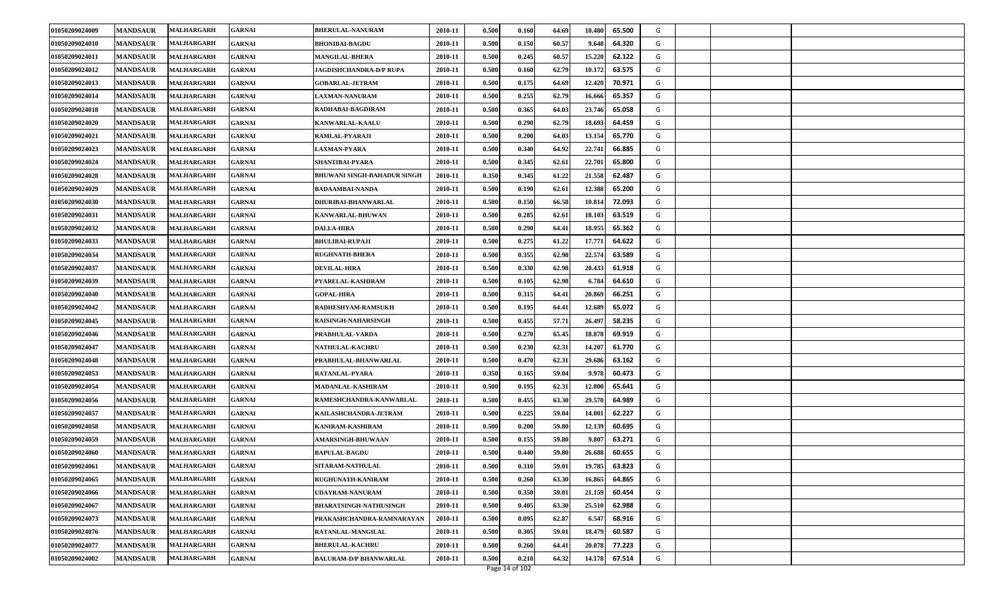| 0.500<br>0.150<br>01050209024010<br><b>MANDSAUR</b><br>MALHARGARH<br><b>GARNAI</b><br><b>BHONIBAI-BAGDU</b><br>2010-11<br>60.57<br>9.648<br>64.320<br>G<br>01050209024011<br><b>MANDSAUR</b><br>MALHARGARH<br>2010-11<br>0.500<br>0.245<br>60.57<br>15.220<br>62.122<br>G<br><b>GARNAI</b><br><b>MANGILAL-BHERA</b><br>01050209024012<br><b>MANDSAUR</b><br><b>MALHARGARH</b><br>2010-11<br>0.500<br>0.160<br>62.79<br>10.172<br>63.575<br>G<br>GARNAI<br><b>JAGDISHCHANDRA-D/P RUPA</b><br>01050209024013<br><b>MANDSAUR</b><br>2010-11<br>0.500<br>0.175<br>64.69<br>12.420<br>70.971<br>G<br>MALHARGARH<br><b>GARNAI</b><br><b>GOBARLAL-JETRAM</b><br>01050209024014<br>0.255<br><b>MANDSAUR</b><br>2010-11<br>0.500<br>62.79<br>16.666<br>65.357<br>G<br>MALHARGARH<br><b>GARNAI</b><br><b>LAXMAN-NANURAM</b><br><b>MANDSAUR</b><br><b>GARNAI</b><br>0.500<br>0.365<br>23.746<br>65.058<br>01050209024018<br><b>MALHARGARH</b><br>RADHABAI-BAGDIRAM<br>2010-11<br>64.03<br>G<br>0.500<br>18.693<br>01050209024020<br><b>MANDSAUR</b><br>MALHARGARH<br><b>GARNAI</b><br><b>KANWARLAL-KAALU</b><br>2010-11<br>0.290<br>62.79<br>64.459<br>G<br>01050209024021<br><b>MANDSAUR</b><br>2010-11<br>0.500<br>0.200<br>64.03<br>13.154<br>65.770<br>MALHARGARH<br>RAMLAL-PYARAJI<br>G<br><b>GARNAI</b><br>01050209024023<br><b>MANDSAUR</b><br>0.500<br>0.340<br>22.741<br>MALHARGARH<br>2010-11<br>64.92<br>66.885<br>G<br>GARNAI<br><b>LAXMAN-PYARA</b><br>0.500<br>0.345<br>22.701<br>01050209024024<br><b>MANDSAUR</b><br><b>SHANTIBAI-PYARA</b><br>2010-11<br>62.61<br>65.800<br>G<br><b>MALHARGARH</b><br><b>GARNAI</b><br>0.350<br>21.558<br>01050209024028<br><b>MANDSAUR</b><br>0.345<br>61.22<br>62.487<br>G<br><b>BHUWANI SINGH-BAHADUR SINGH</b><br>2010-11<br><b>MALHARGARH</b><br><b>GARNAI</b><br>0.500<br>0.190<br>62.61<br>12.388<br>01050209024029<br><b>MANDSAUR</b><br>MALHARGARH<br><b>GARNAI</b><br><b>BADAAMBAI-NANDA</b><br>2010-11<br>65.200<br>G<br>01050209024030<br><b>MANDSAUR</b><br>MALHARGARH<br><b>GARNAI</b><br>DHURIBAI-BHANWARLAL<br>2010-11<br>0.500<br>0.150<br>66.58<br>10.814<br>72.093<br>G<br><b>MALHARGARH</b><br>0.500<br>0.285<br>62.61<br>18.103<br>01050209024031<br><b>MANDSAUR</b><br><b>GARNAI</b><br>2010-11<br>63.519<br>G<br><b>KANWARLAL-BHUWAN</b><br>01050209024032<br>MALHARGARH<br>2010-11<br>0.500<br>0.290<br>18.955<br>65.362<br>G<br><b>MANDSAUR</b><br><b>GARNAI</b><br><b>DALLA-HIRA</b><br>64.41<br>01050209024033<br>0.500<br>0.275<br>61.22<br>17.771<br>64.622<br><b>MANDSAUR</b><br>2010-11<br>G<br>MALHARGARH<br><b>GARNAI</b><br><b>BHULIBAI-RUPAJI</b><br>0.355<br>22.574<br>63.589<br>G<br>01050209024034<br><b>MANDSAUR</b><br>2010-11<br>0.500<br>62.98<br>MALHARGARH<br>GARNAI<br><b>RUGHNATH-BHERA</b><br>01050209024037<br><b>MANDSAUR</b><br>MALHARGARH<br><b>GARNAI</b><br><b>DEVILAL-HIRA</b><br>2010-11<br>0.500<br>0.330<br>62.98<br>20.433<br>61.918<br>G<br>01050209024039<br><b>MANDSAUR</b><br>2010-11<br>0.500<br>0.105<br>62.98<br>64.610<br><b>MALHARGARH</b><br>GARNAI<br>PYARELAL-KASHIRAM<br>6.784<br>G<br>01050209024040<br><b>MANDSAUR</b><br><b>MALHARGARH</b><br>2010-11<br>0.500<br>0.315<br>64.41<br>20.869<br>66.251<br>G<br><b>GARNAI</b><br><b>GOPAL-HIRA</b><br>01050209024042<br><b>MANDSAUR</b><br>2010-11<br>0.500<br>0.195<br>64.41<br>12.689<br>65.072<br>G<br><b>MALHARGARH</b><br><b>GARNAI</b><br>RADHESHYAM-RAMSUKH<br>0.500<br>0.455<br>57.71<br>26.497<br>01050209024045<br><b>MANDSAUR</b><br>2010-11<br>58.235<br>G<br><b>MALHARGARH</b><br><b>GARNAI</b><br>RAISINGH-NAHARSINGH<br>01050209024046<br><b>MANDSAUR</b><br>2010-11<br>0.500<br>0.270<br>65.45<br>18.878<br>69.919<br>G<br>MALHARGARH<br><b>GARNAI</b><br>PRABHULAL-VARDA<br>01050209024047<br>0.230<br>62.31<br><b>MANDSAUR</b><br><b>MALHARGARH</b><br><b>GARNAI</b><br><b>NATHULAL-KACHRU</b><br>2010-11<br>0.500<br>14.207<br>61.770<br>G<br>01050209024048<br><b>MANDSAUR</b><br><b>MALHARGARH</b><br>GARNAI<br>PRABHULAL-BHANWARLAL<br>2010-11<br>0.500<br>0.470<br>62.31<br>29.686<br>63.162<br>G<br>0.350<br>01050209024053<br><b>MANDSAUR</b><br><b>MALHARGARH</b><br>2010-11<br>0.165<br>59.04<br>9.978<br>60.473<br>G<br>GARNAI<br>RATANLAL-PYARA<br>01050209024054<br><b>MANDSAUR</b><br>2010-11<br>0.500<br>0.195<br>62.31<br>12.800<br>65.641<br>G<br>MALHARGARH<br><b>GARNAI</b><br>MADANLAL-KASHIRAM<br>01050209024056<br><b>MANDSAUR</b><br>2010-11<br>0.500<br>0.455<br>63.30<br>29.570<br>64.989<br>G<br><b>MALHARGARH</b><br><b>GARNAI</b><br>RAMESHCHANDRA-KANWARLAL<br><b>MANDSAUR</b><br><b>GARNAI</b><br>KAILASHCHANDRA-JETRAM<br>0.500<br>0.225<br>59.04<br>14.001<br>62.227<br>01050209024057<br><b>MALHARGARH</b><br>2010-11<br>G<br>0.500<br>12.139<br>01050209024058<br><b>MANDSAUR</b><br>MALHARGARH<br><b>GARNAI</b><br>KANIRAM-KASHIRAM<br>2010-11<br>0.200<br>59.80<br>60.695<br>G<br>01050209024059<br>0.500<br>0.155<br><b>MANDSAUR</b><br>MALHARGARH<br><b>AMARSINGH-BHUWAAN</b><br>2010-11<br>59.80<br>63.271<br>G<br><b>GARNAI</b><br>9.80<br>01050209024060<br><b>MANDSAUR</b><br>0.500<br>0.440<br>59.80<br>60.655<br>G<br><b>MALHARGARH</b><br>2010-11<br>26.688<br>GARNAI<br><b>BAPULAL-BAGDU</b><br>01050209024061<br><b>MANDSAUR</b><br>2010-11<br>0.500<br>0.310<br>59.01<br>19.785<br>63.823<br><b>MALHARGARH</b><br><b>GARNAI</b><br>SITARAM-NATHULAL<br>G<br>0.500<br>G<br>01050209024065<br><b>MANDSAUR</b><br>2010-11<br>0.260<br>63.30<br>16.865<br>64.865<br>MALHARGARH<br><b>GARNAI</b><br>RUGHUNATH-KANIRAM<br>0.350<br>01050209024066<br><b>MANDSAUR</b><br><b>MALHARGARH</b><br><b>GARNAI</b><br>UDAYRAM-NANURAM<br>2010-11<br>0.500<br>59.01<br>21.159<br>60.454<br>G<br>01050209024067<br><b>BHARATSINGH-NATHUSINGH</b><br>0.500<br>0.405<br>63.30<br>25.510<br>G<br><b>MANDSAUR</b><br>MALHARGARH<br>GARNAI<br>2010-11<br>62.988<br>01050209024073<br><b>MALHARGARH</b><br>2010-11<br>0.500<br>0.095<br>62.87<br>6.547<br>68.916<br>G<br><b>MANDSAUR</b><br><b>GARNAI</b><br>PRAKASHCHANDRA-RAMNARAYAN<br>01050209024076<br>0.500<br>0.305<br>60.587<br>G<br><b>MANDSAUR</b><br>MALHARGARH<br>2010-11<br>59.01<br>18.479<br><b>GARNAI</b><br>RATANLAL-MANGILAL<br>01050209024077<br>0.500<br>0.260<br>20.078<br>77.223<br>G<br><b>MANDSAUR</b><br>2010-11<br>64.41<br><b>MALHARGARH</b><br>GARNAI<br><b>BHERULAL-KACHRU</b><br>01050209024002<br>0.500<br>0.210<br>67.514<br>G<br><b>MANDSAUR</b><br><b>BALURAM-D/P BHANWARLAL</b><br>2010-11<br>64.32<br>14.178<br><b>MALHARGARH</b><br><b>GARNAI</b><br>Page 14 of 102 | 01050209024009 | <b>MANDSAUR</b> | MALHARGARH | GARNAI | <b>BHERULAL-NANURAM</b> | 2010-11 | 0.500 | 0.160 | 64.69 | 10.480 | 65.500 | G |  |
|------------------------------------------------------------------------------------------------------------------------------------------------------------------------------------------------------------------------------------------------------------------------------------------------------------------------------------------------------------------------------------------------------------------------------------------------------------------------------------------------------------------------------------------------------------------------------------------------------------------------------------------------------------------------------------------------------------------------------------------------------------------------------------------------------------------------------------------------------------------------------------------------------------------------------------------------------------------------------------------------------------------------------------------------------------------------------------------------------------------------------------------------------------------------------------------------------------------------------------------------------------------------------------------------------------------------------------------------------------------------------------------------------------------------------------------------------------------------------------------------------------------------------------------------------------------------------------------------------------------------------------------------------------------------------------------------------------------------------------------------------------------------------------------------------------------------------------------------------------------------------------------------------------------------------------------------------------------------------------------------------------------------------------------------------------------------------------------------------------------------------------------------------------------------------------------------------------------------------------------------------------------------------------------------------------------------------------------------------------------------------------------------------------------------------------------------------------------------------------------------------------------------------------------------------------------------------------------------------------------------------------------------------------------------------------------------------------------------------------------------------------------------------------------------------------------------------------------------------------------------------------------------------------------------------------------------------------------------------------------------------------------------------------------------------------------------------------------------------------------------------------------------------------------------------------------------------------------------------------------------------------------------------------------------------------------------------------------------------------------------------------------------------------------------------------------------------------------------------------------------------------------------------------------------------------------------------------------------------------------------------------------------------------------------------------------------------------------------------------------------------------------------------------------------------------------------------------------------------------------------------------------------------------------------------------------------------------------------------------------------------------------------------------------------------------------------------------------------------------------------------------------------------------------------------------------------------------------------------------------------------------------------------------------------------------------------------------------------------------------------------------------------------------------------------------------------------------------------------------------------------------------------------------------------------------------------------------------------------------------------------------------------------------------------------------------------------------------------------------------------------------------------------------------------------------------------------------------------------------------------------------------------------------------------------------------------------------------------------------------------------------------------------------------------------------------------------------------------------------------------------------------------------------------------------------------------------------------------------------------------------------------------------------------------------------------------------------------------------------------------------------------------------------------------------------------------------------------------------------------------------------------------------------------------------------------------------------------------------------------------------------------------------------------------------------------------------------------------------------------------------------------------------------------------------------------------------------------------------------------------------------------------------------------------------------------------------------------------------------------------------------------------------------------------------------------------------------------------------------------------------------------------------------------------------------------------------------------------------------------------------------------------------------------------------------------------------------------------------------------------------------------------------------------------------------------------------------------------------------------------------------------------------------------------------------------|----------------|-----------------|------------|--------|-------------------------|---------|-------|-------|-------|--------|--------|---|--|
|                                                                                                                                                                                                                                                                                                                                                                                                                                                                                                                                                                                                                                                                                                                                                                                                                                                                                                                                                                                                                                                                                                                                                                                                                                                                                                                                                                                                                                                                                                                                                                                                                                                                                                                                                                                                                                                                                                                                                                                                                                                                                                                                                                                                                                                                                                                                                                                                                                                                                                                                                                                                                                                                                                                                                                                                                                                                                                                                                                                                                                                                                                                                                                                                                                                                                                                                                                                                                                                                                                                                                                                                                                                                                                                                                                                                                                                                                                                                                                                                                                                                                                                                                                                                                                                                                                                                                                                                                                                                                                                                                                                                                                                                                                                                                                                                                                                                                                                                                                                                                                                                                                                                                                                                                                                                                                                                                                                                                                                                                                                                                                                                                                                                                                                                                                                                                                                                                                                                                                                                                                                                                                                                                                                                                                                                                                                                                                                                                                                                                                                                                                  |                |                 |            |        |                         |         |       |       |       |        |        |   |  |
|                                                                                                                                                                                                                                                                                                                                                                                                                                                                                                                                                                                                                                                                                                                                                                                                                                                                                                                                                                                                                                                                                                                                                                                                                                                                                                                                                                                                                                                                                                                                                                                                                                                                                                                                                                                                                                                                                                                                                                                                                                                                                                                                                                                                                                                                                                                                                                                                                                                                                                                                                                                                                                                                                                                                                                                                                                                                                                                                                                                                                                                                                                                                                                                                                                                                                                                                                                                                                                                                                                                                                                                                                                                                                                                                                                                                                                                                                                                                                                                                                                                                                                                                                                                                                                                                                                                                                                                                                                                                                                                                                                                                                                                                                                                                                                                                                                                                                                                                                                                                                                                                                                                                                                                                                                                                                                                                                                                                                                                                                                                                                                                                                                                                                                                                                                                                                                                                                                                                                                                                                                                                                                                                                                                                                                                                                                                                                                                                                                                                                                                                                                  |                |                 |            |        |                         |         |       |       |       |        |        |   |  |
|                                                                                                                                                                                                                                                                                                                                                                                                                                                                                                                                                                                                                                                                                                                                                                                                                                                                                                                                                                                                                                                                                                                                                                                                                                                                                                                                                                                                                                                                                                                                                                                                                                                                                                                                                                                                                                                                                                                                                                                                                                                                                                                                                                                                                                                                                                                                                                                                                                                                                                                                                                                                                                                                                                                                                                                                                                                                                                                                                                                                                                                                                                                                                                                                                                                                                                                                                                                                                                                                                                                                                                                                                                                                                                                                                                                                                                                                                                                                                                                                                                                                                                                                                                                                                                                                                                                                                                                                                                                                                                                                                                                                                                                                                                                                                                                                                                                                                                                                                                                                                                                                                                                                                                                                                                                                                                                                                                                                                                                                                                                                                                                                                                                                                                                                                                                                                                                                                                                                                                                                                                                                                                                                                                                                                                                                                                                                                                                                                                                                                                                                                                  |                |                 |            |        |                         |         |       |       |       |        |        |   |  |
|                                                                                                                                                                                                                                                                                                                                                                                                                                                                                                                                                                                                                                                                                                                                                                                                                                                                                                                                                                                                                                                                                                                                                                                                                                                                                                                                                                                                                                                                                                                                                                                                                                                                                                                                                                                                                                                                                                                                                                                                                                                                                                                                                                                                                                                                                                                                                                                                                                                                                                                                                                                                                                                                                                                                                                                                                                                                                                                                                                                                                                                                                                                                                                                                                                                                                                                                                                                                                                                                                                                                                                                                                                                                                                                                                                                                                                                                                                                                                                                                                                                                                                                                                                                                                                                                                                                                                                                                                                                                                                                                                                                                                                                                                                                                                                                                                                                                                                                                                                                                                                                                                                                                                                                                                                                                                                                                                                                                                                                                                                                                                                                                                                                                                                                                                                                                                                                                                                                                                                                                                                                                                                                                                                                                                                                                                                                                                                                                                                                                                                                                                                  |                |                 |            |        |                         |         |       |       |       |        |        |   |  |
|                                                                                                                                                                                                                                                                                                                                                                                                                                                                                                                                                                                                                                                                                                                                                                                                                                                                                                                                                                                                                                                                                                                                                                                                                                                                                                                                                                                                                                                                                                                                                                                                                                                                                                                                                                                                                                                                                                                                                                                                                                                                                                                                                                                                                                                                                                                                                                                                                                                                                                                                                                                                                                                                                                                                                                                                                                                                                                                                                                                                                                                                                                                                                                                                                                                                                                                                                                                                                                                                                                                                                                                                                                                                                                                                                                                                                                                                                                                                                                                                                                                                                                                                                                                                                                                                                                                                                                                                                                                                                                                                                                                                                                                                                                                                                                                                                                                                                                                                                                                                                                                                                                                                                                                                                                                                                                                                                                                                                                                                                                                                                                                                                                                                                                                                                                                                                                                                                                                                                                                                                                                                                                                                                                                                                                                                                                                                                                                                                                                                                                                                                                  |                |                 |            |        |                         |         |       |       |       |        |        |   |  |
|                                                                                                                                                                                                                                                                                                                                                                                                                                                                                                                                                                                                                                                                                                                                                                                                                                                                                                                                                                                                                                                                                                                                                                                                                                                                                                                                                                                                                                                                                                                                                                                                                                                                                                                                                                                                                                                                                                                                                                                                                                                                                                                                                                                                                                                                                                                                                                                                                                                                                                                                                                                                                                                                                                                                                                                                                                                                                                                                                                                                                                                                                                                                                                                                                                                                                                                                                                                                                                                                                                                                                                                                                                                                                                                                                                                                                                                                                                                                                                                                                                                                                                                                                                                                                                                                                                                                                                                                                                                                                                                                                                                                                                                                                                                                                                                                                                                                                                                                                                                                                                                                                                                                                                                                                                                                                                                                                                                                                                                                                                                                                                                                                                                                                                                                                                                                                                                                                                                                                                                                                                                                                                                                                                                                                                                                                                                                                                                                                                                                                                                                                                  |                |                 |            |        |                         |         |       |       |       |        |        |   |  |
|                                                                                                                                                                                                                                                                                                                                                                                                                                                                                                                                                                                                                                                                                                                                                                                                                                                                                                                                                                                                                                                                                                                                                                                                                                                                                                                                                                                                                                                                                                                                                                                                                                                                                                                                                                                                                                                                                                                                                                                                                                                                                                                                                                                                                                                                                                                                                                                                                                                                                                                                                                                                                                                                                                                                                                                                                                                                                                                                                                                                                                                                                                                                                                                                                                                                                                                                                                                                                                                                                                                                                                                                                                                                                                                                                                                                                                                                                                                                                                                                                                                                                                                                                                                                                                                                                                                                                                                                                                                                                                                                                                                                                                                                                                                                                                                                                                                                                                                                                                                                                                                                                                                                                                                                                                                                                                                                                                                                                                                                                                                                                                                                                                                                                                                                                                                                                                                                                                                                                                                                                                                                                                                                                                                                                                                                                                                                                                                                                                                                                                                                                                  |                |                 |            |        |                         |         |       |       |       |        |        |   |  |
|                                                                                                                                                                                                                                                                                                                                                                                                                                                                                                                                                                                                                                                                                                                                                                                                                                                                                                                                                                                                                                                                                                                                                                                                                                                                                                                                                                                                                                                                                                                                                                                                                                                                                                                                                                                                                                                                                                                                                                                                                                                                                                                                                                                                                                                                                                                                                                                                                                                                                                                                                                                                                                                                                                                                                                                                                                                                                                                                                                                                                                                                                                                                                                                                                                                                                                                                                                                                                                                                                                                                                                                                                                                                                                                                                                                                                                                                                                                                                                                                                                                                                                                                                                                                                                                                                                                                                                                                                                                                                                                                                                                                                                                                                                                                                                                                                                                                                                                                                                                                                                                                                                                                                                                                                                                                                                                                                                                                                                                                                                                                                                                                                                                                                                                                                                                                                                                                                                                                                                                                                                                                                                                                                                                                                                                                                                                                                                                                                                                                                                                                                                  |                |                 |            |        |                         |         |       |       |       |        |        |   |  |
|                                                                                                                                                                                                                                                                                                                                                                                                                                                                                                                                                                                                                                                                                                                                                                                                                                                                                                                                                                                                                                                                                                                                                                                                                                                                                                                                                                                                                                                                                                                                                                                                                                                                                                                                                                                                                                                                                                                                                                                                                                                                                                                                                                                                                                                                                                                                                                                                                                                                                                                                                                                                                                                                                                                                                                                                                                                                                                                                                                                                                                                                                                                                                                                                                                                                                                                                                                                                                                                                                                                                                                                                                                                                                                                                                                                                                                                                                                                                                                                                                                                                                                                                                                                                                                                                                                                                                                                                                                                                                                                                                                                                                                                                                                                                                                                                                                                                                                                                                                                                                                                                                                                                                                                                                                                                                                                                                                                                                                                                                                                                                                                                                                                                                                                                                                                                                                                                                                                                                                                                                                                                                                                                                                                                                                                                                                                                                                                                                                                                                                                                                                  |                |                 |            |        |                         |         |       |       |       |        |        |   |  |
|                                                                                                                                                                                                                                                                                                                                                                                                                                                                                                                                                                                                                                                                                                                                                                                                                                                                                                                                                                                                                                                                                                                                                                                                                                                                                                                                                                                                                                                                                                                                                                                                                                                                                                                                                                                                                                                                                                                                                                                                                                                                                                                                                                                                                                                                                                                                                                                                                                                                                                                                                                                                                                                                                                                                                                                                                                                                                                                                                                                                                                                                                                                                                                                                                                                                                                                                                                                                                                                                                                                                                                                                                                                                                                                                                                                                                                                                                                                                                                                                                                                                                                                                                                                                                                                                                                                                                                                                                                                                                                                                                                                                                                                                                                                                                                                                                                                                                                                                                                                                                                                                                                                                                                                                                                                                                                                                                                                                                                                                                                                                                                                                                                                                                                                                                                                                                                                                                                                                                                                                                                                                                                                                                                                                                                                                                                                                                                                                                                                                                                                                                                  |                |                 |            |        |                         |         |       |       |       |        |        |   |  |
|                                                                                                                                                                                                                                                                                                                                                                                                                                                                                                                                                                                                                                                                                                                                                                                                                                                                                                                                                                                                                                                                                                                                                                                                                                                                                                                                                                                                                                                                                                                                                                                                                                                                                                                                                                                                                                                                                                                                                                                                                                                                                                                                                                                                                                                                                                                                                                                                                                                                                                                                                                                                                                                                                                                                                                                                                                                                                                                                                                                                                                                                                                                                                                                                                                                                                                                                                                                                                                                                                                                                                                                                                                                                                                                                                                                                                                                                                                                                                                                                                                                                                                                                                                                                                                                                                                                                                                                                                                                                                                                                                                                                                                                                                                                                                                                                                                                                                                                                                                                                                                                                                                                                                                                                                                                                                                                                                                                                                                                                                                                                                                                                                                                                                                                                                                                                                                                                                                                                                                                                                                                                                                                                                                                                                                                                                                                                                                                                                                                                                                                                                                  |                |                 |            |        |                         |         |       |       |       |        |        |   |  |
|                                                                                                                                                                                                                                                                                                                                                                                                                                                                                                                                                                                                                                                                                                                                                                                                                                                                                                                                                                                                                                                                                                                                                                                                                                                                                                                                                                                                                                                                                                                                                                                                                                                                                                                                                                                                                                                                                                                                                                                                                                                                                                                                                                                                                                                                                                                                                                                                                                                                                                                                                                                                                                                                                                                                                                                                                                                                                                                                                                                                                                                                                                                                                                                                                                                                                                                                                                                                                                                                                                                                                                                                                                                                                                                                                                                                                                                                                                                                                                                                                                                                                                                                                                                                                                                                                                                                                                                                                                                                                                                                                                                                                                                                                                                                                                                                                                                                                                                                                                                                                                                                                                                                                                                                                                                                                                                                                                                                                                                                                                                                                                                                                                                                                                                                                                                                                                                                                                                                                                                                                                                                                                                                                                                                                                                                                                                                                                                                                                                                                                                                                                  |                |                 |            |        |                         |         |       |       |       |        |        |   |  |
|                                                                                                                                                                                                                                                                                                                                                                                                                                                                                                                                                                                                                                                                                                                                                                                                                                                                                                                                                                                                                                                                                                                                                                                                                                                                                                                                                                                                                                                                                                                                                                                                                                                                                                                                                                                                                                                                                                                                                                                                                                                                                                                                                                                                                                                                                                                                                                                                                                                                                                                                                                                                                                                                                                                                                                                                                                                                                                                                                                                                                                                                                                                                                                                                                                                                                                                                                                                                                                                                                                                                                                                                                                                                                                                                                                                                                                                                                                                                                                                                                                                                                                                                                                                                                                                                                                                                                                                                                                                                                                                                                                                                                                                                                                                                                                                                                                                                                                                                                                                                                                                                                                                                                                                                                                                                                                                                                                                                                                                                                                                                                                                                                                                                                                                                                                                                                                                                                                                                                                                                                                                                                                                                                                                                                                                                                                                                                                                                                                                                                                                                                                  |                |                 |            |        |                         |         |       |       |       |        |        |   |  |
|                                                                                                                                                                                                                                                                                                                                                                                                                                                                                                                                                                                                                                                                                                                                                                                                                                                                                                                                                                                                                                                                                                                                                                                                                                                                                                                                                                                                                                                                                                                                                                                                                                                                                                                                                                                                                                                                                                                                                                                                                                                                                                                                                                                                                                                                                                                                                                                                                                                                                                                                                                                                                                                                                                                                                                                                                                                                                                                                                                                                                                                                                                                                                                                                                                                                                                                                                                                                                                                                                                                                                                                                                                                                                                                                                                                                                                                                                                                                                                                                                                                                                                                                                                                                                                                                                                                                                                                                                                                                                                                                                                                                                                                                                                                                                                                                                                                                                                                                                                                                                                                                                                                                                                                                                                                                                                                                                                                                                                                                                                                                                                                                                                                                                                                                                                                                                                                                                                                                                                                                                                                                                                                                                                                                                                                                                                                                                                                                                                                                                                                                                                  |                |                 |            |        |                         |         |       |       |       |        |        |   |  |
|                                                                                                                                                                                                                                                                                                                                                                                                                                                                                                                                                                                                                                                                                                                                                                                                                                                                                                                                                                                                                                                                                                                                                                                                                                                                                                                                                                                                                                                                                                                                                                                                                                                                                                                                                                                                                                                                                                                                                                                                                                                                                                                                                                                                                                                                                                                                                                                                                                                                                                                                                                                                                                                                                                                                                                                                                                                                                                                                                                                                                                                                                                                                                                                                                                                                                                                                                                                                                                                                                                                                                                                                                                                                                                                                                                                                                                                                                                                                                                                                                                                                                                                                                                                                                                                                                                                                                                                                                                                                                                                                                                                                                                                                                                                                                                                                                                                                                                                                                                                                                                                                                                                                                                                                                                                                                                                                                                                                                                                                                                                                                                                                                                                                                                                                                                                                                                                                                                                                                                                                                                                                                                                                                                                                                                                                                                                                                                                                                                                                                                                                                                  |                |                 |            |        |                         |         |       |       |       |        |        |   |  |
|                                                                                                                                                                                                                                                                                                                                                                                                                                                                                                                                                                                                                                                                                                                                                                                                                                                                                                                                                                                                                                                                                                                                                                                                                                                                                                                                                                                                                                                                                                                                                                                                                                                                                                                                                                                                                                                                                                                                                                                                                                                                                                                                                                                                                                                                                                                                                                                                                                                                                                                                                                                                                                                                                                                                                                                                                                                                                                                                                                                                                                                                                                                                                                                                                                                                                                                                                                                                                                                                                                                                                                                                                                                                                                                                                                                                                                                                                                                                                                                                                                                                                                                                                                                                                                                                                                                                                                                                                                                                                                                                                                                                                                                                                                                                                                                                                                                                                                                                                                                                                                                                                                                                                                                                                                                                                                                                                                                                                                                                                                                                                                                                                                                                                                                                                                                                                                                                                                                                                                                                                                                                                                                                                                                                                                                                                                                                                                                                                                                                                                                                                                  |                |                 |            |        |                         |         |       |       |       |        |        |   |  |
|                                                                                                                                                                                                                                                                                                                                                                                                                                                                                                                                                                                                                                                                                                                                                                                                                                                                                                                                                                                                                                                                                                                                                                                                                                                                                                                                                                                                                                                                                                                                                                                                                                                                                                                                                                                                                                                                                                                                                                                                                                                                                                                                                                                                                                                                                                                                                                                                                                                                                                                                                                                                                                                                                                                                                                                                                                                                                                                                                                                                                                                                                                                                                                                                                                                                                                                                                                                                                                                                                                                                                                                                                                                                                                                                                                                                                                                                                                                                                                                                                                                                                                                                                                                                                                                                                                                                                                                                                                                                                                                                                                                                                                                                                                                                                                                                                                                                                                                                                                                                                                                                                                                                                                                                                                                                                                                                                                                                                                                                                                                                                                                                                                                                                                                                                                                                                                                                                                                                                                                                                                                                                                                                                                                                                                                                                                                                                                                                                                                                                                                                                                  |                |                 |            |        |                         |         |       |       |       |        |        |   |  |
|                                                                                                                                                                                                                                                                                                                                                                                                                                                                                                                                                                                                                                                                                                                                                                                                                                                                                                                                                                                                                                                                                                                                                                                                                                                                                                                                                                                                                                                                                                                                                                                                                                                                                                                                                                                                                                                                                                                                                                                                                                                                                                                                                                                                                                                                                                                                                                                                                                                                                                                                                                                                                                                                                                                                                                                                                                                                                                                                                                                                                                                                                                                                                                                                                                                                                                                                                                                                                                                                                                                                                                                                                                                                                                                                                                                                                                                                                                                                                                                                                                                                                                                                                                                                                                                                                                                                                                                                                                                                                                                                                                                                                                                                                                                                                                                                                                                                                                                                                                                                                                                                                                                                                                                                                                                                                                                                                                                                                                                                                                                                                                                                                                                                                                                                                                                                                                                                                                                                                                                                                                                                                                                                                                                                                                                                                                                                                                                                                                                                                                                                                                  |                |                 |            |        |                         |         |       |       |       |        |        |   |  |
|                                                                                                                                                                                                                                                                                                                                                                                                                                                                                                                                                                                                                                                                                                                                                                                                                                                                                                                                                                                                                                                                                                                                                                                                                                                                                                                                                                                                                                                                                                                                                                                                                                                                                                                                                                                                                                                                                                                                                                                                                                                                                                                                                                                                                                                                                                                                                                                                                                                                                                                                                                                                                                                                                                                                                                                                                                                                                                                                                                                                                                                                                                                                                                                                                                                                                                                                                                                                                                                                                                                                                                                                                                                                                                                                                                                                                                                                                                                                                                                                                                                                                                                                                                                                                                                                                                                                                                                                                                                                                                                                                                                                                                                                                                                                                                                                                                                                                                                                                                                                                                                                                                                                                                                                                                                                                                                                                                                                                                                                                                                                                                                                                                                                                                                                                                                                                                                                                                                                                                                                                                                                                                                                                                                                                                                                                                                                                                                                                                                                                                                                                                  |                |                 |            |        |                         |         |       |       |       |        |        |   |  |
|                                                                                                                                                                                                                                                                                                                                                                                                                                                                                                                                                                                                                                                                                                                                                                                                                                                                                                                                                                                                                                                                                                                                                                                                                                                                                                                                                                                                                                                                                                                                                                                                                                                                                                                                                                                                                                                                                                                                                                                                                                                                                                                                                                                                                                                                                                                                                                                                                                                                                                                                                                                                                                                                                                                                                                                                                                                                                                                                                                                                                                                                                                                                                                                                                                                                                                                                                                                                                                                                                                                                                                                                                                                                                                                                                                                                                                                                                                                                                                                                                                                                                                                                                                                                                                                                                                                                                                                                                                                                                                                                                                                                                                                                                                                                                                                                                                                                                                                                                                                                                                                                                                                                                                                                                                                                                                                                                                                                                                                                                                                                                                                                                                                                                                                                                                                                                                                                                                                                                                                                                                                                                                                                                                                                                                                                                                                                                                                                                                                                                                                                                                  |                |                 |            |        |                         |         |       |       |       |        |        |   |  |
|                                                                                                                                                                                                                                                                                                                                                                                                                                                                                                                                                                                                                                                                                                                                                                                                                                                                                                                                                                                                                                                                                                                                                                                                                                                                                                                                                                                                                                                                                                                                                                                                                                                                                                                                                                                                                                                                                                                                                                                                                                                                                                                                                                                                                                                                                                                                                                                                                                                                                                                                                                                                                                                                                                                                                                                                                                                                                                                                                                                                                                                                                                                                                                                                                                                                                                                                                                                                                                                                                                                                                                                                                                                                                                                                                                                                                                                                                                                                                                                                                                                                                                                                                                                                                                                                                                                                                                                                                                                                                                                                                                                                                                                                                                                                                                                                                                                                                                                                                                                                                                                                                                                                                                                                                                                                                                                                                                                                                                                                                                                                                                                                                                                                                                                                                                                                                                                                                                                                                                                                                                                                                                                                                                                                                                                                                                                                                                                                                                                                                                                                                                  |                |                 |            |        |                         |         |       |       |       |        |        |   |  |
|                                                                                                                                                                                                                                                                                                                                                                                                                                                                                                                                                                                                                                                                                                                                                                                                                                                                                                                                                                                                                                                                                                                                                                                                                                                                                                                                                                                                                                                                                                                                                                                                                                                                                                                                                                                                                                                                                                                                                                                                                                                                                                                                                                                                                                                                                                                                                                                                                                                                                                                                                                                                                                                                                                                                                                                                                                                                                                                                                                                                                                                                                                                                                                                                                                                                                                                                                                                                                                                                                                                                                                                                                                                                                                                                                                                                                                                                                                                                                                                                                                                                                                                                                                                                                                                                                                                                                                                                                                                                                                                                                                                                                                                                                                                                                                                                                                                                                                                                                                                                                                                                                                                                                                                                                                                                                                                                                                                                                                                                                                                                                                                                                                                                                                                                                                                                                                                                                                                                                                                                                                                                                                                                                                                                                                                                                                                                                                                                                                                                                                                                                                  |                |                 |            |        |                         |         |       |       |       |        |        |   |  |
|                                                                                                                                                                                                                                                                                                                                                                                                                                                                                                                                                                                                                                                                                                                                                                                                                                                                                                                                                                                                                                                                                                                                                                                                                                                                                                                                                                                                                                                                                                                                                                                                                                                                                                                                                                                                                                                                                                                                                                                                                                                                                                                                                                                                                                                                                                                                                                                                                                                                                                                                                                                                                                                                                                                                                                                                                                                                                                                                                                                                                                                                                                                                                                                                                                                                                                                                                                                                                                                                                                                                                                                                                                                                                                                                                                                                                                                                                                                                                                                                                                                                                                                                                                                                                                                                                                                                                                                                                                                                                                                                                                                                                                                                                                                                                                                                                                                                                                                                                                                                                                                                                                                                                                                                                                                                                                                                                                                                                                                                                                                                                                                                                                                                                                                                                                                                                                                                                                                                                                                                                                                                                                                                                                                                                                                                                                                                                                                                                                                                                                                                                                  |                |                 |            |        |                         |         |       |       |       |        |        |   |  |
|                                                                                                                                                                                                                                                                                                                                                                                                                                                                                                                                                                                                                                                                                                                                                                                                                                                                                                                                                                                                                                                                                                                                                                                                                                                                                                                                                                                                                                                                                                                                                                                                                                                                                                                                                                                                                                                                                                                                                                                                                                                                                                                                                                                                                                                                                                                                                                                                                                                                                                                                                                                                                                                                                                                                                                                                                                                                                                                                                                                                                                                                                                                                                                                                                                                                                                                                                                                                                                                                                                                                                                                                                                                                                                                                                                                                                                                                                                                                                                                                                                                                                                                                                                                                                                                                                                                                                                                                                                                                                                                                                                                                                                                                                                                                                                                                                                                                                                                                                                                                                                                                                                                                                                                                                                                                                                                                                                                                                                                                                                                                                                                                                                                                                                                                                                                                                                                                                                                                                                                                                                                                                                                                                                                                                                                                                                                                                                                                                                                                                                                                                                  |                |                 |            |        |                         |         |       |       |       |        |        |   |  |
|                                                                                                                                                                                                                                                                                                                                                                                                                                                                                                                                                                                                                                                                                                                                                                                                                                                                                                                                                                                                                                                                                                                                                                                                                                                                                                                                                                                                                                                                                                                                                                                                                                                                                                                                                                                                                                                                                                                                                                                                                                                                                                                                                                                                                                                                                                                                                                                                                                                                                                                                                                                                                                                                                                                                                                                                                                                                                                                                                                                                                                                                                                                                                                                                                                                                                                                                                                                                                                                                                                                                                                                                                                                                                                                                                                                                                                                                                                                                                                                                                                                                                                                                                                                                                                                                                                                                                                                                                                                                                                                                                                                                                                                                                                                                                                                                                                                                                                                                                                                                                                                                                                                                                                                                                                                                                                                                                                                                                                                                                                                                                                                                                                                                                                                                                                                                                                                                                                                                                                                                                                                                                                                                                                                                                                                                                                                                                                                                                                                                                                                                                                  |                |                 |            |        |                         |         |       |       |       |        |        |   |  |
|                                                                                                                                                                                                                                                                                                                                                                                                                                                                                                                                                                                                                                                                                                                                                                                                                                                                                                                                                                                                                                                                                                                                                                                                                                                                                                                                                                                                                                                                                                                                                                                                                                                                                                                                                                                                                                                                                                                                                                                                                                                                                                                                                                                                                                                                                                                                                                                                                                                                                                                                                                                                                                                                                                                                                                                                                                                                                                                                                                                                                                                                                                                                                                                                                                                                                                                                                                                                                                                                                                                                                                                                                                                                                                                                                                                                                                                                                                                                                                                                                                                                                                                                                                                                                                                                                                                                                                                                                                                                                                                                                                                                                                                                                                                                                                                                                                                                                                                                                                                                                                                                                                                                                                                                                                                                                                                                                                                                                                                                                                                                                                                                                                                                                                                                                                                                                                                                                                                                                                                                                                                                                                                                                                                                                                                                                                                                                                                                                                                                                                                                                                  |                |                 |            |        |                         |         |       |       |       |        |        |   |  |
|                                                                                                                                                                                                                                                                                                                                                                                                                                                                                                                                                                                                                                                                                                                                                                                                                                                                                                                                                                                                                                                                                                                                                                                                                                                                                                                                                                                                                                                                                                                                                                                                                                                                                                                                                                                                                                                                                                                                                                                                                                                                                                                                                                                                                                                                                                                                                                                                                                                                                                                                                                                                                                                                                                                                                                                                                                                                                                                                                                                                                                                                                                                                                                                                                                                                                                                                                                                                                                                                                                                                                                                                                                                                                                                                                                                                                                                                                                                                                                                                                                                                                                                                                                                                                                                                                                                                                                                                                                                                                                                                                                                                                                                                                                                                                                                                                                                                                                                                                                                                                                                                                                                                                                                                                                                                                                                                                                                                                                                                                                                                                                                                                                                                                                                                                                                                                                                                                                                                                                                                                                                                                                                                                                                                                                                                                                                                                                                                                                                                                                                                                                  |                |                 |            |        |                         |         |       |       |       |        |        |   |  |
|                                                                                                                                                                                                                                                                                                                                                                                                                                                                                                                                                                                                                                                                                                                                                                                                                                                                                                                                                                                                                                                                                                                                                                                                                                                                                                                                                                                                                                                                                                                                                                                                                                                                                                                                                                                                                                                                                                                                                                                                                                                                                                                                                                                                                                                                                                                                                                                                                                                                                                                                                                                                                                                                                                                                                                                                                                                                                                                                                                                                                                                                                                                                                                                                                                                                                                                                                                                                                                                                                                                                                                                                                                                                                                                                                                                                                                                                                                                                                                                                                                                                                                                                                                                                                                                                                                                                                                                                                                                                                                                                                                                                                                                                                                                                                                                                                                                                                                                                                                                                                                                                                                                                                                                                                                                                                                                                                                                                                                                                                                                                                                                                                                                                                                                                                                                                                                                                                                                                                                                                                                                                                                                                                                                                                                                                                                                                                                                                                                                                                                                                                                  |                |                 |            |        |                         |         |       |       |       |        |        |   |  |
|                                                                                                                                                                                                                                                                                                                                                                                                                                                                                                                                                                                                                                                                                                                                                                                                                                                                                                                                                                                                                                                                                                                                                                                                                                                                                                                                                                                                                                                                                                                                                                                                                                                                                                                                                                                                                                                                                                                                                                                                                                                                                                                                                                                                                                                                                                                                                                                                                                                                                                                                                                                                                                                                                                                                                                                                                                                                                                                                                                                                                                                                                                                                                                                                                                                                                                                                                                                                                                                                                                                                                                                                                                                                                                                                                                                                                                                                                                                                                                                                                                                                                                                                                                                                                                                                                                                                                                                                                                                                                                                                                                                                                                                                                                                                                                                                                                                                                                                                                                                                                                                                                                                                                                                                                                                                                                                                                                                                                                                                                                                                                                                                                                                                                                                                                                                                                                                                                                                                                                                                                                                                                                                                                                                                                                                                                                                                                                                                                                                                                                                                                                  |                |                 |            |        |                         |         |       |       |       |        |        |   |  |
|                                                                                                                                                                                                                                                                                                                                                                                                                                                                                                                                                                                                                                                                                                                                                                                                                                                                                                                                                                                                                                                                                                                                                                                                                                                                                                                                                                                                                                                                                                                                                                                                                                                                                                                                                                                                                                                                                                                                                                                                                                                                                                                                                                                                                                                                                                                                                                                                                                                                                                                                                                                                                                                                                                                                                                                                                                                                                                                                                                                                                                                                                                                                                                                                                                                                                                                                                                                                                                                                                                                                                                                                                                                                                                                                                                                                                                                                                                                                                                                                                                                                                                                                                                                                                                                                                                                                                                                                                                                                                                                                                                                                                                                                                                                                                                                                                                                                                                                                                                                                                                                                                                                                                                                                                                                                                                                                                                                                                                                                                                                                                                                                                                                                                                                                                                                                                                                                                                                                                                                                                                                                                                                                                                                                                                                                                                                                                                                                                                                                                                                                                                  |                |                 |            |        |                         |         |       |       |       |        |        |   |  |
|                                                                                                                                                                                                                                                                                                                                                                                                                                                                                                                                                                                                                                                                                                                                                                                                                                                                                                                                                                                                                                                                                                                                                                                                                                                                                                                                                                                                                                                                                                                                                                                                                                                                                                                                                                                                                                                                                                                                                                                                                                                                                                                                                                                                                                                                                                                                                                                                                                                                                                                                                                                                                                                                                                                                                                                                                                                                                                                                                                                                                                                                                                                                                                                                                                                                                                                                                                                                                                                                                                                                                                                                                                                                                                                                                                                                                                                                                                                                                                                                                                                                                                                                                                                                                                                                                                                                                                                                                                                                                                                                                                                                                                                                                                                                                                                                                                                                                                                                                                                                                                                                                                                                                                                                                                                                                                                                                                                                                                                                                                                                                                                                                                                                                                                                                                                                                                                                                                                                                                                                                                                                                                                                                                                                                                                                                                                                                                                                                                                                                                                                                                  |                |                 |            |        |                         |         |       |       |       |        |        |   |  |
|                                                                                                                                                                                                                                                                                                                                                                                                                                                                                                                                                                                                                                                                                                                                                                                                                                                                                                                                                                                                                                                                                                                                                                                                                                                                                                                                                                                                                                                                                                                                                                                                                                                                                                                                                                                                                                                                                                                                                                                                                                                                                                                                                                                                                                                                                                                                                                                                                                                                                                                                                                                                                                                                                                                                                                                                                                                                                                                                                                                                                                                                                                                                                                                                                                                                                                                                                                                                                                                                                                                                                                                                                                                                                                                                                                                                                                                                                                                                                                                                                                                                                                                                                                                                                                                                                                                                                                                                                                                                                                                                                                                                                                                                                                                                                                                                                                                                                                                                                                                                                                                                                                                                                                                                                                                                                                                                                                                                                                                                                                                                                                                                                                                                                                                                                                                                                                                                                                                                                                                                                                                                                                                                                                                                                                                                                                                                                                                                                                                                                                                                                                  |                |                 |            |        |                         |         |       |       |       |        |        |   |  |
|                                                                                                                                                                                                                                                                                                                                                                                                                                                                                                                                                                                                                                                                                                                                                                                                                                                                                                                                                                                                                                                                                                                                                                                                                                                                                                                                                                                                                                                                                                                                                                                                                                                                                                                                                                                                                                                                                                                                                                                                                                                                                                                                                                                                                                                                                                                                                                                                                                                                                                                                                                                                                                                                                                                                                                                                                                                                                                                                                                                                                                                                                                                                                                                                                                                                                                                                                                                                                                                                                                                                                                                                                                                                                                                                                                                                                                                                                                                                                                                                                                                                                                                                                                                                                                                                                                                                                                                                                                                                                                                                                                                                                                                                                                                                                                                                                                                                                                                                                                                                                                                                                                                                                                                                                                                                                                                                                                                                                                                                                                                                                                                                                                                                                                                                                                                                                                                                                                                                                                                                                                                                                                                                                                                                                                                                                                                                                                                                                                                                                                                                                                  |                |                 |            |        |                         |         |       |       |       |        |        |   |  |
|                                                                                                                                                                                                                                                                                                                                                                                                                                                                                                                                                                                                                                                                                                                                                                                                                                                                                                                                                                                                                                                                                                                                                                                                                                                                                                                                                                                                                                                                                                                                                                                                                                                                                                                                                                                                                                                                                                                                                                                                                                                                                                                                                                                                                                                                                                                                                                                                                                                                                                                                                                                                                                                                                                                                                                                                                                                                                                                                                                                                                                                                                                                                                                                                                                                                                                                                                                                                                                                                                                                                                                                                                                                                                                                                                                                                                                                                                                                                                                                                                                                                                                                                                                                                                                                                                                                                                                                                                                                                                                                                                                                                                                                                                                                                                                                                                                                                                                                                                                                                                                                                                                                                                                                                                                                                                                                                                                                                                                                                                                                                                                                                                                                                                                                                                                                                                                                                                                                                                                                                                                                                                                                                                                                                                                                                                                                                                                                                                                                                                                                                                                  |                |                 |            |        |                         |         |       |       |       |        |        |   |  |
|                                                                                                                                                                                                                                                                                                                                                                                                                                                                                                                                                                                                                                                                                                                                                                                                                                                                                                                                                                                                                                                                                                                                                                                                                                                                                                                                                                                                                                                                                                                                                                                                                                                                                                                                                                                                                                                                                                                                                                                                                                                                                                                                                                                                                                                                                                                                                                                                                                                                                                                                                                                                                                                                                                                                                                                                                                                                                                                                                                                                                                                                                                                                                                                                                                                                                                                                                                                                                                                                                                                                                                                                                                                                                                                                                                                                                                                                                                                                                                                                                                                                                                                                                                                                                                                                                                                                                                                                                                                                                                                                                                                                                                                                                                                                                                                                                                                                                                                                                                                                                                                                                                                                                                                                                                                                                                                                                                                                                                                                                                                                                                                                                                                                                                                                                                                                                                                                                                                                                                                                                                                                                                                                                                                                                                                                                                                                                                                                                                                                                                                                                                  |                |                 |            |        |                         |         |       |       |       |        |        |   |  |
|                                                                                                                                                                                                                                                                                                                                                                                                                                                                                                                                                                                                                                                                                                                                                                                                                                                                                                                                                                                                                                                                                                                                                                                                                                                                                                                                                                                                                                                                                                                                                                                                                                                                                                                                                                                                                                                                                                                                                                                                                                                                                                                                                                                                                                                                                                                                                                                                                                                                                                                                                                                                                                                                                                                                                                                                                                                                                                                                                                                                                                                                                                                                                                                                                                                                                                                                                                                                                                                                                                                                                                                                                                                                                                                                                                                                                                                                                                                                                                                                                                                                                                                                                                                                                                                                                                                                                                                                                                                                                                                                                                                                                                                                                                                                                                                                                                                                                                                                                                                                                                                                                                                                                                                                                                                                                                                                                                                                                                                                                                                                                                                                                                                                                                                                                                                                                                                                                                                                                                                                                                                                                                                                                                                                                                                                                                                                                                                                                                                                                                                                                                  |                |                 |            |        |                         |         |       |       |       |        |        |   |  |
|                                                                                                                                                                                                                                                                                                                                                                                                                                                                                                                                                                                                                                                                                                                                                                                                                                                                                                                                                                                                                                                                                                                                                                                                                                                                                                                                                                                                                                                                                                                                                                                                                                                                                                                                                                                                                                                                                                                                                                                                                                                                                                                                                                                                                                                                                                                                                                                                                                                                                                                                                                                                                                                                                                                                                                                                                                                                                                                                                                                                                                                                                                                                                                                                                                                                                                                                                                                                                                                                                                                                                                                                                                                                                                                                                                                                                                                                                                                                                                                                                                                                                                                                                                                                                                                                                                                                                                                                                                                                                                                                                                                                                                                                                                                                                                                                                                                                                                                                                                                                                                                                                                                                                                                                                                                                                                                                                                                                                                                                                                                                                                                                                                                                                                                                                                                                                                                                                                                                                                                                                                                                                                                                                                                                                                                                                                                                                                                                                                                                                                                                                                  |                |                 |            |        |                         |         |       |       |       |        |        |   |  |
|                                                                                                                                                                                                                                                                                                                                                                                                                                                                                                                                                                                                                                                                                                                                                                                                                                                                                                                                                                                                                                                                                                                                                                                                                                                                                                                                                                                                                                                                                                                                                                                                                                                                                                                                                                                                                                                                                                                                                                                                                                                                                                                                                                                                                                                                                                                                                                                                                                                                                                                                                                                                                                                                                                                                                                                                                                                                                                                                                                                                                                                                                                                                                                                                                                                                                                                                                                                                                                                                                                                                                                                                                                                                                                                                                                                                                                                                                                                                                                                                                                                                                                                                                                                                                                                                                                                                                                                                                                                                                                                                                                                                                                                                                                                                                                                                                                                                                                                                                                                                                                                                                                                                                                                                                                                                                                                                                                                                                                                                                                                                                                                                                                                                                                                                                                                                                                                                                                                                                                                                                                                                                                                                                                                                                                                                                                                                                                                                                                                                                                                                                                  |                |                 |            |        |                         |         |       |       |       |        |        |   |  |
|                                                                                                                                                                                                                                                                                                                                                                                                                                                                                                                                                                                                                                                                                                                                                                                                                                                                                                                                                                                                                                                                                                                                                                                                                                                                                                                                                                                                                                                                                                                                                                                                                                                                                                                                                                                                                                                                                                                                                                                                                                                                                                                                                                                                                                                                                                                                                                                                                                                                                                                                                                                                                                                                                                                                                                                                                                                                                                                                                                                                                                                                                                                                                                                                                                                                                                                                                                                                                                                                                                                                                                                                                                                                                                                                                                                                                                                                                                                                                                                                                                                                                                                                                                                                                                                                                                                                                                                                                                                                                                                                                                                                                                                                                                                                                                                                                                                                                                                                                                                                                                                                                                                                                                                                                                                                                                                                                                                                                                                                                                                                                                                                                                                                                                                                                                                                                                                                                                                                                                                                                                                                                                                                                                                                                                                                                                                                                                                                                                                                                                                                                                  |                |                 |            |        |                         |         |       |       |       |        |        |   |  |
|                                                                                                                                                                                                                                                                                                                                                                                                                                                                                                                                                                                                                                                                                                                                                                                                                                                                                                                                                                                                                                                                                                                                                                                                                                                                                                                                                                                                                                                                                                                                                                                                                                                                                                                                                                                                                                                                                                                                                                                                                                                                                                                                                                                                                                                                                                                                                                                                                                                                                                                                                                                                                                                                                                                                                                                                                                                                                                                                                                                                                                                                                                                                                                                                                                                                                                                                                                                                                                                                                                                                                                                                                                                                                                                                                                                                                                                                                                                                                                                                                                                                                                                                                                                                                                                                                                                                                                                                                                                                                                                                                                                                                                                                                                                                                                                                                                                                                                                                                                                                                                                                                                                                                                                                                                                                                                                                                                                                                                                                                                                                                                                                                                                                                                                                                                                                                                                                                                                                                                                                                                                                                                                                                                                                                                                                                                                                                                                                                                                                                                                                                                  |                |                 |            |        |                         |         |       |       |       |        |        |   |  |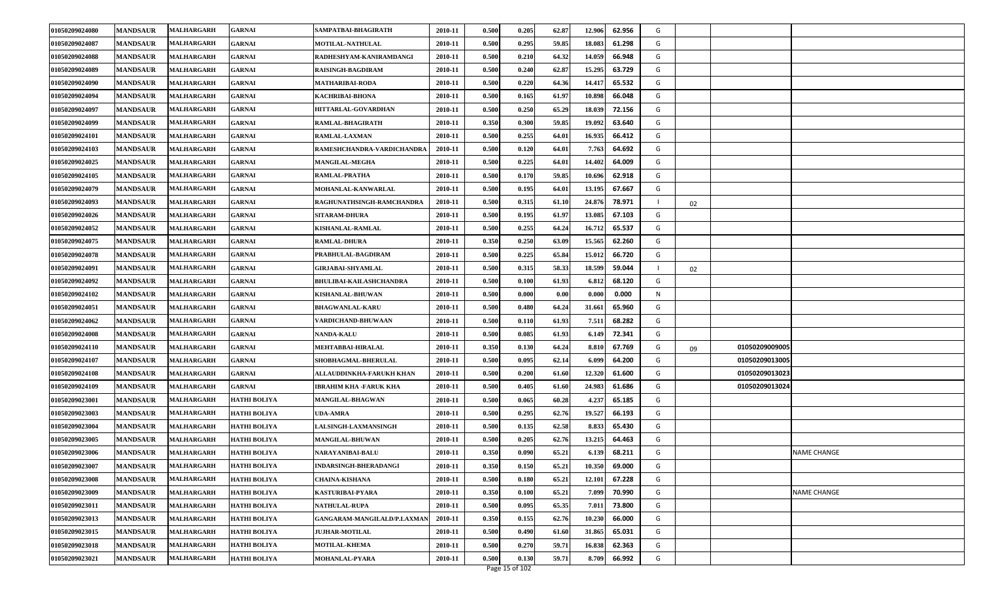| 01050209024080 | <b>MANDSAUR</b> | <b>MALHARGARH</b> | <b>GARNAI</b>       | SAMPATBAI-BHAGIRATH            | 2010-11 | 0.500 | 0.205 | 62.87 | 12.906 | 62.956 | G |    |                |                    |
|----------------|-----------------|-------------------|---------------------|--------------------------------|---------|-------|-------|-------|--------|--------|---|----|----------------|--------------------|
| 01050209024087 | <b>MANDSAUR</b> | <b>MALHARGARH</b> | GARNAI              | MOTILAL-NATHULAL               | 2010-11 | 0.500 | 0.295 | 59.85 | 18.083 | 61.298 | G |    |                |                    |
| 01050209024088 | <b>MANDSAUR</b> | <b>MALHARGARH</b> | <b>GARNAI</b>       | RADHESHYAM-KANIRAMDANGI        | 2010-11 | 0.500 | 0.210 | 64.32 | 14.059 | 66.948 | G |    |                |                    |
| 01050209024089 | <b>MANDSAUR</b> | MALHARGARH        | <b>GARNAI</b>       | RAISINGH-BAGDIRAM              | 2010-11 | 0.500 | 0.240 | 62.87 | 15.295 | 63.729 | G |    |                |                    |
| 01050209024090 | <b>MANDSAUR</b> | <b>MALHARGARH</b> | <b>GARNAI</b>       | <b>MATHARIBAI-RODA</b>         | 2010-11 | 0.500 | 0.220 | 64.36 | 14.41  | 65.532 | G |    |                |                    |
| 01050209024094 | <b>MANDSAUR</b> | <b>MALHARGARH</b> | <b>GARNAI</b>       | <b>KACHRIBAI-BHONA</b>         | 2010-11 | 0.500 | 0.165 | 61.97 | 10.898 | 66.048 | G |    |                |                    |
| 01050209024097 | <b>MANDSAUR</b> | <b>MALHARGARH</b> | <b>GARNAI</b>       | HITTARLAL-GOVARDHAN            | 2010-11 | 0.500 | 0.250 | 65.29 | 18.03  | 72.156 | G |    |                |                    |
| 01050209024099 | <b>MANDSAUR</b> | <b>MALHARGARH</b> | <b>GARNAI</b>       | RAMLAL-BHAGIRATH               | 2010-11 | 0.350 | 0.300 | 59.85 | 19.092 | 63.640 | G |    |                |                    |
| 01050209024101 | <b>MANDSAUR</b> | MALHARGARH        | <b>GARNAI</b>       | RAMLAL-LAXMAN                  | 2010-11 | 0.500 | 0.255 | 64.01 | 16.935 | 66.412 | G |    |                |                    |
| 01050209024103 | <b>MANDSAUR</b> | MALHARGARH        | <b>GARNAI</b>       | RAMESHCHANDRA-VARDICHANDRA     | 2010-11 | 0.500 | 0.120 | 64.01 | 7.763  | 64.692 | G |    |                |                    |
| 01050209024025 | <b>MANDSAUR</b> | <b>MALHARGARH</b> | <b>GARNAI</b>       | MANGILAL-MEGHA                 | 2010-11 | 0.500 | 0.225 | 64.01 | 14.402 | 64.009 | G |    |                |                    |
| 01050209024105 | <b>MANDSAUR</b> | <b>MALHARGARH</b> | <b>GARNAI</b>       | RAMLAL-PRATHA                  | 2010-11 | 0.500 | 0.170 | 59.85 | 10.696 | 62.918 | G |    |                |                    |
| 01050209024079 | <b>MANDSAUR</b> | <b>MALHARGARH</b> | <b>GARNAI</b>       | MOHANLAL-KANWARLAL             | 2010-11 | 0.500 | 0.195 | 64.01 | 13.195 | 67.667 | G |    |                |                    |
| 01050209024093 | <b>MANDSAUR</b> | <b>MALHARGARH</b> | <b>GARNAI</b>       | RAGHUNATHSINGH-RAMCHANDRA      | 2010-11 | 0.500 | 0.315 | 61.10 | 24.876 | 78.971 |   | 02 |                |                    |
| 01050209024026 | <b>MANDSAUR</b> | <b>MALHARGARH</b> | <b>GARNAI</b>       | <b>SITARAM-DHURA</b>           | 2010-11 | 0.500 | 0.195 | 61.97 | 13.085 | 67.103 | G |    |                |                    |
| 01050209024052 | <b>MANDSAUR</b> | <b>MALHARGARH</b> | GARNAI              | KISHANLAL-RAMLAL               | 2010-11 | 0.500 | 0.255 | 64.24 | 16.712 | 65.537 | G |    |                |                    |
| 01050209024075 | <b>MANDSAUR</b> | MALHARGARH        | <b>GARNAI</b>       | <b>RAMLAL-DHURA</b>            | 2010-11 | 0.350 | 0.250 | 63.09 | 15.565 | 62.260 | G |    |                |                    |
| 01050209024078 | <b>MANDSAUR</b> | MALHARGARH        | <b>GARNAI</b>       | PRABHULAL-BAGDIRAM             | 2010-11 | 0.500 | 0.225 | 65.84 | 15.012 | 66.720 | G |    |                |                    |
| 01050209024091 | <b>MANDSAUR</b> | <b>MALHARGARH</b> | <b>GARNAI</b>       | GIRJABAI-SHYAMLAL              | 2010-11 | 0.500 | 0.315 | 58.33 | 18.599 | 59.044 |   | 02 |                |                    |
| 01050209024092 | <b>MANDSAUR</b> | MALHARGARH        | GARNAI              | <b>BHULIBAI-KAILASHCHANDRA</b> | 2010-11 | 0.500 | 0.100 | 61.93 | 6.81   | 68.120 | G |    |                |                    |
| 01050209024102 | <b>MANDSAUR</b> | <b>MALHARGARH</b> | <b>GARNAI</b>       | KISHANLAL-BHUWAN               | 2010-11 | 0.500 | 0.000 | 0.00  | 0.000  | 0.000  | N |    |                |                    |
| 01050209024051 | <b>MANDSAUR</b> | <b>MALHARGARH</b> | <b>GARNAI</b>       | <b>BHAGWANLAL-KARU</b>         | 2010-11 | 0.500 | 0.480 | 64.24 | 31.661 | 65.960 | G |    |                |                    |
| 01050209024062 | <b>MANDSAUR</b> | <b>MALHARGARH</b> | <b>GARNAI</b>       | VARDICHAND-BHUWAAN             | 2010-11 | 0.500 | 0.110 | 61.93 | 7.511  | 68.282 | G |    |                |                    |
| 01050209024008 | <b>MANDSAUR</b> | <b>MALHARGARH</b> | <b>GARNAI</b>       | <b>NANDA-KALU</b>              | 2010-11 | 0.500 | 0.085 | 61.93 | 6.149  | 72.341 | G |    |                |                    |
| 01050209024110 | <b>MANDSAUR</b> | MALHARGARH        | <b>GARNAI</b>       | MEHTABBAI-HIRALAL              | 2010-11 | 0.350 | 0.130 | 64.24 | 8.81   | 67.769 | G | 09 | 01050209009005 |                    |
| 01050209024107 | <b>MANDSAUR</b> | <b>MALHARGARH</b> | <b>GARNAI</b>       | SHOBHAGMAL-BHERULAL            | 2010-11 | 0.500 | 0.095 | 62.14 | 6.099  | 64.200 | G |    | 01050209013005 |                    |
| 01050209024108 | <b>MANDSAUR</b> | <b>MALHARGARH</b> | <b>GARNAI</b>       | ALLAUDDINKHA-FARUKH KHAN       | 2010-11 | 0.500 | 0.200 | 61.60 | 12.320 | 61.600 | G |    | 01050209013023 |                    |
| 01050209024109 | <b>MANDSAUR</b> | <b>MALHARGARH</b> | <b>GARNAI</b>       | IBRAHIM KHA -FARUK KHA         | 2010-11 | 0.500 | 0.405 | 61.60 | 24.983 | 61.686 | G |    | 01050209013024 |                    |
| 01050209023001 | <b>MANDSAUR</b> | <b>MALHARGARH</b> | <b>HATHI BOLIYA</b> | MANGILAL-BHAGWAN               | 2010-11 | 0.500 | 0.065 | 60.28 | 4.237  | 65.185 | G |    |                |                    |
| 01050209023003 | <b>MANDSAUR</b> | <b>MALHARGARH</b> | <b>HATHI BOLIYA</b> | UDA-AMRA                       | 2010-11 | 0.500 | 0.295 | 62.76 | 19.527 | 66.193 | G |    |                |                    |
| 01050209023004 | <b>MANDSAUR</b> | <b>MALHARGARH</b> | <b>HATHI BOLIYA</b> | ALSINGH-LAXMANSINGH            | 2010-11 | 0.500 | 0.135 | 62.58 | 8.833  | 65.430 | G |    |                |                    |
| 01050209023005 | <b>MANDSAUR</b> | <b>MALHARGARH</b> | <b>HATHI BOLIYA</b> | <b>MANGILAL-BHUWAN</b>         | 2010-11 | 0.500 | 0.205 | 62.76 | 13.215 | 64.463 | G |    |                |                    |
| 01050209023006 | <b>MANDSAUR</b> | <b>MALHARGARH</b> | <b>HATHI BOLIYA</b> | NARAYANIBAI-BALU               | 2010-11 | 0.350 | 0.090 | 65.21 | 6.139  | 68.211 | G |    |                | <b>NAME CHANGE</b> |
| 01050209023007 | <b>MANDSAUR</b> | <b>MALHARGARH</b> | <b>HATHI BOLIYA</b> | <b>INDARSINGH-BHERADANGI</b>   | 2010-11 | 0.350 | 0.150 | 65.21 | 10.350 | 69.000 | G |    |                |                    |
| 01050209023008 | <b>MANDSAUR</b> | <b>MALHARGARH</b> | <b>HATHI BOLIYA</b> | <b>CHAINA-KISHANA</b>          | 2010-11 | 0.500 | 0.180 | 65.21 | 12.101 | 67.228 | G |    |                |                    |
| 01050209023009 | <b>MANDSAUR</b> | <b>MALHARGARH</b> | <b>HATHI BOLIYA</b> | KASTURIBAI-PYARA               | 2010-11 | 0.350 | 0.100 | 65.21 | 7.099  | 70.990 | G |    |                | NAME CHANGE        |
| 01050209023011 | <b>MANDSAUR</b> | <b>MALHARGARH</b> | <b>HATHI BOLIYA</b> | <b>NATHULAL-RUPA</b>           | 2010-11 | 0.500 | 0.095 | 65.35 | 7.011  | 73.800 | G |    |                |                    |
| 01050209023013 | <b>MANDSAUR</b> | <b>MALHARGARH</b> | <b>HATHI BOLIYA</b> | GANGARAM-MANGILALD/P.LAXMAN    | 2010-11 | 0.350 | 0.155 | 62.76 | 10.230 | 66.000 | G |    |                |                    |
| 01050209023015 | <b>MANDSAUR</b> | <b>MALHARGARH</b> | <b>HATHI BOLIYA</b> | <b>JUJHAR-MOTILAL</b>          | 2010-11 | 0.500 | 0.490 | 61.60 | 31.865 | 65.031 | G |    |                |                    |
| 01050209023018 | <b>MANDSAUR</b> | <b>MALHARGARH</b> | <b>HATHI BOLIYA</b> | <b>MOTILAL-KHEMA</b>           | 2010-11 | 0.500 | 0.270 | 59.71 | 16.838 | 62.363 | G |    |                |                    |
| 01050209023021 | <b>MANDSAUR</b> | <b>MALHARGARH</b> | <b>HATHI BOLIYA</b> | <b>MOHANLAL-PYARA</b>          | 2010-11 | 0.500 | 0.130 | 59.71 | 8.709  | 66.992 | G |    |                |                    |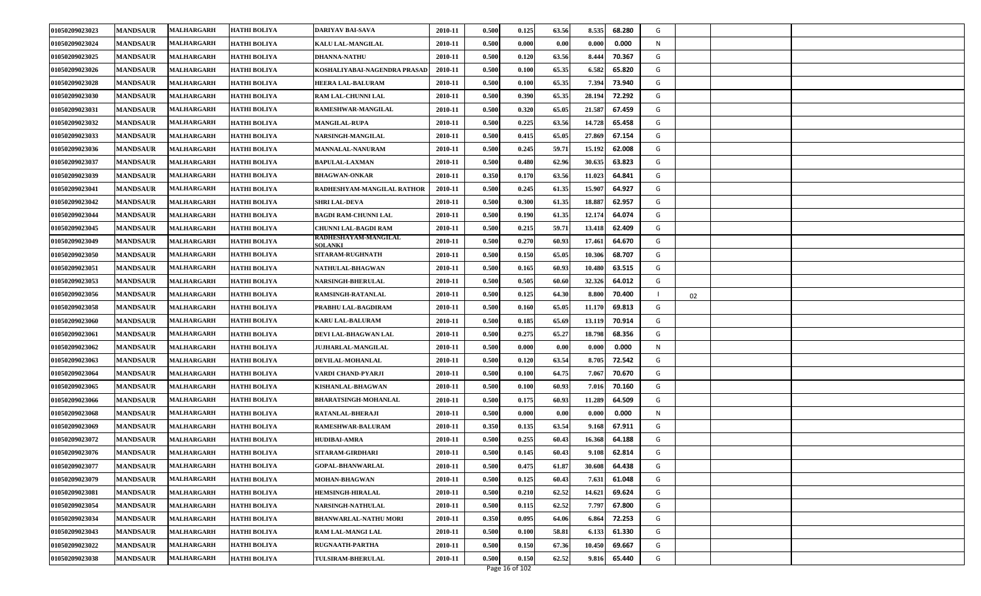| 01050209023023 | <b>MANDSAUR</b> | <b>MALHARGARH</b> | <b>HATHI BOLIYA</b> | DARIYAV BAI-SAVA                       | 2010-11 | 0.500 | 0.125                | 63.56 | 8.535  | 68.280 | G |    |  |
|----------------|-----------------|-------------------|---------------------|----------------------------------------|---------|-------|----------------------|-------|--------|--------|---|----|--|
| 01050209023024 | <b>MANDSAUR</b> | <b>MALHARGARH</b> | <b>HATHI BOLIYA</b> | KALU LAL-MANGILAL                      | 2010-11 | 0.500 | 0.000                | 0.00  | 0.000  | 0.000  | N |    |  |
| 01050209023025 | <b>MANDSAUR</b> | <b>MALHARGARH</b> | <b>HATHI BOLIYA</b> | <b>DHANNA-NATHU</b>                    | 2010-11 | 0.500 | 0.120                | 63.56 | 8.444  | 70.367 | G |    |  |
| 01050209023026 | <b>MANDSAUR</b> | <b>MALHARGARH</b> | <b>HATHI BOLIYA</b> | KOSHALIYABAI-NAGENDRA PRASAD           | 2010-11 | 0.500 | 0.100                | 65.35 | 6.582  | 65.820 | G |    |  |
| 01050209023028 | <b>MANDSAUR</b> | <b>MALHARGARH</b> | <b>HATHI BOLIYA</b> | HEERA LAL-BALURAM                      | 2010-11 | 0.500 | 0.100                | 65.35 | 7.394  | 73.940 | G |    |  |
| 01050209023030 | <b>MANDSAUR</b> | <b>MALHARGARH</b> | <b>HATHI BOLIYA</b> | RAM LAL-CHUNNI LAL                     | 2010-11 | 0.500 | 0.390                | 65.35 | 28.194 | 72.292 | G |    |  |
| 01050209023031 | <b>MANDSAUR</b> | <b>MALHARGARH</b> | <b>HATHI BOLIYA</b> | RAMESHWAR-MANGILAL                     | 2010-11 | 0.500 | 0.320                | 65.05 | 21.587 | 67.459 | G |    |  |
| 01050209023032 | <b>MANDSAUR</b> | <b>MALHARGARH</b> | <b>HATHI BOLIYA</b> | <b>MANGILAL-RUPA</b>                   | 2010-11 | 0.500 | 0.225                | 63.56 | 14.728 | 65.458 | G |    |  |
| 01050209023033 | <b>MANDSAUR</b> | <b>MALHARGARH</b> | <b>HATHI BOLIYA</b> | NARSINGH-MANGILAL                      | 2010-11 | 0.500 | 0.415                | 65.05 | 27.869 | 67.154 | G |    |  |
| 01050209023036 | <b>MANDSAUR</b> | <b>MALHARGARH</b> | <b>HATHI BOLIYA</b> | <b>MANNALAL-NANURAM</b>                | 2010-11 | 0.500 | 0.245                | 59.71 | 15.192 | 62.008 | G |    |  |
| 01050209023037 | <b>MANDSAUR</b> | <b>MALHARGARH</b> | <b>HATHI BOLIYA</b> | <b>BAPULAL-LAXMAN</b>                  | 2010-11 | 0.500 | 0.480                | 62.96 | 30.635 | 63.823 | G |    |  |
| 01050209023039 | <b>MANDSAUR</b> | <b>MALHARGARH</b> | <b>HATHI BOLIYA</b> | <b>BHAGWAN-ONKAR</b>                   | 2010-11 | 0.350 | 0.170                | 63.56 | 11.023 | 64.841 | G |    |  |
| 01050209023041 | <b>MANDSAUR</b> | <b>MALHARGARH</b> | <b>HATHI BOLIYA</b> | RADHESHYAM-MANGILAL RATHOR             | 2010-11 | 0.500 | 0.245                | 61.35 | 15.90  | 64.927 | G |    |  |
| 01050209023042 | <b>MANDSAUR</b> | <b>MALHARGARH</b> | <b>HATHI BOLIYA</b> | <b>SHRI LAL-DEVA</b>                   | 2010-11 | 0.500 | 0.300                | 61.35 | 18.887 | 62.957 | G |    |  |
| 01050209023044 | <b>MANDSAUR</b> | <b>MALHARGARH</b> | <b>HATHI BOLIYA</b> | <b>BAGDI RAM-CHUNNI LAL</b>            | 2010-11 | 0.500 | 0.190                | 61.35 | 12.174 | 64.074 | G |    |  |
| 01050209023045 | <b>MANDSAUR</b> | MALHARGARH        | <b>HATHI BOLIYA</b> | CHUNNI LAL-BAGDI RAM                   | 2010-11 | 0.500 | 0.215                | 59.71 | 13.418 | 62.409 | G |    |  |
| 01050209023049 | <b>MANDSAUR</b> | <b>MALHARGARH</b> | <b>HATHI BOLIYA</b> | RADHESHAYAM-MANGILAL<br><b>SOLANKI</b> | 2010-11 | 0.500 | 0.270                | 60.93 | 17.461 | 64.670 | G |    |  |
| 01050209023050 | <b>MANDSAUR</b> | <b>MALHARGARH</b> | <b>HATHI BOLIYA</b> | <b>SITARAM-RUGHNATH</b>                | 2010-11 | 0.500 | 0.150                | 65.05 | 10.306 | 68.707 | G |    |  |
| 01050209023051 | <b>MANDSAUR</b> | <b>MALHARGARH</b> | <b>HATHI BOLIYA</b> | NATHULAL-BHAGWAN                       | 2010-11 | 0.500 | 0.165                | 60.93 | 10.480 | 63.515 | G |    |  |
| 01050209023053 | <b>MANDSAUR</b> | <b>MALHARGARH</b> | <b>HATHI BOLIYA</b> | NARSINGH-BHERULAL                      | 2010-11 | 0.500 | 0.505                | 60.60 | 32.326 | 64.012 | G |    |  |
| 01050209023056 | <b>MANDSAUR</b> | MALHARGARH        | <b>HATHI BOLIYA</b> | RAMSINGH-RATANLAL                      | 2010-11 | 0.500 | 0.125                | 64.30 | 8.800  | 70.400 |   | 02 |  |
| 01050209023058 | <b>MANDSAUR</b> | <b>MALHARGARH</b> | <b>HATHI BOLIYA</b> | PRABHU LAL-BAGDIRAM                    | 2010-11 | 0.500 | 0.160                | 65.05 | 11.170 | 69.813 | G |    |  |
| 01050209023060 | <b>MANDSAUR</b> | <b>MALHARGARH</b> | <b>HATHI BOLIYA</b> | <b>KARU LAL-BALURAM</b>                | 2010-11 | 0.500 | 0.185                | 65.69 | 13.119 | 70.914 | G |    |  |
| 01050209023061 | <b>MANDSAUR</b> | <b>MALHARGARH</b> | <b>HATHI BOLIYA</b> | DEVI LAL-BHAGWAN LAL                   | 2010-11 | 0.500 | 0.275                | 65.27 | 18.798 | 68.356 | G |    |  |
| 01050209023062 | <b>MANDSAUR</b> | <b>MALHARGARH</b> | <b>HATHI BOLIYA</b> | <b>JUJHARLAL-MANGILAL</b>              | 2010-11 | 0.500 | 0.000                | 0.00  | 0.000  | 0.000  | N |    |  |
| 01050209023063 | <b>MANDSAUR</b> | <b>MALHARGARH</b> | <b>HATHI BOLIYA</b> | DEVILAL-MOHANLAL                       | 2010-11 | 0.500 | 0.120                | 63.54 | 8.705  | 72.542 | G |    |  |
| 01050209023064 | <b>MANDSAUR</b> | <b>MALHARGARH</b> | <b>HATHI BOLIYA</b> | VARDI CHAND-PYARJI                     | 2010-11 | 0.500 | 0.100                | 64.75 | 7.067  | 70.670 | G |    |  |
| 01050209023065 | <b>MANDSAUR</b> | <b>MALHARGARH</b> | <b>HATHI BOLIYA</b> | KISHANLAL-BHAGWAN                      | 2010-11 | 0.500 | 0.100                | 60.93 | 7.016  | 70.160 | G |    |  |
| 01050209023066 | <b>MANDSAUR</b> | <b>MALHARGARH</b> | <b>HATHI BOLIYA</b> | <b>BHARATSINGH-MOHANLAL</b>            | 2010-11 | 0.500 | 0.175                | 60.93 | 11.289 | 64.509 | G |    |  |
| 01050209023068 | <b>MANDSAUR</b> | <b>MALHARGARH</b> | <b>HATHI BOLIYA</b> | RATANLAL-BHERAJI                       | 2010-11 | 0.500 | $\boldsymbol{0.000}$ | 0.00  | 0.000  | 0.000  | N |    |  |
| 01050209023069 | <b>MANDSAUR</b> | <b>MALHARGARH</b> | <b>HATHI BOLIYA</b> | RAMESHWAR-BALURAM                      | 2010-11 | 0.350 | 0.135                | 63.54 | 9.168  | 67.911 | G |    |  |
| 01050209023072 | <b>MANDSAUR</b> | <b>MALHARGARH</b> | <b>HATHI BOLIYA</b> | <b>HUDIBAI-AMRA</b>                    | 2010-11 | 0.500 | 0.255                | 60.43 | 16.36  | 64.188 | G |    |  |
| 01050209023076 | <b>MANDSAUR</b> | <b>MALHARGARH</b> | <b>HATHI BOLIYA</b> | SITARAM-GIRDHARI                       | 2010-11 | 0.500 | 0.145                | 60.43 | 9.108  | 62.814 | G |    |  |
| 01050209023077 | <b>MANDSAUR</b> | MALHARGARH        | <b>HATHI BOLIYA</b> | <b>GOPAL-BHANWARLAL</b>                | 2010-11 | 0.500 | 0.475                | 61.87 | 30.608 | 64.438 | G |    |  |
| 01050209023079 | <b>MANDSAUR</b> | <b>MALHARGARH</b> | <b>HATHI BOLIYA</b> | MOHAN-BHAGWAN                          | 2010-11 | 0.500 | 0.125                | 60.43 | 7.631  | 61.048 | G |    |  |
| 01050209023081 | <b>MANDSAUR</b> | <b>MALHARGARH</b> | <b>HATHI BOLIYA</b> | <b>HEMSINGH-HIRALAL</b>                | 2010-11 | 0.500 | 0.210                | 62.52 | 14.621 | 69.624 | G |    |  |
| 01050209023054 | <b>MANDSAUR</b> | <b>MALHARGARH</b> | <b>HATHI BOLIYA</b> | NARSINGH-NATHULAL                      | 2010-11 | 0.500 | 0.115                | 62.52 | 7.797  | 67.800 | G |    |  |
| 01050209023034 | <b>MANDSAUR</b> | <b>MALHARGARH</b> | <b>HATHI BOLIYA</b> | <b>BHANWARLAL-NATHU MORI</b>           | 2010-11 | 0.350 | 0.095                | 64.06 | 6.864  | 72.253 | G |    |  |
| 01050209023043 | <b>MANDSAUR</b> | <b>MALHARGARH</b> | <b>HATHI BOLIYA</b> | RAM LAL-MANGI LAL                      | 2010-11 | 0.500 | 0.100                | 58.81 | 6.133  | 61.330 | G |    |  |
| 01050209023022 | <b>MANDSAUR</b> | MALHARGARH        | <b>HATHI BOLIYA</b> | RUGNAATH-PARTHA                        | 2010-11 | 0.500 | 0.150                | 67.36 | 10.45  | 69.667 | G |    |  |
| 01050209023038 | <b>MANDSAUR</b> | <b>MALHARGARH</b> | <b>HATHI BOLIYA</b> | <b>TULSIRAM-BHERULAL</b>               | 2010-11 | 0.500 | 0.150                | 62.52 | 9.816  | 65.440 | G |    |  |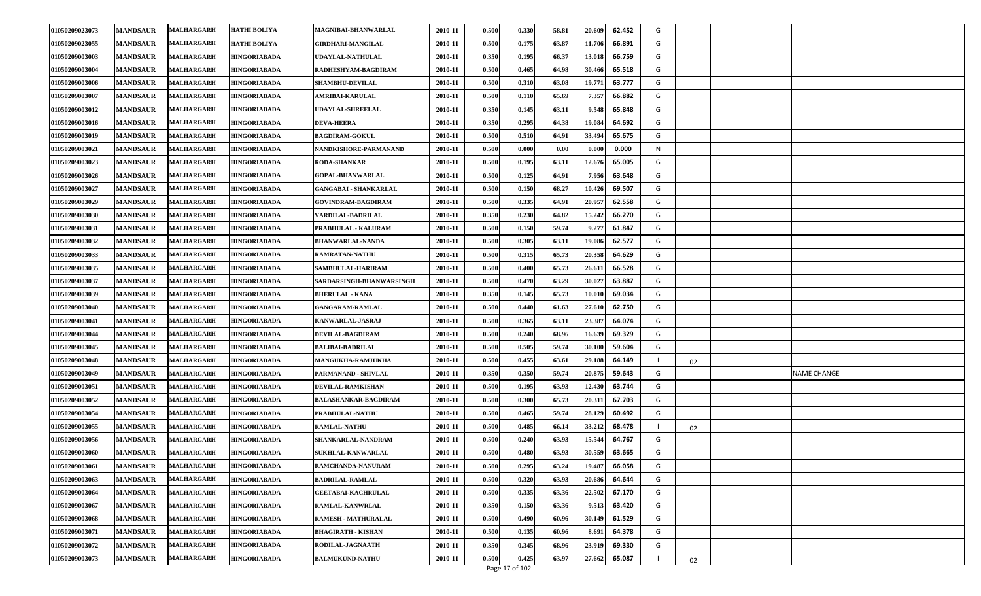| 01050209023073 | <b>MANDSAUR</b> | MALHARGARH        | <b>HATHI BOLIYA</b> | MAGNIBAI-BHANWARLAL          | 2010-11 | 0.500 | 0.330          | 58.81 | 20.609 | 62.452 | G |    |             |
|----------------|-----------------|-------------------|---------------------|------------------------------|---------|-------|----------------|-------|--------|--------|---|----|-------------|
| 01050209023055 | <b>MANDSAUR</b> | <b>MALHARGARH</b> | <b>HATHI BOLIYA</b> | GIRDHARI-MANGILAL            | 2010-11 | 0.500 | 0.175          | 63.87 | 11.706 | 66.891 | G |    |             |
| 01050209003003 | <b>MANDSAUR</b> | MALHARGARH        | <b>HINGORIABADA</b> | <b>UDAYLAL-NATHULAL</b>      | 2010-11 | 0.350 | 0.195          | 66.37 | 13.018 | 66.759 | G |    |             |
| 01050209003004 | <b>MANDSAUR</b> | <b>MALHARGARH</b> | <b>HINGORIABADA</b> | RADHESHYAM-BAGDIRAM          | 2010-11 | 0.500 | 0.465          | 64.98 | 30.466 | 65.518 | G |    |             |
| 01050209003006 | <b>MANDSAUR</b> | MALHARGARH        | <b>HINGORIABADA</b> | <b>SHAMBHU-DEVILAL</b>       | 2010-11 | 0.500 | 0.310          | 63.08 | 19.771 | 63.777 | G |    |             |
| 01050209003007 | <b>MANDSAUR</b> | MALHARGARH        | <b>HINGORIABADA</b> | <b>AMRIBAI-KARULAL</b>       | 2010-11 | 0.500 | 0.110          | 65.69 | 7.357  | 66.882 | G |    |             |
| 01050209003012 | <b>MANDSAUR</b> | <b>MALHARGARH</b> | <b>HINGORIABADA</b> | <b>UDAYLAL-SHREELAL</b>      | 2010-11 | 0.350 | 0.145          | 63.11 | 9.548  | 65.848 | G |    |             |
| 01050209003016 | <b>MANDSAUR</b> | MALHARGARH        | HINGORIABADA        | <b>DEVA-HEERA</b>            | 2010-11 | 0.350 | 0.295          | 64.38 | 19.084 | 64.692 | G |    |             |
| 01050209003019 | <b>MANDSAUR</b> | MALHARGARH        | HINGORIABADA        | <b>BAGDIRAM-GOKUL</b>        | 2010-11 | 0.500 | 0.510          | 64.91 | 33.494 | 65.675 | G |    |             |
| 01050209003021 | <b>MANDSAUR</b> | MALHARGARH        | <b>HINGORIABADA</b> | NANDKISHORE-PARMANAND        | 2010-11 | 0.500 | 0.000          | 0.00  | 0.000  | 0.000  | N |    |             |
| 01050209003023 | <b>MANDSAUR</b> | MALHARGARH        | <b>HINGORIABADA</b> | <b>RODA-SHANKAR</b>          | 2010-11 | 0.500 | 0.195          | 63.11 | 12.676 | 65.005 | G |    |             |
| 01050209003026 | <b>MANDSAUR</b> | <b>MALHARGARH</b> | <b>HINGORIABADA</b> | <b>GOPAL-BHANWARLAL</b>      | 2010-11 | 0.500 | 0.125          | 64.91 | 7.956  | 63.648 | G |    |             |
| 01050209003027 | <b>MANDSAUR</b> | MALHARGARH        | HINGORIABADA        | <b>GANGABAI - SHANKARLAL</b> | 2010-11 | 0.500 | 0.150          | 68.27 | 10.426 | 69.507 | G |    |             |
| 01050209003029 | <b>MANDSAUR</b> | MALHARGARH        | <b>HINGORIABADA</b> | <b>GOVINDRAM-BAGDIRAM</b>    | 2010-11 | 0.500 | 0.335          | 64.91 | 20.957 | 62.558 | G |    |             |
| 01050209003030 | <b>MANDSAUR</b> | <b>MALHARGARH</b> | <b>HINGORIABADA</b> | VARDILAL-BADRILAL            | 2010-11 | 0.350 | 0.230          | 64.82 | 15.242 | 66.270 | G |    |             |
| 01050209003031 | <b>MANDSAUR</b> | MALHARGARH        | HINGORIABADA        | PRABHULAL - KALURAM          | 2010-11 | 0.500 | 0.150          | 59.74 | 9.277  | 61.847 | G |    |             |
| 01050209003032 | <b>MANDSAUR</b> | MALHARGARH        | <b>HINGORIABADA</b> | <b>BHANWARLAL-NANDA</b>      | 2010-11 | 0.500 | 0.305          | 63.11 | 19.086 | 62.577 | G |    |             |
| 01050209003033 | <b>MANDSAUR</b> | MALHARGARH        | <b>HINGORIABADA</b> | <b>RAMRATAN-NATHU</b>        | 2010-11 | 0.500 | 0.315          | 65.73 | 20.358 | 64.629 | G |    |             |
| 01050209003035 | <b>MANDSAUR</b> | MALHARGARH        | <b>HINGORIABADA</b> | <b>SAMBHULAL-HARIRAM</b>     | 2010-11 | 0.500 | 0.400          | 65.73 | 26.611 | 66.528 | G |    |             |
| 01050209003037 | <b>MANDSAUR</b> | <b>MALHARGARH</b> | <b>HINGORIABADA</b> | SARDARSINGH-BHANWARSINGH     | 2010-11 | 0.500 | 0.470          | 63.29 | 30.027 | 63.887 | G |    |             |
| 01050209003039 | <b>MANDSAUR</b> | <b>MALHARGARH</b> | <b>HINGORIABADA</b> | <b>BHERULAL - KANA</b>       | 2010-11 | 0.350 | 0.145          | 65.73 | 10.010 | 69.034 | G |    |             |
| 01050209003040 | <b>MANDSAUR</b> | <b>MALHARGARH</b> | <b>HINGORIABADA</b> | <b>GANGARAM-RAMLAL</b>       | 2010-11 | 0.500 | 0.440          | 61.63 | 27.610 | 62.750 | G |    |             |
| 01050209003041 | <b>MANDSAUR</b> | MALHARGARH        | <b>HINGORIABADA</b> | KANWARLAL-JASRAJ             | 2010-11 | 0.500 | 0.365          | 63.11 | 23.387 | 64.074 | G |    |             |
| 01050209003044 | <b>MANDSAUR</b> | MALHARGARH        | <b>HINGORIABADA</b> | DEVILAL-BAGDIRAM             | 2010-11 | 0.500 | 0.240          | 68.96 | 16.639 | 69.329 | G |    |             |
| 01050209003045 | <b>MANDSAUR</b> | MALHARGARH        | <b>HINGORIABADA</b> | <b>BALIBAI-BADRILAL</b>      | 2010-11 | 0.500 | 0.505          | 59.74 | 30.100 | 59.604 | G |    |             |
| 01050209003048 | <b>MANDSAUR</b> | MALHARGARH        | <b>HINGORIABADA</b> | <b>MANGUKHA-RAMJUKHA</b>     | 2010-11 | 0.500 | 0.455          | 63.61 | 29.188 | 64.149 |   | 02 |             |
| 01050209003049 | <b>MANDSAUR</b> | MALHARGARH        | <b>HINGORIABADA</b> | PARMANAND - SHIVLAL          | 2010-11 | 0.350 | 0.350          | 59.74 | 20.875 | 59.643 | G |    | NAME CHANGE |
| 01050209003051 | <b>MANDSAUR</b> | MALHARGARH        | <b>HINGORIABADA</b> | DEVILAL-RAMKISHAN            | 2010-11 | 0.500 | 0.195          | 63.93 | 12.430 | 63.744 | G |    |             |
| 01050209003052 | <b>MANDSAUR</b> | <b>MALHARGARH</b> | <b>HINGORIABADA</b> | <b>BALASHANKAR-BAGDIRAM</b>  | 2010-11 | 0.500 | 0.300          | 65.73 | 20.31  | 67.703 | G |    |             |
| 01050209003054 | <b>MANDSAUR</b> | MALHARGARH        | <b>HINGORIABADA</b> | <b>PRABHULAL-NATHU</b>       | 2010-11 | 0.500 | 0.465          | 59.74 | 28.129 | 60.492 | G |    |             |
| 01050209003055 | <b>MANDSAUR</b> | MALHARGARH        | <b>HINGORIABADA</b> | <b>RAMLAL-NATHU</b>          | 2010-11 | 0.500 | 0.485          | 66.14 | 33.212 | 68.478 |   | 02 |             |
| 01050209003056 | <b>MANDSAUR</b> | MALHARGARH        | HINGORIABADA        | SHANKARLAL-NANDRAM           | 2010-11 | 0.500 | 0.240          | 63.93 | 15.544 | 64.767 | G |    |             |
| 01050209003060 | <b>MANDSAUR</b> | <b>MALHARGARH</b> | <b>HINGORIABADA</b> | <b>SUKHLAL-KANWARLAL</b>     | 2010-11 | 0.500 | 0.480          | 63.93 | 30.559 | 63.665 | G |    |             |
| 01050209003061 | <b>MANDSAUR</b> | <b>MALHARGARH</b> | <b>HINGORIABADA</b> | RAMCHANDA-NANURAM            | 2010-11 | 0.500 | 0.295          | 63.24 | 19.487 | 66.058 | G |    |             |
| 01050209003063 | <b>MANDSAUR</b> | MALHARGARH        | <b>HINGORIABADA</b> | <b>BADRILAL-RAMLAL</b>       | 2010-11 | 0.500 | 0.320          | 63.93 | 20.686 | 64.644 | G |    |             |
| 01050209003064 | <b>MANDSAUR</b> | MALHARGARH        | <b>HINGORIABADA</b> | GEETABAI-KACHRULAL           | 2010-11 | 0.500 | 0.335          | 63.36 | 22.502 | 67.170 | G |    |             |
| 01050209003067 | <b>MANDSAUR</b> | MALHARGARH        | <b>HINGORIABADA</b> | RAMLAL-KANWRLAL              | 2010-11 | 0.350 | 0.150          | 63.36 | 9.513  | 63.420 | G |    |             |
| 01050209003068 | <b>MANDSAUR</b> | <b>MALHARGARH</b> | <b>HINGORIABADA</b> | <b>RAMESH - MATHURALAL</b>   | 2010-11 | 0.500 | 0.490          | 60.96 | 30.149 | 61.529 | G |    |             |
| 01050209003071 | <b>MANDSAUR</b> | MALHARGARH        | HINGORIABADA        | <b>BHAGIRATH - KISHAN</b>    | 2010-11 | 0.500 | 0.135          | 60.96 | 8.691  | 64.378 | G |    |             |
| 01050209003072 | <b>MANDSAUR</b> | <b>MALHARGARH</b> | <b>HINGORIABADA</b> | RODILAL-JAGNAATH             | 2010-11 | 0.350 | 0.345          | 68.96 | 23.919 | 69.330 | G |    |             |
| 01050209003073 | <b>MANDSAUR</b> | MALHARGARH        | <b>HINGORIABADA</b> | <b>BALMUKUND-NATHU</b>       | 2010-11 | 0.500 | 0.425          | 63.97 | 27.662 | 65.087 |   | 02 |             |
|                |                 |                   |                     |                              |         |       | Page 17 of 102 |       |        |        |   |    |             |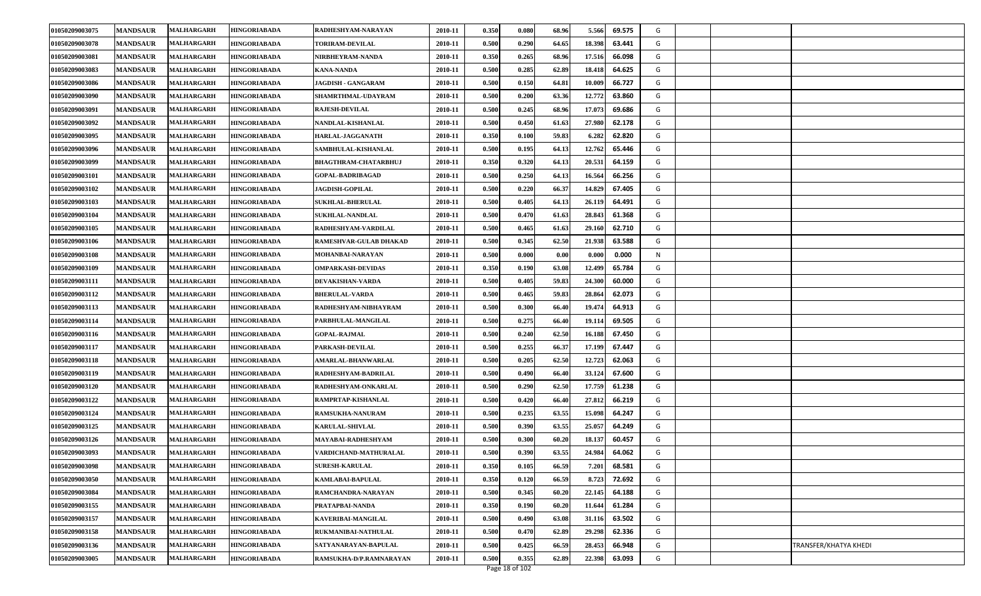| 01050209003078<br><b>MANDSAUR</b><br>MALHARGARH<br>0.500<br>0.290<br>18.398<br><b>HINGORIABADA</b><br><b>TORIRAM-DEVILAL</b><br>2010-11<br>64.65<br>63.441<br>G<br><b>MANDSAUR</b><br><b>MALHARGARH</b><br>0.350<br>68.96<br>17.516<br>66.098<br>G<br>01050209003081<br>2010-11<br>0.265<br><b>HINGORIABADA</b><br>NIRBHEYRAM-NANDA<br>0.500<br>0.285<br>01050209003083<br><b>MANDSAUR</b><br>MALHARGARH<br>2010-11<br>62.89<br>18.418<br>64.625<br>G<br>HINGORIABADA<br><b>KANA-NANDA</b><br>01050209003086<br>0.500<br>0.150<br>66.727<br>G<br><b>MANDSAUR</b><br>2010-11<br>64.81<br>10.009<br>MALHARGARH<br>HINGORIABADA<br>JAGDISH - GANGARAM<br>01050209003090<br>12.772<br>G<br><b>MANDSAUR</b><br>2010-11<br>0.500<br>0.200<br>63.36<br>63.860<br><b>MALHARGARH</b><br><b>HINGORIABADA</b><br>SHAMRTHMAL-UDAYRAM<br>MALHARGARH<br><b>HINGORIABADA</b><br><b>RAJESH-DEVILAL</b><br>0.500<br>0.245<br>68.96<br>17.073<br>69.686<br>01050209003091<br><b>MANDSAUR</b><br>2010-11<br>G<br>G<br>01050209003092<br><b>MANDSAUR</b><br>MALHARGARH<br>HINGORIABADA<br>NANDLAL-KISHANLAL<br>2010-11<br>0.500<br>0.450<br>61.63<br>27.980<br>62.178<br>01050209003095<br>MALHARGARH<br>0.350<br>0.100<br>59.83<br>6.282<br>62.820<br>G<br><b>MANDSAUR</b><br>2010-11<br><b>HINGORIABADA</b><br>HARLAL-JAGGANATH<br>G<br>01050209003096<br><b>MANDSAUR</b><br><b>MALHARGARH</b><br>0.500<br>0.195<br>64.13<br>12.762<br>65.446<br><b>HINGORIABADA</b><br>SAMBHULAL-KISHANLAL<br>2010-11<br>0.350<br>20.531<br>01050209003099<br><b>MANDSAUR</b><br>0.320<br>64.13<br>64.159<br>G<br>MALHARGARH<br><b>HINGORIABADA</b><br><b>BHAGTHRAM-CHATARBHUJ</b><br>2010-11<br>0.500<br>0.250<br>66.256<br>G<br>01050209003101<br><b>MANDSAUR</b><br>MALHARGARH<br>2010-11<br>64.13<br>16.564<br><b>HINGORIABADA</b><br>GOPAL-BADRIBAGAD<br>0.220<br>66.37<br>14.829<br>01050209003102<br><b>MANDSAUR</b><br>MALHARGARH<br><b>HINGORIABADA</b><br><b>JAGDISH-GOPILAL</b><br>2010-11<br>0.500<br>67.405<br>G<br>01050209003103<br><b>MANDSAUR</b><br>MALHARGARH<br><b>HINGORIABADA</b><br><b>SUKHLAL-BHERULAL</b><br>2010-11<br>0.500<br>0.405<br>64.13<br>26.119<br>64.491<br>G<br>0.500<br>0.470<br>28.843<br>61.368<br>G<br>01050209003104<br><b>MANDSAUR</b><br>MALHARGARH<br>2010-11<br>61.63<br><b>HINGORIABADA</b><br><b>SUKHLAL-NANDLAL</b><br>G<br>01050209003105<br><b>MANDSAUR</b><br><b>MALHARGARH</b><br>2010-11<br>0.500<br>0.465<br>61.63<br>29.160<br>62.710<br><b>HINGORIABADA</b><br>RADHESHYAM-VARDILAL<br>0.345<br>62.50<br>01050209003106<br><b>MANDSAUR</b><br>2010-11<br>0.500<br>21.938<br>63.588<br>G<br>MALHARGARH<br><b>HINGORIABADA</b><br>RAMESHVAR-GULAB DHAKAD<br>01050209003108<br><b>MANDSAUR</b><br>2010-11<br>0.500<br>0.000<br>0.00<br>0.000<br>0.000<br>N<br>MALHARGARH<br><b>HINGORIABADA</b><br>MOHANBAI-NARAYAN<br>0.350<br>01050209003109<br><b>MANDSAUR</b><br>MALHARGARH<br><b>HINGORIABADA</b><br><b>OMPARKASH-DEVIDAS</b><br>2010-11<br>0.190<br>63.08<br>12.499<br>65.784<br>G<br>01050209003111<br><b>MANDSAUR</b><br>MALHARGARH<br>2010-11<br>0.500<br>0.405<br>59.83<br>24.300<br>60.000<br>G<br><b>HINGORIABADA</b><br>DEVAKISHAN-VARDA<br>59.83<br>62.073<br>01050209003112<br><b>MANDSAUR</b><br><b>MALHARGARH</b><br>2010-11<br>0.500<br>0.465<br>28.864<br>G<br><b>HINGORIABADA</b><br><b>BHERULAL-VARDA</b><br>01050209003113<br><b>MANDSAUR</b><br>2010-11<br>0.500<br>0.300<br>66.40<br>19.474<br>64.913<br>G<br><b>MALHARGARH</b><br><b>HINGORIABADA</b><br>RADHESHYAM-NIBHAYRAM<br>0.500<br>01050209003114<br><b>MANDSAUR</b><br>2010-11<br>0.275<br>66.40<br>19.114<br>69.505<br>G<br><b>MALHARGARH</b><br>HINGORIABADA<br>PARBHULAL-MANGILAL<br>0.500<br>0.240<br>62.50<br>G<br>01050209003116<br><b>MANDSAUR</b><br>MALHARGARH<br>2010-11<br>16.188<br>67.450<br><b>HINGORIABADA</b><br><b>GOPAL-RAJMAL</b><br>01050209003117<br><b>MANDSAUR</b><br>PARKASH-DEVILAL<br>0.255<br>66.37<br>17.199<br>67.447<br>G<br>MALHARGARH<br><b>HINGORIABADA</b><br>2010-11<br>0.500<br>0.205<br>62.50<br>12.723<br>62.063<br>G<br>01050209003118<br><b>MANDSAUR</b><br><b>MALHARGARH</b><br><b>HINGORIABADA</b><br>AMARLAL-BHANWARLAL<br>2010-11<br>0.500<br>0.500<br>01050209003119<br><b>MANDSAUR</b><br>MALHARGARH<br>0.490<br>33.124<br>67.600<br>G<br>RADHESHYAM-BADRILAL<br>2010-11<br>66.40<br><b>HINGORIABADA</b><br>01050209003120<br>0.500<br>62.50<br>17.759<br><b>MANDSAUR</b><br>2010-11<br>0.290<br>61.238<br>G<br>MALHARGARH<br>HINGORIABADA<br>RADHESHYAM-ONKARLAL<br>01050209003122<br>0.500<br>27.812<br>G<br><b>MANDSAUR</b><br>2010-11<br>0.420<br>66.40<br>66.219<br>MALHARGARH<br><b>HINGORIABADA</b><br>RAMPRTAP-KISHANLAL<br>0.235<br><b>MALHARGARH</b><br><b>HINGORIABADA</b><br>RAMSUKHA-NANURAM<br>0.500<br>63.55<br>15.098<br>64.247<br>G<br>01050209003124<br><b>MANDSAUR</b><br>2010-11<br>25.057<br>G<br>01050209003125<br><b>MANDSAUR</b><br><b>MALHARGARH</b><br><b>HINGORIABADA</b><br><b>KARULAL-SHIVLAL</b><br>2010-11<br>0.500<br>0.390<br>63.55<br>64.249<br>60.457<br>01050209003126<br><b>MANDSAUR</b><br><b>MALHARGARH</b><br>2010-11<br>0.500<br>0.300<br>60.20<br>18.137<br>G<br><b>HINGORIABADA</b><br>MAYABAI-RADHESHYAM<br>01050209003093<br>0.500<br>0.390<br>63.55<br>64.062<br>G<br><b>MANDSAUR</b><br><b>MALHARGARH</b><br>2010-11<br>24.984<br><b>HINGORIABADA</b><br>VARDICHAND-MATHURALAL<br>0.350<br>01050209003098<br><b>MANDSAUR</b><br>2010-11<br>0.105<br>66.59<br>68.581<br>G<br><b>MALHARGARH</b><br><b>HINGORIABADA</b><br><b>SURESH-KARULAL</b><br>7.201<br>0.350<br>01050209003050<br>2010-11<br>0.120<br>66.59<br>8.723<br>72.692<br>G<br><b>MANDSAUR</b><br>MALHARGARH<br><b>HINGORIABADA</b><br>KAMLABAI-BAPULAL<br>0.345<br>G<br>01050209003084<br><b>MANDSAUR</b><br><b>MALHARGARH</b><br><b>HINGORIABADA</b><br>RAMCHANDRA-NARAYAN<br>2010-11<br>0.500<br>60.20<br>22.145<br>64.188<br>G<br>01050209003155<br>0.350<br>0.190<br>60.20<br><b>MANDSAUR</b><br>MALHARGARH<br><b>HINGORIABADA</b><br>PRATAPBAI-NANDA<br>2010-11<br>11.644<br>61.284<br><b>MALHARGARH</b><br>0.500<br>0.490<br>63.502<br>G<br>01050209003157<br><b>MANDSAUR</b><br><b>HINGORIABADA</b><br>KAVERIBAI-MANGILAL<br>2010-11<br>63.08<br>31.116<br>G<br>01050209003158<br><b>MANDSAUR</b><br><b>MALHARGARH</b><br>RUKMANIBAI-NATHULAL<br>2010-11<br>0.500<br>0.470<br>62.89<br>29.298<br>62.336<br><b>HINGORIABADA</b><br>01050209003136<br>0.500<br>0.425<br>66.59<br>28.453<br>66.948<br>G<br>TRANSFER/KHATYA KHEDI<br><b>MANDSAUR</b><br><b>MALHARGARH</b><br><b>HINGORIABADA</b><br>SATYANARAYAN-BAPULAL<br>2010-11<br>01050209003005<br>2010-11<br>0.500<br>0.355<br>62.89<br>G<br><b>MANDSAUR</b><br><b>MALHARGARH</b><br><b>HINGORIABADA</b><br>RAMSUKHA-D/P.RAMNARAYAN<br>22.398<br>63.093<br>Page 18 of 102 | 01050209003075 | <b>MANDSAUR</b> | <b>MALHARGARH</b> | <b>HINGORIABADA</b> | RADHESHYAM-NARAYAN | 2010-11 | 0.350 | 0.080 | 68.96 | 5.566 | 69.575 | G |  |
|---------------------------------------------------------------------------------------------------------------------------------------------------------------------------------------------------------------------------------------------------------------------------------------------------------------------------------------------------------------------------------------------------------------------------------------------------------------------------------------------------------------------------------------------------------------------------------------------------------------------------------------------------------------------------------------------------------------------------------------------------------------------------------------------------------------------------------------------------------------------------------------------------------------------------------------------------------------------------------------------------------------------------------------------------------------------------------------------------------------------------------------------------------------------------------------------------------------------------------------------------------------------------------------------------------------------------------------------------------------------------------------------------------------------------------------------------------------------------------------------------------------------------------------------------------------------------------------------------------------------------------------------------------------------------------------------------------------------------------------------------------------------------------------------------------------------------------------------------------------------------------------------------------------------------------------------------------------------------------------------------------------------------------------------------------------------------------------------------------------------------------------------------------------------------------------------------------------------------------------------------------------------------------------------------------------------------------------------------------------------------------------------------------------------------------------------------------------------------------------------------------------------------------------------------------------------------------------------------------------------------------------------------------------------------------------------------------------------------------------------------------------------------------------------------------------------------------------------------------------------------------------------------------------------------------------------------------------------------------------------------------------------------------------------------------------------------------------------------------------------------------------------------------------------------------------------------------------------------------------------------------------------------------------------------------------------------------------------------------------------------------------------------------------------------------------------------------------------------------------------------------------------------------------------------------------------------------------------------------------------------------------------------------------------------------------------------------------------------------------------------------------------------------------------------------------------------------------------------------------------------------------------------------------------------------------------------------------------------------------------------------------------------------------------------------------------------------------------------------------------------------------------------------------------------------------------------------------------------------------------------------------------------------------------------------------------------------------------------------------------------------------------------------------------------------------------------------------------------------------------------------------------------------------------------------------------------------------------------------------------------------------------------------------------------------------------------------------------------------------------------------------------------------------------------------------------------------------------------------------------------------------------------------------------------------------------------------------------------------------------------------------------------------------------------------------------------------------------------------------------------------------------------------------------------------------------------------------------------------------------------------------------------------------------------------------------------------------------------------------------------------------------------------------------------------------------------------------------------------------------------------------------------------------------------------------------------------------------------------------------------------------------------------------------------------------------------------------------------------------------------------------------------------------------------------------------------------------------------------------------------------------------------------------------------------------------------------------------------------------------------------------------------------------------------------------------------------------------------------------------------------------------------------------------------------------------------------------------------------------------------------------------------------------------------------------------------------------------------------------------------------------------------------------------------------------------------------------------------------------------------------------------------------------------------------------------------------------------------------------------------------------------------------------------------------------------------------------------------------------------------------------------------------------------------|----------------|-----------------|-------------------|---------------------|--------------------|---------|-------|-------|-------|-------|--------|---|--|
|                                                                                                                                                                                                                                                                                                                                                                                                                                                                                                                                                                                                                                                                                                                                                                                                                                                                                                                                                                                                                                                                                                                                                                                                                                                                                                                                                                                                                                                                                                                                                                                                                                                                                                                                                                                                                                                                                                                                                                                                                                                                                                                                                                                                                                                                                                                                                                                                                                                                                                                                                                                                                                                                                                                                                                                                                                                                                                                                                                                                                                                                                                                                                                                                                                                                                                                                                                                                                                                                                                                                                                                                                                                                                                                                                                                                                                                                                                                                                                                                                                                                                                                                                                                                                                                                                                                                                                                                                                                                                                                                                                                                                                                                                                                                                                                                                                                                                                                                                                                                                                                                                                                                                                                                                                                                                                                                                                                                                                                                                                                                                                                                                                                                                                                                                                                                                                                                                                                                                                                                                                                                                                                                                                                                                                                                                                                                                                                                                                                                                                                                                                                                                                                                                                                                                                                                   |                |                 |                   |                     |                    |         |       |       |       |       |        |   |  |
|                                                                                                                                                                                                                                                                                                                                                                                                                                                                                                                                                                                                                                                                                                                                                                                                                                                                                                                                                                                                                                                                                                                                                                                                                                                                                                                                                                                                                                                                                                                                                                                                                                                                                                                                                                                                                                                                                                                                                                                                                                                                                                                                                                                                                                                                                                                                                                                                                                                                                                                                                                                                                                                                                                                                                                                                                                                                                                                                                                                                                                                                                                                                                                                                                                                                                                                                                                                                                                                                                                                                                                                                                                                                                                                                                                                                                                                                                                                                                                                                                                                                                                                                                                                                                                                                                                                                                                                                                                                                                                                                                                                                                                                                                                                                                                                                                                                                                                                                                                                                                                                                                                                                                                                                                                                                                                                                                                                                                                                                                                                                                                                                                                                                                                                                                                                                                                                                                                                                                                                                                                                                                                                                                                                                                                                                                                                                                                                                                                                                                                                                                                                                                                                                                                                                                                                                   |                |                 |                   |                     |                    |         |       |       |       |       |        |   |  |
|                                                                                                                                                                                                                                                                                                                                                                                                                                                                                                                                                                                                                                                                                                                                                                                                                                                                                                                                                                                                                                                                                                                                                                                                                                                                                                                                                                                                                                                                                                                                                                                                                                                                                                                                                                                                                                                                                                                                                                                                                                                                                                                                                                                                                                                                                                                                                                                                                                                                                                                                                                                                                                                                                                                                                                                                                                                                                                                                                                                                                                                                                                                                                                                                                                                                                                                                                                                                                                                                                                                                                                                                                                                                                                                                                                                                                                                                                                                                                                                                                                                                                                                                                                                                                                                                                                                                                                                                                                                                                                                                                                                                                                                                                                                                                                                                                                                                                                                                                                                                                                                                                                                                                                                                                                                                                                                                                                                                                                                                                                                                                                                                                                                                                                                                                                                                                                                                                                                                                                                                                                                                                                                                                                                                                                                                                                                                                                                                                                                                                                                                                                                                                                                                                                                                                                                                   |                |                 |                   |                     |                    |         |       |       |       |       |        |   |  |
|                                                                                                                                                                                                                                                                                                                                                                                                                                                                                                                                                                                                                                                                                                                                                                                                                                                                                                                                                                                                                                                                                                                                                                                                                                                                                                                                                                                                                                                                                                                                                                                                                                                                                                                                                                                                                                                                                                                                                                                                                                                                                                                                                                                                                                                                                                                                                                                                                                                                                                                                                                                                                                                                                                                                                                                                                                                                                                                                                                                                                                                                                                                                                                                                                                                                                                                                                                                                                                                                                                                                                                                                                                                                                                                                                                                                                                                                                                                                                                                                                                                                                                                                                                                                                                                                                                                                                                                                                                                                                                                                                                                                                                                                                                                                                                                                                                                                                                                                                                                                                                                                                                                                                                                                                                                                                                                                                                                                                                                                                                                                                                                                                                                                                                                                                                                                                                                                                                                                                                                                                                                                                                                                                                                                                                                                                                                                                                                                                                                                                                                                                                                                                                                                                                                                                                                                   |                |                 |                   |                     |                    |         |       |       |       |       |        |   |  |
|                                                                                                                                                                                                                                                                                                                                                                                                                                                                                                                                                                                                                                                                                                                                                                                                                                                                                                                                                                                                                                                                                                                                                                                                                                                                                                                                                                                                                                                                                                                                                                                                                                                                                                                                                                                                                                                                                                                                                                                                                                                                                                                                                                                                                                                                                                                                                                                                                                                                                                                                                                                                                                                                                                                                                                                                                                                                                                                                                                                                                                                                                                                                                                                                                                                                                                                                                                                                                                                                                                                                                                                                                                                                                                                                                                                                                                                                                                                                                                                                                                                                                                                                                                                                                                                                                                                                                                                                                                                                                                                                                                                                                                                                                                                                                                                                                                                                                                                                                                                                                                                                                                                                                                                                                                                                                                                                                                                                                                                                                                                                                                                                                                                                                                                                                                                                                                                                                                                                                                                                                                                                                                                                                                                                                                                                                                                                                                                                                                                                                                                                                                                                                                                                                                                                                                                                   |                |                 |                   |                     |                    |         |       |       |       |       |        |   |  |
|                                                                                                                                                                                                                                                                                                                                                                                                                                                                                                                                                                                                                                                                                                                                                                                                                                                                                                                                                                                                                                                                                                                                                                                                                                                                                                                                                                                                                                                                                                                                                                                                                                                                                                                                                                                                                                                                                                                                                                                                                                                                                                                                                                                                                                                                                                                                                                                                                                                                                                                                                                                                                                                                                                                                                                                                                                                                                                                                                                                                                                                                                                                                                                                                                                                                                                                                                                                                                                                                                                                                                                                                                                                                                                                                                                                                                                                                                                                                                                                                                                                                                                                                                                                                                                                                                                                                                                                                                                                                                                                                                                                                                                                                                                                                                                                                                                                                                                                                                                                                                                                                                                                                                                                                                                                                                                                                                                                                                                                                                                                                                                                                                                                                                                                                                                                                                                                                                                                                                                                                                                                                                                                                                                                                                                                                                                                                                                                                                                                                                                                                                                                                                                                                                                                                                                                                   |                |                 |                   |                     |                    |         |       |       |       |       |        |   |  |
|                                                                                                                                                                                                                                                                                                                                                                                                                                                                                                                                                                                                                                                                                                                                                                                                                                                                                                                                                                                                                                                                                                                                                                                                                                                                                                                                                                                                                                                                                                                                                                                                                                                                                                                                                                                                                                                                                                                                                                                                                                                                                                                                                                                                                                                                                                                                                                                                                                                                                                                                                                                                                                                                                                                                                                                                                                                                                                                                                                                                                                                                                                                                                                                                                                                                                                                                                                                                                                                                                                                                                                                                                                                                                                                                                                                                                                                                                                                                                                                                                                                                                                                                                                                                                                                                                                                                                                                                                                                                                                                                                                                                                                                                                                                                                                                                                                                                                                                                                                                                                                                                                                                                                                                                                                                                                                                                                                                                                                                                                                                                                                                                                                                                                                                                                                                                                                                                                                                                                                                                                                                                                                                                                                                                                                                                                                                                                                                                                                                                                                                                                                                                                                                                                                                                                                                                   |                |                 |                   |                     |                    |         |       |       |       |       |        |   |  |
|                                                                                                                                                                                                                                                                                                                                                                                                                                                                                                                                                                                                                                                                                                                                                                                                                                                                                                                                                                                                                                                                                                                                                                                                                                                                                                                                                                                                                                                                                                                                                                                                                                                                                                                                                                                                                                                                                                                                                                                                                                                                                                                                                                                                                                                                                                                                                                                                                                                                                                                                                                                                                                                                                                                                                                                                                                                                                                                                                                                                                                                                                                                                                                                                                                                                                                                                                                                                                                                                                                                                                                                                                                                                                                                                                                                                                                                                                                                                                                                                                                                                                                                                                                                                                                                                                                                                                                                                                                                                                                                                                                                                                                                                                                                                                                                                                                                                                                                                                                                                                                                                                                                                                                                                                                                                                                                                                                                                                                                                                                                                                                                                                                                                                                                                                                                                                                                                                                                                                                                                                                                                                                                                                                                                                                                                                                                                                                                                                                                                                                                                                                                                                                                                                                                                                                                                   |                |                 |                   |                     |                    |         |       |       |       |       |        |   |  |
|                                                                                                                                                                                                                                                                                                                                                                                                                                                                                                                                                                                                                                                                                                                                                                                                                                                                                                                                                                                                                                                                                                                                                                                                                                                                                                                                                                                                                                                                                                                                                                                                                                                                                                                                                                                                                                                                                                                                                                                                                                                                                                                                                                                                                                                                                                                                                                                                                                                                                                                                                                                                                                                                                                                                                                                                                                                                                                                                                                                                                                                                                                                                                                                                                                                                                                                                                                                                                                                                                                                                                                                                                                                                                                                                                                                                                                                                                                                                                                                                                                                                                                                                                                                                                                                                                                                                                                                                                                                                                                                                                                                                                                                                                                                                                                                                                                                                                                                                                                                                                                                                                                                                                                                                                                                                                                                                                                                                                                                                                                                                                                                                                                                                                                                                                                                                                                                                                                                                                                                                                                                                                                                                                                                                                                                                                                                                                                                                                                                                                                                                                                                                                                                                                                                                                                                                   |                |                 |                   |                     |                    |         |       |       |       |       |        |   |  |
|                                                                                                                                                                                                                                                                                                                                                                                                                                                                                                                                                                                                                                                                                                                                                                                                                                                                                                                                                                                                                                                                                                                                                                                                                                                                                                                                                                                                                                                                                                                                                                                                                                                                                                                                                                                                                                                                                                                                                                                                                                                                                                                                                                                                                                                                                                                                                                                                                                                                                                                                                                                                                                                                                                                                                                                                                                                                                                                                                                                                                                                                                                                                                                                                                                                                                                                                                                                                                                                                                                                                                                                                                                                                                                                                                                                                                                                                                                                                                                                                                                                                                                                                                                                                                                                                                                                                                                                                                                                                                                                                                                                                                                                                                                                                                                                                                                                                                                                                                                                                                                                                                                                                                                                                                                                                                                                                                                                                                                                                                                                                                                                                                                                                                                                                                                                                                                                                                                                                                                                                                                                                                                                                                                                                                                                                                                                                                                                                                                                                                                                                                                                                                                                                                                                                                                                                   |                |                 |                   |                     |                    |         |       |       |       |       |        |   |  |
|                                                                                                                                                                                                                                                                                                                                                                                                                                                                                                                                                                                                                                                                                                                                                                                                                                                                                                                                                                                                                                                                                                                                                                                                                                                                                                                                                                                                                                                                                                                                                                                                                                                                                                                                                                                                                                                                                                                                                                                                                                                                                                                                                                                                                                                                                                                                                                                                                                                                                                                                                                                                                                                                                                                                                                                                                                                                                                                                                                                                                                                                                                                                                                                                                                                                                                                                                                                                                                                                                                                                                                                                                                                                                                                                                                                                                                                                                                                                                                                                                                                                                                                                                                                                                                                                                                                                                                                                                                                                                                                                                                                                                                                                                                                                                                                                                                                                                                                                                                                                                                                                                                                                                                                                                                                                                                                                                                                                                                                                                                                                                                                                                                                                                                                                                                                                                                                                                                                                                                                                                                                                                                                                                                                                                                                                                                                                                                                                                                                                                                                                                                                                                                                                                                                                                                                                   |                |                 |                   |                     |                    |         |       |       |       |       |        |   |  |
|                                                                                                                                                                                                                                                                                                                                                                                                                                                                                                                                                                                                                                                                                                                                                                                                                                                                                                                                                                                                                                                                                                                                                                                                                                                                                                                                                                                                                                                                                                                                                                                                                                                                                                                                                                                                                                                                                                                                                                                                                                                                                                                                                                                                                                                                                                                                                                                                                                                                                                                                                                                                                                                                                                                                                                                                                                                                                                                                                                                                                                                                                                                                                                                                                                                                                                                                                                                                                                                                                                                                                                                                                                                                                                                                                                                                                                                                                                                                                                                                                                                                                                                                                                                                                                                                                                                                                                                                                                                                                                                                                                                                                                                                                                                                                                                                                                                                                                                                                                                                                                                                                                                                                                                                                                                                                                                                                                                                                                                                                                                                                                                                                                                                                                                                                                                                                                                                                                                                                                                                                                                                                                                                                                                                                                                                                                                                                                                                                                                                                                                                                                                                                                                                                                                                                                                                   |                |                 |                   |                     |                    |         |       |       |       |       |        |   |  |
|                                                                                                                                                                                                                                                                                                                                                                                                                                                                                                                                                                                                                                                                                                                                                                                                                                                                                                                                                                                                                                                                                                                                                                                                                                                                                                                                                                                                                                                                                                                                                                                                                                                                                                                                                                                                                                                                                                                                                                                                                                                                                                                                                                                                                                                                                                                                                                                                                                                                                                                                                                                                                                                                                                                                                                                                                                                                                                                                                                                                                                                                                                                                                                                                                                                                                                                                                                                                                                                                                                                                                                                                                                                                                                                                                                                                                                                                                                                                                                                                                                                                                                                                                                                                                                                                                                                                                                                                                                                                                                                                                                                                                                                                                                                                                                                                                                                                                                                                                                                                                                                                                                                                                                                                                                                                                                                                                                                                                                                                                                                                                                                                                                                                                                                                                                                                                                                                                                                                                                                                                                                                                                                                                                                                                                                                                                                                                                                                                                                                                                                                                                                                                                                                                                                                                                                                   |                |                 |                   |                     |                    |         |       |       |       |       |        |   |  |
|                                                                                                                                                                                                                                                                                                                                                                                                                                                                                                                                                                                                                                                                                                                                                                                                                                                                                                                                                                                                                                                                                                                                                                                                                                                                                                                                                                                                                                                                                                                                                                                                                                                                                                                                                                                                                                                                                                                                                                                                                                                                                                                                                                                                                                                                                                                                                                                                                                                                                                                                                                                                                                                                                                                                                                                                                                                                                                                                                                                                                                                                                                                                                                                                                                                                                                                                                                                                                                                                                                                                                                                                                                                                                                                                                                                                                                                                                                                                                                                                                                                                                                                                                                                                                                                                                                                                                                                                                                                                                                                                                                                                                                                                                                                                                                                                                                                                                                                                                                                                                                                                                                                                                                                                                                                                                                                                                                                                                                                                                                                                                                                                                                                                                                                                                                                                                                                                                                                                                                                                                                                                                                                                                                                                                                                                                                                                                                                                                                                                                                                                                                                                                                                                                                                                                                                                   |                |                 |                   |                     |                    |         |       |       |       |       |        |   |  |
|                                                                                                                                                                                                                                                                                                                                                                                                                                                                                                                                                                                                                                                                                                                                                                                                                                                                                                                                                                                                                                                                                                                                                                                                                                                                                                                                                                                                                                                                                                                                                                                                                                                                                                                                                                                                                                                                                                                                                                                                                                                                                                                                                                                                                                                                                                                                                                                                                                                                                                                                                                                                                                                                                                                                                                                                                                                                                                                                                                                                                                                                                                                                                                                                                                                                                                                                                                                                                                                                                                                                                                                                                                                                                                                                                                                                                                                                                                                                                                                                                                                                                                                                                                                                                                                                                                                                                                                                                                                                                                                                                                                                                                                                                                                                                                                                                                                                                                                                                                                                                                                                                                                                                                                                                                                                                                                                                                                                                                                                                                                                                                                                                                                                                                                                                                                                                                                                                                                                                                                                                                                                                                                                                                                                                                                                                                                                                                                                                                                                                                                                                                                                                                                                                                                                                                                                   |                |                 |                   |                     |                    |         |       |       |       |       |        |   |  |
|                                                                                                                                                                                                                                                                                                                                                                                                                                                                                                                                                                                                                                                                                                                                                                                                                                                                                                                                                                                                                                                                                                                                                                                                                                                                                                                                                                                                                                                                                                                                                                                                                                                                                                                                                                                                                                                                                                                                                                                                                                                                                                                                                                                                                                                                                                                                                                                                                                                                                                                                                                                                                                                                                                                                                                                                                                                                                                                                                                                                                                                                                                                                                                                                                                                                                                                                                                                                                                                                                                                                                                                                                                                                                                                                                                                                                                                                                                                                                                                                                                                                                                                                                                                                                                                                                                                                                                                                                                                                                                                                                                                                                                                                                                                                                                                                                                                                                                                                                                                                                                                                                                                                                                                                                                                                                                                                                                                                                                                                                                                                                                                                                                                                                                                                                                                                                                                                                                                                                                                                                                                                                                                                                                                                                                                                                                                                                                                                                                                                                                                                                                                                                                                                                                                                                                                                   |                |                 |                   |                     |                    |         |       |       |       |       |        |   |  |
|                                                                                                                                                                                                                                                                                                                                                                                                                                                                                                                                                                                                                                                                                                                                                                                                                                                                                                                                                                                                                                                                                                                                                                                                                                                                                                                                                                                                                                                                                                                                                                                                                                                                                                                                                                                                                                                                                                                                                                                                                                                                                                                                                                                                                                                                                                                                                                                                                                                                                                                                                                                                                                                                                                                                                                                                                                                                                                                                                                                                                                                                                                                                                                                                                                                                                                                                                                                                                                                                                                                                                                                                                                                                                                                                                                                                                                                                                                                                                                                                                                                                                                                                                                                                                                                                                                                                                                                                                                                                                                                                                                                                                                                                                                                                                                                                                                                                                                                                                                                                                                                                                                                                                                                                                                                                                                                                                                                                                                                                                                                                                                                                                                                                                                                                                                                                                                                                                                                                                                                                                                                                                                                                                                                                                                                                                                                                                                                                                                                                                                                                                                                                                                                                                                                                                                                                   |                |                 |                   |                     |                    |         |       |       |       |       |        |   |  |
|                                                                                                                                                                                                                                                                                                                                                                                                                                                                                                                                                                                                                                                                                                                                                                                                                                                                                                                                                                                                                                                                                                                                                                                                                                                                                                                                                                                                                                                                                                                                                                                                                                                                                                                                                                                                                                                                                                                                                                                                                                                                                                                                                                                                                                                                                                                                                                                                                                                                                                                                                                                                                                                                                                                                                                                                                                                                                                                                                                                                                                                                                                                                                                                                                                                                                                                                                                                                                                                                                                                                                                                                                                                                                                                                                                                                                                                                                                                                                                                                                                                                                                                                                                                                                                                                                                                                                                                                                                                                                                                                                                                                                                                                                                                                                                                                                                                                                                                                                                                                                                                                                                                                                                                                                                                                                                                                                                                                                                                                                                                                                                                                                                                                                                                                                                                                                                                                                                                                                                                                                                                                                                                                                                                                                                                                                                                                                                                                                                                                                                                                                                                                                                                                                                                                                                                                   |                |                 |                   |                     |                    |         |       |       |       |       |        |   |  |
|                                                                                                                                                                                                                                                                                                                                                                                                                                                                                                                                                                                                                                                                                                                                                                                                                                                                                                                                                                                                                                                                                                                                                                                                                                                                                                                                                                                                                                                                                                                                                                                                                                                                                                                                                                                                                                                                                                                                                                                                                                                                                                                                                                                                                                                                                                                                                                                                                                                                                                                                                                                                                                                                                                                                                                                                                                                                                                                                                                                                                                                                                                                                                                                                                                                                                                                                                                                                                                                                                                                                                                                                                                                                                                                                                                                                                                                                                                                                                                                                                                                                                                                                                                                                                                                                                                                                                                                                                                                                                                                                                                                                                                                                                                                                                                                                                                                                                                                                                                                                                                                                                                                                                                                                                                                                                                                                                                                                                                                                                                                                                                                                                                                                                                                                                                                                                                                                                                                                                                                                                                                                                                                                                                                                                                                                                                                                                                                                                                                                                                                                                                                                                                                                                                                                                                                                   |                |                 |                   |                     |                    |         |       |       |       |       |        |   |  |
|                                                                                                                                                                                                                                                                                                                                                                                                                                                                                                                                                                                                                                                                                                                                                                                                                                                                                                                                                                                                                                                                                                                                                                                                                                                                                                                                                                                                                                                                                                                                                                                                                                                                                                                                                                                                                                                                                                                                                                                                                                                                                                                                                                                                                                                                                                                                                                                                                                                                                                                                                                                                                                                                                                                                                                                                                                                                                                                                                                                                                                                                                                                                                                                                                                                                                                                                                                                                                                                                                                                                                                                                                                                                                                                                                                                                                                                                                                                                                                                                                                                                                                                                                                                                                                                                                                                                                                                                                                                                                                                                                                                                                                                                                                                                                                                                                                                                                                                                                                                                                                                                                                                                                                                                                                                                                                                                                                                                                                                                                                                                                                                                                                                                                                                                                                                                                                                                                                                                                                                                                                                                                                                                                                                                                                                                                                                                                                                                                                                                                                                                                                                                                                                                                                                                                                                                   |                |                 |                   |                     |                    |         |       |       |       |       |        |   |  |
|                                                                                                                                                                                                                                                                                                                                                                                                                                                                                                                                                                                                                                                                                                                                                                                                                                                                                                                                                                                                                                                                                                                                                                                                                                                                                                                                                                                                                                                                                                                                                                                                                                                                                                                                                                                                                                                                                                                                                                                                                                                                                                                                                                                                                                                                                                                                                                                                                                                                                                                                                                                                                                                                                                                                                                                                                                                                                                                                                                                                                                                                                                                                                                                                                                                                                                                                                                                                                                                                                                                                                                                                                                                                                                                                                                                                                                                                                                                                                                                                                                                                                                                                                                                                                                                                                                                                                                                                                                                                                                                                                                                                                                                                                                                                                                                                                                                                                                                                                                                                                                                                                                                                                                                                                                                                                                                                                                                                                                                                                                                                                                                                                                                                                                                                                                                                                                                                                                                                                                                                                                                                                                                                                                                                                                                                                                                                                                                                                                                                                                                                                                                                                                                                                                                                                                                                   |                |                 |                   |                     |                    |         |       |       |       |       |        |   |  |
|                                                                                                                                                                                                                                                                                                                                                                                                                                                                                                                                                                                                                                                                                                                                                                                                                                                                                                                                                                                                                                                                                                                                                                                                                                                                                                                                                                                                                                                                                                                                                                                                                                                                                                                                                                                                                                                                                                                                                                                                                                                                                                                                                                                                                                                                                                                                                                                                                                                                                                                                                                                                                                                                                                                                                                                                                                                                                                                                                                                                                                                                                                                                                                                                                                                                                                                                                                                                                                                                                                                                                                                                                                                                                                                                                                                                                                                                                                                                                                                                                                                                                                                                                                                                                                                                                                                                                                                                                                                                                                                                                                                                                                                                                                                                                                                                                                                                                                                                                                                                                                                                                                                                                                                                                                                                                                                                                                                                                                                                                                                                                                                                                                                                                                                                                                                                                                                                                                                                                                                                                                                                                                                                                                                                                                                                                                                                                                                                                                                                                                                                                                                                                                                                                                                                                                                                   |                |                 |                   |                     |                    |         |       |       |       |       |        |   |  |
|                                                                                                                                                                                                                                                                                                                                                                                                                                                                                                                                                                                                                                                                                                                                                                                                                                                                                                                                                                                                                                                                                                                                                                                                                                                                                                                                                                                                                                                                                                                                                                                                                                                                                                                                                                                                                                                                                                                                                                                                                                                                                                                                                                                                                                                                                                                                                                                                                                                                                                                                                                                                                                                                                                                                                                                                                                                                                                                                                                                                                                                                                                                                                                                                                                                                                                                                                                                                                                                                                                                                                                                                                                                                                                                                                                                                                                                                                                                                                                                                                                                                                                                                                                                                                                                                                                                                                                                                                                                                                                                                                                                                                                                                                                                                                                                                                                                                                                                                                                                                                                                                                                                                                                                                                                                                                                                                                                                                                                                                                                                                                                                                                                                                                                                                                                                                                                                                                                                                                                                                                                                                                                                                                                                                                                                                                                                                                                                                                                                                                                                                                                                                                                                                                                                                                                                                   |                |                 |                   |                     |                    |         |       |       |       |       |        |   |  |
|                                                                                                                                                                                                                                                                                                                                                                                                                                                                                                                                                                                                                                                                                                                                                                                                                                                                                                                                                                                                                                                                                                                                                                                                                                                                                                                                                                                                                                                                                                                                                                                                                                                                                                                                                                                                                                                                                                                                                                                                                                                                                                                                                                                                                                                                                                                                                                                                                                                                                                                                                                                                                                                                                                                                                                                                                                                                                                                                                                                                                                                                                                                                                                                                                                                                                                                                                                                                                                                                                                                                                                                                                                                                                                                                                                                                                                                                                                                                                                                                                                                                                                                                                                                                                                                                                                                                                                                                                                                                                                                                                                                                                                                                                                                                                                                                                                                                                                                                                                                                                                                                                                                                                                                                                                                                                                                                                                                                                                                                                                                                                                                                                                                                                                                                                                                                                                                                                                                                                                                                                                                                                                                                                                                                                                                                                                                                                                                                                                                                                                                                                                                                                                                                                                                                                                                                   |                |                 |                   |                     |                    |         |       |       |       |       |        |   |  |
|                                                                                                                                                                                                                                                                                                                                                                                                                                                                                                                                                                                                                                                                                                                                                                                                                                                                                                                                                                                                                                                                                                                                                                                                                                                                                                                                                                                                                                                                                                                                                                                                                                                                                                                                                                                                                                                                                                                                                                                                                                                                                                                                                                                                                                                                                                                                                                                                                                                                                                                                                                                                                                                                                                                                                                                                                                                                                                                                                                                                                                                                                                                                                                                                                                                                                                                                                                                                                                                                                                                                                                                                                                                                                                                                                                                                                                                                                                                                                                                                                                                                                                                                                                                                                                                                                                                                                                                                                                                                                                                                                                                                                                                                                                                                                                                                                                                                                                                                                                                                                                                                                                                                                                                                                                                                                                                                                                                                                                                                                                                                                                                                                                                                                                                                                                                                                                                                                                                                                                                                                                                                                                                                                                                                                                                                                                                                                                                                                                                                                                                                                                                                                                                                                                                                                                                                   |                |                 |                   |                     |                    |         |       |       |       |       |        |   |  |
|                                                                                                                                                                                                                                                                                                                                                                                                                                                                                                                                                                                                                                                                                                                                                                                                                                                                                                                                                                                                                                                                                                                                                                                                                                                                                                                                                                                                                                                                                                                                                                                                                                                                                                                                                                                                                                                                                                                                                                                                                                                                                                                                                                                                                                                                                                                                                                                                                                                                                                                                                                                                                                                                                                                                                                                                                                                                                                                                                                                                                                                                                                                                                                                                                                                                                                                                                                                                                                                                                                                                                                                                                                                                                                                                                                                                                                                                                                                                                                                                                                                                                                                                                                                                                                                                                                                                                                                                                                                                                                                                                                                                                                                                                                                                                                                                                                                                                                                                                                                                                                                                                                                                                                                                                                                                                                                                                                                                                                                                                                                                                                                                                                                                                                                                                                                                                                                                                                                                                                                                                                                                                                                                                                                                                                                                                                                                                                                                                                                                                                                                                                                                                                                                                                                                                                                                   |                |                 |                   |                     |                    |         |       |       |       |       |        |   |  |
|                                                                                                                                                                                                                                                                                                                                                                                                                                                                                                                                                                                                                                                                                                                                                                                                                                                                                                                                                                                                                                                                                                                                                                                                                                                                                                                                                                                                                                                                                                                                                                                                                                                                                                                                                                                                                                                                                                                                                                                                                                                                                                                                                                                                                                                                                                                                                                                                                                                                                                                                                                                                                                                                                                                                                                                                                                                                                                                                                                                                                                                                                                                                                                                                                                                                                                                                                                                                                                                                                                                                                                                                                                                                                                                                                                                                                                                                                                                                                                                                                                                                                                                                                                                                                                                                                                                                                                                                                                                                                                                                                                                                                                                                                                                                                                                                                                                                                                                                                                                                                                                                                                                                                                                                                                                                                                                                                                                                                                                                                                                                                                                                                                                                                                                                                                                                                                                                                                                                                                                                                                                                                                                                                                                                                                                                                                                                                                                                                                                                                                                                                                                                                                                                                                                                                                                                   |                |                 |                   |                     |                    |         |       |       |       |       |        |   |  |
|                                                                                                                                                                                                                                                                                                                                                                                                                                                                                                                                                                                                                                                                                                                                                                                                                                                                                                                                                                                                                                                                                                                                                                                                                                                                                                                                                                                                                                                                                                                                                                                                                                                                                                                                                                                                                                                                                                                                                                                                                                                                                                                                                                                                                                                                                                                                                                                                                                                                                                                                                                                                                                                                                                                                                                                                                                                                                                                                                                                                                                                                                                                                                                                                                                                                                                                                                                                                                                                                                                                                                                                                                                                                                                                                                                                                                                                                                                                                                                                                                                                                                                                                                                                                                                                                                                                                                                                                                                                                                                                                                                                                                                                                                                                                                                                                                                                                                                                                                                                                                                                                                                                                                                                                                                                                                                                                                                                                                                                                                                                                                                                                                                                                                                                                                                                                                                                                                                                                                                                                                                                                                                                                                                                                                                                                                                                                                                                                                                                                                                                                                                                                                                                                                                                                                                                                   |                |                 |                   |                     |                    |         |       |       |       |       |        |   |  |
|                                                                                                                                                                                                                                                                                                                                                                                                                                                                                                                                                                                                                                                                                                                                                                                                                                                                                                                                                                                                                                                                                                                                                                                                                                                                                                                                                                                                                                                                                                                                                                                                                                                                                                                                                                                                                                                                                                                                                                                                                                                                                                                                                                                                                                                                                                                                                                                                                                                                                                                                                                                                                                                                                                                                                                                                                                                                                                                                                                                                                                                                                                                                                                                                                                                                                                                                                                                                                                                                                                                                                                                                                                                                                                                                                                                                                                                                                                                                                                                                                                                                                                                                                                                                                                                                                                                                                                                                                                                                                                                                                                                                                                                                                                                                                                                                                                                                                                                                                                                                                                                                                                                                                                                                                                                                                                                                                                                                                                                                                                                                                                                                                                                                                                                                                                                                                                                                                                                                                                                                                                                                                                                                                                                                                                                                                                                                                                                                                                                                                                                                                                                                                                                                                                                                                                                                   |                |                 |                   |                     |                    |         |       |       |       |       |        |   |  |
|                                                                                                                                                                                                                                                                                                                                                                                                                                                                                                                                                                                                                                                                                                                                                                                                                                                                                                                                                                                                                                                                                                                                                                                                                                                                                                                                                                                                                                                                                                                                                                                                                                                                                                                                                                                                                                                                                                                                                                                                                                                                                                                                                                                                                                                                                                                                                                                                                                                                                                                                                                                                                                                                                                                                                                                                                                                                                                                                                                                                                                                                                                                                                                                                                                                                                                                                                                                                                                                                                                                                                                                                                                                                                                                                                                                                                                                                                                                                                                                                                                                                                                                                                                                                                                                                                                                                                                                                                                                                                                                                                                                                                                                                                                                                                                                                                                                                                                                                                                                                                                                                                                                                                                                                                                                                                                                                                                                                                                                                                                                                                                                                                                                                                                                                                                                                                                                                                                                                                                                                                                                                                                                                                                                                                                                                                                                                                                                                                                                                                                                                                                                                                                                                                                                                                                                                   |                |                 |                   |                     |                    |         |       |       |       |       |        |   |  |
|                                                                                                                                                                                                                                                                                                                                                                                                                                                                                                                                                                                                                                                                                                                                                                                                                                                                                                                                                                                                                                                                                                                                                                                                                                                                                                                                                                                                                                                                                                                                                                                                                                                                                                                                                                                                                                                                                                                                                                                                                                                                                                                                                                                                                                                                                                                                                                                                                                                                                                                                                                                                                                                                                                                                                                                                                                                                                                                                                                                                                                                                                                                                                                                                                                                                                                                                                                                                                                                                                                                                                                                                                                                                                                                                                                                                                                                                                                                                                                                                                                                                                                                                                                                                                                                                                                                                                                                                                                                                                                                                                                                                                                                                                                                                                                                                                                                                                                                                                                                                                                                                                                                                                                                                                                                                                                                                                                                                                                                                                                                                                                                                                                                                                                                                                                                                                                                                                                                                                                                                                                                                                                                                                                                                                                                                                                                                                                                                                                                                                                                                                                                                                                                                                                                                                                                                   |                |                 |                   |                     |                    |         |       |       |       |       |        |   |  |
|                                                                                                                                                                                                                                                                                                                                                                                                                                                                                                                                                                                                                                                                                                                                                                                                                                                                                                                                                                                                                                                                                                                                                                                                                                                                                                                                                                                                                                                                                                                                                                                                                                                                                                                                                                                                                                                                                                                                                                                                                                                                                                                                                                                                                                                                                                                                                                                                                                                                                                                                                                                                                                                                                                                                                                                                                                                                                                                                                                                                                                                                                                                                                                                                                                                                                                                                                                                                                                                                                                                                                                                                                                                                                                                                                                                                                                                                                                                                                                                                                                                                                                                                                                                                                                                                                                                                                                                                                                                                                                                                                                                                                                                                                                                                                                                                                                                                                                                                                                                                                                                                                                                                                                                                                                                                                                                                                                                                                                                                                                                                                                                                                                                                                                                                                                                                                                                                                                                                                                                                                                                                                                                                                                                                                                                                                                                                                                                                                                                                                                                                                                                                                                                                                                                                                                                                   |                |                 |                   |                     |                    |         |       |       |       |       |        |   |  |
|                                                                                                                                                                                                                                                                                                                                                                                                                                                                                                                                                                                                                                                                                                                                                                                                                                                                                                                                                                                                                                                                                                                                                                                                                                                                                                                                                                                                                                                                                                                                                                                                                                                                                                                                                                                                                                                                                                                                                                                                                                                                                                                                                                                                                                                                                                                                                                                                                                                                                                                                                                                                                                                                                                                                                                                                                                                                                                                                                                                                                                                                                                                                                                                                                                                                                                                                                                                                                                                                                                                                                                                                                                                                                                                                                                                                                                                                                                                                                                                                                                                                                                                                                                                                                                                                                                                                                                                                                                                                                                                                                                                                                                                                                                                                                                                                                                                                                                                                                                                                                                                                                                                                                                                                                                                                                                                                                                                                                                                                                                                                                                                                                                                                                                                                                                                                                                                                                                                                                                                                                                                                                                                                                                                                                                                                                                                                                                                                                                                                                                                                                                                                                                                                                                                                                                                                   |                |                 |                   |                     |                    |         |       |       |       |       |        |   |  |
|                                                                                                                                                                                                                                                                                                                                                                                                                                                                                                                                                                                                                                                                                                                                                                                                                                                                                                                                                                                                                                                                                                                                                                                                                                                                                                                                                                                                                                                                                                                                                                                                                                                                                                                                                                                                                                                                                                                                                                                                                                                                                                                                                                                                                                                                                                                                                                                                                                                                                                                                                                                                                                                                                                                                                                                                                                                                                                                                                                                                                                                                                                                                                                                                                                                                                                                                                                                                                                                                                                                                                                                                                                                                                                                                                                                                                                                                                                                                                                                                                                                                                                                                                                                                                                                                                                                                                                                                                                                                                                                                                                                                                                                                                                                                                                                                                                                                                                                                                                                                                                                                                                                                                                                                                                                                                                                                                                                                                                                                                                                                                                                                                                                                                                                                                                                                                                                                                                                                                                                                                                                                                                                                                                                                                                                                                                                                                                                                                                                                                                                                                                                                                                                                                                                                                                                                   |                |                 |                   |                     |                    |         |       |       |       |       |        |   |  |
|                                                                                                                                                                                                                                                                                                                                                                                                                                                                                                                                                                                                                                                                                                                                                                                                                                                                                                                                                                                                                                                                                                                                                                                                                                                                                                                                                                                                                                                                                                                                                                                                                                                                                                                                                                                                                                                                                                                                                                                                                                                                                                                                                                                                                                                                                                                                                                                                                                                                                                                                                                                                                                                                                                                                                                                                                                                                                                                                                                                                                                                                                                                                                                                                                                                                                                                                                                                                                                                                                                                                                                                                                                                                                                                                                                                                                                                                                                                                                                                                                                                                                                                                                                                                                                                                                                                                                                                                                                                                                                                                                                                                                                                                                                                                                                                                                                                                                                                                                                                                                                                                                                                                                                                                                                                                                                                                                                                                                                                                                                                                                                                                                                                                                                                                                                                                                                                                                                                                                                                                                                                                                                                                                                                                                                                                                                                                                                                                                                                                                                                                                                                                                                                                                                                                                                                                   |                |                 |                   |                     |                    |         |       |       |       |       |        |   |  |
|                                                                                                                                                                                                                                                                                                                                                                                                                                                                                                                                                                                                                                                                                                                                                                                                                                                                                                                                                                                                                                                                                                                                                                                                                                                                                                                                                                                                                                                                                                                                                                                                                                                                                                                                                                                                                                                                                                                                                                                                                                                                                                                                                                                                                                                                                                                                                                                                                                                                                                                                                                                                                                                                                                                                                                                                                                                                                                                                                                                                                                                                                                                                                                                                                                                                                                                                                                                                                                                                                                                                                                                                                                                                                                                                                                                                                                                                                                                                                                                                                                                                                                                                                                                                                                                                                                                                                                                                                                                                                                                                                                                                                                                                                                                                                                                                                                                                                                                                                                                                                                                                                                                                                                                                                                                                                                                                                                                                                                                                                                                                                                                                                                                                                                                                                                                                                                                                                                                                                                                                                                                                                                                                                                                                                                                                                                                                                                                                                                                                                                                                                                                                                                                                                                                                                                                                   |                |                 |                   |                     |                    |         |       |       |       |       |        |   |  |
|                                                                                                                                                                                                                                                                                                                                                                                                                                                                                                                                                                                                                                                                                                                                                                                                                                                                                                                                                                                                                                                                                                                                                                                                                                                                                                                                                                                                                                                                                                                                                                                                                                                                                                                                                                                                                                                                                                                                                                                                                                                                                                                                                                                                                                                                                                                                                                                                                                                                                                                                                                                                                                                                                                                                                                                                                                                                                                                                                                                                                                                                                                                                                                                                                                                                                                                                                                                                                                                                                                                                                                                                                                                                                                                                                                                                                                                                                                                                                                                                                                                                                                                                                                                                                                                                                                                                                                                                                                                                                                                                                                                                                                                                                                                                                                                                                                                                                                                                                                                                                                                                                                                                                                                                                                                                                                                                                                                                                                                                                                                                                                                                                                                                                                                                                                                                                                                                                                                                                                                                                                                                                                                                                                                                                                                                                                                                                                                                                                                                                                                                                                                                                                                                                                                                                                                                   |                |                 |                   |                     |                    |         |       |       |       |       |        |   |  |
|                                                                                                                                                                                                                                                                                                                                                                                                                                                                                                                                                                                                                                                                                                                                                                                                                                                                                                                                                                                                                                                                                                                                                                                                                                                                                                                                                                                                                                                                                                                                                                                                                                                                                                                                                                                                                                                                                                                                                                                                                                                                                                                                                                                                                                                                                                                                                                                                                                                                                                                                                                                                                                                                                                                                                                                                                                                                                                                                                                                                                                                                                                                                                                                                                                                                                                                                                                                                                                                                                                                                                                                                                                                                                                                                                                                                                                                                                                                                                                                                                                                                                                                                                                                                                                                                                                                                                                                                                                                                                                                                                                                                                                                                                                                                                                                                                                                                                                                                                                                                                                                                                                                                                                                                                                                                                                                                                                                                                                                                                                                                                                                                                                                                                                                                                                                                                                                                                                                                                                                                                                                                                                                                                                                                                                                                                                                                                                                                                                                                                                                                                                                                                                                                                                                                                                                                   |                |                 |                   |                     |                    |         |       |       |       |       |        |   |  |
|                                                                                                                                                                                                                                                                                                                                                                                                                                                                                                                                                                                                                                                                                                                                                                                                                                                                                                                                                                                                                                                                                                                                                                                                                                                                                                                                                                                                                                                                                                                                                                                                                                                                                                                                                                                                                                                                                                                                                                                                                                                                                                                                                                                                                                                                                                                                                                                                                                                                                                                                                                                                                                                                                                                                                                                                                                                                                                                                                                                                                                                                                                                                                                                                                                                                                                                                                                                                                                                                                                                                                                                                                                                                                                                                                                                                                                                                                                                                                                                                                                                                                                                                                                                                                                                                                                                                                                                                                                                                                                                                                                                                                                                                                                                                                                                                                                                                                                                                                                                                                                                                                                                                                                                                                                                                                                                                                                                                                                                                                                                                                                                                                                                                                                                                                                                                                                                                                                                                                                                                                                                                                                                                                                                                                                                                                                                                                                                                                                                                                                                                                                                                                                                                                                                                                                                                   |                |                 |                   |                     |                    |         |       |       |       |       |        |   |  |
|                                                                                                                                                                                                                                                                                                                                                                                                                                                                                                                                                                                                                                                                                                                                                                                                                                                                                                                                                                                                                                                                                                                                                                                                                                                                                                                                                                                                                                                                                                                                                                                                                                                                                                                                                                                                                                                                                                                                                                                                                                                                                                                                                                                                                                                                                                                                                                                                                                                                                                                                                                                                                                                                                                                                                                                                                                                                                                                                                                                                                                                                                                                                                                                                                                                                                                                                                                                                                                                                                                                                                                                                                                                                                                                                                                                                                                                                                                                                                                                                                                                                                                                                                                                                                                                                                                                                                                                                                                                                                                                                                                                                                                                                                                                                                                                                                                                                                                                                                                                                                                                                                                                                                                                                                                                                                                                                                                                                                                                                                                                                                                                                                                                                                                                                                                                                                                                                                                                                                                                                                                                                                                                                                                                                                                                                                                                                                                                                                                                                                                                                                                                                                                                                                                                                                                                                   |                |                 |                   |                     |                    |         |       |       |       |       |        |   |  |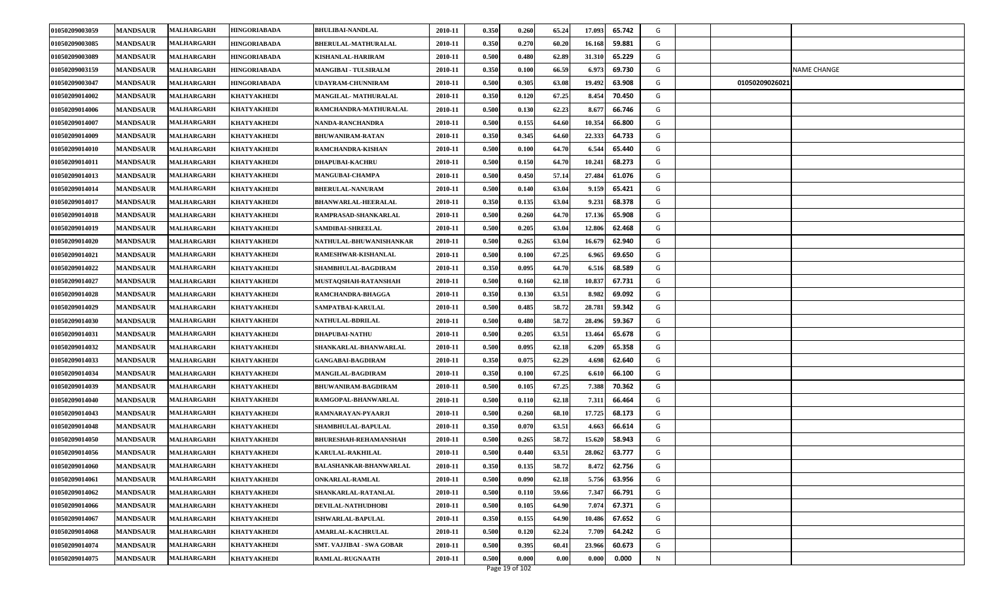| 0.350<br>0.270<br>01050209003085<br><b>MANDSAUR</b><br><b>MALHARGARH</b><br><b>HINGORIABADA</b><br>BHERULAL-MATHURALAL<br>2010-11<br>60.20<br>16.168<br>59.881<br>G<br>01050209003089<br><b>MANDSAUR</b><br><b>MALHARGARH</b><br><b>HINGORIABADA</b><br>2010-11<br>0.500<br>0.480<br>62.89<br>31.31<br>65.229<br>G<br>KISHANLAL-HARIRAM<br>0.350<br>01050209003159<br><b>MANDSAUR</b><br><b>MALHARGARH</b><br>2010-11<br>0.100<br>66.59<br>6.973<br>69.730<br>G<br><b>NAME CHANGE</b><br><b>HINGORIABADA</b><br><b>MANGIBAI - TULSIRALM</b><br>0.500<br>01050209003047<br><b>MANDSAUR</b><br>2010-11<br>0.305<br>63.08<br>19.492<br>63.908<br>G<br>01050209026021<br><b>MALHARGARH</b><br><b>HINGORIABADA</b><br>UDAYRAM-CHUNNIRAM<br>0.350<br>01050209014002<br><b>MANDSAUR</b><br>2010-11<br>0.120<br>67.25<br>8.454<br>70.450<br>G<br><b>MALHARGARH</b><br><b>KHATYAKHEDI</b><br>MANGILAL-MATHURALAL<br><b>MANDSAUR</b><br><b>MALHARGARH</b><br>2010-11<br>0.500<br>0.130<br>62.23<br>66.746<br>G<br>01050209014006<br><b>KHATYAKHEDI</b><br>RAMCHANDRA-MATHURALAL<br>8.677<br>0.500<br>G<br>01050209014007<br><b>MANDSAUR</b><br><b>MALHARGARH</b><br><b>KHATYAKHEDI</b><br>NANDA-RANCHANDRA<br>2010-11<br>0.155<br>64.60<br>10.354<br>66.800<br><b>MALHARGARH</b><br>0.350<br>0.345<br>64.60<br>22.333<br>64.733<br>G<br>01050209014009<br><b>MANDSAUR</b><br>2010-11<br><b>KHATYAKHEDI</b><br><b>BHUWANIRAM-RATAN</b><br>64.70<br>6.544<br>G<br>01050209014010<br><b>MANDSAUR</b><br><b>MALHARGARH</b><br>2010-11<br>0.500<br>0.100<br>65.440<br><b>KHATYAKHEDI</b><br>RAMCHANDRA-KISHAN<br>0.500<br>0.150<br>64.70<br>10.241<br>68.273<br>G<br>01050209014011<br><b>MANDSAUR</b><br>2010-11<br><b>MALHARGARH</b><br><b>KHATYAKHEDI</b><br><b>DHAPUBAI-KACHRU</b><br>01050209014013<br>0.500<br>0.450<br>57.14<br>27.484<br>61.076<br>G<br><b>MANDSAUR</b><br><b>MALHARGARH</b><br>2010-11<br><b>KHATYAKHEDI</b><br><b>MANGUBAI-CHAMPA</b><br>0.500<br>63.04<br>65.421<br>G<br>01050209014014<br><b>MANDSAUR</b><br><b>MALHARGARH</b><br><b>KHATYAKHEDI</b><br><b>BHERULAL-NANURAM</b><br>2010-11<br>0.140<br>9.15<br>0.350<br>63.04<br>G<br>01050209014017<br><b>MANDSAUR</b><br><b>MALHARGARH</b><br><b>KHATYAKHEDI</b><br><b>BHANWARLAL-HEERALAL</b><br>2010-11<br>0.135<br>9.231<br>68.378<br><b>MALHARGARH</b><br>0.500<br>0.260<br>64.70<br>17.136<br>65.908<br>G<br>01050209014018<br><b>MANDSAUR</b><br>2010-11<br><b>KHATYAKHEDI</b><br>RAMPRASAD-SHANKARLAL<br>G<br>01050209014019<br><b>MANDSAUR</b><br>MALHARGARH<br>0.500<br>0.205<br>63.04<br>12.806<br>62.468<br><b>KHATYAKHEDI</b><br><b>SAMDIBAI-SHREELAL</b><br>2010-11<br>63.04<br>62.940<br>G<br>01050209014020<br><b>MANDSAUR</b><br>2010-11<br>0.500<br>0.265<br>16.679<br><b>MALHARGARH</b><br><b>KHATYAKHEDI</b><br>NATHULAL-BHUWANISHANKAR<br>G<br>01050209014021<br>0.500<br>0.100<br>67.25<br>6.965<br>69.650<br><b>MANDSAUR</b><br><b>MALHARGARH</b><br><b>KHATYAKHEDI</b><br>RAMESHWAR-KISHANLAL<br>2010-11<br>0.350<br>64.70<br>68.589<br>G<br>01050209014022<br><b>MANDSAUR</b><br><b>MALHARGARH</b><br><b>KHATYAKHEDI</b><br><b>SHAMBHULAL-BAGDIRAM</b><br>2010-11<br>0.095<br>6.516<br>01050209014027<br><b>MANDSAUR</b><br><b>MALHARGARH</b><br>2010-11<br>0.500<br>0.160<br>62.18<br>67.731<br>G<br><b>KHATYAKHEDI</b><br>MUSTAQSHAH-RATANSHAH<br>10.83<br>0.350<br>63.51<br>G<br>01050209014028<br><b>MANDSAUR</b><br>MALHARGARH<br>2010-11<br>0.130<br>8.982<br>69.092<br><b>KHATYAKHEDI</b><br>RAMCHANDRA-BHAGGA<br>G<br>01050209014029<br><b>MANDSAUR</b><br>2010-11<br>0.500<br>0.485<br>58.72<br>28.781<br>59.342<br><b>MALHARGARH</b><br><b>KHATYAKHEDI</b><br>SAMPATBAI-KARULAL<br>58.72<br>28.496<br>01050209014030<br><b>MANDSAUR</b><br><b>MALHARGARH</b><br>2010-11<br>0.500<br>0.480<br>59.367<br>G<br><b>KHATYAKHEDI</b><br>NATHULAL-BDRILAL<br>01050209014031<br><b>MANDSAUR</b><br>2010-11<br>0.500<br>0.205<br>63.51<br>13.464<br>65.678<br>G<br><b>MALHARGARH</b><br><b>KHATYAKHEDI</b><br><b>DHAPUBAI-NATHU</b><br>01050209014032<br><b>MANDSAUR</b><br><b>MALHARGARH</b><br><b>KHATYAKHEDI</b><br>SHANKARLAL-BHANWARLAL<br>2010-11<br>0.500<br>0.095<br>62.18<br>6.209<br>65.358<br>G<br>01050209014033<br><b>MANDSAUR</b><br><b>MALHARGARH</b><br><b>KHATYAKHEDI</b><br>2010-11<br>0.350<br>0.075<br>62.29<br>62.640<br>G<br><b>GANGABAI-BAGDIRAM</b><br>4.698<br>0.350<br>01050209014034<br><b>MANDSAUR</b><br><b>MALHARGARH</b><br>2010-11<br>0.100<br>67.25<br>6.610<br>66.100<br>G<br><b>KHATYAKHEDI</b><br>MANGILAL-BAGDIRAM<br>0.500<br>01050209014039<br><b>MANDSAUR</b><br>2010-11<br>0.105<br>67.25<br>7.388<br>70.362<br>G<br><b>MALHARGARH</b><br><b>KHATYAKHEDI</b><br><b>BHUWANIRAM-BAGDIRAM</b><br>01050209014040<br><b>MANDSAUR</b><br>2010-11<br>0.500<br>0.110<br>62.18<br>7.311<br>66.464<br>G<br><b>MALHARGARH</b><br><b>KHATYAKHEDI</b><br>RAMGOPAL-BHANWARLAL<br><b>MANDSAUR</b><br><b>MALHARGARH</b><br>0.500<br>G<br>01050209014043<br><b>KHATYAKHEDI</b><br>RAMNARAYAN-PYAARJI<br>2010-11<br>0.260<br>68.10<br>17.725<br>68.173<br>0.350<br>01050209014048<br><b>MANDSAUR</b><br><b>MALHARGARH</b><br><b>KHATYAKHEDI</b><br>SHAMBHULAL-BAPULAL<br>2010-11<br>0.070<br>63.51<br>66.614<br>G<br>4.663<br>0.500<br>01050209014050<br><b>MANDSAUR</b><br><b>MALHARGARH</b><br>2010-11<br>0.265<br>58.72<br>15.62<br>58.943<br>G<br><b>KHATYAKHEDI</b><br><b>BHURESHAH-REHAMANSHAH</b><br>01050209014056<br>0.500<br>0.440<br>63.51<br>28.062<br>63.777<br>G<br><b>MANDSAUR</b><br><b>MALHARGARH</b><br>2010-11<br><b>KHATYAKHEDI</b><br>KARULAL-RAKHILAL<br>0.350<br>01050209014060<br><b>MANDSAUR</b><br>2010-11<br>0.135<br>58.72<br>8.472<br>62.756<br>G<br><b>MALHARGARH</b><br><b>KHATYAKHEDI</b><br><b>BALASHANKAR-BHANWARLAL</b><br>0.500<br>5.756<br>63.956<br>G<br>01050209014061<br><b>MANDSAUR</b><br>2010-11<br>0.090<br>62.18<br><b>MALHARGARH</b><br>ONKARLAL-RAMLAL<br><b>KHATYAKHEDI</b><br>01050209014062<br><b>MANDSAUR</b><br><b>MALHARGARH</b><br><b>KHATYAKHEDI</b><br>SHANKARLAL-RATANLAL<br>2010-11<br>0.500<br>0.110<br>59.66<br>7.347<br>66.791<br>G<br>01050209014066<br>DEVILAL-NATHUDHOBI<br>0.500<br>64.90<br>7.074<br>G<br><b>MANDSAUR</b><br><b>MALHARGARH</b><br><b>KHATYAKHEDI</b><br>2010-11<br>0.105<br>67.371<br>0.350<br>0.155<br>01050209014067<br><b>MANDSAUR</b><br><b>MALHARGARH</b><br>64.90<br>10.486<br>67.652<br>G<br><b>KHATYAKHEDI</b><br>2010-11<br><b>ISHWARLAL-BAPULAL</b><br>0.500<br>62.24<br>64.242<br>G<br>01050209014068<br><b>MANDSAUR</b><br><b>MALHARGARH</b><br>2010-11<br>0.120<br>7.709<br><b>KHATYAKHEDI</b><br><b>AMARLAL-KACHRULAL</b><br>G<br>0.500<br>0.395<br>60.41<br>23.966<br>60.673<br>01050209014074<br><b>MANDSAUR</b><br><b>SMT. VAJJIBAI - SWA GOBAR</b><br>2010-11<br>MALHARGARH<br><b>KHATYAKHEDI</b> | 01050209003059 | <b>MANDSAUR</b> | <b>MALHARGARH</b> | <b>HINGORIABADA</b> | <b>BHULIBAI-NANDLAL</b> | 2010-11 | 0.350 | 0.260 | 65.24 | 17.093 | 65.742 | G |  |  |
|----------------------------------------------------------------------------------------------------------------------------------------------------------------------------------------------------------------------------------------------------------------------------------------------------------------------------------------------------------------------------------------------------------------------------------------------------------------------------------------------------------------------------------------------------------------------------------------------------------------------------------------------------------------------------------------------------------------------------------------------------------------------------------------------------------------------------------------------------------------------------------------------------------------------------------------------------------------------------------------------------------------------------------------------------------------------------------------------------------------------------------------------------------------------------------------------------------------------------------------------------------------------------------------------------------------------------------------------------------------------------------------------------------------------------------------------------------------------------------------------------------------------------------------------------------------------------------------------------------------------------------------------------------------------------------------------------------------------------------------------------------------------------------------------------------------------------------------------------------------------------------------------------------------------------------------------------------------------------------------------------------------------------------------------------------------------------------------------------------------------------------------------------------------------------------------------------------------------------------------------------------------------------------------------------------------------------------------------------------------------------------------------------------------------------------------------------------------------------------------------------------------------------------------------------------------------------------------------------------------------------------------------------------------------------------------------------------------------------------------------------------------------------------------------------------------------------------------------------------------------------------------------------------------------------------------------------------------------------------------------------------------------------------------------------------------------------------------------------------------------------------------------------------------------------------------------------------------------------------------------------------------------------------------------------------------------------------------------------------------------------------------------------------------------------------------------------------------------------------------------------------------------------------------------------------------------------------------------------------------------------------------------------------------------------------------------------------------------------------------------------------------------------------------------------------------------------------------------------------------------------------------------------------------------------------------------------------------------------------------------------------------------------------------------------------------------------------------------------------------------------------------------------------------------------------------------------------------------------------------------------------------------------------------------------------------------------------------------------------------------------------------------------------------------------------------------------------------------------------------------------------------------------------------------------------------------------------------------------------------------------------------------------------------------------------------------------------------------------------------------------------------------------------------------------------------------------------------------------------------------------------------------------------------------------------------------------------------------------------------------------------------------------------------------------------------------------------------------------------------------------------------------------------------------------------------------------------------------------------------------------------------------------------------------------------------------------------------------------------------------------------------------------------------------------------------------------------------------------------------------------------------------------------------------------------------------------------------------------------------------------------------------------------------------------------------------------------------------------------------------------------------------------------------------------------------------------------------------------------------------------------------------------------------------------------------------------------------------------------------------------------------------------------------------------------------------------------------------------------------------------------------------------------------------------------------------------------------------------------------------------------------------------------------------------------------------------------------------------------------------------------------------------------------------------------------------------------------------------------------------------------------------------------------------------------------------------------------------------------------------------------------------------------------------------------------------------------------------------------------------------------------------------------------------------------------------|----------------|-----------------|-------------------|---------------------|-------------------------|---------|-------|-------|-------|--------|--------|---|--|--|
|                                                                                                                                                                                                                                                                                                                                                                                                                                                                                                                                                                                                                                                                                                                                                                                                                                                                                                                                                                                                                                                                                                                                                                                                                                                                                                                                                                                                                                                                                                                                                                                                                                                                                                                                                                                                                                                                                                                                                                                                                                                                                                                                                                                                                                                                                                                                                                                                                                                                                                                                                                                                                                                                                                                                                                                                                                                                                                                                                                                                                                                                                                                                                                                                                                                                                                                                                                                                                                                                                                                                                                                                                                                                                                                                                                                                                                                                                                                                                                                                                                                                                                                                                                                                                                                                                                                                                                                                                                                                                                                                                                                                                                                                                                                                                                                                                                                                                                                                                                                                                                                                                                                                                                                                                                                                                                                                                                                                                                                                                                                                                                                                                                                                                                                                                                                                                                                                                                                                                                                                                                                                                                                                                                                                                                                                                                                                                                                                                                                                                                                                                                                                                                                                                                                                                                                                                      |                |                 |                   |                     |                         |         |       |       |       |        |        |   |  |  |
|                                                                                                                                                                                                                                                                                                                                                                                                                                                                                                                                                                                                                                                                                                                                                                                                                                                                                                                                                                                                                                                                                                                                                                                                                                                                                                                                                                                                                                                                                                                                                                                                                                                                                                                                                                                                                                                                                                                                                                                                                                                                                                                                                                                                                                                                                                                                                                                                                                                                                                                                                                                                                                                                                                                                                                                                                                                                                                                                                                                                                                                                                                                                                                                                                                                                                                                                                                                                                                                                                                                                                                                                                                                                                                                                                                                                                                                                                                                                                                                                                                                                                                                                                                                                                                                                                                                                                                                                                                                                                                                                                                                                                                                                                                                                                                                                                                                                                                                                                                                                                                                                                                                                                                                                                                                                                                                                                                                                                                                                                                                                                                                                                                                                                                                                                                                                                                                                                                                                                                                                                                                                                                                                                                                                                                                                                                                                                                                                                                                                                                                                                                                                                                                                                                                                                                                                                      |                |                 |                   |                     |                         |         |       |       |       |        |        |   |  |  |
|                                                                                                                                                                                                                                                                                                                                                                                                                                                                                                                                                                                                                                                                                                                                                                                                                                                                                                                                                                                                                                                                                                                                                                                                                                                                                                                                                                                                                                                                                                                                                                                                                                                                                                                                                                                                                                                                                                                                                                                                                                                                                                                                                                                                                                                                                                                                                                                                                                                                                                                                                                                                                                                                                                                                                                                                                                                                                                                                                                                                                                                                                                                                                                                                                                                                                                                                                                                                                                                                                                                                                                                                                                                                                                                                                                                                                                                                                                                                                                                                                                                                                                                                                                                                                                                                                                                                                                                                                                                                                                                                                                                                                                                                                                                                                                                                                                                                                                                                                                                                                                                                                                                                                                                                                                                                                                                                                                                                                                                                                                                                                                                                                                                                                                                                                                                                                                                                                                                                                                                                                                                                                                                                                                                                                                                                                                                                                                                                                                                                                                                                                                                                                                                                                                                                                                                                                      |                |                 |                   |                     |                         |         |       |       |       |        |        |   |  |  |
|                                                                                                                                                                                                                                                                                                                                                                                                                                                                                                                                                                                                                                                                                                                                                                                                                                                                                                                                                                                                                                                                                                                                                                                                                                                                                                                                                                                                                                                                                                                                                                                                                                                                                                                                                                                                                                                                                                                                                                                                                                                                                                                                                                                                                                                                                                                                                                                                                                                                                                                                                                                                                                                                                                                                                                                                                                                                                                                                                                                                                                                                                                                                                                                                                                                                                                                                                                                                                                                                                                                                                                                                                                                                                                                                                                                                                                                                                                                                                                                                                                                                                                                                                                                                                                                                                                                                                                                                                                                                                                                                                                                                                                                                                                                                                                                                                                                                                                                                                                                                                                                                                                                                                                                                                                                                                                                                                                                                                                                                                                                                                                                                                                                                                                                                                                                                                                                                                                                                                                                                                                                                                                                                                                                                                                                                                                                                                                                                                                                                                                                                                                                                                                                                                                                                                                                                                      |                |                 |                   |                     |                         |         |       |       |       |        |        |   |  |  |
|                                                                                                                                                                                                                                                                                                                                                                                                                                                                                                                                                                                                                                                                                                                                                                                                                                                                                                                                                                                                                                                                                                                                                                                                                                                                                                                                                                                                                                                                                                                                                                                                                                                                                                                                                                                                                                                                                                                                                                                                                                                                                                                                                                                                                                                                                                                                                                                                                                                                                                                                                                                                                                                                                                                                                                                                                                                                                                                                                                                                                                                                                                                                                                                                                                                                                                                                                                                                                                                                                                                                                                                                                                                                                                                                                                                                                                                                                                                                                                                                                                                                                                                                                                                                                                                                                                                                                                                                                                                                                                                                                                                                                                                                                                                                                                                                                                                                                                                                                                                                                                                                                                                                                                                                                                                                                                                                                                                                                                                                                                                                                                                                                                                                                                                                                                                                                                                                                                                                                                                                                                                                                                                                                                                                                                                                                                                                                                                                                                                                                                                                                                                                                                                                                                                                                                                                                      |                |                 |                   |                     |                         |         |       |       |       |        |        |   |  |  |
|                                                                                                                                                                                                                                                                                                                                                                                                                                                                                                                                                                                                                                                                                                                                                                                                                                                                                                                                                                                                                                                                                                                                                                                                                                                                                                                                                                                                                                                                                                                                                                                                                                                                                                                                                                                                                                                                                                                                                                                                                                                                                                                                                                                                                                                                                                                                                                                                                                                                                                                                                                                                                                                                                                                                                                                                                                                                                                                                                                                                                                                                                                                                                                                                                                                                                                                                                                                                                                                                                                                                                                                                                                                                                                                                                                                                                                                                                                                                                                                                                                                                                                                                                                                                                                                                                                                                                                                                                                                                                                                                                                                                                                                                                                                                                                                                                                                                                                                                                                                                                                                                                                                                                                                                                                                                                                                                                                                                                                                                                                                                                                                                                                                                                                                                                                                                                                                                                                                                                                                                                                                                                                                                                                                                                                                                                                                                                                                                                                                                                                                                                                                                                                                                                                                                                                                                                      |                |                 |                   |                     |                         |         |       |       |       |        |        |   |  |  |
|                                                                                                                                                                                                                                                                                                                                                                                                                                                                                                                                                                                                                                                                                                                                                                                                                                                                                                                                                                                                                                                                                                                                                                                                                                                                                                                                                                                                                                                                                                                                                                                                                                                                                                                                                                                                                                                                                                                                                                                                                                                                                                                                                                                                                                                                                                                                                                                                                                                                                                                                                                                                                                                                                                                                                                                                                                                                                                                                                                                                                                                                                                                                                                                                                                                                                                                                                                                                                                                                                                                                                                                                                                                                                                                                                                                                                                                                                                                                                                                                                                                                                                                                                                                                                                                                                                                                                                                                                                                                                                                                                                                                                                                                                                                                                                                                                                                                                                                                                                                                                                                                                                                                                                                                                                                                                                                                                                                                                                                                                                                                                                                                                                                                                                                                                                                                                                                                                                                                                                                                                                                                                                                                                                                                                                                                                                                                                                                                                                                                                                                                                                                                                                                                                                                                                                                                                      |                |                 |                   |                     |                         |         |       |       |       |        |        |   |  |  |
|                                                                                                                                                                                                                                                                                                                                                                                                                                                                                                                                                                                                                                                                                                                                                                                                                                                                                                                                                                                                                                                                                                                                                                                                                                                                                                                                                                                                                                                                                                                                                                                                                                                                                                                                                                                                                                                                                                                                                                                                                                                                                                                                                                                                                                                                                                                                                                                                                                                                                                                                                                                                                                                                                                                                                                                                                                                                                                                                                                                                                                                                                                                                                                                                                                                                                                                                                                                                                                                                                                                                                                                                                                                                                                                                                                                                                                                                                                                                                                                                                                                                                                                                                                                                                                                                                                                                                                                                                                                                                                                                                                                                                                                                                                                                                                                                                                                                                                                                                                                                                                                                                                                                                                                                                                                                                                                                                                                                                                                                                                                                                                                                                                                                                                                                                                                                                                                                                                                                                                                                                                                                                                                                                                                                                                                                                                                                                                                                                                                                                                                                                                                                                                                                                                                                                                                                                      |                |                 |                   |                     |                         |         |       |       |       |        |        |   |  |  |
|                                                                                                                                                                                                                                                                                                                                                                                                                                                                                                                                                                                                                                                                                                                                                                                                                                                                                                                                                                                                                                                                                                                                                                                                                                                                                                                                                                                                                                                                                                                                                                                                                                                                                                                                                                                                                                                                                                                                                                                                                                                                                                                                                                                                                                                                                                                                                                                                                                                                                                                                                                                                                                                                                                                                                                                                                                                                                                                                                                                                                                                                                                                                                                                                                                                                                                                                                                                                                                                                                                                                                                                                                                                                                                                                                                                                                                                                                                                                                                                                                                                                                                                                                                                                                                                                                                                                                                                                                                                                                                                                                                                                                                                                                                                                                                                                                                                                                                                                                                                                                                                                                                                                                                                                                                                                                                                                                                                                                                                                                                                                                                                                                                                                                                                                                                                                                                                                                                                                                                                                                                                                                                                                                                                                                                                                                                                                                                                                                                                                                                                                                                                                                                                                                                                                                                                                                      |                |                 |                   |                     |                         |         |       |       |       |        |        |   |  |  |
|                                                                                                                                                                                                                                                                                                                                                                                                                                                                                                                                                                                                                                                                                                                                                                                                                                                                                                                                                                                                                                                                                                                                                                                                                                                                                                                                                                                                                                                                                                                                                                                                                                                                                                                                                                                                                                                                                                                                                                                                                                                                                                                                                                                                                                                                                                                                                                                                                                                                                                                                                                                                                                                                                                                                                                                                                                                                                                                                                                                                                                                                                                                                                                                                                                                                                                                                                                                                                                                                                                                                                                                                                                                                                                                                                                                                                                                                                                                                                                                                                                                                                                                                                                                                                                                                                                                                                                                                                                                                                                                                                                                                                                                                                                                                                                                                                                                                                                                                                                                                                                                                                                                                                                                                                                                                                                                                                                                                                                                                                                                                                                                                                                                                                                                                                                                                                                                                                                                                                                                                                                                                                                                                                                                                                                                                                                                                                                                                                                                                                                                                                                                                                                                                                                                                                                                                                      |                |                 |                   |                     |                         |         |       |       |       |        |        |   |  |  |
|                                                                                                                                                                                                                                                                                                                                                                                                                                                                                                                                                                                                                                                                                                                                                                                                                                                                                                                                                                                                                                                                                                                                                                                                                                                                                                                                                                                                                                                                                                                                                                                                                                                                                                                                                                                                                                                                                                                                                                                                                                                                                                                                                                                                                                                                                                                                                                                                                                                                                                                                                                                                                                                                                                                                                                                                                                                                                                                                                                                                                                                                                                                                                                                                                                                                                                                                                                                                                                                                                                                                                                                                                                                                                                                                                                                                                                                                                                                                                                                                                                                                                                                                                                                                                                                                                                                                                                                                                                                                                                                                                                                                                                                                                                                                                                                                                                                                                                                                                                                                                                                                                                                                                                                                                                                                                                                                                                                                                                                                                                                                                                                                                                                                                                                                                                                                                                                                                                                                                                                                                                                                                                                                                                                                                                                                                                                                                                                                                                                                                                                                                                                                                                                                                                                                                                                                                      |                |                 |                   |                     |                         |         |       |       |       |        |        |   |  |  |
|                                                                                                                                                                                                                                                                                                                                                                                                                                                                                                                                                                                                                                                                                                                                                                                                                                                                                                                                                                                                                                                                                                                                                                                                                                                                                                                                                                                                                                                                                                                                                                                                                                                                                                                                                                                                                                                                                                                                                                                                                                                                                                                                                                                                                                                                                                                                                                                                                                                                                                                                                                                                                                                                                                                                                                                                                                                                                                                                                                                                                                                                                                                                                                                                                                                                                                                                                                                                                                                                                                                                                                                                                                                                                                                                                                                                                                                                                                                                                                                                                                                                                                                                                                                                                                                                                                                                                                                                                                                                                                                                                                                                                                                                                                                                                                                                                                                                                                                                                                                                                                                                                                                                                                                                                                                                                                                                                                                                                                                                                                                                                                                                                                                                                                                                                                                                                                                                                                                                                                                                                                                                                                                                                                                                                                                                                                                                                                                                                                                                                                                                                                                                                                                                                                                                                                                                                      |                |                 |                   |                     |                         |         |       |       |       |        |        |   |  |  |
|                                                                                                                                                                                                                                                                                                                                                                                                                                                                                                                                                                                                                                                                                                                                                                                                                                                                                                                                                                                                                                                                                                                                                                                                                                                                                                                                                                                                                                                                                                                                                                                                                                                                                                                                                                                                                                                                                                                                                                                                                                                                                                                                                                                                                                                                                                                                                                                                                                                                                                                                                                                                                                                                                                                                                                                                                                                                                                                                                                                                                                                                                                                                                                                                                                                                                                                                                                                                                                                                                                                                                                                                                                                                                                                                                                                                                                                                                                                                                                                                                                                                                                                                                                                                                                                                                                                                                                                                                                                                                                                                                                                                                                                                                                                                                                                                                                                                                                                                                                                                                                                                                                                                                                                                                                                                                                                                                                                                                                                                                                                                                                                                                                                                                                                                                                                                                                                                                                                                                                                                                                                                                                                                                                                                                                                                                                                                                                                                                                                                                                                                                                                                                                                                                                                                                                                                                      |                |                 |                   |                     |                         |         |       |       |       |        |        |   |  |  |
|                                                                                                                                                                                                                                                                                                                                                                                                                                                                                                                                                                                                                                                                                                                                                                                                                                                                                                                                                                                                                                                                                                                                                                                                                                                                                                                                                                                                                                                                                                                                                                                                                                                                                                                                                                                                                                                                                                                                                                                                                                                                                                                                                                                                                                                                                                                                                                                                                                                                                                                                                                                                                                                                                                                                                                                                                                                                                                                                                                                                                                                                                                                                                                                                                                                                                                                                                                                                                                                                                                                                                                                                                                                                                                                                                                                                                                                                                                                                                                                                                                                                                                                                                                                                                                                                                                                                                                                                                                                                                                                                                                                                                                                                                                                                                                                                                                                                                                                                                                                                                                                                                                                                                                                                                                                                                                                                                                                                                                                                                                                                                                                                                                                                                                                                                                                                                                                                                                                                                                                                                                                                                                                                                                                                                                                                                                                                                                                                                                                                                                                                                                                                                                                                                                                                                                                                                      |                |                 |                   |                     |                         |         |       |       |       |        |        |   |  |  |
|                                                                                                                                                                                                                                                                                                                                                                                                                                                                                                                                                                                                                                                                                                                                                                                                                                                                                                                                                                                                                                                                                                                                                                                                                                                                                                                                                                                                                                                                                                                                                                                                                                                                                                                                                                                                                                                                                                                                                                                                                                                                                                                                                                                                                                                                                                                                                                                                                                                                                                                                                                                                                                                                                                                                                                                                                                                                                                                                                                                                                                                                                                                                                                                                                                                                                                                                                                                                                                                                                                                                                                                                                                                                                                                                                                                                                                                                                                                                                                                                                                                                                                                                                                                                                                                                                                                                                                                                                                                                                                                                                                                                                                                                                                                                                                                                                                                                                                                                                                                                                                                                                                                                                                                                                                                                                                                                                                                                                                                                                                                                                                                                                                                                                                                                                                                                                                                                                                                                                                                                                                                                                                                                                                                                                                                                                                                                                                                                                                                                                                                                                                                                                                                                                                                                                                                                                      |                |                 |                   |                     |                         |         |       |       |       |        |        |   |  |  |
|                                                                                                                                                                                                                                                                                                                                                                                                                                                                                                                                                                                                                                                                                                                                                                                                                                                                                                                                                                                                                                                                                                                                                                                                                                                                                                                                                                                                                                                                                                                                                                                                                                                                                                                                                                                                                                                                                                                                                                                                                                                                                                                                                                                                                                                                                                                                                                                                                                                                                                                                                                                                                                                                                                                                                                                                                                                                                                                                                                                                                                                                                                                                                                                                                                                                                                                                                                                                                                                                                                                                                                                                                                                                                                                                                                                                                                                                                                                                                                                                                                                                                                                                                                                                                                                                                                                                                                                                                                                                                                                                                                                                                                                                                                                                                                                                                                                                                                                                                                                                                                                                                                                                                                                                                                                                                                                                                                                                                                                                                                                                                                                                                                                                                                                                                                                                                                                                                                                                                                                                                                                                                                                                                                                                                                                                                                                                                                                                                                                                                                                                                                                                                                                                                                                                                                                                                      |                |                 |                   |                     |                         |         |       |       |       |        |        |   |  |  |
|                                                                                                                                                                                                                                                                                                                                                                                                                                                                                                                                                                                                                                                                                                                                                                                                                                                                                                                                                                                                                                                                                                                                                                                                                                                                                                                                                                                                                                                                                                                                                                                                                                                                                                                                                                                                                                                                                                                                                                                                                                                                                                                                                                                                                                                                                                                                                                                                                                                                                                                                                                                                                                                                                                                                                                                                                                                                                                                                                                                                                                                                                                                                                                                                                                                                                                                                                                                                                                                                                                                                                                                                                                                                                                                                                                                                                                                                                                                                                                                                                                                                                                                                                                                                                                                                                                                                                                                                                                                                                                                                                                                                                                                                                                                                                                                                                                                                                                                                                                                                                                                                                                                                                                                                                                                                                                                                                                                                                                                                                                                                                                                                                                                                                                                                                                                                                                                                                                                                                                                                                                                                                                                                                                                                                                                                                                                                                                                                                                                                                                                                                                                                                                                                                                                                                                                                                      |                |                 |                   |                     |                         |         |       |       |       |        |        |   |  |  |
|                                                                                                                                                                                                                                                                                                                                                                                                                                                                                                                                                                                                                                                                                                                                                                                                                                                                                                                                                                                                                                                                                                                                                                                                                                                                                                                                                                                                                                                                                                                                                                                                                                                                                                                                                                                                                                                                                                                                                                                                                                                                                                                                                                                                                                                                                                                                                                                                                                                                                                                                                                                                                                                                                                                                                                                                                                                                                                                                                                                                                                                                                                                                                                                                                                                                                                                                                                                                                                                                                                                                                                                                                                                                                                                                                                                                                                                                                                                                                                                                                                                                                                                                                                                                                                                                                                                                                                                                                                                                                                                                                                                                                                                                                                                                                                                                                                                                                                                                                                                                                                                                                                                                                                                                                                                                                                                                                                                                                                                                                                                                                                                                                                                                                                                                                                                                                                                                                                                                                                                                                                                                                                                                                                                                                                                                                                                                                                                                                                                                                                                                                                                                                                                                                                                                                                                                                      |                |                 |                   |                     |                         |         |       |       |       |        |        |   |  |  |
|                                                                                                                                                                                                                                                                                                                                                                                                                                                                                                                                                                                                                                                                                                                                                                                                                                                                                                                                                                                                                                                                                                                                                                                                                                                                                                                                                                                                                                                                                                                                                                                                                                                                                                                                                                                                                                                                                                                                                                                                                                                                                                                                                                                                                                                                                                                                                                                                                                                                                                                                                                                                                                                                                                                                                                                                                                                                                                                                                                                                                                                                                                                                                                                                                                                                                                                                                                                                                                                                                                                                                                                                                                                                                                                                                                                                                                                                                                                                                                                                                                                                                                                                                                                                                                                                                                                                                                                                                                                                                                                                                                                                                                                                                                                                                                                                                                                                                                                                                                                                                                                                                                                                                                                                                                                                                                                                                                                                                                                                                                                                                                                                                                                                                                                                                                                                                                                                                                                                                                                                                                                                                                                                                                                                                                                                                                                                                                                                                                                                                                                                                                                                                                                                                                                                                                                                                      |                |                 |                   |                     |                         |         |       |       |       |        |        |   |  |  |
|                                                                                                                                                                                                                                                                                                                                                                                                                                                                                                                                                                                                                                                                                                                                                                                                                                                                                                                                                                                                                                                                                                                                                                                                                                                                                                                                                                                                                                                                                                                                                                                                                                                                                                                                                                                                                                                                                                                                                                                                                                                                                                                                                                                                                                                                                                                                                                                                                                                                                                                                                                                                                                                                                                                                                                                                                                                                                                                                                                                                                                                                                                                                                                                                                                                                                                                                                                                                                                                                                                                                                                                                                                                                                                                                                                                                                                                                                                                                                                                                                                                                                                                                                                                                                                                                                                                                                                                                                                                                                                                                                                                                                                                                                                                                                                                                                                                                                                                                                                                                                                                                                                                                                                                                                                                                                                                                                                                                                                                                                                                                                                                                                                                                                                                                                                                                                                                                                                                                                                                                                                                                                                                                                                                                                                                                                                                                                                                                                                                                                                                                                                                                                                                                                                                                                                                                                      |                |                 |                   |                     |                         |         |       |       |       |        |        |   |  |  |
|                                                                                                                                                                                                                                                                                                                                                                                                                                                                                                                                                                                                                                                                                                                                                                                                                                                                                                                                                                                                                                                                                                                                                                                                                                                                                                                                                                                                                                                                                                                                                                                                                                                                                                                                                                                                                                                                                                                                                                                                                                                                                                                                                                                                                                                                                                                                                                                                                                                                                                                                                                                                                                                                                                                                                                                                                                                                                                                                                                                                                                                                                                                                                                                                                                                                                                                                                                                                                                                                                                                                                                                                                                                                                                                                                                                                                                                                                                                                                                                                                                                                                                                                                                                                                                                                                                                                                                                                                                                                                                                                                                                                                                                                                                                                                                                                                                                                                                                                                                                                                                                                                                                                                                                                                                                                                                                                                                                                                                                                                                                                                                                                                                                                                                                                                                                                                                                                                                                                                                                                                                                                                                                                                                                                                                                                                                                                                                                                                                                                                                                                                                                                                                                                                                                                                                                                                      |                |                 |                   |                     |                         |         |       |       |       |        |        |   |  |  |
|                                                                                                                                                                                                                                                                                                                                                                                                                                                                                                                                                                                                                                                                                                                                                                                                                                                                                                                                                                                                                                                                                                                                                                                                                                                                                                                                                                                                                                                                                                                                                                                                                                                                                                                                                                                                                                                                                                                                                                                                                                                                                                                                                                                                                                                                                                                                                                                                                                                                                                                                                                                                                                                                                                                                                                                                                                                                                                                                                                                                                                                                                                                                                                                                                                                                                                                                                                                                                                                                                                                                                                                                                                                                                                                                                                                                                                                                                                                                                                                                                                                                                                                                                                                                                                                                                                                                                                                                                                                                                                                                                                                                                                                                                                                                                                                                                                                                                                                                                                                                                                                                                                                                                                                                                                                                                                                                                                                                                                                                                                                                                                                                                                                                                                                                                                                                                                                                                                                                                                                                                                                                                                                                                                                                                                                                                                                                                                                                                                                                                                                                                                                                                                                                                                                                                                                                                      |                |                 |                   |                     |                         |         |       |       |       |        |        |   |  |  |
|                                                                                                                                                                                                                                                                                                                                                                                                                                                                                                                                                                                                                                                                                                                                                                                                                                                                                                                                                                                                                                                                                                                                                                                                                                                                                                                                                                                                                                                                                                                                                                                                                                                                                                                                                                                                                                                                                                                                                                                                                                                                                                                                                                                                                                                                                                                                                                                                                                                                                                                                                                                                                                                                                                                                                                                                                                                                                                                                                                                                                                                                                                                                                                                                                                                                                                                                                                                                                                                                                                                                                                                                                                                                                                                                                                                                                                                                                                                                                                                                                                                                                                                                                                                                                                                                                                                                                                                                                                                                                                                                                                                                                                                                                                                                                                                                                                                                                                                                                                                                                                                                                                                                                                                                                                                                                                                                                                                                                                                                                                                                                                                                                                                                                                                                                                                                                                                                                                                                                                                                                                                                                                                                                                                                                                                                                                                                                                                                                                                                                                                                                                                                                                                                                                                                                                                                                      |                |                 |                   |                     |                         |         |       |       |       |        |        |   |  |  |
|                                                                                                                                                                                                                                                                                                                                                                                                                                                                                                                                                                                                                                                                                                                                                                                                                                                                                                                                                                                                                                                                                                                                                                                                                                                                                                                                                                                                                                                                                                                                                                                                                                                                                                                                                                                                                                                                                                                                                                                                                                                                                                                                                                                                                                                                                                                                                                                                                                                                                                                                                                                                                                                                                                                                                                                                                                                                                                                                                                                                                                                                                                                                                                                                                                                                                                                                                                                                                                                                                                                                                                                                                                                                                                                                                                                                                                                                                                                                                                                                                                                                                                                                                                                                                                                                                                                                                                                                                                                                                                                                                                                                                                                                                                                                                                                                                                                                                                                                                                                                                                                                                                                                                                                                                                                                                                                                                                                                                                                                                                                                                                                                                                                                                                                                                                                                                                                                                                                                                                                                                                                                                                                                                                                                                                                                                                                                                                                                                                                                                                                                                                                                                                                                                                                                                                                                                      |                |                 |                   |                     |                         |         |       |       |       |        |        |   |  |  |
|                                                                                                                                                                                                                                                                                                                                                                                                                                                                                                                                                                                                                                                                                                                                                                                                                                                                                                                                                                                                                                                                                                                                                                                                                                                                                                                                                                                                                                                                                                                                                                                                                                                                                                                                                                                                                                                                                                                                                                                                                                                                                                                                                                                                                                                                                                                                                                                                                                                                                                                                                                                                                                                                                                                                                                                                                                                                                                                                                                                                                                                                                                                                                                                                                                                                                                                                                                                                                                                                                                                                                                                                                                                                                                                                                                                                                                                                                                                                                                                                                                                                                                                                                                                                                                                                                                                                                                                                                                                                                                                                                                                                                                                                                                                                                                                                                                                                                                                                                                                                                                                                                                                                                                                                                                                                                                                                                                                                                                                                                                                                                                                                                                                                                                                                                                                                                                                                                                                                                                                                                                                                                                                                                                                                                                                                                                                                                                                                                                                                                                                                                                                                                                                                                                                                                                                                                      |                |                 |                   |                     |                         |         |       |       |       |        |        |   |  |  |
|                                                                                                                                                                                                                                                                                                                                                                                                                                                                                                                                                                                                                                                                                                                                                                                                                                                                                                                                                                                                                                                                                                                                                                                                                                                                                                                                                                                                                                                                                                                                                                                                                                                                                                                                                                                                                                                                                                                                                                                                                                                                                                                                                                                                                                                                                                                                                                                                                                                                                                                                                                                                                                                                                                                                                                                                                                                                                                                                                                                                                                                                                                                                                                                                                                                                                                                                                                                                                                                                                                                                                                                                                                                                                                                                                                                                                                                                                                                                                                                                                                                                                                                                                                                                                                                                                                                                                                                                                                                                                                                                                                                                                                                                                                                                                                                                                                                                                                                                                                                                                                                                                                                                                                                                                                                                                                                                                                                                                                                                                                                                                                                                                                                                                                                                                                                                                                                                                                                                                                                                                                                                                                                                                                                                                                                                                                                                                                                                                                                                                                                                                                                                                                                                                                                                                                                                                      |                |                 |                   |                     |                         |         |       |       |       |        |        |   |  |  |
|                                                                                                                                                                                                                                                                                                                                                                                                                                                                                                                                                                                                                                                                                                                                                                                                                                                                                                                                                                                                                                                                                                                                                                                                                                                                                                                                                                                                                                                                                                                                                                                                                                                                                                                                                                                                                                                                                                                                                                                                                                                                                                                                                                                                                                                                                                                                                                                                                                                                                                                                                                                                                                                                                                                                                                                                                                                                                                                                                                                                                                                                                                                                                                                                                                                                                                                                                                                                                                                                                                                                                                                                                                                                                                                                                                                                                                                                                                                                                                                                                                                                                                                                                                                                                                                                                                                                                                                                                                                                                                                                                                                                                                                                                                                                                                                                                                                                                                                                                                                                                                                                                                                                                                                                                                                                                                                                                                                                                                                                                                                                                                                                                                                                                                                                                                                                                                                                                                                                                                                                                                                                                                                                                                                                                                                                                                                                                                                                                                                                                                                                                                                                                                                                                                                                                                                                                      |                |                 |                   |                     |                         |         |       |       |       |        |        |   |  |  |
|                                                                                                                                                                                                                                                                                                                                                                                                                                                                                                                                                                                                                                                                                                                                                                                                                                                                                                                                                                                                                                                                                                                                                                                                                                                                                                                                                                                                                                                                                                                                                                                                                                                                                                                                                                                                                                                                                                                                                                                                                                                                                                                                                                                                                                                                                                                                                                                                                                                                                                                                                                                                                                                                                                                                                                                                                                                                                                                                                                                                                                                                                                                                                                                                                                                                                                                                                                                                                                                                                                                                                                                                                                                                                                                                                                                                                                                                                                                                                                                                                                                                                                                                                                                                                                                                                                                                                                                                                                                                                                                                                                                                                                                                                                                                                                                                                                                                                                                                                                                                                                                                                                                                                                                                                                                                                                                                                                                                                                                                                                                                                                                                                                                                                                                                                                                                                                                                                                                                                                                                                                                                                                                                                                                                                                                                                                                                                                                                                                                                                                                                                                                                                                                                                                                                                                                                                      |                |                 |                   |                     |                         |         |       |       |       |        |        |   |  |  |
|                                                                                                                                                                                                                                                                                                                                                                                                                                                                                                                                                                                                                                                                                                                                                                                                                                                                                                                                                                                                                                                                                                                                                                                                                                                                                                                                                                                                                                                                                                                                                                                                                                                                                                                                                                                                                                                                                                                                                                                                                                                                                                                                                                                                                                                                                                                                                                                                                                                                                                                                                                                                                                                                                                                                                                                                                                                                                                                                                                                                                                                                                                                                                                                                                                                                                                                                                                                                                                                                                                                                                                                                                                                                                                                                                                                                                                                                                                                                                                                                                                                                                                                                                                                                                                                                                                                                                                                                                                                                                                                                                                                                                                                                                                                                                                                                                                                                                                                                                                                                                                                                                                                                                                                                                                                                                                                                                                                                                                                                                                                                                                                                                                                                                                                                                                                                                                                                                                                                                                                                                                                                                                                                                                                                                                                                                                                                                                                                                                                                                                                                                                                                                                                                                                                                                                                                                      |                |                 |                   |                     |                         |         |       |       |       |        |        |   |  |  |
|                                                                                                                                                                                                                                                                                                                                                                                                                                                                                                                                                                                                                                                                                                                                                                                                                                                                                                                                                                                                                                                                                                                                                                                                                                                                                                                                                                                                                                                                                                                                                                                                                                                                                                                                                                                                                                                                                                                                                                                                                                                                                                                                                                                                                                                                                                                                                                                                                                                                                                                                                                                                                                                                                                                                                                                                                                                                                                                                                                                                                                                                                                                                                                                                                                                                                                                                                                                                                                                                                                                                                                                                                                                                                                                                                                                                                                                                                                                                                                                                                                                                                                                                                                                                                                                                                                                                                                                                                                                                                                                                                                                                                                                                                                                                                                                                                                                                                                                                                                                                                                                                                                                                                                                                                                                                                                                                                                                                                                                                                                                                                                                                                                                                                                                                                                                                                                                                                                                                                                                                                                                                                                                                                                                                                                                                                                                                                                                                                                                                                                                                                                                                                                                                                                                                                                                                                      |                |                 |                   |                     |                         |         |       |       |       |        |        |   |  |  |
|                                                                                                                                                                                                                                                                                                                                                                                                                                                                                                                                                                                                                                                                                                                                                                                                                                                                                                                                                                                                                                                                                                                                                                                                                                                                                                                                                                                                                                                                                                                                                                                                                                                                                                                                                                                                                                                                                                                                                                                                                                                                                                                                                                                                                                                                                                                                                                                                                                                                                                                                                                                                                                                                                                                                                                                                                                                                                                                                                                                                                                                                                                                                                                                                                                                                                                                                                                                                                                                                                                                                                                                                                                                                                                                                                                                                                                                                                                                                                                                                                                                                                                                                                                                                                                                                                                                                                                                                                                                                                                                                                                                                                                                                                                                                                                                                                                                                                                                                                                                                                                                                                                                                                                                                                                                                                                                                                                                                                                                                                                                                                                                                                                                                                                                                                                                                                                                                                                                                                                                                                                                                                                                                                                                                                                                                                                                                                                                                                                                                                                                                                                                                                                                                                                                                                                                                                      |                |                 |                   |                     |                         |         |       |       |       |        |        |   |  |  |
|                                                                                                                                                                                                                                                                                                                                                                                                                                                                                                                                                                                                                                                                                                                                                                                                                                                                                                                                                                                                                                                                                                                                                                                                                                                                                                                                                                                                                                                                                                                                                                                                                                                                                                                                                                                                                                                                                                                                                                                                                                                                                                                                                                                                                                                                                                                                                                                                                                                                                                                                                                                                                                                                                                                                                                                                                                                                                                                                                                                                                                                                                                                                                                                                                                                                                                                                                                                                                                                                                                                                                                                                                                                                                                                                                                                                                                                                                                                                                                                                                                                                                                                                                                                                                                                                                                                                                                                                                                                                                                                                                                                                                                                                                                                                                                                                                                                                                                                                                                                                                                                                                                                                                                                                                                                                                                                                                                                                                                                                                                                                                                                                                                                                                                                                                                                                                                                                                                                                                                                                                                                                                                                                                                                                                                                                                                                                                                                                                                                                                                                                                                                                                                                                                                                                                                                                                      |                |                 |                   |                     |                         |         |       |       |       |        |        |   |  |  |
|                                                                                                                                                                                                                                                                                                                                                                                                                                                                                                                                                                                                                                                                                                                                                                                                                                                                                                                                                                                                                                                                                                                                                                                                                                                                                                                                                                                                                                                                                                                                                                                                                                                                                                                                                                                                                                                                                                                                                                                                                                                                                                                                                                                                                                                                                                                                                                                                                                                                                                                                                                                                                                                                                                                                                                                                                                                                                                                                                                                                                                                                                                                                                                                                                                                                                                                                                                                                                                                                                                                                                                                                                                                                                                                                                                                                                                                                                                                                                                                                                                                                                                                                                                                                                                                                                                                                                                                                                                                                                                                                                                                                                                                                                                                                                                                                                                                                                                                                                                                                                                                                                                                                                                                                                                                                                                                                                                                                                                                                                                                                                                                                                                                                                                                                                                                                                                                                                                                                                                                                                                                                                                                                                                                                                                                                                                                                                                                                                                                                                                                                                                                                                                                                                                                                                                                                                      |                |                 |                   |                     |                         |         |       |       |       |        |        |   |  |  |
|                                                                                                                                                                                                                                                                                                                                                                                                                                                                                                                                                                                                                                                                                                                                                                                                                                                                                                                                                                                                                                                                                                                                                                                                                                                                                                                                                                                                                                                                                                                                                                                                                                                                                                                                                                                                                                                                                                                                                                                                                                                                                                                                                                                                                                                                                                                                                                                                                                                                                                                                                                                                                                                                                                                                                                                                                                                                                                                                                                                                                                                                                                                                                                                                                                                                                                                                                                                                                                                                                                                                                                                                                                                                                                                                                                                                                                                                                                                                                                                                                                                                                                                                                                                                                                                                                                                                                                                                                                                                                                                                                                                                                                                                                                                                                                                                                                                                                                                                                                                                                                                                                                                                                                                                                                                                                                                                                                                                                                                                                                                                                                                                                                                                                                                                                                                                                                                                                                                                                                                                                                                                                                                                                                                                                                                                                                                                                                                                                                                                                                                                                                                                                                                                                                                                                                                                                      |                |                 |                   |                     |                         |         |       |       |       |        |        |   |  |  |
|                                                                                                                                                                                                                                                                                                                                                                                                                                                                                                                                                                                                                                                                                                                                                                                                                                                                                                                                                                                                                                                                                                                                                                                                                                                                                                                                                                                                                                                                                                                                                                                                                                                                                                                                                                                                                                                                                                                                                                                                                                                                                                                                                                                                                                                                                                                                                                                                                                                                                                                                                                                                                                                                                                                                                                                                                                                                                                                                                                                                                                                                                                                                                                                                                                                                                                                                                                                                                                                                                                                                                                                                                                                                                                                                                                                                                                                                                                                                                                                                                                                                                                                                                                                                                                                                                                                                                                                                                                                                                                                                                                                                                                                                                                                                                                                                                                                                                                                                                                                                                                                                                                                                                                                                                                                                                                                                                                                                                                                                                                                                                                                                                                                                                                                                                                                                                                                                                                                                                                                                                                                                                                                                                                                                                                                                                                                                                                                                                                                                                                                                                                                                                                                                                                                                                                                                                      |                |                 |                   |                     |                         |         |       |       |       |        |        |   |  |  |
|                                                                                                                                                                                                                                                                                                                                                                                                                                                                                                                                                                                                                                                                                                                                                                                                                                                                                                                                                                                                                                                                                                                                                                                                                                                                                                                                                                                                                                                                                                                                                                                                                                                                                                                                                                                                                                                                                                                                                                                                                                                                                                                                                                                                                                                                                                                                                                                                                                                                                                                                                                                                                                                                                                                                                                                                                                                                                                                                                                                                                                                                                                                                                                                                                                                                                                                                                                                                                                                                                                                                                                                                                                                                                                                                                                                                                                                                                                                                                                                                                                                                                                                                                                                                                                                                                                                                                                                                                                                                                                                                                                                                                                                                                                                                                                                                                                                                                                                                                                                                                                                                                                                                                                                                                                                                                                                                                                                                                                                                                                                                                                                                                                                                                                                                                                                                                                                                                                                                                                                                                                                                                                                                                                                                                                                                                                                                                                                                                                                                                                                                                                                                                                                                                                                                                                                                                      |                |                 |                   |                     |                         |         |       |       |       |        |        |   |  |  |
|                                                                                                                                                                                                                                                                                                                                                                                                                                                                                                                                                                                                                                                                                                                                                                                                                                                                                                                                                                                                                                                                                                                                                                                                                                                                                                                                                                                                                                                                                                                                                                                                                                                                                                                                                                                                                                                                                                                                                                                                                                                                                                                                                                                                                                                                                                                                                                                                                                                                                                                                                                                                                                                                                                                                                                                                                                                                                                                                                                                                                                                                                                                                                                                                                                                                                                                                                                                                                                                                                                                                                                                                                                                                                                                                                                                                                                                                                                                                                                                                                                                                                                                                                                                                                                                                                                                                                                                                                                                                                                                                                                                                                                                                                                                                                                                                                                                                                                                                                                                                                                                                                                                                                                                                                                                                                                                                                                                                                                                                                                                                                                                                                                                                                                                                                                                                                                                                                                                                                                                                                                                                                                                                                                                                                                                                                                                                                                                                                                                                                                                                                                                                                                                                                                                                                                                                                      |                |                 |                   |                     |                         |         |       |       |       |        |        |   |  |  |
|                                                                                                                                                                                                                                                                                                                                                                                                                                                                                                                                                                                                                                                                                                                                                                                                                                                                                                                                                                                                                                                                                                                                                                                                                                                                                                                                                                                                                                                                                                                                                                                                                                                                                                                                                                                                                                                                                                                                                                                                                                                                                                                                                                                                                                                                                                                                                                                                                                                                                                                                                                                                                                                                                                                                                                                                                                                                                                                                                                                                                                                                                                                                                                                                                                                                                                                                                                                                                                                                                                                                                                                                                                                                                                                                                                                                                                                                                                                                                                                                                                                                                                                                                                                                                                                                                                                                                                                                                                                                                                                                                                                                                                                                                                                                                                                                                                                                                                                                                                                                                                                                                                                                                                                                                                                                                                                                                                                                                                                                                                                                                                                                                                                                                                                                                                                                                                                                                                                                                                                                                                                                                                                                                                                                                                                                                                                                                                                                                                                                                                                                                                                                                                                                                                                                                                                                                      |                |                 |                   |                     |                         |         |       |       |       |        |        |   |  |  |
|                                                                                                                                                                                                                                                                                                                                                                                                                                                                                                                                                                                                                                                                                                                                                                                                                                                                                                                                                                                                                                                                                                                                                                                                                                                                                                                                                                                                                                                                                                                                                                                                                                                                                                                                                                                                                                                                                                                                                                                                                                                                                                                                                                                                                                                                                                                                                                                                                                                                                                                                                                                                                                                                                                                                                                                                                                                                                                                                                                                                                                                                                                                                                                                                                                                                                                                                                                                                                                                                                                                                                                                                                                                                                                                                                                                                                                                                                                                                                                                                                                                                                                                                                                                                                                                                                                                                                                                                                                                                                                                                                                                                                                                                                                                                                                                                                                                                                                                                                                                                                                                                                                                                                                                                                                                                                                                                                                                                                                                                                                                                                                                                                                                                                                                                                                                                                                                                                                                                                                                                                                                                                                                                                                                                                                                                                                                                                                                                                                                                                                                                                                                                                                                                                                                                                                                                                      |                |                 |                   |                     |                         |         |       |       |       |        |        |   |  |  |
| Page 19 of 102                                                                                                                                                                                                                                                                                                                                                                                                                                                                                                                                                                                                                                                                                                                                                                                                                                                                                                                                                                                                                                                                                                                                                                                                                                                                                                                                                                                                                                                                                                                                                                                                                                                                                                                                                                                                                                                                                                                                                                                                                                                                                                                                                                                                                                                                                                                                                                                                                                                                                                                                                                                                                                                                                                                                                                                                                                                                                                                                                                                                                                                                                                                                                                                                                                                                                                                                                                                                                                                                                                                                                                                                                                                                                                                                                                                                                                                                                                                                                                                                                                                                                                                                                                                                                                                                                                                                                                                                                                                                                                                                                                                                                                                                                                                                                                                                                                                                                                                                                                                                                                                                                                                                                                                                                                                                                                                                                                                                                                                                                                                                                                                                                                                                                                                                                                                                                                                                                                                                                                                                                                                                                                                                                                                                                                                                                                                                                                                                                                                                                                                                                                                                                                                                                                                                                                                                       | 01050209014075 | <b>MANDSAUR</b> | <b>MALHARGARH</b> | <b>KHATYAKHEDI</b>  | <b>RAMLAL-RUGNAATH</b>  | 2010-11 | 0.500 | 0.000 | 0.00  | 0.000  | 0.000  | N |  |  |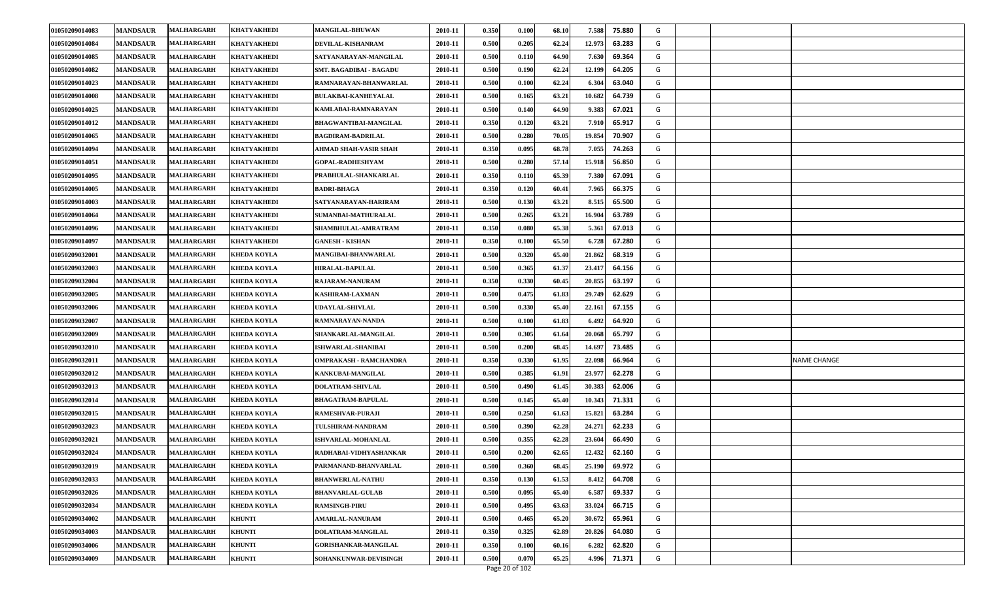| 01050209014083 | <b>MANDSAUR</b> | MALHARGARH        | <b>KHATYAKHEDI</b> | <b>MANGILAL-BHUWAN</b>         | 2010-11 | 0.350 | 0.100 | 68.10 | 7.588<br>75.880  | G |                    |
|----------------|-----------------|-------------------|--------------------|--------------------------------|---------|-------|-------|-------|------------------|---|--------------------|
| 01050209014084 | <b>MANDSAUR</b> | <b>MALHARGARH</b> | KHATYAKHEDI        | DEVILAL-KISHANRAM              | 2010-11 | 0.500 | 0.205 | 62.24 | 12.973<br>63.283 | G |                    |
| 01050209014085 | <b>MANDSAUR</b> | <b>MALHARGARH</b> | <b>KHATYAKHEDI</b> | SATYANARAYAN-MANGILAL          | 2010-11 | 0.500 | 0.110 | 64.90 | 69.364<br>7.630  | G |                    |
| 01050209014082 | <b>MANDSAUR</b> | <b>MALHARGARH</b> | <b>KHATYAKHEDI</b> | <b>SMT. BAGADIBAI - BAGADU</b> | 2010-11 | 0.500 | 0.190 | 62.24 | 12.199<br>64.205 | G |                    |
| 01050209014023 | <b>MANDSAUR</b> | MALHARGARH        | <b>KHATYAKHEDI</b> | RAMNARAYAN-BHANWARLAL          | 2010-11 | 0.500 | 0.100 | 62.24 | 63.040<br>6.304  | G |                    |
| 01050209014008 | <b>MANDSAUR</b> | MALHARGARH        | <b>KHATYAKHEDI</b> | <b>BULAKBAI-KANHEYALAL</b>     | 2010-11 | 0.500 | 0.165 | 63.21 | 10.682<br>64.739 | G |                    |
| 01050209014025 | <b>MANDSAUR</b> | <b>MALHARGARH</b> | <b>KHATYAKHEDI</b> | KAMLABAI-RAMNARAYAN            | 2010-11 | 0.500 | 0.140 | 64.90 | 9.383<br>67.021  | G |                    |
| 01050209014012 | <b>MANDSAUR</b> | MALHARGARH        | KHATYAKHEDI        | <b>BHAGWANTIBAI-MANGILAL</b>   | 2010-11 | 0.350 | 0.120 | 63.21 | 7.910<br>65.917  | G |                    |
| 01050209014065 | <b>MANDSAUR</b> | MALHARGARH        | <b>KHATYAKHEDI</b> | <b>BAGDIRAM-BADRILAL</b>       | 2010-11 | 0.500 | 0.280 | 70.05 | 19.854<br>70.907 | G |                    |
| 01050209014094 | <b>MANDSAUR</b> | MALHARGARH        | <b>KHATYAKHEDI</b> | <b>AHMAD SHAH-VASIR SHAH</b>   | 2010-11 | 0.350 | 0.095 | 68.78 | 7.055<br>74.263  | G |                    |
| 01050209014051 | <b>MANDSAUR</b> | MALHARGARH        | <b>KHATYAKHEDI</b> | <b>GOPAL-RADHESHYAM</b>        | 2010-11 | 0.500 | 0.280 | 57.14 | 15.918<br>56.850 | G |                    |
| 01050209014095 | <b>MANDSAUR</b> | <b>MALHARGARH</b> | KHATYAKHEDI        | PRABHULAL-SHANKARLAL           | 2010-11 | 0.350 | 0.110 | 65.39 | 7.380<br>67.091  | G |                    |
| 01050209014005 | <b>MANDSAUR</b> | MALHARGARH        | KHATYAKHEDI        | <b>BADRI-BHAGA</b>             | 2010-11 | 0.350 | 0.120 | 60.41 | 7.965<br>66.375  | G |                    |
| 01050209014003 | <b>MANDSAUR</b> | MALHARGARH        | <b>KHATYAKHEDI</b> | SATYANARAYAN-HARIRAM           | 2010-11 | 0.500 | 0.130 | 63.21 | 8.515<br>65.500  | G |                    |
| 01050209014064 | <b>MANDSAUR</b> | MALHARGARH        | <b>KHATYAKHEDI</b> | SUMANBAI-MATHURALAL            | 2010-11 | 0.500 | 0.265 | 63.21 | 16.904<br>63.789 | G |                    |
| 01050209014096 | <b>MANDSAUR</b> | <b>MALHARGARH</b> | KHATYAKHEDI        | SHAMBHULAL-AMRATRAM            | 2010-11 | 0.350 | 0.080 | 65.38 | 5.361<br>67.013  | G |                    |
| 01050209014097 | <b>MANDSAUR</b> | MALHARGARH        | KHATYAKHEDI        | <b>GANESH - KISHAN</b>         | 2010-11 | 0.350 | 0.100 | 65.50 | 6.728<br>67.280  | G |                    |
| 01050209032001 | <b>MANDSAUR</b> | MALHARGARH        | <b>KHEDA KOYLA</b> | MANGIBAI-BHANWARLAL            | 2010-11 | 0.500 | 0.320 | 65.40 | 21.862<br>68.319 | G |                    |
| 01050209032003 | <b>MANDSAUR</b> | MALHARGARH        | <b>KHEDA KOYLA</b> | <b>HIRALAL-BAPULAL</b>         | 2010-11 | 0.500 | 0.365 | 61.37 | 23.417<br>64.156 | G |                    |
| 01050209032004 | <b>MANDSAUR</b> | <b>MALHARGARH</b> | KHEDA KOYLA        | RAJARAM-NANURAM                | 2010-11 | 0.350 | 0.330 | 60.45 | 20.855<br>63.197 | G |                    |
| 01050209032005 | <b>MANDSAUR</b> | <b>MALHARGARH</b> | <b>KHEDA KOYLA</b> | <b>KASHIRAM-LAXMAN</b>         | 2010-11 | 0.500 | 0.475 | 61.83 | 29.749<br>62.629 | G |                    |
| 01050209032006 | <b>MANDSAUR</b> | <b>MALHARGARH</b> | <b>KHEDA KOYLA</b> | <b>UDAYLAL-SHIVLAL</b>         | 2010-11 | 0.500 | 0.330 | 65.40 | 22.161<br>67.155 | G |                    |
| 01050209032007 | <b>MANDSAUR</b> | <b>MALHARGARH</b> | <b>KHEDA KOYLA</b> | RAMNARAYAN-NANDA               | 2010-11 | 0.500 | 0.100 | 61.83 | 6.492<br>64.920  | G |                    |
| 01050209032009 | <b>MANDSAUR</b> | MALHARGARH        | KHEDA KOYLA        | SHANKARLAL-MANGILAL            | 2010-11 | 0.500 | 0.305 | 61.64 | 20.068<br>65.797 | G |                    |
| 01050209032010 | <b>MANDSAUR</b> | <b>MALHARGARH</b> | <b>KHEDA KOYLA</b> | ISHWARLAL-SHANIBAI             | 2010-11 | 0.500 | 0.200 | 68.45 | 14.697<br>73.485 | G |                    |
| 01050209032011 | <b>MANDSAUR</b> | <b>MALHARGARH</b> | <b>KHEDA KOYLA</b> | OMPRAKASH - RAMCHANDRA         | 2010-11 | 0.350 | 0.330 | 61.95 | 22.098<br>66.964 | G | <b>NAME CHANGE</b> |
| 01050209032012 | <b>MANDSAUR</b> | <b>MALHARGARH</b> | <b>KHEDA KOYLA</b> | KANKUBAI-MANGILAL              | 2010-11 | 0.500 | 0.385 | 61.91 | 23.977<br>62.278 | G |                    |
| 01050209032013 | <b>MANDSAUR</b> | MALHARGARH        | <b>KHEDA KOYLA</b> | <b>DOLATRAM-SHIVLAL</b>        | 2010-11 | 0.500 | 0.490 | 61.45 | 30.383<br>62.006 | G |                    |
| 01050209032014 | <b>MANDSAUR</b> | <b>MALHARGARH</b> | KHEDA KOYLA        | <b>BHAGATRAM-BAPULAL</b>       | 2010-11 | 0.500 | 0.145 | 65.40 | 10.343<br>71.331 | G |                    |
| 01050209032015 | <b>MANDSAUR</b> | <b>MALHARGARH</b> | <b>KHEDA KOYLA</b> | <b>RAMESHVAR-PURAJI</b>        | 2010-11 | 0.500 | 0.250 | 61.63 | 15.821<br>63.284 | G |                    |
| 01050209032023 | <b>MANDSAUR</b> | MALHARGARH        | KHEDA KOYLA        | TULSHIRAM-NANDRAM              | 2010-11 | 0.500 | 0.390 | 62.28 | 24.271<br>62.233 | G |                    |
| 01050209032021 | <b>MANDSAUR</b> | MALHARGARH        | KHEDA KOYLA        | <b>ISHVARLAL-MOHANLAL</b>      | 2010-11 | 0.500 | 0.355 | 62.28 | 23.604<br>66.490 | G |                    |
| 01050209032024 | <b>MANDSAUR</b> | <b>MALHARGARH</b> | KHEDA KOYLA        | RADHABAI-VIDHYASHANKAR         | 2010-11 | 0.500 | 0.200 | 62.65 | 12.432<br>62.160 | G |                    |
| 01050209032019 | <b>MANDSAUR</b> | <b>MALHARGARH</b> | <b>KHEDA KOYLA</b> | PARMANAND-BHANVARLAL           | 2010-11 | 0.500 | 0.360 | 68.45 | 25.190<br>69.972 | G |                    |
| 01050209032033 | <b>MANDSAUR</b> | MALHARGARH        | <b>KHEDA KOYLA</b> | <b>BHANWERLAL-NATHU</b>        | 2010-11 | 0.350 | 0.130 | 61.53 | 8.412<br>64.708  | G |                    |
| 01050209032026 | <b>MANDSAUR</b> | <b>MALHARGARH</b> | <b>KHEDA KOYLA</b> | <b>BHANVARLAL-GULAB</b>        | 2010-11 | 0.500 | 0.095 | 65.40 | 6.587<br>69.337  | G |                    |
| 01050209032034 | <b>MANDSAUR</b> | MALHARGARH        | <b>KHEDA KOYLA</b> | <b>RAMSINGH-PIRU</b>           | 2010-11 | 0.500 | 0.495 | 63.63 | 33.024<br>66.715 | G |                    |
| 01050209034002 | <b>MANDSAUR</b> | <b>MALHARGARH</b> | <b>KHUNTI</b>      | <b>AMARLAL-NANURAM</b>         | 2010-11 | 0.500 | 0.465 | 65.20 | 30.672<br>65.961 | G |                    |
| 01050209034003 | <b>MANDSAUR</b> | MALHARGARH        | <b>KHUNTI</b>      | DOLATRAM-MANGILAL              | 2010-11 | 0.350 | 0.325 | 62.89 | 20.826<br>64.080 | G |                    |
| 01050209034006 | <b>MANDSAUR</b> | <b>MALHARGARH</b> | <b>KHUNTI</b>      | <b>GORISHANKAR-MANGILAL</b>    | 2010-11 | 0.350 | 0.100 | 60.16 | 6.282<br>62.820  | G |                    |
| 01050209034009 | <b>MANDSAUR</b> | MALHARGARH        | <b>KHUNTI</b>      | SOHANKUNWAR-DEVISINGH          | 2010-11 | 0.500 | 0.070 | 65.25 | 71.371<br>4.996  | G |                    |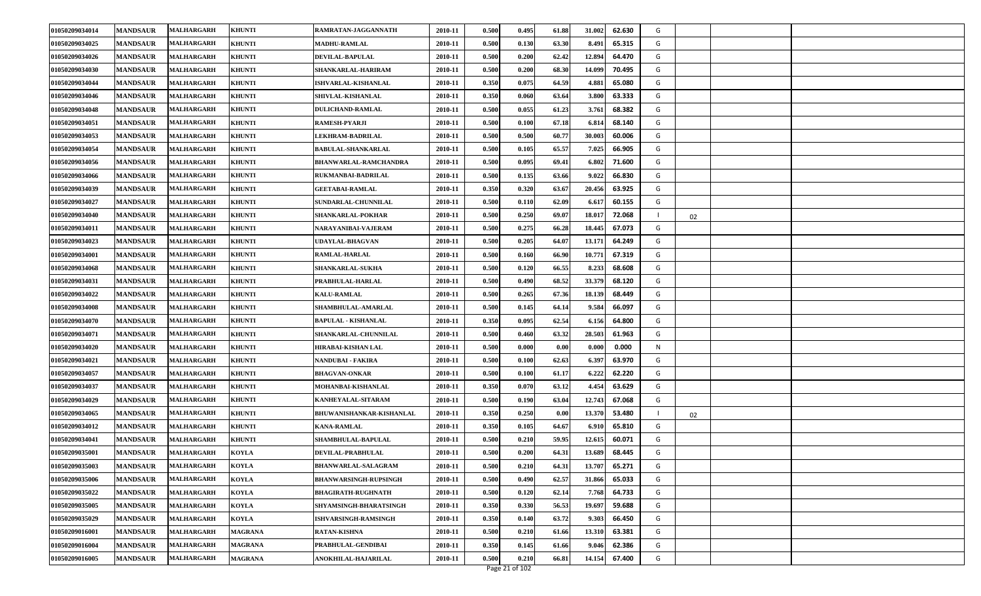| 01050209034014 | <b>MANDSAUR</b> | <b>MALHARGARH</b> | <b>KHUNTI</b>  | RAMRATAN-JAGGANNATH          | 2010-11 | 0.500 | 0.495 | 61.88 | 31.002 | 62.630 | G |    |  |
|----------------|-----------------|-------------------|----------------|------------------------------|---------|-------|-------|-------|--------|--------|---|----|--|
| 01050209034025 | <b>MANDSAUR</b> | <b>MALHARGARH</b> | <b>KHUNTI</b>  | <b>MADHU-RAMLAL</b>          | 2010-11 | 0.500 | 0.130 | 63.30 | 8.491  | 65.315 | G |    |  |
| 01050209034026 | <b>MANDSAUR</b> | <b>MALHARGARH</b> | <b>KHUNTI</b>  | <b>DEVILAL-BAPULAL</b>       | 2010-11 | 0.500 | 0.200 | 62.42 | 12.894 | 64.470 | G |    |  |
| 01050209034030 | <b>MANDSAUR</b> | <b>MALHARGARH</b> | <b>KHUNTI</b>  | SHANKARLAL-HARIRAM           | 2010-11 | 0.500 | 0.200 | 68.30 | 14.099 | 70.495 | G |    |  |
| 01050209034044 | <b>MANDSAUR</b> | <b>MALHARGARH</b> | <b>KHUNTI</b>  | <b>ISHVARLAL-KISHANLAL</b>   | 2010-11 | 0.350 | 0.075 | 64.59 | 4.881  | 65.080 | G |    |  |
| 01050209034046 | <b>MANDSAUR</b> | <b>MALHARGARH</b> | <b>KHUNTI</b>  | SHIVLAL-KISHANLAL            | 2010-11 | 0.350 | 0.060 | 63.64 | 3.800  | 63.333 | G |    |  |
| 01050209034048 | <b>MANDSAUR</b> | <b>MALHARGARH</b> | <b>KHUNTI</b>  | DULICHAND-RAMLAL             | 2010-11 | 0.500 | 0.055 | 61.23 | 3.761  | 68.382 | G |    |  |
| 01050209034051 | <b>MANDSAUR</b> | <b>MALHARGARH</b> | <b>KHUNTI</b>  | RAMESH-PYARJI                | 2010-11 | 0.500 | 0.100 | 67.18 | 6.814  | 68.140 | G |    |  |
| 01050209034053 | <b>MANDSAUR</b> | <b>MALHARGARH</b> | <b>KHUNTI</b>  | <b>LEKHRAM-BADRILAL</b>      | 2010-11 | 0.500 | 0.500 | 60.77 | 30.003 | 60.006 | G |    |  |
| 01050209034054 | <b>MANDSAUR</b> | <b>MALHARGARH</b> | <b>KHUNTI</b>  | <b>BABULAL-SHANKARLAL</b>    | 2010-11 | 0.500 | 0.105 | 65.57 | 7.025  | 66.905 | G |    |  |
| 01050209034056 | <b>MANDSAUR</b> | <b>MALHARGARH</b> | <b>KHUNTI</b>  | <b>BHANWARLAL-RAMCHANDRA</b> | 2010-11 | 0.500 | 0.095 | 69.41 | 6.802  | 71.600 | G |    |  |
| 01050209034066 | <b>MANDSAUR</b> | MALHARGARH        | <b>KHUNTI</b>  | RUKMANBAI-BADRILAL           | 2010-11 | 0.500 | 0.135 | 63.66 | 9.022  | 66.830 | G |    |  |
| 01050209034039 | <b>MANDSAUR</b> | <b>MALHARGARH</b> | <b>KHUNTI</b>  | <b>GEETABAI-RAMLAL</b>       | 2010-11 | 0.350 | 0.320 | 63.67 | 20.456 | 63.925 | G |    |  |
| 01050209034027 | <b>MANDSAUR</b> | <b>MALHARGARH</b> | <b>KHUNTI</b>  | <b>SUNDARLAL-CHUNNILAL</b>   | 2010-11 | 0.500 | 0.110 | 62.09 | 6.617  | 60.155 | G |    |  |
| 01050209034040 | <b>MANDSAUR</b> | <b>MALHARGARH</b> | <b>KHUNTI</b>  | SHANKARLAL-POKHAR            | 2010-11 | 0.500 | 0.250 | 69.07 | 18.017 | 72.068 |   | 02 |  |
| 01050209034011 | <b>MANDSAUR</b> | <b>MALHARGARH</b> | <b>KHUNTI</b>  | NARAYANIBAI-VAJERAM          | 2010-11 | 0.500 | 0.275 | 66.28 | 18.445 | 67.073 | G |    |  |
| 01050209034023 | <b>MANDSAUR</b> | <b>MALHARGARH</b> | <b>KHUNTI</b>  | UDAYLAL-BHAGVAN              | 2010-11 | 0.500 | 0.205 | 64.07 | 13.171 | 64.249 | G |    |  |
| 01050209034001 | <b>MANDSAUR</b> | <b>MALHARGARH</b> | <b>KHUNTI</b>  | RAMLAL-HARLAL                | 2010-11 | 0.500 | 0.160 | 66.90 | 10.771 | 67.319 | G |    |  |
| 01050209034068 | <b>MANDSAUR</b> | <b>MALHARGARH</b> | <b>KHUNTI</b>  | <b>SHANKARLAL-SUKHA</b>      | 2010-11 | 0.500 | 0.120 | 66.55 | 8.233  | 68.608 | G |    |  |
| 01050209034031 | <b>MANDSAUR</b> | <b>MALHARGARH</b> | <b>KHUNTI</b>  | PRABHULAL-HARLAL             | 2010-11 | 0.500 | 0.490 | 68.52 | 33.379 | 68.120 | G |    |  |
| 01050209034022 | <b>MANDSAUR</b> | <b>MALHARGARH</b> | <b>KHUNTI</b>  | <b>KALU-RAMLAL</b>           | 2010-11 | 0.500 | 0.265 | 67.36 | 18.139 | 68.449 | G |    |  |
| 01050209034008 | <b>MANDSAUR</b> | <b>MALHARGARH</b> | <b>KHUNTI</b>  | SHAMBHULAL-AMARLAL           | 2010-11 | 0.500 | 0.145 | 64.14 | 9.584  | 66.097 | G |    |  |
| 01050209034070 | <b>MANDSAUR</b> | <b>MALHARGARH</b> | <b>KHUNTI</b>  | <b>BAPULAL - KISHANLAL</b>   | 2010-11 | 0.350 | 0.095 | 62.54 | 6.156  | 64.800 | G |    |  |
| 01050209034071 | <b>MANDSAUR</b> | <b>MALHARGARH</b> | <b>KHUNTI</b>  | SHANKARLAL-CHUNNILAL         | 2010-11 | 0.500 | 0.460 | 63.32 | 28.503 | 61.963 | G |    |  |
| 01050209034020 | <b>MANDSAUR</b> | <b>MALHARGARH</b> | <b>KHUNTI</b>  | HIRABAI-KISHAN LAL           | 2010-11 | 0.500 | 0.000 | 0.00  | 0.000  | 0.000  | N |    |  |
| 01050209034021 | <b>MANDSAUR</b> | <b>MALHARGARH</b> | <b>KHUNTI</b>  | NANDUBAI - FAKIRA            | 2010-11 | 0.500 | 0.100 | 62.63 | 6.397  | 63.970 | G |    |  |
| 01050209034057 | <b>MANDSAUR</b> | <b>MALHARGARH</b> | <b>KHUNTI</b>  | <b>BHAGVAN-ONKAR</b>         | 2010-11 | 0.500 | 0.100 | 61.17 | 6.222  | 62.220 | G |    |  |
| 01050209034037 | <b>MANDSAUR</b> | <b>MALHARGARH</b> | <b>KHUNTI</b>  | MOHANBAI-KISHANLAL           | 2010-11 | 0.350 | 0.070 | 63.12 | 4.454  | 63.629 | G |    |  |
| 01050209034029 | <b>MANDSAUR</b> | <b>MALHARGARH</b> | <b>KHUNTI</b>  | KANHEYALAL-SITARAM           | 2010-11 | 0.500 | 0.190 | 63.04 | 12.743 | 67.068 | G |    |  |
| 01050209034065 | <b>MANDSAUR</b> | <b>MALHARGARH</b> | <b>KHUNTI</b>  | BHUWANISHANKAR-KISHANLAL     | 2010-11 | 0.350 | 0.250 | 0.00  | 13.370 | 53.480 |   | 02 |  |
| 01050209034012 | <b>MANDSAUR</b> | <b>MALHARGARH</b> | <b>KHUNTI</b>  | <b>KANA-RAMLAL</b>           | 2010-11 | 0.350 | 0.105 | 64.67 | 6.910  | 65.810 | G |    |  |
| 01050209034041 | <b>MANDSAUR</b> | <b>MALHARGARH</b> | <b>KHUNTI</b>  | SHAMBHULAL-BAPULAL           | 2010-11 | 0.500 | 0.210 | 59.95 | 12.615 | 60.071 | G |    |  |
| 01050209035001 | <b>MANDSAUR</b> | <b>MALHARGARH</b> | <b>KOYLA</b>   | DEVILAL-PRABHULAL            | 2010-11 | 0.500 | 0.200 | 64.31 | 13.689 | 68.445 | G |    |  |
| 01050209035003 | <b>MANDSAUR</b> | <b>MALHARGARH</b> | <b>KOYLA</b>   | <b>BHANWARLAL-SALAGRAM</b>   | 2010-11 | 0.500 | 0.210 | 64.31 | 13.707 | 65.271 | G |    |  |
| 01050209035006 | <b>MANDSAUR</b> | <b>MALHARGARH</b> | <b>KOYLA</b>   | <b>BHANWARSINGH-RUPSINGH</b> | 2010-11 | 0.500 | 0.490 | 62.57 | 31.866 | 65.033 | G |    |  |
| 01050209035022 | <b>MANDSAUR</b> | <b>MALHARGARH</b> | <b>KOYLA</b>   | <b>BHAGIRATH-RUGHNATH</b>    | 2010-11 | 0.500 | 0.120 | 62.14 | 7.768  | 64.733 | G |    |  |
| 01050209035005 | <b>MANDSAUR</b> | <b>MALHARGARH</b> | <b>KOYLA</b>   | SHYAMSINGH-BHARATSINGH       | 2010-11 | 0.350 | 0.330 | 56.53 | 19.697 | 59.688 | G |    |  |
| 01050209035029 | <b>MANDSAUR</b> | <b>MALHARGARH</b> | <b>KOYLA</b>   | <b>ISHVARSINGH-RAMSINGH</b>  | 2010-11 | 0.350 | 0.140 | 63.72 | 9.303  | 66.450 | G |    |  |
| 01050209016001 | <b>MANDSAUR</b> | <b>MALHARGARH</b> | <b>MAGRANA</b> | <b>RATAN-KISHNA</b>          | 2010-11 | 0.500 | 0.210 | 61.66 | 13.310 | 63.381 | G |    |  |
| 01050209016004 | <b>MANDSAUR</b> | <b>MALHARGARH</b> | <b>MAGRANA</b> | PRABHULAL-GENDIBAI           | 2010-11 | 0.350 | 0.145 | 61.66 | 9.046  | 62.386 | G |    |  |
| 01050209016005 | <b>MANDSAUR</b> | <b>MALHARGARH</b> | <b>MAGRANA</b> | ANOKHILAL-HAJARILAL          | 2010-11 | 0.500 | 0.210 | 66.81 | 14.154 | 67.400 | G |    |  |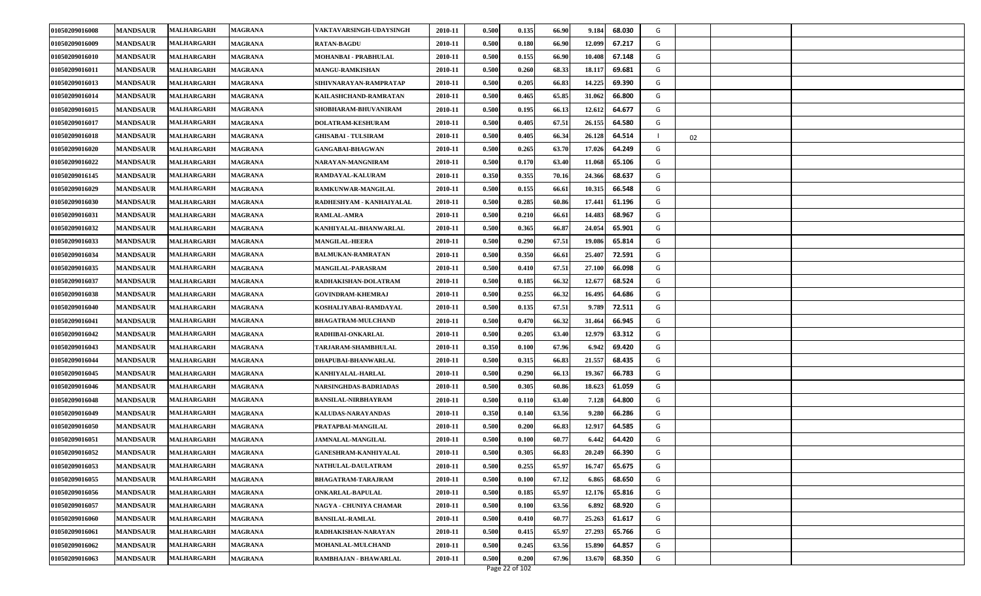| 01050209016008 | <b>MANDSAUR</b> | <b>MALHARGARH</b> | <b>MAGRANA</b> | VAKTAVARSINGH-UDAYSINGH      | 2010-11 | 0.500 | 0.135          | 66.90 | 9.184  | 68.030 | G |    |  |
|----------------|-----------------|-------------------|----------------|------------------------------|---------|-------|----------------|-------|--------|--------|---|----|--|
| 01050209016009 | <b>MANDSAUR</b> | MALHARGARH        | <b>MAGRANA</b> | <b>RATAN-BAGDU</b>           | 2010-11 | 0.500 | 0.180          | 66.90 | 12.099 | 67.217 | G |    |  |
| 01050209016010 | <b>MANDSAUR</b> | <b>MALHARGARH</b> | <b>MAGRANA</b> | MOHANBAI - PRABHULAL         | 2010-11 | 0.500 | 0.155          | 66.90 | 10.408 | 67.148 | G |    |  |
| 01050209016011 | <b>MANDSAUR</b> | <b>MALHARGARH</b> | <b>MAGRANA</b> | <b>MANGU-RAMKISHAN</b>       | 2010-11 | 0.500 | 0.260          | 68.33 | 18.117 | 69.681 | G |    |  |
| 01050209016013 | <b>MANDSAUR</b> | <b>MALHARGARH</b> | <b>MAGRANA</b> | SIHIVNARAYAN-RAMPRATAP       | 2010-11 | 0.500 | 0.205          | 66.83 | 14.225 | 69.390 | G |    |  |
| 01050209016014 | <b>MANDSAUR</b> | <b>MALHARGARH</b> | <b>MAGRANA</b> | KAILASHCHAND-RAMRATAN        | 2010-11 | 0.500 | 0.465          | 65.85 | 31.062 | 66.800 | G |    |  |
| 01050209016015 | <b>MANDSAUR</b> | <b>MALHARGARH</b> | <b>MAGRANA</b> | SHOBHARAM-BHUVANIRAM         | 2010-11 | 0.500 | 0.195          | 66.13 | 12.612 | 64.677 | G |    |  |
| 01050209016017 | <b>MANDSAUR</b> | <b>MALHARGARH</b> | <b>MAGRANA</b> | <b>DOLATRAM-KESHURAM</b>     | 2010-11 | 0.500 | 0.405          | 67.51 | 26.155 | 64.580 | G |    |  |
| 01050209016018 | <b>MANDSAUR</b> | <b>MALHARGARH</b> | <b>MAGRANA</b> | <b>GHISABAI - TULSIRAM</b>   | 2010-11 | 0.500 | 0.405          | 66.34 | 26.128 | 64.514 |   | 02 |  |
| 01050209016020 | <b>MANDSAUR</b> | <b>MALHARGARH</b> | <b>MAGRANA</b> | <b>GANGABAI-BHAGWAN</b>      | 2010-11 | 0.500 | 0.265          | 63.70 | 17.026 | 64.249 | G |    |  |
| 01050209016022 | <b>MANDSAUR</b> | <b>MALHARGARH</b> | <b>MAGRANA</b> | NARAYAN-MANGNIRAM            | 2010-11 | 0.500 | 0.170          | 63.40 | 11.068 | 65.106 | G |    |  |
| 01050209016145 | <b>MANDSAUR</b> | <b>MALHARGARH</b> | <b>MAGRANA</b> | <b>RAMDAYAL-KALURAM</b>      | 2010-11 | 0.350 | 0.355          | 70.16 | 24.366 | 68.637 | G |    |  |
| 01050209016029 | <b>MANDSAUR</b> | MALHARGARH        | <b>MAGRANA</b> | RAMKUNWAR-MANGILAL           | 2010-11 | 0.500 | 0.155          | 66.61 | 10.31  | 66.548 | G |    |  |
| 01050209016030 | <b>MANDSAUR</b> | <b>MALHARGARH</b> | <b>MAGRANA</b> | RADHESHYAM - KANHAIYALAL     | 2010-11 | 0.500 | 0.285          | 60.86 | 17.441 | 61.196 | G |    |  |
| 01050209016031 | <b>MANDSAUR</b> | <b>MALHARGARH</b> | <b>MAGRANA</b> | <b>RAMLAL-AMRA</b>           | 2010-11 | 0.500 | 0.210          | 66.61 | 14.483 | 68.967 | G |    |  |
| 01050209016032 | <b>MANDSAUR</b> | <b>MALHARGARH</b> | <b>MAGRANA</b> | KANHIYALAL-BHANWARLAL        | 2010-11 | 0.500 | 0.365          | 66.87 | 24.054 | 65.901 | G |    |  |
| 01050209016033 | <b>MANDSAUR</b> | MALHARGARH        | <b>MAGRANA</b> | <b>MANGILAL-HEERA</b>        | 2010-11 | 0.500 | 0.290          | 67.51 | 19.086 | 65.814 | G |    |  |
| 01050209016034 | <b>MANDSAUR</b> | <b>MALHARGARH</b> | <b>MAGRANA</b> | <b>BALMUKAN-RAMRATAN</b>     | 2010-11 | 0.500 | 0.350          | 66.61 | 25.407 | 72.591 | G |    |  |
| 01050209016035 | <b>MANDSAUR</b> | <b>MALHARGARH</b> | <b>MAGRANA</b> | <b>MANGILAL-PARASRAM</b>     | 2010-11 | 0.500 | 0.410          | 67.51 | 27.100 | 66.098 | G |    |  |
| 01050209016037 | <b>MANDSAUR</b> | <b>MALHARGARH</b> | <b>MAGRANA</b> | RADHAKISHAN-DOLATRAM         | 2010-11 | 0.500 | 0.185          | 66.32 | 12.67  | 68.524 | G |    |  |
| 01050209016038 | <b>MANDSAUR</b> | MALHARGARH        | <b>MAGRANA</b> | <b>GOVINDRAM-KHEMRAJ</b>     | 2010-11 | 0.500 | 0.255          | 66.32 | 16.495 | 64.686 | G |    |  |
| 01050209016040 | <b>MANDSAUR</b> | <b>MALHARGARH</b> | <b>MAGRANA</b> | KOSHALIYABAI-RAMDAYAL        | 2010-11 | 0.500 | 0.135          | 67.51 | 9.789  | 72.511 | G |    |  |
| 01050209016041 | <b>MANDSAUR</b> | <b>MALHARGARH</b> | <b>MAGRANA</b> | <b>BHAGATRAM-MULCHAND</b>    | 2010-11 | 0.500 | 0.470          | 66.32 | 31.464 | 66.945 | G |    |  |
| 01050209016042 | <b>MANDSAUR</b> | <b>MALHARGARH</b> | <b>MAGRANA</b> | RADHIBAI-ONKARLAL            | 2010-11 | 0.500 | 0.205          | 63.40 | 12.979 | 63.312 | G |    |  |
| 01050209016043 | <b>MANDSAUR</b> | MALHARGARH        | <b>MAGRANA</b> | TARJARAM-SHAMBHULAL          | 2010-11 | 0.350 | 0.100          | 67.96 | 6.942  | 69.420 | G |    |  |
| 01050209016044 | <b>MANDSAUR</b> | <b>MALHARGARH</b> | <b>MAGRANA</b> | DHAPUBAI-BHANWARLAL          | 2010-11 | 0.500 | 0.315          | 66.83 | 21.557 | 68.435 | G |    |  |
| 01050209016045 | <b>MANDSAUR</b> | <b>MALHARGARH</b> | <b>MAGRANA</b> | KANHIYALAL-HARLAL            | 2010-11 | 0.500 | 0.290          | 66.13 | 19.367 | 66.783 | G |    |  |
| 01050209016046 | <b>MANDSAUR</b> | <b>MALHARGARH</b> | <b>MAGRANA</b> | <b>NARSINGHDAS-BADRIADAS</b> | 2010-11 | 0.500 | 0.305          | 60.86 | 18.623 | 61.059 | G |    |  |
| 01050209016048 | <b>MANDSAUR</b> | <b>MALHARGARH</b> | <b>MAGRANA</b> | <b>BANSILAL-NIRBHAYRAM</b>   | 2010-11 | 0.500 | 0.110          | 63.40 | 7.128  | 64.800 | G |    |  |
| 01050209016049 | <b>MANDSAUR</b> | <b>MALHARGARH</b> | <b>MAGRANA</b> | KALUDAS-NARAYANDAS           | 2010-11 | 0.350 | 0.140          | 63.56 | 9.280  | 66.286 | G |    |  |
| 01050209016050 | <b>MANDSAUR</b> | <b>MALHARGARH</b> | <b>MAGRANA</b> | PRATAPBAI-MANGILAL           | 2010-11 | 0.500 | 0.200          | 66.83 | 12.917 | 64.585 | G |    |  |
| 01050209016051 | <b>MANDSAUR</b> | <b>MALHARGARH</b> | <b>MAGRANA</b> | JAMNALAL-MANGILAL            | 2010-11 | 0.500 | 0.100          | 60.77 | 6.442  | 64.420 | G |    |  |
| 01050209016052 | <b>MANDSAUR</b> | <b>MALHARGARH</b> | <b>MAGRANA</b> | GANESHRAM-KANHIYALAL         | 2010-11 | 0.500 | 0.305          | 66.83 | 20.249 | 66.390 | G |    |  |
| 01050209016053 | <b>MANDSAUR</b> | <b>MALHARGARH</b> | <b>MAGRANA</b> | NATHULAL-DAULATRAM           | 2010-11 | 0.500 | 0.255          | 65.97 | 16.747 | 65.675 | G |    |  |
| 01050209016055 | <b>MANDSAUR</b> | <b>MALHARGARH</b> | <b>MAGRANA</b> | BHAGATRAM-TARAJRAM           | 2010-11 | 0.500 | 0.100          | 67.12 | 6.865  | 68.650 | G |    |  |
| 01050209016056 | <b>MANDSAUR</b> | MALHARGARH        | <b>MAGRANA</b> | ONKARLAL-BAPULAL             | 2010-11 | 0.500 | 0.185          | 65.97 | 12.176 | 65.816 | G |    |  |
| 01050209016057 | <b>MANDSAUR</b> | MALHARGARH        | <b>MAGRANA</b> | NAGYA - CHUNIYA CHAMAR       | 2010-11 | 0.500 | 0.100          | 63.56 | 6.892  | 68.920 | G |    |  |
| 01050209016060 | <b>MANDSAUR</b> | <b>MALHARGARH</b> | <b>MAGRANA</b> | <b>BANSILAL-RAMLAL</b>       | 2010-11 | 0.500 | 0.410          | 60.77 | 25.263 | 61.617 | G |    |  |
| 01050209016061 | <b>MANDSAUR</b> | <b>MALHARGARH</b> | <b>MAGRANA</b> | RADHAKISHAN-NARAYAN          | 2010-11 | 0.500 | 0.415          | 65.97 | 27.293 | 65.766 | G |    |  |
| 01050209016062 | <b>MANDSAUR</b> | MALHARGARH        | <b>MAGRANA</b> | MOHANLAL-MULCHAND            | 2010-11 | 0.500 | 0.245          | 63.56 | 15.890 | 64.857 | G |    |  |
| 01050209016063 | <b>MANDSAUR</b> | <b>MALHARGARH</b> | <b>MAGRANA</b> | RAMBHAJAN - BHAWARLAL        | 2010-11 | 0.500 | 0.200          | 67.96 | 13.670 | 68.350 | G |    |  |
|                |                 |                   |                |                              |         |       | Page 22 of 102 |       |        |        |   |    |  |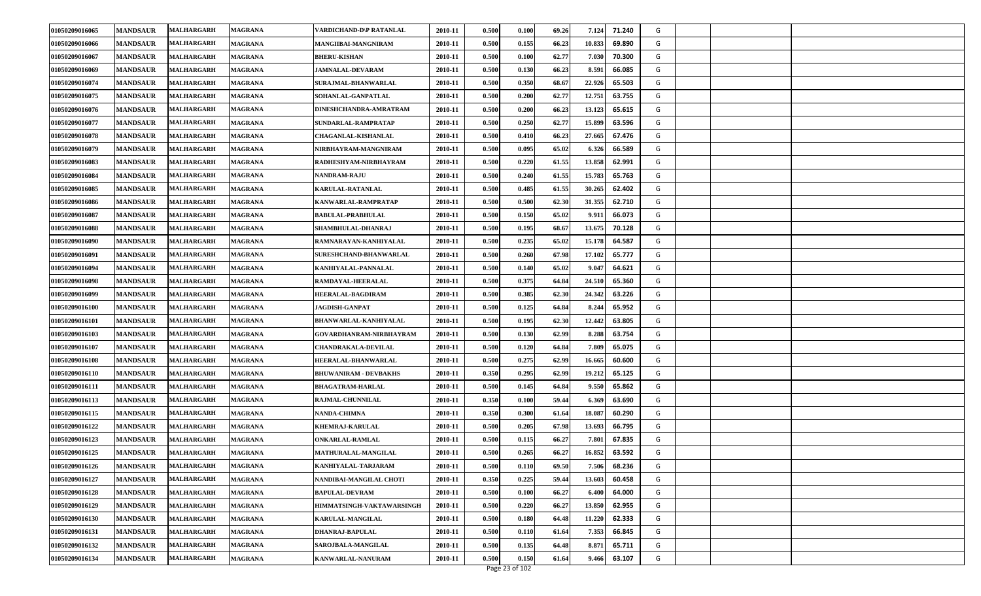| 01050209016066<br>0.500<br>0.155<br><b>MANDSAUR</b><br>MALHARGARH<br><b>MAGRANA</b><br>MANGIIBAI-MANGNIRAM<br>2010-11<br>66.23<br>10.833<br>69.890<br>G<br>01050209016067<br><b>MANDSAUR</b><br><b>MALHARGARH</b><br><b>BHERU-KISHAN</b><br>2010-11<br>0.500<br>0.100<br>62.77<br>70.300<br>G<br><b>MAGRANA</b><br>7.030<br>01050209016069<br><b>MANDSAUR</b><br><b>MALHARGARH</b><br>2010-11<br>0.500<br>0.130<br>66.23<br>8.591<br>66.085<br>G<br><b>MAGRANA</b><br><b>JAMNALAL-DEVARAM</b><br>01050209016074<br><b>MANDSAUR</b><br>2010-11<br>0.500<br>0.350<br>68.67<br>22.926<br>65.503<br>G<br>MALHARGARH<br>MAGRANA<br><b>SURAJMAL-BHANWARLAL</b><br>01050209016075<br>62.77<br>12.751<br><b>MANDSAUR</b><br>2010-11<br>0.500<br>0.200<br>63.755<br>G<br><b>MALHARGARH</b><br><b>MAGRANA</b><br><b>SOHANLAL-GANPATLAL</b><br>0.500<br>0.200<br>13.123<br>65.615<br>01050209016076<br><b>MANDSAUR</b><br><b>MALHARGARH</b><br><b>MAGRANA</b><br>DINESHCHANDRA-AMRATRAM<br>2010-11<br>66.23<br>G<br>0.500<br>15.899<br>01050209016077<br><b>MANDSAUR</b><br>MALHARGARH<br>MAGRANA<br>SUNDARLAL-RAMPRATAP<br>2010-11<br>0.250<br>62.77<br>63.596<br>G<br>0.500<br>66.23<br>27.665<br>67.476<br>01050209016078<br><b>MANDSAUR</b><br>MALHARGARH<br>2010-11<br>0.410<br>G<br>MAGRANA<br><b>CHAGANLAL-KISHANLAL</b><br>65.02<br>6.326<br>01050209016079<br><b>MANDSAUR</b><br>MALHARGARH<br>2010-11<br>0.500<br>0.095<br>66.589<br>G<br><b>MAGRANA</b><br>NIRBHAYRAM-MANGNIRAM<br>0.500<br>0.220<br>61.55<br>13.858<br>62.991<br>01050209016083<br><b>MANDSAUR</b><br>2010-11<br>G<br><b>MALHARGARH</b><br><b>MAGRANA</b><br>RADHESHYAM-NIRBHAYRAM<br>01050209016084<br><b>MANDSAUR</b><br>0.500<br>0.240<br>61.55<br>15.783<br>65.763<br>G<br>2010-11<br><b>MALHARGARH</b><br><b>MAGRANA</b><br><b>NANDRAM-RAJU</b><br>0.500<br>0.485<br>30.265<br>62.402<br>01050209016085<br><b>MANDSAUR</b><br>MALHARGARH<br>MAGRANA<br>KARULAL-RATANLAL<br>2010-11<br>61.55<br>G<br>01050209016086<br><b>MANDSAUR</b><br>KANWARLAL-RAMPRATAP<br>2010-11<br>0.500<br>0.500<br>62.30<br>31.355<br>62.710<br>G<br>MALHARGARH<br><b>MAGRANA</b><br>0.500<br>0.150<br>65.02<br>9.911<br>66.073<br>01050209016087<br><b>MANDSAUR</b><br>MALHARGARH<br><b>MAGRANA</b><br>2010-11<br>G<br><b>BABULAL-PRABHULAL</b><br>01050209016088<br>0.500<br>0.195<br>68.67<br>13.675<br>70.128<br>G<br><b>MANDSAUR</b><br><b>MALHARGARH</b><br><b>MAGRANA</b><br>SHAMBHULAL-DHANRAJ<br>2010-11<br>0.500<br>0.235<br>65.02<br>15.178<br>64.587<br>01050209016090<br><b>MANDSAUR</b><br>2010-11<br>G<br>MALHARGARH<br><b>MAGRANA</b><br>RAMNARAYAN-KANHIYALAL<br>01050209016091<br><b>MANDSAUR</b><br>2010-11<br>0.500<br>0.260<br>67.98<br>17.102<br>65.777<br>G<br>MALHARGARH<br><b>MAGRANA</b><br>SURESHCHAND-BHANWARLAL<br>01050209016094<br><b>MANDSAUR</b><br><b>MALHARGARH</b><br><b>MAGRANA</b><br>KANHIYALAL-PANNALAL<br>2010-11<br>0.500<br>0.140<br>65.02<br>9.047<br>64.621<br>G<br>01050209016098<br><b>MANDSAUR</b><br>2010-11<br>0.500<br>0.375<br>64.84<br>24.510<br>65.360<br><b>MALHARGARH</b><br><b>MAGRANA</b><br>RAMDAYAL-HEERALAL<br>G<br>0.385<br>24.342<br>01050209016099<br><b>MANDSAUR</b><br><b>MALHARGARH</b><br>2010-11<br>0.500<br>62.30<br>63.226<br>G<br><b>MAGRANA</b><br><b>HEERALAL-BAGDIRAM</b><br>01050209016100<br><b>MANDSAUR</b><br>2010-11<br>0.500<br>0.125<br>64.84<br>8.244<br>65.952<br>G<br><b>MALHARGARH</b><br><b>MAGRANA</b><br><b>JAGDISH-GANPAT</b><br>62.30<br>12.442<br>01050209016101<br><b>MANDSAUR</b><br>2010-11<br>0.500<br>0.195<br>63.805<br>G<br>MALHARGARH<br><b>MAGRANA</b><br>BHANWARLAL-KANHIYALAL<br>01050209016103<br><b>MANDSAUR</b><br>0.500<br>0.130<br>62.99<br>8.288<br>63.754<br>G<br>MALHARGARH<br>MAGRANA<br>GOVARDHANRAM-NIRBHAYRAM<br>2010-11<br>64.84<br>01050209016107<br><b>MANDSAUR</b><br>MALHARGARH<br><b>MAGRANA</b><br><b>CHANDRAKALA-DEVILAL</b><br>2010-11<br>0.500<br>0.120<br>7.809<br>65.075<br>G<br>01050209016108<br><b>MANDSAUR</b><br>MALHARGARH<br><b>MAGRANA</b><br>HEERALAL-BHANWARLAL<br>2010-11<br>0.500<br>0.275<br>62.99<br>16.665<br>60.600<br>G<br>01050209016110<br><b>MANDSAUR</b><br>MALHARGARH<br>2010-11<br>0.350<br>0.295<br>62.99<br>19.212<br>65.125<br>G<br><b>MAGRANA</b><br><b>BHUWANIRAM - DEVBAKHS</b><br>01050209016111<br><b>MANDSAUR</b><br>2010-11<br>0.500<br>0.145<br>64.84<br>9.550<br>65.862<br>G<br>MALHARGARH<br><b>MAGRANA</b><br><b>BHAGATRAM-HARLAL</b><br>01050209016113<br><b>MANDSAUR</b><br>2010-11<br>0.350<br>0.100<br>59.44<br>6.369<br>63.690<br>G<br>MALHARGARH<br><b>MAGRANA</b><br>RAJMAL-CHUNNILAL<br><b>MANDSAUR</b><br><b>NANDA-CHIMNA</b><br>0.350<br>0.300<br>18.087<br>60.290<br>01050209016115<br>MALHARGARH<br><b>MAGRANA</b><br>2010-11<br>61.64<br>G<br>0.500<br>01050209016122<br><b>MANDSAUR</b><br>MALHARGARH<br><b>MAGRANA</b><br><b>KHEMRAJ-KARULAL</b><br>2010-11<br>0.205<br>67.98<br>13.693<br>66.795<br>G<br>01050209016123<br><b>MANDSAUR</b><br>MALHARGARH<br>2010-11<br>0.500<br>0.115<br>66.27<br>7.80<br>67.835<br>G<br>MAGRANA<br><b>ONKARLAL-RAMLAL</b><br>01050209016125<br>0.500<br>0.265<br>66.27<br>16.852<br>63.592<br>G<br><b>MANDSAUR</b><br><b>MALHARGARH</b><br>2010-11<br><b>MAGRANA</b><br>MATHURALAL-MANGILAL<br>01050209016126<br><b>MANDSAUR</b><br>2010-11<br>0.500<br>0.110<br>69.50<br>7.506<br>68.236<br>G<br><b>MALHARGARH</b><br>KANHIYALAL-TARJARAM<br><b>MAGRANA</b><br>0.350<br>0.225<br>13.603<br>G<br>01050209016127<br><b>MANDSAUR</b><br>2010-11<br>59.44<br>60.458<br>MALHARGARH<br>NANDIBAI-MANGILAL CHOTI<br>MAGRANA<br>0.100<br>66.27<br>01050209016128<br><b>MANDSAUR</b><br><b>MALHARGARH</b><br><b>MAGRANA</b><br><b>BAPULAL-DEVRAM</b><br>2010-11<br>0.500<br>6.400<br>64.000<br>G<br>62.955 | 01050209016065 | <b>MANDSAUR</b> | MALHARGARH | <b>MAGRANA</b> | VARDICHAND-D\P RATANLAL   | 2010-11 | 0.500 | 0.100 | 69.26 | 7.124  | 71.240 | G |  |
|------------------------------------------------------------------------------------------------------------------------------------------------------------------------------------------------------------------------------------------------------------------------------------------------------------------------------------------------------------------------------------------------------------------------------------------------------------------------------------------------------------------------------------------------------------------------------------------------------------------------------------------------------------------------------------------------------------------------------------------------------------------------------------------------------------------------------------------------------------------------------------------------------------------------------------------------------------------------------------------------------------------------------------------------------------------------------------------------------------------------------------------------------------------------------------------------------------------------------------------------------------------------------------------------------------------------------------------------------------------------------------------------------------------------------------------------------------------------------------------------------------------------------------------------------------------------------------------------------------------------------------------------------------------------------------------------------------------------------------------------------------------------------------------------------------------------------------------------------------------------------------------------------------------------------------------------------------------------------------------------------------------------------------------------------------------------------------------------------------------------------------------------------------------------------------------------------------------------------------------------------------------------------------------------------------------------------------------------------------------------------------------------------------------------------------------------------------------------------------------------------------------------------------------------------------------------------------------------------------------------------------------------------------------------------------------------------------------------------------------------------------------------------------------------------------------------------------------------------------------------------------------------------------------------------------------------------------------------------------------------------------------------------------------------------------------------------------------------------------------------------------------------------------------------------------------------------------------------------------------------------------------------------------------------------------------------------------------------------------------------------------------------------------------------------------------------------------------------------------------------------------------------------------------------------------------------------------------------------------------------------------------------------------------------------------------------------------------------------------------------------------------------------------------------------------------------------------------------------------------------------------------------------------------------------------------------------------------------------------------------------------------------------------------------------------------------------------------------------------------------------------------------------------------------------------------------------------------------------------------------------------------------------------------------------------------------------------------------------------------------------------------------------------------------------------------------------------------------------------------------------------------------------------------------------------------------------------------------------------------------------------------------------------------------------------------------------------------------------------------------------------------------------------------------------------------------------------------------------------------------------------------------------------------------------------------------------------------------------------------------------------------------------------------------------------------------------------------------------------------------------------------------------------------------------------------------------------------------------------------------------------------------------------------------------------------------------------------------------------------------------------------------------------------------------------------------------------------------------------------------------------------------------------------------------------------------------------------------------------------------------------------------------------------------------------------------------------------------------------------------------------------------|----------------|-----------------|------------|----------------|---------------------------|---------|-------|-------|-------|--------|--------|---|--|
|                                                                                                                                                                                                                                                                                                                                                                                                                                                                                                                                                                                                                                                                                                                                                                                                                                                                                                                                                                                                                                                                                                                                                                                                                                                                                                                                                                                                                                                                                                                                                                                                                                                                                                                                                                                                                                                                                                                                                                                                                                                                                                                                                                                                                                                                                                                                                                                                                                                                                                                                                                                                                                                                                                                                                                                                                                                                                                                                                                                                                                                                                                                                                                                                                                                                                                                                                                                                                                                                                                                                                                                                                                                                                                                                                                                                                                                                                                                                                                                                                                                                                                                                                                                                                                                                                                                                                                                                                                                                                                                                                                                                                                                                                                                                                                                                                                                                                                                                                                                                                                                                                                                                                                                                                                                                                                                                                                                                                                                                                                                                                                                                                                                                                                                                                                        |                |                 |            |                |                           |         |       |       |       |        |        |   |  |
|                                                                                                                                                                                                                                                                                                                                                                                                                                                                                                                                                                                                                                                                                                                                                                                                                                                                                                                                                                                                                                                                                                                                                                                                                                                                                                                                                                                                                                                                                                                                                                                                                                                                                                                                                                                                                                                                                                                                                                                                                                                                                                                                                                                                                                                                                                                                                                                                                                                                                                                                                                                                                                                                                                                                                                                                                                                                                                                                                                                                                                                                                                                                                                                                                                                                                                                                                                                                                                                                                                                                                                                                                                                                                                                                                                                                                                                                                                                                                                                                                                                                                                                                                                                                                                                                                                                                                                                                                                                                                                                                                                                                                                                                                                                                                                                                                                                                                                                                                                                                                                                                                                                                                                                                                                                                                                                                                                                                                                                                                                                                                                                                                                                                                                                                                                        |                |                 |            |                |                           |         |       |       |       |        |        |   |  |
|                                                                                                                                                                                                                                                                                                                                                                                                                                                                                                                                                                                                                                                                                                                                                                                                                                                                                                                                                                                                                                                                                                                                                                                                                                                                                                                                                                                                                                                                                                                                                                                                                                                                                                                                                                                                                                                                                                                                                                                                                                                                                                                                                                                                                                                                                                                                                                                                                                                                                                                                                                                                                                                                                                                                                                                                                                                                                                                                                                                                                                                                                                                                                                                                                                                                                                                                                                                                                                                                                                                                                                                                                                                                                                                                                                                                                                                                                                                                                                                                                                                                                                                                                                                                                                                                                                                                                                                                                                                                                                                                                                                                                                                                                                                                                                                                                                                                                                                                                                                                                                                                                                                                                                                                                                                                                                                                                                                                                                                                                                                                                                                                                                                                                                                                                                        |                |                 |            |                |                           |         |       |       |       |        |        |   |  |
|                                                                                                                                                                                                                                                                                                                                                                                                                                                                                                                                                                                                                                                                                                                                                                                                                                                                                                                                                                                                                                                                                                                                                                                                                                                                                                                                                                                                                                                                                                                                                                                                                                                                                                                                                                                                                                                                                                                                                                                                                                                                                                                                                                                                                                                                                                                                                                                                                                                                                                                                                                                                                                                                                                                                                                                                                                                                                                                                                                                                                                                                                                                                                                                                                                                                                                                                                                                                                                                                                                                                                                                                                                                                                                                                                                                                                                                                                                                                                                                                                                                                                                                                                                                                                                                                                                                                                                                                                                                                                                                                                                                                                                                                                                                                                                                                                                                                                                                                                                                                                                                                                                                                                                                                                                                                                                                                                                                                                                                                                                                                                                                                                                                                                                                                                                        |                |                 |            |                |                           |         |       |       |       |        |        |   |  |
|                                                                                                                                                                                                                                                                                                                                                                                                                                                                                                                                                                                                                                                                                                                                                                                                                                                                                                                                                                                                                                                                                                                                                                                                                                                                                                                                                                                                                                                                                                                                                                                                                                                                                                                                                                                                                                                                                                                                                                                                                                                                                                                                                                                                                                                                                                                                                                                                                                                                                                                                                                                                                                                                                                                                                                                                                                                                                                                                                                                                                                                                                                                                                                                                                                                                                                                                                                                                                                                                                                                                                                                                                                                                                                                                                                                                                                                                                                                                                                                                                                                                                                                                                                                                                                                                                                                                                                                                                                                                                                                                                                                                                                                                                                                                                                                                                                                                                                                                                                                                                                                                                                                                                                                                                                                                                                                                                                                                                                                                                                                                                                                                                                                                                                                                                                        |                |                 |            |                |                           |         |       |       |       |        |        |   |  |
|                                                                                                                                                                                                                                                                                                                                                                                                                                                                                                                                                                                                                                                                                                                                                                                                                                                                                                                                                                                                                                                                                                                                                                                                                                                                                                                                                                                                                                                                                                                                                                                                                                                                                                                                                                                                                                                                                                                                                                                                                                                                                                                                                                                                                                                                                                                                                                                                                                                                                                                                                                                                                                                                                                                                                                                                                                                                                                                                                                                                                                                                                                                                                                                                                                                                                                                                                                                                                                                                                                                                                                                                                                                                                                                                                                                                                                                                                                                                                                                                                                                                                                                                                                                                                                                                                                                                                                                                                                                                                                                                                                                                                                                                                                                                                                                                                                                                                                                                                                                                                                                                                                                                                                                                                                                                                                                                                                                                                                                                                                                                                                                                                                                                                                                                                                        |                |                 |            |                |                           |         |       |       |       |        |        |   |  |
|                                                                                                                                                                                                                                                                                                                                                                                                                                                                                                                                                                                                                                                                                                                                                                                                                                                                                                                                                                                                                                                                                                                                                                                                                                                                                                                                                                                                                                                                                                                                                                                                                                                                                                                                                                                                                                                                                                                                                                                                                                                                                                                                                                                                                                                                                                                                                                                                                                                                                                                                                                                                                                                                                                                                                                                                                                                                                                                                                                                                                                                                                                                                                                                                                                                                                                                                                                                                                                                                                                                                                                                                                                                                                                                                                                                                                                                                                                                                                                                                                                                                                                                                                                                                                                                                                                                                                                                                                                                                                                                                                                                                                                                                                                                                                                                                                                                                                                                                                                                                                                                                                                                                                                                                                                                                                                                                                                                                                                                                                                                                                                                                                                                                                                                                                                        |                |                 |            |                |                           |         |       |       |       |        |        |   |  |
|                                                                                                                                                                                                                                                                                                                                                                                                                                                                                                                                                                                                                                                                                                                                                                                                                                                                                                                                                                                                                                                                                                                                                                                                                                                                                                                                                                                                                                                                                                                                                                                                                                                                                                                                                                                                                                                                                                                                                                                                                                                                                                                                                                                                                                                                                                                                                                                                                                                                                                                                                                                                                                                                                                                                                                                                                                                                                                                                                                                                                                                                                                                                                                                                                                                                                                                                                                                                                                                                                                                                                                                                                                                                                                                                                                                                                                                                                                                                                                                                                                                                                                                                                                                                                                                                                                                                                                                                                                                                                                                                                                                                                                                                                                                                                                                                                                                                                                                                                                                                                                                                                                                                                                                                                                                                                                                                                                                                                                                                                                                                                                                                                                                                                                                                                                        |                |                 |            |                |                           |         |       |       |       |        |        |   |  |
|                                                                                                                                                                                                                                                                                                                                                                                                                                                                                                                                                                                                                                                                                                                                                                                                                                                                                                                                                                                                                                                                                                                                                                                                                                                                                                                                                                                                                                                                                                                                                                                                                                                                                                                                                                                                                                                                                                                                                                                                                                                                                                                                                                                                                                                                                                                                                                                                                                                                                                                                                                                                                                                                                                                                                                                                                                                                                                                                                                                                                                                                                                                                                                                                                                                                                                                                                                                                                                                                                                                                                                                                                                                                                                                                                                                                                                                                                                                                                                                                                                                                                                                                                                                                                                                                                                                                                                                                                                                                                                                                                                                                                                                                                                                                                                                                                                                                                                                                                                                                                                                                                                                                                                                                                                                                                                                                                                                                                                                                                                                                                                                                                                                                                                                                                                        |                |                 |            |                |                           |         |       |       |       |        |        |   |  |
|                                                                                                                                                                                                                                                                                                                                                                                                                                                                                                                                                                                                                                                                                                                                                                                                                                                                                                                                                                                                                                                                                                                                                                                                                                                                                                                                                                                                                                                                                                                                                                                                                                                                                                                                                                                                                                                                                                                                                                                                                                                                                                                                                                                                                                                                                                                                                                                                                                                                                                                                                                                                                                                                                                                                                                                                                                                                                                                                                                                                                                                                                                                                                                                                                                                                                                                                                                                                                                                                                                                                                                                                                                                                                                                                                                                                                                                                                                                                                                                                                                                                                                                                                                                                                                                                                                                                                                                                                                                                                                                                                                                                                                                                                                                                                                                                                                                                                                                                                                                                                                                                                                                                                                                                                                                                                                                                                                                                                                                                                                                                                                                                                                                                                                                                                                        |                |                 |            |                |                           |         |       |       |       |        |        |   |  |
|                                                                                                                                                                                                                                                                                                                                                                                                                                                                                                                                                                                                                                                                                                                                                                                                                                                                                                                                                                                                                                                                                                                                                                                                                                                                                                                                                                                                                                                                                                                                                                                                                                                                                                                                                                                                                                                                                                                                                                                                                                                                                                                                                                                                                                                                                                                                                                                                                                                                                                                                                                                                                                                                                                                                                                                                                                                                                                                                                                                                                                                                                                                                                                                                                                                                                                                                                                                                                                                                                                                                                                                                                                                                                                                                                                                                                                                                                                                                                                                                                                                                                                                                                                                                                                                                                                                                                                                                                                                                                                                                                                                                                                                                                                                                                                                                                                                                                                                                                                                                                                                                                                                                                                                                                                                                                                                                                                                                                                                                                                                                                                                                                                                                                                                                                                        |                |                 |            |                |                           |         |       |       |       |        |        |   |  |
|                                                                                                                                                                                                                                                                                                                                                                                                                                                                                                                                                                                                                                                                                                                                                                                                                                                                                                                                                                                                                                                                                                                                                                                                                                                                                                                                                                                                                                                                                                                                                                                                                                                                                                                                                                                                                                                                                                                                                                                                                                                                                                                                                                                                                                                                                                                                                                                                                                                                                                                                                                                                                                                                                                                                                                                                                                                                                                                                                                                                                                                                                                                                                                                                                                                                                                                                                                                                                                                                                                                                                                                                                                                                                                                                                                                                                                                                                                                                                                                                                                                                                                                                                                                                                                                                                                                                                                                                                                                                                                                                                                                                                                                                                                                                                                                                                                                                                                                                                                                                                                                                                                                                                                                                                                                                                                                                                                                                                                                                                                                                                                                                                                                                                                                                                                        |                |                 |            |                |                           |         |       |       |       |        |        |   |  |
|                                                                                                                                                                                                                                                                                                                                                                                                                                                                                                                                                                                                                                                                                                                                                                                                                                                                                                                                                                                                                                                                                                                                                                                                                                                                                                                                                                                                                                                                                                                                                                                                                                                                                                                                                                                                                                                                                                                                                                                                                                                                                                                                                                                                                                                                                                                                                                                                                                                                                                                                                                                                                                                                                                                                                                                                                                                                                                                                                                                                                                                                                                                                                                                                                                                                                                                                                                                                                                                                                                                                                                                                                                                                                                                                                                                                                                                                                                                                                                                                                                                                                                                                                                                                                                                                                                                                                                                                                                                                                                                                                                                                                                                                                                                                                                                                                                                                                                                                                                                                                                                                                                                                                                                                                                                                                                                                                                                                                                                                                                                                                                                                                                                                                                                                                                        |                |                 |            |                |                           |         |       |       |       |        |        |   |  |
|                                                                                                                                                                                                                                                                                                                                                                                                                                                                                                                                                                                                                                                                                                                                                                                                                                                                                                                                                                                                                                                                                                                                                                                                                                                                                                                                                                                                                                                                                                                                                                                                                                                                                                                                                                                                                                                                                                                                                                                                                                                                                                                                                                                                                                                                                                                                                                                                                                                                                                                                                                                                                                                                                                                                                                                                                                                                                                                                                                                                                                                                                                                                                                                                                                                                                                                                                                                                                                                                                                                                                                                                                                                                                                                                                                                                                                                                                                                                                                                                                                                                                                                                                                                                                                                                                                                                                                                                                                                                                                                                                                                                                                                                                                                                                                                                                                                                                                                                                                                                                                                                                                                                                                                                                                                                                                                                                                                                                                                                                                                                                                                                                                                                                                                                                                        |                |                 |            |                |                           |         |       |       |       |        |        |   |  |
|                                                                                                                                                                                                                                                                                                                                                                                                                                                                                                                                                                                                                                                                                                                                                                                                                                                                                                                                                                                                                                                                                                                                                                                                                                                                                                                                                                                                                                                                                                                                                                                                                                                                                                                                                                                                                                                                                                                                                                                                                                                                                                                                                                                                                                                                                                                                                                                                                                                                                                                                                                                                                                                                                                                                                                                                                                                                                                                                                                                                                                                                                                                                                                                                                                                                                                                                                                                                                                                                                                                                                                                                                                                                                                                                                                                                                                                                                                                                                                                                                                                                                                                                                                                                                                                                                                                                                                                                                                                                                                                                                                                                                                                                                                                                                                                                                                                                                                                                                                                                                                                                                                                                                                                                                                                                                                                                                                                                                                                                                                                                                                                                                                                                                                                                                                        |                |                 |            |                |                           |         |       |       |       |        |        |   |  |
|                                                                                                                                                                                                                                                                                                                                                                                                                                                                                                                                                                                                                                                                                                                                                                                                                                                                                                                                                                                                                                                                                                                                                                                                                                                                                                                                                                                                                                                                                                                                                                                                                                                                                                                                                                                                                                                                                                                                                                                                                                                                                                                                                                                                                                                                                                                                                                                                                                                                                                                                                                                                                                                                                                                                                                                                                                                                                                                                                                                                                                                                                                                                                                                                                                                                                                                                                                                                                                                                                                                                                                                                                                                                                                                                                                                                                                                                                                                                                                                                                                                                                                                                                                                                                                                                                                                                                                                                                                                                                                                                                                                                                                                                                                                                                                                                                                                                                                                                                                                                                                                                                                                                                                                                                                                                                                                                                                                                                                                                                                                                                                                                                                                                                                                                                                        |                |                 |            |                |                           |         |       |       |       |        |        |   |  |
|                                                                                                                                                                                                                                                                                                                                                                                                                                                                                                                                                                                                                                                                                                                                                                                                                                                                                                                                                                                                                                                                                                                                                                                                                                                                                                                                                                                                                                                                                                                                                                                                                                                                                                                                                                                                                                                                                                                                                                                                                                                                                                                                                                                                                                                                                                                                                                                                                                                                                                                                                                                                                                                                                                                                                                                                                                                                                                                                                                                                                                                                                                                                                                                                                                                                                                                                                                                                                                                                                                                                                                                                                                                                                                                                                                                                                                                                                                                                                                                                                                                                                                                                                                                                                                                                                                                                                                                                                                                                                                                                                                                                                                                                                                                                                                                                                                                                                                                                                                                                                                                                                                                                                                                                                                                                                                                                                                                                                                                                                                                                                                                                                                                                                                                                                                        |                |                 |            |                |                           |         |       |       |       |        |        |   |  |
|                                                                                                                                                                                                                                                                                                                                                                                                                                                                                                                                                                                                                                                                                                                                                                                                                                                                                                                                                                                                                                                                                                                                                                                                                                                                                                                                                                                                                                                                                                                                                                                                                                                                                                                                                                                                                                                                                                                                                                                                                                                                                                                                                                                                                                                                                                                                                                                                                                                                                                                                                                                                                                                                                                                                                                                                                                                                                                                                                                                                                                                                                                                                                                                                                                                                                                                                                                                                                                                                                                                                                                                                                                                                                                                                                                                                                                                                                                                                                                                                                                                                                                                                                                                                                                                                                                                                                                                                                                                                                                                                                                                                                                                                                                                                                                                                                                                                                                                                                                                                                                                                                                                                                                                                                                                                                                                                                                                                                                                                                                                                                                                                                                                                                                                                                                        |                |                 |            |                |                           |         |       |       |       |        |        |   |  |
|                                                                                                                                                                                                                                                                                                                                                                                                                                                                                                                                                                                                                                                                                                                                                                                                                                                                                                                                                                                                                                                                                                                                                                                                                                                                                                                                                                                                                                                                                                                                                                                                                                                                                                                                                                                                                                                                                                                                                                                                                                                                                                                                                                                                                                                                                                                                                                                                                                                                                                                                                                                                                                                                                                                                                                                                                                                                                                                                                                                                                                                                                                                                                                                                                                                                                                                                                                                                                                                                                                                                                                                                                                                                                                                                                                                                                                                                                                                                                                                                                                                                                                                                                                                                                                                                                                                                                                                                                                                                                                                                                                                                                                                                                                                                                                                                                                                                                                                                                                                                                                                                                                                                                                                                                                                                                                                                                                                                                                                                                                                                                                                                                                                                                                                                                                        |                |                 |            |                |                           |         |       |       |       |        |        |   |  |
|                                                                                                                                                                                                                                                                                                                                                                                                                                                                                                                                                                                                                                                                                                                                                                                                                                                                                                                                                                                                                                                                                                                                                                                                                                                                                                                                                                                                                                                                                                                                                                                                                                                                                                                                                                                                                                                                                                                                                                                                                                                                                                                                                                                                                                                                                                                                                                                                                                                                                                                                                                                                                                                                                                                                                                                                                                                                                                                                                                                                                                                                                                                                                                                                                                                                                                                                                                                                                                                                                                                                                                                                                                                                                                                                                                                                                                                                                                                                                                                                                                                                                                                                                                                                                                                                                                                                                                                                                                                                                                                                                                                                                                                                                                                                                                                                                                                                                                                                                                                                                                                                                                                                                                                                                                                                                                                                                                                                                                                                                                                                                                                                                                                                                                                                                                        |                |                 |            |                |                           |         |       |       |       |        |        |   |  |
|                                                                                                                                                                                                                                                                                                                                                                                                                                                                                                                                                                                                                                                                                                                                                                                                                                                                                                                                                                                                                                                                                                                                                                                                                                                                                                                                                                                                                                                                                                                                                                                                                                                                                                                                                                                                                                                                                                                                                                                                                                                                                                                                                                                                                                                                                                                                                                                                                                                                                                                                                                                                                                                                                                                                                                                                                                                                                                                                                                                                                                                                                                                                                                                                                                                                                                                                                                                                                                                                                                                                                                                                                                                                                                                                                                                                                                                                                                                                                                                                                                                                                                                                                                                                                                                                                                                                                                                                                                                                                                                                                                                                                                                                                                                                                                                                                                                                                                                                                                                                                                                                                                                                                                                                                                                                                                                                                                                                                                                                                                                                                                                                                                                                                                                                                                        |                |                 |            |                |                           |         |       |       |       |        |        |   |  |
|                                                                                                                                                                                                                                                                                                                                                                                                                                                                                                                                                                                                                                                                                                                                                                                                                                                                                                                                                                                                                                                                                                                                                                                                                                                                                                                                                                                                                                                                                                                                                                                                                                                                                                                                                                                                                                                                                                                                                                                                                                                                                                                                                                                                                                                                                                                                                                                                                                                                                                                                                                                                                                                                                                                                                                                                                                                                                                                                                                                                                                                                                                                                                                                                                                                                                                                                                                                                                                                                                                                                                                                                                                                                                                                                                                                                                                                                                                                                                                                                                                                                                                                                                                                                                                                                                                                                                                                                                                                                                                                                                                                                                                                                                                                                                                                                                                                                                                                                                                                                                                                                                                                                                                                                                                                                                                                                                                                                                                                                                                                                                                                                                                                                                                                                                                        |                |                 |            |                |                           |         |       |       |       |        |        |   |  |
|                                                                                                                                                                                                                                                                                                                                                                                                                                                                                                                                                                                                                                                                                                                                                                                                                                                                                                                                                                                                                                                                                                                                                                                                                                                                                                                                                                                                                                                                                                                                                                                                                                                                                                                                                                                                                                                                                                                                                                                                                                                                                                                                                                                                                                                                                                                                                                                                                                                                                                                                                                                                                                                                                                                                                                                                                                                                                                                                                                                                                                                                                                                                                                                                                                                                                                                                                                                                                                                                                                                                                                                                                                                                                                                                                                                                                                                                                                                                                                                                                                                                                                                                                                                                                                                                                                                                                                                                                                                                                                                                                                                                                                                                                                                                                                                                                                                                                                                                                                                                                                                                                                                                                                                                                                                                                                                                                                                                                                                                                                                                                                                                                                                                                                                                                                        |                |                 |            |                |                           |         |       |       |       |        |        |   |  |
|                                                                                                                                                                                                                                                                                                                                                                                                                                                                                                                                                                                                                                                                                                                                                                                                                                                                                                                                                                                                                                                                                                                                                                                                                                                                                                                                                                                                                                                                                                                                                                                                                                                                                                                                                                                                                                                                                                                                                                                                                                                                                                                                                                                                                                                                                                                                                                                                                                                                                                                                                                                                                                                                                                                                                                                                                                                                                                                                                                                                                                                                                                                                                                                                                                                                                                                                                                                                                                                                                                                                                                                                                                                                                                                                                                                                                                                                                                                                                                                                                                                                                                                                                                                                                                                                                                                                                                                                                                                                                                                                                                                                                                                                                                                                                                                                                                                                                                                                                                                                                                                                                                                                                                                                                                                                                                                                                                                                                                                                                                                                                                                                                                                                                                                                                                        |                |                 |            |                |                           |         |       |       |       |        |        |   |  |
|                                                                                                                                                                                                                                                                                                                                                                                                                                                                                                                                                                                                                                                                                                                                                                                                                                                                                                                                                                                                                                                                                                                                                                                                                                                                                                                                                                                                                                                                                                                                                                                                                                                                                                                                                                                                                                                                                                                                                                                                                                                                                                                                                                                                                                                                                                                                                                                                                                                                                                                                                                                                                                                                                                                                                                                                                                                                                                                                                                                                                                                                                                                                                                                                                                                                                                                                                                                                                                                                                                                                                                                                                                                                                                                                                                                                                                                                                                                                                                                                                                                                                                                                                                                                                                                                                                                                                                                                                                                                                                                                                                                                                                                                                                                                                                                                                                                                                                                                                                                                                                                                                                                                                                                                                                                                                                                                                                                                                                                                                                                                                                                                                                                                                                                                                                        |                |                 |            |                |                           |         |       |       |       |        |        |   |  |
|                                                                                                                                                                                                                                                                                                                                                                                                                                                                                                                                                                                                                                                                                                                                                                                                                                                                                                                                                                                                                                                                                                                                                                                                                                                                                                                                                                                                                                                                                                                                                                                                                                                                                                                                                                                                                                                                                                                                                                                                                                                                                                                                                                                                                                                                                                                                                                                                                                                                                                                                                                                                                                                                                                                                                                                                                                                                                                                                                                                                                                                                                                                                                                                                                                                                                                                                                                                                                                                                                                                                                                                                                                                                                                                                                                                                                                                                                                                                                                                                                                                                                                                                                                                                                                                                                                                                                                                                                                                                                                                                                                                                                                                                                                                                                                                                                                                                                                                                                                                                                                                                                                                                                                                                                                                                                                                                                                                                                                                                                                                                                                                                                                                                                                                                                                        |                |                 |            |                |                           |         |       |       |       |        |        |   |  |
|                                                                                                                                                                                                                                                                                                                                                                                                                                                                                                                                                                                                                                                                                                                                                                                                                                                                                                                                                                                                                                                                                                                                                                                                                                                                                                                                                                                                                                                                                                                                                                                                                                                                                                                                                                                                                                                                                                                                                                                                                                                                                                                                                                                                                                                                                                                                                                                                                                                                                                                                                                                                                                                                                                                                                                                                                                                                                                                                                                                                                                                                                                                                                                                                                                                                                                                                                                                                                                                                                                                                                                                                                                                                                                                                                                                                                                                                                                                                                                                                                                                                                                                                                                                                                                                                                                                                                                                                                                                                                                                                                                                                                                                                                                                                                                                                                                                                                                                                                                                                                                                                                                                                                                                                                                                                                                                                                                                                                                                                                                                                                                                                                                                                                                                                                                        |                |                 |            |                |                           |         |       |       |       |        |        |   |  |
|                                                                                                                                                                                                                                                                                                                                                                                                                                                                                                                                                                                                                                                                                                                                                                                                                                                                                                                                                                                                                                                                                                                                                                                                                                                                                                                                                                                                                                                                                                                                                                                                                                                                                                                                                                                                                                                                                                                                                                                                                                                                                                                                                                                                                                                                                                                                                                                                                                                                                                                                                                                                                                                                                                                                                                                                                                                                                                                                                                                                                                                                                                                                                                                                                                                                                                                                                                                                                                                                                                                                                                                                                                                                                                                                                                                                                                                                                                                                                                                                                                                                                                                                                                                                                                                                                                                                                                                                                                                                                                                                                                                                                                                                                                                                                                                                                                                                                                                                                                                                                                                                                                                                                                                                                                                                                                                                                                                                                                                                                                                                                                                                                                                                                                                                                                        |                |                 |            |                |                           |         |       |       |       |        |        |   |  |
|                                                                                                                                                                                                                                                                                                                                                                                                                                                                                                                                                                                                                                                                                                                                                                                                                                                                                                                                                                                                                                                                                                                                                                                                                                                                                                                                                                                                                                                                                                                                                                                                                                                                                                                                                                                                                                                                                                                                                                                                                                                                                                                                                                                                                                                                                                                                                                                                                                                                                                                                                                                                                                                                                                                                                                                                                                                                                                                                                                                                                                                                                                                                                                                                                                                                                                                                                                                                                                                                                                                                                                                                                                                                                                                                                                                                                                                                                                                                                                                                                                                                                                                                                                                                                                                                                                                                                                                                                                                                                                                                                                                                                                                                                                                                                                                                                                                                                                                                                                                                                                                                                                                                                                                                                                                                                                                                                                                                                                                                                                                                                                                                                                                                                                                                                                        |                |                 |            |                |                           |         |       |       |       |        |        |   |  |
|                                                                                                                                                                                                                                                                                                                                                                                                                                                                                                                                                                                                                                                                                                                                                                                                                                                                                                                                                                                                                                                                                                                                                                                                                                                                                                                                                                                                                                                                                                                                                                                                                                                                                                                                                                                                                                                                                                                                                                                                                                                                                                                                                                                                                                                                                                                                                                                                                                                                                                                                                                                                                                                                                                                                                                                                                                                                                                                                                                                                                                                                                                                                                                                                                                                                                                                                                                                                                                                                                                                                                                                                                                                                                                                                                                                                                                                                                                                                                                                                                                                                                                                                                                                                                                                                                                                                                                                                                                                                                                                                                                                                                                                                                                                                                                                                                                                                                                                                                                                                                                                                                                                                                                                                                                                                                                                                                                                                                                                                                                                                                                                                                                                                                                                                                                        |                |                 |            |                |                           |         |       |       |       |        |        |   |  |
|                                                                                                                                                                                                                                                                                                                                                                                                                                                                                                                                                                                                                                                                                                                                                                                                                                                                                                                                                                                                                                                                                                                                                                                                                                                                                                                                                                                                                                                                                                                                                                                                                                                                                                                                                                                                                                                                                                                                                                                                                                                                                                                                                                                                                                                                                                                                                                                                                                                                                                                                                                                                                                                                                                                                                                                                                                                                                                                                                                                                                                                                                                                                                                                                                                                                                                                                                                                                                                                                                                                                                                                                                                                                                                                                                                                                                                                                                                                                                                                                                                                                                                                                                                                                                                                                                                                                                                                                                                                                                                                                                                                                                                                                                                                                                                                                                                                                                                                                                                                                                                                                                                                                                                                                                                                                                                                                                                                                                                                                                                                                                                                                                                                                                                                                                                        |                |                 |            |                |                           |         |       |       |       |        |        |   |  |
|                                                                                                                                                                                                                                                                                                                                                                                                                                                                                                                                                                                                                                                                                                                                                                                                                                                                                                                                                                                                                                                                                                                                                                                                                                                                                                                                                                                                                                                                                                                                                                                                                                                                                                                                                                                                                                                                                                                                                                                                                                                                                                                                                                                                                                                                                                                                                                                                                                                                                                                                                                                                                                                                                                                                                                                                                                                                                                                                                                                                                                                                                                                                                                                                                                                                                                                                                                                                                                                                                                                                                                                                                                                                                                                                                                                                                                                                                                                                                                                                                                                                                                                                                                                                                                                                                                                                                                                                                                                                                                                                                                                                                                                                                                                                                                                                                                                                                                                                                                                                                                                                                                                                                                                                                                                                                                                                                                                                                                                                                                                                                                                                                                                                                                                                                                        |                |                 |            |                |                           |         |       |       |       |        |        |   |  |
|                                                                                                                                                                                                                                                                                                                                                                                                                                                                                                                                                                                                                                                                                                                                                                                                                                                                                                                                                                                                                                                                                                                                                                                                                                                                                                                                                                                                                                                                                                                                                                                                                                                                                                                                                                                                                                                                                                                                                                                                                                                                                                                                                                                                                                                                                                                                                                                                                                                                                                                                                                                                                                                                                                                                                                                                                                                                                                                                                                                                                                                                                                                                                                                                                                                                                                                                                                                                                                                                                                                                                                                                                                                                                                                                                                                                                                                                                                                                                                                                                                                                                                                                                                                                                                                                                                                                                                                                                                                                                                                                                                                                                                                                                                                                                                                                                                                                                                                                                                                                                                                                                                                                                                                                                                                                                                                                                                                                                                                                                                                                                                                                                                                                                                                                                                        |                |                 |            |                |                           |         |       |       |       |        |        |   |  |
|                                                                                                                                                                                                                                                                                                                                                                                                                                                                                                                                                                                                                                                                                                                                                                                                                                                                                                                                                                                                                                                                                                                                                                                                                                                                                                                                                                                                                                                                                                                                                                                                                                                                                                                                                                                                                                                                                                                                                                                                                                                                                                                                                                                                                                                                                                                                                                                                                                                                                                                                                                                                                                                                                                                                                                                                                                                                                                                                                                                                                                                                                                                                                                                                                                                                                                                                                                                                                                                                                                                                                                                                                                                                                                                                                                                                                                                                                                                                                                                                                                                                                                                                                                                                                                                                                                                                                                                                                                                                                                                                                                                                                                                                                                                                                                                                                                                                                                                                                                                                                                                                                                                                                                                                                                                                                                                                                                                                                                                                                                                                                                                                                                                                                                                                                                        |                |                 |            |                |                           |         |       |       |       |        |        |   |  |
|                                                                                                                                                                                                                                                                                                                                                                                                                                                                                                                                                                                                                                                                                                                                                                                                                                                                                                                                                                                                                                                                                                                                                                                                                                                                                                                                                                                                                                                                                                                                                                                                                                                                                                                                                                                                                                                                                                                                                                                                                                                                                                                                                                                                                                                                                                                                                                                                                                                                                                                                                                                                                                                                                                                                                                                                                                                                                                                                                                                                                                                                                                                                                                                                                                                                                                                                                                                                                                                                                                                                                                                                                                                                                                                                                                                                                                                                                                                                                                                                                                                                                                                                                                                                                                                                                                                                                                                                                                                                                                                                                                                                                                                                                                                                                                                                                                                                                                                                                                                                                                                                                                                                                                                                                                                                                                                                                                                                                                                                                                                                                                                                                                                                                                                                                                        |                |                 |            |                |                           |         |       |       |       |        |        |   |  |
|                                                                                                                                                                                                                                                                                                                                                                                                                                                                                                                                                                                                                                                                                                                                                                                                                                                                                                                                                                                                                                                                                                                                                                                                                                                                                                                                                                                                                                                                                                                                                                                                                                                                                                                                                                                                                                                                                                                                                                                                                                                                                                                                                                                                                                                                                                                                                                                                                                                                                                                                                                                                                                                                                                                                                                                                                                                                                                                                                                                                                                                                                                                                                                                                                                                                                                                                                                                                                                                                                                                                                                                                                                                                                                                                                                                                                                                                                                                                                                                                                                                                                                                                                                                                                                                                                                                                                                                                                                                                                                                                                                                                                                                                                                                                                                                                                                                                                                                                                                                                                                                                                                                                                                                                                                                                                                                                                                                                                                                                                                                                                                                                                                                                                                                                                                        | 01050209016129 | <b>MANDSAUR</b> | MALHARGARH | <b>MAGRANA</b> | HIMMATSINGH-VAKTAWARSINGH | 2010-11 | 0.500 | 0.220 | 66.27 | 13.850 |        | G |  |
| 01050209016130<br><b>MANDSAUR</b><br><b>MALHARGARH</b><br>2010-11<br>0.500<br>0.180<br>64.48<br>11.220<br>62.333<br>G<br><b>MAGRANA</b><br><b>KARULAL-MANGILAL</b>                                                                                                                                                                                                                                                                                                                                                                                                                                                                                                                                                                                                                                                                                                                                                                                                                                                                                                                                                                                                                                                                                                                                                                                                                                                                                                                                                                                                                                                                                                                                                                                                                                                                                                                                                                                                                                                                                                                                                                                                                                                                                                                                                                                                                                                                                                                                                                                                                                                                                                                                                                                                                                                                                                                                                                                                                                                                                                                                                                                                                                                                                                                                                                                                                                                                                                                                                                                                                                                                                                                                                                                                                                                                                                                                                                                                                                                                                                                                                                                                                                                                                                                                                                                                                                                                                                                                                                                                                                                                                                                                                                                                                                                                                                                                                                                                                                                                                                                                                                                                                                                                                                                                                                                                                                                                                                                                                                                                                                                                                                                                                                                                     |                |                 |            |                |                           |         |       |       |       |        |        |   |  |
| 01050209016131<br>0.500<br>66.845<br>G<br><b>MANDSAUR</b><br>MALHARGARH<br>2010-11<br>0.110<br>61.64<br>7.353<br><b>MAGRANA</b><br><b>DHANRAJ-BAPULAL</b>                                                                                                                                                                                                                                                                                                                                                                                                                                                                                                                                                                                                                                                                                                                                                                                                                                                                                                                                                                                                                                                                                                                                                                                                                                                                                                                                                                                                                                                                                                                                                                                                                                                                                                                                                                                                                                                                                                                                                                                                                                                                                                                                                                                                                                                                                                                                                                                                                                                                                                                                                                                                                                                                                                                                                                                                                                                                                                                                                                                                                                                                                                                                                                                                                                                                                                                                                                                                                                                                                                                                                                                                                                                                                                                                                                                                                                                                                                                                                                                                                                                                                                                                                                                                                                                                                                                                                                                                                                                                                                                                                                                                                                                                                                                                                                                                                                                                                                                                                                                                                                                                                                                                                                                                                                                                                                                                                                                                                                                                                                                                                                                                              |                |                 |            |                |                           |         |       |       |       |        |        |   |  |
| 0.135<br>01050209016132<br><b>MANDSAUR</b><br>2010-11<br>0.500<br>64.48<br>8.871<br>65.711<br>G<br>SAROJBALA-MANGILAL<br>MALHARGARH<br><b>MAGRANA</b>                                                                                                                                                                                                                                                                                                                                                                                                                                                                                                                                                                                                                                                                                                                                                                                                                                                                                                                                                                                                                                                                                                                                                                                                                                                                                                                                                                                                                                                                                                                                                                                                                                                                                                                                                                                                                                                                                                                                                                                                                                                                                                                                                                                                                                                                                                                                                                                                                                                                                                                                                                                                                                                                                                                                                                                                                                                                                                                                                                                                                                                                                                                                                                                                                                                                                                                                                                                                                                                                                                                                                                                                                                                                                                                                                                                                                                                                                                                                                                                                                                                                                                                                                                                                                                                                                                                                                                                                                                                                                                                                                                                                                                                                                                                                                                                                                                                                                                                                                                                                                                                                                                                                                                                                                                                                                                                                                                                                                                                                                                                                                                                                                  |                |                 |            |                |                           |         |       |       |       |        |        |   |  |
| G<br>01050209016134<br>0.500<br>0.150<br>61.64<br>63.107<br><b>MANDSAUR</b><br>2010-11<br>9.466<br><b>MALHARGARH</b><br><b>MAGRANA</b><br>KANWARLAL-NANURAM<br>Page 23 of 102                                                                                                                                                                                                                                                                                                                                                                                                                                                                                                                                                                                                                                                                                                                                                                                                                                                                                                                                                                                                                                                                                                                                                                                                                                                                                                                                                                                                                                                                                                                                                                                                                                                                                                                                                                                                                                                                                                                                                                                                                                                                                                                                                                                                                                                                                                                                                                                                                                                                                                                                                                                                                                                                                                                                                                                                                                                                                                                                                                                                                                                                                                                                                                                                                                                                                                                                                                                                                                                                                                                                                                                                                                                                                                                                                                                                                                                                                                                                                                                                                                                                                                                                                                                                                                                                                                                                                                                                                                                                                                                                                                                                                                                                                                                                                                                                                                                                                                                                                                                                                                                                                                                                                                                                                                                                                                                                                                                                                                                                                                                                                                                          |                |                 |            |                |                           |         |       |       |       |        |        |   |  |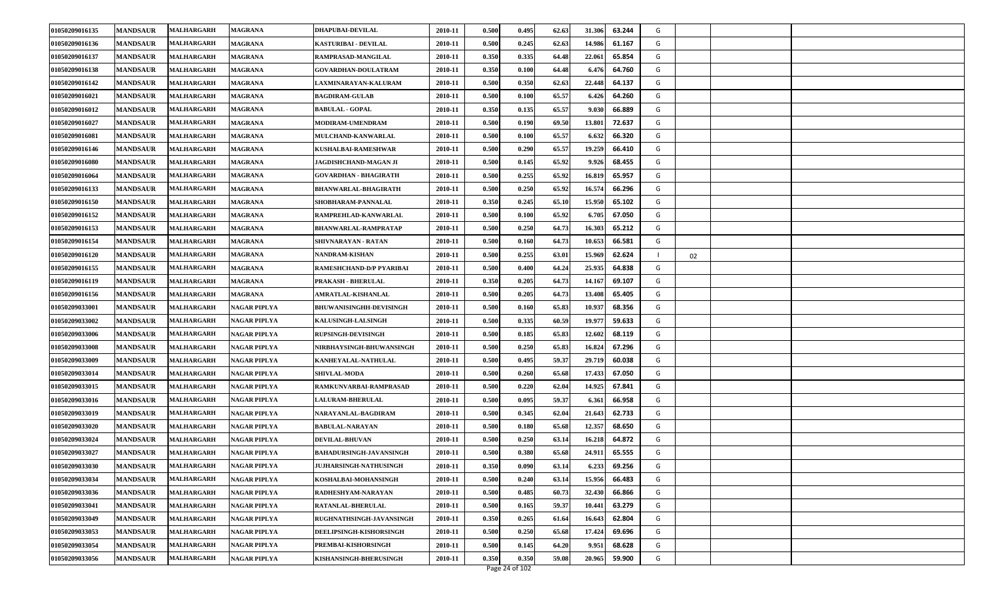| 01050209016135 | <b>MANDSAUR</b> | <b>MALHARGARH</b> | <b>MAGRANA</b>      | <b>DHAPUBAI-DEVILAL</b>         | 2010-11 | 0.500 | 0.495 | 62.63 | 31.306 | 63.244 | G |    |  |
|----------------|-----------------|-------------------|---------------------|---------------------------------|---------|-------|-------|-------|--------|--------|---|----|--|
| 01050209016136 | <b>MANDSAUR</b> | <b>MALHARGARH</b> | <b>MAGRANA</b>      | KASTURIBAI - DEVILAL            | 2010-11 | 0.500 | 0.245 | 62.63 | 14.986 | 61.167 | G |    |  |
| 01050209016137 | <b>MANDSAUR</b> | <b>MALHARGARH</b> | <b>MAGRANA</b>      | RAMPRASAD-MANGILAL              | 2010-11 | 0.350 | 0.335 | 64.48 | 22.061 | 65.854 | G |    |  |
| 01050209016138 | <b>MANDSAUR</b> | <b>MALHARGARH</b> | <b>MAGRANA</b>      | <b>GOVARDHAN-DOULATRAM</b>      | 2010-11 | 0.350 | 0.100 | 64.48 | 6.476  | 64.760 | G |    |  |
| 01050209016142 | <b>MANDSAUR</b> | <b>MALHARGARH</b> | <b>MAGRANA</b>      | LAXMINARAYAN-KALURAM            | 2010-11 | 0.500 | 0.350 | 62.63 | 22.448 | 64.137 | G |    |  |
| 01050209016021 | <b>MANDSAUR</b> | <b>MALHARGARH</b> | <b>MAGRANA</b>      | <b>BAGDIRAM-GULAB</b>           | 2010-11 | 0.500 | 0.100 | 65.57 | 6.426  | 64.260 | G |    |  |
| 01050209016012 | <b>MANDSAUR</b> | <b>MALHARGARH</b> | <b>MAGRANA</b>      | <b>BABULAL - GOPAL</b>          | 2010-11 | 0.350 | 0.135 | 65.57 | 9.030  | 66.889 | G |    |  |
| 01050209016027 | <b>MANDSAUR</b> | <b>MALHARGARH</b> | <b>MAGRANA</b>      | MODIRAM-UMENDRAM                | 2010-11 | 0.500 | 0.190 | 69.50 | 13.801 | 72.637 | G |    |  |
| 01050209016081 | <b>MANDSAUR</b> | <b>MALHARGARH</b> | <b>MAGRANA</b>      | MULCHAND-KANWARLAL              | 2010-11 | 0.500 | 0.100 | 65.57 | 6.632  | 66.320 | G |    |  |
| 01050209016146 | <b>MANDSAUR</b> | <b>MALHARGARH</b> | <b>MAGRANA</b>      | KUSHALBAI-RAMESHWAR             | 2010-11 | 0.500 | 0.290 | 65.57 | 19.259 | 66.410 | G |    |  |
| 01050209016080 | <b>MANDSAUR</b> | <b>MALHARGARH</b> | <b>MAGRANA</b>      | <b>JAGDISHCHAND-MAGAN JI</b>    | 2010-11 | 0.500 | 0.145 | 65.92 | 9.926  | 68.455 | G |    |  |
| 01050209016064 | <b>MANDSAUR</b> | MALHARGARH        | <b>MAGRANA</b>      | GOVARDHAN - BHAGIRATH           | 2010-11 | 0.500 | 0.255 | 65.92 | 16.819 | 65.957 | G |    |  |
| 01050209016133 | <b>MANDSAUR</b> | <b>MALHARGARH</b> | <b>MAGRANA</b>      | <b>BHANWARLAL-BHAGIRATH</b>     | 2010-11 | 0.500 | 0.250 | 65.92 | 16.574 | 66.296 | G |    |  |
| 01050209016150 | <b>MANDSAUR</b> | <b>MALHARGARH</b> | <b>MAGRANA</b>      | SHOBHARAM-PANNALAL              | 2010-11 | 0.350 | 0.245 | 65.10 | 15.950 | 65.102 | G |    |  |
| 01050209016152 | <b>MANDSAUR</b> | <b>MALHARGARH</b> | <b>MAGRANA</b>      | RAMPREHLAD-KANWARLAL            | 2010-11 | 0.500 | 0.100 | 65.92 | 6.705  | 67.050 | G |    |  |
| 01050209016153 | <b>MANDSAUR</b> | <b>MALHARGARH</b> | <b>MAGRANA</b>      | BHANWARLAL-RAMPRATAP            | 2010-11 | 0.500 | 0.250 | 64.73 | 16.303 | 65.212 | G |    |  |
| 01050209016154 | <b>MANDSAUR</b> | <b>MALHARGARH</b> | <b>MAGRANA</b>      | SHIVNARAYAN - RATAN             | 2010-11 | 0.500 | 0.160 | 64.73 | 10.653 | 66.581 | G |    |  |
| 01050209016120 | <b>MANDSAUR</b> | <b>MALHARGARH</b> | <b>MAGRANA</b>      | NANDRAM-KISHAN                  | 2010-11 | 0.500 | 0.255 | 63.01 | 15.969 | 62.624 |   | 02 |  |
| 01050209016155 | <b>MANDSAUR</b> | <b>MALHARGARH</b> | <b>MAGRANA</b>      | RAMESHCHAND-D/P PYARIBAI        | 2010-11 | 0.500 | 0.400 | 64.24 | 25.935 | 64.838 | G |    |  |
| 01050209016119 | <b>MANDSAUR</b> | <b>MALHARGARH</b> | <b>MAGRANA</b>      | PRAKASH - BHERULAL              | 2010-11 | 0.350 | 0.205 | 64.73 | 14.16  | 69.107 | G |    |  |
| 01050209016156 | <b>MANDSAUR</b> | <b>MALHARGARH</b> | <b>MAGRANA</b>      | AMRATLAL-KISHANLAL              | 2010-11 | 0.500 | 0.205 | 64.73 | 13.408 | 65.405 | G |    |  |
| 01050209033001 | <b>MANDSAUR</b> | <b>MALHARGARH</b> | <b>NAGAR PIPLYA</b> | <b>BHUWANISINGHH-DEVISINGH</b>  | 2010-11 | 0.500 | 0.160 | 65.83 | 10.937 | 68.356 | G |    |  |
| 01050209033002 | <b>MANDSAUR</b> | <b>MALHARGARH</b> | NAGAR PIPLYA        | KALUSINGH-LALSINGH              | 2010-11 | 0.500 | 0.335 | 60.59 | 19.977 | 59.633 | G |    |  |
| 01050209033006 | <b>MANDSAUR</b> | <b>MALHARGARH</b> | NAGAR PIPLYA        | <b>RUPSINGH-DEVISINGH</b>       | 2010-11 | 0.500 | 0.185 | 65.83 | 12.602 | 68.119 | G |    |  |
| 01050209033008 | <b>MANDSAUR</b> | <b>MALHARGARH</b> | NAGAR PIPLYA        | <b>NIRBHAYSINGH-BHUWANSINGH</b> | 2010-11 | 0.500 | 0.250 | 65.83 | 16.824 | 67.296 | G |    |  |
| 01050209033009 | <b>MANDSAUR</b> | <b>MALHARGARH</b> | NAGAR PIPLYA        | KANHEYALAL-NATHULAL             | 2010-11 | 0.500 | 0.495 | 59.37 | 29.719 | 60.038 | G |    |  |
| 01050209033014 | <b>MANDSAUR</b> | <b>MALHARGARH</b> | NAGAR PIPLYA        | <b>SHIVLAL-MODA</b>             | 2010-11 | 0.500 | 0.260 | 65.68 | 17.433 | 67.050 | G |    |  |
| 01050209033015 | <b>MANDSAUR</b> | <b>MALHARGARH</b> | NAGAR PIPLYA        | RAMKUNVARBAI-RAMPRASAD          | 2010-11 | 0.500 | 0.220 | 62.04 | 14.925 | 67.841 | G |    |  |
| 01050209033016 | <b>MANDSAUR</b> | <b>MALHARGARH</b> | NAGAR PIPLYA        | <b>LALURAM-BHERULAL</b>         | 2010-11 | 0.500 | 0.095 | 59.37 | 6.361  | 66.958 | G |    |  |
| 01050209033019 | <b>MANDSAUR</b> | <b>MALHARGARH</b> | <b>NAGAR PIPLYA</b> | NARAYANLAL-BAGDIRAM             | 2010-11 | 0.500 | 0.345 | 62.04 | 21.643 | 62.733 | G |    |  |
| 01050209033020 | <b>MANDSAUR</b> | <b>MALHARGARH</b> | NAGAR PIPLYA        | <b>BABULAL-NARAYAN</b>          | 2010-11 | 0.500 | 0.180 | 65.68 | 12.357 | 68.650 | G |    |  |
| 01050209033024 | <b>MANDSAUR</b> | <b>MALHARGARH</b> | NAGAR PIPLYA        | <b>DEVILAL-BHUVAN</b>           | 2010-11 | 0.500 | 0.250 | 63.1  | 16.218 | 64.872 | G |    |  |
| 01050209033027 | <b>MANDSAUR</b> | <b>MALHARGARH</b> | NAGAR PIPLYA        | <b>BAHADURSINGH-JAVANSINGH</b>  | 2010-11 | 0.500 | 0.380 | 65.68 | 24.911 | 65.555 | G |    |  |
| 01050209033030 | <b>MANDSAUR</b> | <b>MALHARGARH</b> | <b>NAGAR PIPLYA</b> | JUJHARSINGH-NATHUSINGH          | 2010-11 | 0.350 | 0.090 | 63.14 | 6.233  | 69.256 | G |    |  |
| 01050209033034 | <b>MANDSAUR</b> | <b>MALHARGARH</b> | NAGAR PIPLYA        | KOSHALBAI-MOHANSINGH            | 2010-11 | 0.500 | 0.240 | 63.14 | 15.956 | 66.483 | G |    |  |
| 01050209033036 | <b>MANDSAUR</b> | <b>MALHARGARH</b> | NAGAR PIPLYA        | RADHESHYAM-NARAYAN              | 2010-11 | 0.500 | 0.485 | 60.73 | 32.430 | 66.866 | G |    |  |
| 01050209033041 | <b>MANDSAUR</b> | <b>MALHARGARH</b> | NAGAR PIPLYA        | <b>RATANLAL-BHERULAL</b>        | 2010-11 | 0.500 | 0.165 | 59.37 | 10.441 | 63.279 | G |    |  |
| 01050209033049 | <b>MANDSAUR</b> | <b>MALHARGARH</b> | <b>NAGAR PIPLYA</b> | RUGHNATHSINGH-JAVANSINGH        | 2010-11 | 0.350 | 0.265 | 61.64 | 16.643 | 62.804 | G |    |  |
| 01050209033053 | <b>MANDSAUR</b> | <b>MALHARGARH</b> | NAGAR PIPLYA        | DEELIPSINGH-KISHORSINGH         | 2010-11 | 0.500 | 0.250 | 65.68 | 17.424 | 69.696 | G |    |  |
| 01050209033054 | <b>MANDSAUR</b> | <b>MALHARGARH</b> | NAGAR PIPLYA        | PREMBAI-KISHORSINGH             | 2010-11 | 0.500 | 0.145 | 64.20 | 9.951  | 68.628 | G |    |  |
| 01050209033056 | <b>MANDSAUR</b> | <b>MALHARGARH</b> | NAGAR PIPLYA        | KISHANSINGH-BHERUSINGH          | 2010-11 | 0.350 | 0.350 | 59.08 | 20.965 | 59.900 | G |    |  |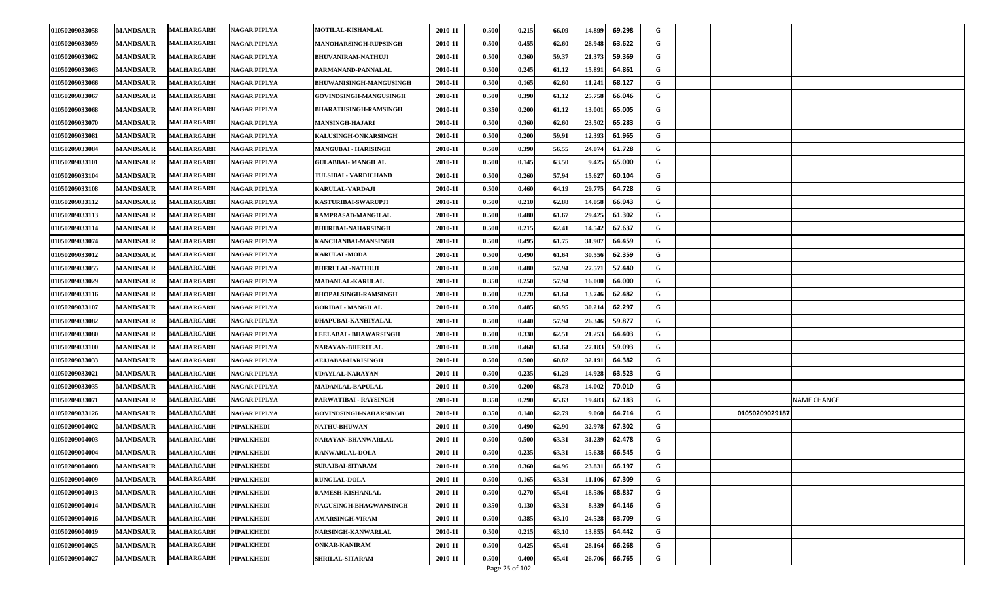| 01050209033058 | <b>MANDSAUR</b> | MALHARGARH        | <b>NAGAR PIPLYA</b> | MOTILAL-KISHANLAL              | 2010-11 | 0.500 | 0.215          | 66.09 | 14.899<br>69.298 | G |                    |
|----------------|-----------------|-------------------|---------------------|--------------------------------|---------|-------|----------------|-------|------------------|---|--------------------|
| 01050209033059 | <b>MANDSAUR</b> | MALHARGARH        | NAGAR PIPLYA        | <b>MANOHARSINGH-RUPSINGH</b>   | 2010-11 | 0.500 | 0.455          | 62.60 | 63.622<br>28.948 | G |                    |
| 01050209033062 | <b>MANDSAUR</b> | MALHARGARH        | <b>NAGAR PIPLYA</b> | <b>BHUVANIRAM-NATHUJI</b>      | 2010-11 | 0.500 | 0.360          | 59.37 | 21.373<br>59.369 | G |                    |
| 01050209033063 | <b>MANDSAUR</b> | MALHARGARH        | NAGAR PIPLYA        | PARMANAND-PANNALAL             | 2010-11 | 0.500 | 0.245          | 61.12 | 15.891<br>64.861 | G |                    |
| 01050209033066 | <b>MANDSAUR</b> | MALHARGARH        | NAGAR PIPLYA        | <b>BHUWANISINGH-MANGUSINGH</b> | 2010-11 | 0.500 | 0.165          | 62.60 | 11.241<br>68.127 | G |                    |
| 01050209033067 | <b>MANDSAUR</b> | MALHARGARH        | NAGAR PIPLYA        | <b>GOVINDSINGH-MANGUSINGH</b>  | 2010-11 | 0.500 | 0.390          | 61.12 | 25.758<br>66.046 | G |                    |
| 01050209033068 | <b>MANDSAUR</b> | MALHARGARH        | <b>NAGAR PIPLYA</b> | <b>BHARATHSINGH-RAMSINGH</b>   | 2010-11 | 0.350 | 0.200          | 61.12 | 13.001<br>65.005 | G |                    |
| 01050209033070 | <b>MANDSAUR</b> | MALHARGARH        | NAGAR PIPLYA        | <b>MANSINGH-HAJARI</b>         | 2010-11 | 0.500 | 0.360          | 62.60 | 23.502<br>65.283 | G |                    |
| 01050209033081 | <b>MANDSAUR</b> | MALHARGARH        | NAGAR PIPLYA        | KALUSINGH-ONKARSINGH           | 2010-11 | 0.500 | 0.200          | 59.91 | 12.393<br>61.965 | G |                    |
| 01050209033084 | <b>MANDSAUR</b> | MALHARGARH        | NAGAR PIPLYA        | <b>MANGUBAI - HARISINGH</b>    | 2010-11 | 0.500 | 0.390          | 56.55 | 24.074<br>61.728 | G |                    |
| 01050209033101 | <b>MANDSAUR</b> | MALHARGARH        | NAGAR PIPLYA        | <b>GULABBAI- MANGILAL</b>      | 2010-11 | 0.500 | 0.145          | 63.50 | 9.425<br>65.000  | G |                    |
| 01050209033104 | <b>MANDSAUR</b> | <b>MALHARGARH</b> | NAGAR PIPLYA        | TULSIBAI - VARDICHAND          | 2010-11 | 0.500 | 0.260          | 57.94 | 15.627<br>60.104 | G |                    |
| 01050209033108 | <b>MANDSAUR</b> | MALHARGARH        | NAGAR PIPLYA        | <b>KARULAL-VARDAJI</b>         | 2010-11 | 0.500 | 0.460          | 64.19 | 29.775<br>64.728 | G |                    |
| 01050209033112 | <b>MANDSAUR</b> | MALHARGARH        | NAGAR PIPLYA        | <b>KASTURIBAI-SWARUPJI</b>     | 2010-11 | 0.500 | 0.210          | 62.88 | 14.058<br>66.943 | G |                    |
| 01050209033113 | <b>MANDSAUR</b> | <b>MALHARGARH</b> | <b>NAGAR PIPLYA</b> | RAMPRASAD-MANGILAL             | 2010-11 | 0.500 | 0.480          | 61.67 | 29.425<br>61.302 | G |                    |
| 01050209033114 | <b>MANDSAUR</b> | <b>MALHARGARH</b> | NAGAR PIPLYA        | <b>BHURIBAI-NAHARSINGH</b>     | 2010-11 | 0.500 | 0.215          | 62.41 | 14.542<br>67.637 | G |                    |
| 01050209033074 | <b>MANDSAUR</b> | MALHARGARH        | <b>NAGAR PIPLYA</b> | KANCHANBAI-MANSINGH            | 2010-11 | 0.500 | 0.495          | 61.75 | 31.907<br>64.459 | G |                    |
| 01050209033012 | <b>MANDSAUR</b> | MALHARGARH        | NAGAR PIPLYA        | <b>KARULAL-MODA</b>            | 2010-11 | 0.500 | 0.490          | 61.64 | 30.556<br>62.359 | G |                    |
| 01050209033055 | <b>MANDSAUR</b> | <b>MALHARGARH</b> | NAGAR PIPLYA        | <b>BHERULAL-NATHUJI</b>        | 2010-11 | 0.500 | 0.480          | 57.94 | 27.571<br>57.440 | G |                    |
| 01050209033029 | <b>MANDSAUR</b> | <b>MALHARGARH</b> | NAGAR PIPLYA        | MADANLAL-KARULAL               | 2010-11 | 0.350 | 0.250          | 57.94 | 16.000<br>64.000 | G |                    |
| 01050209033116 | <b>MANDSAUR</b> | MALHARGARH        | <b>NAGAR PIPLYA</b> | <b>BHOPALSINGH-RAMSINGH</b>    | 2010-11 | 0.500 | 0.220          | 61.64 | 13.746<br>62.482 | G |                    |
| 01050209033107 | <b>MANDSAUR</b> | MALHARGARH        | NAGAR PIPLYA        | <b>GORIBAI - MANGILAL</b>      | 2010-11 | 0.500 | 0.485          | 60.95 | 30.214<br>62.297 | G |                    |
| 01050209033082 | <b>MANDSAUR</b> | MALHARGARH        | <b>NAGAR PIPLYA</b> | DHAPUBAI-KANHIYALAL            | 2010-11 | 0.500 | 0.440          | 57.94 | 26.346<br>59.877 | G |                    |
| 01050209033080 | <b>MANDSAUR</b> | MALHARGARH        | NAGAR PIPLYA        | <b>LEELABAI - BHAWARSINGH</b>  | 2010-11 | 0.500 | 0.330          | 62.51 | 21.253<br>64.403 | G |                    |
| 01050209033100 | <b>MANDSAUR</b> | MALHARGARH        | <b>NAGAR PIPLYA</b> | <b>NARAYAN-BHERULAL</b>        | 2010-11 | 0.500 | 0.460          | 61.64 | 27.183<br>59.093 | G |                    |
| 01050209033033 | <b>MANDSAUR</b> | MALHARGARH        | NAGAR PIPLYA        | <b>AEJJABAI-HARISINGH</b>      | 2010-11 | 0.500 | 0.500          | 60.82 | 32.191<br>64.382 | G |                    |
| 01050209033021 | <b>MANDSAUR</b> | MALHARGARH        | <b>NAGAR PIPLYA</b> | UDAYLAL-NARAYAN                | 2010-11 | 0.500 | 0.235          | 61.29 | 14.928<br>63.523 | G |                    |
| 01050209033035 | <b>MANDSAUR</b> | MALHARGARH        | NAGAR PIPLYA        | <b>MADANLAL-BAPULAL</b>        | 2010-11 | 0.500 | 0.200          | 68.78 | 14.002<br>70.010 | G |                    |
| 01050209033071 | <b>MANDSAUR</b> | MALHARGARH        | <b>NAGAR PIPLYA</b> | PARWATIBAI - RAYSINGH          | 2010-11 | 0.350 | 0.290          | 65.63 | 19.483<br>67.183 | G | <b>NAME CHANGE</b> |
| 01050209033126 | <b>MANDSAUR</b> | <b>MALHARGARH</b> | <b>NAGAR PIPLYA</b> | GOVINDSINGH-NAHARSINGH         | 2010-11 | 0.350 | 0.140          | 62.79 | 9.060<br>64.714  | G | 01050209029187     |
| 01050209004002 | <b>MANDSAUR</b> | MALHARGARH        | <b>PIPALKHEDI</b>   | <b>NATHU-BHUWAN</b>            | 2010-11 | 0.500 | 0.490          | 62.90 | 32.978<br>67.302 | G |                    |
| 01050209004003 | <b>MANDSAUR</b> | MALHARGARH        | <b>PIPALKHEDI</b>   | NARAYAN-BHANWARLAL             | 2010-11 | 0.500 | 0.500          | 63.31 | 31.239<br>62.478 | G |                    |
| 01050209004004 | <b>MANDSAUR</b> | <b>MALHARGARH</b> | <b>PIPALKHEDI</b>   | <b>KANWARLAL-DOLA</b>          | 2010-11 | 0.500 | 0.235          | 63.31 | 15.638<br>66.545 | G |                    |
| 01050209004008 | <b>MANDSAUR</b> | <b>MALHARGARH</b> | <b>PIPALKHEDI</b>   | <b>SURAJBAI-SITARAM</b>        | 2010-11 | 0.500 | 0.360          | 64.96 | 23.831<br>66.197 | G |                    |
| 01050209004009 | <b>MANDSAUR</b> | MALHARGARH        | <b>PIPALKHEDI</b>   | <b>RUNGLAL-DOLA</b>            | 2010-11 | 0.500 | 0.165          | 63.31 | 11.106<br>67.309 | G |                    |
| 01050209004013 | <b>MANDSAUR</b> | <b>MALHARGARH</b> | <b>PIPALKHEDI</b>   | RAMESH-KISHANLAL               | 2010-11 | 0.500 | 0.270          | 65.41 | 18.586<br>68.837 | G |                    |
| 01050209004014 | <b>MANDSAUR</b> | MALHARGARH        | <b>PIPALKHEDI</b>   | NAGUSINGH-BHAGWANSINGH         | 2010-11 | 0.350 | 0.130          | 63.31 | 64.146<br>8.339  | G |                    |
| 01050209004016 | <b>MANDSAUR</b> | <b>MALHARGARH</b> | <b>PIPALKHEDI</b>   | <b>AMARSINGH-VIRAM</b>         | 2010-11 | 0.500 | 0.385          | 63.10 | 24.528<br>63.709 | G |                    |
| 01050209004019 | <b>MANDSAUR</b> | MALHARGARH        | <b>PIPALKHEDI</b>   | NARSINGH-KANWARLAL             | 2010-11 | 0.500 | 0.215          | 63.10 | 13.855<br>64.442 | G |                    |
| 01050209004025 | <b>MANDSAUR</b> | <b>MALHARGARH</b> | <b>PIPALKHEDI</b>   | <b>ONKAR-KANIRAM</b>           | 2010-11 | 0.500 | 0.425          | 65.41 | 28.164<br>66.268 | G |                    |
| 01050209004027 | <b>MANDSAUR</b> | <b>MALHARGARH</b> | <b>PIPALKHEDI</b>   | <b>SHRILAL-SITARAM</b>         | 2010-11 | 0.500 | 0.400          | 65.41 | 26.706<br>66.765 | G |                    |
|                |                 |                   |                     |                                |         |       | Page 25 of 102 |       |                  |   |                    |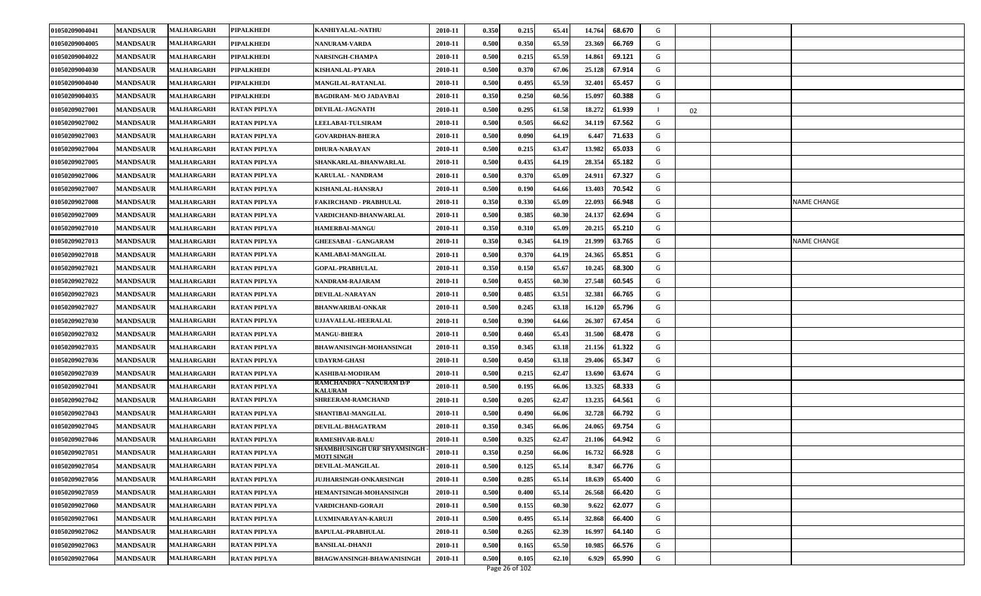| 01050209004041 | <b>MANDSAUR</b> | MALHARGARH        | <b>PIPALKHEDI</b>   | <b>KANHIYALAL-NATHU</b>                           | 2010-11 | 0.350 | 0.215 | 65.41 | 68.670<br>14.764 | G |    |             |
|----------------|-----------------|-------------------|---------------------|---------------------------------------------------|---------|-------|-------|-------|------------------|---|----|-------------|
| 01050209004005 | <b>MANDSAUR</b> | MALHARGARH        | <b>PIPALKHEDI</b>   | NANURAM-VARDA                                     | 2010-11 | 0.500 | 0.350 | 65.59 | 23.369<br>66.769 | G |    |             |
| 01050209004022 | <b>MANDSAUR</b> | MALHARGARH        | <b>PIPALKHEDI</b>   | <b>NARSINGH-CHAMPA</b>                            | 2010-11 | 0.500 | 0.215 | 65.59 | 14.861<br>69.121 | G |    |             |
| 01050209004030 | <b>MANDSAUR</b> | <b>MALHARGARH</b> | <b>PIPALKHEDI</b>   | KISHANLAL-PYARA                                   | 2010-11 | 0.500 | 0.370 | 67.06 | 25.128<br>67.914 | G |    |             |
| 01050209004040 | <b>MANDSAUR</b> | MALHARGARH        | <b>PIPALKHEDI</b>   | <b>MANGILAL-RATANLAL</b>                          | 2010-11 | 0.500 | 0.495 | 65.59 | 32.401<br>65.457 | G |    |             |
| 01050209004035 | <b>MANDSAUR</b> | MALHARGARH        | <b>PIPALKHEDI</b>   | <b>BAGDIRAM- M/O JADAVBAI</b>                     | 2010-11 | 0.350 | 0.250 | 60.56 | 15.097<br>60.388 | G |    |             |
| 01050209027001 | <b>MANDSAUR</b> | <b>MALHARGARH</b> | <b>RATAN PIPLYA</b> | <b>DEVILAL-JAGNATH</b>                            | 2010-11 | 0.500 | 0.295 | 61.58 | 18.272<br>61.939 |   | 02 |             |
| 01050209027002 | <b>MANDSAUR</b> | MALHARGARH        | <b>RATAN PIPLYA</b> | <b>LEELABAI-TULSIRAM</b>                          | 2010-11 | 0.500 | 0.505 | 66.62 | 34.119<br>67.562 | G |    |             |
| 01050209027003 | <b>MANDSAUR</b> | MALHARGARH        | <b>RATAN PIPLYA</b> | <b>GOVARDHAN-BHERA</b>                            | 2010-11 | 0.500 | 0.090 | 64.19 | 71.633<br>6.447  | G |    |             |
| 01050209027004 | <b>MANDSAUR</b> | MALHARGARH        | <b>RATAN PIPLYA</b> | <b>DHURA-NARAYAN</b>                              | 2010-11 | 0.500 | 0.215 | 63.47 | 13.982<br>65.033 | G |    |             |
| 01050209027005 | <b>MANDSAUR</b> | <b>MALHARGARH</b> | <b>RATAN PIPLYA</b> | SHANKARLAL-BHANWARLAL                             | 2010-11 | 0.500 | 0.435 | 64.19 | 28.354<br>65.182 | G |    |             |
| 01050209027006 | <b>MANDSAUR</b> | <b>MALHARGARH</b> | <b>RATAN PIPLYA</b> | <b>KARULAL - NANDRAM</b>                          | 2010-11 | 0.500 | 0.370 | 65.09 | 24.911<br>67.327 | G |    |             |
| 01050209027007 | <b>MANDSAUR</b> | MALHARGARH        | <b>RATAN PIPLYA</b> | <b>KISHANLAL-HANSRAJ</b>                          | 2010-11 | 0.500 | 0.190 | 64.66 | 13.403<br>70.542 | G |    |             |
| 01050209027008 | <b>MANDSAUR</b> | MALHARGARH        | <b>RATAN PIPLYA</b> | FAKIRCHAND - PRABHULAL                            | 2010-11 | 0.350 | 0.330 | 65.09 | 22.093<br>66.948 | G |    | NAME CHANGE |
| 01050209027009 | <b>MANDSAUR</b> | MALHARGARH        | <b>RATAN PIPLYA</b> | VARDICHAND-BHANWARLAL                             | 2010-11 | 0.500 | 0.385 | 60.30 | 24.137<br>62.694 | G |    |             |
| 01050209027010 | <b>MANDSAUR</b> | <b>MALHARGARH</b> | <b>RATAN PIPLYA</b> | <b>HAMERBAI-MANGU</b>                             | 2010-11 | 0.350 | 0.310 | 65.09 | 20.215<br>65.210 | G |    |             |
| 01050209027013 | <b>MANDSAUR</b> | MALHARGARH        | <b>RATAN PIPLYA</b> | <b>GHEESABAI - GANGARAM</b>                       | 2010-11 | 0.350 | 0.345 | 64.19 | 21.999<br>63.765 | G |    | NAME CHANGE |
| 01050209027018 | <b>MANDSAUR</b> | MALHARGARH        | <b>RATAN PIPLYA</b> | <b>KAMLABAI-MANGILAL</b>                          | 2010-11 | 0.500 | 0.370 | 64.19 | 24.365<br>65.851 | G |    |             |
| 01050209027021 | <b>MANDSAUR</b> | <b>MALHARGARH</b> | <b>RATAN PIPLYA</b> | <b>GOPAL-PRABHULAL</b>                            | 2010-11 | 0.350 | 0.150 | 65.67 | 10.245<br>68.300 | G |    |             |
| 01050209027022 | <b>MANDSAUR</b> | <b>MALHARGARH</b> | <b>RATAN PIPLYA</b> | NANDRAM-RAJARAM                                   | 2010-11 | 0.500 | 0.455 | 60.30 | 27.548<br>60.545 | G |    |             |
| 01050209027023 | <b>MANDSAUR</b> | <b>MALHARGARH</b> | <b>RATAN PIPLYA</b> | DEVILAL-NARAYAN                                   | 2010-11 | 0.500 | 0.485 | 63.51 | 32.381<br>66.765 | G |    |             |
| 01050209027027 | <b>MANDSAUR</b> | <b>MALHARGARH</b> | <b>RATAN PIPLYA</b> | <b>BHANWARIBAI-ONKAR</b>                          | 2010-11 | 0.500 | 0.245 | 63.18 | 16.120<br>65.796 | G |    |             |
| 01050209027030 | <b>MANDSAUR</b> | <b>MALHARGARH</b> | <b>RATAN PIPLYA</b> | UJJAVALLAL-HEERALAL                               | 2010-11 | 0.500 | 0.390 | 64.66 | 26.307<br>67.454 | G |    |             |
| 01050209027032 | <b>MANDSAUR</b> | <b>MALHARGARH</b> | <b>RATAN PIPLYA</b> | <b>MANGU-BHERA</b>                                | 2010-11 | 0.500 | 0.460 | 65.43 | 31.500<br>68.478 | G |    |             |
| 01050209027035 | <b>MANDSAUR</b> | <b>MALHARGARH</b> | <b>RATAN PIPLYA</b> | <b>BHAWANISINGH-MOHANSINGH</b>                    | 2010-11 | 0.350 | 0.345 | 63.18 | 21.156<br>61.322 | G |    |             |
| 01050209027036 | <b>MANDSAUR</b> | <b>MALHARGARH</b> | <b>RATAN PIPLYA</b> | <b>UDAYRM-GHASI</b>                               | 2010-11 | 0.500 | 0.450 | 63.18 | 29.406<br>65.347 | G |    |             |
| 01050209027039 | <b>MANDSAUR</b> | <b>MALHARGARH</b> | <b>RATAN PIPLYA</b> | KASHIBAI-MODIRAM                                  | 2010-11 | 0.500 | 0.215 | 62.47 | 13.690<br>63.674 | G |    |             |
| 01050209027041 | <b>MANDSAUR</b> | MALHARGARH        | <b>RATAN PIPLYA</b> | RAMCHANDRA - NANURAM D/P<br><b><i>KALURAM</i></b> | 2010-11 | 0.500 | 0.195 | 66.06 | 13.325<br>68.333 | G |    |             |
| 01050209027042 | <b>MANDSAUR</b> | <b>MALHARGARH</b> | <b>RATAN PIPLYA</b> | <b>SHREERAM-RAMCHAND</b>                          | 2010-11 | 0.500 | 0.205 | 62.47 | 13.235<br>64.561 | G |    |             |
| 01050209027043 | <b>MANDSAUR</b> | <b>MALHARGARH</b> | <b>RATAN PIPLYA</b> | SHANTIBAI-MANGILAL                                | 2010-11 | 0.500 | 0.490 | 66.06 | 32.728<br>66.792 | G |    |             |
| 01050209027045 | <b>MANDSAUR</b> | MALHARGARH        | <b>RATAN PIPLYA</b> | <b>DEVILAL-BHAGATRAM</b>                          | 2010-11 | 0.350 | 0.345 | 66.06 | 24.065<br>69.754 | G |    |             |
| 01050209027046 | <b>MANDSAUR</b> | MALHARGARH        | <b>RATAN PIPLYA</b> | <b>RAMESHVAR-BALU</b>                             | 2010-11 | 0.500 | 0.325 | 62.47 | 21.106<br>64.942 | G |    |             |
| 01050209027051 | <b>MANDSAUR</b> | <b>MALHARGARH</b> | <b>RATAN PIPLYA</b> | <b>SHAMBHUSINGH URF SHYAMSINGH</b><br>MOTI SINGH  | 2010-11 | 0.350 | 0.250 | 66.06 | 16.732<br>66.928 | G |    |             |
| 01050209027054 | <b>MANDSAUR</b> | <b>MALHARGARH</b> | <b>RATAN PIPLYA</b> | DEVILAL-MANGILAL                                  | 2010-11 | 0.500 | 0.125 | 65.14 | 8.347<br>66.776  | G |    |             |
| 01050209027056 | <b>MANDSAUR</b> | MALHARGARH        | <b>RATAN PIPLYA</b> | <b>JUJHARSINGH-ONKARSINGH</b>                     | 2010-11 | 0.500 | 0.285 | 65.14 | 18.639<br>65.400 | G |    |             |
| 01050209027059 | <b>MANDSAUR</b> | <b>MALHARGARH</b> | <b>RATAN PIPLYA</b> | HEMANTSINGH-MOHANSINGH                            | 2010-11 | 0.500 | 0.400 | 65.14 | 26.568<br>66.420 | G |    |             |
| 01050209027060 | <b>MANDSAUR</b> | MALHARGARH        | <b>RATAN PIPLYA</b> | VARDICHAND-GORAJI                                 | 2010-11 | 0.500 | 0.155 | 60.30 | 9.622<br>62.077  | G |    |             |
| 01050209027061 | <b>MANDSAUR</b> | MALHARGARH        | <b>RATAN PIPLYA</b> | LUXMINARAYAN-KARUJI                               | 2010-11 | 0.500 | 0.495 | 65.14 | 32.868<br>66.400 | G |    |             |
| 01050209027062 | <b>MANDSAUR</b> | MALHARGARH        | <b>RATAN PIPLYA</b> | <b>BAPULAL-PRABHULAL</b>                          | 2010-11 | 0.500 | 0.265 | 62.39 | 16.997<br>64.140 | G |    |             |
| 01050209027063 | <b>MANDSAUR</b> | <b>MALHARGARH</b> | <b>RATAN PIPLYA</b> | <b>BANSILAL-DHANJI</b>                            | 2010-11 | 0.500 | 0.165 | 65.50 | 10.985<br>66.576 | G |    |             |
| 01050209027064 | <b>MANDSAUR</b> | <b>MALHARGARH</b> | <b>RATAN PIPLYA</b> | <b>BHAGWANSINGH-BHAWANISINGH</b>                  | 2010-11 | 0.500 | 0.105 | 62.10 | 65.990<br>6.929  | G |    |             |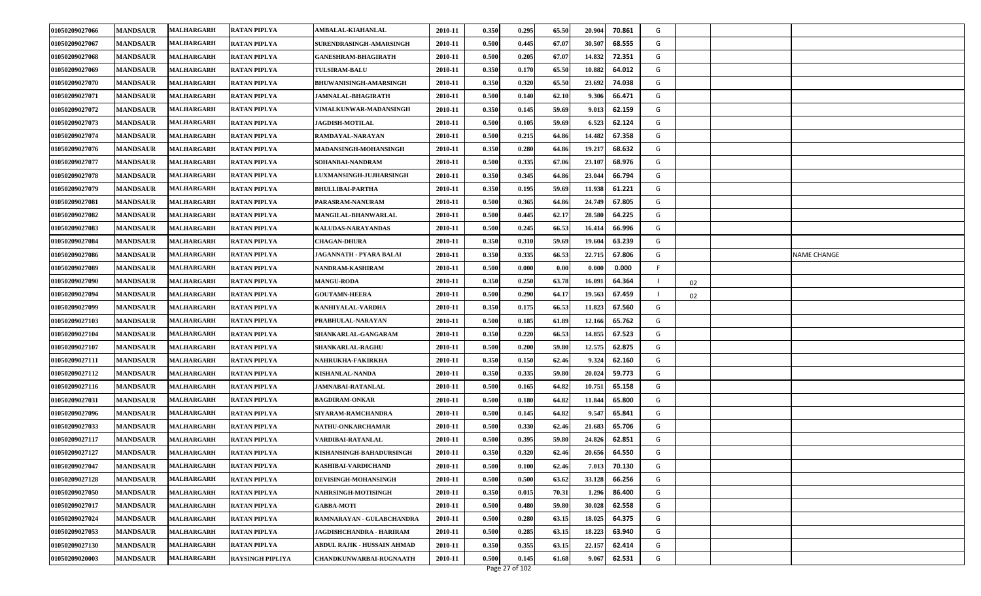| 01050209027066 | <b>MANDSAUR</b> | <b>MALHARGARH</b> | <b>RATAN PIPLYA</b>     | AMBALAL-KIAHANLAL                  | 2010-11 | 0.350 | 0.295 | 65.50 | 20.904 | 70.861 | G  |    |                    |
|----------------|-----------------|-------------------|-------------------------|------------------------------------|---------|-------|-------|-------|--------|--------|----|----|--------------------|
| 01050209027067 | <b>MANDSAUR</b> | <b>MALHARGARH</b> | <b>RATAN PIPLYA</b>     | SURENDRASINGH-AMARSINGH            | 2010-11 | 0.500 | 0.445 | 67.07 | 30.507 | 68.555 | G  |    |                    |
| 01050209027068 | <b>MANDSAUR</b> | <b>MALHARGARH</b> | <b>RATAN PIPLYA</b>     | <b>GANESHRAM-BHAGIRATH</b>         | 2010-11 | 0.500 | 0.205 | 67.07 | 14.832 | 72.351 | G  |    |                    |
| 01050209027069 | <b>MANDSAUR</b> | <b>MALHARGARH</b> | <b>RATAN PIPLYA</b>     | <b>TULSIRAM-BALU</b>               | 2010-11 | 0.350 | 0.170 | 65.50 | 10.882 | 64.012 | G  |    |                    |
| 01050209027070 | <b>MANDSAUR</b> | <b>MALHARGARH</b> | <b>RATAN PIPLYA</b>     | <b>BHUWANISINGH-AMARSINGH</b>      | 2010-11 | 0.350 | 0.320 | 65.50 | 23.692 | 74.038 | G  |    |                    |
| 01050209027071 | <b>MANDSAUR</b> | <b>MALHARGARH</b> | <b>RATAN PIPLYA</b>     | <b>JAMNALAL-BHAGIRATH</b>          | 2010-11 | 0.500 | 0.140 | 62.10 | 9.306  | 66.471 | G  |    |                    |
| 01050209027072 | <b>MANDSAUR</b> | <b>MALHARGARH</b> | <b>RATAN PIPLYA</b>     | VIMALKUNWAR-MADANSINGH             | 2010-11 | 0.350 | 0.145 | 59.69 | 9.013  | 62.159 | G  |    |                    |
| 01050209027073 | <b>MANDSAUR</b> | <b>MALHARGARH</b> | <b>RATAN PIPLYA</b>     | <b>JAGDISH-MOTILAL</b>             | 2010-11 | 0.500 | 0.105 | 59.69 | 6.523  | 62.124 | G  |    |                    |
| 01050209027074 | <b>MANDSAUR</b> | MALHARGARH        | <b>RATAN PIPLYA</b>     | RAMDAYAL-NARAYAN                   | 2010-11 | 0.500 | 0.215 | 64.86 | 14.482 | 67.358 | G  |    |                    |
| 01050209027076 | <b>MANDSAUR</b> | MALHARGARH        | <b>RATAN PIPLYA</b>     | MADANSINGH-MOHANSINGH              | 2010-11 | 0.350 | 0.280 | 64.86 | 19.217 | 68.632 | G  |    |                    |
| 01050209027077 | <b>MANDSAUR</b> | <b>MALHARGARH</b> | <b>RATAN PIPLYA</b>     | SOHANBAI-NANDRAM                   | 2010-11 | 0.500 | 0.335 | 67.06 | 23.10  | 68.976 | G  |    |                    |
| 01050209027078 | <b>MANDSAUR</b> | <b>MALHARGARH</b> | <b>RATAN PIPLYA</b>     | <b>LUXMANSINGH-JUJHARSINGH</b>     | 2010-11 | 0.350 | 0.345 | 64.86 | 23.044 | 66.794 | G  |    |                    |
| 01050209027079 | <b>MANDSAUR</b> | MALHARGARH        | <b>RATAN PIPLYA</b>     | <b>BHULLIBAI-PARTHA</b>            | 2010-11 | 0.350 | 0.195 | 59.69 | 11.938 | 61.221 | G  |    |                    |
| 01050209027081 | <b>MANDSAUR</b> | <b>MALHARGARH</b> | <b>RATAN PIPLYA</b>     | PARASRAM-NANURAM                   | 2010-11 | 0.500 | 0.365 | 64.86 | 24.749 | 67.805 | G  |    |                    |
| 01050209027082 | <b>MANDSAUR</b> | <b>MALHARGARH</b> | <b>RATAN PIPLYA</b>     | MANGILAL-BHANWARLAL                | 2010-11 | 0.500 | 0.445 | 62.17 | 28.580 | 64.225 | G  |    |                    |
| 01050209027083 | <b>MANDSAUR</b> | MALHARGARH        | <b>RATAN PIPLYA</b>     | KALUDAS-NARAYANDAS                 | 2010-11 | 0.500 | 0.245 | 66.53 | 16.41  | 66.996 | G  |    |                    |
| 01050209027084 | <b>MANDSAUR</b> | <b>MALHARGARH</b> | <b>RATAN PIPLYA</b>     | <b>CHAGAN-DHURA</b>                | 2010-11 | 0.350 | 0.310 | 59.69 | 19.604 | 63.239 | G  |    |                    |
| 01050209027086 | <b>MANDSAUR</b> | <b>MALHARGARH</b> | <b>RATAN PIPLYA</b>     | JAGANNATH - PYARA BALAI            | 2010-11 | 0.350 | 0.335 | 66.53 | 22.715 | 67.806 | G  |    | <b>NAME CHANGE</b> |
| 01050209027089 | <b>MANDSAUR</b> | <b>MALHARGARH</b> | <b>RATAN PIPLYA</b>     | NANDRAM-KASHIRAM                   | 2010-11 | 0.500 | 0.000 | 0.00  | 0.000  | 0.000  | F. |    |                    |
| 01050209027090 | <b>MANDSAUR</b> | <b>MALHARGARH</b> | <b>RATAN PIPLYA</b>     | <b>MANGU-RODA</b>                  | 2010-11 | 0.350 | 0.250 | 63.78 | 16.091 | 64.364 |    | 02 |                    |
| 01050209027094 | <b>MANDSAUR</b> | <b>MALHARGARH</b> | <b>RATAN PIPLYA</b>     | <b>GOUTAMN-HEERA</b>               | 2010-11 | 0.500 | 0.290 | 64.17 | 19.56  | 67.459 |    | 02 |                    |
| 01050209027099 | <b>MANDSAUR</b> | <b>MALHARGARH</b> | <b>RATAN PIPLYA</b>     | KANHIYALAL-VARDHA                  | 2010-11 | 0.350 | 0.175 | 66.53 | 11.823 | 67.560 | G  |    |                    |
| 01050209027103 | <b>MANDSAUR</b> | <b>MALHARGARH</b> | <b>RATAN PIPLYA</b>     | PRABHULAL-NARAYAN                  | 2010-11 | 0.500 | 0.185 | 61.89 | 12.166 | 65.762 | G  |    |                    |
| 01050209027104 | <b>MANDSAUR</b> | <b>MALHARGARH</b> | <b>RATAN PIPLYA</b>     | SHANKARLAL-GANGARAM                | 2010-11 | 0.350 | 0.220 | 66.53 | 14.855 | 67.523 | G  |    |                    |
| 01050209027107 | <b>MANDSAUR</b> | <b>MALHARGARH</b> | <b>RATAN PIPLYA</b>     | SHANKARLAL-RAGHU                   | 2010-11 | 0.500 | 0.200 | 59.80 | 12.575 | 62.875 | G  |    |                    |
| 01050209027111 | <b>MANDSAUR</b> | <b>MALHARGARH</b> | <b>RATAN PIPLYA</b>     | NAHRUKHA-FAKIRKHA                  | 2010-11 | 0.350 | 0.150 | 62.46 | 9.324  | 62.160 | G  |    |                    |
| 01050209027112 | <b>MANDSAUR</b> | <b>MALHARGARH</b> | <b>RATAN PIPLYA</b>     | <b>KISHANLAL-NANDA</b>             | 2010-11 | 0.350 | 0.335 | 59.80 | 20.02  | 59.773 | G  |    |                    |
| 01050209027116 | <b>MANDSAUR</b> | <b>MALHARGARH</b> | <b>RATAN PIPLYA</b>     | JAMNABAI-RATANLAL                  | 2010-11 | 0.500 | 0.165 | 64.82 | 10.751 | 65.158 | G  |    |                    |
| 01050209027031 | <b>MANDSAUR</b> | <b>MALHARGARH</b> | <b>RATAN PIPLYA</b>     | <b>BAGDIRAM-ONKAR</b>              | 2010-11 | 0.500 | 0.180 | 64.82 | 11.844 | 65.800 | G  |    |                    |
| 01050209027096 | <b>MANDSAUR</b> | <b>MALHARGARH</b> | <b>RATAN PIPLYA</b>     | SIYARAM-RAMCHANDRA                 | 2010-11 | 0.500 | 0.145 | 64.82 | 9.547  | 65.841 | G  |    |                    |
| 01050209027033 | <b>MANDSAUR</b> | MALHARGARH        | <b>RATAN PIPLYA</b>     | NATHU-ONKARCHAMAR                  | 2010-11 | 0.500 | 0.330 | 62.46 | 21.683 | 65.706 | G  |    |                    |
| 01050209027117 | <b>MANDSAUR</b> | MALHARGARH        | <b>RATAN PIPLYA</b>     | VARDIBAI-RATANLAL                  | 2010-11 | 0.500 | 0.395 | 59.80 | 24.82  | 62.851 | G  |    |                    |
| 01050209027127 | <b>MANDSAUR</b> | <b>MALHARGARH</b> | <b>RATAN PIPLYA</b>     | KISHANSINGH-BAHADURSINGH           | 2010-11 | 0.350 | 0.320 | 62.46 | 20.656 | 64.550 | G  |    |                    |
| 01050209027047 | <b>MANDSAUR</b> | <b>MALHARGARH</b> | <b>RATAN PIPLYA</b>     | KASHIBAI-VARDICHAND                | 2010-11 | 0.500 | 0.100 | 62.46 | 7.013  | 70.130 | G  |    |                    |
| 01050209027128 | <b>MANDSAUR</b> | <b>MALHARGARH</b> | <b>RATAN PIPLYA</b>     | DEVISINGH-MOHANSINGH               | 2010-11 | 0.500 | 0.500 | 63.62 | 33.128 | 66.256 | G  |    |                    |
| 01050209027050 | <b>MANDSAUR</b> | <b>MALHARGARH</b> | <b>RATAN PIPLYA</b>     | <b>NAHRSINGH-MOTISINGH</b>         | 2010-11 | 0.350 | 0.015 | 70.31 | 1.296  | 86.400 | G  |    |                    |
| 01050209027017 | <b>MANDSAUR</b> | <b>MALHARGARH</b> | <b>RATAN PIPLYA</b>     | <b>GABBA-MOTI</b>                  | 2010-11 | 0.500 | 0.480 | 59.80 | 30.028 | 62.558 | G  |    |                    |
| 01050209027024 | <b>MANDSAUR</b> | MALHARGARH        | <b>RATAN PIPLYA</b>     | RAMNARAYAN - GULABCHANDRA          | 2010-11 | 0.500 | 0.280 | 63.15 | 18.025 | 64.375 | G  |    |                    |
| 01050209027053 | <b>MANDSAUR</b> | MALHARGARH        | <b>RATAN PIPLYA</b>     | JAGDISHCHANDRA - HARIRAM           | 2010-11 | 0.500 | 0.285 | 63.15 | 18.223 | 63.940 | G  |    |                    |
| 01050209027130 | <b>MANDSAUR</b> | <b>MALHARGARH</b> | <b>RATAN PIPLYA</b>     | <b>ABDUL RAJIK - HUSSAIN AHMAD</b> | 2010-11 | 0.350 | 0.355 | 63.15 | 22.157 | 62.414 | G  |    |                    |
| 01050209020003 | <b>MANDSAUR</b> | <b>MALHARGARH</b> | <b>RAYSINGH PIPLIYA</b> | CHANDKUNWARBAI-RUGNAATH            | 2010-11 | 0.500 | 0.145 | 61.68 | 9.067  | 62.531 | G  |    |                    |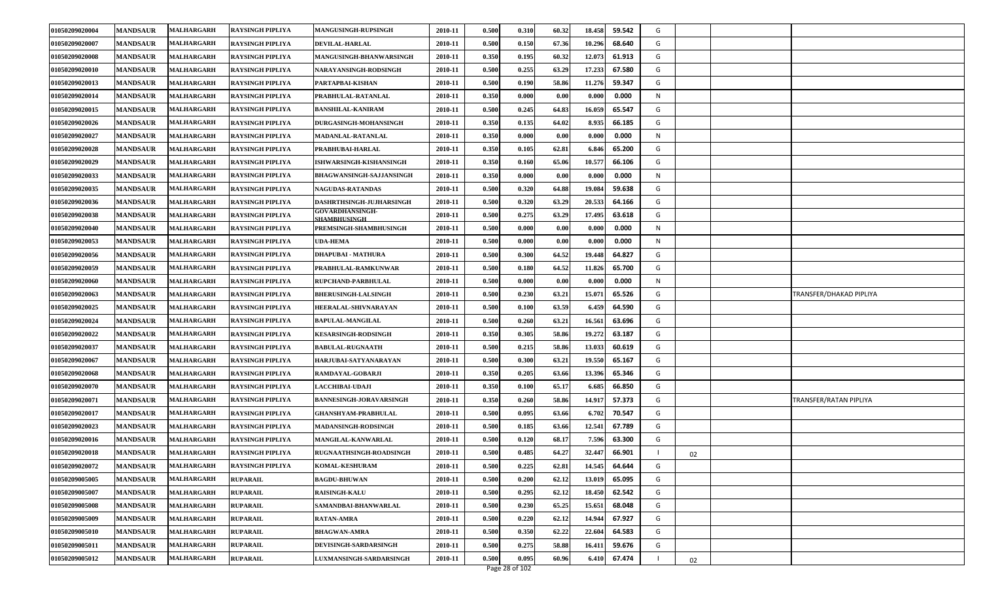| 01050209020004 | <b>MANDSAUR</b> | <b>MALHARGARH</b> | <b>RAYSINGH PIPLIYA</b> | <b>MANGUSINGH-RUPSINGH</b>                    | 2010-11 | 0.500 | 0.310          | 60.32 | 18.458 | 59.542 | G |    |                         |
|----------------|-----------------|-------------------|-------------------------|-----------------------------------------------|---------|-------|----------------|-------|--------|--------|---|----|-------------------------|
| 01050209020007 | <b>MANDSAUR</b> | MALHARGARH        | <b>RAYSINGH PIPLIYA</b> | <b>DEVILAL-HARLAL</b>                         | 2010-11 | 0.500 | 0.150          | 67.36 | 10.296 | 68.640 | G |    |                         |
| 01050209020008 | <b>MANDSAUR</b> | <b>MALHARGARH</b> | <b>RAYSINGH PIPLIYA</b> | MANGUSINGH-BHANWARSINGH                       | 2010-11 | 0.350 | 0.195          | 60.32 | 12.073 | 61.913 | G |    |                         |
| 01050209020010 | <b>MANDSAUR</b> | MALHARGARH        | <b>RAYSINGH PIPLIYA</b> | NARAYANSINGH-RODSINGH                         | 2010-11 | 0.500 | 0.255          | 63.29 | 17.233 | 67.580 | G |    |                         |
| 01050209020013 | <b>MANDSAUR</b> | MALHARGARH        | <b>RAYSINGH PIPLIYA</b> | PARTAPBAI-KISHAN                              | 2010-11 | 0.500 | 0.190          | 58.86 | 11.276 | 59.347 | G |    |                         |
| 01050209020014 | <b>MANDSAUR</b> | MALHARGARH        | <b>RAYSINGH PIPLIYA</b> | PRABHULAL-RATANLAL                            | 2010-11 | 0.350 | 0.000          | 0.00  | 0.000  | 0.000  | N |    |                         |
| 01050209020015 | <b>MANDSAUR</b> | <b>MALHARGARH</b> | <b>RAYSINGH PIPLIYA</b> | <b>BANSHILAL-KANIRAM</b>                      | 2010-11 | 0.500 | 0.245          | 64.83 | 16.059 | 65.547 | G |    |                         |
| 01050209020026 | <b>MANDSAUR</b> | MALHARGARH        | <b>RAYSINGH PIPLIYA</b> | <b>DURGASINGH-MOHANSINGH</b>                  | 2010-11 | 0.350 | 0.135          | 64.02 | 8.935  | 66.185 | G |    |                         |
| 01050209020027 | <b>MANDSAUR</b> | MALHARGARH        | <b>RAYSINGH PIPLIYA</b> | MADANLAL-RATANLAL                             | 2010-11 | 0.350 | 0.000          | 0.00  | 0.00   | 0.000  | N |    |                         |
| 01050209020028 | <b>MANDSAUR</b> | MALHARGARH        | <b>RAYSINGH PIPLIYA</b> | PRABHUBAI-HARLAL                              | 2010-11 | 0.350 | 0.105          | 62.81 | 6.846  | 65.200 | G |    |                         |
| 01050209020029 | <b>MANDSAUR</b> | MALHARGARH        | <b>RAYSINGH PIPLIYA</b> | ISHWARSINGH-KISHANSINGH                       | 2010-11 | 0.350 | 0.160          | 65.06 | 10.577 | 66.106 | G |    |                         |
| 01050209020033 | <b>MANDSAUR</b> | MALHARGARH        | <b>RAYSINGH PIPLIYA</b> | <b>BHAGWANSINGH-SAJJANSINGH</b>               | 2010-11 | 0.350 | 0.000          | 0.00  | 0.000  | 0.000  | N |    |                         |
| 01050209020035 | <b>MANDSAUR</b> | MALHARGARH        | <b>RAYSINGH PIPLIYA</b> | <b>NAGUDAS-RATANDAS</b>                       | 2010-11 | 0.500 | 0.320          | 64.88 | 19.084 | 59.638 | G |    |                         |
| 01050209020036 | <b>MANDSAUR</b> | MALHARGARH        | <b>RAYSINGH PIPLIYA</b> | DASHRTHSINGH-JUJHARSINGH                      | 2010-11 | 0.500 | 0.320          | 63.29 | 20.533 | 64.166 | G |    |                         |
| 01050209020038 | <b>MANDSAUR</b> | MALHARGARH        | <b>RAYSINGH PIPLIYA</b> | <b>GOVARDHANSINGH-</b><br><b>SHAMBHUSINGH</b> | 2010-11 | 0.500 | 0.275          | 63.29 | 17.495 | 63.618 | G |    |                         |
| 01050209020040 | <b>MANDSAUR</b> | <b>MALHARGARH</b> | <b>RAYSINGH PIPLIYA</b> | PREMSINGH-SHAMBHUSINGH                        | 2010-11 | 0.500 | 0.000          | 0.00  | 0.000  | 0.000  | N |    |                         |
| 01050209020053 | <b>MANDSAUR</b> | MALHARGARH        | <b>RAYSINGH PIPLIYA</b> | <b>UDA-HEMA</b>                               | 2010-11 | 0.500 | 0.000          | 0.00  | 0.000  | 0.000  | N |    |                         |
| 01050209020056 | <b>MANDSAUR</b> | <b>MALHARGARH</b> | <b>RAYSINGH PIPLIYA</b> | <b>DHAPUBAI - MATHURA</b>                     | 2010-11 | 0.500 | 0.300          | 64.52 | 19.448 | 64.827 | G |    |                         |
| 01050209020059 | <b>MANDSAUR</b> | MALHARGARH        | <b>RAYSINGH PIPLIYA</b> | PRABHULAL-RAMKUNWAR                           | 2010-11 | 0.500 | 0.180          | 64.52 | 11.826 | 65.700 | G |    |                         |
| 01050209020060 | <b>MANDSAUR</b> | MALHARGARH        | <b>RAYSINGH PIPLIYA</b> | RUPCHAND-PARBHULAL                            | 2010-11 | 0.500 | 0.000          | 0.00  | 0.000  | 0.000  | N |    |                         |
| 01050209020063 | <b>MANDSAUR</b> | MALHARGARH        | <b>RAYSINGH PIPLIYA</b> | <b>BHERUSINGH-LALSINGH</b>                    | 2010-11 | 0.500 | 0.230          | 63.21 | 15.071 | 65.526 | G |    | TRANSFER/DHAKAD PIPLIYA |
| 01050209020025 | <b>MANDSAUR</b> | MALHARGARH        | <b>RAYSINGH PIPLIYA</b> | HEERALAL-SHIVNARAYAN                          | 2010-11 | 0.500 | 0.100          | 63.59 | 6.459  | 64.590 | G |    |                         |
| 01050209020024 | <b>MANDSAUR</b> | MALHARGARH        | <b>RAYSINGH PIPLIYA</b> | <b>BAPULAL-MANGILAL</b>                       | 2010-11 | 0.500 | 0.260          | 63.21 | 16.561 | 63.696 | G |    |                         |
| 01050209020022 | <b>MANDSAUR</b> | MALHARGARH        | <b>RAYSINGH PIPLIYA</b> | <b>KESARSINGH-RODSINGH</b>                    | 2010-11 | 0.350 | 0.305          | 58.86 | 19.272 | 63.187 | G |    |                         |
| 01050209020037 | <b>MANDSAUR</b> | MALHARGARH        | <b>RAYSINGH PIPLIYA</b> | <b>BABULAL-RUGNAATH</b>                       | 2010-11 | 0.500 | 0.215          | 58.86 | 13.033 | 60.619 | G |    |                         |
| 01050209020067 | <b>MANDSAUR</b> | <b>MALHARGARH</b> | <b>RAYSINGH PIPLIYA</b> | HARJUBAI-SATYANARAYAN                         | 2010-11 | 0.500 | 0.300          | 63.21 | 19.550 | 65.167 | G |    |                         |
| 01050209020068 | <b>MANDSAUR</b> | MALHARGARH        | <b>RAYSINGH PIPLIYA</b> | RAMDAYAL-GOBARJI                              | 2010-11 | 0.350 | 0.205          | 63.66 | 13.396 | 65.346 | G |    |                         |
| 01050209020070 | <b>MANDSAUR</b> | MALHARGARH        | <b>RAYSINGH PIPLIYA</b> | <b>LACCHIBAI-UDAJI</b>                        | 2010-11 | 0.350 | 0.100          | 65.17 | 6.685  | 66.850 | G |    |                         |
| 01050209020071 | <b>MANDSAUR</b> | MALHARGARH        | <b>RAYSINGH PIPLIYA</b> | <b>BANNESINGH-JORAVARSINGH</b>                | 2010-11 | 0.350 | 0.260          | 58.86 | 14.917 | 57.373 | G |    | TRANSFER/RATAN PIPLIYA  |
| 01050209020017 | <b>MANDSAUR</b> | <b>MALHARGARH</b> | <b>RAYSINGH PIPLIYA</b> | <b>GHANSHYAM-PRABHULAL</b>                    | 2010-11 | 0.500 | 0.095          | 63.66 | 6.702  | 70.547 | G |    |                         |
| 01050209020023 | <b>MANDSAUR</b> | MALHARGARH        | <b>RAYSINGH PIPLIYA</b> | <b>MADANSINGH-RODSINGH</b>                    | 2010-11 | 0.500 | 0.185          | 63.66 | 12.541 | 67.789 | G |    |                         |
| 01050209020016 | <b>MANDSAUR</b> | MALHARGARH        | <b>RAYSINGH PIPLIYA</b> | MANGILAL-KANWARLAL                            | 2010-11 | 0.500 | 0.120          | 68.17 | 7.596  | 63.300 | G |    |                         |
| 01050209020018 | <b>MANDSAUR</b> | MALHARGARH        | <b>RAYSINGH PIPLIYA</b> | RUGNAATHSINGH-ROADSINGH                       | 2010-11 | 0.500 | 0.485          | 64.27 | 32.447 | 66.901 |   | 02 |                         |
| 01050209020072 | <b>MANDSAUR</b> | <b>MALHARGARH</b> | <b>RAYSINGH PIPLIYA</b> | <b>KOMAL-KESHURAM</b>                         | 2010-11 | 0.500 | 0.225          | 62.81 | 14.545 | 64.644 | G |    |                         |
| 01050209005005 | <b>MANDSAUR</b> | MALHARGARH        | <b>RUPARAIL</b>         | <b>BAGDU-BHUWAN</b>                           | 2010-11 | 0.500 | 0.200          | 62.12 | 13.019 | 65.095 | G |    |                         |
| 01050209005007 | <b>MANDSAUR</b> | <b>MALHARGARH</b> | <b>RUPARAIL</b>         | <b>RAISINGH-KALU</b>                          | 2010-11 | 0.500 | 0.295          | 62.12 | 18.450 | 62.542 | G |    |                         |
| 01050209005008 | <b>MANDSAUR</b> | <b>MALHARGARH</b> | <b>RUPARAIL</b>         | SAMANDBAI-BHANWARLAL                          | 2010-11 | 0.500 | 0.230          | 65.25 | 15.651 | 68.048 | G |    |                         |
| 01050209005009 | <b>MANDSAUR</b> | MALHARGARH        | <b>RUPARAIL</b>         | <b>RATAN-AMRA</b>                             | 2010-11 | 0.500 | 0.220          | 62.12 | 14.944 | 67.927 | G |    |                         |
| 01050209005010 | <b>MANDSAUR</b> | MALHARGARH        | <b>RUPARAIL</b>         | <b>BHAGWAN-AMRA</b>                           | 2010-11 | 0.500 | 0.350          | 62.22 | 22.604 | 64.583 | G |    |                         |
| 01050209005011 | <b>MANDSAUR</b> | <b>MALHARGARH</b> | <b>RUPARAIL</b>         | DEVISINGH-SARDARSINGH                         | 2010-11 | 0.500 | 0.275          | 58.88 | 16.411 | 59.676 | G |    |                         |
| 01050209005012 | <b>MANDSAUR</b> | MALHARGARH        | <b>RUPARAIL</b>         | LUXMANSINGH-SARDARSINGH                       | 2010-11 | 0.500 | 0.095          | 60.96 | 6.410  | 67.474 |   | 02 |                         |
|                |                 |                   |                         |                                               |         |       | Page 28 of 102 |       |        |        |   |    |                         |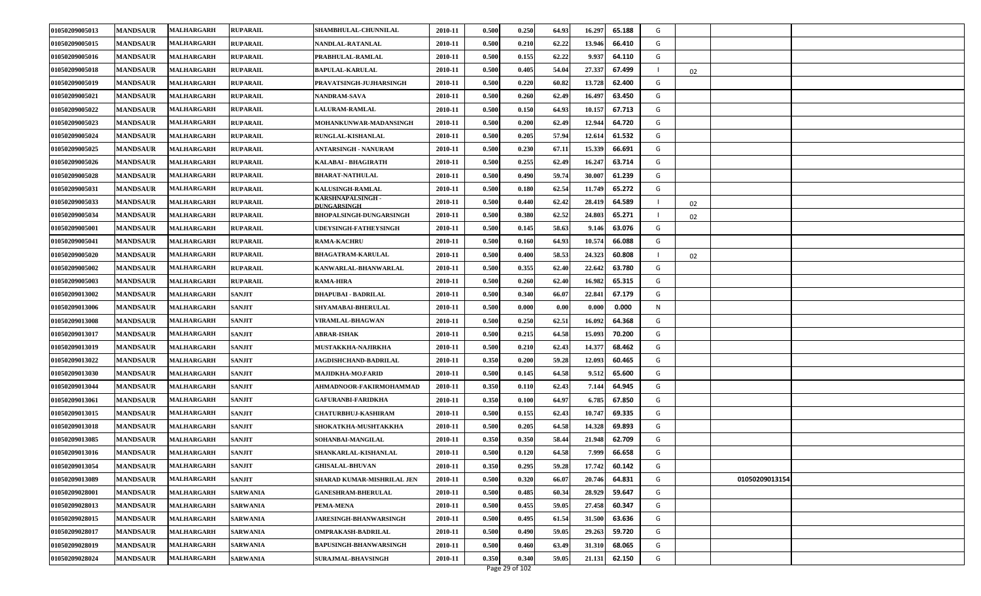| 01050209005013 | <b>MANDSAUR</b> | <b>MALHARGARH</b> | <b>RUPARAIL</b> | SHAMBHULAL-CHUNNILAL             | 2010-11 | 0.500 | 0.250 | 64.93 | 16.297 | 65.188 | G |    |                |  |
|----------------|-----------------|-------------------|-----------------|----------------------------------|---------|-------|-------|-------|--------|--------|---|----|----------------|--|
| 01050209005015 | <b>MANDSAUR</b> | <b>MALHARGARH</b> | <b>RUPARAIL</b> | NANDLAL-RATANLAL                 | 2010-11 | 0.500 | 0.210 | 62.22 | 13.946 | 66.410 | G |    |                |  |
| 01050209005016 | <b>MANDSAUR</b> | <b>MALHARGARH</b> | <b>RUPARAIL</b> | PRABHULAL-RAMLAL                 | 2010-11 | 0.500 | 0.155 | 62.22 | 9.937  | 64.110 | G |    |                |  |
| 01050209005018 | <b>MANDSAUR</b> | <b>MALHARGARH</b> | <b>RUPARAIL</b> | <b>BAPULAL-KARULAL</b>           | 2010-11 | 0.500 | 0.405 | 54.04 | 27.337 | 67.499 |   | 02 |                |  |
| 01050209005019 | <b>MANDSAUR</b> | <b>MALHARGARH</b> | <b>RUPARAIL</b> | PRAVATSINGH-JUJHARSINGH          | 2010-11 | 0.500 | 0.220 | 60.82 | 13.728 | 62.400 | G |    |                |  |
| 01050209005021 | <b>MANDSAUR</b> | <b>MALHARGARH</b> | <b>RUPARAIL</b> | <b>NANDRAM-SAVA</b>              | 2010-11 | 0.500 | 0.260 | 62.49 | 16.497 | 63.450 | G |    |                |  |
| 01050209005022 | <b>MANDSAUR</b> | <b>MALHARGARH</b> | <b>RUPARAIL</b> | <b>LALURAM-RAMLAL</b>            | 2010-11 | 0.500 | 0.150 | 64.93 | 10.157 | 67.713 | G |    |                |  |
| 01050209005023 | <b>MANDSAUR</b> | <b>MALHARGARH</b> | <b>RUPARAIL</b> | MOHANKUNWAR-MADANSINGH           | 2010-11 | 0.500 | 0.200 | 62.49 | 12.944 | 64.720 | G |    |                |  |
| 01050209005024 | <b>MANDSAUR</b> | <b>MALHARGARH</b> | <b>RUPARAIL</b> | RUNGLAL-KISHANLAL                | 2010-11 | 0.500 | 0.205 | 57.94 | 12.614 | 61.532 | G |    |                |  |
| 01050209005025 | <b>MANDSAUR</b> | <b>MALHARGARH</b> | <b>RUPARAIL</b> | <b>ANTARSINGH - NANURAM</b>      | 2010-11 | 0.500 | 0.230 | 67.11 | 15.339 | 66.691 | G |    |                |  |
| 01050209005026 | <b>MANDSAUR</b> | <b>MALHARGARH</b> | <b>RUPARAIL</b> | KALABAI - BHAGIRATH              | 2010-11 | 0.500 | 0.255 | 62.49 | 16.247 | 63.714 | G |    |                |  |
| 01050209005028 | <b>MANDSAUR</b> | <b>MALHARGARH</b> | <b>RUPARAIL</b> | <b>BHARAT-NATHULAL</b>           | 2010-11 | 0.500 | 0.490 | 59.74 | 30.00  | 61.239 | G |    |                |  |
| 01050209005031 | <b>MANDSAUR</b> | <b>MALHARGARH</b> | <b>RUPARAIL</b> | KALUSINGH-RAMLAL                 | 2010-11 | 0.500 | 0.180 | 62.54 | 11.749 | 65.272 | G |    |                |  |
| 01050209005033 | <b>MANDSAUR</b> | <b>MALHARGARH</b> | <b>RUPARAIL</b> | KARSHNAPALSINGH -<br>DUNGARSINGH | 2010-11 | 0.500 | 0.440 | 62.42 | 28.419 | 64.589 |   | 02 |                |  |
| 01050209005034 | <b>MANDSAUR</b> | <b>MALHARGARH</b> | <b>RUPARAIL</b> | <b>BHOPALSINGH-DUNGARSINGH</b>   | 2010-11 | 0.500 | 0.380 | 62.52 | 24.803 | 65.271 |   | 02 |                |  |
| 01050209005001 | <b>MANDSAUR</b> | <b>MALHARGARH</b> | <b>RUPARAIL</b> | <b>JDEYSINGH-FATHEYSINGH</b>     | 2010-11 | 0.500 | 0.145 | 58.63 | 9.146  | 63.076 | G |    |                |  |
| 01050209005041 | <b>MANDSAUR</b> | MALHARGARH        | <b>RUPARAIL</b> | <b>RAMA-KACHRU</b>               | 2010-11 | 0.500 | 0.160 | 64.93 | 10.57  | 66.088 | G |    |                |  |
| 01050209005020 | <b>MANDSAUR</b> | <b>MALHARGARH</b> | <b>RUPARAIL</b> | <b>BHAGATRAM-KARULAL</b>         | 2010-11 | 0.500 | 0.400 | 58.53 | 24.323 | 60.808 |   | 02 |                |  |
| 01050209005002 | <b>MANDSAUR</b> | <b>MALHARGARH</b> | <b>RUPARAIL</b> | KANWARLAL-BHANWARLAL             | 2010-11 | 0.500 | 0.355 | 62.40 | 22.642 | 63.780 | G |    |                |  |
| 01050209005003 | <b>MANDSAUR</b> | <b>MALHARGARH</b> | <b>RUPARAIL</b> | <b>RAMA-HIRA</b>                 | 2010-11 | 0.500 | 0.260 | 62.40 | 16.982 | 65.315 | G |    |                |  |
| 01050209013002 | <b>MANDSAUR</b> | <b>MALHARGARH</b> | <b>SANJIT</b>   | DHAPUBAI - BADRILAL              | 2010-11 | 0.500 | 0.340 | 66.07 | 22.841 | 67.179 | G |    |                |  |
| 01050209013006 | <b>MANDSAUR</b> | <b>MALHARGARH</b> | <b>SANJIT</b>   | SHYAMABAI-BHERULAL               | 2010-11 | 0.500 | 0.000 | 0.00  | 0.000  | 0.000  | N |    |                |  |
| 01050209013008 | <b>MANDSAUR</b> | <b>MALHARGARH</b> | <b>SANJIT</b>   | VIRAMLAL-BHAGWAN                 | 2010-11 | 0.500 | 0.250 | 62.51 | 16.092 | 64.368 | G |    |                |  |
| 01050209013017 | <b>MANDSAUR</b> | <b>MALHARGARH</b> | <b>SANJIT</b>   | <b>ABRAR-ISHAK</b>               | 2010-11 | 0.500 | 0.215 | 64.58 | 15.093 | 70.200 | G |    |                |  |
| 01050209013019 | <b>MANDSAUR</b> | <b>MALHARGARH</b> | <b>SANJIT</b>   | MUSTAKKHA-NAJIRKHA               | 2010-11 | 0.500 | 0.210 | 62.43 | 14.377 | 68.462 | G |    |                |  |
| 01050209013022 | <b>MANDSAUR</b> | <b>MALHARGARH</b> | <b>SANJIT</b>   | JAGDISHCHAND-BADRILAL            | 2010-11 | 0.350 | 0.200 | 59.28 | 12.093 | 60.465 | G |    |                |  |
| 01050209013030 | <b>MANDSAUR</b> | <b>MALHARGARH</b> | <b>SANJIT</b>   | <b>MAJIDKHA-MO.FARID</b>         | 2010-11 | 0.500 | 0.145 | 64.58 | 9.512  | 65.600 | G |    |                |  |
| 01050209013044 | <b>MANDSAUR</b> | <b>MALHARGARH</b> | <b>SANJIT</b>   | AHMADNOOR-FAKIRMOHAMMAD          | 2010-11 | 0.350 | 0.110 | 62.43 | 7.144  | 64.945 | G |    |                |  |
| 01050209013061 | <b>MANDSAUR</b> | <b>MALHARGARH</b> | <b>SANJIT</b>   | <b>GAFURANBI-FARIDKHA</b>        | 2010-11 | 0.350 | 0.100 | 64.97 | 6.785  | 67.850 | G |    |                |  |
| 01050209013015 | <b>MANDSAUR</b> | <b>MALHARGARH</b> | <b>SANJIT</b>   | <b>CHATURBHUJ-KASHIRAM</b>       | 2010-11 | 0.500 | 0.155 | 62.43 | 10.747 | 69.335 | G |    |                |  |
| 01050209013018 | <b>MANDSAUR</b> | <b>MALHARGARH</b> | <b>SANJIT</b>   | SHOKATKHA-MUSHTAKKHA             | 2010-11 | 0.500 | 0.205 | 64.58 | 14.328 | 69.893 | G |    |                |  |
| 01050209013085 | <b>MANDSAUR</b> | <b>MALHARGARH</b> | <b>SANJIT</b>   | SOHANBAI-MANGILAL                | 2010-11 | 0.350 | 0.350 | 58.44 | 21.948 | 62.709 | G |    |                |  |
| 01050209013016 | <b>MANDSAUR</b> | <b>MALHARGARH</b> | <b>SANJIT</b>   | SHANKARLAL-KISHANLAL             | 2010-11 | 0.500 | 0.120 | 64.58 | 7.999  | 66.658 | G |    |                |  |
| 01050209013054 | <b>MANDSAUR</b> | <b>MALHARGARH</b> | <b>SANJIT</b>   | <b>GHISALAL-BHUVAN</b>           | 2010-11 | 0.350 | 0.295 | 59.28 | 17.742 | 60.142 | G |    |                |  |
| 01050209013089 | <b>MANDSAUR</b> | <b>MALHARGARH</b> | SANJIT          | SHARAD KUMAR-MISHRILAL JEN       | 2010-11 | 0.500 | 0.320 | 66.07 | 20.746 | 64.831 | G |    | 01050209013154 |  |
| 01050209028001 | <b>MANDSAUR</b> | <b>MALHARGARH</b> | <b>SARWANIA</b> | <b>GANESHRAM-BHERULAL</b>        | 2010-11 | 0.500 | 0.485 | 60.34 | 28.929 | 59.647 | G |    |                |  |
| 01050209028013 | <b>MANDSAUR</b> | <b>MALHARGARH</b> | <b>SARWANIA</b> | PEMA-MENA                        | 2010-11 | 0.500 | 0.455 | 59.05 | 27.458 | 60.347 | G |    |                |  |
| 01050209028015 | <b>MANDSAUR</b> | <b>MALHARGARH</b> | <b>SARWANIA</b> | JARESINGH-BHANWARSINGH           | 2010-11 | 0.500 | 0.495 | 61.54 | 31.500 | 63.636 | G |    |                |  |
| 01050209028017 | <b>MANDSAUR</b> | <b>MALHARGARH</b> | <b>SARWANIA</b> | OMPRAKASH-BADRILAL               | 2010-11 | 0.500 | 0.490 | 59.05 | 29.263 | 59.720 | G |    |                |  |
| 01050209028019 | <b>MANDSAUR</b> | <b>MALHARGARH</b> | <b>SARWANIA</b> | <b>BAPUSINGH-BHANWARSINGH</b>    | 2010-11 | 0.500 | 0.460 | 63.49 | 31.31  | 68.065 | G |    |                |  |
| 01050209028024 | <b>MANDSAUR</b> | <b>MALHARGARH</b> | <b>SARWANIA</b> | <b>SURAJMAL-BHAVSINGH</b>        | 2010-11 | 0.350 | 0.340 | 59.05 | 21.131 | 62.150 | G |    |                |  |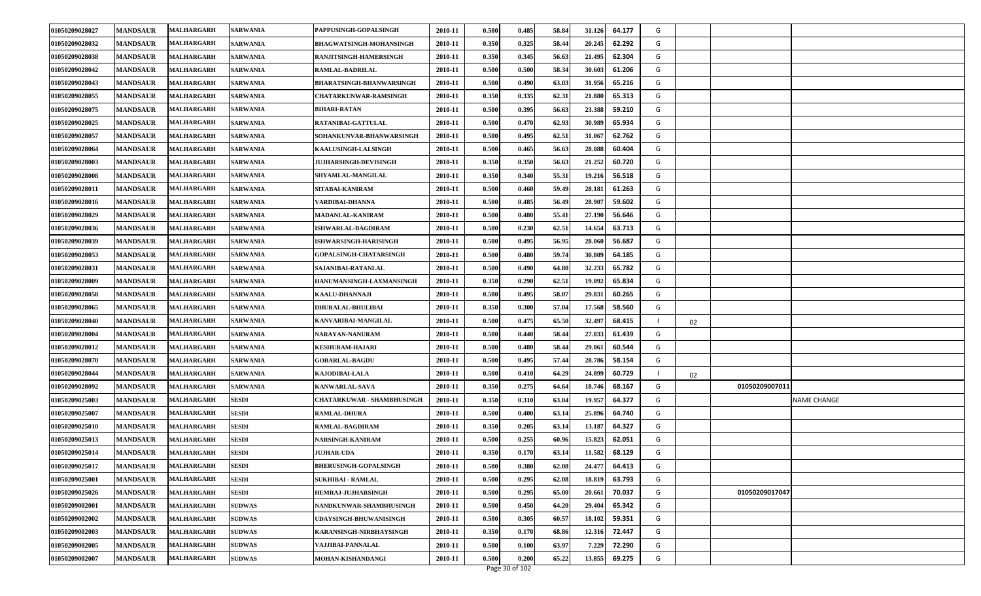| 01050209028027 | <b>MANDSAUR</b> | <b>MALHARGARH</b> | <b>SARWANIA</b> | PAPPUSINGH-GOPALSINGH             | 2010-11 | 0.500 | 0.485 | 58.84 | 31.126 | 64.177 | G |    |                |                    |
|----------------|-----------------|-------------------|-----------------|-----------------------------------|---------|-------|-------|-------|--------|--------|---|----|----------------|--------------------|
| 01050209028032 | <b>MANDSAUR</b> | <b>MALHARGARH</b> | <b>SARWANIA</b> | <b>BHAGWATSINGH-MOHANSINGH</b>    | 2010-11 | 0.350 | 0.325 | 58.44 | 20.245 | 62.292 | G |    |                |                    |
| 01050209028038 | <b>MANDSAUR</b> | <b>MALHARGARH</b> | <b>SARWANIA</b> | RANJITSINGH-HAMERSINGH            | 2010-11 | 0.350 | 0.345 | 56.63 | 21.495 | 62.304 | G |    |                |                    |
| 01050209028042 | <b>MANDSAUR</b> | <b>MALHARGARH</b> | <b>SARWANIA</b> | RAMLAL-BADRILAL                   | 2010-11 | 0.500 | 0.500 | 58.34 | 30.603 | 61.206 | G |    |                |                    |
| 01050209028043 | <b>MANDSAUR</b> | <b>MALHARGARH</b> | <b>SARWANIA</b> | <b>BHARATSINGH-BHANWARSINGH</b>   | 2010-11 | 0.500 | 0.490 | 63.03 | 31.956 | 65.216 | G |    |                |                    |
| 01050209028055 | <b>MANDSAUR</b> | <b>MALHARGARH</b> | <b>SARWANIA</b> | <b>CHATARKUNWAR-RAMSINGH</b>      | 2010-11 | 0.350 | 0.335 | 62.31 | 21.88  | 65.313 | G |    |                |                    |
| 01050209028075 | <b>MANDSAUR</b> | <b>MALHARGARH</b> | <b>SARWANIA</b> | <b>BIHARI-RATAN</b>               | 2010-11 | 0.500 | 0.395 | 56.63 | 23.388 | 59.210 | G |    |                |                    |
| 01050209028025 | <b>MANDSAUR</b> | <b>MALHARGARH</b> | <b>SARWANIA</b> | RATANIBAI-GATTULAL                | 2010-11 | 0.500 | 0.470 | 62.93 | 30.989 | 65.934 | G |    |                |                    |
| 01050209028057 | <b>MANDSAUR</b> | MALHARGARH        | <b>SARWANIA</b> | SOHANKUNVAR-BHANWARSINGH          | 2010-11 | 0.500 | 0.495 | 62.51 | 31.067 | 62.762 | G |    |                |                    |
| 01050209028064 | <b>MANDSAUR</b> | <b>MALHARGARH</b> | <b>SARWANIA</b> | KAALUSINGH-LALSINGH               | 2010-11 | 0.500 | 0.465 | 56.63 | 28.088 | 60.404 | G |    |                |                    |
| 01050209028003 | <b>MANDSAUR</b> | <b>MALHARGARH</b> | <b>SARWANIA</b> | <b>JUJHARSINGH-DEVISINGH</b>      | 2010-11 | 0.350 | 0.350 | 56.63 | 21.252 | 60.720 | G |    |                |                    |
| 01050209028008 | <b>MANDSAUR</b> | <b>MALHARGARH</b> | <b>SARWANIA</b> | SHYAMLAL-MANGILAL                 | 2010-11 | 0.350 | 0.340 | 55.31 | 19.216 | 56.518 | G |    |                |                    |
| 01050209028011 | <b>MANDSAUR</b> | <b>MALHARGARH</b> | <b>SARWANIA</b> | SITABAI-KANIRAM                   | 2010-11 | 0.500 | 0.460 | 59.49 | 28.181 | 61.263 | G |    |                |                    |
| 01050209028016 | <b>MANDSAUR</b> | <b>MALHARGARH</b> | <b>SARWANIA</b> | VARDIBAI-DHANNA                   | 2010-11 | 0.500 | 0.485 | 56.49 | 28.90  | 59.602 | G |    |                |                    |
| 01050209028029 | <b>MANDSAUR</b> | <b>MALHARGARH</b> | <b>SARWANIA</b> | MADANLAL-KANIRAM                  | 2010-11 | 0.500 | 0.480 | 55.41 | 27.190 | 56.646 | G |    |                |                    |
| 01050209028036 | <b>MANDSAUR</b> | <b>MALHARGARH</b> | <b>SARWANIA</b> | ISHWARLAL-BAGDIRAM                | 2010-11 | 0.500 | 0.230 | 62.51 | 14.654 | 63.713 | G |    |                |                    |
| 01050209028039 | <b>MANDSAUR</b> | MALHARGARH        | <b>SARWANIA</b> | ISHWARSINGH-HARISINGH             | 2010-11 | 0.500 | 0.495 | 56.95 | 28.06  | 56.687 | G |    |                |                    |
| 01050209028053 | <b>MANDSAUR</b> | MALHARGARH        | <b>SARWANIA</b> | <b>GOPALSINGH-CHATARSINGH</b>     | 2010-11 | 0.500 | 0.480 | 59.74 | 30.80  | 64.185 | G |    |                |                    |
| 01050209028031 | <b>MANDSAUR</b> | <b>MALHARGARH</b> | <b>SARWANIA</b> | SAJANIBAI-RATANLAL                | 2010-11 | 0.500 | 0.490 | 64.80 | 32.233 | 65.782 | G |    |                |                    |
| 01050209028009 | <b>MANDSAUR</b> | MALHARGARH        | <b>SARWANIA</b> | HANUMANSINGH-LAXMANSINGH          | 2010-11 | 0.350 | 0.290 | 62.51 | 19.092 | 65.834 | G |    |                |                    |
| 01050209028058 | <b>MANDSAUR</b> | <b>MALHARGARH</b> | <b>SARWANIA</b> | KAALU-DHANNAJI                    | 2010-11 | 0.500 | 0.495 | 58.07 | 29.83  | 60.265 | G |    |                |                    |
| 01050209028065 | <b>MANDSAUR</b> | <b>MALHARGARH</b> | <b>SARWANIA</b> | <b>DHURALAL-BHULIBAI</b>          | 2010-11 | 0.350 | 0.300 | 57.04 | 17.568 | 58.560 | G |    |                |                    |
| 01050209028040 | <b>MANDSAUR</b> | <b>MALHARGARH</b> | <b>SARWANIA</b> | KANVARIBAI-MANGILAL               | 2010-11 | 0.500 | 0.475 | 65.50 | 32.497 | 68.415 |   | 02 |                |                    |
| 01050209028004 | <b>MANDSAUR</b> | <b>MALHARGARH</b> | <b>SARWANIA</b> | NARAYAN-NANURAM                   | 2010-11 | 0.500 | 0.440 | 58.44 | 27.033 | 61.439 | G |    |                |                    |
| 01050209028012 | <b>MANDSAUR</b> | MALHARGARH        | <b>SARWANIA</b> | <b>KESHURAM-HAJARI</b>            | 2010-11 | 0.500 | 0.480 | 58.44 | 29.061 | 60.544 | G |    |                |                    |
| 01050209028070 | <b>MANDSAUR</b> | <b>MALHARGARH</b> | <b>SARWANIA</b> | <b>GOBARLAL-BAGDU</b>             | 2010-11 | 0.500 | 0.495 | 57.44 | 28.786 | 58.154 | G |    |                |                    |
| 01050209028044 | <b>MANDSAUR</b> | <b>MALHARGARH</b> | <b>SARWANIA</b> | KAJODIBAI-LALA                    | 2010-11 | 0.500 | 0.410 | 64.29 | 24.899 | 60.729 |   | 02 |                |                    |
| 01050209028092 | <b>MANDSAUR</b> | <b>MALHARGARH</b> | <b>SARWANIA</b> | KANWARLAL-SAVA                    | 2010-11 | 0.350 | 0.275 | 64.64 | 18.746 | 68.167 | G |    | 01050209007011 |                    |
| 01050209025003 | <b>MANDSAUR</b> | <b>MALHARGARH</b> | <b>SESDI</b>    | <b>CHATARKUWAR - SHAMBHUSINGH</b> | 2010-11 | 0.350 | 0.310 | 63.04 | 19.957 | 64.377 | G |    |                | <b>NAME CHANGE</b> |
| 01050209025007 | <b>MANDSAUR</b> | <b>MALHARGARH</b> | <b>SESDI</b>    | <b>RAMLAL-DHURA</b>               | 2010-11 | 0.500 | 0.400 | 63.14 | 25.896 | 64.740 | G |    |                |                    |
| 01050209025010 | <b>MANDSAUR</b> | <b>MALHARGARH</b> | <b>SESDI</b>    | RAMLAL-BAGDIRAM                   | 2010-11 | 0.350 | 0.205 | 63.14 | 13.187 | 64.327 | G |    |                |                    |
| 01050209025013 | <b>MANDSAUR</b> | <b>MALHARGARH</b> | <b>SESDI</b>    | NARSINGH-KANIRAM                  | 2010-11 | 0.500 | 0.255 | 60.96 | 15.823 | 62.051 | G |    |                |                    |
| 01050209025014 | <b>MANDSAUR</b> | <b>MALHARGARH</b> | <b>SESDI</b>    | <b>JUJHAR-UDA</b>                 | 2010-11 | 0.350 | 0.170 | 63.14 | 11.582 | 68.129 | G |    |                |                    |
| 01050209025017 | <b>MANDSAUR</b> | <b>MALHARGARH</b> | <b>SESDI</b>    | <b>BHERUSINGH-GOPALSINGH</b>      | 2010-11 | 0.500 | 0.380 | 62.08 | 24.477 | 64.413 | G |    |                |                    |
| 01050209025001 | <b>MANDSAUR</b> | <b>MALHARGARH</b> | <b>SESDI</b>    | <b>SUKHIBAI - RAMLAL</b>          | 2010-11 | 0.500 | 0.295 | 62.08 | 18.819 | 63.793 | G |    |                |                    |
| 01050209025026 | <b>MANDSAUR</b> | <b>MALHARGARH</b> | <b>SESDI</b>    | <b>HEMRAJ-JUJHARSINGH</b>         | 2010-11 | 0.500 | 0.295 | 65.00 | 20.661 | 70.037 | G |    | 01050209017047 |                    |
| 01050209002001 | <b>MANDSAUR</b> | <b>MALHARGARH</b> | <b>SUDWAS</b>   | NANDKUNWAR-SHAMBHUSINGH           | 2010-11 | 0.500 | 0.450 | 64.20 | 29.404 | 65.342 | G |    |                |                    |
| 01050209002002 | <b>MANDSAUR</b> | <b>MALHARGARH</b> | <b>SUDWAS</b>   | <b>UDAYSINGH-BHUWANISINGH</b>     | 2010-11 | 0.500 | 0.305 | 60.57 | 18.102 | 59.351 | G |    |                |                    |
| 01050209002003 | <b>MANDSAUR</b> | <b>MALHARGARH</b> | <b>SUDWAS</b>   | KARANSINGH-NIRBHAYSINGH           | 2010-11 | 0.350 | 0.170 | 68.86 | 12.316 | 72.447 | G |    |                |                    |
| 01050209002005 | <b>MANDSAUR</b> | <b>MALHARGARH</b> | <b>SUDWAS</b>   | VAJJIBAI-PANNALAL                 | 2010-11 | 0.500 | 0.100 | 63.97 | 7.229  | 72.290 | G |    |                |                    |
| 01050209002007 | <b>MANDSAUR</b> | <b>MALHARGARH</b> | <b>SUDWAS</b>   | MOHAN-KISHANDANGI                 | 2010-11 | 0.500 | 0.200 | 65.22 | 13.855 | 69.275 | G |    |                |                    |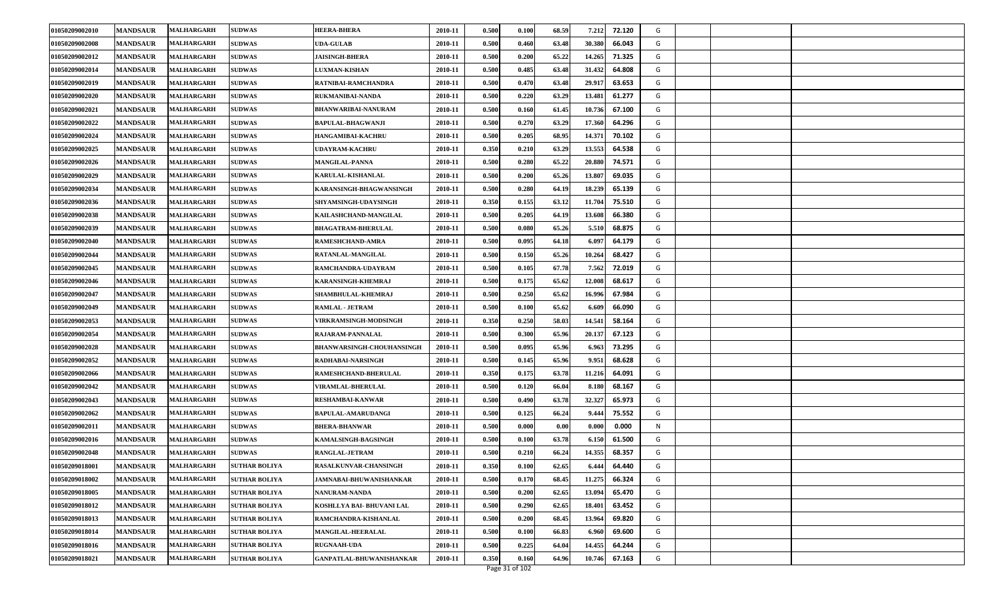| 01050209002010 | <b>MANDSAUR</b> | MALHARGARH        | <b>SUDWAS</b>        | <b>HEERA-BHERA</b>               | 2010-11 | 0.500 | 0.100 | 68.59 | 7.212<br>72.120  | G |  |
|----------------|-----------------|-------------------|----------------------|----------------------------------|---------|-------|-------|-------|------------------|---|--|
| 01050209002008 | <b>MANDSAUR</b> | MALHARGARH        | <b>SUDWAS</b>        | <b>UDA-GULAB</b>                 | 2010-11 | 0.500 | 0.460 | 63.48 | 30.380<br>66.043 | G |  |
| 01050209002012 | <b>MANDSAUR</b> | <b>MALHARGARH</b> | <b>SUDWAS</b>        | <b>JAISINGH-BHERA</b>            | 2010-11 | 0.500 | 0.200 | 65.22 | 14.265<br>71.325 | G |  |
| 01050209002014 | <b>MANDSAUR</b> | MALHARGARH        | <b>SUDWAS</b>        | <b>LUXMAN-KISHAN</b>             | 2010-11 | 0.500 | 0.485 | 63.48 | 31.432<br>64.808 | G |  |
| 01050209002019 | <b>MANDSAUR</b> | MALHARGARH        | <b>SUDWAS</b>        | RATNIBAI-RAMCHANDRA              | 2010-11 | 0.500 | 0.470 | 63.48 | 29.917<br>63.653 | G |  |
| 01050209002020 | <b>MANDSAUR</b> | MALHARGARH        | <b>SUDWAS</b>        | <b>RUKMANIBAI-NANDA</b>          | 2010-11 | 0.500 | 0.220 | 63.29 | 13.481<br>61.277 | G |  |
| 01050209002021 | <b>MANDSAUR</b> | MALHARGARH        | <b>SUDWAS</b>        | <b>BHANWARIBAI-NANURAM</b>       | 2010-11 | 0.500 | 0.160 | 61.45 | 10.736<br>67.100 | G |  |
| 01050209002022 | <b>MANDSAUR</b> | MALHARGARH        | <b>SUDWAS</b>        | <b>BAPULAL-BHAGWANJI</b>         | 2010-11 | 0.500 | 0.270 | 63.29 | 17.360<br>64.296 | G |  |
| 01050209002024 | <b>MANDSAUR</b> | MALHARGARH        | <b>SUDWAS</b>        | <b>HANGAMIBAI-KACHRU</b>         | 2010-11 | 0.500 | 0.205 | 68.95 | 14.371<br>70.102 | G |  |
| 01050209002025 | <b>MANDSAUR</b> | MALHARGARH        | <b>SUDWAS</b>        | UDAYRAM-KACHRU                   | 2010-11 | 0.350 | 0.210 | 63.29 | 13.553<br>64.538 | G |  |
| 01050209002026 | <b>MANDSAUR</b> | MALHARGARH        | <b>SUDWAS</b>        | <b>MANGILAL-PANNA</b>            | 2010-11 | 0.500 | 0.280 | 65.22 | 20.880<br>74.571 | G |  |
| 01050209002029 | <b>MANDSAUR</b> | <b>MALHARGARH</b> | <b>SUDWAS</b>        | KARULAL-KISHANLAL                | 2010-11 | 0.500 | 0.200 | 65.26 | 13.807<br>69.035 | G |  |
| 01050209002034 | <b>MANDSAUR</b> | MALHARGARH        | <b>SUDWAS</b>        | KARANSINGH-BHAGWANSINGH          | 2010-11 | 0.500 | 0.280 | 64.19 | 18.239<br>65.139 | G |  |
| 01050209002036 | <b>MANDSAUR</b> | <b>MALHARGARH</b> | <b>SUDWAS</b>        | SHYAMSINGH-UDAYSINGH             | 2010-11 | 0.350 | 0.155 | 63.12 | 11.704<br>75.510 | G |  |
| 01050209002038 | <b>MANDSAUR</b> | <b>MALHARGARH</b> | <b>SUDWAS</b>        | KAILASHCHAND-MANGILAL            | 2010-11 | 0.500 | 0.205 | 64.19 | 13.608<br>66.380 | G |  |
| 01050209002039 | <b>MANDSAUR</b> | MALHARGARH        | <b>SUDWAS</b>        | <b>BHAGATRAM-BHERULAL</b>        | 2010-11 | 0.500 | 0.080 | 65.26 | 5.510<br>68.875  | G |  |
| 01050209002040 | <b>MANDSAUR</b> | <b>MALHARGARH</b> | <b>SUDWAS</b>        | RAMESHCHAND-AMRA                 | 2010-11 | 0.500 | 0.095 | 64.18 | 6.097<br>64.179  | G |  |
| 01050209002044 | <b>MANDSAUR</b> | MALHARGARH        | <b>SUDWAS</b>        | RATANLAL-MANGILAL                | 2010-11 | 0.500 | 0.150 | 65.26 | 10.264<br>68.427 | G |  |
| 01050209002045 | <b>MANDSAUR</b> | <b>MALHARGARH</b> | <b>SUDWAS</b>        | RAMCHANDRA-UDAYRAM               | 2010-11 | 0.500 | 0.105 | 67.78 | 7.562<br>72.019  | G |  |
| 01050209002046 | <b>MANDSAUR</b> | <b>MALHARGARH</b> | <b>SUDWAS</b>        | <b>KARANSINGH-KHEMRAJ</b>        | 2010-11 | 0.500 | 0.175 | 65.62 | 12.008<br>68.617 | G |  |
| 01050209002047 | <b>MANDSAUR</b> | <b>MALHARGARH</b> | <b>SUDWAS</b>        | SHAMBHULAL-KHEMRAJ               | 2010-11 | 0.500 | 0.250 | 65.62 | 16.996<br>67.984 | G |  |
| 01050209002049 | <b>MANDSAUR</b> | <b>MALHARGARH</b> | <b>SUDWAS</b>        | <b>RAMLAL - JETRAM</b>           | 2010-11 | 0.500 | 0.100 | 65.62 | 6.609<br>66.090  | G |  |
| 01050209002053 | <b>MANDSAUR</b> | <b>MALHARGARH</b> | <b>SUDWAS</b>        | VIRKRAMSINGH-MODSINGH            | 2010-11 | 0.350 | 0.250 | 58.03 | 14.541<br>58.164 | G |  |
| 01050209002054 | <b>MANDSAUR</b> | MALHARGARH        | <b>SUDWAS</b>        | RAJARAM-PANNALAL                 | 2010-11 | 0.500 | 0.300 | 65.96 | 20.137<br>67.123 | G |  |
| 01050209002028 | <b>MANDSAUR</b> | <b>MALHARGARH</b> | <b>SUDWAS</b>        | <b>BHANWARSINGH-CHOUHANSINGH</b> | 2010-11 | 0.500 | 0.095 | 65.96 | 6.963<br>73.295  | G |  |
| 01050209002052 | <b>MANDSAUR</b> | <b>MALHARGARH</b> | <b>SUDWAS</b>        | <b>RADHABAI-NARSINGH</b>         | 2010-11 | 0.500 | 0.145 | 65.96 | 9.951<br>68.628  | G |  |
| 01050209002066 | <b>MANDSAUR</b> | <b>MALHARGARH</b> | <b>SUDWAS</b>        | RAMESHCHAND-BHERULAL             | 2010-11 | 0.350 | 0.175 | 63.78 | 11.216<br>64.091 | G |  |
| 01050209002042 | <b>MANDSAUR</b> | MALHARGARH        | <b>SUDWAS</b>        | VIRAMLAL-BHERULAL                | 2010-11 | 0.500 | 0.120 | 66.04 | 68.167<br>8.180  | G |  |
| 01050209002043 | <b>MANDSAUR</b> | MALHARGARH        | <b>SUDWAS</b>        | <b>RESHAMBAI-KANWAR</b>          | 2010-11 | 0.500 | 0.490 | 63.78 | 32.327<br>65.973 | G |  |
| 01050209002062 | <b>MANDSAUR</b> | <b>MALHARGARH</b> | <b>SUDWAS</b>        | <b>BAPULAL-AMARUDANGI</b>        | 2010-11 | 0.500 | 0.125 | 66.24 | 9.444<br>75.552  | G |  |
| 01050209002011 | <b>MANDSAUR</b> | MALHARGARH        | <b>SUDWAS</b>        | <b>BHERA-BHANWAR</b>             | 2010-11 | 0.500 | 0.000 | 0.00  | 0.000<br>0.000   | N |  |
| 01050209002016 | <b>MANDSAUR</b> | MALHARGARH        | <b>SUDWAS</b>        | KAMALSINGH-BAGSINGH              | 2010-11 | 0.500 | 0.100 | 63.78 | 61.500<br>6.150  | G |  |
| 01050209002048 | <b>MANDSAUR</b> | <b>MALHARGARH</b> | <b>SUDWAS</b>        | <b>RANGLAL-JETRAM</b>            | 2010-11 | 0.500 | 0.210 | 66.24 | 68.357<br>14.355 | G |  |
| 01050209018001 | <b>MANDSAUR</b> | <b>MALHARGARH</b> | <b>SUTHAR BOLIYA</b> | RASALKUNVAR-CHANSINGH            | 2010-11 | 0.350 | 0.100 | 62.65 | 64.440<br>6.444  | G |  |
| 01050209018002 | <b>MANDSAUR</b> | MALHARGARH        | <b>SUTHAR BOLIYA</b> | JAMNABAI-BHUWANISHANKAR          | 2010-11 | 0.500 | 0.170 | 68.45 | 11.275<br>66.324 | G |  |
| 01050209018005 | <b>MANDSAUR</b> | <b>MALHARGARH</b> | <b>SUTHAR BOLIYA</b> | NANURAM-NANDA                    | 2010-11 | 0.500 | 0.200 | 62.65 | 13.094<br>65.470 | G |  |
| 01050209018012 | <b>MANDSAUR</b> | MALHARGARH        | <b>SUTHAR BOLIYA</b> | KOSHLLYA BAI- BHUVANI LAL        | 2010-11 | 0.500 | 0.290 | 62.65 | 18.401<br>63.452 | G |  |
| 01050209018013 | <b>MANDSAUR</b> | <b>MALHARGARH</b> | <b>SUTHAR BOLIYA</b> | RAMCHANDRA-KISHANLAL             | 2010-11 | 0.500 | 0.200 | 68.45 | 13.964<br>69.820 | G |  |
| 01050209018014 | <b>MANDSAUR</b> | <b>MALHARGARH</b> | <b>SUTHAR BOLIYA</b> | <b>MANGILAL-HEERALAL</b>         | 2010-11 | 0.500 | 0.100 | 66.83 | 6.960<br>69.600  | G |  |
| 01050209018016 | <b>MANDSAUR</b> | MALHARGARH        | <b>SUTHAR BOLIYA</b> | <b>RUGNAAH-UDA</b>               | 2010-11 | 0.500 | 0.225 | 64.04 | 14.455<br>64.244 | G |  |
| 01050209018021 | <b>MANDSAUR</b> | <b>MALHARGARH</b> | <b>SUTHAR BOLIYA</b> | GANPATLAL-BHUWANISHANKAR         | 2010-11 | 0.350 | 0.160 | 64.96 | 67.163<br>10.746 | G |  |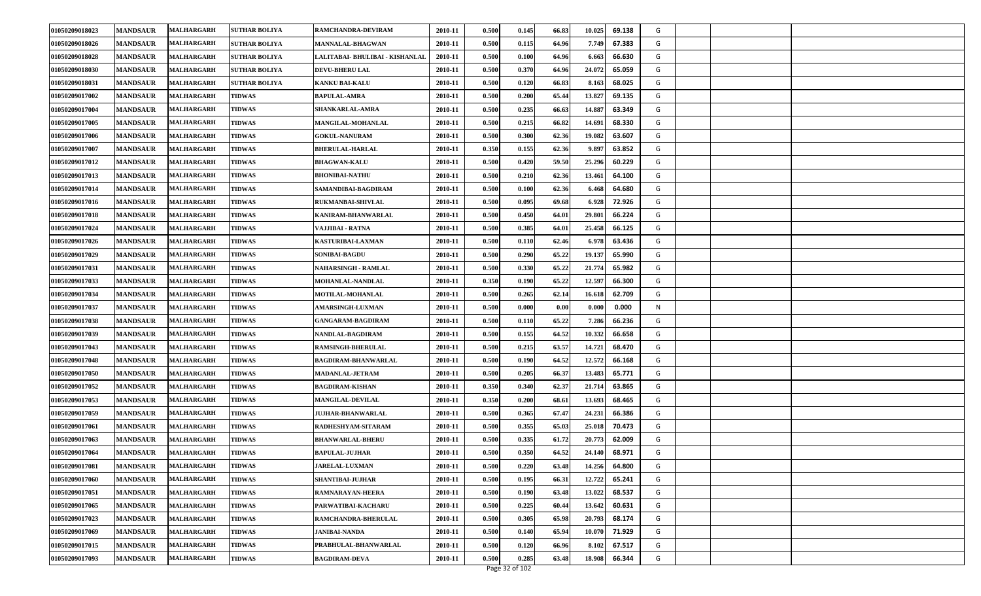| 01050209018026<br>0.500<br>0.115<br><b>MANDSAUR</b><br><b>MALHARGARH</b><br><b>SUTHAR BOLIYA</b><br><b>MANNALAL-BHAGWAN</b><br>2010-11<br>64.96<br>7.749<br>67.383<br>G<br>01050209018028<br><b>MANDSAUR</b><br>MALHARGARH<br>LALITABAI- BHULIBAI - KISHANLAL<br>2010-11<br>0.500<br>0.100<br>64.96<br>6.663<br>66.630<br>G<br><b>SUTHAR BOLIYA</b><br>01050209018030<br><b>MANDSAUR</b><br><b>MALHARGARH</b><br>2010-11<br>0.500<br>0.370<br>64.96<br>24.072<br>65.059<br>G<br><b>SUTHAR BOLIYA</b><br><b>DEVU-BHERU LAL</b><br>01050209018031<br><b>MANDSAUR</b><br>2010-11<br>0.500<br>0.120<br>66.83<br>8.163<br>68.025<br>G<br>MALHARGARH<br><b>SUTHAR BOLIYA</b><br><b>KANKU BAI-KALU</b><br>01050209017002<br>13.827<br><b>MANDSAUR</b><br><b>TIDWAS</b><br>2010-11<br>0.500<br>0.200<br>65.44<br>69.135<br>G<br><b>MALHARGARH</b><br><b>BAPULAL-AMRA</b><br>01050209017004<br><b>MANDSAUR</b><br><b>TIDWAS</b><br><b>SHANKARLAL-AMRA</b><br>0.500<br>0.235<br>14.887<br>63.349<br><b>MALHARGARH</b><br>2010-11<br>66.63<br>G<br>0.500<br>14.691<br>01050209017005<br><b>MANDSAUR</b><br>MALHARGARH<br><b>TIDWAS</b><br>MANGILAL-MOHANLAL<br>2010-11<br>0.215<br>66.82<br>68.330<br>G<br>01050209017006<br>0.500<br>0.300<br>62.36<br>19.082<br>63.607<br><b>MANDSAUR</b><br><b>MALHARGARH</b><br><b>TIDWAS</b><br><b>GOKUL-NANURAM</b><br>2010-11<br>G<br>0.350<br>0.155<br>62.36<br>01050209017007<br><b>MANDSAUR</b><br>MALHARGARH<br><b>TIDWAS</b><br>2010-11<br>9.897<br>63.852<br>G<br><b>BHERULAL-HARLAL</b><br>0.500<br>0.420<br>59.50<br>25.296<br>60.229<br>01050209017012<br><b>MANDSAUR</b><br><b>TIDWAS</b><br><b>BHAGWAN-KALU</b><br>2010-11<br>G<br>MALHARGARH<br>01050209017013<br><b>MANDSAUR</b><br>0.500<br>0.210<br>62.36<br>13.461<br>64.100<br>G<br><b>TIDWAS</b><br><b>BHONIBAI-NATHU</b><br>2010-11<br><b>MALHARGARH</b><br>0.500<br>0.100<br>62.36<br>64.680<br>01050209017014<br><b>MANDSAUR</b><br><b>MALHARGARH</b><br><b>TIDWAS</b><br>SAMANDIBAI-BAGDIRAM<br>2010-11<br>6.468<br>G<br><b>MANDSAUR</b><br>MALHARGARH<br><b>TIDWAS</b><br><b>RUKMANBAI-SHIVLAL</b><br>2010-11<br>0.500<br>0.095<br>69.68<br>6.928<br>72.926<br>G<br>01050209017016 |
|---------------------------------------------------------------------------------------------------------------------------------------------------------------------------------------------------------------------------------------------------------------------------------------------------------------------------------------------------------------------------------------------------------------------------------------------------------------------------------------------------------------------------------------------------------------------------------------------------------------------------------------------------------------------------------------------------------------------------------------------------------------------------------------------------------------------------------------------------------------------------------------------------------------------------------------------------------------------------------------------------------------------------------------------------------------------------------------------------------------------------------------------------------------------------------------------------------------------------------------------------------------------------------------------------------------------------------------------------------------------------------------------------------------------------------------------------------------------------------------------------------------------------------------------------------------------------------------------------------------------------------------------------------------------------------------------------------------------------------------------------------------------------------------------------------------------------------------------------------------------------------------------------------------------------------------------------------------------------------------------------------------------------------------------------------------------------------------------------------------------------------------------------------------------------------------|
|                                                                                                                                                                                                                                                                                                                                                                                                                                                                                                                                                                                                                                                                                                                                                                                                                                                                                                                                                                                                                                                                                                                                                                                                                                                                                                                                                                                                                                                                                                                                                                                                                                                                                                                                                                                                                                                                                                                                                                                                                                                                                                                                                                                       |
|                                                                                                                                                                                                                                                                                                                                                                                                                                                                                                                                                                                                                                                                                                                                                                                                                                                                                                                                                                                                                                                                                                                                                                                                                                                                                                                                                                                                                                                                                                                                                                                                                                                                                                                                                                                                                                                                                                                                                                                                                                                                                                                                                                                       |
|                                                                                                                                                                                                                                                                                                                                                                                                                                                                                                                                                                                                                                                                                                                                                                                                                                                                                                                                                                                                                                                                                                                                                                                                                                                                                                                                                                                                                                                                                                                                                                                                                                                                                                                                                                                                                                                                                                                                                                                                                                                                                                                                                                                       |
|                                                                                                                                                                                                                                                                                                                                                                                                                                                                                                                                                                                                                                                                                                                                                                                                                                                                                                                                                                                                                                                                                                                                                                                                                                                                                                                                                                                                                                                                                                                                                                                                                                                                                                                                                                                                                                                                                                                                                                                                                                                                                                                                                                                       |
|                                                                                                                                                                                                                                                                                                                                                                                                                                                                                                                                                                                                                                                                                                                                                                                                                                                                                                                                                                                                                                                                                                                                                                                                                                                                                                                                                                                                                                                                                                                                                                                                                                                                                                                                                                                                                                                                                                                                                                                                                                                                                                                                                                                       |
|                                                                                                                                                                                                                                                                                                                                                                                                                                                                                                                                                                                                                                                                                                                                                                                                                                                                                                                                                                                                                                                                                                                                                                                                                                                                                                                                                                                                                                                                                                                                                                                                                                                                                                                                                                                                                                                                                                                                                                                                                                                                                                                                                                                       |
|                                                                                                                                                                                                                                                                                                                                                                                                                                                                                                                                                                                                                                                                                                                                                                                                                                                                                                                                                                                                                                                                                                                                                                                                                                                                                                                                                                                                                                                                                                                                                                                                                                                                                                                                                                                                                                                                                                                                                                                                                                                                                                                                                                                       |
|                                                                                                                                                                                                                                                                                                                                                                                                                                                                                                                                                                                                                                                                                                                                                                                                                                                                                                                                                                                                                                                                                                                                                                                                                                                                                                                                                                                                                                                                                                                                                                                                                                                                                                                                                                                                                                                                                                                                                                                                                                                                                                                                                                                       |
|                                                                                                                                                                                                                                                                                                                                                                                                                                                                                                                                                                                                                                                                                                                                                                                                                                                                                                                                                                                                                                                                                                                                                                                                                                                                                                                                                                                                                                                                                                                                                                                                                                                                                                                                                                                                                                                                                                                                                                                                                                                                                                                                                                                       |
|                                                                                                                                                                                                                                                                                                                                                                                                                                                                                                                                                                                                                                                                                                                                                                                                                                                                                                                                                                                                                                                                                                                                                                                                                                                                                                                                                                                                                                                                                                                                                                                                                                                                                                                                                                                                                                                                                                                                                                                                                                                                                                                                                                                       |
|                                                                                                                                                                                                                                                                                                                                                                                                                                                                                                                                                                                                                                                                                                                                                                                                                                                                                                                                                                                                                                                                                                                                                                                                                                                                                                                                                                                                                                                                                                                                                                                                                                                                                                                                                                                                                                                                                                                                                                                                                                                                                                                                                                                       |
|                                                                                                                                                                                                                                                                                                                                                                                                                                                                                                                                                                                                                                                                                                                                                                                                                                                                                                                                                                                                                                                                                                                                                                                                                                                                                                                                                                                                                                                                                                                                                                                                                                                                                                                                                                                                                                                                                                                                                                                                                                                                                                                                                                                       |
|                                                                                                                                                                                                                                                                                                                                                                                                                                                                                                                                                                                                                                                                                                                                                                                                                                                                                                                                                                                                                                                                                                                                                                                                                                                                                                                                                                                                                                                                                                                                                                                                                                                                                                                                                                                                                                                                                                                                                                                                                                                                                                                                                                                       |
| <b>MALHARGARH</b><br>0.500<br>0.450<br>64.01<br>29.801<br>01050209017018<br><b>MANDSAUR</b><br><b>TIDWAS</b><br>2010-11<br>66.224<br>G<br>KANIRAM-BHANWARLAL                                                                                                                                                                                                                                                                                                                                                                                                                                                                                                                                                                                                                                                                                                                                                                                                                                                                                                                                                                                                                                                                                                                                                                                                                                                                                                                                                                                                                                                                                                                                                                                                                                                                                                                                                                                                                                                                                                                                                                                                                          |
| 25.458<br>01050209017024<br><b>MALHARGARH</b><br>2010-11<br>0.500<br>0.385<br>66.125<br>G<br><b>MANDSAUR</b><br><b>TIDWAS</b><br>VAJJIBAI - RATNA<br>64.01                                                                                                                                                                                                                                                                                                                                                                                                                                                                                                                                                                                                                                                                                                                                                                                                                                                                                                                                                                                                                                                                                                                                                                                                                                                                                                                                                                                                                                                                                                                                                                                                                                                                                                                                                                                                                                                                                                                                                                                                                            |
| 0.500<br>62.46<br>6.978<br>63.436<br>01050209017026<br><b>MANDSAUR</b><br>2010-11<br>0.110<br>G<br><b>MALHARGARH</b><br><b>TIDWAS</b><br>KASTURIBAI-LAXMAN                                                                                                                                                                                                                                                                                                                                                                                                                                                                                                                                                                                                                                                                                                                                                                                                                                                                                                                                                                                                                                                                                                                                                                                                                                                                                                                                                                                                                                                                                                                                                                                                                                                                                                                                                                                                                                                                                                                                                                                                                            |
| 65.22<br>G<br>01050209017029<br><b>MANDSAUR</b><br>2010-11<br>0.500<br>0.290<br>19.137<br>65.990<br>MALHARGARH<br><b>TIDWAS</b><br><b>SONIBAI-BAGDU</b>                                                                                                                                                                                                                                                                                                                                                                                                                                                                                                                                                                                                                                                                                                                                                                                                                                                                                                                                                                                                                                                                                                                                                                                                                                                                                                                                                                                                                                                                                                                                                                                                                                                                                                                                                                                                                                                                                                                                                                                                                               |
| 01050209017031<br><b>MANDSAUR</b><br>MALHARGARH<br><b>TIDWAS</b><br><b>NAHARSINGH - RAMLAL</b><br>2010-11<br>0.500<br>0.330<br>65.22<br>21.774<br>65.982<br>G                                                                                                                                                                                                                                                                                                                                                                                                                                                                                                                                                                                                                                                                                                                                                                                                                                                                                                                                                                                                                                                                                                                                                                                                                                                                                                                                                                                                                                                                                                                                                                                                                                                                                                                                                                                                                                                                                                                                                                                                                         |
| 01050209017033<br><b>MANDSAUR</b><br>2010-11<br>0.350<br>0.190<br>65.22<br>12.597<br>66.300<br><b>MALHARGARH</b><br><b>TIDWAS</b><br>MOHANLAL-NANDLAL<br>G                                                                                                                                                                                                                                                                                                                                                                                                                                                                                                                                                                                                                                                                                                                                                                                                                                                                                                                                                                                                                                                                                                                                                                                                                                                                                                                                                                                                                                                                                                                                                                                                                                                                                                                                                                                                                                                                                                                                                                                                                            |
| 01050209017034<br><b>MANDSAUR</b><br><b>MALHARGARH</b><br><b>TIDWAS</b><br>2010-11<br>0.500<br>0.265<br>62.14<br>16.618<br>62.709<br>G<br>MOTILAL-MOHANLAL                                                                                                                                                                                                                                                                                                                                                                                                                                                                                                                                                                                                                                                                                                                                                                                                                                                                                                                                                                                                                                                                                                                                                                                                                                                                                                                                                                                                                                                                                                                                                                                                                                                                                                                                                                                                                                                                                                                                                                                                                            |
| 01050209017037<br><b>MANDSAUR</b><br>2010-11<br>0.500<br>0.000<br>0.00<br>0.000<br>0.000<br>N<br><b>MALHARGARH</b><br><b>TIDWAS</b><br><b>AMARSINGH-LUXMAN</b>                                                                                                                                                                                                                                                                                                                                                                                                                                                                                                                                                                                                                                                                                                                                                                                                                                                                                                                                                                                                                                                                                                                                                                                                                                                                                                                                                                                                                                                                                                                                                                                                                                                                                                                                                                                                                                                                                                                                                                                                                        |
| 0.500<br>65.22<br>01050209017038<br><b>MANDSAUR</b><br><b>TIDWAS</b><br>2010-11<br>0.110<br>7.286<br>66.236<br>G<br><b>MALHARGARH</b><br><b>GANGARAM-BAGDIRAM</b>                                                                                                                                                                                                                                                                                                                                                                                                                                                                                                                                                                                                                                                                                                                                                                                                                                                                                                                                                                                                                                                                                                                                                                                                                                                                                                                                                                                                                                                                                                                                                                                                                                                                                                                                                                                                                                                                                                                                                                                                                     |
| 64.52<br>01050209017039<br><b>MANDSAUR</b><br>2010-11<br>0.500<br>0.155<br>10.332<br>66.658<br>G<br><b>MALHARGARH</b><br><b>TIDWAS</b><br>NANDLAL-BAGDIRAM                                                                                                                                                                                                                                                                                                                                                                                                                                                                                                                                                                                                                                                                                                                                                                                                                                                                                                                                                                                                                                                                                                                                                                                                                                                                                                                                                                                                                                                                                                                                                                                                                                                                                                                                                                                                                                                                                                                                                                                                                            |
| 01050209017043<br>63.57<br><b>MANDSAUR</b><br><b>MALHARGARH</b><br><b>TIDWAS</b><br><b>RAMSINGH-BHERULAL</b><br>2010-11<br>0.500<br>0.215<br>14.721<br>68.470<br>G                                                                                                                                                                                                                                                                                                                                                                                                                                                                                                                                                                                                                                                                                                                                                                                                                                                                                                                                                                                                                                                                                                                                                                                                                                                                                                                                                                                                                                                                                                                                                                                                                                                                                                                                                                                                                                                                                                                                                                                                                    |
| 01050209017048<br><b>MANDSAUR</b><br><b>MALHARGARH</b><br><b>TIDWAS</b><br><b>BAGDIRAM-BHANWARLAL</b><br>2010-11<br>0.500<br>0.190<br>64.52<br>12.572<br>66.168<br>G                                                                                                                                                                                                                                                                                                                                                                                                                                                                                                                                                                                                                                                                                                                                                                                                                                                                                                                                                                                                                                                                                                                                                                                                                                                                                                                                                                                                                                                                                                                                                                                                                                                                                                                                                                                                                                                                                                                                                                                                                  |
| 01050209017050<br><b>MANDSAUR</b><br><b>MALHARGARH</b><br><b>TIDWAS</b><br>2010-11<br>0.500<br>0.205<br>66.37<br>13.483<br>65.771<br>G<br><b>MADANLAL-JETRAM</b>                                                                                                                                                                                                                                                                                                                                                                                                                                                                                                                                                                                                                                                                                                                                                                                                                                                                                                                                                                                                                                                                                                                                                                                                                                                                                                                                                                                                                                                                                                                                                                                                                                                                                                                                                                                                                                                                                                                                                                                                                      |
| 0.350<br>01050209017052<br><b>MANDSAUR</b><br>2010-11<br>0.340<br>62.37<br>21.714<br>63.865<br>G<br>MALHARGARH<br><b>TIDWAS</b><br><b>BAGDIRAM-KISHAN</b>                                                                                                                                                                                                                                                                                                                                                                                                                                                                                                                                                                                                                                                                                                                                                                                                                                                                                                                                                                                                                                                                                                                                                                                                                                                                                                                                                                                                                                                                                                                                                                                                                                                                                                                                                                                                                                                                                                                                                                                                                             |
| 01050209017053<br>0.350<br><b>MANDSAUR</b><br>2010-11<br>0.200<br>68.61<br>13.693<br>68.465<br>G<br>MALHARGARH<br><b>TIDWAS</b><br><b>MANGILAL-DEVILAL</b>                                                                                                                                                                                                                                                                                                                                                                                                                                                                                                                                                                                                                                                                                                                                                                                                                                                                                                                                                                                                                                                                                                                                                                                                                                                                                                                                                                                                                                                                                                                                                                                                                                                                                                                                                                                                                                                                                                                                                                                                                            |
| 01050209017059<br><b>MANDSAUR</b><br><b>TIDWAS</b><br>0.500<br>0.365<br>67.47<br>24.231<br>66.386<br>MALHARGARH<br><b>JUJHAR-BHANWARLAL</b><br>2010-11<br>G                                                                                                                                                                                                                                                                                                                                                                                                                                                                                                                                                                                                                                                                                                                                                                                                                                                                                                                                                                                                                                                                                                                                                                                                                                                                                                                                                                                                                                                                                                                                                                                                                                                                                                                                                                                                                                                                                                                                                                                                                           |
| 0.500<br>0.355<br>25.018<br>01050209017061<br><b>MANDSAUR</b><br>MALHARGARH<br><b>TIDWAS</b><br>RADHESHYAM-SITARAM<br>2010-11<br>65.03<br>70.473<br>G                                                                                                                                                                                                                                                                                                                                                                                                                                                                                                                                                                                                                                                                                                                                                                                                                                                                                                                                                                                                                                                                                                                                                                                                                                                                                                                                                                                                                                                                                                                                                                                                                                                                                                                                                                                                                                                                                                                                                                                                                                 |
| 0.500<br>0.335<br>62.009<br>01050209017063<br><b>MANDSAUR</b><br>MALHARGARH<br>2010-11<br>61.72<br>20.773<br>G<br><b>TIDWAS</b><br><b>BHANWARLAL-BHERU</b>                                                                                                                                                                                                                                                                                                                                                                                                                                                                                                                                                                                                                                                                                                                                                                                                                                                                                                                                                                                                                                                                                                                                                                                                                                                                                                                                                                                                                                                                                                                                                                                                                                                                                                                                                                                                                                                                                                                                                                                                                            |
| 01050209017064<br><b>MANDSAUR</b><br>0.500<br>0.350<br>24.140<br>68.971<br>G<br>MALHARGARH<br>2010-11<br>64.52<br><b>TIDWAS</b><br><b>BAPULAL-JUJHAR</b>                                                                                                                                                                                                                                                                                                                                                                                                                                                                                                                                                                                                                                                                                                                                                                                                                                                                                                                                                                                                                                                                                                                                                                                                                                                                                                                                                                                                                                                                                                                                                                                                                                                                                                                                                                                                                                                                                                                                                                                                                              |
| 0.500<br>01050209017081<br><b>MANDSAUR</b><br>2010-11<br>0.220<br>14.256<br>64.800<br><b>MALHARGARH</b><br><b>TIDWAS</b><br><b>JARELAL-LUXMAN</b><br>63.48<br>G                                                                                                                                                                                                                                                                                                                                                                                                                                                                                                                                                                                                                                                                                                                                                                                                                                                                                                                                                                                                                                                                                                                                                                                                                                                                                                                                                                                                                                                                                                                                                                                                                                                                                                                                                                                                                                                                                                                                                                                                                       |
| 0.500<br>12.722<br>G<br>01050209017060<br><b>MANDSAUR</b><br>2010-11<br>0.195<br>66.31<br>65.241<br>MALHARGARH<br><b>TIDWAS</b><br><b>SHANTIBAI-JUJHAR</b>                                                                                                                                                                                                                                                                                                                                                                                                                                                                                                                                                                                                                                                                                                                                                                                                                                                                                                                                                                                                                                                                                                                                                                                                                                                                                                                                                                                                                                                                                                                                                                                                                                                                                                                                                                                                                                                                                                                                                                                                                            |
| 01050209017051<br><b>MANDSAUR</b><br>MALHARGARH<br>RAMNARAYAN-HEERA<br>0.500<br>0.190<br>63.48<br>13.022<br>68.537<br>G<br><b>TIDWAS</b><br>2010-11                                                                                                                                                                                                                                                                                                                                                                                                                                                                                                                                                                                                                                                                                                                                                                                                                                                                                                                                                                                                                                                                                                                                                                                                                                                                                                                                                                                                                                                                                                                                                                                                                                                                                                                                                                                                                                                                                                                                                                                                                                   |
| 01050209017065<br>0.225<br>60.44<br>13.642<br>G<br><b>MANDSAUR</b><br>MALHARGARH<br><b>TIDWAS</b><br>PARWATIBAI-KACHARU<br>2010-11<br>0.500<br>60.631                                                                                                                                                                                                                                                                                                                                                                                                                                                                                                                                                                                                                                                                                                                                                                                                                                                                                                                                                                                                                                                                                                                                                                                                                                                                                                                                                                                                                                                                                                                                                                                                                                                                                                                                                                                                                                                                                                                                                                                                                                 |
| 0.305<br>01050209017023<br><b>MALHARGARH</b><br>0.500<br>65.98<br>20.793<br>68.174<br><b>MANDSAUR</b><br><b>TIDWAS</b><br>2010-11<br>G<br>RAMCHANDRA-BHERULAL                                                                                                                                                                                                                                                                                                                                                                                                                                                                                                                                                                                                                                                                                                                                                                                                                                                                                                                                                                                                                                                                                                                                                                                                                                                                                                                                                                                                                                                                                                                                                                                                                                                                                                                                                                                                                                                                                                                                                                                                                         |
| 01050209017069<br><b>MANDSAUR</b><br>MALHARGARH<br>2010-11<br>0.500<br>0.140<br>65.94<br>10.070<br>71.929<br>G<br><b>TIDWAS</b><br><b>JANIBAI-NANDA</b>                                                                                                                                                                                                                                                                                                                                                                                                                                                                                                                                                                                                                                                                                                                                                                                                                                                                                                                                                                                                                                                                                                                                                                                                                                                                                                                                                                                                                                                                                                                                                                                                                                                                                                                                                                                                                                                                                                                                                                                                                               |
| 01050209017015<br>0.500<br>0.120<br>66.96<br>8.102<br>67.517<br>G<br><b>MANDSAUR</b><br>PRABHULAL-BHANWARLAL<br>2010-11<br>MALHARGARH<br><b>TIDWAS</b>                                                                                                                                                                                                                                                                                                                                                                                                                                                                                                                                                                                                                                                                                                                                                                                                                                                                                                                                                                                                                                                                                                                                                                                                                                                                                                                                                                                                                                                                                                                                                                                                                                                                                                                                                                                                                                                                                                                                                                                                                                |
| 01050209017093<br>0.500<br>0.285<br>66.344<br>G<br><b>MANDSAUR</b><br>2010-11<br>63.48<br>18.908<br>MALHARGARH<br><b>TIDWAS</b><br><b>BAGDIRAM-DEVA</b><br>Page 32 of 102                                                                                                                                                                                                                                                                                                                                                                                                                                                                                                                                                                                                                                                                                                                                                                                                                                                                                                                                                                                                                                                                                                                                                                                                                                                                                                                                                                                                                                                                                                                                                                                                                                                                                                                                                                                                                                                                                                                                                                                                             |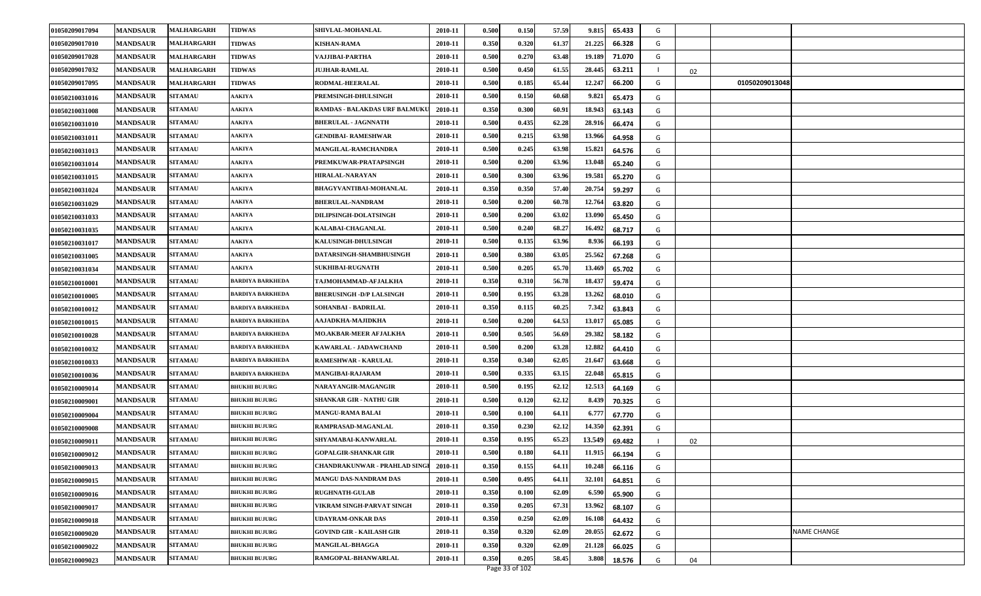| 01050209017094 | <b>MANDSAUR</b> | MALHARGARH     | <b>TIDWAS</b>           | SHIVLAL-MOHANLAL                     | 2010-11 | 0.500 | 0.150 | 57.59 | 9.815<br>65.433  | G |    |                |
|----------------|-----------------|----------------|-------------------------|--------------------------------------|---------|-------|-------|-------|------------------|---|----|----------------|
| 01050209017010 | <b>MANDSAUR</b> | MALHARGARH     | <b>TIDWAS</b>           | <b>KISHAN-RAMA</b>                   | 2010-11 | 0.350 | 0.320 | 61.37 | 21.225<br>66.328 | G |    |                |
| 01050209017028 | <b>MANDSAUR</b> | MALHARGARH     | <b>TIDWAS</b>           | VAJJIBAI-PARTHA                      | 2010-11 | 0.500 | 0.270 | 63.48 | 19.189<br>71.070 | G |    |                |
| 01050209017032 | <b>MANDSAUR</b> | MALHARGARH     | <b>TIDWAS</b>           | <b>JUJHAR-RAMLAL</b>                 | 2010-11 | 0.500 | 0.450 | 61.55 | 28.445<br>63.211 |   | 02 |                |
| 01050209017095 | <b>MANDSAUR</b> | MALHARGARH     | <b>TIDWAS</b>           | RODMAL-HEERALAL                      | 2010-11 | 0.500 | 0.185 | 65.44 | 12.247<br>66.200 | G |    | 01050209013048 |
| 01050210031016 | <b>MANDSAUR</b> | <b>SITAMAU</b> | <b>AAKIYA</b>           | PREMSINGH-DHULSINGH                  | 2010-11 | 0.500 | 0.150 | 60.68 | 9.821<br>65.473  | G |    |                |
| 01050210031008 | <b>MANDSAUR</b> | <b>SITAMAU</b> | <b>AAKIYA</b>           | <b>RAMDAS - BALAKDAS URF BALMUKU</b> | 2010-11 | 0.350 | 0.300 | 60.91 | 18.943<br>63.143 | G |    |                |
| 01050210031010 | <b>MANDSAUR</b> | <b>SITAMAU</b> | <b>AAKIYA</b>           | <b>BHERULAL - JAGNNATH</b>           | 2010-11 | 0.500 | 0.435 | 62.28 | 28.916<br>66.474 | G |    |                |
| 01050210031011 | <b>MANDSAUR</b> | <b>SITAMAU</b> | <b>AAKIYA</b>           | <b>GENDIBAI- RAMESHWAR</b>           | 2010-11 | 0.500 | 0.215 | 63.98 | 13.966<br>64.958 | G |    |                |
| 01050210031013 | <b>MANDSAUR</b> | <b>SITAMAU</b> | <b>AAKIYA</b>           | MANGILAL-RAMCHANDRA                  | 2010-11 | 0.500 | 0.245 | 63.98 | 15.821<br>64.576 | G |    |                |
| 01050210031014 | <b>MANDSAUR</b> | <b>SITAMAU</b> | <b>AAKIYA</b>           | PREMKUWAR-PRATAPSINGH                | 2010-11 | 0.500 | 0.200 | 63.96 | 13.048<br>65.240 | G |    |                |
| 01050210031015 | <b>MANDSAUR</b> | <b>SITAMAU</b> | <b>AAKIYA</b>           | HIRALAL-NARAYAN                      | 2010-11 | 0.500 | 0.300 | 63.96 | 19.581<br>65.270 | G |    |                |
| 01050210031024 | <b>MANDSAUR</b> | <b>SITAMAU</b> | <b>AAKIYA</b>           | <b>BHAGYVANTIBAI-MOHANLAL</b>        | 2010-11 | 0.350 | 0.350 | 57.40 | 20.754<br>59.297 | G |    |                |
| 01050210031029 | <b>MANDSAUR</b> | <b>SITAMAU</b> | <b>AAKIYA</b>           | <b>BHERULAL-NANDRAM</b>              | 2010-11 | 0.500 | 0.200 | 60.78 | 12.764<br>63.820 | G |    |                |
| 01050210031033 | <b>MANDSAUR</b> | <b>SITAMAU</b> | <b>AAKIYA</b>           | DILIPSINGH-DOLATSINGH                | 2010-11 | 0.500 | 0.200 | 63.02 | 13.090<br>65.450 | G |    |                |
| 01050210031035 | <b>MANDSAUR</b> | <b>SITAMAU</b> | <b>AAKIYA</b>           | KALABAI-CHAGANLAL                    | 2010-11 | 0.500 | 0.240 | 68.27 | 16.492<br>68.717 | G |    |                |
| 01050210031017 | <b>MANDSAUR</b> | <b>SITAMAU</b> | <b>AAKIYA</b>           | KALUSINGH-DHULSINGH                  | 2010-11 | 0.500 | 0.135 | 63.96 | 8.936<br>66.193  | G |    |                |
| 01050210031005 | <b>MANDSAUR</b> | <b>SITAMAU</b> | <b>AAKIYA</b>           | DATARSINGH-SHAMBHUSINGH              | 2010-11 | 0.500 | 0.380 | 63.05 | 25.562<br>67.268 | G |    |                |
| 01050210031034 | <b>MANDSAUR</b> | <b>SITAMAU</b> | <b>AAKIYA</b>           | <b>SUKHIBAI-RUGNATH</b>              | 2010-11 | 0.500 | 0.205 | 65.70 | 13.469<br>65.702 | G |    |                |
| 01050210010001 | <b>MANDSAUR</b> | <b>SITAMAU</b> | BARDIYA BARKHEDA        | TAJMOHAMMAD-AFJALKHA                 | 2010-11 | 0.350 | 0.310 | 56.78 | 18.437<br>59.474 | G |    |                |
| 01050210010005 | <b>MANDSAUR</b> | <b>SITAMAU</b> | BARDIYA BARKHEDA        | <b>BHERUSINGH - D/P LALSINGH</b>     | 2010-11 | 0.500 | 0.195 | 63.28 | 13.262<br>68.010 | G |    |                |
| 01050210010012 | <b>MANDSAUR</b> | <b>SITAMAU</b> | <b>BARDIYA BARKHEDA</b> | <b>SOHANBAI - BADRILAL</b>           | 2010-11 | 0.350 | 0.115 | 60.25 | 7.342<br>63.843  | G |    |                |
| 01050210010015 | <b>MANDSAUR</b> | <b>SITAMAU</b> | BARDIYA BARKHEDA        | AAJADKHA-MAJIDKHA                    | 2010-11 | 0.500 | 0.200 | 64.53 | 13.017<br>65.085 | G |    |                |
| 01050210010028 | <b>MANDSAUR</b> | <b>SITAMAU</b> | BARDIYA BARKHEDA        | MO.AKBAR-MEER AFJALKHA               | 2010-11 | 0.500 | 0.505 | 56.69 | 29.382<br>58.182 | G |    |                |
| 01050210010032 | <b>MANDSAUR</b> | <b>SITAMAU</b> | BARDIYA BARKHEDA        | KAWARLAL - JADAWCHAND                | 2010-11 | 0.500 | 0.200 | 63.28 | 12.882<br>64.410 | G |    |                |
| 01050210010033 | <b>MANDSAUR</b> | <b>SITAMAU</b> | <b>BARDIYA BARKHEDA</b> | <b>RAMESHWAR - KARULAL</b>           | 2010-11 | 0.350 | 0.340 | 62.05 | 21.647<br>63.668 | G |    |                |
| 01050210010036 | <b>MANDSAUR</b> | <b>SITAMAU</b> | BARDIYA BARKHEDA        | <b>MANGIBAI-RAJARAM</b>              | 2010-11 | 0.500 | 0.335 | 63.15 | 22.048<br>65.815 | G |    |                |
| 01050210009014 | <b>MANDSAUR</b> | <b>SITAMAU</b> | <b>BHUKHI BUJURG</b>    | NARAYANGIR-MAGANGIR                  | 2010-11 | 0.500 | 0.195 | 62.12 | 12.513<br>64.169 | G |    |                |
| 01050210009001 | <b>MANDSAUR</b> | <b>SITAMAU</b> | <b>BHUKHI BUJURG</b>    | <b>SHANKAR GIR - NATHU GIR</b>       | 2010-11 | 0.500 | 0.120 | 62.12 | 8.439<br>70.325  | G |    |                |
| 01050210009004 | <b>MANDSAUR</b> | <b>SITAMAU</b> | <b>BHUKHI BUJURG</b>    | <b>MANGU-RAMA BALAI</b>              | 2010-11 | 0.500 | 0.100 | 64.11 | 6.777<br>67.770  | G |    |                |
| 01050210009008 | <b>MANDSAUR</b> | <b>SITAMAU</b> | <b>BHUKHI BUJURG</b>    | RAMPRASAD-MAGANLAL                   | 2010-11 | 0.350 | 0.230 | 62.12 | 14.350<br>62.391 | G |    |                |
| 01050210009011 | <b>MANDSAUR</b> | <b>SITAMAU</b> | <b>BHUKHI BUJURG</b>    | SHYAMABAI-KANWARLAL                  | 2010-11 | 0.350 | 0.195 | 65.23 | 13.549<br>69.482 |   | 02 |                |
| 01050210009012 | <b>MANDSAUR</b> | <b>SITAMAU</b> | <b>BHUKHI BUJURG</b>    | GOPALGIR-SHANKAR GIR                 | 2010-11 | 0.500 | 0.180 | 64.11 | 11.915<br>66.194 | G |    |                |
| 01050210009013 | <b>MANDSAUR</b> | <b>SITAMAU</b> | <b>BHUKHI BUJURG</b>    | <b>CHANDRAKUNWAR - PRAHLAD SINGI</b> | 2010-11 | 0.350 | 0.155 | 64.11 | 10.248<br>66.116 | G |    |                |
| 01050210009015 | <b>MANDSAUR</b> | <b>SITAMAU</b> | <b>BHUKHI BUJURG</b>    | <b>MANGU DAS-NANDRAM DAS</b>         | 2010-11 | 0.500 | 0.495 | 64.11 | 32.101<br>64.851 | G |    |                |
| 01050210009016 | <b>MANDSAUR</b> | <b>SITAMAU</b> | <b>BHUKHI BUJURG</b>    | <b>RUGHNATH-GULAB</b>                | 2010-11 | 0.350 | 0.100 | 62.09 | 6.590<br>65.900  | G |    |                |
| 01050210009017 | <b>MANDSAUR</b> | <b>SITAMAU</b> | <b>BHUKHI BUJURG</b>    | VIKRAM SINGH-PARVAT SINGH            | 2010-11 | 0.350 | 0.205 | 67.31 | 13.962<br>68.107 | G |    |                |
| 01050210009018 | <b>MANDSAUR</b> | <b>SITAMAU</b> | <b>BHUKHI BUJURG</b>    | <b>UDAYRAM-ONKAR DAS</b>             | 2010-11 | 0.350 | 0.250 | 62.09 | 16.108<br>64.432 | G |    |                |
| 01050210009020 | <b>MANDSAUR</b> | <b>SITAMAU</b> | <b>BHUKHI BUJURG</b>    | <b>GOVIND GIR - KAILASH GIR</b>      | 2010-11 | 0.350 | 0.320 | 62.09 | 20.055<br>62.672 | G |    | NAME CHANGE    |
| 01050210009022 | <b>MANDSAUR</b> | <b>SITAMAU</b> | <b>BHUKHI BUJURG</b>    | <b>MANGILAL-BHAGGA</b>               | 2010-11 | 0.350 | 0.320 | 62.09 | 21.128<br>66.025 | G |    |                |
| 01050210009023 | <b>MANDSAUR</b> | <b>SITAMAU</b> | <b>BHUKHI BUJURG</b>    | RAMGOPAL-BHANWARLAL                  | 2010-11 | 0.350 | 0.205 | 58.45 | 3.808<br>18.576  | G | 04 |                |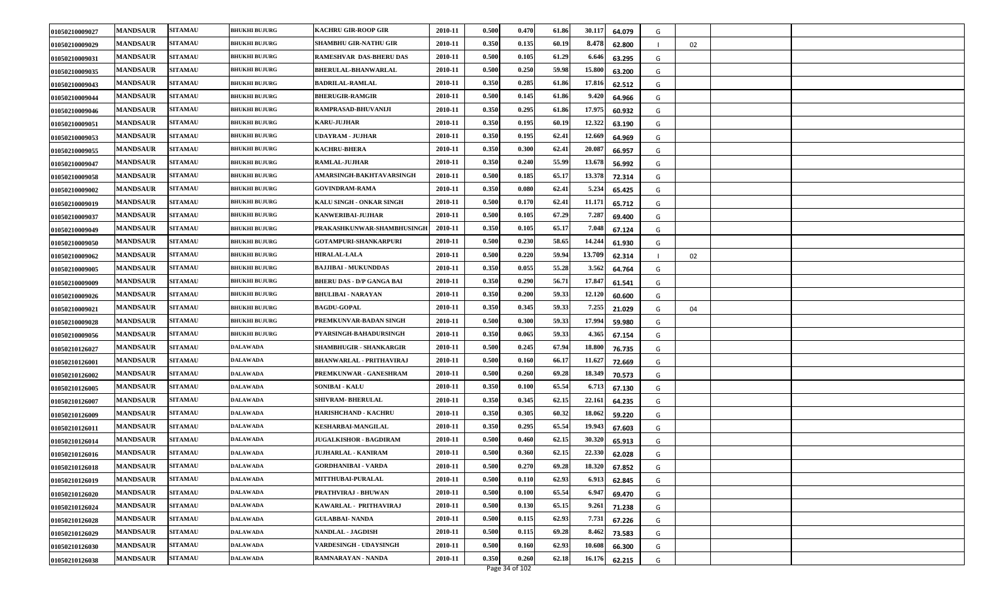| 01050210009027 | <b>MANDSAUR</b> | <b>SITAMAU</b> | <b>BHUKHI BUJURG</b> | <b>KACHRU GIR-ROOP GIR</b>       | 2010-11 | 0.500 | 0.470 | 61.86 | 30.117<br>64.079 | G |    |  |
|----------------|-----------------|----------------|----------------------|----------------------------------|---------|-------|-------|-------|------------------|---|----|--|
| 01050210009029 | <b>MANDSAUR</b> | <b>SITAMAU</b> | <b>BHUKHI BUJURG</b> | <b>SHAMBHU GIR-NATHU GIR</b>     | 2010-11 | 0.350 | 0.135 | 60.19 | 8.478<br>62.800  |   | 02 |  |
| 01050210009031 | <b>MANDSAUR</b> | <b>SITAMAU</b> | <b>BHUKHI BUJURG</b> | <b>RAMESHVAR DAS-BHERU DAS</b>   | 2010-11 | 0.500 | 0.105 | 61.29 | 6.646<br>63.295  | G |    |  |
| 01050210009035 | <b>MANDSAUR</b> | <b>SITAMAU</b> | <b>BHUKHI BUJURG</b> | <b>BHERULAL-BHANWARLAL</b>       | 2010-11 | 0.500 | 0.250 | 59.98 | 15.800<br>63.200 | G |    |  |
| 01050210009043 | <b>MANDSAUR</b> | <b>SITAMAU</b> | <b>BHUKHI BUJURG</b> | <b>BADRILAL-RAMLAL</b>           | 2010-11 | 0.350 | 0.285 | 61.86 | 17.81<br>62.512  | G |    |  |
| 01050210009044 | <b>MANDSAUR</b> | <b>SITAMAU</b> | <b>BHUKHI BUJURG</b> | <b>BHERUGIR-RAMGIR</b>           | 2010-11 | 0.500 | 0.145 | 61.86 | 9.420<br>64.966  | G |    |  |
| 01050210009046 | <b>MANDSAUR</b> | <b>SITAMAU</b> | <b>BHUKHI BUJURG</b> | RAMPRASAD-BHUVANIJI              | 2010-11 | 0.350 | 0.295 | 61.86 | 17.975<br>60.932 | G |    |  |
| 01050210009051 | <b>MANDSAUR</b> | <b>SITAMAU</b> | <b>BHUKHI BUJURG</b> | <b>KARU-JUJHAR</b>               | 2010-11 | 0.350 | 0.195 | 60.19 | 12.322<br>63.190 | G |    |  |
| 01050210009053 | <b>MANDSAUR</b> | <b>SITAMAU</b> | <b>BHUKHI BUJURG</b> | <b>UDAYRAM - JUJHAR</b>          | 2010-11 | 0.350 | 0.195 | 62.41 | 12.669<br>64.969 | G |    |  |
| 01050210009055 | <b>MANDSAUR</b> | <b>SITAMAU</b> | <b>BHUKHI BUJURG</b> | <b>KACHRU-BHERA</b>              | 2010-11 | 0.350 | 0.300 | 62.41 | 20.087<br>66.957 | G |    |  |
| 01050210009047 | <b>MANDSAUR</b> | <b>SITAMAU</b> | <b>BHUKHI BUJURG</b> | <b>RAMLAL-JUJHAR</b>             | 2010-11 | 0.350 | 0.240 | 55.99 | 13.678<br>56.992 | G |    |  |
| 01050210009058 | <b>MANDSAUR</b> | <b>SITAMAU</b> | <b>BHUKHI BUJURG</b> | AMARSINGH-BAKHTAVARSINGH         | 2010-11 | 0.500 | 0.185 | 65.17 | 13.378<br>72.314 | G |    |  |
| 01050210009002 | <b>MANDSAUR</b> | <b>SITAMAU</b> | <b>BHUKHI BUJURG</b> | <b>GOVINDRAM-RAMA</b>            | 2010-11 | 0.350 | 0.080 | 62.41 | 5.234<br>65.425  | G |    |  |
| 01050210009019 | <b>MANDSAUR</b> | <b>SITAMAU</b> | <b>BHUKHI BUJURG</b> | KALU SINGH - ONKAR SINGH         | 2010-11 | 0.500 | 0.170 | 62.41 | 11.171<br>65.712 | G |    |  |
| 01050210009037 | <b>MANDSAUR</b> | <b>SITAMAU</b> | <b>BHUKHI BUJURG</b> | <b>KANWERIBAI-JUJHAR</b>         | 2010-11 | 0.500 | 0.105 | 67.29 | 7.287<br>69.400  | G |    |  |
| 01050210009049 | <b>MANDSAUR</b> | <b>SITAMAU</b> | <b>BHUKHI BUJURG</b> | PRAKASHKUNWAR-SHAMBHUSINGH       | 2010-11 | 0.350 | 0.105 | 65.17 | 7.048<br>67.124  | G |    |  |
| 01050210009050 | <b>MANDSAUR</b> | <b>SITAMAU</b> | <b>BHUKHI BUJURG</b> | GOTAMPURI-SHANKARPURI            | 2010-11 | 0.500 | 0.230 | 58.65 | 14.244<br>61.930 | G |    |  |
| 01050210009062 | <b>MANDSAUR</b> | <b>SITAMAU</b> | <b>BHUKHI BUJURG</b> | HIRALAL-LALA                     | 2010-11 | 0.500 | 0.220 | 59.94 | 13.709<br>62.314 |   | 02 |  |
| 01050210009005 | <b>MANDSAUR</b> | <b>SITAMAU</b> | <b>BHUKHI BUJURG</b> | <b>BAJJIBAI - MUKUNDDAS</b>      | 2010-11 | 0.350 | 0.055 | 55.28 | 3.562<br>64.764  | G |    |  |
| 01050210009009 | <b>MANDSAUR</b> | <b>SITAMAU</b> | <b>BHUKHI BUJURG</b> | <b>BHERU DAS - D/P GANGA BAI</b> | 2010-11 | 0.350 | 0.290 | 56.71 | 17.847<br>61.541 | G |    |  |
| 01050210009026 | <b>MANDSAUR</b> | <b>SITAMAU</b> | <b>BHUKHI BUJURG</b> | <b>BHULIBAI - NARAYAN</b>        | 2010-11 | 0.350 | 0.200 | 59.33 | 12.120<br>60.600 | G |    |  |
| 01050210009021 | <b>MANDSAUR</b> | <b>SITAMAU</b> | <b>BHUKHI BUJURG</b> | <b>BAGDU-GOPAL</b>               | 2010-11 | 0.350 | 0.345 | 59.33 | 7.255<br>21.029  | G | 04 |  |
| 01050210009028 | <b>MANDSAUR</b> | <b>SITAMAU</b> | <b>BHUKHI BUJURG</b> | PREMKUNVAR-BADAN SINGH           | 2010-11 | 0.500 | 0.300 | 59.33 | 17.994<br>59.980 | G |    |  |
| 01050210009056 | <b>MANDSAUR</b> | <b>SITAMAU</b> | <b>BHUKHI BUJURG</b> | PYARSINGH-BAHADURSINGH           | 2010-11 | 0.350 | 0.065 | 59.33 | 4.365<br>67.154  | G |    |  |
| 01050210126027 | <b>MANDSAUR</b> | <b>SITAMAU</b> | DALAWADA             | <b>SHAMBHUGIR - SHANKARGIR</b>   | 2010-11 | 0.500 | 0.245 | 67.94 | 18.800<br>76.735 | G |    |  |
| 01050210126001 | <b>MANDSAUR</b> | <b>SITAMAU</b> | <b>DALAWADA</b>      | <b>BHANWARLAL - PRITHAVIRAJ</b>  | 2010-11 | 0.500 | 0.160 | 66.17 | 11.627<br>72.669 | G |    |  |
| 01050210126002 | <b>MANDSAUR</b> | <b>SITAMAU</b> | DALAWADA             | PREMKUNWAR - GANESHRAM           | 2010-11 | 0.500 | 0.260 | 69.28 | 18.349<br>70.573 | G |    |  |
| 01050210126005 | <b>MANDSAUR</b> | <b>SITAMAU</b> | DALAWADA             | <b>SONIBAI - KALU</b>            | 2010-11 | 0.350 | 0.100 | 65.54 | 6.713<br>67.130  | G |    |  |
| 01050210126007 | <b>MANDSAUR</b> | <b>SITAMAU</b> | DALAWADA             | <b>SHIVRAM- BHERULAL</b>         | 2010-11 | 0.350 | 0.345 | 62.15 | 22.161<br>64.235 | G |    |  |
| 01050210126009 | <b>MANDSAUR</b> | <b>SITAMAU</b> | <b>DALAWADA</b>      | <b>HARISHCHAND - KACHRU</b>      | 2010-11 | 0.350 | 0.305 | 60.32 | 18.062<br>59.220 | G |    |  |
| 01050210126011 | <b>MANDSAUR</b> | <b>SITAMAU</b> | DALAWADA             | KESHARBAI-MANGILAL               | 2010-11 | 0.350 | 0.295 | 65.54 | 19.943<br>67.603 | G |    |  |
| 01050210126014 | <b>MANDSAUR</b> | <b>SITAMAU</b> | DALAWADA             | <b>JUGALKISHOR - BAGDIRAM</b>    | 2010-11 | 0.500 | 0.460 | 62.15 | 30.320<br>65.913 | G |    |  |
| 01050210126016 | <b>MANDSAUR</b> | <b>SITAMAU</b> | DALAWADA             | <b>JUJHARLAL - KANIRAM</b>       | 2010-11 | 0.500 | 0.360 | 62.15 | 22.330<br>62.028 | G |    |  |
| 01050210126018 | <b>MANDSAUR</b> | <b>SITAMAU</b> | <b>DALAWADA</b>      | <b>GORDHANIBAI - VARDA</b>       | 2010-11 | 0.500 | 0.270 | 69.28 | 18.320<br>67.852 | G |    |  |
| 01050210126019 | <b>MANDSAUR</b> | <b>SITAMAU</b> | DALAWADA             | <b>MITTHUBAI-PURALAL</b>         | 2010-11 | 0.500 | 0.110 | 62.93 | 6.913<br>62.845  | G |    |  |
| 01050210126020 | <b>MANDSAUR</b> | <b>SITAMAU</b> | <b>DALAWADA</b>      | PRATHVIRAJ - BHUWAN              | 2010-11 | 0.500 | 0.100 | 65.54 | 6.947<br>69.470  | G |    |  |
| 01050210126024 | <b>MANDSAUR</b> | <b>SITAMAU</b> | DALAWADA             | KAWARLAL - PRITHAVIRAJ           | 2010-11 | 0.500 | 0.130 | 65.15 | 9.261<br>71.238  | G |    |  |
| 01050210126028 | <b>MANDSAUR</b> | <b>SITAMAU</b> | <b>DALAWADA</b>      | <b>GULABBAI- NANDA</b>           | 2010-11 | 0.500 | 0.115 | 62.93 | 7.731<br>67.226  | G |    |  |
| 01050210126029 | <b>MANDSAUR</b> | <b>SITAMAU</b> | DALAWADA             | <b>NANDLAL - JAGDISH</b>         | 2010-11 | 0.500 | 0.115 | 69.28 | 8.462<br>73.583  | G |    |  |
| 01050210126030 | <b>MANDSAUR</b> | <b>SITAMAU</b> | <b>DALAWADA</b>      | VARDESINGH - UDAYSINGH           | 2010-11 | 0.500 | 0.160 | 62.93 | 10.608<br>66.300 | G |    |  |
| 01050210126038 | <b>MANDSAUR</b> | <b>SITAMAU</b> | <b>DALAWADA</b>      | RAMNARAYAN - NANDA               | 2010-11 | 0.350 | 0.260 | 62.18 | 16.176<br>62.215 | G |    |  |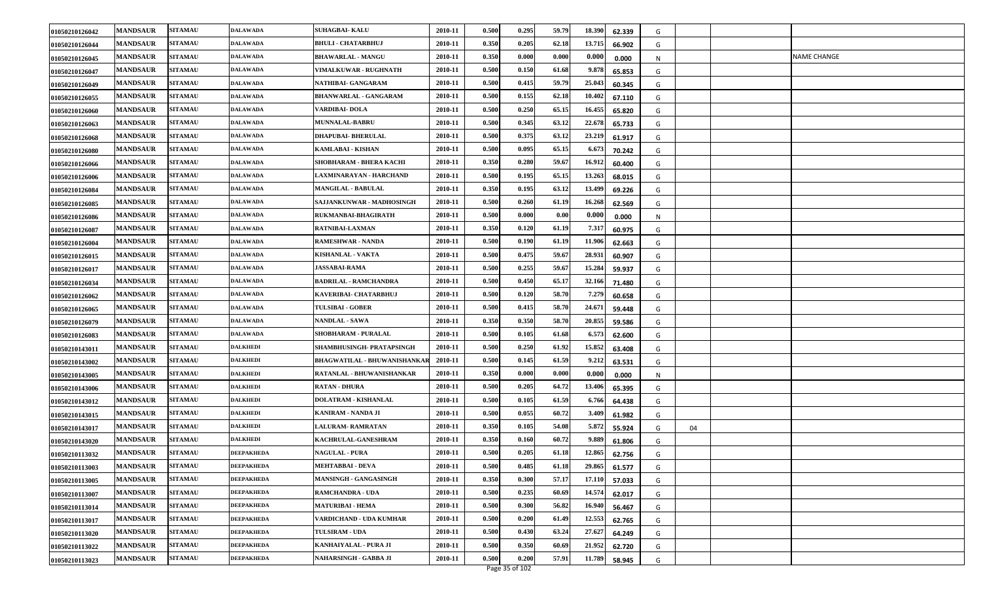| 01050210126042 | <b>MANDSAUR</b> | <b>SITAMAU</b> | <b>DALAWADA</b>   | <b>SUHAGBAI-KALU</b>                | 2010-11 | 0.500 | 0.295 | 59.79 | 18.390 | 62.339 | G |    |             |
|----------------|-----------------|----------------|-------------------|-------------------------------------|---------|-------|-------|-------|--------|--------|---|----|-------------|
| 01050210126044 | <b>MANDSAUR</b> | <b>SITAMAU</b> | DALAWADA          | BHULI - CHATARBHUJ                  | 2010-11 | 0.350 | 0.205 | 62.18 | 13.715 | 66.902 | G |    |             |
| 01050210126045 | <b>MANDSAUR</b> | <b>SITAMAU</b> | <b>DALAWADA</b>   | <b>BHAWARLAL - MANGU</b>            | 2010-11 | 0.350 | 0.000 | 0.000 | 0.000  | 0.000  | N |    | NAME CHANGE |
| 01050210126047 | <b>MANDSAUR</b> | <b>SITAMAU</b> | DALAWADA          | <b>VIMALKUWAR - RUGHNATH</b>        | 2010-11 | 0.500 | 0.150 | 61.68 | 9.878  | 65.853 | G |    |             |
| 01050210126049 | <b>MANDSAUR</b> | <b>SITAMAU</b> | DALAWADA          | NATHIBAI- GANGARAM                  | 2010-11 | 0.500 | 0.415 | 59.79 | 25.043 | 60.345 | G |    |             |
| 01050210126055 | <b>MANDSAUR</b> | <b>SITAMAU</b> | <b>DALAWADA</b>   | <b>BHANWARLAL - GANGARAM</b>        | 2010-11 | 0.500 | 0.155 | 62.18 | 10.402 | 67.110 | G |    |             |
| 01050210126060 | <b>MANDSAUR</b> | <b>SITAMAU</b> | <b>DALAWADA</b>   | VARDIBAI-DOLA                       | 2010-11 | 0.500 | 0.250 | 65.15 | 16.455 | 65.820 | G |    |             |
| 01050210126063 | <b>MANDSAUR</b> | <b>SITAMAU</b> | DALAWADA          | <b>MUNNALAL-BABRU</b>               | 2010-11 | 0.500 | 0.345 | 63.12 | 22.678 | 65.733 | G |    |             |
| 01050210126068 | <b>MANDSAUR</b> | <b>SITAMAU</b> | DALAWADA          | <b>DHAPUBAI- BHERULAL</b>           | 2010-11 | 0.500 | 0.375 | 63.12 | 23.219 | 61.917 | G |    |             |
| 01050210126080 | <b>MANDSAUR</b> | <b>SITAMAU</b> | DALAWADA          | KAMLABAI - KISHAN                   | 2010-11 | 0.500 | 0.095 | 65.15 | 6.673  | 70.242 | G |    |             |
| 01050210126066 | <b>MANDSAUR</b> | <b>SITAMAU</b> | <b>DALAWADA</b>   | SHOBHARAM - BHERA KACHI             | 2010-11 | 0.350 | 0.280 | 59.67 | 16.912 | 60.400 | G |    |             |
| 01050210126006 | <b>MANDSAUR</b> | <b>SITAMAU</b> | DALAWADA          | LAXMINARAYAN - HARCHAND             | 2010-11 | 0.500 | 0.195 | 65.15 | 13.26  | 68.015 | G |    |             |
| 01050210126084 | <b>MANDSAUR</b> | <b>SITAMAU</b> | DALAWADA          | <b>MANGILAL - BABULAL</b>           | 2010-11 | 0.350 | 0.195 | 63.12 | 13.499 | 69.226 | G |    |             |
| 01050210126085 | <b>MANDSAUR</b> | <b>SITAMAU</b> | <b>DALAWADA</b>   | SAJJANKUNWAR - MADHOSINGH           | 2010-11 | 0.500 | 0.260 | 61.19 | 16.268 | 62.569 | G |    |             |
| 01050210126086 | <b>MANDSAUR</b> | <b>SITAMAU</b> | DALAWADA          | RUKMANBAI-BHAGIRATH                 | 2010-11 | 0.500 | 0.000 | 0.00  | 0.000  | 0.000  | N |    |             |
| 01050210126087 | <b>MANDSAUR</b> | <b>SITAMAU</b> | <b>DALAWADA</b>   | RATNIBAI-LAXMAN                     | 2010-11 | 0.350 | 0.120 | 61.19 | 7.317  | 60.975 | G |    |             |
| 01050210126004 | <b>MANDSAUR</b> | <b>SITAMAU</b> | <b>DALAWADA</b>   | <b>RAMESHWAR - NANDA</b>            | 2010-11 | 0.500 | 0.190 | 61.19 | 11.906 | 62.663 | G |    |             |
| 01050210126015 | <b>MANDSAUR</b> | <b>SITAMAU</b> | <b>DALAWADA</b>   | KISHANLAL - VAKTA                   | 2010-11 | 0.500 | 0.475 | 59.6  | 28.931 | 60.907 | G |    |             |
| 01050210126017 | <b>MANDSAUR</b> | <b>SITAMAU</b> | DALAWADA          | <b>JASSABAI-RAMA</b>                | 2010-11 | 0.500 | 0.255 | 59.67 | 15.284 | 59.937 | G |    |             |
| 01050210126034 | <b>MANDSAUR</b> | <b>SITAMAU</b> | DALAWADA          | <b>BADRILAL - RAMCHANDRA</b>        | 2010-11 | 0.500 | 0.450 | 65.17 | 32.166 | 71.480 | G |    |             |
| 01050210126062 | <b>MANDSAUR</b> | <b>SITAMAU</b> | DALAWADA          | KAVERIBAI- CHATARBHUJ               | 2010-11 | 0.500 | 0.120 | 58.70 | 7.279  | 60.658 | G |    |             |
| 01050210126065 | <b>MANDSAUR</b> | <b>SITAMAU</b> | <b>DALAWADA</b>   | <b>TULSIBAI - GOBER</b>             | 2010-11 | 0.500 | 0.415 | 58.70 | 24.671 | 59.448 | G |    |             |
| 01050210126079 | <b>MANDSAUR</b> | <b>SITAMAU</b> | <b>DALAWADA</b>   | <b>NANDLAL - SAWA</b>               | 2010-11 | 0.350 | 0.350 | 58.70 | 20.855 | 59.586 | G |    |             |
| 01050210126083 | <b>MANDSAUR</b> | <b>SITAMAU</b> | DALAWADA          | SHOBHARAM - PURALAL                 | 2010-11 | 0.500 | 0.105 | 61.68 | 6.573  | 62.600 | G |    |             |
| 01050210143011 | <b>MANDSAUR</b> | <b>SITAMAU</b> | DALKHEDI          | SHAMBHUSINGH- PRATAPSINGH           | 2010-11 | 0.500 | 0.250 | 61.92 | 15.852 | 63.408 | G |    |             |
| 01050210143002 | <b>MANDSAUR</b> | <b>SITAMAU</b> | <b>DALKHEDI</b>   | <b>BHAGWATILAL - BHUWANISHANKAR</b> | 2010-11 | 0.500 | 0.145 | 61.59 | 9.212  | 63.531 | G |    |             |
| 01050210143005 | <b>MANDSAUR</b> | <b>SITAMAU</b> | DALKHEDI          | RATANLAL - BHUWANISHANKAR           | 2010-11 | 0.350 | 0.000 | 0.000 | 0.000  | 0.000  | N |    |             |
| 01050210143006 | <b>MANDSAUR</b> | <b>SITAMAU</b> | DALKHEDI          | <b>RATAN - DHURA</b>                | 2010-11 | 0.500 | 0.205 | 64.72 | 13.40  | 65.395 | G |    |             |
| 01050210143012 | <b>MANDSAUR</b> | <b>SITAMAU</b> | DALKHEDI          | <b>DOLATRAM - KISHANLAL</b>         | 2010-11 | 0.500 | 0.105 | 61.59 | 6.766  | 64.438 | G |    |             |
| 01050210143015 | <b>MANDSAUR</b> | <b>SITAMAU</b> | <b>DALKHEDI</b>   | KANIRAM - NANDA JI                  | 2010-11 | 0.500 | 0.055 | 60.72 | 3.409  | 61.982 | G |    |             |
| 01050210143017 | <b>MANDSAUR</b> | <b>SITAMAU</b> | DALKHEDI          | LALURAM-RAMRATAN                    | 2010-11 | 0.350 | 0.105 | 54.08 | 5.872  | 55.924 | G | 04 |             |
| 01050210143020 | <b>MANDSAUR</b> | <b>SITAMAU</b> | DALKHEDI          | KACHRULAL-GANESHRAM                 | 2010-11 | 0.350 | 0.160 | 60.72 | 9.889  | 61.806 | G |    |             |
| 01050210113032 | <b>MANDSAUR</b> | <b>SITAMAU</b> | <b>DEEPAKHEDA</b> | <b>NAGULAL - PURA</b>               | 2010-11 | 0.500 | 0.205 | 61.18 | 12.865 | 62.756 | G |    |             |
| 01050210113003 | <b>MANDSAUR</b> | <b>SITAMAU</b> | <b>DEEPAKHEDA</b> | <b>MEHTABBAI - DEVA</b>             | 2010-11 | 0.500 | 0.485 | 61.18 | 29.865 | 61.577 | G |    |             |
| 01050210113005 | <b>MANDSAUR</b> | <b>SITAMAU</b> | <b>DEEPAKHEDA</b> | MANSINGH - GANGASINGH               | 2010-11 | 0.350 | 0.300 | 57.17 | 17.110 | 57.033 | G |    |             |
| 01050210113007 | <b>MANDSAUR</b> | <b>SITAMAU</b> | <b>DEEPAKHEDA</b> | RAMCHANDRA - UDA                    | 2010-11 | 0.500 | 0.235 | 60.69 | 14.57  | 62.017 | G |    |             |
| 01050210113014 | <b>MANDSAUR</b> | <b>SITAMAU</b> | <b>DEEPAKHEDA</b> | <b>MATURIBAI - HEMA</b>             | 2010-11 | 0.500 | 0.300 | 56.82 | 16.940 | 56.467 | G |    |             |
| 01050210113017 | <b>MANDSAUR</b> | <b>SITAMAU</b> | <b>DEEPAKHEDA</b> | VARDICHAND - UDA KUMHAR             | 2010-11 | 0.500 | 0.200 | 61.49 | 12.553 | 62.765 | G |    |             |
| 01050210113020 | <b>MANDSAUR</b> | <b>SITAMAU</b> | <b>DEEPAKHEDA</b> | <b>TULSIRAM - UDA</b>               | 2010-11 | 0.500 | 0.430 | 63.24 | 27.627 | 64.249 | G |    |             |
| 01050210113022 | <b>MANDSAUR</b> | <b>SITAMAU</b> | <b>DEEPAKHEDA</b> | KANHAIYALAL - PURA JI               | 2010-11 | 0.500 | 0.350 | 60.69 | 21.952 | 62.720 | G |    |             |
| 01050210113023 | <b>MANDSAUR</b> | <b>SITAMAU</b> | <b>DEEPAKHEDA</b> | NAHARSINGH - GABBA JI               | 2010-11 | 0.500 | 0.200 | 57.91 | 11.789 | 58.945 | G |    |             |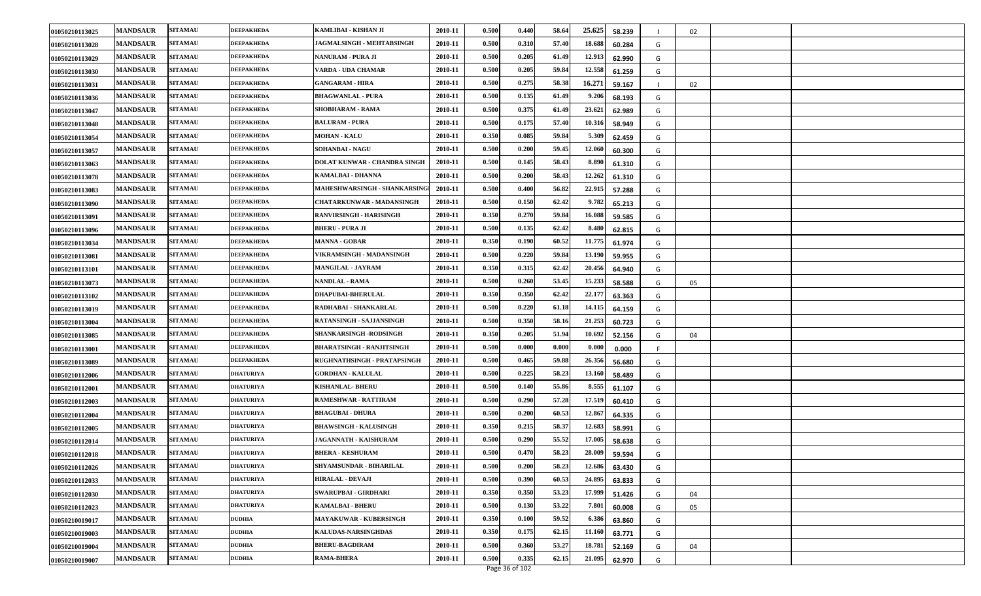| 01050210113025 | <b>MANDSAUR</b> | <b>SITAMAU</b> | <b>DEEPAKHEDA</b> | KAMLIBAI - KISHAN JI             | 2010-11 | 0.500 | 0.440 | 58.64 | 25.625 | 58.239 |   | 02 |  |
|----------------|-----------------|----------------|-------------------|----------------------------------|---------|-------|-------|-------|--------|--------|---|----|--|
| 01050210113028 | <b>MANDSAUR</b> | <b>SITAMAU</b> | DEEPAKHEDA        | <b>JAGMALSINGH - MEHTABSINGH</b> | 2010-11 | 0.500 | 0.310 | 57.40 | 18.688 | 60.284 | G |    |  |
| 01050210113029 | <b>MANDSAUR</b> | <b>SITAMAU</b> | <b>DEEPAKHEDA</b> | NANURAM - PURA JI                | 2010-11 | 0.500 | 0.205 | 61.49 | 12.913 | 62.990 | G |    |  |
| 01050210113030 | <b>MANDSAUR</b> | <b>SITAMAU</b> | DEEPAKHEDA        | VARDA - UDA CHAMAR               | 2010-11 | 0.500 | 0.205 | 59.84 | 12.558 | 61.259 | G |    |  |
| 01050210113031 | <b>MANDSAUR</b> | <b>SITAMAU</b> | <b>DEEPAKHEDA</b> | <b>GANGARAM - HIRA</b>           | 2010-11 | 0.500 | 0.275 | 58.38 | 16.271 | 59.167 |   | 02 |  |
| 01050210113036 | <b>MANDSAUR</b> | <b>SITAMAU</b> | <b>DEEPAKHEDA</b> | <b>BHAGWANLAL - PURA</b>         | 2010-11 | 0.500 | 0.135 | 61.49 | 9.206  | 68.193 | G |    |  |
| 01050210113047 | <b>MANDSAUR</b> | <b>SITAMAU</b> | <b>DEEPAKHEDA</b> | <b>SHOBHARAM - RAMA</b>          | 2010-11 | 0.500 | 0.375 | 61.49 | 23.621 | 62.989 | G |    |  |
| 01050210113048 | <b>MANDSAUR</b> | <b>SITAMAU</b> | DEEPAKHEDA        | <b>BALURAM - PURA</b>            | 2010-11 | 0.500 | 0.175 | 57.40 | 10.316 | 58.949 | G |    |  |
| 01050210113054 | <b>MANDSAUR</b> | <b>SITAMAU</b> | DEEPAKHEDA        | <b>MOHAN - KALU</b>              | 2010-11 | 0.350 | 0.085 | 59.84 | 5.309  | 62.459 | G |    |  |
| 01050210113057 | <b>MANDSAUR</b> | <b>SITAMAU</b> | DEEPAKHEDA        | SOHANBAI - NAGU                  | 2010-11 | 0.500 | 0.200 | 59.45 | 12.060 | 60.300 | G |    |  |
| 01050210113063 | <b>MANDSAUR</b> | <b>SITAMAU</b> | <b>DEEPAKHEDA</b> | DOLAT KUNWAR - CHANDRA SINGH     | 2010-11 | 0.500 | 0.145 | 58.43 | 8.890  | 61.310 | G |    |  |
| 01050210113078 | <b>MANDSAUR</b> | <b>SITAMAU</b> | DEEPAKHEDA        | KAMALBAI - DHANNA                | 2010-11 | 0.500 | 0.200 | 58.43 | 12.262 | 61.310 | G |    |  |
| 01050210113083 | <b>MANDSAUR</b> | <b>SITAMAU</b> | DEEPAKHEDA        | MAHESHWARSINGH - SHANKARSING     | 2010-11 | 0.500 | 0.400 | 56.82 | 22.915 | 57.288 | G |    |  |
| 01050210113090 | <b>MANDSAUR</b> | <b>SITAMAU</b> | <b>DEEPAKHEDA</b> | <b>CHATARKUNWAR - MADANSINGH</b> | 2010-11 | 0.500 | 0.150 | 62.42 | 9.782  | 65.213 | G |    |  |
| 01050210113091 | <b>MANDSAUR</b> | <b>SITAMAU</b> | DEEPAKHEDA        | RANVIRSINGH - HARISINGH          | 2010-11 | 0.350 | 0.270 | 59.84 | 16.088 | 59.585 | G |    |  |
| 01050210113096 | <b>MANDSAUR</b> | <b>SITAMAU</b> | DEEPAKHEDA        | <b>BHERU - PURA JI</b>           | 2010-11 | 0.500 | 0.135 | 62.42 | 8.480  | 62.815 | G |    |  |
| 01050210113034 | <b>MANDSAUR</b> | <b>SITAMAU</b> | <b>DEEPAKHEDA</b> | <b>MANNA - GOBAR</b>             | 2010-11 | 0.350 | 0.190 | 60.52 | 11.775 | 61.974 | G |    |  |
| 01050210113081 | <b>MANDSAUR</b> | <b>SITAMAU</b> | <b>DEEPAKHEDA</b> | VIKRAMSINGH - MADANSINGH         | 2010-11 | 0.500 | 0.220 | 59.84 | 13.190 | 59.955 | G |    |  |
| 01050210113101 | <b>MANDSAUR</b> | <b>SITAMAU</b> | DEEPAKHEDA        | MANGILAL - JAYRAM                | 2010-11 | 0.350 | 0.315 | 62.42 | 20.456 | 64.940 | G |    |  |
| 01050210113073 | <b>MANDSAUR</b> | <b>SITAMAU</b> | DEEPAKHEDA        | <b>NANDLAL - RAMA</b>            | 2010-11 | 0.500 | 0.260 | 53.45 | 15.233 | 58.588 | G | 05 |  |
| 01050210113102 | <b>MANDSAUR</b> | <b>SITAMAU</b> | <b>DEEPAKHEDA</b> | <b>DHAPUBAI-BHERULAL</b>         | 2010-11 | 0.350 | 0.350 | 62.42 | 22.177 | 63.363 | G |    |  |
| 01050210113019 | <b>MANDSAUR</b> | <b>SITAMAU</b> | <b>DEEPAKHEDA</b> | RADHABAI - SHANKARLAL            | 2010-11 | 0.500 | 0.220 | 61.18 | 14.115 | 64.159 | G |    |  |
| 01050210113004 | <b>MANDSAUR</b> | <b>SITAMAU</b> | DEEPAKHEDA        | RATANSINGH - SAJJANSINGH         | 2010-11 | 0.500 | 0.350 | 58.16 | 21.253 | 60.723 | G |    |  |
| 01050210113085 | <b>MANDSAUR</b> | <b>SITAMAU</b> | <b>DEEPAKHEDA</b> | SHANKARSINGH -RODSINGH           | 2010-11 | 0.350 | 0.205 | 51.94 | 10.692 | 52.156 | G | 04 |  |
| 01050210113001 | <b>MANDSAUR</b> | <b>SITAMAU</b> | <b>DEEPAKHEDA</b> | BHARATSINGH - RANJITSINGH        | 2010-11 | 0.500 | 0.000 | 0.000 | 0.000  | 0.000  |   |    |  |
| 01050210113089 | <b>MANDSAUR</b> | <b>SITAMAU</b> | <b>DEEPAKHEDA</b> | RUGHNATHSINGH - PRATAPSINGH      | 2010-11 | 0.500 | 0.465 | 59.88 | 26.356 | 56.680 | G |    |  |
| 01050210112006 | <b>MANDSAUR</b> | <b>SITAMAU</b> | <b>DHATURIYA</b>  | <b>GORDHAN - KALULAL</b>         | 2010-11 | 0.500 | 0.225 | 58.23 | 13.160 | 58.489 | G |    |  |
| 01050210112001 | <b>MANDSAUR</b> | <b>SITAMAU</b> | <b>DHATURIYA</b>  | KISHANLAL- BHERU                 | 2010-11 | 0.500 | 0.140 | 55.86 | 8.555  | 61.107 | G |    |  |
| 01050210112003 | <b>MANDSAUR</b> | <b>SITAMAU</b> | <b>DHATURIYA</b>  | <b>RAMESHWAR - RATTIRAM</b>      | 2010-11 | 0.500 | 0.290 | 57.28 | 17.519 | 60.410 | G |    |  |
| 01050210112004 | <b>MANDSAUR</b> | <b>SITAMAU</b> | <b>DHATURIYA</b>  | <b>BHAGUBAI - DHURA</b>          | 2010-11 | 0.500 | 0.200 | 60.53 | 12.867 | 64.335 | G |    |  |
| 01050210112005 | <b>MANDSAUR</b> | <b>SITAMAU</b> | DHATURIYA         | <b>BHAWSINGH - KALUSINGH</b>     | 2010-11 | 0.350 | 0.215 | 58.37 | 12.683 | 58.991 | G |    |  |
| 01050210112014 | <b>MANDSAUR</b> | <b>SITAMAU</b> | <b>DHATURIYA</b>  | <b>JAGANNATH - KAISHURAM</b>     | 2010-11 | 0.500 | 0.290 | 55.52 | 17.005 | 58.638 | G |    |  |
| 01050210112018 | <b>MANDSAUR</b> | <b>SITAMAU</b> | <b>DHATURIYA</b>  | <b>BHERA - KESHURAM</b>          | 2010-11 | 0.500 | 0.470 | 58.23 | 28.009 | 59.594 | G |    |  |
| 01050210112026 | <b>MANDSAUR</b> | <b>SITAMAU</b> | <b>DHATURIYA</b>  | SHYAMSUNDAR - BIHARILAL          | 2010-11 | 0.500 | 0.200 | 58.23 | 12.686 | 63.430 | G |    |  |
| 01050210112033 | <b>MANDSAUR</b> | <b>SITAMAU</b> | DHATURIYA         | <b>HIRALAL - DEVAJI</b>          | 2010-11 | 0.500 | 0.390 | 60.53 | 24.895 | 63.833 | G |    |  |
| 01050210112030 | <b>MANDSAUR</b> | <b>SITAMAU</b> | <b>DHATURIYA</b>  | SWARUPBAI - GIRDHARI             | 2010-11 | 0.350 | 0.350 | 53.23 | 17.999 | 51.426 | G | 04 |  |
| 01050210112023 | <b>MANDSAUR</b> | <b>SITAMAU</b> | <b>DHATURIYA</b>  | <b>KAMALBAI - BHERU</b>          | 2010-11 | 0.500 | 0.130 | 53.22 | 7.801  | 60.008 | G | 05 |  |
| 01050210019017 | <b>MANDSAUR</b> | <b>SITAMAU</b> | <b>DUDHIA</b>     | <b>MAYAKUWAR - KUBERSINGH</b>    | 2010-11 | 0.350 | 0.100 | 59.52 | 6.386  | 63.860 | G |    |  |
| 01050210019003 | <b>MANDSAUR</b> | <b>SITAMAU</b> | <b>DUDHIA</b>     | KALUDAS-NARSINGHDAS              | 2010-11 | 0.350 | 0.175 | 62.15 | 11.16  | 63.771 | G |    |  |
| 01050210019004 | <b>MANDSAUR</b> | <b>SITAMAU</b> | <b>DUDHIA</b>     | <b>BHERU-BAGDIRAM</b>            | 2010-11 | 0.500 | 0.360 | 53.27 | 18.781 | 52.169 | G | 04 |  |
| 01050210019007 | <b>MANDSAUR</b> | <b>SITAMAU</b> | <b>DUDHIA</b>     | <b>RAMA-BHERA</b>                | 2010-11 | 0.500 | 0.335 | 62.15 | 21.095 | 62.970 | G |    |  |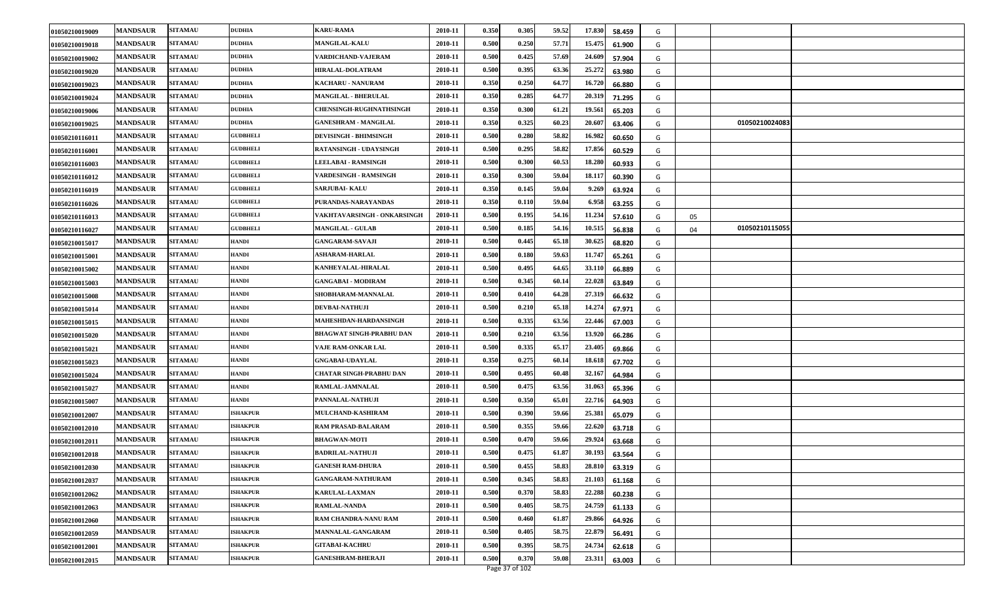| 01050210019009 | <b>MANDSAUR</b> | <b>SITAMAU</b> | <b>DUDHIA</b>   | <b>KARU-RAMA</b>                | 2010-11 | 0.350 | 0.305 | 59.52 | 17.830 | 58.459 | G |    |                |  |
|----------------|-----------------|----------------|-----------------|---------------------------------|---------|-------|-------|-------|--------|--------|---|----|----------------|--|
| 01050210019018 | <b>MANDSAUR</b> | <b>SITAMAU</b> | <b>DUDHIA</b>   | <b>MANGILAL-KALU</b>            | 2010-11 | 0.500 | 0.250 | 57.71 | 15.475 | 61.900 | G |    |                |  |
| 01050210019002 | <b>MANDSAUR</b> | <b>SITAMAU</b> | <b>DUDHIA</b>   | VARDICHAND-VAJERAM              | 2010-11 | 0.500 | 0.425 | 57.69 | 24.609 | 57.904 | G |    |                |  |
| 01050210019020 | <b>MANDSAUR</b> | <b>SITAMAU</b> | <b>DUDHIA</b>   | <b>HIRALAL-DOLATRAM</b>         | 2010-11 | 0.500 | 0.395 | 63.36 | 25.272 | 63.980 | G |    |                |  |
| 01050210019023 | <b>MANDSAUR</b> | <b>SITAMAU</b> | <b>DUDHIA</b>   | <b>KACHARU - NANURAM</b>        | 2010-11 | 0.350 | 0.250 | 64.77 | 16.72  | 66.880 | G |    |                |  |
| 01050210019024 | <b>MANDSAUR</b> | <b>SITAMAU</b> | <b>DUDHIA</b>   | <b>MANGILAL - BHERULAL</b>      | 2010-11 | 0.350 | 0.285 | 64.77 | 20.31  | 71.295 | G |    |                |  |
| 01050210019006 | <b>MANDSAUR</b> | <b>SITAMAU</b> | <b>DUDHIA</b>   | <b>CHENSINGH-RUGHNATHSINGH</b>  | 2010-11 | 0.350 | 0.300 | 61.21 | 19.561 | 65.203 | G |    |                |  |
| 01050210019025 | <b>MANDSAUR</b> | <b>SITAMAU</b> | <b>DUDHIA</b>   | <b>GANESHRAM - MANGILAL</b>     | 2010-11 | 0.350 | 0.325 | 60.23 | 20.60  | 63.406 | G |    | 01050210024083 |  |
| 01050210116011 | <b>MANDSAUR</b> | <b>SITAMAU</b> | <b>GUDBHELI</b> | <b>DEVISINGH - BHIMSINGH</b>    | 2010-11 | 0.500 | 0.280 | 58.82 | 16.982 | 60.650 | G |    |                |  |
| 01050210116001 | <b>MANDSAUR</b> | <b>SITAMAU</b> | <b>GUDBHELI</b> | RATANSINGH - UDAYSINGH          | 2010-11 | 0.500 | 0.295 | 58.82 | 17.856 | 60.529 | G |    |                |  |
| 01050210116003 | <b>MANDSAUR</b> | <b>SITAMAU</b> | <b>GUDBHELI</b> | <b>LEELABAI - RAMSINGH</b>      | 2010-11 | 0.500 | 0.300 | 60.53 | 18.280 | 60.933 | G |    |                |  |
| 01050210116012 | <b>MANDSAUR</b> | <b>SITAMAU</b> | <b>GUDBHELI</b> | <b>VARDESINGH - RAMSINGH</b>    | 2010-11 | 0.350 | 0.300 | 59.04 | 18.11  | 60.390 | G |    |                |  |
| 01050210116019 | <b>MANDSAUR</b> | <b>SITAMAU</b> | <b>GUDBHELI</b> | <b>SARJUBAI- KALU</b>           | 2010-11 | 0.350 | 0.145 | 59.04 | 9.269  | 63.924 | G |    |                |  |
| 01050210116026 | <b>MANDSAUR</b> | <b>SITAMAU</b> | <b>GUDBHELI</b> | PURANDAS-NARAYANDAS             | 2010-11 | 0.350 | 0.110 | 59.04 | 6.958  | 63.255 | G |    |                |  |
| 01050210116013 | <b>MANDSAUR</b> | <b>SITAMAU</b> | <b>GUDBHELI</b> | VAKHTAVARSINGH - ONKARSINGH     | 2010-11 | 0.500 | 0.195 | 54.16 | 11.234 | 57.610 | G | 05 |                |  |
| 01050210116027 | <b>MANDSAUR</b> | <b>SITAMAU</b> | <b>GUDBHELI</b> | <b>MANGILAL - GULAB</b>         | 2010-11 | 0.500 | 0.185 | 54.16 | 10.51  | 56.838 | G | 04 | 01050210115055 |  |
| 01050210015017 | <b>MANDSAUR</b> | <b>SITAMAU</b> | <b>HANDI</b>    | <b>GANGARAM-SAVAJI</b>          | 2010-11 | 0.500 | 0.445 | 65.18 | 30.625 | 68.820 | G |    |                |  |
| 01050210015001 | <b>MANDSAUR</b> | <b>SITAMAU</b> | <b>HANDI</b>    | <b>ASHARAM-HARLAL</b>           | 2010-11 | 0.500 | 0.180 | 59.63 | 11.747 | 65.261 | G |    |                |  |
| 01050210015002 | <b>MANDSAUR</b> | <b>SITAMAU</b> | <b>HANDI</b>    | KANHEYALAL-HIRALAL              | 2010-11 | 0.500 | 0.495 | 64.65 | 33.11  | 66.889 | G |    |                |  |
| 01050210015003 | <b>MANDSAUR</b> | <b>SITAMAU</b> | <b>HANDI</b>    | <b>GANGABAI - MODIRAM</b>       | 2010-11 | 0.500 | 0.345 | 60.14 | 22.028 | 63.849 | G |    |                |  |
| 01050210015008 | <b>MANDSAUR</b> | <b>SITAMAU</b> | <b>HANDI</b>    | SHOBHARAM-MANNALAL              | 2010-11 | 0.500 | 0.410 | 64.28 | 27.319 | 66.632 | G |    |                |  |
| 01050210015014 | <b>MANDSAUR</b> | <b>SITAMAU</b> | <b>HANDI</b>    | <b>DEVBAI-NATHUJI</b>           | 2010-11 | 0.500 | 0.210 | 65.18 | 14.274 | 67.971 | G |    |                |  |
| 01050210015015 | <b>MANDSAUR</b> | <b>SITAMAU</b> | <b>HANDI</b>    | MAHESHDAN-HARDANSINGH           | 2010-11 | 0.500 | 0.335 | 63.56 | 22.446 | 67.003 | G |    |                |  |
| 01050210015020 | <b>MANDSAUR</b> | <b>SITAMAU</b> | <b>HANDI</b>    | <b>BHAGWAT SINGH-PRABHU DAN</b> | 2010-11 | 0.500 | 0.210 | 63.56 | 13.92  | 66.286 | G |    |                |  |
| 01050210015021 | <b>MANDSAUR</b> | <b>SITAMAU</b> | <b>HANDI</b>    | VAJE RAM-ONKAR LAL              | 2010-11 | 0.500 | 0.335 | 65.17 | 23.405 | 69.866 | G |    |                |  |
| 01050210015023 | <b>MANDSAUR</b> | <b>SITAMAU</b> | <b>HANDI</b>    | <b>GNGABAI-UDAYLAL</b>          | 2010-11 | 0.350 | 0.275 | 60.14 | 18.61  | 67.702 | G |    |                |  |
| 01050210015024 | <b>MANDSAUR</b> | <b>SITAMAU</b> | <b>HANDI</b>    | CHATAR SINGH-PRABHU DAN         | 2010-11 | 0.500 | 0.495 | 60.48 | 32.16  | 64.984 | G |    |                |  |
| 01050210015027 | <b>MANDSAUR</b> | <b>SITAMAU</b> | <b>HANDI</b>    | RAMLAL-JAMNALAL                 | 2010-11 | 0.500 | 0.475 | 63.56 | 31.06  | 65.396 | G |    |                |  |
| 01050210015007 | <b>MANDSAUR</b> | <b>SITAMAU</b> | <b>HANDI</b>    | PANNALAL-NATHUJI                | 2010-11 | 0.500 | 0.350 | 65.01 | 22.716 | 64.903 | G |    |                |  |
| 01050210012007 | <b>MANDSAUR</b> | <b>SITAMAU</b> | <b>ISHAKPUR</b> | MULCHAND-KASHIRAM               | 2010-11 | 0.500 | 0.390 | 59.66 | 25.381 | 65.079 | G |    |                |  |
| 01050210012010 | <b>MANDSAUR</b> | <b>SITAMAU</b> | <b>ISHAKPUR</b> | <b>RAM PRASAD-BALARAM</b>       | 2010-11 | 0.500 | 0.355 | 59.66 | 22.620 | 63.718 | G |    |                |  |
| 01050210012011 | <b>MANDSAUR</b> | <b>SITAMAU</b> | <b>ISHAKPUR</b> | <b>BHAGWAN-MOTI</b>             | 2010-11 | 0.500 | 0.470 | 59.66 | 29.92  | 63.668 | G |    |                |  |
| 01050210012018 | <b>MANDSAUR</b> | <b>SITAMAU</b> | <b>ISHAKPUR</b> | <b>BADRILAL-NATHUJI</b>         | 2010-11 | 0.500 | 0.475 | 61.87 | 30.193 | 63.564 | G |    |                |  |
| 01050210012030 | <b>MANDSAUR</b> | <b>SITAMAU</b> | <b>ISHAKPUR</b> | <b>GANESH RAM-DHURA</b>         | 2010-11 | 0.500 | 0.455 | 58.83 | 28.810 | 63.319 | G |    |                |  |
| 01050210012037 | <b>MANDSAUR</b> | <b>SITAMAU</b> | <b>ISHAKPUR</b> | <b>GANGARAM-NATHURAM</b>        | 2010-11 | 0.500 | 0.345 | 58.83 | 21.10  | 61.168 | G |    |                |  |
| 01050210012062 | <b>MANDSAUR</b> | <b>SITAMAU</b> | <b>ISHAKPUR</b> | KARULAL-LAXMAN                  | 2010-11 | 0.500 | 0.370 | 58.83 | 22.288 | 60.238 | G |    |                |  |
| 01050210012063 | <b>MANDSAUR</b> | <b>SITAMAU</b> | <b>ISHAKPUR</b> | <b>RAMLAL-NANDA</b>             | 2010-11 | 0.500 | 0.405 | 58.75 | 24.759 | 61.133 | G |    |                |  |
| 01050210012060 | <b>MANDSAUR</b> | <b>SITAMAU</b> | <b>ISHAKPUR</b> | RAM CHANDRA-NANU RAM            | 2010-11 | 0.500 | 0.460 | 61.87 | 29.866 | 64.926 | G |    |                |  |
| 01050210012059 | <b>MANDSAUR</b> | <b>SITAMAU</b> | <b>ISHAKPUR</b> | MANNALAL-GANGARAM               | 2010-11 | 0.500 | 0.405 | 58.75 | 22.879 | 56.491 | G |    |                |  |
| 01050210012001 | <b>MANDSAUR</b> | <b>SITAMAU</b> | <b>ISHAKPUR</b> | <b>GITABAI-KACHRU</b>           | 2010-11 | 0.500 | 0.395 | 58.75 | 24.734 | 62.618 | G |    |                |  |
| 01050210012015 | <b>MANDSAUR</b> | <b>SITAMAU</b> | <b>ISHAKPUR</b> | <b>GANESHRAM-BHERAJI</b>        | 2010-11 | 0.500 | 0.370 | 59.08 | 23.311 | 63.003 | G |    |                |  |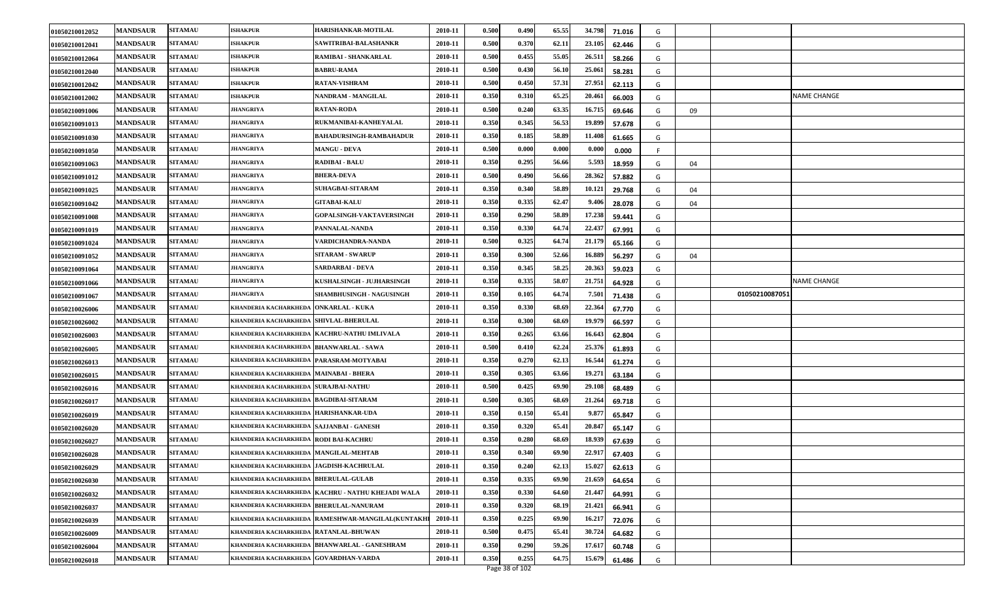| 01050210012052 | <b>MANDSAUR</b> | <b>SITAMAU</b> | <b>ISHAKPUR</b>                            | HARISHANKAR-MOTILAL                               | 2010-11 | 0.500 | 0.490 | 65.55 | 34.798 | 71.016 | G |    |                |             |
|----------------|-----------------|----------------|--------------------------------------------|---------------------------------------------------|---------|-------|-------|-------|--------|--------|---|----|----------------|-------------|
| 01050210012041 | <b>MANDSAUR</b> | <b>SITAMAU</b> | <b>ISHAKPUR</b>                            | SAWITRIBAI-BALASHANKR                             | 2010-11 | 0.500 | 0.370 | 62.11 | 23.105 | 62.446 | G |    |                |             |
| 01050210012064 | <b>MANDSAUR</b> | <b>SITAMAU</b> | <b>ISHAKPUR</b>                            | RAMIBAI - SHANKARLAL                              | 2010-11 | 0.500 | 0.455 | 55.05 | 26.511 | 58.266 | G |    |                |             |
| 01050210012040 | <b>MANDSAUR</b> | <b>SITAMAU</b> | <b>ISHAKPUR</b>                            | <b>BABRU-RAMA</b>                                 | 2010-11 | 0.500 | 0.430 | 56.10 | 25.061 | 58.281 | G |    |                |             |
| 01050210012042 | <b>MANDSAUR</b> | <b>SITAMAU</b> | <b>ISHAKPUR</b>                            | RATAN-VISHRAM                                     | 2010-11 | 0.500 | 0.450 | 57.31 | 27.951 | 62.113 | G |    |                |             |
| 01050210012002 | <b>MANDSAUR</b> | <b>SITAMAU</b> | <b>ISHAKPUR</b>                            | NANDRAM - MANGILAL                                | 2010-11 | 0.350 | 0.310 | 65.25 | 20.461 | 66.003 | G |    |                | NAME CHANGE |
| 01050210091006 | <b>MANDSAUR</b> | <b>SITAMAU</b> | <b>JHANGRIYA</b>                           | <b>RATAN-RODA</b>                                 | 2010-11 | 0.500 | 0.240 | 63.35 | 16.715 | 69.646 | G | 09 |                |             |
| 01050210091013 | <b>MANDSAUR</b> | <b>SITAMAU</b> | JHANGRIYA                                  | RUKMANIBAI-KANHEYALAL                             | 2010-11 | 0.350 | 0.345 | 56.53 | 19.899 | 57.678 | G |    |                |             |
| 01050210091030 | <b>MANDSAUR</b> | <b>SITAMAU</b> | <b>JHANGRIYA</b>                           | <b>BAHADURSINGH-RAMBAHADUR</b>                    | 2010-11 | 0.350 | 0.185 | 58.89 | 11.40  | 61.665 | G |    |                |             |
| 01050210091050 | <b>MANDSAUR</b> | <b>SITAMAU</b> | <b>JHANGRIYA</b>                           | <b>MANGU - DEVA</b>                               | 2010-11 | 0.500 | 0.000 | 0.000 | 0.000  | 0.000  |   |    |                |             |
| 01050210091063 | <b>MANDSAUR</b> | <b>SITAMAU</b> | <b>JHANGRIYA</b>                           | <b>RADIBAI - BALU</b>                             | 2010-11 | 0.350 | 0.295 | 56.66 | 5.593  | 18.959 | G | 04 |                |             |
| 01050210091012 | <b>MANDSAUR</b> | <b>SITAMAU</b> | JHANGRIYA                                  | <b>BHERA-DEVA</b>                                 | 2010-11 | 0.500 | 0.490 | 56.66 | 28.362 | 57.882 | G |    |                |             |
| 01050210091025 | <b>MANDSAUR</b> | <b>SITAMAU</b> | JHANGRIYA                                  | <b>SUHAGBAI-SITARAM</b>                           | 2010-11 | 0.350 | 0.340 | 58.89 | 10.121 | 29.768 | G | 04 |                |             |
| 01050210091042 | <b>MANDSAUR</b> | <b>SITAMAU</b> | JHANGRIYA                                  | <b>GITABAI-KALU</b>                               | 2010-11 | 0.350 | 0.335 | 62.47 | 9.406  | 28.078 | G | 04 |                |             |
| 01050210091008 | <b>MANDSAUR</b> | <b>SITAMAU</b> | <b>JHANGRIYA</b>                           | <b>GOPALSINGH-VAKTAVERSINGH</b>                   | 2010-11 | 0.350 | 0.290 | 58.89 | 17.238 | 59.441 | G |    |                |             |
| 01050210091019 | <b>MANDSAUR</b> | <b>SITAMAU</b> | JHANGRIYA                                  | PANNALAL-NANDA                                    | 2010-11 | 0.350 | 0.330 | 64.74 | 22.437 | 67.991 | G |    |                |             |
| 01050210091024 | <b>MANDSAUR</b> | <b>SITAMAU</b> | <b>JHANGRIYA</b>                           | VARDICHANDRA-NANDA                                | 2010-11 | 0.500 | 0.325 | 64.74 | 21.179 | 65.166 | G |    |                |             |
| 01050210091052 | <b>MANDSAUR</b> | <b>SITAMAU</b> | <b>JHANGRIYA</b>                           | <b>SITARAM - SWARUP</b>                           | 2010-11 | 0.350 | 0.300 | 52.66 | 16.889 | 56.297 | G | 04 |                |             |
| 01050210091064 | <b>MANDSAUR</b> | <b>SITAMAU</b> | <b>JHANGRIYA</b>                           | <b>SARDARBAI - DEVA</b>                           | 2010-11 | 0.350 | 0.345 | 58.25 | 20.363 | 59.023 | G |    |                |             |
| 01050210091066 | <b>MANDSAUR</b> | <b>SITAMAU</b> | JHANGRIYA                                  | KUSHALSINGH - JUJHARSINGH                         | 2010-11 | 0.350 | 0.335 | 58.07 | 21.751 | 64.928 | G |    |                | NAME CHANGE |
| 01050210091067 | <b>MANDSAUR</b> | <b>SITAMAU</b> | <b>JHANGRIYA</b>                           | SHAMBHUSINGH - NAGUSINGH                          | 2010-11 | 0.350 | 0.105 | 64.74 | 7.501  | 71.438 | G |    | 01050210087051 |             |
| 01050210026006 | <b>MANDSAUR</b> | <b>SITAMAU</b> | KHANDERIA KACHARKHEDA   ONKARLAL - KUKA    |                                                   | 2010-11 | 0.350 | 0.330 | 68.69 | 22.364 | 67.770 | G |    |                |             |
|                |                 |                |                                            |                                                   |         |       |       |       |        |        |   |    |                |             |
| 01050210026002 | <b>MANDSAUR</b> | <b>SITAMAU</b> | KHANDERIA KACHARKHEDA   SHIVLAL-BHERULAL   |                                                   | 2010-11 | 0.350 | 0.300 | 68.69 | 19.979 | 66.597 | G |    |                |             |
| 01050210026003 | <b>MANDSAUR</b> | <b>SITAMAU</b> |                                            | KHANDERIA KACHARKHEDA  KACHRU-NATHU IMLIVALA      | 2010-11 | 0.350 | 0.265 | 63.66 | 16.643 | 62.804 | G |    |                |             |
| 01050210026005 | <b>MANDSAUR</b> | <b>SITAMAU</b> | KHANDERIA KACHARKHEDA                      | <b>BHANWARLAL - SAWA</b>                          | 2010-11 | 0.500 | 0.410 | 62.24 | 25.376 | 61.893 | G |    |                |             |
| 01050210026013 | <b>MANDSAUR</b> | <b>SITAMAU</b> | KHANDERIA KACHARKHEDA PARASRAM-MOTYABAI    |                                                   | 2010-11 | 0.350 | 0.270 | 62.13 | 16.544 | 61.274 | G |    |                |             |
| 01050210026015 | <b>MANDSAUR</b> | <b>SITAMAU</b> | KHANDERIA KACHARKHEDA  MAINABAI - BHERA    |                                                   | 2010-11 | 0.350 | 0.305 | 63.66 | 19.271 | 63.184 | G |    |                |             |
| 01050210026016 | <b>MANDSAUR</b> | <b>SITAMAU</b> | KHANDERIA KACHARKHEDA SURAJBAI-NATHU       |                                                   | 2010-11 | 0.500 | 0.425 | 69.90 | 29.108 | 68.489 | G |    |                |             |
| 01050210026017 | <b>MANDSAUR</b> | <b>SITAMAU</b> | KHANDERIA KACHARKHEDA BAGDIBAI-SITARAM     |                                                   | 2010-11 | 0.500 | 0.305 | 68.69 | 21.264 | 69.718 | G |    |                |             |
| 01050210026019 | <b>MANDSAUR</b> | <b>SITAMAU</b> | KHANDERIA KACHARKHEDA HARISHANKAR-UDA      |                                                   | 2010-11 | 0.350 | 0.150 | 65.41 | 9.877  | 65.847 | G |    |                |             |
| 01050210026020 | <b>MANDSAUR</b> | <b>SITAMAU</b> | KHANDERIA KACHARKHEDA   SAJJANBAI - GANESH |                                                   | 2010-11 | 0.350 | 0.320 | 65.41 | 20.847 | 65.147 | G |    |                |             |
| 01050210026027 | <b>MANDSAUR</b> | <b>SITAMAU</b> | KHANDERIA KACHARKHEDA RODI BAI-KACHRU      |                                                   | 2010-11 | 0.350 | 0.280 | 68.69 | 18.939 | 67.639 | G |    |                |             |
| 01050210026028 | <b>MANDSAUR</b> | <b>SITAMAU</b> | KHANDERIA KACHARKHEDA MANGILAL-MEHTAB      |                                                   | 2010-11 | 0.350 | 0.340 | 69.90 | 22.917 | 67.403 | G |    |                |             |
| 01050210026029 | <b>MANDSAUR</b> | <b>SITAMAU</b> | KHANDERIA KACHARKHEDA JAGDISH-KACHRULAL    |                                                   | 2010-11 | 0.350 | 0.240 | 62.13 | 15.027 | 62.613 | G |    |                |             |
| 01050210026030 | <b>MANDSAUR</b> | <b>SITAMAU</b> | KHANDERIA KACHARKHEDA BHERULAL-GULAB       |                                                   | 2010-11 | 0.350 | 0.335 | 69.90 | 21.659 | 64.654 | G |    |                |             |
| 01050210026032 | <b>MANDSAUR</b> | <b>SITAMAU</b> |                                            | KHANDERIA KACHARKHEDA KACHRU - NATHU KHEJADI WALA | 2010-11 | 0.350 | 0.330 | 64.60 | 21.447 | 64.991 | G |    |                |             |
| 01050210026037 | <b>MANDSAUR</b> | <b>SITAMAU</b> | KHANDERIA KACHARKHEDA BHERULAL-NANURAM     |                                                   | 2010-11 | 0.350 | 0.320 | 68.19 | 21.421 | 66.941 | G |    |                |             |
| 01050210026039 | <b>MANDSAUR</b> | <b>SITAMAU</b> |                                            | KHANDERIA KACHARKHEDA RAMESHWAR-MANGILAL(KUNTAKHI | 2010-11 | 0.350 | 0.225 | 69.90 | 16.217 | 72.076 | G |    |                |             |
| 01050210026009 | <b>MANDSAUR</b> | <b>SITAMAU</b> | KHANDERIA KACHARKHEDA RATANLAL-BHUWAN      |                                                   | 2010-11 | 0.500 | 0.475 | 65.41 | 30.724 | 64.682 | G |    |                |             |
| 01050210026004 | <b>MANDSAUR</b> | <b>SITAMAU</b> |                                            | KHANDERIA KACHARKHEDA BHANWARLAL - GANESHRAM      | 2010-11 | 0.350 | 0.290 | 59.26 | 17.61  | 60.748 | G |    |                |             |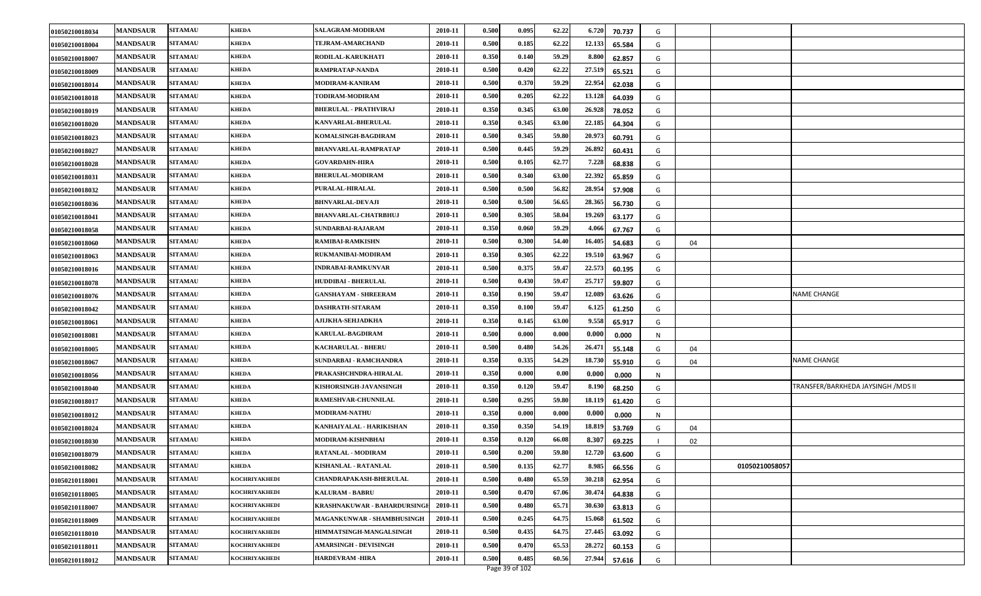| 01050210018034 | <b>MANDSAUR</b> | <b>SITAMAU</b> | <b>KHEDA</b>         | SALAGRAM-MODIRAM                    | 2010-11 | 0.500 | 0.095 | 62.22 | 6.720<br>70.737  | G |    |                                    |
|----------------|-----------------|----------------|----------------------|-------------------------------------|---------|-------|-------|-------|------------------|---|----|------------------------------------|
| 01050210018004 | <b>MANDSAUR</b> | <b>SITAMAU</b> | <b>KHEDA</b>         | TEJRAM-AMARCHAND                    | 2010-11 | 0.500 | 0.185 | 62.22 | 12.133<br>65.584 | G |    |                                    |
| 01050210018007 | <b>MANDSAUR</b> | <b>SITAMAU</b> | <b>KHEDA</b>         | RODILAL-KARUKHATI                   | 2010-11 | 0.350 | 0.140 | 59.29 | 8.800<br>62.857  | G |    |                                    |
| 01050210018009 | <b>MANDSAUR</b> | <b>SITAMAU</b> | <b>KHEDA</b>         | RAMPRATAP-NANDA                     | 2010-11 | 0.500 | 0.420 | 62.22 | 27.519<br>65.521 | G |    |                                    |
| 01050210018014 | <b>MANDSAUR</b> | <b>SITAMAU</b> | <b>KHEDA</b>         | MODIRAM-KANIRAM                     | 2010-11 | 0.500 | 0.370 | 59.29 | 22.954<br>62.038 | G |    |                                    |
| 01050210018018 | <b>MANDSAUR</b> | <b>SITAMAU</b> | <b>KHEDA</b>         | TODIRAM-MODIRAM                     | 2010-11 | 0.500 | 0.205 | 62.22 | 13.128<br>64.039 | G |    |                                    |
| 01050210018019 | <b>MANDSAUR</b> | <b>SITAMAU</b> | <b>KHEDA</b>         | <b>BHERULAL - PRATHVIRAJ</b>        | 2010-11 | 0.350 | 0.345 | 63.00 | 26.928<br>78.052 | G |    |                                    |
| 01050210018020 | <b>MANDSAUR</b> | <b>SITAMAU</b> | <b>KHEDA</b>         | KANVARLAL-BHERULAL                  | 2010-11 | 0.350 | 0.345 | 63.00 | 22.185<br>64.304 | G |    |                                    |
| 01050210018023 | <b>MANDSAUR</b> | <b>SITAMAU</b> | <b>KHEDA</b>         | KOMALSINGH-BAGDIRAM                 | 2010-11 | 0.500 | 0.345 | 59.80 | 20.973<br>60.791 | G |    |                                    |
| 01050210018027 | <b>MANDSAUR</b> | <b>SITAMAU</b> | <b>KHEDA</b>         | <b>BHANVARLAL-RAMPRATAP</b>         | 2010-11 | 0.500 | 0.445 | 59.29 | 26.892<br>60.431 | G |    |                                    |
| 01050210018028 | <b>MANDSAUR</b> | <b>SITAMAU</b> | <b>KHEDA</b>         | <b>GOVARDAHN-HIRA</b>               | 2010-11 | 0.500 | 0.105 | 62.77 | 7.228<br>68.838  | G |    |                                    |
| 01050210018031 | <b>MANDSAUR</b> | <b>SITAMAU</b> | <b>KHEDA</b>         | <b>BHERULAL-MODIRAM</b>             | 2010-11 | 0.500 | 0.340 | 63.00 | 22.392<br>65.859 | G |    |                                    |
| 01050210018032 | <b>MANDSAUR</b> | <b>SITAMAU</b> | <b>KHEDA</b>         | PURALAL-HIRALAL                     | 2010-11 | 0.500 | 0.500 | 56.82 | 28.954<br>57.908 | G |    |                                    |
| 01050210018036 | <b>MANDSAUR</b> | <b>SITAMAU</b> | <b>KHEDA</b>         | <b>BHNVARLAL-DEVAJI</b>             | 2010-11 | 0.500 | 0.500 | 56.65 | 28.365<br>56.730 | G |    |                                    |
| 01050210018041 | <b>MANDSAUR</b> | <b>SITAMAU</b> | <b>KHEDA</b>         | <b>BHANVARLAL-CHATRBHUJ</b>         | 2010-11 | 0.500 | 0.305 | 58.04 | 19.269<br>63.177 | G |    |                                    |
| 01050210018058 | <b>MANDSAUR</b> | <b>SITAMAU</b> | <b>KHEDA</b>         | SUNDARBAI-RAJARAM                   | 2010-11 | 0.350 | 0.060 | 59.29 | 4.066<br>67.767  | G |    |                                    |
| 01050210018060 | <b>MANDSAUR</b> | <b>SITAMAU</b> | <b>KHEDA</b>         | <b>RAMIBAI-RAMKISHN</b>             | 2010-11 | 0.500 | 0.300 | 54.40 | 16.405<br>54.683 | G | 04 |                                    |
| 01050210018063 | <b>MANDSAUR</b> | <b>SITAMAU</b> | <b>KHEDA</b>         | RUKMANIBAI-MODIRAM                  | 2010-11 | 0.350 | 0.305 | 62.22 | 19.510<br>63.967 | G |    |                                    |
| 01050210018016 | <b>MANDSAUR</b> | <b>SITAMAU</b> | <b>KHEDA</b>         | INDRABAI-RAMKUNVAR                  | 2010-11 | 0.500 | 0.375 | 59.47 | 22.573<br>60.195 | G |    |                                    |
| 01050210018078 | <b>MANDSAUR</b> | <b>SITAMAU</b> | <b>KHEDA</b>         | <b>HUDDIBAI - BHERULAL</b>          | 2010-11 | 0.500 | 0.430 | 59.47 | 25.717<br>59.807 | G |    |                                    |
| 01050210018076 | <b>MANDSAUR</b> | <b>SITAMAU</b> | <b>KHEDA</b>         | <b>GANSHAYAM - SHREERAM</b>         | 2010-11 | 0.350 | 0.190 | 59.47 | 12.089<br>63.626 | G |    | NAME CHANGE                        |
| 01050210018042 | <b>MANDSAUR</b> | <b>SITAMAU</b> | <b>KHEDA</b>         | DASHRATH-SITARAM                    | 2010-11 | 0.350 | 0.100 | 59.47 | 6.125<br>61.250  | G |    |                                    |
| 01050210018061 | <b>MANDSAUR</b> | <b>SITAMAU</b> | <b>KHEDA</b>         | <b>AJIJKHA-SEHJADKHA</b>            | 2010-11 | 0.350 | 0.145 | 63.00 | 9.558<br>65.917  | G |    |                                    |
| 01050210018081 | <b>MANDSAUR</b> | <b>SITAMAU</b> | <b>KHEDA</b>         | <b>KARULAL-BAGDIRAM</b>             | 2010-11 | 0.500 | 0.000 | 0.000 | 0.000<br>0.000   | N |    |                                    |
| 01050210018005 | <b>MANDSAUR</b> | <b>SITAMAU</b> | <b>KHEDA</b>         | <b>KACHARULAL - BHERU</b>           | 2010-11 | 0.500 | 0.480 | 54.26 | 26.471<br>55.148 | G | 04 |                                    |
| 01050210018067 | <b>MANDSAUR</b> | <b>SITAMAU</b> | <b>KHEDA</b>         | SUNDARBAI - RAMCHANDRA              | 2010-11 | 0.350 | 0.335 | 54.29 | 18.730<br>55.910 | G | 04 | <b>NAME CHANGE</b>                 |
| 01050210018056 | <b>MANDSAUR</b> | <b>SITAMAU</b> | <b>KHEDA</b>         | PRAKASHCHNDRA-HIRALAL               | 2010-11 | 0.350 | 0.000 | 0.00  | 0.000<br>0.000   | N |    |                                    |
| 01050210018040 | <b>MANDSAUR</b> | <b>SITAMAU</b> | <b>KHEDA</b>         | KISHORSINGH-JAVANSINGH              | 2010-11 | 0.350 | 0.120 | 59.47 | 8.190<br>68.250  | G |    | TRANSFER/BARKHEDA JAYSINGH /MDS II |
| 01050210018017 | <b>MANDSAUR</b> | <b>SITAMAU</b> | <b>KHEDA</b>         | <b>RAMESHVAR-CHUNNILAL</b>          | 2010-11 | 0.500 | 0.295 | 59.80 | 18.119<br>61.420 | G |    |                                    |
| 01050210018012 | <b>MANDSAUR</b> | <b>SITAMAU</b> | <b>KHEDA</b>         | <b>MODIRAM-NATHU</b>                | 2010-11 | 0.350 | 0.000 | 0.000 | 0.000<br>0.000   | N |    |                                    |
| 01050210018024 | <b>MANDSAUR</b> | <b>SITAMAU</b> | <b>KHEDA</b>         | KANHAIYALAL - HARIKISHAN            | 2010-11 | 0.350 | 0.350 | 54.19 | 18.819<br>53.769 | G | 04 |                                    |
| 01050210018030 | <b>MANDSAUR</b> | <b>SITAMAU</b> | <b>KHEDA</b>         | MODIRAM-KISHNBHAI                   | 2010-11 | 0.350 | 0.120 | 66.08 | 8.307<br>69.225  |   | 02 |                                    |
| 01050210018079 | <b>MANDSAUR</b> | <b>SITAMAU</b> | <b>KHEDA</b>         | <b>RATANLAL - MODIRAM</b>           | 2010-11 | 0.500 | 0.200 | 59.80 | 12.720<br>63.600 | G |    |                                    |
| 01050210018082 | <b>MANDSAUR</b> | <b>SITAMAU</b> | <b>KHEDA</b>         | KISHANLAL - RATANLAL                | 2010-11 | 0.500 | 0.135 | 62.77 | 8.985<br>66.556  | G |    | 01050210058057                     |
| 01050210118001 | <b>MANDSAUR</b> | <b>SITAMAU</b> | KOCHRIYAKHEDI        | <b>CHANDRAPAKASH-BHERULAL</b>       | 2010-11 | 0.500 | 0.480 | 65.59 | 30.218<br>62.954 | G |    |                                    |
| 01050210118005 | <b>MANDSAUR</b> | <b>SITAMAU</b> | KOCHRIYAKHEDI        | <b>KALURAM - BABRU</b>              | 2010-11 | 0.500 | 0.470 | 67.06 | 30.474<br>64.838 | G |    |                                    |
| 01050210118007 | <b>MANDSAUR</b> | <b>SITAMAU</b> | KOCHRIYAKHEDI        | <b>KRASHNAKUWAR - BAHARDURSINGI</b> | 2010-11 | 0.500 | 0.480 | 65.71 | 30.630<br>63.813 | G |    |                                    |
| 01050210118009 | <b>MANDSAUR</b> | <b>SITAMAU</b> | <b>KOCHRIYAKHEDI</b> | MAGANKUNWAR - SHAMBHUSINGH          | 2010-11 | 0.500 | 0.245 | 64.75 | 15.068<br>61.502 | G |    |                                    |
| 01050210118010 | <b>MANDSAUR</b> | <b>SITAMAU</b> | <b>KOCHRIYAKHEDI</b> | HIMMATSINGH-MANGALSINGH             | 2010-11 | 0.500 | 0.435 | 64.75 | 27.445<br>63.092 | G |    |                                    |
| 01050210118011 | <b>MANDSAUR</b> | <b>SITAMAU</b> | <b>KOCHRIYAKHEDI</b> | <b>AMARSINGH - DEVISINGH</b>        | 2010-11 | 0.500 | 0.470 | 65.53 | 28.272<br>60.153 | G |    |                                    |
| 01050210118012 | <b>MANDSAUR</b> | <b>SITAMAU</b> | <b>KOCHRIYAKHEDI</b> | <b>HARDEVRAM-HIRA</b>               | 2010-11 | 0.500 | 0.485 | 60.56 | 27.944<br>57.616 | G |    |                                    |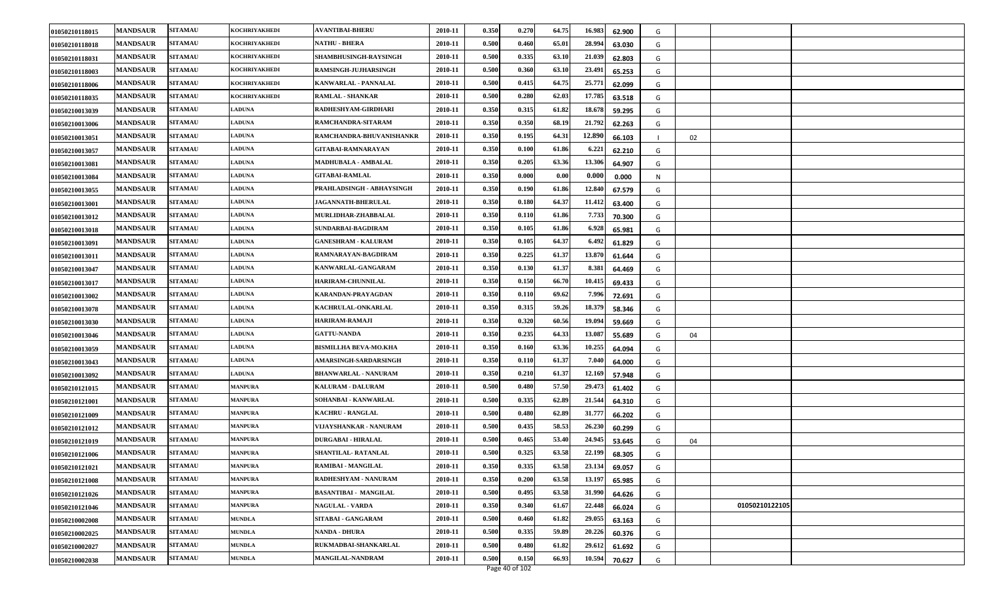| 01050210118015 | <b>MANDSAUR</b> | <b>SITAMAU</b> | <b>KOCHRIYAKHEDI</b> | <b>AVANTIBAI-BHERU</b>       | 2010-11 | 0.350 | 0.270 | 64.75 | 16.983<br>62.900 | G |    |                |
|----------------|-----------------|----------------|----------------------|------------------------------|---------|-------|-------|-------|------------------|---|----|----------------|
| 01050210118018 | <b>MANDSAUR</b> | <b>SITAMAU</b> | KOCHRIYAKHEDI        | <b>NATHU - BHERA</b>         | 2010-11 | 0.500 | 0.460 | 65.01 | 28.994<br>63.030 | G |    |                |
| 01050210118031 | <b>MANDSAUR</b> | <b>SITAMAU</b> | <b>KOCHRIYAKHEDI</b> | SHAMBHUSINGH-RAYSINGH        | 2010-11 | 0.500 | 0.335 | 63.10 | 21.039<br>62.803 | G |    |                |
| 01050210118003 | <b>MANDSAUR</b> | <b>SITAMAU</b> | KOCHRIYAKHEDI        | RAMSINGH-JUJHARSINGH         | 2010-11 | 0.500 | 0.360 | 63.10 | 23.491<br>65.253 | G |    |                |
| 01050210118006 | <b>MANDSAUR</b> | <b>SITAMAU</b> | <b>KOCHRIYAKHEDI</b> | KANWARLAL - PANNALAL         | 2010-11 | 0.500 | 0.415 | 64.75 | 25.771<br>62.099 | G |    |                |
| 01050210118035 | <b>MANDSAUR</b> | <b>SITAMAU</b> | <b>KOCHRIYAKHEDI</b> | <b>RAMLAL - SHANKAR</b>      | 2010-11 | 0.500 | 0.280 | 62.03 | 17.785<br>63.518 | G |    |                |
| 01050210013039 | <b>MANDSAUR</b> | <b>SITAMAU</b> | <b>LADUNA</b>        | RADHESHYAM-GIRDHARI          | 2010-11 | 0.350 | 0.315 | 61.82 | 18.678<br>59.295 | G |    |                |
| 01050210013006 | <b>MANDSAUR</b> | <b>SITAMAU</b> | <b>LADUNA</b>        | RAMCHANDRA-SITARAM           | 2010-11 | 0.350 | 0.350 | 68.19 | 21.792<br>62.263 | G |    |                |
| 01050210013051 | <b>MANDSAUR</b> | <b>SITAMAU</b> | <b>LADUNA</b>        | RAMCHANDRA-BHUVANISHANKR     | 2010-11 | 0.350 | 0.195 | 64.31 | 12.890<br>66.103 |   | 02 |                |
| 01050210013057 | <b>MANDSAUR</b> | <b>SITAMAU</b> | <b>LADUNA</b>        | GITABAI-RAMNARAYAN           | 2010-11 | 0.350 | 0.100 | 61.86 | 6.221<br>62.210  | G |    |                |
| 01050210013081 | <b>MANDSAUR</b> | <b>SITAMAU</b> | <b>LADUNA</b>        | MADHUBALA - AMBALAL          | 2010-11 | 0.350 | 0.205 | 63.36 | 13.306<br>64.907 | G |    |                |
| 01050210013084 | <b>MANDSAUR</b> | <b>SITAMAU</b> | <b>LADUNA</b>        | <b>GITABAI-RAMLAL</b>        | 2010-11 | 0.350 | 0.000 | 0.00  | 0.000<br>0.000   | N |    |                |
| 01050210013055 | <b>MANDSAUR</b> | <b>SITAMAU</b> | <b>LADUNA</b>        | PRAHLADSINGH - ABHAYSINGH    | 2010-11 | 0.350 | 0.190 | 61.86 | 12.840<br>67.579 | G |    |                |
| 01050210013001 | <b>MANDSAUR</b> | <b>SITAMAU</b> | <b>LADUNA</b>        | JAGANNATH-BHERULAL           | 2010-11 | 0.350 | 0.180 | 64.37 | 11.412<br>63.400 | G |    |                |
| 01050210013012 | <b>MANDSAUR</b> | <b>SITAMAU</b> | <b>LADUNA</b>        | MURLIDHAR-ZHABBALAL          | 2010-11 | 0.350 | 0.110 | 61.86 | 7.733<br>70.300  | G |    |                |
| 01050210013018 | <b>MANDSAUR</b> | <b>SITAMAU</b> | <b>LADUNA</b>        | SUNDARBAI-BAGDIRAM           | 2010-11 | 0.350 | 0.105 | 61.86 | 6.928<br>65.981  | G |    |                |
| 01050210013091 | <b>MANDSAUR</b> | <b>SITAMAU</b> | <b>LADUNA</b>        | <b>GANESHRAM - KALURAM</b>   | 2010-11 | 0.350 | 0.105 | 64.37 | 6.492<br>61.829  | G |    |                |
| 01050210013011 | <b>MANDSAUR</b> | <b>SITAMAU</b> | <b>LADUNA</b>        | RAMNARAYAN-BAGDIRAM          | 2010-11 | 0.350 | 0.225 | 61.37 | 13.870<br>61.644 | G |    |                |
| 01050210013047 | <b>MANDSAUR</b> | <b>SITAMAU</b> | <b>LADUNA</b>        | KANWARLAL-GANGARAM           | 2010-11 | 0.350 | 0.130 | 61.37 | 8.381<br>64.469  | G |    |                |
| 01050210013017 | <b>MANDSAUR</b> | <b>SITAMAU</b> | <b>LADUNA</b>        | <b>HARIRAM-CHUNNILAL</b>     | 2010-11 | 0.350 | 0.150 | 66.70 | 10.415<br>69.433 | G |    |                |
| 01050210013002 | <b>MANDSAUR</b> | <b>SITAMAU</b> | <b>LADUNA</b>        | KARANDAN-PRAYAGDAN           | 2010-11 | 0.350 | 0.110 | 69.62 | 7.996<br>72.691  | G |    |                |
| 01050210013078 | <b>MANDSAUR</b> | <b>SITAMAU</b> | <b>LADUNA</b>        | KACHRULAL-ONKARLAL           | 2010-11 | 0.350 | 0.315 | 59.26 | 18.379<br>58.346 | G |    |                |
| 01050210013030 | <b>MANDSAUR</b> | <b>SITAMAU</b> | <b>LADUNA</b>        | HARIRAM-RAMAJI               | 2010-11 | 0.350 | 0.320 | 60.56 | 19.094<br>59.669 | G |    |                |
| 01050210013046 | <b>MANDSAUR</b> | <b>SITAMAU</b> | <b>LADUNA</b>        | <b>GATTU-NANDA</b>           | 2010-11 | 0.350 | 0.235 | 64.33 | 13.08<br>55.689  | G | 04 |                |
| 01050210013059 | <b>MANDSAUR</b> | <b>SITAMAU</b> | <b>LADUNA</b>        | <b>BISMILLHA BEVA-MO.KHA</b> | 2010-11 | 0.350 | 0.160 | 63.36 | 10.255<br>64.094 | G |    |                |
| 01050210013043 | <b>MANDSAUR</b> | <b>SITAMAU</b> | <b>LADUNA</b>        | AMARSINGH-SARDARSINGH        | 2010-11 | 0.350 | 0.110 | 61.37 | 7.040<br>64.000  | G |    |                |
| 01050210013092 | <b>MANDSAUR</b> | <b>SITAMAU</b> | <b>LADUNA</b>        | <b>BHANWARLAL - NANURAM</b>  | 2010-11 | 0.350 | 0.210 | 61.37 | 12.169<br>57.948 | G |    |                |
| 01050210121015 | <b>MANDSAUR</b> | <b>SITAMAU</b> | <b>MANPURA</b>       | <b>KALURAM - DALURAM</b>     | 2010-11 | 0.500 | 0.480 | 57.50 | 29.473<br>61.402 | G |    |                |
| 01050210121001 | <b>MANDSAUR</b> | <b>SITAMAU</b> | <b>MANPURA</b>       | SOHANBAI - KANWARLAL         | 2010-11 | 0.500 | 0.335 | 62.89 | 21.544<br>64.310 | G |    |                |
| 01050210121009 | <b>MANDSAUR</b> | <b>SITAMAU</b> | <b>MANPURA</b>       | <b>KACHRU - RANGLAL</b>      | 2010-11 | 0.500 | 0.480 | 62.89 | 31.777<br>66.202 | G |    |                |
| 01050210121012 | <b>MANDSAUR</b> | <b>SITAMAU</b> | <b>MANPURA</b>       | VIJAYSHANKAR - NANURAM       | 2010-11 | 0.500 | 0.435 | 58.53 | 26.230<br>60.299 | G |    |                |
| 01050210121019 | <b>MANDSAUR</b> | <b>SITAMAU</b> | <b>MANPURA</b>       | <b>DURGABAI - HIRALAL</b>    | 2010-11 | 0.500 | 0.465 | 53.40 | 24.945<br>53.645 | G | 04 |                |
| 01050210121006 | <b>MANDSAUR</b> | <b>SITAMAU</b> | <b>MANPURA</b>       | SHANTILAL-RATANLAL           | 2010-11 | 0.500 | 0.325 | 63.58 | 22.199<br>68.305 | G |    |                |
| 01050210121021 | <b>MANDSAUR</b> | <b>SITAMAU</b> | <b>MANPURA</b>       | RAMIBAI - MANGILAL           | 2010-11 | 0.350 | 0.335 | 63.58 | 23.134<br>69.057 | G |    |                |
| 01050210121008 | <b>MANDSAUR</b> | <b>SITAMAU</b> | <b>MANPURA</b>       | RADHESHYAM - NANURAM         | 2010-11 | 0.350 | 0.200 | 63.58 | 13.197<br>65.985 | G |    |                |
| 01050210121026 | <b>MANDSAUR</b> | <b>SITAMAU</b> | <b>MANPURA</b>       | <b>BASANTIBAI - MANGILAL</b> | 2010-11 | 0.500 | 0.495 | 63.58 | 31.990<br>64.626 | G |    |                |
| 01050210121046 | <b>MANDSAUR</b> | <b>SITAMAU</b> | <b>MANPURA</b>       | <b>NAGULAL - VARDA</b>       | 2010-11 | 0.350 | 0.340 | 61.67 | 22.448<br>66.024 | G |    | 01050210122105 |
| 01050210002008 | <b>MANDSAUR</b> | <b>SITAMAU</b> | <b>MUNDLA</b>        | SITABAI - GANGARAM           | 2010-11 | 0.500 | 0.460 | 61.82 | 29.055<br>63.163 | G |    |                |
| 01050210002025 | <b>MANDSAUR</b> | <b>SITAMAU</b> | <b>MUNDLA</b>        | <b>NANDA - DHURA</b>         | 2010-11 | 0.500 | 0.335 | 59.89 | 20.226<br>60.376 | G |    |                |
| 01050210002027 | <b>MANDSAUR</b> | <b>SITAMAU</b> | <b>MUNDLA</b>        | RUKMADBAI-SHANKARLAL         | 2010-11 | 0.500 | 0.480 | 61.82 | 29.612<br>61.692 | G |    |                |
| 01050210002038 | <b>MANDSAUR</b> | <b>SITAMAU</b> | <b>MUNDLA</b>        | <b>MANGILAL-NANDRAM</b>      | 2010-11 | 0.500 | 0.150 | 66.93 | 10.594<br>70.627 | G |    |                |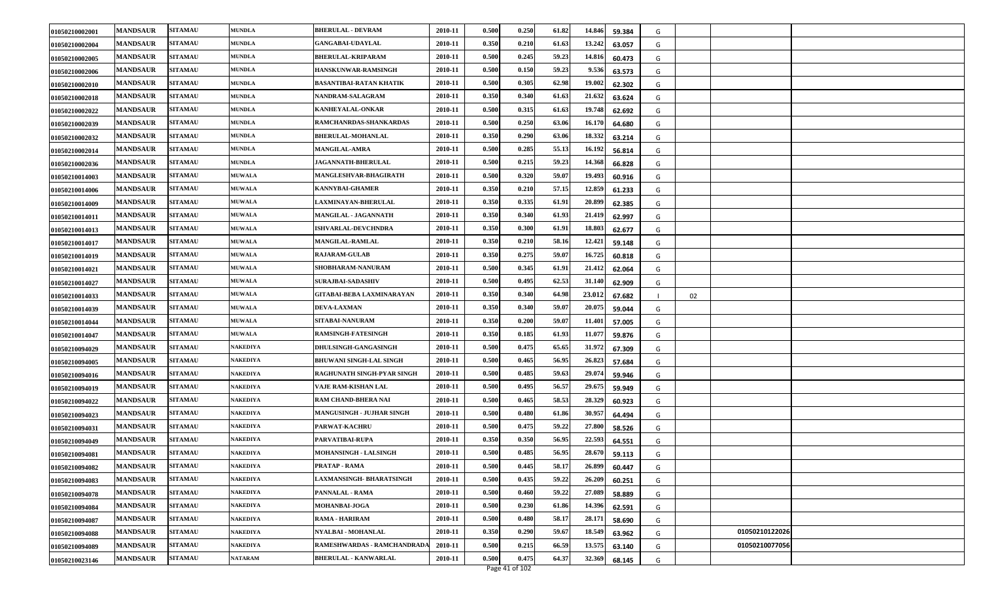| 01050210002001 | <b>MANDSAUR</b> | <b>SITAMAU</b> | <b>MUNDLA</b>   | <b>BHERULAL - DEVRAM</b>        | 2010-11 | 0.500 | 0.250 | 61.82 | 14.846 | 59.384 | G |    |                |  |
|----------------|-----------------|----------------|-----------------|---------------------------------|---------|-------|-------|-------|--------|--------|---|----|----------------|--|
| 01050210002004 | <b>MANDSAUR</b> | <b>SITAMAU</b> | <b>MUNDLA</b>   | <b>GANGABAI-UDAYLAL</b>         | 2010-11 | 0.350 | 0.210 | 61.63 | 13.242 | 63.057 | G |    |                |  |
| 01050210002005 | <b>MANDSAUR</b> | <b>SITAMAU</b> | <b>MUNDLA</b>   | <b>BHERULAL-KRIPARAM</b>        | 2010-11 | 0.500 | 0.245 | 59.23 | 14.816 | 60.473 | G |    |                |  |
| 01050210002006 | <b>MANDSAUR</b> | <b>SITAMAU</b> | <b>MUNDLA</b>   | HANSKUNWAR-RAMSINGH             | 2010-11 | 0.500 | 0.150 | 59.23 | 9.536  | 63.573 | G |    |                |  |
| 01050210002010 | <b>MANDSAUR</b> | <b>SITAMAU</b> | <b>MUNDLA</b>   | BASANTIBAI-RATAN KHATIK         | 2010-11 | 0.500 | 0.305 | 62.98 | 19.002 | 62.302 | G |    |                |  |
| 01050210002018 | <b>MANDSAUR</b> | <b>SITAMAU</b> | <b>MUNDLA</b>   | NANDRAM-SALAGRAM                | 2010-11 | 0.350 | 0.340 | 61.63 | 21.632 | 63.624 | G |    |                |  |
| 01050210002022 | <b>MANDSAUR</b> | <b>SITAMAU</b> | <b>MUNDLA</b>   | KANHEYALAL-ONKAR                | 2010-11 | 0.500 | 0.315 | 61.63 | 19.748 | 62.692 | G |    |                |  |
| 01050210002039 | <b>MANDSAUR</b> | <b>SITAMAU</b> | <b>MUNDLA</b>   | RAMCHANRDAS-SHANKARDAS          | 2010-11 | 0.500 | 0.250 | 63.06 | 16.170 | 64.680 | G |    |                |  |
| 01050210002032 | <b>MANDSAUR</b> | <b>SITAMAU</b> | <b>MUNDLA</b>   | <b>BHERULAL-MOHANLAL</b>        | 2010-11 | 0.350 | 0.290 | 63.06 | 18.332 | 63.214 | G |    |                |  |
| 01050210002014 | <b>MANDSAUR</b> | <b>SITAMAU</b> | <b>MUNDLA</b>   | <b>MANGILAL-AMRA</b>            | 2010-11 | 0.500 | 0.285 | 55.13 | 16.192 | 56.814 | G |    |                |  |
| 01050210002036 | <b>MANDSAUR</b> | <b>SITAMAU</b> | <b>MUNDLA</b>   | <b>JAGANNATH-BHERULAL</b>       | 2010-11 | 0.500 | 0.215 | 59.23 | 14.368 | 66.828 | G |    |                |  |
| 01050210014003 | <b>MANDSAUR</b> | <b>SITAMAU</b> | <b>MUWALA</b>   | MANGLESHVAR-BHAGIRATH           | 2010-11 | 0.500 | 0.320 | 59.07 | 19.493 | 60.916 | G |    |                |  |
| 01050210014006 | <b>MANDSAUR</b> | <b>SITAMAU</b> | <b>MUWALA</b>   | <b>KANNYBAI-GHAMER</b>          | 2010-11 | 0.350 | 0.210 | 57.15 | 12.859 | 61.233 | G |    |                |  |
| 01050210014009 | <b>MANDSAUR</b> | <b>SITAMAU</b> | <b>MUWALA</b>   | <b>LAXMINAYAN-BHERULAL</b>      | 2010-11 | 0.350 | 0.335 | 61.91 | 20.899 | 62.385 | G |    |                |  |
| 01050210014011 | <b>MANDSAUR</b> | <b>SITAMAU</b> | <b>MUWALA</b>   | MANGILAL - JAGANNATH            | 2010-11 | 0.350 | 0.340 | 61.93 | 21.419 | 62.997 | G |    |                |  |
| 01050210014013 | <b>MANDSAUR</b> | <b>SITAMAU</b> | <b>MUWALA</b>   | <b>ISHVARLAL-DEVCHNDRA</b>      | 2010-11 | 0.350 | 0.300 | 61.91 | 18.803 | 62.677 | G |    |                |  |
| 01050210014017 | <b>MANDSAUR</b> | <b>SITAMAU</b> | <b>MUWALA</b>   | <b>MANGILAL-RAMLAL</b>          | 2010-11 | 0.350 | 0.210 | 58.16 | 12.421 | 59.148 | G |    |                |  |
| 01050210014019 | <b>MANDSAUR</b> | <b>SITAMAU</b> | <b>MUWALA</b>   | <b>RAJARAM-GULAB</b>            | 2010-11 | 0.350 | 0.275 | 59.07 | 16.725 | 60.818 | G |    |                |  |
| 01050210014021 | <b>MANDSAUR</b> | <b>SITAMAU</b> | <b>MUWALA</b>   | SHOBHARAM-NANURAM               | 2010-11 | 0.500 | 0.345 | 61.91 | 21.412 | 62.064 | G |    |                |  |
| 01050210014027 | <b>MANDSAUR</b> | <b>SITAMAU</b> | <b>MUWALA</b>   | <b>SURAJBAI-SADASHIV</b>        | 2010-11 | 0.500 | 0.495 | 62.53 | 31.140 | 62.909 | G |    |                |  |
| 01050210014033 | <b>MANDSAUR</b> | <b>SITAMAU</b> | <b>MUWALA</b>   | GITABAI-BEBA LAXMINARAYAN       | 2010-11 | 0.350 | 0.340 | 64.98 | 23.012 | 67.682 |   | 02 |                |  |
| 01050210014039 | <b>MANDSAUR</b> | <b>SITAMAU</b> | <b>MUWALA</b>   | <b>DEVA-LAXMAN</b>              | 2010-11 | 0.350 | 0.340 | 59.07 | 20.075 | 59.044 | G |    |                |  |
| 01050210014044 | <b>MANDSAUR</b> | <b>SITAMAU</b> | <b>MUWALA</b>   | SITABAI-NANURAM                 | 2010-11 | 0.350 | 0.200 | 59.07 | 11.401 | 57.005 | G |    |                |  |
| 01050210014047 | <b>MANDSAUR</b> | <b>SITAMAU</b> | <b>MUWALA</b>   | <b>RAMSINGH-FATESINGH</b>       | 2010-11 | 0.350 | 0.185 | 61.93 | 11.077 | 59.876 | G |    |                |  |
| 01050210094029 | <b>MANDSAUR</b> | <b>SITAMAU</b> | NAKEDIYA        | DHULSINGH-GANGASINGH            | 2010-11 | 0.500 | 0.475 | 65.65 | 31.972 | 67.309 | G |    |                |  |
| 01050210094005 | <b>MANDSAUR</b> | <b>SITAMAU</b> | <b>NAKEDIYA</b> | <b>BHUWANI SINGH-LAL SINGH</b>  | 2010-11 | 0.500 | 0.465 | 56.95 | 26.823 | 57.684 | G |    |                |  |
| 01050210094016 | <b>MANDSAUR</b> | <b>SITAMAU</b> | NAKEDIYA        | RAGHUNATH SINGH-PYAR SINGH      | 2010-11 | 0.500 | 0.485 | 59.63 | 29.074 | 59.946 | G |    |                |  |
| 01050210094019 | <b>MANDSAUR</b> | <b>SITAMAU</b> | NAKEDIYA        | VAJE RAM-KISHAN LAL             | 2010-11 | 0.500 | 0.495 | 56.57 | 29.675 | 59.949 | G |    |                |  |
| 01050210094022 | <b>MANDSAUR</b> | <b>SITAMAU</b> | NAKEDIYA        | RAM CHAND-BHERA NAI             | 2010-11 | 0.500 | 0.465 | 58.53 | 28.329 | 60.923 | G |    |                |  |
| 01050210094023 | <b>MANDSAUR</b> | <b>SITAMAU</b> | <b>NAKEDIYA</b> | MANGUSINGH - JUJHAR SINGH       | 2010-11 | 0.500 | 0.480 | 61.86 | 30.957 | 64.494 | G |    |                |  |
| 01050210094031 | <b>MANDSAUR</b> | <b>SITAMAU</b> | NAKEDIYA        | PARWAT-KACHRU                   | 2010-11 | 0.500 | 0.475 | 59.22 | 27.800 | 58.526 | G |    |                |  |
| 01050210094049 | <b>MANDSAUR</b> | <b>SITAMAU</b> | NAKEDIYA        | PARVATIBAI-RUPA                 | 2010-11 | 0.350 | 0.350 | 56.95 | 22.593 | 64.551 | G |    |                |  |
| 01050210094081 | <b>MANDSAUR</b> | <b>SITAMAU</b> | NAKEDIYA        | MOHANSINGH - LALSINGH           | 2010-11 | 0.500 | 0.485 | 56.95 | 28.670 | 59.113 | G |    |                |  |
| 01050210094082 | <b>MANDSAUR</b> | <b>SITAMAU</b> | <b>NAKEDIYA</b> | PRATAP - RAMA                   | 2010-11 | 0.500 | 0.445 | 58.17 | 26.899 | 60.447 | G |    |                |  |
| 01050210094083 | <b>MANDSAUR</b> | <b>SITAMAU</b> | NAKEDIYA        | <b>LAXMANSINGH- BHARATSINGH</b> | 2010-11 | 0.500 | 0.435 | 59.22 | 26.209 | 60.251 | G |    |                |  |
| 01050210094078 | <b>MANDSAUR</b> | <b>SITAMAU</b> | <b>NAKEDIYA</b> | PANNALAL - RAMA                 | 2010-11 | 0.500 | 0.460 | 59.22 | 27.089 | 58.889 | G |    |                |  |
| 01050210094084 | <b>MANDSAUR</b> | <b>SITAMAU</b> | <b>NAKEDIYA</b> | MOHANBAI-JOGA                   | 2010-11 | 0.500 | 0.230 | 61.86 | 14.396 | 62.591 | G |    |                |  |
| 01050210094087 | <b>MANDSAUR</b> | <b>SITAMAU</b> | <b>NAKEDIYA</b> | RAMA - HARIRAM                  | 2010-11 | 0.500 | 0.480 | 58.17 | 28.171 | 58.690 | G |    |                |  |
| 01050210094088 | <b>MANDSAUR</b> | <b>SITAMAU</b> | <b>NAKEDIYA</b> | <b>NYALBAI - MOHANLAL</b>       | 2010-11 | 0.350 | 0.290 | 59.67 | 18.549 | 63.962 | G |    | 01050210122026 |  |
| 01050210094089 | <b>MANDSAUR</b> | <b>SITAMAU</b> | <b>NAKEDIYA</b> | RAMESHWARDAS - RAMCHANDRADA     | 2010-11 | 0.500 | 0.215 | 66.59 | 13.575 | 63.140 | G |    | 01050210077056 |  |
| 01050210023146 | <b>MANDSAUR</b> | <b>SITAMAU</b> | <b>NATARAM</b>  | <b>BHERULAL - KANWARLAL</b>     | 2010-11 | 0.500 | 0.475 | 64.37 | 32.369 | 68.145 | G |    |                |  |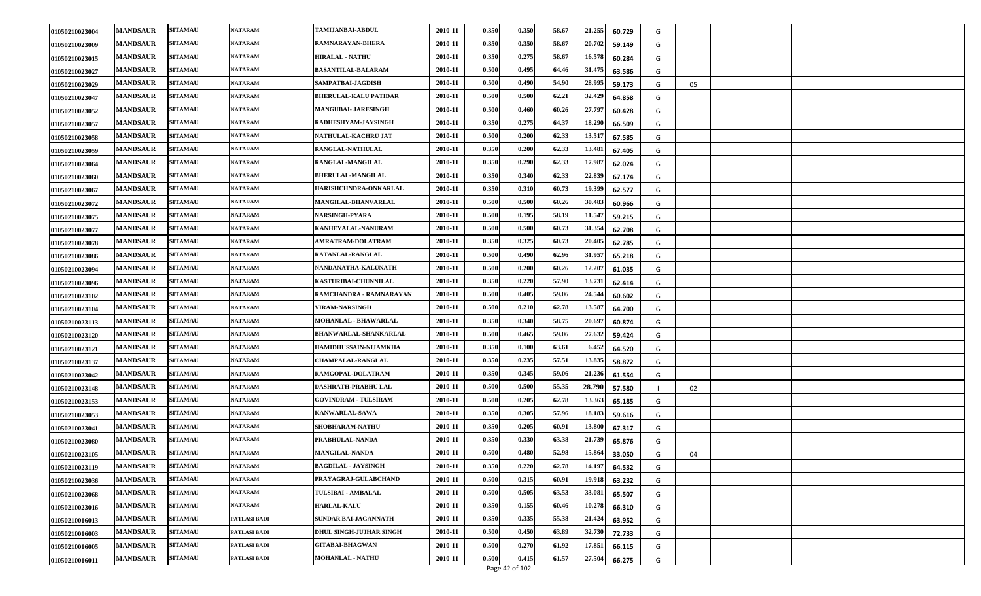| 01050210023004 | <b>MANDSAUR</b> | <b>SITAMAU</b> | <b>NATARAM</b>      | TAMIJANBAI-ABDUL               | 2010-11 | 0.350 | 0.350 | 58.67 | 21.255 | 60.729 | G |    |  |
|----------------|-----------------|----------------|---------------------|--------------------------------|---------|-------|-------|-------|--------|--------|---|----|--|
| 01050210023009 | <b>MANDSAUR</b> | <b>SITAMAU</b> | <b>NATARAM</b>      | RAMNARAYAN-BHERA               | 2010-11 | 0.350 | 0.350 | 58.67 | 20.702 | 59.149 | G |    |  |
| 01050210023015 | <b>MANDSAUR</b> | <b>SITAMAU</b> | <b>NATARAM</b>      | <b>HIRALAL - NATHU</b>         | 2010-11 | 0.350 | 0.275 | 58.67 | 16.578 | 60.284 | G |    |  |
| 01050210023027 | <b>MANDSAUR</b> | <b>SITAMAU</b> | <b>NATARAM</b>      | BASANTILAL-BALARAM             | 2010-11 | 0.500 | 0.495 | 64.46 | 31.475 | 63.586 | G |    |  |
| 01050210023029 | <b>MANDSAUR</b> | <b>SITAMAU</b> | <b>NATARAM</b>      | SAMPATBAI-JAGDISH              | 2010-11 | 0.500 | 0.490 | 54.90 | 28.995 | 59.173 | G | 05 |  |
| 01050210023047 | <b>MANDSAUR</b> | <b>SITAMAU</b> | <b>NATARAM</b>      | BHERULAL-KALU PATIDAR          | 2010-11 | 0.500 | 0.500 | 62.21 | 32.429 | 64.858 | G |    |  |
| 01050210023052 | <b>MANDSAUR</b> | <b>SITAMAU</b> | <b>NATARAM</b>      | <b>MANGUBAI- JARESINGH</b>     | 2010-11 | 0.500 | 0.460 | 60.26 | 27.797 | 60.428 | G |    |  |
| 01050210023057 | <b>MANDSAUR</b> | <b>SITAMAU</b> | <b>NATARAM</b>      | RADHESHYAM-JAYSINGH            | 2010-11 | 0.350 | 0.275 | 64.37 | 18.290 | 66.509 | G |    |  |
| 01050210023058 | <b>MANDSAUR</b> | <b>SITAMAU</b> | <b>NATARAM</b>      | NATHULAL-KACHRU JAT            | 2010-11 | 0.500 | 0.200 | 62.33 | 13.51  | 67.585 | G |    |  |
| 01050210023059 | <b>MANDSAUR</b> | <b>SITAMAU</b> | <b>NATARAM</b>      | <b>RANGLAL-NATHULAL</b>        | 2010-11 | 0.350 | 0.200 | 62.33 | 13.481 | 67.405 | G |    |  |
| 01050210023064 | <b>MANDSAUR</b> | <b>SITAMAU</b> | <b>NATARAM</b>      | RANGLAL-MANGILAL               | 2010-11 | 0.350 | 0.290 | 62.33 | 17.987 | 62.024 | G |    |  |
| 01050210023060 | <b>MANDSAUR</b> | <b>SITAMAU</b> | <b>NATARAM</b>      | BHERULAL-MANGILAL              | 2010-11 | 0.350 | 0.340 | 62.33 | 22.839 | 67.174 | G |    |  |
| 01050210023067 | <b>MANDSAUR</b> | <b>SITAMAU</b> | <b>NATARAM</b>      | HARISHCHNDRA-ONKARLAL          | 2010-11 | 0.350 | 0.310 | 60.73 | 19.399 | 62.577 | G |    |  |
| 01050210023072 | <b>MANDSAUR</b> | <b>SITAMAU</b> | <b>NATARAM</b>      | <b>MANGILAL-BHANVARLAL</b>     | 2010-11 | 0.500 | 0.500 | 60.26 | 30.483 | 60.966 | G |    |  |
| 01050210023075 | <b>MANDSAUR</b> | <b>SITAMAU</b> | <b>NATARAM</b>      | NARSINGH-PYARA                 | 2010-11 | 0.500 | 0.195 | 58.19 | 11.547 | 59.215 | G |    |  |
| 01050210023077 | <b>MANDSAUR</b> | <b>SITAMAU</b> | <b>NATARAM</b>      | KANHEYALAL-NANURAM             | 2010-11 | 0.500 | 0.500 | 60.73 | 31.354 | 62.708 | G |    |  |
| 01050210023078 | <b>MANDSAUR</b> | <b>SITAMAU</b> | <b>NATARAM</b>      | <b>AMRATRAM-DOLATRAM</b>       | 2010-11 | 0.350 | 0.325 | 60.73 | 20.405 | 62.785 | G |    |  |
| 01050210023086 | <b>MANDSAUR</b> | <b>SITAMAU</b> | <b>NATARAM</b>      | RATANLAL-RANGLAL               | 2010-11 | 0.500 | 0.490 | 62.96 | 31.957 | 65.218 | G |    |  |
| 01050210023094 | <b>MANDSAUR</b> | <b>SITAMAU</b> | NATARAM             | NANDANATHA-KALUNATH            | 2010-11 | 0.500 | 0.200 | 60.26 | 12.207 | 61.035 | G |    |  |
| 01050210023096 | <b>MANDSAUR</b> | <b>SITAMAU</b> | <b>NATARAM</b>      | KASTURIBAI-CHUNNILAL           | 2010-11 | 0.350 | 0.220 | 57.90 | 13.73  | 62.414 | G |    |  |
| 01050210023102 | <b>MANDSAUR</b> | <b>SITAMAU</b> | <b>NATARAM</b>      | RAMCHANDRA - RAMNARAYAN        | 2010-11 | 0.500 | 0.405 | 59.06 | 24.544 | 60.602 | G |    |  |
| 01050210023104 | <b>MANDSAUR</b> | <b>SITAMAU</b> | <b>NATARAM</b>      | <b>VIRAM-NARSINGH</b>          | 2010-11 | 0.500 | 0.210 | 62.78 | 13.587 | 64.700 | G |    |  |
| 01050210023113 | <b>MANDSAUR</b> | <b>SITAMAU</b> | <b>NATARAM</b>      | MOHANLAL - BHAWARLAL           | 2010-11 | 0.350 | 0.340 | 58.75 | 20.697 | 60.874 | G |    |  |
| 01050210023120 | <b>MANDSAUR</b> | <b>SITAMAU</b> | <b>NATARAM</b>      | BHANWARLAL-SHANKARLAL          | 2010-11 | 0.500 | 0.465 | 59.06 | 27.632 | 59.424 | G |    |  |
| 01050210023121 | <b>MANDSAUR</b> | <b>SITAMAU</b> | <b>NATARAM</b>      | HAMIDHUSSAIN-NIJAMKHA          | 2010-11 | 0.350 | 0.100 | 63.61 | 6.452  | 64.520 | G |    |  |
| 01050210023137 | <b>MANDSAUR</b> | <b>SITAMAU</b> | <b>NATARAM</b>      | <b>CHAMPALAL-RANGLAL</b>       | 2010-11 | 0.350 | 0.235 | 57.51 | 13.835 | 58.872 | G |    |  |
| 01050210023042 | <b>MANDSAUR</b> | <b>SITAMAU</b> | <b>NATARAM</b>      | <b>RAMGOPAL-DOLATRAM</b>       | 2010-11 | 0.350 | 0.345 | 59.06 | 21.236 | 61.554 | G |    |  |
| 01050210023148 | <b>MANDSAUR</b> | <b>SITAMAU</b> | <b>NATARAM</b>      | DASHRATH-PRABHU LAL            | 2010-11 | 0.500 | 0.500 | 55.35 | 28.790 | 57.580 |   | 02 |  |
| 01050210023153 | <b>MANDSAUR</b> | <b>SITAMAU</b> | <b>NATARAM</b>      | <b>GOVINDRAM - TULSIRAM</b>    | 2010-11 | 0.500 | 0.205 | 62.78 | 13.363 | 65.185 | G |    |  |
| 01050210023053 | <b>MANDSAUR</b> | <b>SITAMAU</b> | <b>NATARAM</b>      | KANWARLAL-SAWA                 | 2010-11 | 0.350 | 0.305 | 57.96 | 18.183 | 59.616 | G |    |  |
| 01050210023041 | <b>MANDSAUR</b> | <b>SITAMAU</b> | <b>NATARAM</b>      | SHOBHARAM-NATHU                | 2010-11 | 0.350 | 0.205 | 60.91 | 13.80  | 67.317 | G |    |  |
| 01050210023080 | <b>MANDSAUR</b> | <b>SITAMAU</b> | <b>NATARAM</b>      | PRABHULAL-NANDA                | 2010-11 | 0.350 | 0.330 | 63.38 | 21.739 | 65.876 | G |    |  |
| 01050210023105 | <b>MANDSAUR</b> | <b>SITAMAU</b> | <b>NATARAM</b>      | <b>MANGILAL-NANDA</b>          | 2010-11 | 0.500 | 0.480 | 52.98 | 15.864 | 33.050 | G | 04 |  |
| 01050210023119 | <b>MANDSAUR</b> | <b>SITAMAU</b> | <b>NATARAM</b>      | <b>BAGDILAL - JAYSINGH</b>     | 2010-11 | 0.350 | 0.220 | 62.78 | 14.197 | 64.532 | G |    |  |
| 01050210023036 | <b>MANDSAUR</b> | <b>SITAMAU</b> | <b>NATARAM</b>      | PRAYAGRAJ-GULABCHAND           | 2010-11 | 0.500 | 0.315 | 60.91 | 19.918 | 63.232 | G |    |  |
| 01050210023068 | <b>MANDSAUR</b> | <b>SITAMAU</b> | <b>NATARAM</b>      | <b>TULSIBAI - AMBALAL</b>      | 2010-11 | 0.500 | 0.505 | 63.53 | 33.081 | 65.507 | G |    |  |
| 01050210023016 | <b>MANDSAUR</b> | <b>SITAMAU</b> | <b>NATARAM</b>      | <b>HARLAL-KALU</b>             | 2010-11 | 0.350 | 0.155 | 60.46 | 10.278 | 66.310 | G |    |  |
| 01050210016013 | <b>MANDSAUR</b> | <b>SITAMAU</b> | PATLASI BADI        | <b>SUNDAR BAI-JAGANNATH</b>    | 2010-11 | 0.350 | 0.335 | 55.38 | 21.424 | 63.952 | G |    |  |
| 01050210016003 | <b>MANDSAUR</b> | <b>SITAMAU</b> | <b>PATLASI BADI</b> | <b>DHUL SINGH-JUJHAR SINGH</b> | 2010-11 | 0.500 | 0.450 | 63.89 | 32.730 | 72.733 | G |    |  |
| 01050210016005 | <b>MANDSAUR</b> | <b>SITAMAU</b> | PATLASI BADI        | <b>GITABAI-BHAGWAN</b>         | 2010-11 | 0.500 | 0.270 | 61.92 | 17.851 | 66.115 | G |    |  |
| 01050210016011 | <b>MANDSAUR</b> | <b>SITAMAU</b> | PATLASI BADI        | <b>MOHANLAL - NATHU</b>        | 2010-11 | 0.500 | 0.415 | 61.57 | 27.504 | 66.275 | G |    |  |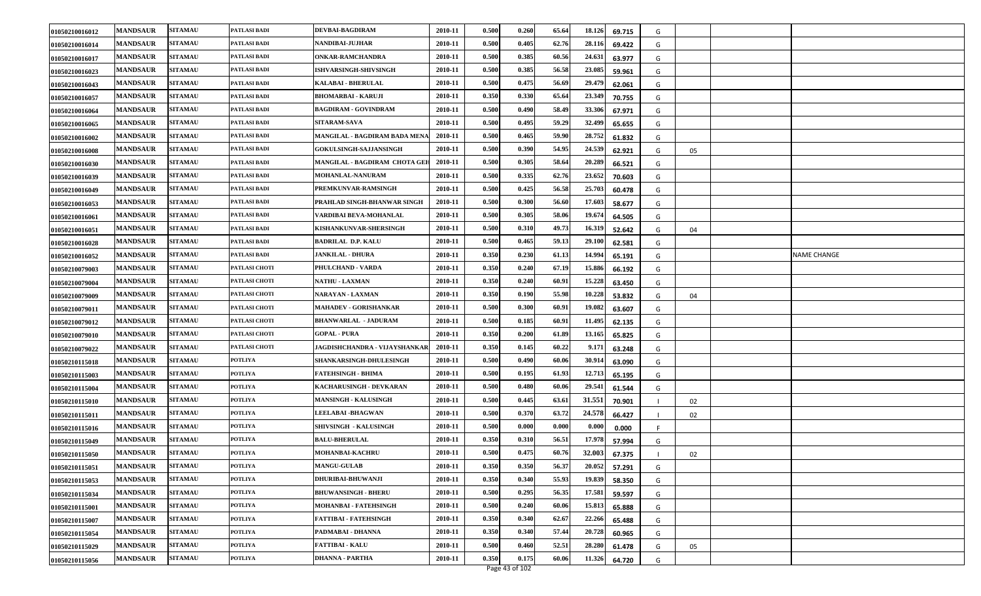| 0.500<br>0.405<br><b>MANDSAUR</b><br><b>SITAMAU</b><br>PATLASI BADI<br><b>NANDIBAI-JUJHAR</b><br>2010-11<br>62.76<br>28.116<br>69.422<br>01050210016014<br>G<br><b>MANDSAUR</b><br><b>SITAMAU</b><br><b>ONKAR-RAMCHANDRA</b><br>2010-11<br>0.500<br>0.385<br>60.56<br>24.631<br>PATLASI BADI<br>63.977<br>01050210016017<br>G<br><b>MANDSAUR</b><br><b>SITAMAU</b><br><b>ISHVARSINGH-SHIVSINGH</b><br>2010-11<br>0.500<br>0.385<br>56.58<br>23.085<br>PATLASI BADI<br>01050210016023<br>59.961<br>G<br><b>MANDSAUR</b><br>2010-11<br>0.500<br>0.475<br>56.69<br>29.479<br><b>SITAMAU</b><br>PATLASI BADI<br>KALABAI - BHERULAL<br>01050210016043<br>62.061<br>G<br>0.330<br><b>MANDSAUR</b><br>PATLASI BADI<br>2010-11<br>0.350<br>65.64<br>23.349<br><b>SITAMAU</b><br><b>BHOMARBAI - KARUJI</b><br>70.755<br>01050210016057<br>G<br><b>SITAMAU</b><br>PATLASI BADI<br>0.500<br>33.306<br><b>MANDSAUR</b><br><b>BAGDIRAM - GOVINDRAM</b><br>2010-11<br>0.490<br>58.49<br>67.971<br>01050210016064<br>G<br>0.500<br>32.499<br><b>MANDSAUR</b><br><b>SITAMAU</b><br>PATLASI BADI<br><b>SITARAM-SAVA</b><br>2010-11<br>0.495<br>59.29<br>65.655<br>01050210016065<br>G<br>MANGILAL - BAGDIRAM BADA MENA<br>0.500<br>59.90<br><b>MANDSAUR</b><br><b>SITAMAU</b><br>PATLASI BADI<br>2010-11<br>0.465<br>28.752<br>61.832<br>01050210016002<br>G<br><b>MANDSAUR</b><br><b>SITAMAU</b><br><b>GOKULSINGH-SAJJANSINGH</b><br>2010-11<br>0.500<br>0.390<br>54.95<br>24.539<br>PATLASI BADI<br>62.921<br>01050210016008<br>G<br>05<br>0.305<br>20.289<br><b>MANDSAUR</b><br><b>SITAMAU</b><br>2010-11<br>0.500<br>58.64<br>PATLASI BADI<br>MANGILAL - BAGDIRAM CHOTA GEH<br>66.521<br>01050210016030<br>G<br>0.335<br><b>MANDSAUR</b><br>0.500<br>62.76<br>23.652<br><b>SITAMAU</b><br>PATLASI BADI<br>2010-11<br><b>MOHANLAL-NANURAM</b><br>70.603<br>01050210016039<br>G<br>0.425<br>25.703<br><b>MANDSAUR</b><br><b>SITAMAU</b><br>PATLASI BADI<br>PREMKUNVAR-RAMSINGH<br>2010-11<br>0.500<br>56.58<br>60.478<br>01050210016049<br>G<br>2010-11<br>0.500<br>0.300<br>56.60<br>17.603<br><b>MANDSAUR</b><br><b>SITAMAU</b><br>PATLASI BADI<br>PRAHLAD SINGH-BHANWAR SINGH<br>58.677<br>01050210016053<br>G<br><b>SITAMAU</b><br>0.305<br>58.06<br>19.674<br><b>MANDSAUR</b><br>VARDIBAI BEVA-MOHANLAL<br>2010-11<br>0.500<br>PATLASI BADI<br>64.505<br>01050210016061<br>G<br><b>SITAMAU</b><br>KISHANKUNVAR-SHERSINGH<br>0.500<br>0.310<br>49.73<br><b>MANDSAUR</b><br>PATLASI BADI<br>2010-11<br>16.319<br>52.642<br>01050210016051<br>G<br>04<br>59.13<br><b>MANDSAUR</b><br>2010-11<br>0.500<br>0.465<br>29.100<br><b>SITAMAU</b><br>PATLASI BADI<br><b>BADRILAL D.P. KALU</b><br>62.581<br>01050210016028<br>G<br><b>MANDSAUR</b><br>2010-11<br>0.350<br>0.230<br>61.13<br><b>NAME CHANGE</b><br><b>SITAMAU</b><br>PATLASI BADI<br><b>JANKILAL - DHURA</b><br>14.994<br>01050210016052<br>65.191<br>G<br><b>MANDSAUR</b><br><b>SITAMAU</b><br>PATLASI CHOTI<br>PHULCHAND - VARDA<br>2010-11<br>0.350<br>0.240<br>67.19<br>15.886<br>01050210079003<br>66.192<br>G<br><b>SITAMAU</b><br><b>NATHU - LAXMAN</b><br>2010-11<br>0.350<br>0.240<br>60.91<br>15.228<br><b>MANDSAUR</b><br>PATLASI CHOTI<br>63.450<br>01050210079004<br>G<br><b>MANDSAUR</b><br><b>SITAMAU</b><br><b>NARAYAN - LAXMAN</b><br>2010-11<br>0.350<br>0.190<br>55.98<br>10.228<br>PATLASI CHOTI<br>53.832<br>01050210079009<br>G<br>04<br><b>MANDSAUR</b><br>2010-11<br>0.500<br>0.300<br>60.91<br>19.082<br><b>SITAMAU</b><br>PATLASI CHOTI<br><b>MAHADEV - GORISHANKAR</b><br>63.607<br>01050210079011<br>G<br><b>MANDSAUR</b><br><b>SITAMAU</b><br>2010-11<br>0.500<br>0.185<br>60.91<br>11.495<br>PATLASI CHOTI<br><b>BHANWARLAL - JADURAM</b><br>62.135<br>01050210079012<br>G<br>2010-11<br>0.350<br>0.200<br>61.89<br>13.165<br><b>MANDSAUR</b><br><b>SITAMAU</b><br>PATLASI CHOTI<br><b>GOPAL - PURA</b><br>65.825<br>01050210079010<br>G<br>PATLASI CHOTI<br><b>MANDSAUR</b><br><b>SITAMAU</b><br>JAGDISHCHANDRA - VIJAYSHANKAR<br>2010-11<br>0.350<br>0.145<br>60.22<br>9.171<br>63.248<br>01050210079022<br>G<br><b>MANDSAUR</b><br><b>SITAMAU</b><br>SHANKARSINGH-DHULESINGH<br>2010-11<br>0.500<br>0.490<br>60.06<br>30.914<br><b>POTLIYA</b><br>63.090<br>01050210115018<br>G<br><b>MANDSAUR</b><br><b>SITAMAU</b><br>FATEHSINGH - BHIMA<br>2010-11<br>0.500<br>0.195<br>61.93<br>12.713<br>POTLIYA<br>01050210115003<br>65.195<br>G<br><b>MANDSAUR</b><br>2010-11<br>0.500<br>0.480<br>60.06<br>29.541<br><b>SITAMAU</b><br>POTLIYA<br>KACHARUSINGH - DEVKARAN<br>01050210115004<br>61.544<br>G<br><b>MANDSAUR</b><br>2010-11<br>0.500<br>0.445<br>63.61<br>31.551<br><b>SITAMAU</b><br>POTLIYA<br><b>MANSINGH - KALUSINGH</b><br>70.901<br>01050210115010<br>02<br>24.578<br><b>MANDSAUR</b><br><b>SITAMAU</b><br><b>POTLIYA</b><br><b>LEELABAI-BHAGWAN</b><br>0.500<br>0.370<br>2010-11<br>63.72<br>66.427<br>01050210115011<br>02<br>0.500<br><b>MANDSAUR</b><br><b>SITAMAU</b><br>POTLIYA<br><b>SHIVSINGH - KALUSINGH</b><br>2010-11<br>0.000<br>0.000<br>0.000<br>0.000<br>01050210115016<br>0.350<br><b>MANDSAUR</b><br><b>SITAMAU</b><br><b>BALU-BHERULAL</b><br>2010-11<br>0.310<br>56.51<br>17.978<br>POTLIYA<br>57.994<br>01050210115049<br>G<br>0.500<br>0.475<br><b>MANDSAUR</b><br><b>SITAMAU</b><br>MOHANBAI-KACHRU<br>2010-11<br>60.76<br>32.003<br>POTLIYA<br>67.375<br>01050210115050<br>02<br>0.350<br><b>MANDSAUR</b><br>2010-11<br>0.350<br>56.37<br>20.052<br><b>SITAMAU</b><br><b>POTLIYA</b><br><b>MANGU-GULAB</b><br>57.291<br>01050210115051<br>G<br>0.350<br>0.340<br><b>MANDSAUR</b><br>2010-11<br>55.93<br>19.839<br><b>SITAMAU</b><br><b>DHURIBAI-BHUWANJI</b><br>POTLIYA<br>58.350 | 01050210016012 | <b>MANDSAUR</b> | <b>SITAMAU</b> | PATLASI BADI | DEVBAI-BAGDIRAM | 2010-11 | 0.500 | 0.260 | 65.64 | 18.126<br>69.715 | G |  |
|-------------------------------------------------------------------------------------------------------------------------------------------------------------------------------------------------------------------------------------------------------------------------------------------------------------------------------------------------------------------------------------------------------------------------------------------------------------------------------------------------------------------------------------------------------------------------------------------------------------------------------------------------------------------------------------------------------------------------------------------------------------------------------------------------------------------------------------------------------------------------------------------------------------------------------------------------------------------------------------------------------------------------------------------------------------------------------------------------------------------------------------------------------------------------------------------------------------------------------------------------------------------------------------------------------------------------------------------------------------------------------------------------------------------------------------------------------------------------------------------------------------------------------------------------------------------------------------------------------------------------------------------------------------------------------------------------------------------------------------------------------------------------------------------------------------------------------------------------------------------------------------------------------------------------------------------------------------------------------------------------------------------------------------------------------------------------------------------------------------------------------------------------------------------------------------------------------------------------------------------------------------------------------------------------------------------------------------------------------------------------------------------------------------------------------------------------------------------------------------------------------------------------------------------------------------------------------------------------------------------------------------------------------------------------------------------------------------------------------------------------------------------------------------------------------------------------------------------------------------------------------------------------------------------------------------------------------------------------------------------------------------------------------------------------------------------------------------------------------------------------------------------------------------------------------------------------------------------------------------------------------------------------------------------------------------------------------------------------------------------------------------------------------------------------------------------------------------------------------------------------------------------------------------------------------------------------------------------------------------------------------------------------------------------------------------------------------------------------------------------------------------------------------------------------------------------------------------------------------------------------------------------------------------------------------------------------------------------------------------------------------------------------------------------------------------------------------------------------------------------------------------------------------------------------------------------------------------------------------------------------------------------------------------------------------------------------------------------------------------------------------------------------------------------------------------------------------------------------------------------------------------------------------------------------------------------------------------------------------------------------------------------------------------------------------------------------------------------------------------------------------------------------------------------------------------------------------------------------------------------------------------------------------------------------------------------------------------------------------------------------------------------------------------------------------------------------------------------------------------------------------------------------------------------------------------------------------------------------------------------------------------------------------------------------------------------------------------------------------------------------------------------------------------------------------------------------------------------------------------------------------------------------------------------------------------------------------------------------------------------------------------------------------------------------------------------------|----------------|-----------------|----------------|--------------|-----------------|---------|-------|-------|-------|------------------|---|--|
|                                                                                                                                                                                                                                                                                                                                                                                                                                                                                                                                                                                                                                                                                                                                                                                                                                                                                                                                                                                                                                                                                                                                                                                                                                                                                                                                                                                                                                                                                                                                                                                                                                                                                                                                                                                                                                                                                                                                                                                                                                                                                                                                                                                                                                                                                                                                                                                                                                                                                                                                                                                                                                                                                                                                                                                                                                                                                                                                                                                                                                                                                                                                                                                                                                                                                                                                                                                                                                                                                                                                                                                                                                                                                                                                                                                                                                                                                                                                                                                                                                                                                                                                                                                                                                                                                                                                                                                                                                                                                                                                                                                                                                                                                                                                                                                                                                                                                                                                                                                                                                                                                                                                                                                                                                                                                                                                                                                                                                                                                                                                                                                                                                                                                                 |                |                 |                |              |                 |         |       |       |       |                  |   |  |
|                                                                                                                                                                                                                                                                                                                                                                                                                                                                                                                                                                                                                                                                                                                                                                                                                                                                                                                                                                                                                                                                                                                                                                                                                                                                                                                                                                                                                                                                                                                                                                                                                                                                                                                                                                                                                                                                                                                                                                                                                                                                                                                                                                                                                                                                                                                                                                                                                                                                                                                                                                                                                                                                                                                                                                                                                                                                                                                                                                                                                                                                                                                                                                                                                                                                                                                                                                                                                                                                                                                                                                                                                                                                                                                                                                                                                                                                                                                                                                                                                                                                                                                                                                                                                                                                                                                                                                                                                                                                                                                                                                                                                                                                                                                                                                                                                                                                                                                                                                                                                                                                                                                                                                                                                                                                                                                                                                                                                                                                                                                                                                                                                                                                                                 |                |                 |                |              |                 |         |       |       |       |                  |   |  |
|                                                                                                                                                                                                                                                                                                                                                                                                                                                                                                                                                                                                                                                                                                                                                                                                                                                                                                                                                                                                                                                                                                                                                                                                                                                                                                                                                                                                                                                                                                                                                                                                                                                                                                                                                                                                                                                                                                                                                                                                                                                                                                                                                                                                                                                                                                                                                                                                                                                                                                                                                                                                                                                                                                                                                                                                                                                                                                                                                                                                                                                                                                                                                                                                                                                                                                                                                                                                                                                                                                                                                                                                                                                                                                                                                                                                                                                                                                                                                                                                                                                                                                                                                                                                                                                                                                                                                                                                                                                                                                                                                                                                                                                                                                                                                                                                                                                                                                                                                                                                                                                                                                                                                                                                                                                                                                                                                                                                                                                                                                                                                                                                                                                                                                 |                |                 |                |              |                 |         |       |       |       |                  |   |  |
|                                                                                                                                                                                                                                                                                                                                                                                                                                                                                                                                                                                                                                                                                                                                                                                                                                                                                                                                                                                                                                                                                                                                                                                                                                                                                                                                                                                                                                                                                                                                                                                                                                                                                                                                                                                                                                                                                                                                                                                                                                                                                                                                                                                                                                                                                                                                                                                                                                                                                                                                                                                                                                                                                                                                                                                                                                                                                                                                                                                                                                                                                                                                                                                                                                                                                                                                                                                                                                                                                                                                                                                                                                                                                                                                                                                                                                                                                                                                                                                                                                                                                                                                                                                                                                                                                                                                                                                                                                                                                                                                                                                                                                                                                                                                                                                                                                                                                                                                                                                                                                                                                                                                                                                                                                                                                                                                                                                                                                                                                                                                                                                                                                                                                                 |                |                 |                |              |                 |         |       |       |       |                  |   |  |
|                                                                                                                                                                                                                                                                                                                                                                                                                                                                                                                                                                                                                                                                                                                                                                                                                                                                                                                                                                                                                                                                                                                                                                                                                                                                                                                                                                                                                                                                                                                                                                                                                                                                                                                                                                                                                                                                                                                                                                                                                                                                                                                                                                                                                                                                                                                                                                                                                                                                                                                                                                                                                                                                                                                                                                                                                                                                                                                                                                                                                                                                                                                                                                                                                                                                                                                                                                                                                                                                                                                                                                                                                                                                                                                                                                                                                                                                                                                                                                                                                                                                                                                                                                                                                                                                                                                                                                                                                                                                                                                                                                                                                                                                                                                                                                                                                                                                                                                                                                                                                                                                                                                                                                                                                                                                                                                                                                                                                                                                                                                                                                                                                                                                                                 |                |                 |                |              |                 |         |       |       |       |                  |   |  |
|                                                                                                                                                                                                                                                                                                                                                                                                                                                                                                                                                                                                                                                                                                                                                                                                                                                                                                                                                                                                                                                                                                                                                                                                                                                                                                                                                                                                                                                                                                                                                                                                                                                                                                                                                                                                                                                                                                                                                                                                                                                                                                                                                                                                                                                                                                                                                                                                                                                                                                                                                                                                                                                                                                                                                                                                                                                                                                                                                                                                                                                                                                                                                                                                                                                                                                                                                                                                                                                                                                                                                                                                                                                                                                                                                                                                                                                                                                                                                                                                                                                                                                                                                                                                                                                                                                                                                                                                                                                                                                                                                                                                                                                                                                                                                                                                                                                                                                                                                                                                                                                                                                                                                                                                                                                                                                                                                                                                                                                                                                                                                                                                                                                                                                 |                |                 |                |              |                 |         |       |       |       |                  |   |  |
|                                                                                                                                                                                                                                                                                                                                                                                                                                                                                                                                                                                                                                                                                                                                                                                                                                                                                                                                                                                                                                                                                                                                                                                                                                                                                                                                                                                                                                                                                                                                                                                                                                                                                                                                                                                                                                                                                                                                                                                                                                                                                                                                                                                                                                                                                                                                                                                                                                                                                                                                                                                                                                                                                                                                                                                                                                                                                                                                                                                                                                                                                                                                                                                                                                                                                                                                                                                                                                                                                                                                                                                                                                                                                                                                                                                                                                                                                                                                                                                                                                                                                                                                                                                                                                                                                                                                                                                                                                                                                                                                                                                                                                                                                                                                                                                                                                                                                                                                                                                                                                                                                                                                                                                                                                                                                                                                                                                                                                                                                                                                                                                                                                                                                                 |                |                 |                |              |                 |         |       |       |       |                  |   |  |
|                                                                                                                                                                                                                                                                                                                                                                                                                                                                                                                                                                                                                                                                                                                                                                                                                                                                                                                                                                                                                                                                                                                                                                                                                                                                                                                                                                                                                                                                                                                                                                                                                                                                                                                                                                                                                                                                                                                                                                                                                                                                                                                                                                                                                                                                                                                                                                                                                                                                                                                                                                                                                                                                                                                                                                                                                                                                                                                                                                                                                                                                                                                                                                                                                                                                                                                                                                                                                                                                                                                                                                                                                                                                                                                                                                                                                                                                                                                                                                                                                                                                                                                                                                                                                                                                                                                                                                                                                                                                                                                                                                                                                                                                                                                                                                                                                                                                                                                                                                                                                                                                                                                                                                                                                                                                                                                                                                                                                                                                                                                                                                                                                                                                                                 |                |                 |                |              |                 |         |       |       |       |                  |   |  |
|                                                                                                                                                                                                                                                                                                                                                                                                                                                                                                                                                                                                                                                                                                                                                                                                                                                                                                                                                                                                                                                                                                                                                                                                                                                                                                                                                                                                                                                                                                                                                                                                                                                                                                                                                                                                                                                                                                                                                                                                                                                                                                                                                                                                                                                                                                                                                                                                                                                                                                                                                                                                                                                                                                                                                                                                                                                                                                                                                                                                                                                                                                                                                                                                                                                                                                                                                                                                                                                                                                                                                                                                                                                                                                                                                                                                                                                                                                                                                                                                                                                                                                                                                                                                                                                                                                                                                                                                                                                                                                                                                                                                                                                                                                                                                                                                                                                                                                                                                                                                                                                                                                                                                                                                                                                                                                                                                                                                                                                                                                                                                                                                                                                                                                 |                |                 |                |              |                 |         |       |       |       |                  |   |  |
|                                                                                                                                                                                                                                                                                                                                                                                                                                                                                                                                                                                                                                                                                                                                                                                                                                                                                                                                                                                                                                                                                                                                                                                                                                                                                                                                                                                                                                                                                                                                                                                                                                                                                                                                                                                                                                                                                                                                                                                                                                                                                                                                                                                                                                                                                                                                                                                                                                                                                                                                                                                                                                                                                                                                                                                                                                                                                                                                                                                                                                                                                                                                                                                                                                                                                                                                                                                                                                                                                                                                                                                                                                                                                                                                                                                                                                                                                                                                                                                                                                                                                                                                                                                                                                                                                                                                                                                                                                                                                                                                                                                                                                                                                                                                                                                                                                                                                                                                                                                                                                                                                                                                                                                                                                                                                                                                                                                                                                                                                                                                                                                                                                                                                                 |                |                 |                |              |                 |         |       |       |       |                  |   |  |
|                                                                                                                                                                                                                                                                                                                                                                                                                                                                                                                                                                                                                                                                                                                                                                                                                                                                                                                                                                                                                                                                                                                                                                                                                                                                                                                                                                                                                                                                                                                                                                                                                                                                                                                                                                                                                                                                                                                                                                                                                                                                                                                                                                                                                                                                                                                                                                                                                                                                                                                                                                                                                                                                                                                                                                                                                                                                                                                                                                                                                                                                                                                                                                                                                                                                                                                                                                                                                                                                                                                                                                                                                                                                                                                                                                                                                                                                                                                                                                                                                                                                                                                                                                                                                                                                                                                                                                                                                                                                                                                                                                                                                                                                                                                                                                                                                                                                                                                                                                                                                                                                                                                                                                                                                                                                                                                                                                                                                                                                                                                                                                                                                                                                                                 |                |                 |                |              |                 |         |       |       |       |                  |   |  |
|                                                                                                                                                                                                                                                                                                                                                                                                                                                                                                                                                                                                                                                                                                                                                                                                                                                                                                                                                                                                                                                                                                                                                                                                                                                                                                                                                                                                                                                                                                                                                                                                                                                                                                                                                                                                                                                                                                                                                                                                                                                                                                                                                                                                                                                                                                                                                                                                                                                                                                                                                                                                                                                                                                                                                                                                                                                                                                                                                                                                                                                                                                                                                                                                                                                                                                                                                                                                                                                                                                                                                                                                                                                                                                                                                                                                                                                                                                                                                                                                                                                                                                                                                                                                                                                                                                                                                                                                                                                                                                                                                                                                                                                                                                                                                                                                                                                                                                                                                                                                                                                                                                                                                                                                                                                                                                                                                                                                                                                                                                                                                                                                                                                                                                 |                |                 |                |              |                 |         |       |       |       |                  |   |  |
|                                                                                                                                                                                                                                                                                                                                                                                                                                                                                                                                                                                                                                                                                                                                                                                                                                                                                                                                                                                                                                                                                                                                                                                                                                                                                                                                                                                                                                                                                                                                                                                                                                                                                                                                                                                                                                                                                                                                                                                                                                                                                                                                                                                                                                                                                                                                                                                                                                                                                                                                                                                                                                                                                                                                                                                                                                                                                                                                                                                                                                                                                                                                                                                                                                                                                                                                                                                                                                                                                                                                                                                                                                                                                                                                                                                                                                                                                                                                                                                                                                                                                                                                                                                                                                                                                                                                                                                                                                                                                                                                                                                                                                                                                                                                                                                                                                                                                                                                                                                                                                                                                                                                                                                                                                                                                                                                                                                                                                                                                                                                                                                                                                                                                                 |                |                 |                |              |                 |         |       |       |       |                  |   |  |
|                                                                                                                                                                                                                                                                                                                                                                                                                                                                                                                                                                                                                                                                                                                                                                                                                                                                                                                                                                                                                                                                                                                                                                                                                                                                                                                                                                                                                                                                                                                                                                                                                                                                                                                                                                                                                                                                                                                                                                                                                                                                                                                                                                                                                                                                                                                                                                                                                                                                                                                                                                                                                                                                                                                                                                                                                                                                                                                                                                                                                                                                                                                                                                                                                                                                                                                                                                                                                                                                                                                                                                                                                                                                                                                                                                                                                                                                                                                                                                                                                                                                                                                                                                                                                                                                                                                                                                                                                                                                                                                                                                                                                                                                                                                                                                                                                                                                                                                                                                                                                                                                                                                                                                                                                                                                                                                                                                                                                                                                                                                                                                                                                                                                                                 |                |                 |                |              |                 |         |       |       |       |                  |   |  |
|                                                                                                                                                                                                                                                                                                                                                                                                                                                                                                                                                                                                                                                                                                                                                                                                                                                                                                                                                                                                                                                                                                                                                                                                                                                                                                                                                                                                                                                                                                                                                                                                                                                                                                                                                                                                                                                                                                                                                                                                                                                                                                                                                                                                                                                                                                                                                                                                                                                                                                                                                                                                                                                                                                                                                                                                                                                                                                                                                                                                                                                                                                                                                                                                                                                                                                                                                                                                                                                                                                                                                                                                                                                                                                                                                                                                                                                                                                                                                                                                                                                                                                                                                                                                                                                                                                                                                                                                                                                                                                                                                                                                                                                                                                                                                                                                                                                                                                                                                                                                                                                                                                                                                                                                                                                                                                                                                                                                                                                                                                                                                                                                                                                                                                 |                |                 |                |              |                 |         |       |       |       |                  |   |  |
|                                                                                                                                                                                                                                                                                                                                                                                                                                                                                                                                                                                                                                                                                                                                                                                                                                                                                                                                                                                                                                                                                                                                                                                                                                                                                                                                                                                                                                                                                                                                                                                                                                                                                                                                                                                                                                                                                                                                                                                                                                                                                                                                                                                                                                                                                                                                                                                                                                                                                                                                                                                                                                                                                                                                                                                                                                                                                                                                                                                                                                                                                                                                                                                                                                                                                                                                                                                                                                                                                                                                                                                                                                                                                                                                                                                                                                                                                                                                                                                                                                                                                                                                                                                                                                                                                                                                                                                                                                                                                                                                                                                                                                                                                                                                                                                                                                                                                                                                                                                                                                                                                                                                                                                                                                                                                                                                                                                                                                                                                                                                                                                                                                                                                                 |                |                 |                |              |                 |         |       |       |       |                  |   |  |
|                                                                                                                                                                                                                                                                                                                                                                                                                                                                                                                                                                                                                                                                                                                                                                                                                                                                                                                                                                                                                                                                                                                                                                                                                                                                                                                                                                                                                                                                                                                                                                                                                                                                                                                                                                                                                                                                                                                                                                                                                                                                                                                                                                                                                                                                                                                                                                                                                                                                                                                                                                                                                                                                                                                                                                                                                                                                                                                                                                                                                                                                                                                                                                                                                                                                                                                                                                                                                                                                                                                                                                                                                                                                                                                                                                                                                                                                                                                                                                                                                                                                                                                                                                                                                                                                                                                                                                                                                                                                                                                                                                                                                                                                                                                                                                                                                                                                                                                                                                                                                                                                                                                                                                                                                                                                                                                                                                                                                                                                                                                                                                                                                                                                                                 |                |                 |                |              |                 |         |       |       |       |                  |   |  |
|                                                                                                                                                                                                                                                                                                                                                                                                                                                                                                                                                                                                                                                                                                                                                                                                                                                                                                                                                                                                                                                                                                                                                                                                                                                                                                                                                                                                                                                                                                                                                                                                                                                                                                                                                                                                                                                                                                                                                                                                                                                                                                                                                                                                                                                                                                                                                                                                                                                                                                                                                                                                                                                                                                                                                                                                                                                                                                                                                                                                                                                                                                                                                                                                                                                                                                                                                                                                                                                                                                                                                                                                                                                                                                                                                                                                                                                                                                                                                                                                                                                                                                                                                                                                                                                                                                                                                                                                                                                                                                                                                                                                                                                                                                                                                                                                                                                                                                                                                                                                                                                                                                                                                                                                                                                                                                                                                                                                                                                                                                                                                                                                                                                                                                 |                |                 |                |              |                 |         |       |       |       |                  |   |  |
|                                                                                                                                                                                                                                                                                                                                                                                                                                                                                                                                                                                                                                                                                                                                                                                                                                                                                                                                                                                                                                                                                                                                                                                                                                                                                                                                                                                                                                                                                                                                                                                                                                                                                                                                                                                                                                                                                                                                                                                                                                                                                                                                                                                                                                                                                                                                                                                                                                                                                                                                                                                                                                                                                                                                                                                                                                                                                                                                                                                                                                                                                                                                                                                                                                                                                                                                                                                                                                                                                                                                                                                                                                                                                                                                                                                                                                                                                                                                                                                                                                                                                                                                                                                                                                                                                                                                                                                                                                                                                                                                                                                                                                                                                                                                                                                                                                                                                                                                                                                                                                                                                                                                                                                                                                                                                                                                                                                                                                                                                                                                                                                                                                                                                                 |                |                 |                |              |                 |         |       |       |       |                  |   |  |
|                                                                                                                                                                                                                                                                                                                                                                                                                                                                                                                                                                                                                                                                                                                                                                                                                                                                                                                                                                                                                                                                                                                                                                                                                                                                                                                                                                                                                                                                                                                                                                                                                                                                                                                                                                                                                                                                                                                                                                                                                                                                                                                                                                                                                                                                                                                                                                                                                                                                                                                                                                                                                                                                                                                                                                                                                                                                                                                                                                                                                                                                                                                                                                                                                                                                                                                                                                                                                                                                                                                                                                                                                                                                                                                                                                                                                                                                                                                                                                                                                                                                                                                                                                                                                                                                                                                                                                                                                                                                                                                                                                                                                                                                                                                                                                                                                                                                                                                                                                                                                                                                                                                                                                                                                                                                                                                                                                                                                                                                                                                                                                                                                                                                                                 |                |                 |                |              |                 |         |       |       |       |                  |   |  |
|                                                                                                                                                                                                                                                                                                                                                                                                                                                                                                                                                                                                                                                                                                                                                                                                                                                                                                                                                                                                                                                                                                                                                                                                                                                                                                                                                                                                                                                                                                                                                                                                                                                                                                                                                                                                                                                                                                                                                                                                                                                                                                                                                                                                                                                                                                                                                                                                                                                                                                                                                                                                                                                                                                                                                                                                                                                                                                                                                                                                                                                                                                                                                                                                                                                                                                                                                                                                                                                                                                                                                                                                                                                                                                                                                                                                                                                                                                                                                                                                                                                                                                                                                                                                                                                                                                                                                                                                                                                                                                                                                                                                                                                                                                                                                                                                                                                                                                                                                                                                                                                                                                                                                                                                                                                                                                                                                                                                                                                                                                                                                                                                                                                                                                 |                |                 |                |              |                 |         |       |       |       |                  |   |  |
|                                                                                                                                                                                                                                                                                                                                                                                                                                                                                                                                                                                                                                                                                                                                                                                                                                                                                                                                                                                                                                                                                                                                                                                                                                                                                                                                                                                                                                                                                                                                                                                                                                                                                                                                                                                                                                                                                                                                                                                                                                                                                                                                                                                                                                                                                                                                                                                                                                                                                                                                                                                                                                                                                                                                                                                                                                                                                                                                                                                                                                                                                                                                                                                                                                                                                                                                                                                                                                                                                                                                                                                                                                                                                                                                                                                                                                                                                                                                                                                                                                                                                                                                                                                                                                                                                                                                                                                                                                                                                                                                                                                                                                                                                                                                                                                                                                                                                                                                                                                                                                                                                                                                                                                                                                                                                                                                                                                                                                                                                                                                                                                                                                                                                                 |                |                 |                |              |                 |         |       |       |       |                  |   |  |
|                                                                                                                                                                                                                                                                                                                                                                                                                                                                                                                                                                                                                                                                                                                                                                                                                                                                                                                                                                                                                                                                                                                                                                                                                                                                                                                                                                                                                                                                                                                                                                                                                                                                                                                                                                                                                                                                                                                                                                                                                                                                                                                                                                                                                                                                                                                                                                                                                                                                                                                                                                                                                                                                                                                                                                                                                                                                                                                                                                                                                                                                                                                                                                                                                                                                                                                                                                                                                                                                                                                                                                                                                                                                                                                                                                                                                                                                                                                                                                                                                                                                                                                                                                                                                                                                                                                                                                                                                                                                                                                                                                                                                                                                                                                                                                                                                                                                                                                                                                                                                                                                                                                                                                                                                                                                                                                                                                                                                                                                                                                                                                                                                                                                                                 |                |                 |                |              |                 |         |       |       |       |                  |   |  |
|                                                                                                                                                                                                                                                                                                                                                                                                                                                                                                                                                                                                                                                                                                                                                                                                                                                                                                                                                                                                                                                                                                                                                                                                                                                                                                                                                                                                                                                                                                                                                                                                                                                                                                                                                                                                                                                                                                                                                                                                                                                                                                                                                                                                                                                                                                                                                                                                                                                                                                                                                                                                                                                                                                                                                                                                                                                                                                                                                                                                                                                                                                                                                                                                                                                                                                                                                                                                                                                                                                                                                                                                                                                                                                                                                                                                                                                                                                                                                                                                                                                                                                                                                                                                                                                                                                                                                                                                                                                                                                                                                                                                                                                                                                                                                                                                                                                                                                                                                                                                                                                                                                                                                                                                                                                                                                                                                                                                                                                                                                                                                                                                                                                                                                 |                |                 |                |              |                 |         |       |       |       |                  |   |  |
|                                                                                                                                                                                                                                                                                                                                                                                                                                                                                                                                                                                                                                                                                                                                                                                                                                                                                                                                                                                                                                                                                                                                                                                                                                                                                                                                                                                                                                                                                                                                                                                                                                                                                                                                                                                                                                                                                                                                                                                                                                                                                                                                                                                                                                                                                                                                                                                                                                                                                                                                                                                                                                                                                                                                                                                                                                                                                                                                                                                                                                                                                                                                                                                                                                                                                                                                                                                                                                                                                                                                                                                                                                                                                                                                                                                                                                                                                                                                                                                                                                                                                                                                                                                                                                                                                                                                                                                                                                                                                                                                                                                                                                                                                                                                                                                                                                                                                                                                                                                                                                                                                                                                                                                                                                                                                                                                                                                                                                                                                                                                                                                                                                                                                                 |                |                 |                |              |                 |         |       |       |       |                  |   |  |
|                                                                                                                                                                                                                                                                                                                                                                                                                                                                                                                                                                                                                                                                                                                                                                                                                                                                                                                                                                                                                                                                                                                                                                                                                                                                                                                                                                                                                                                                                                                                                                                                                                                                                                                                                                                                                                                                                                                                                                                                                                                                                                                                                                                                                                                                                                                                                                                                                                                                                                                                                                                                                                                                                                                                                                                                                                                                                                                                                                                                                                                                                                                                                                                                                                                                                                                                                                                                                                                                                                                                                                                                                                                                                                                                                                                                                                                                                                                                                                                                                                                                                                                                                                                                                                                                                                                                                                                                                                                                                                                                                                                                                                                                                                                                                                                                                                                                                                                                                                                                                                                                                                                                                                                                                                                                                                                                                                                                                                                                                                                                                                                                                                                                                                 |                |                 |                |              |                 |         |       |       |       |                  |   |  |
|                                                                                                                                                                                                                                                                                                                                                                                                                                                                                                                                                                                                                                                                                                                                                                                                                                                                                                                                                                                                                                                                                                                                                                                                                                                                                                                                                                                                                                                                                                                                                                                                                                                                                                                                                                                                                                                                                                                                                                                                                                                                                                                                                                                                                                                                                                                                                                                                                                                                                                                                                                                                                                                                                                                                                                                                                                                                                                                                                                                                                                                                                                                                                                                                                                                                                                                                                                                                                                                                                                                                                                                                                                                                                                                                                                                                                                                                                                                                                                                                                                                                                                                                                                                                                                                                                                                                                                                                                                                                                                                                                                                                                                                                                                                                                                                                                                                                                                                                                                                                                                                                                                                                                                                                                                                                                                                                                                                                                                                                                                                                                                                                                                                                                                 |                |                 |                |              |                 |         |       |       |       |                  |   |  |
|                                                                                                                                                                                                                                                                                                                                                                                                                                                                                                                                                                                                                                                                                                                                                                                                                                                                                                                                                                                                                                                                                                                                                                                                                                                                                                                                                                                                                                                                                                                                                                                                                                                                                                                                                                                                                                                                                                                                                                                                                                                                                                                                                                                                                                                                                                                                                                                                                                                                                                                                                                                                                                                                                                                                                                                                                                                                                                                                                                                                                                                                                                                                                                                                                                                                                                                                                                                                                                                                                                                                                                                                                                                                                                                                                                                                                                                                                                                                                                                                                                                                                                                                                                                                                                                                                                                                                                                                                                                                                                                                                                                                                                                                                                                                                                                                                                                                                                                                                                                                                                                                                                                                                                                                                                                                                                                                                                                                                                                                                                                                                                                                                                                                                                 |                |                 |                |              |                 |         |       |       |       |                  |   |  |
|                                                                                                                                                                                                                                                                                                                                                                                                                                                                                                                                                                                                                                                                                                                                                                                                                                                                                                                                                                                                                                                                                                                                                                                                                                                                                                                                                                                                                                                                                                                                                                                                                                                                                                                                                                                                                                                                                                                                                                                                                                                                                                                                                                                                                                                                                                                                                                                                                                                                                                                                                                                                                                                                                                                                                                                                                                                                                                                                                                                                                                                                                                                                                                                                                                                                                                                                                                                                                                                                                                                                                                                                                                                                                                                                                                                                                                                                                                                                                                                                                                                                                                                                                                                                                                                                                                                                                                                                                                                                                                                                                                                                                                                                                                                                                                                                                                                                                                                                                                                                                                                                                                                                                                                                                                                                                                                                                                                                                                                                                                                                                                                                                                                                                                 |                |                 |                |              |                 |         |       |       |       |                  |   |  |
|                                                                                                                                                                                                                                                                                                                                                                                                                                                                                                                                                                                                                                                                                                                                                                                                                                                                                                                                                                                                                                                                                                                                                                                                                                                                                                                                                                                                                                                                                                                                                                                                                                                                                                                                                                                                                                                                                                                                                                                                                                                                                                                                                                                                                                                                                                                                                                                                                                                                                                                                                                                                                                                                                                                                                                                                                                                                                                                                                                                                                                                                                                                                                                                                                                                                                                                                                                                                                                                                                                                                                                                                                                                                                                                                                                                                                                                                                                                                                                                                                                                                                                                                                                                                                                                                                                                                                                                                                                                                                                                                                                                                                                                                                                                                                                                                                                                                                                                                                                                                                                                                                                                                                                                                                                                                                                                                                                                                                                                                                                                                                                                                                                                                                                 |                |                 |                |              |                 |         |       |       |       |                  |   |  |
|                                                                                                                                                                                                                                                                                                                                                                                                                                                                                                                                                                                                                                                                                                                                                                                                                                                                                                                                                                                                                                                                                                                                                                                                                                                                                                                                                                                                                                                                                                                                                                                                                                                                                                                                                                                                                                                                                                                                                                                                                                                                                                                                                                                                                                                                                                                                                                                                                                                                                                                                                                                                                                                                                                                                                                                                                                                                                                                                                                                                                                                                                                                                                                                                                                                                                                                                                                                                                                                                                                                                                                                                                                                                                                                                                                                                                                                                                                                                                                                                                                                                                                                                                                                                                                                                                                                                                                                                                                                                                                                                                                                                                                                                                                                                                                                                                                                                                                                                                                                                                                                                                                                                                                                                                                                                                                                                                                                                                                                                                                                                                                                                                                                                                                 |                |                 |                |              |                 |         |       |       |       |                  |   |  |
|                                                                                                                                                                                                                                                                                                                                                                                                                                                                                                                                                                                                                                                                                                                                                                                                                                                                                                                                                                                                                                                                                                                                                                                                                                                                                                                                                                                                                                                                                                                                                                                                                                                                                                                                                                                                                                                                                                                                                                                                                                                                                                                                                                                                                                                                                                                                                                                                                                                                                                                                                                                                                                                                                                                                                                                                                                                                                                                                                                                                                                                                                                                                                                                                                                                                                                                                                                                                                                                                                                                                                                                                                                                                                                                                                                                                                                                                                                                                                                                                                                                                                                                                                                                                                                                                                                                                                                                                                                                                                                                                                                                                                                                                                                                                                                                                                                                                                                                                                                                                                                                                                                                                                                                                                                                                                                                                                                                                                                                                                                                                                                                                                                                                                                 |                |                 |                |              |                 |         |       |       |       |                  |   |  |
|                                                                                                                                                                                                                                                                                                                                                                                                                                                                                                                                                                                                                                                                                                                                                                                                                                                                                                                                                                                                                                                                                                                                                                                                                                                                                                                                                                                                                                                                                                                                                                                                                                                                                                                                                                                                                                                                                                                                                                                                                                                                                                                                                                                                                                                                                                                                                                                                                                                                                                                                                                                                                                                                                                                                                                                                                                                                                                                                                                                                                                                                                                                                                                                                                                                                                                                                                                                                                                                                                                                                                                                                                                                                                                                                                                                                                                                                                                                                                                                                                                                                                                                                                                                                                                                                                                                                                                                                                                                                                                                                                                                                                                                                                                                                                                                                                                                                                                                                                                                                                                                                                                                                                                                                                                                                                                                                                                                                                                                                                                                                                                                                                                                                                                 |                |                 |                |              |                 |         |       |       |       |                  |   |  |
|                                                                                                                                                                                                                                                                                                                                                                                                                                                                                                                                                                                                                                                                                                                                                                                                                                                                                                                                                                                                                                                                                                                                                                                                                                                                                                                                                                                                                                                                                                                                                                                                                                                                                                                                                                                                                                                                                                                                                                                                                                                                                                                                                                                                                                                                                                                                                                                                                                                                                                                                                                                                                                                                                                                                                                                                                                                                                                                                                                                                                                                                                                                                                                                                                                                                                                                                                                                                                                                                                                                                                                                                                                                                                                                                                                                                                                                                                                                                                                                                                                                                                                                                                                                                                                                                                                                                                                                                                                                                                                                                                                                                                                                                                                                                                                                                                                                                                                                                                                                                                                                                                                                                                                                                                                                                                                                                                                                                                                                                                                                                                                                                                                                                                                 | 01050210115053 |                 |                |              |                 |         |       |       |       |                  | G |  |
| <b>SITAMAU</b><br><b>POTLIYA</b><br><b>BHUWANSINGH - BHERU</b><br>0.500<br>0.295<br>56.35<br>17.581<br><b>MANDSAUR</b><br>2010-11<br>01050210115034<br>59.597<br>G                                                                                                                                                                                                                                                                                                                                                                                                                                                                                                                                                                                                                                                                                                                                                                                                                                                                                                                                                                                                                                                                                                                                                                                                                                                                                                                                                                                                                                                                                                                                                                                                                                                                                                                                                                                                                                                                                                                                                                                                                                                                                                                                                                                                                                                                                                                                                                                                                                                                                                                                                                                                                                                                                                                                                                                                                                                                                                                                                                                                                                                                                                                                                                                                                                                                                                                                                                                                                                                                                                                                                                                                                                                                                                                                                                                                                                                                                                                                                                                                                                                                                                                                                                                                                                                                                                                                                                                                                                                                                                                                                                                                                                                                                                                                                                                                                                                                                                                                                                                                                                                                                                                                                                                                                                                                                                                                                                                                                                                                                                                              |                |                 |                |              |                 |         |       |       |       |                  |   |  |
| <b>MANDSAUR</b><br><b>SITAMAU</b><br><b>POTLIYA</b><br><b>MOHANBAI - FATEHSINGH</b><br>2010-11<br>0.500<br>0.240<br>60.06<br>15.813<br>65.888<br>01050210115001<br>G                                                                                                                                                                                                                                                                                                                                                                                                                                                                                                                                                                                                                                                                                                                                                                                                                                                                                                                                                                                                                                                                                                                                                                                                                                                                                                                                                                                                                                                                                                                                                                                                                                                                                                                                                                                                                                                                                                                                                                                                                                                                                                                                                                                                                                                                                                                                                                                                                                                                                                                                                                                                                                                                                                                                                                                                                                                                                                                                                                                                                                                                                                                                                                                                                                                                                                                                                                                                                                                                                                                                                                                                                                                                                                                                                                                                                                                                                                                                                                                                                                                                                                                                                                                                                                                                                                                                                                                                                                                                                                                                                                                                                                                                                                                                                                                                                                                                                                                                                                                                                                                                                                                                                                                                                                                                                                                                                                                                                                                                                                                            |                |                 |                |              |                 |         |       |       |       |                  |   |  |
| <b>SITAMAU</b><br><b>FATTIBAI - FATEHSINGH</b><br>0.350<br>0.340<br>62.67<br>22.266<br><b>MANDSAUR</b><br>2010-11<br>POTLIYA<br>65.488<br>01050210115007<br>G                                                                                                                                                                                                                                                                                                                                                                                                                                                                                                                                                                                                                                                                                                                                                                                                                                                                                                                                                                                                                                                                                                                                                                                                                                                                                                                                                                                                                                                                                                                                                                                                                                                                                                                                                                                                                                                                                                                                                                                                                                                                                                                                                                                                                                                                                                                                                                                                                                                                                                                                                                                                                                                                                                                                                                                                                                                                                                                                                                                                                                                                                                                                                                                                                                                                                                                                                                                                                                                                                                                                                                                                                                                                                                                                                                                                                                                                                                                                                                                                                                                                                                                                                                                                                                                                                                                                                                                                                                                                                                                                                                                                                                                                                                                                                                                                                                                                                                                                                                                                                                                                                                                                                                                                                                                                                                                                                                                                                                                                                                                                   |                |                 |                |              |                 |         |       |       |       |                  |   |  |
| 0.350<br><b>MANDSAUR</b><br><b>SITAMAU</b><br>PADMABAI - DHANNA<br>2010-11<br>0.340<br>57.44<br>20.728<br><b>POTLIYA</b><br>60.965<br>G<br>01050210115054                                                                                                                                                                                                                                                                                                                                                                                                                                                                                                                                                                                                                                                                                                                                                                                                                                                                                                                                                                                                                                                                                                                                                                                                                                                                                                                                                                                                                                                                                                                                                                                                                                                                                                                                                                                                                                                                                                                                                                                                                                                                                                                                                                                                                                                                                                                                                                                                                                                                                                                                                                                                                                                                                                                                                                                                                                                                                                                                                                                                                                                                                                                                                                                                                                                                                                                                                                                                                                                                                                                                                                                                                                                                                                                                                                                                                                                                                                                                                                                                                                                                                                                                                                                                                                                                                                                                                                                                                                                                                                                                                                                                                                                                                                                                                                                                                                                                                                                                                                                                                                                                                                                                                                                                                                                                                                                                                                                                                                                                                                                                       |                |                 |                |              |                 |         |       |       |       |                  |   |  |
| 0.500<br>0.460<br>52.51<br><b>MANDSAUR</b><br><b>SITAMAU</b><br>POTLIYA<br>2010-11<br>28.280<br><b>FATTIBAI - KALU</b><br>05<br>01050210115029<br>61.478<br>G                                                                                                                                                                                                                                                                                                                                                                                                                                                                                                                                                                                                                                                                                                                                                                                                                                                                                                                                                                                                                                                                                                                                                                                                                                                                                                                                                                                                                                                                                                                                                                                                                                                                                                                                                                                                                                                                                                                                                                                                                                                                                                                                                                                                                                                                                                                                                                                                                                                                                                                                                                                                                                                                                                                                                                                                                                                                                                                                                                                                                                                                                                                                                                                                                                                                                                                                                                                                                                                                                                                                                                                                                                                                                                                                                                                                                                                                                                                                                                                                                                                                                                                                                                                                                                                                                                                                                                                                                                                                                                                                                                                                                                                                                                                                                                                                                                                                                                                                                                                                                                                                                                                                                                                                                                                                                                                                                                                                                                                                                                                                   |                |                 |                |              |                 |         |       |       |       |                  |   |  |
| 0.350<br>0.175<br><b>MANDSAUR</b><br>2010-11<br>60.06<br><b>SITAMAU</b><br><b>POTLIYA</b><br><b>DHANNA - PARTHA</b><br>11.326<br>01050210115056<br>64.720<br>G<br>Page 43 of 102                                                                                                                                                                                                                                                                                                                                                                                                                                                                                                                                                                                                                                                                                                                                                                                                                                                                                                                                                                                                                                                                                                                                                                                                                                                                                                                                                                                                                                                                                                                                                                                                                                                                                                                                                                                                                                                                                                                                                                                                                                                                                                                                                                                                                                                                                                                                                                                                                                                                                                                                                                                                                                                                                                                                                                                                                                                                                                                                                                                                                                                                                                                                                                                                                                                                                                                                                                                                                                                                                                                                                                                                                                                                                                                                                                                                                                                                                                                                                                                                                                                                                                                                                                                                                                                                                                                                                                                                                                                                                                                                                                                                                                                                                                                                                                                                                                                                                                                                                                                                                                                                                                                                                                                                                                                                                                                                                                                                                                                                                                                |                |                 |                |              |                 |         |       |       |       |                  |   |  |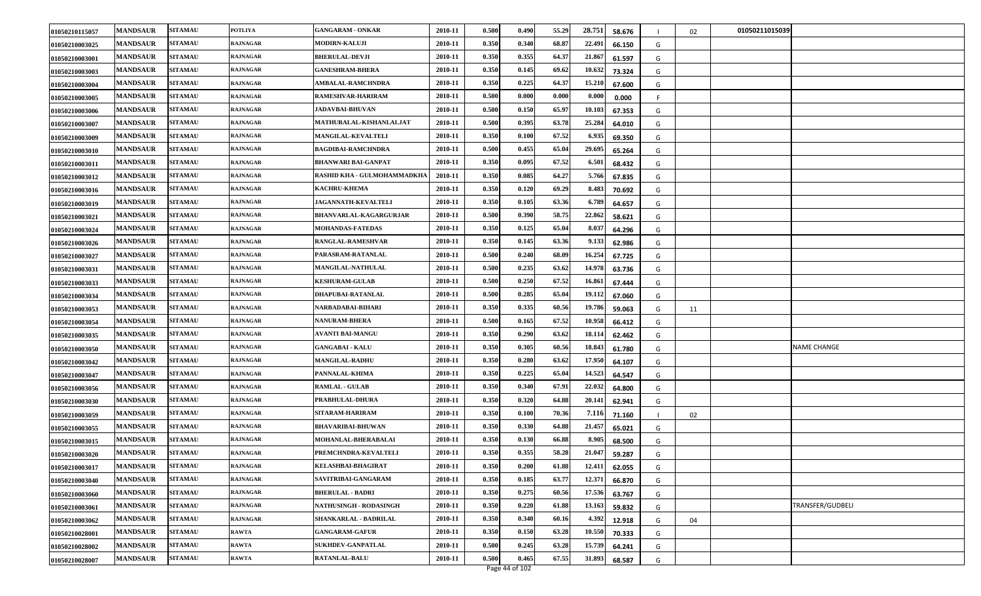| 01050210115057 | <b>MANDSAUR</b> | <b>SITAMAU</b> | <b>POTLIYA</b>  | <b>GANGARAM - ONKAR</b>       | 2010-11 | 0.500 | 0.490 | 55.29 | 28.751<br>58.676 |    | 02 | 01050211015039   |
|----------------|-----------------|----------------|-----------------|-------------------------------|---------|-------|-------|-------|------------------|----|----|------------------|
| 01050210003025 | <b>MANDSAUR</b> | <b>SITAMAU</b> | <b>RAJNAGAR</b> | <b>MODIRN-KALUJI</b>          | 2010-11 | 0.350 | 0.340 | 68.87 | 22.491<br>66.150 | G  |    |                  |
| 01050210003001 | <b>MANDSAUR</b> | <b>SITAMAU</b> | <b>RAJNAGAR</b> | <b>BHERULAL-DEVJI</b>         | 2010-11 | 0.350 | 0.355 | 64.37 | 21.867<br>61.597 | G  |    |                  |
| 01050210003003 | <b>MANDSAUR</b> | <b>SITAMAU</b> | RAJNAGAR        | <b>GANESHRAM-BHERA</b>        | 2010-11 | 0.350 | 0.145 | 69.62 | 10.632<br>73.324 | G  |    |                  |
| 01050210003004 | <b>MANDSAUR</b> | <b>SITAMAU</b> | RAJNAGAR        | <b>AMBALAL-RAMCHNDRA</b>      | 2010-11 | 0.350 | 0.225 | 64.37 | 15.210<br>67.600 | G  |    |                  |
| 01050210003005 | <b>MANDSAUR</b> | <b>SITAMAU</b> | RAJNAGAR        | RAMESHVAR-HARIRAM             | 2010-11 | 0.500 | 0.000 | 0.000 | 0.000<br>0.000   | -F |    |                  |
| 01050210003006 | <b>MANDSAUR</b> | <b>SITAMAU</b> | <b>RAJNAGAR</b> | <b>JADAVBAI-BHUVAN</b>        | 2010-11 | 0.500 | 0.150 | 65.97 | 10.103<br>67.353 | G  |    |                  |
| 01050210003007 | <b>MANDSAUR</b> | <b>SITAMAU</b> | RAJNAGAR        | MATHURALAL-KISHANLALJAT       | 2010-11 | 0.500 | 0.395 | 63.78 | 25.284<br>64.010 | G  |    |                  |
| 01050210003009 | <b>MANDSAUR</b> | <b>SITAMAU</b> | RAJNAGAR        | <b>MANGILAL-KEVALTELI</b>     | 2010-11 | 0.350 | 0.100 | 67.52 | 6.935<br>69.350  | G  |    |                  |
| 01050210003010 | <b>MANDSAUR</b> | <b>SITAMAU</b> | RAJNAGAR        | <b>BAGDIBAI-RAMCHNDRA</b>     | 2010-11 | 0.500 | 0.455 | 65.04 | 29.695<br>65.264 | G  |    |                  |
| 01050210003011 | <b>MANDSAUR</b> | <b>SITAMAU</b> | <b>RAJNAGAR</b> | <b>BHANWARI BAI-GANPAT</b>    | 2010-11 | 0.350 | 0.095 | 67.52 | 6.501<br>68.432  | G  |    |                  |
| 01050210003012 | <b>MANDSAUR</b> | <b>SITAMAU</b> | RAJNAGAR        | RASHID KHA - GULMOHAMMADKHA   | 2010-11 | 0.350 | 0.085 | 64.27 | 5.766<br>67.835  | G  |    |                  |
| 01050210003016 | <b>MANDSAUR</b> | <b>SITAMAU</b> | RAJNAGAR        | <b>KACHRU-KHEMA</b>           | 2010-11 | 0.350 | 0.120 | 69.29 | 8.483<br>70.692  | G  |    |                  |
| 01050210003019 | <b>MANDSAUR</b> | <b>SITAMAU</b> | RAJNAGAR        | <b>JAGANNATH-KEVALTELI</b>    | 2010-11 | 0.350 | 0.105 | 63.36 | 6.789<br>64.657  | G  |    |                  |
| 01050210003021 | <b>MANDSAUR</b> | <b>SITAMAU</b> | <b>RAJNAGAR</b> | <b>BHANVARLAL-KAGARGURJAR</b> | 2010-11 | 0.500 | 0.390 | 58.75 | 22.862<br>58.621 | G  |    |                  |
| 01050210003024 | <b>MANDSAUR</b> | <b>SITAMAU</b> | RAJNAGAR        | <b>MOHANDAS-FATEDAS</b>       | 2010-11 | 0.350 | 0.125 | 65.04 | 8.037<br>64.296  | G  |    |                  |
| 01050210003026 | <b>MANDSAUR</b> | <b>SITAMAU</b> | RAJNAGAR        | RANGLAL-RAMESHVAR             | 2010-11 | 0.350 | 0.145 | 63.36 | 9.133<br>62.986  | G  |    |                  |
| 01050210003027 | <b>MANDSAUR</b> | <b>SITAMAU</b> | RAJNAGAR        | PARASRAM-RATANLAL             | 2010-11 | 0.500 | 0.240 | 68.09 | 16.254<br>67.725 | G  |    |                  |
| 01050210003031 | <b>MANDSAUR</b> | <b>SITAMAU</b> | <b>RAJNAGAR</b> | <b>MANGILAL-NATHULAL</b>      | 2010-11 | 0.500 | 0.235 | 63.62 | 14.978<br>63.736 | G  |    |                  |
| 01050210003033 | <b>MANDSAUR</b> | <b>SITAMAU</b> | RAJNAGAR        | <b>KESHURAM-GULAB</b>         | 2010-11 | 0.500 | 0.250 | 67.52 | 16.861<br>67.444 | G  |    |                  |
| 01050210003034 | <b>MANDSAUR</b> | <b>SITAMAU</b> | RAJNAGAR        | DHAPUBAI-RATANLAL             | 2010-11 | 0.500 | 0.285 | 65.04 | 19.112<br>67.060 | G  |    |                  |
| 01050210003053 | <b>MANDSAUR</b> | <b>SITAMAU</b> | <b>RAJNAGAR</b> | NARBADABAI-BIHARI             | 2010-11 | 0.350 | 0.335 | 60.56 | 19.786<br>59.063 | G  | 11 |                  |
| 01050210003054 | <b>MANDSAUR</b> | <b>SITAMAU</b> | RAJNAGAR        | <b>NANURAM-BHERA</b>          | 2010-11 | 0.500 | 0.165 | 67.52 | 10.958<br>66.412 | G  |    |                  |
| 01050210003035 | <b>MANDSAUR</b> | <b>SITAMAU</b> | RAJNAGAR        | <b>AVANTI BAI-MANGU</b>       | 2010-11 | 0.350 | 0.290 | 63.62 | 18.114<br>62.462 | G  |    |                  |
| 01050210003050 | <b>MANDSAUR</b> | <b>SITAMAU</b> | RAJNAGAR        | <b>GANGABAI - KALU</b>        | 2010-11 | 0.350 | 0.305 | 60.56 | 18.843<br>61.780 | G  |    | NAME CHANGE      |
| 01050210003042 | <b>MANDSAUR</b> | <b>SITAMAU</b> | <b>RAJNAGAR</b> | <b>MANGILAL-RADHU</b>         | 2010-11 | 0.350 | 0.280 | 63.62 | 17.950<br>64.107 | G  |    |                  |
| 01050210003047 | <b>MANDSAUR</b> | <b>SITAMAU</b> | RAJNAGAR        | PANNALAL-KHIMA                | 2010-11 | 0.350 | 0.225 | 65.04 | 14.523<br>64.547 | G  |    |                  |
| 01050210003056 | <b>MANDSAUR</b> | <b>SITAMAU</b> | RAJNAGAR        | <b>RAMLAL - GULAB</b>         | 2010-11 | 0.350 | 0.340 | 67.91 | 22.032<br>64.800 | G  |    |                  |
| 01050210003030 | <b>MANDSAUR</b> | <b>SITAMAU</b> | RAJNAGAR        | PRABHULAL-DHURA               | 2010-11 | 0.350 | 0.320 | 64.88 | 20.141<br>62.941 | G  |    |                  |
| 01050210003059 | <b>MANDSAUR</b> | <b>SITAMAU</b> | <b>RAJNAGAR</b> | SITARAM-HARIRAM               | 2010-11 | 0.350 | 0.100 | 70.36 | 7.116<br>71.160  |    | 02 |                  |
| 01050210003055 | <b>MANDSAUR</b> | <b>SITAMAU</b> | RAJNAGAR        | <b>BHAVARIBAI-BHUWAN</b>      | 2010-11 | 0.350 | 0.330 | 64.88 | 21.457<br>65.021 | G  |    |                  |
| 01050210003015 | <b>MANDSAUR</b> | <b>SITAMAU</b> | RAJNAGAR        | MOHANLAL-BHERABALAI           | 2010-11 | 0.350 | 0.130 | 66.88 | 8.905<br>68.500  | G  |    |                  |
| 01050210003020 | <b>MANDSAUR</b> | <b>SITAMAU</b> | RAJNAGAR        | PREMCHNDRA-KEVALTELI          | 2010-11 | 0.350 | 0.355 | 58.28 | 21.047<br>59.287 | G  |    |                  |
| 01050210003017 | <b>MANDSAUR</b> | <b>SITAMAU</b> | <b>RAJNAGAR</b> | <b>KELASHBAI-BHAGIRAT</b>     | 2010-11 | 0.350 | 0.200 | 61.88 | 12.411<br>62.055 | G  |    |                  |
| 01050210003040 | <b>MANDSAUR</b> | <b>SITAMAU</b> | RAJNAGAR        | SAVITRIBAI-GANGARAM           | 2010-11 | 0.350 | 0.185 | 63.77 | 12.371<br>66.870 | G  |    |                  |
| 01050210003060 | <b>MANDSAUR</b> | <b>SITAMAU</b> | <b>RAJNAGAR</b> | <b>BHERULAL - BADRI</b>       | 2010-11 | 0.350 | 0.275 | 60.56 | 17.536<br>63.767 | G  |    |                  |
| 01050210003061 | <b>MANDSAUR</b> | <b>SITAMAU</b> | <b>RAJNAGAR</b> | <b>NATHUSINGH - RODASINGH</b> | 2010-11 | 0.350 | 0.220 | 61.88 | 13.163<br>59.832 | G  |    | TRANSFER/GUDBELI |
| 01050210003062 | <b>MANDSAUR</b> | <b>SITAMAU</b> | <b>RAJNAGAR</b> | SHANKARLAL - BADRILAL         | 2010-11 | 0.350 | 0.340 | 60.16 | 4.392<br>12.918  | G  | 04 |                  |
| 01050210028001 | <b>MANDSAUR</b> | <b>SITAMAU</b> | RAWTA           | <b>GANGARAM-GAFUR</b>         | 2010-11 | 0.350 | 0.150 | 63.28 | 10.550<br>70.333 | G  |    |                  |
| 01050210028002 | <b>MANDSAUR</b> | <b>SITAMAU</b> | <b>RAWTA</b>    | <b>SUKHDEV-GANPATLAL</b>      | 2010-11 | 0.500 | 0.245 | 63.28 | 15.739<br>64.241 | G  |    |                  |
| 01050210028007 | <b>MANDSAUR</b> | <b>SITAMAU</b> | <b>RAWTA</b>    | <b>RATANLAL-BALU</b>          | 2010-11 | 0.500 | 0.465 | 67.55 | 31.893<br>68.587 | G  |    |                  |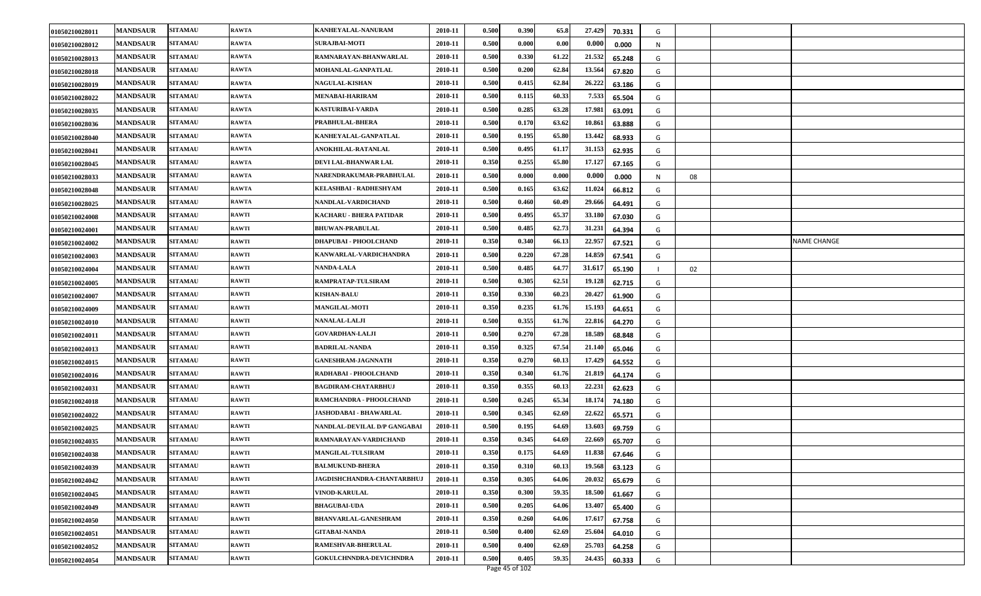| 01050210028011 | <b>MANDSAUR</b> | <b>SITAMAU</b> | <b>RAWTA</b> | KANHEYALAL-NANURAM             | 2010-11 | 0.500 | 0.390 | 65.8  | 27.429 | 70.331 | G |    |                    |
|----------------|-----------------|----------------|--------------|--------------------------------|---------|-------|-------|-------|--------|--------|---|----|--------------------|
| 01050210028012 | <b>MANDSAUR</b> | <b>SITAMAU</b> | RAWTA        | <b>SURAJBAI-MOTI</b>           | 2010-11 | 0.500 | 0.000 | 0.00  | 0.000  | 0.000  | N |    |                    |
| 01050210028013 | <b>MANDSAUR</b> | <b>SITAMAU</b> | <b>RAWTA</b> | RAMNARAYAN-BHANWARLAL          | 2010-11 | 0.500 | 0.330 | 61.22 | 21.532 | 65.248 | G |    |                    |
| 01050210028018 | <b>MANDSAUR</b> | <b>SITAMAU</b> | <b>RAWTA</b> | MOHANLAL-GANPATLAL             | 2010-11 | 0.500 | 0.200 | 62.84 | 13.564 | 67.820 | G |    |                    |
| 01050210028019 | <b>MANDSAUR</b> | <b>SITAMAU</b> | <b>RAWTA</b> | <b>NAGULAL-KISHAN</b>          | 2010-11 | 0.500 | 0.415 | 62.84 | 26.222 | 63.186 | G |    |                    |
| 01050210028022 | <b>MANDSAUR</b> | <b>SITAMAU</b> | <b>RAWTA</b> | <b>MENABAI-HARIRAM</b>         | 2010-11 | 0.500 | 0.115 | 60.33 | 7.533  | 65.504 | G |    |                    |
| 01050210028035 | <b>MANDSAUR</b> | <b>SITAMAU</b> | <b>RAWTA</b> | KASTURIBAI-VARDA               | 2010-11 | 0.500 | 0.285 | 63.28 | 17.981 | 63.091 | G |    |                    |
| 01050210028036 | <b>MANDSAUR</b> | <b>SITAMAU</b> | <b>RAWTA</b> | PRABHULAL-BHERA                | 2010-11 | 0.500 | 0.170 | 63.62 | 10.86  | 63.888 | G |    |                    |
| 01050210028040 | <b>MANDSAUR</b> | <b>SITAMAU</b> | <b>RAWTA</b> | KANHEYALAL-GANPATLAL           | 2010-11 | 0.500 | 0.195 | 65.80 | 13.442 | 68.933 | G |    |                    |
| 01050210028041 | <b>MANDSAUR</b> | <b>SITAMAU</b> | <b>RAWTA</b> | <b>ANOKHILAL-RATANLAL</b>      | 2010-11 | 0.500 | 0.495 | 61.17 | 31.153 | 62.935 | G |    |                    |
| 01050210028045 | <b>MANDSAUR</b> | <b>SITAMAU</b> | <b>RAWTA</b> | DEVI LAL-BHANWAR LAL           | 2010-11 | 0.350 | 0.255 | 65.80 | 17.127 | 67.165 | G |    |                    |
| 01050210028033 | <b>MANDSAUR</b> | <b>SITAMAU</b> | <b>RAWTA</b> | NARENDRAKUMAR-PRABHULAL        | 2010-11 | 0.500 | 0.000 | 0.000 | 0.000  | 0.000  | N | 08 |                    |
| 01050210028048 | <b>MANDSAUR</b> | <b>SITAMAU</b> | <b>RAWTA</b> | KELASHBAI - RADHESHYAM         | 2010-11 | 0.500 | 0.165 | 63.62 | 11.02  | 66.812 | G |    |                    |
| 01050210028025 | <b>MANDSAUR</b> | <b>SITAMAU</b> | <b>RAWTA</b> | NANDLAL-VARDICHAND             | 2010-11 | 0.500 | 0.460 | 60.49 | 29.666 | 64.491 | G |    |                    |
| 01050210024008 | <b>MANDSAUR</b> | <b>SITAMAU</b> | <b>RAWTI</b> | <b>KACHARU - BHERA PATIDAR</b> | 2010-11 | 0.500 | 0.495 | 65.37 | 33.180 | 67.030 | G |    |                    |
| 01050210024001 | <b>MANDSAUR</b> | <b>SITAMAU</b> | <b>RAWTI</b> | <b>BHUWAN-PRABULAL</b>         | 2010-11 | 0.500 | 0.485 | 62.73 | 31.231 | 64.394 | G |    |                    |
| 01050210024002 | <b>MANDSAUR</b> | <b>SITAMAU</b> | <b>RAWTI</b> | DHAPUBAI - PHOOLCHAND          | 2010-11 | 0.350 | 0.340 | 66.13 | 22.957 | 67.521 | G |    | <b>NAME CHANGE</b> |
| 01050210024003 | <b>MANDSAUR</b> | <b>SITAMAU</b> | <b>RAWTI</b> | KANWARLAL-VARDICHANDRA         | 2010-11 | 0.500 | 0.220 | 67.28 | 14.859 | 67.541 | G |    |                    |
| 01050210024004 | <b>MANDSAUR</b> | <b>SITAMAU</b> | <b>RAWTI</b> | <b>NANDA-LALA</b>              | 2010-11 | 0.500 | 0.485 | 64.77 | 31.61  | 65.190 |   | 02 |                    |
| 01050210024005 | <b>MANDSAUR</b> | <b>SITAMAU</b> | <b>RAWTI</b> | RAMPRATAP-TULSIRAM             | 2010-11 | 0.500 | 0.305 | 62.51 | 19.12  | 62.715 | G |    |                    |
| 01050210024007 | <b>MANDSAUR</b> | <b>SITAMAU</b> | <b>RAWTI</b> | <b>KISHAN-BALU</b>             | 2010-11 | 0.350 | 0.330 | 60.23 | 20.427 | 61.900 | G |    |                    |
| 01050210024009 | <b>MANDSAUR</b> | <b>SITAMAU</b> | <b>RAWTI</b> | <b>MANGILAL-MOTI</b>           | 2010-11 | 0.350 | 0.235 | 61.76 | 15.193 | 64.651 | G |    |                    |
| 01050210024010 | <b>MANDSAUR</b> | <b>SITAMAU</b> | <b>RAWTI</b> | NANALAL-LALJI                  | 2010-11 | 0.500 | 0.355 | 61.76 | 22.816 | 64.270 | G |    |                    |
| 01050210024011 | <b>MANDSAUR</b> | <b>SITAMAU</b> | <b>RAWTI</b> | <b>GOVARDHAN-LALJI</b>         | 2010-11 | 0.500 | 0.270 | 67.28 | 18.589 | 68.848 | G |    |                    |
| 01050210024013 | <b>MANDSAUR</b> | <b>SITAMAU</b> | <b>RAWTI</b> | <b>BADRILAL-NANDA</b>          | 2010-11 | 0.350 | 0.325 | 67.54 | 21.140 | 65.046 | G |    |                    |
| 01050210024015 | <b>MANDSAUR</b> | <b>SITAMAU</b> | <b>RAWTI</b> | <b>GANESHRAM-JAGNNATH</b>      | 2010-11 | 0.350 | 0.270 | 60.13 | 17.429 | 64.552 | G |    |                    |
| 01050210024016 | <b>MANDSAUR</b> | <b>SITAMAU</b> | <b>RAWTI</b> | RADHABAI - PHOOLCHAND          | 2010-11 | 0.350 | 0.340 | 61.76 | 21.819 | 64.174 | G |    |                    |
| 01050210024031 | <b>MANDSAUR</b> | <b>SITAMAU</b> | <b>RAWTI</b> | <b>BAGDIRAM-CHATARBHUJ</b>     | 2010-11 | 0.350 | 0.355 | 60.13 | 22.231 | 62.623 | G |    |                    |
| 01050210024018 | <b>MANDSAUR</b> | <b>SITAMAU</b> | <b>RAWTI</b> | RAMCHANDRA - PHOOLCHAND        | 2010-11 | 0.500 | 0.245 | 65.34 | 18.174 | 74.180 | G |    |                    |
| 01050210024022 | <b>MANDSAUR</b> | <b>SITAMAU</b> | <b>RAWTI</b> | <b>JASHODABAI - BHAWARLAL</b>  | 2010-11 | 0.500 | 0.345 | 62.69 | 22.622 | 65.571 | G |    |                    |
| 01050210024025 | <b>MANDSAUR</b> | <b>SITAMAU</b> | <b>RAWTI</b> | NANDLAL-DEVILAL D/P GANGABAI   | 2010-11 | 0.500 | 0.195 | 64.69 | 13.603 | 69.759 | G |    |                    |
| 01050210024035 | <b>MANDSAUR</b> | <b>SITAMAU</b> | <b>RAWTI</b> | RAMNARAYAN-VARDICHAND          | 2010-11 | 0.350 | 0.345 | 64.69 | 22.66  | 65.707 | G |    |                    |
| 01050210024038 | <b>MANDSAUR</b> | <b>SITAMAU</b> | <b>RAWTI</b> | <b>MANGILAL-TULSIRAM</b>       | 2010-11 | 0.350 | 0.175 | 64.69 | 11.838 | 67.646 | G |    |                    |
| 01050210024039 | <b>MANDSAUR</b> | <b>SITAMAU</b> | <b>RAWTI</b> | <b>BALMUKUND-BHERA</b>         | 2010-11 | 0.350 | 0.310 | 60.13 | 19.568 | 63.123 | G |    |                    |
| 01050210024042 | <b>MANDSAUR</b> | <b>SITAMAU</b> | <b>RAWTI</b> | JAGDISHCHANDRA-CHANTARBHUJ     | 2010-11 | 0.350 | 0.305 | 64.06 | 20.032 | 65.679 | G |    |                    |
| 01050210024045 | <b>MANDSAUR</b> | <b>SITAMAU</b> | <b>RAWTI</b> | VINOD-KARULAL                  | 2010-11 | 0.350 | 0.300 | 59.35 | 18.50  | 61.667 | G |    |                    |
| 01050210024049 | <b>MANDSAUR</b> | <b>SITAMAU</b> | <b>RAWTI</b> | <b>BHAGUBAI-UDA</b>            | 2010-11 | 0.500 | 0.205 | 64.06 | 13.407 | 65.400 | G |    |                    |
| 01050210024050 | <b>MANDSAUR</b> | <b>SITAMAU</b> | <b>RAWTI</b> | <b>BHANVARLAL-GANESHRAM</b>    | 2010-11 | 0.350 | 0.260 | 64.06 | 17.617 | 67.758 | G |    |                    |
| 01050210024051 | <b>MANDSAUR</b> | <b>SITAMAU</b> | <b>RAWTI</b> | <b>GITABAI-NANDA</b>           | 2010-11 | 0.500 | 0.400 | 62.69 | 25.604 | 64.010 | G |    |                    |
| 01050210024052 | <b>MANDSAUR</b> | <b>SITAMAU</b> | <b>RAWTI</b> | RAMESHVAR-BHERULAL             | 2010-11 | 0.500 | 0.400 | 62.69 | 25.70  | 64.258 | G |    |                    |
| 01050210024054 | <b>MANDSAUR</b> | <b>SITAMAU</b> | <b>RAWTI</b> | GOKULCHNNDRA-DEVICHNDRA        | 2010-11 | 0.500 | 0.405 | 59.35 | 24.435 | 60.333 | G |    |                    |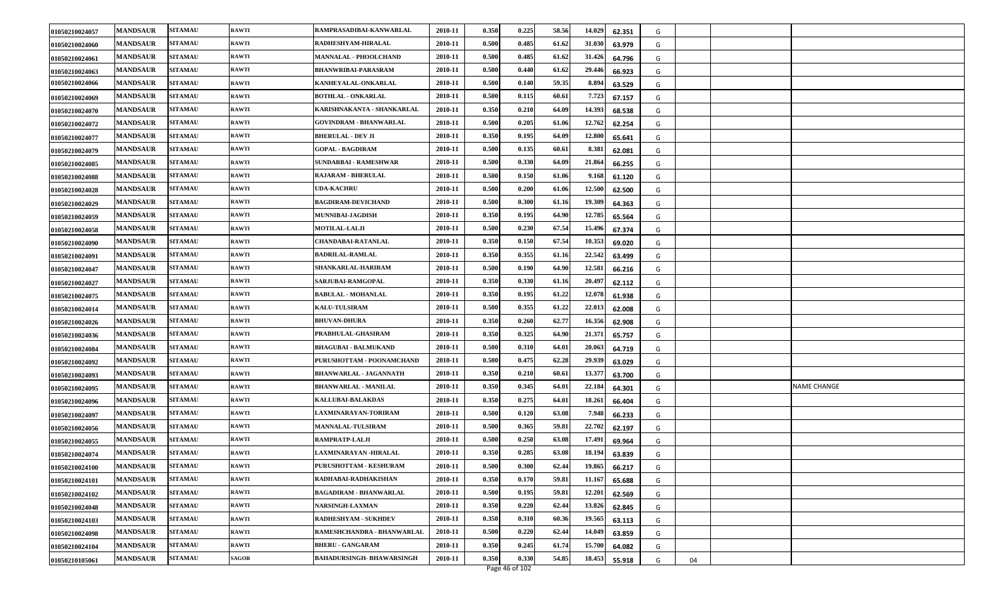| 01050210024057 | <b>MANDSAUR</b> | <b>SITAMAU</b> | <b>RAWTI</b> | RAMPRASADIBAI-KANWARLAL         | 2010-11 | 0.350 | 0.225 | 58.56 | 14.029<br>62.351 | G |    |             |
|----------------|-----------------|----------------|--------------|---------------------------------|---------|-------|-------|-------|------------------|---|----|-------------|
| 01050210024060 | <b>MANDSAUR</b> | <b>SITAMAU</b> | <b>RAWTI</b> | RADHESHYAM-HIRALAL              | 2010-11 | 0.500 | 0.485 | 61.62 | 31.030<br>63.979 | G |    |             |
| 01050210024061 | <b>MANDSAUR</b> | <b>SITAMAU</b> | <b>RAWTI</b> | MANNALAL - PHOOLCHAND           | 2010-11 | 0.500 | 0.485 | 61.62 | 31.426<br>64.796 | G |    |             |
| 01050210024063 | <b>MANDSAUR</b> | <b>SITAMAU</b> | <b>RAWTI</b> | <b>BHANWRIBAI-PARASRAM</b>      | 2010-11 | 0.500 | 0.440 | 61.62 | 29.446<br>66.923 | G |    |             |
| 01050210024066 | <b>MANDSAUR</b> | <b>SITAMAU</b> | <b>RAWTI</b> | KANHEYALAL-ONKARLAL             | 2010-11 | 0.500 | 0.140 | 59.35 | 8.894<br>63.529  | G |    |             |
| 01050210024069 | <b>MANDSAUR</b> | <b>SITAMAU</b> | <b>RAWTI</b> | <b>BOTHLAL - ONKARLAL</b>       | 2010-11 | 0.500 | 0.115 | 60.61 | 7.723<br>67.157  | G |    |             |
| 01050210024070 | <b>MANDSAUR</b> | <b>SITAMAU</b> | <b>RAWTI</b> | KARISHNAKANTA - SHANKARLAL      | 2010-11 | 0.350 | 0.210 | 64.09 | 14.393<br>68.538 | G |    |             |
| 01050210024072 | <b>MANDSAUR</b> | <b>SITAMAU</b> | <b>RAWTI</b> | GOVINDRAM - BHANWARLAL          | 2010-11 | 0.500 | 0.205 | 61.06 | 12.762<br>62.254 | G |    |             |
| 01050210024077 | <b>MANDSAUR</b> | <b>SITAMAU</b> | <b>RAWTI</b> | <b>BHERULAL - DEV JI</b>        | 2010-11 | 0.350 | 0.195 | 64.09 | 12.800<br>65.641 | G |    |             |
| 01050210024079 | <b>MANDSAUR</b> | <b>SITAMAU</b> | <b>RAWTI</b> | <b>GOPAL - BAGDIRAM</b>         | 2010-11 | 0.500 | 0.135 | 60.61 | 8.381<br>62.081  | G |    |             |
| 01050210024085 | <b>MANDSAUR</b> | <b>SITAMAU</b> | <b>RAWTI</b> | SUNDARBAI - RAMESHWAR           | 2010-11 | 0.500 | 0.330 | 64.09 | 21.864<br>66.255 | G |    |             |
| 01050210024088 | <b>MANDSAUR</b> | <b>SITAMAU</b> | <b>RAWTI</b> | <b>RAJARAM - BHERULAL</b>       | 2010-11 | 0.500 | 0.150 | 61.06 | 9.168<br>61.120  | G |    |             |
| 01050210024028 | <b>MANDSAUR</b> | <b>SITAMAU</b> | <b>RAWTI</b> | <b>UDA-KACHRU</b>               | 2010-11 | 0.500 | 0.200 | 61.06 | 12.500<br>62.500 | G |    |             |
| 01050210024029 | <b>MANDSAUR</b> | <b>SITAMAU</b> | <b>RAWTI</b> | <b>BAGDIRAM-DEVICHAND</b>       | 2010-11 | 0.500 | 0.300 | 61.16 | 19.309<br>64.363 | G |    |             |
| 01050210024059 | <b>MANDSAUR</b> | <b>SITAMAU</b> | <b>RAWTI</b> | MUNNIBAI-JAGDISH                | 2010-11 | 0.350 | 0.195 | 64.90 | 12.785<br>65.564 | G |    |             |
| 01050210024058 | <b>MANDSAUR</b> | <b>SITAMAU</b> | <b>RAWTI</b> | <b>MOTILAL-LALJI</b>            | 2010-11 | 0.500 | 0.230 | 67.54 | 15.496<br>67.374 | G |    |             |
| 01050210024090 | <b>MANDSAUR</b> | <b>SITAMAU</b> | <b>RAWTI</b> | CHANDABAI-RATANLAL              | 2010-11 | 0.350 | 0.150 | 67.54 | 10.353<br>69.020 | G |    |             |
| 01050210024091 | <b>MANDSAUR</b> | <b>SITAMAU</b> | <b>RAWTI</b> | <b>BADRILAL-RAMLAL</b>          | 2010-11 | 0.350 | 0.355 | 61.16 | 22.542<br>63.499 | G |    |             |
| 01050210024047 | <b>MANDSAUR</b> | <b>SITAMAU</b> | <b>RAWTI</b> | SHANKARLAL-HARIRAM              | 2010-11 | 0.500 | 0.190 | 64.90 | 12.581<br>66.216 | G |    |             |
| 01050210024027 | <b>MANDSAUR</b> | <b>SITAMAU</b> | <b>RAWTI</b> | SARJUBAI-RAMGOPAL               | 2010-11 | 0.350 | 0.330 | 61.16 | 20.497<br>62.112 | G |    |             |
| 01050210024075 | <b>MANDSAUR</b> | <b>SITAMAU</b> | <b>RAWTI</b> | <b>BABULAL - MOHANLAL</b>       | 2010-11 | 0.350 | 0.195 | 61.22 | 12.078<br>61.938 | G |    |             |
| 01050210024014 | <b>MANDSAUR</b> | <b>SITAMAU</b> | <b>RAWTI</b> | <b>KALU-TULSIRAM</b>            | 2010-11 | 0.500 | 0.355 | 61.22 | 22.013<br>62.008 | G |    |             |
| 01050210024026 | <b>MANDSAUR</b> | <b>SITAMAU</b> | <b>RAWTI</b> | <b>BHUVAN-DHURA</b>             | 2010-11 | 0.350 | 0.260 | 62.77 | 16.356<br>62.908 | G |    |             |
| 01050210024036 | <b>MANDSAUR</b> | <b>SITAMAU</b> | <b>RAWTI</b> | PRABHULAL-GHASIRAM              | 2010-11 | 0.350 | 0.325 | 64.90 | 21.371<br>65.757 | G |    |             |
| 01050210024084 | <b>MANDSAUR</b> | <b>SITAMAU</b> | <b>RAWTI</b> | <b>BHAGUBAI - BALMUKAND</b>     | 2010-11 | 0.500 | 0.310 | 64.01 | 20.063<br>64.719 | G |    |             |
| 01050210024092 | <b>MANDSAUR</b> | <b>SITAMAU</b> | <b>RAWTI</b> | PURUSHOTTAM - POONAMCHAND       | 2010-11 | 0.500 | 0.475 | 62.28 | 29.939<br>63.029 | G |    |             |
| 01050210024093 | <b>MANDSAUR</b> | <b>SITAMAU</b> | <b>RAWTI</b> | <b>BHANWARLAL - JAGANNATH</b>   | 2010-11 | 0.350 | 0.210 | 60.61 | 13.377<br>63.700 | G |    |             |
| 01050210024095 | <b>MANDSAUR</b> | <b>SITAMAU</b> | <b>RAWTI</b> | <b>BHANWARLAL - MANILAL</b>     | 2010-11 | 0.350 | 0.345 | 64.01 | 22.184<br>64.301 | G |    | NAME CHANGE |
| 01050210024096 | <b>MANDSAUR</b> | <b>SITAMAU</b> | <b>RAWTI</b> | <b>KALLUBAI-BALAKDAS</b>        | 2010-11 | 0.350 | 0.275 | 64.01 | 18.261<br>66.404 | G |    |             |
| 01050210024097 | <b>MANDSAUR</b> | <b>SITAMAU</b> | <b>RAWTI</b> | LAXMINARAYAN-TORIRAM            | 2010-11 | 0.500 | 0.120 | 63.08 | 7.948<br>66.233  | G |    |             |
| 01050210024056 | <b>MANDSAUR</b> | <b>SITAMAU</b> | <b>RAWTI</b> | <b>MANNALAL-TULSIRAM</b>        | 2010-11 | 0.500 | 0.365 | 59.81 | 22.702<br>62.197 | G |    |             |
| 01050210024055 | <b>MANDSAUR</b> | <b>SITAMAU</b> | RAWTI        | <b>RAMPRATP-LALJI</b>           | 2010-11 | 0.500 | 0.250 | 63.08 | 17.49<br>69.964  | G |    |             |
| 01050210024074 | <b>MANDSAUR</b> | <b>SITAMAU</b> | <b>RAWTI</b> | LAXMINARAYAN -HIRALAL           | 2010-11 | 0.350 | 0.285 | 63.08 | 18.194<br>63.839 | G |    |             |
| 01050210024100 | <b>MANDSAUR</b> | <b>SITAMAU</b> | <b>RAWTI</b> | PURUSHOTTAM - KESHURAM          | 2010-11 | 0.500 | 0.300 | 62.44 | 19.865<br>66.217 | G |    |             |
| 01050210024101 | <b>MANDSAUR</b> | <b>SITAMAU</b> | <b>RAWTI</b> | RADHABAI-RADHAKISHAN            | 2010-11 | 0.350 | 0.170 | 59.81 | 11.167<br>65.688 | G |    |             |
| 01050210024102 | <b>MANDSAUR</b> | <b>SITAMAU</b> | <b>RAWTI</b> | <b>BAGADIRAM - BHANWARLAL</b>   | 2010-11 | 0.500 | 0.195 | 59.81 | 12.201<br>62.569 | G |    |             |
| 01050210024048 | <b>MANDSAUR</b> | <b>SITAMAU</b> | <b>RAWTI</b> | <b>NARSINGH-LAXMAN</b>          | 2010-11 | 0.350 | 0.220 | 62.44 | 13.826<br>62.845 | G |    |             |
| 01050210024103 | <b>MANDSAUR</b> | <b>SITAMAU</b> | <b>RAWTI</b> | RADHESHYAM - SUKHDEV            | 2010-11 | 0.350 | 0.310 | 60.36 | 19.565<br>63.113 | G |    |             |
| 01050210024098 | <b>MANDSAUR</b> | <b>SITAMAU</b> | <b>RAWTI</b> | RAMESHCHANDRA - BHANWARLAL      | 2010-11 | 0.500 | 0.220 | 62.44 | 14.049<br>63.859 | G |    |             |
| 01050210024104 | <b>MANDSAUR</b> | <b>SITAMAU</b> | <b>RAWTI</b> | <b>BHERU - GANGARAM</b>         | 2010-11 | 0.350 | 0.245 | 61.74 | 15.700<br>64.082 | G |    |             |
| 01050210105061 | <b>MANDSAUR</b> | <b>SITAMAU</b> | SAGOR        | <b>BAHADURSINGH-BHAWARSINGH</b> | 2010-11 | 0.350 | 0.330 | 54.85 | 18.453<br>55.918 | G | 04 |             |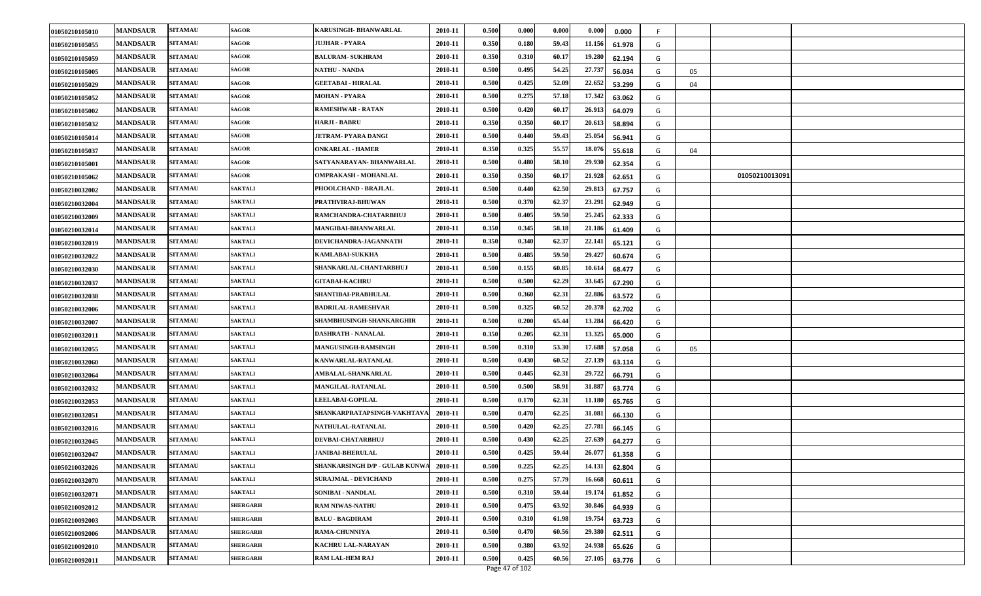| 01050210105010 | <b>MANDSAUR</b> | <b>SITAMAU</b> | <b>SAGOR</b>    | KARUSINGH- BHANWARLAL                 | 2010-11 | 0.500 | 0.000 | 0.000 | 0.000  | 0.000  |   |    |                |  |
|----------------|-----------------|----------------|-----------------|---------------------------------------|---------|-------|-------|-------|--------|--------|---|----|----------------|--|
| 01050210105055 | <b>MANDSAUR</b> | <b>SITAMAU</b> | SAGOR           | JUJHAR - PYARA                        | 2010-11 | 0.350 | 0.180 | 59.43 | 11.156 | 61.978 | G |    |                |  |
| 01050210105059 | <b>MANDSAUR</b> | <b>SITAMAU</b> | <b>SAGOR</b>    | <b>BALURAM- SUKHRAM</b>               | 2010-11 | 0.350 | 0.310 | 60.17 | 19.280 | 62.194 | G |    |                |  |
| 01050210105005 | <b>MANDSAUR</b> | <b>SITAMAU</b> | <b>SAGOR</b>    | <b>NATHU - NANDA</b>                  | 2010-11 | 0.500 | 0.495 | 54.25 | 27.737 | 56.034 | G | 05 |                |  |
| 01050210105029 | <b>MANDSAUR</b> | <b>SITAMAU</b> | SAGOR           | <b>GEETABAI - HIRALAL</b>             | 2010-11 | 0.500 | 0.425 | 52.09 | 22.652 | 53.299 | G | 04 |                |  |
| 01050210105052 | <b>MANDSAUR</b> | <b>SITAMAU</b> | <b>SAGOR</b>    | <b>MOHAN - PYARA</b>                  | 2010-11 | 0.500 | 0.275 | 57.18 | 17.342 | 63.062 | G |    |                |  |
| 01050210105002 | <b>MANDSAUR</b> | <b>SITAMAU</b> | <b>SAGOR</b>    | <b>RAMESHWAR - RATAN</b>              | 2010-11 | 0.500 | 0.420 | 60.17 | 26.913 | 64.079 | G |    |                |  |
| 01050210105032 | <b>MANDSAUR</b> | <b>SITAMAU</b> | SAGOR           | <b>HARJI - BABRU</b>                  | 2010-11 | 0.350 | 0.350 | 60.1  | 20.613 | 58.894 | G |    |                |  |
| 01050210105014 | <b>MANDSAUR</b> | <b>SITAMAU</b> | SAGOR           | JETRAM- PYARA DANGI                   | 2010-11 | 0.500 | 0.440 | 59.43 | 25.054 | 56.941 | G |    |                |  |
| 01050210105037 | <b>MANDSAUR</b> | <b>SITAMAU</b> | SAGOR           | <b>ONKARLAL - HAMER</b>               | 2010-11 | 0.350 | 0.325 | 55.57 | 18.076 | 55.618 | G | 04 |                |  |
| 01050210105001 | <b>MANDSAUR</b> | <b>SITAMAU</b> | <b>SAGOR</b>    | SATYANARAYAN- BHANWARLAL              | 2010-11 | 0.500 | 0.480 | 58.10 | 29.930 | 62.354 | G |    |                |  |
| 01050210105062 | <b>MANDSAUR</b> | <b>SITAMAU</b> | SAGOR           | <b>OMPRAKASH - MOHANLAL</b>           | 2010-11 | 0.350 | 0.350 | 60.17 | 21.928 | 62.651 | G |    | 01050210013091 |  |
| 01050210032002 | <b>MANDSAUR</b> | <b>SITAMAU</b> | <b>SAKTALI</b>  | PHOOLCHAND - BRAJLAL                  | 2010-11 | 0.500 | 0.440 | 62.50 | 29.813 | 67.757 | G |    |                |  |
| 01050210032004 | <b>MANDSAUR</b> | <b>SITAMAU</b> | <b>SAKTALI</b>  | PRATHVIRAJ-BHUWAN                     | 2010-11 | 0.500 | 0.370 | 62.37 | 23.291 | 62.949 | G |    |                |  |
| 01050210032009 | <b>MANDSAUR</b> | <b>SITAMAU</b> | <b>SAKTALI</b>  | RAMCHANDRA-CHATARBHUJ                 | 2010-11 | 0.500 | 0.405 | 59.50 | 25.245 | 62.333 | G |    |                |  |
| 01050210032014 | <b>MANDSAUR</b> | <b>SITAMAU</b> | <b>SAKTALI</b>  | MANGIBAI-BHANWARLAL                   | 2010-11 | 0.350 | 0.345 | 58.18 | 21.186 | 61.409 | G |    |                |  |
| 01050210032019 | <b>MANDSAUR</b> | <b>SITAMAU</b> | <b>SAKTALI</b>  | DEVICHANDRA-JAGANNATH                 | 2010-11 | 0.350 | 0.340 | 62.37 | 22.141 | 65.121 | G |    |                |  |
| 01050210032022 | <b>MANDSAUR</b> | <b>SITAMAU</b> | <b>SAKTALI</b>  | KAMLABAI-SUKKHA                       | 2010-11 | 0.500 | 0.485 | 59.50 | 29.427 | 60.674 | G |    |                |  |
| 01050210032030 | <b>MANDSAUR</b> | <b>SITAMAU</b> | <b>SAKTALI</b>  | SHANKARLAL-CHANTARBHUJ                | 2010-11 | 0.500 | 0.155 | 60.85 | 10.614 | 68.477 | G |    |                |  |
| 01050210032037 | <b>MANDSAUR</b> | <b>SITAMAU</b> | <b>SAKTALI</b>  | <b>GITABAI-KACHRU</b>                 | 2010-11 | 0.500 | 0.500 | 62.29 | 33.645 | 67.290 | G |    |                |  |
| 01050210032038 | <b>MANDSAUR</b> | <b>SITAMAU</b> | <b>SAKTALI</b>  | SHANTIBAI-PRABHULAL                   | 2010-11 | 0.500 | 0.360 | 62.31 | 22.886 | 63.572 | G |    |                |  |
| 01050210032006 | <b>MANDSAUR</b> | <b>SITAMAU</b> | <b>SAKTALI</b>  | <b>BADRILAL-RAMESHVAR</b>             | 2010-11 | 0.500 | 0.325 | 60.52 | 20.378 | 62.702 | G |    |                |  |
| 01050210032007 | <b>MANDSAUR</b> | <b>SITAMAU</b> | <b>SAKTALI</b>  | SHAMBHUSINGH-SHANKARGHIR              | 2010-11 | 0.500 | 0.200 | 65.44 | 13.284 | 66.420 | G |    |                |  |
| 01050210032011 | <b>MANDSAUR</b> | <b>SITAMAU</b> | <b>SAKTALI</b>  | DASHRATH - NANALAL                    | 2010-11 | 0.350 | 0.205 | 62.31 | 13.325 | 65.000 | G |    |                |  |
| 01050210032055 | <b>MANDSAUR</b> | <b>SITAMAU</b> | <b>SAKTALI</b>  | <b>MANGUSINGH-RAMSINGH</b>            | 2010-11 | 0.500 | 0.310 | 53.30 | 17.688 | 57.058 | G | 05 |                |  |
| 01050210032060 | <b>MANDSAUR</b> | <b>SITAMAU</b> | <b>SAKTALI</b>  | KANWARLAL-RATANLAL                    | 2010-11 | 0.500 | 0.430 | 60.52 | 27.139 | 63.114 | G |    |                |  |
| 01050210032064 | <b>MANDSAUR</b> | <b>SITAMAU</b> | <b>SAKTALI</b>  | AMBALAL-SHANKARLAL                    | 2010-11 | 0.500 | 0.445 | 62.31 | 29.722 | 66.791 | G |    |                |  |
| 01050210032032 | <b>MANDSAUR</b> | <b>SITAMAU</b> | <b>SAKTALI</b>  | <b>MANGILAL-RATANLAL</b>              | 2010-11 | 0.500 | 0.500 | 58.91 | 31.88  | 63.774 | G |    |                |  |
| 01050210032053 | <b>MANDSAUR</b> | <b>SITAMAU</b> | <b>SAKTALI</b>  | <b>LEELABAI-GOPILAL</b>               | 2010-11 | 0.500 | 0.170 | 62.31 | 11.18  | 65.765 | G |    |                |  |
| 01050210032051 | <b>MANDSAUR</b> | <b>SITAMAU</b> | <b>SAKTALI</b>  | SHANKARPRATAPSINGH-VAKHTAVA           | 2010-11 | 0.500 | 0.470 | 62.25 | 31.081 | 66.130 | G |    |                |  |
| 01050210032016 | <b>MANDSAUR</b> | <b>SITAMAU</b> | <b>SAKTALI</b>  | <b>NATHULAL-RATANLAL</b>              | 2010-11 | 0.500 | 0.420 | 62.25 | 27.781 | 66.145 | G |    |                |  |
| 01050210032045 | <b>MANDSAUR</b> | <b>SITAMAU</b> | <b>SAKTALI</b>  | DEVBAI-CHATARBHUJ                     | 2010-11 | 0.500 | 0.430 | 62.25 | 27.639 | 64.277 | G |    |                |  |
| 01050210032047 | <b>MANDSAUR</b> | <b>SITAMAU</b> | <b>SAKTALI</b>  | <b>JANIBAI-BHERULAL</b>               | 2010-11 | 0.500 | 0.425 | 59.44 | 26.077 | 61.358 | G |    |                |  |
| 01050210032026 | <b>MANDSAUR</b> | <b>SITAMAU</b> | <b>SAKTALI</b>  | <b>SHANKARSINGH D/P - GULAB KUNWA</b> | 2010-11 | 0.500 | 0.225 | 62.25 | 14.131 | 62.804 | G |    |                |  |
| 01050210032070 | <b>MANDSAUR</b> | <b>SITAMAU</b> | <b>SAKTALI</b>  | <b>SURAJMAL - DEVICHAND</b>           | 2010-11 | 0.500 | 0.275 | 57.79 | 16.668 | 60.611 | G |    |                |  |
| 01050210032071 | <b>MANDSAUR</b> | <b>SITAMAU</b> | <b>SAKTALI</b>  | SONIBAI - NANDLAL                     | 2010-11 | 0.500 | 0.310 | 59.44 | 19.174 | 61.852 | G |    |                |  |
| 01050210092012 | <b>MANDSAUR</b> | <b>SITAMAU</b> | <b>SHERGARH</b> | <b>RAM NIWAS-NATHU</b>                | 2010-11 | 0.500 | 0.475 | 63.92 | 30.846 | 64.939 | G |    |                |  |
| 01050210092003 | <b>MANDSAUR</b> | <b>SITAMAU</b> | <b>SHERGARH</b> | <b>BALU - BAGDIRAM</b>                | 2010-11 | 0.500 | 0.310 | 61.98 | 19.754 | 63.723 | G |    |                |  |
| 01050210092006 | <b>MANDSAUR</b> | <b>SITAMAU</b> | <b>SHERGARH</b> | RAMA-CHUNNIYA                         | 2010-11 | 0.500 | 0.470 | 60.56 | 29.380 | 62.511 | G |    |                |  |
| 01050210092010 | <b>MANDSAUR</b> | <b>SITAMAU</b> | <b>SHERGARH</b> | KACHRU LAL-NARAYAN                    | 2010-11 | 0.500 | 0.380 | 63.92 | 24.938 | 65.626 | G |    |                |  |
| 01050210092011 | <b>MANDSAUR</b> | <b>SITAMAU</b> | <b>SHERGARH</b> | RAM LAL-HEM RAJ                       | 2010-11 | 0.500 | 0.425 | 60.56 | 27.105 | 63.776 | G |    |                |  |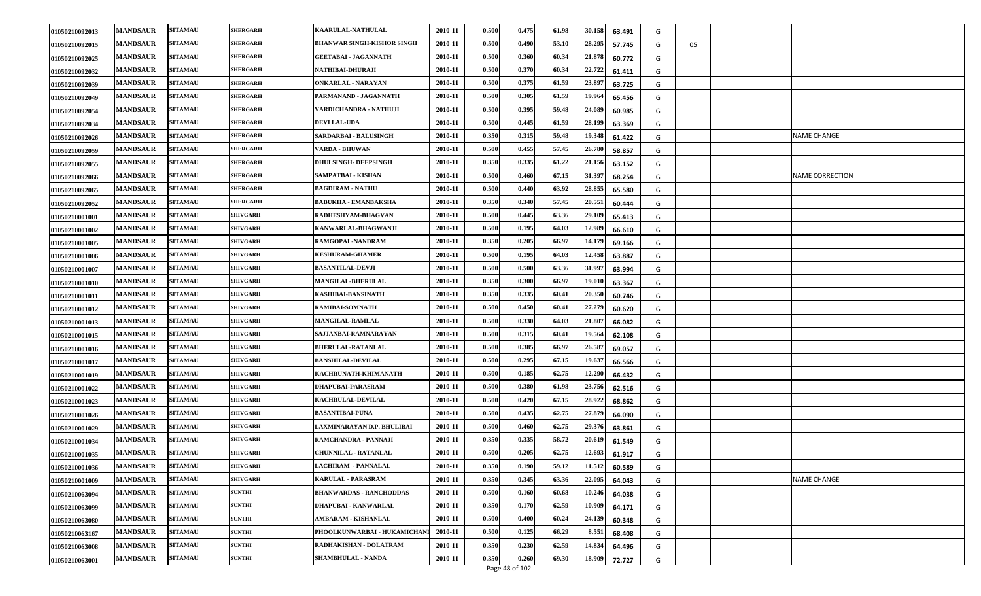|                |                 |                | <b>SHERGARH</b> |                                   |         |       |       |       |                  |   |    |                    |
|----------------|-----------------|----------------|-----------------|-----------------------------------|---------|-------|-------|-------|------------------|---|----|--------------------|
| 01050210092013 | <b>MANDSAUR</b> | <b>SITAMAU</b> |                 | KAARULAL-NATHULAL                 | 2010-11 | 0.500 | 0.475 | 61.98 | 30.158<br>63.491 | G |    |                    |
| 01050210092015 | <b>MANDSAUR</b> | <b>SITAMAU</b> | <b>SHERGARH</b> | <b>BHANWAR SINGH-KISHOR SINGH</b> | 2010-11 | 0.500 | 0.490 | 53.10 | 28.295<br>57.745 | G | 05 |                    |
| 01050210092025 | <b>MANDSAUR</b> | <b>SITAMAU</b> | <b>SHERGARH</b> | <b>GEETABAI - JAGANNATH</b>       | 2010-11 | 0.500 | 0.360 | 60.34 | 21.878<br>60.772 | G |    |                    |
| 01050210092032 | <b>MANDSAUR</b> | <b>SITAMAU</b> | <b>SHERGARH</b> | NATHIBAI-DHURAJI                  | 2010-11 | 0.500 | 0.370 | 60.34 | 22.722<br>61.411 | G |    |                    |
| 01050210092039 | <b>MANDSAUR</b> | <b>SITAMAU</b> | <b>SHERGARH</b> | <b>ONKARLAL - NARAYAN</b>         | 2010-11 | 0.500 | 0.375 | 61.59 | 23.89<br>63.725  | G |    |                    |
| 01050210092049 | <b>MANDSAUR</b> | <b>SITAMAU</b> | <b>SHERGARH</b> | PARMANAND - JAGANNATH             | 2010-11 | 0.500 | 0.305 | 61.59 | 19.964<br>65.456 | G |    |                    |
| 01050210092054 | <b>MANDSAUR</b> | <b>SITAMAU</b> | <b>SHERGARH</b> | VARDICHANDRA - NATHUJI            | 2010-11 | 0.500 | 0.395 | 59.48 | 24.089<br>60.985 | G |    |                    |
| 01050210092034 | <b>MANDSAUR</b> | <b>SITAMAU</b> | <b>SHERGARH</b> | <b>DEVI LAL-UDA</b>               | 2010-11 | 0.500 | 0.445 | 61.59 | 28.199<br>63.369 | G |    |                    |
| 01050210092026 | <b>MANDSAUR</b> | <b>SITAMAU</b> | <b>SHERGARH</b> | SARDARBAI - BALUSINGH             | 2010-11 | 0.350 | 0.315 | 59.48 | 19.348<br>61.422 | G |    | <b>NAME CHANGE</b> |
| 01050210092059 | <b>MANDSAUR</b> | <b>SITAMAU</b> | <b>SHERGARH</b> | VARDA - BHUWAN                    | 2010-11 | 0.500 | 0.455 | 57.45 | 26.780<br>58.857 | G |    |                    |
| 01050210092055 | <b>MANDSAUR</b> | <b>SITAMAU</b> | <b>SHERGARH</b> | <b>DHULSINGH- DEEPSINGH</b>       | 2010-11 | 0.350 | 0.335 | 61.22 | 21.156<br>63.152 | G |    |                    |
| 01050210092066 | <b>MANDSAUR</b> | <b>SITAMAU</b> | <b>HERGARH</b>  | SAMPATBAI - KISHAN                | 2010-11 | 0.500 | 0.460 | 67.15 | 31.397<br>68.254 | G |    | NAME CORRECTION    |
| 01050210092065 | <b>MANDSAUR</b> | <b>SITAMAU</b> | <b>SHERGARH</b> | <b>BAGDIRAM - NATHU</b>           | 2010-11 | 0.500 | 0.440 | 63.92 | 28.855<br>65.580 | G |    |                    |
| 01050210092052 | <b>MANDSAUR</b> | <b>SITAMAU</b> | <b>SHERGARH</b> | <b>BABUKHA - EMANBAKSHA</b>       | 2010-11 | 0.350 | 0.340 | 57.45 | 20.551<br>60.444 | G |    |                    |
| 01050210001001 | <b>MANDSAUR</b> | <b>SITAMAU</b> | <b>SHIVGARH</b> | RADHESHYAM-BHAGVAN                | 2010-11 | 0.500 | 0.445 | 63.36 | 29.109<br>65.413 | G |    |                    |
| 01050210001002 | <b>MANDSAUR</b> | <b>SITAMAU</b> | SHIVGARH        | KANWARLAL-BHAGWANJI               | 2010-11 | 0.500 | 0.195 | 64.03 | 12.989<br>66.610 | G |    |                    |
| 01050210001005 | <b>MANDSAUR</b> | <b>SITAMAU</b> | <b>SHIVGARH</b> | RAMGOPAL-NANDRAM                  | 2010-11 | 0.350 | 0.205 | 66.97 | 14.179<br>69.166 | G |    |                    |
| 01050210001006 | <b>MANDSAUR</b> | <b>SITAMAU</b> | <b>SHIVGARH</b> | <b>KESHURAM-GHAMER</b>            | 2010-11 | 0.500 | 0.195 | 64.03 | 12.458<br>63.887 | G |    |                    |
| 01050210001007 | <b>MANDSAUR</b> | <b>SITAMAU</b> | <b>SHIVGARH</b> | <b>BASANTILAL-DEVJI</b>           | 2010-11 | 0.500 | 0.500 | 63.36 | 31.997<br>63.994 | G |    |                    |
| 01050210001010 | <b>MANDSAUR</b> | <b>SITAMAU</b> | <b>SHIVGARH</b> | <b>MANGILAL-BHERULAL</b>          | 2010-11 | 0.350 | 0.300 | 66.97 | 19.01<br>63.367  | G |    |                    |
| 01050210001011 | <b>MANDSAUR</b> | <b>SITAMAU</b> | <b>SHIVGARH</b> | KASHIBAI-BANSINATH                | 2010-11 | 0.350 | 0.335 | 60.41 | 20.350<br>60.746 | G |    |                    |
| 01050210001012 | <b>MANDSAUR</b> | <b>SITAMAU</b> | <b>SHIVGARH</b> | <b>RAMIBAI-SOMNATH</b>            | 2010-11 | 0.500 | 0.450 | 60.41 | 27.279<br>60.620 | G |    |                    |
| 01050210001013 | <b>MANDSAUR</b> | <b>SITAMAU</b> | <b>SHIVGARH</b> | <b>MANGILAL-RAMLAL</b>            | 2010-11 | 0.500 | 0.330 | 64.03 | 21.80<br>66.082  | G |    |                    |
| 01050210001015 | <b>MANDSAUR</b> | <b>SITAMAU</b> | SHIVGARH        | SAJJANBAI-RAMNARAYAN              | 2010-11 | 0.500 | 0.315 | 60.41 | 19.564<br>62.108 | G |    |                    |
| 01050210001016 | <b>MANDSAUR</b> | <b>SITAMAU</b> | <b>SHIVGARH</b> | <b>BHERULAL-RATANLAL</b>          | 2010-11 | 0.500 | 0.385 | 66.97 | 26.587<br>69.057 | G |    |                    |
| 01050210001017 | <b>MANDSAUR</b> | <b>SITAMAU</b> | <b>SHIVGARH</b> | <b>BANSHILAL-DEVILAL</b>          | 2010-11 | 0.500 | 0.295 | 67.15 | 19.63<br>66.566  | G |    |                    |
| 01050210001019 | <b>MANDSAUR</b> | <b>SITAMAU</b> | <b>SHIVGARH</b> | KACHRUNATH-KHIMANATH              | 2010-11 | 0.500 | 0.185 | 62.75 | 12.290<br>66.432 | G |    |                    |
| 01050210001022 | <b>MANDSAUR</b> | <b>SITAMAU</b> | SHIVGARH        | DHAPUBAI-PARASRAM                 | 2010-11 | 0.500 | 0.380 | 61.98 | 23.756<br>62.516 | G |    |                    |
| 01050210001023 | <b>MANDSAUR</b> | <b>SITAMAU</b> | SHIVGARH        | KACHRULAL-DEVILAL                 | 2010-11 | 0.500 | 0.420 | 67.15 | 28.922<br>68.862 | G |    |                    |
| 01050210001026 | <b>MANDSAUR</b> | <b>SITAMAU</b> | <b>SHIVGARH</b> | <b>BASANTIBAI-PUNA</b>            | 2010-11 | 0.500 | 0.435 | 62.75 | 27.879<br>64.090 | G |    |                    |
| 01050210001029 | <b>MANDSAUR</b> | <b>SITAMAU</b> | <b>SHIVGARH</b> | LAXMINARAYAN D.P. BHULIBAI        | 2010-11 | 0.500 | 0.460 | 62.75 | 29.376<br>63.861 | G |    |                    |
| 01050210001034 | <b>MANDSAUR</b> | <b>SITAMAU</b> | <b>SHIVGARH</b> | RAMCHANDRA - PANNAJI              | 2010-11 | 0.350 | 0.335 | 58.72 | 20.61<br>61.549  | G |    |                    |
| 01050210001035 | <b>MANDSAUR</b> | <b>SITAMAU</b> | <b>SHIVGARH</b> | <b>CHUNNILAL - RATANLAL</b>       | 2010-11 | 0.500 | 0.205 | 62.75 | 12.693<br>61.917 | G |    |                    |
| 01050210001036 | <b>MANDSAUR</b> | <b>SITAMAU</b> | <b>SHIVGARH</b> | LACHIRAM - PANNALAL               | 2010-11 | 0.350 | 0.190 | 59.12 | 11.512<br>60.589 | G |    |                    |
| 01050210001009 | <b>MANDSAUR</b> | <b>SITAMAU</b> | <b>SHIVGARH</b> | <b>KARULAL - PARASRAM</b>         | 2010-11 | 0.350 | 0.345 | 63.36 | 22.095<br>64.043 | G |    | NAME CHANGE        |
| 01050210063094 | <b>MANDSAUR</b> | <b>SITAMAU</b> | <b>SUNTHI</b>   | <b>BHANWARDAS - RANCHODDAS</b>    | 2010-11 | 0.500 | 0.160 | 60.68 | 10.246<br>64.038 | G |    |                    |
| 01050210063099 | <b>MANDSAUR</b> | <b>SITAMAU</b> | <b>SUNTHI</b>   | DHAPUBAI - KANWARLAL              | 2010-11 | 0.350 | 0.170 | 62.59 | 10.909<br>64.171 | G |    |                    |
| 01050210063080 | <b>MANDSAUR</b> | <b>SITAMAU</b> | <b>SUNTHI</b>   | AMBARAM - KISHANLAL               | 2010-11 | 0.500 | 0.400 | 60.24 | 24.139<br>60.348 | G |    |                    |
| 01050210063167 | <b>MANDSAUR</b> | <b>SITAMAU</b> | <b>SUNTHI</b>   | PHOOLKUNWARBAI - HUKAMICHANI      | 2010-11 | 0.500 | 0.125 | 66.29 | 8.551<br>68.408  | G |    |                    |
| 01050210063008 | <b>MANDSAUR</b> | <b>SITAMAU</b> | <b>SUNTHI</b>   | RADHAKISHAN - DOLATRAM            | 2010-11 | 0.350 | 0.230 | 62.59 | 14.834<br>64.496 | G |    |                    |
| 01050210063001 | <b>MANDSAUR</b> | <b>SITAMAU</b> | <b>SUNTHI</b>   | <b>SHAMBHULAL - NANDA</b>         | 2010-11 | 0.350 | 0.260 | 69.30 | 18.909<br>72.727 | G |    |                    |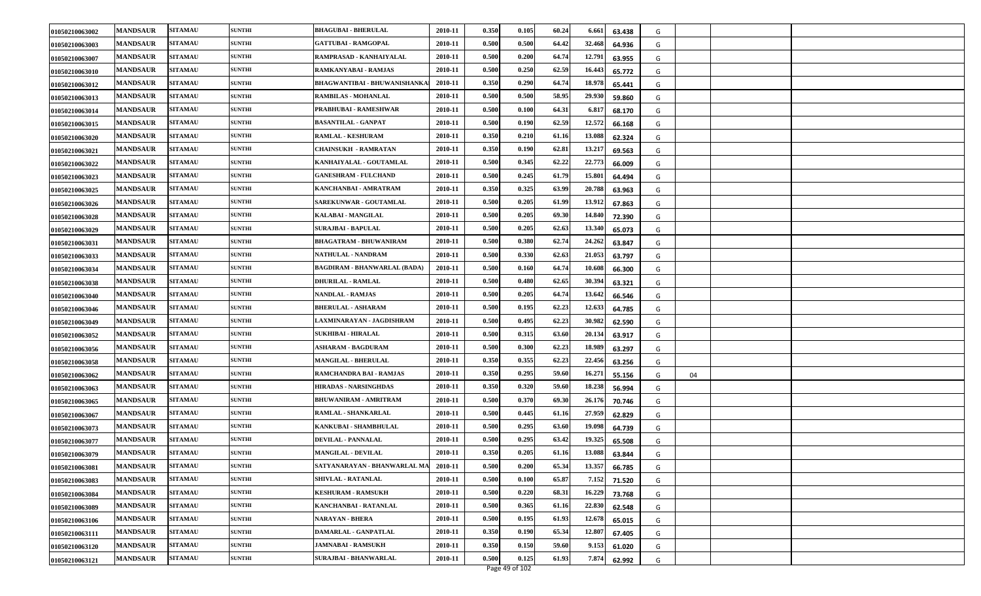| 01050210063002 | <b>MANDSAUR</b> | <b>SITAMAU</b> | <b>SUNTHI</b> | <b>BHAGUBAI - BHERULAL</b>          | 2010-11 | 0.350 | 0.105 | 60.24 | 6.661<br>63.438  | G |    |  |
|----------------|-----------------|----------------|---------------|-------------------------------------|---------|-------|-------|-------|------------------|---|----|--|
| 01050210063003 | <b>MANDSAUR</b> | <b>SITAMAU</b> | <b>SUNTHI</b> | <b>GATTUBAI - RAMGOPAL</b>          | 2010-11 | 0.500 | 0.500 | 64.42 | 32.468<br>64.936 | G |    |  |
| 01050210063007 | <b>MANDSAUR</b> | <b>SITAMAU</b> | <b>SUNTHI</b> | RAMPRASAD - KANHAIYALAL             | 2010-11 | 0.500 | 0.200 | 64.74 | 12.791<br>63.955 | G |    |  |
| 01050210063010 | <b>MANDSAUR</b> | <b>SITAMAU</b> | <b>SUNTHI</b> | RAMKANYABAI - RAMJAS                | 2010-11 | 0.500 | 0.250 | 62.59 | 16.443<br>65.772 | G |    |  |
| 01050210063012 | <b>MANDSAUR</b> | <b>SITAMAU</b> | <b>SUNTHI</b> | <b>BHAGWANTIBAI - BHUWANISHANKA</b> | 2010-11 | 0.350 | 0.290 | 64.74 | 18.978<br>65.441 | G |    |  |
| 01050210063013 | <b>MANDSAUR</b> | <b>SITAMAU</b> | <b>SUNTHI</b> | <b>RAMBILAS - MOHANLAL</b>          | 2010-11 | 0.500 | 0.500 | 58.95 | 29.930<br>59.860 | G |    |  |
| 01050210063014 | <b>MANDSAUR</b> | <b>SITAMAU</b> | <b>SUNTHI</b> | PRABHUBAI - RAMESHWAR               | 2010-11 | 0.500 | 0.100 | 64.31 | 6.817<br>68.170  | G |    |  |
| 01050210063015 | <b>MANDSAUR</b> | <b>SITAMAU</b> | <b>SUNTHI</b> | <b>BASANTILAL - GANPAT</b>          | 2010-11 | 0.500 | 0.190 | 62.59 | 12.572<br>66.168 | G |    |  |
| 01050210063020 | <b>MANDSAUR</b> | <b>SITAMAU</b> | <b>SUNTHI</b> | <b>RAMLAL - KESHURAM</b>            | 2010-11 | 0.350 | 0.210 | 61.16 | 13.088<br>62.324 | G |    |  |
| 01050210063021 | <b>MANDSAUR</b> | <b>SITAMAU</b> | <b>SUNTHI</b> | <b>CHAINSUKH - RAMRATAN</b>         | 2010-11 | 0.350 | 0.190 | 62.81 | 13.217<br>69.563 | G |    |  |
| 01050210063022 | <b>MANDSAUR</b> | <b>SITAMAU</b> | <b>SUNTHI</b> | KANHAIYALAL - GOUTAMLAL             | 2010-11 | 0.500 | 0.345 | 62.22 | 22.773<br>66.009 | G |    |  |
| 01050210063023 | <b>MANDSAUR</b> | <b>SITAMAU</b> | <b>SUNTHI</b> | <b>GANESHRAM - FULCHAND</b>         | 2010-11 | 0.500 | 0.245 | 61.79 | 15.801<br>64.494 | G |    |  |
| 01050210063025 | <b>MANDSAUR</b> | <b>SITAMAU</b> | <b>SUNTHI</b> | KANCHANBAI - AMRATRAM               | 2010-11 | 0.350 | 0.325 | 63.99 | 20.788<br>63.963 | G |    |  |
| 01050210063026 | <b>MANDSAUR</b> | <b>SITAMAU</b> | <b>SUNTHI</b> | <b>SAREKUNWAR - GOUTAMLAL</b>       | 2010-11 | 0.500 | 0.205 | 61.99 | 13.912<br>67.863 | G |    |  |
| 01050210063028 | <b>MANDSAUR</b> | <b>SITAMAU</b> | <b>SUNTHI</b> | KALABAI - MANGILAL                  | 2010-11 | 0.500 | 0.205 | 69.30 | 14.840<br>72.390 | G |    |  |
| 01050210063029 | <b>MANDSAUR</b> | <b>SITAMAU</b> | <b>SUNTHI</b> | <b>SURAJBAI - BAPULAL</b>           | 2010-11 | 0.500 | 0.205 | 62.63 | 13.340<br>65.073 | G |    |  |
| 01050210063031 | <b>MANDSAUR</b> | <b>SITAMAU</b> | <b>SUNTHI</b> | <b>BHAGATRAM - BHUWANIRAM</b>       | 2010-11 | 0.500 | 0.380 | 62.74 | 24.262<br>63.847 | G |    |  |
| 01050210063033 | <b>MANDSAUR</b> | <b>SITAMAU</b> | <b>SUNTHI</b> | NATHULAL - NANDRAM                  | 2010-11 | 0.500 | 0.330 | 62.63 | 21.053<br>63.797 | G |    |  |
| 01050210063034 | <b>MANDSAUR</b> | <b>SITAMAU</b> | <b>SUNTHI</b> | <b>BAGDIRAM - BHANWARLAL (BADA)</b> | 2010-11 | 0.500 | 0.160 | 64.74 | 10.608<br>66.300 | G |    |  |
| 01050210063038 | <b>MANDSAUR</b> | <b>SITAMAU</b> | <b>SUNTHI</b> | DHURILAL - RAMLAL                   | 2010-11 | 0.500 | 0.480 | 62.65 | 30.394<br>63.321 | G |    |  |
| 01050210063040 | <b>MANDSAUR</b> | <b>SITAMAU</b> | <b>SUNTHI</b> | <b>NANDLAL - RAMJAS</b>             | 2010-11 | 0.500 | 0.205 | 64.74 | 13.642<br>66.546 | G |    |  |
| 01050210063046 | <b>MANDSAUR</b> | <b>SITAMAU</b> | <b>SUNTHI</b> | <b>BHERULAL - ASHARAM</b>           | 2010-11 | 0.500 | 0.195 | 62.23 | 12.633<br>64.785 | G |    |  |
| 01050210063049 | <b>MANDSAUR</b> | <b>SITAMAU</b> | <b>SUNTHI</b> | LAXMINARAYAN - JAGDISHRAM           | 2010-11 | 0.500 | 0.495 | 62.23 | 30.982<br>62.590 | G |    |  |
| 01050210063052 | <b>MANDSAUR</b> | <b>SITAMAU</b> | <b>SUNTHI</b> | <b>SUKHIBAI - HIRALAL</b>           | 2010-11 | 0.500 | 0.315 | 63.60 | 20.134<br>63.917 | G |    |  |
| 01050210063056 | <b>MANDSAUR</b> | <b>SITAMAU</b> | <b>SUNTHI</b> | <b>ASHARAM - BAGDURAM</b>           | 2010-11 | 0.500 | 0.300 | 62.23 | 18.989<br>63.297 | G |    |  |
| 01050210063058 | <b>MANDSAUR</b> | <b>SITAMAU</b> | <b>SUNTHI</b> | <b>MANGILAL - BHERULAL</b>          | 2010-11 | 0.350 | 0.355 | 62.23 | 22.456<br>63.256 | G |    |  |
| 01050210063062 | <b>MANDSAUR</b> | <b>SITAMAU</b> | <b>SUNTHI</b> | RAMCHANDRA BAI - RAMJAS             | 2010-11 | 0.350 | 0.295 | 59.60 | 16.271<br>55.156 | G | 04 |  |
| 01050210063063 | <b>MANDSAUR</b> | <b>SITAMAU</b> | <b>SUNTHI</b> | <b>HIRADAS - NARSINGHDAS</b>        | 2010-11 | 0.350 | 0.320 | 59.60 | 18.238<br>56.994 | G |    |  |
| 01050210063065 | <b>MANDSAUR</b> | <b>SITAMAU</b> | <b>SUNTHI</b> | <b>BHUWANIRAM - AMRITRAM</b>        | 2010-11 | 0.500 | 0.370 | 69.30 | 26.176<br>70.746 | G |    |  |
| 01050210063067 | <b>MANDSAUR</b> | <b>SITAMAU</b> | <b>SUNTHI</b> | RAMLAL - SHANKARLAL                 | 2010-11 | 0.500 | 0.445 | 61.16 | 27.959<br>62.829 | G |    |  |
| 01050210063073 | <b>MANDSAUR</b> | <b>SITAMAU</b> | <b>SUNTHI</b> | KANKUBAI - SHAMBHULAL               | 2010-11 | 0.500 | 0.295 | 63.60 | 19.098<br>64.739 | G |    |  |
| 01050210063077 | <b>MANDSAUR</b> | <b>SITAMAU</b> | <b>SUNTHI</b> | <b>DEVILAL - PANNALAL</b>           | 2010-11 | 0.500 | 0.295 | 63.42 | 19.325<br>65.508 | G |    |  |
| 01050210063079 | <b>MANDSAUR</b> | <b>SITAMAU</b> | <b>SUNTHI</b> | <b>MANGILAL - DEVILAL</b>           | 2010-11 | 0.350 | 0.205 | 61.16 | 13.088<br>63.844 | G |    |  |
| 01050210063081 | <b>MANDSAUR</b> | <b>SITAMAU</b> | <b>SUNTHI</b> | SATYANARAYAN - BHANWARLAL MA        | 2010-11 | 0.500 | 0.200 | 65.34 | 13.357<br>66.785 | G |    |  |
| 01050210063083 | <b>MANDSAUR</b> | <b>SITAMAU</b> | <b>SUNTHI</b> | <b>SHIVLAL - RATANLAL</b>           | 2010-11 | 0.500 | 0.100 | 65.87 | 7.152<br>71.520  | G |    |  |
| 01050210063084 | <b>MANDSAUR</b> | <b>SITAMAU</b> | <b>SUNTHI</b> | <b>KESHURAM - RAMSUKH</b>           | 2010-11 | 0.500 | 0.220 | 68.31 | 16.229<br>73.768 | G |    |  |
| 01050210063089 | <b>MANDSAUR</b> | <b>SITAMAU</b> | <b>SUNTHI</b> | KANCHANBAI - RATANLAL               | 2010-11 | 0.500 | 0.365 | 61.16 | 22.830<br>62.548 | G |    |  |
| 01050210063106 | <b>MANDSAUR</b> | <b>SITAMAU</b> | <b>SUNTHI</b> | <b>NARAYAN - BHERA</b>              | 2010-11 | 0.500 | 0.195 | 61.93 | 12.678<br>65.015 | G |    |  |
| 01050210063111 | <b>MANDSAUR</b> | <b>SITAMAU</b> | <b>SUNTHI</b> | DAMARLAL - GANPATLAL                | 2010-11 | 0.350 | 0.190 | 65.34 | 12.807<br>67.405 | G |    |  |
| 01050210063120 | <b>MANDSAUR</b> | <b>SITAMAU</b> | <b>SUNTHI</b> | <b>JAMNABAI - RAMSUKH</b>           | 2010-11 | 0.350 | 0.150 | 59.60 | 9.153<br>61.020  | G |    |  |
| 01050210063121 | <b>MANDSAUR</b> | <b>SITAMAU</b> | <b>SUNTHI</b> | SURAJBAI - BHANWARLAL               | 2010-11 | 0.500 | 0.125 | 61.93 | 7.874<br>62.992  | G |    |  |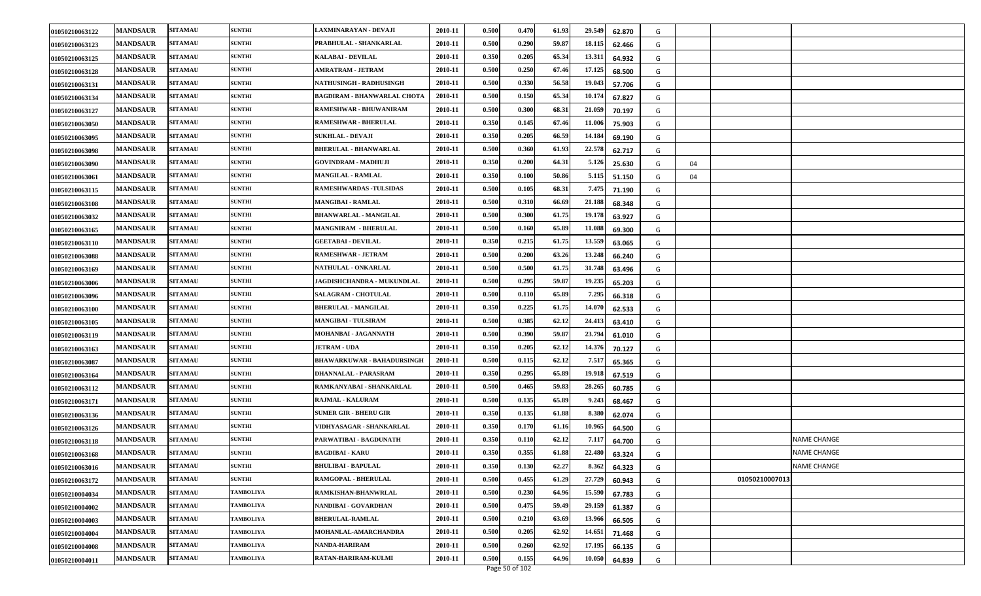| 01050210063122 | <b>MANDSAUR</b> | <b>SITAMAU</b> | <b>SUNTHI</b>    | LAXMINARAYAN - DEVAJI              | 2010-11 | 0.500 | 0.470 | 61.93 | 29.549<br>62.870 | G |    |                |                    |
|----------------|-----------------|----------------|------------------|------------------------------------|---------|-------|-------|-------|------------------|---|----|----------------|--------------------|
| 01050210063123 | <b>MANDSAUR</b> | <b>SITAMAU</b> | <b>SUNTHI</b>    | PRABHULAL - SHANKARLAL             | 2010-11 | 0.500 | 0.290 | 59.87 | 18.115<br>62.466 | G |    |                |                    |
| 01050210063125 | <b>MANDSAUR</b> | <b>SITAMAU</b> | <b>SUNTHI</b>    | <b>KALABAI - DEVILAL</b>           | 2010-11 | 0.350 | 0.205 | 65.34 | 13.311<br>64.932 | G |    |                |                    |
| 01050210063128 | <b>MANDSAUR</b> | <b>SITAMAU</b> | <b>SUNTHI</b>    | AMRATRAM - JETRAM                  | 2010-11 | 0.500 | 0.250 | 67.46 | 17.125<br>68.500 | G |    |                |                    |
| 01050210063131 | <b>MANDSAUR</b> | <b>SITAMAU</b> | <b>SUNTHI</b>    | NATHUSINGH - RADHUSINGH            | 2010-11 | 0.500 | 0.330 | 56.58 | 19.04<br>57.706  | G |    |                |                    |
| 01050210063134 | <b>MANDSAUR</b> | <b>SITAMAU</b> | <b>SUNTHI</b>    | <b>BAGDIRAM - BHANWARLAL CHOTA</b> | 2010-11 | 0.500 | 0.150 | 65.34 | 10.174<br>67.827 | G |    |                |                    |
| 01050210063127 | <b>MANDSAUR</b> | <b>SITAMAU</b> | <b>SUNTHI</b>    | RAMESHWAR - BHUWANIRAM             | 2010-11 | 0.500 | 0.300 | 68.31 | 21.059<br>70.197 | G |    |                |                    |
| 01050210063050 | <b>MANDSAUR</b> | <b>SITAMAU</b> | <b>SUNTHI</b>    | RAMESHWAR - BHERULAL               | 2010-11 | 0.350 | 0.145 | 67.46 | 11.006<br>75.903 | G |    |                |                    |
| 01050210063095 | <b>MANDSAUR</b> | <b>SITAMAU</b> | <b>SUNTHI</b>    | <b>SUKHLAL - DEVAJI</b>            | 2010-11 | 0.350 | 0.205 | 66.59 | 14.184<br>69.190 | G |    |                |                    |
| 01050210063098 | <b>MANDSAUR</b> | <b>SITAMAU</b> | <b>SUNTHI</b>    | <b>BHERULAL - BHANWARLAL</b>       | 2010-11 | 0.500 | 0.360 | 61.93 | 22.578<br>62.717 | G |    |                |                    |
| 01050210063090 | <b>MANDSAUR</b> | <b>SITAMAU</b> | <b>SUNTHI</b>    | <b>GOVINDRAM - MADHUJI</b>         | 2010-11 | 0.350 | 0.200 | 64.31 | 5.126<br>25.630  | G | 04 |                |                    |
| 01050210063061 | <b>MANDSAUR</b> | <b>SITAMAU</b> | <b>SUNTHI</b>    | <b>MANGILAL - RAMLAL</b>           | 2010-11 | 0.350 | 0.100 | 50.86 | 5.115<br>51.150  | G | 04 |                |                    |
| 01050210063115 | <b>MANDSAUR</b> | <b>SITAMAU</b> | <b>SUNTHI</b>    | <b>RAMESHWARDAS -TULSIDAS</b>      | 2010-11 | 0.500 | 0.105 | 68.31 | 7.475<br>71.190  | G |    |                |                    |
| 01050210063108 | <b>MANDSAUR</b> | <b>SITAMAU</b> | <b>SUNTHI</b>    | <b>MANGIBAI - RAMLAL</b>           | 2010-11 | 0.500 | 0.310 | 66.69 | 21.188<br>68.348 | G |    |                |                    |
| 01050210063032 | <b>MANDSAUR</b> | <b>SITAMAU</b> | <b>SUNTHI</b>    | <b>BHANWARLAL - MANGILAL</b>       | 2010-11 | 0.500 | 0.300 | 61.75 | 19.178<br>63.927 | G |    |                |                    |
| 01050210063165 | <b>MANDSAUR</b> | <b>SITAMAU</b> | <b>SUNTHI</b>    | <b>MANGNIRAM - BHERULAL</b>        | 2010-11 | 0.500 | 0.160 | 65.89 | 11.088<br>69.300 | G |    |                |                    |
| 01050210063110 | <b>MANDSAUR</b> | <b>SITAMAU</b> | <b>SUNTHI</b>    | <b>GEETABAI - DEVILAL</b>          | 2010-11 | 0.350 | 0.215 | 61.75 | 13.559<br>63.065 | G |    |                |                    |
| 01050210063088 | <b>MANDSAUR</b> | <b>SITAMAU</b> | <b>SUNTHI</b>    | <b>RAMESHWAR - JETRAM</b>          | 2010-11 | 0.500 | 0.200 | 63.26 | 13.248<br>66.240 | G |    |                |                    |
| 01050210063169 | <b>MANDSAUR</b> | <b>SITAMAU</b> | <b>SUNTHI</b>    | NATHULAL - ONKARLAL                | 2010-11 | 0.500 | 0.500 | 61.75 | 31.748<br>63.496 | G |    |                |                    |
| 01050210063006 | <b>MANDSAUR</b> | <b>SITAMAU</b> | <b>SUNTHI</b>    | JAGDISHCHANDRA - MUKUNDLAL         | 2010-11 | 0.500 | 0.295 | 59.87 | 19.235<br>65.203 | G |    |                |                    |
| 01050210063096 | <b>MANDSAUR</b> | <b>SITAMAU</b> | <b>SUNTHI</b>    | SALAGRAM - CHOTULAL                | 2010-11 | 0.500 | 0.110 | 65.89 | 7.295<br>66.318  | G |    |                |                    |
| 01050210063100 | <b>MANDSAUR</b> | <b>SITAMAU</b> | <b>SUNTHI</b>    | <b>BHERULAL - MANGILAL</b>         | 2010-11 | 0.350 | 0.225 | 61.75 | 14.07<br>62.533  | G |    |                |                    |
| 01050210063105 | <b>MANDSAUR</b> | <b>SITAMAU</b> | <b>SUNTHI</b>    | <b>MANGIBAI - TULSIRAM</b>         | 2010-11 | 0.500 | 0.385 | 62.12 | 24.413<br>63.410 | G |    |                |                    |
| 01050210063119 | <b>MANDSAUR</b> | <b>SITAMAU</b> | <b>SUNTHI</b>    | MOHANBAI - JAGANNATH               | 2010-11 | 0.500 | 0.390 | 59.87 | 23.794<br>61.010 | G |    |                |                    |
| 01050210063163 | <b>MANDSAUR</b> | <b>SITAMAU</b> | <b>SUNTHI</b>    | <b>JETRAM - UDA</b>                | 2010-11 | 0.350 | 0.205 | 62.12 | 14.376<br>70.127 | G |    |                |                    |
| 01050210063087 | <b>MANDSAUR</b> | <b>SITAMAU</b> | <b>SUNTHI</b>    | <b>BHAWARKUWAR - BAHADURSINGH</b>  | 2010-11 | 0.500 | 0.115 | 62.12 | 7.517<br>65.365  | G |    |                |                    |
| 01050210063164 | <b>MANDSAUR</b> | <b>SITAMAU</b> | <b>SUNTHI</b>    | DHANNALAL - PARASRAM               | 2010-11 | 0.350 | 0.295 | 65.89 | 19.918<br>67.519 | G |    |                |                    |
| 01050210063112 | <b>MANDSAUR</b> | <b>SITAMAU</b> | <b>SUNTHI</b>    | RAMKANYABAI - SHANKARLAL           | 2010-11 | 0.500 | 0.465 | 59.83 | 28.265<br>60.785 | G |    |                |                    |
| 01050210063171 | <b>MANDSAUR</b> | <b>SITAMAU</b> | <b>SUNTHI</b>    | RAJMAL - KALURAM                   | 2010-11 | 0.500 | 0.135 | 65.89 | 9.243<br>68.467  | G |    |                |                    |
| 01050210063136 | <b>MANDSAUR</b> | <b>SITAMAU</b> | <b>SUNTHI</b>    | <b>SUMER GIR - BHERU GIR</b>       | 2010-11 | 0.350 | 0.135 | 61.88 | 8.380<br>62.074  | G |    |                |                    |
| 01050210063126 | <b>MANDSAUR</b> | <b>SITAMAU</b> | <b>SUNTHI</b>    | VIDHYASAGAR - SHANKARLAL           | 2010-11 | 0.350 | 0.170 | 61.16 | 10.965<br>64.500 | G |    |                |                    |
| 01050210063118 | <b>MANDSAUR</b> | <b>SITAMAU</b> | <b>SUNTHI</b>    | PARWATIBAI - BAGDUNATH             | 2010-11 | 0.350 | 0.110 | 62.12 | 7.11.<br>64.700  | G |    |                | <b>NAME CHANGE</b> |
| 01050210063168 | <b>MANDSAUR</b> | <b>SITAMAU</b> | <b>SUNTHI</b>    | <b>BAGDIBAI - KARU</b>             | 2010-11 | 0.350 | 0.355 | 61.88 | 22.480<br>63.324 | G |    |                | <b>NAME CHANGE</b> |
| 01050210063016 | <b>MANDSAUR</b> | <b>SITAMAU</b> | <b>SUNTHI</b>    | <b>BHULIBAI - BAPULAL</b>          | 2010-11 | 0.350 | 0.130 | 62.27 | 8.362<br>64.323  | G |    |                | <b>NAME CHANGE</b> |
| 01050210063172 | <b>MANDSAUR</b> | <b>SITAMAU</b> | <b>SUNTHI</b>    | RAMGOPAL - BHERULAL                | 2010-11 | 0.500 | 0.455 | 61.29 | 27.729<br>60.943 | G |    | 01050210007013 |                    |
| 01050210004034 | <b>MANDSAUR</b> | <b>SITAMAU</b> | <b>TAMBOLIYA</b> | RAMKISHAN-BHANWRLAL                | 2010-11 | 0.500 | 0.230 | 64.96 | 15.590<br>67.783 | G |    |                |                    |
| 01050210004002 | <b>MANDSAUR</b> | <b>SITAMAU</b> | <b>TAMBOLIYA</b> | NANDIBAI - GOVARDHAN               | 2010-11 | 0.500 | 0.475 | 59.49 | 29.159<br>61.387 | G |    |                |                    |
| 01050210004003 | <b>MANDSAUR</b> | <b>SITAMAU</b> | <b>TAMBOLIYA</b> | <b>BHERULAL-RAMLAL</b>             | 2010-11 | 0.500 | 0.210 | 63.69 | 13.966<br>66.505 | G |    |                |                    |
| 01050210004004 | <b>MANDSAUR</b> | <b>SITAMAU</b> | TAMBOLIYA        | MOHANLAL-AMARCHANDRA               | 2010-11 | 0.500 | 0.205 | 62.92 | 14.651<br>71.468 | G |    |                |                    |
| 01050210004008 | <b>MANDSAUR</b> | <b>SITAMAU</b> | <b>TAMBOLIYA</b> | <b>NANDA-HARIRAM</b>               | 2010-11 | 0.500 | 0.260 | 62.92 | 17.195<br>66.135 | G |    |                |                    |
| 01050210004011 | <b>MANDSAUR</b> | <b>SITAMAU</b> | <b>TAMBOLIYA</b> | RATAN-HARIRAM-KULMI                | 2010-11 | 0.500 | 0.155 | 64.96 | 10.050<br>64.839 | G |    |                |                    |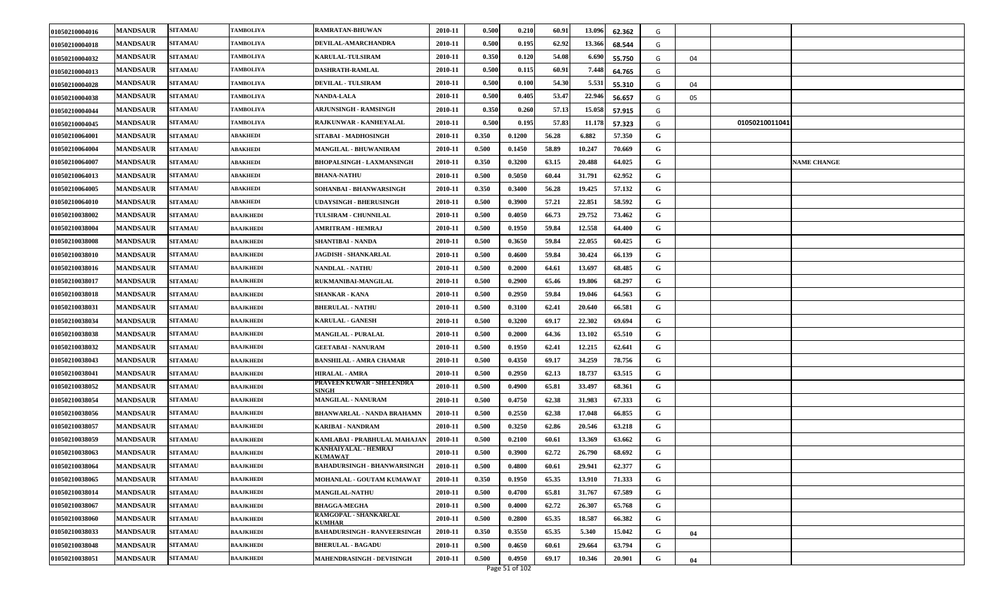| 01050210004016 | <b>MANDSAUR</b> | <b>SITAMAU</b> | TAMBOLIYA               | RAMRATAN-BHUWAN                           | 2010-11 | 0.500 | 0.210  | 60.91 | 13.096 | 62.362 | G |    |                |                    |
|----------------|-----------------|----------------|-------------------------|-------------------------------------------|---------|-------|--------|-------|--------|--------|---|----|----------------|--------------------|
| 01050210004018 | <b>MANDSAUR</b> | <b>SITAMAU</b> | <b><i>FAMBOLIYA</i></b> | DEVILAL-AMARCHANDRA                       | 2010-11 | 0.500 | 0.195  | 62.92 | 13.366 | 68.544 | G |    |                |                    |
| 01050210004032 | <b>MANDSAUR</b> | <b>SITAMAU</b> | TAMBOLIYA               | <b>KARULAL-TULSIRAM</b>                   | 2010-11 | 0.350 | 0.120  | 54.08 | 6.690  | 55.750 | G | 04 |                |                    |
| 01050210004013 | <b>MANDSAUR</b> | <b>SITAMAU</b> | <b><i>FAMBOLIYA</i></b> | <b>DASHRATH-RAMLAL</b>                    | 2010-11 | 0.500 | 0.115  | 60.91 | 7.448  | 64.765 | G |    |                |                    |
| 01050210004028 | <b>MANDSAUR</b> | <b>SITAMAU</b> | TAMBOLIYA               | <b>DEVILAL - TULSIRAM</b>                 | 2010-11 | 0.500 | 0.100  | 54.30 | 5.531  | 55.310 | G | 04 |                |                    |
| 01050210004038 | <b>MANDSAUR</b> | <b>SITAMAU</b> | TAMBOLIYA               | <b>NANDA-LALA</b>                         | 2010-11 | 0.500 | 0.405  | 53.47 | 22.946 | 56.657 | G | 05 |                |                    |
| 01050210004044 | <b>MANDSAUR</b> | <b>SITAMAU</b> | TAMBOLIYA               | <b>ARJUNSINGH - RAMSINGH</b>              | 2010-11 | 0.350 | 0.260  | 57.13 | 15.058 | 57.915 | G |    |                |                    |
| 01050210004045 | <b>MANDSAUR</b> | <b>SITAMAU</b> | <b><i>FAMBOLIYA</i></b> | RAJKUNWAR - KANHEYALAL                    | 2010-11 | 0.500 | 0.195  | 57.83 | 11.178 | 57.323 | G |    | 01050210011041 |                    |
| 01050210064001 | <b>MANDSAUR</b> | <b>SITAMAU</b> | ABAKHEDI                | SITABAI - MADHOSINGH                      | 2010-11 | 0.350 | 0.1200 | 56.28 | 6.882  | 57.350 | G |    |                |                    |
| 01050210064004 | <b>MANDSAUR</b> | <b>SITAMAU</b> | ABAKHEDI                | MANGILAL - BHUWANIRAM                     | 2010-11 | 0.500 | 0.1450 | 58.89 | 10.247 | 70.669 | G |    |                |                    |
| 01050210064007 | <b>MANDSAUR</b> | <b>SITAMAU</b> | ABAKHEDI                | <b>BHOPALSINGH - LAXMANSINGH</b>          | 2010-11 | 0.350 | 0.3200 | 63.15 | 20.488 | 64.025 | G |    |                | <b>NAME CHANGE</b> |
| 01050210064013 | <b>MANDSAUR</b> | <b>SITAMAU</b> | ABAKHEDI                | <b>BHANA-NATHU</b>                        | 2010-11 | 0.500 | 0.5050 | 60.44 | 31.791 | 62.952 | G |    |                |                    |
| 01050210064005 | <b>MANDSAUR</b> | <b>SITAMAU</b> | ABAKHEDI                | SOHANBAI - BHANWARSINGH                   | 2010-11 | 0.350 | 0.3400 | 56.28 | 19.425 | 57.132 | G |    |                |                    |
| 01050210064010 | <b>MANDSAUR</b> | <b>SITAMAU</b> | ABAKHEDI                | UDAYSINGH - BHERUSINGH                    | 2010-11 | 0.500 | 0.3900 | 57.21 | 22.851 | 58.592 | G |    |                |                    |
| 01050210038002 | <b>MANDSAUR</b> | <b>SITAMAU</b> | BAAJKHEDI               | TULSIRAM - CHUNNILAL                      | 2010-11 | 0.500 | 0.4050 | 66.73 | 29.752 | 73.462 | G |    |                |                    |
| 01050210038004 | <b>MANDSAUR</b> | <b>SITAMAU</b> | BAAJKHEDI               | <b>AMRITRAM - HEMRAJ</b>                  | 2010-11 | 0.500 | 0.1950 | 59.84 | 12.558 | 64.400 | G |    |                |                    |
| 01050210038008 | <b>MANDSAUR</b> | <b>SITAMAU</b> | BAAJKHEDI               | SHANTIBAI - NANDA                         | 2010-11 | 0.500 | 0.3650 | 59.84 | 22.055 | 60.425 | G |    |                |                    |
| 01050210038010 | <b>MANDSAUR</b> | <b>SITAMAU</b> | <b>BAAJKHEDI</b>        | <b>JAGDISH - SHANKARLAL</b>               | 2010-11 | 0.500 | 0.4600 | 59.84 | 30.424 | 66.139 | G |    |                |                    |
| 01050210038016 | <b>MANDSAUR</b> | <b>SITAMAU</b> | BAAJKHEDI               | <b>NANDLAL - NATHU</b>                    | 2010-11 | 0.500 | 0.2000 | 64.61 | 13.697 | 68.485 | G |    |                |                    |
| 01050210038017 | <b>MANDSAUR</b> | <b>SITAMAU</b> | BAAJKHEDI               | RUKMANIBAI-MANGILAL                       | 2010-11 | 0.500 | 0.2900 | 65.46 | 19.806 | 68.297 | G |    |                |                    |
| 01050210038018 | <b>MANDSAUR</b> | <b>SITAMAU</b> | BAAJKHEDI               | <b>SHANKAR - KANA</b>                     | 2010-11 | 0.500 | 0.2950 | 59.84 | 19.046 | 64.563 | G |    |                |                    |
| 01050210038031 | <b>MANDSAUR</b> | <b>SITAMAU</b> | <b>BAAJKHEDI</b>        | <b>BHERULAL - NATHU</b>                   | 2010-11 | 0.500 | 0.3100 | 62.41 | 20.640 | 66.581 | G |    |                |                    |
| 01050210038034 | <b>MANDSAUR</b> | <b>SITAMAU</b> | BAAJKHEDI               | <b>KARULAL - GANESH</b>                   | 2010-11 | 0.500 | 0.3200 | 69.17 | 22.302 | 69.694 | G |    |                |                    |
| 01050210038038 | <b>MANDSAUR</b> | <b>SITAMAU</b> | BAAJKHEDI               | <b>MANGILAL - PURALAL</b>                 | 2010-11 | 0.500 | 0.2000 | 64.36 | 13.102 | 65.510 | G |    |                |                    |
| 01050210038032 | <b>MANDSAUR</b> | <b>SITAMAU</b> | BAAJKHEDI               | <b>GEETABAI - NANURAM</b>                 | 2010-11 | 0.500 | 0.1950 | 62.41 | 12.215 | 62.641 | G |    |                |                    |
| 01050210038043 | <b>MANDSAUR</b> | <b>SITAMAU</b> | BAAJKHEDI               | <b>BANSHILAL - AMRA CHAMAR</b>            | 2010-11 | 0.500 | 0.4350 | 69.17 | 34.259 | 78.756 | G |    |                |                    |
| 01050210038041 | <b>MANDSAUR</b> | <b>SITAMAU</b> | BAAJKHEDI               | <b>HIRALAL - AMRA</b>                     | 2010-11 | 0.500 | 0.2950 | 62.13 | 18.737 | 63.515 | G |    |                |                    |
| 01050210038052 | <b>MANDSAUR</b> | <b>SITAMAU</b> | BAAJKHEDI               | PRAVEEN KUWAR - SHELENDRA<br><b>SINGH</b> | 2010-11 | 0.500 | 0.4900 | 65.81 | 33.497 | 68.361 | G |    |                |                    |
| 01050210038054 | <b>MANDSAUR</b> | <b>SITAMAU</b> | BAAJKHEDI               | MANGILAL - NANURAM                        | 2010-11 | 0.500 | 0.4750 | 62.38 | 31.983 | 67.333 | G |    |                |                    |
| 01050210038056 | <b>MANDSAUR</b> | <b>SITAMAU</b> | <b>BAAJKHEDI</b>        | <b>BHANWARLAL - NANDA BRAHAMN</b>         | 2010-11 | 0.500 | 0.2550 | 62.38 | 17.048 | 66.855 | G |    |                |                    |
| 01050210038057 | <b>MANDSAUR</b> | <b>SITAMAU</b> | BAAJKHEDI               | KARIBAI - NANDRAM                         | 2010-11 | 0.500 | 0.3250 | 62.86 | 20.546 | 63.218 | G |    |                |                    |
| 01050210038059 | <b>MANDSAUR</b> | <b>SITAMAU</b> | BAAJKHEDI               | KAMLABAI - PRABHULAL MAHAJAN              | 2010-11 | 0.500 | 0.2100 | 60.61 | 13.369 | 63.662 | G |    |                |                    |
| 01050210038063 | <b>MANDSAUR</b> | <b>SITAMAU</b> | BAAJKHEDI               | KANHAIYALAL - HEMRAJ<br><b>KUMAWAT</b>    | 2010-11 | 0.500 | 0.3900 | 62.72 | 26.790 | 68.692 | G |    |                |                    |
| 01050210038064 | <b>MANDSAUR</b> | <b>SITAMAU</b> | <b>BAAJKHEDI</b>        | <b>BAHADURSINGH - BHANWARSINGH</b>        | 2010-11 | 0.500 | 0.4800 | 60.61 | 29.941 | 62.377 | G |    |                |                    |
| 01050210038065 | <b>MANDSAUR</b> | <b>SITAMAU</b> | BAAJKHEDI               | MOHANLAL - GOUTAM KUMAWAT                 | 2010-11 | 0.350 | 0.1950 | 65.35 | 13.910 | 71.333 | G |    |                |                    |
| 01050210038014 | <b>MANDSAUR</b> | <b>SITAMAU</b> | BAAJKHEDI               | <b>MANGILAL-NATHU</b>                     | 2010-11 | 0.500 | 0.4700 | 65.81 | 31.767 | 67.589 | G |    |                |                    |
| 01050210038067 | <b>MANDSAUR</b> | <b>SITAMAU</b> | <b>BAAJKHEDI</b>        | <b>BHAGGA-MEGHA</b>                       | 2010-11 | 0.500 | 0.4000 | 62.72 | 26.307 | 65.768 | G |    |                |                    |
| 01050210038060 | <b>MANDSAUR</b> | <b>SITAMAU</b> | <b>BAAJKHEDI</b>        | RAMGOPAL - SHANKARLAL<br><b>KUMHAR</b>    | 2010-11 | 0.500 | 0.2800 | 65.35 | 18.587 | 66.382 | G |    |                |                    |
| 01050210038033 | <b>MANDSAUR</b> | <b>SITAMAU</b> | BAAJKHEDI               | <b>BAHADURSINGH - RANVEERSINGH</b>        | 2010-11 | 0.350 | 0.3550 | 65.35 | 5.340  | 15.042 | G | 04 |                |                    |
| 01050210038048 | <b>MANDSAUR</b> | <b>SITAMAU</b> | <b>BAAJKHEDI</b>        | <b>BHERULAL - BAGADU</b>                  | 2010-11 | 0.500 | 0.4650 | 60.61 | 29.664 | 63.794 | G |    |                |                    |
| 01050210038051 | <b>MANDSAUR</b> | <b>SITAMAU</b> | <b>BAAJKHEDI</b>        | MAHENDRASINGH - DEVISINGH                 | 2010-11 | 0.500 | 0.4950 | 69.17 | 10.346 | 20.901 | G | 04 |                |                    |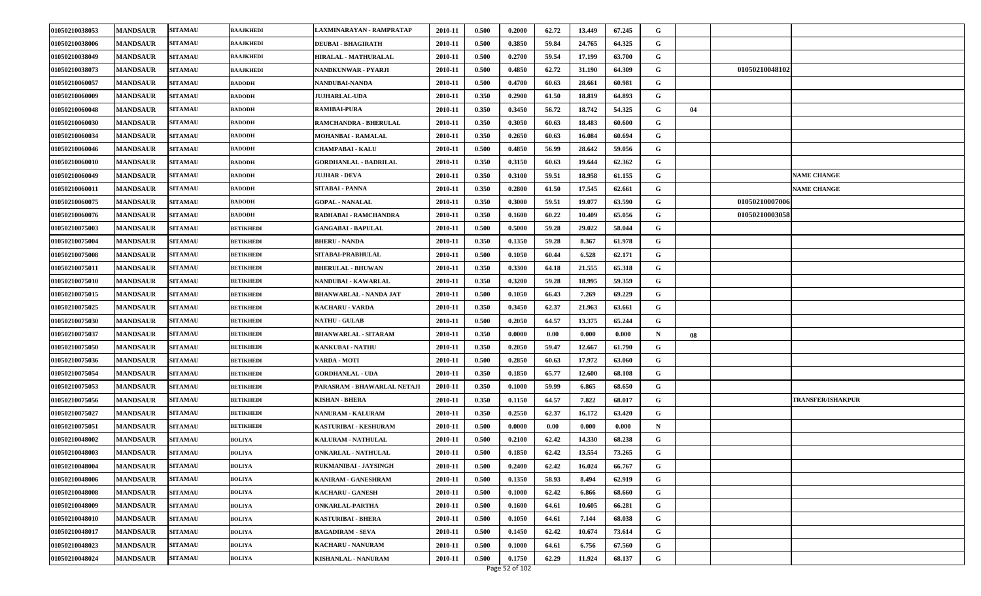| 01050210038053 | <b>MANDSAUR</b> | <b>SITAMAU</b> | <b>BAAJKHEDI</b> | LAXMINARAYAN - RAMPRATAP      | 2010-11 | 0.500 | 0.2000 | 62.72 | 13.449 | 67.245 | G |    |                |                          |
|----------------|-----------------|----------------|------------------|-------------------------------|---------|-------|--------|-------|--------|--------|---|----|----------------|--------------------------|
| 01050210038006 | <b>MANDSAUR</b> | <b>SITAMAU</b> | <b>BAAJKHEDI</b> | <b>DEUBAI - BHAGIRATH</b>     | 2010-11 | 0.500 | 0.3850 | 59.84 | 24.765 | 64.325 | G |    |                |                          |
| 01050210038049 | <b>MANDSAUR</b> | <b>SITAMAU</b> | <b>BAAJKHEDI</b> | HIRALAL - MATHURALAL          | 2010-11 | 0.500 | 0.2700 | 59.54 | 17.199 | 63.700 | G |    |                |                          |
| 01050210038073 | <b>MANDSAUR</b> | <b>SITAMAU</b> | <b>BAAJKHEDI</b> | NANDKUNWAR - PYARJI           | 2010-11 | 0.500 | 0.4850 | 62.72 | 31.190 | 64.309 | G |    | 01050210048102 |                          |
| 01050210060057 | <b>MANDSAUR</b> | <b>SITAMAU</b> | <b>BADODH</b>    | NANDUBAI-NANDA                | 2010-11 | 0.500 | 0.4700 | 60.63 | 28.661 | 60.981 | G |    |                |                          |
| 01050210060009 | <b>MANDSAUR</b> | <b>SITAMAU</b> | <b>BADODH</b>    | <b>JUJHARLAL-UDA</b>          | 2010-11 | 0.350 | 0.2900 | 61.50 | 18.819 | 64.893 | G |    |                |                          |
| 01050210060048 | <b>MANDSAUR</b> | <b>SITAMAU</b> | <b>BADODH</b>    | <b>RAMIBAI-PURA</b>           | 2010-11 | 0.350 | 0.3450 | 56.72 | 18.742 | 54.325 | G | 04 |                |                          |
| 01050210060030 | <b>MANDSAUR</b> | <b>SITAMAU</b> | <b>BADODH</b>    | RAMCHANDRA - BHERULAL         | 2010-11 | 0.350 | 0.3050 | 60.63 | 18.483 | 60.600 | G |    |                |                          |
| 01050210060034 | <b>MANDSAUR</b> | <b>SITAMAU</b> | <b>BADODH</b>    | <b>MOHANBAI - RAMALAL</b>     | 2010-11 | 0.350 | 0.2650 | 60.63 | 16.084 | 60.694 | G |    |                |                          |
| 01050210060046 | <b>MANDSAUR</b> | <b>SITAMAU</b> | <b>BADODH</b>    | <b>CHAMPABAI - KALU</b>       | 2010-11 | 0.500 | 0.4850 | 56.99 | 28.642 | 59.056 | G |    |                |                          |
| 01050210060010 | <b>MANDSAUR</b> | <b>SITAMAU</b> | <b>BADODH</b>    | <b>GORDHANLAL - BADRILAL</b>  | 2010-11 | 0.350 | 0.3150 | 60.63 | 19.644 | 62.362 | G |    |                |                          |
| 01050210060049 | <b>MANDSAUR</b> | <b>SITAMAU</b> | <b>BADODH</b>    | <b>JUJHAR - DEVA</b>          | 2010-11 | 0.350 | 0.3100 | 59.51 | 18.958 | 61.155 | G |    |                | <b>NAME CHANGE</b>       |
| 01050210060011 | <b>MANDSAUR</b> | <b>SITAMAU</b> | <b>BADODH</b>    | SITABAI - PANNA               | 2010-11 | 0.350 | 0.2800 | 61.50 | 17.545 | 62.661 | G |    |                | <b>NAME CHANGE</b>       |
| 01050210060075 | <b>MANDSAUR</b> | <b>SITAMAU</b> | <b>BADODH</b>    | <b>GOPAL - NANALAL</b>        | 2010-11 | 0.350 | 0.3000 | 59.51 | 19.077 | 63.590 | G |    | 01050210007006 |                          |
| 01050210060076 | <b>MANDSAUR</b> | <b>SITAMAU</b> | <b>BADODH</b>    | RADHABAI - RAMCHANDRA         | 2010-11 | 0.350 | 0.1600 | 60.22 | 10.409 | 65.056 | G |    | 01050210003058 |                          |
| 01050210075003 | <b>MANDSAUR</b> | <b>SITAMAU</b> | <b>BETIKHEDI</b> | <b>GANGABAI - BAPULAL</b>     | 2010-11 | 0.500 | 0.5000 | 59.28 | 29.022 | 58.044 | G |    |                |                          |
| 01050210075004 | <b>MANDSAUR</b> | <b>SITAMAU</b> | <b>BETIKHEDI</b> | <b>BHERU - NANDA</b>          | 2010-11 | 0.350 | 0.1350 | 59.28 | 8.367  | 61.978 | G |    |                |                          |
| 01050210075008 | <b>MANDSAUR</b> | <b>SITAMAU</b> | <b>BETIKHEDI</b> | SITABAI-PRABHULAL             | 2010-11 | 0.500 | 0.1050 | 60.44 | 6.528  | 62.171 | G |    |                |                          |
| 01050210075011 | <b>MANDSAUR</b> | <b>SITAMAU</b> | <b>BETIKHEDI</b> | <b>BHERULAL - BHUWAN</b>      | 2010-11 | 0.350 | 0.3300 | 64.18 | 21.555 | 65.318 | G |    |                |                          |
| 01050210075010 | <b>MANDSAUR</b> | <b>SITAMAU</b> | <b>BETIKHEDI</b> | NANDUBAI - KAWARLAL           | 2010-11 | 0.350 | 0.3200 | 59.28 | 18.995 | 59.359 | G |    |                |                          |
| 01050210075015 | <b>MANDSAUR</b> | <b>SITAMAU</b> | <b>BETIKHEDI</b> | <b>BHANWARLAL - NANDA JAT</b> | 2010-11 | 0.500 | 0.1050 | 66.43 | 7.269  | 69.229 | G |    |                |                          |
| 01050210075025 | <b>MANDSAUR</b> | <b>SITAMAU</b> | <b>BETIKHEDI</b> | <b>KACHARU - VARDA</b>        | 2010-11 | 0.350 | 0.3450 | 62.37 | 21.963 | 63.661 | G |    |                |                          |
| 01050210075030 | <b>MANDSAUR</b> | <b>SITAMAU</b> | <b>BETIKHEDI</b> | <b>NATHU - GULAB</b>          | 2010-11 | 0.500 | 0.2050 | 64.57 | 13.375 | 65.244 | G |    |                |                          |
| 01050210075037 | <b>MANDSAUR</b> | <b>SITAMAU</b> | <b>BETIKHEDI</b> | <b>BHANWARLAL - SITARAM</b>   | 2010-11 | 0.350 | 0.0000 | 0.00  | 0.000  | 0.000  | N | 08 |                |                          |
| 01050210075050 | <b>MANDSAUR</b> | <b>SITAMAU</b> | <b>BETIKHEDI</b> | KANKUBAI - NATHU              | 2010-11 | 0.350 | 0.2050 | 59.47 | 12.667 | 61.790 | G |    |                |                          |
| 01050210075036 | <b>MANDSAUR</b> | <b>SITAMAU</b> | <b>BETIKHEDI</b> | <b>VARDA - MOTI</b>           | 2010-11 | 0.500 | 0.2850 | 60.63 | 17.972 | 63.060 | G |    |                |                          |
| 01050210075054 | <b>MANDSAUR</b> | <b>SITAMAU</b> | <b>BETIKHEDI</b> | <b>GORDHANLAL - UDA</b>       | 2010-11 | 0.350 | 0.1850 | 65.77 | 12.600 | 68.108 | G |    |                |                          |
| 01050210075053 | <b>MANDSAUR</b> | <b>SITAMAU</b> | <b>BETIKHEDI</b> | PARASRAM - BHAWARLAL NETAJI   | 2010-11 | 0.350 | 0.1000 | 59.99 | 6.865  | 68.650 | G |    |                |                          |
| 01050210075056 | <b>MANDSAUR</b> | <b>SITAMAU</b> | <b>BETIKHEDI</b> | <b>KISHAN - BHERA</b>         | 2010-11 | 0.350 | 0.1150 | 64.57 | 7.822  | 68.017 | G |    |                | <b>TRANSFER/ISHAKPUR</b> |
| 01050210075027 | <b>MANDSAUR</b> | <b>SITAMAU</b> | <b>BETIKHEDI</b> | <b>NANURAM - KALURAM</b>      | 2010-11 | 0.350 | 0.2550 | 62.37 | 16.172 | 63.420 | G |    |                |                          |
| 01050210075051 | <b>MANDSAUR</b> | <b>SITAMAU</b> | <b>BETIKHEDI</b> | KASTURIBAI - KESHURAM         | 2010-11 | 0.500 | 0.0000 | 0.00  | 0.000  | 0.000  | N |    |                |                          |
| 01050210048002 | <b>MANDSAUR</b> | <b>SITAMAU</b> | <b>BOLIYA</b>    | KALURAM - NATHULAL            | 2010-11 | 0.500 | 0.2100 | 62.42 | 14.330 | 68.238 | G |    |                |                          |
| 01050210048003 | <b>MANDSAUR</b> | <b>SITAMAU</b> | <b>BOLIYA</b>    | ONKARLAL - NATHULAL           | 2010-11 | 0.500 | 0.1850 | 62.42 | 13.554 | 73.265 | G |    |                |                          |
| 01050210048004 | <b>MANDSAUR</b> | <b>SITAMAU</b> | <b>BOLIYA</b>    | RUKMANIBAI - JAYSINGH         | 2010-11 | 0.500 | 0.2400 | 62.42 | 16.024 | 66.767 | G |    |                |                          |
| 01050210048006 | <b>MANDSAUR</b> | <b>SITAMAU</b> | <b>BOLIYA</b>    | KANIRAM - GANESHRAM           | 2010-11 | 0.500 | 0.1350 | 58.93 | 8.494  | 62.919 | G |    |                |                          |
| 01050210048008 | <b>MANDSAUR</b> | <b>SITAMAU</b> | <b>BOLIYA</b>    | <b>KACHARU - GANESH</b>       | 2010-11 | 0.500 | 0.1000 | 62.42 | 6.866  | 68.660 | G |    |                |                          |
| 01050210048009 | <b>MANDSAUR</b> | <b>SITAMAU</b> | <b>BOLIYA</b>    | <b>ONKARLAL-PARTHA</b>        | 2010-11 | 0.500 | 0.1600 | 64.61 | 10.605 | 66.281 | G |    |                |                          |
| 01050210048010 | <b>MANDSAUR</b> | <b>SITAMAU</b> | <b>BOLIYA</b>    | <b>KASTURIBAI - BHERA</b>     | 2010-11 | 0.500 | 0.1050 | 64.61 | 7.144  | 68.038 | G |    |                |                          |
| 01050210048017 | <b>MANDSAUR</b> | <b>SITAMAU</b> | <b>BOLIYA</b>    | <b>BAGADIRAM - SEVA</b>       | 2010-11 | 0.500 | 0.1450 | 62.42 | 10.674 | 73.614 | G |    |                |                          |
| 01050210048023 | <b>MANDSAUR</b> | <b>SITAMAU</b> | <b>BOLIYA</b>    | <b>KACHARU - NANURAM</b>      | 2010-11 | 0.500 | 0.1000 | 64.61 | 6.756  | 67.560 | G |    |                |                          |
| 01050210048024 | <b>MANDSAUR</b> | <b>SITAMAU</b> | <b>BOLIYA</b>    | <b>KISHANLAL - NANURAM</b>    | 2010-11 | 0.500 | 0.1750 | 62.29 | 11.924 | 68.137 | G |    |                |                          |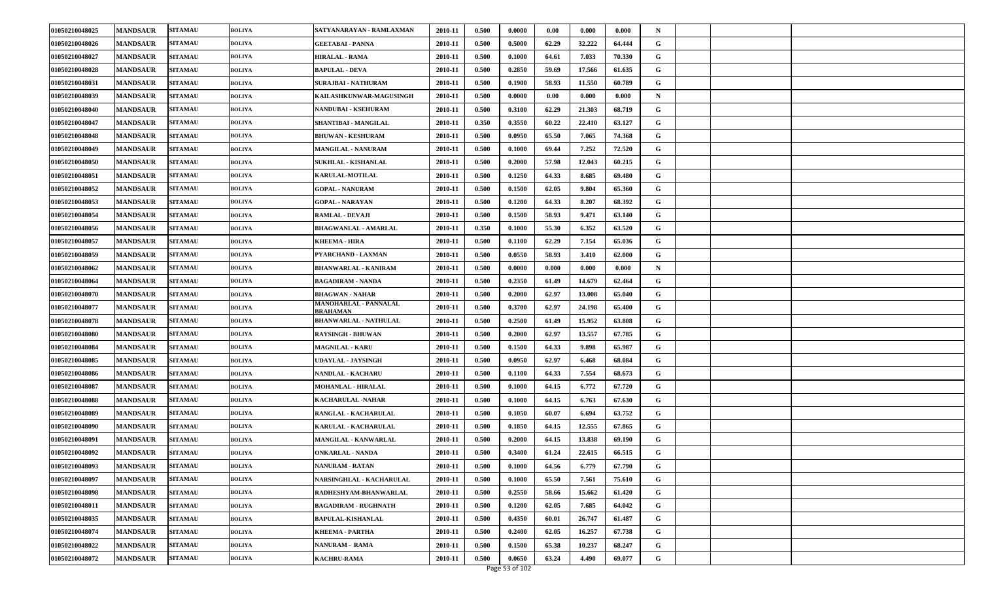| 01050210048025 | <b>MANDSAUR</b> | <b>SITAMAU</b> | <b>BOLIYA</b> | SATYANARAYAN - RAMLAXMAN                 | 2010-11 | 0.500 | 0.0000 | 0.00  | 0.000  | 0.000  | N |  |  |
|----------------|-----------------|----------------|---------------|------------------------------------------|---------|-------|--------|-------|--------|--------|---|--|--|
| 01050210048026 | <b>MANDSAUR</b> | <b>SITAMAU</b> | <b>BOLIYA</b> | <b>GEETABAI - PANNA</b>                  | 2010-11 | 0.500 | 0.5000 | 62.29 | 32.222 | 64.444 | G |  |  |
| 01050210048027 | <b>MANDSAUR</b> | <b>SITAMAU</b> | <b>BOLIYA</b> | HIRALAL - RAMA                           | 2010-11 | 0.500 | 0.1000 | 64.61 | 7.033  | 70.330 | G |  |  |
| 01050210048028 | <b>MANDSAUR</b> | <b>SITAMAU</b> | BOLIYA        | <b>BAPULAL - DEVA</b>                    | 2010-11 | 0.500 | 0.2850 | 59.69 | 17.566 | 61.635 | G |  |  |
| 01050210048031 | <b>MANDSAUR</b> | <b>SITAMAU</b> | BOLIYA        | <b>SURAJBAI - NATHURAM</b>               | 2010-11 | 0.500 | 0.1900 | 58.93 | 11.550 | 60.789 | G |  |  |
| 01050210048039 | <b>MANDSAUR</b> | <b>SITAMAU</b> | <b>BOLIYA</b> | KAILASHKUNWAR-MAGUSINGH                  | 2010-11 | 0.500 | 0.0000 | 0.00  | 0.000  | 0.000  | N |  |  |
| 01050210048040 | <b>MANDSAUR</b> | <b>SITAMAU</b> | <b>BOLIYA</b> | NANDUBAI - KSEHURAM                      | 2010-11 | 0.500 | 0.3100 | 62.29 | 21.303 | 68.719 | G |  |  |
| 01050210048047 | <b>MANDSAUR</b> | <b>SITAMAU</b> | <b>BOLIYA</b> | SHANTIBAI - MANGILAL                     | 2010-11 | 0.350 | 0.3550 | 60.22 | 22.410 | 63.127 | G |  |  |
| 01050210048048 | <b>MANDSAUR</b> | <b>SITAMAU</b> | BOLIYA        | <b>BHUWAN - KESHURAM</b>                 | 2010-11 | 0.500 | 0.0950 | 65.50 | 7.065  | 74.368 | G |  |  |
| 01050210048049 | <b>MANDSAUR</b> | <b>SITAMAU</b> | BOLIYA        | <b>MANGILAL - NANURAM</b>                | 2010-11 | 0.500 | 0.1000 | 69.44 | 7.252  | 72.520 | G |  |  |
| 01050210048050 | <b>MANDSAUR</b> | <b>SITAMAU</b> | <b>BOLIYA</b> | SUKHLAL - KISHANLAL                      | 2010-11 | 0.500 | 0.2000 | 57.98 | 12.043 | 60.215 | G |  |  |
| 01050210048051 | <b>MANDSAUR</b> | <b>SITAMAU</b> | BOLIYA        | <b>KARULAL-MOTILAL</b>                   | 2010-11 | 0.500 | 0.1250 | 64.33 | 8.685  | 69.480 | G |  |  |
| 01050210048052 | <b>MANDSAUR</b> | <b>SITAMAU</b> | BOLIYA        | <b>GOPAL - NANURAM</b>                   | 2010-11 | 0.500 | 0.1500 | 62.05 | 9.804  | 65.360 | G |  |  |
| 01050210048053 | <b>MANDSAUR</b> | <b>SITAMAU</b> | <b>BOLIYA</b> | <b>GOPAL - NARAYAN</b>                   | 2010-11 | 0.500 | 0.1200 | 64.33 | 8.207  | 68.392 | G |  |  |
| 01050210048054 | <b>MANDSAUR</b> | <b>SITAMAU</b> | <b>BOLIYA</b> | <b>RAMLAL - DEVAJI</b>                   | 2010-11 | 0.500 | 0.1500 | 58.93 | 9.471  | 63.140 | G |  |  |
| 01050210048056 | <b>MANDSAUR</b> | <b>SITAMAU</b> | <b>BOLIYA</b> | <b>BHAGWANLAL - AMARLAL</b>              | 2010-11 | 0.350 | 0.1000 | 55.30 | 6.352  | 63.520 | G |  |  |
| 01050210048057 | <b>MANDSAUR</b> | <b>SITAMAU</b> | <b>BOLIYA</b> | <b>KHEEMA - HIRA</b>                     | 2010-11 | 0.500 | 0.1100 | 62.29 | 7.154  | 65.036 | G |  |  |
| 01050210048059 | <b>MANDSAUR</b> | <b>SITAMAU</b> | <b>BOLIYA</b> | PYARCHAND - LAXMAN                       | 2010-11 | 0.500 | 0.0550 | 58.93 | 3.410  | 62.000 | G |  |  |
| 01050210048062 | <b>MANDSAUR</b> | <b>SITAMAU</b> | BOLIYA        | <b>BHANWARLAL - KANIRAM</b>              | 2010-11 | 0.500 | 0.0000 | 0.000 | 0.000  | 0.000  | N |  |  |
| 01050210048064 | <b>MANDSAUR</b> | <b>SITAMAU</b> | <b>BOLIYA</b> | <b>BAGADIRAM - NANDA</b>                 | 2010-11 | 0.500 | 0.2350 | 61.49 | 14.679 | 62.464 | G |  |  |
| 01050210048070 | <b>MANDSAUR</b> | <b>SITAMAU</b> | <b>BOLIYA</b> | <b>BHAGWAN - NAHAR</b>                   | 2010-11 | 0.500 | 0.2000 | 62.97 | 13.008 | 65.040 | G |  |  |
| 01050210048077 | <b>MANDSAUR</b> | <b>SITAMAU</b> | <b>BOLIYA</b> | MANOHARLAL - PANNALAL<br><b>BRAHAMAN</b> | 2010-11 | 0.500 | 0.3700 | 62.97 | 24.198 | 65.400 | G |  |  |
| 01050210048078 | <b>MANDSAUR</b> | <b>SITAMAU</b> | <b>BOLIYA</b> | <b>BHANWARLAL - NATHULAL</b>             | 2010-11 | 0.500 | 0.2500 | 61.49 | 15.952 | 63.808 | G |  |  |
| 01050210048080 | <b>MANDSAUR</b> | <b>SITAMAU</b> | BOLIYA        | <b>RAYSINGH - BHUWAN</b>                 | 2010-11 | 0.500 | 0.2000 | 62.97 | 13.557 | 67.785 | G |  |  |
| 01050210048084 | <b>MANDSAUR</b> | <b>SITAMAU</b> | BOLIYA        | <b>MAGNILAL - KARU</b>                   | 2010-11 | 0.500 | 0.1500 | 64.33 | 9.898  | 65.987 | G |  |  |
| 01050210048085 | <b>MANDSAUR</b> | <b>SITAMAU</b> | <b>BOLIYA</b> | UDAYLAL - JAYSINGH                       | 2010-11 | 0.500 | 0.0950 | 62.97 | 6.468  | 68.084 | G |  |  |
| 01050210048086 | <b>MANDSAUR</b> | <b>SITAMAU</b> | BOLIYA        | <b>NANDLAL - KACHARU</b>                 | 2010-11 | 0.500 | 0.1100 | 64.33 | 7.554  | 68.673 | G |  |  |
| 01050210048087 | <b>MANDSAUR</b> | <b>SITAMAU</b> | <b>BOLIYA</b> | <b>MOHANLAL - HIRALAL</b>                | 2010-11 | 0.500 | 0.1000 | 64.15 | 6.772  | 67.720 | G |  |  |
| 01050210048088 | <b>MANDSAUR</b> | <b>SITAMAU</b> | <b>BOLIYA</b> | KACHARULAL -NAHAR                        | 2010-11 | 0.500 | 0.1000 | 64.15 | 6.763  | 67.630 | G |  |  |
| 01050210048089 | <b>MANDSAUR</b> | <b>SITAMAU</b> | <b>BOLIYA</b> | RANGLAL - KACHARULAL                     | 2010-11 | 0.500 | 0.1050 | 60.07 | 6.694  | 63.752 | G |  |  |
| 01050210048090 | <b>MANDSAUR</b> | <b>SITAMAU</b> | BOLIYA        | KARULAL - KACHARULAL                     | 2010-11 | 0.500 | 0.1850 | 64.15 | 12.555 | 67.865 | G |  |  |
| 01050210048091 | <b>MANDSAUR</b> | <b>SITAMAU</b> | BOLIYA        | MANGILAL - KANWARLAL                     | 2010-11 | 0.500 | 0.2000 | 64.15 | 13.838 | 69.190 | G |  |  |
| 01050210048092 | <b>MANDSAUR</b> | <b>SITAMAU</b> | BOLIYA        | <b>ONKARLAL - NANDA</b>                  | 2010-11 | 0.500 | 0.3400 | 61.24 | 22.615 | 66.515 | G |  |  |
| 01050210048093 | <b>MANDSAUR</b> | <b>SITAMAU</b> | <b>BOLIYA</b> | <b>NANURAM - RATAN</b>                   | 2010-11 | 0.500 | 0.1000 | 64.56 | 6.779  | 67.790 | G |  |  |
| 01050210048097 | <b>MANDSAUR</b> | <b>SITAMAU</b> | <b>BOLIYA</b> | <b>NARSINGHLAL - KACHARULAL</b>          | 2010-11 | 0.500 | 0.1000 | 65.50 | 7.561  | 75.610 | G |  |  |
| 01050210048098 | <b>MANDSAUR</b> | <b>SITAMAU</b> | <b>BOLIYA</b> | RADHESHYAM-BHANWARLAL                    | 2010-11 | 0.500 | 0.2550 | 58.66 | 15.662 | 61.420 | G |  |  |
| 01050210048011 | <b>MANDSAUR</b> | <b>SITAMAU</b> | <b>BOLIYA</b> | <b>BAGADIRAM - RUGHNATH</b>              | 2010-11 | 0.500 | 0.1200 | 62.05 | 7.685  | 64.042 | G |  |  |
| 01050210048035 | <b>MANDSAUR</b> | <b>SITAMAU</b> | <b>BOLIYA</b> | <b>BAPULAL-KISHANLAL</b>                 | 2010-11 | 0.500 | 0.4350 | 60.01 | 26.747 | 61.487 | G |  |  |
| 01050210048074 | <b>MANDSAUR</b> | <b>SITAMAU</b> | <b>BOLIYA</b> | <b>KHEEMA - PARTHA</b>                   | 2010-11 | 0.500 | 0.2400 | 62.05 | 16.257 | 67.738 | G |  |  |
| 01050210048022 | <b>MANDSAUR</b> | <b>SITAMAU</b> | <b>BOLIYA</b> | <b>NANURAM - RAMA</b>                    | 2010-11 | 0.500 | 0.1500 | 65.38 | 10.237 | 68.247 | G |  |  |
| 01050210048072 | <b>MANDSAUR</b> | <b>SITAMAU</b> | <b>BOLIYA</b> | <b>KACHRU-RAMA</b>                       | 2010-11 | 0.500 | 0.0650 | 63.24 | 4.490  | 69.077 | G |  |  |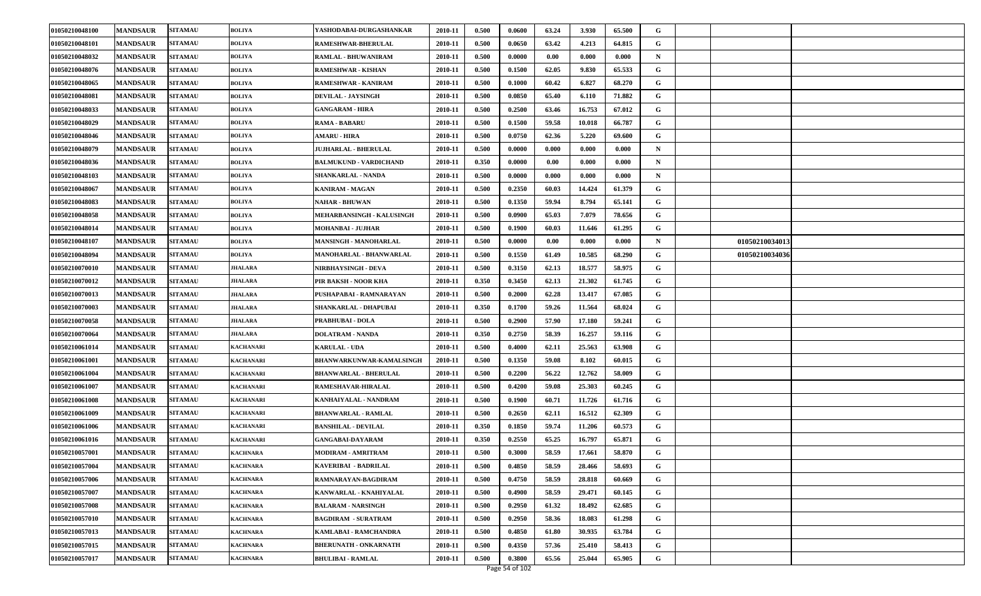| 01050210048100 | <b>MANDSAUR</b> | <b>SITAMAU</b> | <b>BOLIYA</b>    | YASHODABAI-DURGASHANKAR       | 2010-11 | 0.500 | 0.0600 | 63.24 | 3.930  | 65.500 | G           |                |  |
|----------------|-----------------|----------------|------------------|-------------------------------|---------|-------|--------|-------|--------|--------|-------------|----------------|--|
| 01050210048101 | <b>MANDSAUR</b> | <b>SITAMAU</b> | <b>BOLIYA</b>    | RAMESHWAR-BHERULAL            | 2010-11 | 0.500 | 0.0650 | 63.42 | 4.213  | 64.815 | G           |                |  |
| 01050210048032 | <b>MANDSAUR</b> | <b>SITAMAU</b> | <b>BOLIYA</b>    | RAMLAL - BHUWANIRAM           | 2010-11 | 0.500 | 0.0000 | 0.00  | 0.000  | 0.000  | N           |                |  |
| 01050210048076 | <b>MANDSAUR</b> | <b>SITAMAU</b> | BOLIYA           | <b>RAMESHWAR - KISHAN</b>     | 2010-11 | 0.500 | 0.1500 | 62.05 | 9.830  | 65.533 | G           |                |  |
| 01050210048065 | <b>MANDSAUR</b> | <b>SITAMAU</b> | BOLIYA           | RAMESHWAR - KANIRAM           | 2010-11 | 0.500 | 0.1000 | 60.42 | 6.827  | 68.270 | G           |                |  |
| 01050210048081 | <b>MANDSAUR</b> | <b>SITAMAU</b> | <b>BOLIYA</b>    | <b>DEVILAL - JAYSINGH</b>     | 2010-11 | 0.500 | 0.0850 | 65.40 | 6.110  | 71.882 | G           |                |  |
| 01050210048033 | <b>MANDSAUR</b> | <b>SITAMAU</b> | <b>BOLIYA</b>    | <b>GANGARAM - HIRA</b>        | 2010-11 | 0.500 | 0.2500 | 63.46 | 16.753 | 67.012 | G           |                |  |
| 01050210048029 | <b>MANDSAUR</b> | <b>SITAMAU</b> | <b>BOLIYA</b>    | <b>RAMA - BABARU</b>          | 2010-11 | 0.500 | 0.1500 | 59.58 | 10.018 | 66.787 | G           |                |  |
| 01050210048046 | <b>MANDSAUR</b> | <b>SITAMAU</b> | <b>BOLIYA</b>    | <b>AMARU - HIRA</b>           | 2010-11 | 0.500 | 0.0750 | 62.36 | 5.220  | 69.600 | G           |                |  |
| 01050210048079 | <b>MANDSAUR</b> | <b>SITAMAU</b> | BOLIYA           | <b>JUJHARLAL - BHERULAL</b>   | 2010-11 | 0.500 | 0.0000 | 0.000 | 0.000  | 0.000  | $\mathbf N$ |                |  |
| 01050210048036 | <b>MANDSAUR</b> | <b>SITAMAU</b> | <b>BOLIYA</b>    | <b>BALMUKUND - VARDICHAND</b> | 2010-11 | 0.350 | 0.0000 | 0.00  | 0.000  | 0.000  | N           |                |  |
| 01050210048103 | <b>MANDSAUR</b> | <b>SITAMAU</b> | BOLIYA           | SHANKARLAL - NANDA            | 2010-11 | 0.500 | 0.0000 | 0.000 | 0.000  | 0.000  | N           |                |  |
| 01050210048067 | <b>MANDSAUR</b> | <b>SITAMAU</b> | BOLIYA           | <b>KANIRAM - MAGAN</b>        | 2010-11 | 0.500 | 0.2350 | 60.03 | 14.424 | 61.379 | G           |                |  |
| 01050210048083 | <b>MANDSAUR</b> | <b>SITAMAU</b> | <b>BOLIYA</b>    | <b>NAHAR - BHUWAN</b>         | 2010-11 | 0.500 | 0.1350 | 59.94 | 8.794  | 65.141 | G           |                |  |
| 01050210048058 | <b>MANDSAUR</b> | <b>SITAMAU</b> | <b>BOLIYA</b>    | MEHARBANSINGH - KALUSINGH     | 2010-11 | 0.500 | 0.0900 | 65.03 | 7.079  | 78.656 | G           |                |  |
| 01050210048014 | <b>MANDSAUR</b> | <b>SITAMAU</b> | BOLIYA           | MOHANBAI - JUJHAR             | 2010-11 | 0.500 | 0.1900 | 60.03 | 11.646 | 61.295 | G           |                |  |
| 01050210048107 | <b>MANDSAUR</b> | <b>SITAMAU</b> | BOLIYA           | MANSINGH - MANOHARLAL         | 2010-11 | 0.500 | 0.0000 | 0.00  | 0.000  | 0.000  | N           | 01050210034013 |  |
| 01050210048094 | <b>MANDSAUR</b> | <b>SITAMAU</b> | <b>BOLIYA</b>    | MANOHARLAL - BHANWARLAL       | 2010-11 | 0.500 | 0.1550 | 61.49 | 10.585 | 68.290 | G           | 01050210034036 |  |
| 01050210070010 | <b>MANDSAUR</b> | <b>SITAMAU</b> | JHALARA          | NIRBHAYSINGH - DEVA           | 2010-11 | 0.500 | 0.3150 | 62.13 | 18.577 | 58.975 | G           |                |  |
| 01050210070012 | <b>MANDSAUR</b> | <b>SITAMAU</b> | JHALARA          | PIR BAKSH - NOOR KHA          | 2010-11 | 0.350 | 0.3450 | 62.13 | 21.302 | 61.745 | G           |                |  |
| 01050210070013 | <b>MANDSAUR</b> | <b>SITAMAU</b> | JHALARA          | PUSHAPABAI - RAMNARAYAN       | 2010-11 | 0.500 | 0.2000 | 62.28 | 13.417 | 67.085 | G           |                |  |
| 01050210070003 | <b>MANDSAUR</b> | <b>SITAMAU</b> | <b>JHALARA</b>   | SHANKARLAL - DHAPUBAI         | 2010-11 | 0.350 | 0.1700 | 59.26 | 11.564 | 68.024 | G           |                |  |
| 01050210070058 | <b>MANDSAUR</b> | <b>SITAMAU</b> | JHALARA          | <b>PRABHUBAI - DOLA</b>       | 2010-11 | 0.500 | 0.2900 | 57.90 | 17.180 | 59.241 | G           |                |  |
| 01050210070064 | <b>MANDSAUR</b> | <b>SITAMAU</b> | JHALARA          | <b>DOLATRAM - NANDA</b>       | 2010-11 | 0.350 | 0.2750 | 58.39 | 16.257 | 59.116 | G           |                |  |
| 01050210061014 | <b>MANDSAUR</b> | <b>SITAMAU</b> | <b>KACHANARI</b> | <b>KARULAL - UDA</b>          | 2010-11 | 0.500 | 0.4000 | 62.11 | 25.563 | 63.908 | G           |                |  |
| 01050210061001 | <b>MANDSAUR</b> | <b>SITAMAU</b> | <b>KACHANARI</b> | BHANWARKUNWAR-KAMALSINGH      | 2010-11 | 0.500 | 0.1350 | 59.08 | 8.102  | 60.015 | G           |                |  |
| 01050210061004 | <b>MANDSAUR</b> | <b>SITAMAU</b> | KACHANARI        | <b>BHANWARLAL - BHERULAL</b>  | 2010-11 | 0.500 | 0.2200 | 56.22 | 12.762 | 58.009 | G           |                |  |
| 01050210061007 | <b>MANDSAUR</b> | <b>SITAMAU</b> | KACHANARI        | RAMESHAVAR-HIRALAL            | 2010-11 | 0.500 | 0.4200 | 59.08 | 25.303 | 60.245 | G           |                |  |
| 01050210061008 | <b>MANDSAUR</b> | <b>SITAMAU</b> | <b>KACHANARI</b> | KANHAIYALAL - NANDRAM         | 2010-11 | 0.500 | 0.1900 | 60.71 | 11.726 | 61.716 | G           |                |  |
| 01050210061009 | <b>MANDSAUR</b> | <b>SITAMAU</b> | <b>KACHANARI</b> | <b>BHANWARLAL - RAMLAL</b>    | 2010-11 | 0.500 | 0.2650 | 62.11 | 16.512 | 62.309 | G           |                |  |
| 01050210061006 | <b>MANDSAUR</b> | <b>SITAMAU</b> | KACHANARI        | <b>BANSHILAL - DEVILAL</b>    | 2010-11 | 0.350 | 0.1850 | 59.74 | 11.206 | 60.573 | G           |                |  |
| 01050210061016 | <b>MANDSAUR</b> | <b>SITAMAU</b> | KACHANARI        | <b>GANGABAI-DAYARAM</b>       | 2010-11 | 0.350 | 0.2550 | 65.25 | 16.797 | 65.871 | G           |                |  |
| 01050210057001 | <b>MANDSAUR</b> | <b>SITAMAU</b> | KACHNARA         | MODIRAM - AMRITRAM            | 2010-11 | 0.500 | 0.3000 | 58.59 | 17.661 | 58.870 | G           |                |  |
| 01050210057004 | <b>MANDSAUR</b> | <b>SITAMAU</b> | <b>KACHNARA</b>  | <b>KAVERIBAI - BADRILAL</b>   | 2010-11 | 0.500 | 0.4850 | 58.59 | 28.466 | 58.693 | G           |                |  |
| 01050210057006 | <b>MANDSAUR</b> | <b>SITAMAU</b> | <b>KACHNARA</b>  | RAMNARAYAN-BAGDIRAM           | 2010-11 | 0.500 | 0.4750 | 58.59 | 28.818 | 60.669 | G           |                |  |
| 01050210057007 | <b>MANDSAUR</b> | <b>SITAMAU</b> | <b>KACHNARA</b>  | KANWARLAL - KNAHIYALAL        | 2010-11 | 0.500 | 0.4900 | 58.59 | 29.471 | 60.145 | G           |                |  |
| 01050210057008 | <b>MANDSAUR</b> | <b>SITAMAU</b> | <b>KACHNARA</b>  | <b>BALARAM - NARSINGH</b>     | 2010-11 | 0.500 | 0.2950 | 61.32 | 18.492 | 62.685 | G           |                |  |
| 01050210057010 | <b>MANDSAUR</b> | <b>SITAMAU</b> | <b>KACHNARA</b>  | <b>BAGDIRAM - SURATRAM</b>    | 2010-11 | 0.500 | 0.2950 | 58.36 | 18.083 | 61.298 | G           |                |  |
| 01050210057013 | <b>MANDSAUR</b> | <b>SITAMAU</b> | KACHNARA         | KAMLABAI - RAMCHANDRA         | 2010-11 | 0.500 | 0.4850 | 61.80 | 30.935 | 63.784 | G           |                |  |
| 01050210057015 | <b>MANDSAUR</b> | <b>SITAMAU</b> | <b>KACHNARA</b>  | <b>BHERUNATH - ONKARNATH</b>  | 2010-11 | 0.500 | 0.4350 | 57.36 | 25.410 | 58.413 | G           |                |  |
| 01050210057017 | <b>MANDSAUR</b> | <b>SITAMAU</b> | <b>KACHNARA</b>  | <b>BHULIBAI - RAMLAL</b>      | 2010-11 | 0.500 | 0.3800 | 65.56 | 25.044 | 65.905 | G           |                |  |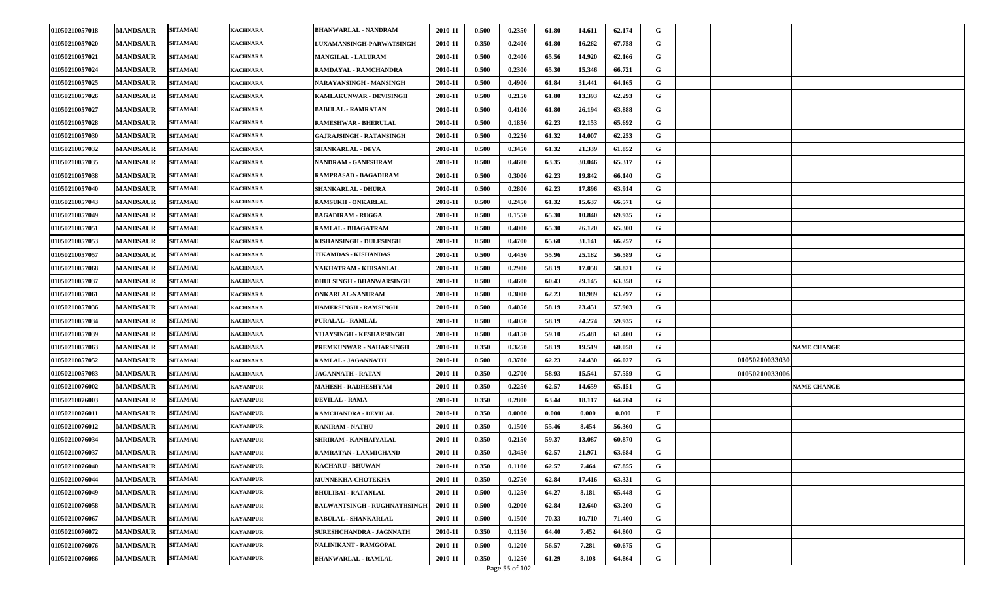| 01050210057018 | <b>MANDSAUR</b> | <b>SITAMAU</b> | <b>KACHNARA</b> | <b>BHANWARLAL - NANDRAM</b>         | 2010-11 | 0.500 | 0.2350 | 61.80 | 14.611 | 62.174 | G            |                |                    |
|----------------|-----------------|----------------|-----------------|-------------------------------------|---------|-------|--------|-------|--------|--------|--------------|----------------|--------------------|
| 01050210057020 | <b>MANDSAUR</b> | <b>SITAMAU</b> | <b>KACHNARA</b> | <b>LUXAMANSINGH-PARWATSINGH</b>     | 2010-11 | 0.350 | 0.2400 | 61.80 | 16.262 | 67.758 | G            |                |                    |
| 01050210057021 | <b>MANDSAUR</b> | <b>SITAMAU</b> | <b>KACHNARA</b> | <b>MANGILAL - LALURAM</b>           | 2010-11 | 0.500 | 0.2400 | 65.56 | 14.920 | 62.166 | G            |                |                    |
| 01050210057024 | <b>MANDSAUR</b> | <b>SITAMAU</b> | <b>KACHNARA</b> | RAMDAYAL - RAMCHANDRA               | 2010-11 | 0.500 | 0.2300 | 65.30 | 15.346 | 66.721 | G            |                |                    |
| 01050210057025 | <b>MANDSAUR</b> | <b>SITAMAU</b> | <b>KACHNARA</b> | NARAYANSINGH - MANSINGH             | 2010-11 | 0.500 | 0.4900 | 61.84 | 31.441 | 64.165 | G            |                |                    |
| 01050210057026 | <b>MANDSAUR</b> | <b>SITAMAU</b> | <b>KACHNARA</b> | KAMLAKUNWAR - DEVISINGH             | 2010-11 | 0.500 | 0.2150 | 61.80 | 13.393 | 62.293 | G            |                |                    |
| 01050210057027 | <b>MANDSAUR</b> | <b>SITAMAU</b> | <b>KACHNARA</b> | <b>BABULAL - RAMRATAN</b>           | 2010-11 | 0.500 | 0.4100 | 61.80 | 26.194 | 63.888 | G            |                |                    |
| 01050210057028 | <b>MANDSAUR</b> | <b>SITAMAU</b> | <b>KACHNARA</b> | <b>RAMESHWAR - BHERULAL</b>         | 2010-11 | 0.500 | 0.1850 | 62.23 | 12.153 | 65.692 | G            |                |                    |
| 01050210057030 | <b>MANDSAUR</b> | <b>SITAMAU</b> | <b>KACHNARA</b> | <b>GAJRAJSINGH - RATANSINGH</b>     | 2010-11 | 0.500 | 0.2250 | 61.32 | 14.007 | 62.253 | G            |                |                    |
| 01050210057032 | <b>MANDSAUR</b> | <b>SITAMAU</b> | <b>KACHNARA</b> | <b>SHANKARLAL - DEVA</b>            | 2010-11 | 0.500 | 0.3450 | 61.32 | 21.339 | 61.852 | G            |                |                    |
| 01050210057035 | <b>MANDSAUR</b> | <b>SITAMAU</b> | <b>KACHNARA</b> | NANDRAM - GANESHRAM                 | 2010-11 | 0.500 | 0.4600 | 63.35 | 30.046 | 65.317 | G            |                |                    |
| 01050210057038 | <b>MANDSAUR</b> | <b>SITAMAU</b> | <b>KACHNARA</b> | RAMPRASAD - BAGADIRAM               | 2010-11 | 0.500 | 0.3000 | 62.23 | 19.842 | 66.140 | G            |                |                    |
| 01050210057040 | <b>MANDSAUR</b> | <b>SITAMAU</b> | <b>KACHNARA</b> | <b>SHANKARLAL - DHURA</b>           | 2010-11 | 0.500 | 0.2800 | 62.23 | 17.896 | 63.914 | G            |                |                    |
| 01050210057043 | <b>MANDSAUR</b> | <b>SITAMAU</b> | <b>KACHNARA</b> | <b>RAMSUKH - ONKARLAL</b>           | 2010-11 | 0.500 | 0.2450 | 61.32 | 15.637 | 66.571 | G            |                |                    |
| 01050210057049 | <b>MANDSAUR</b> | <b>SITAMAU</b> | <b>KACHNARA</b> | <b>BAGADIRAM - RUGGA</b>            | 2010-11 | 0.500 | 0.1550 | 65.30 | 10.840 | 69.935 | G            |                |                    |
| 01050210057051 | <b>MANDSAUR</b> | <b>SITAMAU</b> | <b>KACHNARA</b> | RAMLAL - BHAGATRAM                  | 2010-11 | 0.500 | 0.4000 | 65.30 | 26.120 | 65.300 | G            |                |                    |
| 01050210057053 | <b>MANDSAUR</b> | <b>SITAMAU</b> | <b>KACHNARA</b> | KISHANSINGH - DULESINGH             | 2010-11 | 0.500 | 0.4700 | 65.60 | 31.141 | 66.257 | G            |                |                    |
| 01050210057057 | <b>MANDSAUR</b> | <b>SITAMAU</b> | <b>KACHNARA</b> | TIKAMDAS - KISHANDAS                | 2010-11 | 0.500 | 0.4450 | 55.96 | 25.182 | 56.589 | G            |                |                    |
| 01050210057068 | <b>MANDSAUR</b> | <b>SITAMAU</b> | <b>KACHNARA</b> | VAKHATRAM - KIHSANLAL               | 2010-11 | 0.500 | 0.2900 | 58.19 | 17.058 | 58.821 | G            |                |                    |
| 01050210057037 | <b>MANDSAUR</b> | <b>SITAMAU</b> | <b>KACHNARA</b> | <b>DHULSINGH - BHANWARSINGH</b>     | 2010-11 | 0.500 | 0.4600 | 60.43 | 29.145 | 63.358 | G            |                |                    |
| 01050210057061 | <b>MANDSAUR</b> | <b>SITAMAU</b> | <b>KACHNARA</b> | <b>ONKARLAL-NANURAM</b>             | 2010-11 | 0.500 | 0.3000 | 62.23 | 18.989 | 63.297 | G            |                |                    |
| 01050210057036 | <b>MANDSAUR</b> | <b>SITAMAU</b> | <b>KACHNARA</b> | HAMERSINGH - RAMSINGH               | 2010-11 | 0.500 | 0.4050 | 58.19 | 23.451 | 57.903 | G            |                |                    |
| 01050210057034 | <b>MANDSAUR</b> | <b>SITAMAU</b> | <b>KACHNARA</b> | PURALAL - RAMLAL                    | 2010-11 | 0.500 | 0.4050 | 58.19 | 24.274 | 59.935 | G            |                |                    |
| 01050210057039 | <b>MANDSAUR</b> | <b>SITAMAU</b> | <b>KACHNARA</b> | VIJAYSINGH - KESHARSINGH            | 2010-11 | 0.500 | 0.4150 | 59.10 | 25.481 | 61.400 | G            |                |                    |
| 01050210057063 | <b>MANDSAUR</b> | <b>SITAMAU</b> | <b>KACHNARA</b> | PREMKUNWAR - NAHARSINGH             | 2010-11 | 0.350 | 0.3250 | 58.19 | 19.519 | 60.058 | G            |                | <b>NAME CHANGE</b> |
| 01050210057052 | <b>MANDSAUR</b> | <b>SITAMAU</b> | <b>KACHNARA</b> | RAMLAL - JAGANNATH                  | 2010-11 | 0.500 | 0.3700 | 62.23 | 24.430 | 66.027 | G            | 01050210033030 |                    |
| 01050210057083 | <b>MANDSAUR</b> | <b>SITAMAU</b> | <b>KACHNARA</b> | JAGANNATH - RATAN                   | 2010-11 | 0.350 | 0.2700 | 58.93 | 15.541 | 57.559 | G            | 01050210033006 |                    |
| 01050210076002 | <b>MANDSAUR</b> | <b>SITAMAU</b> | <b>KAYAMPUR</b> | MAHESH - RADHESHYAM                 | 2010-11 | 0.350 | 0.2250 | 62.57 | 14.659 | 65.151 | G            |                | <b>NAME CHANGE</b> |
| 01050210076003 | <b>MANDSAUR</b> | <b>SITAMAU</b> | <b>KAYAMPUR</b> | <b>DEVILAL - RAMA</b>               | 2010-11 | 0.350 | 0.2800 | 63.44 | 18.117 | 64.704 | G            |                |                    |
| 01050210076011 | <b>MANDSAUR</b> | <b>SITAMAU</b> | <b>KAYAMPUR</b> | RAMCHANDRA - DEVILAL                | 2010-11 | 0.350 | 0.0000 | 0.000 | 0.000  | 0.000  | $\mathbf{F}$ |                |                    |
| 01050210076012 | <b>MANDSAUR</b> | <b>SITAMAU</b> | KAYAMPUR        | KANIRAM - NATHU                     | 2010-11 | 0.350 | 0.1500 | 55.46 | 8.454  | 56.360 | G            |                |                    |
| 01050210076034 | <b>MANDSAUR</b> | <b>SITAMAU</b> | <b>KAYAMPUR</b> | SHRIRAM - KANHAIYALAL               | 2010-11 | 0.350 | 0.2150 | 59.37 | 13.087 | 60.870 | G            |                |                    |
| 01050210076037 | <b>MANDSAUR</b> | <b>SITAMAU</b> | <b>KAYAMPUR</b> | RAMRATAN - LAXMICHAND               | 2010-11 | 0.350 | 0.3450 | 62.57 | 21.971 | 63.684 | G            |                |                    |
| 01050210076040 | <b>MANDSAUR</b> | <b>SITAMAU</b> | <b>KAYAMPUR</b> | <b>KACHARU - BHUWAN</b>             | 2010-11 | 0.350 | 0.1100 | 62.57 | 7.464  | 67.855 | G            |                |                    |
| 01050210076044 | <b>MANDSAUR</b> | <b>SITAMAU</b> | <b>KAYAMPUR</b> | MUNNEKHA-CHOTEKHA                   | 2010-11 | 0.350 | 0.2750 | 62.84 | 17.416 | 63.331 | G            |                |                    |
| 01050210076049 | <b>MANDSAUR</b> | <b>SITAMAU</b> | <b>KAYAMPUR</b> | <b>BHULIBAI - RATANLAL</b>          | 2010-11 | 0.500 | 0.1250 | 64.27 | 8.181  | 65.448 | G            |                |                    |
| 01050210076058 | <b>MANDSAUR</b> | <b>SITAMAU</b> | <b>KAYAMPUR</b> | <b>BALWANTSINGH - RUGHNATHSINGE</b> | 2010-11 | 0.500 | 0.2000 | 62.84 | 12.640 | 63.200 | G            |                |                    |
| 01050210076067 | <b>MANDSAUR</b> | <b>SITAMAU</b> | <b>KAYAMPUR</b> | <b>BABULAL - SHANKARLAL</b>         | 2010-11 | 0.500 | 0.1500 | 70.33 | 10.710 | 71.400 | G            |                |                    |
| 01050210076072 | <b>MANDSAUR</b> | <b>SITAMAU</b> | <b>KAYAMPUR</b> | SURESHCHANDRA - JAGNNATH            | 2010-11 | 0.350 | 0.1150 | 64.40 | 7.452  | 64.800 | G            |                |                    |
| 01050210076076 | <b>MANDSAUR</b> | <b>SITAMAU</b> | <b>KAYAMPUR</b> | NALINIKANT - RAMGOPAL               | 2010-11 | 0.500 | 0.1200 | 56.57 | 7.281  | 60.675 | G            |                |                    |
| 01050210076086 | <b>MANDSAUR</b> | <b>SITAMAU</b> | <b>KAYAMPUR</b> | <b>BHANWARLAL - RAMLAL</b>          | 2010-11 | 0.350 | 0.1250 | 61.29 | 8.108  | 64.864 | G            |                |                    |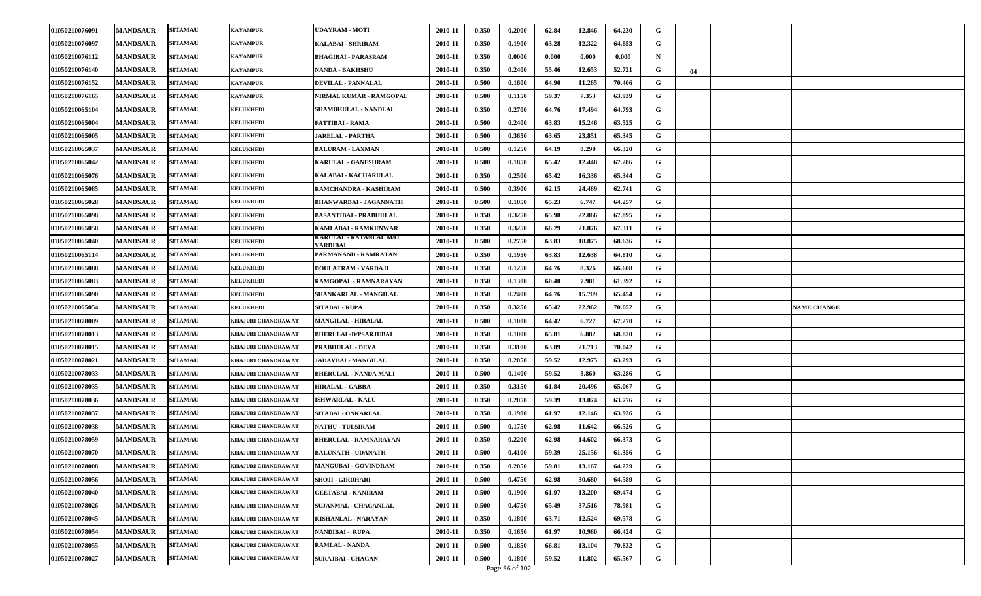| 01050210076091 | <b>MANDSAUR</b> | <b>SITAMAU</b> | KAYAMPUR                  | <b>UDAYRAM - MOTI</b>              | 2010-11 | 0.350 | 0.2000                   | 62.84 | 12.846 | 64.230 | G |    |                    |
|----------------|-----------------|----------------|---------------------------|------------------------------------|---------|-------|--------------------------|-------|--------|--------|---|----|--------------------|
| 01050210076097 | <b>MANDSAUR</b> | <b>SITAMAU</b> | KAYAMPUR                  | <b>KALABAI - SHRIRAM</b>           | 2010-11 | 0.350 | 0.1900                   | 63.28 | 12.322 | 64.853 | G |    |                    |
| 01050210076112 | <b>MANDSAUR</b> | <b>SITAMAU</b> | KAYAMPUR                  | <b>BHAGIBAI - PARASRAM</b>         | 2010-11 | 0.350 | 0.0000                   | 0.000 | 0.000  | 0.000  | N |    |                    |
| 01050210076140 | <b>MANDSAUR</b> | <b>SITAMAU</b> | KAYAMPUR                  | <b>NANDA - BAKHSHU</b>             | 2010-11 | 0.350 | 0.2400                   | 55.46 | 12.653 | 52.721 | G | 04 |                    |
| 01050210076152 | <b>MANDSAUR</b> | <b>SITAMAU</b> | KAYAMPUR                  | <b>DEVILAL - PANNALAL</b>          | 2010-11 | 0.500 | 0.1600                   | 64.90 | 11.265 | 70.406 | G |    |                    |
| 01050210076165 | <b>MANDSAUR</b> | <b>SITAMAU</b> | KAYAMPUR                  | NIRMAL KUMAR - RAMGOPAL            | 2010-11 | 0.500 | 0.1150                   | 59.37 | 7.353  | 63.939 | G |    |                    |
| 01050210065104 | <b>MANDSAUR</b> | <b>SITAMAU</b> | <b>KELUKHEDI</b>          | SHAMBHULAL - NANDLAL               | 2010-11 | 0.350 | 0.2700                   | 64.76 | 17.494 | 64.793 | G |    |                    |
| 01050210065004 | <b>MANDSAUR</b> | <b>SITAMAU</b> | <b>KELUKHEDI</b>          | FATTIBAI - RAMA                    | 2010-11 | 0.500 | 0.2400                   | 63.83 | 15.246 | 63.525 | G |    |                    |
| 01050210065005 | <b>MANDSAUR</b> | <b>SITAMAU</b> | <b>KELUKHEDI</b>          | <b>JARELAL - PARTHA</b>            | 2010-11 | 0.500 | 0.3650                   | 63.65 | 23.851 | 65.345 | G |    |                    |
| 01050210065037 | <b>MANDSAUR</b> | <b>SITAMAU</b> | <b>KELUKHEDI</b>          | <b>BALURAM - LAXMAN</b>            | 2010-11 | 0.500 | 0.1250                   | 64.19 | 8.290  | 66.320 | G |    |                    |
| 01050210065042 | <b>MANDSAUR</b> | <b>SITAMAU</b> | <b>KELUKHEDI</b>          | KARULAL - GANESHRAM                | 2010-11 | 0.500 | 0.1850                   | 65.42 | 12.448 | 67.286 | G |    |                    |
| 01050210065076 | <b>MANDSAUR</b> | <b>SITAMAU</b> | <b>KELUKHEDI</b>          | KALABAI - KACHARULAL               | 2010-11 | 0.350 | 0.2500                   | 65.42 | 16.336 | 65.344 | G |    |                    |
| 01050210065085 | <b>MANDSAUR</b> | <b>SITAMAU</b> | <b>KELUKHEDI</b>          | RAMCHANDRA - KASHIRAM              | 2010-11 | 0.500 | 0.3900                   | 62.15 | 24.469 | 62.741 | G |    |                    |
| 01050210065028 | <b>MANDSAUR</b> | <b>SITAMAU</b> | <b>KELUKHEDI</b>          | <b>BHANWARBAI - JAGANNATH</b>      | 2010-11 | 0.500 | 0.1050                   | 65.23 | 6.747  | 64.257 | G |    |                    |
| 01050210065098 | <b>MANDSAUR</b> | <b>SITAMAU</b> | <b>KELUKHEDI</b>          | <b>BASANTIBAI - PRABHULAL</b>      | 2010-11 | 0.350 | 0.3250                   | 65.98 | 22.066 | 67.895 | G |    |                    |
| 01050210065058 | <b>MANDSAUR</b> | <b>SITAMAU</b> | <b>KELUKHEDI</b>          | KAMLABAI - RAMKUNWAR               | 2010-11 | 0.350 | 0.3250                   | 66.29 | 21.876 | 67.311 | G |    |                    |
| 01050210065040 | <b>MANDSAUR</b> | <b>SITAMAU</b> | <b>KELUKHEDI</b>          | KARULAL - RATANLAL M/O<br>VARDIBAI | 2010-11 | 0.500 | 0.2750                   | 63.83 | 18.875 | 68.636 | G |    |                    |
| 01050210065114 | <b>MANDSAUR</b> | <b>SITAMAU</b> | <b>KELUKHEDI</b>          | PARMANAND - RAMRATAN               | 2010-11 | 0.350 | 0.1950                   | 63.83 | 12.638 | 64.810 | G |    |                    |
| 01050210065088 | <b>MANDSAUR</b> | <b>SITAMAU</b> | <b>KELUKHEDI</b>          | DOULATRAM - VARDAJI                | 2010-11 | 0.350 | 0.1250                   | 64.76 | 8.326  | 66.608 | G |    |                    |
| 01050210065083 | <b>MANDSAUR</b> | <b>SITAMAU</b> | <b>KELUKHEDI</b>          | RAMGOPAL - RAMNARAYAN              | 2010-11 | 0.350 | 0.1300                   | 60.40 | 7.981  | 61.392 | G |    |                    |
| 01050210065090 | <b>MANDSAUR</b> | <b>SITAMAU</b> | <b>KELUKHEDI</b>          | SHANKARLAL - MANGILAL              | 2010-11 | 0.350 | 0.2400                   | 64.76 | 15.709 | 65.454 | G |    |                    |
|                |                 |                |                           |                                    |         |       |                          |       |        |        |   |    |                    |
| 01050210065054 | <b>MANDSAUR</b> | <b>SITAMAU</b> | <b>KELUKHEDI</b>          | <b>SITABAI - RUPA</b>              | 2010-11 | 0.350 | 0.3250                   | 65.42 | 22.962 | 70.652 | G |    | <b>NAME CHANGE</b> |
| 01050210078009 | <b>MANDSAUR</b> | <b>SITAMAU</b> | KHAJURI CHANDRAWAT        | <b>MANGILAL - HIRALAL</b>          | 2010-11 | 0.500 | 0.1000                   | 64.42 | 6.727  | 67.270 | G |    |                    |
| 01050210078013 | <b>MANDSAUR</b> | <b>SITAMAU</b> | KHAJURI CHANDRAWAT        | <b>BHERULAL-D/PSARJUBAI</b>        | 2010-11 | 0.350 | 0.1000                   | 65.81 | 6.882  | 68.820 | G |    |                    |
| 01050210078015 | <b>MANDSAUR</b> | <b>SITAMAU</b> | KHAJURI CHANDRAWAT        | <b>PRABHULAL - DEVA</b>            | 2010-11 | 0.350 | 0.3100                   | 63.89 | 21.713 | 70.042 | G |    |                    |
| 01050210078021 | <b>MANDSAUR</b> | <b>SITAMAU</b> | KHAJURI CHANDRAWAT        | JADAVBAI - MANGILAL                | 2010-11 | 0.350 | 0.2050                   | 59.52 | 12.975 | 63.293 | G |    |                    |
| 01050210078033 | <b>MANDSAUR</b> | <b>SITAMAU</b> | <b>KHAJURI CHANDRAWAT</b> | <b>BHERULAL - NANDA MALI</b>       | 2010-11 | 0.500 | 0.1400                   | 59.52 | 8.860  | 63.286 | G |    |                    |
| 01050210078035 | <b>MANDSAUR</b> | <b>SITAMAU</b> | KHAJURI CHANDRAWAT        | <b>HIRALAL - GABBA</b>             | 2010-11 | 0.350 | 0.3150                   | 61.84 | 20.496 | 65.067 | G |    |                    |
| 01050210078036 | <b>MANDSAUR</b> | <b>SITAMAU</b> | KHAJURI CHANDRAWAT        | <b>ISHWARLAL - KALU</b>            | 2010-11 | 0.350 | 0.2050                   | 59.39 | 13.074 | 63.776 | G |    |                    |
| 01050210078037 | <b>MANDSAUR</b> | <b>SITAMAU</b> | KHAJURI CHANDRAWAT        | SITABAI - ONKARLAL                 | 2010-11 | 0.350 | 0.1900                   | 61.97 | 12.146 | 63.926 | G |    |                    |
| 01050210078038 | <b>MANDSAUR</b> | <b>SITAMAU</b> | KHAJURI CHANDRAWAT        | <b>NATHU - TULSIRAM</b>            | 2010-11 | 0.500 | 0.1750                   | 62.98 | 11.642 | 66.526 | G |    |                    |
| 01050210078059 | <b>MANDSAUR</b> | <b>SITAMAU</b> | KHAJURI CHANDRAWAT        | <b>BHERULAL - RAMNARAYAN</b>       | 2010-11 | 0.350 | 0.2200                   | 62.98 | 14.602 | 66.373 | G |    |                    |
| 01050210078070 | <b>MANDSAUR</b> | <b>SITAMAU</b> | KHAJURI CHANDRAWAT        | <b>BALUNATH - UDANATH</b>          | 2010-11 | 0.500 | 0.4100                   | 59.39 | 25.156 | 61.356 | G |    |                    |
| 01050210078008 | <b>MANDSAUR</b> | <b>SITAMAU</b> | KHAJURI CHANDRAWAT        | <b>MANGUBAI - GOVINDRAM</b>        | 2010-11 | 0.350 | 0.2050                   | 59.81 | 13.167 | 64.229 | G |    |                    |
| 01050210078056 | <b>MANDSAUR</b> | <b>SITAMAU</b> | KHAJURI CHANDRAWAT        | <b>SHOJI - GIRDHARI</b>            | 2010-11 | 0.500 | 0.4750                   | 62.98 | 30.680 | 64.589 | G |    |                    |
| 01050210078040 | <b>MANDSAUR</b> | <b>SITAMAU</b> | KHAJURI CHANDRAWAT        | <b>GEETABAI - KANIRAM</b>          | 2010-11 | 0.500 | 0.1900                   | 61.97 | 13.200 | 69.474 | G |    |                    |
| 01050210078026 | <b>MANDSAUR</b> | <b>SITAMAU</b> | KHAJURI CHANDRAWAT        | <b>SUJANMAL - CHAGANLAL</b>        | 2010-11 | 0.500 | 0.4750                   | 65.49 | 37.516 | 78.981 | G |    |                    |
| 01050210078045 | <b>MANDSAUR</b> | <b>SITAMAU</b> | KHAJURI CHANDRAWAT        | <b>KISHANLAL - NARAYAN</b>         | 2010-11 | 0.350 | 0.1800                   | 63.71 | 12.524 | 69.578 | G |    |                    |
| 01050210078054 | <b>MANDSAUR</b> | <b>SITAMAU</b> | KHAJURI CHANDRAWAT        | NANDIBAI - RUPA                    | 2010-11 | 0.350 | 0.1650                   | 61.97 | 10.960 | 66.424 | G |    |                    |
| 01050210078055 | <b>MANDSAUR</b> | <b>SITAMAU</b> | KHAJURI CHANDRAWAT        | <b>RAMLAL - NANDA</b>              | 2010-11 | 0.500 | 0.1850                   | 66.81 | 13.104 | 70.832 | G |    |                    |
| 01050210078027 | <b>MANDSAUR</b> | <b>SITAMAU</b> | KHAJURI CHANDRAWAT        | <b>SURAJBAI - CHAGAN</b>           | 2010-11 | 0.500 | 0.1800<br>Page 56 of 102 | 59.52 | 11.802 | 65.567 | G |    |                    |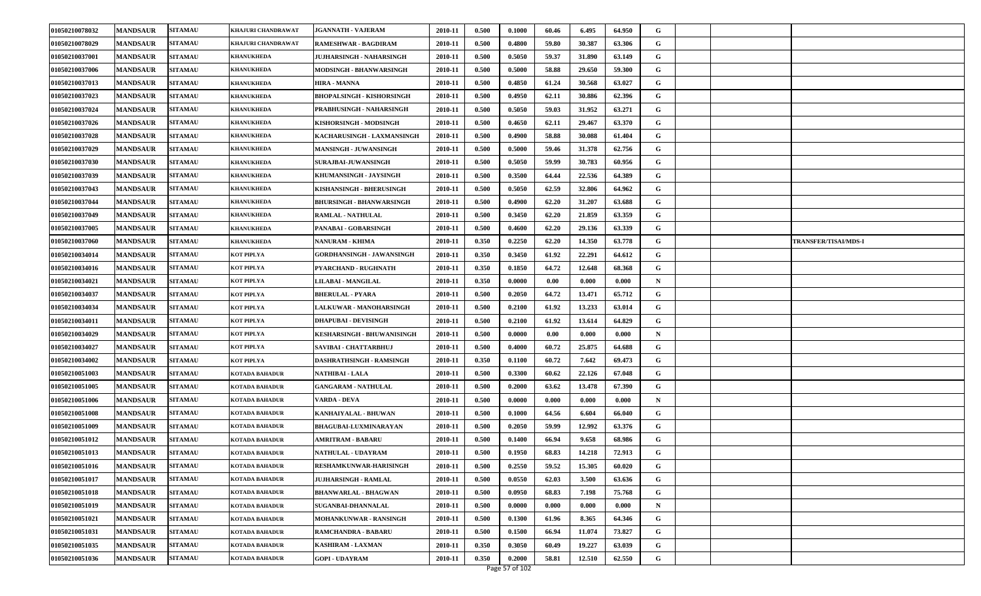| 01050210078032 | <b>MANDSAUR</b> | <b>SITAMAU</b> | KHAJURI CHANDRAWAT    | <b>JGANNATH - VAJERAM</b>        | 2010-11 | 0.500 | 0.1000         | 60.46 | 6.495  | 64.950 | G           |                             |
|----------------|-----------------|----------------|-----------------------|----------------------------------|---------|-------|----------------|-------|--------|--------|-------------|-----------------------------|
| 01050210078029 | <b>MANDSAUR</b> | <b>SITAMAU</b> | KHAJURI CHANDRAWAT    | RAMESHWAR - BAGDIRAM             | 2010-11 | 0.500 | 0.4800         | 59.80 | 30.387 | 63.306 | G           |                             |
| 01050210037001 | <b>MANDSAUR</b> | <b>SITAMAU</b> | <b>KHANUKHEDA</b>     | <b>JUJHARSINGH - NAHARSINGH</b>  | 2010-11 | 0.500 | 0.5050         | 59.37 | 31.890 | 63.149 | G           |                             |
| 01050210037006 | <b>MANDSAUR</b> | <b>SITAMAU</b> | <b>KHANUKHEDA</b>     | MODSINGH - BHANWARSINGH          | 2010-11 | 0.500 | 0.5000         | 58.88 | 29.650 | 59.300 | G           |                             |
| 01050210037013 | <b>MANDSAUR</b> | <b>SITAMAU</b> | <b>KHANUKHEDA</b>     | <b>HIRA - MANNA</b>              | 2010-11 | 0.500 | 0.4850         | 61.24 | 30.568 | 63.027 | G           |                             |
| 01050210037023 | <b>MANDSAUR</b> | <b>SITAMAU</b> | <b>KHANUKHEDA</b>     | <b>BHOPALSINGH - KISHORSINGH</b> | 2010-11 | 0.500 | 0.4950         | 62.11 | 30.886 | 62.396 | G           |                             |
| 01050210037024 | <b>MANDSAUR</b> | <b>SITAMAU</b> | <b>KHANUKHEDA</b>     | PRABHUSINGH - NAHARSINGH         | 2010-11 | 0.500 | 0.5050         | 59.03 | 31.952 | 63.271 | G           |                             |
| 01050210037026 | <b>MANDSAUR</b> | <b>SITAMAU</b> | <b>KHANUKHEDA</b>     | KISHORSINGH - MODSINGH           | 2010-11 | 0.500 | 0.4650         | 62.11 | 29.467 | 63.370 | G           |                             |
| 01050210037028 | <b>MANDSAUR</b> | <b>SITAMAU</b> | <b>KHANUKHEDA</b>     | KACHARUSINGH - LAXMANSINGH       | 2010-11 | 0.500 | 0.4900         | 58.88 | 30.088 | 61.404 | G           |                             |
| 01050210037029 | <b>MANDSAUR</b> | <b>SITAMAU</b> | <b>KHANUKHEDA</b>     | <b>MANSINGH - JUWANSINGH</b>     | 2010-11 | 0.500 | 0.5000         | 59.46 | 31.378 | 62.756 | G           |                             |
| 01050210037030 | <b>MANDSAUR</b> | <b>SITAMAU</b> | <b>KHANUKHEDA</b>     | <b>SURAJBAI-JUWANSINGH</b>       | 2010-11 | 0.500 | 0.5050         | 59.99 | 30.783 | 60.956 | G           |                             |
| 01050210037039 | <b>MANDSAUR</b> | <b>SITAMAU</b> | <b>KHANUKHEDA</b>     | KHUMANSINGH - JAYSINGH           | 2010-11 | 0.500 | 0.3500         | 64.44 | 22.536 | 64.389 | G           |                             |
| 01050210037043 | <b>MANDSAUR</b> | <b>SITAMAU</b> | <b>KHANUKHEDA</b>     | KISHANSINGH - BHERUSINGH         | 2010-11 | 0.500 | 0.5050         | 62.59 | 32.806 | 64.962 | G           |                             |
| 01050210037044 | <b>MANDSAUR</b> | <b>SITAMAU</b> | <b>KHANUKHEDA</b>     | <b>BHURSINGH - BHANWARSINGH</b>  | 2010-11 | 0.500 | 0.4900         | 62.20 | 31.207 | 63.688 | G           |                             |
| 01050210037049 | <b>MANDSAUR</b> | <b>SITAMAU</b> | <b>KHANUKHEDA</b>     | <b>RAMLAL - NATHULAL</b>         | 2010-11 | 0.500 | 0.3450         | 62.20 | 21.859 | 63.359 | G           |                             |
| 01050210037005 | <b>MANDSAUR</b> | <b>SITAMAU</b> | <b>KHANUKHEDA</b>     | PANABAI - GOBARSINGH             | 2010-11 | 0.500 | 0.4600         | 62.20 | 29.136 | 63.339 | G           |                             |
| 01050210037060 | <b>MANDSAUR</b> | <b>SITAMAU</b> | <b>KHANUKHEDA</b>     | <b>NANURAM - KHIMA</b>           | 2010-11 | 0.350 | 0.2250         | 62.20 | 14.350 | 63.778 | G           | <b>TRANSFER/TISAI/MDS-I</b> |
| 01050210034014 | <b>MANDSAUR</b> | <b>SITAMAU</b> | KOT PIPLYA            | <b>GORDHANSINGH - JAWANSINGH</b> | 2010-11 | 0.350 | 0.3450         | 61.92 | 22.291 | 64.612 | G           |                             |
| 01050210034016 | <b>MANDSAUR</b> | <b>SITAMAU</b> | KOT PIPLYA            | PYARCHAND - RUGHNATH             | 2010-11 | 0.350 | 0.1850         | 64.72 | 12.648 | 68.368 | G           |                             |
| 01050210034021 | <b>MANDSAUR</b> | <b>SITAMAU</b> | KOT PIPLYA            | <b>LILABAI - MANGILAL</b>        | 2010-11 | 0.350 | 0.0000         | 0.00  | 0.000  | 0.000  | N           |                             |
| 01050210034037 | <b>MANDSAUR</b> | <b>SITAMAU</b> | KOT PIPLYA            | <b>BHERULAL - PYARA</b>          | 2010-11 | 0.500 | 0.2050         | 64.72 | 13.471 | 65.712 | G           |                             |
| 01050210034034 | <b>MANDSAUR</b> | <b>SITAMAU</b> | KOT PIPLYA            | <b>LALKUWAR - MANOHARSINGH</b>   | 2010-11 | 0.500 | 0.2100         | 61.92 | 13.233 | 63.014 | G           |                             |
| 01050210034011 | <b>MANDSAUR</b> | <b>SITAMAU</b> | KOT PIPLYA            | <b>DHAPUBAI - DEVISINGH</b>      | 2010-11 | 0.500 | 0.2100         | 61.92 | 13.614 | 64.829 | G           |                             |
| 01050210034029 | <b>MANDSAUR</b> | <b>SITAMAU</b> | KOT PIPLYA            | KESHARSINGH - BHUWANISINGH       | 2010-11 | 0.500 | 0.0000         | 0.00  | 0.000  | 0.000  | N           |                             |
| 01050210034027 | <b>MANDSAUR</b> | <b>SITAMAU</b> | KOT PIPLYA            | SAVIBAI - CHATTARBHUJ            | 2010-11 | 0.500 | 0.4000         | 60.72 | 25.875 | 64.688 | G           |                             |
| 01050210034002 | <b>MANDSAUR</b> | <b>SITAMAU</b> | KOT PIPLYA            | DASHRATHSINGH - RAMSINGH         | 2010-11 | 0.350 | 0.1100         | 60.72 | 7.642  | 69.473 | G           |                             |
| 01050210051003 | <b>MANDSAUR</b> | <b>SITAMAU</b> | KOTADA BAHADUR        | <b>NATHIBAI - LALA</b>           | 2010-11 | 0.500 | 0.3300         | 60.62 | 22.126 | 67.048 | G           |                             |
| 01050210051005 | <b>MANDSAUR</b> | <b>SITAMAU</b> | KOTADA BAHADUR        | <b>GANGARAM - NATHULAL</b>       | 2010-11 | 0.500 | 0.2000         | 63.62 | 13.478 | 67.390 | G           |                             |
| 01050210051006 | <b>MANDSAUR</b> | <b>SITAMAU</b> | <b>KOTADA BAHADUR</b> | <b>VARDA - DEVA</b>              | 2010-11 | 0.500 | 0.0000         | 0.000 | 0.000  | 0.000  | N           |                             |
| 01050210051008 | <b>MANDSAUR</b> | <b>SITAMAU</b> | KOTADA BAHADUR        | KANHAIYALAL - BHUWAN             | 2010-11 | 0.500 | 0.1000         | 64.56 | 6.604  | 66.040 | G           |                             |
| 01050210051009 | <b>MANDSAUR</b> | <b>SITAMAU</b> | KOTADA BAHADUR        | BHAGUBAI-LUXMINARAYAN            | 2010-11 | 0.500 | 0.2050         | 59.99 | 12.992 | 63.376 | G           |                             |
| 01050210051012 | <b>MANDSAUR</b> | <b>SITAMAU</b> | KOTADA BAHADUR        | <b>AMRITRAM - BABARU</b>         | 2010-11 | 0.500 | 0.1400         | 66.94 | 9.658  | 68.986 | G           |                             |
| 01050210051013 | <b>MANDSAUR</b> | <b>SITAMAU</b> | KOTADA BAHADUR        | NATHULAL - UDAYRAM               | 2010-11 | 0.500 | 0.1950         | 68.83 | 14.218 | 72.913 | G           |                             |
| 01050210051016 | <b>MANDSAUR</b> | <b>SITAMAU</b> | <b>KOTADA BAHADUR</b> | RESHAMKUNWAR-HARISINGH           | 2010-11 | 0.500 | 0.2550         | 59.52 | 15.305 | 60.020 | G           |                             |
| 01050210051017 | <b>MANDSAUR</b> | <b>SITAMAU</b> | KOTADA BAHADUR        | <b>JUJHARSINGH - RAMLAL</b>      | 2010-11 | 0.500 | 0.0550         | 62.03 | 3.500  | 63.636 | G           |                             |
| 01050210051018 | <b>MANDSAUR</b> | <b>SITAMAU</b> | KOTADA BAHADUR        | <b>BHANWARLAL - BHAGWAN</b>      | 2010-11 | 0.500 | 0.0950         | 68.83 | 7.198  | 75.768 | G           |                             |
| 01050210051019 | <b>MANDSAUR</b> | <b>SITAMAU</b> | KOTADA BAHADUR        | <b>SUGANBAI-DHANNALAL</b>        | 2010-11 | 0.500 | 0.0000         | 0.000 | 0.000  | 0.000  | $\mathbf N$ |                             |
| 01050210051021 | <b>MANDSAUR</b> | <b>SITAMAU</b> | KOTADA BAHADUR        | MOHANKUNWAR - RANSINGH           | 2010-11 | 0.500 | 0.1300         | 61.96 | 8.365  | 64.346 | G           |                             |
| 01050210051031 | <b>MANDSAUR</b> | <b>SITAMAU</b> | <b>KOTADA BAHADUR</b> | <b>RAMCHANDRA - BABARU</b>       | 2010-11 | 0.500 | 0.1500         | 66.94 | 11.074 | 73.827 | G           |                             |
| 01050210051035 | <b>MANDSAUR</b> | <b>SITAMAU</b> | KOTADA BAHADUR        | <b>KASHIRAM - LAXMAN</b>         | 2010-11 | 0.350 | 0.3050         | 60.49 | 19.227 | 63.039 | G           |                             |
| 01050210051036 | <b>MANDSAUR</b> | <b>SITAMAU</b> | <b>KOTADA BAHADUR</b> | <b>GOPI - UDAYRAM</b>            | 2010-11 | 0.350 | 0.2000         | 58.81 | 12.510 | 62.550 | G           |                             |
|                |                 |                |                       |                                  |         |       | Page 57 of 102 |       |        |        |             |                             |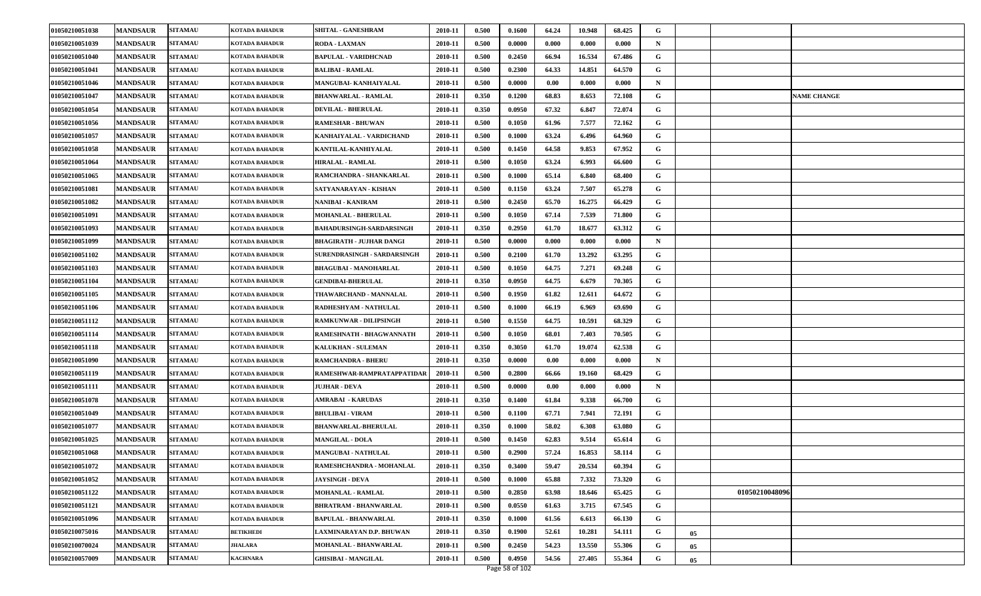| 01050210051038 | <b>MANDSAUR</b> | <b>SITAMAU</b> | KOTADA BAHADUR        | <b>SHITAL - GANESHRAM</b>          | 2010-11 | 0.500 | 0.1600 | 64.24 | 10.948 | 68.425 | G |    |                    |
|----------------|-----------------|----------------|-----------------------|------------------------------------|---------|-------|--------|-------|--------|--------|---|----|--------------------|
| 01050210051039 | <b>MANDSAUR</b> | <b>SITAMAU</b> | KOTADA BAHADUR        | RODA - LAXMAN                      | 2010-11 | 0.500 | 0.0000 | 0.000 | 0.000  | 0.000  | N |    |                    |
| 01050210051040 | <b>MANDSAUR</b> | <b>SITAMAU</b> | KOTADA BAHADUR        | <b>BAPULAL - VARIDHCNAD</b>        | 2010-11 | 0.500 | 0.2450 | 66.94 | 16.534 | 67.486 | G |    |                    |
| 01050210051041 | <b>MANDSAUR</b> | <b>SITAMAU</b> | KOTADA BAHADUR        | <b>BALIBAI - RAMLAL</b>            | 2010-11 | 0.500 | 0.2300 | 64.33 | 14.851 | 64.570 | G |    |                    |
| 01050210051046 | <b>MANDSAUR</b> | <b>SITAMAU</b> | KOTADA BAHADUR        | <b>MANGUBAI- KANHAIYALAL</b>       | 2010-11 | 0.500 | 0.0000 | 0.00  | 0.000  | 0.000  | N |    |                    |
| 01050210051047 | <b>MANDSAUR</b> | <b>SITAMAU</b> | KOTADA BAHADUR        | <b>BHANWARLAL - RAMLAL</b>         | 2010-11 | 0.350 | 0.1200 | 68.83 | 8.653  | 72.108 | G |    | <b>NAME CHANGE</b> |
| 01050210051054 | <b>MANDSAUR</b> | <b>SITAMAU</b> | KOTADA BAHADUR        | <b>DEVILAL - BHERULAL</b>          | 2010-11 | 0.350 | 0.0950 | 67.32 | 6.847  | 72.074 | G |    |                    |
| 01050210051056 | <b>MANDSAUR</b> | <b>SITAMAU</b> | KOTADA BAHADUR        | <b>RAMESHAR - BHUWAN</b>           | 2010-11 | 0.500 | 0.1050 | 61.96 | 7.577  | 72.162 | G |    |                    |
| 01050210051057 | <b>MANDSAUR</b> | <b>SITAMAU</b> | KOTADA BAHADUR        | KANHAIYALAL - VARDICHAND           | 2010-11 | 0.500 | 0.1000 | 63.24 | 6.496  | 64.960 | G |    |                    |
| 01050210051058 | <b>MANDSAUR</b> | <b>SITAMAU</b> | KOTADA BAHADUR        | KANTILAL-KANHIYALAL                | 2010-11 | 0.500 | 0.1450 | 64.58 | 9.853  | 67.952 | G |    |                    |
| 01050210051064 | <b>MANDSAUR</b> | <b>SITAMAU</b> | KOTADA BAHADUR        | <b>HIRALAL - RAMLAL</b>            | 2010-11 | 0.500 | 0.1050 | 63.24 | 6.993  | 66.600 | G |    |                    |
| 01050210051065 | <b>MANDSAUR</b> | <b>SITAMAU</b> | KOTADA BAHADUR        | RAMCHANDRA - SHANKARLAL            | 2010-11 | 0.500 | 0.1000 | 65.14 | 6.840  | 68.400 | G |    |                    |
| 01050210051081 | <b>MANDSAUR</b> | <b>SITAMAU</b> | KOTADA BAHADUR        | SATYANARAYAN - KISHAN              | 2010-11 | 0.500 | 0.1150 | 63.24 | 7.507  | 65.278 | G |    |                    |
| 01050210051082 | <b>MANDSAUR</b> | <b>SITAMAU</b> | KOTADA BAHADUR        | NANIBAI - KANIRAM                  | 2010-11 | 0.500 | 0.2450 | 65.70 | 16.275 | 66.429 | G |    |                    |
| 01050210051091 | <b>MANDSAUR</b> | <b>SITAMAU</b> | KOTADA BAHADUR        | MOHANLAL - BHERULAL                | 2010-11 | 0.500 | 0.1050 | 67.14 | 7.539  | 71.800 | G |    |                    |
| 01050210051093 | <b>MANDSAUR</b> | <b>SITAMAU</b> | KOTADA BAHADUR        | <b>BAHADURSINGH-SARDARSINGH</b>    | 2010-11 | 0.350 | 0.2950 | 61.70 | 18.677 | 63.312 | G |    |                    |
| 01050210051099 | <b>MANDSAUR</b> | <b>SITAMAU</b> | KOTADA BAHADUR        | <b>BHAGIRATH - JUJHAR DANGI</b>    | 2010-11 | 0.500 | 0.0000 | 0.000 | 0.000  | 0.000  | N |    |                    |
| 01050210051102 | <b>MANDSAUR</b> | <b>SITAMAU</b> | KOTADA BAHADUR        | <b>SURENDRASINGH - SARDARSINGH</b> | 2010-11 | 0.500 | 0.2100 | 61.70 | 13.292 | 63.295 | G |    |                    |
| 01050210051103 | <b>MANDSAUR</b> | <b>SITAMAU</b> | KOTADA BAHADUR        | <b>BHAGUBAI - MANOHARLAL</b>       | 2010-11 | 0.500 | 0.1050 | 64.75 | 7.271  | 69.248 | G |    |                    |
| 01050210051104 | <b>MANDSAUR</b> | <b>SITAMAU</b> | KOTADA BAHADUR        | <b>GENDIBAI-BHERULAL</b>           | 2010-11 | 0.350 | 0.0950 | 64.75 | 6.679  | 70.305 | G |    |                    |
| 01050210051105 | <b>MANDSAUR</b> | <b>SITAMAU</b> | KOTADA BAHADUR        | THAWARCHAND - MANNALAL             | 2010-11 | 0.500 | 0.1950 | 61.82 | 12.611 | 64.672 | G |    |                    |
| 01050210051106 | <b>MANDSAUR</b> | <b>SITAMAU</b> | KOTADA BAHADUR        | RADHESHYAM - NATHULAL              | 2010-11 | 0.500 | 0.1000 | 66.19 | 6.969  | 69.690 | G |    |                    |
| 01050210051112 | <b>MANDSAUR</b> | <b>SITAMAU</b> | KOTADA BAHADUR        | <b>RAMKUNWAR - DILIPSINGH</b>      | 2010-11 | 0.500 | 0.1550 | 64.75 | 10.591 | 68.329 | G |    |                    |
| 01050210051114 | <b>MANDSAUR</b> | <b>SITAMAU</b> | KOTADA BAHADUR        | RAMESHNATH - BHAGWANNATH           | 2010-11 | 0.500 | 0.1050 | 68.01 | 7.403  | 70.505 | G |    |                    |
| 01050210051118 | <b>MANDSAUR</b> | <b>SITAMAU</b> | KOTADA BAHADUR        | KALUKHAN - SULEMAN                 | 2010-11 | 0.350 | 0.3050 | 61.70 | 19.074 | 62.538 | G |    |                    |
| 01050210051090 | <b>MANDSAUR</b> | <b>SITAMAU</b> | KOTADA BAHADUR        | <b>RAMCHANDRA - BHERU</b>          | 2010-11 | 0.350 | 0.0000 | 0.00  | 0.000  | 0.000  | N |    |                    |
| 01050210051119 | <b>MANDSAUR</b> | <b>SITAMAU</b> | KOTADA BAHADUR        | RAMESHWAR-RAMPRATAPPATIDAR         | 2010-11 | 0.500 | 0.2800 | 66.66 | 19.160 | 68.429 | G |    |                    |
| 01050210051111 | <b>MANDSAUR</b> | <b>SITAMAU</b> | KOTADA BAHADUR        | <b>JUJHAR - DEVA</b>               | 2010-11 | 0.500 | 0.0000 | 0.00  | 0.000  | 0.000  | N |    |                    |
| 01050210051078 | <b>MANDSAUR</b> | <b>SITAMAU</b> | KOTADA BAHADUR        | <b>AMRABAI - KARUDAS</b>           | 2010-11 | 0.350 | 0.1400 | 61.84 | 9.338  | 66.700 | G |    |                    |
| 01050210051049 | <b>MANDSAUR</b> | <b>SITAMAU</b> | KOTADA BAHADUR        | <b>BHULIBAI - VIRAM</b>            | 2010-11 | 0.500 | 0.1100 | 67.71 | 7.941  | 72.191 | G |    |                    |
| 01050210051077 | <b>MANDSAUR</b> | <b>SITAMAU</b> | KOTADA BAHADUR        | <b>BHANWARLAL-BHERULAL</b>         | 2010-11 | 0.350 | 0.1000 | 58.02 | 6.308  | 63.080 | G |    |                    |
| 01050210051025 | <b>MANDSAUR</b> | <b>SITAMAU</b> | KOTADA BAHADUR        | <b>MANGILAL - DOLA</b>             | 2010-11 | 0.500 | 0.1450 | 62.83 | 9.514  | 65.614 | G |    |                    |
| 01050210051068 | <b>MANDSAUR</b> | <b>SITAMAU</b> | KOTADA BAHADUR        | <b>MANGUBAI - NATHULAL</b>         | 2010-11 | 0.500 | 0.2900 | 57.24 | 16.853 | 58.114 | G |    |                    |
| 01050210051072 | <b>MANDSAUR</b> | <b>SITAMAU</b> | <b>KOTADA BAHADUR</b> | RAMESHCHANDRA - MOHANLAL           | 2010-11 | 0.350 | 0.3400 | 59.47 | 20.534 | 60.394 | G |    |                    |
| 01050210051052 | <b>MANDSAUR</b> | <b>SITAMAU</b> | KOTADA BAHADUR        | <b>JAYSINGH - DEVA</b>             | 2010-11 | 0.500 | 0.1000 | 65.88 | 7.332  | 73.320 | G |    |                    |
| 01050210051122 | <b>MANDSAUR</b> | <b>SITAMAU</b> | KOTADA BAHADUR        | MOHANLAL - RAMLAL                  | 2010-11 | 0.500 | 0.2850 | 63.98 | 18.646 | 65.425 | G |    | 01050210048096     |
| 01050210051121 | <b>MANDSAUR</b> | <b>SITAMAU</b> | KOTADA BAHADUR        | <b>BHRATRAM - BHANWARLAL</b>       | 2010-11 | 0.500 | 0.0550 | 61.63 | 3.715  | 67.545 | G |    |                    |
| 01050210051096 | <b>MANDSAUR</b> | <b>SITAMAU</b> | KOTADA BAHADUR        | <b>BAPULAL - BHANWARLAL</b>        | 2010-11 | 0.350 | 0.1000 | 61.56 | 6.613  | 66.130 | G |    |                    |
| 01050210075016 | <b>MANDSAUR</b> | <b>SITAMAU</b> | BETIKHEDI             | LAXMINARAYAN D.P. BHUWAN           | 2010-11 | 0.350 | 0.1900 | 52.61 | 10.281 | 54.111 | G | 05 |                    |
| 01050210070024 | <b>MANDSAUR</b> | <b>SITAMAU</b> | <b>JHALARA</b>        | MOHANLAL - BHANWARLAL              | 2010-11 | 0.500 | 0.2450 | 54.23 | 13.550 | 55.306 | G | 05 |                    |
| 01050210057009 | <b>MANDSAUR</b> | <b>SITAMAU</b> | <b>KACHNARA</b>       | <b>GHISIBAI - MANGILAL</b>         | 2010-11 | 0.500 | 0.4950 | 54.56 | 27.405 | 55.364 | G | 05 |                    |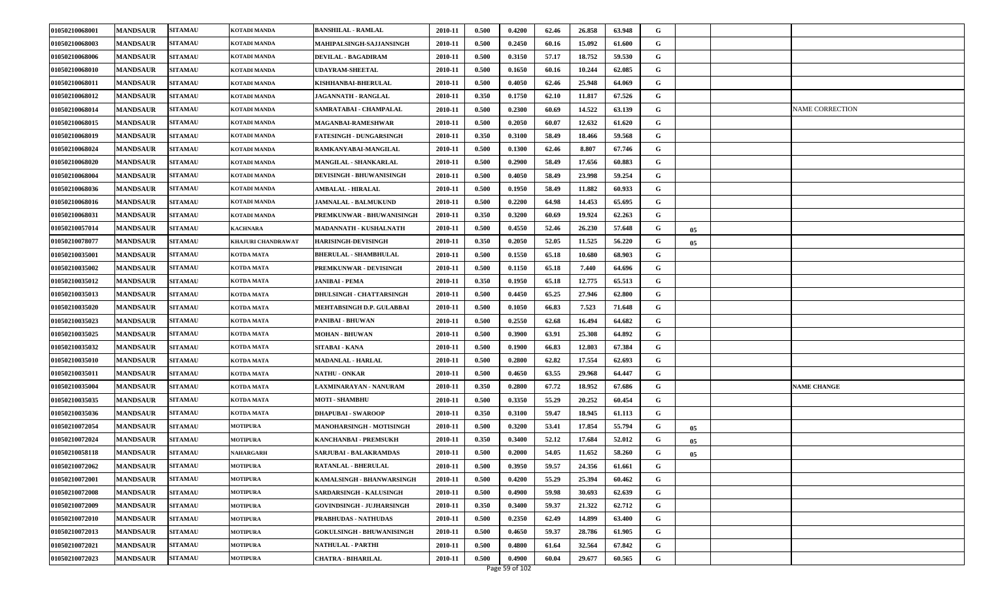| 01050210068001 | <b>MANDSAUR</b> | <b>SITAMAU</b> | KOTADI MANDA        | <b>BANSHILAL - RAMLAL</b>        | 2010-11 | 0.500 | 0.4200 | 62.46 | 26.858 | 63.948 | G |    |                        |
|----------------|-----------------|----------------|---------------------|----------------------------------|---------|-------|--------|-------|--------|--------|---|----|------------------------|
| 01050210068003 | <b>MANDSAUR</b> | <b>SITAMAU</b> | KOTADI MANDA        | MAHIPALSINGH-SAJJANSINGH         | 2010-11 | 0.500 | 0.2450 | 60.16 | 15.092 | 61.600 | G |    |                        |
| 01050210068006 | <b>MANDSAUR</b> | <b>SITAMAU</b> | KOTADI MANDA        | DEVILAL - BAGADIRAM              | 2010-11 | 0.500 | 0.3150 | 57.17 | 18.752 | 59.530 | G |    |                        |
| 01050210068010 | <b>MANDSAUR</b> | <b>SITAMAU</b> | KOTADI MANDA        | <b>JDAYRAM-SHEETAL</b>           | 2010-11 | 0.500 | 0.1650 | 60.16 | 10.244 | 62.085 | G |    |                        |
| 01050210068011 | <b>MANDSAUR</b> | <b>SITAMAU</b> | KOTADI MANDA        | KISHHANBAI-BHERULAL              | 2010-11 | 0.500 | 0.4050 | 62.46 | 25.948 | 64.069 | G |    |                        |
| 01050210068012 | <b>MANDSAUR</b> | <b>SITAMAU</b> | KOTADI MANDA        | JAGANNATH - RANGLAL              | 2010-11 | 0.350 | 0.1750 | 62.10 | 11.817 | 67.526 | G |    |                        |
| 01050210068014 | <b>MANDSAUR</b> | <b>SITAMAU</b> | <b>KOTADI MANDA</b> | SAMRATABAI - CHAMPALAL           | 2010-11 | 0.500 | 0.2300 | 60.69 | 14.522 | 63.139 | G |    | <b>NAME CORRECTION</b> |
| 01050210068015 | <b>MANDSAUR</b> | <b>SITAMAU</b> | <b>KOTADI MANDA</b> | <b>MAGANBAI-RAMESHWAR</b>        | 2010-11 | 0.500 | 0.2050 | 60.07 | 12.632 | 61.620 | G |    |                        |
| 01050210068019 | <b>MANDSAUR</b> | <b>SITAMAU</b> | KOTADI MANDA        | <b>FATESINGH - DUNGARSINGH</b>   | 2010-11 | 0.350 | 0.3100 | 58.49 | 18.466 | 59.568 | G |    |                        |
| 01050210068024 | <b>MANDSAUR</b> | <b>SITAMAU</b> | KOTADI MANDA        | RAMKANYABAI-MANGILAL             | 2010-11 | 0.500 | 0.1300 | 62.46 | 8.807  | 67.746 | G |    |                        |
| 01050210068020 | <b>MANDSAUR</b> | <b>SITAMAU</b> | <b>KOTADI MANDA</b> | <b>MANGILAL - SHANKARLAL</b>     | 2010-11 | 0.500 | 0.2900 | 58.49 | 17.656 | 60.883 | G |    |                        |
| 01050210068004 | <b>MANDSAUR</b> | <b>SITAMAU</b> | KOTADI MANDA        | DEVISINGH - BHUWANISINGH         | 2010-11 | 0.500 | 0.4050 | 58.49 | 23.998 | 59.254 | G |    |                        |
| 01050210068036 | <b>MANDSAUR</b> | <b>SITAMAU</b> | KOTADI MANDA        | <b>AMBALAL - HIRALAL</b>         | 2010-11 | 0.500 | 0.1950 | 58.49 | 11.882 | 60.933 | G |    |                        |
| 01050210068016 | <b>MANDSAUR</b> | <b>SITAMAU</b> | <b>KOTADI MANDA</b> | <b>JAMNALAL - BALMUKUND</b>      | 2010-11 | 0.500 | 0.2200 | 64.98 | 14.453 | 65.695 | G |    |                        |
| 01050210068031 | <b>MANDSAUR</b> | <b>SITAMAU</b> | <b>KOTADI MANDA</b> | PREMKUNWAR - BHUWANISINGH        | 2010-11 | 0.350 | 0.3200 | 60.69 | 19.924 | 62.263 | G |    |                        |
| 01050210057014 | <b>MANDSAUR</b> | <b>SITAMAU</b> | <b>KACHNARA</b>     | MADANNATH - KUSHALNATH           | 2010-11 | 0.500 | 0.4550 | 52.46 | 26.230 | 57.648 | G | 05 |                        |
| 01050210078077 | <b>MANDSAUR</b> | <b>SITAMAU</b> | KHAJURI CHANDRAWAT  | <b>HARISINGH-DEVISINGH</b>       | 2010-11 | 0.350 | 0.2050 | 52.05 | 11.525 | 56.220 | G | 05 |                        |
| 01050210035001 | <b>MANDSAUR</b> | <b>SITAMAU</b> | <b>KOTDA MATA</b>   | <b>BHERULAL - SHAMBHULAL</b>     | 2010-11 | 0.500 | 0.1550 | 65.18 | 10.680 | 68.903 | G |    |                        |
| 01050210035002 | <b>MANDSAUR</b> | <b>SITAMAU</b> | KOTDA MATA          | PREMKUNWAR - DEVISINGH           | 2010-11 | 0.500 | 0.1150 | 65.18 | 7.440  | 64.696 | G |    |                        |
| 01050210035012 | <b>MANDSAUR</b> | <b>SITAMAU</b> | KOTDA MATA          | <b>JANIBAI - PEMA</b>            | 2010-11 | 0.350 | 0.1950 | 65.18 | 12.775 | 65.513 | G |    |                        |
| 01050210035013 | <b>MANDSAUR</b> | <b>SITAMAU</b> | KOTDA MATA          | DHULSINGH - CHATTARSINGH         | 2010-11 | 0.500 | 0.4450 | 65.25 | 27.946 | 62.800 | G |    |                        |
| 01050210035020 | <b>MANDSAUR</b> | <b>SITAMAU</b> | <b>KOTDA MATA</b>   | MEHTABSINGH D.P. GULABBAI        | 2010-11 | 0.500 | 0.1050 | 66.83 | 7.523  | 71.648 | G |    |                        |
| 01050210035023 | <b>MANDSAUR</b> | <b>SITAMAU</b> | KOTDA MATA          | PANIBAI - BHUWAN                 | 2010-11 | 0.500 | 0.2550 | 62.68 | 16.494 | 64.682 | G |    |                        |
| 01050210035025 | <b>MANDSAUR</b> | <b>SITAMAU</b> | KOTDA MATA          | <b>MOHAN - BHUWAN</b>            | 2010-11 | 0.500 | 0.3900 | 63.91 | 25.308 | 64.892 | G |    |                        |
| 01050210035032 | <b>MANDSAUR</b> | <b>SITAMAU</b> | <b>KOTDA MATA</b>   | <b>SITABAI - KANA</b>            | 2010-11 | 0.500 | 0.1900 | 66.83 | 12.803 | 67.384 | G |    |                        |
| 01050210035010 | <b>MANDSAUR</b> | <b>SITAMAU</b> | <b>KOTDA MATA</b>   | <b>MADANLAL - HARLAL</b>         | 2010-11 | 0.500 | 0.2800 | 62.82 | 17.554 | 62.693 | G |    |                        |
| 01050210035011 | <b>MANDSAUR</b> | <b>SITAMAU</b> | KOTDA MATA          | <b>NATHU - ONKAR</b>             | 2010-11 | 0.500 | 0.4650 | 63.55 | 29.968 | 64.447 | G |    |                        |
| 01050210035004 | <b>MANDSAUR</b> | <b>SITAMAU</b> | KOTDA MATA          | LAXMINARAYAN - NANURAM           | 2010-11 | 0.350 | 0.2800 | 67.72 | 18.952 | 67.686 | G |    | <b>NAME CHANGE</b>     |
| 01050210035035 | <b>MANDSAUR</b> | <b>SITAMAU</b> | KOTDA MATA          | <b>MOTI - SHAMBHU</b>            | 2010-11 | 0.500 | 0.3350 | 55.29 | 20.252 | 60.454 | G |    |                        |
| 01050210035036 | <b>MANDSAUR</b> | <b>SITAMAU</b> | <b>KOTDA MATA</b>   | <b>DHAPUBAI - SWAROOP</b>        | 2010-11 | 0.350 | 0.3100 | 59.47 | 18.945 | 61.113 | G |    |                        |
| 01050210072054 | <b>MANDSAUR</b> | <b>SITAMAU</b> | <b>MOTIPURA</b>     | MANOHARSINGH - MOTISINGH         | 2010-11 | 0.500 | 0.3200 | 53.41 | 17.854 | 55.794 | G | 05 |                        |
| 01050210072024 | <b>MANDSAUR</b> | <b>SITAMAU</b> | <b>MOTIPURA</b>     | KANCHANBAI - PREMSUKH            | 2010-11 | 0.350 | 0.3400 | 52.12 | 17.684 | 52.012 | G | 05 |                        |
| 01050210058118 | <b>MANDSAUR</b> | <b>SITAMAU</b> | <b>NAHARGARH</b>    | <b>SARJUBAI - BALAKRAMDAS</b>    | 2010-11 | 0.500 | 0.2000 | 54.05 | 11.652 | 58.260 | G | 05 |                        |
| 01050210072062 | <b>MANDSAUR</b> | <b>SITAMAU</b> | <b>MOTIPURA</b>     | <b>RATANLAL - BHERULAL</b>       | 2010-11 | 0.500 | 0.3950 | 59.57 | 24.356 | 61.661 | G |    |                        |
| 01050210072001 | <b>MANDSAUR</b> | <b>SITAMAU</b> | <b>MOTIPURA</b>     | KAMALSINGH - BHANWARSINGH        | 2010-11 | 0.500 | 0.4200 | 55.29 | 25.394 | 60.462 | G |    |                        |
| 01050210072008 | <b>MANDSAUR</b> | <b>SITAMAU</b> | <b>MOTIPURA</b>     | <b>SARDARSINGH - KALUSINGH</b>   | 2010-11 | 0.500 | 0.4900 | 59.98 | 30.693 | 62.639 | G |    |                        |
| 01050210072009 | <b>MANDSAUR</b> | <b>SITAMAU</b> | <b>MOTIPURA</b>     | GOVINDSINGH - JUJHARSINGH        | 2010-11 | 0.350 | 0.3400 | 59.37 | 21.322 | 62.712 | G |    |                        |
| 01050210072010 | <b>MANDSAUR</b> | <b>SITAMAU</b> | <b>MOTIPURA</b>     | <b>PRABHUDAS - NATHUDAS</b>      | 2010-11 | 0.500 | 0.2350 | 62.49 | 14.899 | 63.400 | G |    |                        |
| 01050210072013 | <b>MANDSAUR</b> | <b>SITAMAU</b> | <b>MOTIPURA</b>     | <b>GOKULSINGH - BHUWANISINGH</b> | 2010-11 | 0.500 | 0.4650 | 59.37 | 28.786 | 61.905 | G |    |                        |
| 01050210072021 | <b>MANDSAUR</b> | <b>SITAMAU</b> | <b>MOTIPURA</b>     | <b>NATHULAL - PARTHI</b>         | 2010-11 | 0.500 | 0.4800 | 61.64 | 32.564 | 67.842 | G |    |                        |
| 01050210072023 | <b>MANDSAUR</b> | <b>SITAMAU</b> | <b>MOTIPURA</b>     | CHATRA - BIHARILAL               | 2010-11 | 0.500 | 0.4900 | 60.04 | 29.677 | 60.565 | G |    |                        |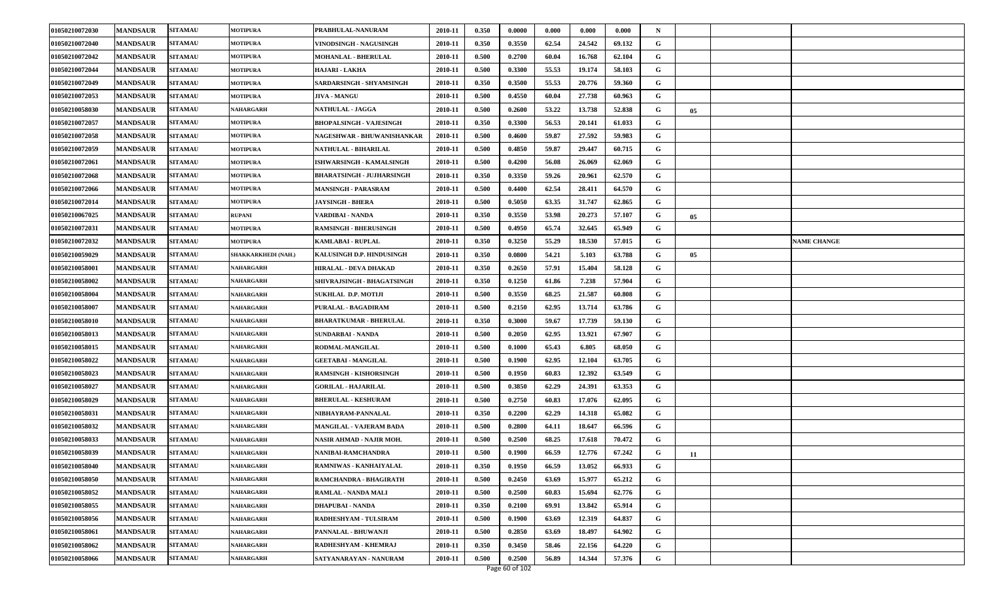| 01050210072030 | <b>MANDSAUR</b> | <b>SITAMAU</b> | <b>MOTIPURA</b>     | PRABHULAL-NANURAM              | 2010-11 | 0.350 | 0.0000 | 0.000 | 0.000  | 0.000  | N |    |                    |
|----------------|-----------------|----------------|---------------------|--------------------------------|---------|-------|--------|-------|--------|--------|---|----|--------------------|
| 01050210072040 | <b>MANDSAUR</b> | <b>SITAMAU</b> | <b>MOTIPURA</b>     | VINODSINGH - NAGUSINGH         | 2010-11 | 0.350 | 0.3550 | 62.54 | 24.542 | 69.132 | G |    |                    |
| 01050210072042 | <b>MANDSAUR</b> | <b>SITAMAU</b> | <b>MOTIPURA</b>     | MOHANLAL - BHERULAL            | 2010-11 | 0.500 | 0.2700 | 60.04 | 16.768 | 62.104 | G |    |                    |
| 01050210072044 | <b>MANDSAUR</b> | <b>SITAMAU</b> | <b>MOTIPURA</b>     | HAJARI - LAKHA                 | 2010-11 | 0.500 | 0.3300 | 55.53 | 19.174 | 58.103 | G |    |                    |
| 01050210072049 | <b>MANDSAUR</b> | <b>SITAMAU</b> | <b>MOTIPURA</b>     | SARDARSINGH - SHYAMSINGH       | 2010-11 | 0.350 | 0.3500 | 55.53 | 20.776 | 59.360 | G |    |                    |
| 01050210072053 | <b>MANDSAUR</b> | <b>SITAMAU</b> | <b>MOTIPURA</b>     | <b>JIVA - MANGU</b>            | 2010-11 | 0.500 | 0.4550 | 60.04 | 27.738 | 60.963 | G |    |                    |
| 01050210058030 | <b>MANDSAUR</b> | <b>SITAMAU</b> | <b>NAHARGARH</b>    | <b>NATHULAL - JAGGA</b>        | 2010-11 | 0.500 | 0.2600 | 53.22 | 13.738 | 52.838 | G | 05 |                    |
| 01050210072057 | <b>MANDSAUR</b> | <b>SITAMAU</b> | <b>MOTIPURA</b>     | <b>BHOPALSINGH - VAJESINGH</b> | 2010-11 | 0.350 | 0.3300 | 56.53 | 20.141 | 61.033 | G |    |                    |
| 01050210072058 | <b>MANDSAUR</b> | <b>SITAMAU</b> | <b>MOTIPURA</b>     | NAGESHWAR - BHUWANISHANKAR     | 2010-11 | 0.500 | 0.4600 | 59.87 | 27.592 | 59.983 | G |    |                    |
| 01050210072059 | <b>MANDSAUR</b> | <b>SITAMAU</b> | <b>MOTIPURA</b>     | NATHULAL - BIHARILAL           | 2010-11 | 0.500 | 0.4850 | 59.87 | 29.447 | 60.715 | G |    |                    |
| 01050210072061 | <b>MANDSAUR</b> | <b>SITAMAU</b> | <b>MOTIPURA</b>     | ISHWARSINGH - KAMALSINGH       | 2010-11 | 0.500 | 0.4200 | 56.08 | 26.069 | 62.069 | G |    |                    |
| 01050210072068 | <b>MANDSAUR</b> | <b>SITAMAU</b> | <b>MOTIPURA</b>     | BHARATSINGH - JUJHARSINGH      | 2010-11 | 0.350 | 0.3350 | 59.26 | 20.961 | 62.570 | G |    |                    |
| 01050210072066 | <b>MANDSAUR</b> | <b>SITAMAU</b> | <b>MOTIPURA</b>     | <b>MANSINGH - PARASRAM</b>     | 2010-11 | 0.500 | 0.4400 | 62.54 | 28.411 | 64.570 | G |    |                    |
| 01050210072014 | <b>MANDSAUR</b> | <b>SITAMAU</b> | <b>MOTIPURA</b>     | <b>JAYSINGH - BHERA</b>        | 2010-11 | 0.500 | 0.5050 | 63.35 | 31.747 | 62.865 | G |    |                    |
| 01050210067025 | <b>MANDSAUR</b> | <b>SITAMAU</b> | <b>RUPANI</b>       | VARDIBAI - NANDA               | 2010-11 | 0.350 | 0.3550 | 53.98 | 20.273 | 57.107 | G | 05 |                    |
| 01050210072031 | <b>MANDSAUR</b> | <b>SITAMAU</b> | <b>MOTIPURA</b>     | <b>RAMSINGH - BHERUSINGH</b>   | 2010-11 | 0.500 | 0.4950 | 65.74 | 32.645 | 65.949 | G |    |                    |
| 01050210072032 | <b>MANDSAUR</b> | <b>SITAMAU</b> | <b>MOTIPURA</b>     | KAMLABAI - RUPLAL              | 2010-11 | 0.350 | 0.3250 | 55.29 | 18.530 | 57.015 | G |    | <b>NAME CHANGE</b> |
| 01050210059029 | <b>MANDSAUR</b> | <b>SITAMAU</b> | SHAKKARKHEDI (NAH.) | KALUSINGH D.P. HINDUSINGH      | 2010-11 | 0.350 | 0.0800 | 54.21 | 5.103  | 63.788 | G | 05 |                    |
| 01050210058001 | <b>MANDSAUR</b> | <b>SITAMAU</b> | NAHARGARH           | HIRALAL - DEVA DHAKAD          | 2010-11 | 0.350 | 0.2650 | 57.91 | 15.404 | 58.128 | G |    |                    |
| 01050210058002 | <b>MANDSAUR</b> | <b>SITAMAU</b> | NAHARGARH           | SHIVRAJSINGH - BHAGATSINGH     | 2010-11 | 0.350 | 0.1250 | 61.86 | 7.238  | 57.904 | G |    |                    |
| 01050210058004 | <b>MANDSAUR</b> | <b>SITAMAU</b> | NAHARGARH           | <b>SUKHLAL D.P. MOTLII</b>     | 2010-11 | 0.500 | 0.3550 | 68.25 | 21.587 | 60.808 | G |    |                    |
| 01050210058007 | <b>MANDSAUR</b> | <b>SITAMAU</b> | NAHARGARH           | PURALAL - BAGADIRAM            | 2010-11 | 0.500 | 0.2150 | 62.95 | 13.714 | 63.786 | G |    |                    |
| 01050210058010 | <b>MANDSAUR</b> | <b>SITAMAU</b> | NAHARGARH           | BHARATKUMAR - BHERULAL         | 2010-11 | 0.350 | 0.3000 | 59.67 | 17.739 | 59.130 | G |    |                    |
| 01050210058013 | <b>MANDSAUR</b> | <b>SITAMAU</b> | NAHARGARH           | SUNDARBAI - NANDA              | 2010-11 | 0.500 | 0.2050 | 62.95 | 13.921 | 67.907 | G |    |                    |
| 01050210058015 | <b>MANDSAUR</b> | <b>SITAMAU</b> | NAHARGARH           | RODMAL-MANGILAL                | 2010-11 | 0.500 | 0.1000 | 65.43 | 6.805  | 68.050 | G |    |                    |
| 01050210058022 | <b>MANDSAUR</b> | <b>SITAMAU</b> | NAHARGARH           | <b>GEETABAI - MANGILAL</b>     | 2010-11 | 0.500 | 0.1900 | 62.95 | 12.104 | 63.705 | G |    |                    |
| 01050210058023 | <b>MANDSAUR</b> | <b>SITAMAU</b> | NAHARGARH           | <b>RAMSINGH - KISHORSINGH</b>  | 2010-11 | 0.500 | 0.1950 | 60.83 | 12.392 | 63.549 | G |    |                    |
| 01050210058027 | <b>MANDSAUR</b> | <b>SITAMAU</b> | NAHARGARH           | <b>GORILAL - HAJARILAL</b>     | 2010-11 | 0.500 | 0.3850 | 62.29 | 24.391 | 63.353 | G |    |                    |
| 01050210058029 | <b>MANDSAUR</b> | <b>SITAMAU</b> | NAHARGARH           | <b>BHERULAL - KESHURAM</b>     | 2010-11 | 0.500 | 0.2750 | 60.83 | 17.076 | 62.095 | G |    |                    |
| 01050210058031 | <b>MANDSAUR</b> | <b>SITAMAU</b> | NAHARGARH           | NIBHAYRAM-PANNALAL             | 2010-11 | 0.350 | 0.2200 | 62.29 | 14.318 | 65.082 | G |    |                    |
| 01050210058032 | <b>MANDSAUR</b> | <b>SITAMAU</b> | NAHARGARH           | <b>MANGILAL - VAJERAM BADA</b> | 2010-11 | 0.500 | 0.2800 | 64.11 | 18.647 | 66.596 | G |    |                    |
| 01050210058033 | <b>MANDSAUR</b> | <b>SITAMAU</b> | NAHARGARH           | NASIR AHMAD - NAJIR MOH.       | 2010-11 | 0.500 | 0.2500 | 68.25 | 17.618 | 70.472 | G |    |                    |
| 01050210058039 | <b>MANDSAUR</b> | <b>SITAMAU</b> | NAHARGARH           | NANIBAI-RAMCHANDRA             | 2010-11 | 0.500 | 0.1900 | 66.59 | 12.776 | 67.242 | G | 11 |                    |
| 01050210058040 | <b>MANDSAUR</b> | <b>SITAMAU</b> | <b>NAHARGARH</b>    | RAMNIWAS - KANHAIYALAL         | 2010-11 | 0.350 | 0.1950 | 66.59 | 13.052 | 66.933 | G |    |                    |
| 01050210058050 | <b>MANDSAUR</b> | <b>SITAMAU</b> | NAHARGARH           | RAMCHANDRA - BHAGIRATH         | 2010-11 | 0.500 | 0.2450 | 63.69 | 15.977 | 65.212 | G |    |                    |
| 01050210058052 | <b>MANDSAUR</b> | <b>SITAMAU</b> | <b>NAHARGARH</b>    | RAMLAL - NANDA MALI            | 2010-11 | 0.500 | 0.2500 | 60.83 | 15.694 | 62.776 | G |    |                    |
| 01050210058055 | <b>MANDSAUR</b> | <b>SITAMAU</b> | <b>NAHARGARH</b>    | DHAPUBAI - NANDA               | 2010-11 | 0.350 | 0.2100 | 69.91 | 13.842 | 65.914 | G |    |                    |
| 01050210058056 | <b>MANDSAUR</b> | <b>SITAMAU</b> | NAHARGARH           | RADHESHYAM - TULSIRAM          | 2010-11 | 0.500 | 0.1900 | 63.69 | 12.319 | 64.837 | G |    |                    |
| 01050210058061 | <b>MANDSAUR</b> | <b>SITAMAU</b> | NAHARGARH           | PANNALAL - BHUWANJI            | 2010-11 | 0.500 | 0.2850 | 63.69 | 18.497 | 64.902 | G |    |                    |
| 01050210058062 | <b>MANDSAUR</b> | <b>SITAMAU</b> | NAHARGARH           | RADHESHYAM - KHEMRAJ           | 2010-11 | 0.350 | 0.3450 | 58.46 | 22.156 | 64.220 | G |    |                    |
| 01050210058066 | <b>MANDSAUR</b> | <b>SITAMAU</b> | <b>NAHARGARH</b>    | SATYANARAYAN - NANURAM         | 2010-11 | 0.500 | 0.2500 | 56.89 | 14.344 | 57.376 | G |    |                    |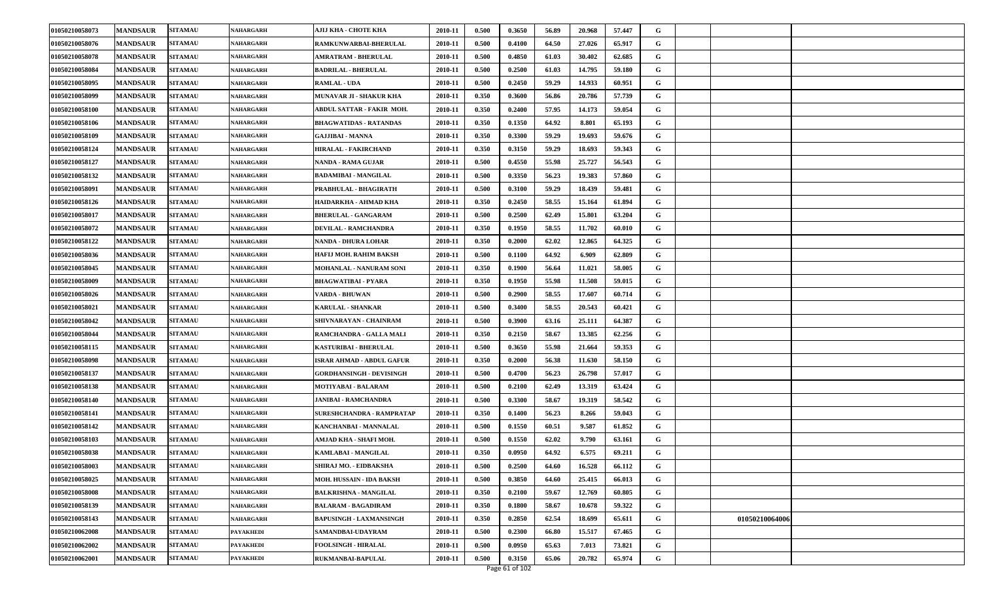| 01050210058073 | <b>MANDSAUR</b> | <b>SITAMAU</b> | NAHARGARH        | АЈІЈ КНА - СНОТЕ КНА             | 2010-11 | 0.500 | 0.3650 | 56.89 | 20.968 | 57.447 | G |                |  |
|----------------|-----------------|----------------|------------------|----------------------------------|---------|-------|--------|-------|--------|--------|---|----------------|--|
| 01050210058076 | <b>MANDSAUR</b> | <b>SITAMAU</b> | NAHARGARH        | RAMKUNWARBAI-BHERULAL            | 2010-11 | 0.500 | 0.4100 | 64.50 | 27.026 | 65.917 | G |                |  |
| 01050210058078 | <b>MANDSAUR</b> | <b>SITAMAU</b> | NAHARGARH        | <b>AMRATRAM - BHERULAL</b>       | 2010-11 | 0.500 | 0.4850 | 61.03 | 30.402 | 62.685 | G |                |  |
| 01050210058084 | <b>MANDSAUR</b> | <b>SITAMAU</b> | NAHARGARH        | <b>BADRILAL - BHERULAL</b>       | 2010-11 | 0.500 | 0.2500 | 61.03 | 14.795 | 59.180 | G |                |  |
| 01050210058095 | <b>MANDSAUR</b> | <b>SITAMAU</b> | NAHARGARH        | <b>RAMLAL - UDA</b>              | 2010-11 | 0.500 | 0.2450 | 59.29 | 14.933 | 60.951 | G |                |  |
| 01050210058099 | <b>MANDSAUR</b> | <b>SITAMAU</b> | NAHARGARH        | <b>MUNAVAR JI - SHAKUR KHA</b>   | 2010-11 | 0.350 | 0.3600 | 56.86 | 20.786 | 57.739 | G |                |  |
| 01050210058100 | <b>MANDSAUR</b> | <b>SITAMAU</b> | <b>NAHARGARH</b> | ABDUL SATTAR - FAKIR MOH.        | 2010-11 | 0.350 | 0.2400 | 57.95 | 14.173 | 59.054 | G |                |  |
| 01050210058106 | <b>MANDSAUR</b> | <b>SITAMAU</b> | NAHARGARH        | BHAGWATIDAS - RATANDAS           | 2010-11 | 0.350 | 0.1350 | 64.92 | 8.801  | 65.193 | G |                |  |
| 01050210058109 | <b>MANDSAUR</b> | <b>SITAMAU</b> | NAHARGARH        | <b>GAJJIBAI - MANNA</b>          | 2010-11 | 0.350 | 0.3300 | 59.29 | 19.693 | 59.676 | G |                |  |
| 01050210058124 | <b>MANDSAUR</b> | <b>SITAMAU</b> | NAHARGARH        | HIRALAL - FAKIRCHAND             | 2010-11 | 0.350 | 0.3150 | 59.29 | 18.693 | 59.343 | G |                |  |
| 01050210058127 | <b>MANDSAUR</b> | <b>SITAMAU</b> | NAHARGARH        | NANDA - RAMA GUJAR               | 2010-11 | 0.500 | 0.4550 | 55.98 | 25.727 | 56.543 | G |                |  |
| 01050210058132 | <b>MANDSAUR</b> | <b>SITAMAU</b> | NAHARGARH        | <b>BADAMIBAI - MANGILAL</b>      | 2010-11 | 0.500 | 0.3350 | 56.23 | 19.383 | 57.860 | G |                |  |
| 01050210058091 | <b>MANDSAUR</b> | <b>SITAMAU</b> | NAHARGARH        | PRABHULAL - BHAGIRATH            | 2010-11 | 0.500 | 0.3100 | 59.29 | 18.439 | 59.481 | G |                |  |
| 01050210058126 | <b>MANDSAUR</b> | <b>SITAMAU</b> | NAHARGARH        | HAIDARKHA - AHMAD KHA            | 2010-11 | 0.350 | 0.2450 | 58.55 | 15.164 | 61.894 | G |                |  |
| 01050210058017 | <b>MANDSAUR</b> | <b>SITAMAU</b> | NAHARGARH        | <b>BHERULAL - GANGARAM</b>       | 2010-11 | 0.500 | 0.2500 | 62.49 | 15.801 | 63.204 | G |                |  |
| 01050210058072 | <b>MANDSAUR</b> | <b>SITAMAU</b> | NAHARGARH        | <b>DEVILAL - RAMCHANDRA</b>      | 2010-11 | 0.350 | 0.1950 | 58.55 | 11.702 | 60.010 | G |                |  |
| 01050210058122 | <b>MANDSAUR</b> | <b>SITAMAU</b> | NAHARGARH        | <b>NANDA - DHURA LOHAR</b>       | 2010-11 | 0.350 | 0.2000 | 62.02 | 12.865 | 64.325 | G |                |  |
| 01050210058036 | <b>MANDSAUR</b> | <b>SITAMAU</b> | NAHARGARH        | HAFIJ MOH. RAHIM BAKSH           | 2010-11 | 0.500 | 0.1100 | 64.92 | 6.909  | 62.809 | G |                |  |
| 01050210058045 | <b>MANDSAUR</b> | <b>SITAMAU</b> | NAHARGARH        | MOHANLAL - NANURAM SONI          | 2010-11 | 0.350 | 0.1900 | 56.64 | 11.021 | 58.005 | G |                |  |
| 01050210058009 | <b>MANDSAUR</b> | <b>SITAMAU</b> | NAHARGARH        | <b>BHAGWATIBAI - PYARA</b>       | 2010-11 | 0.350 | 0.1950 | 55.98 | 11.508 | 59.015 | G |                |  |
| 01050210058026 | <b>MANDSAUR</b> | <b>SITAMAU</b> | NAHARGARH        | VARDA - BHUWAN                   | 2010-11 | 0.500 | 0.2900 | 58.55 | 17.607 | 60.714 | G |                |  |
| 01050210058021 | <b>MANDSAUR</b> | <b>SITAMAU</b> | NAHARGARH        | <b>KARULAL - SHANKAR</b>         | 2010-11 | 0.500 | 0.3400 | 58.55 | 20.543 | 60.421 | G |                |  |
| 01050210058042 | <b>MANDSAUR</b> | <b>SITAMAU</b> | NAHARGARH        | SHIVNARAYAN - CHAINRAM           | 2010-11 | 0.500 | 0.3900 | 63.16 | 25.111 | 64.387 | G |                |  |
| 01050210058044 | <b>MANDSAUR</b> | <b>SITAMAU</b> | NAHARGARH        | RAMCHANDRA - GALLA MALI          | 2010-11 | 0.350 | 0.2150 | 58.67 | 13.385 | 62.256 | G |                |  |
| 01050210058115 | <b>MANDSAUR</b> | <b>SITAMAU</b> | NAHARGARH        | KASTURIBAI - BHERULAL            | 2010-11 | 0.500 | 0.3650 | 55.98 | 21.664 | 59.353 | G |                |  |
| 01050210058098 | <b>MANDSAUR</b> | <b>SITAMAU</b> | NAHARGARH        | <b>ISRAR AHMAD - ABDUL GAFUR</b> | 2010-11 | 0.350 | 0.2000 | 56.38 | 11.630 | 58.150 | G |                |  |
| 01050210058137 | <b>MANDSAUR</b> | <b>SITAMAU</b> | NAHARGARH        | GORDHANSINGH - DEVISINGH         | 2010-11 | 0.500 | 0.4700 | 56.23 | 26.798 | 57.017 | G |                |  |
| 01050210058138 | <b>MANDSAUR</b> | <b>SITAMAU</b> | NAHARGARH        | MOTIYABAI - BALARAM              | 2010-11 | 0.500 | 0.2100 | 62.49 | 13.319 | 63.424 | G |                |  |
| 01050210058140 | <b>MANDSAUR</b> | <b>SITAMAU</b> | NAHARGARH        | <b>JANIBAI - RAMCHANDRA</b>      | 2010-11 | 0.500 | 0.3300 | 58.67 | 19.319 | 58.542 | G |                |  |
| 01050210058141 | <b>MANDSAUR</b> | <b>SITAMAU</b> | <b>NAHARGARH</b> | SURESHCHANDRA - RAMPRATAP        | 2010-11 | 0.350 | 0.1400 | 56.23 | 8.266  | 59.043 | G |                |  |
| 01050210058142 | <b>MANDSAUR</b> | <b>SITAMAU</b> | NAHARGARH        | KANCHANBAI - MANNALAL            | 2010-11 | 0.500 | 0.1550 | 60.51 | 9.587  | 61.852 | G |                |  |
| 01050210058103 | <b>MANDSAUR</b> | <b>SITAMAU</b> | NAHARGARH        | AMJAD KHA - SHAFI MOH.           | 2010-11 | 0.500 | 0.1550 | 62.02 | 9.790  | 63.161 | G |                |  |
| 01050210058038 | <b>MANDSAUR</b> | <b>SITAMAU</b> | NAHARGARH        | KAMLABAI - MANGILAL              | 2010-11 | 0.350 | 0.0950 | 64.92 | 6.575  | 69.211 | G |                |  |
| 01050210058003 | <b>MANDSAUR</b> | <b>SITAMAU</b> | <b>NAHARGARH</b> | SHIRAJ MO. - EIDBAKSHA           | 2010-11 | 0.500 | 0.2500 | 64.60 | 16.528 | 66.112 | G |                |  |
| 01050210058025 | <b>MANDSAUR</b> | <b>SITAMAU</b> | <b>NAHARGARH</b> | MOH. HUSSAIN - IDA BAKSH         | 2010-11 | 0.500 | 0.3850 | 64.60 | 25.415 | 66.013 | G |                |  |
| 01050210058008 | <b>MANDSAUR</b> | <b>SITAMAU</b> | <b>NAHARGARH</b> | <b>BALKRISHNA - MANGILAL</b>     | 2010-11 | 0.350 | 0.2100 | 59.67 | 12.769 | 60.805 | G |                |  |
| 01050210058139 | <b>MANDSAUR</b> | <b>SITAMAU</b> | <b>NAHARGARH</b> | <b>BALARAM - BAGADIRAM</b>       | 2010-11 | 0.350 | 0.1800 | 58.67 | 10.678 | 59.322 | G |                |  |
| 01050210058143 | <b>MANDSAUR</b> | <b>SITAMAU</b> | NAHARGARH        | <b>BAPUSINGH - LAXMANSINGH</b>   | 2010-11 | 0.350 | 0.2850 | 62.54 | 18.699 | 65.611 | G | 01050210064006 |  |
| 01050210062008 | <b>MANDSAUR</b> | <b>SITAMAU</b> | PAYAKHEDI        | SAMANDBAI-UDAYRAM                | 2010-11 | 0.500 | 0.2300 | 66.80 | 15.517 | 67.465 | G |                |  |
| 01050210062002 | <b>MANDSAUR</b> | <b>SITAMAU</b> | PAYAKHEDI        | <b>FOOLSINGH - HIRALAL</b>       | 2010-11 | 0.500 | 0.0950 | 65.63 | 7.013  | 73.821 | G |                |  |
| 01050210062001 | <b>MANDSAUR</b> | <b>SITAMAU</b> | <b>PAYAKHEDI</b> | RUKMANBAI-BAPULAL                | 2010-11 | 0.500 | 0.3150 | 65.06 | 20.782 | 65.974 | G |                |  |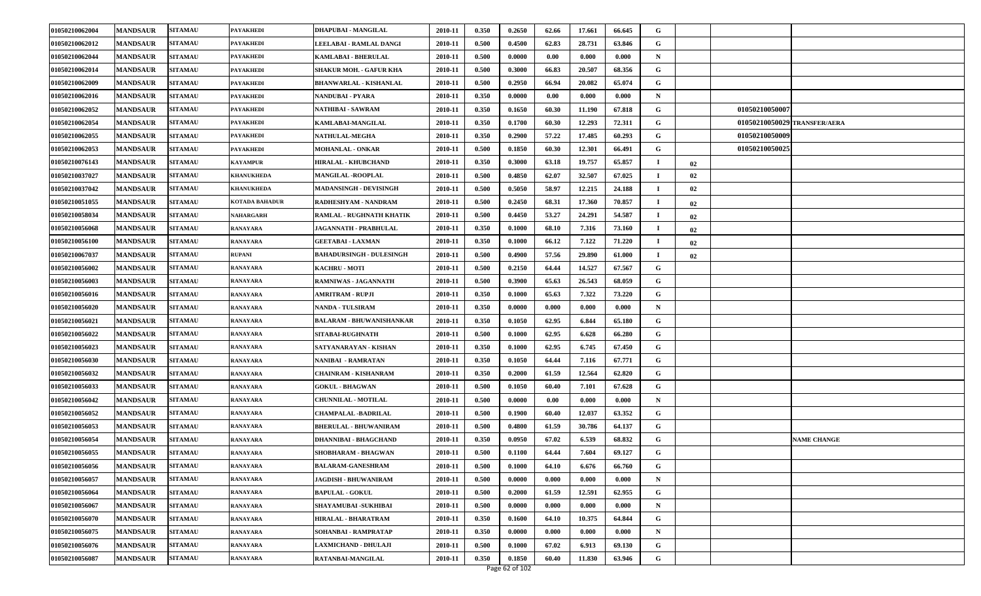| 01050210062004 | <b>MANDSAUR</b> | <b>SITAMAU</b> | <b>PAYAKHEDI</b>      | DHAPUBAI - MANGILAL             | 2010-11 | 0.350 | 0.2650 | 62.66 | 17.661 | 66.645 | G           |    |                |                              |
|----------------|-----------------|----------------|-----------------------|---------------------------------|---------|-------|--------|-------|--------|--------|-------------|----|----------------|------------------------------|
| 01050210062012 | <b>MANDSAUR</b> | <b>SITAMAU</b> | <b>PAYAKHEDI</b>      | LEELABAI - RAMLAL DANGI         | 2010-11 | 0.500 | 0.4500 | 62.83 | 28.731 | 63.846 | G           |    |                |                              |
| 01050210062044 | <b>MANDSAUR</b> | <b>SITAMAU</b> | <b>PAYAKHEDI</b>      | <b>KAMLABAI - BHERULAL</b>      | 2010-11 | 0.500 | 0.0000 | 0.00  | 0.000  | 0.000  | N           |    |                |                              |
| 01050210062014 | <b>MANDSAUR</b> | <b>SITAMAU</b> | <b>PAYAKHEDI</b>      | <b>SHAKUR MOH. - GAFUR KHA</b>  | 2010-11 | 0.500 | 0.3000 | 66.83 | 20.507 | 68.356 | G           |    |                |                              |
| 01050210062009 | <b>MANDSAUR</b> | <b>SITAMAU</b> | <b>PAYAKHEDI</b>      | <b>BHANWARLAL - KISHANLAL</b>   | 2010-11 | 0.500 | 0.2950 | 66.94 | 20.082 | 65.074 | G           |    |                |                              |
| 01050210062016 | <b>MANDSAUR</b> | <b>SITAMAU</b> | <b>PAYAKHEDI</b>      | <b>NANDUBAI - PYARA</b>         | 2010-11 | 0.350 | 0.0000 | 0.00  | 0.000  | 0.000  | N           |    |                |                              |
| 01050210062052 | <b>MANDSAUR</b> | <b>SITAMAU</b> | <b>PAYAKHEDI</b>      | <b>NATHIBAI - SAWRAM</b>        | 2010-11 | 0.350 | 0.1650 | 60.30 | 11.190 | 67.818 | G           |    | 01050210050007 |                              |
| 01050210062054 | <b>MANDSAUR</b> | <b>SITAMAU</b> | <b>PAYAKHEDI</b>      | KAMLABAI-MANGILAL               | 2010-11 | 0.350 | 0.1700 | 60.30 | 12.293 | 72.311 | G           |    |                | 01050210050029 TRANSFER/AERA |
| 01050210062055 | <b>MANDSAUR</b> | <b>SITAMAU</b> | <b>PAYAKHEDI</b>      | NATHULAL-MEGHA                  | 2010-11 | 0.350 | 0.2900 | 57.22 | 17.485 | 60.293 | G           |    | 01050210050009 |                              |
| 01050210062053 | <b>MANDSAUR</b> | <b>SITAMAU</b> | <b>PAYAKHEDI</b>      | <b>MOHANLAL - ONKAR</b>         | 2010-11 | 0.500 | 0.1850 | 60.30 | 12.301 | 66.491 | G           |    | 01050210050025 |                              |
| 01050210076143 | <b>MANDSAUR</b> | <b>SITAMAU</b> | <b>KAYAMPUR</b>       | <b>HIRALAL - KHUBCHAND</b>      | 2010-11 | 0.350 | 0.3000 | 63.18 | 19.757 | 65.857 |             | 02 |                |                              |
| 01050210037027 | <b>MANDSAUR</b> | <b>SITAMAU</b> | KHANUKHEDA            | <b>MANGILAL -ROOPLAL</b>        | 2010-11 | 0.500 | 0.4850 | 62.07 | 32.507 | 67.025 | - 1         | 02 |                |                              |
| 01050210037042 | <b>MANDSAUR</b> | <b>SITAMAU</b> | <b>KHANUKHEDA</b>     | <b>MADANSINGH - DEVISINGH</b>   | 2010-11 | 0.500 | 0.5050 | 58.97 | 12.215 | 24.188 |             | 02 |                |                              |
| 01050210051055 | <b>MANDSAUR</b> | <b>SITAMAU</b> | <b>KOTADA BAHADUR</b> | RADHESHYAM - NANDRAM            | 2010-11 | 0.500 | 0.2450 | 68.31 | 17.360 | 70.857 | $\bf{I}$    | 02 |                |                              |
| 01050210058034 | <b>MANDSAUR</b> | <b>SITAMAU</b> | NAHARGARH             | RAMLAL - RUGHNATH KHATIK        | 2010-11 | 0.500 | 0.4450 | 53.27 | 24.291 | 54.587 |             | 02 |                |                              |
| 01050210056068 | <b>MANDSAUR</b> | <b>SITAMAU</b> | <b>RANAYARA</b>       | JAGANNATH - PRABHULAL           | 2010-11 | 0.350 | 0.1000 | 68.10 | 7.316  | 73.160 | -1          | 02 |                |                              |
| 01050210056100 | <b>MANDSAUR</b> | <b>SITAMAU</b> | <b>RANAYARA</b>       | <b>GEETABAI - LAXMAN</b>        | 2010-11 | 0.350 | 0.1000 | 66.12 | 7.122  | 71.220 | -1          | 02 |                |                              |
| 01050210067037 | <b>MANDSAUR</b> | <b>SITAMAU</b> | <b>RUPANI</b>         | <b>BAHADURSINGH - DULESINGH</b> | 2010-11 | 0.500 | 0.4900 | 57.56 | 29.890 | 61.000 | - 1         | 02 |                |                              |
| 01050210056002 | <b>MANDSAUR</b> | <b>SITAMAU</b> | <b>RANAYARA</b>       | <b>KACHRU - MOTI</b>            | 2010-11 | 0.500 | 0.2150 | 64.44 | 14.527 | 67.567 | G           |    |                |                              |
| 01050210056003 | <b>MANDSAUR</b> | <b>SITAMAU</b> | <b>RANAYARA</b>       | RAMNIWAS - JAGANNATH            | 2010-11 | 0.500 | 0.3900 | 65.63 | 26.543 | 68.059 | G           |    |                |                              |
| 01050210056016 | <b>MANDSAUR</b> | <b>SITAMAU</b> | <b>RANAYARA</b>       | <b>AMRITRAM - RUPJI</b>         | 2010-11 | 0.350 | 0.1000 | 65.63 | 7.322  | 73.220 | G           |    |                |                              |
| 01050210056020 | <b>MANDSAUR</b> | <b>SITAMAU</b> | <b>RANAYARA</b>       | <b>NANDA - TULSIRAM</b>         | 2010-11 | 0.350 | 0.0000 | 0.000 | 0.000  | 0.000  | $\mathbf N$ |    |                |                              |
| 01050210056021 | <b>MANDSAUR</b> | <b>SITAMAU</b> | <b>RANAYARA</b>       | <b>BALARAM - BHUWANISHANKAR</b> | 2010-11 | 0.350 | 0.1050 | 62.95 | 6.844  | 65.180 | G           |    |                |                              |
| 01050210056022 | <b>MANDSAUR</b> | <b>SITAMAU</b> | <b>RANAYARA</b>       | SITABAI-RUGHNATH                | 2010-11 | 0.500 | 0.1000 | 62.95 | 6.628  | 66.280 | G           |    |                |                              |
| 01050210056023 | <b>MANDSAUR</b> | <b>SITAMAU</b> | <b>RANAYARA</b>       | SATYANARAYAN - KISHAN           | 2010-11 | 0.350 | 0.1000 | 62.95 | 6.745  | 67.450 | G           |    |                |                              |
| 01050210056030 | <b>MANDSAUR</b> | <b>SITAMAU</b> | <b>RANAYARA</b>       | <b>NANIBAI - RAMRATAN</b>       | 2010-11 | 0.350 | 0.1050 | 64.44 | 7.116  | 67.771 | G           |    |                |                              |
| 01050210056032 | <b>MANDSAUR</b> | <b>SITAMAU</b> | <b>RANAYARA</b>       | CHAINRAM - KISHANRAM            | 2010-11 | 0.350 | 0.2000 | 61.59 | 12.564 | 62.820 | G           |    |                |                              |
| 01050210056033 | <b>MANDSAUR</b> | <b>SITAMAU</b> | <b>RANAYARA</b>       | <b>GOKUL - BHAGWAN</b>          | 2010-11 | 0.500 | 0.1050 | 60.40 | 7.101  | 67.628 | G           |    |                |                              |
| 01050210056042 | <b>MANDSAUR</b> | <b>SITAMAU</b> | <b>RANAYARA</b>       | <b>CHUNNILAL - MOTILAL</b>      | 2010-11 | 0.500 | 0.0000 | 0.00  | 0.000  | 0.000  | N           |    |                |                              |
| 01050210056052 | <b>MANDSAUR</b> | <b>SITAMAU</b> | <b>RANAYARA</b>       | <b>CHAMPALAL -BADRILAL</b>      | 2010-11 | 0.500 | 0.1900 | 60.40 | 12.037 | 63.352 | G           |    |                |                              |
| 01050210056053 | <b>MANDSAUR</b> | <b>SITAMAU</b> | RANAYARA              | <b>BHERULAL - BHUWANIRAM</b>    | 2010-11 | 0.500 | 0.4800 | 61.59 | 30.786 | 64.137 | G           |    |                |                              |
| 01050210056054 | <b>MANDSAUR</b> | <b>SITAMAU</b> | <b>RANAYARA</b>       | <b>DHANNIBAI - BHAGCHAND</b>    | 2010-11 | 0.350 | 0.0950 | 67.02 | 6.539  | 68.832 | G           |    |                | <b>NAME CHANGE</b>           |
| 01050210056055 | <b>MANDSAUR</b> | <b>SITAMAU</b> | <b>RANAYARA</b>       | <b>SHOBHARAM - BHAGWAN</b>      | 2010-11 | 0.500 | 0.1100 | 64.44 | 7.604  | 69.127 | G           |    |                |                              |
| 01050210056056 | <b>MANDSAUR</b> | <b>SITAMAU</b> | <b>RANAYARA</b>       | <b>BALARAM-GANESHRAM</b>        | 2010-11 | 0.500 | 0.1000 | 64.10 | 6.676  | 66.760 | G           |    |                |                              |
| 01050210056057 | <b>MANDSAUR</b> | <b>SITAMAU</b> | <b>RANAYARA</b>       | JAGDISH - BHUWANIRAM            | 2010-11 | 0.500 | 0.0000 | 0.000 | 0.000  | 0.000  | $\mathbf N$ |    |                |                              |
| 01050210056064 | <b>MANDSAUR</b> | <b>SITAMAU</b> | <b>RANAYARA</b>       | <b>BAPULAL - GOKUL</b>          | 2010-11 | 0.500 | 0.2000 | 61.59 | 12.591 | 62.955 | G           |    |                |                              |
| 01050210056067 | <b>MANDSAUR</b> | <b>SITAMAU</b> | <b>RANAYARA</b>       | SHAYAMUBAI - SUKHIBAI           | 2010-11 | 0.500 | 0.0000 | 0.000 | 0.000  | 0.000  | ${\bf N}$   |    |                |                              |
| 01050210056070 | <b>MANDSAUR</b> | <b>SITAMAU</b> | <b>RANAYARA</b>       | HIRALAL - BHARATRAM             | 2010-11 | 0.350 | 0.1600 | 64.10 | 10.375 | 64.844 | G           |    |                |                              |
| 01050210056075 | <b>MANDSAUR</b> | <b>SITAMAU</b> | <b>RANAYARA</b>       | SOHANBAI - RAMPRATAP            | 2010-11 | 0.350 | 0.0000 | 0.000 | 0.000  | 0.000  | $\mathbf N$ |    |                |                              |
| 01050210056076 | <b>MANDSAUR</b> | <b>SITAMAU</b> | <b>RANAYARA</b>       | LAXMICHAND - DHULAJI            | 2010-11 | 0.500 | 0.1000 | 67.02 | 6.913  | 69.130 | G           |    |                |                              |
| 01050210056087 | <b>MANDSAUR</b> | <b>SITAMAU</b> | <b>RANAYARA</b>       | RATANBAI-MANGILAL               | 2010-11 | 0.350 | 0.1850 | 60.40 | 11.830 | 63.946 | G           |    |                |                              |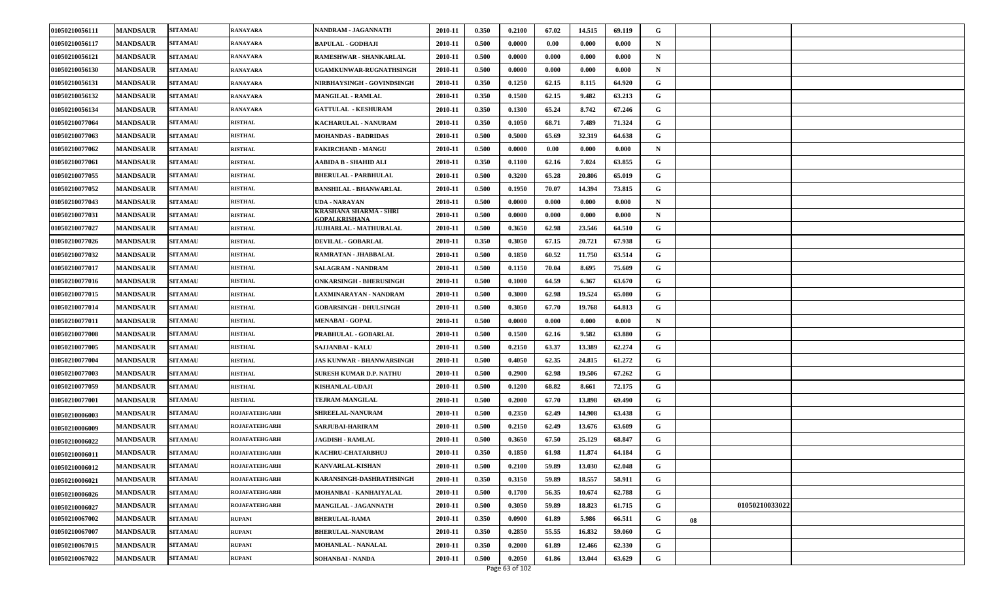| 01050210056111 | <b>MANDSAUR</b> | <b>SITAMAU</b> | <b>RANAYARA</b>      | NANDRAM - JAGANNATH                            | 2010-11 | 0.350 | 0.2100 | 67.02 | 14.515 | 69.119 | G           |    |                |  |
|----------------|-----------------|----------------|----------------------|------------------------------------------------|---------|-------|--------|-------|--------|--------|-------------|----|----------------|--|
| 01050210056117 | <b>MANDSAUR</b> | <b>SITAMAU</b> | RANAYARA             | <b>BAPULAL - GODHAJI</b>                       | 2010-11 | 0.500 | 0.0000 | 0.00  | 0.000  | 0.000  | N           |    |                |  |
| 01050210056121 | <b>MANDSAUR</b> | <b>SITAMAU</b> | <b>RANAYARA</b>      | RAMESHWAR - SHANKARLAL                         | 2010-11 | 0.500 | 0.0000 | 0.000 | 0.000  | 0.000  | N           |    |                |  |
| 01050210056130 | <b>MANDSAUR</b> | <b>SITAMAU</b> | RANAYARA             | UGAMKUNWAR-RUGNATHSINGH                        | 2010-11 | 0.500 | 0.0000 | 0.000 | 0.000  | 0.000  | N           |    |                |  |
| 01050210056131 | <b>MANDSAUR</b> | <b>SITAMAU</b> | RANAYARA             | NIRBHAYSINGH - GOVINDSINGH                     | 2010-11 | 0.350 | 0.1250 | 62.15 | 8.115  | 64.920 | G           |    |                |  |
| 01050210056132 | <b>MANDSAUR</b> | <b>SITAMAU</b> | RANAYARA             | <b>MANGILAL - RAMLAL</b>                       | 2010-11 | 0.350 | 0.1500 | 62.15 | 9.482  | 63.213 | G           |    |                |  |
| 01050210056134 | <b>MANDSAUR</b> | <b>SITAMAU</b> | <b>RANAYARA</b>      | <b>GATTULAL - KESHURAM</b>                     | 2010-11 | 0.350 | 0.1300 | 65.24 | 8.742  | 67.246 | G           |    |                |  |
| 01050210077064 | <b>MANDSAUR</b> | <b>SITAMAU</b> | <b>RISTHAL</b>       | KACHARULAL - NANURAM                           | 2010-11 | 0.350 | 0.1050 | 68.71 | 7.489  | 71.324 | G           |    |                |  |
| 01050210077063 | <b>MANDSAUR</b> | <b>SITAMAU</b> | <b>RISTHAL</b>       | <b>MOHANDAS - BADRIDAS</b>                     | 2010-11 | 0.500 | 0.5000 | 65.69 | 32.319 | 64.638 | G           |    |                |  |
| 01050210077062 | <b>MANDSAUR</b> | <b>SITAMAU</b> | <b>RISTHAL</b>       | FAKIRCHAND - MANGU                             | 2010-11 | 0.500 | 0.0000 | 0.00  | 0.000  | 0.000  | N           |    |                |  |
| 01050210077061 | <b>MANDSAUR</b> | <b>SITAMAU</b> | <b>RISTHAL</b>       | AABIDA B - SHAHID ALI                          | 2010-11 | 0.350 | 0.1100 | 62.16 | 7.024  | 63.855 | G           |    |                |  |
| 01050210077055 | <b>MANDSAUR</b> | <b>SITAMAU</b> | <b>RISTHAL</b>       | BHERULAL - PARBHULAL                           | 2010-11 | 0.500 | 0.3200 | 65.28 | 20.806 | 65.019 | G           |    |                |  |
| 01050210077052 | <b>MANDSAUR</b> | <b>SITAMAU</b> | <b>RISTHAL</b>       | <b>BANSHILAL - BHANWARLAL</b>                  | 2010-11 | 0.500 | 0.1950 | 70.07 | 14.394 | 73.815 | G           |    |                |  |
| 01050210077043 | <b>MANDSAUR</b> | <b>SITAMAU</b> | <b>RISTHAL</b>       | UDA - NARAYAN                                  | 2010-11 | 0.500 | 0.0000 | 0.000 | 0.000  | 0.000  | $\mathbf N$ |    |                |  |
| 01050210077031 | <b>MANDSAUR</b> | <b>SITAMAU</b> | <b>RISTHAL</b>       | KRASHANA SHARMA - SHRI<br><b>GOPALKRISHANA</b> | 2010-11 | 0.500 | 0.0000 | 0.000 | 0.000  | 0.000  | N           |    |                |  |
| 01050210077027 | <b>MANDSAUR</b> | <b>SITAMAU</b> | <b>RISTHAL</b>       | <b>JUJHARLAL - MATHURALAL</b>                  | 2010-11 | 0.500 | 0.3650 | 62.98 | 23.546 | 64.510 | G           |    |                |  |
| 01050210077026 | <b>MANDSAUR</b> | <b>SITAMAU</b> | <b>RISTHAL</b>       | DEVILAL - GOBARLAL                             | 2010-11 | 0.350 | 0.3050 | 67.15 | 20.721 | 67.938 | G           |    |                |  |
| 01050210077032 | <b>MANDSAUR</b> | <b>SITAMAU</b> | <b>RISTHAL</b>       | RAMRATAN - JHABBALAL                           | 2010-11 | 0.500 | 0.1850 | 60.52 | 11.750 | 63.514 | G           |    |                |  |
| 01050210077017 | <b>MANDSAUR</b> | <b>SITAMAU</b> | <b>RISTHAL</b>       | SALAGRAM - NANDRAM                             | 2010-11 | 0.500 | 0.1150 | 70.04 | 8.695  | 75.609 | G           |    |                |  |
| 01050210077016 | <b>MANDSAUR</b> | <b>SITAMAU</b> | <b>RISTHAL</b>       | <b>ONKARSINGH - BHERUSINGH</b>                 | 2010-11 | 0.500 | 0.1000 | 64.59 | 6.367  | 63.670 | G           |    |                |  |
| 01050210077015 | <b>MANDSAUR</b> | <b>SITAMAU</b> | <b>RISTHAL</b>       | LAXMINARAYAN - NANDRAM                         | 2010-11 | 0.500 | 0.3000 | 62.98 | 19.524 | 65.080 | G           |    |                |  |
| 01050210077014 | <b>MANDSAUR</b> | <b>SITAMAU</b> | <b>RISTHAL</b>       | <b>GOBARSINGH - DHULSINGH</b>                  | 2010-11 | 0.500 | 0.3050 | 67.70 | 19.768 | 64.813 | G           |    |                |  |
| 01050210077011 | <b>MANDSAUR</b> | <b>SITAMAU</b> | <b>RISTHAL</b>       | <b>MENABAI - GOPAL</b>                         | 2010-11 | 0.500 | 0.0000 | 0.000 | 0.000  | 0.000  | N           |    |                |  |
| 01050210077008 | <b>MANDSAUR</b> | <b>SITAMAU</b> | <b>RISTHAL</b>       | PRABHULAL - GOBARLAL                           | 2010-11 | 0.500 | 0.1500 | 62.16 | 9.582  | 63.880 | G           |    |                |  |
| 01050210077005 | <b>MANDSAUR</b> | <b>SITAMAU</b> | <b>RISTHAL</b>       | SAJJANBAI - KALU                               | 2010-11 | 0.500 | 0.2150 | 63.37 | 13.389 | 62,274 | G           |    |                |  |
| 01050210077004 | <b>MANDSAUR</b> | <b>SITAMAU</b> | <b>RISTHAL</b>       | <b>JAS KUNWAR - BHANWARSINGH</b>               | 2010-11 | 0.500 | 0.4050 | 62.35 | 24.815 | 61.272 | G           |    |                |  |
| 01050210077003 | <b>MANDSAUR</b> | <b>SITAMAU</b> | <b>RISTHAL</b>       | <b>SURESH KUMAR D.P. NATHU</b>                 | 2010-11 | 0.500 | 0.2900 | 62.98 | 19.506 | 67.262 | G           |    |                |  |
| 01050210077059 | <b>MANDSAUR</b> | <b>SITAMAU</b> | <b>RISTHAL</b>       | KISHANLAL-UDAJI                                | 2010-11 | 0.500 | 0.1200 | 68.82 | 8.661  | 72.175 | G           |    |                |  |
| 01050210077001 | <b>MANDSAUR</b> | <b>SITAMAU</b> | <b>RISTHAL</b>       | TEJRAM-MANGILAL                                | 2010-11 | 0.500 | 0.2000 | 67.70 | 13.898 | 69.490 | G           |    |                |  |
| 01050210006003 | <b>MANDSAUR</b> | <b>SITAMAU</b> | <b>ROJAFATEHGARH</b> | SHREELAL-NANURAM                               | 2010-11 | 0.500 | 0.2350 | 62.49 | 14.908 | 63.438 | G           |    |                |  |
| 01050210006009 | <b>MANDSAUR</b> | <b>SITAMAU</b> | ROJAFATEHGARH        | SARJUBAI-HARIRAM                               | 2010-11 | 0.500 | 0.2150 | 62.49 | 13.676 | 63.609 | G           |    |                |  |
| 01050210006022 | <b>MANDSAUR</b> | <b>SITAMAU</b> | ROJAFATEHGARH        | <b>JAGDISH - RAMLAL</b>                        | 2010-11 | 0.500 | 0.3650 | 67.50 | 25.129 | 68.847 | G           |    |                |  |
| 01050210006011 | <b>MANDSAUR</b> | <b>SITAMAU</b> | ROJAFATEHGARH        | KACHRU-CHATARBHUJ                              | 2010-11 | 0.350 | 0.1850 | 61.98 | 11.874 | 64.184 | G           |    |                |  |
| 01050210006012 | <b>MANDSAUR</b> | <b>SITAMAU</b> | <b>ROJAFATEHGARH</b> | <b>KANVARLAL-KISHAN</b>                        | 2010-11 | 0.500 | 0.2100 | 59.89 | 13.030 | 62.048 | G           |    |                |  |
| 01050210006021 | <b>MANDSAUR</b> | <b>SITAMAU</b> | <b>ROJAFATEHGARH</b> | KARANSINGH-DASHRATHSINGH                       | 2010-11 | 0.350 | 0.3150 | 59.89 | 18.557 | 58.911 | G           |    |                |  |
| 01050210006026 | <b>MANDSAUR</b> | <b>SITAMAU</b> | <b>ROJAFATEHGARH</b> | MOHANBAI - KANHAIYALAL                         | 2010-11 | 0.500 | 0.1700 | 56.35 | 10.674 | 62.788 | G           |    |                |  |
| 01050210006027 | <b>MANDSAUR</b> | <b>SITAMAU</b> | <b>ROJAFATEHGARH</b> | MANGILAL - JAGANNATH                           | 2010-11 | 0.500 | 0.3050 | 59.89 | 18.823 | 61.715 | G           |    | 01050210033022 |  |
| 01050210067002 | <b>MANDSAUR</b> | <b>SITAMAU</b> | <b>RUPANI</b>        | <b>BHERULAL-RAMA</b>                           | 2010-11 | 0.350 | 0.0900 | 61.89 | 5.986  | 66.511 | G           | 08 |                |  |
| 01050210067007 | <b>MANDSAUR</b> | <b>SITAMAU</b> | <b>RUPANI</b>        | <b>BHERULAL-NANURAM</b>                        | 2010-11 | 0.350 | 0.2850 | 55.55 | 16.832 | 59.060 | G           |    |                |  |
| 01050210067015 | <b>MANDSAUR</b> | <b>SITAMAU</b> | <b>RUPANI</b>        | <b>MOHANLAL - NANALAL</b>                      | 2010-11 | 0.350 | 0.2000 | 61.89 | 12.466 | 62.330 | G           |    |                |  |
| 01050210067022 | <b>MANDSAUR</b> | <b>SITAMAU</b> | <b>RUPANI</b>        | <b>SOHANBAI - NANDA</b>                        | 2010-11 | 0.500 | 0.2050 | 61.86 | 13.044 | 63.629 | G           |    |                |  |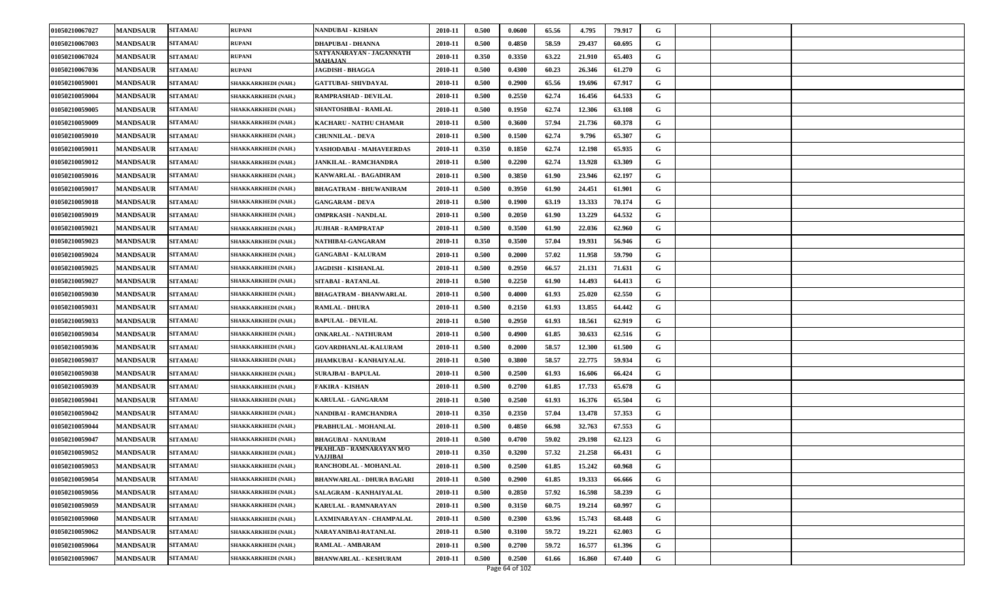| 01050210067027 | <b>MANDSAUR</b> | <b>SITAMAU</b> | <b>RUPANI</b>       | <b>NANDUBAI - KISHAN</b>                    | 2010-11 | 0.500 | 0.0600         | 65.56 | 4.795  | 79.917 | G |  |
|----------------|-----------------|----------------|---------------------|---------------------------------------------|---------|-------|----------------|-------|--------|--------|---|--|
| 01050210067003 | <b>MANDSAUR</b> | <b>SITAMAU</b> | <b>RUPANI</b>       | <b>DHAPUBAI - DHANNA</b>                    | 2010-11 | 0.500 | 0.4850         | 58.59 | 29.437 | 60.695 | G |  |
| 01050210067024 | <b>MANDSAUR</b> | <b>SITAMAU</b> | <b>RUPANI</b>       | SATYANARAYAN - JAGANNATH<br><b>MAHAJAN</b>  | 2010-11 | 0.350 | 0.3350         | 63.22 | 21.910 | 65.403 | G |  |
| 01050210067036 | <b>MANDSAUR</b> | <b>SITAMAU</b> | <b>RUPANI</b>       | JAGDISH - BHAGGA                            | 2010-11 | 0.500 | 0.4300         | 60.23 | 26.346 | 61.270 | G |  |
| 01050210059001 | <b>MANDSAUR</b> | <b>SITAMAU</b> | SHAKKARKHEDI (NAH.) | <b>GATTUBAI- SHIVDAYAL</b>                  | 2010-11 | 0.500 | 0.2900         | 65.56 | 19.696 | 67.917 | G |  |
| 01050210059004 | <b>MANDSAUR</b> | <b>SITAMAU</b> | SHAKKARKHEDI (NAH.) | <b>RAMPRASHAD - DEVILAL</b>                 | 2010-11 | 0.500 | 0.2550         | 62.74 | 16.456 | 64.533 | G |  |
| 01050210059005 | <b>MANDSAUR</b> | <b>SITAMAU</b> | SHAKKARKHEDI (NAH.) | SHANTOSHBAI - RAMLAL                        | 2010-11 | 0.500 | 0.1950         | 62.74 | 12.306 | 63.108 | G |  |
| 01050210059009 | <b>MANDSAUR</b> | <b>SITAMAU</b> | SHAKKARKHEDI (NAH.) | KACHARU - NATHU CHAMAR                      | 2010-11 | 0.500 | 0.3600         | 57.94 | 21.736 | 60.378 | G |  |
| 01050210059010 | <b>MANDSAUR</b> | <b>SITAMAU</b> | SHAKKARKHEDI (NAH.) | <b>CHUNNILAL - DEVA</b>                     | 2010-11 | 0.500 | 0.1500         | 62.74 | 9.796  | 65.307 | G |  |
| 01050210059011 | <b>MANDSAUR</b> | <b>SITAMAU</b> | SHAKKARKHEDI (NAH.) | YASHODABAI - MAHAVEERDAS                    | 2010-11 | 0.350 | 0.1850         | 62.74 | 12.198 | 65.935 | G |  |
| 01050210059012 | <b>MANDSAUR</b> | <b>SITAMAU</b> | SHAKKARKHEDI (NAH.) | <b>JANKILAL - RAMCHANDRA</b>                | 2010-11 | 0.500 | 0.2200         | 62.74 | 13.928 | 63.309 | G |  |
| 01050210059016 | <b>MANDSAUR</b> | <b>SITAMAU</b> | SHAKKARKHEDI (NAH.) | KANWARLAL - BAGADIRAM                       | 2010-11 | 0.500 | 0.3850         | 61.90 | 23.946 | 62.197 | G |  |
| 01050210059017 | <b>MANDSAUR</b> | <b>SITAMAU</b> | SHAKKARKHEDI (NAH.) | <b>BHAGATRAM - BHUWANIRAM</b>               | 2010-11 | 0.500 | 0.3950         | 61.90 | 24.451 | 61.901 | G |  |
| 01050210059018 | <b>MANDSAUR</b> | <b>SITAMAU</b> | SHAKKARKHEDI (NAH.) | <b>GANGARAM - DEVA</b>                      | 2010-11 | 0.500 | 0.1900         | 63.19 | 13.333 | 70.174 | G |  |
| 01050210059019 | <b>MANDSAUR</b> | <b>SITAMAU</b> | SHAKKARKHEDI (NAH.) | <b>OMPRKASH - NANDLAL</b>                   | 2010-11 | 0.500 | 0.2050         | 61.90 | 13.229 | 64.532 | G |  |
| 01050210059021 | <b>MANDSAUR</b> | <b>SITAMAU</b> | SHAKKARKHEDI (NAH.) | <b>JUJHAR - RAMPRATAP</b>                   | 2010-11 | 0.500 | 0.3500         | 61.90 | 22.036 | 62.960 | G |  |
| 01050210059023 | <b>MANDSAUR</b> | <b>SITAMAU</b> | SHAKKARKHEDI (NAH.) | NATHIBAI-GANGARAM                           | 2010-11 | 0.350 | 0.3500         | 57.04 | 19.931 | 56.946 | G |  |
| 01050210059024 | <b>MANDSAUR</b> | <b>SITAMAU</b> | SHAKKARKHEDI (NAH.) | <b>GANGABAI - KALURAM</b>                   | 2010-11 | 0.500 | 0.2000         | 57.02 | 11.958 | 59.790 | G |  |
| 01050210059025 | <b>MANDSAUR</b> | <b>SITAMAU</b> | SHAKKARKHEDI (NAH.) | <b>JAGDISH - KISHANLAL</b>                  | 2010-11 | 0.500 | 0.2950         | 66.57 | 21.131 | 71.631 | G |  |
| 01050210059027 | <b>MANDSAUR</b> | <b>SITAMAU</b> | SHAKKARKHEDI (NAH.) | <b>SITABAI - RATANLAL</b>                   | 2010-11 | 0.500 | 0.2250         | 61.90 | 14.493 | 64.413 | G |  |
| 01050210059030 | <b>MANDSAUR</b> | <b>SITAMAU</b> | SHAKKARKHEDI (NAH.) | <b>BHAGATRAM - BHANWARLAL</b>               | 2010-11 | 0.500 | 0.4000         | 61.93 | 25.020 | 62.550 | G |  |
| 01050210059031 | <b>MANDSAUR</b> | <b>SITAMAU</b> | SHAKKARKHEDI (NAH.) | <b>RAMLAL - DHURA</b>                       | 2010-11 | 0.500 | 0.2150         | 61.93 | 13.855 | 64.442 | G |  |
| 01050210059033 | <b>MANDSAUR</b> | <b>SITAMAU</b> | SHAKKARKHEDI (NAH.) | <b>BAPULAL - DEVILAL</b>                    | 2010-11 | 0.500 | 0.2950         | 61.93 | 18.561 | 62.919 | G |  |
| 01050210059034 | <b>MANDSAUR</b> | <b>SITAMAU</b> | SHAKKARKHEDI (NAH.) | <b>ONKARLAL - NATHURAM</b>                  | 2010-11 | 0.500 | 0.4900         | 61.85 | 30.633 | 62.516 | G |  |
| 01050210059036 | <b>MANDSAUR</b> | <b>SITAMAU</b> | SHAKKARKHEDI (NAH.) | <b>GOVARDHANLAL-KALURAM</b>                 | 2010-11 | 0.500 | 0.2000         | 58.57 | 12.300 | 61.500 | G |  |
| 01050210059037 | <b>MANDSAUR</b> | <b>SITAMAU</b> | SHAKKARKHEDI (NAH.) | JHAMKUBAI - KANHAIYALAL                     | 2010-11 | 0.500 | 0.3800         | 58.57 | 22.775 | 59.934 | G |  |
| 01050210059038 | <b>MANDSAUR</b> | <b>SITAMAU</b> | SHAKKARKHEDI (NAH.) | <b>SURAJBAI - BAPULAL</b>                   | 2010-11 | 0.500 | 0.2500         | 61.93 | 16.606 | 66.424 | G |  |
| 01050210059039 | <b>MANDSAUR</b> | <b>SITAMAU</b> | SHAKKARKHEDI (NAH.) | <b>FAKIRA - KISHAN</b>                      | 2010-11 | 0.500 | 0.2700         | 61.85 | 17.733 | 65.678 | G |  |
| 01050210059041 | <b>MANDSAUR</b> | <b>SITAMAU</b> | SHAKKARKHEDI (NAH.) | <b>KARULAL - GANGARAM</b>                   | 2010-11 | 0.500 | 0.2500         | 61.93 | 16.376 | 65.504 | G |  |
| 01050210059042 | <b>MANDSAUR</b> | <b>SITAMAU</b> | SHAKKARKHEDI (NAH.) | NANDIBAI - RAMCHANDRA                       | 2010-11 | 0.350 | 0.2350         | 57.04 | 13.478 | 57.353 | G |  |
| 01050210059044 | <b>MANDSAUR</b> | <b>SITAMAU</b> | SHAKKARKHEDI (NAH.) | PRABHULAL - MOHANLAL                        | 2010-11 | 0.500 | 0.4850         | 66.98 | 32.763 | 67.553 | G |  |
| 01050210059047 | <b>MANDSAUR</b> | <b>SITAMAU</b> | SHAKKARKHEDI (NAH.) | <b>BHAGUBAI - NANURAM</b>                   | 2010-11 | 0.500 | 0.4700         | 59.02 | 29.198 | 62.123 | G |  |
| 01050210059052 | <b>MANDSAUR</b> | <b>SITAMAU</b> | SHAKKARKHEDI (NAH.) | PRAHLAD - RAMNARAYAN M/O<br><b>VALIIBAL</b> | 2010-11 | 0.350 | 0.3200         | 57.32 | 21.258 | 66.431 | G |  |
| 01050210059053 | <b>MANDSAUR</b> | <b>SITAMAU</b> | SHAKKARKHEDI (NAH.) | RANCHODLAL - MOHANLAL                       | 2010-11 | 0.500 | 0.2500         | 61.85 | 15.242 | 60.968 | G |  |
| 01050210059054 | <b>MANDSAUR</b> | <b>SITAMAU</b> | SHAKKARKHEDI (NAH.) | <b>BHANWARLAL - DHURA BAGARI</b>            | 2010-11 | 0.500 | 0.2900         | 61.85 | 19.333 | 66.666 | G |  |
| 01050210059056 | <b>MANDSAUR</b> | <b>SITAMAU</b> | SHAKKARKHEDI (NAH.) | SALAGRAM - KANHAIYALAL                      | 2010-11 | 0.500 | 0.2850         | 57.92 | 16.598 | 58.239 | G |  |
| 01050210059059 | <b>MANDSAUR</b> | <b>SITAMAU</b> | SHAKKARKHEDI (NAH.) | <b>KARULAL - RAMNARAYAN</b>                 | 2010-11 | 0.500 | 0.3150         | 60.75 | 19.214 | 60.997 | G |  |
| 01050210059060 | <b>MANDSAUR</b> | <b>SITAMAU</b> | SHAKKARKHEDI (NAH.) | LAXMINARAYAN - CHAMPALAL                    | 2010-11 | 0.500 | 0.2300         | 63.96 | 15.743 | 68.448 | G |  |
| 01050210059062 | <b>MANDSAUR</b> | <b>SITAMAU</b> | SHAKKARKHEDI (NAH.) | NARAYANIBAI-RATANLAL                        | 2010-11 | 0.500 | 0.3100         | 59.72 | 19.221 | 62.003 | G |  |
| 01050210059064 | <b>MANDSAUR</b> | <b>SITAMAU</b> | SHAKKARKHEDI (NAH.) | <b>RAMLAL - AMBARAM</b>                     | 2010-11 | 0.500 | 0.2700         | 59.72 | 16.577 | 61.396 | G |  |
| 01050210059067 | <b>MANDSAUR</b> | <b>SITAMAU</b> | SHAKKARKHEDI (NAH.) | <b>BHANWARLAL - KESHURAM</b>                | 2010-11 | 0.500 | 0.2500         | 61.66 | 16.860 | 67.440 | G |  |
|                |                 |                |                     |                                             |         |       | Page 64 of 102 |       |        |        |   |  |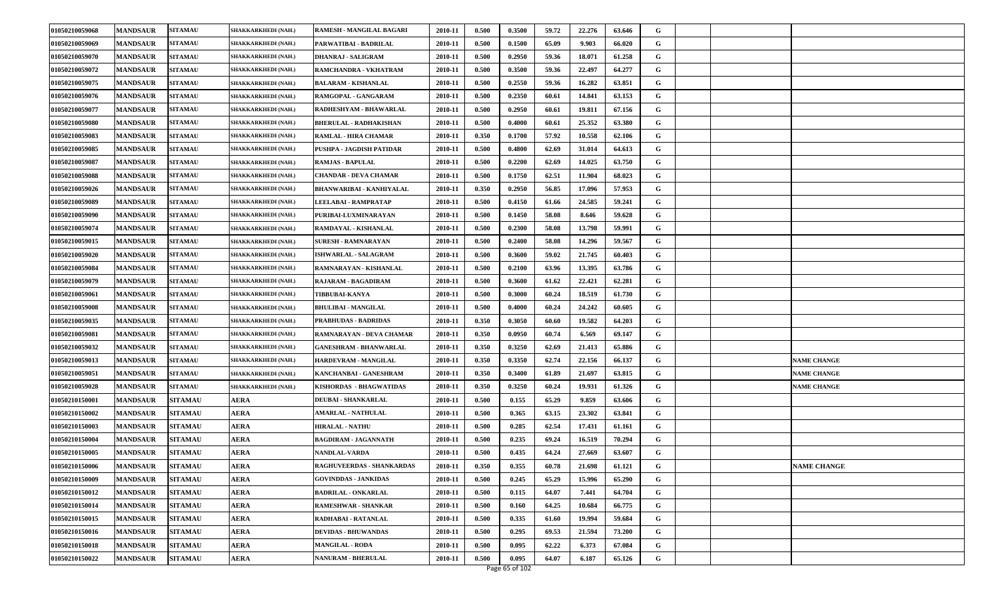| 01050210059068 | <b>MANDSAUR</b> | <b>SITAMAU</b> | SHAKKARKHEDI (NAH.) | RAMESH - MANGILAL BAGARI        | 2010-11 | 0.500 | 0.3500 | 59.72 | 22.276 | 63.646 | G |                    |
|----------------|-----------------|----------------|---------------------|---------------------------------|---------|-------|--------|-------|--------|--------|---|--------------------|
| 01050210059069 | <b>MANDSAUR</b> | <b>SITAMAU</b> | SHAKKARKHEDI (NAH.) | PARWATIBAI - BADRILAL           | 2010-11 | 0.500 | 0.1500 | 65.09 | 9.903  | 66.020 | G |                    |
| 01050210059070 | <b>MANDSAUR</b> | <b>SITAMAU</b> | SHAKKARKHEDI (NAH.) | <b>DHANRAJ - SALIGRAM</b>       | 2010-11 | 0.500 | 0.2950 | 59.36 | 18.071 | 61.258 | G |                    |
| 01050210059072 | <b>MANDSAUR</b> | <b>SITAMAU</b> | SHAKKARKHEDI (NAH.) | RAMCHANDRA - VKHATRAM           | 2010-11 | 0.500 | 0.3500 | 59.36 | 22.497 | 64.277 | G |                    |
| 01050210059075 | <b>MANDSAUR</b> | <b>SITAMAU</b> | SHAKKARKHEDI (NAH.) | <b>BALARAM - KISHANLAL</b>      | 2010-11 | 0.500 | 0.2550 | 59.36 | 16.282 | 63.851 | G |                    |
| 01050210059076 | <b>MANDSAUR</b> | <b>SITAMAU</b> | SHAKKARKHEDI (NAH.) | RAMGOPAL - GANGARAM             | 2010-11 | 0.500 | 0.2350 | 60.61 | 14.841 | 63.153 | G |                    |
| 01050210059077 | <b>MANDSAUR</b> | <b>SITAMAU</b> | SHAKKARKHEDI (NAH.) | RADHESHYAM - BHAWARLAL          | 2010-11 | 0.500 | 0.2950 | 60.61 | 19.811 | 67.156 | G |                    |
| 01050210059080 | <b>MANDSAUR</b> | <b>SITAMAU</b> | SHAKKARKHEDI (NAH.) | <b>BHERULAL - RADHAKISHAN</b>   | 2010-11 | 0.500 | 0.4000 | 60.61 | 25.352 | 63.380 | G |                    |
| 01050210059083 | <b>MANDSAUR</b> | <b>SITAMAU</b> | SHAKKARKHEDI (NAH.) | <b>RAMLAL - HIRA CHAMAR</b>     | 2010-11 | 0.350 | 0.1700 | 57.92 | 10.558 | 62.106 | G |                    |
| 01050210059085 | <b>MANDSAUR</b> | <b>SITAMAU</b> | SHAKKARKHEDI (NAH.) | PUSHPA - JAGDISH PATIDAR        | 2010-11 | 0.500 | 0.4800 | 62.69 | 31.014 | 64.613 | G |                    |
| 01050210059087 | <b>MANDSAUR</b> | <b>SITAMAU</b> | SHAKKARKHEDI (NAH.) | <b>RAMJAS - BAPULAL</b>         | 2010-11 | 0.500 | 0.2200 | 62.69 | 14.025 | 63.750 | G |                    |
| 01050210059088 | <b>MANDSAUR</b> | <b>SITAMAU</b> | SHAKKARKHEDI (NAH.) | <b>CHANDAR - DEVA CHAMAR</b>    | 2010-11 | 0.500 | 0.1750 | 62.51 | 11.904 | 68.023 | G |                    |
| 01050210059026 | <b>MANDSAUR</b> | <b>SITAMAU</b> | SHAKKARKHEDI (NAH.) | <b>BHANWARIBAI - KANHIYALAL</b> | 2010-11 | 0.350 | 0.2950 | 56.85 | 17.096 | 57.953 | G |                    |
| 01050210059089 | <b>MANDSAUR</b> | <b>SITAMAU</b> | SHAKKARKHEDI (NAH.) | LEELABAI - RAMPRATAP            | 2010-11 | 0.500 | 0.4150 | 61.66 | 24.585 | 59.241 | G |                    |
| 01050210059090 | <b>MANDSAUR</b> | <b>SITAMAU</b> | SHAKKARKHEDI (NAH.) | PURIBAI-LUXMINARAYAN            | 2010-11 | 0.500 | 0.1450 | 58.08 | 8.646  | 59.628 | G |                    |
| 01050210059074 | <b>MANDSAUR</b> | <b>SITAMAU</b> | SHAKKARKHEDI (NAH.) | RAMDAYAL - KISHANLAL            | 2010-11 | 0.500 | 0.2300 | 58.08 | 13.798 | 59.991 | G |                    |
| 01050210059015 | <b>MANDSAUR</b> | <b>SITAMAU</b> | SHAKKARKHEDI (NAH.) | <b>SURESH - RAMNARAYAN</b>      | 2010-11 | 0.500 | 0.2400 | 58.08 | 14.296 | 59.567 | G |                    |
| 01050210059020 | <b>MANDSAUR</b> | <b>SITAMAU</b> | SHAKKARKHEDI (NAH.) | ISHWARLAL - SALAGRAM            | 2010-11 | 0.500 | 0.3600 | 59.02 | 21.745 | 60.403 | G |                    |
| 01050210059084 | <b>MANDSAUR</b> | <b>SITAMAU</b> | SHAKKARKHEDI (NAH.) | RAMNARAYAN - KISHANLAL          | 2010-11 | 0.500 | 0.2100 | 63.96 | 13.395 | 63.786 | G |                    |
| 01050210059079 | <b>MANDSAUR</b> | <b>SITAMAU</b> | SHAKKARKHEDI (NAH.) | RAJARAM - BAGADIRAM             | 2010-11 | 0.500 | 0.3600 | 61.62 | 22.421 | 62.281 | G |                    |
| 01050210059061 | <b>MANDSAUR</b> | <b>SITAMAU</b> | SHAKKARKHEDI (NAH.) | <b>TIBBUBAI-KANYA</b>           | 2010-11 | 0.500 | 0.3000 | 60.24 | 18.519 | 61.730 | G |                    |
| 01050210059008 | <b>MANDSAUR</b> | <b>SITAMAU</b> | SHAKKARKHEDI (NAH.) | <b>BHULIBAI - MANGILAL</b>      | 2010-11 | 0.500 | 0.4000 | 60.24 | 24.242 | 60.605 | G |                    |
| 01050210059035 | <b>MANDSAUR</b> | <b>SITAMAU</b> | SHAKKARKHEDI (NAH.) | <b>PRABHUDAS - BADRIDAS</b>     | 2010-11 | 0.350 | 0.3050 | 60.60 | 19.582 | 64.203 | G |                    |
| 01050210059081 | <b>MANDSAUR</b> | <b>SITAMAU</b> | SHAKKARKHEDI (NAH.) | RAMNARAYAN - DEVA CHAMAR        | 2010-11 | 0.350 | 0.0950 | 60.74 | 6.569  | 69.147 | G |                    |
| 01050210059032 | <b>MANDSAUR</b> | <b>SITAMAU</b> | SHAKKARKHEDI (NAH.) | <b>GANESHRAM - BHANWARLAL</b>   | 2010-11 | 0.350 | 0.3250 | 62.69 | 21.413 | 65.886 | G |                    |
| 01050210059013 | <b>MANDSAUR</b> | <b>SITAMAU</b> | SHAKKARKHEDI (NAH.) | HARDEVRAM - MANGILAL            | 2010-11 | 0.350 | 0.3350 | 62.74 | 22.156 | 66.137 | G | <b>NAME CHANGE</b> |
| 01050210059051 | <b>MANDSAUR</b> | <b>SITAMAU</b> | SHAKKARKHEDI (NAH.) | KANCHANBAI - GANESHRAM          | 2010-11 | 0.350 | 0.3400 | 61.89 | 21.697 | 63.815 | G | <b>NAME CHANGE</b> |
| 01050210059028 | <b>MANDSAUR</b> | <b>SITAMAU</b> | SHAKKARKHEDI (NAH.) | KISHORDAS - BHAGWATIDAS         | 2010-11 | 0.350 | 0.3250 | 60.24 | 19.931 | 61.326 | G | <b>NAME CHANGE</b> |
| 01050210150001 | <b>MANDSAUR</b> | <b>SITAMAU</b> | AERA                | <b>DEUBAI - SHANKARLAL</b>      | 2010-11 | 0.500 | 0.155  | 65.29 | 9.859  | 63.606 | G |                    |
| 01050210150002 | <b>MANDSAUR</b> | <b>SITAMAU</b> | <b>AERA</b>         | <b>AMARLAL - NATHULAL</b>       | 2010-11 | 0.500 | 0.365  | 63.15 | 23.302 | 63.841 | G |                    |
| 01050210150003 | <b>MANDSAUR</b> | <b>SITAMAU</b> | <b>AERA</b>         | <b>HIRALAL - NATHU</b>          | 2010-11 | 0.500 | 0.285  | 62.54 | 17.431 | 61.161 | G |                    |
| 01050210150004 | <b>MANDSAUR</b> | <b>SITAMAU</b> | <b>AERA</b>         | <b>BAGDIRAM - JAGANNATH</b>     | 2010-11 | 0.500 | 0.235  | 69.24 | 16.519 | 70.294 | G |                    |
| 01050210150005 | <b>MANDSAUR</b> | <b>SITAMAU</b> | AERA                | NANDLAL-VARDA                   | 2010-11 | 0.500 | 0.435  | 64.24 | 27.669 | 63.607 | G |                    |
| 01050210150006 | <b>MANDSAUR</b> | <b>SITAMAU</b> | <b>AERA</b>         | RAGHUVEERDAS - SHANKARDAS       | 2010-11 | 0.350 | 0.355  | 60.78 | 21.698 | 61.121 | G | <b>NAME CHANGE</b> |
| 01050210150009 | <b>MANDSAUR</b> | <b>SITAMAU</b> | <b>AERA</b>         | <b>GOVINDDAS - JANKIDAS</b>     | 2010-11 | 0.500 | 0.245  | 65.29 | 15.996 | 65.290 | G |                    |
| 01050210150012 | <b>MANDSAUR</b> | <b>SITAMAU</b> | <b>AERA</b>         | <b>BADRILAL - ONKARLAL</b>      | 2010-11 | 0.500 | 0.115  | 64.07 | 7.441  | 64.704 | G |                    |
| 01050210150014 | <b>MANDSAUR</b> | <b>SITAMAU</b> | <b>AERA</b>         | <b>RAMESHWAR - SHANKAR</b>      | 2010-11 | 0.500 | 0.160  | 64.25 | 10.684 | 66.775 | G |                    |
| 01050210150015 | <b>MANDSAUR</b> | <b>SITAMAU</b> | <b>AERA</b>         | RADHABAI - RATANLAL             | 2010-11 | 0.500 | 0.335  | 61.60 | 19.994 | 59.684 | G |                    |
| 01050210150016 | <b>MANDSAUR</b> | <b>SITAMAU</b> | <b>AERA</b>         | <b>DEVIDAS - BHUWANDAS</b>      | 2010-11 | 0.500 | 0.295  | 69.53 | 21.594 | 73.200 | G |                    |
| 01050210150018 | <b>MANDSAUR</b> | <b>SITAMAU</b> | <b>AERA</b>         | <b>MANGILAL - RODA</b>          | 2010-11 | 0.500 | 0.095  | 62.22 | 6.373  | 67.084 | G |                    |
| 01050210150022 | <b>MANDSAUR</b> | <b>SITAMAU</b> | <b>AERA</b>         | <b>NANURAM - BHERULAL</b>       | 2010-11 | 0.500 | 0.095  | 64.07 | 6.187  | 65.126 | G |                    |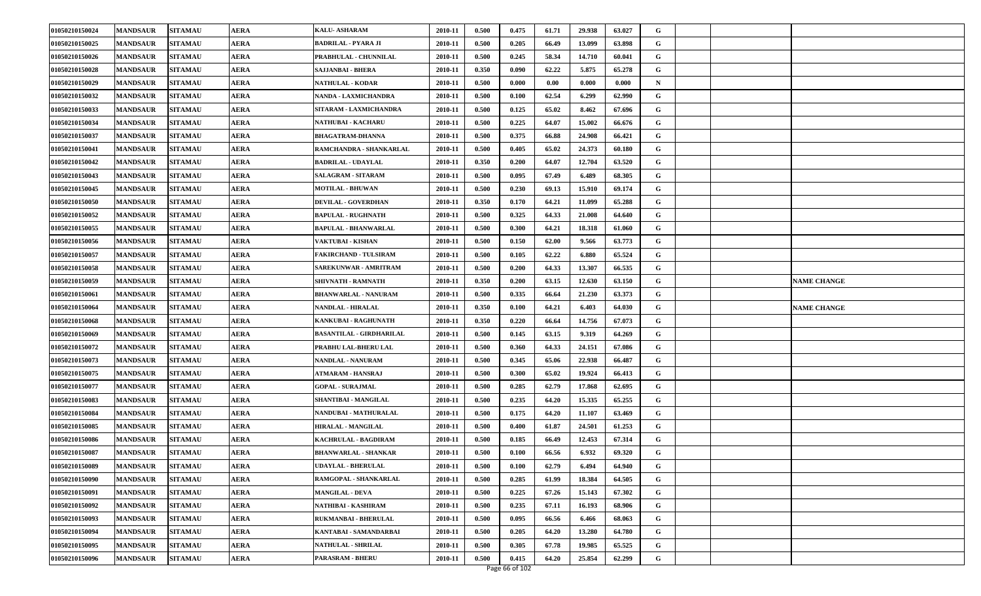| 01050210150024 | <b>MANDSAUR</b> | <b>SITAMAU</b> | AERA        | <b>KALU- ASHARAM</b>            | 2010-11 | 0.500 | 0.475 | 61.71 | 29.938 | 63.027 | G |  |                    |
|----------------|-----------------|----------------|-------------|---------------------------------|---------|-------|-------|-------|--------|--------|---|--|--------------------|
| 01050210150025 | <b>MANDSAUR</b> | <b>SITAMAU</b> | AERA        | <b>BADRILAL - PYARA JI</b>      | 2010-11 | 0.500 | 0.205 | 66.49 | 13.099 | 63.898 | G |  |                    |
| 01050210150026 | <b>MANDSAUR</b> | <b>SITAMAU</b> | AERA        | PRABHULAL - CHUNNILAL           | 2010-11 | 0.500 | 0.245 | 58.34 | 14.710 | 60.041 | G |  |                    |
| 01050210150028 | <b>MANDSAUR</b> | <b>SITAMAU</b> | AERA        | SAJJANBAI - BHERA               | 2010-11 | 0.350 | 0.090 | 62.22 | 5.875  | 65,278 | G |  |                    |
| 01050210150029 | <b>MANDSAUR</b> | <b>SITAMAU</b> | AERA        | <b>NATHULAL - KODAR</b>         | 2010-11 | 0.500 | 0.000 | 0.00  | 0.000  | 0.000  | N |  |                    |
| 01050210150032 | <b>MANDSAUR</b> | <b>SITAMAU</b> | AERA        | NANDA - LAXMICHANDRA            | 2010-11 | 0.500 | 0.100 | 62.54 | 6.299  | 62.990 | G |  |                    |
| 01050210150033 | <b>MANDSAUR</b> | <b>SITAMAU</b> | <b>AERA</b> | SITARAM - LAXMICHANDRA          | 2010-11 | 0.500 | 0.125 | 65.02 | 8.462  | 67.696 | G |  |                    |
| 01050210150034 | <b>MANDSAUR</b> | <b>SITAMAU</b> | AERA        | <b>NATHUBAI - KACHARU</b>       | 2010-11 | 0.500 | 0.225 | 64.07 | 15.002 | 66.676 | G |  |                    |
| 01050210150037 | <b>MANDSAUR</b> | <b>SITAMAU</b> | AERA        | <b>BHAGATRAM-DHANNA</b>         | 2010-11 | 0.500 | 0.375 | 66.88 | 24.908 | 66.421 | G |  |                    |
| 01050210150041 | <b>MANDSAUR</b> | <b>SITAMAU</b> | AERA        | RAMCHANDRA - SHANKARLAL         | 2010-11 | 0.500 | 0.405 | 65.02 | 24.373 | 60.180 | G |  |                    |
| 01050210150042 | <b>MANDSAUR</b> | <b>SITAMAU</b> | <b>AERA</b> | <b>BADRILAL - UDAYLAL</b>       | 2010-11 | 0.350 | 0.200 | 64.07 | 12.704 | 63.520 | G |  |                    |
| 01050210150043 | <b>MANDSAUR</b> | <b>SITAMAU</b> | AERA        | <b>SALAGRAM - SITARAM</b>       | 2010-11 | 0.500 | 0.095 | 67.49 | 6.489  | 68.305 | G |  |                    |
| 01050210150045 | <b>MANDSAUR</b> | <b>SITAMAU</b> | AERA        | <b>MOTILAL - BHUWAN</b>         | 2010-11 | 0.500 | 0.230 | 69.13 | 15.910 | 69.174 | G |  |                    |
| 01050210150050 | <b>MANDSAUR</b> | <b>SITAMAU</b> | AERA        | <b>DEVILAL - GOVERDHAN</b>      | 2010-11 | 0.350 | 0.170 | 64.21 | 11.099 | 65.288 | G |  |                    |
| 01050210150052 | <b>MANDSAUR</b> | <b>SITAMAU</b> | <b>AERA</b> | <b>BAPULAL - RUGHNATH</b>       | 2010-11 | 0.500 | 0.325 | 64.33 | 21.008 | 64.640 | G |  |                    |
| 01050210150055 | <b>MANDSAUR</b> | <b>SITAMAU</b> | AERA        | <b>BAPULAL - BHANWARLAL</b>     | 2010-11 | 0.500 | 0.300 | 64.21 | 18.318 | 61.060 | G |  |                    |
| 01050210150056 | <b>MANDSAUR</b> | <b>SITAMAU</b> | AERA        | VAKTUBAI - KISHAN               | 2010-11 | 0.500 | 0.150 | 62.00 | 9.566  | 63.773 | G |  |                    |
| 01050210150057 | <b>MANDSAUR</b> | <b>SITAMAU</b> | AERA        | FAKIRCHAND - TULSIRAM           | 2010-11 | 0.500 | 0.105 | 62.22 | 6.880  | 65.524 | G |  |                    |
| 01050210150058 | <b>MANDSAUR</b> | <b>SITAMAU</b> | AERA        | SAREKUNWAR - AMRITRAM           | 2010-11 | 0.500 | 0.200 | 64.33 | 13.307 | 66.535 | G |  |                    |
| 01050210150059 | <b>MANDSAUR</b> | <b>SITAMAU</b> | AERA        | SHIVNATH - RAMNATH              | 2010-11 | 0.350 | 0.200 | 63.15 | 12.630 | 63.150 | G |  | <b>NAME CHANGE</b> |
| 01050210150061 | <b>MANDSAUR</b> | <b>SITAMAU</b> | AERA        | <b>BHANWARLAL - NANURAM</b>     | 2010-11 | 0.500 | 0.335 | 66.64 | 21.230 | 63.373 | G |  |                    |
| 01050210150064 | <b>MANDSAUR</b> | <b>SITAMAU</b> | AERA        | <b>NANDLAL - HIRALAL</b>        | 2010-11 | 0.350 | 0.100 | 64.21 | 6.403  | 64.030 | G |  | <b>NAME CHANGE</b> |
| 01050210150068 | <b>MANDSAUR</b> | <b>SITAMAU</b> | AERA        | KANKUBAI - RAGHUNATH            | 2010-11 | 0.350 | 0.220 | 66.64 | 14.756 | 67.073 | G |  |                    |
| 01050210150069 | <b>MANDSAUR</b> | <b>SITAMAU</b> | AERA        | <b>BASANTILAL - GIRDHARILAL</b> | 2010-11 | 0.500 | 0.145 | 63.15 | 9.319  | 64.269 | G |  |                    |
| 01050210150072 | <b>MANDSAUR</b> | <b>SITAMAU</b> | AERA        | PRABHU LAL-BHERU LAL            | 2010-11 | 0.500 | 0.360 | 64.33 | 24.151 | 67.086 | G |  |                    |
| 01050210150073 | <b>MANDSAUR</b> | <b>SITAMAU</b> | AERA        | NANDLAL - NANURAM               | 2010-11 | 0.500 | 0.345 | 65.06 | 22.938 | 66.487 | G |  |                    |
| 01050210150075 | <b>MANDSAUR</b> | <b>SITAMAU</b> | AERA        | ATMARAM - HANSRAJ               | 2010-11 | 0.500 | 0.300 | 65.02 | 19.924 | 66.413 | G |  |                    |
| 01050210150077 | <b>MANDSAUR</b> | <b>SITAMAU</b> | AERA        | <b>GOPAL - SURAJMAL</b>         | 2010-11 | 0.500 | 0.285 | 62.79 | 17.868 | 62.695 | G |  |                    |
| 01050210150083 | <b>MANDSAUR</b> | <b>SITAMAU</b> | AERA        | SHANTIBAI - MANGILAL            | 2010-11 | 0.500 | 0.235 | 64.20 | 15.335 | 65.255 | G |  |                    |
| 01050210150084 | <b>MANDSAUR</b> | <b>SITAMAU</b> | <b>AERA</b> | NANDUBAI - MATHURALAL           | 2010-11 | 0.500 | 0.175 | 64.20 | 11.107 | 63.469 | G |  |                    |
| 01050210150085 | <b>MANDSAUR</b> | <b>SITAMAU</b> | AERA        | <b>HIRALAL - MANGILAL</b>       | 2010-11 | 0.500 | 0.400 | 61.87 | 24.501 | 61.253 | G |  |                    |
| 01050210150086 | <b>MANDSAUR</b> | <b>SITAMAU</b> | <b>AERA</b> | KACHRULAL - BAGDIRAM            | 2010-11 | 0.500 | 0.185 | 66.49 | 12.453 | 67.314 | G |  |                    |
| 01050210150087 | <b>MANDSAUR</b> | <b>SITAMAU</b> | AERA        | <b>BHANWARLAL - SHANKAR</b>     | 2010-11 | 0.500 | 0.100 | 66.56 | 6.932  | 69.320 | G |  |                    |
| 01050210150089 | <b>MANDSAUR</b> | <b>SITAMAU</b> | <b>AERA</b> | <b>UDAYLAL - BHERULAL</b>       | 2010-11 | 0.500 | 0.100 | 62.79 | 6.494  | 64.940 | G |  |                    |
| 01050210150090 | <b>MANDSAUR</b> | <b>SITAMAU</b> | AERA        | RAMGOPAL - SHANKARLAL           | 2010-11 | 0.500 | 0.285 | 61.99 | 18.384 | 64.505 | G |  |                    |
| 01050210150091 | <b>MANDSAUR</b> | <b>SITAMAU</b> | <b>AERA</b> | <b>MANGILAL - DEVA</b>          | 2010-11 | 0.500 | 0.225 | 67.26 | 15.143 | 67.302 | G |  |                    |
| 01050210150092 | <b>MANDSAUR</b> | <b>SITAMAU</b> | AERA        | NATHIBAI - KASHIRAM             | 2010-11 | 0.500 | 0.235 | 67.11 | 16.193 | 68.906 | G |  |                    |
| 01050210150093 | <b>MANDSAUR</b> | <b>SITAMAU</b> | <b>AERA</b> | RUKMANBAI - BHERULAL            | 2010-11 | 0.500 | 0.095 | 66.56 | 6.466  | 68.063 | G |  |                    |
| 01050210150094 | <b>MANDSAUR</b> | <b>SITAMAU</b> | AERA        | KANTABAI - SAMANDARBAI          | 2010-11 | 0.500 | 0.205 | 64.20 | 13.280 | 64.780 | G |  |                    |
| 01050210150095 | <b>MANDSAUR</b> | <b>SITAMAU</b> | <b>AERA</b> | <b>NATHULAL - SHRILAL</b>       | 2010-11 | 0.500 | 0.305 | 67.78 | 19.985 | 65.525 | G |  |                    |
| 01050210150096 | <b>MANDSAUR</b> | <b>SITAMAU</b> | AERA        | PARASRAM - BHERU                | 2010-11 | 0.500 | 0.415 | 64.20 | 25.854 | 62.299 | G |  |                    |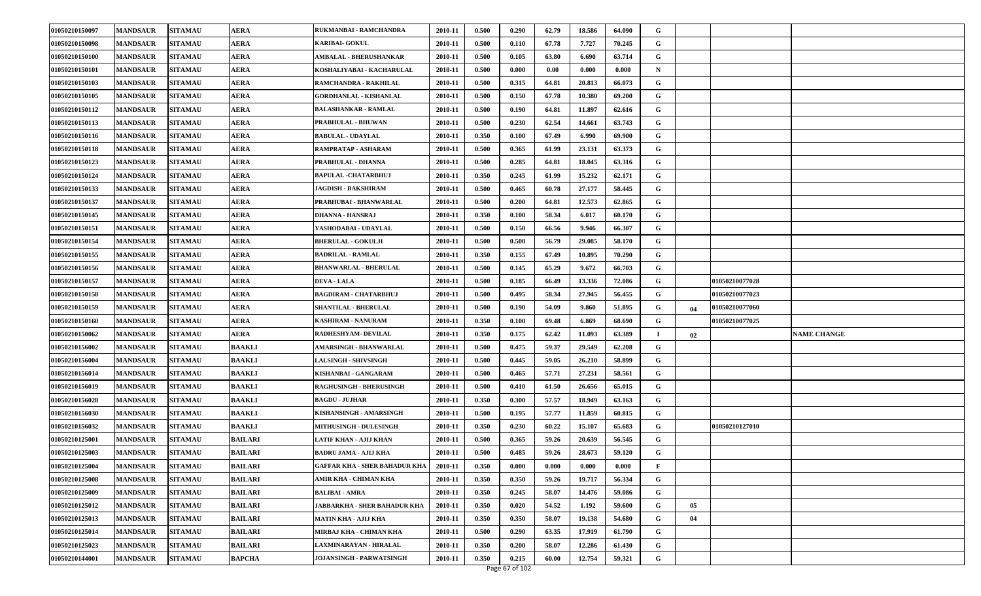| 01050210150097 | <b>MANDSAUR</b> | <b>SITAMAU</b> | <b>AERA</b>    | RUKMANBAI - RAMCHANDRA               | 2010-11 | 0.500 | 0.290 | 62.79 | 18.586 | 64.090 | G        |     |                |                    |
|----------------|-----------------|----------------|----------------|--------------------------------------|---------|-------|-------|-------|--------|--------|----------|-----|----------------|--------------------|
| 01050210150098 | <b>MANDSAUR</b> | <b>SITAMAU</b> | AERA           | KARIBAI- GOKUL                       | 2010-11 | 0.500 | 0.110 | 67.78 | 7.727  | 70.245 | G        |     |                |                    |
| 01050210150100 | <b>MANDSAUR</b> | <b>SITAMAU</b> | AERA           | <b>AMBALAL - BHERUSHANKAR</b>        | 2010-11 | 0.500 | 0.105 | 63.80 | 6.690  | 63.714 | G        |     |                |                    |
| 01050210150101 | <b>MANDSAUR</b> | <b>SITAMAU</b> | AERA           | KOSHALIYABAI - KACHARULAL            | 2010-11 | 0.500 | 0.000 | 0.00  | 0.000  | 0.000  | N        |     |                |                    |
| 01050210150103 | <b>MANDSAUR</b> | <b>SITAMAU</b> | AERA           | RAMCHANDRA - RAKHILAL                | 2010-11 | 0.500 | 0.315 | 64.81 | 20.813 | 66.073 | G        |     |                |                    |
| 01050210150105 | <b>MANDSAUR</b> | <b>SITAMAU</b> | AERA           | <b>GORDHANLAL - KISHANLAL</b>        | 2010-11 | 0.500 | 0.150 | 67.78 | 10.380 | 69.200 | G        |     |                |                    |
| 01050210150112 | <b>MANDSAUR</b> | <b>SITAMAU</b> | <b>AERA</b>    | <b>BALASHANKAR - RAMLAL</b>          | 2010-11 | 0.500 | 0.190 | 64.81 | 11.897 | 62.616 | G        |     |                |                    |
| 01050210150113 | <b>MANDSAUR</b> | <b>SITAMAU</b> | AERA           | PRABHULAL - BHUWAN                   | 2010-11 | 0.500 | 0.230 | 62.54 | 14.661 | 63.743 | G        |     |                |                    |
| 01050210150116 | <b>MANDSAUR</b> | <b>SITAMAU</b> | AERA           | <b>BABULAL - UDAYLAL</b>             | 2010-11 | 0.350 | 0.100 | 67.49 | 6.990  | 69.900 | G        |     |                |                    |
| 01050210150118 | <b>MANDSAUR</b> | <b>SITAMAU</b> | AERA           | RAMPRATAP - ASHARAM                  | 2010-11 | 0.500 | 0.365 | 61.99 | 23.131 | 63.373 | G        |     |                |                    |
| 01050210150123 | <b>MANDSAUR</b> | <b>SITAMAU</b> | <b>AERA</b>    | PRABHULAL - DHANNA                   | 2010-11 | 0.500 | 0.285 | 64.81 | 18.045 | 63.316 | G        |     |                |                    |
| 01050210150124 | <b>MANDSAUR</b> | <b>SITAMAU</b> | AERA           | BAPULAL -CHATARBHUJ                  | 2010-11 | 0.350 | 0.245 | 61.99 | 15.232 | 62.171 | G        |     |                |                    |
| 01050210150133 | <b>MANDSAUR</b> | <b>SITAMAU</b> | AERA           | <b>JAGDISH - BAKSHIRAM</b>           | 2010-11 | 0.500 | 0.465 | 60.78 | 27.177 | 58.445 | G        |     |                |                    |
| 01050210150137 | <b>MANDSAUR</b> | <b>SITAMAU</b> | AERA           | PRABHUBAI - BHANWARLAL               | 2010-11 | 0.500 | 0.200 | 64.81 | 12.573 | 62.865 | G        |     |                |                    |
| 01050210150145 | <b>MANDSAUR</b> | <b>SITAMAU</b> | <b>AERA</b>    | <b>DHANNA - HANSRAJ</b>              | 2010-11 | 0.350 | 0.100 | 58.34 | 6.017  | 60.170 | G        |     |                |                    |
| 01050210150151 | <b>MANDSAUR</b> | <b>SITAMAU</b> | AERA           | YASHODABAI - UDAYLAL                 | 2010-11 | 0.500 | 0.150 | 66.56 | 9.946  | 66.307 | G        |     |                |                    |
| 01050210150154 | <b>MANDSAUR</b> | <b>SITAMAU</b> | AERA           | <b>BHERULAL - GOKULJI</b>            | 2010-11 | 0.500 | 0.500 | 56.79 | 29.085 | 58.170 | G        |     |                |                    |
| 01050210150155 | <b>MANDSAUR</b> | <b>SITAMAU</b> | <b>AERA</b>    | <b>BADRILAL - RAMLAL</b>             | 2010-11 | 0.350 | 0.155 | 67.49 | 10.895 | 70.290 | G        |     |                |                    |
| 01050210150156 | <b>MANDSAUR</b> | <b>SITAMAU</b> | AERA           | <b>BHANWARLAL - BHERULAL</b>         | 2010-11 | 0.500 | 0.145 | 65.29 | 9.672  | 66.703 | G        |     |                |                    |
| 01050210150157 | <b>MANDSAUR</b> | <b>SITAMAU</b> | <b>AERA</b>    | <b>DEVA - LALA</b>                   | 2010-11 | 0.500 | 0.185 | 66.49 | 13.336 | 72.086 | G        |     | 01050210077028 |                    |
| 01050210150158 | <b>MANDSAUR</b> | <b>SITAMAU</b> | AERA           | <b>BAGDIRAM - CHATARBHUJ</b>         | 2010-11 | 0.500 | 0.495 | 58.34 | 27.945 | 56.455 | G        |     | 01050210077023 |                    |
| 01050210150159 | <b>MANDSAUR</b> | <b>SITAMAU</b> | AERA           | SHANTILAL - BHERULAL                 | 2010-11 | 0.500 | 0.190 | 54.09 | 9.860  | 51.895 | G        | -04 | 01050210077060 |                    |
| 01050210150160 | <b>MANDSAUR</b> | <b>SITAMAU</b> | AERA           | <b>KASHIRAM - NANURAM</b>            | 2010-11 | 0.350 | 0.100 | 69.48 | 6.869  | 68.690 | G        |     | 01050210077025 |                    |
| 01050210150062 | <b>MANDSAUR</b> | <b>SITAMAU</b> | AERA           | RADHESHYAM- DEVILAL                  | 2010-11 | 0.350 | 0.175 | 62.42 | 11.093 | 63.389 | $\bf{I}$ | 02  |                | <b>NAME CHANGE</b> |
| 01050210156002 | <b>MANDSAUR</b> | <b>SITAMAU</b> | <b>BAAKLI</b>  | AMARSINGH - BHANWARLAL               | 2010-11 | 0.500 | 0.475 | 59.37 | 29.549 | 62.208 | G        |     |                |                    |
| 01050210156004 | <b>MANDSAUR</b> | <b>SITAMAU</b> | <b>BAAKLI</b>  | <b>LALSINGH - SHIVSINGH</b>          | 2010-11 | 0.500 | 0.445 | 59.05 | 26.210 | 58.899 | G        |     |                |                    |
| 01050210156014 | <b>MANDSAUR</b> | <b>SITAMAU</b> | BAAKLI         | KISHANBAI - GANGARAM                 | 2010-11 | 0.500 | 0.465 | 57.71 | 27.231 | 58.561 | G        |     |                |                    |
| 01050210156019 | <b>MANDSAUR</b> | <b>SITAMAU</b> | <b>BAAKLI</b>  | <b>RAGHUSINGH - BHERUSINGH</b>       | 2010-11 | 0.500 | 0.410 | 61.50 | 26.656 | 65.015 | G        |     |                |                    |
| 01050210156028 | <b>MANDSAUR</b> | <b>SITAMAU</b> | <b>BAAKLI</b>  | <b>BAGDU - JUJHAR</b>                | 2010-11 | 0.350 | 0.300 | 57.57 | 18.949 | 63.163 | G        |     |                |                    |
| 01050210156030 | <b>MANDSAUR</b> | <b>SITAMAU</b> | <b>BAAKLI</b>  | KISHANSINGH - AMARSINGH              | 2010-11 | 0.500 | 0.195 | 57.77 | 11.859 | 60.815 | G        |     |                |                    |
| 01050210156032 | <b>MANDSAUR</b> | <b>SITAMAU</b> | BAAKLI         | <b>MITHUSINGH - DULESINGH</b>        | 2010-11 | 0.350 | 0.230 | 60.22 | 15.107 | 65.683 | G        |     | 01050210127010 |                    |
| 01050210125001 | <b>MANDSAUR</b> | <b>SITAMAU</b> | <b>BAILARI</b> | LATIF KHAN - AJIJ KHAN               | 2010-11 | 0.500 | 0.365 | 59.26 | 20.639 | 56.545 | G        |     |                |                    |
| 01050210125003 | <b>MANDSAUR</b> | <b>SITAMAU</b> | BAILARI        | BADRU JAMA - AJIJ KHA                | 2010-11 | 0.500 | 0.485 | 59.26 | 28.673 | 59.120 | G        |     |                |                    |
| 01050210125004 | <b>MANDSAUR</b> | <b>SITAMAU</b> | <b>BAILARI</b> | <b>GAFFAR KHA - SHER BAHADUR KHA</b> | 2010-11 | 0.350 | 0.000 | 0.000 | 0.000  | 0.000  | F        |     |                |                    |
| 01050210125008 | <b>MANDSAUR</b> | <b>SITAMAU</b> | BAILARI        | AMIR KHA - CHIMAN KHA                | 2010-11 | 0.350 | 0.350 | 59.26 | 19.717 | 56.334 | G        |     |                |                    |
| 01050210125009 | <b>MANDSAUR</b> | <b>SITAMAU</b> | <b>BAILARI</b> | <b>BALIBAI - AMRA</b>                | 2010-11 | 0.350 | 0.245 | 58.07 | 14.476 | 59.086 | G        |     |                |                    |
| 01050210125012 | <b>MANDSAUR</b> | <b>SITAMAU</b> | <b>BAILARI</b> | <b>JABBARKHA - SHER BAHADUR KHA</b>  | 2010-11 | 0.350 | 0.020 | 54.52 | 1.192  | 59.600 | G        | 05  |                |                    |
| 01050210125013 | <b>MANDSAUR</b> | <b>SITAMAU</b> | <b>BAILARI</b> | <b>MATIN KHA - AJIJ KHA</b>          | 2010-11 | 0.350 | 0.350 | 58.07 | 19.138 | 54.680 | G        | 04  |                |                    |
| 01050210125014 | <b>MANDSAUR</b> | <b>SITAMAU</b> | <b>BAILARI</b> | MIRBAJ KHA - CHIMAN KHA              | 2010-11 | 0.500 | 0.290 | 63.35 | 17.919 | 61.790 | G        |     |                |                    |
| 01050210125023 | <b>MANDSAUR</b> | <b>SITAMAU</b> | <b>BAILARI</b> | LAXMINARAYAN - HIRALAL               | 2010-11 | 0.350 | 0.200 | 58.07 | 12.286 | 61.430 | G        |     |                |                    |
| 01050210144001 | <b>MANDSAUR</b> | <b>SITAMAU</b> | BAPCHA         | JOJANSINGH - PARWATSINGH             | 2010-11 | 0.350 | 0.215 | 60.00 | 12.754 | 59.321 | G        |     |                |                    |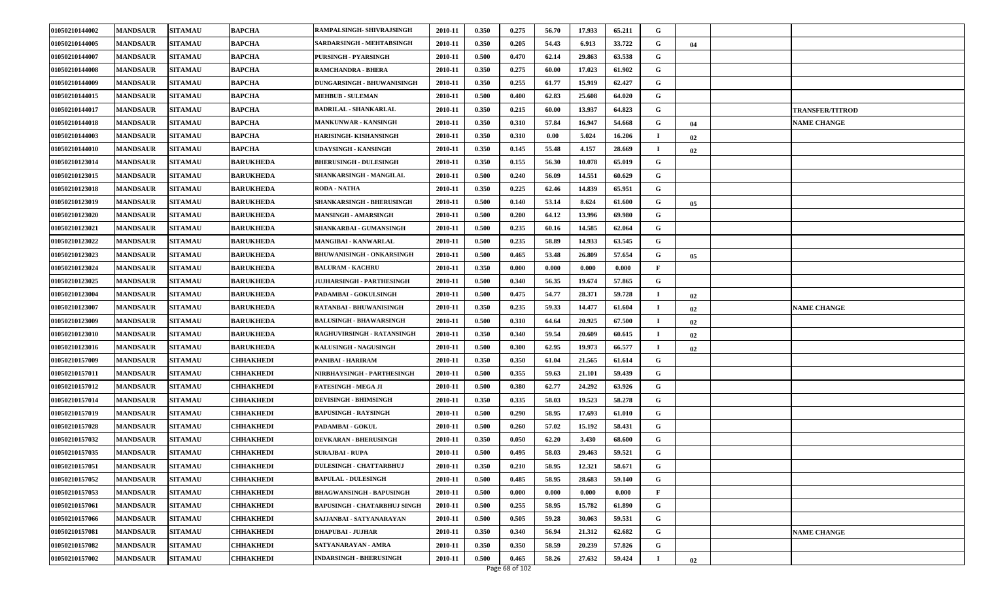| 01050210144002 | <b>MANDSAUR</b> | <b>SITAMAU</b> | <b>BAPCHA</b>    | RAMPALSINGH- SHIVRAJSINGH        | 2010-11 | 0.350 | 0.275 | 56.70 | 17.933 | 65.211 | G            |    |                        |
|----------------|-----------------|----------------|------------------|----------------------------------|---------|-------|-------|-------|--------|--------|--------------|----|------------------------|
| 01050210144005 | <b>MANDSAUR</b> | <b>SITAMAU</b> | BAPCHA           | SARDARSINGH - MEHTABSINGH        | 2010-11 | 0.350 | 0.205 | 54.43 | 6.913  | 33.722 | G            | 04 |                        |
| 01050210144007 | <b>MANDSAUR</b> | <b>SITAMAU</b> | <b>BAPCHA</b>    | PURSINGH - PYARSINGH             | 2010-11 | 0.500 | 0.470 | 62.14 | 29.863 | 63.538 | G            |    |                        |
| 01050210144008 | <b>MANDSAUR</b> | <b>SITAMAU</b> | BAPCHA           | RAMCHANDRA - BHERA               | 2010-11 | 0.350 | 0.275 | 60.00 | 17.023 | 61.902 | G            |    |                        |
| 01050210144009 | <b>MANDSAUR</b> | <b>SITAMAU</b> | <b>BAPCHA</b>    | DUNGARSINGH - BHUWANISINGH       | 2010-11 | 0.350 | 0.255 | 61.77 | 15.919 | 62.427 | G            |    |                        |
| 01050210144015 | <b>MANDSAUR</b> | <b>SITAMAU</b> | BAPCHA           | <b>MEHBUB - SULEMAN</b>          | 2010-11 | 0.500 | 0.400 | 62.83 | 25.608 | 64.020 | G            |    |                        |
| 01050210144017 | <b>MANDSAUR</b> | <b>SITAMAU</b> | <b>BAPCHA</b>    | <b>BADRILAL - SHANKARLAL</b>     | 2010-11 | 0.350 | 0.215 | 60.00 | 13.937 | 64.823 | G            |    | <b>TRANSFER/TITROD</b> |
| 01050210144018 | <b>MANDSAUR</b> | <b>SITAMAU</b> | BAPCHA           | <b>MANKUNWAR - KANSINGH</b>      | 2010-11 | 0.350 | 0.310 | 57.84 | 16.947 | 54.668 | G            | 04 | <b>NAME CHANGE</b>     |
| 01050210144003 | <b>MANDSAUR</b> | <b>SITAMAU</b> | <b>BAPCHA</b>    | HARISINGH- KISHANSINGH           | 2010-11 | 0.350 | 0.310 | 0.00  | 5.024  | 16.206 |              | 02 |                        |
| 01050210144010 | <b>MANDSAUR</b> | <b>SITAMAU</b> | BAPCHA           | UDAYSINGH - KANSINGH             | 2010-11 | 0.350 | 0.145 | 55.48 | 4.157  | 28.669 |              | 02 |                        |
| 01050210123014 | <b>MANDSAUR</b> | <b>SITAMAU</b> | <b>BARUKHEDA</b> | <b>BHERUSINGH - DULESINGH</b>    | 2010-11 | 0.350 | 0.155 | 56.30 | 10.078 | 65.019 | G            |    |                        |
| 01050210123015 | <b>MANDSAUR</b> | <b>SITAMAU</b> | <b>BARUKHEDA</b> | SHANKARSINGH - MANGILAL          | 2010-11 | 0.500 | 0.240 | 56.09 | 14.551 | 60.629 | G            |    |                        |
| 01050210123018 | <b>MANDSAUR</b> | <b>SITAMAU</b> | <b>BARUKHEDA</b> | <b>RODA - NATHA</b>              | 2010-11 | 0.350 | 0.225 | 62.46 | 14.839 | 65.951 | G            |    |                        |
| 01050210123019 | <b>MANDSAUR</b> | <b>SITAMAU</b> | <b>BARUKHEDA</b> | <b>SHANKARSINGH - BHERUSINGH</b> | 2010-11 | 0.500 | 0.140 | 53.14 | 8.624  | 61.600 | G            | 05 |                        |
| 01050210123020 | <b>MANDSAUR</b> | <b>SITAMAU</b> | <b>BARUKHEDA</b> | MANSINGH - AMARSINGH             | 2010-11 | 0.500 | 0.200 | 64.12 | 13.996 | 69.980 | G            |    |                        |
| 01050210123021 | <b>MANDSAUR</b> | <b>SITAMAU</b> | <b>BARUKHEDA</b> | SHANKARBAI - GUMANSINGH          | 2010-11 | 0.500 | 0.235 | 60.16 | 14.585 | 62.064 | G            |    |                        |
| 01050210123022 | <b>MANDSAUR</b> | <b>SITAMAU</b> | <b>BARUKHEDA</b> | MANGIBAI - KANWARLAL             | 2010-11 | 0.500 | 0.235 | 58.89 | 14.933 | 63.545 | G            |    |                        |
| 01050210123023 | <b>MANDSAUR</b> | <b>SITAMAU</b> | <b>BARUKHEDA</b> | <b>BHUWANISINGH - ONKARSINGH</b> | 2010-11 | 0.500 | 0.465 | 53.48 | 26.809 | 57.654 | G            | 05 |                        |
| 01050210123024 | <b>MANDSAUR</b> | <b>SITAMAU</b> | <b>BARUKHEDA</b> | <b>BALURAM - KACHRU</b>          | 2010-11 | 0.350 | 0.000 | 0.000 | 0.000  | 0.000  | F            |    |                        |
| 01050210123025 | <b>MANDSAUR</b> | <b>SITAMAU</b> | <b>BARUKHEDA</b> | JUJHARSINGH - PARTHESINGH        | 2010-11 | 0.500 | 0.340 | 56.35 | 19.674 | 57.865 | G            |    |                        |
| 01050210123004 | <b>MANDSAUR</b> | <b>SITAMAU</b> | <b>BARUKHEDA</b> | PADAMBAI - GOKULSINGH            | 2010-11 | 0.500 | 0.475 | 54.77 | 28.371 | 59.728 | $\bf{I}$     | 02 |                        |
| 01050210123007 | <b>MANDSAUR</b> | <b>SITAMAU</b> | <b>BARUKHEDA</b> | RATANBAI - BHUWANISINGH          | 2010-11 | 0.350 | 0.235 | 59.33 | 14.477 | 61.604 | -1           | 02 | <b>NAME CHANGE</b>     |
| 01050210123009 | <b>MANDSAUR</b> | <b>SITAMAU</b> | <b>BARUKHEDA</b> | <b>BALUSINGH - BHAWARSINGH</b>   | 2010-11 | 0.500 | 0.310 | 64.64 | 20.925 | 67.500 | $\bf{I}$     | 02 |                        |
| 01050210123010 | <b>MANDSAUR</b> | <b>SITAMAU</b> | <b>BARUKHEDA</b> | RAGHUVIRSINGH - RATANSINGH       | 2010-11 | 0.350 | 0.340 | 59.54 | 20.609 | 60.615 | $\bf{I}$     | 02 |                        |
| 01050210123016 | <b>MANDSAUR</b> | <b>SITAMAU</b> | <b>BARUKHEDA</b> | <b>KALUSINGH - NAGUSINGH</b>     | 2010-11 | 0.500 | 0.300 | 62.95 | 19.973 | 66.577 | $\bf{I}$     | 02 |                        |
| 01050210157009 | <b>MANDSAUR</b> | <b>SITAMAU</b> | CHHAKHEDI        | PANIBAI - HARIRAM                | 2010-11 | 0.350 | 0.350 | 61.04 | 21.565 | 61.614 | G            |    |                        |
| 01050210157011 | <b>MANDSAUR</b> | <b>SITAMAU</b> | CHHAKHEDI        | NIRBHAYSINGH - PARTHESINGH       | 2010-11 | 0.500 | 0.355 | 59.63 | 21.101 | 59.439 | G            |    |                        |
| 01050210157012 | <b>MANDSAUR</b> | <b>SITAMAU</b> | CHHAKHEDI        | FATESINGH - MEGA JI              | 2010-11 | 0.500 | 0.380 | 62.77 | 24.292 | 63.926 | G            |    |                        |
| 01050210157014 | <b>MANDSAUR</b> | <b>SITAMAU</b> | CHHAKHEDI        | <b>DEVISINGH - BHIMSINGH</b>     | 2010-11 | 0.350 | 0.335 | 58.03 | 19.523 | 58.278 | G            |    |                        |
| 01050210157019 | <b>MANDSAUR</b> | <b>SITAMAU</b> | CHHAKHEDI        | <b>BAPUSINGH - RAYSINGH</b>      | 2010-11 | 0.500 | 0.290 | 58.95 | 17.693 | 61.010 | G            |    |                        |
| 01050210157028 | <b>MANDSAUR</b> | <b>SITAMAU</b> | CHHAKHEDI        | <b>PADAMBAI - GOKUL</b>          | 2010-11 | 0.500 | 0.260 | 57.02 | 15.192 | 58.431 | G            |    |                        |
| 01050210157032 | <b>MANDSAUR</b> | <b>SITAMAU</b> | CHHAKHEDI        | <b>DEVKARAN - BHERUSINGH</b>     | 2010-11 | 0.350 | 0.050 | 62.20 | 3.430  | 68.600 | G            |    |                        |
| 01050210157035 | <b>MANDSAUR</b> | <b>SITAMAU</b> | CHHAKHEDI        | <b>SURAJBAI - RUPA</b>           | 2010-11 | 0.500 | 0.495 | 58.03 | 29.463 | 59.521 | G            |    |                        |
| 01050210157051 | <b>MANDSAUR</b> | <b>SITAMAU</b> | <b>CHHAKHEDI</b> | <b>DULESINGH - CHATTARBHUJ</b>   | 2010-11 | 0.350 | 0.210 | 58.95 | 12.321 | 58.671 | G            |    |                        |
| 01050210157052 | <b>MANDSAUR</b> | <b>SITAMAU</b> | CHHAKHEDI        | <b>BAPULAL - DULESINGH</b>       | 2010-11 | 0.500 | 0.485 | 58.95 | 28.683 | 59.140 | G            |    |                        |
| 01050210157053 | <b>MANDSAUR</b> | <b>SITAMAU</b> | CHHAKHEDI        | <b>BHAGWANSINGH - BAPUSINGH</b>  | 2010-11 | 0.500 | 0.000 | 0.000 | 0.000  | 0.000  | $\mathbf{F}$ |    |                        |
| 01050210157061 | <b>MANDSAUR</b> | <b>SITAMAU</b> | CHHAKHEDI        | BAPUSINGH - CHATARBHUJ SINGH     | 2010-11 | 0.500 | 0.255 | 58.95 | 15.782 | 61.890 | G            |    |                        |
| 01050210157066 | <b>MANDSAUR</b> | <b>SITAMAU</b> | <b>CHHAKHEDI</b> | SAJJANBAI - SATYANARAYAN         | 2010-11 | 0.500 | 0.505 | 59.28 | 30.063 | 59.531 | G            |    |                        |
| 01050210157081 | <b>MANDSAUR</b> | <b>SITAMAU</b> | CHHAKHEDI        | DHAPUBAI - JUJHAR                | 2010-11 | 0.350 | 0.340 | 56.94 | 21.312 | 62.682 | G            |    | <b>NAME CHANGE</b>     |
| 01050210157082 | <b>MANDSAUR</b> | <b>SITAMAU</b> | CHHAKHEDI        | SATYANARAYAN - AMRA              | 2010-11 | 0.350 | 0.350 | 58.59 | 20.239 | 57.826 | G            |    |                        |
| 01050210157002 | <b>MANDSAUR</b> | <b>SITAMAU</b> | <b>CHHAKHEDI</b> | <b>INDARSINGH - BHERUSINGH</b>   | 2010-11 | 0.500 | 0.465 | 58.26 | 27.632 | 59.424 | -1           | 02 |                        |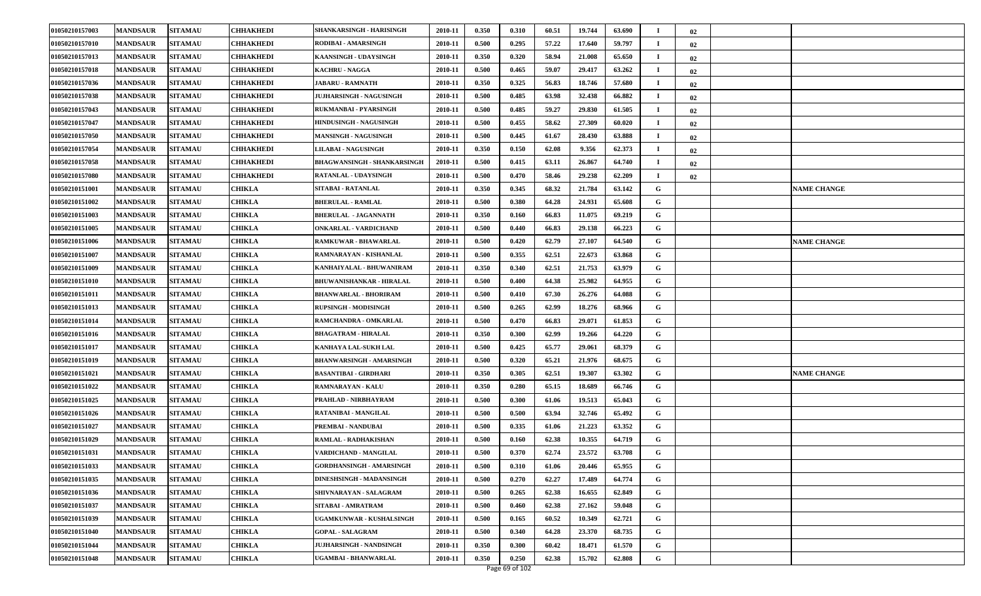| 01050210157003 | <b>MANDSAUR</b> | <b>SITAMAU</b> | <b>CHHAKHEDI</b> | SHANKARSINGH - HARISINGH           | 2010-11 | 0.350 | 0.310 | 60.51 | 19.744 | 63.690 | $\blacksquare$ | 02 |                    |
|----------------|-----------------|----------------|------------------|------------------------------------|---------|-------|-------|-------|--------|--------|----------------|----|--------------------|
| 01050210157010 | <b>MANDSAUR</b> | <b>SITAMAU</b> | CHHAKHEDI        | RODIBAI - AMARSINGH                | 2010-11 | 0.500 | 0.295 | 57.22 | 17.640 | 59.797 | $\mathbf I$    | 02 |                    |
| 01050210157013 | <b>MANDSAUR</b> | <b>SITAMAU</b> | <b>CHHAKHEDI</b> | KAANSINGH - UDAYSINGH              | 2010-11 | 0.350 | 0.320 | 58.94 | 21.008 | 65.650 | -1             | 02 |                    |
| 01050210157018 | <b>MANDSAUR</b> | <b>SITAMAU</b> | CHHAKHEDI        | <b>KACHRU - NAGGA</b>              | 2010-11 | 0.500 | 0.465 | 59.07 | 29.417 | 63.262 | -1             | 02 |                    |
| 01050210157036 | <b>MANDSAUR</b> | <b>SITAMAU</b> | CHHAKHEDI        | <b>JABARU - RAMNATH</b>            | 2010-11 | 0.350 | 0.325 | 56.83 | 18.746 | 57.680 | $\mathbf I$    | 02 |                    |
| 01050210157038 | <b>MANDSAUR</b> | <b>SITAMAU</b> | CHHAKHEDI        | JUJHARSINGH - NAGUSINGH            | 2010-11 | 0.500 | 0.485 | 63.98 | 32.438 | 66.882 | -1             | 02 |                    |
| 01050210157043 | <b>MANDSAUR</b> | <b>SITAMAU</b> | CHHAKHEDI        | RUKMANBAI - PYARSINGH              | 2010-11 | 0.500 | 0.485 | 59.27 | 29.830 | 61.505 | <b>I</b>       | 02 |                    |
| 01050210157047 | <b>MANDSAUR</b> | <b>SITAMAU</b> | CHHAKHEDI        | HINDUSINGH - NAGUSINGH             | 2010-11 | 0.500 | 0.455 | 58.62 | 27.309 | 60.020 | -1             | 02 |                    |
| 01050210157050 | <b>MANDSAUR</b> | <b>SITAMAU</b> | CHHAKHEDI        | <b>MANSINGH - NAGUSINGH</b>        | 2010-11 | 0.500 | 0.445 | 61.67 | 28.430 | 63.888 | <b>I</b>       | 02 |                    |
| 01050210157054 | <b>MANDSAUR</b> | <b>SITAMAU</b> | CHHAKHEDI        | <b>LILABAI - NAGUSINGH</b>         | 2010-11 | 0.350 | 0.150 | 62.08 | 9.356  | 62.373 | $\mathbf I$    | 02 |                    |
| 01050210157058 | <b>MANDSAUR</b> | <b>SITAMAU</b> | CHHAKHEDI        | <b>BHAGWANSINGH - SHANKARSINGH</b> | 2010-11 | 0.500 | 0.415 | 63.11 | 26.867 | 64.740 | -1             | 02 |                    |
| 01050210157080 | <b>MANDSAUR</b> | <b>SITAMAU</b> | CHHAKHEDI        | <b>RATANLAL - UDAYSINGH</b>        | 2010-11 | 0.500 | 0.470 | 58.46 | 29.238 | 62.209 | - 1            | 02 |                    |
| 01050210151001 | <b>MANDSAUR</b> | <b>SITAMAU</b> | <b>CHIKLA</b>    | SITABAI - RATANLAL                 | 2010-11 | 0.350 | 0.345 | 68.32 | 21.784 | 63.142 | G              |    | <b>NAME CHANGE</b> |
| 01050210151002 | <b>MANDSAUR</b> | <b>SITAMAU</b> | <b>CHIKLA</b>    | <b>BHERULAL - RAMLAL</b>           | 2010-11 | 0.500 | 0.380 | 64.28 | 24.931 | 65.608 | G              |    |                    |
| 01050210151003 | <b>MANDSAUR</b> | <b>SITAMAU</b> | <b>CHIKLA</b>    | <b>BHERULAL - JAGANNATH</b>        | 2010-11 | 0.350 | 0.160 | 66.83 | 11.075 | 69.219 | G              |    |                    |
| 01050210151005 | <b>MANDSAUR</b> | <b>SITAMAU</b> | CHIKLA           | <b>ONKARLAL - VARDICHAND</b>       | 2010-11 | 0.500 | 0.440 | 66.83 | 29.138 | 66.223 | G              |    |                    |
| 01050210151006 | <b>MANDSAUR</b> | <b>SITAMAU</b> | CHIKLA           | RAMKUWAR - BHAWARLAL               | 2010-11 | 0.500 | 0.420 | 62.79 | 27.107 | 64.540 | G              |    | <b>NAME CHANGE</b> |
| 01050210151007 | <b>MANDSAUR</b> | <b>SITAMAU</b> | <b>CHIKLA</b>    | RAMNARAYAN - KISHANLAL             | 2010-11 | 0.500 | 0.355 | 62.51 | 22.673 | 63.868 | G              |    |                    |
| 01050210151009 | <b>MANDSAUR</b> | <b>SITAMAU</b> | <b>CHIKLA</b>    | KANHAIYALAL - BHUWANIRAM           | 2010-11 | 0.350 | 0.340 | 62.51 | 21.753 | 63.979 | G              |    |                    |
| 01050210151010 | <b>MANDSAUR</b> | <b>SITAMAU</b> | <b>CHIKLA</b>    | BHUWANISHANKAR - HIRALAL           | 2010-11 | 0.500 | 0.400 | 64.38 | 25.982 | 64.955 | G              |    |                    |
| 01050210151011 | <b>MANDSAUR</b> | <b>SITAMAU</b> | CHIKLA           | <b>BHANWARLAL - BHORIRAM</b>       | 2010-11 | 0.500 | 0.410 | 67.30 | 26.276 | 64.088 | G              |    |                    |
| 01050210151013 | <b>MANDSAUR</b> | <b>SITAMAU</b> | <b>CHIKLA</b>    | <b>RUPSINGH - MODISINGH</b>        | 2010-11 | 0.500 | 0.265 | 62.99 | 18.276 | 68.966 | G              |    |                    |
| 01050210151014 | <b>MANDSAUR</b> | <b>SITAMAU</b> | CHIKLA           | RAMCHANDRA - OMKARLAL              | 2010-11 | 0.500 | 0.470 | 66.83 | 29.071 | 61.853 | G              |    |                    |
| 01050210151016 | <b>MANDSAUR</b> | <b>SITAMAU</b> | CHIKLA           | <b>BHAGATRAM - HIRALAL</b>         | 2010-11 | 0.350 | 0.300 | 62.99 | 19.266 | 64.220 | G              |    |                    |
| 01050210151017 | <b>MANDSAUR</b> | <b>SITAMAU</b> | CHIKLA           | KANHAYA LAL-SUKH LAL               | 2010-11 | 0.500 | 0.425 | 65.77 | 29.061 | 68.379 | G              |    |                    |
| 01050210151019 | <b>MANDSAUR</b> | <b>SITAMAU</b> | <b>CHIKLA</b>    | <b>BHANWARSINGH - AMARSINGH</b>    | 2010-11 | 0.500 | 0.320 | 65.21 | 21.976 | 68.675 | G              |    |                    |
| 01050210151021 | <b>MANDSAUR</b> | <b>SITAMAU</b> | CHIKLA           | <b>BASANTIBAI - GIRDHARI</b>       | 2010-11 | 0.350 | 0.305 | 62.51 | 19.307 | 63.302 | G              |    | <b>NAME CHANGE</b> |
| 01050210151022 | <b>MANDSAUR</b> | <b>SITAMAU</b> | CHIKLA           | RAMNARAYAN - KALU                  | 2010-11 | 0.350 | 0.280 | 65.15 | 18.689 | 66.746 | G              |    |                    |
| 01050210151025 | <b>MANDSAUR</b> | <b>SITAMAU</b> | CHIKLA           | PRAHLAD - NIRBHAYRAM               | 2010-11 | 0.500 | 0.300 | 61.06 | 19.513 | 65.043 | G              |    |                    |
| 01050210151026 | <b>MANDSAUR</b> | <b>SITAMAU</b> | <b>CHIKLA</b>    | RATANIBAI - MANGILAL               | 2010-11 | 0.500 | 0.500 | 63.94 | 32.746 | 65.492 | G              |    |                    |
| 01050210151027 | <b>MANDSAUR</b> | <b>SITAMAU</b> | CHIKLA           | PREMBAI - NANDUBAI                 | 2010-11 | 0.500 | 0.335 | 61.06 | 21.223 | 63.352 | G              |    |                    |
| 01050210151029 | <b>MANDSAUR</b> | <b>SITAMAU</b> | CHIKLA           | RAMLAL - RADHAKISHAN               | 2010-11 | 0.500 | 0.160 | 62.38 | 10.355 | 64.719 | G              |    |                    |
| 01050210151031 | <b>MANDSAUR</b> | <b>SITAMAU</b> | <b>CHIKLA</b>    | VARDICHAND - MANGILAL              | 2010-11 | 0.500 | 0.370 | 62.74 | 23.572 | 63.708 | G              |    |                    |
| 01050210151033 | <b>MANDSAUR</b> | <b>SITAMAU</b> | <b>CHIKLA</b>    | <b>GORDHANSINGH - AMARSINGH</b>    | 2010-11 | 0.500 | 0.310 | 61.06 | 20.446 | 65.955 | G              |    |                    |
| 01050210151035 | <b>MANDSAUR</b> | <b>SITAMAU</b> | CHIKLA           | DINESHSINGH - MADANSINGH           | 2010-11 | 0.500 | 0.270 | 62.27 | 17.489 | 64.774 | G              |    |                    |
| 01050210151036 | <b>MANDSAUR</b> | <b>SITAMAU</b> | <b>CHIKLA</b>    | SHIVNARAYAN - SALAGRAM             | 2010-11 | 0.500 | 0.265 | 62.38 | 16.655 | 62.849 | G              |    |                    |
| 01050210151037 | <b>MANDSAUR</b> | <b>SITAMAU</b> | <b>CHIKLA</b>    | SITABAI - AMRATRAM                 | 2010-11 | 0.500 | 0.460 | 62.38 | 27.162 | 59.048 | G              |    |                    |
| 01050210151039 | <b>MANDSAUR</b> | <b>SITAMAU</b> | <b>CHIKLA</b>    | UGAMKUNWAR - KUSHALSINGH           | 2010-11 | 0.500 | 0.165 | 60.52 | 10.349 | 62.721 | G              |    |                    |
| 01050210151040 | <b>MANDSAUR</b> | <b>SITAMAU</b> | <b>CHIKLA</b>    | <b>GOPAL - SALAGRAM</b>            | 2010-11 | 0.500 | 0.340 | 64.28 | 23.370 | 68.735 | G              |    |                    |
| 01050210151044 | <b>MANDSAUR</b> | <b>SITAMAU</b> | <b>CHIKLA</b>    | <b>JUJHARSINGH - NANDSINGH</b>     | 2010-11 | 0.350 | 0.300 | 60.42 | 18.471 | 61.570 | G              |    |                    |
| 01050210151048 | <b>MANDSAUR</b> | <b>SITAMAU</b> | <b>CHIKLA</b>    | UGAMBAI - BHANWARLAL               | 2010-11 | 0.350 | 0.250 | 62.38 | 15.702 | 62.808 | G              |    |                    |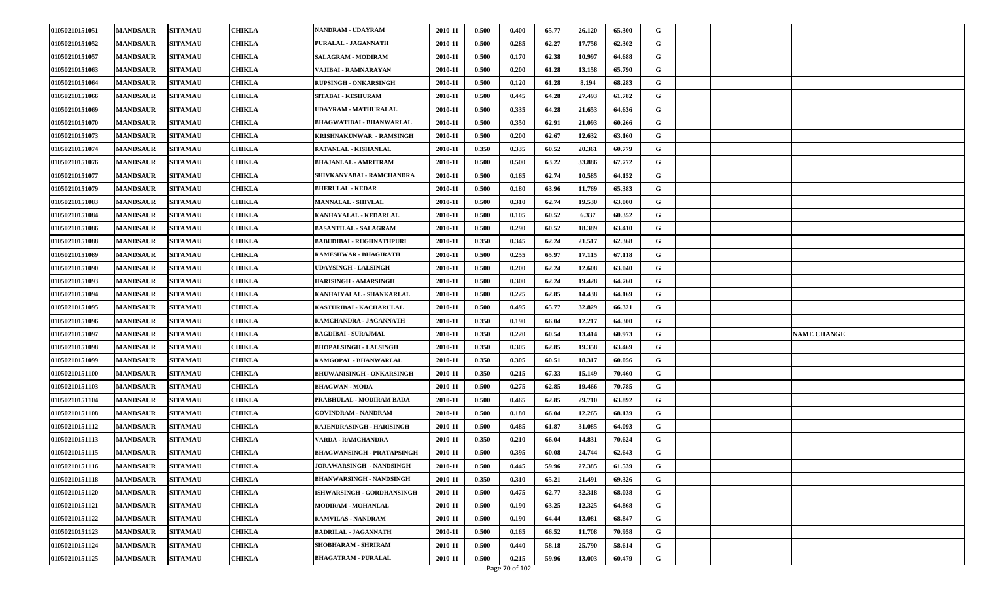| 01050210151051 | <b>MANDSAUR</b> | <b>SITAMAU</b> | <b>CHIKLA</b> | NANDRAM - UDAYRAM                 | 2010-11 | 0.500 | 0.400 | 65.77 | 26.120 | 65.300 | G |  |                    |
|----------------|-----------------|----------------|---------------|-----------------------------------|---------|-------|-------|-------|--------|--------|---|--|--------------------|
| 01050210151052 | <b>MANDSAUR</b> | <b>SITAMAU</b> | <b>CHIKLA</b> | PURALAL - JAGANNATH               | 2010-11 | 0.500 | 0.285 | 62.27 | 17.756 | 62.302 | G |  |                    |
| 01050210151057 | <b>MANDSAUR</b> | <b>SITAMAU</b> | <b>CHIKLA</b> | <b>SALAGRAM - MODIRAM</b>         | 2010-11 | 0.500 | 0.170 | 62.38 | 10.997 | 64.688 | G |  |                    |
| 01050210151063 | <b>MANDSAUR</b> | <b>SITAMAU</b> | CHIKLA        | VAJIBAI - RAMNARAYAN              | 2010-11 | 0.500 | 0.200 | 61.28 | 13.158 | 65.790 | G |  |                    |
| 01050210151064 | <b>MANDSAUR</b> | <b>SITAMAU</b> | CHIKLA        | RUPSINGH - ONKARSINGH             | 2010-11 | 0.500 | 0.120 | 61.28 | 8.194  | 68.283 | G |  |                    |
| 01050210151066 | <b>MANDSAUR</b> | <b>SITAMAU</b> | <b>CHIKLA</b> | SITABAI - KESHURAM                | 2010-11 | 0.500 | 0.445 | 64.28 | 27.493 | 61.782 | G |  |                    |
| 01050210151069 | <b>MANDSAUR</b> | <b>SITAMAU</b> | <b>CHIKLA</b> | UDAYRAM - MATHURALAL              | 2010-11 | 0.500 | 0.335 | 64.28 | 21.653 | 64.636 | G |  |                    |
| 01050210151070 | <b>MANDSAUR</b> | <b>SITAMAU</b> | CHIKLA        | BHAGWATIBAI - BHANWARLAL          | 2010-11 | 0.500 | 0.350 | 62.91 | 21.093 | 60.266 | G |  |                    |
| 01050210151073 | <b>MANDSAUR</b> | <b>SITAMAU</b> | CHIKLA        | KRISHNAKUNWAR - RAMSINGH          | 2010-11 | 0.500 | 0.200 | 62.67 | 12.632 | 63.160 | G |  |                    |
| 01050210151074 | <b>MANDSAUR</b> | <b>SITAMAU</b> | CHIKLA        | RATANLAL - KISHANLAL              | 2010-11 | 0.350 | 0.335 | 60.52 | 20.361 | 60.779 | G |  |                    |
| 01050210151076 | <b>MANDSAUR</b> | <b>SITAMAU</b> | <b>CHIKLA</b> | <b>BHAJANLAL - AMRITRAM</b>       | 2010-11 | 0.500 | 0.500 | 63.22 | 33.886 | 67.772 | G |  |                    |
| 01050210151077 | <b>MANDSAUR</b> | <b>SITAMAU</b> | <b>CHIKLA</b> | SHIVKANYABAI - RAMCHANDRA         | 2010-11 | 0.500 | 0.165 | 62.74 | 10.585 | 64.152 | G |  |                    |
| 01050210151079 | <b>MANDSAUR</b> | <b>SITAMAU</b> | <b>CHIKLA</b> | <b>BHERULAL - KEDAR</b>           | 2010-11 | 0.500 | 0.180 | 63.96 | 11.769 | 65.383 | G |  |                    |
| 01050210151083 | <b>MANDSAUR</b> | <b>SITAMAU</b> | <b>CHIKLA</b> | <b>MANNALAL - SHIVLAL</b>         | 2010-11 | 0.500 | 0.310 | 62.74 | 19.530 | 63.000 | G |  |                    |
| 01050210151084 | <b>MANDSAUR</b> | <b>SITAMAU</b> | <b>CHIKLA</b> | KANHAYALAL - KEDARLAL             | 2010-11 | 0.500 | 0.105 | 60.52 | 6.337  | 60.352 | G |  |                    |
| 01050210151086 | <b>MANDSAUR</b> | <b>SITAMAU</b> | CHIKLA        | <b>BASANTILAL - SALAGRAM</b>      | 2010-11 | 0.500 | 0.290 | 60.52 | 18.389 | 63.410 | G |  |                    |
| 01050210151088 | <b>MANDSAUR</b> | <b>SITAMAU</b> | <b>CHIKLA</b> | <b>BABUDIBAI - RUGHNATHPURI</b>   | 2010-11 | 0.350 | 0.345 | 62.24 | 21.517 | 62.368 | G |  |                    |
| 01050210151089 | <b>MANDSAUR</b> | <b>SITAMAU</b> | <b>CHIKLA</b> | RAMESHWAR - BHAGIRATH             | 2010-11 | 0.500 | 0.255 | 65.97 | 17.115 | 67.118 | G |  |                    |
| 01050210151090 | <b>MANDSAUR</b> | <b>SITAMAU</b> | <b>CHIKLA</b> | UDAYSINGH - LALSINGH              | 2010-11 | 0.500 | 0.200 | 62.24 | 12.608 | 63.040 | G |  |                    |
| 01050210151093 | <b>MANDSAUR</b> | <b>SITAMAU</b> | <b>CHIKLA</b> | HARISINGH - AMARSINGH             | 2010-11 | 0.500 | 0.300 | 62.24 | 19.428 | 64.760 | G |  |                    |
| 01050210151094 | <b>MANDSAUR</b> | <b>SITAMAU</b> | <b>CHIKLA</b> | KANHAIYALAL - SHANKARLAL          | 2010-11 | 0.500 | 0.225 | 62.85 | 14.438 | 64.169 | G |  |                    |
| 01050210151095 | <b>MANDSAUR</b> | <b>SITAMAU</b> | <b>CHIKLA</b> | KASTURIBAI - KACHARULAL           | 2010-11 | 0.500 | 0.495 | 65.77 | 32.829 | 66.321 | G |  |                    |
| 01050210151096 | <b>MANDSAUR</b> | <b>SITAMAU</b> | CHIKLA        | RAMCHANDRA - JAGANNATH            | 2010-11 | 0.350 | 0.190 | 66.04 | 12.217 | 64.300 | G |  |                    |
| 01050210151097 | <b>MANDSAUR</b> | <b>SITAMAU</b> | CHIKLA        | <b>BAGDIBAI - SURAJMAL</b>        | 2010-11 | 0.350 | 0.220 | 60.54 | 13.414 | 60.973 | G |  | <b>NAME CHANGE</b> |
| 01050210151098 | <b>MANDSAUR</b> | <b>SITAMAU</b> | <b>CHIKLA</b> | <b>BHOPALSINGH - LALSINGH</b>     | 2010-11 | 0.350 | 0.305 | 62.85 | 19.358 | 63.469 | G |  |                    |
| 01050210151099 | <b>MANDSAUR</b> | <b>SITAMAU</b> | <b>CHIKLA</b> | RAMGOPAL - BHANWARLAL             | 2010-11 | 0.350 | 0.305 | 60.51 | 18.317 | 60.056 | G |  |                    |
| 01050210151100 | <b>MANDSAUR</b> | <b>SITAMAU</b> | CHIKLA        | <b>BHUWANISINGH - ONKARSINGH</b>  | 2010-11 | 0.350 | 0.215 | 67.33 | 15.149 | 70.460 | G |  |                    |
| 01050210151103 | <b>MANDSAUR</b> | <b>SITAMAU</b> | CHIKLA        | <b>BHAGWAN - MODA</b>             | 2010-11 | 0.500 | 0.275 | 62.85 | 19.466 | 70.785 | G |  |                    |
| 01050210151104 | <b>MANDSAUR</b> | <b>SITAMAU</b> | CHIKLA        | PRABHULAL - MODIRAM BADA          | 2010-11 | 0.500 | 0.465 | 62.85 | 29.710 | 63.892 | G |  |                    |
| 01050210151108 | <b>MANDSAUR</b> | <b>SITAMAU</b> | <b>CHIKLA</b> | <b>GOVINDRAM - NANDRAM</b>        | 2010-11 | 0.500 | 0.180 | 66.04 | 12.265 | 68.139 | G |  |                    |
| 01050210151112 | <b>MANDSAUR</b> | <b>SITAMAU</b> | CHIKLA        | RAJENDRASINGH - HARISINGH         | 2010-11 | 0.500 | 0.485 | 61.87 | 31.085 | 64.093 | G |  |                    |
| 01050210151113 | <b>MANDSAUR</b> | <b>SITAMAU</b> | CHIKLA        | VARDA - RAMCHANDRA                | 2010-11 | 0.350 | 0.210 | 66.04 | 14.831 | 70.624 | G |  |                    |
| 01050210151115 | <b>MANDSAUR</b> | <b>SITAMAU</b> | <b>CHIKLA</b> | <b>BHAGWANSINGH - PRATAPSINGH</b> | 2010-11 | 0.500 | 0.395 | 60.08 | 24.744 | 62.643 | G |  |                    |
| 01050210151116 | <b>MANDSAUR</b> | <b>SITAMAU</b> | <b>CHIKLA</b> | <b>JORAWARSINGH - NANDSINGH</b>   | 2010-11 | 0.500 | 0.445 | 59.96 | 27.385 | 61.539 | G |  |                    |
| 01050210151118 | <b>MANDSAUR</b> | <b>SITAMAU</b> | CHIKLA        | BHANWARSINGH - NANDSINGH          | 2010-11 | 0.350 | 0.310 | 65.21 | 21.491 | 69.326 | G |  |                    |
| 01050210151120 | <b>MANDSAUR</b> | <b>SITAMAU</b> | <b>CHIKLA</b> | ISHWARSINGH - GORDHANSINGH        | 2010-11 | 0.500 | 0.475 | 62.77 | 32.318 | 68.038 | G |  |                    |
| 01050210151121 | <b>MANDSAUR</b> | <b>SITAMAU</b> | <b>CHIKLA</b> | MODIRAM - MOHANLAL                | 2010-11 | 0.500 | 0.190 | 63.25 | 12.325 | 64.868 | G |  |                    |
| 01050210151122 | <b>MANDSAUR</b> | <b>SITAMAU</b> | <b>CHIKLA</b> | <b>RAMVILAS - NANDRAM</b>         | 2010-11 | 0.500 | 0.190 | 64.44 | 13.081 | 68.847 | G |  |                    |
| 01050210151123 | <b>MANDSAUR</b> | <b>SITAMAU</b> | CHIKLA        | <b>BADRILAL - JAGANNATH</b>       | 2010-11 | 0.500 | 0.165 | 66.52 | 11.708 | 70.958 | G |  |                    |
| 01050210151124 | <b>MANDSAUR</b> | <b>SITAMAU</b> | <b>CHIKLA</b> | SHOBHARAM - SHRIRAM               | 2010-11 | 0.500 | 0.440 | 58.18 | 25.790 | 58.614 | G |  |                    |
| 01050210151125 | <b>MANDSAUR</b> | <b>SITAMAU</b> | <b>CHIKLA</b> | <b>BHAGATRAM - PURALAL</b>        | 2010-11 | 0.500 | 0.215 | 59.96 | 13.003 | 60.479 | G |  |                    |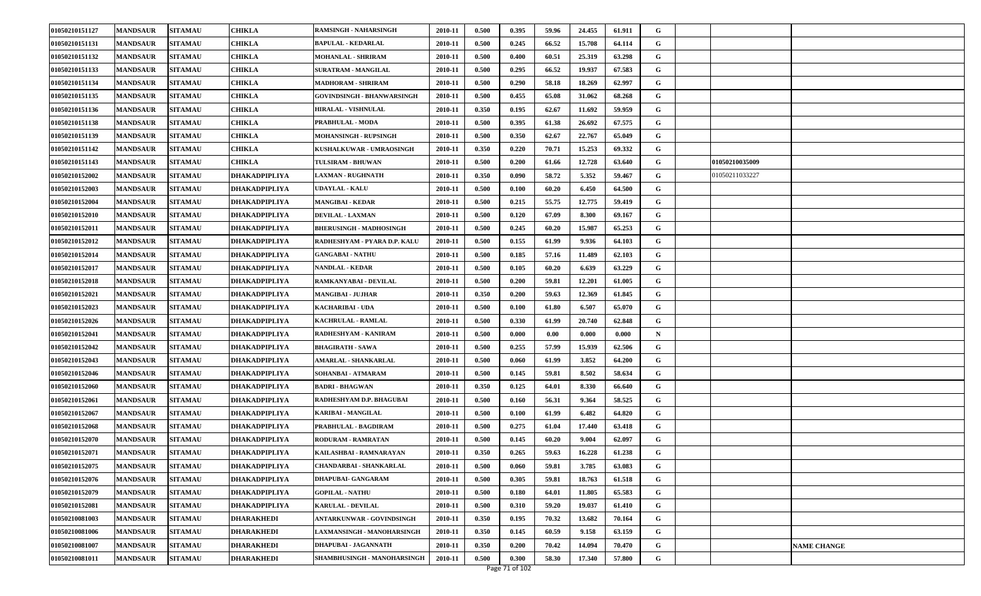| 01050210151127 | <b>MANDSAUR</b> | <b>SITAMAU</b> | <b>CHIKLA</b>        | <b>RAMSINGH - NAHARSINGH</b>      | 2010-11 | 0.500 | 0.395 | 59.96    | 24.455 | 61.911 | G |                |                    |
|----------------|-----------------|----------------|----------------------|-----------------------------------|---------|-------|-------|----------|--------|--------|---|----------------|--------------------|
| 01050210151131 | <b>MANDSAUR</b> | <b>SITAMAU</b> | CHIKLA               | <b>BAPULAL - KEDARLAL</b>         | 2010-11 | 0.500 | 0.245 | 66.52    | 15.708 | 64.114 | G |                |                    |
| 01050210151132 | <b>MANDSAUR</b> | <b>SITAMAU</b> | <b>CHIKLA</b>        | MOHANLAL - SHRIRAM                | 2010-11 | 0.500 | 0.400 | 60.51    | 25.319 | 63.298 | G |                |                    |
| 01050210151133 | <b>MANDSAUR</b> | <b>SITAMAU</b> | CHIKLA               | SURATRAM - MANGILAL               | 2010-11 | 0.500 | 0.295 | 66.52    | 19.937 | 67.583 | G |                |                    |
| 01050210151134 | <b>MANDSAUR</b> | <b>SITAMAU</b> | CHIKLA               | <b>MADHORAM - SHRIRAM</b>         | 2010-11 | 0.500 | 0.290 | 58.18    | 18.269 | 62.997 | G |                |                    |
| 01050210151135 | <b>MANDSAUR</b> | <b>SITAMAU</b> | <b>CHIKLA</b>        | <b>GOVINDSINGH - BHANWARSINGH</b> | 2010-11 | 0.500 | 0.455 | 65.08    | 31.062 | 68.268 | G |                |                    |
| 01050210151136 | <b>MANDSAUR</b> | <b>SITAMAU</b> | <b>CHIKLA</b>        | <b>HIRALAL - VISHNULAL</b>        | 2010-11 | 0.350 | 0.195 | 62.67    | 11.692 | 59.959 | G |                |                    |
| 01050210151138 | <b>MANDSAUR</b> | <b>SITAMAU</b> | CHIKLA               | PRABHULAL - MODA                  | 2010-11 | 0.500 | 0.395 | 61.38    | 26.692 | 67.575 | G |                |                    |
| 01050210151139 | <b>MANDSAUR</b> | <b>SITAMAU</b> | CHIKLA               | <b>MOHANSINGH - RUPSINGH</b>      | 2010-11 | 0.500 | 0.350 | 62.67    | 22.767 | 65.049 | G |                |                    |
| 01050210151142 | <b>MANDSAUR</b> | <b>SITAMAU</b> | CHIKLA               | KUSHALKUWAR - UMRAOSINGH          | 2010-11 | 0.350 | 0.220 | 70.71    | 15.253 | 69.332 | G |                |                    |
| 01050210151143 | <b>MANDSAUR</b> | <b>SITAMAU</b> | <b>CHIKLA</b>        | TULSIRAM - BHUWAN                 | 2010-11 | 0.500 | 0.200 | 61.66    | 12.728 | 63.640 | G | 01050210035009 |                    |
| 01050210152002 | <b>MANDSAUR</b> | <b>SITAMAU</b> | DHAKADPIPLIYA        | <b>LAXMAN - RUGHNATH</b>          | 2010-11 | 0.350 | 0.090 | 58.72    | 5.352  | 59.467 | G | 01050211033227 |                    |
| 01050210152003 | <b>MANDSAUR</b> | <b>SITAMAU</b> | DHAKADPIPLIYA        | <b>UDAYLAL - KALU</b>             | 2010-11 | 0.500 | 0.100 | 60.20    | 6.450  | 64.500 | G |                |                    |
| 01050210152004 | <b>MANDSAUR</b> | <b>SITAMAU</b> | DHAKADPIPLIYA        | MANGIBAI - KEDAR                  | 2010-11 | 0.500 | 0.215 | 55.75    | 12.775 | 59.419 | G |                |                    |
| 01050210152010 | <b>MANDSAUR</b> | <b>SITAMAU</b> | DHAKADPIPLIYA        | <b>DEVILAL - LAXMAN</b>           | 2010-11 | 0.500 | 0.120 | 67.09    | 8.300  | 69.167 | G |                |                    |
| 01050210152011 | <b>MANDSAUR</b> | <b>SITAMAU</b> | DHAKADPIPLIYA        | <b>BHERUSINGH - MADHOSINGH</b>    | 2010-11 | 0.500 | 0.245 | 60.20    | 15.987 | 65.253 | G |                |                    |
| 01050210152012 | <b>MANDSAUR</b> | <b>SITAMAU</b> | DHAKADPIPLIYA        | RADHESHYAM - PYARA D.P. KALU      | 2010-11 | 0.500 | 0.155 | 61.99    | 9.936  | 64.103 | G |                |                    |
| 01050210152014 | <b>MANDSAUR</b> | <b>SITAMAU</b> | DHAKADPIPLIYA        | <b>GANGABAI - NATHU</b>           | 2010-11 | 0.500 | 0.185 | 57.16    | 11.489 | 62.103 | G |                |                    |
| 01050210152017 | <b>MANDSAUR</b> | <b>SITAMAU</b> | DHAKADPIPLIYA        | <b>NANDLAL - KEDAR</b>            | 2010-11 | 0.500 | 0.105 | 60.20    | 6.639  | 63.229 | G |                |                    |
| 01050210152018 | <b>MANDSAUR</b> | <b>SITAMAU</b> | DHAKADPIPLIYA        | RAMKANYABAI - DEVILAL             | 2010-11 | 0.500 | 0.200 | 59.81    | 12.201 | 61.005 | G |                |                    |
| 01050210152021 | <b>MANDSAUR</b> | <b>SITAMAU</b> | DHAKADPIPLIYA        | <b>MANGIBAI - JUJHAR</b>          | 2010-11 | 0.350 | 0.200 | 59.63    | 12.369 | 61.845 | G |                |                    |
| 01050210152023 | <b>MANDSAUR</b> | <b>SITAMAU</b> | DHAKADPIPLIYA        | <b>KACHARIBAI - UDA</b>           | 2010-11 | 0.500 | 0.100 | 61.80    | 6.507  | 65.070 | G |                |                    |
| 01050210152026 | <b>MANDSAUR</b> | <b>SITAMAU</b> | DHAKADPIPLIYA        | <b>KACHRULAL - RAMLAL</b>         | 2010-11 | 0.500 | 0.330 | 61.99    | 20.740 | 62.848 | G |                |                    |
| 01050210152041 | <b>MANDSAUR</b> | <b>SITAMAU</b> | DHAKADPIPLIYA        | RADHESHYAM - KANIRAM              | 2010-11 | 0.500 | 0.000 | $0.00\,$ | 0.000  | 0.000  | N |                |                    |
| 01050210152042 | <b>MANDSAUR</b> | <b>SITAMAU</b> | DHAKADPIPLIYA        | <b>BHAGIRATH - SAWA</b>           | 2010-11 | 0.500 | 0.255 | 57.99    | 15.939 | 62.506 | G |                |                    |
| 01050210152043 | <b>MANDSAUR</b> | <b>SITAMAU</b> | DHAKADPIPLIYA        | AMARLAL - SHANKARLAL              | 2010-11 | 0.500 | 0.060 | 61.99    | 3.852  | 64.200 | G |                |                    |
| 01050210152046 | <b>MANDSAUR</b> | <b>SITAMAU</b> | DHAKADPIPLIYA        | SOHANBAI - ATMARAM                | 2010-11 | 0.500 | 0.145 | 59.81    | 8.502  | 58.634 | G |                |                    |
| 01050210152060 | <b>MANDSAUR</b> | <b>SITAMAU</b> | DHAKADPIPLIYA        | <b>BADRI - BHAGWAN</b>            | 2010-11 | 0.350 | 0.125 | 64.01    | 8.330  | 66.640 | G |                |                    |
| 01050210152061 | <b>MANDSAUR</b> | <b>SITAMAU</b> | DHAKADPIPLIYA        | RADHESHYAM D.P. BHAGUBAI          | 2010-11 | 0.500 | 0.160 | 56.31    | 9.364  | 58.525 | G |                |                    |
| 01050210152067 | <b>MANDSAUR</b> | <b>SITAMAU</b> | DHAKADPIPLIYA        | <b>KARIBAI - MANGILAL</b>         | 2010-11 | 0.500 | 0.100 | 61.99    | 6.482  | 64.820 | G |                |                    |
| 01050210152068 | <b>MANDSAUR</b> | <b>SITAMAU</b> | DHAKADPIPLIYA        | PRABHULAL - BAGDIRAM              | 2010-11 | 0.500 | 0.275 | 61.04    | 17.440 | 63.418 | G |                |                    |
| 01050210152070 | <b>MANDSAUR</b> | <b>SITAMAU</b> | DHAKADPIPLIYA        | <b>RODURAM - RAMRATAN</b>         | 2010-11 | 0.500 | 0.145 | 60.20    | 9.004  | 62.097 | G |                |                    |
| 01050210152071 | <b>MANDSAUR</b> | <b>SITAMAU</b> | DHAKADPIPLIYA        | KAILASHBAI - RAMNARAYAN           | 2010-11 | 0.350 | 0.265 | 59.63    | 16.228 | 61.238 | G |                |                    |
| 01050210152075 | <b>MANDSAUR</b> | <b>SITAMAU</b> | <b>DHAKADPIPLIYA</b> | CHANDARBAI - SHANKARLAL           | 2010-11 | 0.500 | 0.060 | 59.81    | 3.785  | 63.083 | G |                |                    |
| 01050210152076 | <b>MANDSAUR</b> | <b>SITAMAU</b> | DHAKADPIPLIYA        | DHAPUBAI- GANGARAM                | 2010-11 | 0.500 | 0.305 | 59.81    | 18.763 | 61.518 | G |                |                    |
| 01050210152079 | <b>MANDSAUR</b> | <b>SITAMAU</b> | DHAKADPIPLIYA        | <b>GOPILAL - NATHU</b>            | 2010-11 | 0.500 | 0.180 | 64.01    | 11.805 | 65.583 | G |                |                    |
| 01050210152081 | <b>MANDSAUR</b> | <b>SITAMAU</b> | DHAKADPIPLIYA        | <b>KARULAL - DEVILAL</b>          | 2010-11 | 0.500 | 0.310 | 59.20    | 19.037 | 61.410 | G |                |                    |
| 01050210081003 | <b>MANDSAUR</b> | <b>SITAMAU</b> | DHARAKHEDI           | <b>ANTARKUNWAR - GOVINDSINGH</b>  | 2010-11 | 0.350 | 0.195 | 70.32    | 13.682 | 70.164 | G |                |                    |
| 01050210081006 | <b>MANDSAUR</b> | <b>SITAMAU</b> | DHARAKHEDI           | LAXMANSINGH - MANOHARSINGH        | 2010-11 | 0.350 | 0.145 | 60.59    | 9.158  | 63.159 | G |                |                    |
| 01050210081007 | <b>MANDSAUR</b> | <b>SITAMAU</b> | DHARAKHEDI           | DHAPUBAI - JAGANNATH              | 2010-11 | 0.350 | 0.200 | 70.42    | 14.094 | 70.470 | G |                | <b>NAME CHANGE</b> |
| 01050210081011 | <b>MANDSAUR</b> | <b>SITAMAU</b> | <b>DHARAKHEDI</b>    | SHAMBHUSINGH - MANOHARSINGH       | 2010-11 | 0.500 | 0.300 | 58.30    | 17.340 | 57.800 | G |                |                    |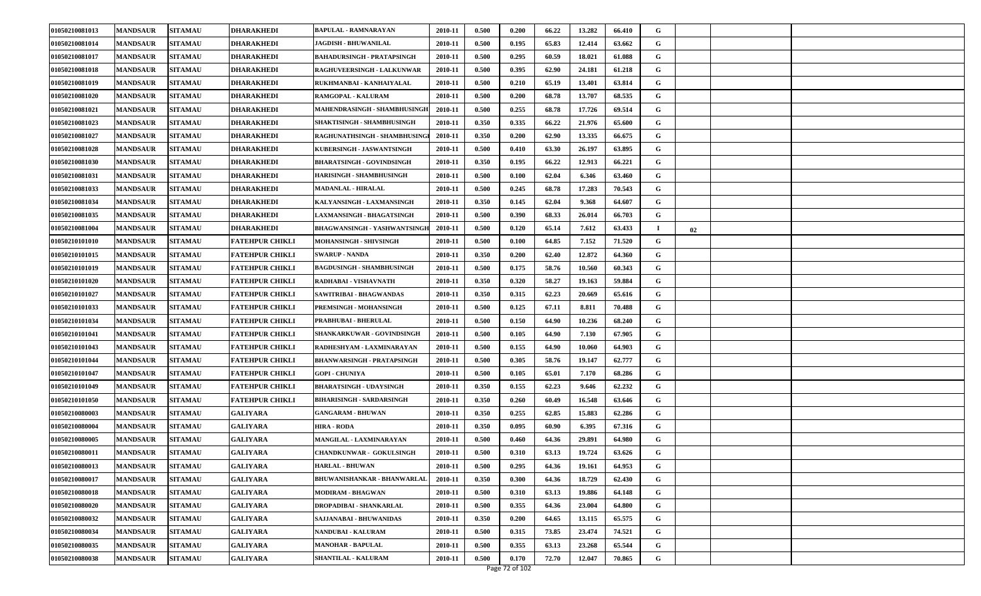| 01050210081013 | <b>MANDSAUR</b> | <b>SITAMAU</b> | <b>DHARAKHEDI</b>      | <b>BAPULAL - RAMNARAYAN</b>       | 2010-11 | 0.500 | 0.200 | 66.22 | 13.282 | 66.410 | G  |    |  |
|----------------|-----------------|----------------|------------------------|-----------------------------------|---------|-------|-------|-------|--------|--------|----|----|--|
| 01050210081014 | <b>MANDSAUR</b> | <b>SITAMAU</b> | DHARAKHEDI             | <b>JAGDISH - BHUWANILAL</b>       | 2010-11 | 0.500 | 0.195 | 65.83 | 12.414 | 63.662 | G  |    |  |
| 01050210081017 | <b>MANDSAUR</b> | <b>SITAMAU</b> | <b>DHARAKHEDI</b>      | <b>BAHADURSINGH - PRATAPSINGH</b> | 2010-11 | 0.500 | 0.295 | 60.59 | 18.021 | 61.088 | G  |    |  |
| 01050210081018 | <b>MANDSAUR</b> | <b>SITAMAU</b> | DHARAKHEDI             | <b>RAGHUVEERSINGH - LALKUNWAR</b> | 2010-11 | 0.500 | 0.395 | 62.90 | 24.181 | 61.218 | G  |    |  |
| 01050210081019 | <b>MANDSAUR</b> | <b>SITAMAU</b> | <b>DHARAKHEDI</b>      | RUKHMANBAI - KANHAIYALAL          | 2010-11 | 0.500 | 0.210 | 65.19 | 13.401 | 63.814 | G  |    |  |
| 01050210081020 | <b>MANDSAUR</b> | <b>SITAMAU</b> | DHARAKHEDI             | RAMGOPAL - KALURAM                | 2010-11 | 0.500 | 0.200 | 68.78 | 13.707 | 68.535 | G  |    |  |
| 01050210081021 | <b>MANDSAUR</b> | <b>SITAMAU</b> | <b>DHARAKHEDI</b>      | MAHENDRASINGH - SHAMBHUSINGH      | 2010-11 | 0.500 | 0.255 | 68.78 | 17.726 | 69.514 | G  |    |  |
| 01050210081023 | <b>MANDSAUR</b> | <b>SITAMAU</b> | DHARAKHEDI             | SHAKTISINGH - SHAMBHUSINGH        | 2010-11 | 0.350 | 0.335 | 66.22 | 21.976 | 65.600 | G  |    |  |
| 01050210081027 | <b>MANDSAUR</b> | <b>SITAMAU</b> | <b>DHARAKHEDI</b>      | RAGHUNATHSINGH - SHAMBHUSING      | 2010-11 | 0.350 | 0.200 | 62.90 | 13.335 | 66.675 | G  |    |  |
| 01050210081028 | <b>MANDSAUR</b> | <b>SITAMAU</b> | DHARAKHEDI             | KUBERSINGH - JASWANTSINGH         | 2010-11 | 0.500 | 0.410 | 63.30 | 26.197 | 63.895 | G  |    |  |
| 01050210081030 | <b>MANDSAUR</b> | <b>SITAMAU</b> | <b>DHARAKHEDI</b>      | <b>BHARATSINGH - GOVINDSINGH</b>  | 2010-11 | 0.350 | 0.195 | 66.22 | 12.913 | 66.221 | G  |    |  |
| 01050210081031 | <b>MANDSAUR</b> | <b>SITAMAU</b> | DHARAKHEDI             | HARISINGH - SHAMBHUSINGH          | 2010-11 | 0.500 | 0.100 | 62.04 | 6.346  | 63.460 | G  |    |  |
| 01050210081033 | <b>MANDSAUR</b> | <b>SITAMAU</b> | DHARAKHEDI             | <b>MADANLAL - HIRALAL</b>         | 2010-11 | 0.500 | 0.245 | 68.78 | 17.283 | 70.543 | G  |    |  |
| 01050210081034 | <b>MANDSAUR</b> | <b>SITAMAU</b> | DHARAKHEDI             | KALYANSINGH - LAXMANSINGH         | 2010-11 | 0.350 | 0.145 | 62.04 | 9.368  | 64.607 | G  |    |  |
| 01050210081035 | <b>MANDSAUR</b> | <b>SITAMAU</b> | DHARAKHEDI             | <b>LAXMANSINGH - BHAGATSINGH</b>  | 2010-11 | 0.500 | 0.390 | 68.33 | 26.014 | 66.703 | G  |    |  |
| 01050210081004 | <b>MANDSAUR</b> | <b>SITAMAU</b> | DHARAKHEDI             | BHAGWANSINGH - YASHWANTSINGI      | 2010-11 | 0.500 | 0.120 | 65.14 | 7.612  | 63.433 | -1 | 02 |  |
| 01050210101010 | <b>MANDSAUR</b> | <b>SITAMAU</b> | FATEHPUR CHIKLI        | MOHANSINGH - SHIVSINGH            | 2010-11 | 0.500 | 0.100 | 64.85 | 7.152  | 71.520 | G  |    |  |
| 01050210101015 | <b>MANDSAUR</b> | <b>SITAMAU</b> | FATEHPUR CHIKLI        | <b>SWARUP - NANDA</b>             | 2010-11 | 0.350 | 0.200 | 62.40 | 12.872 | 64.360 | G  |    |  |
| 01050210101019 | <b>MANDSAUR</b> | <b>SITAMAU</b> | FATEHPUR CHIKLI        | <b>BAGDUSINGH - SHAMBHUSINGH</b>  | 2010-11 | 0.500 | 0.175 | 58.76 | 10.560 | 60.343 | G  |    |  |
| 01050210101020 | <b>MANDSAUR</b> | <b>SITAMAU</b> | FATEHPUR CHIKLI        | RADHABAI - VISHAVNATH             | 2010-11 | 0.350 | 0.320 | 58.27 | 19.163 | 59.884 | G  |    |  |
| 01050210101027 | <b>MANDSAUR</b> | <b>SITAMAU</b> | FATEHPUR CHIKLI        | SAWITRIBAI - BHAGWANDAS           | 2010-11 | 0.350 | 0.315 | 62.23 | 20.669 | 65.616 | G  |    |  |
| 01050210101033 | <b>MANDSAUR</b> | <b>SITAMAU</b> | <b>FATEHPUR CHIKLI</b> | PREMSINGH - MOHANSINGH            | 2010-11 | 0.500 | 0.125 | 67.11 | 8.811  | 70.488 | G  |    |  |
| 01050210101034 | <b>MANDSAUR</b> | <b>SITAMAU</b> | FATEHPUR CHIKLI        | PRABHUBAI - BHERULAL              | 2010-11 | 0.500 | 0.150 | 64.90 | 10.236 | 68.240 | G  |    |  |
| 01050210101041 | <b>MANDSAUR</b> | <b>SITAMAU</b> | FATEHPUR CHIKLI        | SHANKARKUWAR - GOVINDSINGH        | 2010-11 | 0.500 | 0.105 | 64.90 | 7.130  | 67.905 | G  |    |  |
| 01050210101043 | <b>MANDSAUR</b> | <b>SITAMAU</b> | FATEHPUR CHIKLI        | RADHESHYAM - LAXMINARAYAN         | 2010-11 | 0.500 | 0.155 | 64.90 | 10.060 | 64.903 | G  |    |  |
| 01050210101044 | <b>MANDSAUR</b> | <b>SITAMAU</b> | <b>FATEHPUR CHIKLI</b> | <b>BHANWARSINGH - PRATAPSINGH</b> | 2010-11 | 0.500 | 0.305 | 58.76 | 19.147 | 62.777 | G  |    |  |
| 01050210101047 | <b>MANDSAUR</b> | <b>SITAMAU</b> | FATEHPUR CHIKLI        | <b>GOPI - CHUNIYA</b>             | 2010-11 | 0.500 | 0.105 | 65.01 | 7.170  | 68.286 | G  |    |  |
| 01050210101049 | <b>MANDSAUR</b> | <b>SITAMAU</b> | FATEHPUR CHIKLI        | <b>BHARATSINGH - UDAYSINGH</b>    | 2010-11 | 0.350 | 0.155 | 62.23 | 9.646  | 62.232 | G  |    |  |
| 01050210101050 | <b>MANDSAUR</b> | <b>SITAMAU</b> | FATEHPUR CHIKLI        | <b>BIHARISINGH - SARDARSINGH</b>  | 2010-11 | 0.350 | 0.260 | 60.49 | 16.548 | 63.646 | G  |    |  |
| 01050210080003 | <b>MANDSAUR</b> | <b>SITAMAU</b> | <b>GALIYARA</b>        | <b>GANGARAM - BHUWAN</b>          | 2010-11 | 0.350 | 0.255 | 62.85 | 15.883 | 62.286 | G  |    |  |
| 01050210080004 | <b>MANDSAUR</b> | <b>SITAMAU</b> | <b>GALIYARA</b>        | <b>HIRA - RODA</b>                | 2010-11 | 0.350 | 0.095 | 60.90 | 6.395  | 67.316 | G  |    |  |
| 01050210080005 | <b>MANDSAUR</b> | <b>SITAMAU</b> | <b>GALIYARA</b>        | MANGILAL - LAXMINARAYAN           | 2010-11 | 0.500 | 0.460 | 64.36 | 29.891 | 64.980 | G  |    |  |
| 01050210080011 | <b>MANDSAUR</b> | <b>SITAMAU</b> | <b>GALIYARA</b>        | <b>CHANDKUNWAR - GOKULSINGH</b>   | 2010-11 | 0.500 | 0.310 | 63.13 | 19.724 | 63.626 | G  |    |  |
| 01050210080013 | <b>MANDSAUR</b> | <b>SITAMAU</b> | <b>GALIYARA</b>        | <b>HARLAL - BHUWAN</b>            | 2010-11 | 0.500 | 0.295 | 64.36 | 19.161 | 64.953 | G  |    |  |
| 01050210080017 | <b>MANDSAUR</b> | <b>SITAMAU</b> | <b>GALIYARA</b>        | BHUWANISHANKAR - BHANWARLAI       | 2010-11 | 0.350 | 0.300 | 64.36 | 18.729 | 62.430 | G  |    |  |
| 01050210080018 | <b>MANDSAUR</b> | <b>SITAMAU</b> | <b>GALIYARA</b>        | MODIRAM - BHAGWAN                 | 2010-11 | 0.500 | 0.310 | 63.13 | 19.886 | 64.148 | G  |    |  |
| 01050210080020 | <b>MANDSAUR</b> | <b>SITAMAU</b> | <b>GALIYARA</b>        | DROPADIBAI - SHANKARLAL           | 2010-11 | 0.500 | 0.355 | 64.36 | 23.004 | 64.800 | G  |    |  |
| 01050210080032 | <b>MANDSAUR</b> | <b>SITAMAU</b> | <b>GALIYARA</b>        | SAJJANABAI - BHUWANIDAS           | 2010-11 | 0.350 | 0.200 | 64.65 | 13.115 | 65.575 | G  |    |  |
| 01050210080034 | <b>MANDSAUR</b> | <b>SITAMAU</b> | <b>GALIYARA</b>        | <b>NANDUBAI - KALURAM</b>         | 2010-11 | 0.500 | 0.315 | 73.85 | 23.474 | 74.521 | G  |    |  |
| 01050210080035 | <b>MANDSAUR</b> | <b>SITAMAU</b> | <b>GALIYARA</b>        | <b>MANOHAR - BAPULAL</b>          | 2010-11 | 0.500 | 0.355 | 63.13 | 23.268 | 65.544 | G  |    |  |
| 01050210080038 | <b>MANDSAUR</b> | <b>SITAMAU</b> | <b>GALIYARA</b>        | SHANTILAL - KALURAM               | 2010-11 | 0.500 | 0.170 | 72.70 | 12.047 | 70.865 | G  |    |  |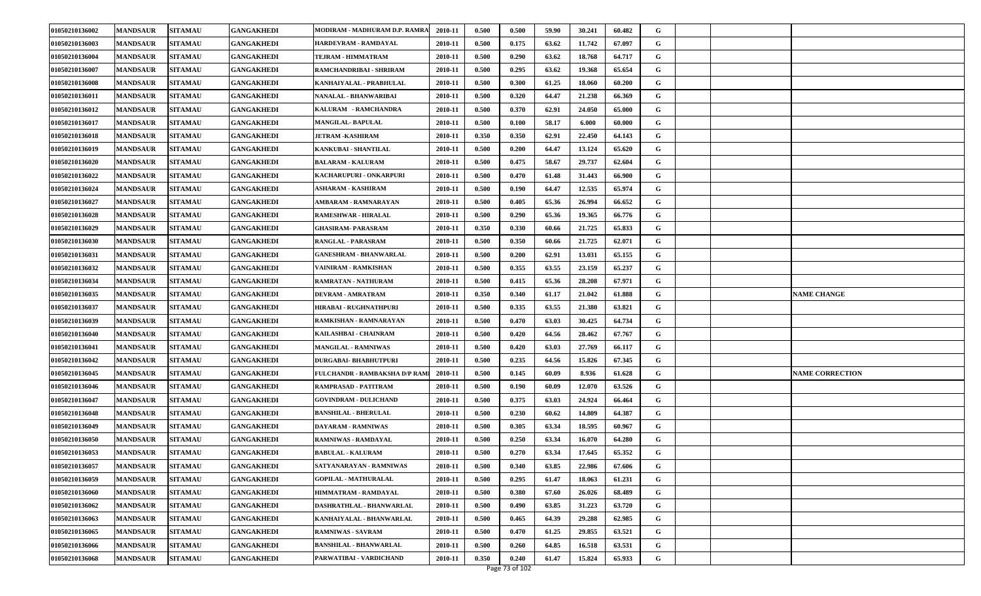| 01050210136002 | <b>MANDSAUR</b> | <b>SITAMAU</b> | <b>GANGAKHEDI</b> | MODIRAM - MADHURAM D.P. RAMRA | 2010-11 | 0.500 | 0.500 | 59.90 | 30.241 | 60.482 | G           |                        |
|----------------|-----------------|----------------|-------------------|-------------------------------|---------|-------|-------|-------|--------|--------|-------------|------------------------|
| 01050210136003 | <b>MANDSAUR</b> | <b>SITAMAU</b> | GANGAKHEDI        | HARDEVRAM - RAMDAYAL          | 2010-11 | 0.500 | 0.175 | 63.62 | 11.742 | 67.097 | G           |                        |
| 01050210136004 | <b>MANDSAUR</b> | <b>SITAMAU</b> | <b>GANGAKHEDI</b> | <b>TEJRAM - HIMMATRAM</b>     | 2010-11 | 0.500 | 0.290 | 63.62 | 18.768 | 64.717 | G           |                        |
| 01050210136007 | <b>MANDSAUR</b> | <b>SITAMAU</b> | <b>GANGAKHEDI</b> | RAMCHANDRIBAI - SHRIRAM       | 2010-11 | 0.500 | 0.295 | 63.62 | 19.368 | 65.654 | G           |                        |
| 01050210136008 | <b>MANDSAUR</b> | <b>SITAMAU</b> | <b>GANGAKHEDI</b> | KANHAIYALAL - PRABHULAL       | 2010-11 | 0.500 | 0.300 | 61.25 | 18.060 | 60.200 | G           |                        |
| 01050210136011 | <b>MANDSAUR</b> | <b>SITAMAU</b> | <b>GANGAKHEDI</b> | NANALAL - BHANWARIBAI         | 2010-11 | 0.500 | 0.320 | 64.47 | 21.238 | 66.369 | G           |                        |
| 01050210136012 | <b>MANDSAUR</b> | <b>SITAMAU</b> | <b>GANGAKHEDI</b> | KALURAM - RAMCHANDRA          | 2010-11 | 0.500 | 0.370 | 62.91 | 24.050 | 65.000 | G           |                        |
| 01050210136017 | <b>MANDSAUR</b> | <b>SITAMAU</b> | <b>GANGAKHEDI</b> | <b>MANGILAL-BAPULAL</b>       | 2010-11 | 0.500 | 0.100 | 58.17 | 6.000  | 60.000 | G           |                        |
| 01050210136018 | <b>MANDSAUR</b> | <b>SITAMAU</b> | <b>GANGAKHEDI</b> | <b>JETRAM -KASHIRAM</b>       | 2010-11 | 0.350 | 0.350 | 62.91 | 22.450 | 64.143 | G           |                        |
| 01050210136019 | <b>MANDSAUR</b> | <b>SITAMAU</b> | <b>GANGAKHEDI</b> | KANKUBAI - SHANTILAL          | 2010-11 | 0.500 | 0.200 | 64.47 | 13.124 | 65.620 | G           |                        |
| 01050210136020 | <b>MANDSAUR</b> | <b>SITAMAU</b> | <b>GANGAKHEDI</b> | <b>BALARAM - KALURAM</b>      | 2010-11 | 0.500 | 0.475 | 58.67 | 29.737 | 62.604 | G           |                        |
| 01050210136022 | <b>MANDSAUR</b> | <b>SITAMAU</b> | GANGAKHEDI        | KACHARUPURI - ONKARPURI       | 2010-11 | 0.500 | 0.470 | 61.48 | 31.443 | 66.900 | G           |                        |
| 01050210136024 | <b>MANDSAUR</b> | <b>SITAMAU</b> | <b>GANGAKHEDI</b> | <b>ASHARAM - KASHIRAM</b>     | 2010-11 | 0.500 | 0.190 | 64.47 | 12.535 | 65.974 | G           |                        |
| 01050210136027 | <b>MANDSAUR</b> | <b>SITAMAU</b> | <b>GANGAKHEDI</b> | AMBARAM - RAMNARAYAN          | 2010-11 | 0.500 | 0.405 | 65.36 | 26.994 | 66.652 | G           |                        |
| 01050210136028 | <b>MANDSAUR</b> | <b>SITAMAU</b> | <b>GANGAKHEDI</b> | RAMESHWAR - HIRALAL           | 2010-11 | 0.500 | 0.290 | 65.36 | 19.365 | 66.776 | G           |                        |
| 01050210136029 | <b>MANDSAUR</b> | <b>SITAMAU</b> | GANGAKHEDI        | <b>GHASIRAM- PARASRAM</b>     | 2010-11 | 0.350 | 0.330 | 60.66 | 21.725 | 65.833 | G           |                        |
| 01050210136030 | <b>MANDSAUR</b> | <b>SITAMAU</b> | <b>GANGAKHEDI</b> | RANGLAL - PARASRAM            | 2010-11 | 0.500 | 0.350 | 60.66 | 21.725 | 62.071 | G           |                        |
| 01050210136031 | <b>MANDSAUR</b> | <b>SITAMAU</b> | <b>GANGAKHEDI</b> | <b>GANESHRAM - BHANWARLAL</b> | 2010-11 | 0.500 | 0.200 | 62.91 | 13.031 | 65.155 | G           |                        |
| 01050210136032 | <b>MANDSAUR</b> | <b>SITAMAU</b> | <b>GANGAKHEDI</b> | VAINIRAM - RAMKISHAN          | 2010-11 | 0.500 | 0.355 | 63.55 | 23.159 | 65.237 | G           |                        |
| 01050210136034 | <b>MANDSAUR</b> | <b>SITAMAU</b> | <b>GANGAKHEDI</b> | RAMRATAN - NATHURAM           | 2010-11 | 0.500 | 0.415 | 65.36 | 28.208 | 67.971 | G           |                        |
| 01050210136035 | <b>MANDSAUR</b> | <b>SITAMAU</b> | <b>GANGAKHEDI</b> | DEVRAM - AMRATRAM             | 2010-11 | 0.350 | 0.340 | 61.17 | 21.042 | 61.888 | G           | <b>NAME CHANGE</b>     |
| 01050210136037 | <b>MANDSAUR</b> | <b>SITAMAU</b> | <b>GANGAKHEDI</b> | HIRABAI - RUGHNATHPURI        | 2010-11 | 0.500 | 0.335 | 63.55 | 21.380 | 63.821 | G           |                        |
| 01050210136039 | <b>MANDSAUR</b> | <b>SITAMAU</b> | <b>GANGAKHEDI</b> | RAMKISHAN - RAMNARAYAN        | 2010-11 | 0.500 | 0.470 | 63.03 | 30.425 | 64.734 | G           |                        |
| 01050210136040 | <b>MANDSAUR</b> | <b>SITAMAU</b> | <b>GANGAKHEDI</b> | KAILASHBAI - CHAINRAM         | 2010-11 | 0.500 | 0.420 | 64.56 | 28.462 | 67.767 | G           |                        |
| 01050210136041 | <b>MANDSAUR</b> | <b>SITAMAU</b> | <b>GANGAKHEDI</b> | MANGILAL - RAMNIWAS           | 2010-11 | 0.500 | 0.420 | 63.03 | 27.769 | 66.117 | G           |                        |
| 01050210136042 | <b>MANDSAUR</b> | <b>SITAMAU</b> | <b>GANGAKHEDI</b> | <b>DURGABAI- BHABHUTPURI</b>  | 2010-11 | 0.500 | 0.235 | 64.56 | 15.826 | 67.345 | G           |                        |
| 01050210136045 | <b>MANDSAUR</b> | <b>SITAMAU</b> | <b>GANGAKHEDI</b> | FULCHANDR - RAMBAKSHA D/P RAM | 2010-11 | 0.500 | 0.145 | 60.09 | 8.936  | 61.628 | G           | <b>NAME CORRECTION</b> |
| 01050210136046 | <b>MANDSAUR</b> | <b>SITAMAU</b> | <b>GANGAKHEDI</b> | RAMPRASAD - PATITRAM          | 2010-11 | 0.500 | 0.190 | 60.09 | 12.070 | 63.526 | G           |                        |
| 01050210136047 | <b>MANDSAUR</b> | <b>SITAMAU</b> | <b>GANGAKHEDI</b> | <b>GOVINDRAM - DULICHAND</b>  | 2010-11 | 0.500 | 0.375 | 63.03 | 24.924 | 66.464 | G           |                        |
| 01050210136048 | <b>MANDSAUR</b> | <b>SITAMAU</b> | <b>GANGAKHEDI</b> | <b>BANSHILAL - BHERULAL</b>   | 2010-11 | 0.500 | 0.230 | 60.62 | 14.809 | 64.387 | G           |                        |
| 01050210136049 | <b>MANDSAUR</b> | <b>SITAMAU</b> | <b>GANGAKHEDI</b> | DAYARAM - RAMNIWAS            | 2010-11 | 0.500 | 0.305 | 63.34 | 18.595 | 60.967 | G           |                        |
| 01050210136050 | <b>MANDSAUR</b> | <b>SITAMAU</b> | <b>GANGAKHEDI</b> | RAMNIWAS - RAMDAYAL           | 2010-11 | 0.500 | 0.250 | 63.34 | 16.070 | 64.280 | G           |                        |
| 01050210136053 | <b>MANDSAUR</b> | <b>SITAMAU</b> | <b>GANGAKHEDI</b> | <b>BABULAL - KALURAM</b>      | 2010-11 | 0.500 | 0.270 | 63.34 | 17.645 | 65.352 | G           |                        |
| 01050210136057 | <b>MANDSAUR</b> | <b>SITAMAU</b> | <b>GANGAKHEDI</b> | SATYANARAYAN - RAMNIWAS       | 2010-11 | 0.500 | 0.340 | 63.85 | 22.986 | 67.606 | G           |                        |
| 01050210136059 | <b>MANDSAUR</b> | <b>SITAMAU</b> | GANGAKHEDI        | <b>GOPILAL - MATHURALAL</b>   | 2010-11 | 0.500 | 0.295 | 61.47 | 18.063 | 61.231 | G           |                        |
| 01050210136060 | <b>MANDSAUR</b> | <b>SITAMAU</b> | <b>GANGAKHEDI</b> | HIMMATRAM - RAMDAYAL          | 2010-11 | 0.500 | 0.380 | 67.60 | 26.026 | 68.489 | $\mathbf G$ |                        |
| 01050210136062 | <b>MANDSAUR</b> | <b>SITAMAU</b> | <b>GANGAKHEDI</b> | DASHRATHLAL - BHANWARLAL      | 2010-11 | 0.500 | 0.490 | 63.85 | 31.223 | 63.720 | G           |                        |
| 01050210136063 | <b>MANDSAUR</b> | <b>SITAMAU</b> | <b>GANGAKHEDI</b> | KANHAIYALAL - BHANWARLAL      | 2010-11 | 0.500 | 0.465 | 64.39 | 29.288 | 62.985 | G           |                        |
| 01050210136065 | <b>MANDSAUR</b> | <b>SITAMAU</b> | <b>GANGAKHEDI</b> | <b>RAMNIWAS - SAVRAM</b>      | 2010-11 | 0.500 | 0.470 | 61.25 | 29.855 | 63.521 | G           |                        |
| 01050210136066 | <b>MANDSAUR</b> | <b>SITAMAU</b> | <b>GANGAKHEDI</b> | <b>BANSHILAL - BHANWARLAL</b> | 2010-11 | 0.500 | 0.260 | 64.85 | 16.518 | 63.531 | G           |                        |
| 01050210136068 | <b>MANDSAUR</b> | <b>SITAMAU</b> | <b>GANGAKHEDI</b> | PARWATIBAI - VARDICHAND       | 2010-11 | 0.350 | 0.240 | 61.47 | 15.824 | 65.933 | G           |                        |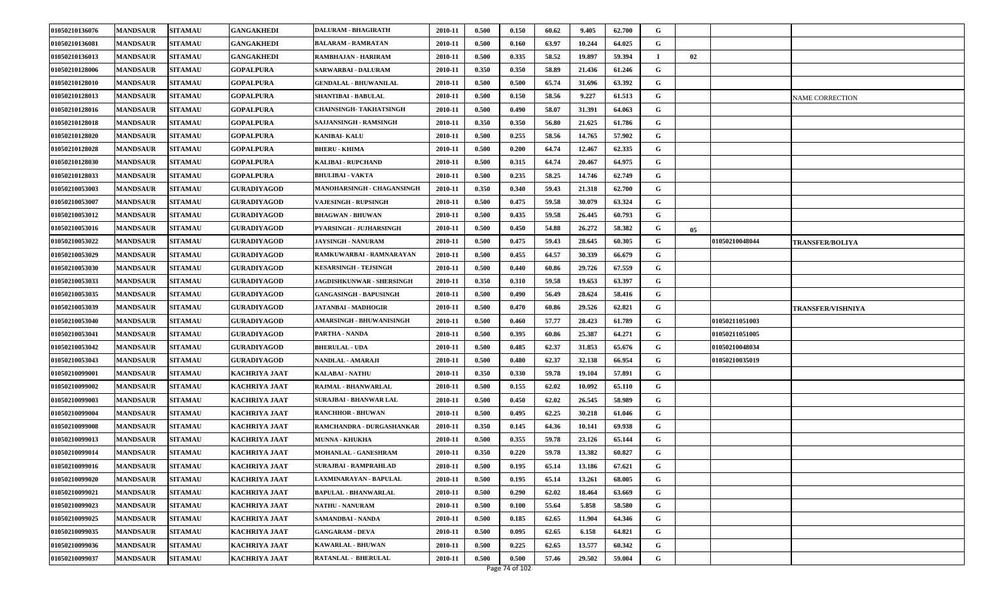| 01050210136076 | <b>MANDSAUR</b> | <b>SITAMAU</b> | <b>GANGAKHEDI</b>    | <b>DALURAM - BHAGIRATH</b>      | 2010-11 | 0.500 | 0.150 | 60.62 | 9.405  | 62.700 | G |    |                |                          |
|----------------|-----------------|----------------|----------------------|---------------------------------|---------|-------|-------|-------|--------|--------|---|----|----------------|--------------------------|
| 01050210136081 | <b>MANDSAUR</b> | <b>SITAMAU</b> | <b>GANGAKHEDI</b>    | <b>BALARAM - RAMRATAN</b>       | 2010-11 | 0.500 | 0.160 | 63.97 | 10.244 | 64.025 | G |    |                |                          |
| 01050210136013 | <b>MANDSAUR</b> | <b>SITAMAU</b> | <b>GANGAKHEDI</b>    | RAMBHAJAN - HARIRAM             | 2010-11 | 0.500 | 0.335 | 58.52 | 19.897 | 59.394 |   | 02 |                |                          |
| 01050210128006 | <b>MANDSAUR</b> | <b>SITAMAU</b> | <b>GOPALPURA</b>     | SARWARBAI - DALURAM             | 2010-11 | 0.350 | 0.350 | 58.89 | 21.436 | 61.246 | G |    |                |                          |
| 01050210128010 | <b>MANDSAUR</b> | <b>SITAMAU</b> | <b>GOPALPURA</b>     | <b>GENDALAL - BHUWANILAL</b>    | 2010-11 | 0.500 | 0.500 | 65.74 | 31.696 | 63.392 | G |    |                |                          |
| 01050210128013 | <b>MANDSAUR</b> | <b>SITAMAU</b> | <b>GOPALPURA</b>     | SHANTIBAI - BABULAL             | 2010-11 | 0.500 | 0.150 | 58.56 | 9.227  | 61.513 | G |    |                | NAME CORRECTION          |
| 01050210128016 | <b>MANDSAUR</b> | <b>SITAMAU</b> | <b>GOPALPURA</b>     | <b>CHAINSINGH- TAKHATSINGH</b>  | 2010-11 | 0.500 | 0.490 | 58.07 | 31.391 | 64.063 | G |    |                |                          |
| 01050210128018 | <b>MANDSAUR</b> | <b>SITAMAU</b> | <b>GOPALPURA</b>     | SAJJANSINGH - RAMSINGH          | 2010-11 | 0.350 | 0.350 | 56.80 | 21.625 | 61.786 | G |    |                |                          |
| 01050210128020 | <b>MANDSAUR</b> | <b>SITAMAU</b> | <b>GOPALPURA</b>     | <b>KANIBAI- KALU</b>            | 2010-11 | 0.500 | 0.255 | 58.56 | 14.765 | 57.902 | G |    |                |                          |
| 01050210128028 | <b>MANDSAUR</b> | <b>SITAMAU</b> | <b>GOPALPURA</b>     | <b>BHERU - KHIMA</b>            | 2010-11 | 0.500 | 0.200 | 64.74 | 12.467 | 62.335 | G |    |                |                          |
| 01050210128030 | <b>MANDSAUR</b> | <b>SITAMAU</b> | <b>GOPALPURA</b>     | <b>KALIBAI - RUPCHAND</b>       | 2010-11 | 0.500 | 0.315 | 64.74 | 20.467 | 64.975 | G |    |                |                          |
| 01050210128033 | <b>MANDSAUR</b> | <b>SITAMAU</b> | <b>GOPALPURA</b>     | <b>BHULIBAI - VAKTA</b>         | 2010-11 | 0.500 | 0.235 | 58.25 | 14.746 | 62.749 | G |    |                |                          |
| 01050210053003 | <b>MANDSAUR</b> | <b>SITAMAU</b> | <b>GURADIYAGOD</b>   | MANOHARSINGH - CHAGANSINGH      | 2010-11 | 0.350 | 0.340 | 59.43 | 21.318 | 62.700 | G |    |                |                          |
| 01050210053007 | <b>MANDSAUR</b> | <b>SITAMAU</b> | <b>GURADIYAGOD</b>   | VAJESINGH - RUPSINGH            | 2010-11 | 0.500 | 0.475 | 59.58 | 30.079 | 63.324 | G |    |                |                          |
| 01050210053012 | <b>MANDSAUR</b> | <b>SITAMAU</b> | <b>GURADIYAGOD</b>   | <b>BHAGWAN - BHUWAN</b>         | 2010-11 | 0.500 | 0.435 | 59.58 | 26.445 | 60.793 | G |    |                |                          |
| 01050210053016 | <b>MANDSAUR</b> | <b>SITAMAU</b> | <b>GURADIYAGOD</b>   | PYARSINGH - JUJHARSINGH         | 2010-11 | 0.500 | 0.450 | 54.88 | 26.272 | 58.382 | G | 05 |                |                          |
| 01050210053022 | <b>MANDSAUR</b> | <b>SITAMAU</b> | <b>GURADIYAGOD</b>   | <b>JAYSINGH - NANURAM</b>       | 2010-11 | 0.500 | 0.475 | 59.43 | 28.645 | 60.305 | G |    | 01050210048044 | <b>TRANSFER/BOLIYA</b>   |
| 01050210053029 | <b>MANDSAUR</b> | <b>SITAMAU</b> | <b>GURADIYAGOD</b>   | RAMKUWARBAI - RAMNARAYAN        | 2010-11 | 0.500 | 0.455 | 64.57 | 30.339 | 66.679 | G |    |                |                          |
| 01050210053030 | <b>MANDSAUR</b> | <b>SITAMAU</b> | <b>GURADIYAGOD</b>   | <b>KESARSINGH - TEJSINGH</b>    | 2010-11 | 0.500 | 0.440 | 60.86 | 29.726 | 67.559 | G |    |                |                          |
| 01050210053033 | <b>MANDSAUR</b> | <b>SITAMAU</b> | <b>GURADIYAGOD</b>   | JAGDISHKUNWAR - SHERSINGH       | 2010-11 | 0.350 | 0.310 | 59.58 | 19.653 | 63.397 | G |    |                |                          |
| 01050210053035 | <b>MANDSAUR</b> | <b>SITAMAU</b> | <b>GURADIYAGOD</b>   | <b>GANGASINGH - BAPUSINGH</b>   | 2010-11 | 0.500 | 0.490 | 56.49 | 28.624 | 58.416 | G |    |                |                          |
| 01050210053039 | <b>MANDSAUR</b> | <b>SITAMAU</b> | <b>GURADIYAGOD</b>   | JATANBAI - MADHOGIR             | 2010-11 | 0.500 | 0.470 | 60.86 | 29.526 | 62.821 | G |    |                | <b>TRANSFER/VISHNIYA</b> |
| 01050210053040 | <b>MANDSAUR</b> | <b>SITAMAU</b> | <b>GURADIYAGOD</b>   | <b>AMARSINGH - BHUWANISINGH</b> | 2010-11 | 0.500 | 0.460 | 57.77 | 28.423 | 61.789 | G |    | 01050211051003 |                          |
| 01050210053041 | <b>MANDSAUR</b> | <b>SITAMAU</b> | <b>GURADIYAGOD</b>   | PARTHA - NANDA                  | 2010-11 | 0.500 | 0.395 | 60.86 | 25.387 | 64.271 | G |    | 01050211051005 |                          |
| 01050210053042 | <b>MANDSAUR</b> | <b>SITAMAU</b> | <b>GURADIYAGOD</b>   | <b>BHERULAL - UDA</b>           | 2010-11 | 0.500 | 0.485 | 62.37 | 31.853 | 65.676 | G |    | 01050210048034 |                          |
| 01050210053043 | <b>MANDSAUR</b> | <b>SITAMAU</b> | <b>GURADIYAGOD</b>   | NANDLAL - AMARAJI               | 2010-11 | 0.500 | 0.480 | 62.37 | 32.138 | 66.954 | G |    | 01050210035019 |                          |
| 01050210099001 | <b>MANDSAUR</b> | <b>SITAMAU</b> | KACHRIYA JAAT        | <b>KALABAI - NATHU</b>          | 2010-11 | 0.350 | 0.330 | 59.78 | 19.104 | 57.891 | G |    |                |                          |
| 01050210099002 | <b>MANDSAUR</b> | <b>SITAMAU</b> | <b>KACHRIYA JAAT</b> | RAJMAL - BHANWARLAL             | 2010-11 | 0.500 | 0.155 | 62.02 | 10.092 | 65.110 | G |    |                |                          |
| 01050210099003 | <b>MANDSAUR</b> | <b>SITAMAU</b> | <b>KACHRIYA JAAT</b> | <b>SURAJBAI - BHANWAR LAL</b>   | 2010-11 | 0.500 | 0.450 | 62.02 | 26.545 | 58.989 | G |    |                |                          |
| 01050210099004 | <b>MANDSAUR</b> | <b>SITAMAU</b> | <b>KACHRIYA JAAT</b> | <b>RANCHHOR - BHUWAN</b>        | 2010-11 | 0.500 | 0.495 | 62.25 | 30.218 | 61.046 | G |    |                |                          |
| 01050210099008 | <b>MANDSAUR</b> | <b>SITAMAU</b> | KACHRIYA JAAT        | RAMCHANDRA - DURGASHANKAR       | 2010-11 | 0.350 | 0.145 | 64.36 | 10.141 | 69.938 | G |    |                |                          |
| 01050210099013 | <b>MANDSAUR</b> | <b>SITAMAU</b> | KACHRIYA JAAT        | <b>MUNNA - KHUKHA</b>           | 2010-11 | 0.500 | 0.355 | 59.78 | 23.126 | 65.144 | G |    |                |                          |
| 01050210099014 | <b>MANDSAUR</b> | <b>SITAMAU</b> | <b>KACHRIYA JAAT</b> | <b>MOHANLAL - GANESHRAM</b>     | 2010-11 | 0.350 | 0.220 | 59.78 | 13.382 | 60.827 | G |    |                |                          |
| 01050210099016 | <b>MANDSAUR</b> | <b>SITAMAU</b> | KACHRIYA JAAT        | <b>SURAJBAI - RAMPRAHLAD</b>    | 2010-11 | 0.500 | 0.195 | 65.14 | 13.186 | 67.621 | G |    |                |                          |
| 01050210099020 | <b>MANDSAUR</b> | <b>SITAMAU</b> | KACHRIYA JAAT        | LAXMINARAYAN - BAPULAL          | 2010-11 | 0.500 | 0.195 | 65.14 | 13.261 | 68.005 | G |    |                |                          |
| 01050210099021 | <b>MANDSAUR</b> | <b>SITAMAU</b> | <b>KACHRIYA JAAT</b> | BAPULAL - BHANWARLAL            | 2010-11 | 0.500 | 0.290 | 62.02 | 18.464 | 63.669 | G |    |                |                          |
| 01050210099023 | <b>MANDSAUR</b> | <b>SITAMAU</b> | <b>KACHRIYA JAAT</b> | <b>NATHU - NANURAM</b>          | 2010-11 | 0.500 | 0.100 | 55.64 | 5.858  | 58.580 | G |    |                |                          |
| 01050210099025 | <b>MANDSAUR</b> | <b>SITAMAU</b> | <b>KACHRIYA JAAT</b> | <b>SAMANDBAI - NANDA</b>        | 2010-11 | 0.500 | 0.185 | 62.65 | 11.904 | 64.346 | G |    |                |                          |
| 01050210099035 | <b>MANDSAUR</b> | <b>SITAMAU</b> | <b>KACHRIYA JAAT</b> | <b>GANGARAM - DEVA</b>          | 2010-11 | 0.500 | 0.095 | 62.65 | 6.158  | 64.821 | G |    |                |                          |
| 01050210099036 | <b>MANDSAUR</b> | <b>SITAMAU</b> | <b>KACHRIYA JAAT</b> | <b>KAWARLAL - BHUWAN</b>        | 2010-11 | 0.500 | 0.225 | 62.65 | 13.577 | 60.342 | G |    |                |                          |
| 01050210099037 | <b>MANDSAUR</b> | <b>SITAMAU</b> | <b>KACHRIYA JAAT</b> | RATANLAL - BHERULAL             | 2010-11 | 0.500 | 0.500 | 57.46 | 29.502 | 59.004 | G |    |                |                          |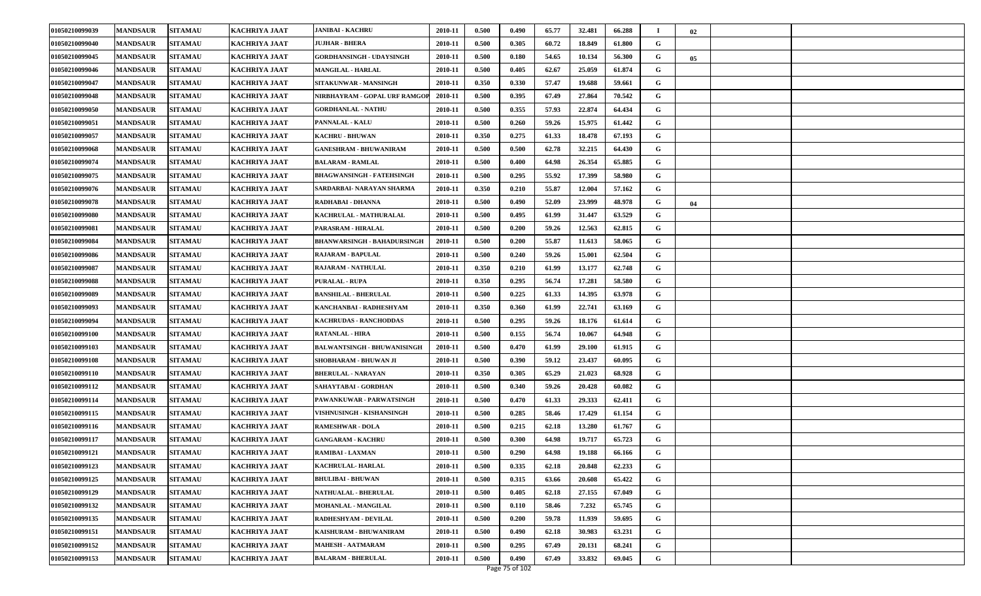| 01050210099039 | <b>MANDSAUR</b> | <b>SITAMAU</b> | <b>KACHRIYA JAAT</b> | <b>JANIBAI - KACHRU</b>          | 2010-11 | 0.500 | 0.490 | 65.77 | 32.481 | 66.288 |   | 02 |  |
|----------------|-----------------|----------------|----------------------|----------------------------------|---------|-------|-------|-------|--------|--------|---|----|--|
| 01050210099040 | <b>MANDSAUR</b> | <b>SITAMAU</b> | <b>KACHRIYA JAAT</b> | <b>JUJHAR - BHERA</b>            | 2010-11 | 0.500 | 0.305 | 60.72 | 18.849 | 61.800 | G |    |  |
| 01050210099045 | <b>MANDSAUR</b> | <b>SITAMAU</b> | <b>KACHRIYA JAAT</b> | GORDHANSINGH - UDAYSINGH         | 2010-11 | 0.500 | 0.180 | 54.65 | 10.134 | 56.300 | G | 05 |  |
| 01050210099046 | <b>MANDSAUR</b> | <b>SITAMAU</b> | <b>KACHRIYA JAAT</b> | <b>MANGILAL - HARLAL</b>         | 2010-11 | 0.500 | 0.405 | 62.67 | 25.059 | 61.874 | G |    |  |
| 01050210099047 | <b>MANDSAUR</b> | <b>SITAMAU</b> | <b>KACHRIYA JAAT</b> | SITAKUNWAR - MANSINGH            | 2010-11 | 0.350 | 0.330 | 57.47 | 19.688 | 59.661 | G |    |  |
| 01050210099048 | <b>MANDSAUR</b> | <b>SITAMAU</b> | <b>KACHRIYA JAAT</b> | NIRBHAYRAM - GOPAL URF RAMGO     | 2010-11 | 0.500 | 0.395 | 67.49 | 27.864 | 70.542 | G |    |  |
| 01050210099050 | <b>MANDSAUR</b> | <b>SITAMAU</b> | <b>KACHRIYA JAAT</b> | <b>GORDHANLAL - NATHU</b>        | 2010-11 | 0.500 | 0.355 | 57.93 | 22.874 | 64.434 | G |    |  |
| 01050210099051 | <b>MANDSAUR</b> | <b>SITAMAU</b> | KACHRIYA JAAT        | <b>PANNALAL - KALU</b>           | 2010-11 | 0.500 | 0.260 | 59.26 | 15.975 | 61.442 | G |    |  |
| 01050210099057 | <b>MANDSAUR</b> | <b>SITAMAU</b> | KACHRIYA JAAT        | <b>KACHRU - BHUWAN</b>           | 2010-11 | 0.350 | 0.275 | 61.33 | 18.478 | 67.193 | G |    |  |
| 01050210099068 | <b>MANDSAUR</b> | <b>SITAMAU</b> | <b>KACHRIYA JAAT</b> | <b>GANESHRAM - BHUWANIRAM</b>    | 2010-11 | 0.500 | 0.500 | 62.78 | 32.215 | 64.430 | G |    |  |
| 01050210099074 | <b>MANDSAUR</b> | <b>SITAMAU</b> | KACHRIYA JAAT        | <b>BALARAM - RAMLAL</b>          | 2010-11 | 0.500 | 0.400 | 64.98 | 26.354 | 65.885 | G |    |  |
| 01050210099075 | <b>MANDSAUR</b> | <b>SITAMAU</b> | KACHRIYA JAAT        | <b>BHAGWANSINGH - FATEHSINGH</b> | 2010-11 | 0.500 | 0.295 | 55.92 | 17.399 | 58.980 | G |    |  |
| 01050210099076 | <b>MANDSAUR</b> | <b>SITAMAU</b> | <b>KACHRIYA JAAT</b> | SARDARBAI- NARAYAN SHARMA        | 2010-11 | 0.350 | 0.210 | 55.87 | 12.004 | 57.162 | G |    |  |
| 01050210099078 | <b>MANDSAUR</b> | <b>SITAMAU</b> | <b>KACHRIYA JAAT</b> | RADHABAI - DHANNA                | 2010-11 | 0.500 | 0.490 | 52.09 | 23.999 | 48.978 | G | 04 |  |
| 01050210099080 | <b>MANDSAUR</b> | <b>SITAMAU</b> | KACHRIYA JAAT        | KACHRULAL - MATHURALAL           | 2010-11 | 0.500 | 0.495 | 61.99 | 31.447 | 63.529 | G |    |  |
| 01050210099081 | <b>MANDSAUR</b> | <b>SITAMAU</b> | KACHRIYA JAAT        | PARASRAM - HIRALAL               | 2010-11 | 0.500 | 0.200 | 59.26 | 12.563 | 62.815 | G |    |  |
| 01050210099084 | <b>MANDSAUR</b> | <b>SITAMAU</b> | <b>KACHRIYA JAAT</b> | BHANWARSINGH - BAHADURSINGH      | 2010-11 | 0.500 | 0.200 | 55.87 | 11.613 | 58.065 | G |    |  |
| 01050210099086 | <b>MANDSAUR</b> | <b>SITAMAU</b> | <b>KACHRIYA JAAT</b> | <b>RAJARAM - BAPULAL</b>         | 2010-11 | 0.500 | 0.240 | 59.26 | 15.001 | 62.504 | G |    |  |
| 01050210099087 | <b>MANDSAUR</b> | <b>SITAMAU</b> | <b>KACHRIYA JAAT</b> | RAJARAM - NATHULAL               | 2010-11 | 0.350 | 0.210 | 61.99 | 13.177 | 62.748 | G |    |  |
| 01050210099088 | <b>MANDSAUR</b> | <b>SITAMAU</b> | <b>KACHRIYA JAAT</b> | <b>PURALAL - RUPA</b>            | 2010-11 | 0.350 | 0.295 | 56.74 | 17.281 | 58.580 | G |    |  |
| 01050210099089 | <b>MANDSAUR</b> | <b>SITAMAU</b> | <b>KACHRIYA JAAT</b> | <b>BANSHILAL - BHERULAL</b>      | 2010-11 | 0.500 | 0.225 | 61.33 | 14.395 | 63.978 | G |    |  |
| 01050210099093 | <b>MANDSAUR</b> | <b>SITAMAU</b> | <b>KACHRIYA JAAT</b> | KANCHANBAI - RADHESHYAM          | 2010-11 | 0.350 | 0.360 | 61.99 | 22.741 | 63.169 | G |    |  |
| 01050210099094 | <b>MANDSAUR</b> | <b>SITAMAU</b> | <b>KACHRIYA JAAT</b> | KACHRUDAS - RANCHODDAS           | 2010-11 | 0.500 | 0.295 | 59.26 | 18.176 | 61.614 | G |    |  |
| 01050210099100 | <b>MANDSAUR</b> | <b>SITAMAU</b> | <b>KACHRIYA JAAT</b> | <b>RATANLAL - HIRA</b>           | 2010-11 | 0.500 | 0.155 | 56.74 | 10.067 | 64.948 | G |    |  |
| 01050210099103 | <b>MANDSAUR</b> | <b>SITAMAU</b> | <b>KACHRIYA JAAT</b> | BALWANTSINGH - BHUWANISINGH      | 2010-11 | 0.500 | 0.470 | 61.99 | 29.100 | 61.915 | G |    |  |
| 01050210099108 | <b>MANDSAUR</b> | <b>SITAMAU</b> | <b>KACHRIYA JAAT</b> | SHOBHARAM - BHUWAN JI            | 2010-11 | 0.500 | 0.390 | 59.12 | 23.437 | 60.095 | G |    |  |
| 01050210099110 | <b>MANDSAUR</b> | <b>SITAMAU</b> | <b>KACHRIYA JAAT</b> | <b>BHERULAL - NARAYAN</b>        | 2010-11 | 0.350 | 0.305 | 65.29 | 21.023 | 68.928 | G |    |  |
| 01050210099112 | <b>MANDSAUR</b> | <b>SITAMAU</b> | KACHRIYA JAAT        | SAHAYTABAI - GORDHAN             | 2010-11 | 0.500 | 0.340 | 59.26 | 20.428 | 60.082 | G |    |  |
| 01050210099114 | <b>MANDSAUR</b> | <b>SITAMAU</b> | <b>KACHRIYA JAAT</b> | PAWANKUWAR - PARWATSINGH         | 2010-11 | 0.500 | 0.470 | 61.33 | 29.333 | 62.411 | G |    |  |
| 01050210099115 | <b>MANDSAUR</b> | <b>SITAMAU</b> | <b>KACHRIYA JAAT</b> | VISHNUSINGH - KISHANSINGH        | 2010-11 | 0.500 | 0.285 | 58.46 | 17.429 | 61.154 | G |    |  |
| 01050210099116 | <b>MANDSAUR</b> | <b>SITAMAU</b> | <b>KACHRIYA JAAT</b> | <b>RAMESHWAR - DOLA</b>          | 2010-11 | 0.500 | 0.215 | 62.18 | 13.280 | 61.767 | G |    |  |
| 01050210099117 | <b>MANDSAUR</b> | <b>SITAMAU</b> | KACHRIYA JAAT        | <b>GANGARAM - KACHRU</b>         | 2010-11 | 0.500 | 0.300 | 64.98 | 19.717 | 65.723 | G |    |  |
| 01050210099121 | <b>MANDSAUR</b> | <b>SITAMAU</b> | <b>KACHRIYA JAAT</b> | RAMIBAI - LAXMAN                 | 2010-11 | 0.500 | 0.290 | 64.98 | 19.188 | 66.166 | G |    |  |
| 01050210099123 | <b>MANDSAUR</b> | <b>SITAMAU</b> | <b>KACHRIYA JAAT</b> | <b>KACHRULAL-HARLAL</b>          | 2010-11 | 0.500 | 0.335 | 62.18 | 20.848 | 62.233 | G |    |  |
| 01050210099125 | <b>MANDSAUR</b> | <b>SITAMAU</b> | KACHRIYA JAAT        | <b>BHULIBAI - BHUWAN</b>         | 2010-11 | 0.500 | 0.315 | 63.66 | 20.608 | 65.422 | G |    |  |
| 01050210099129 | <b>MANDSAUR</b> | <b>SITAMAU</b> | <b>KACHRIYA JAAT</b> | NATHUALAL - BHERULAL             | 2010-11 | 0.500 | 0.405 | 62.18 | 27.155 | 67.049 | G |    |  |
| 01050210099132 | <b>MANDSAUR</b> | <b>SITAMAU</b> | <b>KACHRIYA JAAT</b> | MOHANLAL - MANGILAL              | 2010-11 | 0.500 | 0.110 | 58.46 | 7.232  | 65.745 | G |    |  |
| 01050210099135 | <b>MANDSAUR</b> | <b>SITAMAU</b> | <b>KACHRIYA JAAT</b> | RADHESHYAM - DEVILAL             | 2010-11 | 0.500 | 0.200 | 59.78 | 11.939 | 59.695 | G |    |  |
| 01050210099151 | <b>MANDSAUR</b> | <b>SITAMAU</b> | <b>KACHRIYA JAAT</b> | KAISHURAM - BHUWANIRAM           | 2010-11 | 0.500 | 0.490 | 62.18 | 30.983 | 63.231 | G |    |  |
| 01050210099152 | <b>MANDSAUR</b> | <b>SITAMAU</b> | <b>KACHRIYA JAAT</b> | <b>MAHESH - AATMARAM</b>         | 2010-11 | 0.500 | 0.295 | 67.49 | 20.131 | 68.241 | G |    |  |
| 01050210099153 | <b>MANDSAUR</b> | <b>SITAMAU</b> | <b>KACHRIYA JAAT</b> | <b>BALARAM - BHERULAL</b>        | 2010-11 | 0.500 | 0.490 | 67.49 | 33.832 | 69.045 | G |    |  |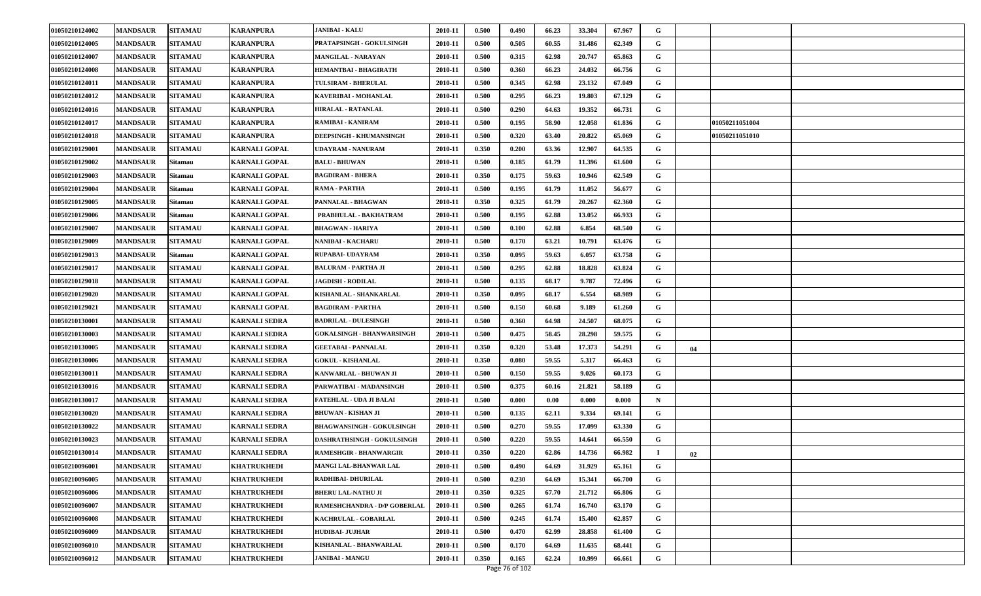| 01050210124002 | <b>MANDSAUR</b> | <b>SITAMAU</b> | <b>KARANPURA</b>     | <b>JANIBAI - KALU</b>               | 2010-11 | 0.500 | 0.490 | 66.23 | 33.304 | 67.967 | G           |    |                       |  |
|----------------|-----------------|----------------|----------------------|-------------------------------------|---------|-------|-------|-------|--------|--------|-------------|----|-----------------------|--|
| 01050210124005 | <b>MANDSAUR</b> | <b>SITAMAU</b> | <b>KARANPURA</b>     | PRATAPSINGH - GOKULSINGH            | 2010-11 | 0.500 | 0.505 | 60.55 | 31.486 | 62.349 | G           |    |                       |  |
| 01050210124007 | <b>MANDSAUR</b> | <b>SITAMAU</b> | <b>KARANPURA</b>     | <b>MANGILAL - NARAYAN</b>           | 2010-11 | 0.500 | 0.315 | 62.98 | 20.747 | 65.863 | G           |    |                       |  |
| 01050210124008 | <b>MANDSAUR</b> | <b>SITAMAU</b> | <b>KARANPURA</b>     | HEMANTBAI - BHAGIRATH               | 2010-11 | 0.500 | 0.360 | 66.23 | 24.032 | 66.756 | G           |    |                       |  |
| 01050210124011 | <b>MANDSAUR</b> | <b>SITAMAU</b> | <b>KARANPURA</b>     | TULSIRAM - BHERULAL                 | 2010-11 | 0.500 | 0.345 | 62.98 | 23.132 | 67.049 | G           |    |                       |  |
| 01050210124012 | <b>MANDSAUR</b> | <b>SITAMAU</b> | <b>KARANPURA</b>     | KAVERIBAI - MOHANLAL                | 2010-11 | 0.500 | 0.295 | 66.23 | 19.803 | 67.129 | G           |    |                       |  |
| 01050210124016 | <b>MANDSAUR</b> | <b>SITAMAU</b> | <b>KARANPURA</b>     | HIRALAL - RATANLAL                  | 2010-11 | 0.500 | 0.290 | 64.63 | 19.352 | 66.731 | G           |    |                       |  |
| 01050210124017 | <b>MANDSAUR</b> | <b>SITAMAU</b> | <b>KARANPURA</b>     | RAMIBAI - KANIRAM                   | 2010-11 | 0.500 | 0.195 | 58.90 | 12.058 | 61.836 | G           |    | <b>01050211051004</b> |  |
| 01050210124018 | <b>MANDSAUR</b> | <b>SITAMAU</b> | <b>KARANPURA</b>     | DEEPSINGH - KHUMANSINGH             | 2010-11 | 0.500 | 0.320 | 63.40 | 20.822 | 65.069 | G           |    | 01050211051010        |  |
| 01050210129001 | <b>MANDSAUR</b> | <b>SITAMAU</b> | <b>KARNALI GOPAL</b> | UDAYRAM - NANURAM                   | 2010-11 | 0.350 | 0.200 | 63.36 | 12.907 | 64.535 | G           |    |                       |  |
| 01050210129002 | <b>MANDSAUR</b> | Sitamau        | <b>KARNALI GOPAL</b> | <b>BALU - BHUWAN</b>                | 2010-11 | 0.500 | 0.185 | 61.79 | 11.396 | 61.600 | G           |    |                       |  |
| 01050210129003 | <b>MANDSAUR</b> | Sitamau        | KARNALI GOPAL        | <b>BAGDIRAM - BHERA</b>             | 2010-11 | 0.350 | 0.175 | 59.63 | 10.946 | 62.549 | G           |    |                       |  |
| 01050210129004 | <b>MANDSAUR</b> | Sitamau        | <b>KARNALI GOPAL</b> | RAMA - PARTHA                       | 2010-11 | 0.500 | 0.195 | 61.79 | 11.052 | 56.677 | G           |    |                       |  |
| 01050210129005 | <b>MANDSAUR</b> | <b>Sitamau</b> | <b>KARNALI GOPAL</b> | PANNALAL - BHAGWAN                  | 2010-11 | 0.350 | 0.325 | 61.79 | 20.267 | 62.360 | G           |    |                       |  |
| 01050210129006 | <b>MANDSAUR</b> | Sitamau        | <b>KARNALI GOPAL</b> | PRABHULAL - BAKHATRAM               | 2010-11 | 0.500 | 0.195 | 62.88 | 13.052 | 66.933 | G           |    |                       |  |
| 01050210129007 | <b>MANDSAUR</b> | <b>SITAMAU</b> | <b>KARNALI GOPAL</b> | <b>BHAGWAN - HARIYA</b>             | 2010-11 | 0.500 | 0.100 | 62.88 | 6.854  | 68.540 | G           |    |                       |  |
| 01050210129009 | <b>MANDSAUR</b> | <b>SITAMAU</b> | <b>KARNALI GOPAL</b> | <b>NANIBAI - KACHARU</b>            | 2010-11 | 0.500 | 0.170 | 63.21 | 10.791 | 63.476 | G           |    |                       |  |
| 01050210129013 | <b>MANDSAUR</b> | Sitamau        | <b>KARNALI GOPAL</b> | <b>RUPABAI- UDAYRAM</b>             | 2010-11 | 0.350 | 0.095 | 59.63 | 6.057  | 63.758 | G           |    |                       |  |
| 01050210129017 | <b>MANDSAUR</b> | <b>SITAMAU</b> | <b>KARNALI GOPAL</b> | <b>BALURAM - PARTHA JI</b>          | 2010-11 | 0.500 | 0.295 | 62.88 | 18.828 | 63.824 | G           |    |                       |  |
| 01050210129018 | <b>MANDSAUR</b> | <b>SITAMAU</b> | <b>KARNALI GOPAL</b> | <b>JAGDISH - RODILAL</b>            | 2010-11 | 0.500 | 0.135 | 68.17 | 9.787  | 72.496 | G           |    |                       |  |
| 01050210129020 | <b>MANDSAUR</b> | <b>SITAMAU</b> | <b>KARNALI GOPAL</b> | KISHANLAL - SHANKARLAL              | 2010-11 | 0.350 | 0.095 | 68.17 | 6.554  | 68.989 | G           |    |                       |  |
| 01050210129021 | <b>MANDSAUR</b> | <b>SITAMAU</b> | <b>KARNALI GOPAL</b> | <b>BAGDIRAM - PARTHA</b>            | 2010-11 | 0.500 | 0.150 | 60.68 | 9.189  | 61.260 | G           |    |                       |  |
| 01050210130001 | <b>MANDSAUR</b> | <b>SITAMAU</b> | <b>KARNALI SEDRA</b> | <b>BADRILAL - DULESINGH</b>         | 2010-11 | 0.500 | 0.360 | 64.98 | 24.507 | 68.075 | G           |    |                       |  |
| 01050210130003 | <b>MANDSAUR</b> | <b>SITAMAU</b> | <b>KARNALI SEDRA</b> | <b>GOKALSINGH - BHANWARSINGH</b>    | 2010-11 | 0.500 | 0.475 | 58.45 | 28.298 | 59.575 | G           |    |                       |  |
| 01050210130005 | <b>MANDSAUR</b> | <b>SITAMAU</b> | <b>KARNALI SEDRA</b> | <b>GEETABAI - PANNALAL</b>          | 2010-11 | 0.350 | 0.320 | 53.48 | 17.373 | 54.291 | G           | 04 |                       |  |
| 01050210130006 | <b>MANDSAUR</b> | <b>SITAMAU</b> | <b>KARNALI SEDRA</b> | <b>GOKUL - KISHANLAL</b>            | 2010-11 | 0.350 | 0.080 | 59.55 | 5.317  | 66.463 | G           |    |                       |  |
| 01050210130011 | <b>MANDSAUR</b> | <b>SITAMAU</b> | KARNALI SEDRA        | KANWARLAL - BHUWAN JI               | 2010-11 | 0.500 | 0.150 | 59.55 | 9.026  | 60.173 | G           |    |                       |  |
| 01050210130016 | <b>MANDSAUR</b> | <b>SITAMAU</b> | <b>KARNALI SEDRA</b> | PARWATIBAI - MADANSINGH             | 2010-11 | 0.500 | 0.375 | 60.16 | 21.821 | 58.189 | G           |    |                       |  |
| 01050210130017 | <b>MANDSAUR</b> | <b>SITAMAU</b> | <b>KARNALI SEDRA</b> | FATEHLAL - UDA JI BALAI             | 2010-11 | 0.500 | 0.000 | 0.00  | 0.000  | 0.000  | $\mathbf N$ |    |                       |  |
| 01050210130020 | <b>MANDSAUR</b> | <b>SITAMAU</b> | <b>KARNALI SEDRA</b> | <b>BHUWAN - KISHAN JI</b>           | 2010-11 | 0.500 | 0.135 | 62.11 | 9.334  | 69.141 | G           |    |                       |  |
| 01050210130022 | <b>MANDSAUR</b> | <b>SITAMAU</b> | <b>KARNALI SEDRA</b> | <b>BHAGWANSINGH - GOKULSINGH</b>    | 2010-11 | 0.500 | 0.270 | 59.55 | 17.099 | 63.330 | G           |    |                       |  |
| 01050210130023 | <b>MANDSAUR</b> | <b>SITAMAU</b> | <b>KARNALI SEDRA</b> | DASHRATHSINGH - GOKULSINGH          | 2010-11 | 0.500 | 0.220 | 59.55 | 14.641 | 66.550 | G           |    |                       |  |
| 01050210130014 | <b>MANDSAUR</b> | <b>SITAMAU</b> | <b>KARNALI SEDRA</b> | <b>RAMESHGIR - BHANWARGIR</b>       | 2010-11 | 0.350 | 0.220 | 62.86 | 14.736 | 66.982 | Ι.          | 02 |                       |  |
| 01050210096001 | <b>MANDSAUR</b> | <b>SITAMAU</b> | <b>KHATRUKHEDI</b>   | <b>MANGI LAL-BHANWAR LAL</b>        | 2010-11 | 0.500 | 0.490 | 64.69 | 31.929 | 65.161 | G           |    |                       |  |
| 01050210096005 | <b>MANDSAUR</b> | <b>SITAMAU</b> | <b>KHATRUKHEDI</b>   | RADHIBAI- DHURILAL                  | 2010-11 | 0.500 | 0.230 | 64.69 | 15.341 | 66.700 | G           |    |                       |  |
| 01050210096006 | <b>MANDSAUR</b> | <b>SITAMAU</b> | <b>KHATRUKHEDI</b>   | <b>BHERU LAL-NATHU JI</b>           | 2010-11 | 0.350 | 0.325 | 67.70 | 21.712 | 66.806 | $\mathbf G$ |    |                       |  |
| 01050210096007 | <b>MANDSAUR</b> | <b>SITAMAU</b> | <b>KHATRUKHEDI</b>   | <b>RAMESHCHANDRA - D/P GOBERLAL</b> | 2010-11 | 0.500 | 0.265 | 61.74 | 16.740 | 63.170 | G           |    |                       |  |
| 01050210096008 | <b>MANDSAUR</b> | <b>SITAMAU</b> | <b>KHATRUKHEDI</b>   | KACHRULAL - GOBARLAL                | 2010-11 | 0.500 | 0.245 | 61.74 | 15.400 | 62.857 | G           |    |                       |  |
| 01050210096009 | <b>MANDSAUR</b> | <b>SITAMAU</b> | <b>KHATRUKHEDI</b>   | <b>HUDIBAI- JUJHAR</b>              | 2010-11 | 0.500 | 0.470 | 62.99 | 28.858 | 61.400 | G           |    |                       |  |
| 01050210096010 | <b>MANDSAUR</b> | <b>SITAMAU</b> | <b>KHATRUKHEDI</b>   | KISHANLAL - BHANWARLAL              | 2010-11 | 0.500 | 0.170 | 64.69 | 11.635 | 68.441 | G           |    |                       |  |
| 01050210096012 | <b>MANDSAUR</b> | <b>SITAMAU</b> | <b>KHATRUKHEDI</b>   | <b>JANIBAI - MANGU</b>              | 2010-11 | 0.350 | 0.165 | 62.24 | 10.999 | 66.661 | G           |    |                       |  |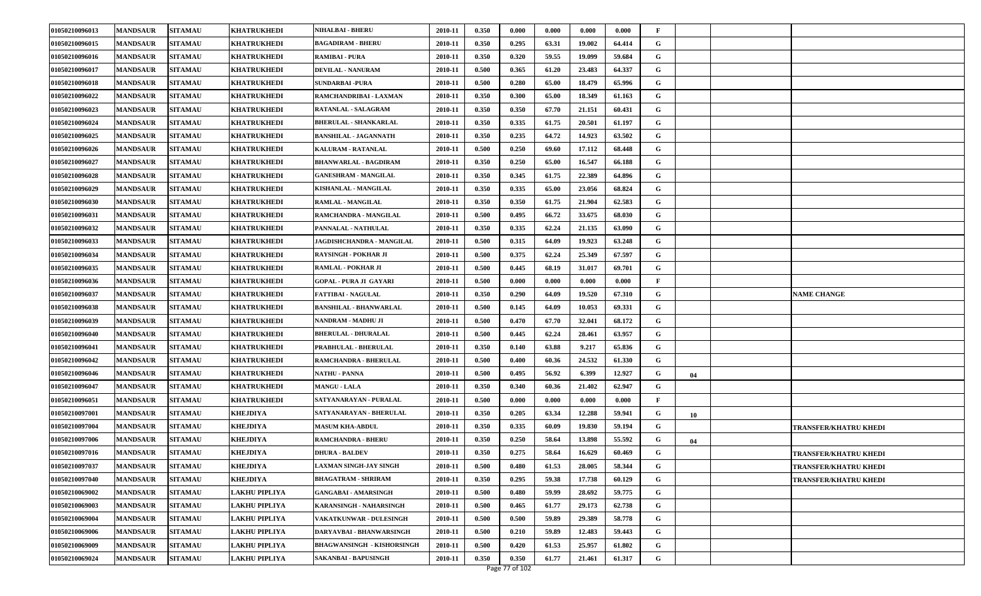| 01050210096013 | <b>MANDSAUR</b> | <b>SITAMAU</b> | KHATRUKHEDI          | <b>NIHALBAI - BHERU</b>           | 2010-11 | 0.350 | 0.000 | 0.000 | 0.000  | 0.000  | F            |    |                       |
|----------------|-----------------|----------------|----------------------|-----------------------------------|---------|-------|-------|-------|--------|--------|--------------|----|-----------------------|
| 01050210096015 | <b>MANDSAUR</b> | <b>SITAMAU</b> | <b>KHATRUKHEDI</b>   | <b>BAGADIRAM - BHERU</b>          | 2010-11 | 0.350 | 0.295 | 63.31 | 19.002 | 64.414 | G            |    |                       |
| 01050210096016 | <b>MANDSAUR</b> | <b>SITAMAU</b> | KHATRUKHEDI          | <b>RAMIBAI - PURA</b>             | 2010-11 | 0.350 | 0.320 | 59.55 | 19.099 | 59.684 | G            |    |                       |
| 01050210096017 | <b>MANDSAUR</b> | <b>SITAMAU</b> | KHATRUKHEDI          | <b>DEVILAL - NANURAM</b>          | 2010-11 | 0.500 | 0.365 | 61.20 | 23.483 | 64.337 | G            |    |                       |
| 01050210096018 | <b>MANDSAUR</b> | <b>SITAMAU</b> | KHATRUKHEDI          | <b>SUNDARBAI-PURA</b>             | 2010-11 | 0.500 | 0.280 | 65.00 | 18.479 | 65.996 | G            |    |                       |
| 01050210096022 | <b>MANDSAUR</b> | <b>SITAMAU</b> | <b>KHATRUKHEDI</b>   | RAMCHANDRIBAI - LAXMAN            | 2010-11 | 0.350 | 0.300 | 65.00 | 18.349 | 61.163 | G            |    |                       |
| 01050210096023 | <b>MANDSAUR</b> | <b>SITAMAU</b> | <b>KHATRUKHEDI</b>   | RATANLAL - SALAGRAM               | 2010-11 | 0.350 | 0.350 | 67.70 | 21.151 | 60.431 | G            |    |                       |
| 01050210096024 | <b>MANDSAUR</b> | <b>SITAMAU</b> | KHATRUKHEDI          | <b>BHERULAL - SHANKARLAL</b>      | 2010-11 | 0.350 | 0.335 | 61.75 | 20.501 | 61.197 | G            |    |                       |
| 01050210096025 | <b>MANDSAUR</b> | <b>SITAMAU</b> | <b>KHATRUKHEDI</b>   | <b>BANSHILAL - JAGANNATH</b>      | 2010-11 | 0.350 | 0.235 | 64.72 | 14.923 | 63.502 | G            |    |                       |
| 01050210096026 | <b>MANDSAUR</b> | <b>SITAMAU</b> | <b>KHATRUKHEDI</b>   | KALURAM - RATANLAL                | 2010-11 | 0.500 | 0.250 | 69.60 | 17.112 | 68.448 | G            |    |                       |
| 01050210096027 | <b>MANDSAUR</b> | <b>SITAMAU</b> | <b>KHATRUKHEDI</b>   | <b>BHANWARLAL - BAGDIRAM</b>      | 2010-11 | 0.350 | 0.250 | 65.00 | 16.547 | 66.188 | G            |    |                       |
| 01050210096028 | <b>MANDSAUR</b> | <b>SITAMAU</b> | KHATRUKHEDI          | <b>GANESHRAM - MANGILAL</b>       | 2010-11 | 0.350 | 0.345 | 61.75 | 22.389 | 64.896 | G            |    |                       |
| 01050210096029 | <b>MANDSAUR</b> | <b>SITAMAU</b> | <b>KHATRUKHEDI</b>   | KISHANLAL - MANGILAL              | 2010-11 | 0.350 | 0.335 | 65.00 | 23.056 | 68.824 | G            |    |                       |
| 01050210096030 | <b>MANDSAUR</b> | <b>SITAMAU</b> | <b>KHATRUKHEDI</b>   | RAMLAL - MANGILAL                 | 2010-11 | 0.350 | 0.350 | 61.75 | 21.904 | 62.583 | G            |    |                       |
| 01050210096031 | <b>MANDSAUR</b> | <b>SITAMAU</b> | KHATRUKHEDI          | RAMCHANDRA - MANGILAL             | 2010-11 | 0.500 | 0.495 | 66.72 | 33.675 | 68.030 | G            |    |                       |
| 01050210096032 | <b>MANDSAUR</b> | <b>SITAMAU</b> | <b>KHATRUKHEDI</b>   | PANNALAL - NATHULAL               | 2010-11 | 0.350 | 0.335 | 62.24 | 21.135 | 63.090 | G            |    |                       |
| 01050210096033 | <b>MANDSAUR</b> | <b>SITAMAU</b> | <b>KHATRUKHEDI</b>   | <b>JAGDISHCHANDRA - MANGILAL</b>  | 2010-11 | 0.500 | 0.315 | 64.09 | 19.923 | 63.248 | G            |    |                       |
| 01050210096034 | <b>MANDSAUR</b> | <b>SITAMAU</b> | <b>KHATRUKHEDI</b>   | <b>RAYSINGH - POKHAR JI</b>       | 2010-11 | 0.500 | 0.375 | 62.24 | 25.349 | 67.597 | G            |    |                       |
| 01050210096035 | <b>MANDSAUR</b> | <b>SITAMAU</b> | <b>KHATRUKHEDI</b>   | <b>RAMLAL - POKHAR JI</b>         | 2010-11 | 0.500 | 0.445 | 68.19 | 31.017 | 69.701 | G            |    |                       |
| 01050210096036 | <b>MANDSAUR</b> | <b>SITAMAU</b> | KHATRUKHEDI          | <b>GOPAL - PURA JI GAYARI</b>     | 2010-11 | 0.500 | 0.000 | 0.000 | 0.000  | 0.000  | $\mathbf{F}$ |    |                       |
| 01050210096037 | <b>MANDSAUR</b> | <b>SITAMAU</b> | <b>KHATRUKHEDI</b>   | <b>FATTIBAI - NAGULAL</b>         | 2010-11 | 0.350 | 0.290 | 64.09 | 19.520 | 67.310 | G            |    | <b>NAME CHANGE</b>    |
| 01050210096038 | <b>MANDSAUR</b> | <b>SITAMAU</b> | <b>KHATRUKHEDI</b>   | <b>BANSHILAL - BHANWARLAL</b>     | 2010-11 | 0.500 | 0.145 | 64.09 | 10.053 | 69.331 | G            |    |                       |
| 01050210096039 | <b>MANDSAUR</b> | <b>SITAMAU</b> | KHATRUKHEDI          | NANDRAM - MADHU JI                | 2010-11 | 0.500 | 0.470 | 67.70 | 32.041 | 68.172 | G            |    |                       |
| 01050210096040 | <b>MANDSAUR</b> | <b>SITAMAU</b> | <b>KHATRUKHEDI</b>   | <b>BHERULAL - DHURALAL</b>        | 2010-11 | 0.500 | 0.445 | 62.24 | 28.461 | 63.957 | G            |    |                       |
| 01050210096041 | <b>MANDSAUR</b> | <b>SITAMAU</b> | <b>KHATRUKHEDI</b>   | PRABHULAL - BHERULAL              | 2010-11 | 0.350 | 0.140 | 63.88 | 9.217  | 65.836 | G            |    |                       |
| 01050210096042 | <b>MANDSAUR</b> | <b>SITAMAU</b> | <b>KHATRUKHEDI</b>   | RAMCHANDRA - BHERULAL             | 2010-11 | 0.500 | 0.400 | 60.36 | 24.532 | 61.330 | G            |    |                       |
| 01050210096046 | <b>MANDSAUR</b> | <b>SITAMAU</b> | KHATRUKHEDI          | NATHU - PANNA                     | 2010-11 | 0.500 | 0.495 | 56.92 | 6.399  | 12.927 | G            | 04 |                       |
| 01050210096047 | <b>MANDSAUR</b> | <b>SITAMAU</b> | KHATRUKHEDI          | <b>MANGU - LALA</b>               | 2010-11 | 0.350 | 0.340 | 60.36 | 21.402 | 62.947 | G            |    |                       |
| 01050210096051 | <b>MANDSAUR</b> | <b>SITAMAU</b> | <b>KHATRUKHEDI</b>   | SATYANARAYAN - PURALAL            | 2010-11 | 0.500 | 0.000 | 0.000 | 0.000  | 0.000  | F            |    |                       |
| 01050210097001 | <b>MANDSAUR</b> | <b>SITAMAU</b> | <b>KHEJDIYA</b>      | SATYANARAYAN - BHERULAL           | 2010-11 | 0.350 | 0.205 | 63.34 | 12.288 | 59.941 | G            | 10 |                       |
| 01050210097004 | <b>MANDSAUR</b> | <b>SITAMAU</b> | <b>KHEJDIYA</b>      | <b>MASUM KHA-ABDUL</b>            | 2010-11 | 0.350 | 0.335 | 60.09 | 19.830 | 59.194 | G            |    | TRANSFER/KHATRU KHEDI |
| 01050210097006 | <b>MANDSAUR</b> | <b>SITAMAU</b> | <b>KHEJDIYA</b>      | <b>RAMCHANDRA - BHERU</b>         | 2010-11 | 0.350 | 0.250 | 58.64 | 13.898 | 55.592 | G            | 04 |                       |
| 01050210097016 | <b>MANDSAUR</b> | <b>SITAMAU</b> | <b>KHEJDIYA</b>      | <b>DHURA - BALDEV</b>             | 2010-11 | 0.350 | 0.275 | 58.64 | 16.629 | 60.469 | G            |    | TRANSFER/KHATRU KHEDI |
| 01050210097037 | <b>MANDSAUR</b> | <b>SITAMAU</b> | <b>KHEJDIYA</b>      | <b>LAXMAN SINGH-JAY SINGH</b>     | 2010-11 | 0.500 | 0.480 | 61.53 | 28.005 | 58.344 | G            |    | TRANSFER/KHATRU KHEDI |
| 01050210097040 | <b>MANDSAUR</b> | <b>SITAMAU</b> | KHEJDIYA             | <b>BHAGATRAM - SHRIRAM</b>        | 2010-11 | 0.350 | 0.295 | 59.38 | 17.738 | 60.129 | G            |    | TRANSFER/KHATRU KHEDI |
| 01050210069002 | <b>MANDSAUR</b> | <b>SITAMAU</b> | LAKHU PIPLIYA        | <b>GANGABAI - AMARSINGH</b>       | 2010-11 | 0.500 | 0.480 | 59.99 | 28.692 | 59.775 | G            |    |                       |
| 01050210069003 | <b>MANDSAUR</b> | <b>SITAMAU</b> | <b>LAKHU PIPLIYA</b> | <b>KARANSINGH - NAHARSINGH</b>    | 2010-11 | 0.500 | 0.465 | 61.77 | 29.173 | 62.738 | G            |    |                       |
| 01050210069004 | <b>MANDSAUR</b> | <b>SITAMAU</b> | LAKHU PIPLIYA        | VAKATKUNWAR - DULESINGH           | 2010-11 | 0.500 | 0.500 | 59.89 | 29.389 | 58.778 | G            |    |                       |
| 01050210069006 | <b>MANDSAUR</b> | <b>SITAMAU</b> | LAKHU PIPLIYA        | DARYAVBAI - BHANWARSINGH          | 2010-11 | 0.500 | 0.210 | 59.89 | 12.483 | 59.443 | G            |    |                       |
| 01050210069009 | <b>MANDSAUR</b> | <b>SITAMAU</b> | LAKHU PIPLIYA        | <b>BHAGWANSINGH - KISHORSINGH</b> | 2010-11 | 0.500 | 0.420 | 61.53 | 25.957 | 61.802 | G            |    |                       |
| 01050210069024 | <b>MANDSAUR</b> | <b>SITAMAU</b> | <b>LAKHU PIPLIYA</b> | SAKANBAI - BAPUSINGH              | 2010-11 | 0.350 | 0.350 | 61.77 | 21.461 | 61.317 | G            |    |                       |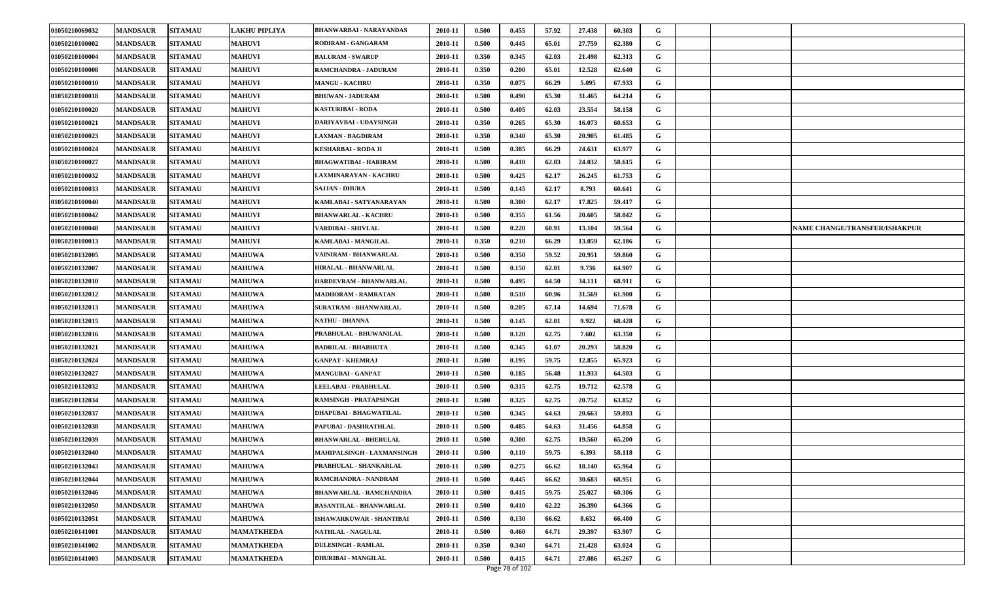| 01050210069032 | <b>MANDSAUR</b> | <b>SITAMAU</b> | <b>LAKHU PIPLIYA</b> | <b>BHANWARBAI - NARAYANDAS</b> | 2010-11 | 0.500 | 0.455 | 57.92 | 27.438 | 60.303 | G |  |                               |
|----------------|-----------------|----------------|----------------------|--------------------------------|---------|-------|-------|-------|--------|--------|---|--|-------------------------------|
| 01050210100002 | <b>MANDSAUR</b> | <b>SITAMAU</b> | <b>MAHUVI</b>        | RODIRAM - GANGARAM             | 2010-11 | 0.500 | 0.445 | 65.01 | 27.759 | 62.380 | G |  |                               |
| 01050210100004 | <b>MANDSAUR</b> | <b>SITAMAU</b> | <b>MAHUVI</b>        | <b>BALURAM - SWARUP</b>        | 2010-11 | 0.350 | 0.345 | 62.03 | 21.498 | 62.313 | G |  |                               |
| 01050210100008 | <b>MANDSAUR</b> | <b>SITAMAU</b> | <b>MAHUVI</b>        | RAMCHANDRA - JADURAM           | 2010-11 | 0.350 | 0.200 | 65.01 | 12.528 | 62.640 | G |  |                               |
| 01050210100010 | <b>MANDSAUR</b> | <b>SITAMAU</b> | <b>MAHUVI</b>        | <b>MANGU - KACHRU</b>          | 2010-11 | 0.350 | 0.075 | 66.29 | 5.095  | 67.933 | G |  |                               |
| 01050210100018 | <b>MANDSAUR</b> | <b>SITAMAU</b> | <b>MAHUVI</b>        | <b>BHUWAN - JADURAM</b>        | 2010-11 | 0.500 | 0.490 | 65.30 | 31.465 | 64.214 | G |  |                               |
| 01050210100020 | <b>MANDSAUR</b> | <b>SITAMAU</b> | <b>MAHUVI</b>        | <b>KASTURIBAI - RODA</b>       | 2010-11 | 0.500 | 0.405 | 62.03 | 23.554 | 58.158 | G |  |                               |
| 01050210100021 | <b>MANDSAUR</b> | <b>SITAMAU</b> | <b>MAHUVI</b>        | DARIYAVBAI - UDAYSINGH         | 2010-11 | 0.350 | 0.265 | 65.30 | 16.073 | 60.653 | G |  |                               |
| 01050210100023 | <b>MANDSAUR</b> | <b>SITAMAU</b> | <b>MAHUVI</b>        | LAXMAN - BAGDIRAM              | 2010-11 | 0.350 | 0.340 | 65.30 | 20.905 | 61.485 | G |  |                               |
| 01050210100024 | <b>MANDSAUR</b> | <b>SITAMAU</b> | <b>MAHUVI</b>        | KESHARBAI - RODA JI            | 2010-11 | 0.500 | 0.385 | 66.29 | 24.631 | 63.977 | G |  |                               |
| 01050210100027 | <b>MANDSAUR</b> | <b>SITAMAU</b> | <b>MAHUVI</b>        | BHAGWATIBAI - HARIRAM          | 2010-11 | 0.500 | 0.410 | 62.03 | 24.032 | 58.615 | G |  |                               |
| 01050210100032 | <b>MANDSAUR</b> | <b>SITAMAU</b> | <b>MAHUVI</b>        | LAXMINARAYAN - KACHRU          | 2010-11 | 0.500 | 0.425 | 62.17 | 26.245 | 61.753 | G |  |                               |
| 01050210100033 | <b>MANDSAUR</b> | <b>SITAMAU</b> | <b>MAHUVI</b>        | <b>SAJJAN - DHURA</b>          | 2010-11 | 0.500 | 0.145 | 62.17 | 8.793  | 60.641 | G |  |                               |
| 01050210100040 | <b>MANDSAUR</b> | <b>SITAMAU</b> | <b>MAHUVI</b>        | KAMLABAI - SATYANARAYAN        | 2010-11 | 0.500 | 0.300 | 62.17 | 17.825 | 59.417 | G |  |                               |
| 01050210100042 | <b>MANDSAUR</b> | <b>SITAMAU</b> | <b>MAHUVI</b>        | <b>BHANWARLAL - KACHRU</b>     | 2010-11 | 0.500 | 0.355 | 61.56 | 20.605 | 58.042 | G |  |                               |
| 01050210100048 | <b>MANDSAUR</b> | <b>SITAMAU</b> | <b>MAHUVI</b>        | VARDIBAI - SHIVLAL             | 2010-11 | 0.500 | 0.220 | 60.91 | 13.104 | 59.564 | G |  | NAME CHANGE/TRANSFER/ISHAKPUR |
| 01050210100013 | <b>MANDSAUR</b> | <b>SITAMAU</b> | <b>MAHUVI</b>        | KAMLABAI - MANGILAL            | 2010-11 | 0.350 | 0.210 | 66.29 | 13.059 | 62.186 | G |  |                               |
| 01050210132005 | <b>MANDSAUR</b> | <b>SITAMAU</b> | <b>MAHUWA</b>        | VAINIRAM - BHANWARLAL          | 2010-11 | 0.500 | 0.350 | 59.52 | 20.951 | 59.860 | G |  |                               |
| 01050210132007 | <b>MANDSAUR</b> | <b>SITAMAU</b> | <b>MAHUWA</b>        | HIRALAL - BHANWARLAL           | 2010-11 | 0.500 | 0.150 | 62.01 | 9.736  | 64.907 | G |  |                               |
| 01050210132010 | <b>MANDSAUR</b> | <b>SITAMAU</b> | <b>MAHUWA</b>        | HARDEVRAM - BHANWARLAL         | 2010-11 | 0.500 | 0.495 | 64.50 | 34.111 | 68.911 | G |  |                               |
| 01050210132012 | <b>MANDSAUR</b> | <b>SITAMAU</b> | <b>MAHUWA</b>        | <b>MADHORAM - RAMRATAN</b>     | 2010-11 | 0.500 | 0.510 | 60.96 | 31.569 | 61.900 | G |  |                               |
| 01050210132013 | <b>MANDSAUR</b> | <b>SITAMAU</b> | <b>MAHUWA</b>        | <b>SURATRAM - BHANWARLAL</b>   | 2010-11 | 0.500 | 0.205 | 67.14 | 14.694 | 71.678 | G |  |                               |
| 01050210132015 | <b>MANDSAUR</b> | <b>SITAMAU</b> | <b>MAHUWA</b>        | NATHU - DHANNA                 | 2010-11 | 0.500 | 0.145 | 62.01 | 9.922  | 68.428 | G |  |                               |
| 01050210132016 | <b>MANDSAUR</b> | <b>SITAMAU</b> | <b>MAHUWA</b>        | PRABHULAL - BHUWANILAL         | 2010-11 | 0.500 | 0.120 | 62.75 | 7.602  | 63.350 | G |  |                               |
| 01050210132021 | <b>MANDSAUR</b> | <b>SITAMAU</b> | <b>MAHUWA</b>        | <b>BADRILAL - BHABHUTA</b>     | 2010-11 | 0.500 | 0.345 | 61.07 | 20.293 | 58.820 | G |  |                               |
| 01050210132024 | <b>MANDSAUR</b> | <b>SITAMAU</b> | <b>MAHUWA</b>        | <b>GANPAT - KHEMRAJ</b>        | 2010-11 | 0.500 | 0.195 | 59.75 | 12.855 | 65.923 | G |  |                               |
| 01050210132027 | <b>MANDSAUR</b> | <b>SITAMAU</b> | <b>MAHUWA</b>        | <b>MANGUBAI - GANPAT</b>       | 2010-11 | 0.500 | 0.185 | 56.48 | 11.933 | 64.503 | G |  |                               |
| 01050210132032 | <b>MANDSAUR</b> | <b>SITAMAU</b> | <b>MAHUWA</b>        | LEELABAI - PRABHULAL           | 2010-11 | 0.500 | 0.315 | 62.75 | 19.712 | 62.578 | G |  |                               |
| 01050210132034 | <b>MANDSAUR</b> | <b>SITAMAU</b> | <b>MAHUWA</b>        | <b>RAMSINGH - PRATAPSINGH</b>  | 2010-11 | 0.500 | 0.325 | 62.75 | 20.752 | 63.852 | G |  |                               |
| 01050210132037 | <b>MANDSAUR</b> | <b>SITAMAU</b> | <b>MAHUWA</b>        | <b>DHAPUBAI - BHAGWATILAL</b>  | 2010-11 | 0.500 | 0.345 | 64.63 | 20.663 | 59.893 | G |  |                               |
| 01050210132038 | <b>MANDSAUR</b> | <b>SITAMAU</b> | <b>MAHUWA</b>        | PAPUBAI - DASHRATHLAL          | 2010-11 | 0.500 | 0.485 | 64.63 | 31.456 | 64.858 | G |  |                               |
| 01050210132039 | <b>MANDSAUR</b> | <b>SITAMAU</b> | <b>MAHUWA</b>        | <b>BHANWARLAL - BHERULAL</b>   | 2010-11 | 0.500 | 0.300 | 62.75 | 19.560 | 65.200 | G |  |                               |
| 01050210132040 | <b>MANDSAUR</b> | <b>SITAMAU</b> | <b>MAHUWA</b>        | MAHIPALSINGH - LAXMANSINGH     | 2010-11 | 0.500 | 0.110 | 59.75 | 6.393  | 58.118 | G |  |                               |
| 01050210132043 | <b>MANDSAUR</b> | <b>SITAMAU</b> | <b>MAHUWA</b>        | PRABHULAL - SHANKARLAL         | 2010-11 | 0.500 | 0.275 | 66.62 | 18.140 | 65.964 | G |  |                               |
| 01050210132044 | <b>MANDSAUR</b> | <b>SITAMAU</b> | <b>MAHUWA</b>        | RAMCHANDRA - NANDRAM           | 2010-11 | 0.500 | 0.445 | 66.62 | 30.683 | 68.951 | G |  |                               |
| 01050210132046 | <b>MANDSAUR</b> | <b>SITAMAU</b> | <b>MAHUWA</b>        | BHANWARLAL - RAMCHANDRA        | 2010-11 | 0.500 | 0.415 | 59.75 | 25.027 | 60.306 | G |  |                               |
| 01050210132050 | <b>MANDSAUR</b> | <b>SITAMAU</b> | <b>MAHUWA</b>        | <b>BASANTILAL - BHANWARLAL</b> | 2010-11 | 0.500 | 0.410 | 62.22 | 26.390 | 64.366 | G |  |                               |
| 01050210132051 | <b>MANDSAUR</b> | <b>SITAMAU</b> | <b>MAHUWA</b>        | ISHAWARKUWAR - SHANTIBAI       | 2010-11 | 0.500 | 0.130 | 66.62 | 8.632  | 66.400 | G |  |                               |
| 01050210141001 | <b>MANDSAUR</b> | <b>SITAMAU</b> | <b>MAMATKHEDA</b>    | <b>NATHLAL - NAGULAL</b>       | 2010-11 | 0.500 | 0.460 | 64.71 | 29.397 | 63.907 | G |  |                               |
| 01050210141002 | <b>MANDSAUR</b> | <b>SITAMAU</b> | <b>MAMATKHEDA</b>    | <b>DULESINGH - RAMLAL</b>      | 2010-11 | 0.350 | 0.340 | 64.71 | 21.428 | 63.024 | G |  |                               |
| 01050210141003 | <b>MANDSAUR</b> | <b>SITAMAU</b> | <b>MAMATKHEDA</b>    | <b>DHURIBAI - MANGILAL</b>     | 2010-11 | 0.500 | 0.415 | 64.71 | 27.086 | 65.267 | G |  |                               |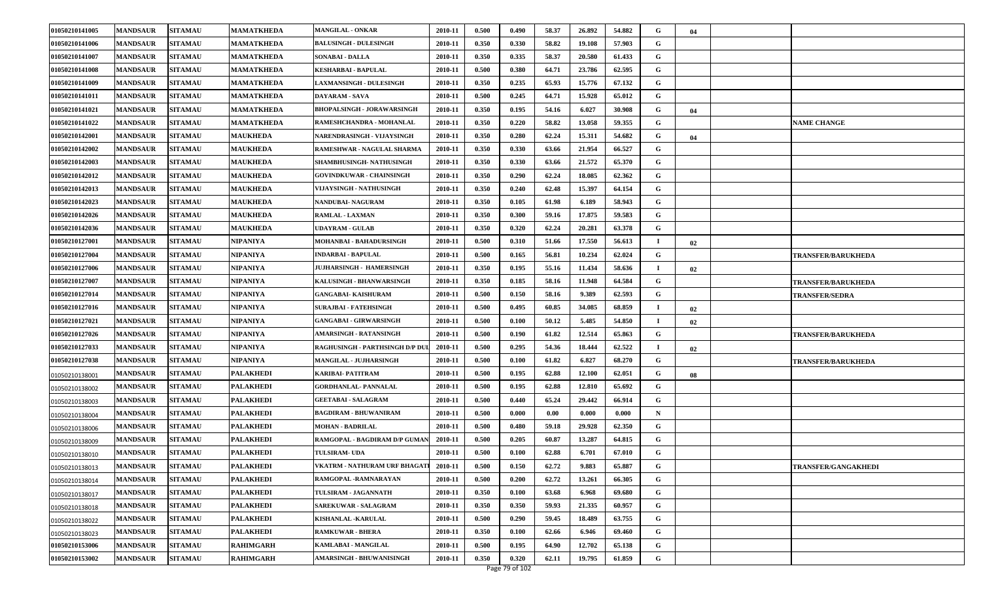| 01050210141005 | <b>MANDSAUR</b> | <b>SITAMAU</b> | <b>MAMATKHEDA</b> | <b>MANGILAL - ONKAR</b>           | 2010-11 | 0.500 | 0.490 | 58.37 | 26.892 | 54.882 | G           | 04 |                            |
|----------------|-----------------|----------------|-------------------|-----------------------------------|---------|-------|-------|-------|--------|--------|-------------|----|----------------------------|
| 01050210141006 | <b>MANDSAUR</b> | <b>SITAMAU</b> | MAMATKHEDA        | <b>BALUSINGH - DULESINGH</b>      | 2010-11 | 0.350 | 0.330 | 58.82 | 19.108 | 57.903 | G           |    |                            |
| 01050210141007 | <b>MANDSAUR</b> | <b>SITAMAU</b> | <b>MAMATKHEDA</b> | <b>SONABAI - DALLA</b>            | 2010-11 | 0.350 | 0.335 | 58.37 | 20.580 | 61.433 | G           |    |                            |
| 01050210141008 | <b>MANDSAUR</b> | <b>SITAMAU</b> | MAMATKHEDA        | KESHARBAI - BAPULAL               | 2010-11 | 0.500 | 0.380 | 64.71 | 23.786 | 62.595 | G           |    |                            |
| 01050210141009 | <b>MANDSAUR</b> | <b>SITAMAU</b> | <b>MAMATKHEDA</b> | <b>LAXMANSINGH - DULESINGH</b>    | 2010-11 | 0.350 | 0.235 | 65.93 | 15.776 | 67.132 | G           |    |                            |
| 01050210141011 | <b>MANDSAUR</b> | <b>SITAMAU</b> | <b>MAMATKHEDA</b> | DAYARAM - SAVA                    | 2010-11 | 0.500 | 0.245 | 64.71 | 15.928 | 65.012 | G           |    |                            |
| 01050210141021 | <b>MANDSAUR</b> | <b>SITAMAU</b> | <b>MAMATKHEDA</b> | <b>BHOPALSINGH - JORAWARSINGH</b> | 2010-11 | 0.350 | 0.195 | 54.16 | 6.027  | 30.908 | G           | 04 |                            |
| 01050210141022 | <b>MANDSAUR</b> | <b>SITAMAU</b> | MAMATKHEDA        | RAMESHCHANDRA - MOHANLAL          | 2010-11 | 0.350 | 0.220 | 58.82 | 13.058 | 59.355 | G           |    | <b>NAME CHANGE</b>         |
| 01050210142001 | <b>MANDSAUR</b> | <b>SITAMAU</b> | <b>MAUKHEDA</b>   | NARENDRASINGH - VIJAYSINGH        | 2010-11 | 0.350 | 0.280 | 62.24 | 15.311 | 54.682 | G           | 04 |                            |
| 01050210142002 | <b>MANDSAUR</b> | <b>SITAMAU</b> | <b>MAUKHEDA</b>   | RAMESHWAR - NAGULAL SHARMA        | 2010-11 | 0.350 | 0.330 | 63.66 | 21.954 | 66.527 | G           |    |                            |
| 01050210142003 | <b>MANDSAUR</b> | <b>SITAMAU</b> | <b>MAUKHEDA</b>   | SHAMBHUSINGH-NATHUSINGH           | 2010-11 | 0.350 | 0.330 | 63.66 | 21.572 | 65.370 | G           |    |                            |
| 01050210142012 | <b>MANDSAUR</b> | <b>SITAMAU</b> | <b>MAUKHEDA</b>   | <b>GOVINDKUWAR - CHAINSINGH</b>   | 2010-11 | 0.350 | 0.290 | 62.24 | 18.085 | 62.362 | G           |    |                            |
| 01050210142013 | <b>MANDSAUR</b> | <b>SITAMAU</b> | <b>MAUKHEDA</b>   | VIJAYSINGH - NATHUSINGH           | 2010-11 | 0.350 | 0.240 | 62.48 | 15.397 | 64.154 | G           |    |                            |
| 01050210142023 | <b>MANDSAUR</b> | <b>SITAMAU</b> | <b>MAUKHEDA</b>   | NANDUBAI- NAGURAM                 | 2010-11 | 0.350 | 0.105 | 61.98 | 6.189  | 58.943 | G           |    |                            |
| 01050210142026 | <b>MANDSAUR</b> | <b>SITAMAU</b> | <b>MAUKHEDA</b>   | RAMLAL - LAXMAN                   | 2010-11 | 0.350 | 0.300 | 59.16 | 17.875 | 59.583 | G           |    |                            |
| 01050210142036 | <b>MANDSAUR</b> | <b>SITAMAU</b> | <b>MAUKHEDA</b>   | UDAYRAM - GULAB                   | 2010-11 | 0.350 | 0.320 | 62.24 | 20.281 | 63.378 | G           |    |                            |
| 01050210127001 | <b>MANDSAUR</b> | <b>SITAMAU</b> | NIPANIYA          | MOHANBAI - BAHADURSINGH           | 2010-11 | 0.500 | 0.310 | 51.66 | 17.550 | 56.613 | $\mathbf I$ | 02 |                            |
| 01050210127004 | <b>MANDSAUR</b> | <b>SITAMAU</b> | NIPANIYA          | <b>INDARBAI - BAPULAL</b>         | 2010-11 | 0.500 | 0.165 | 56.81 | 10.234 | 62.024 | G           |    | <b>TRANSFER/BARUKHEDA</b>  |
| 01050210127006 | <b>MANDSAUR</b> | <b>SITAMAU</b> | NIPANIYA          | JUJHARSINGH - HAMERSINGH          | 2010-11 | 0.350 | 0.195 | 55.16 | 11.434 | 58.636 | $\mathbf I$ | 02 |                            |
| 01050210127007 | <b>MANDSAUR</b> | <b>SITAMAU</b> | NIPANIYA          | KALUSINGH - BHANWARSINGH          | 2010-11 | 0.350 | 0.185 | 58.16 | 11.948 | 64.584 | G           |    | <b>TRANSFER/BARUKHEDA</b>  |
| 01050210127014 | <b>MANDSAUR</b> | <b>SITAMAU</b> | NIPANIYA          | <b>GANGABAI- KAISHURAM</b>        | 2010-11 | 0.500 | 0.150 | 58.16 | 9.389  | 62.593 | G           |    | <b>TRANSFER/SEDRA</b>      |
| 01050210127016 | <b>MANDSAUR</b> | <b>SITAMAU</b> | <b>NIPANIYA</b>   | <b>SURAJBAI - FATEHSINGH</b>      | 2010-11 | 0.500 | 0.495 | 60.85 | 34.085 | 68.859 | -1          | 02 |                            |
| 01050210127021 | <b>MANDSAUR</b> | <b>SITAMAU</b> | NIPANIYA          | <b>GANGABAI - GIRWARSINGH</b>     | 2010-11 | 0.500 | 0.100 | 50.12 | 5.485  | 54.850 | -1          | 02 |                            |
| 01050210127026 | <b>MANDSAUR</b> | <b>SITAMAU</b> | NIPANIYA          | AMARSINGH - RATANSINGH            | 2010-11 | 0.500 | 0.190 | 61.82 | 12.514 | 65.863 | G           |    | <b>TRANSFER/BARUKHEDA</b>  |
| 01050210127033 | <b>MANDSAUR</b> | <b>SITAMAU</b> | NIPANIYA          | RAGHUSINGH - PARTHSINGH D/P DU    | 2010-11 | 0.500 | 0.295 | 54.36 | 18.444 | 62.522 | $\mathbf I$ | 02 |                            |
| 01050210127038 | <b>MANDSAUR</b> | <b>SITAMAU</b> | NIPANIYA          | MANGILAL - JUJHARSINGH            | 2010-11 | 0.500 | 0.100 | 61.82 | 6.827  | 68.270 | G           |    | TRANSFER/BARUKHEDA         |
| 01050210138001 | <b>MANDSAUR</b> | <b>SITAMAU</b> | PALAKHEDI         | KARIBAI- PATITRAM                 | 2010-11 | 0.500 | 0.195 | 62.88 | 12.100 | 62.051 | G           | 08 |                            |
| 01050210138002 | <b>MANDSAUR</b> | <b>SITAMAU</b> | PALAKHEDI         | <b>GORDHANLAL-PANNALAL</b>        | 2010-11 | 0.500 | 0.195 | 62.88 | 12.810 | 65.692 | G           |    |                            |
| 01050210138003 | <b>MANDSAUR</b> | <b>SITAMAU</b> | PALAKHEDI         | <b>GEETABAI - SALAGRAM</b>        | 2010-11 | 0.500 | 0.440 | 65.24 | 29.442 | 66.914 | G           |    |                            |
| 01050210138004 | <b>MANDSAUR</b> | <b>SITAMAU</b> | PALAKHEDI         | <b>BAGDIRAM - BHUWANIRAM</b>      | 2010-11 | 0.500 | 0.000 | 0.00  | 0.000  | 0.000  | $\mathbf N$ |    |                            |
| 01050210138006 | <b>MANDSAUR</b> | <b>SITAMAU</b> | PALAKHEDI         | <b>MOHAN - BADRILAL</b>           | 2010-11 | 0.500 | 0.480 | 59.18 | 29.928 | 62.350 | G           |    |                            |
| 01050210138009 | <b>MANDSAUR</b> | <b>SITAMAU</b> | PALAKHEDI         | RAMGOPAL - BAGDIRAM D/P GUMAN     | 2010-11 | 0.500 | 0.205 | 60.87 | 13.287 | 64.815 | G           |    |                            |
| 01050210138010 | <b>MANDSAUR</b> | <b>SITAMAU</b> | <b>PALAKHEDI</b>  | <b>TULSIRAM- UDA</b>              | 2010-11 | 0.500 | 0.100 | 62.88 | 6.701  | 67.010 | G           |    |                            |
| 01050210138013 | <b>MANDSAUR</b> | <b>SITAMAU</b> | <b>PALAKHEDI</b>  | VKATRM - NATHURAM URF BHAGATI     | 2010-11 | 0.500 | 0.150 | 62.72 | 9.883  | 65.887 | G           |    | <b>TRANSFER/GANGAKHEDI</b> |
| 01050210138014 | <b>MANDSAUR</b> | <b>SITAMAU</b> | PALAKHEDI         | RAMGOPAL - RAMNARAYAN             | 2010-11 | 0.500 | 0.200 | 62.72 | 13.261 | 66.305 | G           |    |                            |
| 01050210138017 | <b>MANDSAUR</b> | <b>SITAMAU</b> | PALAKHEDI         | TULSIRAM - JAGANNATH              | 2010-11 | 0.350 | 0.100 | 63.68 | 6.968  | 69.680 | G           |    |                            |
| 01050210138018 | <b>MANDSAUR</b> | <b>SITAMAU</b> | <b>PALAKHEDI</b>  | SAREKUWAR - SALAGRAM              | 2010-11 | 0.350 | 0.350 | 59.93 | 21.335 | 60.957 | G           |    |                            |
| 01050210138022 | <b>MANDSAUR</b> | <b>SITAMAU</b> | PALAKHEDI         | KISHANLAL -KARULAL                | 2010-11 | 0.500 | 0.290 | 59.45 | 18.489 | 63.755 | G           |    |                            |
| 01050210138023 | <b>MANDSAUR</b> | <b>SITAMAU</b> | PALAKHEDI         | <b>RAMKUWAR - BHERA</b>           | 2010-11 | 0.350 | 0.100 | 62.66 | 6.946  | 69.460 | G           |    |                            |
| 01050210153006 | <b>MANDSAUR</b> | <b>SITAMAU</b> | RAHIMGARH         | KAMLABAI - MANGILAL               | 2010-11 | 0.500 | 0.195 | 64.90 | 12.702 | 65.138 | G           |    |                            |
| 01050210153002 | <b>MANDSAUR</b> | <b>SITAMAU</b> | <b>RAHIMGARH</b>  | AMARSINGH - BHUWANISINGH          | 2010-11 | 0.350 | 0.320 | 62.11 | 19.795 | 61.859 | G           |    |                            |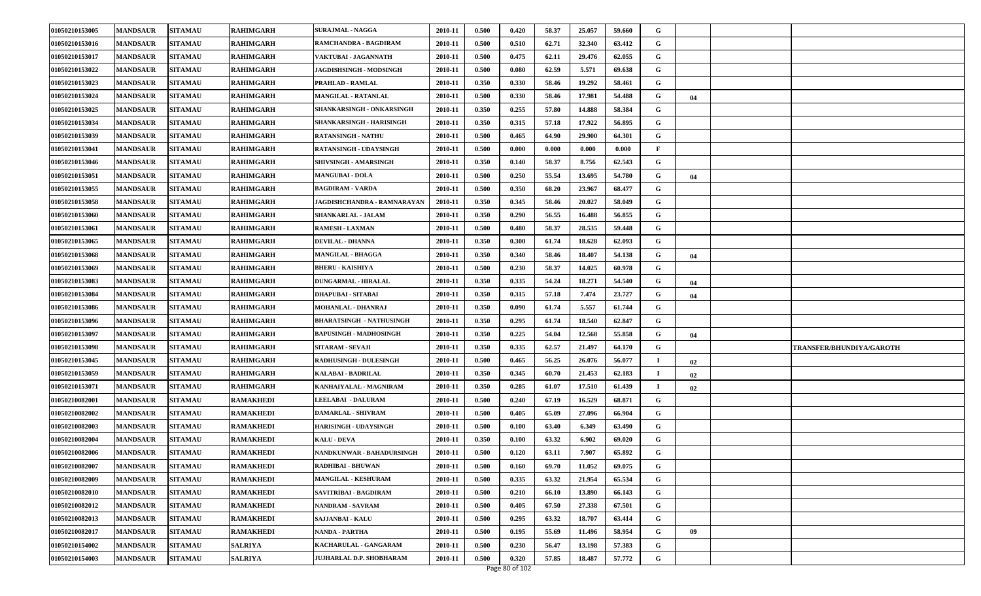| 01050210153005 | <b>MANDSAUR</b> | <b>SITAMAU</b> | <b>RAHIMGARH</b> | <b>SURAJMAL - NAGGA</b>          | 2010-11 | 0.500 | 0.420 | 58.37 | 25.057 | 59.660 | G              |    |                                 |
|----------------|-----------------|----------------|------------------|----------------------------------|---------|-------|-------|-------|--------|--------|----------------|----|---------------------------------|
| 01050210153016 | <b>MANDSAUR</b> | <b>SITAMAU</b> | RAHIMGARH        | RAMCHANDRA - BAGDIRAM            | 2010-11 | 0.500 | 0.510 | 62.71 | 32.340 | 63.412 | G              |    |                                 |
| 01050210153017 | <b>MANDSAUR</b> | <b>SITAMAU</b> | <b>RAHIMGARH</b> | VAKTUBAI - JAGANNATH             | 2010-11 | 0.500 | 0.475 | 62.11 | 29.476 | 62.055 | G              |    |                                 |
| 01050210153022 | <b>MANDSAUR</b> | <b>SITAMAU</b> | RAHIMGARH        | <b>JAGDISHSINGH - MODSINGH</b>   | 2010-11 | 0.500 | 0.080 | 62.59 | 5.571  | 69.638 | G              |    |                                 |
| 01050210153023 | <b>MANDSAUR</b> | <b>SITAMAU</b> | RAHIMGARH        | PRAHLAD - RAMLAL                 | 2010-11 | 0.350 | 0.330 | 58.46 | 19.292 | 58.461 | G              |    |                                 |
| 01050210153024 | <b>MANDSAUR</b> | <b>SITAMAU</b> | RAHIMGARH        | <b>MANGILAL - RATANLAL</b>       | 2010-11 | 0.500 | 0.330 | 58.46 | 17.981 | 54.488 | G              | 04 |                                 |
| 01050210153025 | <b>MANDSAUR</b> | <b>SITAMAU</b> | <b>RAHIMGARH</b> | SHANKARSINGH - ONKARSINGH        | 2010-11 | 0.350 | 0.255 | 57.80 | 14.888 | 58.384 | G              |    |                                 |
| 01050210153034 | <b>MANDSAUR</b> | <b>SITAMAU</b> | RAHIMGARH        | SHANKARSINGH - HARISINGH         | 2010-11 | 0.350 | 0.315 | 57.18 | 17.922 | 56.895 | G              |    |                                 |
| 01050210153039 | <b>MANDSAUR</b> | <b>SITAMAU</b> | RAHIMGARH        | <b>RATANSINGH - NATHU</b>        | 2010-11 | 0.500 | 0.465 | 64.90 | 29.900 | 64.301 | G              |    |                                 |
| 01050210153041 | <b>MANDSAUR</b> | <b>SITAMAU</b> | <b>RAHIMGARH</b> | RATANSINGH - UDAYSINGH           | 2010-11 | 0.500 | 0.000 | 0.000 | 0.000  | 0.000  | F              |    |                                 |
| 01050210153046 | <b>MANDSAUR</b> | <b>SITAMAU</b> | <b>RAHIMGARH</b> | SHIVSINGH - AMARSINGH            | 2010-11 | 0.350 | 0.140 | 58.37 | 8.756  | 62.543 | G              |    |                                 |
| 01050210153051 | <b>MANDSAUR</b> | <b>SITAMAU</b> | <b>RAHIMGARH</b> | <b>MANGUBAI - DOLA</b>           | 2010-11 | 0.500 | 0.250 | 55.54 | 13.695 | 54.780 | G              | 04 |                                 |
| 01050210153055 | <b>MANDSAUR</b> | <b>SITAMAU</b> | RAHIMGARH        | <b>BAGDIRAM - VARDA</b>          | 2010-11 | 0.500 | 0.350 | 68.20 | 23.967 | 68.477 | G              |    |                                 |
| 01050210153058 | <b>MANDSAUR</b> | <b>SITAMAU</b> | RAHIMGARH        | JAGDISHCHANDRA - RAMNARAYAN      | 2010-11 | 0.350 | 0.345 | 58.46 | 20.027 | 58.049 | G              |    |                                 |
| 01050210153060 | <b>MANDSAUR</b> | <b>SITAMAU</b> | <b>RAHIMGARH</b> | SHANKARLAL - JALAM               | 2010-11 | 0.350 | 0.290 | 56.55 | 16.488 | 56.855 | G              |    |                                 |
| 01050210153061 | <b>MANDSAUR</b> | <b>SITAMAU</b> | <b>RAHIMGARH</b> | <b>RAMESH - LAXMAN</b>           | 2010-11 | 0.500 | 0.480 | 58.37 | 28.535 | 59.448 | G              |    |                                 |
| 01050210153065 | <b>MANDSAUR</b> | <b>SITAMAU</b> | RAHIMGARH        | <b>DEVILAL - DHANNA</b>          | 2010-11 | 0.350 | 0.300 | 61.74 | 18.628 | 62.093 | G              |    |                                 |
| 01050210153068 | <b>MANDSAUR</b> | <b>SITAMAU</b> | <b>RAHIMGARH</b> | <b>MANGILAL - BHAGGA</b>         | 2010-11 | 0.350 | 0.340 | 58.46 | 18.407 | 54.138 | G              | 04 |                                 |
| 01050210153069 | <b>MANDSAUR</b> | <b>SITAMAU</b> | <b>RAHIMGARH</b> | <b>BHERU - KAISHIYA</b>          | 2010-11 | 0.500 | 0.230 | 58.37 | 14.025 | 60.978 | G              |    |                                 |
| 01050210153083 | <b>MANDSAUR</b> | <b>SITAMAU</b> | <b>RAHIMGARH</b> | <b>DUNGARMAL - HIRALAL</b>       | 2010-11 | 0.350 | 0.335 | 54.24 | 18.271 | 54.540 | G              | 04 |                                 |
| 01050210153084 | <b>MANDSAUR</b> | <b>SITAMAU</b> | RAHIMGARH        | <b>DHAPUBAI - SITABAI</b>        | 2010-11 | 0.350 | 0.315 | 57.18 | 7.474  | 23.727 | G              | 04 |                                 |
| 01050210153086 | <b>MANDSAUR</b> | <b>SITAMAU</b> | RAHIMGARH        | MOHANLAL - DHANRAJ               | 2010-11 | 0.350 | 0.090 | 61.74 | 5.557  | 61.744 | G              |    |                                 |
| 01050210153096 | <b>MANDSAUR</b> | <b>SITAMAU</b> | <b>RAHIMGARH</b> | <b>BHARATSINGH - NATHUSINGH</b>  | 2010-11 | 0.350 | 0.295 | 61.74 | 18.540 | 62.847 | G              |    |                                 |
| 01050210153097 | <b>MANDSAUR</b> | <b>SITAMAU</b> | RAHIMGARH        | <b>BAPUSINGH - MADHOSINGH</b>    | 2010-11 | 0.350 | 0.225 | 54.04 | 12.568 | 55.858 | G              | 04 |                                 |
| 01050210153098 | <b>MANDSAUR</b> | <b>SITAMAU</b> | RAHIMGARH        | SITARAM - SEVAJI                 | 2010-11 | 0.350 | 0.335 | 62.57 | 21.497 | 64.170 | G              |    | <b>TRANSFER/BHUNDIYA/GAROTH</b> |
| 01050210153045 | <b>MANDSAUR</b> | <b>SITAMAU</b> | <b>RAHIMGARH</b> | <b>RADHUSINGH - DULESINGH</b>    | 2010-11 | 0.500 | 0.465 | 56.25 | 26.076 | 56.077 | -1             | 02 |                                 |
| 01050210153059 | <b>MANDSAUR</b> | <b>SITAMAU</b> | <b>RAHIMGARH</b> | KALABAI - BADRILAL               | 2010-11 | 0.350 | 0.345 | 60.70 | 21.453 | 62.183 | $\blacksquare$ | 02 |                                 |
| 01050210153071 | <b>MANDSAUR</b> | <b>SITAMAU</b> | RAHIMGARH        | KANHAIYALAL - MAGNIRAM           | 2010-11 | 0.350 | 0.285 | 61.07 | 17.510 | 61.439 | $\mathbf I$    | 02 |                                 |
| 01050210082001 | <b>MANDSAUR</b> | <b>SITAMAU</b> | RAMAKHEDI        | LEELABAI - DALURAM               | 2010-11 | 0.500 | 0.240 | 67.19 | 16.529 | 68.871 | G              |    |                                 |
| 01050210082002 | <b>MANDSAUR</b> | <b>SITAMAU</b> | <b>RAMAKHEDI</b> | <b>DAMARLAL - SHIVRAM</b>        | 2010-11 | 0.500 | 0.405 | 65.09 | 27.096 | 66.904 | G              |    |                                 |
| 01050210082003 | <b>MANDSAUR</b> | <b>SITAMAU</b> | RAMAKHEDI        | <b>HARISINGH - UDAYSINGH</b>     | 2010-11 | 0.500 | 0.100 | 63.40 | 6.349  | 63.490 | G              |    |                                 |
| 01050210082004 | <b>MANDSAUR</b> | <b>SITAMAU</b> | RAMAKHEDI        | <b>KALU - DEVA</b>               | 2010-11 | 0.350 | 0.100 | 63.32 | 6.902  | 69.020 | G              |    |                                 |
| 01050210082006 | <b>MANDSAUR</b> | <b>SITAMAU</b> | RAMAKHEDI        | <b>NANDKUNWAR - BAHADURSINGH</b> | 2010-11 | 0.500 | 0.120 | 63.11 | 7.907  | 65.892 | G              |    |                                 |
| 01050210082007 | <b>MANDSAUR</b> | <b>SITAMAU</b> | <b>RAMAKHEDI</b> | RADHIBAI - BHUWAN                | 2010-11 | 0.500 | 0.160 | 69.70 | 11.052 | 69.075 | G              |    |                                 |
| 01050210082009 | <b>MANDSAUR</b> | <b>SITAMAU</b> | <b>RAMAKHEDI</b> | MANGILAL - KESHURAM              | 2010-11 | 0.500 | 0.335 | 63.32 | 21.954 | 65.534 | G              |    |                                 |
| 01050210082010 | <b>MANDSAUR</b> | <b>SITAMAU</b> | <b>RAMAKHEDI</b> | SAVITRIBAI - BAGDIRAM            | 2010-11 | 0.500 | 0.210 | 66.10 | 13.890 | 66.143 | G              |    |                                 |
| 01050210082012 | <b>MANDSAUR</b> | <b>SITAMAU</b> | <b>RAMAKHEDI</b> | <b>NANDRAM - SAVRAM</b>          | 2010-11 | 0.500 | 0.405 | 67.50 | 27.338 | 67.501 | G              |    |                                 |
| 01050210082013 | <b>MANDSAUR</b> | <b>SITAMAU</b> | RAMAKHEDI        | SAJJANBAI - KALU                 | 2010-11 | 0.500 | 0.295 | 63.32 | 18.707 | 63.414 | G              |    |                                 |
| 01050210082017 | <b>MANDSAUR</b> | <b>SITAMAU</b> | RAMAKHEDI        | NANDA - PARTHA                   | 2010-11 | 0.500 | 0.195 | 55.69 | 11.496 | 58.954 | G              | 09 |                                 |
| 01050210154002 | <b>MANDSAUR</b> | <b>SITAMAU</b> | <b>SALRIYA</b>   | KACHARULAL - GANGARAM            | 2010-11 | 0.500 | 0.230 | 56.47 | 13.198 | 57.383 | G              |    |                                 |
| 01050210154003 | <b>MANDSAUR</b> | <b>SITAMAU</b> | <b>SALRIYA</b>   | JUJHARLAL D.P. SHOBHARAM         | 2010-11 | 0.500 | 0.320 | 57.85 | 18.487 | 57.772 | G              |    |                                 |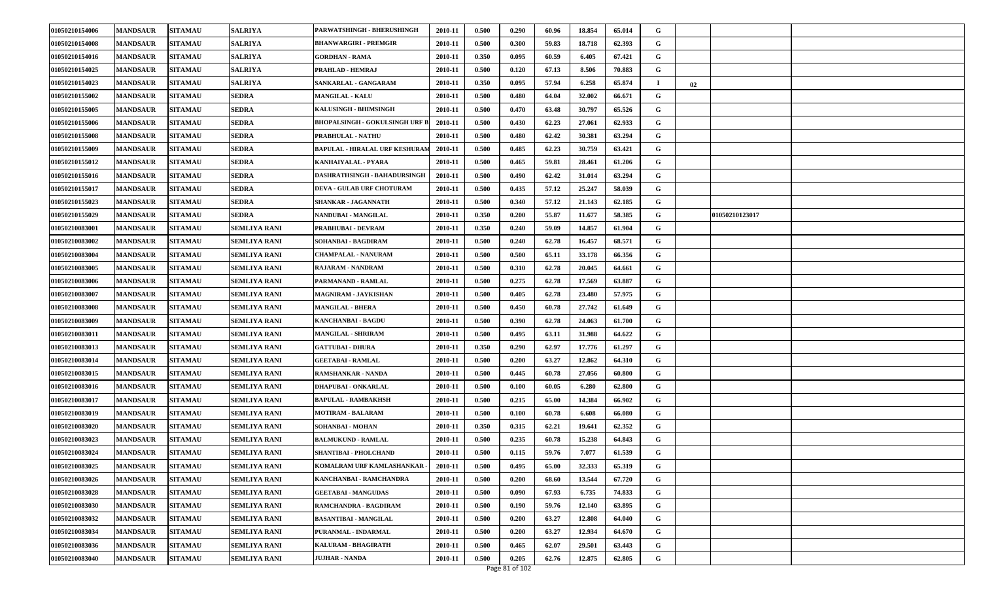| 01050210154006 | <b>MANDSAUR</b> | <b>SITAMAU</b> | <b>SALRIYA</b>      | PARWATSHINGH - BHERUSHINGH            | 2010-11 | 0.500 | 0.290 | 60.96 | 18.854 | 65.014 | G           |    |                |  |
|----------------|-----------------|----------------|---------------------|---------------------------------------|---------|-------|-------|-------|--------|--------|-------------|----|----------------|--|
| 01050210154008 | <b>MANDSAUR</b> | <b>SITAMAU</b> | SALRIYA             | <b>BHANWARGIRI - PREMGIR</b>          | 2010-11 | 0.500 | 0.300 | 59.83 | 18.718 | 62.393 | G           |    |                |  |
| 01050210154016 | <b>MANDSAUR</b> | <b>SITAMAU</b> | <b>SALRIYA</b>      | <b>GORDHAN - RAMA</b>                 | 2010-11 | 0.350 | 0.095 | 60.59 | 6.405  | 67.421 | G           |    |                |  |
| 01050210154025 | <b>MANDSAUR</b> | <b>SITAMAU</b> | <b>SALRIYA</b>      | PRAHLAD - HEMRAJ                      | 2010-11 | 0.500 | 0.120 | 67.13 | 8.506  | 70.883 | G           |    |                |  |
| 01050210154023 | <b>MANDSAUR</b> | <b>SITAMAU</b> | <b>SALRIYA</b>      | SANKARLAL - GANGARAM                  | 2010-11 | 0.350 | 0.095 | 57.94 | 6.258  | 65.874 | -1          | 02 |                |  |
| 01050210155002 | <b>MANDSAUR</b> | <b>SITAMAU</b> | <b>SEDRA</b>        | <b>MANGILAL - KALU</b>                | 2010-11 | 0.500 | 0.480 | 64.04 | 32.002 | 66.671 | G           |    |                |  |
| 01050210155005 | <b>MANDSAUR</b> | <b>SITAMAU</b> | <b>SEDRA</b>        | KALUSINGH - BHIMSINGH                 | 2010-11 | 0.500 | 0.470 | 63.48 | 30.797 | 65.526 | G           |    |                |  |
| 01050210155006 | <b>MANDSAUR</b> | <b>SITAMAU</b> | <b>SEDRA</b>        | <b>BHOPALSINGH - GOKULSINGH URF B</b> | 2010-11 | 0.500 | 0.430 | 62.23 | 27.061 | 62.933 | G           |    |                |  |
| 01050210155008 | <b>MANDSAUR</b> | <b>SITAMAU</b> | <b>SEDRA</b>        | PRABHULAL - NATHU                     | 2010-11 | 0.500 | 0.480 | 62.42 | 30.381 | 63.294 | G           |    |                |  |
| 01050210155009 | <b>MANDSAUR</b> | <b>SITAMAU</b> | <b>SEDRA</b>        | <b>BAPULAL - HIRALAL URF KESHURAM</b> | 2010-11 | 0.500 | 0.485 | 62.23 | 30.759 | 63.421 | G           |    |                |  |
| 01050210155012 | <b>MANDSAUR</b> | <b>SITAMAU</b> | <b>SEDRA</b>        | KANHAIYALAL - PYARA                   | 2010-11 | 0.500 | 0.465 | 59.81 | 28.461 | 61.206 | G           |    |                |  |
| 01050210155016 | <b>MANDSAUR</b> | <b>SITAMAU</b> | <b>SEDRA</b>        | DASHRATHSINGH - BAHADURSINGH          | 2010-11 | 0.500 | 0.490 | 62.42 | 31.014 | 63.294 | G           |    |                |  |
| 01050210155017 | <b>MANDSAUR</b> | <b>SITAMAU</b> | SEDRA               | DEVA - GULAB URF CHOTURAM             | 2010-11 | 0.500 | 0.435 | 57.12 | 25.247 | 58.039 | G           |    |                |  |
| 01050210155023 | <b>MANDSAUR</b> | <b>SITAMAU</b> | <b>SEDRA</b>        | SHANKAR - JAGANNATH                   | 2010-11 | 0.500 | 0.340 | 57.12 | 21.143 | 62.185 | G           |    |                |  |
| 01050210155029 | <b>MANDSAUR</b> | <b>SITAMAU</b> | <b>SEDRA</b>        | NANDUBAI - MANGILAL                   | 2010-11 | 0.350 | 0.200 | 55.87 | 11.677 | 58.385 | G           |    | 01050210123017 |  |
| 01050210083001 | <b>MANDSAUR</b> | <b>SITAMAU</b> | SEMLIYA RANI        | PRABHUBAI - DEVRAM                    | 2010-11 | 0.350 | 0.240 | 59.09 | 14.857 | 61.904 | G           |    |                |  |
| 01050210083002 | <b>MANDSAUR</b> | <b>SITAMAU</b> | <b>SEMLIYA RANI</b> | SOHANBAI - BAGDIRAM                   | 2010-11 | 0.500 | 0.240 | 62.78 | 16.457 | 68.571 | G           |    |                |  |
| 01050210083004 | <b>MANDSAUR</b> | <b>SITAMAU</b> | <b>SEMLIYA RANI</b> | <b>CHAMPALAL - NANURAM</b>            | 2010-11 | 0.500 | 0.500 | 65.11 | 33.178 | 66.356 | G           |    |                |  |
| 01050210083005 | <b>MANDSAUR</b> | <b>SITAMAU</b> | <b>SEMLIYA RANI</b> | RAJARAM - NANDRAM                     | 2010-11 | 0.500 | 0.310 | 62.78 | 20.045 | 64.661 | G           |    |                |  |
| 01050210083006 | <b>MANDSAUR</b> | <b>SITAMAU</b> | <b>SEMLIYA RANI</b> | PARMANAND - RAMLAL                    | 2010-11 | 0.500 | 0.275 | 62.78 | 17.569 | 63.887 | G           |    |                |  |
| 01050210083007 | <b>MANDSAUR</b> | <b>SITAMAU</b> | <b>SEMLIYA RANI</b> | <b>MAGNIRAM - JAYKISHAN</b>           | 2010-11 | 0.500 | 0.405 | 62.78 | 23.480 | 57.975 | G           |    |                |  |
| 01050210083008 | <b>MANDSAUR</b> | <b>SITAMAU</b> | <b>SEMLIYA RANI</b> | <b>MANGILAL - BHERA</b>               | 2010-11 | 0.500 | 0.450 | 60.78 | 27.742 | 61.649 | G           |    |                |  |
| 01050210083009 | <b>MANDSAUR</b> | <b>SITAMAU</b> | <b>SEMLIYA RANI</b> | KANCHANBAI - BAGDU                    | 2010-11 | 0.500 | 0.390 | 62.78 | 24.063 | 61.700 | G           |    |                |  |
| 01050210083011 | <b>MANDSAUR</b> | <b>SITAMAU</b> | <b>SEMLIYA RANI</b> | <b>MANGILAL - SHRIRAM</b>             | 2010-11 | 0.500 | 0.495 | 63.11 | 31.988 | 64.622 | G           |    |                |  |
| 01050210083013 | <b>MANDSAUR</b> | <b>SITAMAU</b> | <b>SEMLIYA RANI</b> | <b>GATTUBAI - DHURA</b>               | 2010-11 | 0.350 | 0.290 | 62.97 | 17.776 | 61.297 | G           |    |                |  |
| 01050210083014 | <b>MANDSAUR</b> | <b>SITAMAU</b> | <b>SEMLIYA RANI</b> | <b>GEETABAI - RAMLAL</b>              | 2010-11 | 0.500 | 0.200 | 63.27 | 12.862 | 64.310 | G           |    |                |  |
| 01050210083015 | <b>MANDSAUR</b> | <b>SITAMAU</b> | <b>SEMLIYA RANI</b> | RAMSHANKAR - NANDA                    | 2010-11 | 0.500 | 0.445 | 60.78 | 27.056 | 60.800 | G           |    |                |  |
| 01050210083016 | <b>MANDSAUR</b> | <b>SITAMAU</b> | <b>SEMLIYA RANI</b> | DHAPUBAI - ONKARLAL                   | 2010-11 | 0.500 | 0.100 | 60.05 | 6.280  | 62.800 | G           |    |                |  |
| 01050210083017 | <b>MANDSAUR</b> | <b>SITAMAU</b> | <b>SEMLIYA RANI</b> | <b>BAPULAL - RAMBAKHSH</b>            | 2010-11 | 0.500 | 0.215 | 65.00 | 14.384 | 66.902 | G           |    |                |  |
| 01050210083019 | <b>MANDSAUR</b> | <b>SITAMAU</b> | <b>SEMLIYA RANI</b> | <b>MOTIRAM - BALARAM</b>              | 2010-11 | 0.500 | 0.100 | 60.78 | 6.608  | 66.080 | G           |    |                |  |
| 01050210083020 | <b>MANDSAUR</b> | <b>SITAMAU</b> | SEMLIYA RANI        | SOHANBAI - MOHAN                      | 2010-11 | 0.350 | 0.315 | 62.21 | 19.641 | 62.352 | G           |    |                |  |
| 01050210083023 | <b>MANDSAUR</b> | <b>SITAMAU</b> | <b>SEMLIYA RANI</b> | <b>BALMUKUND - RAMLAL</b>             | 2010-11 | 0.500 | 0.235 | 60.78 | 15.238 | 64.843 | G           |    |                |  |
| 01050210083024 | <b>MANDSAUR</b> | <b>SITAMAU</b> | <b>SEMLIYA RANI</b> | <b>SHANTIBAI - PHOLCHAND</b>          | 2010-11 | 0.500 | 0.115 | 59.76 | 7.077  | 61.539 | G           |    |                |  |
| 01050210083025 | <b>MANDSAUR</b> | <b>SITAMAU</b> | <b>SEMLIYA RANI</b> | KOMALRAM URF KAMLASHANKAR -           | 2010-11 | 0.500 | 0.495 | 65.00 | 32.333 | 65.319 | G           |    |                |  |
| 01050210083026 | <b>MANDSAUR</b> | <b>SITAMAU</b> | <b>SEMLIYA RANI</b> | KANCHANBAI - RAMCHANDRA               | 2010-11 | 0.500 | 0.200 | 68.60 | 13.544 | 67.720 | $\mathbf G$ |    |                |  |
| 01050210083028 | <b>MANDSAUR</b> | <b>SITAMAU</b> | <b>SEMLIYA RANI</b> | <b>GEETABAI - MANGUDAS</b>            | 2010-11 | 0.500 | 0.090 | 67.93 | 6.735  | 74.833 | $\mathbf G$ |    |                |  |
| 01050210083030 | <b>MANDSAUR</b> | <b>SITAMAU</b> | <b>SEMLIYA RANI</b> | RAMCHANDRA - BAGDIRAM                 | 2010-11 | 0.500 | 0.190 | 59.76 | 12.140 | 63.895 | G           |    |                |  |
| 01050210083032 | <b>MANDSAUR</b> | <b>SITAMAU</b> | <b>SEMLIYA RANI</b> | <b>BASANTIBAI - MANGILAL</b>          | 2010-11 | 0.500 | 0.200 | 63.27 | 12.808 | 64.040 | G           |    |                |  |
| 01050210083034 | <b>MANDSAUR</b> | <b>SITAMAU</b> | <b>SEMLIYA RANI</b> | PURANMAL - INDARMAL                   | 2010-11 | 0.500 | 0.200 | 63.27 | 12.934 | 64.670 | G           |    |                |  |
| 01050210083036 | <b>MANDSAUR</b> | <b>SITAMAU</b> | <b>SEMLIYA RANI</b> | KALURAM - BHAGIRATH                   | 2010-11 | 0.500 | 0.465 | 62.07 | 29.501 | 63.443 | G           |    |                |  |
| 01050210083040 | <b>MANDSAUR</b> | <b>SITAMAU</b> | <b>SEMLIYA RANI</b> | <b>JUJHAR - NANDA</b>                 | 2010-11 | 0.500 | 0.205 | 62.76 | 12.875 | 62.805 | $\mathbf G$ |    |                |  |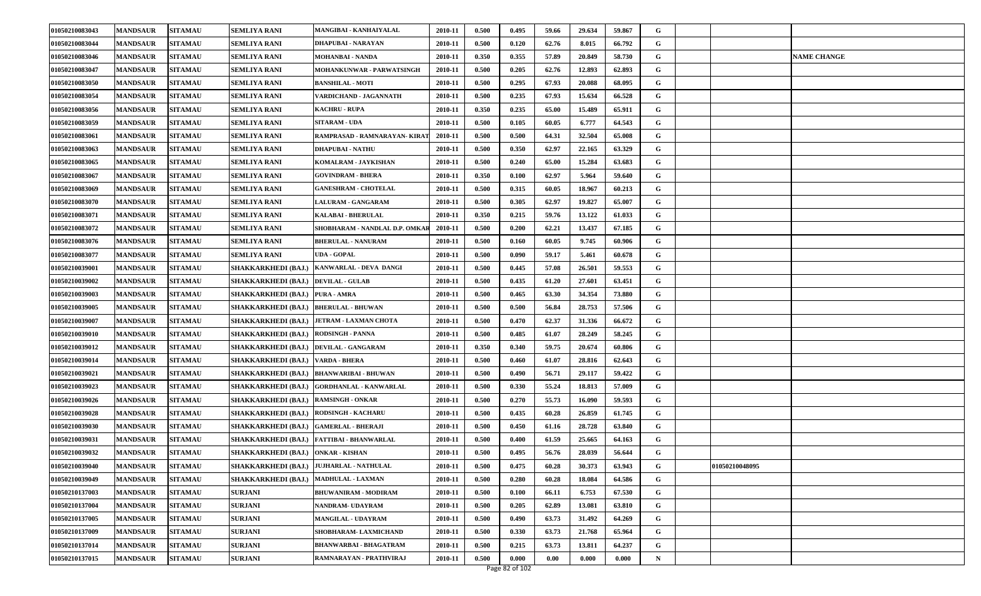| 01050210083043 | <b>MANDSAUR</b> | <b>SITAMAU</b> | <b>SEMLIYA RANI</b>                   | MANGIBAI - KANHAIYALAL                      | 2010-11 | 0.500 | 0.495 | 59.66 | 29.634 | 59.867 | G           |                |                    |
|----------------|-----------------|----------------|---------------------------------------|---------------------------------------------|---------|-------|-------|-------|--------|--------|-------------|----------------|--------------------|
| 01050210083044 | <b>MANDSAUR</b> | <b>SITAMAU</b> | <b>SEMLIYA RANI</b>                   | DHAPUBAI - NARAYAN                          | 2010-11 | 0.500 | 0.120 | 62.76 | 8.015  | 66.792 | G           |                |                    |
| 01050210083046 | <b>MANDSAUR</b> | <b>SITAMAU</b> | <b>SEMLIYA RANI</b>                   | <b>MOHANBAI - NANDA</b>                     | 2010-11 | 0.350 | 0.355 | 57.89 | 20.849 | 58.730 | G           |                | <b>NAME CHANGE</b> |
| 01050210083047 | <b>MANDSAUR</b> | <b>SITAMAU</b> | <b>SEMLIYA RANI</b>                   | MOHANKUNWAR - PARWATSINGH                   | 2010-11 | 0.500 | 0.205 | 62.76 | 12.893 | 62.893 | G           |                |                    |
| 01050210083050 | <b>MANDSAUR</b> | <b>SITAMAU</b> | <b>SEMLIYA RANI</b>                   | <b>BANSHILAL - MOTI</b>                     | 2010-11 | 0.500 | 0.295 | 67.93 | 20.088 | 68.095 | G           |                |                    |
| 01050210083054 | <b>MANDSAUR</b> | <b>SITAMAU</b> | <b>SEMLIYA RANI</b>                   | VARDICHAND - JAGANNATH                      | 2010-11 | 0.500 | 0.235 | 67.93 | 15.634 | 66.528 | G           |                |                    |
| 01050210083056 | <b>MANDSAUR</b> | <b>SITAMAU</b> | <b>SEMLIYA RANI</b>                   | <b>KACHRU - RUPA</b>                        | 2010-11 | 0.350 | 0.235 | 65.00 | 15.489 | 65.911 | G           |                |                    |
| 01050210083059 | <b>MANDSAUR</b> | <b>SITAMAU</b> | SEMLIYA RANI                          | <b>SITARAM - UDA</b>                        | 2010-11 | 0.500 | 0.105 | 60.05 | 6.777  | 64.543 | G           |                |                    |
| 01050210083061 | <b>MANDSAUR</b> | <b>SITAMAU</b> | <b>SEMLIYA RANI</b>                   | RAMPRASAD - RAMNARAYAN-KIRAT                | 2010-11 | 0.500 | 0.500 | 64.31 | 32.504 | 65.008 | G           |                |                    |
| 01050210083063 | <b>MANDSAUR</b> | <b>SITAMAU</b> | <b>SEMLIYA RANI</b>                   | <b>DHAPUBAI - NATHU</b>                     | 2010-11 | 0.500 | 0.350 | 62.97 | 22.165 | 63.329 | G           |                |                    |
| 01050210083065 | <b>MANDSAUR</b> | <b>SITAMAU</b> | <b>SEMLIYA RANI</b>                   | KOMALRAM - JAYKISHAN                        | 2010-11 | 0.500 | 0.240 | 65.00 | 15.284 | 63.683 | G           |                |                    |
| 01050210083067 | <b>MANDSAUR</b> | <b>SITAMAU</b> | <b>SEMLIYA RANI</b>                   | <b>GOVINDRAM - BHERA</b>                    | 2010-11 | 0.350 | 0.100 | 62.97 | 5.964  | 59.640 | G           |                |                    |
| 01050210083069 | <b>MANDSAUR</b> | <b>SITAMAU</b> | <b>SEMLIYA RANI</b>                   | <b>GANESHRAM - CHOTELAL</b>                 | 2010-11 | 0.500 | 0.315 | 60.05 | 18.967 | 60.213 | G           |                |                    |
| 01050210083070 | <b>MANDSAUR</b> | <b>SITAMAU</b> | <b>SEMLIYA RANI</b>                   | <b>LALURAM - GANGARAM</b>                   | 2010-11 | 0.500 | 0.305 | 62.97 | 19.827 | 65.007 | G           |                |                    |
| 01050210083071 | <b>MANDSAUR</b> | <b>SITAMAU</b> | <b>SEMLIYA RANI</b>                   | KALABAI - BHERULAL                          | 2010-11 | 0.350 | 0.215 | 59.76 | 13.122 | 61.033 | G           |                |                    |
| 01050210083072 | <b>MANDSAUR</b> | <b>SITAMAU</b> | <b>SEMLIYA RANI</b>                   | SHOBHARAM - NANDLAL D.P. OMKAR              | 2010-11 | 0.500 | 0.200 | 62.21 | 13.437 | 67.185 | G           |                |                    |
| 01050210083076 | <b>MANDSAUR</b> | <b>SITAMAU</b> | <b>SEMLIYA RANI</b>                   | <b>BHERULAL - NANURAM</b>                   | 2010-11 | 0.500 | 0.160 | 60.05 | 9.745  | 60.906 | G           |                |                    |
| 01050210083077 | <b>MANDSAUR</b> | <b>SITAMAU</b> | <b>SEMLIYA RANI</b>                   | UDA - GOPAL                                 | 2010-11 | 0.500 | 0.090 | 59.17 | 5.461  | 60.678 | G           |                |                    |
| 01050210039001 | <b>MANDSAUR</b> | <b>SITAMAU</b> | SHAKKARKHEDI (BAJ.)                   | KANWARLAL - DEVA DANGI                      | 2010-11 | 0.500 | 0.445 | 57.08 | 26.501 | 59.553 | G           |                |                    |
| 01050210039002 | <b>MANDSAUR</b> | <b>SITAMAU</b> | <b>SHAKKARKHEDI (BAJ.)</b>            | <b>DEVILAL - GULAB</b>                      | 2010-11 | 0.500 | 0.435 | 61.20 | 27.601 | 63.451 | G           |                |                    |
| 01050210039003 | <b>MANDSAUR</b> | <b>SITAMAU</b> | <b>SHAKKARKHEDI (BAJ.)</b>            | <b>PURA - AMRA</b>                          | 2010-11 | 0.500 | 0.465 | 63.30 | 34.354 | 73.880 | G           |                |                    |
| 01050210039005 | <b>MANDSAUR</b> | <b>SITAMAU</b> | <b>SHAKKARKHEDI (BAJ.)</b>            | <b>BHERULAL - BHUWAN</b>                    | 2010-11 | 0.500 | 0.500 | 56.84 | 28.753 | 57.506 | G           |                |                    |
| 01050210039007 | <b>MANDSAUR</b> | <b>SITAMAU</b> |                                       | SHAKKARKHEDI (BAJ.)   JETRAM - LAXMAN CHOTA | 2010-11 | 0.500 | 0.470 | 62.37 | 31.336 | 66.672 | G           |                |                    |
| 01050210039010 | <b>MANDSAUR</b> | <b>SITAMAU</b> | <b>SHAKKARKHEDI (BAJ.)</b>            | <b>RODSINGH - PANNA</b>                     | 2010-11 | 0.500 | 0.485 | 61.07 | 28.249 | 58.245 | G           |                |                    |
| 01050210039012 | <b>MANDSAUR</b> | <b>SITAMAU</b> | <b>SHAKKARKHEDI (BAJ.)</b>            | <b>DEVILAL - GANGARAM</b>                   | 2010-11 | 0.350 | 0.340 | 59.75 | 20.674 | 60.806 | G           |                |                    |
| 01050210039014 | <b>MANDSAUR</b> | <b>SITAMAU</b> | SHAKKARKHEDI (BAJ.) VARDA - BHERA     |                                             | 2010-11 | 0.500 | 0.460 | 61.07 | 28.816 | 62.643 | G           |                |                    |
| 01050210039021 | <b>MANDSAUR</b> | <b>SITAMAU</b> | <b>SHAKKARKHEDI (BAJ.)</b>            | <b>BHANWARIBAI - BHUWAN</b>                 | 2010-11 | 0.500 | 0.490 | 56.71 | 29.117 | 59.422 | G           |                |                    |
| 01050210039023 | <b>MANDSAUR</b> | <b>SITAMAU</b> | <b>SHAKKARKHEDI (BAJ.)</b>            | <b>GORDHANLAL - KANWARLAL</b>               | 2010-11 | 0.500 | 0.330 | 55.24 | 18.813 | 57.009 | G           |                |                    |
| 01050210039026 | <b>MANDSAUR</b> | <b>SITAMAU</b> | <b>SHAKKARKHEDI (BAJ.)</b>            | <b>RAMSINGH - ONKAR</b>                     | 2010-11 | 0.500 | 0.270 | 55.73 | 16.090 | 59.593 | G           |                |                    |
| 01050210039028 | <b>MANDSAUR</b> | <b>SITAMAU</b> | <b>SHAKKARKHEDI (BAJ.)</b>            | <b>RODSINGH - KACHARU</b>                   | 2010-11 | 0.500 | 0.435 | 60.28 | 26.859 | 61.745 | G           |                |                    |
| 01050210039030 | <b>MANDSAUR</b> | <b>SITAMAU</b> | <b>SHAKKARKHEDI (BAJ.)</b>            | <b>GAMERLAL - BHERAJI</b>                   | 2010-11 | 0.500 | 0.450 | 61.16 | 28.728 | 63.840 | G           |                |                    |
| 01050210039031 | <b>MANDSAUR</b> | <b>SITAMAU</b> | <b>SHAKKARKHEDI (BAJ.)</b>            | <b>FATTIBAI - BHANWARLAL</b>                | 2010-11 | 0.500 | 0.400 | 61.59 | 25.665 | 64.163 | G           |                |                    |
| 01050210039032 | <b>MANDSAUR</b> | <b>SITAMAU</b> | SHAKKARKHEDI (BAJ.) ONKAR - KISHAN    |                                             | 2010-11 | 0.500 | 0.495 | 56.76 | 28.039 | 56.644 | G           |                |                    |
| 01050210039040 | <b>MANDSAUR</b> | <b>SITAMAU</b> |                                       | SHAKKARKHEDI (BAJ.) JUJHARLAL - NATHULAL    | 2010-11 | 0.500 | 0.475 | 60.28 | 30.373 | 63.943 | G           | 01050210048095 |                    |
| 01050210039049 | <b>MANDSAUR</b> | <b>SITAMAU</b> | SHAKKARKHEDI (BAJ.) MADHULAL - LAXMAN |                                             | 2010-11 | 0.500 | 0.280 | 60.28 | 18.084 | 64.586 | G           |                |                    |
| 01050210137003 | <b>MANDSAUR</b> | <b>SITAMAU</b> | <b>SURJANI</b>                        | <b>BHUWANIRAM - MODIRAM</b>                 | 2010-11 | 0.500 | 0.100 | 66.11 | 6.753  | 67.530 | G           |                |                    |
| 01050210137004 | <b>MANDSAUR</b> | <b>SITAMAU</b> | <b>SURJANI</b>                        | NANDRAM- UDAYRAM                            | 2010-11 | 0.500 | 0.205 | 62.89 | 13.081 | 63.810 | G           |                |                    |
| 01050210137005 | <b>MANDSAUR</b> | <b>SITAMAU</b> | <b>SURJANI</b>                        | <b>MANGILAL - UDAYRAM</b>                   | 2010-11 | 0.500 | 0.490 | 63.73 | 31.492 | 64.269 | G           |                |                    |
| 01050210137009 | <b>MANDSAUR</b> | <b>SITAMAU</b> | <b>SURJANI</b>                        | SHOBHARAM- LAXMICHAND                       | 2010-11 | 0.500 | 0.330 | 63.73 | 21.768 | 65.964 | G           |                |                    |
| 01050210137014 | <b>MANDSAUR</b> | <b>SITAMAU</b> | <b>SURJANI</b>                        | <b>BHANWARBAI - BHAGATRAM</b>               | 2010-11 | 0.500 | 0.215 | 63.73 | 13.811 | 64.237 | G           |                |                    |
| 01050210137015 | <b>MANDSAUR</b> | <b>SITAMAU</b> | <b>SURJANI</b>                        | RAMNARAYAN - PRATHVIRAJ                     | 2010-11 | 0.500 | 0.000 | 0.00  | 0.000  | 0.000  | $\mathbf N$ |                |                    |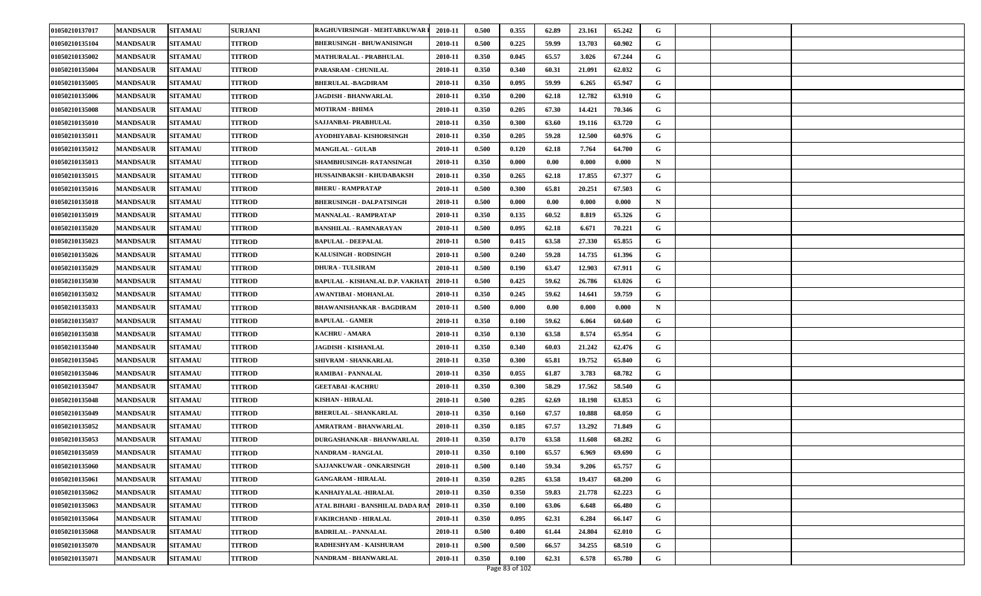| 01050210137017 | <b>MANDSAUR</b> | <b>SITAMAU</b> | <b>SURJANI</b> | RAGHUVIRSINGH - MEHTABKUWAR            | 2010-11 | 0.500 | 0.355 | 62.89 | 23.161 | 65.242 | G           |  |  |
|----------------|-----------------|----------------|----------------|----------------------------------------|---------|-------|-------|-------|--------|--------|-------------|--|--|
| 01050210135104 | <b>MANDSAUR</b> | <b>SITAMAU</b> | TITROD         | <b>BHERUSINGH - BHUWANISINGH</b>       | 2010-11 | 0.500 | 0.225 | 59.99 | 13.703 | 60.902 | G           |  |  |
| 01050210135002 | <b>MANDSAUR</b> | <b>SITAMAU</b> | <b>TITROD</b>  | <b>MATHURALAL - PRABHULAL</b>          | 2010-11 | 0.350 | 0.045 | 65.57 | 3.026  | 67.244 | G           |  |  |
| 01050210135004 | <b>MANDSAUR</b> | <b>SITAMAU</b> | TITROD         | <b>PARASRAM - CHUNILAL</b>             | 2010-11 | 0.350 | 0.340 | 60.31 | 21.091 | 62.032 | G           |  |  |
| 01050210135005 | <b>MANDSAUR</b> | <b>SITAMAU</b> | TITROD         | <b>BHERULAL -BAGDIRAM</b>              | 2010-11 | 0.350 | 0.095 | 59.99 | 6.265  | 65.947 | G           |  |  |
| 01050210135006 | <b>MANDSAUR</b> | <b>SITAMAU</b> | TITROD         | <b>JAGDISH - BHANWARLAL</b>            | 2010-11 | 0.350 | 0.200 | 62.18 | 12.782 | 63.910 | G           |  |  |
| 01050210135008 | <b>MANDSAUR</b> | <b>SITAMAU</b> | <b>TITROD</b>  | <b>MOTIRAM - BHIMA</b>                 | 2010-11 | 0.350 | 0.205 | 67.30 | 14.421 | 70.346 | G           |  |  |
| 01050210135010 | <b>MANDSAUR</b> | <b>SITAMAU</b> | TITROD         | SAJJANBAI- PRABHULAL                   | 2010-11 | 0.350 | 0.300 | 63.60 | 19.116 | 63.720 | G           |  |  |
| 01050210135011 | <b>MANDSAUR</b> | <b>SITAMAU</b> | <b>TITROD</b>  | AYODHIYABAI- KISHORSINGH               | 2010-11 | 0.350 | 0.205 | 59.28 | 12.500 | 60.976 | G           |  |  |
| 01050210135012 | <b>MANDSAUR</b> | <b>SITAMAU</b> | TITROD         | <b>MANGILAL - GULAB</b>                | 2010-11 | 0.500 | 0.120 | 62.18 | 7.764  | 64.700 | G           |  |  |
| 01050210135013 | <b>MANDSAUR</b> | <b>SITAMAU</b> | <b>TITROD</b>  | SHAMBHUSINGH-RATANSINGH                | 2010-11 | 0.350 | 0.000 | 0.00  | 0.000  | 0.000  | N           |  |  |
| 01050210135015 | <b>MANDSAUR</b> | <b>SITAMAU</b> | TITROD         | HUSSAINBAKSH - KHUDABAKSH              | 2010-11 | 0.350 | 0.265 | 62.18 | 17.855 | 67.377 | G           |  |  |
| 01050210135016 | <b>MANDSAUR</b> | <b>SITAMAU</b> | TITROD         | <b>BHERU - RAMPRATAP</b>               | 2010-11 | 0.500 | 0.300 | 65.81 | 20.251 | 67.503 | G           |  |  |
| 01050210135018 | <b>MANDSAUR</b> | <b>SITAMAU</b> | <b>TITROD</b>  | <b>BHERUSINGH - DALPATSINGH</b>        | 2010-11 | 0.500 | 0.000 | 0.00  | 0.000  | 0.000  | $\mathbf N$ |  |  |
| 01050210135019 | <b>MANDSAUR</b> | <b>SITAMAU</b> | <b>TITROD</b>  | <b>MANNALAL - RAMPRATAP</b>            | 2010-11 | 0.350 | 0.135 | 60.52 | 8.819  | 65.326 | G           |  |  |
| 01050210135020 | <b>MANDSAUR</b> | <b>SITAMAU</b> | TITROD         | <b>BANSHILAL - RAMNARAYAN</b>          | 2010-11 | 0.500 | 0.095 | 62.18 | 6.671  | 70.221 | G           |  |  |
| 01050210135023 | <b>MANDSAUR</b> | <b>SITAMAU</b> | TITROD         | <b>BAPULAL - DEEPALAL</b>              | 2010-11 | 0.500 | 0.415 | 63.58 | 27.330 | 65.855 | G           |  |  |
| 01050210135026 | <b>MANDSAUR</b> | <b>SITAMAU</b> | <b>TITROD</b>  | KALUSINGH - RODSINGH                   | 2010-11 | 0.500 | 0.240 | 59.28 | 14.735 | 61.396 | G           |  |  |
| 01050210135029 | <b>MANDSAUR</b> | <b>SITAMAU</b> | TITROD         | <b>DHURA - TULSIRAM</b>                | 2010-11 | 0.500 | 0.190 | 63.47 | 12.903 | 67.911 | G           |  |  |
| 01050210135030 | <b>MANDSAUR</b> | <b>SITAMAU</b> | TITROD         | <b>BAPULAL - KISHANLAL D.P. VAKHAT</b> | 2010-11 | 0.500 | 0.425 | 59.62 | 26.786 | 63.026 | G           |  |  |
| 01050210135032 | <b>MANDSAUR</b> | <b>SITAMAU</b> | TITROD         | AWANTIBAI - MOHANLAL                   | 2010-11 | 0.350 | 0.245 | 59.62 | 14.641 | 59.759 | G           |  |  |
| 01050210135033 | <b>MANDSAUR</b> | <b>SITAMAU</b> | <b>TITROD</b>  | <b>BHAWANISHANKAR - BAGDIRAM</b>       | 2010-11 | 0.500 | 0.000 | 0.00  | 0.000  | 0.000  | N           |  |  |
| 01050210135037 | <b>MANDSAUR</b> | <b>SITAMAU</b> | <b>TITROD</b>  | <b>BAPULAL - GAMER</b>                 | 2010-11 | 0.350 | 0.100 | 59.62 | 6.064  | 60.640 | G           |  |  |
| 01050210135038 | <b>MANDSAUR</b> | <b>SITAMAU</b> | TITROD         | KACHRU - AMARA                         | 2010-11 | 0.350 | 0.130 | 63.58 | 8.574  | 65.954 | G           |  |  |
| 01050210135040 | <b>MANDSAUR</b> | <b>SITAMAU</b> | TITROD         | <b>JAGDISH - KISHANLAL</b>             | 2010-11 | 0.350 | 0.340 | 60.03 | 21.242 | 62.476 | G           |  |  |
| 01050210135045 | <b>MANDSAUR</b> | <b>SITAMAU</b> | <b>TITROD</b>  | SHIVRAM - SHANKARLAL                   | 2010-11 | 0.350 | 0.300 | 65.81 | 19.752 | 65.840 | G           |  |  |
| 01050210135046 | <b>MANDSAUR</b> | <b>SITAMAU</b> | <b>TITROD</b>  | RAMIBAI - PANNALAL                     | 2010-11 | 0.350 | 0.055 | 61.87 | 3.783  | 68.782 | G           |  |  |
| 01050210135047 | <b>MANDSAUR</b> | <b>SITAMAU</b> | TITROD         | <b>GEETABAI - KACHRU</b>               | 2010-11 | 0.350 | 0.300 | 58.29 | 17.562 | 58.540 | G           |  |  |
| 01050210135048 | <b>MANDSAUR</b> | <b>SITAMAU</b> | <b>TITROD</b>  | <b>KISHAN - HIRALAL</b>                | 2010-11 | 0.500 | 0.285 | 62.69 | 18.198 | 63.853 | G           |  |  |
| 01050210135049 | <b>MANDSAUR</b> | <b>SITAMAU</b> | <b>TITROD</b>  | <b>BHERULAL - SHANKARLAL</b>           | 2010-11 | 0.350 | 0.160 | 67.57 | 10.888 | 68.050 | G           |  |  |
| 01050210135052 | <b>MANDSAUR</b> | <b>SITAMAU</b> | TITROD         | <b>AMRATRAM - BHANWARLAL</b>           | 2010-11 | 0.350 | 0.185 | 67.57 | 13.292 | 71.849 | G           |  |  |
| 01050210135053 | <b>MANDSAUR</b> | <b>SITAMAU</b> | <b>TITROD</b>  | DURGASHANKAR - BHANWARLAL              | 2010-11 | 0.350 | 0.170 | 63.58 | 11.608 | 68.282 | G           |  |  |
| 01050210135059 | <b>MANDSAUR</b> | <b>SITAMAU</b> | TITROD         | NANDRAM - RANGLAL                      | 2010-11 | 0.350 | 0.100 | 65.57 | 6.969  | 69.690 | G           |  |  |
| 01050210135060 | <b>MANDSAUR</b> | <b>SITAMAU</b> | <b>TITROD</b>  | SAJJANKUWAR - ONKARSINGH               | 2010-11 | 0.500 | 0.140 | 59.34 | 9.206  | 65.757 | G           |  |  |
| 01050210135061 | <b>MANDSAUR</b> | <b>SITAMAU</b> | <b>TITROD</b>  | <b>GANGARAM - HIRALAL</b>              | 2010-11 | 0.350 | 0.285 | 63.58 | 19.437 | 68.200 | G           |  |  |
| 01050210135062 | <b>MANDSAUR</b> | <b>SITAMAU</b> | <b>TITROD</b>  | KANHAIYALAL -HIRALAL                   | 2010-11 | 0.350 | 0.350 | 59.83 | 21.778 | 62.223 | G           |  |  |
| 01050210135063 | <b>MANDSAUR</b> | <b>SITAMAU</b> | <b>TITROD</b>  | ATAL BIHARI - BANSHILAL DADA RA        | 2010-11 | 0.350 | 0.100 | 63.06 | 6.648  | 66.480 | G           |  |  |
| 01050210135064 | <b>MANDSAUR</b> | <b>SITAMAU</b> | <b>TITROD</b>  | <b>FAKIRCHAND - HIRALAL</b>            | 2010-11 | 0.350 | 0.095 | 62.31 | 6.284  | 66.147 | G           |  |  |
| 01050210135068 | <b>MANDSAUR</b> | <b>SITAMAU</b> | TITROD         | <b>BADRILAL - PANNALAL</b>             | 2010-11 | 0.500 | 0.400 | 61.44 | 24.804 | 62.010 | G           |  |  |
| 01050210135070 | <b>MANDSAUR</b> | <b>SITAMAU</b> | <b>TITROD</b>  | RADHESHYAM - KAISHURAM                 | 2010-11 | 0.500 | 0.500 | 66.57 | 34.255 | 68.510 | G           |  |  |
| 01050210135071 | <b>MANDSAUR</b> | <b>SITAMAU</b> | <b>TITROD</b>  | NANDRAM - BHANWARLAL                   | 2010-11 | 0.350 | 0.100 | 62.31 | 6.578  | 65.780 | G           |  |  |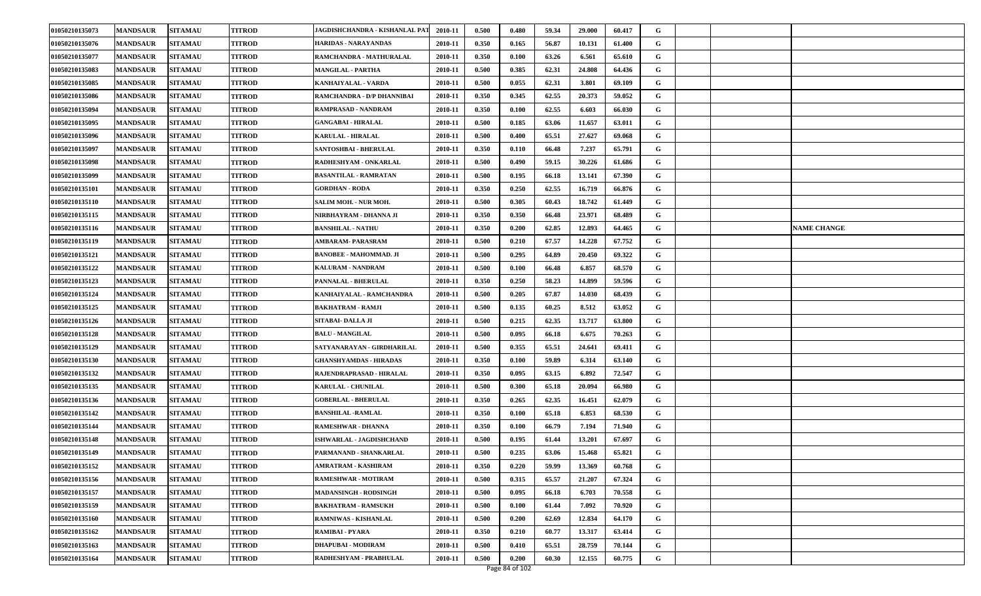| 01050210135073 | <b>MANDSAUR</b> | <b>SITAMAU</b> | <b>TITROD</b> | JAGDISHCHANDRA - KISHANLAL PA'I | 2010-11 | 0.500 | 0.480 | 59.34 | 29.000 | 60.417 | G |  |                    |
|----------------|-----------------|----------------|---------------|---------------------------------|---------|-------|-------|-------|--------|--------|---|--|--------------------|
| 01050210135076 | <b>MANDSAUR</b> | <b>SITAMAU</b> | TITROD        | HARIDAS - NARAYANDAS            | 2010-11 | 0.350 | 0.165 | 56.87 | 10.131 | 61.400 | G |  |                    |
| 01050210135077 | <b>MANDSAUR</b> | <b>SITAMAU</b> | <b>TITROD</b> | RAMCHANDRA - MATHURALAL         | 2010-11 | 0.350 | 0.100 | 63.26 | 6.561  | 65.610 | G |  |                    |
| 01050210135083 | <b>MANDSAUR</b> | <b>SITAMAU</b> | TITROD        | <b>MANGILAL - PARTHA</b>        | 2010-11 | 0.500 | 0.385 | 62.31 | 24.808 | 64.436 | G |  |                    |
| 01050210135085 | <b>MANDSAUR</b> | <b>SITAMAU</b> | TITROD        | KANHAIYALAL - VARDA             | 2010-11 | 0.500 | 0.055 | 62.31 | 3.801  | 69.109 | G |  |                    |
| 01050210135086 | <b>MANDSAUR</b> | <b>SITAMAU</b> | TITROD        | RAMCHANDRA - D/P DHANNIBAI      | 2010-11 | 0.350 | 0.345 | 62.55 | 20.373 | 59.052 | G |  |                    |
| 01050210135094 | <b>MANDSAUR</b> | <b>SITAMAU</b> | <b>TITROD</b> | RAMPRASAD - NANDRAM             | 2010-11 | 0.350 | 0.100 | 62.55 | 6.603  | 66.030 | G |  |                    |
| 01050210135095 | <b>MANDSAUR</b> | <b>SITAMAU</b> | TITROD        | GANGABAI - HIRALAL              | 2010-11 | 0.500 | 0.185 | 63.06 | 11.657 | 63.011 | G |  |                    |
| 01050210135096 | <b>MANDSAUR</b> | <b>SITAMAU</b> | <b>TITROD</b> | <b>KARULAL - HIRALAL</b>        | 2010-11 | 0.500 | 0.400 | 65.51 | 27.627 | 69.068 | G |  |                    |
| 01050210135097 | <b>MANDSAUR</b> | <b>SITAMAU</b> | <b>TITROD</b> | SANTOSHBAI - BHERULAL           | 2010-11 | 0.350 | 0.110 | 66.48 | 7.237  | 65.791 | G |  |                    |
| 01050210135098 | <b>MANDSAUR</b> | <b>SITAMAU</b> | <b>TITROD</b> | RADHESHYAM - ONKARLAL           | 2010-11 | 0.500 | 0.490 | 59.15 | 30.226 | 61.686 | G |  |                    |
| 01050210135099 | <b>MANDSAUR</b> | <b>SITAMAU</b> | TITROD        | <b>BASANTILAL - RAMRATAN</b>    | 2010-11 | 0.500 | 0.195 | 66.18 | 13.141 | 67.390 | G |  |                    |
| 01050210135101 | <b>MANDSAUR</b> | <b>SITAMAU</b> | <b>TITROD</b> | <b>GORDHAN - RODA</b>           | 2010-11 | 0.350 | 0.250 | 62.55 | 16.719 | 66.876 | G |  |                    |
| 01050210135110 | <b>MANDSAUR</b> | <b>SITAMAU</b> | <b>TITROD</b> | SALIM MOH. - NUR MOH.           | 2010-11 | 0.500 | 0.305 | 60.43 | 18.742 | 61.449 | G |  |                    |
| 01050210135115 | <b>MANDSAUR</b> | <b>SITAMAU</b> | <b>TITROD</b> | NIRBHAYRAM - DHANNA JI          | 2010-11 | 0.350 | 0.350 | 66.48 | 23.971 | 68.489 | G |  |                    |
| 01050210135116 | <b>MANDSAUR</b> | <b>SITAMAU</b> | TITROD        | <b>BANSHILAL - NATHU</b>        | 2010-11 | 0.350 | 0.200 | 62.85 | 12.893 | 64.465 | G |  | <b>NAME CHANGE</b> |
| 01050210135119 | <b>MANDSAUR</b> | <b>SITAMAU</b> | <b>TITROD</b> | AMBARAM- PARASRAM               | 2010-11 | 0.500 | 0.210 | 67.57 | 14.228 | 67.752 | G |  |                    |
| 01050210135121 | <b>MANDSAUR</b> | <b>SITAMAU</b> | <b>TITROD</b> | <b>BANOBEE - MAHOMMAD. JI</b>   | 2010-11 | 0.500 | 0.295 | 64.89 | 20.450 | 69.322 | G |  |                    |
| 01050210135122 | <b>MANDSAUR</b> | <b>SITAMAU</b> | <b>TITROD</b> | <b>KALURAM - NANDRAM</b>        | 2010-11 | 0.500 | 0.100 | 66.48 | 6.857  | 68.570 | G |  |                    |
| 01050210135123 | <b>MANDSAUR</b> | <b>SITAMAU</b> | <b>TITROD</b> | PANNALAL - BHERULAL             | 2010-11 | 0.350 | 0.250 | 58.23 | 14.899 | 59.596 | G |  |                    |
| 01050210135124 | <b>MANDSAUR</b> | <b>SITAMAU</b> | <b>TITROD</b> | KANHAIYALAL - RAMCHANDRA        | 2010-11 | 0.500 | 0.205 | 67.87 | 14.030 | 68.439 | G |  |                    |
| 01050210135125 | <b>MANDSAUR</b> | <b>SITAMAU</b> | <b>TITROD</b> | BAKHATRAM - RAMJI               | 2010-11 | 0.500 | 0.135 | 60.25 | 8.512  | 63.052 | G |  |                    |
| 01050210135126 | <b>MANDSAUR</b> | <b>SITAMAU</b> | TITROD        | SITABAI- DALLA JI               | 2010-11 | 0.500 | 0.215 | 62.35 | 13.717 | 63.800 | G |  |                    |
| 01050210135128 | <b>MANDSAUR</b> | <b>SITAMAU</b> | TITROD        | <b>BALU - MANGILAL</b>          | 2010-11 | 0.500 | 0.095 | 66.18 | 6.675  | 70.263 | G |  |                    |
| 01050210135129 | <b>MANDSAUR</b> | <b>SITAMAU</b> | TITROD        | SATYANARAYAN - GIRDHARILAL      | 2010-11 | 0.500 | 0.355 | 65.51 | 24.641 | 69.411 | G |  |                    |
| 01050210135130 | <b>MANDSAUR</b> | <b>SITAMAU</b> | <b>TITROD</b> | <b>GHANSHYAMDAS - HIRADAS</b>   | 2010-11 | 0.350 | 0.100 | 59.89 | 6.314  | 63.140 | G |  |                    |
| 01050210135132 | <b>MANDSAUR</b> | <b>SITAMAU</b> | TITROD        | RAJENDRAPRASAD - HIRALAL        | 2010-11 | 0.350 | 0.095 | 63.15 | 6.892  | 72.547 | G |  |                    |
| 01050210135135 | <b>MANDSAUR</b> | <b>SITAMAU</b> | TITROD        | <b>KARULAL - CHUNILAL</b>       | 2010-11 | 0.500 | 0.300 | 65.18 | 20.094 | 66.980 | G |  |                    |
| 01050210135136 | <b>MANDSAUR</b> | <b>SITAMAU</b> | TITROD        | <b>GOBERLAL - BHERULAL</b>      | 2010-11 | 0.350 | 0.265 | 62.35 | 16.451 | 62.079 | G |  |                    |
| 01050210135142 | <b>MANDSAUR</b> | <b>SITAMAU</b> | <b>TITROD</b> | <b>BANSHILAL -RAMLAL</b>        | 2010-11 | 0.350 | 0.100 | 65.18 | 6.853  | 68.530 | G |  |                    |
| 01050210135144 | <b>MANDSAUR</b> | <b>SITAMAU</b> | TITROD        | RAMESHWAR - DHANNA              | 2010-11 | 0.350 | 0.100 | 66.79 | 7.194  | 71.940 | G |  |                    |
| 01050210135148 | <b>MANDSAUR</b> | <b>SITAMAU</b> | <b>TITROD</b> | ISHWARLAL - JAGDISHCHAND        | 2010-11 | 0.500 | 0.195 | 61.44 | 13.201 | 67.697 | G |  |                    |
| 01050210135149 | <b>MANDSAUR</b> | <b>SITAMAU</b> | TITROD        | PARMANAND - SHANKARLAL          | 2010-11 | 0.500 | 0.235 | 63.06 | 15.468 | 65.821 | G |  |                    |
| 01050210135152 | <b>MANDSAUR</b> | <b>SITAMAU</b> | <b>TITROD</b> | <b>AMRATRAM - KASHIRAM</b>      | 2010-11 | 0.350 | 0.220 | 59.99 | 13.369 | 60.768 | G |  |                    |
| 01050210135156 | <b>MANDSAUR</b> | <b>SITAMAU</b> | TITROD        | RAMESHWAR - MOTIRAM             | 2010-11 | 0.500 | 0.315 | 65.57 | 21.207 | 67.324 | G |  |                    |
| 01050210135157 | <b>MANDSAUR</b> | <b>SITAMAU</b> | <b>TITROD</b> | <b>MADANSINGH - RODSINGH</b>    | 2010-11 | 0.500 | 0.095 | 66.18 | 6.703  | 70.558 | G |  |                    |
| 01050210135159 | <b>MANDSAUR</b> | <b>SITAMAU</b> | <b>TITROD</b> | <b>BAKHATRAM - RAMSUKH</b>      | 2010-11 | 0.500 | 0.100 | 61.44 | 7.092  | 70.920 | G |  |                    |
| 01050210135160 | <b>MANDSAUR</b> | <b>SITAMAU</b> | <b>TITROD</b> | RAMNIWAS - KISHANLAL            | 2010-11 | 0.500 | 0.200 | 62.69 | 12.834 | 64.170 | G |  |                    |
| 01050210135162 | <b>MANDSAUR</b> | <b>SITAMAU</b> | TITROD        | RAMIBAI - PYARA                 | 2010-11 | 0.350 | 0.210 | 60.77 | 13.317 | 63.414 | G |  |                    |
| 01050210135163 | <b>MANDSAUR</b> | <b>SITAMAU</b> | <b>TITROD</b> | DHAPUBAI - MODIRAM              | 2010-11 | 0.500 | 0.410 | 65.51 | 28.759 | 70.144 | G |  |                    |
| 01050210135164 | <b>MANDSAUR</b> | <b>SITAMAU</b> | <b>TITROD</b> | RADHESHYAM - PRABHULAL          | 2010-11 | 0.500 | 0.200 | 60.30 | 12.155 | 60.775 | G |  |                    |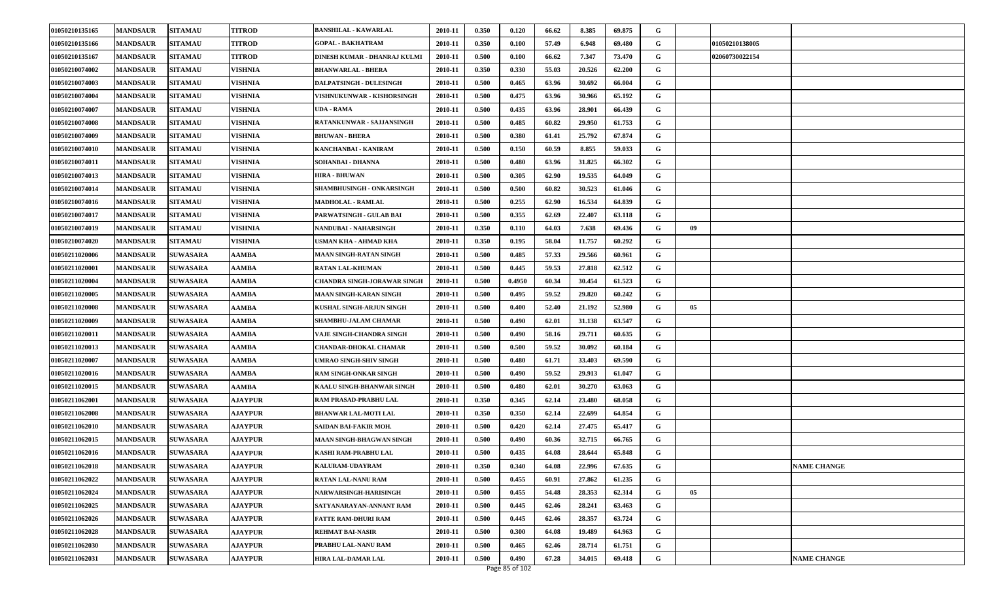| 01050210135165 | <b>MANDSAUR</b> | <b>SITAMAU</b>  | <b>TITROD</b>  | <b>BANSHILAL - KAWARLAL</b>    | 2010-11 | 0.350 | 0.120  | 66.62 | 8.385  | 69.875 | G |    |                |                    |
|----------------|-----------------|-----------------|----------------|--------------------------------|---------|-------|--------|-------|--------|--------|---|----|----------------|--------------------|
| 01050210135166 | <b>MANDSAUR</b> | <b>SITAMAU</b>  | TITROD         | <b>GOPAL - BAKHATRAM</b>       | 2010-11 | 0.350 | 0.100  | 57.49 | 6.948  | 69.480 | G |    | 01050210138005 |                    |
| 01050210135167 | <b>MANDSAUR</b> | <b>SITAMAU</b>  | <b>TITROD</b>  | DINESH KUMAR - DHANRAJ KULMI   | 2010-11 | 0.500 | 0.100  | 66.62 | 7.347  | 73.470 | G |    | 02060730022154 |                    |
| 01050210074002 | <b>MANDSAUR</b> | <b>SITAMAU</b>  | VISHNIA        | BHANWARLAL - BHERA             | 2010-11 | 0.350 | 0.330  | 55.03 | 20.526 | 62.200 | G |    |                |                    |
| 01050210074003 | <b>MANDSAUR</b> | <b>SITAMAU</b>  | VISHNIA        | <b>DALPATSINGH - DULESINGH</b> | 2010-11 | 0.500 | 0.465  | 63.96 | 30.692 | 66.004 | G |    |                |                    |
| 01050210074004 | <b>MANDSAUR</b> | <b>SITAMAU</b>  | VISHNIA        | VISHNUKUNWAR - KISHORSINGH     | 2010-11 | 0.500 | 0.475  | 63.96 | 30.966 | 65.192 | G |    |                |                    |
| 01050210074007 | <b>MANDSAUR</b> | <b>SITAMAU</b>  | <b>VISHNIA</b> | <b>UDA - RAMA</b>              | 2010-11 | 0.500 | 0.435  | 63.96 | 28.901 | 66.439 | G |    |                |                    |
| 01050210074008 | <b>MANDSAUR</b> | <b>SITAMAU</b>  | VISHNIA        | RATANKUNWAR - SAJJANSINGH      | 2010-11 | 0.500 | 0.485  | 60.82 | 29.950 | 61.753 | G |    |                |                    |
| 01050210074009 | <b>MANDSAUR</b> | <b>SITAMAU</b>  | VISHNIA        | <b>BHUWAN - BHERA</b>          | 2010-11 | 0.500 | 0.380  | 61.41 | 25.792 | 67.874 | G |    |                |                    |
| 01050210074010 | <b>MANDSAUR</b> | <b>SITAMAU</b>  | VISHNIA        | KANCHANBAI - KANIRAM           | 2010-11 | 0.500 | 0.150  | 60.59 | 8.855  | 59.033 | G |    |                |                    |
| 01050210074011 | <b>MANDSAUR</b> | <b>SITAMAU</b>  | <b>VISHNIA</b> | SOHANBAI - DHANNA              | 2010-11 | 0.500 | 0.480  | 63.96 | 31.825 | 66.302 | G |    |                |                    |
| 01050210074013 | <b>MANDSAUR</b> | <b>SITAMAU</b>  | VISHNIA        | <b>HIRA - BHUWAN</b>           | 2010-11 | 0.500 | 0.305  | 62.90 | 19.535 | 64.049 | G |    |                |                    |
| 01050210074014 | <b>MANDSAUR</b> | <b>SITAMAU</b>  | VISHNIA        | SHAMBHUSINGH - ONKARSINGH      | 2010-11 | 0.500 | 0.500  | 60.82 | 30.523 | 61.046 | G |    |                |                    |
| 01050210074016 | <b>MANDSAUR</b> | <b>SITAMAU</b>  | VISHNIA        | <b>MADHOLAL - RAMLAL</b>       | 2010-11 | 0.500 | 0.255  | 62.90 | 16.534 | 64.839 | G |    |                |                    |
| 01050210074017 | <b>MANDSAUR</b> | <b>SITAMAU</b>  | VISHNIA        | PARWATSINGH - GULAB BAI        | 2010-11 | 0.500 | 0.355  | 62.69 | 22.407 | 63.118 | G |    |                |                    |
| 01050210074019 | <b>MANDSAUR</b> | <b>SITAMAU</b>  | VISHNIA        | NANDUBAI - NAHARSINGH          | 2010-11 | 0.350 | 0.110  | 64.03 | 7.638  | 69.436 | G | 09 |                |                    |
| 01050210074020 | <b>MANDSAUR</b> | <b>SITAMAU</b>  | VISHNIA        | USMAN KHA - AHMAD KHA          | 2010-11 | 0.350 | 0.195  | 58.04 | 11.757 | 60.292 | G |    |                |                    |
| 01050211020006 | <b>MANDSAUR</b> | <b>SUWASARA</b> | AAMBA          | <b>MAAN SINGH-RATAN SINGH</b>  | 2010-11 | 0.500 | 0.485  | 57.33 | 29.566 | 60.961 | G |    |                |                    |
| 01050211020001 | <b>MANDSAUR</b> | <b>SUWASARA</b> | AAMBA          | RATAN LAL-KHUMAN               | 2010-11 | 0.500 | 0.445  | 59.53 | 27.818 | 62.512 | G |    |                |                    |
| 01050211020004 | <b>MANDSAUR</b> | <b>SUWASARA</b> | AAMBA          | CHANDRA SINGH-JORAWAR SINGH    | 2010-11 | 0.500 | 0.4950 | 60.34 | 30.454 | 61.523 | G |    |                |                    |
| 01050211020005 | <b>MANDSAUR</b> | <b>SUWASARA</b> | AAMBA          | <b>MAAN SINGH-KARAN SINGH</b>  | 2010-11 | 0.500 | 0.495  | 59.52 | 29.820 | 60.242 | G |    |                |                    |
| 01050211020008 | <b>MANDSAUR</b> | <b>SUWASARA</b> | AAMBA          | KUSHAL SINGH-ARJUN SINGH       | 2010-11 | 0.500 | 0.400  | 52.40 | 21.192 | 52.980 | G | 05 |                |                    |
| 01050211020009 | <b>MANDSAUR</b> | <b>SUWASARA</b> | AAMBA          | SHAMBHU-JALAM CHAMAR           | 2010-11 | 0.500 | 0.490  | 62.01 | 31.138 | 63.547 | G |    |                |                    |
| 01050211020011 | <b>MANDSAUR</b> | <b>SUWASARA</b> | AAMBA          | VAJE SINGH-CHANDRA SINGH       | 2010-11 | 0.500 | 0.490  | 58.16 | 29.711 | 60.635 | G |    |                |                    |
| 01050211020013 | <b>MANDSAUR</b> | <b>SUWASARA</b> | AAMBA          | CHANDAR-DHOKAL CHAMAR          | 2010-11 | 0.500 | 0.500  | 59.52 | 30.092 | 60.184 | G |    |                |                    |
| 01050211020007 | <b>MANDSAUR</b> | <b>SUWASARA</b> | AAMBA          | UMRAO SINGH-SHIV SINGH         | 2010-11 | 0.500 | 0.480  | 61.71 | 33.403 | 69.590 | G |    |                |                    |
| 01050211020016 | <b>MANDSAUR</b> | <b>SUWASARA</b> | AAMBA          | <b>RAM SINGH-ONKAR SINGH</b>   | 2010-11 | 0.500 | 0.490  | 59.52 | 29.913 | 61.047 | G |    |                |                    |
| 01050211020015 | <b>MANDSAUR</b> | <b>SUWASARA</b> | AAMBA          | KAALU SINGH-BHANWAR SINGH      | 2010-11 | 0.500 | 0.480  | 62.01 | 30.270 | 63.063 | G |    |                |                    |
| 01050211062001 | <b>MANDSAUR</b> | <b>SUWASARA</b> | <b>AJAYPUR</b> | RAM PRASAD-PRABHU LAL          | 2010-11 | 0.350 | 0.345  | 62.14 | 23.480 | 68.058 | G |    |                |                    |
| 01050211062008 | <b>MANDSAUR</b> | <b>SUWASARA</b> | <b>AJAYPUR</b> | <b>BHANWAR LAL-MOTI LAL</b>    | 2010-11 | 0.350 | 0.350  | 62.14 | 22.699 | 64.854 | G |    |                |                    |
| 01050211062010 | <b>MANDSAUR</b> | <b>SUWASARA</b> | <b>AJAYPUR</b> | SAIDAN BAI-FAKIR MOH.          | 2010-11 | 0.500 | 0.420  | 62.14 | 27.475 | 65.417 | G |    |                |                    |
| 01050211062015 | <b>MANDSAUR</b> | <b>SUWASARA</b> | <b>AJAYPUR</b> | MAAN SINGH-BHAGWAN SINGH       | 2010-11 | 0.500 | 0.490  | 60.36 | 32.715 | 66.765 | G |    |                |                    |
| 01050211062016 | <b>MANDSAUR</b> | <b>SUWASARA</b> | <b>AJAYPUR</b> | KASHI RAM-PRABHU LAL           | 2010-11 | 0.500 | 0.435  | 64.08 | 28.644 | 65.848 | G |    |                |                    |
| 01050211062018 | <b>MANDSAUR</b> | <b>SUWASARA</b> | <b>AJAYPUR</b> | KALURAM-UDAYRAM                | 2010-11 | 0.350 | 0.340  | 64.08 | 22.996 | 67.635 | G |    |                | <b>NAME CHANGE</b> |
| 01050211062022 | <b>MANDSAUR</b> | <b>SUWASARA</b> | <b>AJAYPUR</b> | RATAN LAL-NANU RAM             | 2010-11 | 0.500 | 0.455  | 60.91 | 27.862 | 61.235 | G |    |                |                    |
| 01050211062024 | <b>MANDSAUR</b> | <b>SUWASARA</b> | <b>AJAYPUR</b> | NARWARSINGH-HARISINGH          | 2010-11 | 0.500 | 0.455  | 54.48 | 28.353 | 62.314 | G | 05 |                |                    |
| 01050211062025 | <b>MANDSAUR</b> | <b>SUWASARA</b> | <b>AJAYPUR</b> | SATYANARAYAN-ANNANT RAM        | 2010-11 | 0.500 | 0.445  | 62.46 | 28.241 | 63.463 | G |    |                |                    |
| 01050211062026 | <b>MANDSAUR</b> | <b>SUWASARA</b> | <b>AJAYPUR</b> | FATTE RAM-DHURI RAM            | 2010-11 | 0.500 | 0.445  | 62.46 | 28.357 | 63.724 | G |    |                |                    |
| 01050211062028 | <b>MANDSAUR</b> | <b>SUWASARA</b> | <b>AJAYPUR</b> | <b>REHMAT BAI-NASIR</b>        | 2010-11 | 0.500 | 0.300  | 64.08 | 19.489 | 64.963 | G |    |                |                    |
| 01050211062030 | <b>MANDSAUR</b> | <b>SUWASARA</b> | <b>AJAYPUR</b> | PRABHU LAL-NANU RAM            | 2010-11 | 0.500 | 0.465  | 62.46 | 28.714 | 61.751 | G |    |                |                    |
| 01050211062031 | <b>MANDSAUR</b> | <b>SUWASARA</b> | <b>AJAYPUR</b> | HIRA LAL-DAMAR LAL             | 2010-11 | 0.500 | 0.490  | 67.28 | 34.015 | 69.418 | G |    |                | <b>NAME CHANGE</b> |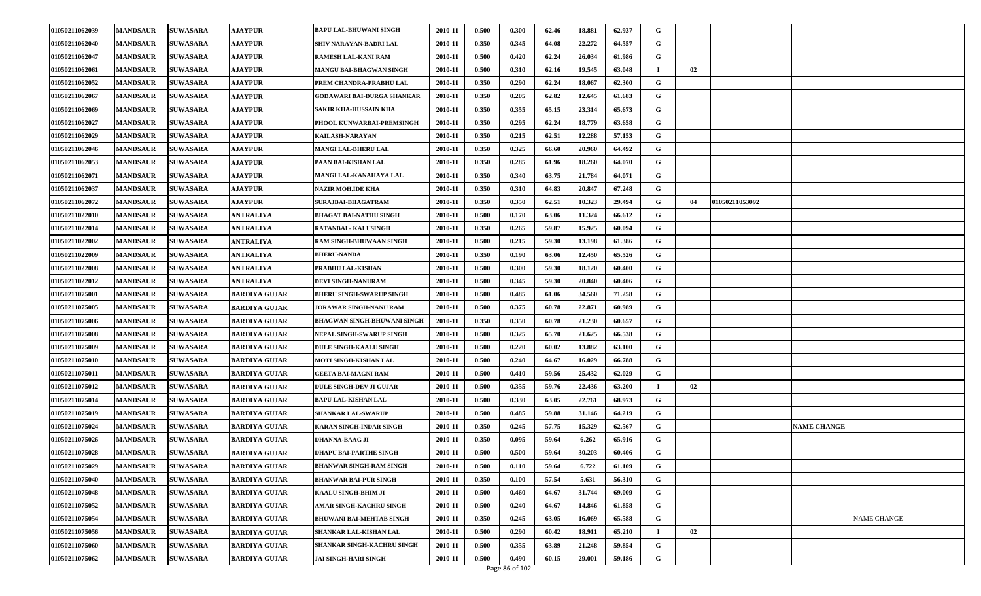| 01050211062039 | <b>MANDSAUR</b> | <b>SUWASARA</b> | <b>AJAYPUR</b>       | <b>BAPU LAL-BHUWANI SINGH</b>   | 2010-11 | 0.500 | 0.300 | 62.46 | 18.881 | 62.937 | G           |    |                |                    |
|----------------|-----------------|-----------------|----------------------|---------------------------------|---------|-------|-------|-------|--------|--------|-------------|----|----------------|--------------------|
| 01050211062040 | <b>MANDSAUR</b> | <b>SUWASARA</b> | <b>AJAYPUR</b>       | SHIV NARAYAN-BADRI LAL          | 2010-11 | 0.350 | 0.345 | 64.08 | 22,272 | 64.557 | G           |    |                |                    |
| 01050211062047 | <b>MANDSAUR</b> | <b>SUWASARA</b> | <b>AJAYPUR</b>       | RAMESH LAL-KANI RAM             | 2010-11 | 0.500 | 0.420 | 62.24 | 26.034 | 61.986 | G           |    |                |                    |
| 01050211062061 | <b>MANDSAUR</b> | <b>SUWASARA</b> | <b>AJAYPUR</b>       | MANGU BAI-BHAGWAN SINGH         | 2010-11 | 0.500 | 0.310 | 62.16 | 19.545 | 63.048 | $\mathbf I$ | 02 |                |                    |
| 01050211062052 | <b>MANDSAUR</b> | <b>SUWASARA</b> | <b>AJAYPUR</b>       | PREM CHANDRA-PRABHU LAL         | 2010-11 | 0.350 | 0.290 | 62.24 | 18.067 | 62.300 | G           |    |                |                    |
| 01050211062067 | <b>MANDSAUR</b> | <b>SUWASARA</b> | <b>AJAYPUR</b>       | GODAWARI BAI-DURGA SHANKAR      | 2010-11 | 0.350 | 0.205 | 62.82 | 12.645 | 61.683 | G           |    |                |                    |
| 01050211062069 | <b>MANDSAUR</b> | <b>SUWASARA</b> | <b>AJAYPUR</b>       | <b>SAKIR KHA-HUSSAIN KHA</b>    | 2010-11 | 0.350 | 0.355 | 65.15 | 23.314 | 65.673 | G           |    |                |                    |
| 01050211062027 | <b>MANDSAUR</b> | <b>SUWASARA</b> | <b>AJAYPUR</b>       | PHOOL KUNWARBAI-PREMSINGH       | 2010-11 | 0.350 | 0.295 | 62.24 | 18.779 | 63.658 | G           |    |                |                    |
| 01050211062029 | <b>MANDSAUR</b> | <b>SUWASARA</b> | <b>AJAYPUR</b>       | <b>KAILASH-NARAYAN</b>          | 2010-11 | 0.350 | 0.215 | 62.51 | 12.288 | 57.153 | G           |    |                |                    |
| 01050211062046 | <b>MANDSAUR</b> | <b>SUWASARA</b> | <b>AJAYPUR</b>       | <b>MANGI LAL-BHERU LAL</b>      | 2010-11 | 0.350 | 0.325 | 66.60 | 20.960 | 64.492 | G           |    |                |                    |
| 01050211062053 | <b>MANDSAUR</b> | <b>SUWASARA</b> | <b>AJAYPUR</b>       | PAAN BAI-KISHAN LAL             | 2010-11 | 0.350 | 0.285 | 61.96 | 18.260 | 64.070 | G           |    |                |                    |
| 01050211062071 | <b>MANDSAUR</b> | <b>SUWASARA</b> | <b>AJAYPUR</b>       | MANGI LAL-KANAHAYA LAL          | 2010-11 | 0.350 | 0.340 | 63.75 | 21.784 | 64.071 | G           |    |                |                    |
| 01050211062037 | <b>MANDSAUR</b> | <b>SUWASARA</b> | <b>AJAYPUR</b>       | <b>NAZIR MOH.IDE KHA</b>        | 2010-11 | 0.350 | 0.310 | 64.83 | 20.847 | 67.248 | G           |    |                |                    |
| 01050211062072 | <b>MANDSAUR</b> | <b>SUWASARA</b> | <b>AJAYPUR</b>       | SURAJBAI-BHAGATRAM              | 2010-11 | 0.350 | 0.350 | 62.51 | 10.323 | 29.494 | G           | 04 | 01050211053092 |                    |
| 01050211022010 | <b>MANDSAUR</b> | <b>SUWASARA</b> | <b>ANTRALIYA</b>     | <b>BHAGAT BAI-NATHU SINGH</b>   | 2010-11 | 0.500 | 0.170 | 63.06 | 11.324 | 66.612 | G           |    |                |                    |
| 01050211022014 | <b>MANDSAUR</b> | <b>SUWASARA</b> | <b>ANTRALIYA</b>     | RATANBAI - KALUSINGH            | 2010-11 | 0.350 | 0.265 | 59.87 | 15.925 | 60.094 | G           |    |                |                    |
| 01050211022002 | <b>MANDSAUR</b> | <b>SUWASARA</b> | ANTRALIYA            | RAM SINGH-BHUWAAN SINGH         | 2010-11 | 0.500 | 0.215 | 59.30 | 13.198 | 61.386 | G           |    |                |                    |
| 01050211022009 | <b>MANDSAUR</b> | <b>SUWASARA</b> | ANTRALIYA            | <b>BHERU-NANDA</b>              | 2010-11 | 0.350 | 0.190 | 63.06 | 12.450 | 65.526 | G           |    |                |                    |
| 01050211022008 | <b>MANDSAUR</b> | <b>SUWASARA</b> | ANTRALIYA            | PRABHU LAL-KISHAN               | 2010-11 | 0.500 | 0.300 | 59.30 | 18.120 | 60.400 | G           |    |                |                    |
| 01050211022012 | <b>MANDSAUR</b> | <b>SUWASARA</b> | <b>ANTRALIYA</b>     | DEVI SINGH-NANURAM              | 2010-11 | 0.500 | 0.345 | 59.30 | 20.840 | 60.406 | G           |    |                |                    |
| 01050211075001 | <b>MANDSAUR</b> | <b>SUWASARA</b> | <b>BARDIYA GUJAR</b> | <b>BHERU SINGH-SWARUP SINGH</b> | 2010-11 | 0.500 | 0.485 | 61.06 | 34.560 | 71.258 | G           |    |                |                    |
| 01050211075005 | <b>MANDSAUR</b> | <b>SUWASARA</b> | <b>BARDIYA GUJAR</b> | JORAWAR SINGH-NANU RAM          | 2010-11 | 0.500 | 0.375 | 60.78 | 22.871 | 60.989 | G           |    |                |                    |
| 01050211075006 | <b>MANDSAUR</b> | <b>SUWASARA</b> | <b>BARDIYA GUJAR</b> | BHAGWAN SINGH-BHUWANI SINGH     | 2010-11 | 0.350 | 0.350 | 60.78 | 21.230 | 60.657 | G           |    |                |                    |
| 01050211075008 | <b>MANDSAUR</b> | <b>SUWASARA</b> | <b>BARDIYA GUJAR</b> | NEPAL SINGH-SWARUP SINGH        | 2010-11 | 0.500 | 0.325 | 65.70 | 21.625 | 66.538 | G           |    |                |                    |
| 01050211075009 | <b>MANDSAUR</b> | <b>SUWASARA</b> | <b>BARDIYA GUJAR</b> | DULE SINGH-KAALU SINGH          | 2010-11 | 0.500 | 0.220 | 60.02 | 13.882 | 63.100 | G           |    |                |                    |
| 01050211075010 | <b>MANDSAUR</b> | <b>SUWASARA</b> | <b>BARDIYA GUJAR</b> | MOTI SINGH-KISHAN LAL           | 2010-11 | 0.500 | 0.240 | 64.67 | 16.029 | 66.788 | G           |    |                |                    |
| 01050211075011 | <b>MANDSAUR</b> | <b>SUWASARA</b> | <b>BARDIYA GUJAR</b> | <b>GEETA BAI-MAGNI RAM</b>      | 2010-11 | 0.500 | 0.410 | 59.56 | 25.432 | 62.029 | G           |    |                |                    |
| 01050211075012 | <b>MANDSAUR</b> | <b>SUWASARA</b> | <b>BARDIYA GUJAR</b> | <b>DULE SINGH-DEV JI GUJAR</b>  | 2010-11 | 0.500 | 0.355 | 59.76 | 22.436 | 63.200 |             | 02 |                |                    |
| 01050211075014 | <b>MANDSAUR</b> | <b>SUWASARA</b> | <b>BARDIYA GUJAR</b> | <b>BAPU LAL-KISHAN LAL</b>      | 2010-11 | 0.500 | 0.330 | 63.05 | 22.761 | 68.973 | G           |    |                |                    |
| 01050211075019 | <b>MANDSAUR</b> | <b>SUWASARA</b> | <b>BARDIYA GUJAR</b> | <b>SHANKAR LAL-SWARUP</b>       | 2010-11 | 0.500 | 0.485 | 59.88 | 31.146 | 64.219 | G           |    |                |                    |
| 01050211075024 | <b>MANDSAUR</b> | <b>SUWASARA</b> | BARDIYA GUJAR        | KARAN SINGH-INDAR SINGH         | 2010-11 | 0.350 | 0.245 | 57.75 | 15.329 | 62.567 | G           |    |                | <b>NAME CHANGE</b> |
| 01050211075026 | <b>MANDSAUR</b> | <b>SUWASARA</b> | <b>BARDIYA GUJAR</b> | <b>DHANNA-BAAG JI</b>           | 2010-11 | 0.350 | 0.095 | 59.64 | 6.262  | 65.916 | G           |    |                |                    |
| 01050211075028 | <b>MANDSAUR</b> | <b>SUWASARA</b> | <b>BARDIYA GUJAR</b> | <b>DHAPU BAI-PARTHE SINGH</b>   | 2010-11 | 0.500 | 0.500 | 59.64 | 30.203 | 60.406 | G           |    |                |                    |
| 01050211075029 | <b>MANDSAUR</b> | <b>SUWASARA</b> | <b>BARDIYA GUJAR</b> | <b>BHANWAR SINGH-RAM SINGH</b>  | 2010-11 | 0.500 | 0.110 | 59.64 | 6.722  | 61.109 | G           |    |                |                    |
| 01050211075040 | <b>MANDSAUR</b> | <b>SUWASARA</b> | <b>BARDIYA GUJAR</b> | <b>BHANWAR BAI-PUR SINGH</b>    | 2010-11 | 0.350 | 0.100 | 57.54 | 5.631  | 56.310 | G           |    |                |                    |
| 01050211075048 | <b>MANDSAUR</b> | <b>SUWASARA</b> | <b>BARDIYA GUJAR</b> | <b>KAALU SINGH-BHIM JI</b>      | 2010-11 | 0.500 | 0.460 | 64.67 | 31.744 | 69.009 | G           |    |                |                    |
| 01050211075052 | <b>MANDSAUR</b> | <b>SUWASARA</b> | <b>BARDIYA GUJAR</b> | <b>AMAR SINGH-KACHRU SINGH</b>  | 2010-11 | 0.500 | 0.240 | 64.67 | 14.846 | 61.858 | G           |    |                |                    |
| 01050211075054 | <b>MANDSAUR</b> | <b>SUWASARA</b> | <b>BARDIYA GUJAR</b> | <b>BHUWANI BAI-MEHTAB SINGH</b> | 2010-11 | 0.350 | 0.245 | 63.05 | 16.069 | 65.588 | G           |    |                | NAME CHANGE        |
| 01050211075056 | <b>MANDSAUR</b> | <b>SUWASARA</b> | <b>BARDIYA GUJAR</b> | <b>SHANKAR LAL-KISHAN LAL</b>   | 2010-11 | 0.500 | 0.290 | 60.42 | 18.911 | 65.210 |             | 02 |                |                    |
| 01050211075060 | <b>MANDSAUR</b> | <b>SUWASARA</b> | <b>BARDIYA GUJAR</b> | SHANKAR SINGH-KACHRU SINGH      | 2010-11 | 0.500 | 0.355 | 63.89 | 21.248 | 59.854 | G           |    |                |                    |
| 01050211075062 | <b>MANDSAUR</b> | <b>SUWASARA</b> | <b>BARDIYA GUJAR</b> | <b>JAI SINGH-HARI SINGH</b>     | 2010-11 | 0.500 | 0.490 | 60.15 | 29.001 | 59.186 | G           |    |                |                    |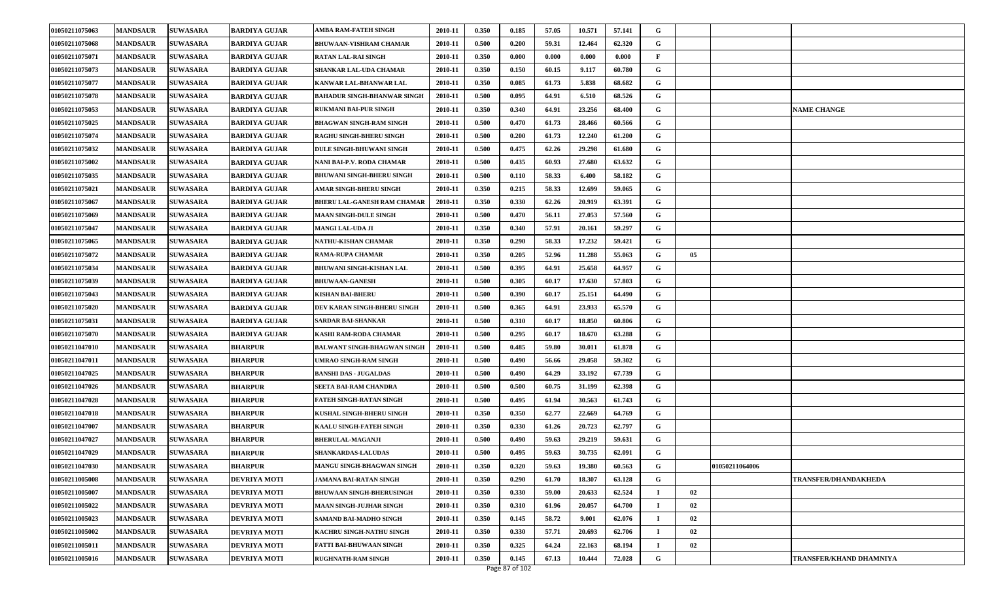| 01050211075063 | <b>MANDSAUR</b> | <b>SUWASARA</b> | <b>BARDIYA GUJAR</b> | AMBA RAM-FATEH SINGH               | 2010-11 | 0.350 | 0.185          | 57.05 | 10.571 | 57.141 | G            |    |                |                             |
|----------------|-----------------|-----------------|----------------------|------------------------------------|---------|-------|----------------|-------|--------|--------|--------------|----|----------------|-----------------------------|
| 01050211075068 | <b>MANDSAUR</b> | <b>SUWASARA</b> | <b>BARDIYA GUJAR</b> | <b>BHUWAAN-VISHRAM CHAMAR</b>      | 2010-11 | 0.500 | 0.200          | 59.31 | 12.464 | 62.320 | G            |    |                |                             |
| 01050211075071 | <b>MANDSAUR</b> | <b>SUWASARA</b> | <b>BARDIYA GUJAR</b> | <b>RATAN LAL-RAI SINGH</b>         | 2010-11 | 0.350 | 0.000          | 0.000 | 0.000  | 0.000  | $\mathbf{F}$ |    |                |                             |
| 01050211075073 | <b>MANDSAUR</b> | <b>SUWASARA</b> | BARDIYA GUJAR        | SHANKAR LAL-UDA CHAMAR             | 2010-11 | 0.350 | 0.150          | 60.15 | 9.117  | 60.780 | G            |    |                |                             |
| 01050211075077 | <b>MANDSAUR</b> | <b>SUWASARA</b> | <b>BARDIYA GUJAR</b> | KANWAR LAL-BHANWAR LAL             | 2010-11 | 0.350 | 0.085          | 61.73 | 5.838  | 68.682 | G            |    |                |                             |
| 01050211075078 | <b>MANDSAUR</b> | <b>SUWASARA</b> | <b>BARDIYA GUJAR</b> | <b>BAHADUR SINGH-BHANWAR SINGH</b> | 2010-11 | 0.500 | 0.095          | 64.91 | 6.510  | 68.526 | G            |    |                |                             |
| 01050211075053 | <b>MANDSAUR</b> | <b>SUWASARA</b> | <b>BARDIYA GUJAR</b> | <b>RUKMANI BAI-PUR SINGH</b>       | 2010-11 | 0.350 | 0.340          | 64.91 | 23.256 | 68.400 | G            |    |                | <b>NAME CHANGE</b>          |
| 01050211075025 | <b>MANDSAUR</b> | <b>SUWASARA</b> | <b>BARDIYA GUJAR</b> | <b>BHAGWAN SINGH-RAM SINGH</b>     | 2010-11 | 0.500 | 0.470          | 61.73 | 28.466 | 60.566 | G            |    |                |                             |
| 01050211075074 | <b>MANDSAUR</b> | <b>SUWASARA</b> | <b>BARDIYA GUJAR</b> | RAGHU SINGH-BHERU SINGH            | 2010-11 | 0.500 | 0.200          | 61.73 | 12.240 | 61.200 | G            |    |                |                             |
| 01050211075032 | <b>MANDSAUR</b> | <b>SUWASARA</b> | <b>BARDIYA GUJAR</b> | <b>DULE SINGH-BHUWANI SINGH</b>    | 2010-11 | 0.500 | 0.475          | 62.26 | 29.298 | 61.680 | G            |    |                |                             |
| 01050211075002 | <b>MANDSAUR</b> | <b>SUWASARA</b> | <b>BARDIYA GUJAR</b> | NANI BAI-P.V. RODA CHAMAR          | 2010-11 | 0.500 | 0.435          | 60.93 | 27.680 | 63.632 | G            |    |                |                             |
| 01050211075035 | <b>MANDSAUR</b> | <b>SUWASARA</b> | <b>BARDIYA GUJAR</b> | <b>BHUWANI SINGH-BHERU SINGH</b>   | 2010-11 | 0.500 | 0.110          | 58.33 | 6.400  | 58.182 | G            |    |                |                             |
| 01050211075021 | <b>MANDSAUR</b> | <b>SUWASARA</b> | <b>BARDIYA GUJAR</b> | <b>AMAR SINGH-BHERU SINGH</b>      | 2010-11 | 0.350 | 0.215          | 58.33 | 12.699 | 59.065 | G            |    |                |                             |
| 01050211075067 | <b>MANDSAUR</b> | <b>SUWASARA</b> | <b>BARDIYA GUJAR</b> | <b>BHERU LAL-GANESH RAM CHAMAR</b> | 2010-11 | 0.350 | 0.330          | 62.26 | 20.919 | 63.391 | G            |    |                |                             |
| 01050211075069 | <b>MANDSAUR</b> | <b>SUWASARA</b> | <b>BARDIYA GUJAR</b> | <b>MAAN SINGH-DULE SINGH</b>       | 2010-11 | 0.500 | 0.470          | 56.11 | 27.053 | 57.560 | G            |    |                |                             |
| 01050211075047 | <b>MANDSAUR</b> | <b>SUWASARA</b> | <b>BARDIYA GUJAR</b> | <b>MANGI LAL-UDA JI</b>            | 2010-11 | 0.350 | 0.340          | 57.91 | 20.161 | 59.297 | G            |    |                |                             |
| 01050211075065 | <b>MANDSAUR</b> | <b>SUWASARA</b> | <b>BARDIYA GUJAR</b> | <b>NATHU-KISHAN CHAMAR</b>         | 2010-11 | 0.350 | 0.290          | 58.33 | 17.232 | 59.421 | G            |    |                |                             |
| 01050211075072 | <b>MANDSAUR</b> | <b>SUWASARA</b> | <b>BARDIYA GUJAR</b> | <b>RAMA-RUPA CHAMAR</b>            | 2010-11 | 0.350 | 0.205          | 52.96 | 11.288 | 55.063 | G            | 05 |                |                             |
| 01050211075034 | <b>MANDSAUR</b> | <b>SUWASARA</b> | <b>BARDIYA GUJAR</b> | <b>BHUWANI SINGH-KISHAN LAL</b>    | 2010-11 | 0.500 | 0.395          | 64.91 | 25.658 | 64.957 | G            |    |                |                             |
| 01050211075039 | <b>MANDSAUR</b> | <b>SUWASARA</b> | <b>BARDIYA GUJAR</b> | <b>BHUWAAN-GANESH</b>              | 2010-11 | 0.500 | 0.305          | 60.17 | 17.630 | 57.803 | G            |    |                |                             |
| 01050211075043 | <b>MANDSAUR</b> | <b>SUWASARA</b> | <b>BARDIYA GUJAR</b> | <b>KISHAN BAI-BHERU</b>            | 2010-11 | 0.500 | 0.390          | 60.17 | 25.151 | 64.490 | G            |    |                |                             |
| 01050211075020 | <b>MANDSAUR</b> | <b>SUWASARA</b> | <b>BARDIYA GUJAR</b> | DEV KARAN SINGH-BHERU SINGH        | 2010-11 | 0.500 | 0.365          | 64.91 | 23.933 | 65.570 | G            |    |                |                             |
| 01050211075031 | <b>MANDSAUR</b> | <b>SUWASARA</b> | BARDIYA GUJAR        | <b>SARDAR BAI-SHANKAR</b>          | 2010-11 | 0.500 | 0.310          | 60.17 | 18.850 | 60.806 | G            |    |                |                             |
| 01050211075070 | <b>MANDSAUR</b> | <b>SUWASARA</b> | <b>BARDIYA GUJAR</b> | KASHI RAM-RODA CHAMAR              | 2010-11 | 0.500 | 0.295          | 60.17 | 18.670 | 63.288 | G            |    |                |                             |
| 01050211047010 | <b>MANDSAUR</b> | <b>SUWASARA</b> | <b>BHARPUR</b>       | BALWANT SINGH-BHAGWAN SINGH        | 2010-11 | 0.500 | 0.485          | 59.80 | 30.011 | 61.878 | G            |    |                |                             |
| 01050211047011 | <b>MANDSAUR</b> | <b>SUWASARA</b> | <b>BHARPUR</b>       | UMRAO SINGH-RAM SINGH              | 2010-11 | 0.500 | 0.490          | 56.66 | 29.058 | 59.302 | G            |    |                |                             |
| 01050211047025 | <b>MANDSAUR</b> | <b>SUWASARA</b> | <b>BHARPUR</b>       | <b>BANSHI DAS - JUGALDAS</b>       | 2010-11 | 0.500 | 0.490          | 64.29 | 33.192 | 67.739 | G            |    |                |                             |
| 01050211047026 | <b>MANDSAUR</b> | <b>SUWASARA</b> | <b>BHARPUR</b>       | SEETA BAI-RAM CHANDRA              | 2010-11 | 0.500 | 0.500          | 60.75 | 31.199 | 62.398 | G            |    |                |                             |
| 01050211047028 | <b>MANDSAUR</b> | <b>SUWASARA</b> | <b>BHARPUR</b>       | <b>FATEH SINGH-RATAN SINGH</b>     | 2010-11 | 0.500 | 0.495          | 61.94 | 30.563 | 61.743 | G            |    |                |                             |
| 01050211047018 | <b>MANDSAUR</b> | <b>SUWASARA</b> | <b>BHARPUR</b>       | KUSHAL SINGH-BHERU SINGH           | 2010-11 | 0.350 | 0.350          | 62.77 | 22.669 | 64.769 | G            |    |                |                             |
| 01050211047007 | <b>MANDSAUR</b> | <b>SUWASARA</b> | <b>BHARPUR</b>       | KAALU SINGH-FATEH SINGH            | 2010-11 | 0.350 | 0.330          | 61.26 | 20.723 | 62.797 | G            |    |                |                             |
| 01050211047027 | <b>MANDSAUR</b> | <b>SUWASARA</b> | <b>BHARPUR</b>       | <b>BHERULAL-MAGANJI</b>            | 2010-11 | 0.500 | 0.490          | 59.63 | 29.219 | 59.631 | G            |    |                |                             |
| 01050211047029 | <b>MANDSAUR</b> | <b>SUWASARA</b> | <b>BHARPUR</b>       | <b>SHANKARDAS-LALUDAS</b>          | 2010-11 | 0.500 | 0.495          | 59.63 | 30.735 | 62.091 | G            |    |                |                             |
| 01050211047030 | <b>MANDSAUR</b> | <b>SUWASARA</b> | <b>BHARPUR</b>       | MANGU SINGH-BHAGWAN SINGH          | 2010-11 | 0.350 | 0.320          | 59.63 | 19.380 | 60.563 | G            |    | 01050211064006 |                             |
| 01050211005008 | <b>MANDSAUR</b> | <b>SUWASARA</b> | <b>DEVRIYA MOTI</b>  | <b>JAMANA BAI-RATAN SINGH</b>      | 2010-11 | 0.350 | 0.290          | 61.70 | 18.307 | 63.128 | G            |    |                | <b>TRANSFER/DHANDAKHEDA</b> |
| 01050211005007 | <b>MANDSAUR</b> | <b>SUWASARA</b> | <b>DEVRIYA MOTI</b>  | <b>BHUWAAN SINGH-BHERUSINGH</b>    | 2010-11 | 0.350 | 0.330          | 59.00 | 20.633 | 62.524 |              | 02 |                |                             |
| 01050211005022 | <b>MANDSAUR</b> | <b>SUWASARA</b> | <b>DEVRIYA MOTI</b>  | <b>MAAN SINGH-JUJHAR SINGH</b>     | 2010-11 | 0.350 | 0.310          | 61.96 | 20.057 | 64.700 |              | 02 |                |                             |
| 01050211005023 | <b>MANDSAUR</b> | <b>SUWASARA</b> | <b>DEVRIYA MOTI</b>  | <b>SAMAND BAI-MADHO SINGH</b>      | 2010-11 | 0.350 | 0.145          | 58.72 | 9.001  | 62.076 |              | 02 |                |                             |
| 01050211005002 | <b>MANDSAUR</b> | <b>SUWASARA</b> | <b>DEVRIYA MOTI</b>  | KACHRU SINGH-NATHU SINGH           | 2010-11 | 0.350 | 0.330          | 57.71 | 20.693 | 62.706 |              | 02 |                |                             |
| 01050211005011 | <b>MANDSAUR</b> | <b>SUWASARA</b> | <b>DEVRIYA MOTI</b>  | <b>FATTI BAI-BHUWAAN SINGH</b>     | 2010-11 | 0.350 | 0.325          | 64.24 | 22.163 | 68.194 |              | 02 |                |                             |
| 01050211005016 | <b>MANDSAUR</b> | <b>SUWASARA</b> | <b>DEVRIYA MOTI</b>  | <b>RUGHNATH-RAM SINGH</b>          | 2010-11 | 0.350 | 0.145          | 67.13 | 10.444 | 72.028 | G            |    |                | TRANSFER/KHAND DHAMNIYA     |
|                |                 |                 |                      |                                    |         |       | Page 87 of 102 |       |        |        |              |    |                |                             |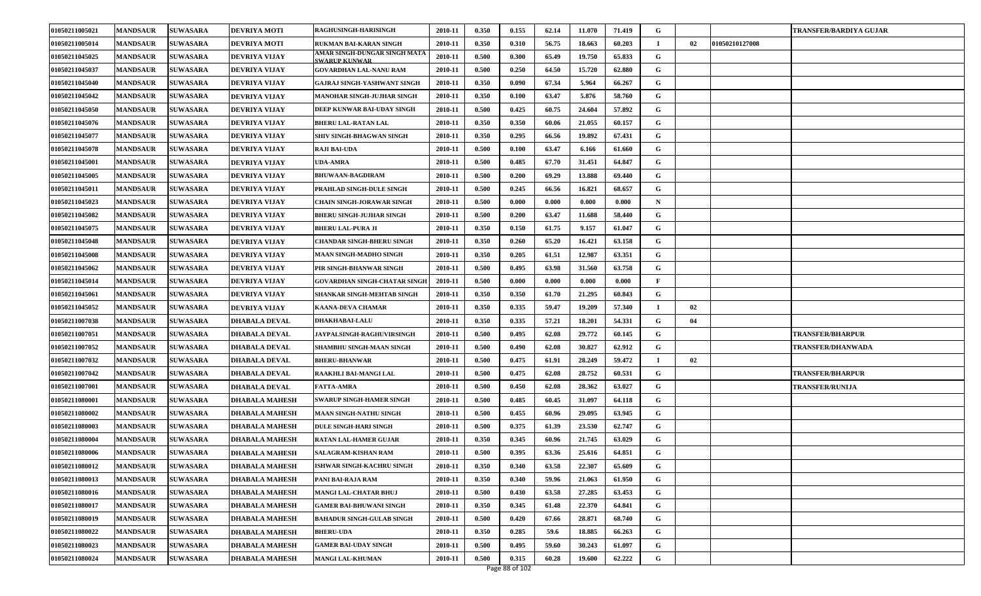| 01050211005021 | <b>MANDSAUR</b> | <b>SUWASARA</b> | <b>DEVRIYA MOTI</b>   | <b>RAGHUSINGH-HARISINGH</b>                           | 2010-11 | 0.350 | 0.155 | 62.14 | 11.070 | 71.419 | G           |    |                | TRANSFER/BARDIYA GUJAR   |
|----------------|-----------------|-----------------|-----------------------|-------------------------------------------------------|---------|-------|-------|-------|--------|--------|-------------|----|----------------|--------------------------|
| 01050211005014 | <b>MANDSAUR</b> | <b>SUWASARA</b> | <b>DEVRIYA MOTI</b>   | RUKMAN BAI-KARAN SINGH                                | 2010-11 | 0.350 | 0.310 | 56.75 | 18.663 | 60.203 | $\mathbf I$ | 02 | 01050210127008 |                          |
| 01050211045025 | <b>MANDSAUR</b> | <b>SUWASARA</b> | DEVRIYA VIJAY         | AMAR SINGH-DUNGAR SINGH MATA<br><b>SWARIIP KUNWAR</b> | 2010-11 | 0.500 | 0.300 | 65.49 | 19.750 | 65.833 | G           |    |                |                          |
| 01050211045037 | <b>MANDSAUR</b> | <b>SUWASARA</b> | DEVRIYA VIJAY         | <b>GOVARDHAN LAL-NANU RAM</b>                         | 2010-11 | 0.500 | 0.250 | 64.50 | 15.720 | 62.880 | G           |    |                |                          |
| 01050211045040 | <b>MANDSAUR</b> | <b>SUWASARA</b> | DEVRIYA VIJAY         | <b>GAJRAJ SINGH-YASHWANT SINGH</b>                    | 2010-11 | 0.350 | 0.090 | 67.34 | 5.964  | 66.267 | G           |    |                |                          |
| 01050211045042 | <b>MANDSAUR</b> | <b>SUWASARA</b> | DEVRIYA VIJAY         | <b>MANOHAR SINGH-JUJHAR SINGH</b>                     | 2010-11 | 0.350 | 0.100 | 63.47 | 5.876  | 58.760 | G           |    |                |                          |
| 01050211045050 | <b>MANDSAUR</b> | <b>SUWASARA</b> | DEVRIYA VIJAY         | DEEP KUNWAR BAI-UDAY SINGH                            | 2010-11 | 0.500 | 0.425 | 60.75 | 24.604 | 57.892 | G           |    |                |                          |
| 01050211045076 | <b>MANDSAUR</b> | <b>SUWASARA</b> | DEVRIYA VIJAY         | <b>BHERU LAL-RATAN LAL</b>                            | 2010-11 | 0.350 | 0.350 | 60.06 | 21.055 | 60.157 | G           |    |                |                          |
| 01050211045077 | <b>MANDSAUR</b> | <b>SUWASARA</b> | DEVRIYA VIJAY         | SHIV SINGH-BHAGWAN SINGH                              | 2010-11 | 0.350 | 0.295 | 66.56 | 19.892 | 67.431 | G           |    |                |                          |
| 01050211045078 | <b>MANDSAUR</b> | <b>SUWASARA</b> | DEVRIYA VIJAY         | <b>RAJI BAI-UDA</b>                                   | 2010-11 | 0.500 | 0.100 | 63.47 | 6.166  | 61.660 | G           |    |                |                          |
| 01050211045001 | <b>MANDSAUR</b> | <b>SUWASARA</b> | DEVRIYA VIJAY         | <b>UDA-AMRA</b>                                       | 2010-11 | 0.500 | 0.485 | 67.70 | 31.451 | 64.847 | G           |    |                |                          |
| 01050211045005 | <b>MANDSAUR</b> | <b>SUWASARA</b> | DEVRIYA VIJAY         | <b>BHUWAAN-BAGDIRAM</b>                               | 2010-11 | 0.500 | 0.200 | 69.29 | 13.888 | 69.440 | G           |    |                |                          |
| 01050211045011 | <b>MANDSAUR</b> | <b>SUWASARA</b> | DEVRIYA VIJAY         | PRAHLAD SINGH-DULE SINGH                              | 2010-11 | 0.500 | 0.245 | 66.56 | 16.821 | 68.657 | G           |    |                |                          |
| 01050211045023 | <b>MANDSAUR</b> | <b>SUWASARA</b> | DEVRIYA VIJAY         | <b>CHAIN SINGH-JORAWAR SINGH</b>                      | 2010-11 | 0.500 | 0.000 | 0.000 | 0.000  | 0.000  | N           |    |                |                          |
| 01050211045082 | <b>MANDSAUR</b> | <b>SUWASARA</b> | DEVRIYA VIJAY         | <b>BHERU SINGH-JUJHAR SINGH</b>                       | 2010-11 | 0.500 | 0.200 | 63.47 | 11.688 | 58.440 | G           |    |                |                          |
| 01050211045075 | <b>MANDSAUR</b> | <b>SUWASARA</b> | DEVRIYA VIJAY         | <b>BHERU LAL-PURA JI</b>                              | 2010-11 | 0.350 | 0.150 | 61.75 | 9.157  | 61.047 | G           |    |                |                          |
| 01050211045048 | <b>MANDSAUR</b> | <b>SUWASARA</b> | DEVRIYA VIJAY         | <b>CHANDAR SINGH-BHERU SINGH</b>                      | 2010-11 | 0.350 | 0.260 | 65.20 | 16.421 | 63.158 | G           |    |                |                          |
| 01050211045008 | <b>MANDSAUR</b> | <b>SUWASARA</b> | <b>DEVRIYA VIJAY</b>  | <b>MAAN SINGH-MADHO SINGH</b>                         | 2010-11 | 0.350 | 0.205 | 61.51 | 12.987 | 63.351 | G           |    |                |                          |
| 01050211045062 | <b>MANDSAUR</b> | <b>SUWASARA</b> | DEVRIYA VIJAY         | PIR SINGH-BHANWAR SINGH                               | 2010-11 | 0.500 | 0.495 | 63.98 | 31.560 | 63.758 | G           |    |                |                          |
| 01050211045014 | <b>MANDSAUR</b> | <b>SUWASARA</b> | DEVRIYA VIJAY         | <b>GOVARDHAN SINGH-CHATAR SINGH</b>                   | 2010-11 | 0.500 | 0.000 | 0.000 | 0.000  | 0.000  | F           |    |                |                          |
| 01050211045061 | <b>MANDSAUR</b> | <b>SUWASARA</b> | DEVRIYA VIJAY         | SHANKAR SINGH-MEHTAB SINGH                            | 2010-11 | 0.350 | 0.350 | 61.70 | 21.295 | 60.843 | G           |    |                |                          |
| 01050211045052 | <b>MANDSAUR</b> | <b>SUWASARA</b> | DEVRIYA VIJAY         | <b>KAANA-DEVA CHAMAR</b>                              | 2010-11 | 0.350 | 0.335 | 59.47 | 19.209 | 57.340 | $\mathbf I$ | 02 |                |                          |
| 01050211007038 | <b>MANDSAUR</b> | <b>SUWASARA</b> | DHABALA DEVAL         | <b>DHAKHABAI-LALU</b>                                 | 2010-11 | 0.350 | 0.335 | 57.21 | 18.201 | 54.331 | G           | 04 |                |                          |
| 01050211007051 | <b>MANDSAUR</b> | <b>SUWASARA</b> | <b>DHABALA DEVAL</b>  | <b>JAYPALSINGH-RAGHUVIRSINGH</b>                      | 2010-11 | 0.500 | 0.495 | 62.08 | 29.772 | 60.145 | G           |    |                | <b>TRANSFER/BHARPUR</b>  |
| 01050211007052 | <b>MANDSAUR</b> | <b>SUWASARA</b> | <b>DHABALA DEVAL</b>  | SHAMBHU SINGH-MAAN SINGH                              | 2010-11 | 0.500 | 0.490 | 62.08 | 30.827 | 62.912 | G           |    |                | <b>TRANSFER/DHANWADA</b> |
| 01050211007032 | <b>MANDSAUR</b> | <b>SUWASARA</b> | <b>DHABALA DEVAL</b>  | <b>BHERU-BHANWAR</b>                                  | 2010-11 | 0.500 | 0.475 | 61.91 | 28.249 | 59.472 | $\mathbf I$ | 02 |                |                          |
| 01050211007042 | <b>MANDSAUR</b> | <b>SUWASARA</b> | DHABALA DEVAL         | RAAKHLI BAI-MANGI LAL                                 | 2010-11 | 0.500 | 0.475 | 62.08 | 28.752 | 60.531 | G           |    |                | <b>TRANSFER/BHARPUR</b>  |
| 01050211007001 | <b>MANDSAUR</b> | <b>SUWASARA</b> | <b>DHABALA DEVAL</b>  | <b>FATTA-AMRA</b>                                     | 2010-11 | 0.500 | 0.450 | 62.08 | 28.362 | 63.027 | G           |    |                | <b>TRANSFER/RUNLJA</b>   |
| 01050211080001 | <b>MANDSAUR</b> | <b>SUWASARA</b> | DHABALA MAHESH        | <b>SWARUP SINGH-HAMER SINGH</b>                       | 2010-11 | 0.500 | 0.485 | 60.45 | 31.097 | 64.118 | G           |    |                |                          |
| 01050211080002 | <b>MANDSAUR</b> | <b>SUWASARA</b> | <b>DHABALA MAHESH</b> | <b>MAAN SINGH-NATHU SINGH</b>                         | 2010-11 | 0.500 | 0.455 | 60.96 | 29.095 | 63.945 | G           |    |                |                          |
| 01050211080003 | <b>MANDSAUR</b> | <b>SUWASARA</b> | DHABALA MAHESH        | <b>DULE SINGH-HARI SINGH</b>                          | 2010-11 | 0.500 | 0.375 | 61.39 | 23.530 | 62.747 | G           |    |                |                          |
| 01050211080004 | <b>MANDSAUR</b> | <b>SUWASARA</b> | DHABALA MAHESH        | <b>RATAN LAL-HAMER GUJAR</b>                          | 2010-11 | 0.350 | 0.345 | 60.96 | 21.745 | 63.029 | G           |    |                |                          |
| 01050211080006 | <b>MANDSAUR</b> | <b>SUWASARA</b> | <b>DHABALA MAHESH</b> | SALAGRAM-KISHAN RAM                                   | 2010-11 | 0.500 | 0.395 | 63.36 | 25.616 | 64.851 | G           |    |                |                          |
| 01050211080012 | <b>MANDSAUR</b> | <b>SUWASARA</b> | <b>DHABALA MAHESH</b> | ISHWAR SINGH-KACHRU SINGH                             | 2010-11 | 0.350 | 0.340 | 63.58 | 22.307 | 65.609 | G           |    |                |                          |
| 01050211080013 | <b>MANDSAUR</b> | <b>SUWASARA</b> | DHABALA MAHESH        | PANI BAI-RAJA RAM                                     | 2010-11 | 0.350 | 0.340 | 59.96 | 21.063 | 61.950 | G           |    |                |                          |
| 01050211080016 | <b>MANDSAUR</b> | <b>SUWASARA</b> | DHABALA MAHESH        | MANGI LAL-CHATAR BHUJ                                 | 2010-11 | 0.500 | 0.430 | 63.58 | 27.285 | 63.453 | G           |    |                |                          |
| 01050211080017 | <b>MANDSAUR</b> | <b>SUWASARA</b> | <b>DHABALA MAHESH</b> | <b>GAMER BAI-BHUWANI SINGH</b>                        | 2010-11 | 0.350 | 0.345 | 61.48 | 22.370 | 64.841 | G           |    |                |                          |
| 01050211080019 | <b>MANDSAUR</b> | <b>SUWASARA</b> | DHABALA MAHESH        | <b>BAHADUR SINGH-GULAB SINGH</b>                      | 2010-11 | 0.500 | 0.420 | 67.66 | 28.871 | 68.740 | G           |    |                |                          |
| 01050211080022 | <b>MANDSAUR</b> | <b>SUWASARA</b> | DHABALA MAHESH        | <b>BHERU-UDA</b>                                      | 2010-11 | 0.350 | 0.285 | 59.6  | 18.885 | 66.263 | G           |    |                |                          |
| 01050211080023 | <b>MANDSAUR</b> | <b>SUWASARA</b> | DHABALA MAHESH        | <b>GAMER BAI-UDAY SINGH</b>                           | 2010-11 | 0.500 | 0.495 | 59.60 | 30.243 | 61.097 | G           |    |                |                          |
| 01050211080024 | <b>MANDSAUR</b> | <b>SUWASARA</b> | <b>DHABALA MAHESH</b> | <b>MANGI LAL-KHUMAN</b>                               | 2010-11 | 0.500 | 0.315 | 60.28 | 19.600 | 62.222 | G           |    |                |                          |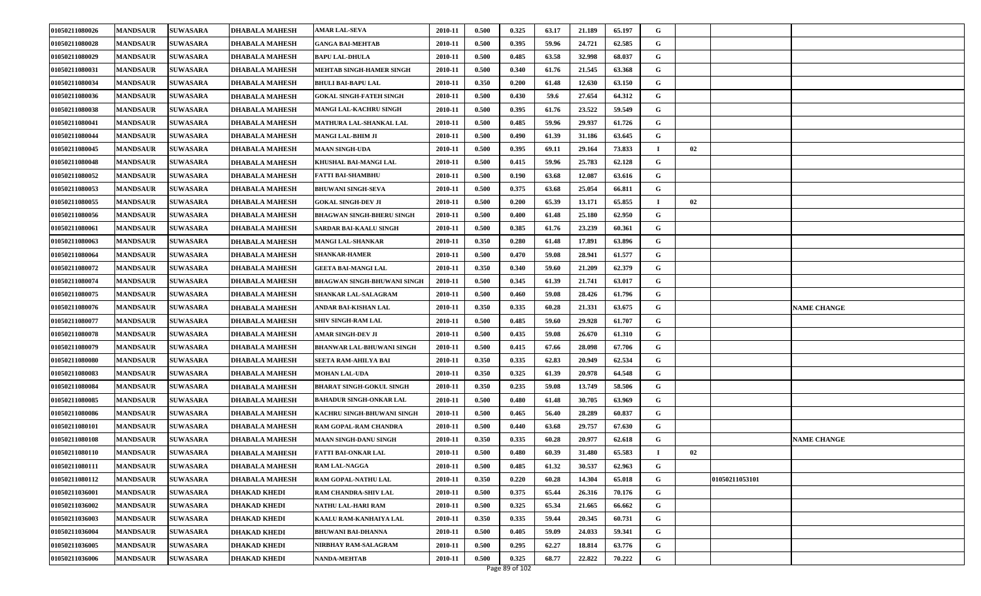| 01050211080026 | <b>MANDSAUR</b> | <b>SUWASARA</b> | <b>DHABALA MAHESH</b> | <b>AMAR LAL-SEVA</b>               | 2010-11 | 0.500 | 0.325 | 63.17 | 21.189 | 65.197 | G |    |                |                    |
|----------------|-----------------|-----------------|-----------------------|------------------------------------|---------|-------|-------|-------|--------|--------|---|----|----------------|--------------------|
| 01050211080028 | <b>MANDSAUR</b> | <b>SUWASARA</b> | <b>DHABALA MAHESH</b> | <b>GANGA BAI-MEHTAB</b>            | 2010-11 | 0.500 | 0.395 | 59.96 | 24.721 | 62.585 | G |    |                |                    |
| 01050211080029 | <b>MANDSAUR</b> | <b>SUWASARA</b> | <b>DHABALA MAHESH</b> | <b>BAPU LAL-DHULA</b>              | 2010-11 | 0.500 | 0.485 | 63.58 | 32.998 | 68.037 | G |    |                |                    |
| 01050211080031 | <b>MANDSAUR</b> | <b>SUWASARA</b> | <b>DHABALA MAHESH</b> | MEHTAB SINGH-HAMER SINGH           | 2010-11 | 0.500 | 0.340 | 61.76 | 21.545 | 63.368 | G |    |                |                    |
| 01050211080034 | <b>MANDSAUR</b> | <b>SUWASARA</b> | <b>DHABALA MAHESH</b> | <b>BHULI BAI-BAPU LAL</b>          | 2010-11 | 0.350 | 0.200 | 61.48 | 12.630 | 63.150 | G |    |                |                    |
| 01050211080036 | <b>MANDSAUR</b> | <b>SUWASARA</b> | <b>DHABALA MAHESH</b> | <b>GOKAL SINGH-FATEH SINGH</b>     | 2010-11 | 0.500 | 0.430 | 59.6  | 27.654 | 64.312 | G |    |                |                    |
| 01050211080038 | <b>MANDSAUR</b> | <b>SUWASARA</b> | <b>DHABALA MAHESH</b> | <b>MANGI LAL-KACHRU SINGH</b>      | 2010-11 | 0.500 | 0.395 | 61.76 | 23.522 | 59.549 | G |    |                |                    |
| 01050211080041 | <b>MANDSAUR</b> | <b>SUWASARA</b> | <b>DHABALA MAHESH</b> | MATHURA LAL-SHANKAL LAL            | 2010-11 | 0.500 | 0.485 | 59.96 | 29.937 | 61.726 | G |    |                |                    |
| 01050211080044 | <b>MANDSAUR</b> | <b>SUWASARA</b> | <b>DHABALA MAHESH</b> | <b>MANGI LAL-BHIM JI</b>           | 2010-11 | 0.500 | 0.490 | 61.39 | 31.186 | 63.645 | G |    |                |                    |
| 01050211080045 | <b>MANDSAUR</b> | <b>SUWASARA</b> | <b>DHABALA MAHESH</b> | <b>MAAN SINGH-UDA</b>              | 2010-11 | 0.500 | 0.395 | 69.11 | 29.164 | 73.833 |   | 02 |                |                    |
| 01050211080048 | <b>MANDSAUR</b> | <b>SUWASARA</b> | <b>DHABALA MAHESH</b> | KHUSHAL BAI-MANGI LAL              | 2010-11 | 0.500 | 0.415 | 59.96 | 25.783 | 62.128 | G |    |                |                    |
| 01050211080052 | <b>MANDSAUR</b> | <b>SUWASARA</b> | <b>DHABALA MAHESH</b> | <b>FATTI BAI-SHAMBHU</b>           | 2010-11 | 0.500 | 0.190 | 63.68 | 12.087 | 63.616 | G |    |                |                    |
| 01050211080053 | <b>MANDSAUR</b> | <b>SUWASARA</b> | <b>DHABALA MAHESH</b> | <b>BHUWANI SINGH-SEVA</b>          | 2010-11 | 0.500 | 0.375 | 63.68 | 25.054 | 66.811 | G |    |                |                    |
| 01050211080055 | <b>MANDSAUR</b> | <b>SUWASARA</b> | <b>DHABALA MAHESH</b> | <b>GOKAL SINGH-DEV JI</b>          | 2010-11 | 0.500 | 0.200 | 65.39 | 13.171 | 65.855 |   | 02 |                |                    |
| 01050211080056 | <b>MANDSAUR</b> | <b>SUWASARA</b> | <b>DHABALA MAHESH</b> | <b>BHAGWAN SINGH-BHERU SINGH</b>   | 2010-11 | 0.500 | 0.400 | 61.48 | 25.180 | 62.950 | G |    |                |                    |
| 01050211080061 | <b>MANDSAUR</b> | <b>SUWASARA</b> | <b>DHABALA MAHESH</b> | <b>SARDAR BAI-KAALU SINGH</b>      | 2010-11 | 0.500 | 0.385 | 61.76 | 23.239 | 60.361 | G |    |                |                    |
| 01050211080063 | <b>MANDSAUR</b> | <b>SUWASARA</b> | <b>DHABALA MAHESH</b> | <b>MANGI LAL-SHANKAR</b>           | 2010-11 | 0.350 | 0.280 | 61.48 | 17.891 | 63.896 | G |    |                |                    |
| 01050211080064 | <b>MANDSAUR</b> | <b>SUWASARA</b> | <b>DHABALA MAHESH</b> | <b>SHANKAR-HAMER</b>               | 2010-11 | 0.500 | 0.470 | 59.08 | 28.941 | 61.577 | G |    |                |                    |
| 01050211080072 | <b>MANDSAUR</b> | <b>SUWASARA</b> | <b>DHABALA MAHESH</b> | <b>GEETA BAI-MANGI LAL</b>         | 2010-11 | 0.350 | 0.340 | 59.60 | 21.209 | 62.379 | G |    |                |                    |
| 01050211080074 | <b>MANDSAUR</b> | <b>SUWASARA</b> | <b>DHABALA MAHESH</b> | <b>BHAGWAN SINGH-BHUWANI SINGH</b> | 2010-11 | 0.500 | 0.345 | 61.39 | 21.741 | 63.017 | G |    |                |                    |
| 01050211080075 | <b>MANDSAUR</b> | <b>SUWASARA</b> | <b>DHABALA MAHESH</b> | <b>SHANKAR LAL-SALAGRAM</b>        | 2010-11 | 0.500 | 0.460 | 59.08 | 28.426 | 61.796 | G |    |                |                    |
| 01050211080076 | <b>MANDSAUR</b> | <b>SUWASARA</b> | <b>DHABALA MAHESH</b> | ANDAR BAI-KISHAN LAL               | 2010-11 | 0.350 | 0.335 | 60.28 | 21.331 | 63.675 | G |    |                | <b>NAME CHANGE</b> |
| 01050211080077 | <b>MANDSAUR</b> | <b>SUWASARA</b> | <b>DHABALA MAHESH</b> | <b>SHIV SINGH-RAM LAL</b>          | 2010-11 | 0.500 | 0.485 | 59.60 | 29.928 | 61.707 | G |    |                |                    |
| 01050211080078 | <b>MANDSAUR</b> | <b>SUWASARA</b> | <b>DHABALA MAHESH</b> | <b>AMAR SINGH-DEV JI</b>           | 2010-11 | 0.500 | 0.435 | 59.08 | 26.670 | 61.310 | G |    |                |                    |
| 01050211080079 | <b>MANDSAUR</b> | <b>SUWASARA</b> | <b>DHABALA MAHESH</b> | <b>BHANWAR LAL-BHUWANI SINGH</b>   | 2010-11 | 0.500 | 0.415 | 67.66 | 28.098 | 67.706 | G |    |                |                    |
| 01050211080080 | <b>MANDSAUR</b> | <b>SUWASARA</b> | <b>DHABALA MAHESH</b> | SEETA RAM-AHILYA BAI               | 2010-11 | 0.350 | 0.335 | 62.83 | 20.949 | 62.534 | G |    |                |                    |
| 01050211080083 | <b>MANDSAUR</b> | <b>SUWASARA</b> | <b>DHABALA MAHESH</b> | <b>MOHAN LAL-UDA</b>               | 2010-11 | 0.350 | 0.325 | 61.39 | 20.978 | 64.548 | G |    |                |                    |
| 01050211080084 | <b>MANDSAUR</b> | <b>SUWASARA</b> | <b>DHABALA MAHESH</b> | <b>BHARAT SINGH-GOKUL SINGH</b>    | 2010-11 | 0.350 | 0.235 | 59.08 | 13.749 | 58.506 | G |    |                |                    |
| 01050211080085 | <b>MANDSAUR</b> | <b>SUWASARA</b> | <b>DHABALA MAHESH</b> | <b>BAHADUR SINGH-ONKAR LAL</b>     | 2010-11 | 0.500 | 0.480 | 61.48 | 30.705 | 63.969 | G |    |                |                    |
| 01050211080086 | <b>MANDSAUR</b> | <b>SUWASARA</b> | <b>DHABALA MAHESH</b> | KACHRU SINGH-BHUWANI SINGH         | 2010-11 | 0.500 | 0.465 | 56.40 | 28.289 | 60.837 | G |    |                |                    |
| 01050211080101 | <b>MANDSAUR</b> | <b>SUWASARA</b> | <b>DHABALA MAHESH</b> | RAM GOPAL-RAM CHANDRA              | 2010-11 | 0.500 | 0.440 | 63.68 | 29.757 | 67.630 | G |    |                |                    |
| 01050211080108 | <b>MANDSAUR</b> | <b>SUWASARA</b> | <b>DHABALA MAHESH</b> | <b>MAAN SINGH-DANU SINGH</b>       | 2010-11 | 0.350 | 0.335 | 60.28 | 20.977 | 62.618 | G |    |                | <b>NAME CHANGE</b> |
| 01050211080110 | <b>MANDSAUR</b> | <b>SUWASARA</b> | <b>DHABALA MAHESH</b> | <b>FATTI BAI-ONKAR LAL</b>         | 2010-11 | 0.500 | 0.480 | 60.39 | 31.480 | 65.583 |   | 02 |                |                    |
| 01050211080111 | <b>MANDSAUR</b> | <b>SUWASARA</b> | <b>DHABALA MAHESH</b> | <b>RAM LAL-NAGGA</b>               | 2010-11 | 0.500 | 0.485 | 61.32 | 30.537 | 62.963 | G |    |                |                    |
| 01050211080112 | <b>MANDSAUR</b> | <b>SUWASARA</b> | <b>DHABALA MAHESH</b> | RAM GOPAL-NATHU LAL                | 2010-11 | 0.350 | 0.220 | 60.28 | 14.304 | 65.018 | G |    | 01050211053101 |                    |
| 01050211036001 | <b>MANDSAUR</b> | <b>SUWASARA</b> | <b>DHAKAD KHEDI</b>   | <b>RAM CHANDRA-SHIV LAL</b>        | 2010-11 | 0.500 | 0.375 | 65.44 | 26.316 | 70.176 | G |    |                |                    |
| 01050211036002 | <b>MANDSAUR</b> | <b>SUWASARA</b> | <b>DHAKAD KHEDI</b>   | NATHU LAL-HARI RAM                 | 2010-11 | 0.500 | 0.325 | 65.34 | 21.665 | 66.662 | G |    |                |                    |
| 01050211036003 | <b>MANDSAUR</b> | <b>SUWASARA</b> | <b>DHAKAD KHEDI</b>   | KAALU RAM-KANHAIYA LAL             | 2010-11 | 0.350 | 0.335 | 59.44 | 20.345 | 60.731 | G |    |                |                    |
| 01050211036004 | <b>MANDSAUR</b> | <b>SUWASARA</b> | <b>DHAKAD KHEDI</b>   | <b>BHUWANI BAI-DHANNA</b>          | 2010-11 | 0.500 | 0.405 | 59.09 | 24.033 | 59.341 | G |    |                |                    |
| 01050211036005 | <b>MANDSAUR</b> | <b>SUWASARA</b> | <b>DHAKAD KHEDI</b>   | NIRBHAY RAM-SALAGRAM               | 2010-11 | 0.500 | 0.295 | 62.27 | 18.814 | 63.776 | G |    |                |                    |
| 01050211036006 | <b>MANDSAUR</b> | <b>SUWASARA</b> | <b>DHAKAD KHEDI</b>   | <b>NANDA-MEHTAB</b>                | 2010-11 | 0.500 | 0.325 | 68.77 | 22.822 | 70.222 | G |    |                |                    |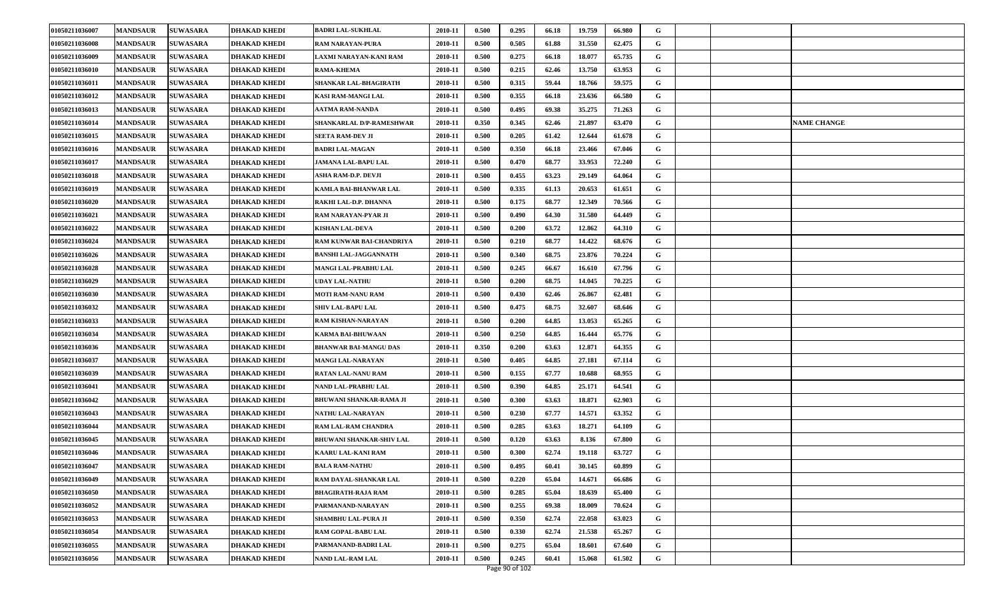| 01050211036007 | <b>MANDSAUR</b> | <b>SUWASARA</b> | <b>DHAKAD KHEDI</b> | <b>BADRI LAL-SUKHLAL</b>        | 2010-11 | 0.500 | 0.295 | 66.18 | 19.759 | 66.980 | G |                    |
|----------------|-----------------|-----------------|---------------------|---------------------------------|---------|-------|-------|-------|--------|--------|---|--------------------|
| 01050211036008 | <b>MANDSAUR</b> | <b>SUWASARA</b> | <b>DHAKAD KHEDI</b> | <b>RAM NARAYAN-PURA</b>         | 2010-11 | 0.500 | 0.505 | 61.88 | 31.550 | 62.475 | G |                    |
| 01050211036009 | <b>MANDSAUR</b> | <b>SUWASARA</b> | <b>DHAKAD KHEDI</b> | LAXMI NARAYAN-KANI RAM          | 2010-11 | 0.500 | 0.275 | 66.18 | 18.077 | 65.735 | G |                    |
| 01050211036010 | <b>MANDSAUR</b> | <b>SUWASARA</b> | <b>DHAKAD KHEDI</b> | <b>RAMA-KHEMA</b>               | 2010-11 | 0.500 | 0.215 | 62.46 | 13.750 | 63.953 | G |                    |
| 01050211036011 | <b>MANDSAUR</b> | <b>SUWASARA</b> | <b>DHAKAD KHEDI</b> | SHANKAR LAL-BHAGIRATH           | 2010-11 | 0.500 | 0.315 | 59.44 | 18.766 | 59.575 | G |                    |
| 01050211036012 | <b>MANDSAUR</b> | <b>SUWASARA</b> | <b>DHAKAD KHEDI</b> | KASI RAM-MANGI LAL              | 2010-11 | 0.500 | 0.355 | 66.18 | 23.636 | 66.580 | G |                    |
| 01050211036013 | <b>MANDSAUR</b> | <b>SUWASARA</b> | <b>DHAKAD KHEDI</b> | <b>AATMA RAM-NANDA</b>          | 2010-11 | 0.500 | 0.495 | 69.38 | 35,275 | 71.263 | G |                    |
| 01050211036014 | <b>MANDSAUR</b> | <b>SUWASARA</b> | <b>DHAKAD KHEDI</b> | SHANKARLAL D/P-RAMESHWAR        | 2010-11 | 0.350 | 0.345 | 62.46 | 21.897 | 63.470 | G | <b>NAME CHANGE</b> |
| 01050211036015 | <b>MANDSAUR</b> | <b>SUWASARA</b> | <b>DHAKAD KHEDI</b> | <b>SEETA RAM-DEV JI</b>         | 2010-11 | 0.500 | 0.205 | 61.42 | 12.644 | 61.678 | G |                    |
| 01050211036016 | <b>MANDSAUR</b> | <b>SUWASARA</b> | <b>DHAKAD KHEDI</b> | <b>BADRI LAL-MAGAN</b>          | 2010-11 | 0.500 | 0.350 | 66.18 | 23.466 | 67.046 | G |                    |
| 01050211036017 | <b>MANDSAUR</b> | <b>SUWASARA</b> | <b>DHAKAD KHEDI</b> | <b>JAMANA LAL-BAPU LAL</b>      | 2010-11 | 0.500 | 0.470 | 68.77 | 33.953 | 72.240 | G |                    |
| 01050211036018 | <b>MANDSAUR</b> | <b>SUWASARA</b> | <b>DHAKAD KHEDI</b> | ASHA RAM-D.P. DEVJI             | 2010-11 | 0.500 | 0.455 | 63.23 | 29.149 | 64.064 | G |                    |
| 01050211036019 | <b>MANDSAUR</b> | <b>SUWASARA</b> | <b>DHAKAD KHEDI</b> | KAMLA BAI-BHANWAR LAL           | 2010-11 | 0.500 | 0.335 | 61.13 | 20.653 | 61.651 | G |                    |
| 01050211036020 | <b>MANDSAUR</b> | <b>SUWASARA</b> | <b>DHAKAD KHEDI</b> | RAKHI LAL-D.P. DHANNA           | 2010-11 | 0.500 | 0.175 | 68.77 | 12.349 | 70.566 | G |                    |
| 01050211036021 | <b>MANDSAUR</b> | <b>SUWASARA</b> | <b>DHAKAD KHEDI</b> | RAM NARAYAN-PYAR JI             | 2010-11 | 0.500 | 0.490 | 64.30 | 31.580 | 64.449 | G |                    |
| 01050211036022 | <b>MANDSAUR</b> | <b>SUWASARA</b> | <b>DHAKAD KHEDI</b> | <b>KISHAN LAL-DEVA</b>          | 2010-11 | 0.500 | 0.200 | 63.72 | 12.862 | 64.310 | G |                    |
| 01050211036024 | <b>MANDSAUR</b> | <b>SUWASARA</b> | <b>DHAKAD KHEDI</b> | RAM KUNWAR BAI-CHANDRIYA        | 2010-11 | 0.500 | 0.210 | 68.77 | 14.422 | 68.676 | G |                    |
| 01050211036026 | <b>MANDSAUR</b> | <b>SUWASARA</b> | <b>DHAKAD KHEDI</b> | <b>BANSHI LAL-JAGGANNATH</b>    | 2010-11 | 0.500 | 0.340 | 68.75 | 23.876 | 70.224 | G |                    |
| 01050211036028 | <b>MANDSAUR</b> | <b>SUWASARA</b> | <b>DHAKAD KHEDI</b> | MANGI LAL-PRABHU LAL            | 2010-11 | 0.500 | 0.245 | 66.67 | 16.610 | 67.796 | G |                    |
| 01050211036029 | <b>MANDSAUR</b> | <b>SUWASARA</b> | <b>DHAKAD KHEDI</b> | UDAY LAL-NATHU                  | 2010-11 | 0.500 | 0.200 | 68.75 | 14.045 | 70.225 | G |                    |
| 01050211036030 | <b>MANDSAUR</b> | <b>SUWASARA</b> | <b>DHAKAD KHEDI</b> | <b>MOTI RAM-NANU RAM</b>        | 2010-11 | 0.500 | 0.430 | 62.46 | 26.867 | 62.481 | G |                    |
| 01050211036032 | <b>MANDSAUR</b> | <b>SUWASARA</b> | <b>DHAKAD KHEDI</b> | <b>SHIV LAL-BAPU LAL</b>        | 2010-11 | 0.500 | 0.475 | 68.75 | 32.607 | 68.646 | G |                    |
| 01050211036033 | <b>MANDSAUR</b> | <b>SUWASARA</b> | <b>DHAKAD KHEDI</b> | RAM KISHAN-NARAYAN              | 2010-11 | 0.500 | 0.200 | 64.85 | 13.053 | 65.265 | G |                    |
| 01050211036034 | <b>MANDSAUR</b> | <b>SUWASARA</b> | <b>DHAKAD KHEDI</b> | <b>KARMA BAI-BHUWAAN</b>        | 2010-11 | 0.500 | 0.250 | 64.85 | 16.444 | 65.776 | G |                    |
| 01050211036036 | <b>MANDSAUR</b> | <b>SUWASARA</b> | <b>DHAKAD KHEDI</b> | <b>BHANWAR BAI-MANGU DAS</b>    | 2010-11 | 0.350 | 0.200 | 63.63 | 12.871 | 64.355 | G |                    |
| 01050211036037 | <b>MANDSAUR</b> | <b>SUWASARA</b> | <b>DHAKAD KHEDI</b> | <b>MANGI LAL-NARAYAN</b>        | 2010-11 | 0.500 | 0.405 | 64.85 | 27.181 | 67.114 | G |                    |
| 01050211036039 | <b>MANDSAUR</b> | <b>SUWASARA</b> | <b>DHAKAD KHEDI</b> | RATAN LAL-NANU RAM              | 2010-11 | 0.500 | 0.155 | 67.77 | 10.688 | 68.955 | G |                    |
| 01050211036041 | <b>MANDSAUR</b> | <b>SUWASARA</b> | <b>DHAKAD KHEDI</b> | NAND LAL-PRABHU LAL             | 2010-11 | 0.500 | 0.390 | 64.85 | 25.171 | 64.541 | G |                    |
| 01050211036042 | <b>MANDSAUR</b> | <b>SUWASARA</b> | <b>DHAKAD KHEDI</b> | <b>BHUWANI SHANKAR-RAMA JI</b>  | 2010-11 | 0.500 | 0.300 | 63.63 | 18.871 | 62.903 | G |                    |
| 01050211036043 | <b>MANDSAUR</b> | <b>SUWASARA</b> | <b>DHAKAD KHEDI</b> | NATHU LAL-NARAYAN               | 2010-11 | 0.500 | 0.230 | 67.77 | 14.571 | 63.352 | G |                    |
| 01050211036044 | <b>MANDSAUR</b> | <b>SUWASARA</b> | <b>DHAKAD KHEDI</b> | RAM LAL-RAM CHANDRA             | 2010-11 | 0.500 | 0.285 | 63.63 | 18.271 | 64.109 | G |                    |
| 01050211036045 | <b>MANDSAUR</b> | <b>SUWASARA</b> | <b>DHAKAD KHEDI</b> | <b>BHUWANI SHANKAR-SHIV LAL</b> | 2010-11 | 0.500 | 0.120 | 63.63 | 8.136  | 67.800 | G |                    |
| 01050211036046 | <b>MANDSAUR</b> | <b>SUWASARA</b> | <b>DHAKAD KHEDI</b> | <b>KAARU LAL-KANI RAM</b>       | 2010-11 | 0.500 | 0.300 | 62.74 | 19.118 | 63.727 | G |                    |
| 01050211036047 | <b>MANDSAUR</b> | <b>SUWASARA</b> | <b>DHAKAD KHEDI</b> | <b>BALA RAM-NATHU</b>           | 2010-11 | 0.500 | 0.495 | 60.41 | 30.145 | 60.899 | G |                    |
| 01050211036049 | <b>MANDSAUR</b> | <b>SUWASARA</b> | <b>DHAKAD KHEDI</b> | RAM DAYAL-SHANKAR LAL           | 2010-11 | 0.500 | 0.220 | 65.04 | 14.671 | 66.686 | G |                    |
| 01050211036050 | <b>MANDSAUR</b> | <b>SUWASARA</b> | <b>DHAKAD KHEDI</b> | <b>BHAGIRATH-RAJA RAM</b>       | 2010-11 | 0.500 | 0.285 | 65.04 | 18.639 | 65.400 | G |                    |
| 01050211036052 | <b>MANDSAUR</b> | <b>SUWASARA</b> | <b>DHAKAD KHEDI</b> | PARMANAND-NARAYAN               | 2010-11 | 0.500 | 0.255 | 69.38 | 18.009 | 70.624 | G |                    |
| 01050211036053 | <b>MANDSAUR</b> | <b>SUWASARA</b> | <b>DHAKAD KHEDI</b> | <b>SHAMBHU LAL-PURA JI</b>      | 2010-11 | 0.500 | 0.350 | 62.74 | 22.058 | 63.023 | G |                    |
| 01050211036054 | <b>MANDSAUR</b> | <b>SUWASARA</b> | <b>DHAKAD KHEDI</b> | RAM GOPAL-BABU LAL              | 2010-11 | 0.500 | 0.330 | 62.74 | 21.538 | 65.267 | G |                    |
| 01050211036055 | <b>MANDSAUR</b> | <b>SUWASARA</b> | <b>DHAKAD KHEDI</b> | PARMANAND-BADRI LAL             | 2010-11 | 0.500 | 0.275 | 65.04 | 18.601 | 67.640 | G |                    |
| 01050211036056 | <b>MANDSAUR</b> | <b>SUWASARA</b> | <b>DHAKAD KHEDI</b> | <b>NAND LAL-RAM LAL</b>         | 2010-11 | 0.500 | 0.245 | 60.41 | 15.068 | 61.502 | G |                    |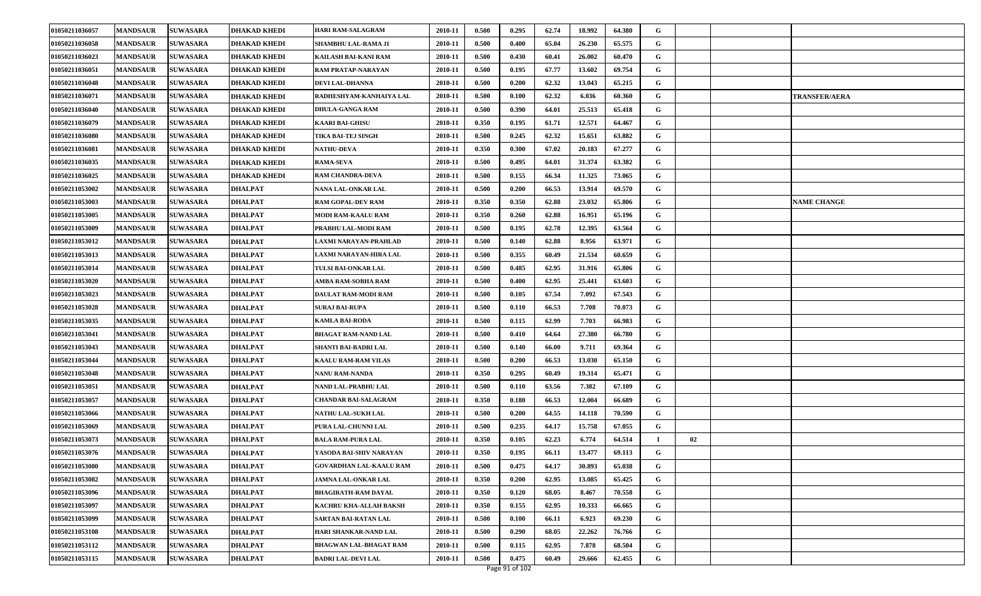| 01050211036057 | <b>MANDSAUR</b> | <b>SUWASARA</b> | <b>DHAKAD KHEDI</b> | HARI RAM-SALAGRAM              | 2010-11 | 0.500 | 0.295 | 62.74 | 18.992 | 64.380 | G |    |                      |
|----------------|-----------------|-----------------|---------------------|--------------------------------|---------|-------|-------|-------|--------|--------|---|----|----------------------|
| 01050211036058 | <b>MANDSAUR</b> | <b>SUWASARA</b> | <b>DHAKAD KHEDI</b> | SHAMBHU LAL-RAMA JI            | 2010-11 | 0.500 | 0.400 | 65.04 | 26.230 | 65.575 | G |    |                      |
| 01050211036023 | <b>MANDSAUR</b> | <b>SUWASARA</b> | <b>DHAKAD KHEDI</b> | KAILASH BAI-KANI RAM           | 2010-11 | 0.500 | 0.430 | 60.41 | 26.002 | 60.470 | G |    |                      |
| 01050211036051 | <b>MANDSAUR</b> | <b>SUWASARA</b> | <b>DHAKAD KHEDI</b> | RAM PRATAP-NARAYAN             | 2010-11 | 0.500 | 0.195 | 67.77 | 13.602 | 69.754 | G |    |                      |
| 01050211036048 | <b>MANDSAUR</b> | <b>SUWASARA</b> | <b>DHAKAD KHEDI</b> | DEVI LAL-DHANNA                | 2010-11 | 0.500 | 0.200 | 62.32 | 13.043 | 65.215 | G |    |                      |
| 01050211036071 | <b>MANDSAUR</b> | <b>SUWASARA</b> | <b>DHAKAD KHEDI</b> | RADHESHYAM-KANHAIYA LAL        | 2010-11 | 0.500 | 0.100 | 62.32 | 6.036  | 60.360 | G |    | <b>TRANSFER/AERA</b> |
| 01050211036040 | <b>MANDSAUR</b> | <b>SUWASARA</b> | <b>DHAKAD KHEDI</b> | DHULA-GANGA RAM                | 2010-11 | 0.500 | 0.390 | 64.01 | 25.513 | 65.418 | G |    |                      |
| 01050211036079 | <b>MANDSAUR</b> | <b>SUWASARA</b> | <b>DHAKAD KHEDI</b> | <b>KAARI BAI-GHISU</b>         | 2010-11 | 0.350 | 0.195 | 61.71 | 12.571 | 64.467 | G |    |                      |
| 01050211036080 | <b>MANDSAUR</b> | <b>SUWASARA</b> | <b>DHAKAD KHEDI</b> | TIKA BAI-TEJ SINGH             | 2010-11 | 0.500 | 0.245 | 62.32 | 15.651 | 63.882 | G |    |                      |
| 01050211036081 | <b>MANDSAUR</b> | <b>SUWASARA</b> | <b>DHAKAD KHEDI</b> | <b>NATHU-DEVA</b>              | 2010-11 | 0.350 | 0.300 | 67.02 | 20.183 | 67.277 | G |    |                      |
| 01050211036035 | <b>MANDSAUR</b> | <b>SUWASARA</b> | <b>DHAKAD KHEDI</b> | <b>RAMA-SEVA</b>               | 2010-11 | 0.500 | 0.495 | 64.01 | 31.374 | 63.382 | G |    |                      |
| 01050211036025 | <b>MANDSAUR</b> | <b>SUWASARA</b> | <b>DHAKAD KHEDI</b> | <b>RAM CHANDRA-DEVA</b>        | 2010-11 | 0.500 | 0.155 | 66.34 | 11.325 | 73.065 | G |    |                      |
| 01050211053002 | <b>MANDSAUR</b> | <b>SUWASARA</b> | <b>DHALPAT</b>      | NANA LAL-ONKAR LAL             | 2010-11 | 0.500 | 0.200 | 66.53 | 13.914 | 69.570 | G |    |                      |
| 01050211053003 | <b>MANDSAUR</b> | <b>SUWASARA</b> | <b>DHALPAT</b>      | RAM GOPAL-DEV RAM              | 2010-11 | 0.350 | 0.350 | 62.88 | 23.032 | 65.806 | G |    | <b>NAME CHANGE</b>   |
| 01050211053005 | <b>MANDSAUR</b> | <b>SUWASARA</b> | <b>DHALPAT</b>      | MODI RAM-KAALU RAM             | 2010-11 | 0.350 | 0.260 | 62.88 | 16.951 | 65.196 | G |    |                      |
| 01050211053009 | <b>MANDSAUR</b> | <b>SUWASARA</b> | <b>DHALPAT</b>      | PRABHU LAL-MODI RAM            | 2010-11 | 0.500 | 0.195 | 62.78 | 12.395 | 63.564 | G |    |                      |
| 01050211053012 | <b>MANDSAUR</b> | <b>SUWASARA</b> | <b>DHALPAT</b>      | LAXMI NARAYAN-PRAHLAD          | 2010-11 | 0.500 | 0.140 | 62.88 | 8.956  | 63.971 | G |    |                      |
| 01050211053013 | <b>MANDSAUR</b> | <b>SUWASARA</b> | <b>DHALPAT</b>      | LAXMI NARAYAN-HIRA LAL         | 2010-11 | 0.500 | 0.355 | 60.49 | 21.534 | 60.659 | G |    |                      |
| 01050211053014 | <b>MANDSAUR</b> | <b>SUWASARA</b> | <b>DHALPAT</b>      | TULSI BAI-ONKAR LAL            | 2010-11 | 0.500 | 0.485 | 62.95 | 31.916 | 65.806 | G |    |                      |
| 01050211053020 | <b>MANDSAUR</b> | <b>SUWASARA</b> | <b>DHALPAT</b>      | AMBA RAM-SOBHA RAM             | 2010-11 | 0.500 | 0.400 | 62.95 | 25.441 | 63.603 | G |    |                      |
| 01050211053023 | <b>MANDSAUR</b> | <b>SUWASARA</b> | <b>DHALPAT</b>      | DAULAT RAM-MODI RAM            | 2010-11 | 0.500 | 0.105 | 67.54 | 7.092  | 67.543 | G |    |                      |
| 01050211053028 | <b>MANDSAUR</b> | <b>SUWASARA</b> | <b>DHALPAT</b>      | <b>SURAJ BAI-RUPA</b>          | 2010-11 | 0.500 | 0.110 | 66.53 | 7.708  | 70.073 | G |    |                      |
| 01050211053035 | <b>MANDSAUR</b> | <b>SUWASARA</b> | <b>DHALPAT</b>      | KAMLA BAI-RODA                 | 2010-11 | 0.500 | 0.115 | 62.99 | 7.703  | 66.983 | G |    |                      |
| 01050211053041 | <b>MANDSAUR</b> | <b>SUWASARA</b> | <b>DHALPAT</b>      | <b>BHAGAT RAM-NAND LAL</b>     | 2010-11 | 0.500 | 0.410 | 64.64 | 27.380 | 66.780 | G |    |                      |
| 01050211053043 | <b>MANDSAUR</b> | <b>SUWASARA</b> | <b>DHALPAT</b>      | SHANTI BAI-BADRI LAL           | 2010-11 | 0.500 | 0.140 | 66.00 | 9.711  | 69.364 | G |    |                      |
| 01050211053044 | <b>MANDSAUR</b> | <b>SUWASARA</b> | <b>DHALPAT</b>      | <b>KAALU RAM-RAM VILAS</b>     | 2010-11 | 0.500 | 0.200 | 66.53 | 13.030 | 65.150 | G |    |                      |
| 01050211053048 | <b>MANDSAUR</b> | <b>SUWASARA</b> | <b>DHALPAT</b>      | <b>NANU RAM-NANDA</b>          | 2010-11 | 0.350 | 0.295 | 60.49 | 19.314 | 65.471 | G |    |                      |
| 01050211053051 | <b>MANDSAUR</b> | <b>SUWASARA</b> | <b>DHALPAT</b>      | NAND LAL-PRABHU LAL            | 2010-11 | 0.500 | 0.110 | 63.56 | 7.382  | 67.109 | G |    |                      |
| 01050211053057 | <b>MANDSAUR</b> | <b>SUWASARA</b> | <b>DHALPAT</b>      | <b>CHANDAR BAI-SALAGRAM</b>    | 2010-11 | 0.350 | 0.180 | 66.53 | 12.004 | 66.689 | G |    |                      |
| 01050211053066 | <b>MANDSAUR</b> | <b>SUWASARA</b> | <b>DHALPAT</b>      | <b>NATHU LAL-SUKH LAL</b>      | 2010-11 | 0.500 | 0.200 | 64.55 | 14.118 | 70.590 | G |    |                      |
| 01050211053069 | <b>MANDSAUR</b> | <b>SUWASARA</b> | <b>DHALPAT</b>      | PURA LAL-CHUNNI LAL            | 2010-11 | 0.500 | 0.235 | 64.17 | 15.758 | 67.055 | G |    |                      |
| 01050211053073 | <b>MANDSAUR</b> | <b>SUWASARA</b> | <b>DHALPAT</b>      | <b>BALA RAM-PURA LAL</b>       | 2010-11 | 0.350 | 0.105 | 62.23 | 6.774  | 64.514 |   | 02 |                      |
| 01050211053076 | <b>MANDSAUR</b> | <b>SUWASARA</b> | <b>DHALPAT</b>      | YASODA BAI-SHIV NARAYAN        | 2010-11 | 0.350 | 0.195 | 66.11 | 13.477 | 69.113 | G |    |                      |
| 01050211053080 | <b>MANDSAUR</b> | <b>SUWASARA</b> | <b>DHALPAT</b>      | <b>GOVARDHAN LAL-KAALU RAM</b> | 2010-11 | 0.500 | 0.475 | 64.17 | 30.893 | 65.038 | G |    |                      |
| 01050211053082 | <b>MANDSAUR</b> | <b>SUWASARA</b> | <b>DHALPAT</b>      | JAMNA LAL-ONKAR LAL            | 2010-11 | 0.350 | 0.200 | 62.95 | 13.085 | 65.425 | G |    |                      |
| 01050211053096 | <b>MANDSAUR</b> | <b>SUWASARA</b> | <b>DHALPAT</b>      | <b>BHAGIRATH-RAM DAYAL</b>     | 2010-11 | 0.350 | 0.120 | 68.05 | 8.467  | 70.558 | G |    |                      |
| 01050211053097 | <b>MANDSAUR</b> | <b>SUWASARA</b> | <b>DHALPAT</b>      | KACHRU KHA-ALLAH BAKSH         | 2010-11 | 0.350 | 0.155 | 62.95 | 10.333 | 66.665 | G |    |                      |
| 01050211053099 | <b>MANDSAUR</b> | <b>SUWASARA</b> | <b>DHALPAT</b>      | <b>SARTAN BAI-RATAN LAL</b>    | 2010-11 | 0.500 | 0.100 | 66.11 | 6.923  | 69.230 | G |    |                      |
| 01050211053108 | <b>MANDSAUR</b> | <b>SUWASARA</b> | <b>DHALPAT</b>      | HARI SHANKAR-NAND LAL          | 2010-11 | 0.500 | 0.290 | 68.05 | 22.262 | 76.766 | G |    |                      |
| 01050211053112 | <b>MANDSAUR</b> | <b>SUWASARA</b> | <b>DHALPAT</b>      | <b>BHAGWAN LAL-BHAGAT RAM</b>  | 2010-11 | 0.500 | 0.115 | 62.95 | 7.878  | 68.504 | G |    |                      |
| 01050211053115 | <b>MANDSAUR</b> | <b>SUWASARA</b> | <b>DHALPAT</b>      | <b>BADRI LAL-DEVI LAL</b>      | 2010-11 | 0.500 | 0.475 | 60.49 | 29.666 | 62.455 | G |    |                      |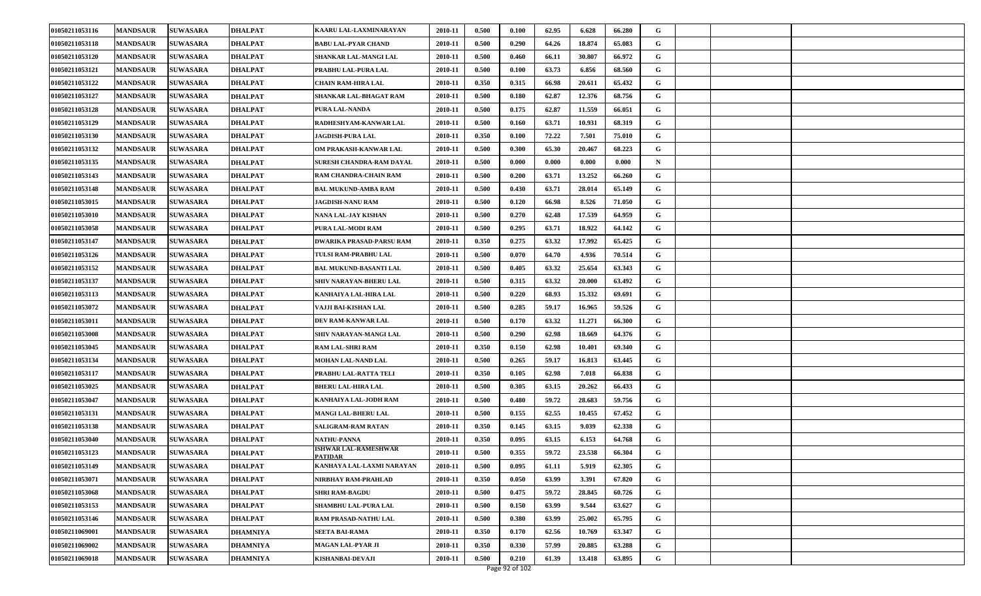| 01050211053116 | <b>MANDSAUR</b> | <b>SUWASARA</b> | <b>DHALPAT</b>  | KAARU LAL-LAXMINARAYAN                 | 2010-11 | 0.500 | 0.100 | 62.95 | 6.628  | 66.280 | G |  |  |
|----------------|-----------------|-----------------|-----------------|----------------------------------------|---------|-------|-------|-------|--------|--------|---|--|--|
| 01050211053118 | <b>MANDSAUR</b> | <b>SUWASARA</b> | DHALPAT         | <b>BABU LAL-PYAR CHAND</b>             | 2010-11 | 0.500 | 0.290 | 64.26 | 18.874 | 65.083 | G |  |  |
| 01050211053120 | <b>MANDSAUR</b> | <b>SUWASARA</b> | <b>DHALPAT</b>  | SHANKAR LAL-MANGI LAL                  | 2010-11 | 0.500 | 0.460 | 66.11 | 30.807 | 66.972 | G |  |  |
| 01050211053121 | <b>MANDSAUR</b> | <b>SUWASARA</b> | DHALPAT         | PRABHU LAL-PURA LAL                    | 2010-11 | 0.500 | 0.100 | 63.73 | 6.856  | 68.560 | G |  |  |
| 01050211053122 | <b>MANDSAUR</b> | <b>SUWASARA</b> | DHALPAT         | CHAIN RAM-HIRA LAL                     | 2010-11 | 0.350 | 0.315 | 66.98 | 20.611 | 65.432 | G |  |  |
| 01050211053127 | <b>MANDSAUR</b> | <b>SUWASARA</b> | DHALPAT         | SHANKAR LAL-BHAGAT RAM                 | 2010-11 | 0.500 | 0.180 | 62.87 | 12.376 | 68.756 | G |  |  |
| 01050211053128 | <b>MANDSAUR</b> | <b>SUWASARA</b> | <b>DHALPAT</b>  | PURA LAL-NANDA                         | 2010-11 | 0.500 | 0.175 | 62.87 | 11.559 | 66.051 | G |  |  |
| 01050211053129 | <b>MANDSAUR</b> | <b>SUWASARA</b> | DHALPAT         | RADHESHYAM-KANWAR LAL                  | 2010-11 | 0.500 | 0.160 | 63.71 | 10.931 | 68.319 | G |  |  |
| 01050211053130 | <b>MANDSAUR</b> | <b>SUWASARA</b> | DHALPAT         | <b>JAGDISH-PURA LAL</b>                | 2010-11 | 0.350 | 0.100 | 72.22 | 7.501  | 75.010 | G |  |  |
| 01050211053132 | <b>MANDSAUR</b> | <b>SUWASARA</b> | DHALPAT         | OM PRAKASH-KANWAR LAL                  | 2010-11 | 0.500 | 0.300 | 65.30 | 20.467 | 68.223 | G |  |  |
| 01050211053135 | <b>MANDSAUR</b> | <b>SUWASARA</b> | DHALPAT         | SURESH CHANDRA-RAM DAYAL               | 2010-11 | 0.500 | 0.000 | 0.000 | 0.000  | 0.000  | N |  |  |
| 01050211053143 | <b>MANDSAUR</b> | <b>SUWASARA</b> | DHALPAT         | RAM CHANDRA-CHAIN RAM                  | 2010-11 | 0.500 | 0.200 | 63.71 | 13.252 | 66.260 | G |  |  |
| 01050211053148 | <b>MANDSAUR</b> | <b>SUWASARA</b> | DHALPAT         | <b>BAL MUKUND-AMBA RAM</b>             | 2010-11 | 0.500 | 0.430 | 63.71 | 28.014 | 65.149 | G |  |  |
| 01050211053015 | <b>MANDSAUR</b> | <b>SUWASARA</b> | DHALPAT         | <b>JAGDISH-NANU RAM</b>                | 2010-11 | 0.500 | 0.120 | 66.98 | 8.526  | 71.050 | G |  |  |
| 01050211053010 | <b>MANDSAUR</b> | <b>SUWASARA</b> | DHALPAT         | NANA LAL-JAY KISHAN                    | 2010-11 | 0.500 | 0.270 | 62.48 | 17.539 | 64.959 | G |  |  |
| 01050211053058 | <b>MANDSAUR</b> | <b>SUWASARA</b> | DHALPAT         | PURA LAL-MODI RAM                      | 2010-11 | 0.500 | 0.295 | 63.71 | 18.922 | 64.142 | G |  |  |
| 01050211053147 | <b>MANDSAUR</b> | <b>SUWASARA</b> | DHALPAT         | <b>DWARIKA PRASAD-PARSU RAM</b>        | 2010-11 | 0.350 | 0.275 | 63.32 | 17.992 | 65.425 | G |  |  |
| 01050211053126 | <b>MANDSAUR</b> | <b>SUWASARA</b> | <b>DHALPAT</b>  | TULSI RAM-PRABHU LAL                   | 2010-11 | 0.500 | 0.070 | 64.70 | 4.936  | 70.514 | G |  |  |
| 01050211053152 | <b>MANDSAUR</b> | <b>SUWASARA</b> | DHALPAT         | <b>BAL MUKUND-BASANTI LAL</b>          | 2010-11 | 0.500 | 0.405 | 63.32 | 25.654 | 63.343 | G |  |  |
| 01050211053137 | <b>MANDSAUR</b> | <b>SUWASARA</b> | DHALPAT         | SHIV NARAYAN-BHERU LAL                 | 2010-11 | 0.500 | 0.315 | 63.32 | 20.000 | 63.492 | G |  |  |
| 01050211053113 | <b>MANDSAUR</b> | <b>SUWASARA</b> | DHALPAT         | KANHAIYA LAL-HIRA LAL                  | 2010-11 | 0.500 | 0.220 | 68.93 | 15.332 | 69.691 | G |  |  |
| 01050211053072 | <b>MANDSAUR</b> | <b>SUWASARA</b> | <b>DHALPAT</b>  | VAJJI BAI-KISHAN LAL                   | 2010-11 | 0.500 | 0.285 | 59.17 | 16.965 | 59.526 | G |  |  |
| 01050211053011 | <b>MANDSAUR</b> | <b>SUWASARA</b> | DHALPAT         | DEV RAM-KANWAR LAL                     | 2010-11 | 0.500 | 0.170 | 63.32 | 11.271 | 66.300 | G |  |  |
| 01050211053008 | <b>MANDSAUR</b> | <b>SUWASARA</b> | <b>DHALPAT</b>  | SHIV NARAYAN-MANGI LAL                 | 2010-11 | 0.500 | 0.290 | 62.98 | 18.669 | 64.376 | G |  |  |
| 01050211053045 | <b>MANDSAUR</b> | <b>SUWASARA</b> | DHALPAT         | <b>RAM LAL-SHRI RAM</b>                | 2010-11 | 0.350 | 0.150 | 62.98 | 10.401 | 69.340 | G |  |  |
| 01050211053134 | <b>MANDSAUR</b> | <b>SUWASARA</b> | <b>DHALPAT</b>  | MOHAN LAL-NAND LAL                     | 2010-11 | 0.500 | 0.265 | 59.17 | 16.813 | 63.445 | G |  |  |
| 01050211053117 | <b>MANDSAUR</b> | <b>SUWASARA</b> | DHALPAT         | PRABHU LAL-RATTA TELI                  | 2010-11 | 0.350 | 0.105 | 62.98 | 7.018  | 66.838 | G |  |  |
| 01050211053025 | <b>MANDSAUR</b> | <b>SUWASARA</b> | <b>DHALPAT</b>  | <b>BHERU LAL-HIRA LAL</b>              | 2010-11 | 0.500 | 0.305 | 63.15 | 20.262 | 66.433 | G |  |  |
| 01050211053047 | <b>MANDSAUR</b> | <b>SUWASARA</b> | DHALPAT         | KANHAIYA LAL-JODH RAM                  | 2010-11 | 0.500 | 0.480 | 59.72 | 28.683 | 59.756 | G |  |  |
| 01050211053131 | <b>MANDSAUR</b> | <b>SUWASARA</b> | <b>DHALPAT</b>  | <b>MANGI LAL-BHERU LAL</b>             | 2010-11 | 0.500 | 0.155 | 62.55 | 10.455 | 67.452 | G |  |  |
| 01050211053138 | <b>MANDSAUR</b> | <b>SUWASARA</b> | DHALPAT         | SALIGRAM-RAM RATAN                     | 2010-11 | 0.350 | 0.145 | 63.15 | 9.039  | 62.338 | G |  |  |
| 01050211053040 | <b>MANDSAUR</b> | <b>SUWASARA</b> | DHALPAT         | <b>NATHU-PANNA</b>                     | 2010-11 | 0.350 | 0.095 | 63.15 | 6.153  | 64.768 | G |  |  |
| 01050211053123 | <b>MANDSAUR</b> | <b>SUWASARA</b> | DHALPAT         | ISHWAR LAL-RAMESHWAR<br><b>PATIDAR</b> | 2010-11 | 0.500 | 0.355 | 59.72 | 23.538 | 66.304 | G |  |  |
| 01050211053149 | <b>MANDSAUR</b> | <b>SUWASARA</b> | <b>DHALPAT</b>  | KANHAYA LAL-LAXMI NARAYAN              | 2010-11 | 0.500 | 0.095 | 61.11 | 5.919  | 62.305 | G |  |  |
| 01050211053071 | <b>MANDSAUR</b> | <b>SUWASARA</b> | DHALPAT         | NIRBHAY RAM-PRAHLAD                    | 2010-11 | 0.350 | 0.050 | 63.99 | 3.391  | 67.820 | G |  |  |
| 01050211053068 | <b>MANDSAUR</b> | <b>SUWASARA</b> | DHALPAT         | <b>SHRI RAM-BAGDU</b>                  | 2010-11 | 0.500 | 0.475 | 59.72 | 28.845 | 60.726 | G |  |  |
| 01050211053153 | <b>MANDSAUR</b> | <b>SUWASARA</b> | <b>DHALPAT</b>  | SHAMBHU LAL-PURA LAL                   | 2010-11 | 0.500 | 0.150 | 63.99 | 9.544  | 63.627 | G |  |  |
| 01050211053146 | <b>MANDSAUR</b> | <b>SUWASARA</b> | <b>DHALPAT</b>  | RAM PRASAD-NATHU LAL                   | 2010-11 | 0.500 | 0.380 | 63.99 | 25.002 | 65.795 | G |  |  |
| 01050211069001 | <b>MANDSAUR</b> | <b>SUWASARA</b> | <b>DHAMNIYA</b> | SEETA BAI-RAMA                         | 2010-11 | 0.350 | 0.170 | 62.56 | 10.769 | 63.347 | G |  |  |
| 01050211069002 | <b>MANDSAUR</b> | <b>SUWASARA</b> | DHAMNIYA        | MAGAN LAL-PYAR JI                      | 2010-11 | 0.350 | 0.330 | 57.99 | 20.885 | 63.288 | G |  |  |
| 01050211069018 | <b>MANDSAUR</b> | <b>SUWASARA</b> | <b>DHAMNIYA</b> | KISHANBAI-DEVAJI                       | 2010-11 | 0.500 | 0.210 | 61.39 | 13.418 | 63.895 | G |  |  |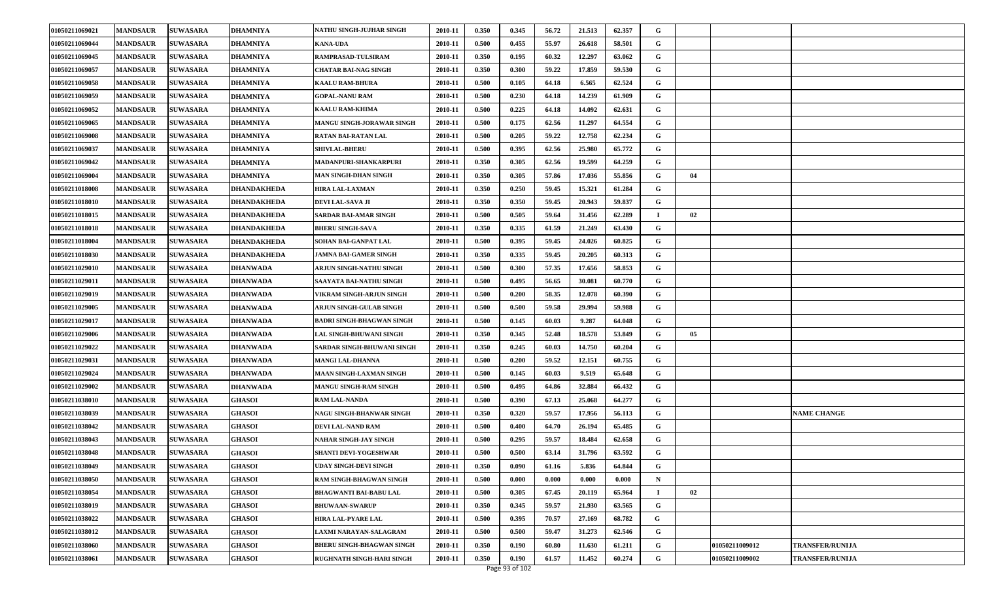| 01050211069021 | <b>MANDSAUR</b> | <b>SUWASARA</b> | <b>DHAMNIYA</b>    | NATHU SINGH-JUJHAR SINGH         | 2010-11 | 0.350 | 0.345 | 56.72 | 21.513 | 62.357 | G           |    |                       |                        |
|----------------|-----------------|-----------------|--------------------|----------------------------------|---------|-------|-------|-------|--------|--------|-------------|----|-----------------------|------------------------|
| 01050211069044 | <b>MANDSAUR</b> | <b>SUWASARA</b> | <b>DHAMNIYA</b>    | <b>KANA-UDA</b>                  | 2010-11 | 0.500 | 0.455 | 55.97 | 26.618 | 58.501 | G           |    |                       |                        |
| 01050211069045 | <b>MANDSAUR</b> | <b>SUWASARA</b> | <b>DHAMNIYA</b>    | RAMPRASAD-TULSIRAM               | 2010-11 | 0.350 | 0.195 | 60.32 | 12.297 | 63.062 | G           |    |                       |                        |
| 01050211069057 | <b>MANDSAUR</b> | <b>SUWASARA</b> | <b>DHAMNIYA</b>    | CHATAR BAI-NAG SINGH             | 2010-11 | 0.350 | 0.300 | 59.22 | 17.859 | 59.530 | G           |    |                       |                        |
| 01050211069058 | <b>MANDSAUR</b> | <b>SUWASARA</b> | <b>DHAMNIYA</b>    | <b>KAALU RAM-BHURA</b>           | 2010-11 | 0.500 | 0.105 | 64.18 | 6.565  | 62.524 | G           |    |                       |                        |
| 01050211069059 | <b>MANDSAUR</b> | <b>SUWASARA</b> | <b>DHAMNIYA</b>    | <b>GOPAL-NANU RAM</b>            | 2010-11 | 0.500 | 0.230 | 64.18 | 14.239 | 61.909 | G           |    |                       |                        |
| 01050211069052 | <b>MANDSAUR</b> | <b>SUWASARA</b> | <b>DHAMNIYA</b>    | <b>KAALU RAM-KHIMA</b>           | 2010-11 | 0.500 | 0.225 | 64.18 | 14.092 | 62.631 | G           |    |                       |                        |
| 01050211069065 | <b>MANDSAUR</b> | <b>SUWASARA</b> | <b>DHAMNIYA</b>    | MANGU SINGH-JORAWAR SINGH        | 2010-11 | 0.500 | 0.175 | 62.56 | 11.297 | 64.554 | G           |    |                       |                        |
| 01050211069008 | <b>MANDSAUR</b> | <b>SUWASARA</b> | <b>DHAMNIYA</b>    | RATAN BAI-RATAN LAL              | 2010-11 | 0.500 | 0.205 | 59.22 | 12.758 | 62.234 | G           |    |                       |                        |
| 01050211069037 | <b>MANDSAUR</b> | <b>SUWASARA</b> | <b>DHAMNIYA</b>    | <b>SHIVLAL-BHERU</b>             | 2010-11 | 0.500 | 0.395 | 62.56 | 25.980 | 65.772 | G           |    |                       |                        |
| 01050211069042 | <b>MANDSAUR</b> | <b>SUWASARA</b> | <b>DHAMNIYA</b>    | MADANPURI-SHANKARPURI            | 2010-11 | 0.350 | 0.305 | 62.56 | 19.599 | 64.259 | G           |    |                       |                        |
| 01050211069004 | <b>MANDSAUR</b> | <b>SUWASARA</b> | <b>DHAMNIYA</b>    | MAN SINGH-DHAN SINGH             | 2010-11 | 0.350 | 0.305 | 57.86 | 17.036 | 55.856 | G           | 04 |                       |                        |
| 01050211018008 | <b>MANDSAUR</b> | <b>SUWASARA</b> | <b>DHANDAKHEDA</b> | <b>HIRA LAL-LAXMAN</b>           | 2010-11 | 0.350 | 0.250 | 59.45 | 15.321 | 61.284 | G           |    |                       |                        |
| 01050211018010 | <b>MANDSAUR</b> | <b>SUWASARA</b> | <b>DHANDAKHEDA</b> | DEVI LAL-SAVA JI                 | 2010-11 | 0.350 | 0.350 | 59.45 | 20.943 | 59.837 | G           |    |                       |                        |
| 01050211018015 | <b>MANDSAUR</b> | <b>SUWASARA</b> | <b>DHANDAKHEDA</b> | <b>SARDAR BAI-AMAR SINGH</b>     | 2010-11 | 0.500 | 0.505 | 59.64 | 31.456 | 62.289 |             | 02 |                       |                        |
| 01050211018018 | <b>MANDSAUR</b> | <b>SUWASARA</b> | <b>DHANDAKHEDA</b> | <b>BHERU SINGH-SAVA</b>          | 2010-11 | 0.350 | 0.335 | 61.59 | 21.249 | 63.430 | G           |    |                       |                        |
| 01050211018004 | <b>MANDSAUR</b> | <b>SUWASARA</b> | <b>DHANDAKHEDA</b> | <b>SOHAN BAI-GANPAT LAL</b>      | 2010-11 | 0.500 | 0.395 | 59.45 | 24.026 | 60.825 | G           |    |                       |                        |
| 01050211018030 | <b>MANDSAUR</b> | <b>SUWASARA</b> | <b>DHANDAKHEDA</b> | <b>JAMNA BAI-GAMER SINGH</b>     | 2010-11 | 0.350 | 0.335 | 59.45 | 20.205 | 60.313 | G           |    |                       |                        |
| 01050211029010 | <b>MANDSAUR</b> | <b>SUWASARA</b> | <b>DHANWADA</b>    | ARJUN SINGH-NATHU SINGH          | 2010-11 | 0.500 | 0.300 | 57.35 | 17.656 | 58.853 | G           |    |                       |                        |
| 01050211029011 | <b>MANDSAUR</b> | <b>SUWASARA</b> | <b>DHANWADA</b>    | <b>SAAYATA BAI-NATHU SINGH</b>   | 2010-11 | 0.500 | 0.495 | 56.65 | 30.081 | 60.770 | G           |    |                       |                        |
| 01050211029019 | <b>MANDSAUR</b> | <b>SUWASARA</b> | <b>DHANWADA</b>    | VIKRAM SINGH-ARJUN SINGH         | 2010-11 | 0.500 | 0.200 | 58.35 | 12.078 | 60.390 | G           |    |                       |                        |
| 01050211029005 | <b>MANDSAUR</b> | <b>SUWASARA</b> | <b>DHANWADA</b>    | ARJUN SINGH-GULAB SINGH          | 2010-11 | 0.500 | 0.500 | 59.58 | 29.994 | 59.988 | G           |    |                       |                        |
| 01050211029017 | <b>MANDSAUR</b> | <b>SUWASARA</b> | <b>DHANWADA</b>    | BADRI SINGH-BHAGWAN SINGH        | 2010-11 | 0.500 | 0.145 | 60.03 | 9.287  | 64.048 | G           |    |                       |                        |
| 01050211029006 | <b>MANDSAUR</b> | <b>SUWASARA</b> | <b>DHANWADA</b>    | LAL SINGH-BHUWANI SINGH          | 2010-11 | 0.350 | 0.345 | 52.48 | 18.578 | 53.849 | G           | 05 |                       |                        |
| 01050211029022 | <b>MANDSAUR</b> | <b>SUWASARA</b> | <b>DHANWADA</b>    | SARDAR SINGH-BHUWANI SINGH       | 2010-11 | 0.350 | 0.245 | 60.03 | 14.750 | 60.204 | G           |    |                       |                        |
| 01050211029031 | <b>MANDSAUR</b> | <b>SUWASARA</b> | <b>DHANWADA</b>    | <b>MANGI LAL-DHANNA</b>          | 2010-11 | 0.500 | 0.200 | 59.52 | 12.151 | 60.755 | G           |    |                       |                        |
| 01050211029024 | <b>MANDSAUR</b> | <b>SUWASARA</b> | <b>DHANWADA</b>    | MAAN SINGH-LAXMAN SINGH          | 2010-11 | 0.500 | 0.145 | 60.03 | 9.519  | 65.648 | G           |    |                       |                        |
| 01050211029002 | <b>MANDSAUR</b> | <b>SUWASARA</b> | <b>DHANWADA</b>    | MANGU SINGH-RAM SINGH            | 2010-11 | 0.500 | 0.495 | 64.86 | 32.884 | 66.432 | G           |    |                       |                        |
| 01050211038010 | <b>MANDSAUR</b> | <b>SUWASARA</b> | <b>GHASOI</b>      | <b>RAM LAL-NANDA</b>             | 2010-11 | 0.500 | 0.390 | 67.13 | 25.068 | 64.277 | G           |    |                       |                        |
| 01050211038039 | <b>MANDSAUR</b> | <b>SUWASARA</b> | <b>GHASOI</b>      | NAGU SINGH-BHANWAR SINGH         | 2010-11 | 0.350 | 0.320 | 59.57 | 17.956 | 56.113 | G           |    |                       | <b>NAME CHANGE</b>     |
| 01050211038042 | <b>MANDSAUR</b> | <b>SUWASARA</b> | <b>GHASOI</b>      | DEVI LAL-NAND RAM                | 2010-11 | 0.500 | 0.400 | 64.70 | 26.194 | 65.485 | G           |    |                       |                        |
| 01050211038043 | <b>MANDSAUR</b> | <b>SUWASARA</b> | <b>GHASOI</b>      | <b>NAHAR SINGH-JAY SINGH</b>     | 2010-11 | 0.500 | 0.295 | 59.57 | 18.484 | 62.658 | G           |    |                       |                        |
| 01050211038048 | <b>MANDSAUR</b> | <b>SUWASARA</b> | <b>GHASOI</b>      | SHANTI DEVI-YOGESHWAR            | 2010-11 | 0.500 | 0.500 | 63.14 | 31.796 | 63.592 | G           |    |                       |                        |
| 01050211038049 | <b>MANDSAUR</b> | <b>SUWASARA</b> | <b>GHASOI</b>      | UDAY SINGH-DEVI SINGH            | 2010-11 | 0.350 | 0.090 | 61.16 | 5.836  | 64.844 | G           |    |                       |                        |
| 01050211038050 | <b>MANDSAUR</b> | <b>SUWASARA</b> | <b>GHASOI</b>      | RAM SINGH-BHAGWAN SINGH          | 2010-11 | 0.500 | 0.000 | 0.000 | 0.000  | 0.000  | $\mathbf N$ |    |                       |                        |
| 01050211038054 | <b>MANDSAUR</b> | <b>SUWASARA</b> | <b>GHASOI</b>      | <b>BHAGWANTI BAI-BABU LAL</b>    | 2010-11 | 0.500 | 0.305 | 67.45 | 20.119 | 65.964 |             | 02 |                       |                        |
| 01050211038019 | <b>MANDSAUR</b> | <b>SUWASARA</b> | <b>GHASOI</b>      | <b>BHUWAAN-SWARUP</b>            | 2010-11 | 0.350 | 0.345 | 59.57 | 21.930 | 63.565 | G           |    |                       |                        |
| 01050211038022 | <b>MANDSAUR</b> | <b>SUWASARA</b> | <b>GHASOI</b>      | HIRA LAL-PYARE LAL               | 2010-11 | 0.500 | 0.395 | 70.57 | 27.169 | 68.782 | G           |    |                       |                        |
| 01050211038012 | <b>MANDSAUR</b> | <b>SUWASARA</b> | <b>GHASOI</b>      | LAXMI NARAYAN-SALAGRAM           | 2010-11 | 0.500 | 0.500 | 59.47 | 31.273 | 62.546 | G           |    |                       |                        |
| 01050211038060 | <b>MANDSAUR</b> | <b>SUWASARA</b> | <b>GHASOI</b>      | <b>BHERU SINGH-BHAGWAN SINGH</b> | 2010-11 | 0.350 | 0.190 | 60.80 | 11.630 | 61.211 | G           |    | 01050211009012        | <b>TRANSFER/RUNIJA</b> |
| 01050211038061 | <b>MANDSAUR</b> | <b>SUWASARA</b> | <b>GHASOI</b>      | RUGHNATH SINGH-HARI SINGH        | 2010-11 | 0.350 | 0.190 | 61.57 | 11.452 | 60.274 | G           |    | <b>01050211009002</b> | <b>TRANSFER/RUNIJA</b> |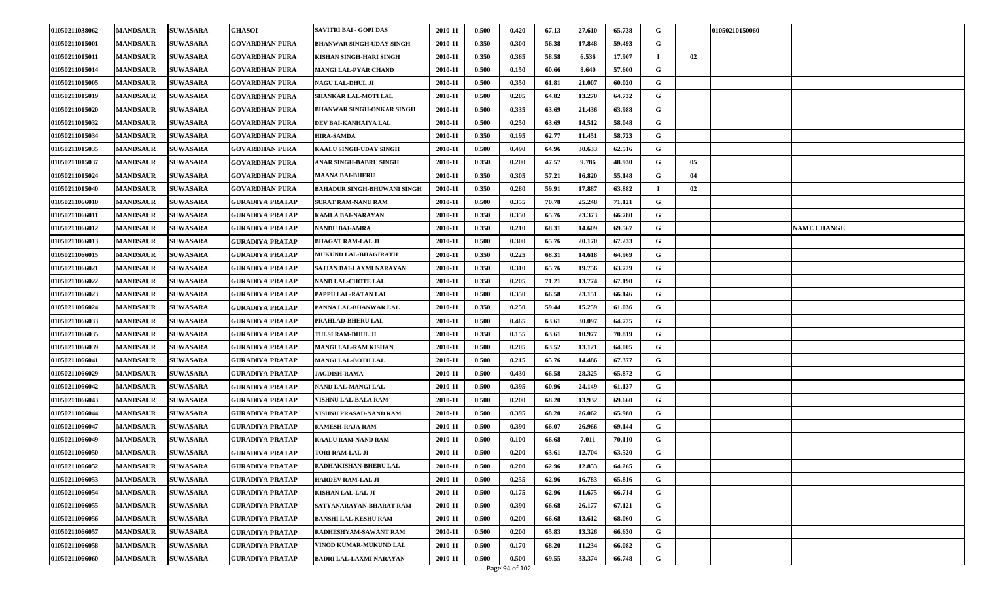| 01050211038062 | <b>MANDSAUR</b> | <b>SUWASARA</b> | <b>GHASOI</b>          | <b>SAVITRI BAI - GOPI DAS</b>      | 2010-11 | 0.500 | 0.420 | 67.13 | 27.610 | 65.738 | G        |    | 01050210150060     |
|----------------|-----------------|-----------------|------------------------|------------------------------------|---------|-------|-------|-------|--------|--------|----------|----|--------------------|
| 01050211015001 | <b>MANDSAUR</b> | <b>SUWASARA</b> | <b>GOVARDHAN PURA</b>  | <b>BHANWAR SINGH-UDAY SINGH</b>    | 2010-11 | 0.350 | 0.300 | 56.38 | 17.848 | 59.493 | G        |    |                    |
| 01050211015011 | <b>MANDSAUR</b> | <b>SUWASARA</b> | <b>GOVARDHAN PURA</b>  | KISHAN SINGH-HARI SINGH            | 2010-11 | 0.350 | 0.365 | 58.58 | 6.536  | 17.907 | $\bf{I}$ | 02 |                    |
| 01050211015014 | <b>MANDSAUR</b> | <b>SUWASARA</b> | <b>GOVARDHAN PURA</b>  | <b>MANGI LAL-PYAR CHAND</b>        | 2010-11 | 0.500 | 0.150 | 60.66 | 8.640  | 57.600 | G        |    |                    |
| 01050211015005 | <b>MANDSAUR</b> | <b>SUWASARA</b> | <b>GOVARDHAN PURA</b>  | <b>NAGU LAL-DHUL JI</b>            | 2010-11 | 0.500 | 0.350 | 61.81 | 21.007 | 60.020 | G        |    |                    |
| 01050211015019 | <b>MANDSAUR</b> | <b>SUWASARA</b> | <b>GOVARDHAN PURA</b>  | <b>SHANKAR LAL-MOTI LAL</b>        | 2010-11 | 0.500 | 0.205 | 64.82 | 13.270 | 64.732 | G        |    |                    |
| 01050211015020 | <b>MANDSAUR</b> | <b>SUWASARA</b> | <b>GOVARDHAN PURA</b>  | <b>BHANWAR SINGH-ONKAR SINGH</b>   | 2010-11 | 0.500 | 0.335 | 63.69 | 21.436 | 63.988 | G        |    |                    |
| 01050211015032 | <b>MANDSAUR</b> | <b>SUWASARA</b> | <b>GOVARDHAN PURA</b>  | DEV BAI-KANHAIYA LAL               | 2010-11 | 0.500 | 0.250 | 63.69 | 14.512 | 58.048 | G        |    |                    |
| 01050211015034 | <b>MANDSAUR</b> | <b>SUWASARA</b> | <b>GOVARDHAN PURA</b>  | <b>HIRA-SAMDA</b>                  | 2010-11 | 0.350 | 0.195 | 62.77 | 11.451 | 58.723 | G        |    |                    |
| 01050211015035 | <b>MANDSAUR</b> | <b>SUWASARA</b> | <b>GOVARDHAN PURA</b>  | KAALU SINGH-UDAY SINGH             | 2010-11 | 0.500 | 0.490 | 64.96 | 30.633 | 62.516 | G        |    |                    |
| 01050211015037 | <b>MANDSAUR</b> | <b>SUWASARA</b> | <b>GOVARDHAN PURA</b>  | ANAR SINGH-BABRU SINGH             | 2010-11 | 0.350 | 0.200 | 47.57 | 9.786  | 48.930 | G        | 05 |                    |
| 01050211015024 | <b>MANDSAUR</b> | <b>SUWASARA</b> | <b>GOVARDHAN PURA</b>  | <b>MAANA BAI-BHERU</b>             | 2010-11 | 0.350 | 0.305 | 57.21 | 16.820 | 55.148 | G        | 04 |                    |
| 01050211015040 | <b>MANDSAUR</b> | <b>SUWASARA</b> | <b>GOVARDHAN PURA</b>  | <b>BAHADUR SINGH-BHUWANI SINGH</b> | 2010-11 | 0.350 | 0.280 | 59.91 | 17.887 | 63.882 |          | 02 |                    |
| 01050211066010 | <b>MANDSAUR</b> | <b>SUWASARA</b> | GURADIYA PRATAP        | <b>SURAT RAM-NANU RAM</b>          | 2010-11 | 0.500 | 0.355 | 70.78 | 25.248 | 71.121 | G        |    |                    |
| 01050211066011 | <b>MANDSAUR</b> | <b>SUWASARA</b> | GURADIYA PRATAP        | <b>KAMLA BAI-NARAYAN</b>           | 2010-11 | 0.350 | 0.350 | 65.76 | 23.373 | 66.780 | G        |    |                    |
| 01050211066012 | <b>MANDSAUR</b> | <b>SUWASARA</b> | GURADIYA PRATAP        | <b>NANDU BAI-AMRA</b>              | 2010-11 | 0.350 | 0.210 | 68.31 | 14.609 | 69.567 | G        |    | <b>NAME CHANGE</b> |
| 01050211066013 | <b>MANDSAUR</b> | <b>SUWASARA</b> | <b>GURADIYA PRATAP</b> | <b>BHAGAT RAM-LAL JI</b>           | 2010-11 | 0.500 | 0.300 | 65.76 | 20.170 | 67.233 | G        |    |                    |
| 01050211066015 | <b>MANDSAUR</b> | <b>SUWASARA</b> | <b>GURADIYA PRATAP</b> | MUKUND LAL-BHAGIRATH               | 2010-11 | 0.350 | 0.225 | 68.31 | 14.618 | 64.969 | G        |    |                    |
| 01050211066021 | <b>MANDSAUR</b> | <b>SUWASARA</b> | GURADIYA PRATAP        | SAJJAN BAI-LAXMI NARAYAN           | 2010-11 | 0.350 | 0.310 | 65.76 | 19.756 | 63.729 | G        |    |                    |
| 01050211066022 | <b>MANDSAUR</b> | <b>SUWASARA</b> | GURADIYA PRATAP        | <b>NAND LAL-CHOTE LAL</b>          | 2010-11 | 0.350 | 0.205 | 71.21 | 13.774 | 67.190 | G        |    |                    |
| 01050211066023 | <b>MANDSAUR</b> | <b>SUWASARA</b> | GURADIYA PRATAP        | PAPPU LAL-RATAN LAL                | 2010-11 | 0.500 | 0.350 | 66.58 | 23.151 | 66.146 | G        |    |                    |
| 01050211066024 | <b>MANDSAUR</b> | <b>SUWASARA</b> | <b>GURADIYA PRATAP</b> | PANNA LAL-BHANWAR LAL              | 2010-11 | 0.350 | 0.250 | 59.44 | 15.259 | 61.036 | G        |    |                    |
| 01050211066033 | <b>MANDSAUR</b> | <b>SUWASARA</b> | <b>GURADIYA PRATAP</b> | PRAHLAD-BHERU LAL                  | 2010-11 | 0.500 | 0.465 | 63.61 | 30.097 | 64.725 | G        |    |                    |
| 01050211066035 | <b>MANDSAUR</b> | <b>SUWASARA</b> | <b>GURADIYA PRATAP</b> | TULSI RAM-DHUL JI                  | 2010-11 | 0.350 | 0.155 | 63.61 | 10.977 | 70.819 | G        |    |                    |
| 01050211066039 | <b>MANDSAUR</b> | <b>SUWASARA</b> | <b>GURADIYA PRATAP</b> | <b>MANGI LAL-RAM KISHAN</b>        | 2010-11 | 0.500 | 0.205 | 63.52 | 13.121 | 64.005 | G        |    |                    |
| 01050211066041 | <b>MANDSAUR</b> | <b>SUWASARA</b> | <b>GURADIYA PRATAP</b> | <b>MANGI LAL-BOTH LAL</b>          | 2010-11 | 0.500 | 0.215 | 65.76 | 14.486 | 67.377 | G        |    |                    |
| 01050211066029 | <b>MANDSAUR</b> | <b>SUWASARA</b> | GURADIYA PRATAP        | <b>JAGDISH-RAMA</b>                | 2010-11 | 0.500 | 0.430 | 66.58 | 28.325 | 65.872 | G        |    |                    |
| 01050211066042 | <b>MANDSAUR</b> | <b>SUWASARA</b> | GURADIYA PRATAP        | NAND LAL-MANGI LAL                 | 2010-11 | 0.500 | 0.395 | 60.96 | 24.149 | 61.137 | G        |    |                    |
| 01050211066043 | <b>MANDSAUR</b> | <b>SUWASARA</b> | GURADIYA PRATAP        | VISHNU LAL-BALA RAM                | 2010-11 | 0.500 | 0.200 | 68.20 | 13.932 | 69.660 | G        |    |                    |
| 01050211066044 | <b>MANDSAUR</b> | <b>SUWASARA</b> | <b>GURADIYA PRATAP</b> | VISHNU PRASAD-NAND RAM             | 2010-11 | 0.500 | 0.395 | 68.20 | 26.062 | 65.980 | G        |    |                    |
| 01050211066047 | <b>MANDSAUR</b> | <b>SUWASARA</b> | GURADIYA PRATAP        | <b>RAMESH-RAJA RAM</b>             | 2010-11 | 0.500 | 0.390 | 66.07 | 26.966 | 69.144 | G        |    |                    |
| 01050211066049 | <b>MANDSAUR</b> | <b>SUWASARA</b> | <b>GURADIYA PRATAP</b> | <b>KAALU RAM-NAND RAM</b>          | 2010-11 | 0.500 | 0.100 | 66.68 | 7.011  | 70.110 | G        |    |                    |
| 01050211066050 | <b>MANDSAUR</b> | <b>SUWASARA</b> | GURADIYA PRATAP        | <b>TORI RAM-LAL JI</b>             | 2010-11 | 0.500 | 0.200 | 63.61 | 12.704 | 63.520 | G        |    |                    |
| 01050211066052 | <b>MANDSAUR</b> | <b>SUWASARA</b> | <b>GURADIYA PRATAP</b> | RADHAKISHAN-BHERU LAL              | 2010-11 | 0.500 | 0.200 | 62.96 | 12.853 | 64.265 | G        |    |                    |
| 01050211066053 | <b>MANDSAUR</b> | <b>SUWASARA</b> | <b>GURADIYA PRATAP</b> | <b>HARDEV RAM-LAL JI</b>           | 2010-11 | 0.500 | 0.255 | 62.96 | 16.783 | 65.816 | G        |    |                    |
| 01050211066054 | <b>MANDSAUR</b> | <b>SUWASARA</b> | GURADIYA PRATAP        | KISHAN LAL-LAL JI                  | 2010-11 | 0.500 | 0.175 | 62.96 | 11.675 | 66.714 | G        |    |                    |
| 01050211066055 | <b>MANDSAUR</b> | <b>SUWASARA</b> | <b>GURADIYA PRATAP</b> | SATYANARAYAN-BHARAT RAM            | 2010-11 | 0.500 | 0.390 | 66.68 | 26.177 | 67.121 | G        |    |                    |
| 01050211066056 | <b>MANDSAUR</b> | <b>SUWASARA</b> | <b>GURADIYA PRATAP</b> | <b>BANSHI LAL-KESHU RAM</b>        | 2010-11 | 0.500 | 0.200 | 66.68 | 13.612 | 68.060 | G        |    |                    |
| 01050211066057 | <b>MANDSAUR</b> | <b>SUWASARA</b> | GURADIYA PRATAP        | RADHESHYAM-SAWANT RAM              | 2010-11 | 0.500 | 0.200 | 65.83 | 13.326 | 66.630 | G        |    |                    |
| 01050211066058 | <b>MANDSAUR</b> | <b>SUWASARA</b> | <b>GURADIYA PRATAP</b> | VINOD KUMAR-MUKUND LAL             | 2010-11 | 0.500 | 0.170 | 68.20 | 11.234 | 66.082 | G        |    |                    |
| 01050211066060 | <b>MANDSAUR</b> | <b>SUWASARA</b> | <b>GURADIYA PRATAP</b> | <b>BADRI LAL-LAXMI NARAYAN</b>     | 2010-11 | 0.500 | 0.500 | 69.55 | 33.374 | 66.748 | G        |    |                    |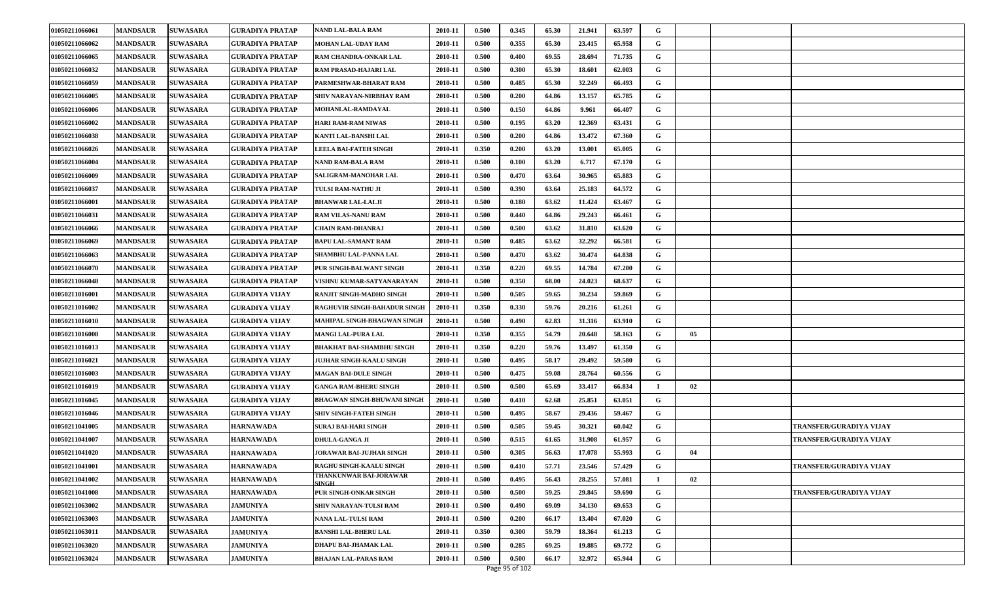| 01050211066061 | <b>MANDSAUR</b> | <b>SUWASARA</b> | <b>GURADIYA PRATAP</b> | <b>NAND LAL-BALA RAM</b>               | 2010-11 | 0.500 | 0.345 | 65.30 | 21.941 | 63.597 | G        |    |                         |
|----------------|-----------------|-----------------|------------------------|----------------------------------------|---------|-------|-------|-------|--------|--------|----------|----|-------------------------|
| 01050211066062 | <b>MANDSAUR</b> | <b>SUWASARA</b> | GURADIYA PRATAP        | MOHAN LAL-UDAY RAM                     | 2010-11 | 0.500 | 0.355 | 65.30 | 23.415 | 65.958 | G        |    |                         |
| 01050211066065 | <b>MANDSAUR</b> | <b>SUWASARA</b> | <b>GURADIYA PRATAP</b> | RAM CHANDRA-ONKAR LAL                  | 2010-11 | 0.500 | 0.400 | 69.55 | 28.694 | 71.735 | G        |    |                         |
| 01050211066032 | <b>MANDSAUR</b> | <b>SUWASARA</b> | <b>GURADIYA PRATAP</b> | RAM PRASAD-HAJARI LAL                  | 2010-11 | 0.500 | 0.300 | 65.30 | 18.601 | 62.003 | G        |    |                         |
| 01050211066059 | <b>MANDSAUR</b> | <b>SUWASARA</b> | <b>GURADIYA PRATAP</b> | PARMESHWAR-BHARAT RAM                  | 2010-11 | 0.500 | 0.485 | 65.30 | 32.249 | 66.493 | G        |    |                         |
| 01050211066005 | <b>MANDSAUR</b> | <b>SUWASARA</b> | GURADIYA PRATAP        | SHIV NARAYAN-NIRBHAY RAM               | 2010-11 | 0.500 | 0.200 | 64.86 | 13.157 | 65.785 | G        |    |                         |
| 01050211066006 | <b>MANDSAUR</b> | <b>SUWASARA</b> | <b>GURADIYA PRATAP</b> | MOHANLAL-RAMDAYAL                      | 2010-11 | 0.500 | 0.150 | 64.86 | 9.961  | 66.407 | G        |    |                         |
| 01050211066002 | <b>MANDSAUR</b> | <b>SUWASARA</b> | GURADIYA PRATAP        | <b>HARI RAM-RAM NIWAS</b>              | 2010-11 | 0.500 | 0.195 | 63.20 | 12.369 | 63.431 | G        |    |                         |
| 01050211066038 | <b>MANDSAUR</b> | <b>SUWASARA</b> | <b>GURADIYA PRATAP</b> | KANTI LAL-BANSHI LAL                   | 2010-11 | 0.500 | 0.200 | 64.86 | 13.472 | 67.360 | G        |    |                         |
| 01050211066026 | <b>MANDSAUR</b> | <b>SUWASARA</b> | <b>GURADIYA PRATAP</b> | LEELA BAI-FATEH SINGH                  | 2010-11 | 0.350 | 0.200 | 63.20 | 13.001 | 65.005 | G        |    |                         |
| 01050211066004 | <b>MANDSAUR</b> | <b>SUWASARA</b> | <b>GURADIYA PRATAP</b> | <b>NAND RAM-BALA RAM</b>               | 2010-11 | 0.500 | 0.100 | 63.20 | 6.717  | 67.170 | G        |    |                         |
| 01050211066009 | <b>MANDSAUR</b> | <b>SUWASARA</b> | GURADIYA PRATAP        | <b>SALIGRAM-MANOHAR LAL</b>            | 2010-11 | 0.500 | 0.470 | 63.64 | 30.965 | 65.883 | G        |    |                         |
| 01050211066037 | <b>MANDSAUR</b> | <b>SUWASARA</b> | <b>GURADIYA PRATAP</b> | TULSI RAM-NATHU JI                     | 2010-11 | 0.500 | 0.390 | 63.64 | 25.183 | 64.572 | G        |    |                         |
| 01050211066001 | <b>MANDSAUR</b> | <b>SUWASARA</b> | <b>GURADIYA PRATAP</b> | <b>BHANWAR LAL-LALJI</b>               | 2010-11 | 0.500 | 0.180 | 63.62 | 11.424 | 63.467 | G        |    |                         |
| 01050211066031 | <b>MANDSAUR</b> | <b>SUWASARA</b> | <b>GURADIYA PRATAP</b> | RAM VILAS-NANU RAM                     | 2010-11 | 0.500 | 0.440 | 64.86 | 29.243 | 66.461 | G        |    |                         |
| 01050211066066 | <b>MANDSAUR</b> | <b>SUWASARA</b> | <b>GURADIYA PRATAP</b> | <b>CHAIN RAM-DHANRAJ</b>               | 2010-11 | 0.500 | 0.500 | 63.62 | 31.810 | 63.620 | G        |    |                         |
| 01050211066069 | <b>MANDSAUR</b> | <b>SUWASARA</b> | <b>GURADIYA PRATAP</b> | <b>BAPU LAL-SAMANT RAM</b>             | 2010-11 | 0.500 | 0.485 | 63.62 | 32.292 | 66.581 | G        |    |                         |
| 01050211066063 | <b>MANDSAUR</b> | <b>SUWASARA</b> | <b>GURADIYA PRATAP</b> | <b>SHAMBHU LAL-PANNA LAL</b>           | 2010-11 | 0.500 | 0.470 | 63.62 | 30.474 | 64.838 | G        |    |                         |
| 01050211066070 | <b>MANDSAUR</b> | <b>SUWASARA</b> | <b>GURADIYA PRATAP</b> | PUR SINGH-BALWANT SINGH                | 2010-11 | 0.350 | 0.220 | 69.55 | 14.784 | 67.200 | G        |    |                         |
| 01050211066048 | <b>MANDSAUR</b> | <b>SUWASARA</b> | GURADIYA PRATAP        | VISHNU KUMAR-SATYANARAYAN              | 2010-11 | 0.500 | 0.350 | 68.00 | 24.023 | 68.637 | G        |    |                         |
| 01050211016001 | <b>MANDSAUR</b> | <b>SUWASARA</b> | <b>GURADIYA VIJAY</b>  | RANJIT SINGH-MADHO SINGH               | 2010-11 | 0.500 | 0.505 | 59.65 | 30.234 | 59.869 | G        |    |                         |
| 01050211016002 | <b>MANDSAUR</b> | <b>SUWASARA</b> | <b>GURADIYA VIJAY</b>  | RAGHUVIR SINGH-BAHADUR SINGH           | 2010-11 | 0.350 | 0.330 | 59.76 | 20.216 | 61.261 | G        |    |                         |
| 01050211016010 | <b>MANDSAUR</b> | <b>SUWASARA</b> | <b>GURADIYA VIJAY</b>  | MAHIPAL SINGH-BHAGWAN SINGH            | 2010-11 | 0.500 | 0.490 | 62.83 | 31.316 | 63.910 | G        |    |                         |
| 01050211016008 | <b>MANDSAUR</b> | <b>SUWASARA</b> | <b>GURADIYA VIJAY</b>  | MANGI LAL-PURA LAL                     | 2010-11 | 0.350 | 0.355 | 54.79 | 20.648 | 58.163 | G        | 05 |                         |
| 01050211016013 | <b>MANDSAUR</b> | <b>SUWASARA</b> | <b>GURADIYA VIJAY</b>  | <b>BHAKHAT BAI-SHAMBHU SINGH</b>       | 2010-11 | 0.350 | 0.220 | 59.76 | 13.497 | 61.350 | G        |    |                         |
| 01050211016021 | <b>MANDSAUR</b> | <b>SUWASARA</b> | <b>GURADIYA VIJAY</b>  | <b>JUJHAR SINGH-KAALU SINGH</b>        | 2010-11 | 0.500 | 0.495 | 58.17 | 29.492 | 59.580 | G        |    |                         |
| 01050211016003 | <b>MANDSAUR</b> | <b>SUWASARA</b> | <b>GURADIYA VIJAY</b>  | <b>MAGAN BAI-DULE SINGH</b>            | 2010-11 | 0.500 | 0.475 | 59.08 | 28.764 | 60.556 | G        |    |                         |
| 01050211016019 | <b>MANDSAUR</b> | <b>SUWASARA</b> | <b>GURADIYA VIJAY</b>  | <b>GANGA RAM-BHERU SINGH</b>           | 2010-11 | 0.500 | 0.500 | 65.69 | 33.417 | 66.834 | $\bf{I}$ | 02 |                         |
| 01050211016045 | <b>MANDSAUR</b> | <b>SUWASARA</b> | <b>GURADIYA VIJAY</b>  | <b>BHAGWAN SINGH-BHUWANI SINGH</b>     | 2010-11 | 0.500 | 0.410 | 62.68 | 25.851 | 63.051 | G        |    |                         |
| 01050211016046 | <b>MANDSAUR</b> | <b>SUWASARA</b> | <b>GURADIYA VIJAY</b>  | <b>SHIV SINGH-FATEH SINGH</b>          | 2010-11 | 0.500 | 0.495 | 58.67 | 29.436 | 59.467 | G        |    |                         |
| 01050211041005 | <b>MANDSAUR</b> | <b>SUWASARA</b> | <b>HARNAWADA</b>       | SURAJ BAI-HARI SINGH                   | 2010-11 | 0.500 | 0.505 | 59.45 | 30.321 | 60.042 | G        |    | TRANSFER/GURADIYA VIJAY |
| 01050211041007 | <b>MANDSAUR</b> | <b>SUWASARA</b> | <b>HARNAWADA</b>       | DHULA-GANGA JI                         | 2010-11 | 0.500 | 0.515 | 61.65 | 31.908 | 61.957 | G        |    | TRANSFER/GURADIYA VIJAY |
| 01050211041020 | <b>MANDSAUR</b> | <b>SUWASARA</b> | <b>HARNAWADA</b>       | <b>JORAWAR BAI-JUJHAR SINGH</b>        | 2010-11 | 0.500 | 0.305 | 56.63 | 17.078 | 55.993 | G        | 04 |                         |
| 01050211041001 | <b>MANDSAUR</b> | <b>SUWASARA</b> | <b>HARNAWADA</b>       | RAGHU SINGH-KAALU SINGH                | 2010-11 | 0.500 | 0.410 | 57.71 | 23.546 | 57.429 | G        |    | TRANSFER/GURADIYA VIJAY |
| 01050211041002 | <b>MANDSAUR</b> | <b>SUWASARA</b> | <b>HARNAWADA</b>       | THANKUNWAR BAI-JORAWAR<br><b>SINGH</b> | 2010-11 | 0.500 | 0.495 | 56.43 | 28.255 | 57.081 |          | 02 |                         |
| 01050211041008 | <b>MANDSAUR</b> | <b>SUWASARA</b> | <b>HARNAWADA</b>       | PUR SINGH-ONKAR SINGH                  | 2010-11 | 0.500 | 0.500 | 59.25 | 29.845 | 59.690 | G        |    | TRANSFER/GURADIYA VIJAY |
| 01050211063002 | <b>MANDSAUR</b> | <b>SUWASARA</b> | <b>JAMUNIYA</b>        | SHIV NARAYAN-TULSI RAM                 | 2010-11 | 0.500 | 0.490 | 69.09 | 34.130 | 69.653 | G        |    |                         |
| 01050211063003 | <b>MANDSAUR</b> | <b>SUWASARA</b> | <b>JAMUNIYA</b>        | NANA LAL-TULSI RAM                     | 2010-11 | 0.500 | 0.200 | 66.17 | 13.404 | 67.020 | G        |    |                         |
| 01050211063011 | <b>MANDSAUR</b> | <b>SUWASARA</b> | <b>JAMUNIYA</b>        | <b>BANSHI LAL-BHERU LAL</b>            | 2010-11 | 0.350 | 0.300 | 59.79 | 18.364 | 61.213 | G        |    |                         |
| 01050211063020 | <b>MANDSAUR</b> | <b>SUWASARA</b> | <b>JAMUNIYA</b>        | DHAPU BAI-JHAMAK LAL                   | 2010-11 | 0.500 | 0.285 | 69.25 | 19.885 | 69.772 | G        |    |                         |
| 01050211063024 | <b>MANDSAUR</b> | <b>SUWASARA</b> | <b>JAMUNIYA</b>        | <b>BHAJAN LAL-PARAS RAM</b>            | 2010-11 | 0.500 | 0.500 | 66.17 | 32.972 | 65.944 | G        |    |                         |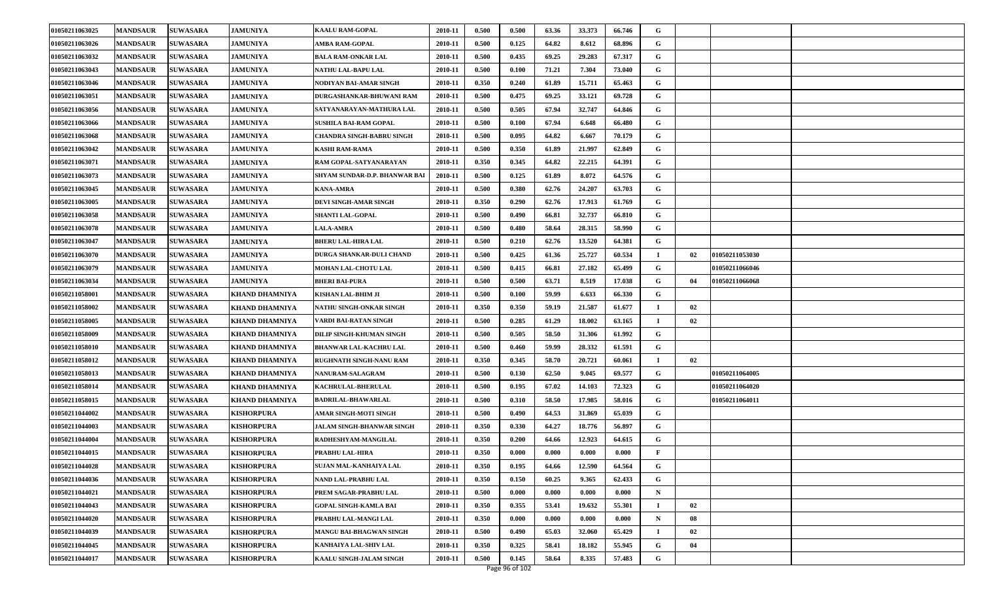| 01050211063025 | <b>MANDSAUR</b> | <b>SUWASARA</b> | <b>JAMUNIYA</b>       | <b>KAALU RAM-GOPAL</b>         | 2010-11 | 0.500 | 0.500 | 63.36 | 33.373 | 66.746 | G              |    |                |  |
|----------------|-----------------|-----------------|-----------------------|--------------------------------|---------|-------|-------|-------|--------|--------|----------------|----|----------------|--|
| 01050211063026 | <b>MANDSAUR</b> | <b>SUWASARA</b> | <b>JAMUNIYA</b>       | AMBA RAM-GOPAL                 | 2010-11 | 0.500 | 0.125 | 64.82 | 8.612  | 68.896 | G              |    |                |  |
| 01050211063032 | <b>MANDSAUR</b> | <b>SUWASARA</b> | <b>JAMUNIYA</b>       | <b>BALA RAM-ONKAR LAL</b>      | 2010-11 | 0.500 | 0.435 | 69.25 | 29.283 | 67.317 | G              |    |                |  |
| 01050211063043 | <b>MANDSAUR</b> | <b>SUWASARA</b> | <b>JAMUNIYA</b>       | NATHU LAL-BAPU LAL             | 2010-11 | 0.500 | 0.100 | 71.21 | 7.304  | 73.040 | G              |    |                |  |
| 01050211063046 | <b>MANDSAUR</b> | <b>SUWASARA</b> | <b>JAMUNIYA</b>       | NODIYAN BAI-AMAR SINGH         | 2010-11 | 0.350 | 0.240 | 61.89 | 15.711 | 65.463 | G              |    |                |  |
| 01050211063051 | <b>MANDSAUR</b> | <b>SUWASARA</b> | <b>JAMUNIYA</b>       | DURGASHANKAR-BHUWANI RAM       | 2010-11 | 0.500 | 0.475 | 69.25 | 33.121 | 69.728 | G              |    |                |  |
| 01050211063056 | <b>MANDSAUR</b> | <b>SUWASARA</b> | <b>JAMUNIYA</b>       | SATYANARAYAN-MATHURA LAL       | 2010-11 | 0.500 | 0.505 | 67.94 | 32.747 | 64.846 | G              |    |                |  |
| 01050211063066 | <b>MANDSAUR</b> | <b>SUWASARA</b> | <b>JAMUNIYA</b>       | <b>SUSHILA BAI-RAM GOPAL</b>   | 2010-11 | 0.500 | 0.100 | 67.94 | 6.648  | 66.480 | G              |    |                |  |
| 01050211063068 | <b>MANDSAUR</b> | <b>SUWASARA</b> | <b>JAMUNIYA</b>       | CHANDRA SINGH-BABRU SINGH      | 2010-11 | 0.500 | 0.095 | 64.82 | 6.667  | 70.179 | G              |    |                |  |
| 01050211063042 | <b>MANDSAUR</b> | <b>SUWASARA</b> | <b>JAMUNIYA</b>       | <b>KASHI RAM-RAMA</b>          | 2010-11 | 0.500 | 0.350 | 61.89 | 21.997 | 62.849 | G              |    |                |  |
| 01050211063071 | <b>MANDSAUR</b> | <b>SUWASARA</b> | <b>JAMUNIYA</b>       | RAM GOPAL-SATYANARAYAN         | 2010-11 | 0.350 | 0.345 | 64.82 | 22.215 | 64.391 | G              |    |                |  |
| 01050211063073 | <b>MANDSAUR</b> | <b>SUWASARA</b> | <b>JAMUNIYA</b>       | SHYAM SUNDAR-D.P. BHANWAR BAI  | 2010-11 | 0.500 | 0.125 | 61.89 | 8.072  | 64.576 | G              |    |                |  |
| 01050211063045 | <b>MANDSAUR</b> | <b>SUWASARA</b> | <b>JAMUNIYA</b>       | <b>KANA-AMRA</b>               | 2010-11 | 0.500 | 0.380 | 62.76 | 24.207 | 63.703 | G              |    |                |  |
| 01050211063005 | <b>MANDSAUR</b> | <b>SUWASARA</b> | <b>JAMUNIYA</b>       | DEVI SINGH-AMAR SINGH          | 2010-11 | 0.350 | 0.290 | 62.76 | 17.913 | 61.769 | G              |    |                |  |
| 01050211063058 | <b>MANDSAUR</b> | <b>SUWASARA</b> | <b>JAMUNIYA</b>       | <b>SHANTI LAL-GOPAL</b>        | 2010-11 | 0.500 | 0.490 | 66.81 | 32.737 | 66.810 | G              |    |                |  |
| 01050211063078 | <b>MANDSAUR</b> | <b>SUWASARA</b> | <b>JAMUNIYA</b>       | <b>LALA-AMRA</b>               | 2010-11 | 0.500 | 0.480 | 58.64 | 28.315 | 58.990 | G              |    |                |  |
| 01050211063047 | <b>MANDSAUR</b> | <b>SUWASARA</b> | <b>JAMUNIYA</b>       | <b>BHERU LAL-HIRA LAL</b>      | 2010-11 | 0.500 | 0.210 | 62.76 | 13.520 | 64.381 | G              |    |                |  |
| 01050211063070 | <b>MANDSAUR</b> | <b>SUWASARA</b> | <b>JAMUNIYA</b>       | DURGA SHANKAR-DULI CHAND       | 2010-11 | 0.500 | 0.425 | 61.36 | 25.727 | 60.534 |                | 02 | 01050211053030 |  |
| 01050211063079 | <b>MANDSAUR</b> | <b>SUWASARA</b> | <b>JAMUNIYA</b>       | MOHAN LAL-CHOTU LAL            | 2010-11 | 0.500 | 0.415 | 66.81 | 27.182 | 65.499 | G              |    | 01050211066046 |  |
| 01050211063034 | <b>MANDSAUR</b> | <b>SUWASARA</b> | <b>JAMUNIYA</b>       | BHERI BAI-PURA                 | 2010-11 | 0.500 | 0.500 | 63.71 | 8.519  | 17.038 | G              | 04 | 01050211066068 |  |
| 01050211058001 | <b>MANDSAUR</b> | <b>SUWASARA</b> | KHAND DHAMNIYA        | KISHAN LAL-BHIM JI             | 2010-11 | 0.500 | 0.100 | 59.99 | 6.633  | 66.330 | G              |    |                |  |
| 01050211058002 | <b>MANDSAUR</b> | <b>SUWASARA</b> | KHAND DHAMNIYA        | NATHU SINGH-ONKAR SINGH        | 2010-11 | 0.350 | 0.350 | 59.19 | 21.587 | 61.677 | - 1            | 02 |                |  |
| 01050211058005 | <b>MANDSAUR</b> | <b>SUWASARA</b> | KHAND DHAMNIYA        | VARDI BAI-RATAN SINGH          | 2010-11 | 0.500 | 0.285 | 61.29 | 18.002 | 63.165 | $\mathbf I$    | 02 |                |  |
| 01050211058009 | <b>MANDSAUR</b> | <b>SUWASARA</b> | <b>KHAND DHAMNIYA</b> | DILIP SINGH-KHUMAN SINGH       | 2010-11 | 0.500 | 0.505 | 58.50 | 31.306 | 61.992 | G              |    |                |  |
| 01050211058010 | <b>MANDSAUR</b> | <b>SUWASARA</b> | KHAND DHAMNIYA        | <b>BHANWAR LAL-KACHRU LAL</b>  | 2010-11 | 0.500 | 0.460 | 59.99 | 28.332 | 61.591 | G              |    |                |  |
| 01050211058012 | <b>MANDSAUR</b> | <b>SUWASARA</b> | <b>KHAND DHAMNIYA</b> | RUGHNATH SINGH-NANU RAM        | 2010-11 | 0.350 | 0.345 | 58.70 | 20.721 | 60.061 | $\blacksquare$ | 02 |                |  |
| 01050211058013 | <b>MANDSAUR</b> | <b>SUWASARA</b> | KHAND DHAMNIYA        | NANURAM-SALAGRAM               | 2010-11 | 0.500 | 0.130 | 62.50 | 9.045  | 69.577 | G              |    | 01050211064005 |  |
| 01050211058014 | <b>MANDSAUR</b> | <b>SUWASARA</b> | KHAND DHAMNIYA        | KACHRULAL-BHERULAL             | 2010-11 | 0.500 | 0.195 | 67.02 | 14.103 | 72.323 | G              |    | 01050211064020 |  |
| 01050211058015 | <b>MANDSAUR</b> | <b>SUWASARA</b> | KHAND DHAMNIYA        | <b>BADRILAL-BHAWARLAL</b>      | 2010-11 | 0.500 | 0.310 | 58.50 | 17.985 | 58.016 | G              |    | 01050211064011 |  |
| 01050211044002 | <b>MANDSAUR</b> | <b>SUWASARA</b> | <b>KISHORPURA</b>     | AMAR SINGH-MOTI SINGH          | 2010-11 | 0.500 | 0.490 | 64.53 | 31.869 | 65.039 | G              |    |                |  |
| 01050211044003 | <b>MANDSAUR</b> | <b>SUWASARA</b> | <b>KISHORPURA</b>     | JALAM SINGH-BHANWAR SINGH      | 2010-11 | 0.350 | 0.330 | 64.27 | 18.776 | 56.897 | G              |    |                |  |
| 01050211044004 | <b>MANDSAUR</b> | <b>SUWASARA</b> | <b>KISHORPURA</b>     | RADHESHYAM-MANGILAL            | 2010-11 | 0.350 | 0.200 | 64.66 | 12.923 | 64.615 | G              |    |                |  |
| 01050211044015 | <b>MANDSAUR</b> | <b>SUWASARA</b> | <b>KISHORPURA</b>     | PRABHU LAL-HIRA                | 2010-11 | 0.350 | 0.000 | 0.000 | 0.000  | 0.000  | F              |    |                |  |
| 01050211044028 | <b>MANDSAUR</b> | <b>SUWASARA</b> | <b>KISHORPURA</b>     | SUJAN MAL-KANHAIYA LAL         | 2010-11 | 0.350 | 0.195 | 64.66 | 12.590 | 64.564 | G              |    |                |  |
| 01050211044036 | <b>MANDSAUR</b> | <b>SUWASARA</b> | KISHORPURA            | NAND LAL-PRABHU LAL            | 2010-11 | 0.350 | 0.150 | 60.25 | 9.365  | 62.433 | G              |    |                |  |
| 01050211044021 | <b>MANDSAUR</b> | <b>SUWASARA</b> | KISHORPURA            | PREM SAGAR-PRABHU LAL          | 2010-11 | 0.500 | 0.000 | 0.000 | 0.000  | 0.000  | $\mathbf N$    |    |                |  |
| 01050211044043 | <b>MANDSAUR</b> | <b>SUWASARA</b> | <b>KISHORPURA</b>     | <b>GOPAL SINGH-KAMLA BAI</b>   | 2010-11 | 0.350 | 0.355 | 53.41 | 19.632 | 55.301 | $\bf I$        | 02 |                |  |
| 01050211044020 | <b>MANDSAUR</b> | <b>SUWASARA</b> | <b>KISHORPURA</b>     | PRABHU LAL-MANGI LAL           | 2010-11 | 0.350 | 0.000 | 0.000 | 0.000  | 0.000  | N              | 08 |                |  |
| 01050211044039 | <b>MANDSAUR</b> | <b>SUWASARA</b> | <b>KISHORPURA</b>     | <b>MANGU BAI-BHAGWAN SINGH</b> | 2010-11 | 0.500 | 0.490 | 65.03 | 32.060 | 65.429 | $\bf I$        | 02 |                |  |
| 01050211044045 | <b>MANDSAUR</b> | <b>SUWASARA</b> | <b>KISHORPURA</b>     | KANHAIYA LAL-SHIV LAL          | 2010-11 | 0.350 | 0.325 | 58.41 | 18.182 | 55.945 | G              | 04 |                |  |
| 01050211044017 | <b>MANDSAUR</b> | <b>SUWASARA</b> | <b>KISHORPURA</b>     | KAALU SINGH-JALAM SINGH        | 2010-11 | 0.500 | 0.145 | 58.64 | 8.335  | 57.483 | G              |    |                |  |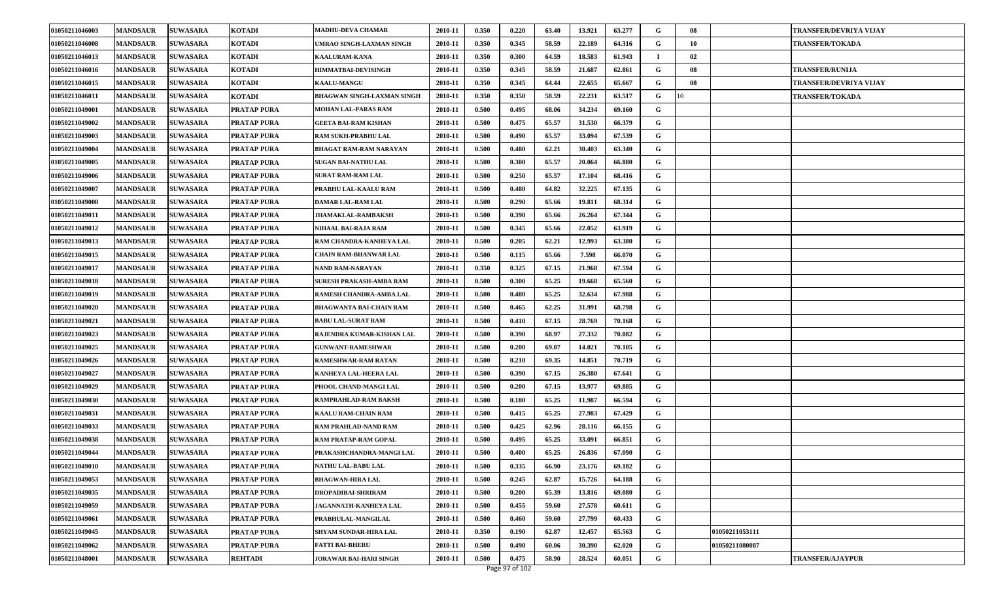| 01050211046003 | <b>MANDSAUR</b> | <b>SUWASARA</b> | <b>KOTADI</b>      | <b>MADHU-DEVA CHAMAR</b>          | 2010-11 | 0.350 | 0.220 | 63.40 | 13.921 | 63.277 | G  | 08 |                | <b>TRANSFER/DEVRIYA VIJAY</b> |
|----------------|-----------------|-----------------|--------------------|-----------------------------------|---------|-------|-------|-------|--------|--------|----|----|----------------|-------------------------------|
| 01050211046008 | <b>MANDSAUR</b> | <b>SUWASARA</b> | KOTADI             | UMRAO SINGH-LAXMAN SINGH          | 2010-11 | 0.350 | 0.345 | 58.59 | 22.189 | 64.316 | G  | 10 |                | <b>TRANSFER/TOKADA</b>        |
| 01050211046013 | <b>MANDSAUR</b> | <b>SUWASARA</b> | <b>KOTADI</b>      | <b>KAALURAM-KANA</b>              | 2010-11 | 0.350 | 0.300 | 64.59 | 18.583 | 61.943 | -1 | 02 |                |                               |
| 01050211046016 | <b>MANDSAUR</b> | <b>SUWASARA</b> | <b>KOTADI</b>      | HIMMATBAI-DEVISINGH               | 2010-11 | 0.350 | 0.345 | 58.59 | 21.687 | 62.861 | G  | 08 |                | <b>TRANSFER/RUNIJA</b>        |
| 01050211046015 | <b>MANDSAUR</b> | <b>SUWASARA</b> | <b>KOTADI</b>      | <b>KAALU-MANGU</b>                | 2010-11 | 0.350 | 0.345 | 64.44 | 22.655 | 65.667 | G  | 08 |                | TRANSFER/DEVRIYA VIJAY        |
| 01050211046011 | <b>MANDSAUR</b> | <b>SUWASARA</b> | <b>KOTADI</b>      | <b>BHAGWAN SINGH-LAXMAN SINGH</b> | 2010-11 | 0.350 | 0.350 | 58.59 | 22.231 | 63.517 | G  | 10 |                | <b>TRANSFER/TOKADA</b>        |
| 01050211049001 | <b>MANDSAUR</b> | <b>SUWASARA</b> | <b>PRATAP PURA</b> | MOHAN LAL-PARAS RAM               | 2010-11 | 0.500 | 0.495 | 68.06 | 34.234 | 69.160 | G  |    |                |                               |
| 01050211049002 | <b>MANDSAUR</b> | <b>SUWASARA</b> | PRATAP PURA        | <b>GEETA BAI-RAM KISHAN</b>       | 2010-11 | 0.500 | 0.475 | 65.57 | 31.530 | 66.379 | G  |    |                |                               |
| 01050211049003 | <b>MANDSAUR</b> | <b>SUWASARA</b> | <b>PRATAP PURA</b> | RAM SUKH-PRABHU LAL               | 2010-11 | 0.500 | 0.490 | 65.57 | 33.094 | 67.539 | G  |    |                |                               |
| 01050211049004 | <b>MANDSAUR</b> | <b>SUWASARA</b> | PRATAP PURA        | <b>BHAGAT RAM-RAM NARAYAN</b>     | 2010-11 | 0.500 | 0.480 | 62.21 | 30.403 | 63.340 | G  |    |                |                               |
| 01050211049005 | <b>MANDSAUR</b> | <b>SUWASARA</b> | <b>PRATAP PURA</b> | SUGAN BAI-NATHU LAL               | 2010-11 | 0.500 | 0.300 | 65.57 | 20.064 | 66.880 | G  |    |                |                               |
| 01050211049006 | <b>MANDSAUR</b> | <b>SUWASARA</b> | PRATAP PURA        | SURAT RAM-RAM LAL                 | 2010-11 | 0.500 | 0.250 | 65.57 | 17.104 | 68.416 | G  |    |                |                               |
| 01050211049007 | <b>MANDSAUR</b> | <b>SUWASARA</b> | <b>PRATAP PURA</b> | PRABHU LAL-KAALU RAM              | 2010-11 | 0.500 | 0.480 | 64.82 | 32.225 | 67.135 | G  |    |                |                               |
| 01050211049008 | <b>MANDSAUR</b> | <b>SUWASARA</b> | PRATAP PURA        | DAMAR LAL-RAM LAL                 | 2010-11 | 0.500 | 0.290 | 65.66 | 19.811 | 68.314 | G  |    |                |                               |
| 01050211049011 | <b>MANDSAUR</b> | <b>SUWASARA</b> | <b>PRATAP PURA</b> | <b>JHAMAKLAL-RAMBAKSH</b>         | 2010-11 | 0.500 | 0.390 | 65.66 | 26.264 | 67.344 | G  |    |                |                               |
| 01050211049012 | <b>MANDSAUR</b> | <b>SUWASARA</b> | PRATAP PURA        | NIHAAL BAI-RAJA RAM               | 2010-11 | 0.500 | 0.345 | 65.66 | 22.052 | 63.919 | G  |    |                |                               |
| 01050211049013 | <b>MANDSAUR</b> | <b>SUWASARA</b> | PRATAP PURA        | RAM CHANDRA-KANHEYA LAL           | 2010-11 | 0.500 | 0.205 | 62.21 | 12.993 | 63.380 | G  |    |                |                               |
| 01050211049015 | <b>MANDSAUR</b> | <b>SUWASARA</b> | PRATAP PURA        | <b>CHAIN RAM-BHANWAR LAL</b>      | 2010-11 | 0.500 | 0.115 | 65.66 | 7.598  | 66.070 | G  |    |                |                               |
| 01050211049017 | <b>MANDSAUR</b> | <b>SUWASARA</b> | <b>PRATAP PURA</b> | NAND RAM-NARAYAN                  | 2010-11 | 0.350 | 0.325 | 67.15 | 21.968 | 67.594 | G  |    |                |                               |
| 01050211049018 | <b>MANDSAUR</b> | <b>SUWASARA</b> | PRATAP PURA        | SURESH PRAKASH-AMBA RAM           | 2010-11 | 0.500 | 0.300 | 65.25 | 19.668 | 65.560 | G  |    |                |                               |
| 01050211049019 | <b>MANDSAUR</b> | <b>SUWASARA</b> | PRATAP PURA        | RAMESH CHANDRA-AMBA LAL           | 2010-11 | 0.500 | 0.480 | 65.25 | 32.634 | 67.988 | G  |    |                |                               |
| 01050211049020 | <b>MANDSAUR</b> | <b>SUWASARA</b> | PRATAP PURA        | <b>BHAGWANTA BAI-CHAIN RAM</b>    | 2010-11 | 0.500 | 0.465 | 62.25 | 31.991 | 68.798 | G  |    |                |                               |
| 01050211049021 | <b>MANDSAUR</b> | <b>SUWASARA</b> | PRATAP PURA        | <b>BABU LAL-SURAT RAM</b>         | 2010-11 | 0.500 | 0.410 | 67.15 | 28.769 | 70.168 | G  |    |                |                               |
| 01050211049023 | <b>MANDSAUR</b> | <b>SUWASARA</b> | PRATAP PURA        | RAJENDRA KUMAR-KISHAN LAL         | 2010-11 | 0.500 | 0.390 | 68.97 | 27.332 | 70.082 | G  |    |                |                               |
| 01050211049025 | <b>MANDSAUR</b> | <b>SUWASARA</b> | PRATAP PURA        | <b>GUNWANT-RAMESHWAR</b>          | 2010-11 | 0.500 | 0.200 | 69.07 | 14.021 | 70.105 | G  |    |                |                               |
| 01050211049026 | <b>MANDSAUR</b> | <b>SUWASARA</b> | PRATAP PURA        | RAMESHWAR-RAM RATAN               | 2010-11 | 0.500 | 0.210 | 69.35 | 14.851 | 70.719 | G  |    |                |                               |
| 01050211049027 | <b>MANDSAUR</b> | <b>SUWASARA</b> | PRATAP PURA        | KANHEYA LAL-HEERA LAL             | 2010-11 | 0.500 | 0.390 | 67.15 | 26.380 | 67.641 | G  |    |                |                               |
| 01050211049029 | <b>MANDSAUR</b> | <b>SUWASARA</b> | PRATAP PURA        | PHOOL CHAND-MANGI LAL             | 2010-11 | 0.500 | 0.200 | 67.15 | 13.977 | 69.885 | G  |    |                |                               |
| 01050211049030 | <b>MANDSAUR</b> | <b>SUWASARA</b> | PRATAP PURA        | RAMPRAHLAD-RAM BAKSH              | 2010-11 | 0.500 | 0.180 | 65.25 | 11.987 | 66.594 | G  |    |                |                               |
| 01050211049031 | <b>MANDSAUR</b> | <b>SUWASARA</b> | <b>PRATAP PURA</b> | KAALU RAM-CHAIN RAM               | 2010-11 | 0.500 | 0.415 | 65.25 | 27.983 | 67.429 | G  |    |                |                               |
| 01050211049033 | <b>MANDSAUR</b> | <b>SUWASARA</b> | PRATAP PURA        | RAM PRAHLAD-NAND RAM              | 2010-11 | 0.500 | 0.425 | 62.96 | 28.116 | 66.155 | G  |    |                |                               |
| 01050211049038 | <b>MANDSAUR</b> | <b>SUWASARA</b> | PRATAP PURA        | RAM PRATAP-RAM GOPAL              | 2010-11 | 0.500 | 0.495 | 65.25 | 33.091 | 66.851 | G  |    |                |                               |
| 01050211049044 | <b>MANDSAUR</b> | <b>SUWASARA</b> | PRATAP PURA        | PRAKASHCHANDRA-MANGI LAL          | 2010-11 | 0.500 | 0.400 | 65.25 | 26.836 | 67.090 | G  |    |                |                               |
| 01050211049010 | <b>MANDSAUR</b> | <b>SUWASARA</b> | <b>PRATAP PURA</b> | NATHU LAL-BABU LAL                | 2010-11 | 0.500 | 0.335 | 66.90 | 23.176 | 69.182 | G  |    |                |                               |
| 01050211049053 | <b>MANDSAUR</b> | <b>SUWASARA</b> | PRATAP PURA        | <b>BHAGWAN-HIRA LAL</b>           | 2010-11 | 0.500 | 0.245 | 62.87 | 15.726 | 64.188 | G  |    |                |                               |
| 01050211049035 | <b>MANDSAUR</b> | <b>SUWASARA</b> | PRATAP PURA        | DROPADIBAI-SHRIRAM                | 2010-11 | 0.500 | 0.200 | 65.39 | 13.816 | 69.080 | G  |    |                |                               |
| 01050211049059 | <b>MANDSAUR</b> | <b>SUWASARA</b> | PRATAP PURA        | <b>JAGANNATH-KANHEYA LAL</b>      | 2010-11 | 0.500 | 0.455 | 59.60 | 27.578 | 60.611 | G  |    |                |                               |
| 01050211049061 | <b>MANDSAUR</b> | <b>SUWASARA</b> | PRATAP PURA        | PRABHULAL-MANGILAL                | 2010-11 | 0.500 | 0.460 | 59.60 | 27.799 | 60.433 | G  |    |                |                               |
| 01050211049045 | <b>MANDSAUR</b> | <b>SUWASARA</b> | PRATAP PURA        | SHYAM SUNDAR-HIRA LAL             | 2010-11 | 0.350 | 0.190 | 62.87 | 12.457 | 65.563 | G  |    | 01050211053111 |                               |
| 01050211049062 | <b>MANDSAUR</b> | <b>SUWASARA</b> | <b>PRATAP PURA</b> | <b>FATTI BAI-BHERU</b>            | 2010-11 | 0.500 | 0.490 | 60.06 | 30.390 | 62.020 | G  |    | 01050211080087 |                               |
| 01050211048001 | <b>MANDSAUR</b> | <b>SUWASARA</b> | <b>REHTADI</b>     | JORAWAR BAI-HARI SINGH            | 2010-11 | 0.500 | 0.475 | 58.90 | 28.524 | 60.051 | G  |    |                | <b>TRANSFER/AJAYPUR</b>       |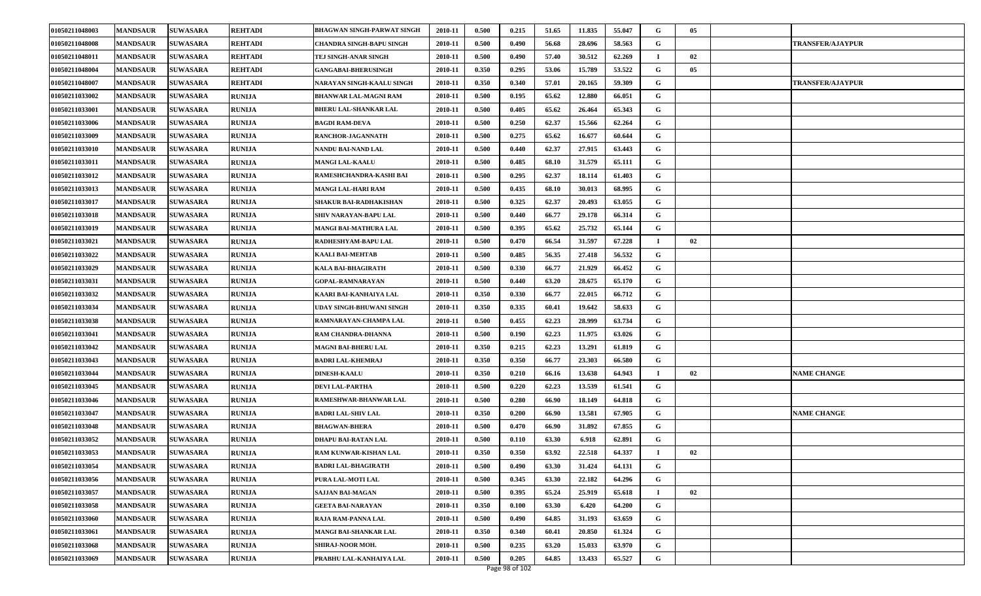| 01050211048003 | <b>MANDSAUR</b> | <b>SUWASARA</b> | <b>REHTADI</b> | BHAGWAN SINGH-PARWAT SINGH   | 2010-11 | 0.500 | 0.215 | 51.65 | 11.835 | 55.047 | G | 05 |                         |
|----------------|-----------------|-----------------|----------------|------------------------------|---------|-------|-------|-------|--------|--------|---|----|-------------------------|
| 01050211048008 | <b>MANDSAUR</b> | <b>SUWASARA</b> | REHTADI        | CHANDRA SINGH-BAPU SINGH     | 2010-11 | 0.500 | 0.490 | 56.68 | 28.696 | 58.563 | G |    | <b>TRANSFER/AJAYPUR</b> |
| 01050211048011 | <b>MANDSAUR</b> | <b>SUWASARA</b> | <b>REHTADI</b> | TEJ SINGH-ANAR SINGH         | 2010-11 | 0.500 | 0.490 | 57.40 | 30.512 | 62.269 |   | 02 |                         |
| 01050211048004 | <b>MANDSAUR</b> | <b>SUWASARA</b> | <b>REHTADI</b> | <b>GANGABAI-BHERUSINGH</b>   | 2010-11 | 0.350 | 0.295 | 53.06 | 15.789 | 53.522 | G | 05 |                         |
| 01050211048007 | <b>MANDSAUR</b> | <b>SUWASARA</b> | <b>REHTADI</b> | NARAYAN SINGH-KAALU SINGH    | 2010-11 | 0.350 | 0.340 | 57.01 | 20.165 | 59.309 | G |    | <b>TRANSFER/AJAYPUR</b> |
| 01050211033002 | <b>MANDSAUR</b> | <b>SUWASARA</b> | <b>RUNIJA</b>  | BHANWAR LAL-MAGNI RAM        | 2010-11 | 0.500 | 0.195 | 65.62 | 12.880 | 66.051 | G |    |                         |
| 01050211033001 | <b>MANDSAUR</b> | <b>SUWASARA</b> | <b>RUNIJA</b>  | <b>BHERU LAL-SHANKAR LAL</b> | 2010-11 | 0.500 | 0.405 | 65.62 | 26.464 | 65.343 | G |    |                         |
| 01050211033006 | <b>MANDSAUR</b> | <b>SUWASARA</b> | <b>RUNIJA</b>  | <b>BAGDI RAM-DEVA</b>        | 2010-11 | 0.500 | 0.250 | 62.37 | 15.566 | 62.264 | G |    |                         |
| 01050211033009 | <b>MANDSAUR</b> | <b>SUWASARA</b> | <b>RUNIJA</b>  | RANCHOR-JAGANNATH            | 2010-11 | 0.500 | 0.275 | 65.62 | 16.677 | 60.644 | G |    |                         |
| 01050211033010 | <b>MANDSAUR</b> | <b>SUWASARA</b> | <b>RUNIJA</b>  | NANDU BAI-NAND LAL           | 2010-11 | 0.500 | 0.440 | 62.37 | 27.915 | 63.443 | G |    |                         |
| 01050211033011 | <b>MANDSAUR</b> | <b>SUWASARA</b> | <b>RUNIJA</b>  | <b>MANGI LAL-KAALU</b>       | 2010-11 | 0.500 | 0.485 | 68.10 | 31.579 | 65.111 | G |    |                         |
| 01050211033012 | <b>MANDSAUR</b> | <b>SUWASARA</b> | <b>RUNIJA</b>  | RAMESHCHANDRA-KASHI BAI      | 2010-11 | 0.500 | 0.295 | 62.37 | 18.114 | 61.403 | G |    |                         |
| 01050211033013 | <b>MANDSAUR</b> | <b>SUWASARA</b> | <b>RUNIJA</b>  | MANGI LAL-HARI RAM           | 2010-11 | 0.500 | 0.435 | 68.10 | 30.013 | 68.995 | G |    |                         |
| 01050211033017 | <b>MANDSAUR</b> | <b>SUWASARA</b> | <b>RUNIJA</b>  | SHAKUR BAI-RADHAKISHAN       | 2010-11 | 0.500 | 0.325 | 62.37 | 20.493 | 63.055 | G |    |                         |
| 01050211033018 | <b>MANDSAUR</b> | <b>SUWASARA</b> | <b>RUNIJA</b>  | SHIV NARAYAN-BAPU LAL        | 2010-11 | 0.500 | 0.440 | 66.77 | 29.178 | 66.314 | G |    |                         |
| 01050211033019 | <b>MANDSAUR</b> | <b>SUWASARA</b> | <b>RUNIJA</b>  | MANGI BAI-MATHURA LAL        | 2010-11 | 0.500 | 0.395 | 65.62 | 25.732 | 65.144 | G |    |                         |
| 01050211033021 | <b>MANDSAUR</b> | <b>SUWASARA</b> | <b>RUNIJA</b>  | RADHESHYAM-BAPU LAL          | 2010-11 | 0.500 | 0.470 | 66.54 | 31.597 | 67.228 |   | 02 |                         |
| 01050211033022 | <b>MANDSAUR</b> | <b>SUWASARA</b> | <b>RUNIJA</b>  | KAALI BAI-MEHTAB             | 2010-11 | 0.500 | 0.485 | 56.35 | 27.418 | 56.532 | G |    |                         |
| 01050211033029 | <b>MANDSAUR</b> | <b>SUWASARA</b> | <b>RUNIJA</b>  | KALA BAI-BHAGIRATH           | 2010-11 | 0.500 | 0.330 | 66.77 | 21.929 | 66.452 | G |    |                         |
| 01050211033031 | <b>MANDSAUR</b> | <b>SUWASARA</b> | <b>RUNIJA</b>  | <b>GOPAL-RAMNARAYAN</b>      | 2010-11 | 0.500 | 0.440 | 63.20 | 28.675 | 65.170 | G |    |                         |
| 01050211033032 | <b>MANDSAUR</b> | <b>SUWASARA</b> | <b>RUNIJA</b>  | KAARI BAI-KANHAIYA LAL       | 2010-11 | 0.350 | 0.330 | 66.77 | 22.015 | 66.712 | G |    |                         |
| 01050211033034 | <b>MANDSAUR</b> | <b>SUWASARA</b> | <b>RUNIJA</b>  | UDAY SINGH-BHUWANI SINGH     | 2010-11 | 0.350 | 0.335 | 60.41 | 19.642 | 58.633 | G |    |                         |
| 01050211033038 | <b>MANDSAUR</b> | <b>SUWASARA</b> | <b>RUNIJA</b>  | RAMNARAYAN-CHAMPA LAL        | 2010-11 | 0.500 | 0.455 | 62.23 | 28.999 | 63.734 | G |    |                         |
| 01050211033041 | <b>MANDSAUR</b> | <b>SUWASARA</b> | <b>RUNIJA</b>  | RAM CHANDRA-DHANNA           | 2010-11 | 0.500 | 0.190 | 62.23 | 11.975 | 63.026 | G |    |                         |
| 01050211033042 | <b>MANDSAUR</b> | <b>SUWASARA</b> | <b>RUNIJA</b>  | MAGNI BAI-BHERU LAL          | 2010-11 | 0.350 | 0.215 | 62.23 | 13.291 | 61.819 | G |    |                         |
| 01050211033043 | <b>MANDSAUR</b> | <b>SUWASARA</b> | <b>RUNIJA</b>  | <b>BADRI LAL-KHEMRAJ</b>     | 2010-11 | 0.350 | 0.350 | 66.77 | 23.303 | 66.580 | G |    |                         |
| 01050211033044 | <b>MANDSAUR</b> | <b>SUWASARA</b> | <b>RUNIJA</b>  | <b>DINESH-KAALU</b>          | 2010-11 | 0.350 | 0.210 | 66.16 | 13.638 | 64.943 |   | 02 | <b>NAME CHANGE</b>      |
| 01050211033045 | <b>MANDSAUR</b> | <b>SUWASARA</b> | <b>RUNIJA</b>  | DEVI LAL-PARTHA              | 2010-11 | 0.500 | 0.220 | 62.23 | 13.539 | 61.541 | G |    |                         |
| 01050211033046 | <b>MANDSAUR</b> | <b>SUWASARA</b> | <b>RUNIJA</b>  | RAMESHWAR-BHANWAR LAL        | 2010-11 | 0.500 | 0.280 | 66.90 | 18.149 | 64.818 | G |    |                         |
| 01050211033047 | <b>MANDSAUR</b> | <b>SUWASARA</b> | <b>RUNIJA</b>  | <b>BADRI LAL-SHIV LAL</b>    | 2010-11 | 0.350 | 0.200 | 66.90 | 13.581 | 67.905 | G |    | <b>NAME CHANGE</b>      |
| 01050211033048 | <b>MANDSAUR</b> | <b>SUWASARA</b> | <b>RUNIJA</b>  | <b>BHAGWAN-BHERA</b>         | 2010-11 | 0.500 | 0.470 | 66.90 | 31.892 | 67.855 | G |    |                         |
| 01050211033052 | <b>MANDSAUR</b> | <b>SUWASARA</b> | <b>RUNIJA</b>  | DHAPU BAI-RATAN LAL          | 2010-11 | 0.500 | 0.110 | 63.30 | 6.918  | 62.891 | G |    |                         |
| 01050211033053 | <b>MANDSAUR</b> | <b>SUWASARA</b> | <b>RUNIJA</b>  | RAM KUNWAR-KISHAN LAL        | 2010-11 | 0.350 | 0.350 | 63.92 | 22.518 | 64.337 |   | 02 |                         |
| 01050211033054 | <b>MANDSAUR</b> | <b>SUWASARA</b> | <b>RUNIJA</b>  | <b>BADRI LAL-BHAGIRATH</b>   | 2010-11 | 0.500 | 0.490 | 63.30 | 31.424 | 64.131 | G |    |                         |
| 01050211033056 | <b>MANDSAUR</b> | <b>SUWASARA</b> | <b>RUNIJA</b>  | PURA LAL-MOTI LAL            | 2010-11 | 0.500 | 0.345 | 63.30 | 22.182 | 64.296 | G |    |                         |
| 01050211033057 | <b>MANDSAUR</b> | <b>SUWASARA</b> | <b>RUNIJA</b>  | <b>SAJJAN BAI-MAGAN</b>      | 2010-11 | 0.500 | 0.395 | 65.24 | 25.919 | 65.618 |   | 02 |                         |
| 01050211033058 | <b>MANDSAUR</b> | <b>SUWASARA</b> | <b>RUNIJA</b>  | <b>GEETA BAI-NARAYAN</b>     | 2010-11 | 0.350 | 0.100 | 63.30 | 6.420  | 64.200 | G |    |                         |
| 01050211033060 | <b>MANDSAUR</b> | <b>SUWASARA</b> | <b>RUNIJA</b>  | RAJA RAM-PANNA LAL           | 2010-11 | 0.500 | 0.490 | 64.85 | 31.193 | 63.659 | G |    |                         |
| 01050211033061 | <b>MANDSAUR</b> | <b>SUWASARA</b> | <b>RUNIJA</b>  | MANGI BAI-SHANKAR LAL        | 2010-11 | 0.350 | 0.340 | 60.41 | 20.850 | 61.324 | G |    |                         |
| 01050211033068 | <b>MANDSAUR</b> | <b>SUWASARA</b> | <b>RUNIJA</b>  | <b>SHIRAJ-NOOR MOH.</b>      | 2010-11 | 0.500 | 0.235 | 63.20 | 15.033 | 63.970 | G |    |                         |
| 01050211033069 | <b>MANDSAUR</b> | <b>SUWASARA</b> | <b>RUNIJA</b>  | PRABHU LAL-KANHAIYA LAL      | 2010-11 | 0.500 | 0.205 | 64.85 | 13.433 | 65.527 | G |    |                         |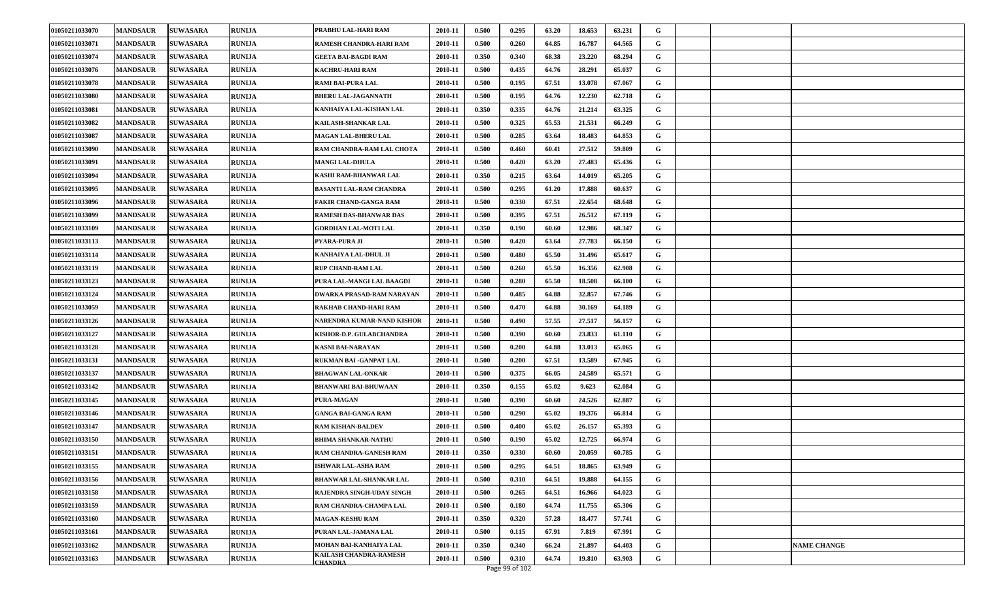| 01050211033070 | <b>MANDSAUR</b> | <b>SUWASARA</b> | <b>RUNIJA</b> | PRABHU LAL-HARI RAM                      | 2010-11 | 0.500 | 0.295 | 63.20 | 18.653 | 63.231 | G |  |                    |
|----------------|-----------------|-----------------|---------------|------------------------------------------|---------|-------|-------|-------|--------|--------|---|--|--------------------|
| 01050211033071 | <b>MANDSAUR</b> | <b>SUWASARA</b> | <b>RUNIJA</b> | RAMESH CHANDRA-HARI RAM                  | 2010-11 | 0.500 | 0.260 | 64.85 | 16.787 | 64.565 | G |  |                    |
| 01050211033074 | <b>MANDSAUR</b> | <b>SUWASARA</b> | <b>RUNIJA</b> | <b>GEETA BAI-BAGDI RAM</b>               | 2010-11 | 0.350 | 0.340 | 68.38 | 23.220 | 68.294 | G |  |                    |
| 01050211033076 | <b>MANDSAUR</b> | <b>SUWASARA</b> | <b>RUNIJA</b> | KACHRU-HARI RAM                          | 2010-11 | 0.500 | 0.435 | 64.76 | 28.291 | 65.037 | G |  |                    |
| 01050211033078 | <b>MANDSAUR</b> | <b>SUWASARA</b> | <b>RUNIJA</b> | <b>RAMI BAI-PURA LAL</b>                 | 2010-11 | 0.500 | 0.195 | 67.51 | 13.078 | 67.067 | G |  |                    |
| 01050211033080 | <b>MANDSAUR</b> | <b>SUWASARA</b> | <b>RUNIJA</b> | <b>BHERU LAL-JAGANNATH</b>               | 2010-11 | 0.500 | 0.195 | 64.76 | 12.230 | 62.718 | G |  |                    |
| 01050211033081 | <b>MANDSAUR</b> | <b>SUWASARA</b> | <b>RUNIJA</b> | KANHAIYA LAL-KISHAN LAL                  | 2010-11 | 0.350 | 0.335 | 64.76 | 21.214 | 63.325 | G |  |                    |
| 01050211033082 | <b>MANDSAUR</b> | <b>SUWASARA</b> | <b>RUNIJA</b> | KAILASH-SHANKAR LAL                      | 2010-11 | 0.500 | 0.325 | 65.53 | 21.531 | 66.249 | G |  |                    |
| 01050211033087 | <b>MANDSAUR</b> | <b>SUWASARA</b> | <b>RUNIJA</b> | <b>MAGAN LAL-BHERU LAL</b>               | 2010-11 | 0.500 | 0.285 | 63.64 | 18.483 | 64.853 | G |  |                    |
| 01050211033090 | <b>MANDSAUR</b> | <b>SUWASARA</b> | <b>RUNIJA</b> | RAM CHANDRA-RAM LAL CHOTA                | 2010-11 | 0.500 | 0.460 | 60.41 | 27.512 | 59.809 | G |  |                    |
| 01050211033091 | <b>MANDSAUR</b> | <b>SUWASARA</b> | <b>RUNIJA</b> | <b>MANGI LAL-DHULA</b>                   | 2010-11 | 0.500 | 0.420 | 63.20 | 27.483 | 65.436 | G |  |                    |
| 01050211033094 | <b>MANDSAUR</b> | <b>SUWASARA</b> | <b>RUNIJA</b> | KASHI RAM-BHANWAR LAL                    | 2010-11 | 0.350 | 0.215 | 63.64 | 14.019 | 65.205 | G |  |                    |
| 01050211033095 | <b>MANDSAUR</b> | <b>SUWASARA</b> | RUNIJA        | <b>BASANTI LAL-RAM CHANDRA</b>           | 2010-11 | 0.500 | 0.295 | 61.20 | 17.888 | 60.637 | G |  |                    |
| 01050211033096 | <b>MANDSAUR</b> | <b>SUWASARA</b> | <b>RUNIJA</b> | FAKIR CHAND-GANGA RAM                    | 2010-11 | 0.500 | 0.330 | 67.51 | 22.654 | 68.648 | G |  |                    |
| 01050211033099 | <b>MANDSAUR</b> | <b>SUWASARA</b> | <b>RUNIJA</b> | <b>RAMESH DAS-BHANWAR DAS</b>            | 2010-11 | 0.500 | 0.395 | 67.51 | 26.512 | 67.119 | G |  |                    |
| 01050211033109 | <b>MANDSAUR</b> | <b>SUWASARA</b> | RUNIJA        | <b>GORDHAN LAL-MOTI LAL</b>              | 2010-11 | 0.350 | 0.190 | 60.60 | 12.986 | 68.347 | G |  |                    |
| 01050211033113 | <b>MANDSAUR</b> | <b>SUWASARA</b> | <b>RUNIJA</b> | PYARA-PURA JI                            | 2010-11 | 0.500 | 0.420 | 63.64 | 27.783 | 66.150 | G |  |                    |
| 01050211033114 | <b>MANDSAUR</b> | <b>SUWASARA</b> | <b>RUNIJA</b> | KANHAIYA LAL-DHUL JI                     | 2010-11 | 0.500 | 0.480 | 65.50 | 31.496 | 65.617 | G |  |                    |
| 01050211033119 | <b>MANDSAUR</b> | <b>SUWASARA</b> | <b>RUNIJA</b> | <b>RUP CHAND-RAM LAL</b>                 | 2010-11 | 0.500 | 0.260 | 65.50 | 16.356 | 62.908 | G |  |                    |
| 01050211033123 | <b>MANDSAUR</b> | <b>SUWASARA</b> | RUNIJA        | PURA LAL-MANGI LAL BAAGDI                | 2010-11 | 0.500 | 0.280 | 65.50 | 18.508 | 66.100 | G |  |                    |
| 01050211033124 | <b>MANDSAUR</b> | <b>SUWASARA</b> | RUNIJA        | DWARKA PRASAD-RAM NARAYAN                | 2010-11 | 0.500 | 0.485 | 64.88 | 32.857 | 67.746 | G |  |                    |
| 01050211033059 | <b>MANDSAUR</b> | <b>SUWASARA</b> | <b>RUNIJA</b> | RAKHAB CHAND-HARI RAM                    | 2010-11 | 0.500 | 0.470 | 64.88 | 30.169 | 64.189 | G |  |                    |
| 01050211033126 | <b>MANDSAUR</b> | <b>SUWASARA</b> | <b>RUNIJA</b> | NARENDRA KUMAR-NAND KISHOR               | 2010-11 | 0.500 | 0.490 | 57.55 | 27.517 | 56.157 | G |  |                    |
| 01050211033127 | <b>MANDSAUR</b> | <b>SUWASARA</b> | <b>RUNIJA</b> | KISHOR-D.P. GULABCHANDRA                 | 2010-11 | 0.500 | 0.390 | 60.60 | 23.833 | 61.110 | G |  |                    |
| 01050211033128 | <b>MANDSAUR</b> | <b>SUWASARA</b> | <b>RUNIJA</b> | <b>KASNI BAI-NARAYAN</b>                 | 2010-11 | 0.500 | 0.200 | 64.88 | 13.013 | 65.065 | G |  |                    |
| 01050211033131 | <b>MANDSAUR</b> | <b>SUWASARA</b> | <b>RUNIJA</b> | RUKMAN BAI -GANPAT LAL                   | 2010-11 | 0.500 | 0.200 | 67.51 | 13.589 | 67.945 | G |  |                    |
| 01050211033137 | <b>MANDSAUR</b> | <b>SUWASARA</b> | <b>RUNIJA</b> | <b>BHAGWAN LAL-ONKAR</b>                 | 2010-11 | 0.500 | 0.375 | 66.05 | 24.589 | 65.571 | G |  |                    |
| 01050211033142 | <b>MANDSAUR</b> | <b>SUWASARA</b> | <b>RUNIJA</b> | <b>BHANWARI BAI-BHUWAAN</b>              | 2010-11 | 0.350 | 0.155 | 65.02 | 9.623  | 62.084 | G |  |                    |
| 01050211033145 | <b>MANDSAUR</b> | <b>SUWASARA</b> | <b>RUNIJA</b> | PURA-MAGAN                               | 2010-11 | 0.500 | 0.390 | 60.60 | 24.526 | 62.887 | G |  |                    |
| 01050211033146 | <b>MANDSAUR</b> | <b>SUWASARA</b> | <b>RUNIJA</b> | <b>GANGA BAI-GANGA RAM</b>               | 2010-11 | 0.500 | 0.290 | 65.02 | 19.376 | 66.814 | G |  |                    |
| 01050211033147 | <b>MANDSAUR</b> | <b>SUWASARA</b> | <b>RUNIJA</b> | <b>RAM KISHAN-BALDEV</b>                 | 2010-11 | 0.500 | 0.400 | 65.02 | 26.157 | 65.393 | G |  |                    |
| 01050211033150 | <b>MANDSAUR</b> | <b>SUWASARA</b> | <b>RUNIJA</b> | <b>BHIMA SHANKAR-NATHU</b>               | 2010-11 | 0.500 | 0.190 | 65.02 | 12.725 | 66.974 | G |  |                    |
| 01050211033151 | <b>MANDSAUR</b> | <b>SUWASARA</b> | <b>RUNIJA</b> | RAM CHANDRA-GANESH RAM                   | 2010-11 | 0.350 | 0.330 | 60.60 | 20.059 | 60.785 | G |  |                    |
| 01050211033155 | <b>MANDSAUR</b> | <b>SUWASARA</b> | <b>RUNIJA</b> | <b>ISHWAR LAL-ASHA RAM</b>               | 2010-11 | 0.500 | 0.295 | 64.51 | 18.865 | 63.949 | G |  |                    |
| 01050211033156 | <b>MANDSAUR</b> | <b>SUWASARA</b> | RUNIJA        | BHANWAR LAL-SHANKAR LAL                  | 2010-11 | 0.500 | 0.310 | 64.51 | 19.888 | 64.155 | G |  |                    |
| 01050211033158 | <b>MANDSAUR</b> | <b>SUWASARA</b> | <b>RUNIJA</b> | RAJENDRA SINGH-UDAY SINGH                | 2010-11 | 0.500 | 0.265 | 64.51 | 16.966 | 64.023 | G |  |                    |
| 01050211033159 | <b>MANDSAUR</b> | <b>SUWASARA</b> | RUNIJA        | RAM CHANDRA-CHAMPA LAL                   | 2010-11 | 0.500 | 0.180 | 64.74 | 11.755 | 65.306 | G |  |                    |
| 01050211033160 | <b>MANDSAUR</b> | <b>SUWASARA</b> | <b>RUNIJA</b> | <b>MAGAN-KESHU RAM</b>                   | 2010-11 | 0.350 | 0.320 | 57.28 | 18.477 | 57.741 | G |  |                    |
| 01050211033161 | <b>MANDSAUR</b> | <b>SUWASARA</b> | <b>RUNIJA</b> | PURAN LAL-JAMANA LAL                     | 2010-11 | 0.500 | 0.115 | 67.91 | 7.819  | 67.991 | G |  |                    |
| 01050211033162 | <b>MANDSAUR</b> | <b>SUWASARA</b> | <b>RUNIJA</b> | MOHAN BAI-KANHAIYA LAL                   | 2010-11 | 0.350 | 0.340 | 66.24 | 21.897 | 64.403 | G |  | <b>NAME CHANGE</b> |
| 01050211033163 | <b>MANDSAUR</b> | <b>SUWASARA</b> | <b>RUNIJA</b> | KAILASH CHANDRA-RAMESH<br><b>CHANDRA</b> | 2010-11 | 0.500 | 0.310 | 64.74 | 19.810 | 63.903 | G |  |                    |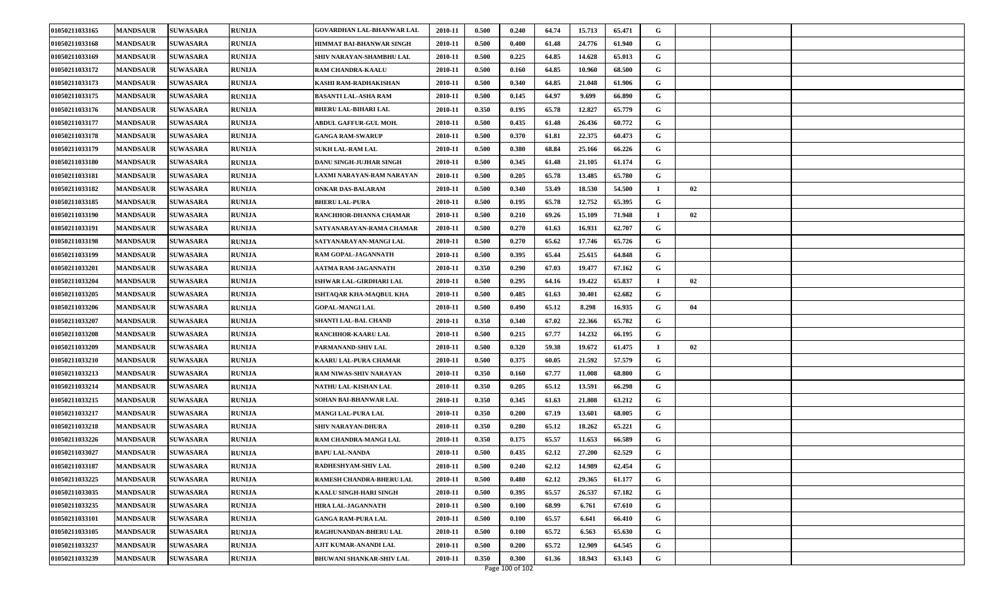| 01050211033165 | <b>MANDSAUR</b> | <b>SUWASARA</b> | <b>RUNIJA</b> | <b>GOVARDHAN LAL-BHANWAR LAL</b> | 2010-11 | 0.500 | 0.240 | 64.74 | 15.713 | 65.471 | G           |    |  |
|----------------|-----------------|-----------------|---------------|----------------------------------|---------|-------|-------|-------|--------|--------|-------------|----|--|
| 01050211033168 | <b>MANDSAUR</b> | <b>SUWASARA</b> | <b>RUNIJA</b> | HIMMAT BAI-BHANWAR SINGH         | 2010-11 | 0.500 | 0.400 | 61.48 | 24.776 | 61.940 | G           |    |  |
| 01050211033169 | <b>MANDSAUR</b> | <b>SUWASARA</b> | <b>RUNIJA</b> | SHIV NARAYAN-SHAMBHU LAL         | 2010-11 | 0.500 | 0.225 | 64.85 | 14.628 | 65.013 | G           |    |  |
| 01050211033172 | <b>MANDSAUR</b> | <b>SUWASARA</b> | <b>RUNIJA</b> | RAM CHANDRA-KAALU                | 2010-11 | 0.500 | 0.160 | 64.85 | 10.960 | 68.500 | G           |    |  |
| 01050211033173 | <b>MANDSAUR</b> | <b>SUWASARA</b> | <b>RUNIJA</b> | KASHI RAM-RADHAKISHAN            | 2010-11 | 0.500 | 0.340 | 64.85 | 21.048 | 61.906 | G           |    |  |
| 01050211033175 | <b>MANDSAUR</b> | <b>SUWASARA</b> | <b>RUNIJA</b> | <b>BASANTI LAL-ASHA RAM</b>      | 2010-11 | 0.500 | 0.145 | 64.97 | 9.699  | 66.890 | G           |    |  |
| 01050211033176 | <b>MANDSAUR</b> | <b>SUWASARA</b> | <b>RUNIJA</b> | <b>BHERU LAL-BIHARI LAL</b>      | 2010-11 | 0.350 | 0.195 | 65.78 | 12.827 | 65.779 | G           |    |  |
| 01050211033177 | <b>MANDSAUR</b> | <b>SUWASARA</b> | <b>RUNIJA</b> | <b>ABDUL GAFFUR-GUL MOH.</b>     | 2010-11 | 0.500 | 0.435 | 61.48 | 26.436 | 60.772 | G           |    |  |
| 01050211033178 | <b>MANDSAUR</b> | <b>SUWASARA</b> | <b>RUNIJA</b> | <b>GANGA RAM-SWARUP</b>          | 2010-11 | 0.500 | 0.370 | 61.81 | 22.375 | 60.473 | G           |    |  |
| 01050211033179 | <b>MANDSAUR</b> | <b>SUWASARA</b> | <b>RUNIJA</b> | <b>SUKH LAL-RAM LAL</b>          | 2010-11 | 0.500 | 0.380 | 68.84 | 25.166 | 66.226 | G           |    |  |
| 01050211033180 | <b>MANDSAUR</b> | <b>SUWASARA</b> | <b>RUNIJA</b> | DANU SINGH-JUJHAR SINGH          | 2010-11 | 0.500 | 0.345 | 61.48 | 21.105 | 61.174 | G           |    |  |
| 01050211033181 | <b>MANDSAUR</b> | <b>SUWASARA</b> | <b>RUNIJA</b> | LAXMI NARAYAN-RAM NARAYAN        | 2010-11 | 0.500 | 0.205 | 65.78 | 13.485 | 65.780 | G           |    |  |
| 01050211033182 | <b>MANDSAUR</b> | <b>SUWASARA</b> | RUNIJA        | ONKAR DAS-BALARAM                | 2010-11 | 0.500 | 0.340 | 53.49 | 18.530 | 54.500 | $\mathbf I$ | 02 |  |
| 01050211033185 | <b>MANDSAUR</b> | <b>SUWASARA</b> | <b>RUNIJA</b> | <b>BHERU LAL-PURA</b>            | 2010-11 | 0.500 | 0.195 | 65.78 | 12.752 | 65.395 | G           |    |  |
| 01050211033190 | <b>MANDSAUR</b> | <b>SUWASARA</b> | <b>RUNIJA</b> | RANCHHOR-DHANNA CHAMAR           | 2010-11 | 0.500 | 0.210 | 69.26 | 15.109 | 71.948 | $\mathbf I$ | 02 |  |
| 01050211033191 | <b>MANDSAUR</b> | <b>SUWASARA</b> | RUNIJA        | SATYANARAYAN-RAMA CHAMAR         | 2010-11 | 0.500 | 0.270 | 61.63 | 16.931 | 62.707 | G           |    |  |
| 01050211033198 | <b>MANDSAUR</b> | <b>SUWASARA</b> | <b>RUNIJA</b> | SATYANARAYAN-MANGI LAL           | 2010-11 | 0.500 | 0.270 | 65.62 | 17.746 | 65.726 | G           |    |  |
| 01050211033199 | <b>MANDSAUR</b> | <b>SUWASARA</b> | <b>RUNIJA</b> | RAM GOPAL-JAGANNATH              | 2010-11 | 0.500 | 0.395 | 65.44 | 25.615 | 64.848 | G           |    |  |
| 01050211033201 | <b>MANDSAUR</b> | <b>SUWASARA</b> | <b>RUNIJA</b> | AATMA RAM-JAGANNATH              | 2010-11 | 0.350 | 0.290 | 67.03 | 19.477 | 67.162 | G           |    |  |
| 01050211033204 | <b>MANDSAUR</b> | <b>SUWASARA</b> | RUNIJA        | ISHWAR LAL-GIRDHARI LAL          | 2010-11 | 0.500 | 0.295 | 64.16 | 19.422 | 65.837 | $\mathbf I$ | 02 |  |
| 01050211033205 | <b>MANDSAUR</b> | <b>SUWASARA</b> | RUNIJA        | ISHTAQAR KHA-MAQBUL KHA          | 2010-11 | 0.500 | 0.485 | 61.63 | 30.401 | 62.682 | G           |    |  |
| 01050211033206 | <b>MANDSAUR</b> | <b>SUWASARA</b> | <b>RUNIJA</b> | <b>GOPAL-MANGI LAL</b>           | 2010-11 | 0.500 | 0.490 | 65.12 | 8.298  | 16.935 | G           | 04 |  |
| 01050211033207 | <b>MANDSAUR</b> | <b>SUWASARA</b> | <b>RUNIJA</b> | SHANTI LAL-BAL CHAND             | 2010-11 | 0.350 | 0.340 | 67.02 | 22.366 | 65.782 | G           |    |  |
| 01050211033208 | <b>MANDSAUR</b> | <b>SUWASARA</b> | <b>RUNIJA</b> | RANCHHOR-KAARU LAL               | 2010-11 | 0.500 | 0.215 | 67.77 | 14.232 | 66.195 | G           |    |  |
| 01050211033209 | <b>MANDSAUR</b> | <b>SUWASARA</b> | <b>RUNIJA</b> | PARMANAND-SHIV LAL               | 2010-11 | 0.500 | 0.320 | 59.38 | 19.672 | 61.475 | $\mathbf I$ | 02 |  |
| 01050211033210 | <b>MANDSAUR</b> | <b>SUWASARA</b> | <b>RUNIJA</b> | KAARU LAL-PURA CHAMAR            | 2010-11 | 0.500 | 0.375 | 60.05 | 21.592 | 57.579 | G           |    |  |
| 01050211033213 | <b>MANDSAUR</b> | <b>SUWASARA</b> | <b>RUNIJA</b> | RAM NIWAS-SHIV NARAYAN           | 2010-11 | 0.350 | 0.160 | 67.77 | 11.008 | 68.800 | G           |    |  |
| 01050211033214 | <b>MANDSAUR</b> | <b>SUWASARA</b> | <b>RUNIJA</b> | NATHU LAL-KISHAN LAL             | 2010-11 | 0.350 | 0.205 | 65.12 | 13.591 | 66.298 | G           |    |  |
| 01050211033215 | <b>MANDSAUR</b> | <b>SUWASARA</b> | <b>RUNIJA</b> | SOHAN BAI-BHANWAR LAL            | 2010-11 | 0.350 | 0.345 | 61.63 | 21.808 | 63.212 | G           |    |  |
| 01050211033217 | <b>MANDSAUR</b> | <b>SUWASARA</b> | <b>RUNIJA</b> | <b>MANGI LAL-PURA LAL</b>        | 2010-11 | 0.350 | 0.200 | 67.19 | 13.601 | 68.005 | G           |    |  |
| 01050211033218 | <b>MANDSAUR</b> | <b>SUWASARA</b> | <b>RUNIJA</b> | SHIV NARAYAN-DHURA               | 2010-11 | 0.350 | 0.280 | 65.12 | 18.262 | 65.221 | G           |    |  |
| 01050211033226 | <b>MANDSAUR</b> | <b>SUWASARA</b> | <b>RUNIJA</b> | RAM CHANDRA-MANGI LAL            | 2010-11 | 0.350 | 0.175 | 65.57 | 11.653 | 66.589 | G           |    |  |
| 01050211033027 | <b>MANDSAUR</b> | <b>SUWASARA</b> | <b>RUNIJA</b> | <b>BAPU LAL-NANDA</b>            | 2010-11 | 0.500 | 0.435 | 62.12 | 27.200 | 62.529 | G           |    |  |
| 01050211033187 | <b>MANDSAUR</b> | <b>SUWASARA</b> | <b>RUNIJA</b> | RADHESHYAM-SHIV LAL              | 2010-11 | 0.500 | 0.240 | 62.12 | 14.989 | 62.454 | G           |    |  |
| 01050211033225 | <b>MANDSAUR</b> | <b>SUWASARA</b> | RUNIJA        | RAMESH CHANDRA-BHERU LAL         | 2010-11 | 0.500 | 0.480 | 62.12 | 29.365 | 61.177 | G           |    |  |
| 01050211033035 | <b>MANDSAUR</b> | <b>SUWASARA</b> | <b>RUNIJA</b> | KAALU SINGH-HARI SINGH           | 2010-11 | 0.500 | 0.395 | 65.57 | 26.537 | 67.182 | G           |    |  |
| 01050211033235 | <b>MANDSAUR</b> | <b>SUWASARA</b> | <b>RUNIJA</b> | HIRA LAL-JAGANNATH               | 2010-11 | 0.500 | 0.100 | 68.99 | 6.761  | 67.610 | G           |    |  |
| 01050211033101 | <b>MANDSAUR</b> | <b>SUWASARA</b> | <b>RUNIJA</b> | <b>GANGA RAM-PURA LAL</b>        | 2010-11 | 0.500 | 0.100 | 65.57 | 6.641  | 66.410 | G           |    |  |
| 01050211033105 | <b>MANDSAUR</b> | <b>SUWASARA</b> | <b>RUNIJA</b> | RAGHUNANDAN-BHERU LAL            | 2010-11 | 0.500 | 0.100 | 65.72 | 6.563  | 65.630 | G           |    |  |
| 01050211033237 | <b>MANDSAUR</b> | <b>SUWASARA</b> | <b>RUNIJA</b> | AJIT KUMAR-ANANDI LAL            | 2010-11 | 0.500 | 0.200 | 65.72 | 12.909 | 64.545 | G           |    |  |
| 01050211033239 | <b>MANDSAUR</b> | <b>SUWASARA</b> | <b>RUNIJA</b> | BHUWANI SHANKAR-SHIV LAL         | 2010-11 | 0.350 | 0.300 | 61.36 | 18.943 | 63.143 | G           |    |  |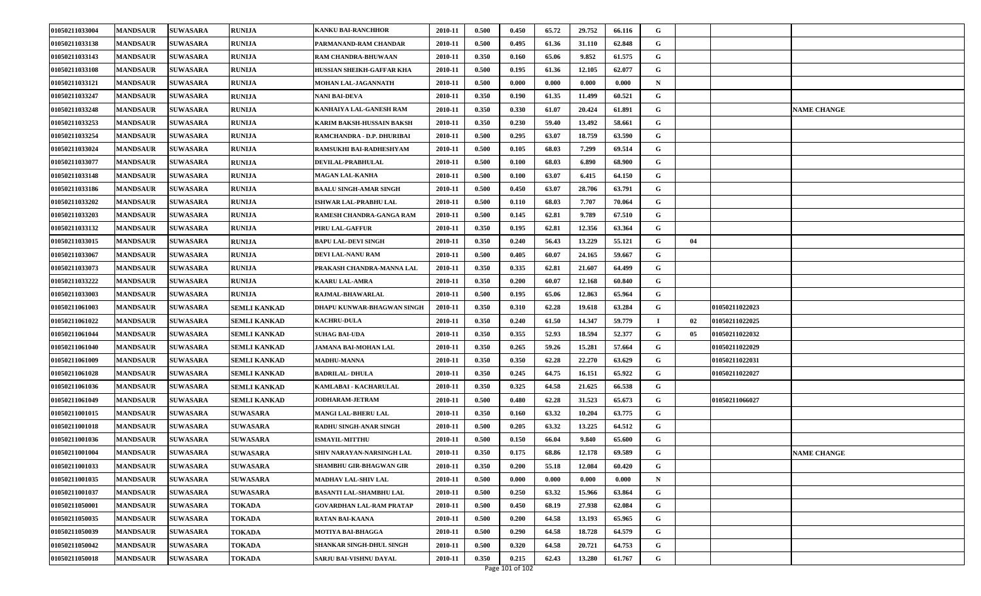| 01050211033004 | <b>MANDSAUR</b> | <b>SUWASARA</b> | <b>RUNIJA</b>       | <b>KANKU BAI-RANCHHOR</b>       | 2010-11 | 0.500 | 0.450 | 65.72 | 29.752 | 66.116 | G           |    |                       |                    |
|----------------|-----------------|-----------------|---------------------|---------------------------------|---------|-------|-------|-------|--------|--------|-------------|----|-----------------------|--------------------|
| 01050211033138 | <b>MANDSAUR</b> | <b>SUWASARA</b> | <b>RUNIJA</b>       | PARMANAND-RAM CHANDAR           | 2010-11 | 0.500 | 0.495 | 61.36 | 31.110 | 62.848 | G           |    |                       |                    |
| 01050211033143 | <b>MANDSAUR</b> | <b>SUWASARA</b> | <b>RUNIJA</b>       | <b>RAM CHANDRA-BHUWAAN</b>      | 2010-11 | 0.350 | 0.160 | 65.06 | 9.852  | 61.575 | G           |    |                       |                    |
| 01050211033108 | <b>MANDSAUR</b> | <b>SUWASARA</b> | <b>RUNIJA</b>       | HUSSIAN SHEIKH-GAFFAR KHA       | 2010-11 | 0.500 | 0.195 | 61.36 | 12.105 | 62.077 | G           |    |                       |                    |
| 01050211033121 | <b>MANDSAUR</b> | <b>SUWASARA</b> | <b>RUNIJA</b>       | <b>MOHAN LAL-JAGANNATH</b>      | 2010-11 | 0.500 | 0.000 | 0.000 | 0.000  | 0.000  | N           |    |                       |                    |
| 01050211033247 | <b>MANDSAUR</b> | <b>SUWASARA</b> | <b>RUNIJA</b>       | <b>NANI BAI-DEVA</b>            | 2010-11 | 0.350 | 0.190 | 61.35 | 11.499 | 60.521 | G           |    |                       |                    |
| 01050211033248 | <b>MANDSAUR</b> | <b>SUWASARA</b> | <b>RUNIJA</b>       | KANHAIYA LAL-GANESH RAM         | 2010-11 | 0.350 | 0.330 | 61.07 | 20.424 | 61.891 | G           |    |                       | <b>NAME CHANGE</b> |
| 01050211033253 | <b>MANDSAUR</b> | <b>SUWASARA</b> | <b>RUNIJA</b>       | KARIM BAKSH-HUSSAIN BAKSH       | 2010-11 | 0.350 | 0.230 | 59.40 | 13.492 | 58.661 | G           |    |                       |                    |
| 01050211033254 | <b>MANDSAUR</b> | <b>SUWASARA</b> | <b>RUNIJA</b>       | RAMCHANDRA - D.P. DHURIBAI      | 2010-11 | 0.500 | 0.295 | 63.07 | 18.759 | 63.590 | G           |    |                       |                    |
| 01050211033024 | <b>MANDSAUR</b> | <b>SUWASARA</b> | <b>RUNIJA</b>       | RAMSUKHI BAI-RADHESHYAM         | 2010-11 | 0.500 | 0.105 | 68.03 | 7.299  | 69.514 | G           |    |                       |                    |
| 01050211033077 | <b>MANDSAUR</b> | <b>SUWASARA</b> | <b>RUNIJA</b>       | DEVILAL-PRABHULAL               | 2010-11 | 0.500 | 0.100 | 68.03 | 6.890  | 68.900 | G           |    |                       |                    |
| 01050211033148 | <b>MANDSAUR</b> | <b>SUWASARA</b> | RUNIJA              | <b>MAGAN LAL-KANHA</b>          | 2010-11 | 0.500 | 0.100 | 63.07 | 6.415  | 64.150 | G           |    |                       |                    |
| 01050211033186 | <b>MANDSAUR</b> | <b>SUWASARA</b> | <b>RUNIJA</b>       | <b>BAALU SINGH-AMAR SINGH</b>   | 2010-11 | 0.500 | 0.450 | 63.07 | 28.706 | 63.791 | G           |    |                       |                    |
| 01050211033202 | <b>MANDSAUR</b> | <b>SUWASARA</b> | <b>RUNIJA</b>       | <b>ISHWAR LAL-PRABHU LAL</b>    | 2010-11 | 0.500 | 0.110 | 68.03 | 7.707  | 70.064 | G           |    |                       |                    |
| 01050211033203 | <b>MANDSAUR</b> | <b>SUWASARA</b> | <b>RUNIJA</b>       | RAMESH CHANDRA-GANGA RAM        | 2010-11 | 0.500 | 0.145 | 62.81 | 9.789  | 67.510 | G           |    |                       |                    |
| 01050211033132 | <b>MANDSAUR</b> | <b>SUWASARA</b> | <b>RUNIJA</b>       | PIRU LAL-GAFFUR                 | 2010-11 | 0.350 | 0.195 | 62.81 | 12.356 | 63.364 | G           |    |                       |                    |
| 01050211033015 | <b>MANDSAUR</b> | <b>SUWASARA</b> | <b>RUNIJA</b>       | <b>BAPU LAL-DEVI SINGH</b>      | 2010-11 | 0.350 | 0.240 | 56.43 | 13.229 | 55.121 | G           | 04 |                       |                    |
| 01050211033067 | <b>MANDSAUR</b> | <b>SUWASARA</b> | <b>RUNIJA</b>       | DEVI LAL-NANU RAM               | 2010-11 | 0.500 | 0.405 | 60.07 | 24.165 | 59.667 | G           |    |                       |                    |
| 01050211033073 | <b>MANDSAUR</b> | <b>SUWASARA</b> | <b>RUNIJA</b>       | PRAKASH CHANDRA-MANNA LAL       | 2010-11 | 0.350 | 0.335 | 62.81 | 21.607 | 64.499 | G           |    |                       |                    |
| 01050211033222 | <b>MANDSAUR</b> | <b>SUWASARA</b> | <b>RUNIJA</b>       | <b>KAARU LAL-AMRA</b>           | 2010-11 | 0.350 | 0.200 | 60.07 | 12.168 | 60.840 | G           |    |                       |                    |
| 01050211033003 | <b>MANDSAUR</b> | <b>SUWASARA</b> | <b>RUNIJA</b>       | RAJMAL-BHAWARLAL                | 2010-11 | 0.500 | 0.195 | 65.06 | 12.863 | 65.964 | G           |    |                       |                    |
| 01050211061003 | <b>MANDSAUR</b> | <b>SUWASARA</b> | <b>SEMLI KANKAD</b> | DHAPU KUNWAR-BHAGWAN SINGH      | 2010-11 | 0.350 | 0.310 | 62.28 | 19.618 | 63.284 | G           |    | 01050211022023        |                    |
| 01050211061022 | <b>MANDSAUR</b> | <b>SUWASARA</b> | <b>SEMLI KANKAD</b> | <b>KACHRU-DULA</b>              | 2010-11 | 0.350 | 0.240 | 61.50 | 14.347 | 59.779 |             | 02 | 01050211022025        |                    |
| 01050211061044 | <b>MANDSAUR</b> | <b>SUWASARA</b> | <b>SEMLI KANKAD</b> | <b>SUHAG BAI-UDA</b>            | 2010-11 | 0.350 | 0.355 | 52.93 | 18.594 | 52.377 | G           | 05 | 01050211022032        |                    |
| 01050211061040 | <b>MANDSAUR</b> | <b>SUWASARA</b> | <b>SEMLI KANKAD</b> | JAMANA BAI-MOHAN LAL            | 2010-11 | 0.350 | 0.265 | 59.26 | 15.281 | 57.664 | G           |    | <b>01050211022029</b> |                    |
| 01050211061009 | <b>MANDSAUR</b> | <b>SUWASARA</b> | <b>SEMLI KANKAD</b> | <b>MADHU-MANNA</b>              | 2010-11 | 0.350 | 0.350 | 62.28 | 22.270 | 63.629 | G           |    | 01050211022031        |                    |
| 01050211061028 | <b>MANDSAUR</b> | <b>SUWASARA</b> | <b>SEMLI KANKAD</b> | <b>BADRILAL-DHULA</b>           | 2010-11 | 0.350 | 0.245 | 64.75 | 16.151 | 65.922 | G           |    | <b>01050211022027</b> |                    |
| 01050211061036 | <b>MANDSAUR</b> | <b>SUWASARA</b> | <b>SEMLI KANKAD</b> | KAMLABAI - KACHARULAL           | 2010-11 | 0.350 | 0.325 | 64.58 | 21.625 | 66.538 | G           |    |                       |                    |
| 01050211061049 | <b>MANDSAUR</b> | <b>SUWASARA</b> | <b>SEMLI KANKAD</b> | JODHARAM-JETRAM                 | 2010-11 | 0.500 | 0.480 | 62.28 | 31.523 | 65.673 | G           |    | 01050211066027        |                    |
| 01050211001015 | <b>MANDSAUR</b> | <b>SUWASARA</b> | <b>SUWASARA</b>     | <b>MANGI LAL-BHERU LAL</b>      | 2010-11 | 0.350 | 0.160 | 63.32 | 10.204 | 63.775 | G           |    |                       |                    |
| 01050211001018 | <b>MANDSAUR</b> | <b>SUWASARA</b> | <b>SUWASARA</b>     | RADHU SINGH-ANAR SINGH          | 2010-11 | 0.500 | 0.205 | 63.32 | 13.225 | 64.512 | G           |    |                       |                    |
| 01050211001036 | <b>MANDSAUR</b> | <b>SUWASARA</b> | <b>SUWASARA</b>     | <b>ISMAYIL-MITTHU</b>           | 2010-11 | 0.500 | 0.150 | 66.04 | 9.840  | 65.600 | G           |    |                       |                    |
| 01050211001004 | <b>MANDSAUR</b> | <b>SUWASARA</b> | <b>SUWASARA</b>     | SHIV NARAYAN-NARSINGH LAL       | 2010-11 | 0.350 | 0.175 | 68.86 | 12.178 | 69.589 | G           |    |                       | <b>NAME CHANGE</b> |
| 01050211001033 | <b>MANDSAUR</b> | <b>SUWASARA</b> | <b>SUWASARA</b>     | SHAMBHU GIR-BHAGWAN GIR         | 2010-11 | 0.350 | 0.200 | 55.18 | 12.084 | 60.420 | G           |    |                       |                    |
| 01050211001035 | <b>MANDSAUR</b> | <b>SUWASARA</b> | <b>SUWASARA</b>     | <b>MADHAV LAL-SHIV LAL</b>      | 2010-11 | 0.500 | 0.000 | 0.000 | 0.000  | 0.000  | $\mathbf N$ |    |                       |                    |
| 01050211001037 | <b>MANDSAUR</b> | <b>SUWASARA</b> | <b>SUWASARA</b>     | <b>BASANTI LAL-SHAMBHU LAL</b>  | 2010-11 | 0.500 | 0.250 | 63.32 | 15.966 | 63.864 | G           |    |                       |                    |
| 01050211050001 | <b>MANDSAUR</b> | <b>SUWASARA</b> | <b>TOKADA</b>       | <b>GOVARDHAN LAL-RAM PRATAP</b> | 2010-11 | 0.500 | 0.450 | 68.19 | 27.938 | 62.084 | G           |    |                       |                    |
| 01050211050035 | <b>MANDSAUR</b> | <b>SUWASARA</b> | <b>TOKADA</b>       | RATAN BAI-KAANA                 | 2010-11 | 0.500 | 0.200 | 64.58 | 13.193 | 65.965 | G           |    |                       |                    |
| 01050211050039 | <b>MANDSAUR</b> | <b>SUWASARA</b> | <b>TOKADA</b>       | MOTIYA BAI-BHAGGA               | 2010-11 | 0.500 | 0.290 | 64.58 | 18.728 | 64.579 | G           |    |                       |                    |
| 01050211050042 | <b>MANDSAUR</b> | <b>SUWASARA</b> | <b>TOKADA</b>       | SHANKAR SINGH-DHUL SINGH        | 2010-11 | 0.500 | 0.320 | 64.58 | 20.721 | 64.753 | G           |    |                       |                    |
| 01050211050018 | <b>MANDSAUR</b> | <b>SUWASARA</b> | <b>TOKADA</b>       | SARJU BAI-VISHNU DAYAL          | 2010-11 | 0.350 | 0.215 | 62.43 | 13.280 | 61.767 | G           |    |                       |                    |
|                |                 |                 |                     |                                 |         |       |       |       |        |        |             |    |                       |                    |